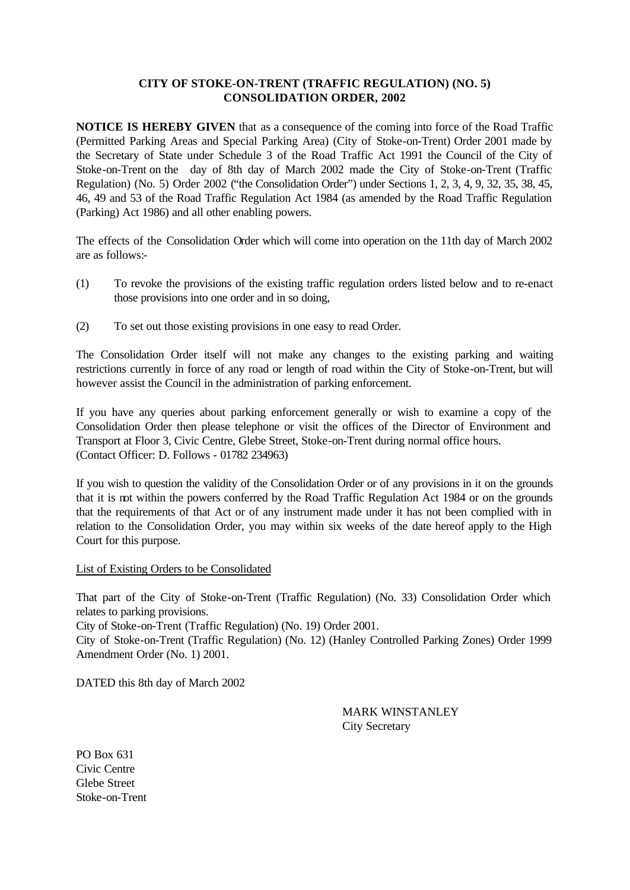#### **CITY OF STOKE-ON-TRENT (TRAFFIC REGULATION) (NO. 5) CONSOLIDATION ORDER, 2002**

**NOTICE IS HEREBY GIVEN** that as a consequence of the coming into force of the Road Traffic (Permitted Parking Areas and Special Parking Area) (City of Stoke-on-Trent) Order 2001 made by the Secretary of State under Schedule 3 of the Road Traffic Act 1991 the Council of the City of Stoke-on-Trent on the day of 8th day of March 2002 made the City of Stoke-on-Trent (Traffic Regulation) (No. 5) Order 2002 ("the Consolidation Order") under Sections 1, 2, 3, 4, 9, 32, 35, 38, 45, 46, 49 and 53 of the Road Traffic Regulation Act 1984 (as amended by the Road Traffic Regulation (Parking) Act 1986) and all other enabling powers.

The effects of the Consolidation Order which will come into operation on the 11th day of March 2002 are as follows:-

- (1) To revoke the provisions of the existing traffic regulation orders listed below and to re-enact those provisions into one order and in so doing,
- (2) To set out those existing provisions in one easy to read Order.

The Consolidation Order itself will not make any changes to the existing parking and waiting restrictions currently in force of any road or length of road within the City of Stoke-on-Trent, but will however assist the Council in the administration of parking enforcement.

If you have any queries about parking enforcement generally or wish to examine a copy of the Consolidation Order then please telephone or visit the offices of the Director of Environment and Transport at Floor 3, Civic Centre, Glebe Street, Stoke-on-Trent during normal office hours. (Contact Officer: D. Follows - 01782 234963)

If you wish to question the validity of the Consolidation Order or of any provisions in it on the grounds that it is not within the powers conferred by the Road Traffic Regulation Act 1984 or on the grounds that the requirements of that Act or of any instrument made under it has not been complied with in relation to the Consolidation Order, you may within six weeks of the date hereof apply to the High Court for this purpose.

#### List of Existing Orders to be Consolidated

That part of the City of Stoke-on-Trent (Traffic Regulation) (No. 33) Consolidation Order which relates to parking provisions.

City of Stoke-on-Trent (Traffic Regulation) (No. 19) Order 2001.

City of Stoke-on-Trent (Traffic Regulation) (No. 12) (Hanley Controlled Parking Zones) Order 1999 Amendment Order (No. 1) 2001.

DATED this 8th day of March 2002

MARK WINSTANLEY City Secretary

PO Box 631 Civic Centre Glebe Street Stoke-on-Trent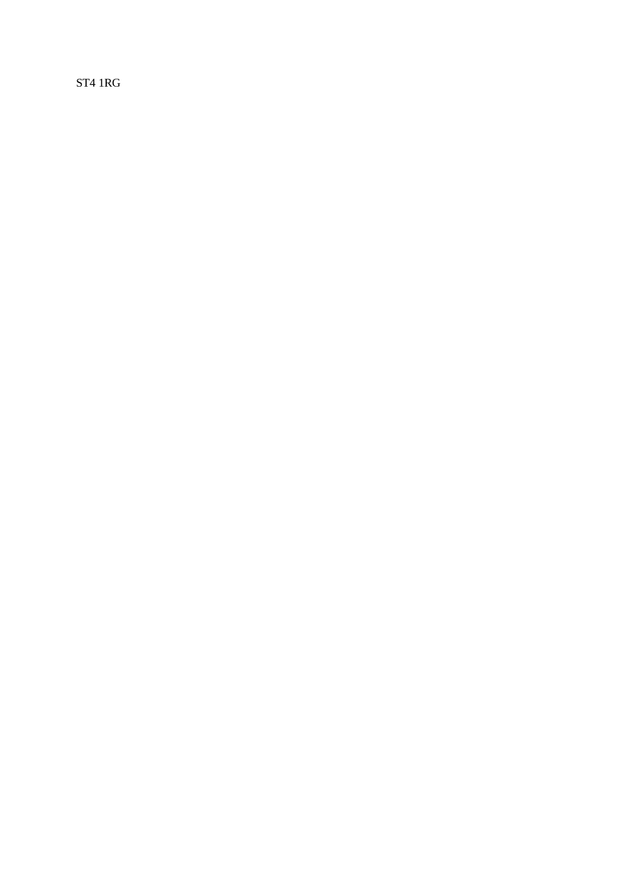ST4 1RG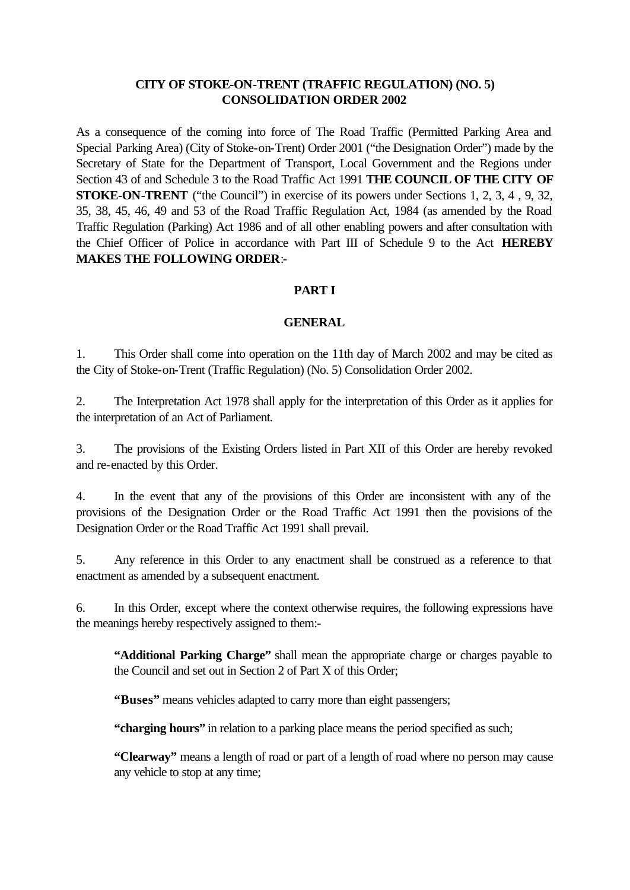## **CITY OF STOKE-ON-TRENT (TRAFFIC REGULATION) (NO. 5) CONSOLIDATION ORDER 2002**

As a consequence of the coming into force of The Road Traffic (Permitted Parking Area and Special Parking Area) (City of Stoke-on-Trent) Order 2001 ("the Designation Order") made by the Secretary of State for the Department of Transport, Local Government and the Regions under Section 43 of and Schedule 3 to the Road Traffic Act 1991 **THE COUNCIL OF THE CITY OF STOKE-ON-TRENT** ("the Council") in exercise of its powers under Sections 1, 2, 3, 4 , 9, 32, 35, 38, 45, 46, 49 and 53 of the Road Traffic Regulation Act, 1984 (as amended by the Road Traffic Regulation (Parking) Act 1986 and of all other enabling powers and after consultation with the Chief Officer of Police in accordance with Part III of Schedule 9 to the Act **HEREBY MAKES THE FOLLOWING ORDER**:-

### **PART I**

#### **GENERAL**

1. This Order shall come into operation on the 11th day of March 2002 and may be cited as the City of Stoke-on-Trent (Traffic Regulation) (No. 5) Consolidation Order 2002.

2. The Interpretation Act 1978 shall apply for the interpretation of this Order as it applies for the interpretation of an Act of Parliament.

3. The provisions of the Existing Orders listed in Part XII of this Order are hereby revoked and re-enacted by this Order.

4. In the event that any of the provisions of this Order are inconsistent with any of the provisions of the Designation Order or the Road Traffic Act 1991 then the provisions of the Designation Order or the Road Traffic Act 1991 shall prevail.

5. Any reference in this Order to any enactment shall be construed as a reference to that enactment as amended by a subsequent enactment.

6. In this Order, except where the context otherwise requires, the following expressions have the meanings hereby respectively assigned to them:-

**"Additional Parking Charge"** shall mean the appropriate charge or charges payable to the Council and set out in Section 2 of Part X of this Order;

**"Buses"** means vehicles adapted to carry more than eight passengers;

**"charging hours"** in relation to a parking place means the period specified as such;

**"Clearway"** means a length of road or part of a length of road where no person may cause any vehicle to stop at any time;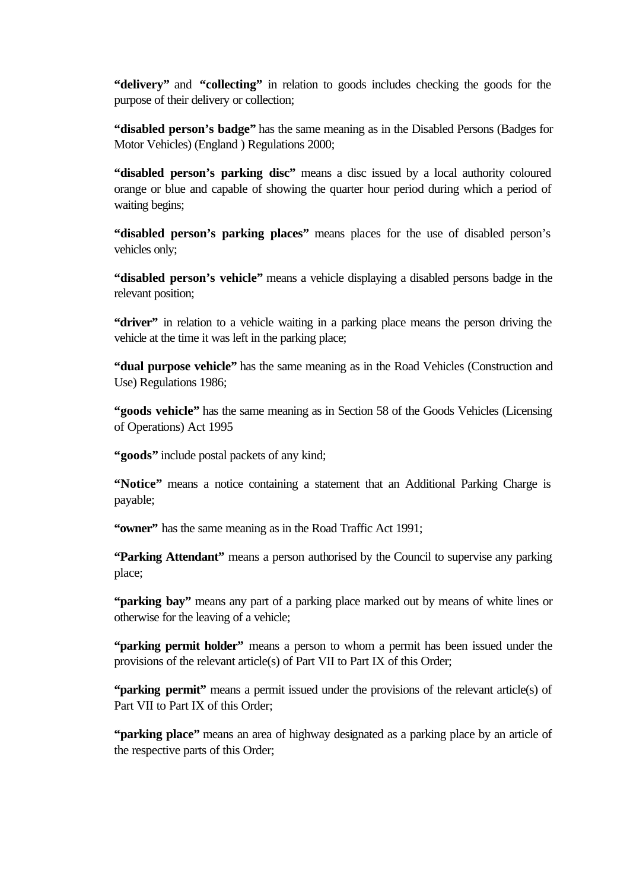**"delivery"** and **"collecting"** in relation to goods includes checking the goods for the purpose of their delivery or collection;

**"disabled person's badge"** has the same meaning as in the Disabled Persons (Badges for Motor Vehicles) (England ) Regulations 2000;

**"disabled person's parking disc"** means a disc issued by a local authority coloured orange or blue and capable of showing the quarter hour period during which a period of waiting begins;

**"disabled person's parking places"** means places for the use of disabled person's vehicles only;

**"disabled person's vehicle"** means a vehicle displaying a disabled persons badge in the relevant position;

**"driver"** in relation to a vehicle waiting in a parking place means the person driving the vehicle at the time it was left in the parking place;

**"dual purpose vehicle"** has the same meaning as in the Road Vehicles (Construction and Use) Regulations 1986;

**"goods vehicle"** has the same meaning as in Section 58 of the Goods Vehicles (Licensing of Operations) Act 1995

**"goods"** include postal packets of any kind;

**"Notice"** means a notice containing a statement that an Additional Parking Charge is payable;

**"owner"** has the same meaning as in the Road Traffic Act 1991;

**"Parking Attendant"** means a person authorised by the Council to supervise any parking place;

**"parking bay"** means any part of a parking place marked out by means of white lines or otherwise for the leaving of a vehicle;

**"parking permit holder"** means a person to whom a permit has been issued under the provisions of the relevant article(s) of Part VII to Part IX of this Order;

**"parking permit"** means a permit issued under the provisions of the relevant article(s) of Part VII to Part IX of this Order;

**"parking place"** means an area of highway designated as a parking place by an article of the respective parts of this Order;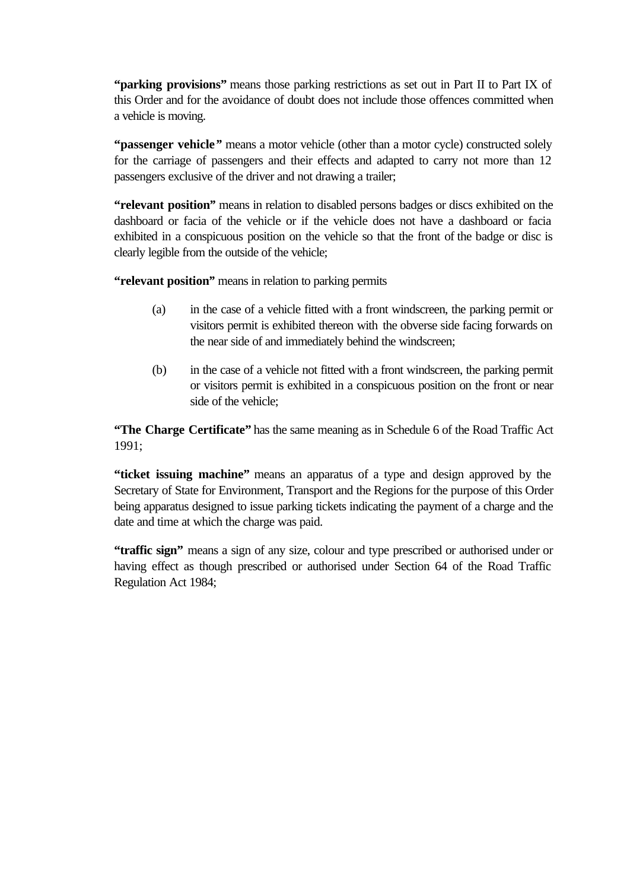**"parking provisions"** means those parking restrictions as set out in Part II to Part IX of this Order and for the avoidance of doubt does not include those offences committed when a vehicle is moving.

**"passenger vehicle***"* means a motor vehicle (other than a motor cycle) constructed solely for the carriage of passengers and their effects and adapted to carry not more than 12 passengers exclusive of the driver and not drawing a trailer;

**"relevant position***"* means in relation to disabled persons badges or discs exhibited on the dashboard or facia of the vehicle or if the vehicle does not have a dashboard or facia exhibited in a conspicuous position on the vehicle so that the front of the badge or disc is clearly legible from the outside of the vehicle;

**"relevant position***"* means in relation to parking permits

- (a) in the case of a vehicle fitted with a front windscreen, the parking permit or visitors permit is exhibited thereon with the obverse side facing forwards on the near side of and immediately behind the windscreen;
- (b) in the case of a vehicle not fitted with a front windscreen, the parking permit or visitors permit is exhibited in a conspicuous position on the front or near side of the vehicle;

**"The Charge Certificate"** has the same meaning as in Schedule 6 of the Road Traffic Act 1991;

**"ticket issuing machine"** means an apparatus of a type and design approved by the Secretary of State for Environment, Transport and the Regions for the purpose of this Order being apparatus designed to issue parking tickets indicating the payment of a charge and the date and time at which the charge was paid.

**"traffic sign"** means a sign of any size, colour and type prescribed or authorised under or having effect as though prescribed or authorised under Section 64 of the Road Traffic Regulation Act 1984;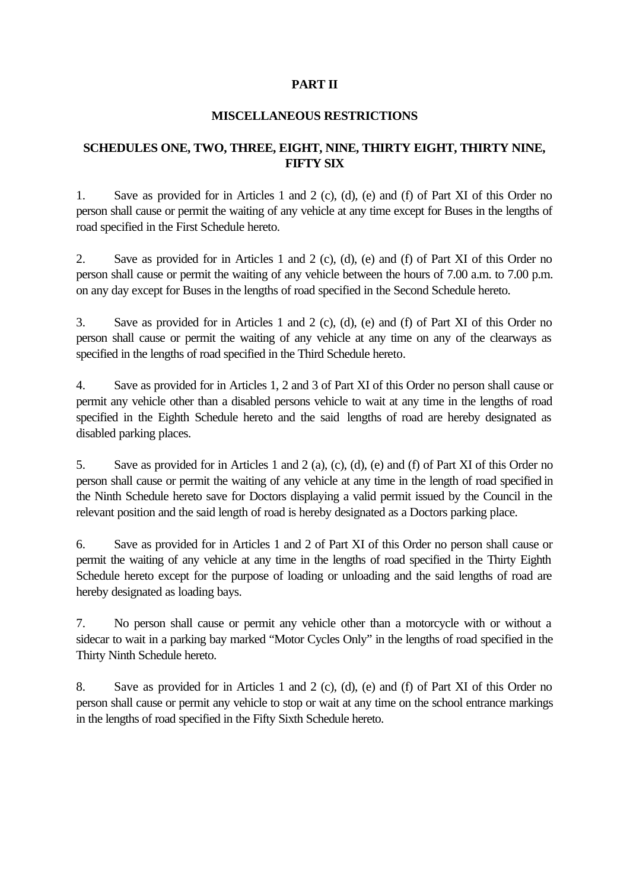## **PART II**

### **MISCELLANEOUS RESTRICTIONS**

## **SCHEDULES ONE, TWO, THREE, EIGHT, NINE, THIRTY EIGHT, THIRTY NINE, FIFTY SIX**

1. Save as provided for in Articles 1 and 2 (c), (d), (e) and (f) of Part XI of this Order no person shall cause or permit the waiting of any vehicle at any time except for Buses in the lengths of road specified in the First Schedule hereto.

2. Save as provided for in Articles 1 and 2 (c), (d), (e) and (f) of Part XI of this Order no person shall cause or permit the waiting of any vehicle between the hours of 7.00 a.m. to 7.00 p.m. on any day except for Buses in the lengths of road specified in the Second Schedule hereto.

3. Save as provided for in Articles 1 and 2 (c), (d), (e) and (f) of Part XI of this Order no person shall cause or permit the waiting of any vehicle at any time on any of the clearways as specified in the lengths of road specified in the Third Schedule hereto.

4. Save as provided for in Articles 1, 2 and 3 of Part XI of this Order no person shall cause or permit any vehicle other than a disabled persons vehicle to wait at any time in the lengths of road specified in the Eighth Schedule hereto and the said lengths of road are hereby designated as disabled parking places.

5. Save as provided for in Articles 1 and 2 (a), (c), (d), (e) and (f) of Part XI of this Order no person shall cause or permit the waiting of any vehicle at any time in the length of road specified in the Ninth Schedule hereto save for Doctors displaying a valid permit issued by the Council in the relevant position and the said length of road is hereby designated as a Doctors parking place.

6. Save as provided for in Articles 1 and 2 of Part XI of this Order no person shall cause or permit the waiting of any vehicle at any time in the lengths of road specified in the Thirty Eighth Schedule hereto except for the purpose of loading or unloading and the said lengths of road are hereby designated as loading bays.

7. No person shall cause or permit any vehicle other than a motorcycle with or without a sidecar to wait in a parking bay marked "Motor Cycles Only" in the lengths of road specified in the Thirty Ninth Schedule hereto.

8. Save as provided for in Articles 1 and 2 (c), (d), (e) and (f) of Part XI of this Order no person shall cause or permit any vehicle to stop or wait at any time on the school entrance markings in the lengths of road specified in the Fifty Sixth Schedule hereto.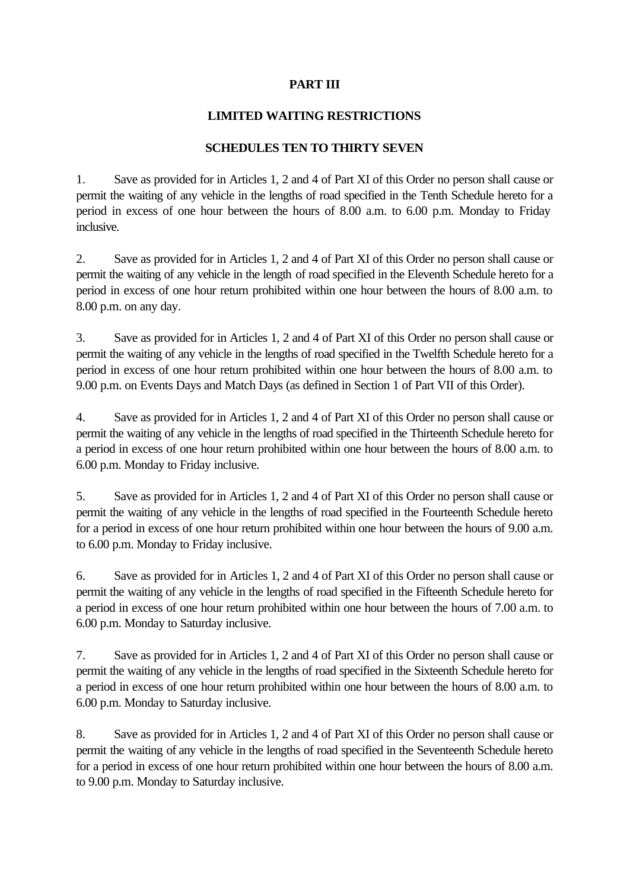# **PART III**

# **LIMITED WAITING RESTRICTIONS**

## **SCHEDULES TEN TO THIRTY SEVEN**

1. Save as provided for in Articles 1, 2 and 4 of Part XI of this Order no person shall cause or permit the waiting of any vehicle in the lengths of road specified in the Tenth Schedule hereto for a period in excess of one hour between the hours of 8.00 a.m. to 6.00 p.m. Monday to Friday inclusive.

2. Save as provided for in Articles 1, 2 and 4 of Part XI of this Order no person shall cause or permit the waiting of any vehicle in the length of road specified in the Eleventh Schedule hereto for a period in excess of one hour return prohibited within one hour between the hours of 8.00 a.m. to 8.00 p.m. on any day.

3. Save as provided for in Articles 1, 2 and 4 of Part XI of this Order no person shall cause or permit the waiting of any vehicle in the lengths of road specified in the Twelfth Schedule hereto for a period in excess of one hour return prohibited within one hour between the hours of 8.00 a.m. to 9.00 p.m. on Events Days and Match Days (as defined in Section 1 of Part VII of this Order).

4. Save as provided for in Articles 1, 2 and 4 of Part XI of this Order no person shall cause or permit the waiting of any vehicle in the lengths of road specified in the Thirteenth Schedule hereto for a period in excess of one hour return prohibited within one hour between the hours of 8.00 a.m. to 6.00 p.m. Monday to Friday inclusive.

5. Save as provided for in Articles 1, 2 and 4 of Part XI of this Order no person shall cause or permit the waiting of any vehicle in the lengths of road specified in the Fourteenth Schedule hereto for a period in excess of one hour return prohibited within one hour between the hours of 9.00 a.m. to 6.00 p.m. Monday to Friday inclusive.

6. Save as provided for in Articles 1, 2 and 4 of Part XI of this Order no person shall cause or permit the waiting of any vehicle in the lengths of road specified in the Fifteenth Schedule hereto for a period in excess of one hour return prohibited within one hour between the hours of 7.00 a.m. to 6.00 p.m. Monday to Saturday inclusive.

7. Save as provided for in Articles 1, 2 and 4 of Part XI of this Order no person shall cause or permit the waiting of any vehicle in the lengths of road specified in the Sixteenth Schedule hereto for a period in excess of one hour return prohibited within one hour between the hours of 8.00 a.m. to 6.00 p.m. Monday to Saturday inclusive.

8. Save as provided for in Articles 1, 2 and 4 of Part XI of this Order no person shall cause or permit the waiting of any vehicle in the lengths of road specified in the Seventeenth Schedule hereto for a period in excess of one hour return prohibited within one hour between the hours of 8.00 a.m. to 9.00 p.m. Monday to Saturday inclusive.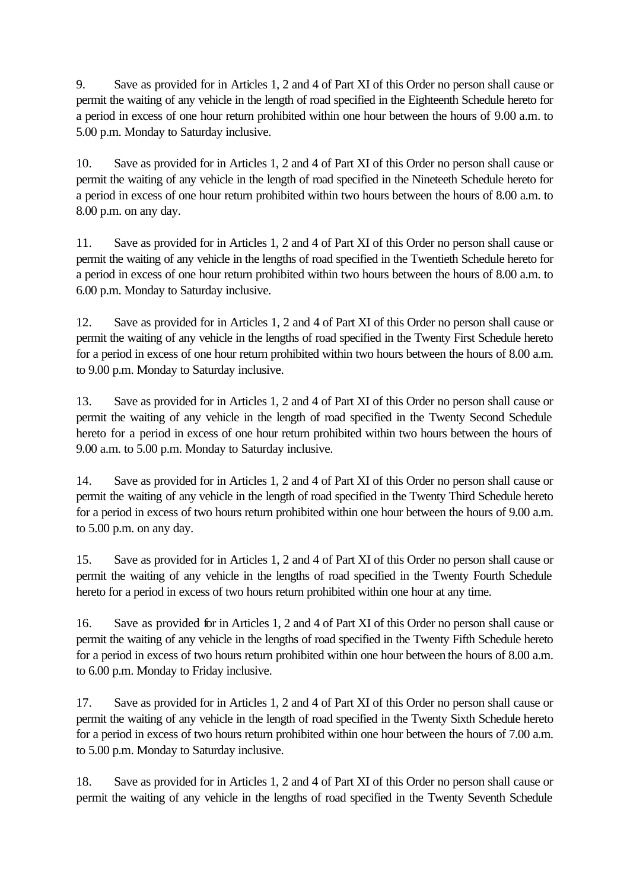9. Save as provided for in Articles 1, 2 and 4 of Part XI of this Order no person shall cause or permit the waiting of any vehicle in the length of road specified in the Eighteenth Schedule hereto for a period in excess of one hour return prohibited within one hour between the hours of 9.00 a.m. to 5.00 p.m. Monday to Saturday inclusive.

10. Save as provided for in Articles 1, 2 and 4 of Part XI of this Order no person shall cause or permit the waiting of any vehicle in the length of road specified in the Nineteeth Schedule hereto for a period in excess of one hour return prohibited within two hours between the hours of 8.00 a.m. to 8.00 p.m. on any day.

11. Save as provided for in Articles 1, 2 and 4 of Part XI of this Order no person shall cause or permit the waiting of any vehicle in the lengths of road specified in the Twentieth Schedule hereto for a period in excess of one hour return prohibited within two hours between the hours of 8.00 a.m. to 6.00 p.m. Monday to Saturday inclusive.

12. Save as provided for in Articles 1, 2 and 4 of Part XI of this Order no person shall cause or permit the waiting of any vehicle in the lengths of road specified in the Twenty First Schedule hereto for a period in excess of one hour return prohibited within two hours between the hours of 8.00 a.m. to 9.00 p.m. Monday to Saturday inclusive.

13. Save as provided for in Articles 1, 2 and 4 of Part XI of this Order no person shall cause or permit the waiting of any vehicle in the length of road specified in the Twenty Second Schedule hereto for a period in excess of one hour return prohibited within two hours between the hours of 9.00 a.m. to 5.00 p.m. Monday to Saturday inclusive.

14. Save as provided for in Articles 1, 2 and 4 of Part XI of this Order no person shall cause or permit the waiting of any vehicle in the length of road specified in the Twenty Third Schedule hereto for a period in excess of two hours return prohibited within one hour between the hours of 9.00 a.m. to 5.00 p.m. on any day.

15. Save as provided for in Articles 1, 2 and 4 of Part XI of this Order no person shall cause or permit the waiting of any vehicle in the lengths of road specified in the Twenty Fourth Schedule hereto for a period in excess of two hours return prohibited within one hour at any time.

16. Save as provided for in Articles 1, 2 and 4 of Part XI of this Order no person shall cause or permit the waiting of any vehicle in the lengths of road specified in the Twenty Fifth Schedule hereto for a period in excess of two hours return prohibited within one hour between the hours of 8.00 a.m. to 6.00 p.m. Monday to Friday inclusive.

17. Save as provided for in Articles 1, 2 and 4 of Part XI of this Order no person shall cause or permit the waiting of any vehicle in the length of road specified in the Twenty Sixth Schedule hereto for a period in excess of two hours return prohibited within one hour between the hours of 7.00 a.m. to 5.00 p.m. Monday to Saturday inclusive.

18. Save as provided for in Articles 1, 2 and 4 of Part XI of this Order no person shall cause or permit the waiting of any vehicle in the lengths of road specified in the Twenty Seventh Schedule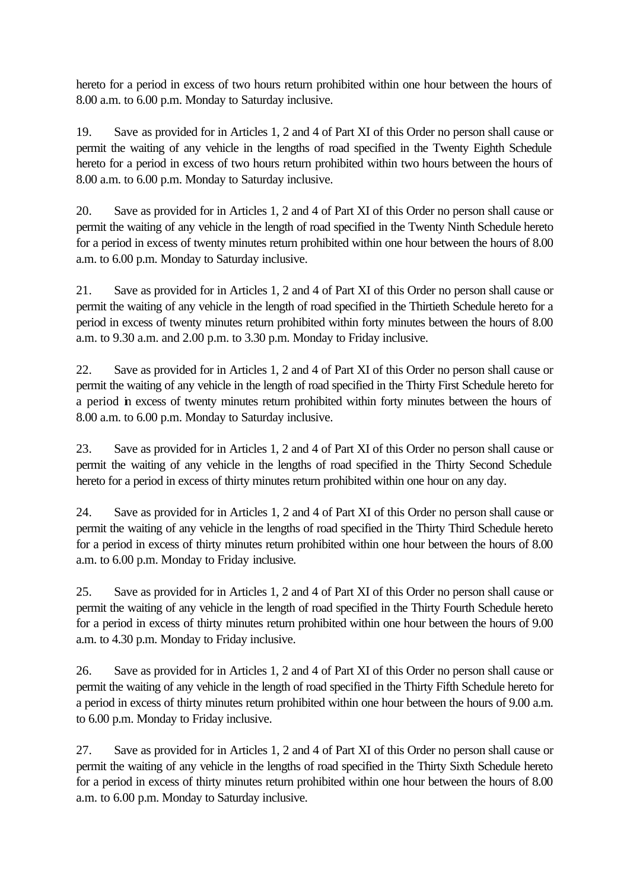hereto for a period in excess of two hours return prohibited within one hour between the hours of 8.00 a.m. to 6.00 p.m. Monday to Saturday inclusive.

19. Save as provided for in Articles 1, 2 and 4 of Part XI of this Order no person shall cause or permit the waiting of any vehicle in the lengths of road specified in the Twenty Eighth Schedule hereto for a period in excess of two hours return prohibited within two hours between the hours of 8.00 a.m. to 6.00 p.m. Monday to Saturday inclusive.

20. Save as provided for in Articles 1, 2 and 4 of Part XI of this Order no person shall cause or permit the waiting of any vehicle in the length of road specified in the Twenty Ninth Schedule hereto for a period in excess of twenty minutes return prohibited within one hour between the hours of 8.00 a.m. to 6.00 p.m. Monday to Saturday inclusive.

21. Save as provided for in Articles 1, 2 and 4 of Part XI of this Order no person shall cause or permit the waiting of any vehicle in the length of road specified in the Thirtieth Schedule hereto for a period in excess of twenty minutes return prohibited within forty minutes between the hours of 8.00 a.m. to 9.30 a.m. and 2.00 p.m. to 3.30 p.m. Monday to Friday inclusive.

22. Save as provided for in Articles 1, 2 and 4 of Part XI of this Order no person shall cause or permit the waiting of any vehicle in the length of road specified in the Thirty First Schedule hereto for a period in excess of twenty minutes return prohibited within forty minutes between the hours of 8.00 a.m. to 6.00 p.m. Monday to Saturday inclusive.

23. Save as provided for in Articles 1, 2 and 4 of Part XI of this Order no person shall cause or permit the waiting of any vehicle in the lengths of road specified in the Thirty Second Schedule hereto for a period in excess of thirty minutes return prohibited within one hour on any day.

24. Save as provided for in Articles 1, 2 and 4 of Part XI of this Order no person shall cause or permit the waiting of any vehicle in the lengths of road specified in the Thirty Third Schedule hereto for a period in excess of thirty minutes return prohibited within one hour between the hours of 8.00 a.m. to 6.00 p.m. Monday to Friday inclusive.

25. Save as provided for in Articles 1, 2 and 4 of Part XI of this Order no person shall cause or permit the waiting of any vehicle in the length of road specified in the Thirty Fourth Schedule hereto for a period in excess of thirty minutes return prohibited within one hour between the hours of 9.00 a.m. to 4.30 p.m. Monday to Friday inclusive.

26. Save as provided for in Articles 1, 2 and 4 of Part XI of this Order no person shall cause or permit the waiting of any vehicle in the length of road specified in the Thirty Fifth Schedule hereto for a period in excess of thirty minutes return prohibited within one hour between the hours of 9.00 a.m. to 6.00 p.m. Monday to Friday inclusive.

27. Save as provided for in Articles 1, 2 and 4 of Part XI of this Order no person shall cause or permit the waiting of any vehicle in the lengths of road specified in the Thirty Sixth Schedule hereto for a period in excess of thirty minutes return prohibited within one hour between the hours of 8.00 a.m. to 6.00 p.m. Monday to Saturday inclusive.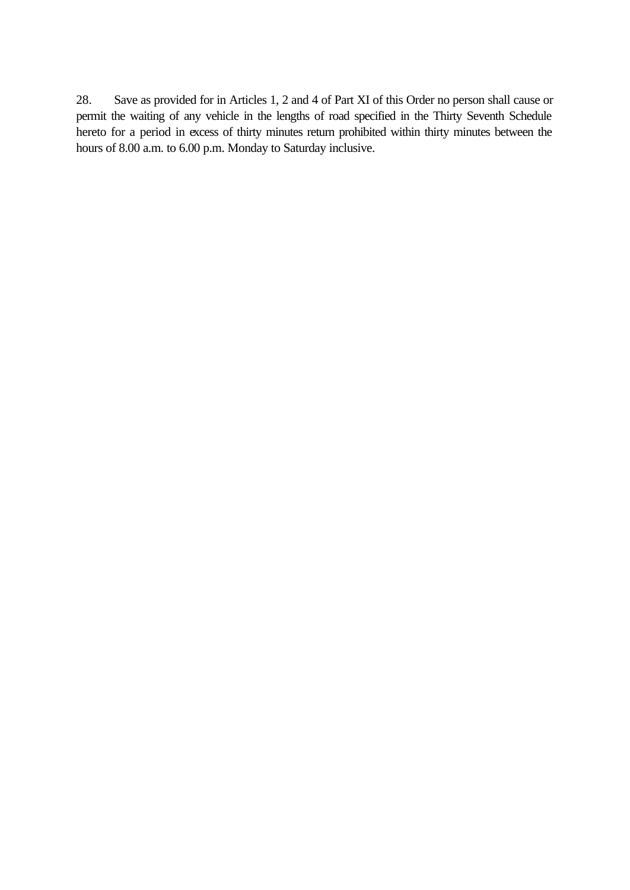28. Save as provided for in Articles 1, 2 and 4 of Part XI of this Order no person shall cause or permit the waiting of any vehicle in the lengths of road specified in the Thirty Seventh Schedule hereto for a period in excess of thirty minutes return prohibited within thirty minutes between the hours of 8.00 a.m. to 6.00 p.m. Monday to Saturday inclusive.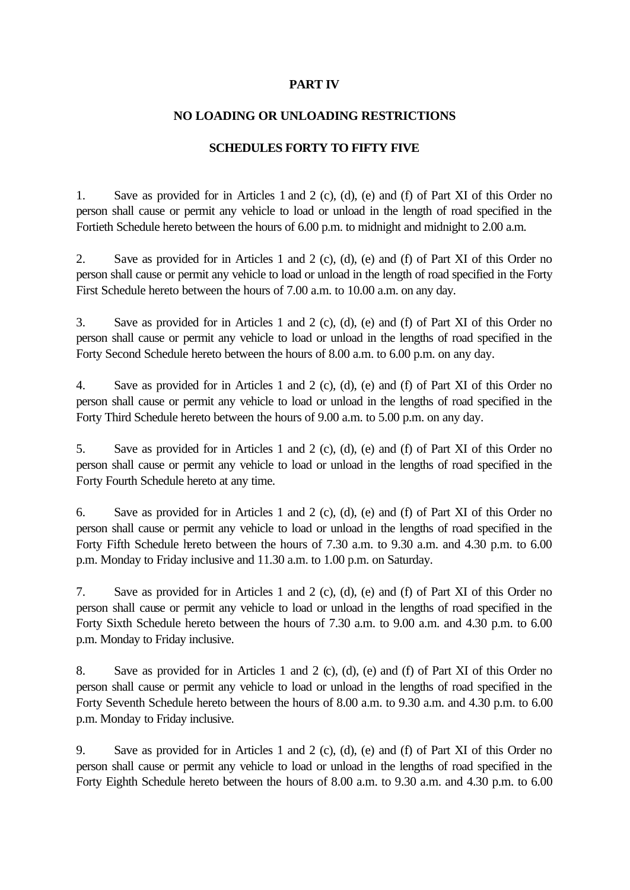## **PART IV**

### **NO LOADING OR UNLOADING RESTRICTIONS**

### **SCHEDULES FORTY TO FIFTY FIVE**

1. Save as provided for in Articles 1 and 2 (c), (d), (e) and (f) of Part XI of this Order no person shall cause or permit any vehicle to load or unload in the length of road specified in the Fortieth Schedule hereto between the hours of 6.00 p.m. to midnight and midnight to 2.00 a.m.

2. Save as provided for in Articles 1 and 2 (c), (d), (e) and (f) of Part XI of this Order no person shall cause or permit any vehicle to load or unload in the length of road specified in the Forty First Schedule hereto between the hours of 7.00 a.m. to 10.00 a.m. on any day.

3. Save as provided for in Articles 1 and 2 (c), (d), (e) and (f) of Part XI of this Order no person shall cause or permit any vehicle to load or unload in the lengths of road specified in the Forty Second Schedule hereto between the hours of 8.00 a.m. to 6.00 p.m. on any day.

4. Save as provided for in Articles 1 and 2 (c), (d), (e) and (f) of Part XI of this Order no person shall cause or permit any vehicle to load or unload in the lengths of road specified in the Forty Third Schedule hereto between the hours of 9.00 a.m. to 5.00 p.m. on any day.

5. Save as provided for in Articles 1 and 2 (c), (d), (e) and (f) of Part XI of this Order no person shall cause or permit any vehicle to load or unload in the lengths of road specified in the Forty Fourth Schedule hereto at any time.

6. Save as provided for in Articles 1 and 2 (c), (d), (e) and (f) of Part XI of this Order no person shall cause or permit any vehicle to load or unload in the lengths of road specified in the Forty Fifth Schedule hereto between the hours of 7.30 a.m. to 9.30 a.m. and 4.30 p.m. to 6.00 p.m. Monday to Friday inclusive and 11.30 a.m. to 1.00 p.m. on Saturday.

7. Save as provided for in Articles 1 and 2 (c), (d), (e) and (f) of Part XI of this Order no person shall cause or permit any vehicle to load or unload in the lengths of road specified in the Forty Sixth Schedule hereto between the hours of 7.30 a.m. to 9.00 a.m. and 4.30 p.m. to 6.00 p.m. Monday to Friday inclusive.

8. Save as provided for in Articles 1 and 2 (c), (d), (e) and (f) of Part XI of this Order no person shall cause or permit any vehicle to load or unload in the lengths of road specified in the Forty Seventh Schedule hereto between the hours of 8.00 a.m. to 9.30 a.m. and 4.30 p.m. to 6.00 p.m. Monday to Friday inclusive.

9. Save as provided for in Articles 1 and 2 (c), (d), (e) and (f) of Part XI of this Order no person shall cause or permit any vehicle to load or unload in the lengths of road specified in the Forty Eighth Schedule hereto between the hours of 8.00 a.m. to 9.30 a.m. and 4.30 p.m. to 6.00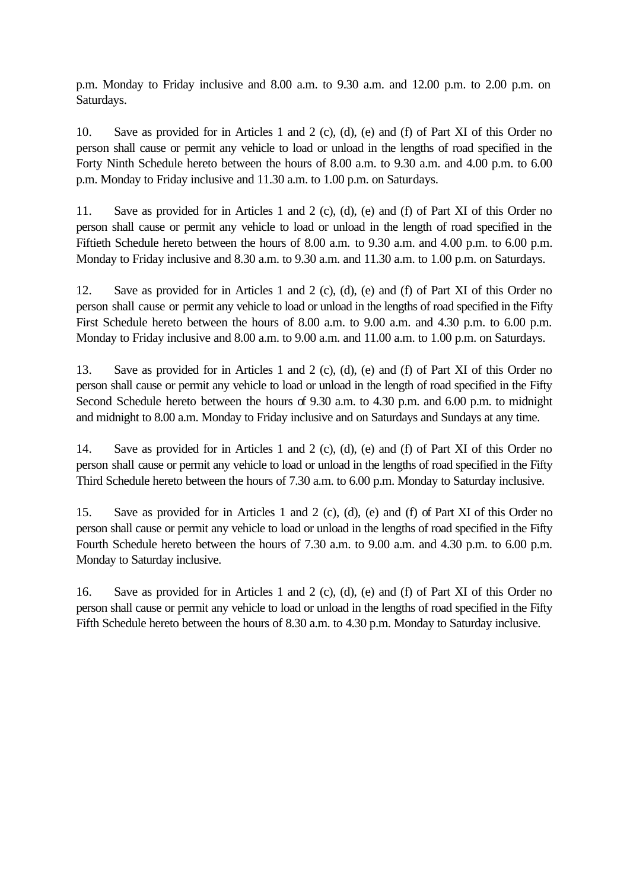p.m. Monday to Friday inclusive and 8.00 a.m. to 9.30 a.m. and 12.00 p.m. to 2.00 p.m. on Saturdays.

10. Save as provided for in Articles 1 and 2 (c), (d), (e) and (f) of Part XI of this Order no person shall cause or permit any vehicle to load or unload in the lengths of road specified in the Forty Ninth Schedule hereto between the hours of 8.00 a.m. to 9.30 a.m. and 4.00 p.m. to 6.00 p.m. Monday to Friday inclusive and 11.30 a.m. to 1.00 p.m. on Saturdays.

11. Save as provided for in Articles 1 and 2 (c), (d), (e) and (f) of Part XI of this Order no person shall cause or permit any vehicle to load or unload in the length of road specified in the Fiftieth Schedule hereto between the hours of 8.00 a.m. to 9.30 a.m. and 4.00 p.m. to 6.00 p.m. Monday to Friday inclusive and 8.30 a.m. to 9.30 a.m. and 11.30 a.m. to 1.00 p.m. on Saturdays.

12. Save as provided for in Articles 1 and 2 (c), (d), (e) and (f) of Part XI of this Order no person shall cause or permit any vehicle to load or unload in the lengths of road specified in the Fifty First Schedule hereto between the hours of 8.00 a.m. to 9.00 a.m. and 4.30 p.m. to 6.00 p.m. Monday to Friday inclusive and 8.00 a.m. to 9.00 a.m. and 11.00 a.m. to 1.00 p.m. on Saturdays.

13. Save as provided for in Articles 1 and 2 (c), (d), (e) and (f) of Part XI of this Order no person shall cause or permit any vehicle to load or unload in the length of road specified in the Fifty Second Schedule hereto between the hours of 9.30 a.m. to 4.30 p.m. and 6.00 p.m. to midnight and midnight to 8.00 a.m. Monday to Friday inclusive and on Saturdays and Sundays at any time.

14. Save as provided for in Articles 1 and 2 (c), (d), (e) and (f) of Part XI of this Order no person shall cause or permit any vehicle to load or unload in the lengths of road specified in the Fifty Third Schedule hereto between the hours of 7.30 a.m. to 6.00 p.m. Monday to Saturday inclusive.

15. Save as provided for in Articles 1 and 2 (c), (d), (e) and (f) of Part XI of this Order no person shall cause or permit any vehicle to load or unload in the lengths of road specified in the Fifty Fourth Schedule hereto between the hours of 7.30 a.m. to 9.00 a.m. and 4.30 p.m. to 6.00 p.m. Monday to Saturday inclusive.

16. Save as provided for in Articles 1 and 2 (c), (d), (e) and (f) of Part XI of this Order no person shall cause or permit any vehicle to load or unload in the lengths of road specified in the Fifty Fifth Schedule hereto between the hours of 8.30 a.m. to 4.30 p.m. Monday to Saturday inclusive.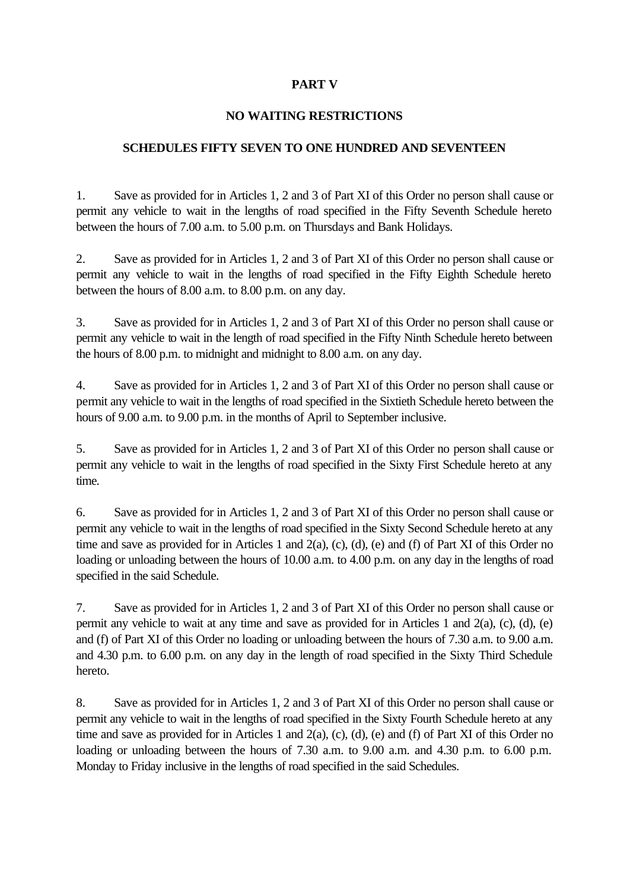# **PART V**

## **NO WAITING RESTRICTIONS**

### **SCHEDULES FIFTY SEVEN TO ONE HUNDRED AND SEVENTEEN**

1. Save as provided for in Articles 1, 2 and 3 of Part XI of this Order no person shall cause or permit any vehicle to wait in the lengths of road specified in the Fifty Seventh Schedule hereto between the hours of 7.00 a.m. to 5.00 p.m. on Thursdays and Bank Holidays.

2. Save as provided for in Articles 1, 2 and 3 of Part XI of this Order no person shall cause or permit any vehicle to wait in the lengths of road specified in the Fifty Eighth Schedule hereto between the hours of 8.00 a.m. to 8.00 p.m. on any day.

3. Save as provided for in Articles 1, 2 and 3 of Part XI of this Order no person shall cause or permit any vehicle to wait in the length of road specified in the Fifty Ninth Schedule hereto between the hours of 8.00 p.m. to midnight and midnight to 8.00 a.m. on any day.

4. Save as provided for in Articles 1, 2 and 3 of Part XI of this Order no person shall cause or permit any vehicle to wait in the lengths of road specified in the Sixtieth Schedule hereto between the hours of 9.00 a.m. to 9.00 p.m. in the months of April to September inclusive.

5. Save as provided for in Articles 1, 2 and 3 of Part XI of this Order no person shall cause or permit any vehicle to wait in the lengths of road specified in the Sixty First Schedule hereto at any time.

6. Save as provided for in Articles 1, 2 and 3 of Part XI of this Order no person shall cause or permit any vehicle to wait in the lengths of road specified in the Sixty Second Schedule hereto at any time and save as provided for in Articles 1 and 2(a), (c), (d), (e) and (f) of Part XI of this Order no loading or unloading between the hours of 10.00 a.m. to 4.00 p.m. on any day in the lengths of road specified in the said Schedule.

7. Save as provided for in Articles 1, 2 and 3 of Part XI of this Order no person shall cause or permit any vehicle to wait at any time and save as provided for in Articles 1 and 2(a), (c), (d), (e) and (f) of Part XI of this Order no loading or unloading between the hours of 7.30 a.m. to 9.00 a.m. and 4.30 p.m. to 6.00 p.m. on any day in the length of road specified in the Sixty Third Schedule hereto.

8. Save as provided for in Articles 1, 2 and 3 of Part XI of this Order no person shall cause or permit any vehicle to wait in the lengths of road specified in the Sixty Fourth Schedule hereto at any time and save as provided for in Articles 1 and 2(a), (c), (d), (e) and (f) of Part XI of this Order no loading or unloading between the hours of 7.30 a.m. to 9.00 a.m. and 4.30 p.m. to 6.00 p.m. Monday to Friday inclusive in the lengths of road specified in the said Schedules.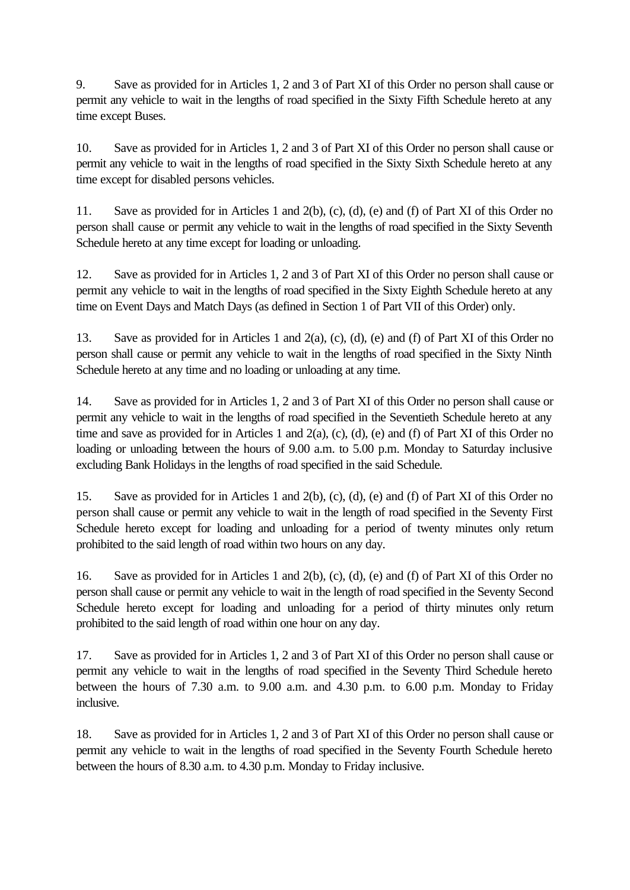9. Save as provided for in Articles 1, 2 and 3 of Part XI of this Order no person shall cause or permit any vehicle to wait in the lengths of road specified in the Sixty Fifth Schedule hereto at any time except Buses.

10. Save as provided for in Articles 1, 2 and 3 of Part XI of this Order no person shall cause or permit any vehicle to wait in the lengths of road specified in the Sixty Sixth Schedule hereto at any time except for disabled persons vehicles.

11. Save as provided for in Articles 1 and 2(b), (c), (d), (e) and (f) of Part XI of this Order no person shall cause or permit any vehicle to wait in the lengths of road specified in the Sixty Seventh Schedule hereto at any time except for loading or unloading.

12. Save as provided for in Articles 1, 2 and 3 of Part XI of this Order no person shall cause or permit any vehicle to wait in the lengths of road specified in the Sixty Eighth Schedule hereto at any time on Event Days and Match Days (as defined in Section 1 of Part VII of this Order) only.

13. Save as provided for in Articles 1 and 2(a), (c), (d), (e) and (f) of Part XI of this Order no person shall cause or permit any vehicle to wait in the lengths of road specified in the Sixty Ninth Schedule hereto at any time and no loading or unloading at any time.

14. Save as provided for in Articles 1, 2 and 3 of Part XI of this Order no person shall cause or permit any vehicle to wait in the lengths of road specified in the Seventieth Schedule hereto at any time and save as provided for in Articles 1 and 2(a), (c), (d), (e) and (f) of Part XI of this Order no loading or unloading between the hours of 9.00 a.m. to 5.00 p.m. Monday to Saturday inclusive excluding Bank Holidays in the lengths of road specified in the said Schedule.

15. Save as provided for in Articles 1 and 2(b), (c), (d), (e) and (f) of Part XI of this Order no person shall cause or permit any vehicle to wait in the length of road specified in the Seventy First Schedule hereto except for loading and unloading for a period of twenty minutes only return prohibited to the said length of road within two hours on any day.

16. Save as provided for in Articles 1 and 2(b), (c), (d), (e) and (f) of Part XI of this Order no person shall cause or permit any vehicle to wait in the length of road specified in the Seventy Second Schedule hereto except for loading and unloading for a period of thirty minutes only return prohibited to the said length of road within one hour on any day.

17. Save as provided for in Articles 1, 2 and 3 of Part XI of this Order no person shall cause or permit any vehicle to wait in the lengths of road specified in the Seventy Third Schedule hereto between the hours of 7.30 a.m. to 9.00 a.m. and 4.30 p.m. to 6.00 p.m. Monday to Friday inclusive.

18. Save as provided for in Articles 1, 2 and 3 of Part XI of this Order no person shall cause or permit any vehicle to wait in the lengths of road specified in the Seventy Fourth Schedule hereto between the hours of 8.30 a.m. to 4.30 p.m. Monday to Friday inclusive.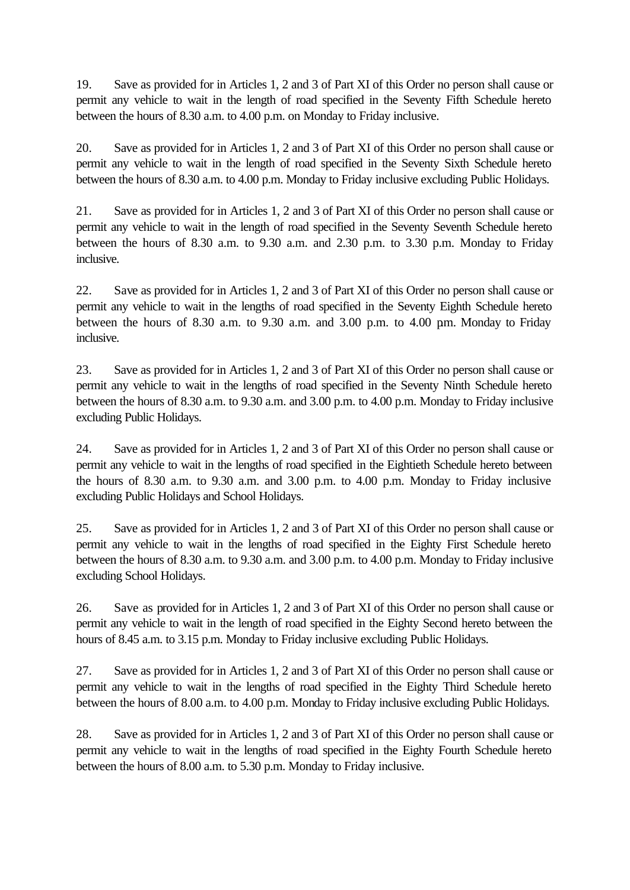19. Save as provided for in Articles 1, 2 and 3 of Part XI of this Order no person shall cause or permit any vehicle to wait in the length of road specified in the Seventy Fifth Schedule hereto between the hours of 8.30 a.m. to 4.00 p.m. on Monday to Friday inclusive.

20. Save as provided for in Articles 1, 2 and 3 of Part XI of this Order no person shall cause or permit any vehicle to wait in the length of road specified in the Seventy Sixth Schedule hereto between the hours of 8.30 a.m. to 4.00 p.m. Monday to Friday inclusive excluding Public Holidays.

21. Save as provided for in Articles 1, 2 and 3 of Part XI of this Order no person shall cause or permit any vehicle to wait in the length of road specified in the Seventy Seventh Schedule hereto between the hours of 8.30 a.m. to 9.30 a.m. and 2.30 p.m. to 3.30 p.m. Monday to Friday inclusive.

22. Save as provided for in Articles 1, 2 and 3 of Part XI of this Order no person shall cause or permit any vehicle to wait in the lengths of road specified in the Seventy Eighth Schedule hereto between the hours of  $8.30$  a.m. to  $9.30$  a.m. and  $3.00$  p.m. to  $4.00$  pm. Monday to Friday inclusive.

23. Save as provided for in Articles 1, 2 and 3 of Part XI of this Order no person shall cause or permit any vehicle to wait in the lengths of road specified in the Seventy Ninth Schedule hereto between the hours of 8.30 a.m. to 9.30 a.m. and 3.00 p.m. to 4.00 p.m. Monday to Friday inclusive excluding Public Holidays.

24. Save as provided for in Articles 1, 2 and 3 of Part XI of this Order no person shall cause or permit any vehicle to wait in the lengths of road specified in the Eightieth Schedule hereto between the hours of 8.30 a.m. to 9.30 a.m. and 3.00 p.m. to 4.00 p.m. Monday to Friday inclusive excluding Public Holidays and School Holidays.

25. Save as provided for in Articles 1, 2 and 3 of Part XI of this Order no person shall cause or permit any vehicle to wait in the lengths of road specified in the Eighty First Schedule hereto between the hours of 8.30 a.m. to 9.30 a.m. and 3.00 p.m. to 4.00 p.m. Monday to Friday inclusive excluding School Holidays.

26. Save as provided for in Articles 1, 2 and 3 of Part XI of this Order no person shall cause or permit any vehicle to wait in the length of road specified in the Eighty Second hereto between the hours of 8.45 a.m. to 3.15 p.m. Monday to Friday inclusive excluding Public Holidays.

27. Save as provided for in Articles 1, 2 and 3 of Part XI of this Order no person shall cause or permit any vehicle to wait in the lengths of road specified in the Eighty Third Schedule hereto between the hours of 8.00 a.m. to 4.00 p.m. Monday to Friday inclusive excluding Public Holidays.

28. Save as provided for in Articles 1, 2 and 3 of Part XI of this Order no person shall cause or permit any vehicle to wait in the lengths of road specified in the Eighty Fourth Schedule hereto between the hours of 8.00 a.m. to 5.30 p.m. Monday to Friday inclusive.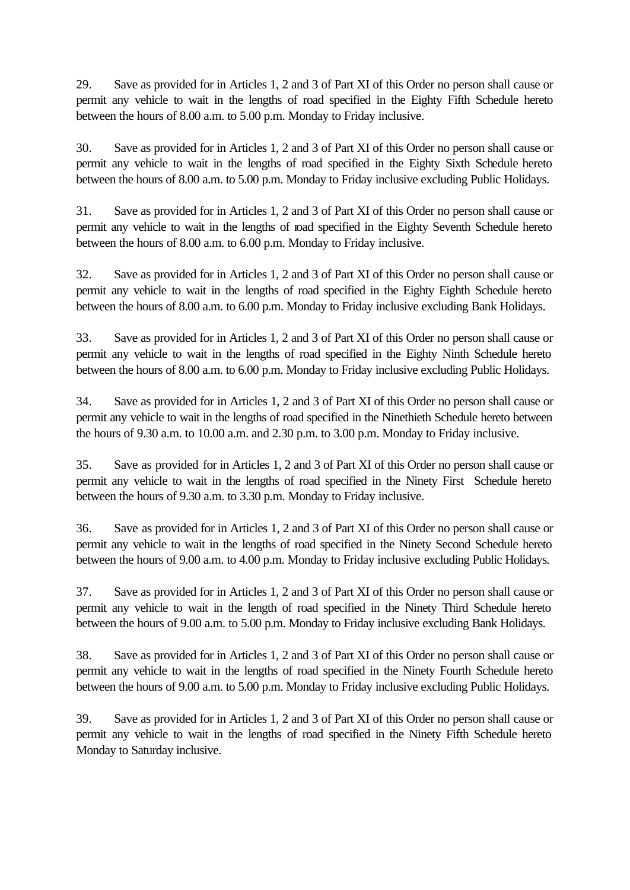29. Save as provided for in Articles 1, 2 and 3 of Part XI of this Order no person shall cause or permit any vehicle to wait in the lengths of road specified in the Eighty Fifth Schedule hereto between the hours of 8.00 a.m. to 5.00 p.m. Monday to Friday inclusive.

30. Save as provided for in Articles 1, 2 and 3 of Part XI of this Order no person shall cause or permit any vehicle to wait in the lengths of road specified in the Eighty Sixth Schedule hereto between the hours of 8.00 a.m. to 5.00 p.m. Monday to Friday inclusive excluding Public Holidays.

31. Save as provided for in Articles 1, 2 and 3 of Part XI of this Order no person shall cause or permit any vehicle to wait in the lengths of road specified in the Eighty Seventh Schedule hereto between the hours of 8.00 a.m. to 6.00 p.m. Monday to Friday inclusive.

32. Save as provided for in Articles 1, 2 and 3 of Part XI of this Order no person shall cause or permit any vehicle to wait in the lengths of road specified in the Eighty Eighth Schedule hereto between the hours of 8.00 a.m. to 6.00 p.m. Monday to Friday inclusive excluding Bank Holidays.

33. Save as provided for in Articles 1, 2 and 3 of Part XI of this Order no person shall cause or permit any vehicle to wait in the lengths of road specified in the Eighty Ninth Schedule hereto between the hours of 8.00 a.m. to 6.00 p.m. Monday to Friday inclusive excluding Public Holidays.

34. Save as provided for in Articles 1, 2 and 3 of Part XI of this Order no person shall cause or permit any vehicle to wait in the lengths of road specified in the Ninethieth Schedule hereto between the hours of 9.30 a.m. to 10.00 a.m. and 2.30 p.m. to 3.00 p.m. Monday to Friday inclusive.

35. Save as provided for in Articles 1, 2 and 3 of Part XI of this Order no person shall cause or permit any vehicle to wait in the lengths of road specified in the Ninety First Schedule hereto between the hours of 9.30 a.m. to 3.30 p.m. Monday to Friday inclusive.

36. Save as provided for in Articles 1, 2 and 3 of Part XI of this Order no person shall cause or permit any vehicle to wait in the lengths of road specified in the Ninety Second Schedule hereto between the hours of 9.00 a.m. to 4.00 p.m. Monday to Friday inclusive excluding Public Holidays.

37. Save as provided for in Articles 1, 2 and 3 of Part XI of this Order no person shall cause or permit any vehicle to wait in the length of road specified in the Ninety Third Schedule hereto between the hours of 9.00 a.m. to 5.00 p.m. Monday to Friday inclusive excluding Bank Holidays.

38. Save as provided for in Articles 1, 2 and 3 of Part XI of this Order no person shall cause or permit any vehicle to wait in the lengths of road specified in the Ninety Fourth Schedule hereto between the hours of 9.00 a.m. to 5.00 p.m. Monday to Friday inclusive excluding Public Holidays.

39. Save as provided for in Articles 1, 2 and 3 of Part XI of this Order no person shall cause or permit any vehicle to wait in the lengths of road specified in the Ninety Fifth Schedule hereto Monday to Saturday inclusive.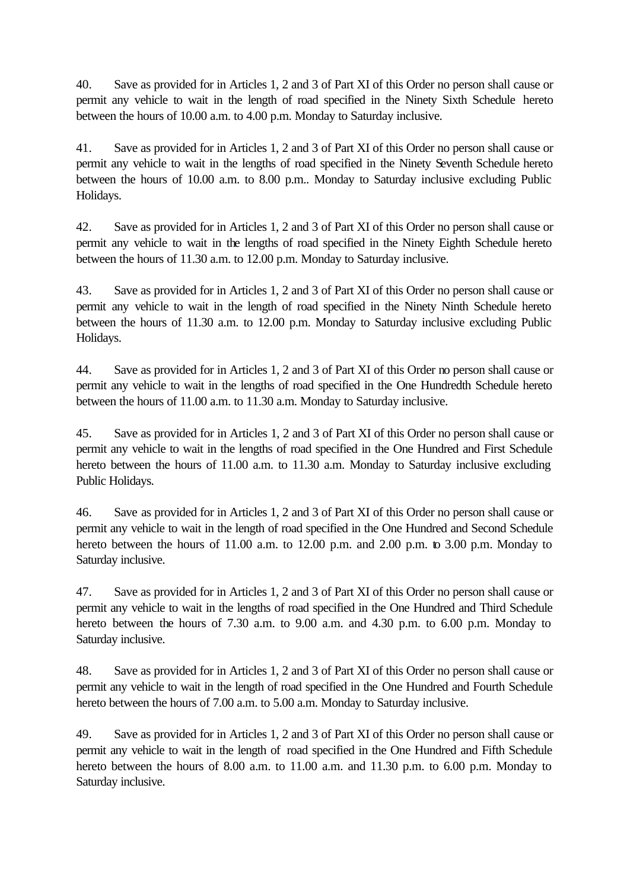40. Save as provided for in Articles 1, 2 and 3 of Part XI of this Order no person shall cause or permit any vehicle to wait in the length of road specified in the Ninety Sixth Schedule hereto between the hours of 10.00 a.m. to 4.00 p.m. Monday to Saturday inclusive.

41. Save as provided for in Articles 1, 2 and 3 of Part XI of this Order no person shall cause or permit any vehicle to wait in the lengths of road specified in the Ninety Seventh Schedule hereto between the hours of 10.00 a.m. to 8.00 p.m.. Monday to Saturday inclusive excluding Public Holidays.

42. Save as provided for in Articles 1, 2 and 3 of Part XI of this Order no person shall cause or permit any vehicle to wait in the lengths of road specified in the Ninety Eighth Schedule hereto between the hours of 11.30 a.m. to 12.00 p.m. Monday to Saturday inclusive.

43. Save as provided for in Articles 1, 2 and 3 of Part XI of this Order no person shall cause or permit any vehicle to wait in the length of road specified in the Ninety Ninth Schedule hereto between the hours of 11.30 a.m. to 12.00 p.m. Monday to Saturday inclusive excluding Public Holidays.

44. Save as provided for in Articles 1, 2 and 3 of Part XI of this Order no person shall cause or permit any vehicle to wait in the lengths of road specified in the One Hundredth Schedule hereto between the hours of 11.00 a.m. to 11.30 a.m. Monday to Saturday inclusive.

45. Save as provided for in Articles 1, 2 and 3 of Part XI of this Order no person shall cause or permit any vehicle to wait in the lengths of road specified in the One Hundred and First Schedule hereto between the hours of 11.00 a.m. to 11.30 a.m. Monday to Saturday inclusive excluding Public Holidays.

46. Save as provided for in Articles 1, 2 and 3 of Part XI of this Order no person shall cause or permit any vehicle to wait in the length of road specified in the One Hundred and Second Schedule hereto between the hours of 11.00 a.m. to 12.00 p.m. and 2.00 p.m. to 3.00 p.m. Monday to Saturday inclusive.

47. Save as provided for in Articles 1, 2 and 3 of Part XI of this Order no person shall cause or permit any vehicle to wait in the lengths of road specified in the One Hundred and Third Schedule hereto between the hours of 7.30 a.m. to 9.00 a.m. and 4.30 p.m. to 6.00 p.m. Monday to Saturday inclusive.

48. Save as provided for in Articles 1, 2 and 3 of Part XI of this Order no person shall cause or permit any vehicle to wait in the length of road specified in the One Hundred and Fourth Schedule hereto between the hours of 7.00 a.m. to 5.00 a.m. Monday to Saturday inclusive.

49. Save as provided for in Articles 1, 2 and 3 of Part XI of this Order no person shall cause or permit any vehicle to wait in the length of road specified in the One Hundred and Fifth Schedule hereto between the hours of 8.00 a.m. to 11.00 a.m. and 11.30 p.m. to 6.00 p.m. Monday to Saturday inclusive.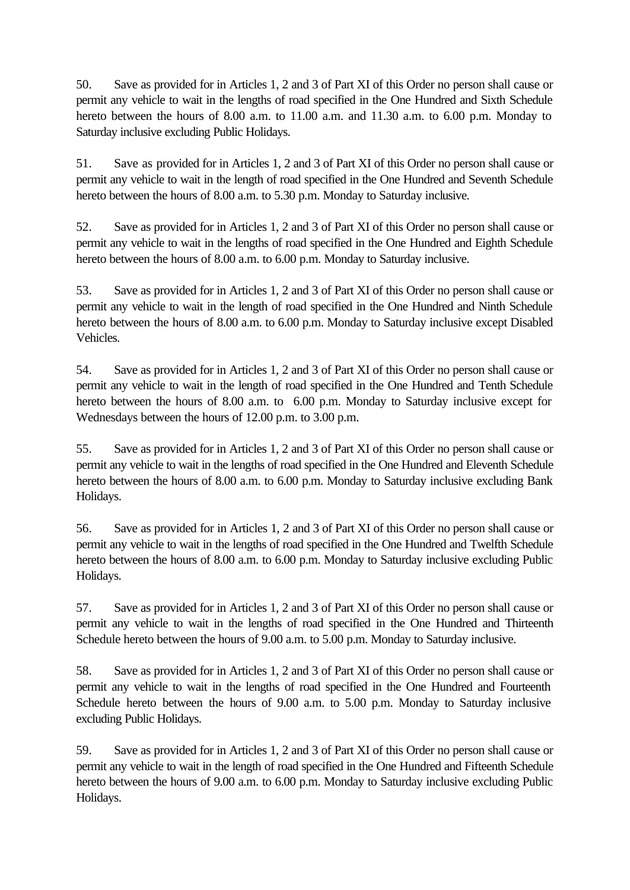50. Save as provided for in Articles 1, 2 and 3 of Part XI of this Order no person shall cause or permit any vehicle to wait in the lengths of road specified in the One Hundred and Sixth Schedule hereto between the hours of 8.00 a.m. to 11.00 a.m. and 11.30 a.m. to 6.00 p.m. Monday to Saturday inclusive excluding Public Holidays.

51. Save as provided for in Articles 1, 2 and 3 of Part XI of this Order no person shall cause or permit any vehicle to wait in the length of road specified in the One Hundred and Seventh Schedule hereto between the hours of 8.00 a.m. to 5.30 p.m. Monday to Saturday inclusive.

52. Save as provided for in Articles 1, 2 and 3 of Part XI of this Order no person shall cause or permit any vehicle to wait in the lengths of road specified in the One Hundred and Eighth Schedule hereto between the hours of 8.00 a.m. to 6.00 p.m. Monday to Saturday inclusive.

53. Save as provided for in Articles 1, 2 and 3 of Part XI of this Order no person shall cause or permit any vehicle to wait in the length of road specified in the One Hundred and Ninth Schedule hereto between the hours of 8.00 a.m. to 6.00 p.m. Monday to Saturday inclusive except Disabled Vehicles.

54. Save as provided for in Articles 1, 2 and 3 of Part XI of this Order no person shall cause or permit any vehicle to wait in the length of road specified in the One Hundred and Tenth Schedule hereto between the hours of 8.00 a.m. to 6.00 p.m. Monday to Saturday inclusive except for Wednesdays between the hours of 12.00 p.m. to 3.00 p.m.

55. Save as provided for in Articles 1, 2 and 3 of Part XI of this Order no person shall cause or permit any vehicle to wait in the lengths of road specified in the One Hundred and Eleventh Schedule hereto between the hours of 8.00 a.m. to 6.00 p.m. Monday to Saturday inclusive excluding Bank Holidays.

56. Save as provided for in Articles 1, 2 and 3 of Part XI of this Order no person shall cause or permit any vehicle to wait in the lengths of road specified in the One Hundred and Twelfth Schedule hereto between the hours of 8.00 a.m. to 6.00 p.m. Monday to Saturday inclusive excluding Public Holidays.

57. Save as provided for in Articles 1, 2 and 3 of Part XI of this Order no person shall cause or permit any vehicle to wait in the lengths of road specified in the One Hundred and Thirteenth Schedule hereto between the hours of 9.00 a.m. to 5.00 p.m. Monday to Saturday inclusive.

58. Save as provided for in Articles 1, 2 and 3 of Part XI of this Order no person shall cause or permit any vehicle to wait in the lengths of road specified in the One Hundred and Fourteenth Schedule hereto between the hours of 9.00 a.m. to 5.00 p.m. Monday to Saturday inclusive excluding Public Holidays.

59. Save as provided for in Articles 1, 2 and 3 of Part XI of this Order no person shall cause or permit any vehicle to wait in the length of road specified in the One Hundred and Fifteenth Schedule hereto between the hours of 9.00 a.m. to 6.00 p.m. Monday to Saturday inclusive excluding Public Holidays.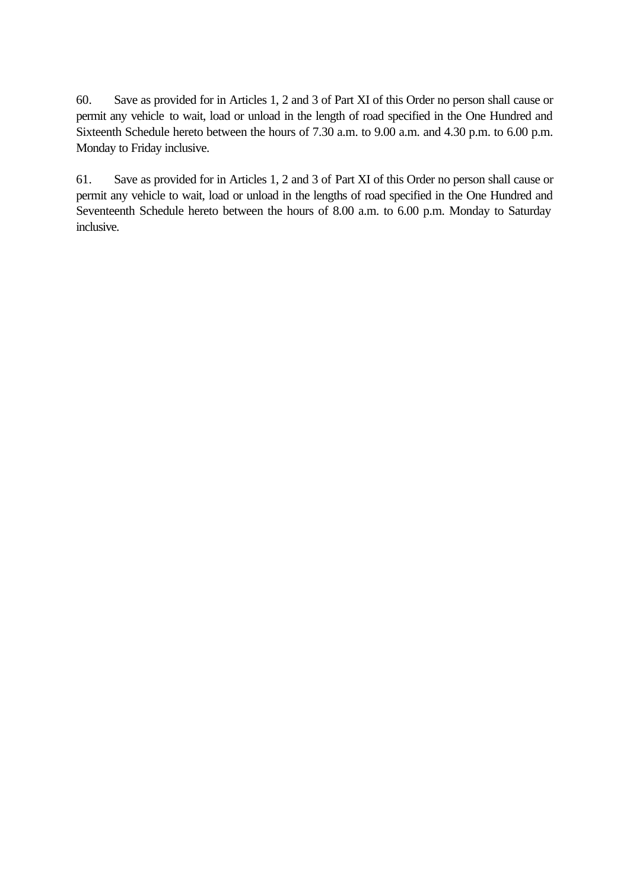60. Save as provided for in Articles 1, 2 and 3 of Part XI of this Order no person shall cause or permit any vehicle to wait, load or unload in the length of road specified in the One Hundred and Sixteenth Schedule hereto between the hours of 7.30 a.m. to 9.00 a.m. and 4.30 p.m. to 6.00 p.m. Monday to Friday inclusive.

61. Save as provided for in Articles 1, 2 and 3 of Part XI of this Order no person shall cause or permit any vehicle to wait, load or unload in the lengths of road specified in the One Hundred and Seventeenth Schedule hereto between the hours of 8.00 a.m. to 6.00 p.m. Monday to Saturday inclusive.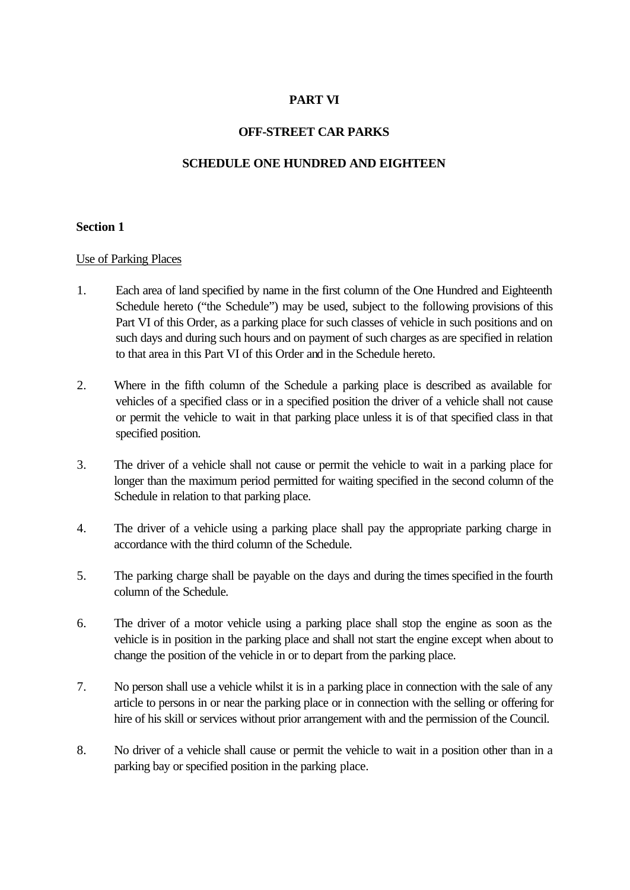## **PART VI**

## **OFF-STREET CAR PARKS**

### **SCHEDULE ONE HUNDRED AND EIGHTEEN**

#### **Section 1**

#### Use of Parking Places

- 1. Each area of land specified by name in the first column of the One Hundred and Eighteenth Schedule hereto ("the Schedule") may be used, subject to the following provisions of this Part VI of this Order, as a parking place for such classes of vehicle in such positions and on such days and during such hours and on payment of such charges as are specified in relation to that area in this Part VI of this Order and in the Schedule hereto.
- 2. Where in the fifth column of the Schedule a parking place is described as available for vehicles of a specified class or in a specified position the driver of a vehicle shall not cause or permit the vehicle to wait in that parking place unless it is of that specified class in that specified position.
- 3. The driver of a vehicle shall not cause or permit the vehicle to wait in a parking place for longer than the maximum period permitted for waiting specified in the second column of the Schedule in relation to that parking place.
- 4. The driver of a vehicle using a parking place shall pay the appropriate parking charge in accordance with the third column of the Schedule.
- 5. The parking charge shall be payable on the days and during the times specified in the fourth column of the Schedule.
- 6. The driver of a motor vehicle using a parking place shall stop the engine as soon as the vehicle is in position in the parking place and shall not start the engine except when about to change the position of the vehicle in or to depart from the parking place.
- 7. No person shall use a vehicle whilst it is in a parking place in connection with the sale of any article to persons in or near the parking place or in connection with the selling or offering for hire of his skill or services without prior arrangement with and the permission of the Council.
- 8. No driver of a vehicle shall cause or permit the vehicle to wait in a position other than in a parking bay or specified position in the parking place.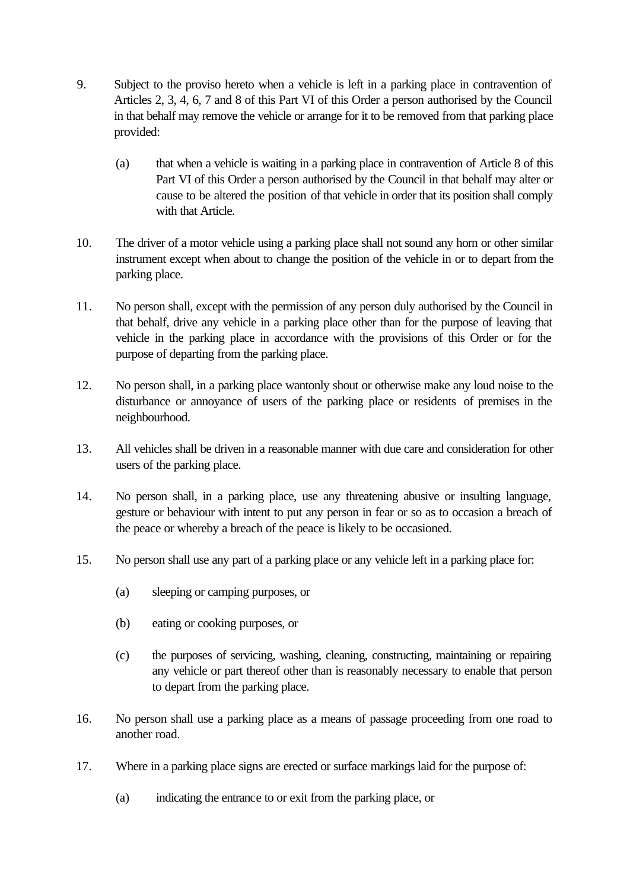- 9. Subject to the proviso hereto when a vehicle is left in a parking place in contravention of Articles 2, 3, 4, 6, 7 and 8 of this Part VI of this Order a person authorised by the Council in that behalf may remove the vehicle or arrange for it to be removed from that parking place provided:
	- (a) that when a vehicle is waiting in a parking place in contravention of Article 8 of this Part VI of this Order a person authorised by the Council in that behalf may alter or cause to be altered the position of that vehicle in order that its position shall comply with that Article.
- 10. The driver of a motor vehicle using a parking place shall not sound any horn or other similar instrument except when about to change the position of the vehicle in or to depart from the parking place.
- 11. No person shall, except with the permission of any person duly authorised by the Council in that behalf, drive any vehicle in a parking place other than for the purpose of leaving that vehicle in the parking place in accordance with the provisions of this Order or for the purpose of departing from the parking place.
- 12. No person shall, in a parking place wantonly shout or otherwise make any loud noise to the disturbance or annoyance of users of the parking place or residents of premises in the neighbourhood.
- 13. All vehicles shall be driven in a reasonable manner with due care and consideration for other users of the parking place.
- 14. No person shall, in a parking place, use any threatening abusive or insulting language, gesture or behaviour with intent to put any person in fear or so as to occasion a breach of the peace or whereby a breach of the peace is likely to be occasioned.
- 15. No person shall use any part of a parking place or any vehicle left in a parking place for:
	- (a) sleeping or camping purposes, or
	- (b) eating or cooking purposes, or
	- (c) the purposes of servicing, washing, cleaning, constructing, maintaining or repairing any vehicle or part thereof other than is reasonably necessary to enable that person to depart from the parking place.
- 16. No person shall use a parking place as a means of passage proceeding from one road to another road.
- 17. Where in a parking place signs are erected or surface markings laid for the purpose of:
	- (a) indicating the entrance to or exit from the parking place, or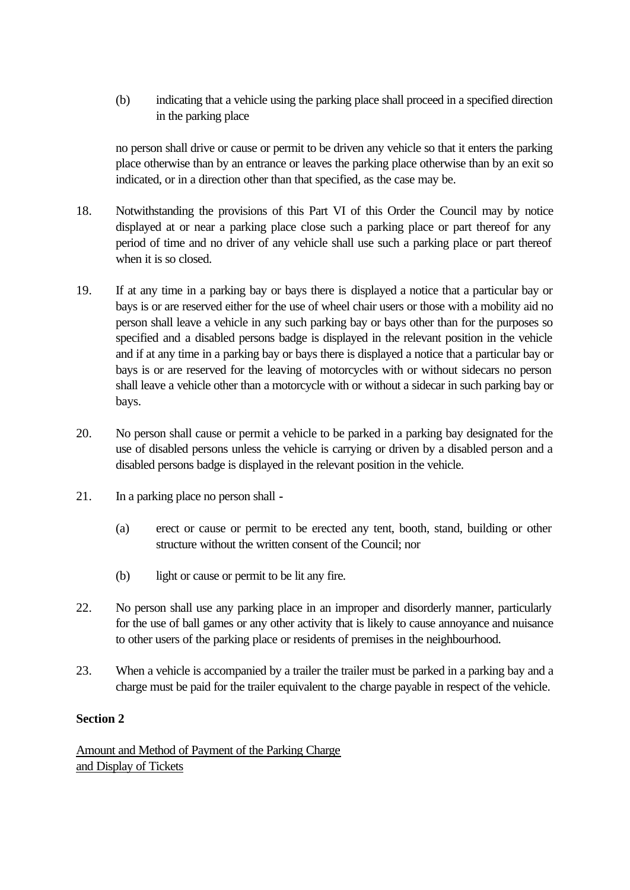(b) indicating that a vehicle using the parking place shall proceed in a specified direction in the parking place

no person shall drive or cause or permit to be driven any vehicle so that it enters the parking place otherwise than by an entrance or leaves the parking place otherwise than by an exit so indicated, or in a direction other than that specified, as the case may be.

- 18. Notwithstanding the provisions of this Part VI of this Order the Council may by notice displayed at or near a parking place close such a parking place or part thereof for any period of time and no driver of any vehicle shall use such a parking place or part thereof when it is so closed.
- 19. If at any time in a parking bay or bays there is displayed a notice that a particular bay or bays is or are reserved either for the use of wheel chair users or those with a mobility aid no person shall leave a vehicle in any such parking bay or bays other than for the purposes so specified and a disabled persons badge is displayed in the relevant position in the vehicle and if at any time in a parking bay or bays there is displayed a notice that a particular bay or bays is or are reserved for the leaving of motorcycles with or without sidecars no person shall leave a vehicle other than a motorcycle with or without a sidecar in such parking bay or bays.
- 20. No person shall cause or permit a vehicle to be parked in a parking bay designated for the use of disabled persons unless the vehicle is carrying or driven by a disabled person and a disabled persons badge is displayed in the relevant position in the vehicle.
- 21. In a parking place no person shall **-**
	- (a) erect or cause or permit to be erected any tent, booth, stand, building or other structure without the written consent of the Council; nor
	- (b) light or cause or permit to be lit any fire.
- 22. No person shall use any parking place in an improper and disorderly manner, particularly for the use of ball games or any other activity that is likely to cause annoyance and nuisance to other users of the parking place or residents of premises in the neighbourhood.
- 23. When a vehicle is accompanied by a trailer the trailer must be parked in a parking bay and a charge must be paid for the trailer equivalent to the charge payable in respect of the vehicle.

# **Section 2**

Amount and Method of Payment of the Parking Charge and Display of Tickets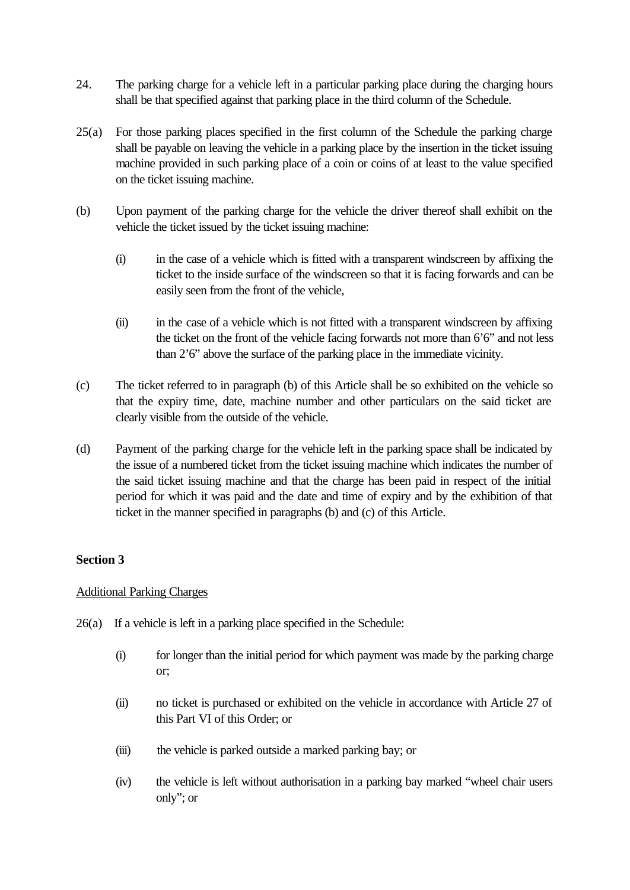- 24. The parking charge for a vehicle left in a particular parking place during the charging hours shall be that specified against that parking place in the third column of the Schedule.
- 25(a) For those parking places specified in the first column of the Schedule the parking charge shall be payable on leaving the vehicle in a parking place by the insertion in the ticket issuing machine provided in such parking place of a coin or coins of at least to the value specified on the ticket issuing machine.
- (b) Upon payment of the parking charge for the vehicle the driver thereof shall exhibit on the vehicle the ticket issued by the ticket issuing machine:
	- (i) in the case of a vehicle which is fitted with a transparent windscreen by affixing the ticket to the inside surface of the windscreen so that it is facing forwards and can be easily seen from the front of the vehicle,
	- (ii) in the case of a vehicle which is not fitted with a transparent windscreen by affixing the ticket on the front of the vehicle facing forwards not more than  $6'6'$  and not less than 2'6" above the surface of the parking place in the immediate vicinity.
- (c) The ticket referred to in paragraph (b) of this Article shall be so exhibited on the vehicle so that the expiry time, date, machine number and other particulars on the said ticket are clearly visible from the outside of the vehicle.
- (d) Payment of the parking charge for the vehicle left in the parking space shall be indicated by the issue of a numbered ticket from the ticket issuing machine which indicates the number of the said ticket issuing machine and that the charge has been paid in respect of the initial period for which it was paid and the date and time of expiry and by the exhibition of that ticket in the manner specified in paragraphs (b) and (c) of this Article.

## **Section 3**

### Additional Parking Charges

- 26(a) If a vehicle is left in a parking place specified in the Schedule:
	- (i) for longer than the initial period for which payment was made by the parking charge or;
	- (ii) no ticket is purchased or exhibited on the vehicle in accordance with Article 27 of this Part VI of this Order; or
	- (iii) the vehicle is parked outside a marked parking bay; or
	- (iv) the vehicle is left without authorisation in a parking bay marked "wheel chair users only"; or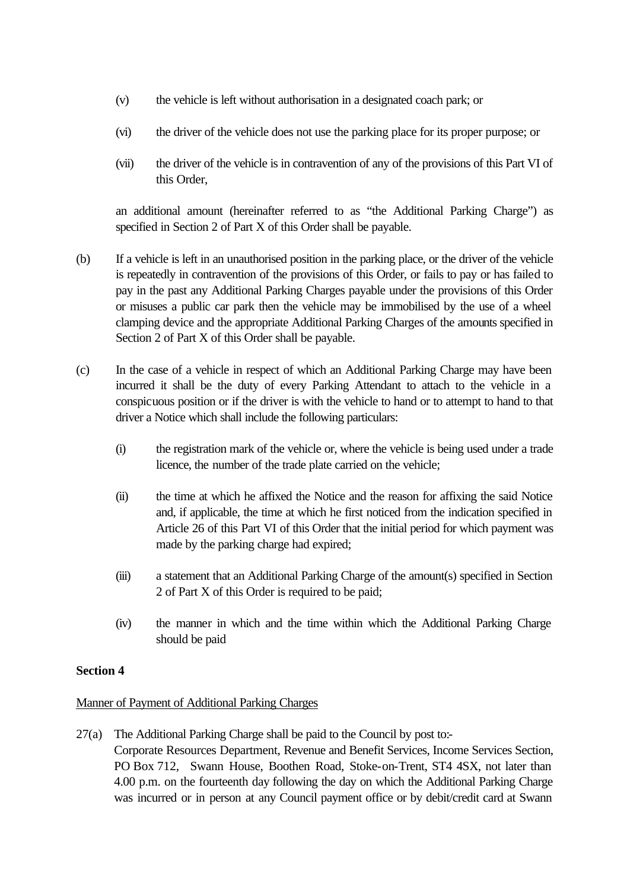- (v) the vehicle is left without authorisation in a designated coach park; or
- (vi) the driver of the vehicle does not use the parking place for its proper purpose; or
- (vii) the driver of the vehicle is in contravention of any of the provisions of this Part VI of this Order,

an additional amount (hereinafter referred to as "the Additional Parking Charge") as specified in Section 2 of Part X of this Order shall be payable.

- (b) If a vehicle is left in an unauthorised position in the parking place, or the driver of the vehicle is repeatedly in contravention of the provisions of this Order, or fails to pay or has failed to pay in the past any Additional Parking Charges payable under the provisions of this Order or misuses a public car park then the vehicle may be immobilised by the use of a wheel clamping device and the appropriate Additional Parking Charges of the amounts specified in Section 2 of Part X of this Order shall be payable.
- (c) In the case of a vehicle in respect of which an Additional Parking Charge may have been incurred it shall be the duty of every Parking Attendant to attach to the vehicle in a conspicuous position or if the driver is with the vehicle to hand or to attempt to hand to that driver a Notice which shall include the following particulars:
	- (i) the registration mark of the vehicle or, where the vehicle is being used under a trade licence, the number of the trade plate carried on the vehicle;
	- (ii) the time at which he affixed the Notice and the reason for affixing the said Notice and, if applicable, the time at which he first noticed from the indication specified in Article 26 of this Part VI of this Order that the initial period for which payment was made by the parking charge had expired;
	- (iii) a statement that an Additional Parking Charge of the amount(s) specified in Section 2 of Part X of this Order is required to be paid;
	- (iv) the manner in which and the time within which the Additional Parking Charge should be paid

## **Section 4**

### Manner of Payment of Additional Parking Charges

27(a) The Additional Parking Charge shall be paid to the Council by post to:- Corporate Resources Department, Revenue and Benefit Services, Income Services Section, PO Box 712, Swann House, Boothen Road, Stoke-on-Trent, ST4 4SX, not later than 4.00 p.m. on the fourteenth day following the day on which the Additional Parking Charge was incurred or in person at any Council payment office or by debit/credit card at Swann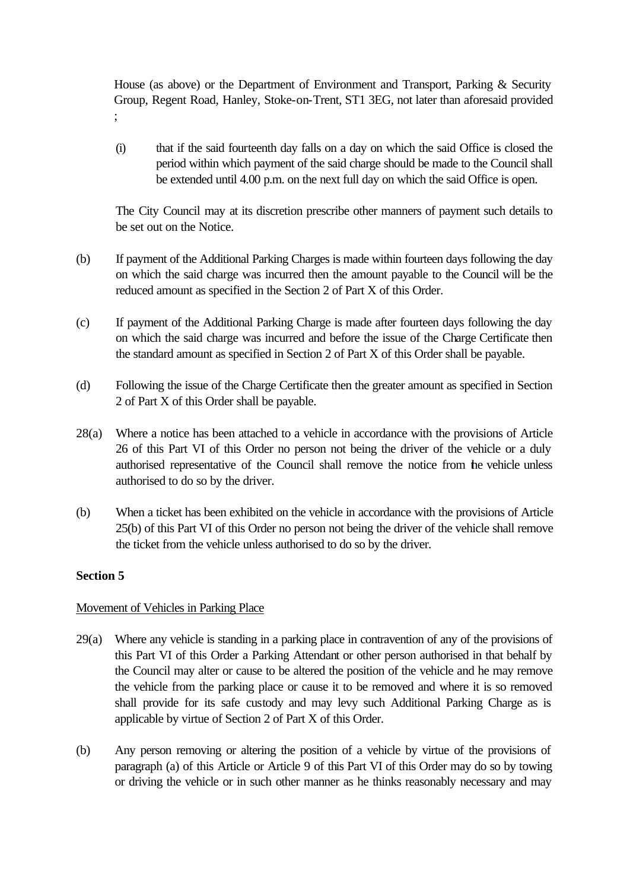House (as above) or the Department of Environment and Transport, Parking & Security Group, Regent Road, Hanley, Stoke-on-Trent, ST1 3EG, not later than aforesaid provided ;

(i) that if the said fourteenth day falls on a day on which the said Office is closed the period within which payment of the said charge should be made to the Council shall be extended until 4.00 p.m. on the next full day on which the said Office is open.

The City Council may at its discretion prescribe other manners of payment such details to be set out on the Notice.

- (b) If payment of the Additional Parking Charges is made within fourteen days following the day on which the said charge was incurred then the amount payable to the Council will be the reduced amount as specified in the Section 2 of Part X of this Order.
- (c) If payment of the Additional Parking Charge is made after fourteen days following the day on which the said charge was incurred and before the issue of the Charge Certificate then the standard amount as specified in Section 2 of Part X of this Order shall be payable.
- (d) Following the issue of the Charge Certificate then the greater amount as specified in Section 2 of Part X of this Order shall be payable.
- 28(a) Where a notice has been attached to a vehicle in accordance with the provisions of Article 26 of this Part VI of this Order no person not being the driver of the vehicle or a duly authorised representative of the Council shall remove the notice from the vehicle unless authorised to do so by the driver.
- (b) When a ticket has been exhibited on the vehicle in accordance with the provisions of Article 25(b) of this Part VI of this Order no person not being the driver of the vehicle shall remove the ticket from the vehicle unless authorised to do so by the driver.

## **Section 5**

## Movement of Vehicles in Parking Place

- 29(a) Where any vehicle is standing in a parking place in contravention of any of the provisions of this Part VI of this Order a Parking Attendant or other person authorised in that behalf by the Council may alter or cause to be altered the position of the vehicle and he may remove the vehicle from the parking place or cause it to be removed and where it is so removed shall provide for its safe custody and may levy such Additional Parking Charge as is applicable by virtue of Section 2 of Part X of this Order.
- (b) Any person removing or altering the position of a vehicle by virtue of the provisions of paragraph (a) of this Article or Article 9 of this Part VI of this Order may do so by towing or driving the vehicle or in such other manner as he thinks reasonably necessary and may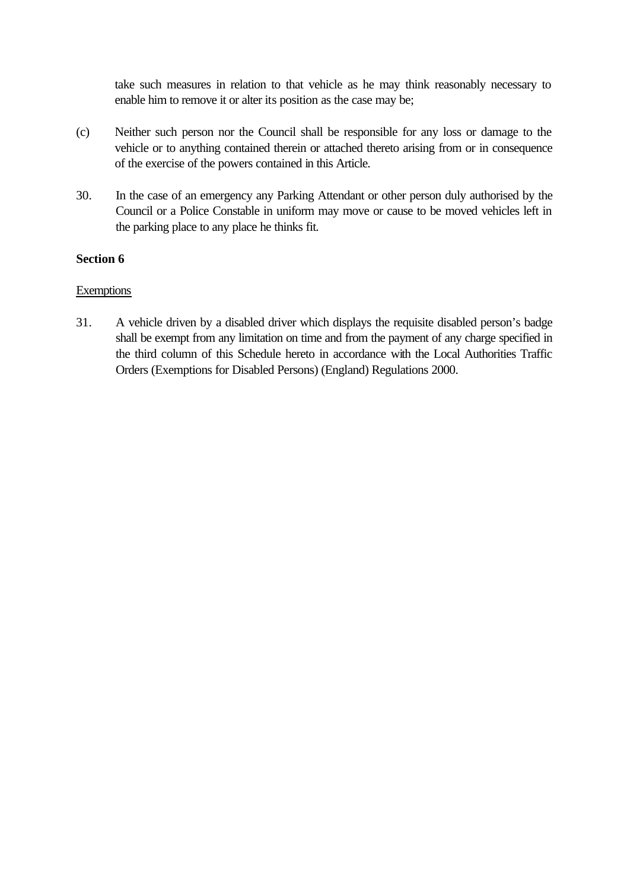take such measures in relation to that vehicle as he may think reasonably necessary to enable him to remove it or alter its position as the case may be;

- (c) Neither such person nor the Council shall be responsible for any loss or damage to the vehicle or to anything contained therein or attached thereto arising from or in consequence of the exercise of the powers contained in this Article.
- 30. In the case of an emergency any Parking Attendant or other person duly authorised by the Council or a Police Constable in uniform may move or cause to be moved vehicles left in the parking place to any place he thinks fit.

### **Section 6**

### **Exemptions**

31. A vehicle driven by a disabled driver which displays the requisite disabled person's badge shall be exempt from any limitation on time and from the payment of any charge specified in the third column of this Schedule hereto in accordance with the Local Authorities Traffic Orders (Exemptions for Disabled Persons) (England) Regulations 2000.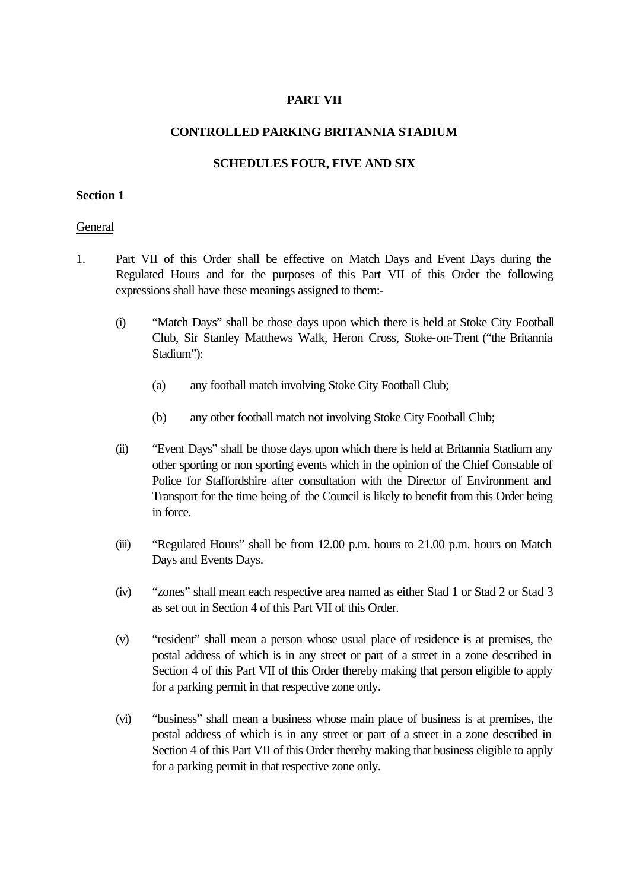### **PART VII**

#### **CONTROLLED PARKING BRITANNIA STADIUM**

#### **SCHEDULES FOUR, FIVE AND SIX**

#### **Section 1**

#### **General**

- 1. Part VII of this Order shall be effective on Match Days and Event Days during the Regulated Hours and for the purposes of this Part VII of this Order the following expressions shall have these meanings assigned to them:-
	- (i) "Match Days" shall be those days upon which there is held at Stoke City Football Club, Sir Stanley Matthews Walk, Heron Cross, Stoke-on-Trent ("the Britannia Stadium"):
		- (a) any football match involving Stoke City Football Club;
		- (b) any other football match not involving Stoke City Football Club;
	- (ii) "Event Days" shall be those days upon which there is held at Britannia Stadium any other sporting or non sporting events which in the opinion of the Chief Constable of Police for Staffordshire after consultation with the Director of Environment and Transport for the time being of the Council is likely to benefit from this Order being in force.
	- (iii) "Regulated Hours" shall be from 12.00 p.m. hours to 21.00 p.m. hours on Match Days and Events Days.
	- (iv) "zones" shall mean each respective area named as either Stad 1 or Stad 2 or Stad 3 as set out in Section 4 of this Part VII of this Order.
	- (v) "resident" shall mean a person whose usual place of residence is at premises, the postal address of which is in any street or part of a street in a zone described in Section 4 of this Part VII of this Order thereby making that person eligible to apply for a parking permit in that respective zone only.
	- (vi) "business" shall mean a business whose main place of business is at premises, the postal address of which is in any street or part of a street in a zone described in Section 4 of this Part VII of this Order thereby making that business eligible to apply for a parking permit in that respective zone only.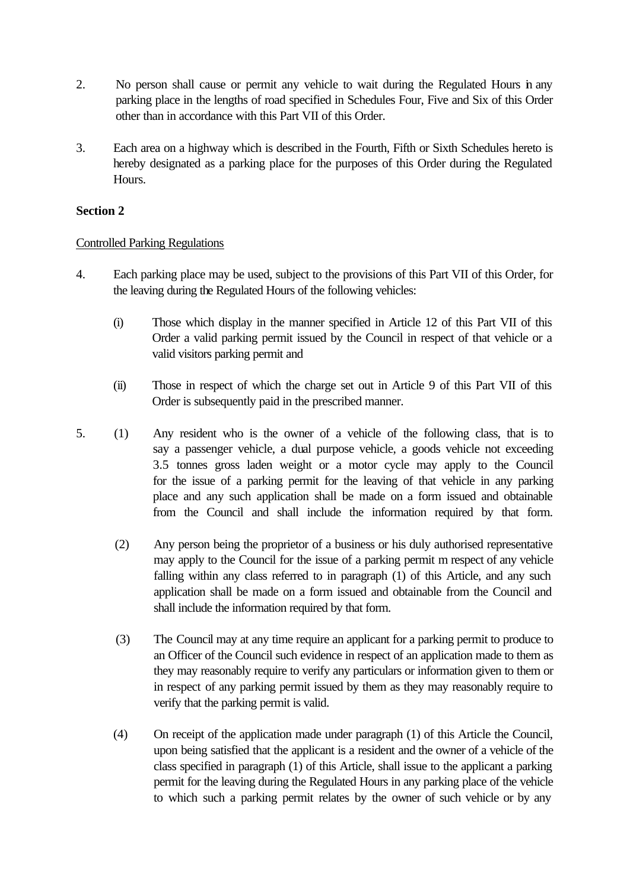- 2. No person shall cause or permit any vehicle to wait during the Regulated Hours in any parking place in the lengths of road specified in Schedules Four, Five and Six of this Order other than in accordance with this Part VII of this Order.
- 3. Each area on a highway which is described in the Fourth, Fifth or Sixth Schedules hereto is hereby designated as a parking place for the purposes of this Order during the Regulated Hours.

### **Section 2**

### Controlled Parking Regulations

- 4. Each parking place may be used, subject to the provisions of this Part VII of this Order, for the leaving during the Regulated Hours of the following vehicles:
	- (i) Those which display in the manner specified in Article 12 of this Part VII of this Order a valid parking permit issued by the Council in respect of that vehicle or a valid visitors parking permit and
	- (ii) Those in respect of which the charge set out in Article 9 of this Part VII of this Order is subsequently paid in the prescribed manner.
- 5. (1) Any resident who is the owner of a vehicle of the following class, that is to say a passenger vehicle, a dual purpose vehicle, a goods vehicle not exceeding 3.5 tonnes gross laden weight or a motor cycle may apply to the Council for the issue of a parking permit for the leaving of that vehicle in any parking place and any such application shall be made on a form issued and obtainable from the Council and shall include the information required by that form.
	- (2) Any person being the proprietor of a business or his duly authorised representative may apply to the Council for the issue of a parking permit m respect of any vehicle falling within any class referred to in paragraph (1) of this Article, and any such application shall be made on a form issued and obtainable from the Council and shall include the information required by that form.
	- (3) The Council may at any time require an applicant for a parking permit to produce to an Officer of the Council such evidence in respect of an application made to them as they may reasonably require to verify any particulars or information given to them or in respect of any parking permit issued by them as they may reasonably require to verify that the parking permit is valid.
	- (4) On receipt of the application made under paragraph (1) of this Article the Council, upon being satisfied that the applicant is a resident and the owner of a vehicle of the class specified in paragraph (1) of this Article, shall issue to the applicant a parking permit for the leaving during the Regulated Hours in any parking place of the vehicle to which such a parking permit relates by the owner of such vehicle or by any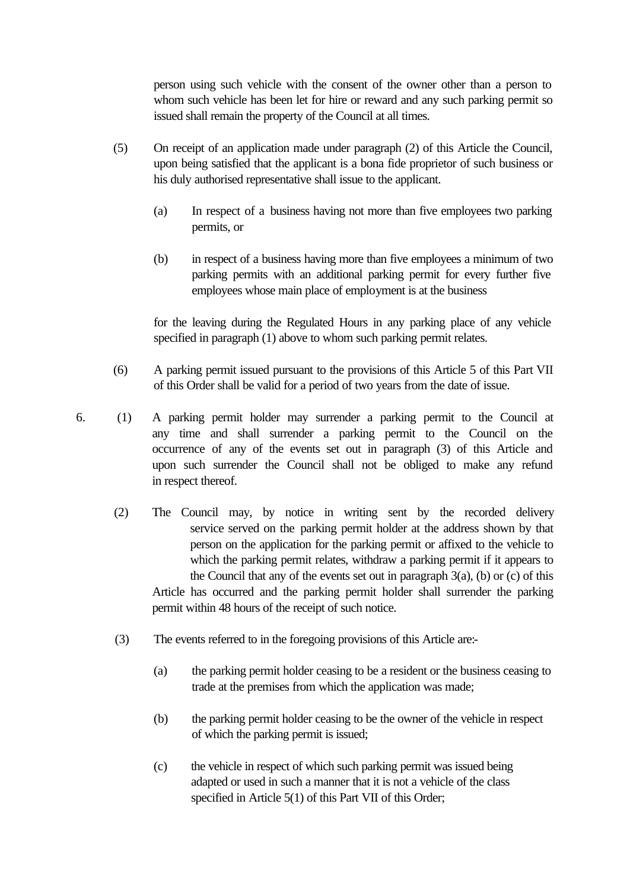person using such vehicle with the consent of the owner other than a person to whom such vehicle has been let for hire or reward and any such parking permit so issued shall remain the property of the Council at all times.

- (5) On receipt of an application made under paragraph (2) of this Article the Council, upon being satisfied that the applicant is a bona fide proprietor of such business or his duly authorised representative shall issue to the applicant.
	- (a) In respect of a business having not more than five employees two parking permits, or
	- (b) in respect of a business having more than five employees a minimum of two parking permits with an additional parking permit for every further five employees whose main place of employment is at the business

for the leaving during the Regulated Hours in any parking place of any vehicle specified in paragraph (1) above to whom such parking permit relates.

(6) A parking permit issued pursuant to the provisions of this Article 5 of this Part VII of this Order shall be valid for a period of two years from the date of issue.

6. (1) A parking permit holder may surrender a parking permit to the Council at any time and shall surrender a parking permit to the Council on the occurrence of any of the events set out in paragraph (3) of this Article and upon such surrender the Council shall not be obliged to make any refund in respect thereof.

- (2) The Council may, by notice in writing sent by the recorded delivery service served on the parking permit holder at the address shown by that person on the application for the parking permit or affixed to the vehicle to which the parking permit relates, withdraw a parking permit if it appears to the Council that any of the events set out in paragraph  $3(a)$ , (b) or (c) of this Article has occurred and the parking permit holder shall surrender the parking permit within 48 hours of the receipt of such notice.
- (3) The events referred to in the foregoing provisions of this Article are:-
	- (a) the parking permit holder ceasing to be a resident or the business ceasing to trade at the premises from which the application was made;
	- (b) the parking permit holder ceasing to be the owner of the vehicle in respect of which the parking permit is issued;
	- (c) the vehicle in respect of which such parking permit was issued being adapted or used in such a manner that it is not a vehicle of the class specified in Article 5(1) of this Part VII of this Order;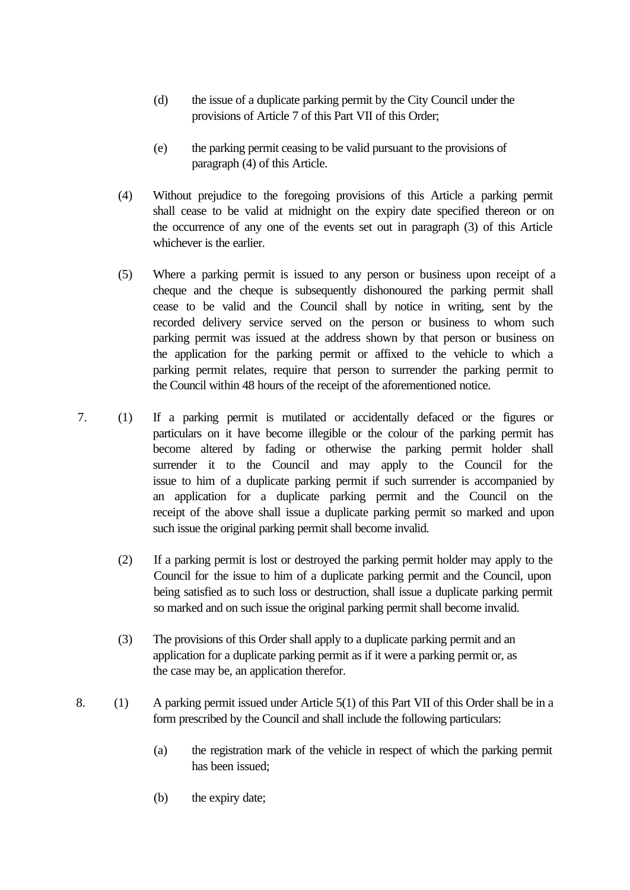- (d) the issue of a duplicate parking permit by the City Council under the provisions of Article 7 of this Part VII of this Order;
- (e) the parking permit ceasing to be valid pursuant to the provisions of paragraph (4) of this Article.
- (4) Without prejudice to the foregoing provisions of this Article a parking permit shall cease to be valid at midnight on the expiry date specified thereon or on the occurrence of any one of the events set out in paragraph (3) of this Article whichever is the earlier.
- (5) Where a parking permit is issued to any person or business upon receipt of a cheque and the cheque is subsequently dishonoured the parking permit shall cease to be valid and the Council shall by notice in writing, sent by the recorded delivery service served on the person or business to whom such parking permit was issued at the address shown by that person or business on the application for the parking permit or affixed to the vehicle to which a parking permit relates, require that person to surrender the parking permit to the Council within 48 hours of the receipt of the aforementioned notice.
- 7. (1) If a parking permit is mutilated or accidentally defaced or the figures or particulars on it have become illegible or the colour of the parking permit has become altered by fading or otherwise the parking permit holder shall surrender it to the Council and may apply to the Council for the issue to him of a duplicate parking permit if such surrender is accompanied by an application for a duplicate parking permit and the Council on the receipt of the above shall issue a duplicate parking permit so marked and upon such issue the original parking permit shall become invalid.
	- (2) If a parking permit is lost or destroyed the parking permit holder may apply to the Council for the issue to him of a duplicate parking permit and the Council, upon being satisfied as to such loss or destruction, shall issue a duplicate parking permit so marked and on such issue the original parking permit shall become invalid.
	- (3) The provisions of this Order shall apply to a duplicate parking permit and an application for a duplicate parking permit as if it were a parking permit or, as the case may be, an application therefor.
- 8. (1) A parking permit issued under Article 5(1) of this Part VII of this Order shall be in a form prescribed by the Council and shall include the following particulars:
	- (a) the registration mark of the vehicle in respect of which the parking permit has been issued;
	- (b) the expiry date;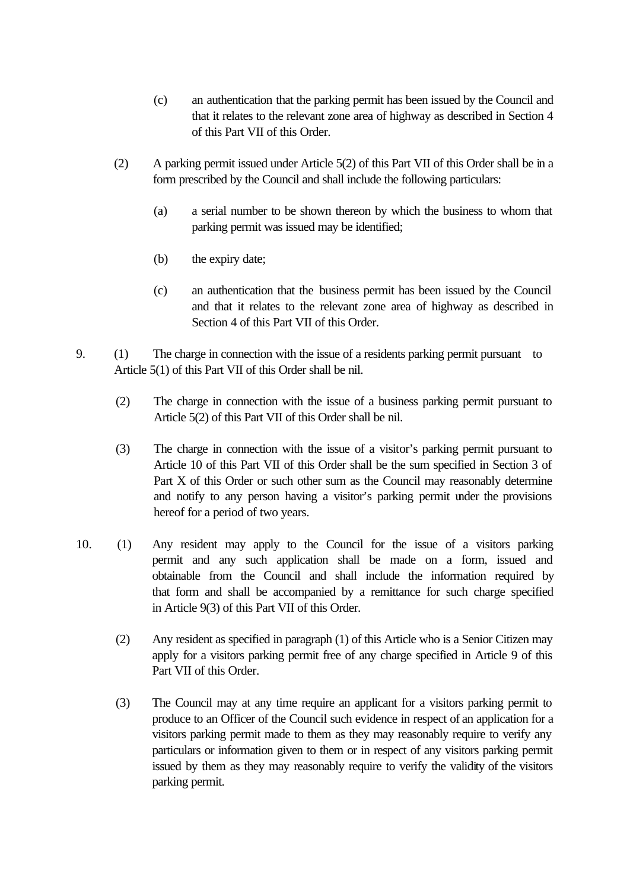- (c) an authentication that the parking permit has been issued by the Council and that it relates to the relevant zone area of highway as described in Section 4 of this Part VII of this Order.
- (2) A parking permit issued under Article 5(2) of this Part VII of this Order shall be in a form prescribed by the Council and shall include the following particulars:
	- (a) a serial number to be shown thereon by which the business to whom that parking permit was issued may be identified;
	- (b) the expiry date;
	- (c) an authentication that the business permit has been issued by the Council and that it relates to the relevant zone area of highway as described in Section 4 of this Part VII of this Order.
- 9. (1) The charge in connection with the issue of a residents parking permit pursuant to Article 5(1) of this Part VII of this Order shall be nil.
	- (2) The charge in connection with the issue of a business parking permit pursuant to Article 5(2) of this Part VII of this Order shall be nil.
	- (3) The charge in connection with the issue of a visitor's parking permit pursuant to Article 10 of this Part VII of this Order shall be the sum specified in Section 3 of Part X of this Order or such other sum as the Council may reasonably determine and notify to any person having a visitor's parking permit under the provisions hereof for a period of two years.
- 10. (1) Any resident may apply to the Council for the issue of a visitors parking permit and any such application shall be made on a form, issued and obtainable from the Council and shall include the information required by that form and shall be accompanied by a remittance for such charge specified in Article 9(3) of this Part VII of this Order.
	- (2) Any resident as specified in paragraph (1) of this Article who is a Senior Citizen may apply for a visitors parking permit free of any charge specified in Article 9 of this Part VII of this Order.
	- (3) The Council may at any time require an applicant for a visitors parking permit to produce to an Officer of the Council such evidence in respect of an application for a visitors parking permit made to them as they may reasonably require to verify any particulars or information given to them or in respect of any visitors parking permit issued by them as they may reasonably require to verify the validity of the visitors parking permit.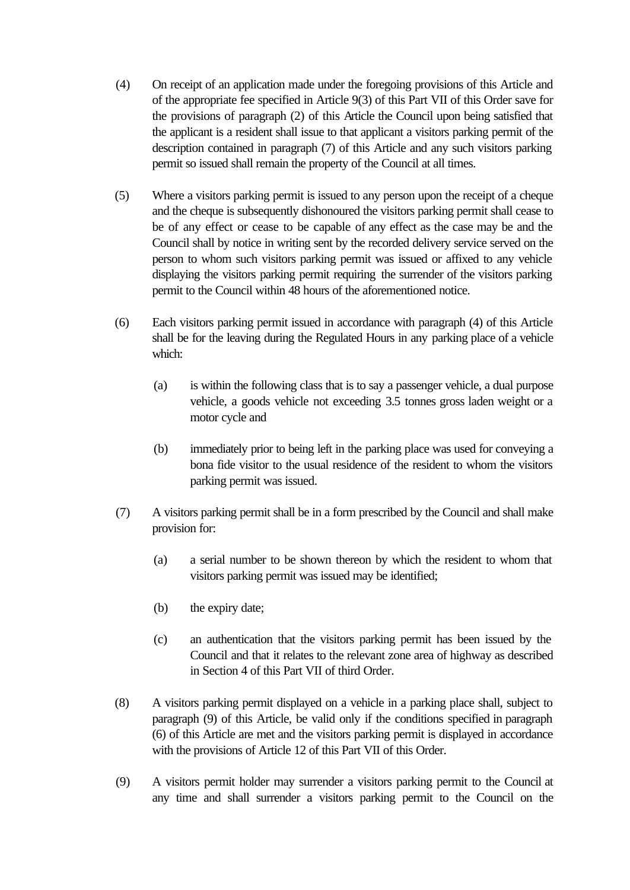- (4) On receipt of an application made under the foregoing provisions of this Article and of the appropriate fee specified in Article 9(3) of this Part VII of this Order save for the provisions of paragraph (2) of this Article the Council upon being satisfied that the applicant is a resident shall issue to that applicant a visitors parking permit of the description contained in paragraph (7) of this Article and any such visitors parking permit so issued shall remain the property of the Council at all times.
- (5) Where a visitors parking permit is issued to any person upon the receipt of a cheque and the cheque is subsequently dishonoured the visitors parking permit shall cease to be of any effect or cease to be capable of any effect as the case may be and the Council shall by notice in writing sent by the recorded delivery service served on the person to whom such visitors parking permit was issued or affixed to any vehicle displaying the visitors parking permit requiring the surrender of the visitors parking permit to the Council within 48 hours of the aforementioned notice.
- (6) Each visitors parking permit issued in accordance with paragraph (4) of this Article shall be for the leaving during the Regulated Hours in any parking place of a vehicle which:
	- (a) is within the following class that is to say a passenger vehicle, a dual purpose vehicle, a goods vehicle not exceeding 3.5 tonnes gross laden weight or a motor cycle and
	- (b) immediately prior to being left in the parking place was used for conveying a bona fide visitor to the usual residence of the resident to whom the visitors parking permit was issued.
- (7) A visitors parking permit shall be in a form prescribed by the Council and shall make provision for:
	- (a) a serial number to be shown thereon by which the resident to whom that visitors parking permit was issued may be identified;
	- (b) the expiry date;
	- (c) an authentication that the visitors parking permit has been issued by the Council and that it relates to the relevant zone area of highway as described in Section 4 of this Part VII of third Order.
- (8) A visitors parking permit displayed on a vehicle in a parking place shall, subject to paragraph (9) of this Article, be valid only if the conditions specified in paragraph (6) of this Article are met and the visitors parking permit is displayed in accordance with the provisions of Article 12 of this Part VII of this Order.
- (9) A visitors permit holder may surrender a visitors parking permit to the Council at any time and shall surrender a visitors parking permit to the Council on the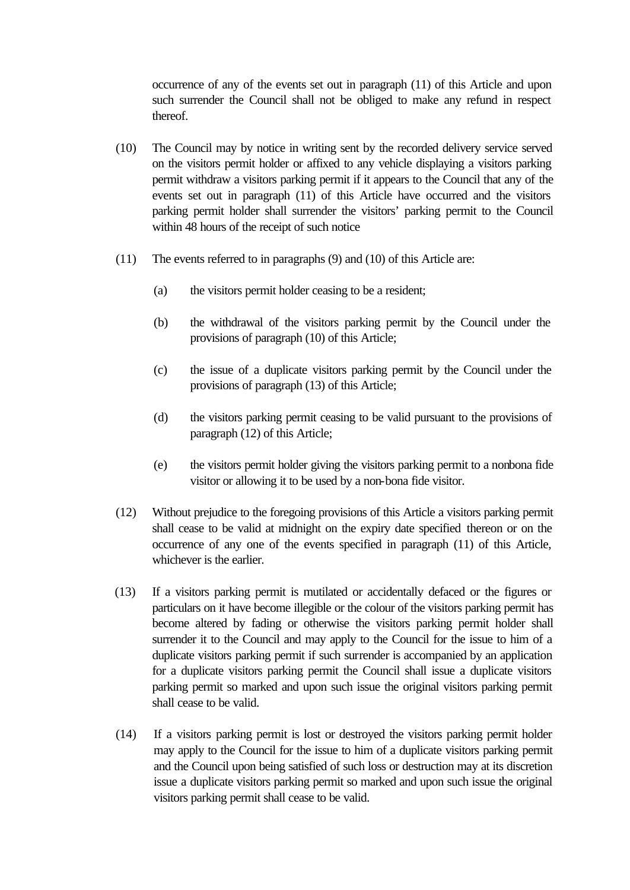occurrence of any of the events set out in paragraph (11) of this Article and upon such surrender the Council shall not be obliged to make any refund in respect thereof.

- (10) The Council may by notice in writing sent by the recorded delivery service served on the visitors permit holder or affixed to any vehicle displaying a visitors parking permit withdraw a visitors parking permit if it appears to the Council that any of the events set out in paragraph (11) of this Article have occurred and the visitors parking permit holder shall surrender the visitors' parking permit to the Council within 48 hours of the receipt of such notice
- (11) The events referred to in paragraphs (9) and (10) of this Article are:
	- (a) the visitors permit holder ceasing to be a resident;
	- (b) the withdrawal of the visitors parking permit by the Council under the provisions of paragraph (10) of this Article;
	- (c) the issue of a duplicate visitors parking permit by the Council under the provisions of paragraph (13) of this Article;
	- (d) the visitors parking permit ceasing to be valid pursuant to the provisions of paragraph (12) of this Article;
	- (e) the visitors permit holder giving the visitors parking permit to a nonbona fide visitor or allowing it to be used by a non-bona fide visitor.
- (12) Without prejudice to the foregoing provisions of this Article a visitors parking permit shall cease to be valid at midnight on the expiry date specified thereon or on the occurrence of any one of the events specified in paragraph (11) of this Article, whichever is the earlier.
- (13) If a visitors parking permit is mutilated or accidentally defaced or the figures or particulars on it have become illegible or the colour of the visitors parking permit has become altered by fading or otherwise the visitors parking permit holder shall surrender it to the Council and may apply to the Council for the issue to him of a duplicate visitors parking permit if such surrender is accompanied by an application for a duplicate visitors parking permit the Council shall issue a duplicate visitors parking permit so marked and upon such issue the original visitors parking permit shall cease to be valid.
- (14) If a visitors parking permit is lost or destroyed the visitors parking permit holder may apply to the Council for the issue to him of a duplicate visitors parking permit and the Council upon being satisfied of such loss or destruction may at its discretion issue a duplicate visitors parking permit so marked and upon such issue the original visitors parking permit shall cease to be valid.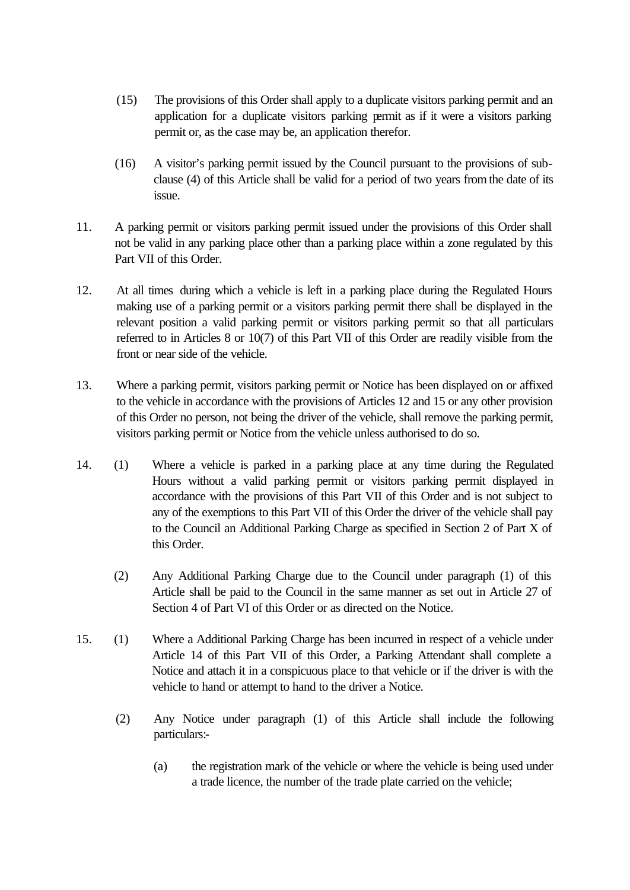- (15) The provisions of this Order shall apply to a duplicate visitors parking permit and an application for a duplicate visitors parking permit as if it were a visitors parking permit or, as the case may be, an application therefor.
- (16) A visitor's parking permit issued by the Council pursuant to the provisions of subclause (4) of this Article shall be valid for a period of two years from the date of its issue.
- 11. A parking permit or visitors parking permit issued under the provisions of this Order shall not be valid in any parking place other than a parking place within a zone regulated by this Part VII of this Order.
- 12. At all times during which a vehicle is left in a parking place during the Regulated Hours making use of a parking permit or a visitors parking permit there shall be displayed in the relevant position a valid parking permit or visitors parking permit so that all particulars referred to in Articles 8 or 10(7) of this Part VII of this Order are readily visible from the front or near side of the vehicle.
- 13. Where a parking permit, visitors parking permit or Notice has been displayed on or affixed to the vehicle in accordance with the provisions of Articles 12 and 15 or any other provision of this Order no person, not being the driver of the vehicle, shall remove the parking permit, visitors parking permit or Notice from the vehicle unless authorised to do so.
- 14. (1) Where a vehicle is parked in a parking place at any time during the Regulated Hours without a valid parking permit or visitors parking permit displayed in accordance with the provisions of this Part VII of this Order and is not subject to any of the exemptions to this Part VII of this Order the driver of the vehicle shall pay to the Council an Additional Parking Charge as specified in Section 2 of Part X of this Order.
	- (2) Any Additional Parking Charge due to the Council under paragraph (1) of this Article shall be paid to the Council in the same manner as set out in Article 27 of Section 4 of Part VI of this Order or as directed on the Notice.
- 15. (1) Where a Additional Parking Charge has been incurred in respect of a vehicle under Article 14 of this Part VII of this Order, a Parking Attendant shall complete a Notice and attach it in a conspicuous place to that vehicle or if the driver is with the vehicle to hand or attempt to hand to the driver a Notice.
	- (2) Any Notice under paragraph (1) of this Article shall include the following particulars:-
		- (a) the registration mark of the vehicle or where the vehicle is being used under a trade licence, the number of the trade plate carried on the vehicle;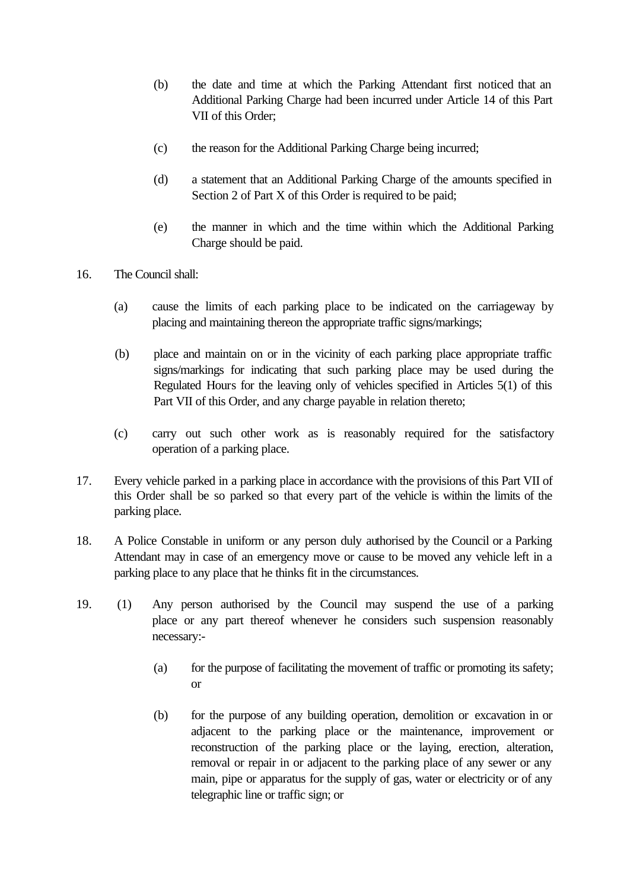- (b) the date and time at which the Parking Attendant first noticed that an Additional Parking Charge had been incurred under Article 14 of this Part VII of this Order;
- (c) the reason for the Additional Parking Charge being incurred;
- (d) a statement that an Additional Parking Charge of the amounts specified in Section 2 of Part X of this Order is required to be paid;
- (e) the manner in which and the time within which the Additional Parking Charge should be paid.
- 16. The Council shall:
	- (a) cause the limits of each parking place to be indicated on the carriageway by placing and maintaining thereon the appropriate traffic signs/markings;
	- (b) place and maintain on or in the vicinity of each parking place appropriate traffic signs/markings for indicating that such parking place may be used during the Regulated Hours for the leaving only of vehicles specified in Articles 5(1) of this Part VII of this Order, and any charge payable in relation thereto;
	- (c) carry out such other work as is reasonably required for the satisfactory operation of a parking place.
- 17. Every vehicle parked in a parking place in accordance with the provisions of this Part VII of this Order shall be so parked so that every part of the vehicle is within the limits of the parking place.
- 18. A Police Constable in uniform or any person duly authorised by the Council or a Parking Attendant may in case of an emergency move or cause to be moved any vehicle left in a parking place to any place that he thinks fit in the circumstances.
- 19. (1) Any person authorised by the Council may suspend the use of a parking place or any part thereof whenever he considers such suspension reasonably necessary:-
	- (a) for the purpose of facilitating the movement of traffic or promoting its safety; or
	- (b) for the purpose of any building operation, demolition or excavation in or adjacent to the parking place or the maintenance, improvement or reconstruction of the parking place or the laying, erection, alteration, removal or repair in or adjacent to the parking place of any sewer or any main, pipe or apparatus for the supply of gas, water or electricity or of any telegraphic line or traffic sign; or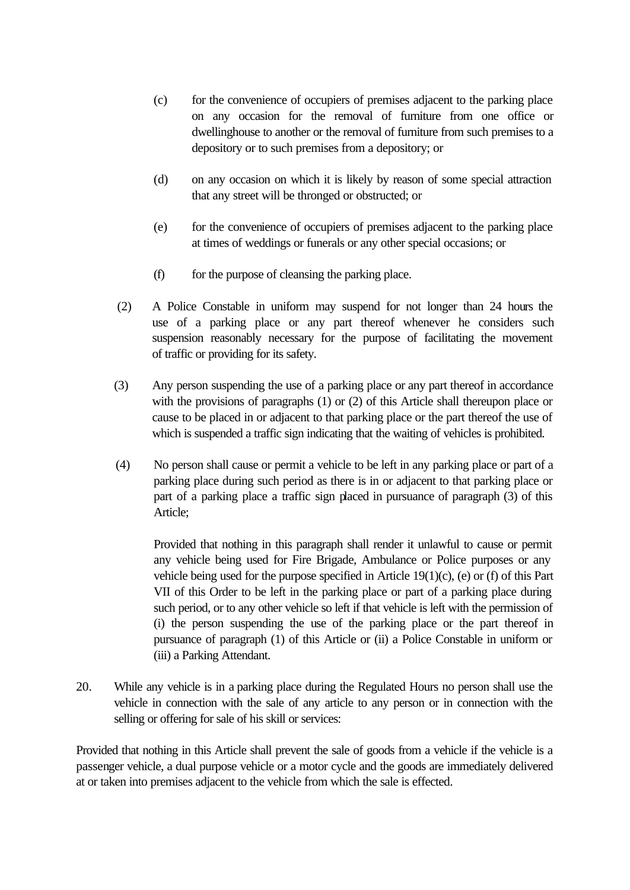- (c) for the convenience of occupiers of premises adjacent to the parking place on any occasion for the removal of furniture from one office or dwellinghouse to another or the removal of furniture from such premises to a depository or to such premises from a depository; or
- (d) on any occasion on which it is likely by reason of some special attraction that any street will be thronged or obstructed; or
- (e) for the convenience of occupiers of premises adjacent to the parking place at times of weddings or funerals or any other special occasions; or
- (f) for the purpose of cleansing the parking place.
- (2) A Police Constable in uniform may suspend for not longer than 24 hours the use of a parking place or any part thereof whenever he considers such suspension reasonably necessary for the purpose of facilitating the movement of traffic or providing for its safety.
- (3) Any person suspending the use of a parking place or any part thereof in accordance with the provisions of paragraphs (1) or (2) of this Article shall thereupon place or cause to be placed in or adjacent to that parking place or the part thereof the use of which is suspended a traffic sign indicating that the waiting of vehicles is prohibited.
- (4) No person shall cause or permit a vehicle to be left in any parking place or part of a parking place during such period as there is in or adjacent to that parking place or part of a parking place a traffic sign placed in pursuance of paragraph (3) of this Article;

Provided that nothing in this paragraph shall render it unlawful to cause or permit any vehicle being used for Fire Brigade, Ambulance or Police purposes or any vehicle being used for the purpose specified in Article  $19(1)(c)$ , (e) or (f) of this Part VII of this Order to be left in the parking place or part of a parking place during such period, or to any other vehicle so left if that vehicle is left with the permission of (i) the person suspending the use of the parking place or the part thereof in pursuance of paragraph (1) of this Article or (ii) a Police Constable in uniform or (iii) a Parking Attendant.

20. While any vehicle is in a parking place during the Regulated Hours no person shall use the vehicle in connection with the sale of any article to any person or in connection with the selling or offering for sale of his skill or services:

Provided that nothing in this Article shall prevent the sale of goods from a vehicle if the vehicle is a passenger vehicle, a dual purpose vehicle or a motor cycle and the goods are immediately delivered at or taken into premises adjacent to the vehicle from which the sale is effected.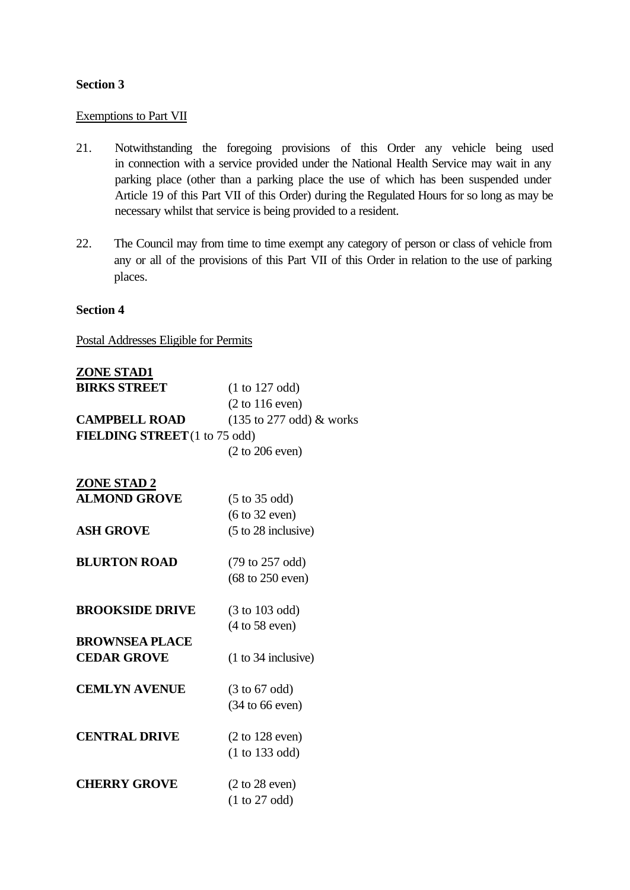## **Section 3**

## Exemptions to Part VII

- 21. Notwithstanding the foregoing provisions of this Order any vehicle being used in connection with a service provided under the National Health Service may wait in any parking place (other than a parking place the use of which has been suspended under Article 19 of this Part VII of this Order) during the Regulated Hours for so long as may be necessary whilst that service is being provided to a resident.
- 22. The Council may from time to time exempt any category of person or class of vehicle from any or all of the provisions of this Part VII of this Order in relation to the use of parking places.

## **Section 4**

Postal Addresses Eligible for Permits

| <b>ZONE STAD1</b>                    |                                             |
|--------------------------------------|---------------------------------------------|
| <b>BIRKS STREET</b>                  | (1 to 127 odd)                              |
|                                      | $(2 \text{ to } 116 \text{ even})$          |
| <b>CAMPBELL ROAD</b>                 | $(135 \text{ to } 277 \text{ odd})$ & works |
| <b>FIELDING STREET</b> (1 to 75 odd) |                                             |
|                                      | $(2 \text{ to } 206 \text{ even})$          |
| <b>ZONE STAD 2</b>                   |                                             |
| <b>ALMOND GROVE</b>                  | $(5 \text{ to } 35 \text{ odd})$            |
|                                      | $(6 \text{ to } 32 \text{ even})$           |
| <b>ASH GROVE</b>                     | $(5 \text{ to } 28 \text{ inclusive})$      |
|                                      |                                             |

- **BLURTON ROAD** (79 to 257 odd) (68 to 250 even)
- **BROOKSIDE DRIVE** (3 to 103 odd) (4 to 58 even)
- **BROWNSEA PLACE CEDAR GROVE** (1 to 34 inclusive)
- **CEMLYN AVENUE** (3 to 67 odd) (34 to 66 even)
- **CENTRAL DRIVE** (2 to 128 even) (1 to 133 odd)
- **CHERRY GROVE** (2 to 28 even) (1 to 27 odd)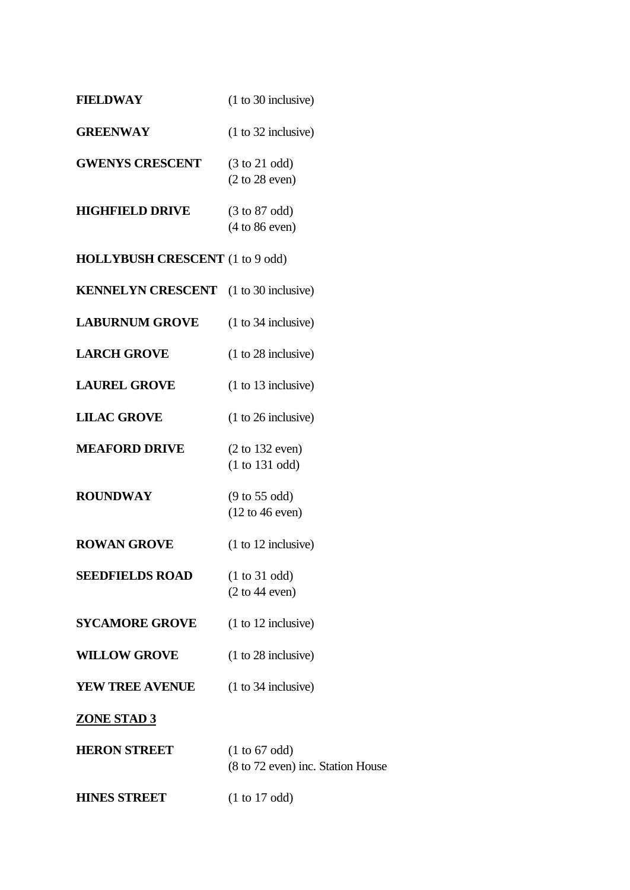| <b>FIELDWAY</b>                              | $(1 to 30$ inclusive)                                                  |
|----------------------------------------------|------------------------------------------------------------------------|
| <b>GREENWAY</b>                              | $(1 to 32$ inclusive)                                                  |
| <b>GWENYS CRESCENT</b>                       | $(3 \text{ to } 21 \text{ odd})$<br>(2 to 28 even)                     |
| <b>HIGHFIELD DRIVE</b>                       | $(3 \text{ to } 87 \text{ odd})$<br>$(4 to 86$ even)                   |
| <b>HOLLYBUSH CRESCENT</b> (1 to 9 odd)       |                                                                        |
| <b>KENNELYN CRESCENT</b> (1 to 30 inclusive) |                                                                        |
| <b>LABURNUM GROVE</b>                        | $(1 to 34$ inclusive)                                                  |
| <b>LARCH GROVE</b>                           | $(1 to 28$ inclusive)                                                  |
| <b>LAUREL GROVE</b>                          | $(1 to 13$ inclusive)                                                  |
| <b>LILAC GROVE</b>                           | $(1 to 26$ inclusive)                                                  |
| <b>MEAFORD DRIVE</b>                         | $(2 \text{ to } 132 \text{ even})$<br>(1 to 131 odd)                   |
| <b>ROUNDWAY</b>                              | $(9 \text{ to } 55 \text{ odd})$<br>$(12 \text{ to } 46 \text{ even})$ |
| <b>ROWAN GROVE</b>                           | $(1 to 12$ inclusive)                                                  |
| <b>SEEDFIELDS ROAD</b>                       | (1 to 31 odd)<br>(2 to 44 even)                                        |
| <b>SYCAMORE GROVE</b>                        | $(1 to 12$ inclusive)                                                  |
| <b>WILLOW GROVE</b>                          | $(1 to 28$ inclusive)                                                  |
| <b>YEW TREE AVENUE</b>                       | $(1 to 34$ inclusive)                                                  |
| <b>ZONE STAD 3</b>                           |                                                                        |
| <b>HERON STREET</b>                          | (1 to 67 odd)<br>(8 to 72 even) inc. Station House                     |
| <b>HINES STREET</b>                          | (1 to 17 odd)                                                          |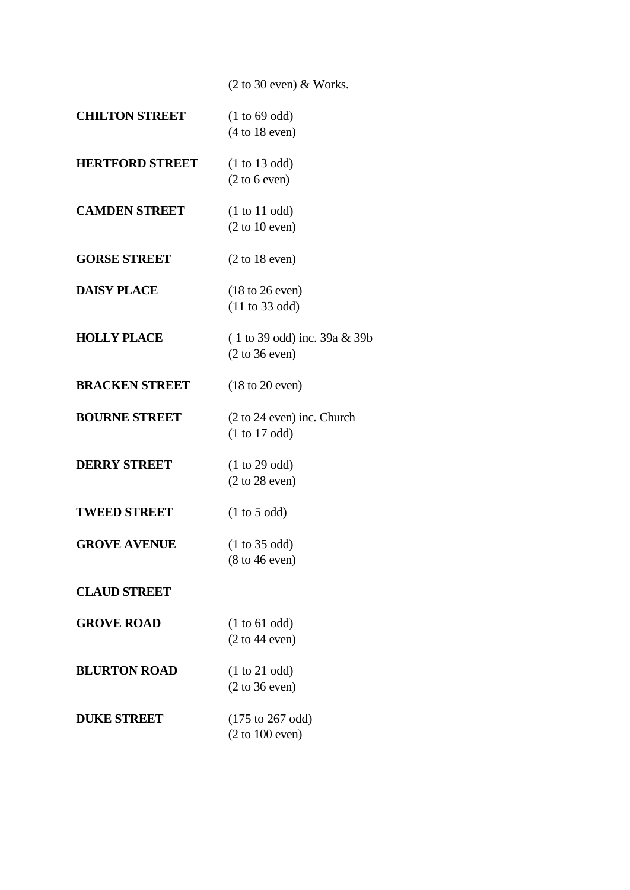(2 to 30 even) & Works.

| <b>CHILTON STREET</b>  | (1 to 69 odd)<br>(4 to 18 even)                                           |
|------------------------|---------------------------------------------------------------------------|
| <b>HERTFORD STREET</b> | (1 to 13 odd)<br>(2 to 6 even)                                            |
| <b>CAMDEN STREET</b>   | (1 to 11 odd)<br>(2 to 10 even)                                           |
| <b>GORSE STREET</b>    | $(2 \text{ to } 18 \text{ even})$                                         |
| <b>DAISY PLACE</b>     | $(18 \text{ to } 26 \text{ even})$<br>$(11 \text{ to } 33 \text{ odd})$   |
| <b>HOLLY PLACE</b>     | $(1 to 39 odd)$ inc. 39a & 39b<br>$(2 \text{ to } 36 \text{ even})$       |
| <b>BRACKEN STREET</b>  | $(18 \text{ to } 20 \text{ even})$                                        |
| <b>BOURNE STREET</b>   | $(2 \text{ to } 24 \text{ even})$ inc. Church<br>(1 to 17 odd)            |
| <b>DERRY STREET</b>    | (1 to 29 odd)<br>$(2 \text{ to } 28 \text{ even})$                        |
| <b>TWEED STREET</b>    | (1 to 5 odd)                                                              |
| <b>GROVE AVENUE</b>    | (1 to 35 odd)<br>$(8 \text{ to } 46 \text{ even})$                        |
| <b>CLAUD STREET</b>    |                                                                           |
| <b>GROVE ROAD</b>      | (1 to 61 odd)<br>(2 to 44 even)                                           |
| <b>BLURTON ROAD</b>    | (1 to 21 odd)<br>$(2 \text{ to } 36 \text{ even})$                        |
| <b>DUKE STREET</b>     | $(175 \text{ to } 267 \text{ odd})$<br>$(2 \text{ to } 100 \text{ even})$ |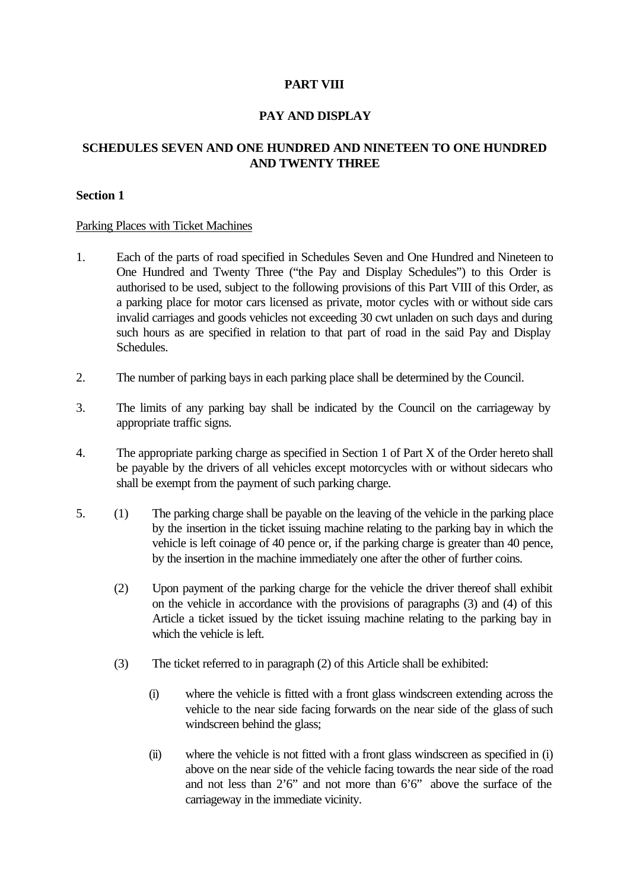# **PART VIII**

## **PAY AND DISPLAY**

# **SCHEDULES SEVEN AND ONE HUNDRED AND NINETEEN TO ONE HUNDRED AND TWENTY THREE**

### **Section 1**

#### Parking Places with Ticket Machines

- 1. Each of the parts of road specified in Schedules Seven and One Hundred and Nineteen to One Hundred and Twenty Three ("the Pay and Display Schedules") to this Order is authorised to be used, subject to the following provisions of this Part VIII of this Order, as a parking place for motor cars licensed as private, motor cycles with or without side cars invalid carriages and goods vehicles not exceeding 30 cwt unladen on such days and during such hours as are specified in relation to that part of road in the said Pay and Display Schedules.
- 2. The number of parking bays in each parking place shall be determined by the Council.
- 3. The limits of any parking bay shall be indicated by the Council on the carriageway by appropriate traffic signs.
- 4. The appropriate parking charge as specified in Section 1 of Part X of the Order hereto shall be payable by the drivers of all vehicles except motorcycles with or without sidecars who shall be exempt from the payment of such parking charge.
- 5. (1) The parking charge shall be payable on the leaving of the vehicle in the parking place by the insertion in the ticket issuing machine relating to the parking bay in which the vehicle is left coinage of 40 pence or, if the parking charge is greater than 40 pence, by the insertion in the machine immediately one after the other of further coins.
	- (2) Upon payment of the parking charge for the vehicle the driver thereof shall exhibit on the vehicle in accordance with the provisions of paragraphs (3) and (4) of this Article a ticket issued by the ticket issuing machine relating to the parking bay in which the vehicle is left.
	- (3) The ticket referred to in paragraph (2) of this Article shall be exhibited:
		- (i) where the vehicle is fitted with a front glass windscreen extending across the vehicle to the near side facing forwards on the near side of the glass of such windscreen behind the glass;
		- (ii) where the vehicle is not fitted with a front glass windscreen as specified in (i) above on the near side of the vehicle facing towards the near side of the road and not less than 2'6" and not more than 6'6" above the surface of the carriageway in the immediate vicinity.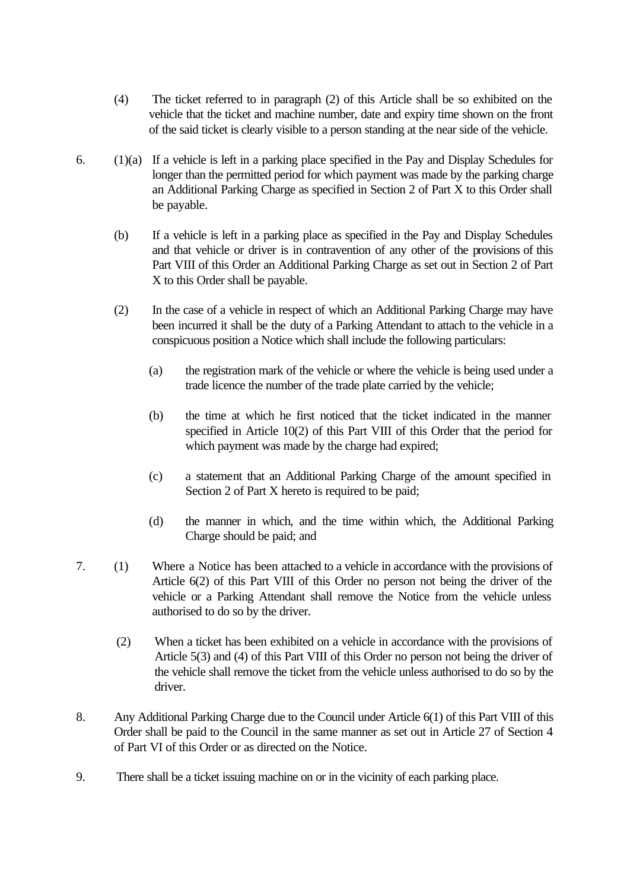- (4) The ticket referred to in paragraph (2) of this Article shall be so exhibited on the vehicle that the ticket and machine number, date and expiry time shown on the front of the said ticket is clearly visible to a person standing at the near side of the vehicle.
- 6. (1)(a) If a vehicle is left in a parking place specified in the Pay and Display Schedules for longer than the permitted period for which payment was made by the parking charge an Additional Parking Charge as specified in Section 2 of Part X to this Order shall be payable.
	- (b) If a vehicle is left in a parking place as specified in the Pay and Display Schedules and that vehicle or driver is in contravention of any other of the provisions of this Part VIII of this Order an Additional Parking Charge as set out in Section 2 of Part X to this Order shall be payable.
	- (2) In the case of a vehicle in respect of which an Additional Parking Charge may have been incurred it shall be the duty of a Parking Attendant to attach to the vehicle in a conspicuous position a Notice which shall include the following particulars:
		- (a) the registration mark of the vehicle or where the vehicle is being used under a trade licence the number of the trade plate carried by the vehicle;
		- (b) the time at which he first noticed that the ticket indicated in the manner specified in Article 10(2) of this Part VIII of this Order that the period for which payment was made by the charge had expired;
		- (c) a statement that an Additional Parking Charge of the amount specified in Section 2 of Part X hereto is required to be paid;
		- (d) the manner in which, and the time within which, the Additional Parking Charge should be paid; and
- 7. (1) Where a Notice has been attached to a vehicle in accordance with the provisions of Article 6(2) of this Part VIII of this Order no person not being the driver of the vehicle or a Parking Attendant shall remove the Notice from the vehicle unless authorised to do so by the driver.
	- (2) When a ticket has been exhibited on a vehicle in accordance with the provisions of Article 5(3) and (4) of this Part VIII of this Order no person not being the driver of the vehicle shall remove the ticket from the vehicle unless authorised to do so by the driver.
- 8. Any Additional Parking Charge due to the Council under Article 6(1) of this Part VIII of this Order shall be paid to the Council in the same manner as set out in Article 27 of Section 4 of Part VI of this Order or as directed on the Notice.
- 9. There shall be a ticket issuing machine on or in the vicinity of each parking place.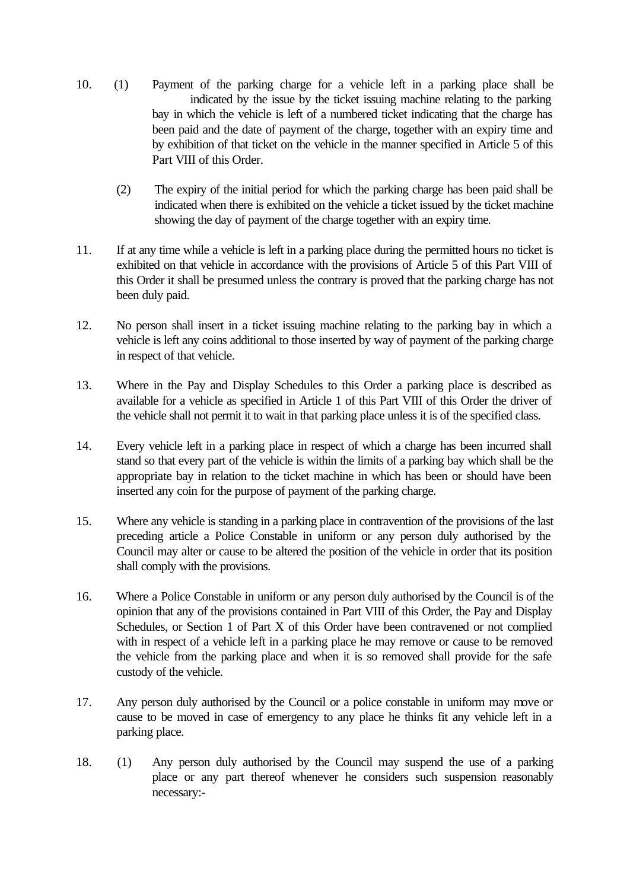- 10. (1) Payment of the parking charge for a vehicle left in a parking place shall be indicated by the issue by the ticket issuing machine relating to the parking bay in which the vehicle is left of a numbered ticket indicating that the charge has been paid and the date of payment of the charge, together with an expiry time and by exhibition of that ticket on the vehicle in the manner specified in Article 5 of this Part VIII of this Order.
	- (2) The expiry of the initial period for which the parking charge has been paid shall be indicated when there is exhibited on the vehicle a ticket issued by the ticket machine showing the day of payment of the charge together with an expiry time.
- 11. If at any time while a vehicle is left in a parking place during the permitted hours no ticket is exhibited on that vehicle in accordance with the provisions of Article 5 of this Part VIII of this Order it shall be presumed unless the contrary is proved that the parking charge has not been duly paid.
- 12. No person shall insert in a ticket issuing machine relating to the parking bay in which a vehicle is left any coins additional to those inserted by way of payment of the parking charge in respect of that vehicle.
- 13. Where in the Pay and Display Schedules to this Order a parking place is described as available for a vehicle as specified in Article 1 of this Part VIII of this Order the driver of the vehicle shall not permit it to wait in that parking place unless it is of the specified class.
- 14. Every vehicle left in a parking place in respect of which a charge has been incurred shall stand so that every part of the vehicle is within the limits of a parking bay which shall be the appropriate bay in relation to the ticket machine in which has been or should have been inserted any coin for the purpose of payment of the parking charge.
- 15. Where any vehicle is standing in a parking place in contravention of the provisions of the last preceding article a Police Constable in uniform or any person duly authorised by the Council may alter or cause to be altered the position of the vehicle in order that its position shall comply with the provisions.
- 16. Where a Police Constable in uniform or any person duly authorised by the Council is of the opinion that any of the provisions contained in Part VIII of this Order, the Pay and Display Schedules, or Section 1 of Part X of this Order have been contravened or not complied with in respect of a vehicle left in a parking place he may remove or cause to be removed the vehicle from the parking place and when it is so removed shall provide for the safe custody of the vehicle.
- 17. Any person duly authorised by the Council or a police constable in uniform may move or cause to be moved in case of emergency to any place he thinks fit any vehicle left in a parking place.
- 18. (1) Any person duly authorised by the Council may suspend the use of a parking place or any part thereof whenever he considers such suspension reasonably necessary:-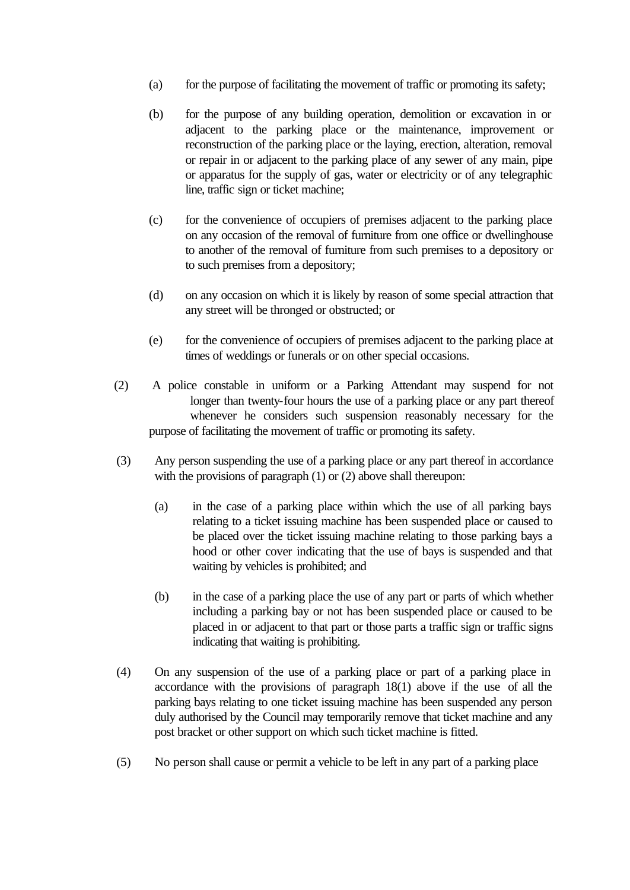- (a) for the purpose of facilitating the movement of traffic or promoting its safety;
- (b) for the purpose of any building operation, demolition or excavation in or adjacent to the parking place or the maintenance, improvement or reconstruction of the parking place or the laying, erection, alteration, removal or repair in or adjacent to the parking place of any sewer of any main, pipe or apparatus for the supply of gas, water or electricity or of any telegraphic line, traffic sign or ticket machine;
- (c) for the convenience of occupiers of premises adjacent to the parking place on any occasion of the removal of furniture from one office or dwellinghouse to another of the removal of furniture from such premises to a depository or to such premises from a depository;
- (d) on any occasion on which it is likely by reason of some special attraction that any street will be thronged or obstructed; or
- (e) for the convenience of occupiers of premises adjacent to the parking place at times of weddings or funerals or on other special occasions.
- (2) A police constable in uniform or a Parking Attendant may suspend for not longer than twenty-four hours the use of a parking place or any part thereof whenever he considers such suspension reasonably necessary for the purpose of facilitating the movement of traffic or promoting its safety.
- (3) Any person suspending the use of a parking place or any part thereof in accordance with the provisions of paragraph (1) or (2) above shall thereupon:
	- (a) in the case of a parking place within which the use of all parking bays relating to a ticket issuing machine has been suspended place or caused to be placed over the ticket issuing machine relating to those parking bays a hood or other cover indicating that the use of bays is suspended and that waiting by vehicles is prohibited; and
	- (b) in the case of a parking place the use of any part or parts of which whether including a parking bay or not has been suspended place or caused to be placed in or adjacent to that part or those parts a traffic sign or traffic signs indicating that waiting is prohibiting.
- (4) On any suspension of the use of a parking place or part of a parking place in accordance with the provisions of paragraph 18(1) above if the use of all the parking bays relating to one ticket issuing machine has been suspended any person duly authorised by the Council may temporarily remove that ticket machine and any post bracket or other support on which such ticket machine is fitted.
- (5) No person shall cause or permit a vehicle to be left in any part of a parking place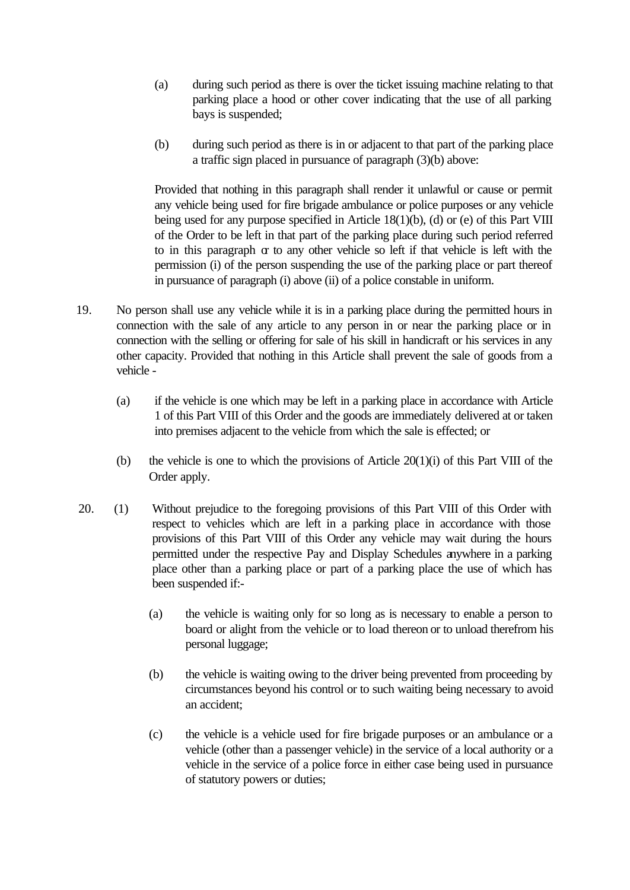- (a) during such period as there is over the ticket issuing machine relating to that parking place a hood or other cover indicating that the use of all parking bays is suspended;
- (b) during such period as there is in or adjacent to that part of the parking place a traffic sign placed in pursuance of paragraph (3)(b) above:

Provided that nothing in this paragraph shall render it unlawful or cause or permit any vehicle being used for fire brigade ambulance or police purposes or any vehicle being used for any purpose specified in Article 18(1)(b), (d) or (e) of this Part VIII of the Order to be left in that part of the parking place during such period referred to in this paragraph or to any other vehicle so left if that vehicle is left with the permission (i) of the person suspending the use of the parking place or part thereof in pursuance of paragraph (i) above (ii) of a police constable in uniform.

- 19. No person shall use any vehicle while it is in a parking place during the permitted hours in connection with the sale of any article to any person in or near the parking place or in connection with the selling or offering for sale of his skill in handicraft or his services in any other capacity. Provided that nothing in this Article shall prevent the sale of goods from a vehicle -
	- (a) if the vehicle is one which may be left in a parking place in accordance with Article 1 of this Part VIII of this Order and the goods are immediately delivered at or taken into premises adjacent to the vehicle from which the sale is effected; or
	- (b) the vehicle is one to which the provisions of Article 20(1)(i) of this Part VIII of the Order apply.
- 20. (1) Without prejudice to the foregoing provisions of this Part VIII of this Order with respect to vehicles which are left in a parking place in accordance with those provisions of this Part VIII of this Order any vehicle may wait during the hours permitted under the respective Pay and Display Schedules anywhere in a parking place other than a parking place or part of a parking place the use of which has been suspended if:-
	- (a) the vehicle is waiting only for so long as is necessary to enable a person to board or alight from the vehicle or to load thereon or to unload therefrom his personal luggage;
	- (b) the vehicle is waiting owing to the driver being prevented from proceeding by circumstances beyond his control or to such waiting being necessary to avoid an accident;
	- (c) the vehicle is a vehicle used for fire brigade purposes or an ambulance or a vehicle (other than a passenger vehicle) in the service of a local authority or a vehicle in the service of a police force in either case being used in pursuance of statutory powers or duties;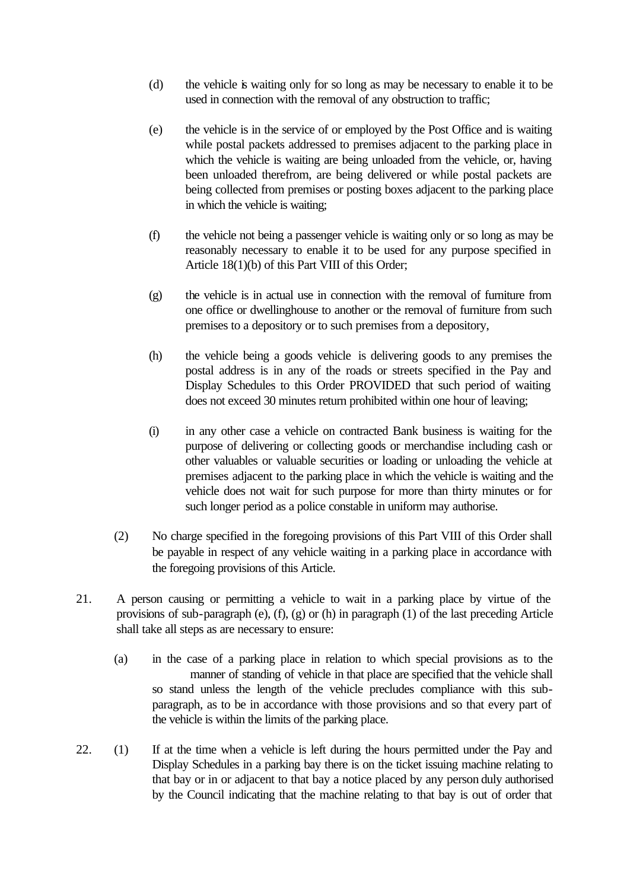- (d) the vehicle is waiting only for so long as may be necessary to enable it to be used in connection with the removal of any obstruction to traffic;
- (e) the vehicle is in the service of or employed by the Post Office and is waiting while postal packets addressed to premises adjacent to the parking place in which the vehicle is waiting are being unloaded from the vehicle, or, having been unloaded therefrom, are being delivered or while postal packets are being collected from premises or posting boxes adjacent to the parking place in which the vehicle is waiting;
- (f) the vehicle not being a passenger vehicle is waiting only or so long as may be reasonably necessary to enable it to be used for any purpose specified in Article 18(1)(b) of this Part VIII of this Order;
- (g) the vehicle is in actual use in connection with the removal of furniture from one office or dwellinghouse to another or the removal of furniture from such premises to a depository or to such premises from a depository,
- (h) the vehicle being a goods vehicle is delivering goods to any premises the postal address is in any of the roads or streets specified in the Pay and Display Schedules to this Order PROVIDED that such period of waiting does not exceed 30 minutes return prohibited within one hour of leaving;
- (i) in any other case a vehicle on contracted Bank business is waiting for the purpose of delivering or collecting goods or merchandise including cash or other valuables or valuable securities or loading or unloading the vehicle at premises adjacent to the parking place in which the vehicle is waiting and the vehicle does not wait for such purpose for more than thirty minutes or for such longer period as a police constable in uniform may authorise.
- (2) No charge specified in the foregoing provisions of this Part VIII of this Order shall be payable in respect of any vehicle waiting in a parking place in accordance with the foregoing provisions of this Article.
- 21. A person causing or permitting a vehicle to wait in a parking place by virtue of the provisions of sub-paragraph (e), (f), (g) or (h) in paragraph (1) of the last preceding Article shall take all steps as are necessary to ensure:
	- (a) in the case of a parking place in relation to which special provisions as to the manner of standing of vehicle in that place are specified that the vehicle shall so stand unless the length of the vehicle precludes compliance with this subparagraph, as to be in accordance with those provisions and so that every part of the vehicle is within the limits of the parking place.
- 22. (1) If at the time when a vehicle is left during the hours permitted under the Pay and Display Schedules in a parking bay there is on the ticket issuing machine relating to that bay or in or adjacent to that bay a notice placed by any person duly authorised by the Council indicating that the machine relating to that bay is out of order that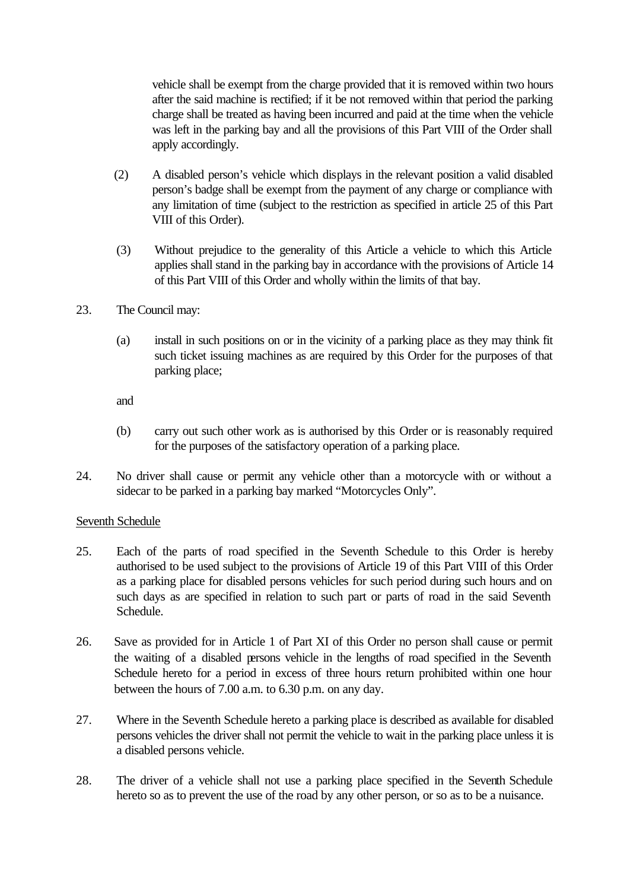vehicle shall be exempt from the charge provided that it is removed within two hours after the said machine is rectified; if it be not removed within that period the parking charge shall be treated as having been incurred and paid at the time when the vehicle was left in the parking bay and all the provisions of this Part VIII of the Order shall apply accordingly.

- (2) A disabled person's vehicle which displays in the relevant position a valid disabled person's badge shall be exempt from the payment of any charge or compliance with any limitation of time (subject to the restriction as specified in article 25 of this Part VIII of this Order).
- (3) Without prejudice to the generality of this Article a vehicle to which this Article applies shall stand in the parking bay in accordance with the provisions of Article 14 of this Part VIII of this Order and wholly within the limits of that bay.
- 23. The Council may:
	- (a) install in such positions on or in the vicinity of a parking place as they may think fit such ticket issuing machines as are required by this Order for the purposes of that parking place;

and

- (b) carry out such other work as is authorised by this Order or is reasonably required for the purposes of the satisfactory operation of a parking place.
- 24. No driver shall cause or permit any vehicle other than a motorcycle with or without a sidecar to be parked in a parking bay marked "Motorcycles Only".

#### Seventh Schedule

- 25. Each of the parts of road specified in the Seventh Schedule to this Order is hereby authorised to be used subject to the provisions of Article 19 of this Part VIII of this Order as a parking place for disabled persons vehicles for such period during such hours and on such days as are specified in relation to such part or parts of road in the said Seventh Schedule.
- 26. Save as provided for in Article 1 of Part XI of this Order no person shall cause or permit the waiting of a disabled persons vehicle in the lengths of road specified in the Seventh Schedule hereto for a period in excess of three hours return prohibited within one hour between the hours of 7.00 a.m. to 6.30 p.m. on any day.
- 27. Where in the Seventh Schedule hereto a parking place is described as available for disabled persons vehicles the driver shall not permit the vehicle to wait in the parking place unless it is a disabled persons vehicle.
- 28. The driver of a vehicle shall not use a parking place specified in the Seventh Schedule hereto so as to prevent the use of the road by any other person, or so as to be a nuisance.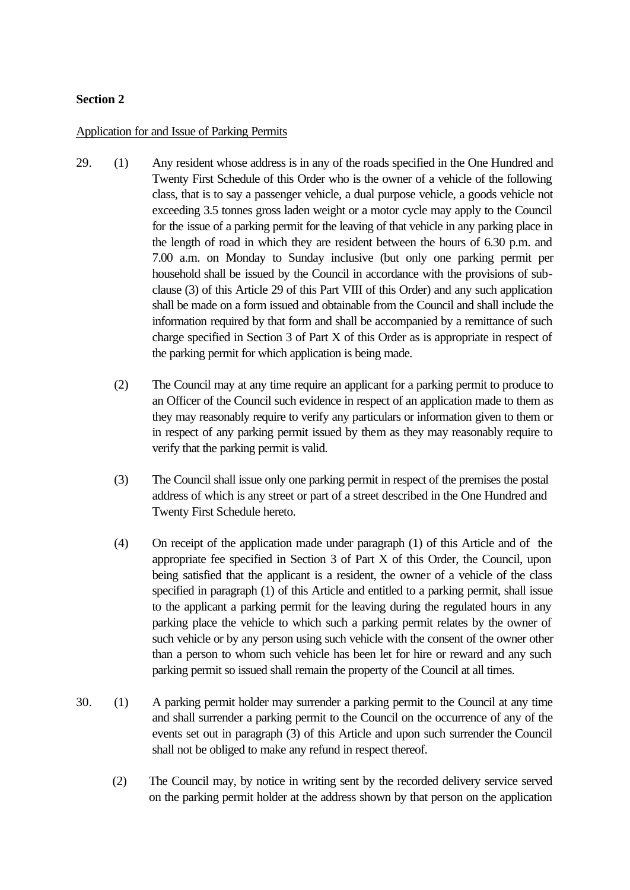## **Section 2**

#### Application for and Issue of Parking Permits

- 29. (1) Any resident whose address is in any of the roads specified in the One Hundred and Twenty First Schedule of this Order who is the owner of a vehicle of the following class, that is to say a passenger vehicle, a dual purpose vehicle, a goods vehicle not exceeding 3.5 tonnes gross laden weight or a motor cycle may apply to the Council for the issue of a parking permit for the leaving of that vehicle in any parking place in the length of road in which they are resident between the hours of 6.30 p.m. and 7.00 a.m. on Monday to Sunday inclusive (but only one parking permit per household shall be issued by the Council in accordance with the provisions of subclause (3) of this Article 29 of this Part VIII of this Order) and any such application shall be made on a form issued and obtainable from the Council and shall include the information required by that form and shall be accompanied by a remittance of such charge specified in Section 3 of Part X of this Order as is appropriate in respect of the parking permit for which application is being made.
	- (2) The Council may at any time require an applicant for a parking permit to produce to an Officer of the Council such evidence in respect of an application made to them as they may reasonably require to verify any particulars or information given to them or in respect of any parking permit issued by them as they may reasonably require to verify that the parking permit is valid.
	- (3) The Council shall issue only one parking permit in respect of the premises the postal address of which is any street or part of a street described in the One Hundred and Twenty First Schedule hereto.
	- (4) On receipt of the application made under paragraph (1) of this Article and of the appropriate fee specified in Section 3 of Part X of this Order, the Council, upon being satisfied that the applicant is a resident, the owner of a vehicle of the class specified in paragraph (1) of this Article and entitled to a parking permit, shall issue to the applicant a parking permit for the leaving during the regulated hours in any parking place the vehicle to which such a parking permit relates by the owner of such vehicle or by any person using such vehicle with the consent of the owner other than a person to whom such vehicle has been let for hire or reward and any such parking permit so issued shall remain the property of the Council at all times.
- 30. (1) A parking permit holder may surrender a parking permit to the Council at any time and shall surrender a parking permit to the Council on the occurrence of any of the events set out in paragraph (3) of this Article and upon such surrender the Council shall not be obliged to make any refund in respect thereof.
	- (2) The Council may, by notice in writing sent by the recorded delivery service served on the parking permit holder at the address shown by that person on the application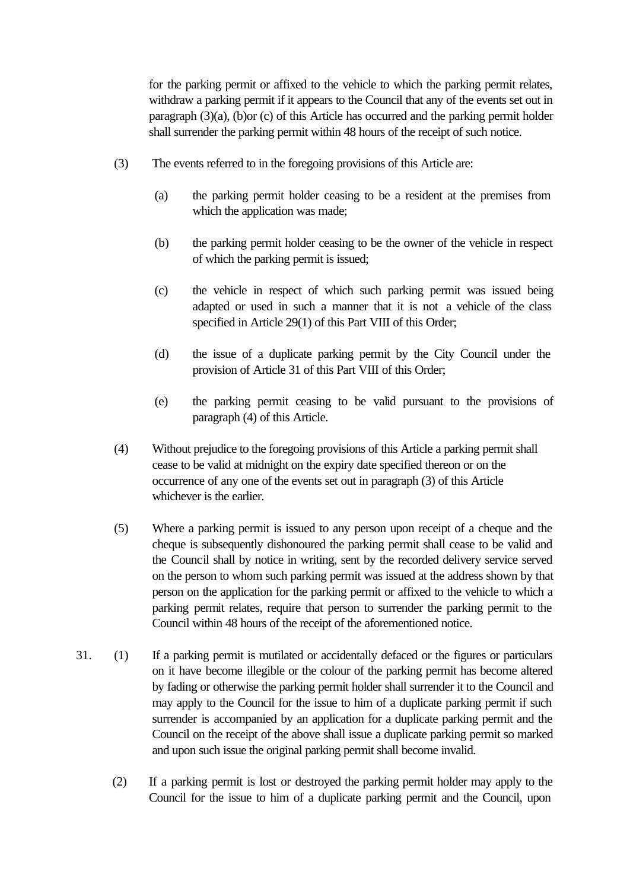for the parking permit or affixed to the vehicle to which the parking permit relates, withdraw a parking permit if it appears to the Council that any of the events set out in paragraph (3)(a), (b)or (c) of this Article has occurred and the parking permit holder shall surrender the parking permit within 48 hours of the receipt of such notice.

- (3) The events referred to in the foregoing provisions of this Article are:
	- (a) the parking permit holder ceasing to be a resident at the premises from which the application was made;
	- (b) the parking permit holder ceasing to be the owner of the vehicle in respect of which the parking permit is issued;
	- (c) the vehicle in respect of which such parking permit was issued being adapted or used in such a manner that it is not a vehicle of the class specified in Article 29(1) of this Part VIII of this Order;
	- (d) the issue of a duplicate parking permit by the City Council under the provision of Article 31 of this Part VIII of this Order;
	- (e) the parking permit ceasing to be valid pursuant to the provisions of paragraph (4) of this Article.
- (4) Without prejudice to the foregoing provisions of this Article a parking permit shall cease to be valid at midnight on the expiry date specified thereon or on the occurrence of any one of the events set out in paragraph (3) of this Article whichever is the earlier.
- (5) Where a parking permit is issued to any person upon receipt of a cheque and the cheque is subsequently dishonoured the parking permit shall cease to be valid and the Council shall by notice in writing, sent by the recorded delivery service served on the person to whom such parking permit was issued at the address shown by that person on the application for the parking permit or affixed to the vehicle to which a parking permit relates, require that person to surrender the parking permit to the Council within 48 hours of the receipt of the aforementioned notice.
- 31. (1) If a parking permit is mutilated or accidentally defaced or the figures or particulars on it have become illegible or the colour of the parking permit has become altered by fading or otherwise the parking permit holder shall surrender it to the Council and may apply to the Council for the issue to him of a duplicate parking permit if such surrender is accompanied by an application for a duplicate parking permit and the Council on the receipt of the above shall issue a duplicate parking permit so marked and upon such issue the original parking permit shall become invalid.
	- (2) If a parking permit is lost or destroyed the parking permit holder may apply to the Council for the issue to him of a duplicate parking permit and the Council, upon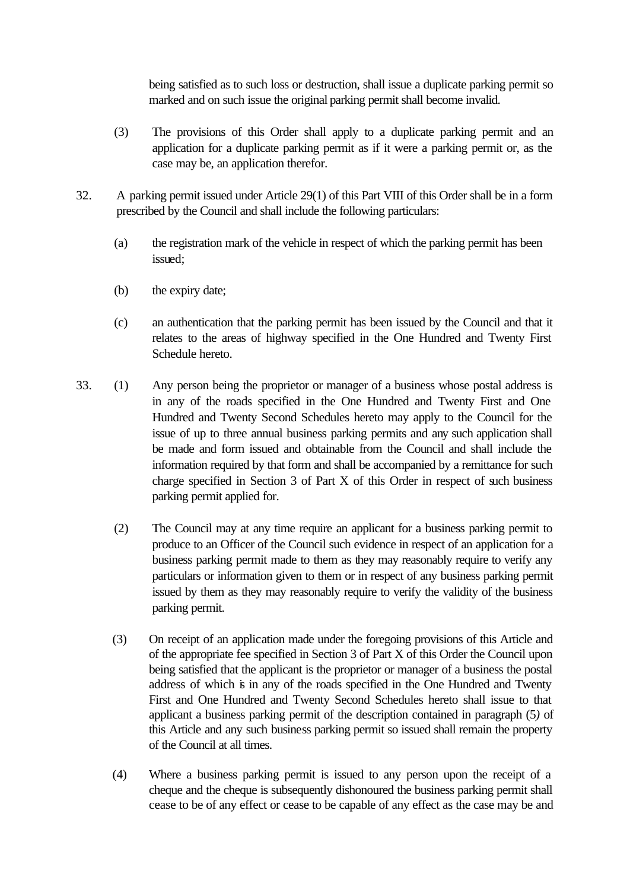being satisfied as to such loss or destruction, shall issue a duplicate parking permit so marked and on such issue the original parking permit shall become invalid.

- (3) The provisions of this Order shall apply to a duplicate parking permit and an application for a duplicate parking permit as if it were a parking permit or, as the case may be, an application therefor.
- 32. A parking permit issued under Article 29(1) of this Part VIII of this Order shall be in a form prescribed by the Council and shall include the following particulars:
	- (a) the registration mark of the vehicle in respect of which the parking permit has been issued;
	- (b) the expiry date;
	- (c) an authentication that the parking permit has been issued by the Council and that it relates to the areas of highway specified in the One Hundred and Twenty First Schedule hereto.
- 33. (1) Any person being the proprietor or manager of a business whose postal address is in any of the roads specified in the One Hundred and Twenty First and One Hundred and Twenty Second Schedules hereto may apply to the Council for the issue of up to three annual business parking permits and any such application shall be made and form issued and obtainable from the Council and shall include the information required by that form and shall be accompanied by a remittance for such charge specified in Section 3 of Part X of this Order in respect of such business parking permit applied for.
	- (2) The Council may at any time require an applicant for a business parking permit to produce to an Officer of the Council such evidence in respect of an application for a business parking permit made to them as they may reasonably require to verify any particulars or information given to them or in respect of any business parking permit issued by them as they may reasonably require to verify the validity of the business parking permit.
	- (3) On receipt of an application made under the foregoing provisions of this Article and of the appropriate fee specified in Section 3 of Part X of this Order the Council upon being satisfied that the applicant is the proprietor or manager of a business the postal address of which is in any of the roads specified in the One Hundred and Twenty First and One Hundred and Twenty Second Schedules hereto shall issue to that applicant a business parking permit of the description contained in paragraph (5*)* of this Article and any such business parking permit so issued shall remain the property of the Council at all times.
	- (4) Where a business parking permit is issued to any person upon the receipt of a cheque and the cheque is subsequently dishonoured the business parking permit shall cease to be of any effect or cease to be capable of any effect as the case may be and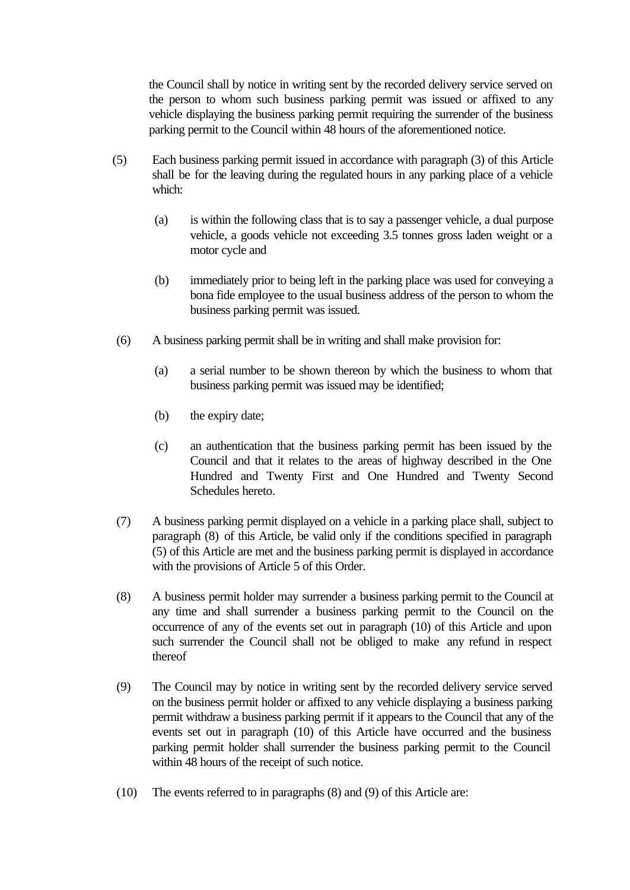the Council shall by notice in writing sent by the recorded delivery service served on the person to whom such business parking permit was issued or affixed to any vehicle displaying the business parking permit requiring the surrender of the business parking permit to the Council within 48 hours of the aforementioned notice.

- (5) Each business parking permit issued in accordance with paragraph (3) of this Article shall be for the leaving during the regulated hours in any parking place of a vehicle which:
	- (a) is within the following class that is to say a passenger vehicle, a dual purpose vehicle, a goods vehicle not exceeding 3.5 tonnes gross laden weight or a motor cycle and
	- (b) immediately prior to being left in the parking place was used for conveying a bona fide employee to the usual business address of the person to whom the business parking permit was issued.
- (6) A business parking permit shall be in writing and shall make provision for:
	- (a) a serial number to be shown thereon by which the business to whom that business parking permit was issued may be identified;
	- (b) the expiry date;
	- (c) an authentication that the business parking permit has been issued by the Council and that it relates to the areas of highway described in the One Hundred and Twenty First and One Hundred and Twenty Second Schedules hereto.
- (7) A business parking permit displayed on a vehicle in a parking place shall, subject to paragraph (8) of this Article, be valid only if the conditions specified in paragraph (5) of this Article are met and the business parking permit is displayed in accordance with the provisions of Article 5 of this Order.
- (8) A business permit holder may surrender a business parking permit to the Council at any time and shall surrender a business parking permit to the Council on the occurrence of any of the events set out in paragraph (10) of this Article and upon such surrender the Council shall not be obliged to make any refund in respect thereof
- (9) The Council may by notice in writing sent by the recorded delivery service served on the business permit holder or affixed to any vehicle displaying a business parking permit withdraw a business parking permit if it appears to the Council that any of the events set out in paragraph (10) of this Article have occurred and the business parking permit holder shall surrender the business parking permit to the Council within 48 hours of the receipt of such notice.
- (10) The events referred to in paragraphs (8) and (9) of this Article are: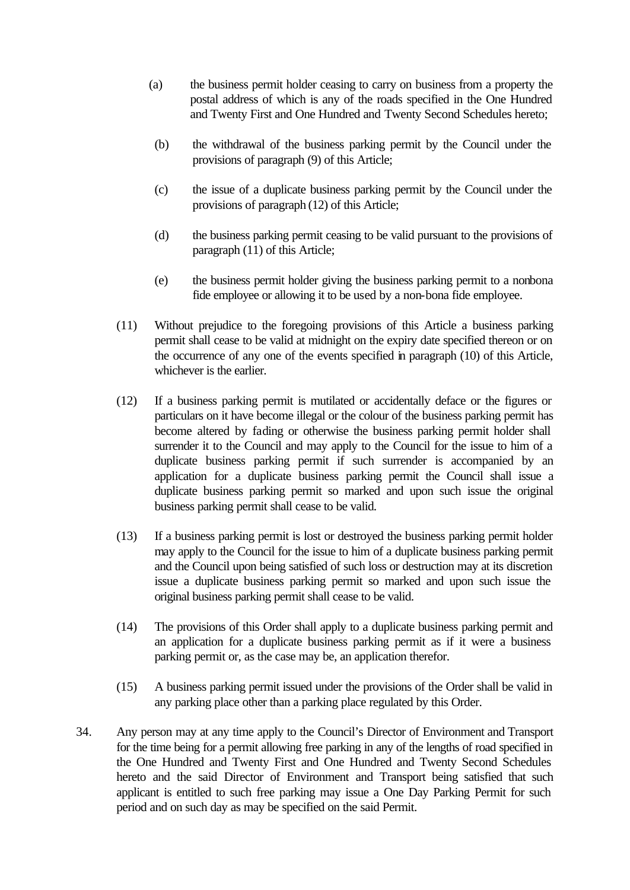- (a) the business permit holder ceasing to carry on business from a property the postal address of which is any of the roads specified in the One Hundred and Twenty First and One Hundred and Twenty Second Schedules hereto;
- (b) the withdrawal of the business parking permit by the Council under the provisions of paragraph (9) of this Article;
- (c) the issue of a duplicate business parking permit by the Council under the provisions of paragraph (12) of this Article;
- (d) the business parking permit ceasing to be valid pursuant to the provisions of paragraph (11) of this Article;
- (e) the business permit holder giving the business parking permit to a nonbona fide employee or allowing it to be used by a non-bona fide employee.
- (11) Without prejudice to the foregoing provisions of this Article a business parking permit shall cease to be valid at midnight on the expiry date specified thereon or on the occurrence of any one of the events specified in paragraph (10) of this Article, whichever is the earlier.
- (12) If a business parking permit is mutilated or accidentally deface or the figures or particulars on it have become illegal or the colour of the business parking permit has become altered by fading or otherwise the business parking permit holder shall surrender it to the Council and may apply to the Council for the issue to him of a duplicate business parking permit if such surrender is accompanied by an application for a duplicate business parking permit the Council shall issue a duplicate business parking permit so marked and upon such issue the original business parking permit shall cease to be valid.
- (13) If a business parking permit is lost or destroyed the business parking permit holder may apply to the Council for the issue to him of a duplicate business parking permit and the Council upon being satisfied of such loss or destruction may at its discretion issue a duplicate business parking permit so marked and upon such issue the original business parking permit shall cease to be valid.
- (14) The provisions of this Order shall apply to a duplicate business parking permit and an application for a duplicate business parking permit as if it were a business parking permit or, as the case may be, an application therefor.
- (15) A business parking permit issued under the provisions of the Order shall be valid in any parking place other than a parking place regulated by this Order.
- 34. Any person may at any time apply to the Council's Director of Environment and Transport for the time being for a permit allowing free parking in any of the lengths of road specified in the One Hundred and Twenty First and One Hundred and Twenty Second Schedules hereto and the said Director of Environment and Transport being satisfied that such applicant is entitled to such free parking may issue a One Day Parking Permit for such period and on such day as may be specified on the said Permit.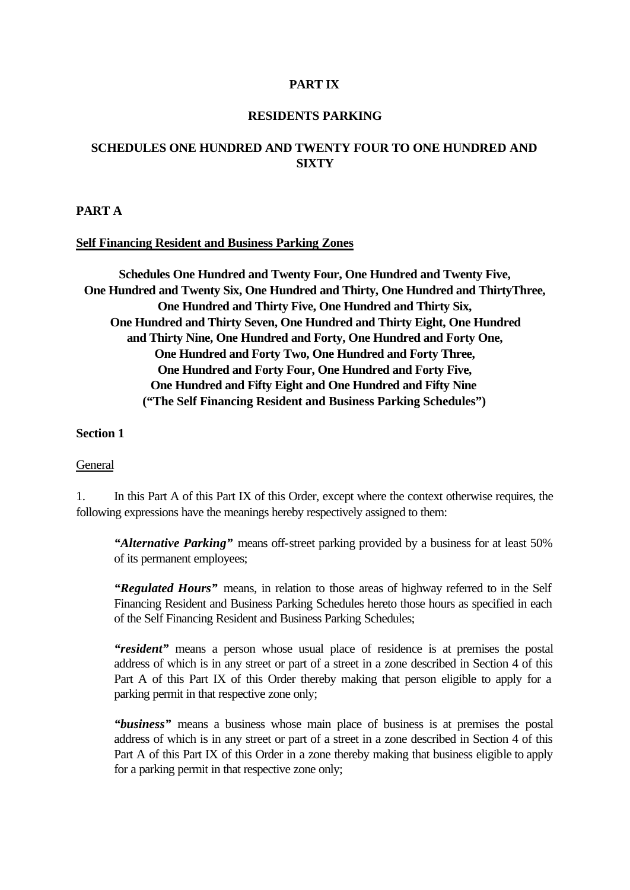## **PART IX**

#### **RESIDENTS PARKING**

# **SCHEDULES ONE HUNDRED AND TWENTY FOUR TO ONE HUNDRED AND SIXTY**

#### **PART A**

#### **Self Financing Resident and Business Parking Zones**

**Schedules One Hundred and Twenty Four, One Hundred and Twenty Five, One Hundred and Twenty Six, One Hundred and Thirty, One Hundred and ThirtyThree, One Hundred and Thirty Five, One Hundred and Thirty Six, One Hundred and Thirty Seven, One Hundred and Thirty Eight, One Hundred and Thirty Nine, One Hundred and Forty, One Hundred and Forty One, One Hundred and Forty Two, One Hundred and Forty Three, One Hundred and Forty Four, One Hundred and Forty Five, One Hundred and Fifty Eight and One Hundred and Fifty Nine ("The Self Financing Resident and Business Parking Schedules")**

## **Section 1**

#### General

1. In this Part A of this Part IX of this Order, except where the context otherwise requires, the following expressions have the meanings hereby respectively assigned to them:

*"Alternative Parking"* means off-street parking provided by a business for at least 50% of its permanent employees;

*"Regulated Hours"* means, in relation to those areas of highway referred to in the Self Financing Resident and Business Parking Schedules hereto those hours as specified in each of the Self Financing Resident and Business Parking Schedules;

*"resident"* means a person whose usual place of residence is at premises the postal address of which is in any street or part of a street in a zone described in Section 4 of this Part A of this Part IX of this Order thereby making that person eligible to apply for a parking permit in that respective zone only;

*"business"* means a business whose main place of business is at premises the postal address of which is in any street or part of a street in a zone described in Section 4 of this Part A of this Part IX of this Order in a zone thereby making that business eligible to apply for a parking permit in that respective zone only;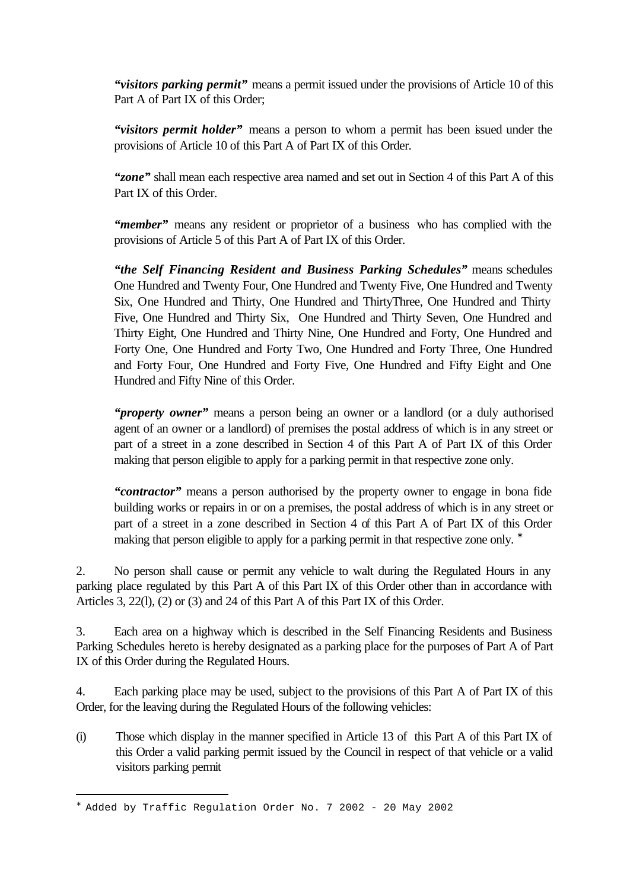*"visitors parking permit"* means a permit issued under the provisions of Article 10 of this Part A of Part IX of this Order;

*"visitors permit holder"* means a person to whom a permit has been issued under the provisions of Article 10 of this Part A of Part IX of this Order.

*"zone"* shall mean each respective area named and set out in Section 4 of this Part A of this Part IX of this Order.

*"member"* means any resident or proprietor of a business who has complied with the provisions of Article 5 of this Part A of Part IX of this Order.

*"the Self Financing Resident and Business Parking Schedules"* means schedules One Hundred and Twenty Four, One Hundred and Twenty Five, One Hundred and Twenty Six, One Hundred and Thirty, One Hundred and ThirtyThree, One Hundred and Thirty Five, One Hundred and Thirty Six, One Hundred and Thirty Seven, One Hundred and Thirty Eight, One Hundred and Thirty Nine, One Hundred and Forty, One Hundred and Forty One, One Hundred and Forty Two, One Hundred and Forty Three, One Hundred and Forty Four, One Hundred and Forty Five, One Hundred and Fifty Eight and One Hundred and Fifty Nine of this Order.

*"property owner"* means a person being an owner or a landlord (or a duly authorised agent of an owner or a landlord) of premises the postal address of which is in any street or part of a street in a zone described in Section 4 of this Part A of Part IX of this Order making that person eligible to apply for a parking permit in that respective zone only.

*"contractor"* means a person authorised by the property owner to engage in bona fide building works or repairs in or on a premises, the postal address of which is in any street or part of a street in a zone described in Section 4 of this Part A of Part IX of this Order making that person eligible to apply for a parking permit in that respective zone only. <sup>\*</sup>

2. No person shall cause or permit any vehicle to walt during the Regulated Hours in any parking place regulated by this Part A of this Part IX of this Order other than in accordance with Articles 3, 22(l), (2) or (3) and 24 of this Part A of this Part IX of this Order.

3. Each area on a highway which is described in the Self Financing Residents and Business Parking Schedules hereto is hereby designated as a parking place for the purposes of Part A of Part IX of this Order during the Regulated Hours.

4. Each parking place may be used, subject to the provisions of this Part A of Part IX of this Order, for the leaving during the Regulated Hours of the following vehicles:

(i) Those which display in the manner specified in Article 13 of this Part A of this Part IX of this Order a valid parking permit issued by the Council in respect of that vehicle or a valid visitors parking permit

i<br>L

<sup>∗</sup> Added by Traffic Regulation Order No. 7 2002 - 20 May 2002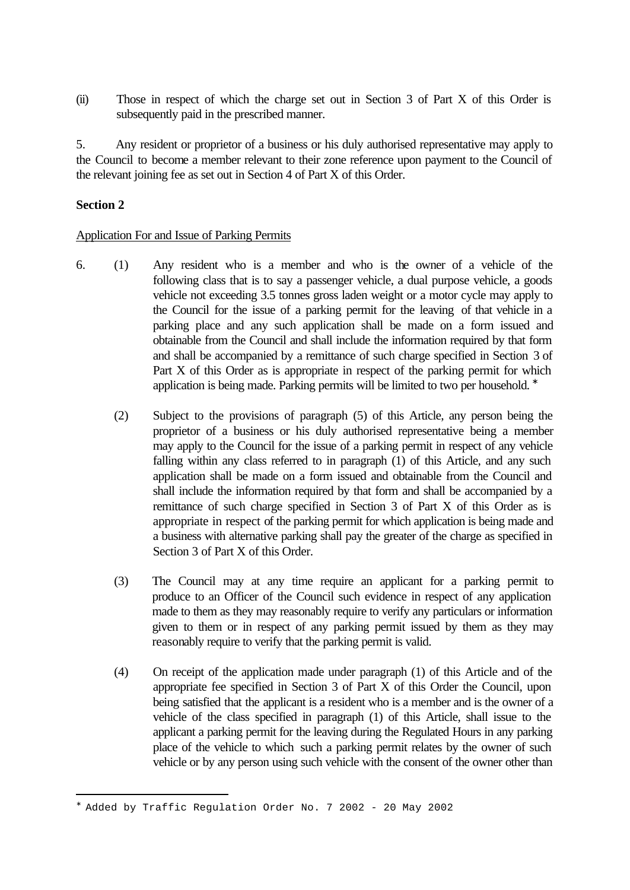(ii) Those in respect of which the charge set out in Section 3 of Part X of this Order is subsequently paid in the prescribed manner.

5. Any resident or proprietor of a business or his duly authorised representative may apply to the Council to become a member relevant to their zone reference upon payment to the Council of the relevant joining fee as set out in Section 4 of Part X of this Order.

# **Section 2**

i<br>L

## Application For and Issue of Parking Permits

- 6. (1) Any resident who is a member and who is the owner of a vehicle of the following class that is to say a passenger vehicle, a dual purpose vehicle, a goods vehicle not exceeding 3.5 tonnes gross laden weight or a motor cycle may apply to the Council for the issue of a parking permit for the leaving of that vehicle in a parking place and any such application shall be made on a form issued and obtainable from the Council and shall include the information required by that form and shall be accompanied by a remittance of such charge specified in Section 3 of Part X of this Order as is appropriate in respect of the parking permit for which application is being made. Parking permits will be limited to two per household. <sup>\*</sup>
	- (2) Subject to the provisions of paragraph (5) of this Article, any person being the proprietor of a business or his duly authorised representative being a member may apply to the Council for the issue of a parking permit in respect of any vehicle falling within any class referred to in paragraph (1) of this Article, and any such application shall be made on a form issued and obtainable from the Council and shall include the information required by that form and shall be accompanied by a remittance of such charge specified in Section 3 of Part X of this Order as is appropriate in respect of the parking permit for which application is being made and a business with alternative parking shall pay the greater of the charge as specified in Section 3 of Part X of this Order.
	- (3) The Council may at any time require an applicant for a parking permit to produce to an Officer of the Council such evidence in respect of any application made to them as they may reasonably require to verify any particulars or information given to them or in respect of any parking permit issued by them as they may reasonably require to verify that the parking permit is valid.
	- (4) On receipt of the application made under paragraph (1) of this Article and of the appropriate fee specified in Section 3 of Part X of this Order the Council, upon being satisfied that the applicant is a resident who is a member and is the owner of a vehicle of the class specified in paragraph (1) of this Article, shall issue to the applicant a parking permit for the leaving during the Regulated Hours in any parking place of the vehicle to which such a parking permit relates by the owner of such vehicle or by any person using such vehicle with the consent of the owner other than

<sup>∗</sup> Added by Traffic Regulation Order No. 7 2002 - 20 May 2002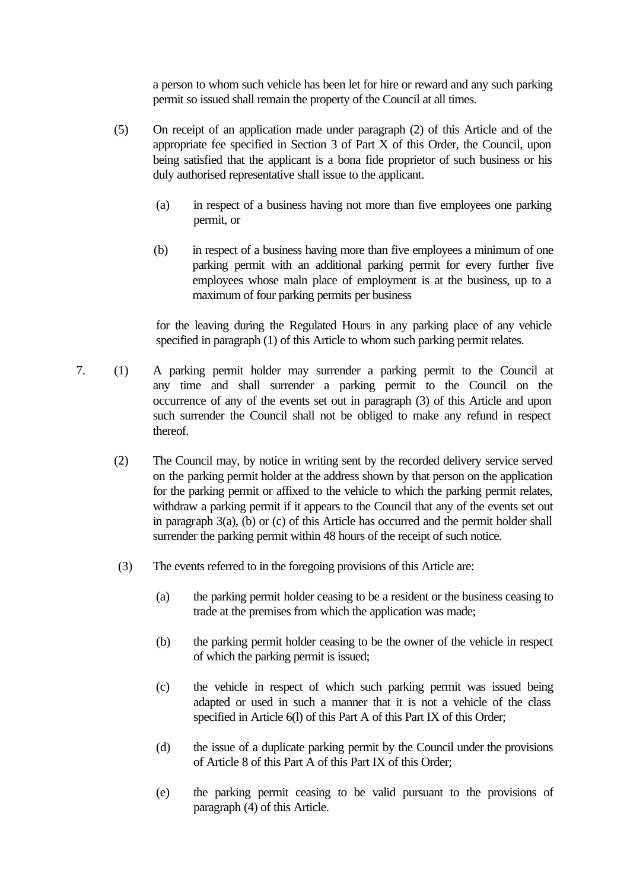a person to whom such vehicle has been let for hire or reward and any such parking permit so issued shall remain the property of the Council at all times.

- (5) On receipt of an application made under paragraph (2) of this Article and of the appropriate fee specified in Section 3 of Part X of this Order, the Council, upon being satisfied that the applicant is a bona fide proprietor of such business or his duly authorised representative shall issue to the applicant.
	- (a) in respect of a business having not more than five employees one parking permit, or
	- (b) in respect of a business having more than five employees a minimum of one parking permit with an additional parking permit for every further five employees whose maln place of employment is at the business, up to a maximum of four parking permits per business

for the leaving during the Regulated Hours in any parking place of any vehicle specified in paragraph (1) of this Article to whom such parking permit relates.

- 7. (1) A parking permit holder may surrender a parking permit to the Council at any time and shall surrender a parking permit to the Council on the occurrence of any of the events set out in paragraph (3) of this Article and upon such surrender the Council shall not be obliged to make any refund in respect thereof.
	- (2) The Council may, by notice in writing sent by the recorded delivery service served on the parking permit holder at the address shown by that person on the application for the parking permit or affixed to the vehicle to which the parking permit relates, withdraw a parking permit if it appears to the Council that any of the events set out in paragraph 3(a), (b) or (c) of this Article has occurred and the permit holder shall surrender the parking permit within 48 hours of the receipt of such notice.
	- (3) The events referred to in the foregoing provisions of this Article are:
		- (a) the parking permit holder ceasing to be a resident or the business ceasing to trade at the premises from which the application was made;
		- (b) the parking permit holder ceasing to be the owner of the vehicle in respect of which the parking permit is issued;
		- (c) the vehicle in respect of which such parking permit was issued being adapted or used in such a manner that it is not a vehicle of the class specified in Article 6(l) of this Part A of this Part IX of this Order;
		- (d) the issue of a duplicate parking permit by the Council under the provisions of Article 8 of this Part A of this Part IX of this Order;
		- (e) the parking permit ceasing to be valid pursuant to the provisions of paragraph (4) of this Article.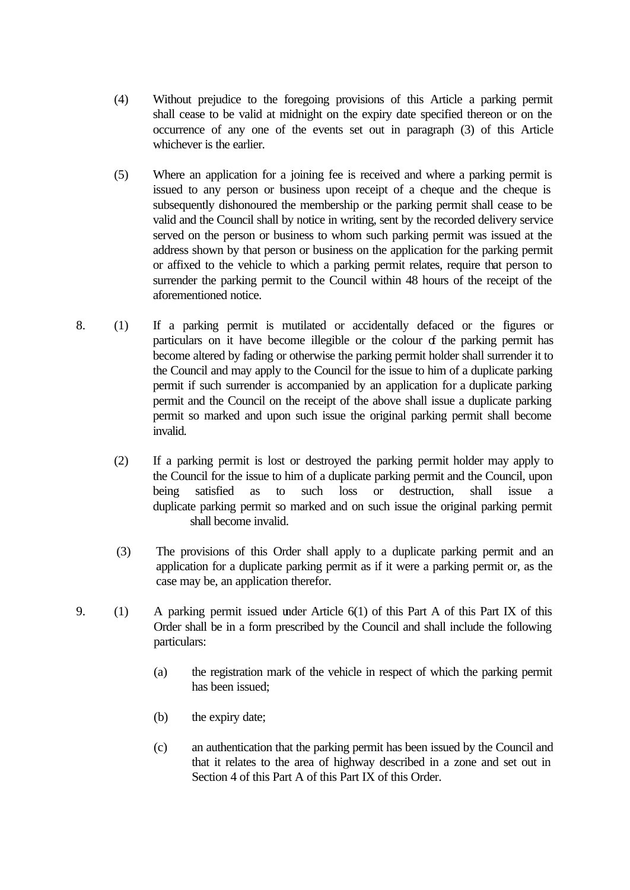- (4) Without prejudice to the foregoing provisions of this Article a parking permit shall cease to be valid at midnight on the expiry date specified thereon or on the occurrence of any one of the events set out in paragraph (3) of this Article whichever is the earlier.
- (5) Where an application for a joining fee is received and where a parking permit is issued to any person or business upon receipt of a cheque and the cheque is subsequently dishonoured the membership or the parking permit shall cease to be valid and the Council shall by notice in writing, sent by the recorded delivery service served on the person or business to whom such parking permit was issued at the address shown by that person or business on the application for the parking permit or affixed to the vehicle to which a parking permit relates, require that person to surrender the parking permit to the Council within 48 hours of the receipt of the aforementioned notice.
- 8. (1) If a parking permit is mutilated or accidentally defaced or the figures or particulars on it have become illegible or the colour of the parking permit has become altered by fading or otherwise the parking permit holder shall surrender it to the Council and may apply to the Council for the issue to him of a duplicate parking permit if such surrender is accompanied by an application for a duplicate parking permit and the Council on the receipt of the above shall issue a duplicate parking permit so marked and upon such issue the original parking permit shall become invalid.
	- (2) If a parking permit is lost or destroyed the parking permit holder may apply to the Council for the issue to him of a duplicate parking permit and the Council, upon being satisfied as to such loss or destruction, shall issue a duplicate parking permit so marked and on such issue the original parking permit shall become invalid.
	- (3) The provisions of this Order shall apply to a duplicate parking permit and an application for a duplicate parking permit as if it were a parking permit or, as the case may be, an application therefor.
- 9. (1) A parking permit issued under Article 6(1) of this Part A of this Part IX of this Order shall be in a form prescribed by the Council and shall include the following particulars:
	- (a) the registration mark of the vehicle in respect of which the parking permit has been issued;
	- (b) the expiry date;
	- (c) an authentication that the parking permit has been issued by the Council and that it relates to the area of highway described in a zone and set out in Section 4 of this Part A of this Part IX of this Order.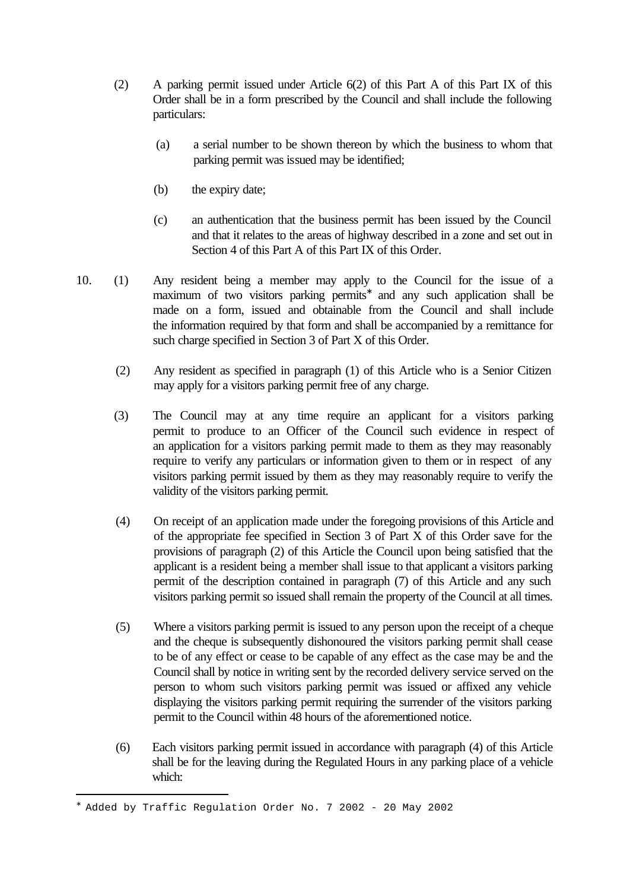- (2) A parking permit issued under Article 6(2) of this Part A of this Part IX of this Order shall be in a form prescribed by the Council and shall include the following particulars:
	- (a) a serial number to be shown thereon by which the business to whom that parking permit was issued may be identified;
	- (b) the expiry date;
	- (c) an authentication that the business permit has been issued by the Council and that it relates to the areas of highway described in a zone and set out in Section 4 of this Part A of this Part IX of this Order.
- 10. (1) Any resident being a member may apply to the Council for the issue of a maximum of two visitors parking permits<sup>\*</sup> and any such application shall be made on a form, issued and obtainable from the Council and shall include the information required by that form and shall be accompanied by a remittance for such charge specified in Section 3 of Part X of this Order.
	- (2) Any resident as specified in paragraph (1) of this Article who is a Senior Citizen may apply for a visitors parking permit free of any charge.
	- (3) The Council may at any time require an applicant for a visitors parking permit to produce to an Officer of the Council such evidence in respect of an application for a visitors parking permit made to them as they may reasonably require to verify any particulars or information given to them or in respect of any visitors parking permit issued by them as they may reasonably require to verify the validity of the visitors parking permit.
	- (4) On receipt of an application made under the foregoing provisions of this Article and of the appropriate fee specified in Section 3 of Part X of this Order save for the provisions of paragraph (2) of this Article the Council upon being satisfied that the applicant is a resident being a member shall issue to that applicant a visitors parking permit of the description contained in paragraph (7) of this Article and any such visitors parking permit so issued shall remain the property of the Council at all times.
	- (5) Where a visitors parking permit is issued to any person upon the receipt of a cheque and the cheque is subsequently dishonoured the visitors parking permit shall cease to be of any effect or cease to be capable of any effect as the case may be and the Council shall by notice in writing sent by the recorded delivery service served on the person to whom such visitors parking permit was issued or affixed any vehicle displaying the visitors parking permit requiring the surrender of the visitors parking permit to the Council within 48 hours of the aforementioned notice.
	- (6) Each visitors parking permit issued in accordance with paragraph (4) of this Article shall be for the leaving during the Regulated Hours in any parking place of a vehicle which:

i<br>L

<sup>∗</sup> Added by Traffic Regulation Order No. 7 2002 - 20 May 2002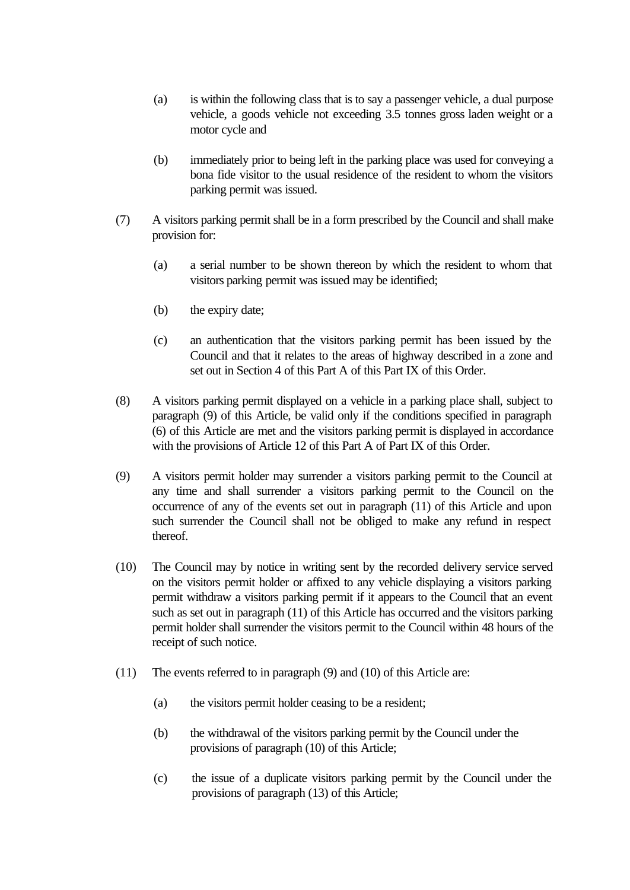- (a) is within the following class that is to say a passenger vehicle, a dual purpose vehicle, a goods vehicle not exceeding 3.5 tonnes gross laden weight or a motor cycle and
- (b) immediately prior to being left in the parking place was used for conveying a bona fide visitor to the usual residence of the resident to whom the visitors parking permit was issued.
- (7) A visitors parking permit shall be in a form prescribed by the Council and shall make provision for:
	- (a) a serial number to be shown thereon by which the resident to whom that visitors parking permit was issued may be identified;
	- (b) the expiry date;
	- (c) an authentication that the visitors parking permit has been issued by the Council and that it relates to the areas of highway described in a zone and set out in Section 4 of this Part A of this Part IX of this Order.
- (8) A visitors parking permit displayed on a vehicle in a parking place shall, subject to paragraph (9) of this Article, be valid only if the conditions specified in paragraph (6) of this Article are met and the visitors parking permit is displayed in accordance with the provisions of Article 12 of this Part A of Part IX of this Order.
- (9) A visitors permit holder may surrender a visitors parking permit to the Council at any time and shall surrender a visitors parking permit to the Council on the occurrence of any of the events set out in paragraph (11) of this Article and upon such surrender the Council shall not be obliged to make any refund in respect thereof.
- (10) The Council may by notice in writing sent by the recorded delivery service served on the visitors permit holder or affixed to any vehicle displaying a visitors parking permit withdraw a visitors parking permit if it appears to the Council that an event such as set out in paragraph (11) of this Article has occurred and the visitors parking permit holder shall surrender the visitors permit to the Council within 48 hours of the receipt of such notice.
- (11) The events referred to in paragraph (9) and (10) of this Article are:
	- (a) the visitors permit holder ceasing to be a resident;
	- (b) the withdrawal of the visitors parking permit by the Council under the provisions of paragraph (10) of this Article;
	- (c) the issue of a duplicate visitors parking permit by the Council under the provisions of paragraph (13) of this Article;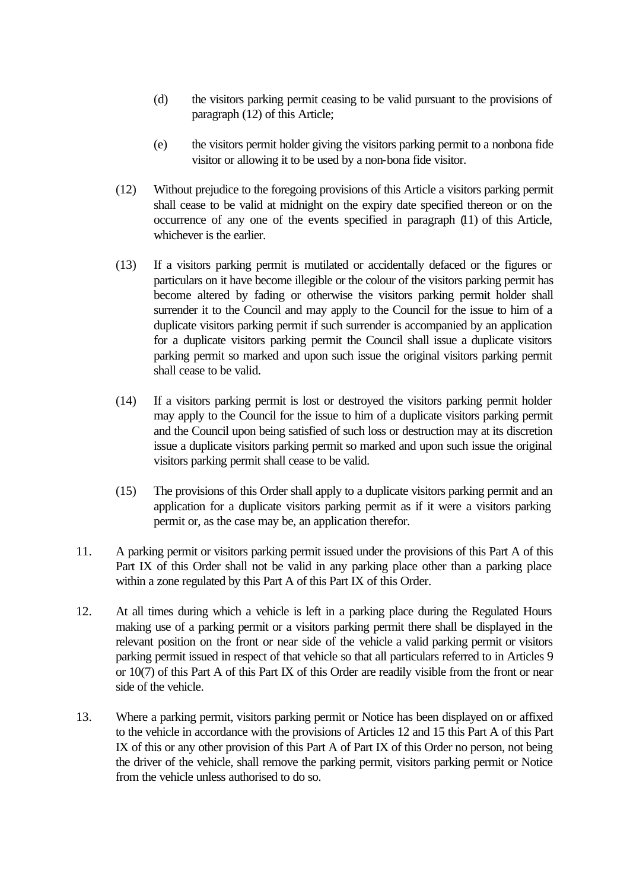- (d) the visitors parking permit ceasing to be valid pursuant to the provisions of paragraph (12) of this Article;
- (e) the visitors permit holder giving the visitors parking permit to a nonbona fide visitor or allowing it to be used by a non-bona fide visitor.
- (12) Without prejudice to the foregoing provisions of this Article a visitors parking permit shall cease to be valid at midnight on the expiry date specified thereon or on the occurrence of any one of the events specified in paragraph (11) of this Article, whichever is the earlier.
- (13) If a visitors parking permit is mutilated or accidentally defaced or the figures or particulars on it have become illegible or the colour of the visitors parking permit has become altered by fading or otherwise the visitors parking permit holder shall surrender it to the Council and may apply to the Council for the issue to him of a duplicate visitors parking permit if such surrender is accompanied by an application for a duplicate visitors parking permit the Council shall issue a duplicate visitors parking permit so marked and upon such issue the original visitors parking permit shall cease to be valid.
- (14) If a visitors parking permit is lost or destroyed the visitors parking permit holder may apply to the Council for the issue to him of a duplicate visitors parking permit and the Council upon being satisfied of such loss or destruction may at its discretion issue a duplicate visitors parking permit so marked and upon such issue the original visitors parking permit shall cease to be valid.
- (15) The provisions of this Order shall apply to a duplicate visitors parking permit and an application for a duplicate visitors parking permit as if it were a visitors parking permit or, as the case may be, an application therefor.
- 11. A parking permit or visitors parking permit issued under the provisions of this Part A of this Part IX of this Order shall not be valid in any parking place other than a parking place within a zone regulated by this Part A of this Part IX of this Order.
- 12. At all times during which a vehicle is left in a parking place during the Regulated Hours making use of a parking permit or a visitors parking permit there shall be displayed in the relevant position on the front or near side of the vehicle a valid parking permit or visitors parking permit issued in respect of that vehicle so that all particulars referred to in Articles 9 or 10(7) of this Part A of this Part IX of this Order are readily visible from the front or near side of the vehicle.
- 13. Where a parking permit, visitors parking permit or Notice has been displayed on or affixed to the vehicle in accordance with the provisions of Articles 12 and 15 this Part A of this Part IX of this or any other provision of this Part A of Part IX of this Order no person, not being the driver of the vehicle, shall remove the parking permit, visitors parking permit or Notice from the vehicle unless authorised to do so.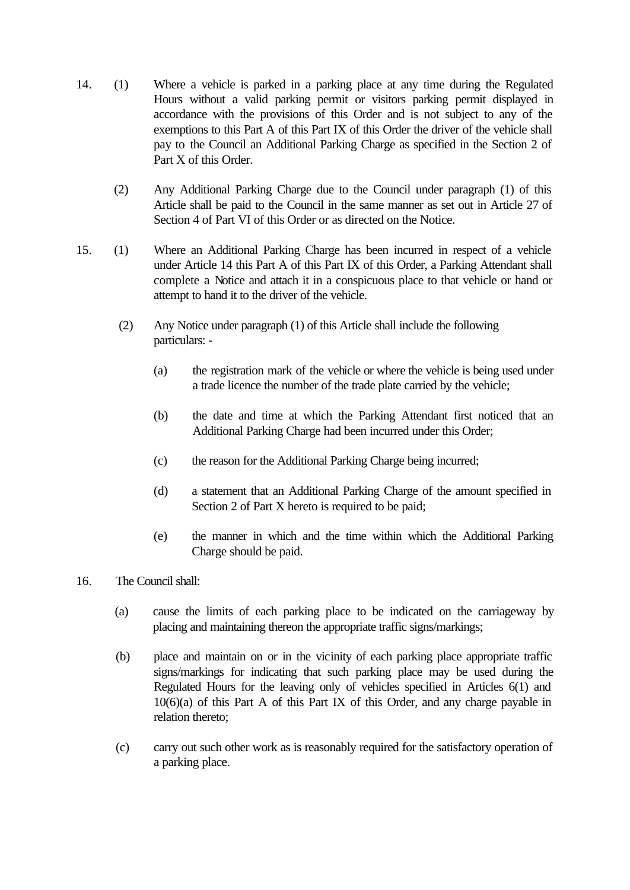- 14. (1) Where a vehicle is parked in a parking place at any time during the Regulated Hours without a valid parking permit or visitors parking permit displayed in accordance with the provisions of this Order and is not subject to any of the exemptions to this Part A of this Part IX of this Order the driver of the vehicle shall pay to the Council an Additional Parking Charge as specified in the Section 2 of Part X of this Order.
	- (2) Any Additional Parking Charge due to the Council under paragraph (1) of this Article shall be paid to the Council in the same manner as set out in Article 27 of Section 4 of Part VI of this Order or as directed on the Notice.
- 15. (1) Where an Additional Parking Charge has been incurred in respect of a vehicle under Article 14 this Part A of this Part IX of this Order, a Parking Attendant shall complete a Notice and attach it in a conspicuous place to that vehicle or hand or attempt to hand it to the driver of the vehicle.
	- (2) Any Notice under paragraph (1) of this Article shall include the following particulars: -
		- (a) the registration mark of the vehicle or where the vehicle is being used under a trade licence the number of the trade plate carried by the vehicle;
		- (b) the date and time at which the Parking Attendant first noticed that an Additional Parking Charge had been incurred under this Order;
		- (c) the reason for the Additional Parking Charge being incurred;
		- (d) a statement that an Additional Parking Charge of the amount specified in Section 2 of Part X hereto is required to be paid;
		- (e) the manner in which and the time within which the Additional Parking Charge should be paid.
- 16. The Council shall:
	- (a) cause the limits of each parking place to be indicated on the carriageway by placing and maintaining thereon the appropriate traffic signs/markings;
	- (b) place and maintain on or in the vicinity of each parking place appropriate traffic signs/markings for indicating that such parking place may be used during the Regulated Hours for the leaving only of vehicles specified in Articles 6(1) and 10(6)(a) of this Part A of this Part IX of this Order, and any charge payable in relation thereto;
	- (c) carry out such other work as is reasonably required for the satisfactory operation of a parking place.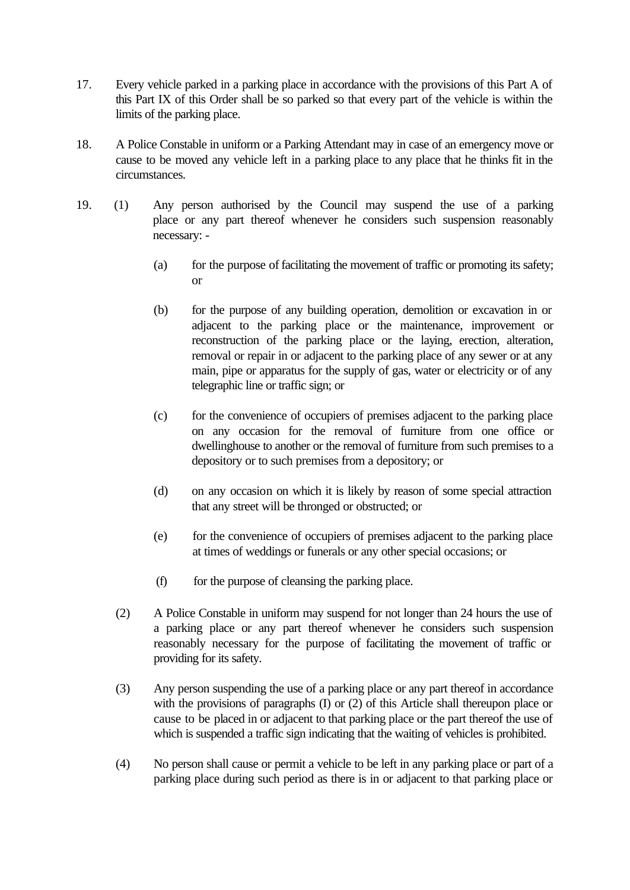- 17. Every vehicle parked in a parking place in accordance with the provisions of this Part A of this Part IX of this Order shall be so parked so that every part of the vehicle is within the limits of the parking place.
- 18. A Police Constable in uniform or a Parking Attendant may in case of an emergency move or cause to be moved any vehicle left in a parking place to any place that he thinks fit in the circumstances.
- 19. (1) Any person authorised by the Council may suspend the use of a parking place or any part thereof whenever he considers such suspension reasonably necessary: -
	- (a) for the purpose of facilitating the movement of traffic or promoting its safety; or
	- (b) for the purpose of any building operation, demolition or excavation in or adjacent to the parking place or the maintenance, improvement or reconstruction of the parking place or the laying, erection, alteration, removal or repair in or adjacent to the parking place of any sewer or at any main, pipe or apparatus for the supply of gas, water or electricity or of any telegraphic line or traffic sign; or
	- (c) for the convenience of occupiers of premises adjacent to the parking place on any occasion for the removal of furniture from one office or dwellinghouse to another or the removal of furniture from such premises to a depository or to such premises from a depository; or
	- (d) on any occasion on which it is likely by reason of some special attraction that any street will be thronged or obstructed; or
	- (e) for the convenience of occupiers of premises adjacent to the parking place at times of weddings or funerals or any other special occasions; or
	- (f) for the purpose of cleansing the parking place.
	- (2) A Police Constable in uniform may suspend for not longer than 24 hours the use of a parking place or any part thereof whenever he considers such suspension reasonably necessary for the purpose of facilitating the movement of traffic or providing for its safety.
	- (3) Any person suspending the use of a parking place or any part thereof in accordance with the provisions of paragraphs (I) or (2) of this Article shall thereupon place or cause to be placed in or adjacent to that parking place or the part thereof the use of which is suspended a traffic sign indicating that the waiting of vehicles is prohibited.
	- (4) No person shall cause or permit a vehicle to be left in any parking place or part of a parking place during such period as there is in or adjacent to that parking place or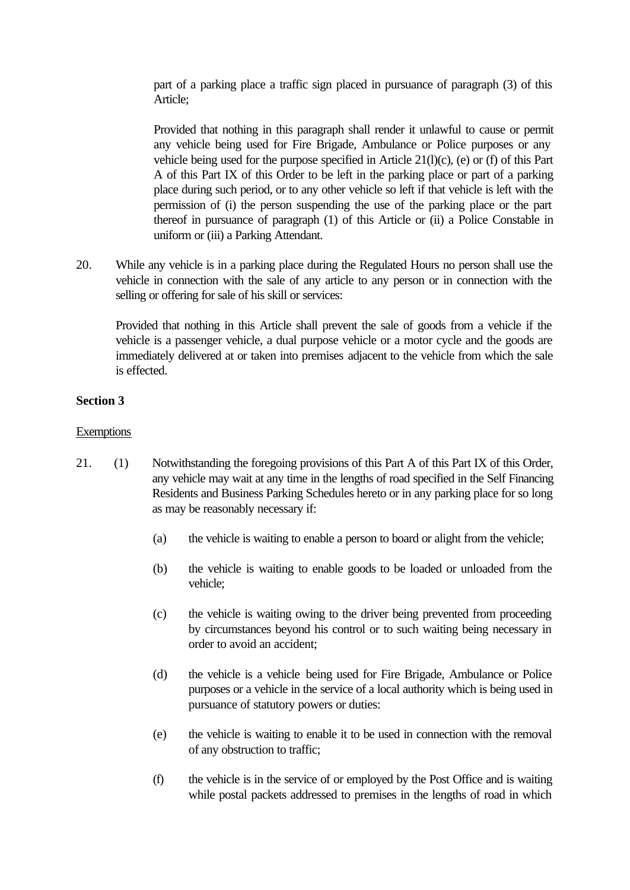part of a parking place a traffic sign placed in pursuance of paragraph (3) of this Article;

Provided that nothing in this paragraph shall render it unlawful to cause or permit any vehicle being used for Fire Brigade, Ambulance or Police purposes or any vehicle being used for the purpose specified in Article 21(l)(c), (e) or (f) of this Part A of this Part IX of this Order to be left in the parking place or part of a parking place during such period, or to any other vehicle so left if that vehicle is left with the permission of (i) the person suspending the use of the parking place or the part thereof in pursuance of paragraph (1) of this Article or (ii) a Police Constable in uniform or (iii) a Parking Attendant.

20. While any vehicle is in a parking place during the Regulated Hours no person shall use the vehicle in connection with the sale of any article to any person or in connection with the selling or offering for sale of his skill or services:

Provided that nothing in this Article shall prevent the sale of goods from a vehicle if the vehicle is a passenger vehicle, a dual purpose vehicle or a motor cycle and the goods are immediately delivered at or taken into premises adjacent to the vehicle from which the sale is effected.

## **Section 3**

### **Exemptions**

- 21. (1) Notwithstanding the foregoing provisions of this Part A of this Part IX of this Order, any vehicle may wait at any time in the lengths of road specified in the Self Financing Residents and Business Parking Schedules hereto or in any parking place for so long as may be reasonably necessary if:
	- (a) the vehicle is waiting to enable a person to board or alight from the vehicle;
	- (b) the vehicle is waiting to enable goods to be loaded or unloaded from the vehicle;
	- (c) the vehicle is waiting owing to the driver being prevented from proceeding by circumstances beyond his control or to such waiting being necessary in order to avoid an accident;
	- (d) the vehicle is a vehicle being used for Fire Brigade, Ambulance or Police purposes or a vehicle in the service of a local authority which is being used in pursuance of statutory powers or duties:
	- (e) the vehicle is waiting to enable it to be used in connection with the removal of any obstruction to traffic;
	- (f) the vehicle is in the service of or employed by the Post Office and is waiting while postal packets addressed to premises in the lengths of road in which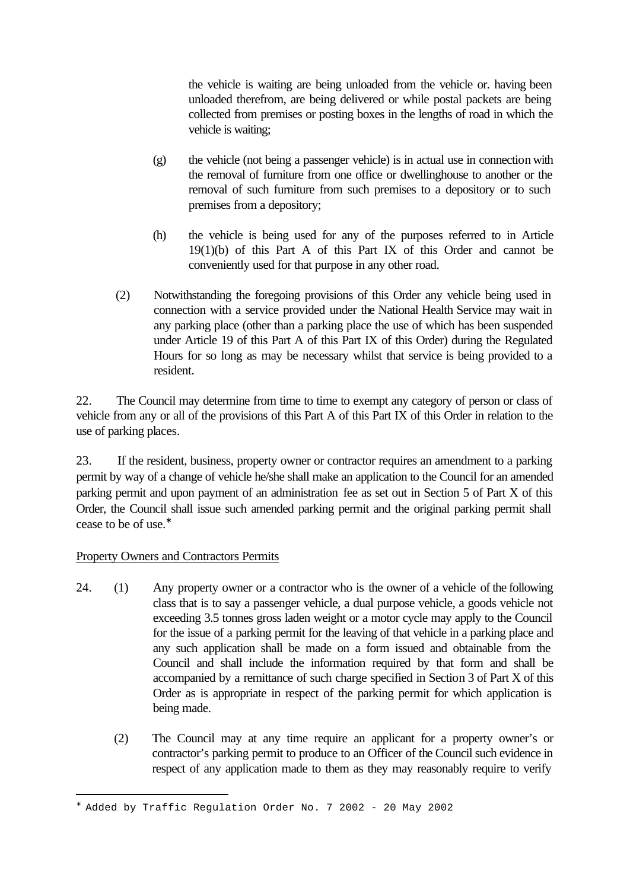the vehicle is waiting are being unloaded from the vehicle or. having been unloaded therefrom, are being delivered or while postal packets are being collected from premises or posting boxes in the lengths of road in which the vehicle is waiting;

- (g) the vehicle (not being a passenger vehicle) is in actual use in connection with the removal of furniture from one office or dwellinghouse to another or the removal of such furniture from such premises to a depository or to such premises from a depository;
- (h) the vehicle is being used for any of the purposes referred to in Article 19(1)(b) of this Part A of this Part IX of this Order and cannot be conveniently used for that purpose in any other road.
- (2) Notwithstanding the foregoing provisions of this Order any vehicle being used in connection with a service provided under the National Health Service may wait in any parking place (other than a parking place the use of which has been suspended under Article 19 of this Part A of this Part IX of this Order) during the Regulated Hours for so long as may be necessary whilst that service is being provided to a resident.

22. The Council may determine from time to time to exempt any category of person or class of vehicle from any or all of the provisions of this Part A of this Part IX of this Order in relation to the use of parking places.

23. If the resident, business, property owner or contractor requires an amendment to a parking permit by way of a change of vehicle he/she shall make an application to the Council for an amended parking permit and upon payment of an administration fee as set out in Section 5 of Part X of this Order, the Council shall issue such amended parking permit and the original parking permit shall cease to be of use.<sup>∗</sup>

## Property Owners and Contractors Permits

i<br>L

- 24. (1) Any property owner or a contractor who is the owner of a vehicle of the following class that is to say a passenger vehicle, a dual purpose vehicle, a goods vehicle not exceeding 3.5 tonnes gross laden weight or a motor cycle may apply to the Council for the issue of a parking permit for the leaving of that vehicle in a parking place and any such application shall be made on a form issued and obtainable from the Council and shall include the information required by that form and shall be accompanied by a remittance of such charge specified in Section 3 of Part X of this Order as is appropriate in respect of the parking permit for which application is being made.
	- (2) The Council may at any time require an applicant for a property owner's or contractor's parking permit to produce to an Officer of the Council such evidence in respect of any application made to them as they may reasonably require to verify

<sup>∗</sup> Added by Traffic Regulation Order No. 7 2002 - 20 May 2002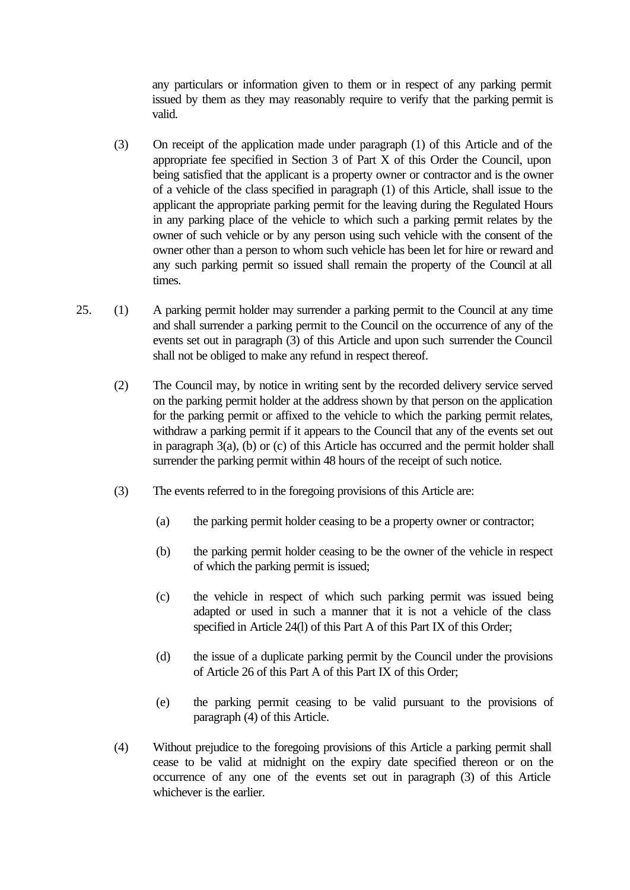any particulars or information given to them or in respect of any parking permit issued by them as they may reasonably require to verify that the parking permit is valid.

- (3) On receipt of the application made under paragraph (1) of this Article and of the appropriate fee specified in Section 3 of Part X of this Order the Council, upon being satisfied that the applicant is a property owner or contractor and is the owner of a vehicle of the class specified in paragraph (1) of this Article, shall issue to the applicant the appropriate parking permit for the leaving during the Regulated Hours in any parking place of the vehicle to which such a parking permit relates by the owner of such vehicle or by any person using such vehicle with the consent of the owner other than a person to whom such vehicle has been let for hire or reward and any such parking permit so issued shall remain the property of the Council at all times.
- 25. (1) A parking permit holder may surrender a parking permit to the Council at any time and shall surrender a parking permit to the Council on the occurrence of any of the events set out in paragraph (3) of this Article and upon such surrender the Council shall not be obliged to make any refund in respect thereof.
	- (2) The Council may, by notice in writing sent by the recorded delivery service served on the parking permit holder at the address shown by that person on the application for the parking permit or affixed to the vehicle to which the parking permit relates, withdraw a parking permit if it appears to the Council that any of the events set out in paragraph 3(a), (b) or (c) of this Article has occurred and the permit holder shall surrender the parking permit within 48 hours of the receipt of such notice.
	- (3) The events referred to in the foregoing provisions of this Article are:
		- (a) the parking permit holder ceasing to be a property owner or contractor;
		- (b) the parking permit holder ceasing to be the owner of the vehicle in respect of which the parking permit is issued;
		- (c) the vehicle in respect of which such parking permit was issued being adapted or used in such a manner that it is not a vehicle of the class specified in Article 24(l) of this Part A of this Part IX of this Order;
		- (d) the issue of a duplicate parking permit by the Council under the provisions of Article 26 of this Part A of this Part IX of this Order;
		- (e) the parking permit ceasing to be valid pursuant to the provisions of paragraph (4) of this Article.
	- (4) Without prejudice to the foregoing provisions of this Article a parking permit shall cease to be valid at midnight on the expiry date specified thereon or on the occurrence of any one of the events set out in paragraph (3) of this Article whichever is the earlier.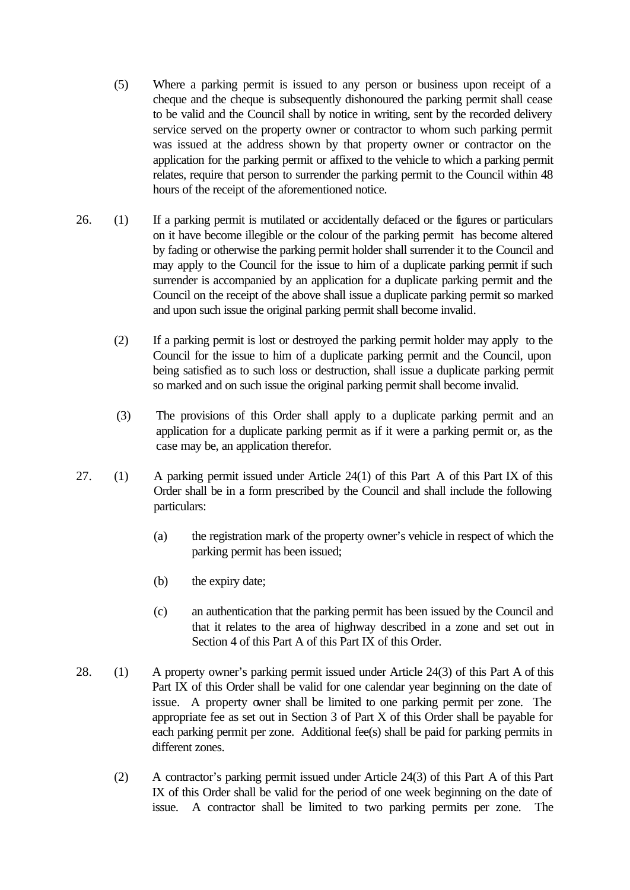- (5) Where a parking permit is issued to any person or business upon receipt of a cheque and the cheque is subsequently dishonoured the parking permit shall cease to be valid and the Council shall by notice in writing, sent by the recorded delivery service served on the property owner or contractor to whom such parking permit was issued at the address shown by that property owner or contractor on the application for the parking permit or affixed to the vehicle to which a parking permit relates, require that person to surrender the parking permit to the Council within 48 hours of the receipt of the aforementioned notice.
- 26. (1) If a parking permit is mutilated or accidentally defaced or the figures or particulars on it have become illegible or the colour of the parking permit has become altered by fading or otherwise the parking permit holder shall surrender it to the Council and may apply to the Council for the issue to him of a duplicate parking permit if such surrender is accompanied by an application for a duplicate parking permit and the Council on the receipt of the above shall issue a duplicate parking permit so marked and upon such issue the original parking permit shall become invalid.
	- (2) If a parking permit is lost or destroyed the parking permit holder may apply to the Council for the issue to him of a duplicate parking permit and the Council, upon being satisfied as to such loss or destruction, shall issue a duplicate parking permit so marked and on such issue the original parking permit shall become invalid.
	- (3) The provisions of this Order shall apply to a duplicate parking permit and an application for a duplicate parking permit as if it were a parking permit or, as the case may be, an application therefor.
- 27. (1) A parking permit issued under Article 24(1) of this Part A of this Part IX of this Order shall be in a form prescribed by the Council and shall include the following particulars:
	- (a) the registration mark of the property owner's vehicle in respect of which the parking permit has been issued;
	- (b) the expiry date;
	- (c) an authentication that the parking permit has been issued by the Council and that it relates to the area of highway described in a zone and set out in Section 4 of this Part A of this Part IX of this Order.
- 28. (1) A property owner's parking permit issued under Article 24(3) of this Part A of this Part IX of this Order shall be valid for one calendar year beginning on the date of issue. A property owner shall be limited to one parking permit per zone. The appropriate fee as set out in Section 3 of Part X of this Order shall be payable for each parking permit per zone. Additional fee(s) shall be paid for parking permits in different zones.
	- (2) A contractor's parking permit issued under Article 24(3) of this Part A of this Part IX of this Order shall be valid for the period of one week beginning on the date of issue. A contractor shall be limited to two parking permits per zone. The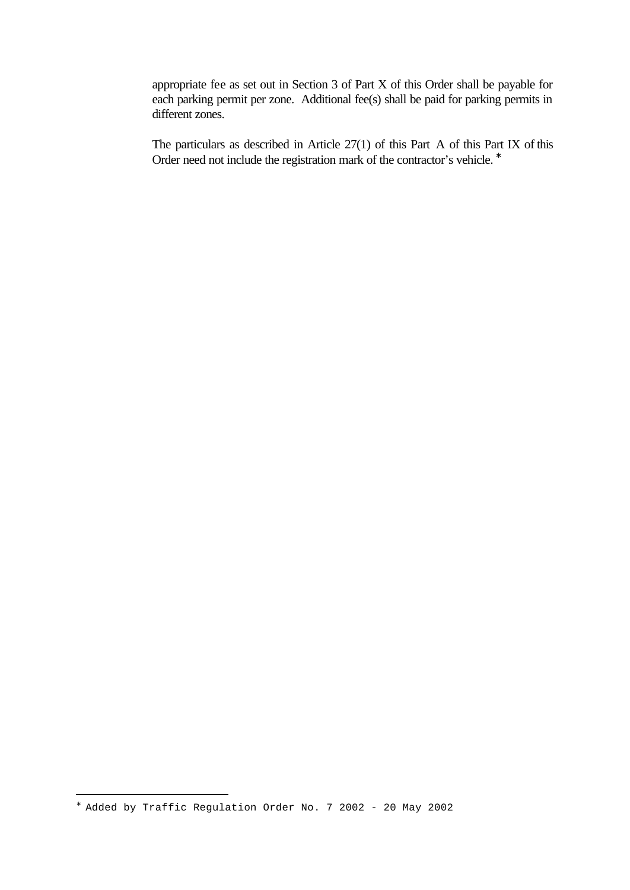appropriate fee as set out in Section 3 of Part X of this Order shall be payable for each parking permit per zone. Additional fee(s) shall be paid for parking permits in different zones.

The particulars as described in Article 27(1) of this Part A of this Part IX of this Order need not include the registration mark of the contractor's vehicle. <sup>∗</sup>

i<br>L

<sup>∗</sup> Added by Traffic Regulation Order No. 7 2002 - 20 May 2002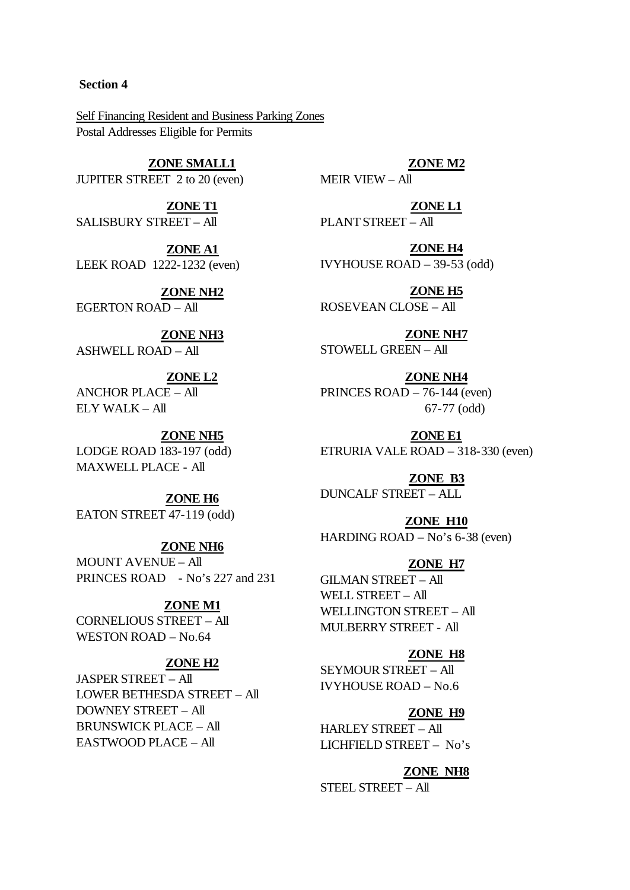#### **Section 4**

Self Financing Resident and Business Parking Zones Postal Addresses Eligible for Permits

# **ZONE SMALL1**

JUPITER STREET 2 to 20 (even)

**ZONE T1** SALISBURY STREET – All

**ZONE A1** LEEK ROAD 1222-1232 (even)

**ZONE NH2** EGERTON ROAD – All

**ZONE NH3** ASHWELL ROAD – All

**ZONE L2** ANCHOR PLACE – All ELY WALK – All

**ZONE NH5** LODGE ROAD 183-197 (odd) MAXWELL PLACE - All

**ZONE H6** EATON STREET 47-119 (odd)

**ZONE NH6** MOUNT AVENUE – All PRINCES ROAD - No's 227 and 231

**ZONE M1** CORNELIOUS STREET – All WESTON ROAD – No.64

### **ZONE H2**

JASPER STREET – All LOWER BETHESDA STREET – All DOWNEY STREET – All BRUNSWICK PLACE – All EASTWOOD PLACE – All

**ZONE M2** MEIR VIEW – All

**ZONE L1** PLANT STREET – All

**ZONE H4** IVYHOUSE ROAD – 39-53 (odd)

**ZONE H5** ROSEVEAN CLOSE – All

**ZONE NH7** STOWELL GREEN – All

**ZONE NH4** PRINCES ROAD – 76-144 (even) 67-77 (odd)

**ZONE E1** ETRURIA VALE ROAD – 318-330 (even)

**ZONE B3** DUNCALF STREET – ALL

**ZONE H10** HARDING ROAD – No's 6-38 (even)

### **ZONE H7**

GILMAN STREET – All WELL STREET – All WELLINGTON STREET – All MULBERRY STREET - All

**ZONE H8** SEYMOUR STREET – All IVYHOUSE ROAD – No.6

**ZONE H9** HARLEY STREET – All

LICHFIELD STREET – No's

### **ZONE NH8**

STEEL STREET – All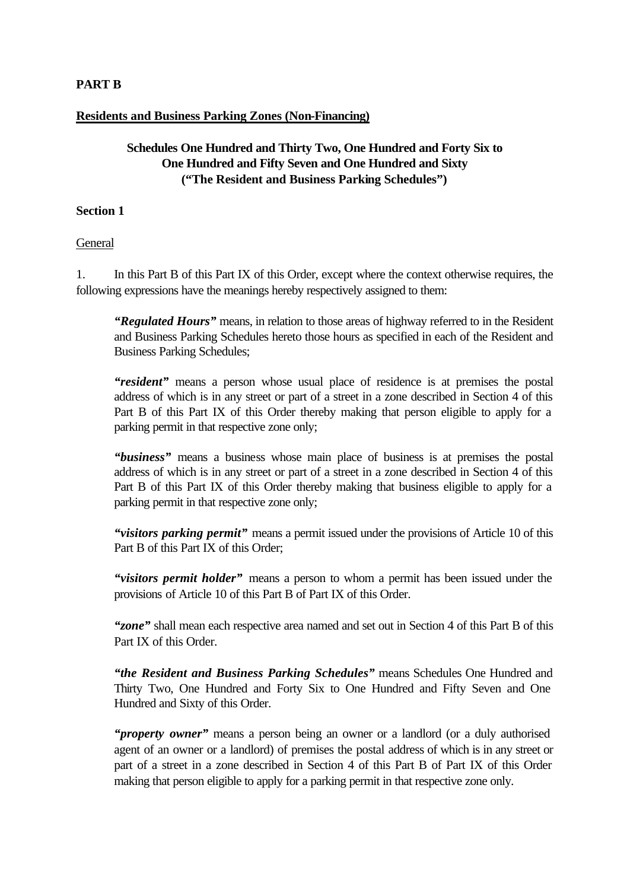## **PART B**

## **Residents and Business Parking Zones (Non-Financing)**

# **Schedules One Hundred and Thirty Two, One Hundred and Forty Six to One Hundred and Fifty Seven and One Hundred and Sixty ("The Resident and Business Parking Schedules")**

### **Section 1**

General

1. In this Part B of this Part IX of this Order, except where the context otherwise requires, the following expressions have the meanings hereby respectively assigned to them:

*"Regulated Hours"* means, in relation to those areas of highway referred to in the Resident and Business Parking Schedules hereto those hours as specified in each of the Resident and Business Parking Schedules;

*"resident"* means a person whose usual place of residence is at premises the postal address of which is in any street or part of a street in a zone described in Section 4 of this Part B of this Part IX of this Order thereby making that person eligible to apply for a parking permit in that respective zone only;

*"business"* means a business whose main place of business is at premises the postal address of which is in any street or part of a street in a zone described in Section 4 of this Part B of this Part IX of this Order thereby making that business eligible to apply for a parking permit in that respective zone only;

*"visitors parking permit"* means a permit issued under the provisions of Article 10 of this Part B of this Part IX of this Order;

*"visitors permit holder"* means a person to whom a permit has been issued under the provisions of Article 10 of this Part B of Part IX of this Order.

*"zone"* shall mean each respective area named and set out in Section 4 of this Part B of this Part IX of this Order.

*"the Resident and Business Parking Schedules"* means Schedules One Hundred and Thirty Two, One Hundred and Forty Six to One Hundred and Fifty Seven and One Hundred and Sixty of this Order.

*"property owner"* means a person being an owner or a landlord (or a duly authorised agent of an owner or a landlord) of premises the postal address of which is in any street or part of a street in a zone described in Section 4 of this Part B of Part IX of this Order making that person eligible to apply for a parking permit in that respective zone only.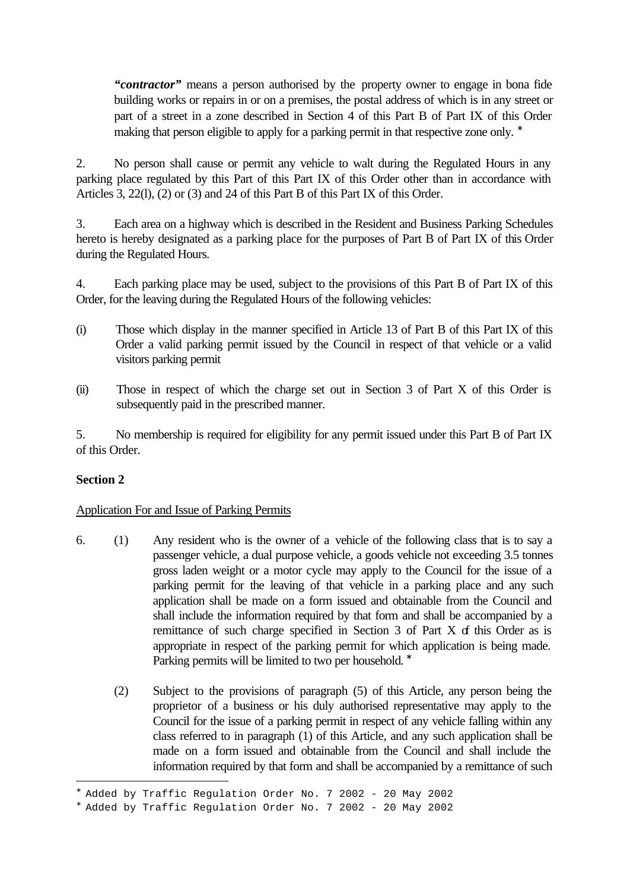*"contractor"* means a person authorised by the property owner to engage in bona fide building works or repairs in or on a premises, the postal address of which is in any street or part of a street in a zone described in Section 4 of this Part B of Part IX of this Order making that person eligible to apply for a parking permit in that respective zone only. <sup>\*</sup>

2. No person shall cause or permit any vehicle to walt during the Regulated Hours in any parking place regulated by this Part of this Part IX of this Order other than in accordance with Articles 3, 22(l), (2) or (3) and 24 of this Part B of this Part IX of this Order.

3. Each area on a highway which is described in the Resident and Business Parking Schedules hereto is hereby designated as a parking place for the purposes of Part B of Part IX of this Order during the Regulated Hours.

4. Each parking place may be used, subject to the provisions of this Part B of Part IX of this Order, for the leaving during the Regulated Hours of the following vehicles:

- (i) Those which display in the manner specified in Article 13 of Part B of this Part IX of this Order a valid parking permit issued by the Council in respect of that vehicle or a valid visitors parking permit
- (ii) Those in respect of which the charge set out in Section 3 of Part X of this Order is subsequently paid in the prescribed manner.

5. No membership is required for eligibility for any permit issued under this Part B of Part IX of this Order.

# **Section 2**

i<br>L

## Application For and Issue of Parking Permits

- 6. (1) Any resident who is the owner of a vehicle of the following class that is to say a passenger vehicle, a dual purpose vehicle, a goods vehicle not exceeding 3.5 tonnes gross laden weight or a motor cycle may apply to the Council for the issue of a parking permit for the leaving of that vehicle in a parking place and any such application shall be made on a form issued and obtainable from the Council and shall include the information required by that form and shall be accompanied by a remittance of such charge specified in Section  $3$  of Part  $X$  of this Order as is appropriate in respect of the parking permit for which application is being made. Parking permits will be limited to two per household. <sup>\*</sup>
	- (2) Subject to the provisions of paragraph (5) of this Article, any person being the proprietor of a business or his duly authorised representative may apply to the Council for the issue of a parking permit in respect of any vehicle falling within any class referred to in paragraph (1) of this Article, and any such application shall be made on a form issued and obtainable from the Council and shall include the information required by that form and shall be accompanied by a remittance of such

<sup>∗</sup> Added by Traffic Regulation Order No. 7 2002 - 20 May 2002

<sup>∗</sup> Added by Traffic Regulation Order No. 7 2002 - 20 May 2002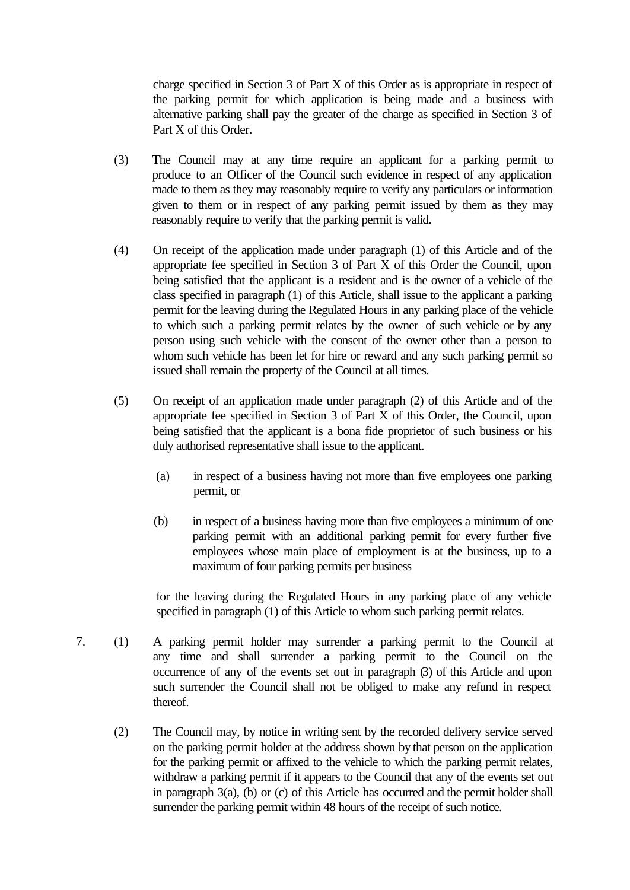charge specified in Section 3 of Part X of this Order as is appropriate in respect of the parking permit for which application is being made and a business with alternative parking shall pay the greater of the charge as specified in Section 3 of Part X of this Order.

- (3) The Council may at any time require an applicant for a parking permit to produce to an Officer of the Council such evidence in respect of any application made to them as they may reasonably require to verify any particulars or information given to them or in respect of any parking permit issued by them as they may reasonably require to verify that the parking permit is valid.
- (4) On receipt of the application made under paragraph (1) of this Article and of the appropriate fee specified in Section 3 of Part X of this Order the Council, upon being satisfied that the applicant is a resident and is the owner of a vehicle of the class specified in paragraph (1) of this Article, shall issue to the applicant a parking permit for the leaving during the Regulated Hours in any parking place of the vehicle to which such a parking permit relates by the owner of such vehicle or by any person using such vehicle with the consent of the owner other than a person to whom such vehicle has been let for hire or reward and any such parking permit so issued shall remain the property of the Council at all times.
- (5) On receipt of an application made under paragraph (2) of this Article and of the appropriate fee specified in Section 3 of Part X of this Order, the Council, upon being satisfied that the applicant is a bona fide proprietor of such business or his duly authorised representative shall issue to the applicant.
	- (a) in respect of a business having not more than five employees one parking permit, or
	- (b) in respect of a business having more than five employees a minimum of one parking permit with an additional parking permit for every further five employees whose main place of employment is at the business, up to a maximum of four parking permits per business

for the leaving during the Regulated Hours in any parking place of any vehicle specified in paragraph (1) of this Article to whom such parking permit relates.

- 7. (1) A parking permit holder may surrender a parking permit to the Council at any time and shall surrender a parking permit to the Council on the occurrence of any of the events set out in paragraph (3) of this Article and upon such surrender the Council shall not be obliged to make any refund in respect thereof.
	- (2) The Council may, by notice in writing sent by the recorded delivery service served on the parking permit holder at the address shown by that person on the application for the parking permit or affixed to the vehicle to which the parking permit relates, withdraw a parking permit if it appears to the Council that any of the events set out in paragraph 3(a), (b) or (c) of this Article has occurred and the permit holder shall surrender the parking permit within 48 hours of the receipt of such notice.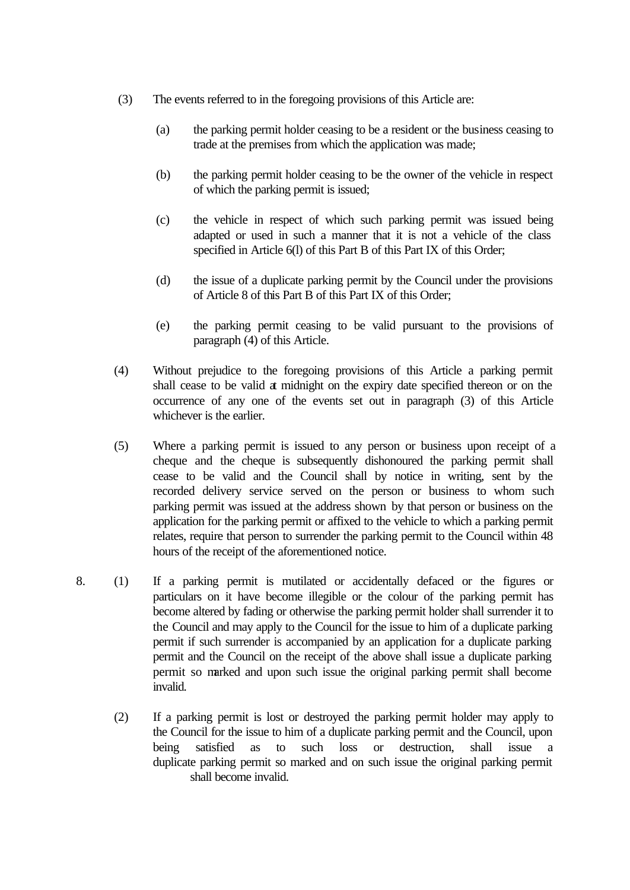- (3) The events referred to in the foregoing provisions of this Article are:
	- (a) the parking permit holder ceasing to be a resident or the business ceasing to trade at the premises from which the application was made;
	- (b) the parking permit holder ceasing to be the owner of the vehicle in respect of which the parking permit is issued;
	- (c) the vehicle in respect of which such parking permit was issued being adapted or used in such a manner that it is not a vehicle of the class specified in Article 6(l) of this Part B of this Part IX of this Order;
	- (d) the issue of a duplicate parking permit by the Council under the provisions of Article 8 of this Part B of this Part IX of this Order;
	- (e) the parking permit ceasing to be valid pursuant to the provisions of paragraph (4) of this Article.
- (4) Without prejudice to the foregoing provisions of this Article a parking permit shall cease to be valid at midnight on the expiry date specified thereon or on the occurrence of any one of the events set out in paragraph (3) of this Article whichever is the earlier.
- (5) Where a parking permit is issued to any person or business upon receipt of a cheque and the cheque is subsequently dishonoured the parking permit shall cease to be valid and the Council shall by notice in writing, sent by the recorded delivery service served on the person or business to whom such parking permit was issued at the address shown by that person or business on the application for the parking permit or affixed to the vehicle to which a parking permit relates, require that person to surrender the parking permit to the Council within 48 hours of the receipt of the aforementioned notice.
- 8. (1) If a parking permit is mutilated or accidentally defaced or the figures or particulars on it have become illegible or the colour of the parking permit has become altered by fading or otherwise the parking permit holder shall surrender it to the Council and may apply to the Council for the issue to him of a duplicate parking permit if such surrender is accompanied by an application for a duplicate parking permit and the Council on the receipt of the above shall issue a duplicate parking permit so marked and upon such issue the original parking permit shall become invalid.
	- (2) If a parking permit is lost or destroyed the parking permit holder may apply to the Council for the issue to him of a duplicate parking permit and the Council, upon being satisfied as to such loss or destruction, shall issue a duplicate parking permit so marked and on such issue the original parking permit shall become invalid.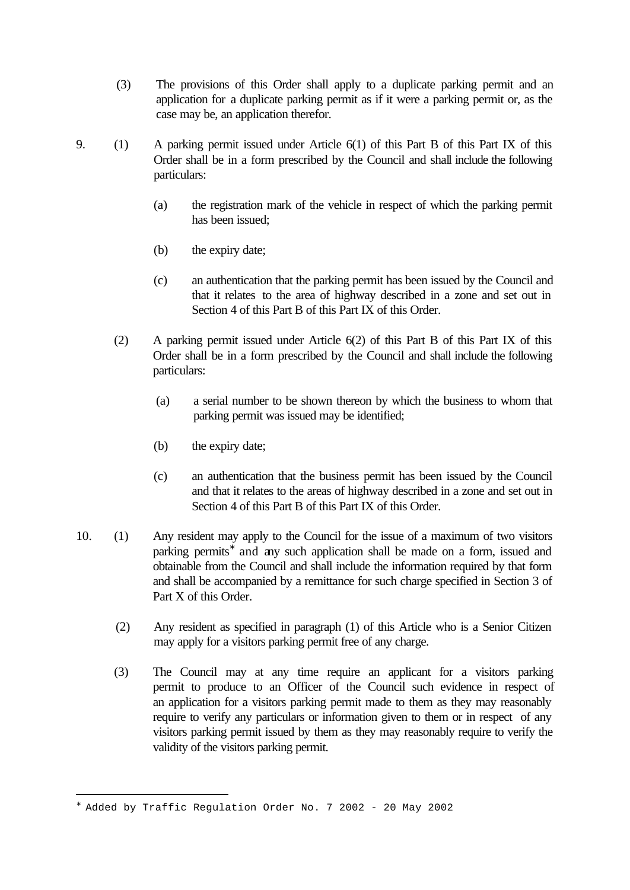- (3) The provisions of this Order shall apply to a duplicate parking permit and an application for a duplicate parking permit as if it were a parking permit or, as the case may be, an application therefor.
- 9. (1) A parking permit issued under Article 6(1) of this Part B of this Part IX of this Order shall be in a form prescribed by the Council and shall include the following particulars:
	- (a) the registration mark of the vehicle in respect of which the parking permit has been issued;
	- (b) the expiry date;
	- (c) an authentication that the parking permit has been issued by the Council and that it relates to the area of highway described in a zone and set out in Section 4 of this Part B of this Part IX of this Order.
	- (2) A parking permit issued under Article 6(2) of this Part B of this Part IX of this Order shall be in a form prescribed by the Council and shall include the following particulars:
		- (a) a serial number to be shown thereon by which the business to whom that parking permit was issued may be identified;
		- (b) the expiry date;
		- (c) an authentication that the business permit has been issued by the Council and that it relates to the areas of highway described in a zone and set out in Section 4 of this Part B of this Part IX of this Order.
- 10. (1) Any resident may apply to the Council for the issue of a maximum of two visitors parking permits<sup>\*</sup> and any such application shall be made on a form, issued and obtainable from the Council and shall include the information required by that form and shall be accompanied by a remittance for such charge specified in Section 3 of Part X of this Order.
	- (2) Any resident as specified in paragraph (1) of this Article who is a Senior Citizen may apply for a visitors parking permit free of any charge.
	- (3) The Council may at any time require an applicant for a visitors parking permit to produce to an Officer of the Council such evidence in respect of an application for a visitors parking permit made to them as they may reasonably require to verify any particulars or information given to them or in respect of any visitors parking permit issued by them as they may reasonably require to verify the validity of the visitors parking permit.

<sup>∗</sup> Added by Traffic Regulation Order No. 7 2002 - 20 May 2002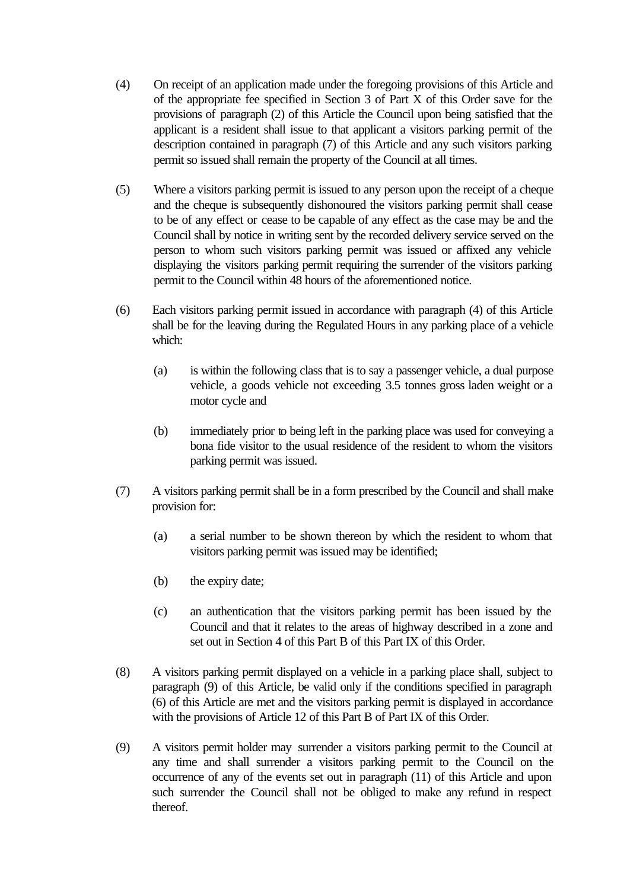- (4) On receipt of an application made under the foregoing provisions of this Article and of the appropriate fee specified in Section 3 of Part X of this Order save for the provisions of paragraph (2) of this Article the Council upon being satisfied that the applicant is a resident shall issue to that applicant a visitors parking permit of the description contained in paragraph (7) of this Article and any such visitors parking permit so issued shall remain the property of the Council at all times.
- (5) Where a visitors parking permit is issued to any person upon the receipt of a cheque and the cheque is subsequently dishonoured the visitors parking permit shall cease to be of any effect or cease to be capable of any effect as the case may be and the Council shall by notice in writing sent by the recorded delivery service served on the person to whom such visitors parking permit was issued or affixed any vehicle displaying the visitors parking permit requiring the surrender of the visitors parking permit to the Council within 48 hours of the aforementioned notice.
- (6) Each visitors parking permit issued in accordance with paragraph (4) of this Article shall be for the leaving during the Regulated Hours in any parking place of a vehicle which:
	- (a) is within the following class that is to say a passenger vehicle, a dual purpose vehicle, a goods vehicle not exceeding 3.5 tonnes gross laden weight or a motor cycle and
	- (b) immediately prior to being left in the parking place was used for conveying a bona fide visitor to the usual residence of the resident to whom the visitors parking permit was issued.
- (7) A visitors parking permit shall be in a form prescribed by the Council and shall make provision for:
	- (a) a serial number to be shown thereon by which the resident to whom that visitors parking permit was issued may be identified;
	- (b) the expiry date;
	- (c) an authentication that the visitors parking permit has been issued by the Council and that it relates to the areas of highway described in a zone and set out in Section 4 of this Part B of this Part IX of this Order.
- (8) A visitors parking permit displayed on a vehicle in a parking place shall, subject to paragraph (9) of this Article, be valid only if the conditions specified in paragraph (6) of this Article are met and the visitors parking permit is displayed in accordance with the provisions of Article 12 of this Part B of Part IX of this Order.
- (9) A visitors permit holder may surrender a visitors parking permit to the Council at any time and shall surrender a visitors parking permit to the Council on the occurrence of any of the events set out in paragraph (11) of this Article and upon such surrender the Council shall not be obliged to make any refund in respect thereof.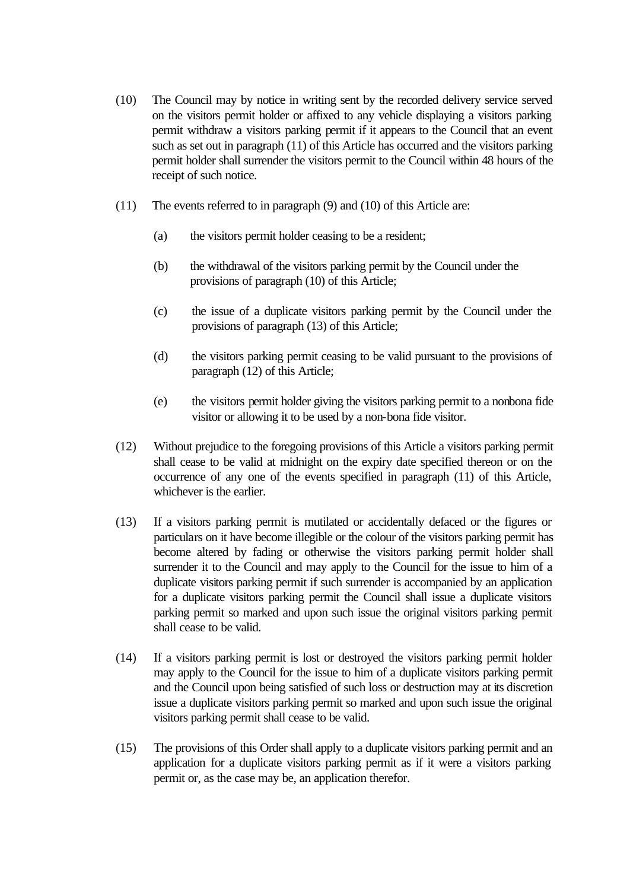- (10) The Council may by notice in writing sent by the recorded delivery service served on the visitors permit holder or affixed to any vehicle displaying a visitors parking permit withdraw a visitors parking permit if it appears to the Council that an event such as set out in paragraph (11) of this Article has occurred and the visitors parking permit holder shall surrender the visitors permit to the Council within 48 hours of the receipt of such notice.
- (11) The events referred to in paragraph (9) and (10) of this Article are:
	- (a) the visitors permit holder ceasing to be a resident;
	- (b) the withdrawal of the visitors parking permit by the Council under the provisions of paragraph (10) of this Article;
	- (c) the issue of a duplicate visitors parking permit by the Council under the provisions of paragraph (13) of this Article;
	- (d) the visitors parking permit ceasing to be valid pursuant to the provisions of paragraph (12) of this Article;
	- (e) the visitors permit holder giving the visitors parking permit to a nonbona fide visitor or allowing it to be used by a non-bona fide visitor.
- (12) Without prejudice to the foregoing provisions of this Article a visitors parking permit shall cease to be valid at midnight on the expiry date specified thereon or on the occurrence of any one of the events specified in paragraph (11) of this Article, whichever is the earlier.
- (13) If a visitors parking permit is mutilated or accidentally defaced or the figures or particulars on it have become illegible or the colour of the visitors parking permit has become altered by fading or otherwise the visitors parking permit holder shall surrender it to the Council and may apply to the Council for the issue to him of a duplicate visitors parking permit if such surrender is accompanied by an application for a duplicate visitors parking permit the Council shall issue a duplicate visitors parking permit so marked and upon such issue the original visitors parking permit shall cease to be valid.
- (14) If a visitors parking permit is lost or destroyed the visitors parking permit holder may apply to the Council for the issue to him of a duplicate visitors parking permit and the Council upon being satisfied of such loss or destruction may at its discretion issue a duplicate visitors parking permit so marked and upon such issue the original visitors parking permit shall cease to be valid.
- (15) The provisions of this Order shall apply to a duplicate visitors parking permit and an application for a duplicate visitors parking permit as if it were a visitors parking permit or, as the case may be, an application therefor.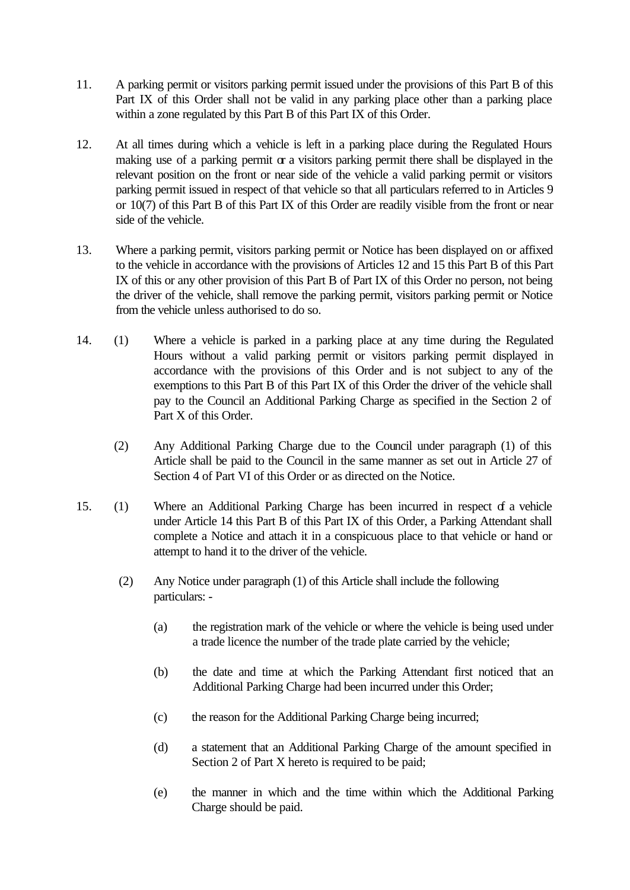- 11. A parking permit or visitors parking permit issued under the provisions of this Part B of this Part IX of this Order shall not be valid in any parking place other than a parking place within a zone regulated by this Part B of this Part IX of this Order.
- 12. At all times during which a vehicle is left in a parking place during the Regulated Hours making use of a parking permit  $\alpha$  a visitors parking permit there shall be displayed in the relevant position on the front or near side of the vehicle a valid parking permit or visitors parking permit issued in respect of that vehicle so that all particulars referred to in Articles 9 or 10(7) of this Part B of this Part IX of this Order are readily visible from the front or near side of the vehicle.
- 13. Where a parking permit, visitors parking permit or Notice has been displayed on or affixed to the vehicle in accordance with the provisions of Articles 12 and 15 this Part B of this Part IX of this or any other provision of this Part B of Part IX of this Order no person, not being the driver of the vehicle, shall remove the parking permit, visitors parking permit or Notice from the vehicle unless authorised to do so.
- 14. (1) Where a vehicle is parked in a parking place at any time during the Regulated Hours without a valid parking permit or visitors parking permit displayed in accordance with the provisions of this Order and is not subject to any of the exemptions to this Part B of this Part IX of this Order the driver of the vehicle shall pay to the Council an Additional Parking Charge as specified in the Section 2 of Part X of this Order.
	- (2) Any Additional Parking Charge due to the Council under paragraph (1) of this Article shall be paid to the Council in the same manner as set out in Article 27 of Section 4 of Part VI of this Order or as directed on the Notice.
- 15. (1) Where an Additional Parking Charge has been incurred in respect of a vehicle under Article 14 this Part B of this Part IX of this Order, a Parking Attendant shall complete a Notice and attach it in a conspicuous place to that vehicle or hand or attempt to hand it to the driver of the vehicle.
	- (2) Any Notice under paragraph (1) of this Article shall include the following particulars: -
		- (a) the registration mark of the vehicle or where the vehicle is being used under a trade licence the number of the trade plate carried by the vehicle;
		- (b) the date and time at which the Parking Attendant first noticed that an Additional Parking Charge had been incurred under this Order;
		- (c) the reason for the Additional Parking Charge being incurred;
		- (d) a statement that an Additional Parking Charge of the amount specified in Section 2 of Part X hereto is required to be paid;
		- (e) the manner in which and the time within which the Additional Parking Charge should be paid.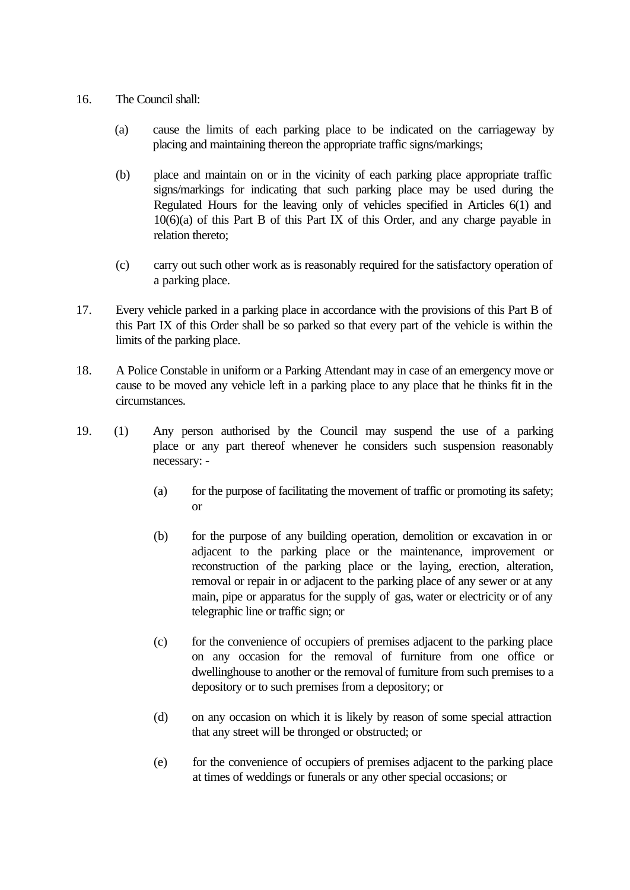- 16. The Council shall:
	- (a) cause the limits of each parking place to be indicated on the carriageway by placing and maintaining thereon the appropriate traffic signs/markings;
	- (b) place and maintain on or in the vicinity of each parking place appropriate traffic signs/markings for indicating that such parking place may be used during the Regulated Hours for the leaving only of vehicles specified in Articles 6(1) and 10(6)(a) of this Part B of this Part IX of this Order, and any charge payable in relation thereto;
	- (c) carry out such other work as is reasonably required for the satisfactory operation of a parking place.
- 17. Every vehicle parked in a parking place in accordance with the provisions of this Part B of this Part IX of this Order shall be so parked so that every part of the vehicle is within the limits of the parking place.
- 18. A Police Constable in uniform or a Parking Attendant may in case of an emergency move or cause to be moved any vehicle left in a parking place to any place that he thinks fit in the circumstances.
- 19. (1) Any person authorised by the Council may suspend the use of a parking place or any part thereof whenever he considers such suspension reasonably necessary: -
	- (a) for the purpose of facilitating the movement of traffic or promoting its safety; or
	- (b) for the purpose of any building operation, demolition or excavation in or adjacent to the parking place or the maintenance, improvement or reconstruction of the parking place or the laying, erection, alteration, removal or repair in or adjacent to the parking place of any sewer or at any main, pipe or apparatus for the supply of gas, water or electricity or of any telegraphic line or traffic sign; or
	- (c) for the convenience of occupiers of premises adjacent to the parking place on any occasion for the removal of furniture from one office or dwellinghouse to another or the removal of furniture from such premises to a depository or to such premises from a depository; or
	- (d) on any occasion on which it is likely by reason of some special attraction that any street will be thronged or obstructed; or
	- (e) for the convenience of occupiers of premises adjacent to the parking place at times of weddings or funerals or any other special occasions; or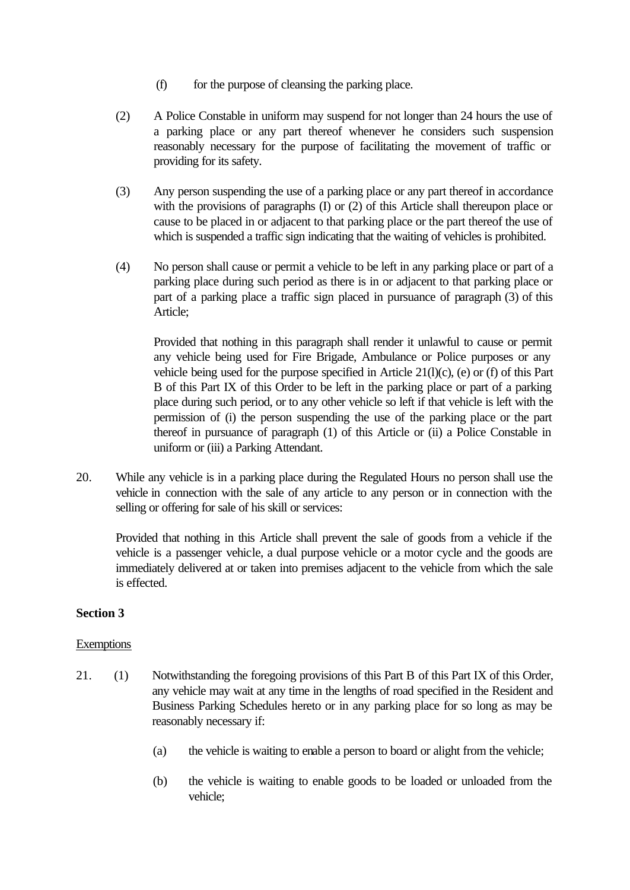- (f) for the purpose of cleansing the parking place.
- (2) A Police Constable in uniform may suspend for not longer than 24 hours the use of a parking place or any part thereof whenever he considers such suspension reasonably necessary for the purpose of facilitating the movement of traffic or providing for its safety.
- (3) Any person suspending the use of a parking place or any part thereof in accordance with the provisions of paragraphs (I) or (2) of this Article shall thereupon place or cause to be placed in or adjacent to that parking place or the part thereof the use of which is suspended a traffic sign indicating that the waiting of vehicles is prohibited.
- (4) No person shall cause or permit a vehicle to be left in any parking place or part of a parking place during such period as there is in or adjacent to that parking place or part of a parking place a traffic sign placed in pursuance of paragraph (3) of this Article;

Provided that nothing in this paragraph shall render it unlawful to cause or permit any vehicle being used for Fire Brigade, Ambulance or Police purposes or any vehicle being used for the purpose specified in Article 21(l)(c), (e) or (f) of this Part B of this Part IX of this Order to be left in the parking place or part of a parking place during such period, or to any other vehicle so left if that vehicle is left with the permission of (i) the person suspending the use of the parking place or the part thereof in pursuance of paragraph (1) of this Article or (ii) a Police Constable in uniform or (iii) a Parking Attendant.

20. While any vehicle is in a parking place during the Regulated Hours no person shall use the vehicle in connection with the sale of any article to any person or in connection with the selling or offering for sale of his skill or services:

Provided that nothing in this Article shall prevent the sale of goods from a vehicle if the vehicle is a passenger vehicle, a dual purpose vehicle or a motor cycle and the goods are immediately delivered at or taken into premises adjacent to the vehicle from which the sale is effected.

## **Section 3**

#### **Exemptions**

- 21. (1) Notwithstanding the foregoing provisions of this Part B of this Part IX of this Order, any vehicle may wait at any time in the lengths of road specified in the Resident and Business Parking Schedules hereto or in any parking place for so long as may be reasonably necessary if:
	- (a) the vehicle is waiting to enable a person to board or alight from the vehicle;
	- (b) the vehicle is waiting to enable goods to be loaded or unloaded from the vehicle;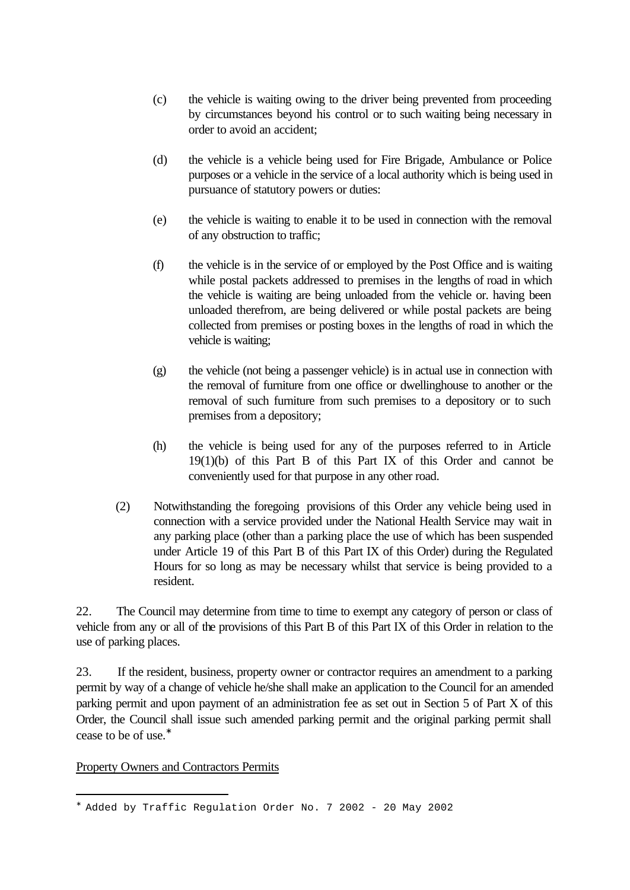- (c) the vehicle is waiting owing to the driver being prevented from proceeding by circumstances beyond his control or to such waiting being necessary in order to avoid an accident;
- (d) the vehicle is a vehicle being used for Fire Brigade, Ambulance or Police purposes or a vehicle in the service of a local authority which is being used in pursuance of statutory powers or duties:
- (e) the vehicle is waiting to enable it to be used in connection with the removal of any obstruction to traffic;
- (f) the vehicle is in the service of or employed by the Post Office and is waiting while postal packets addressed to premises in the lengths of road in which the vehicle is waiting are being unloaded from the vehicle or. having been unloaded therefrom, are being delivered or while postal packets are being collected from premises or posting boxes in the lengths of road in which the vehicle is waiting;
- (g) the vehicle (not being a passenger vehicle) is in actual use in connection with the removal of furniture from one office or dwellinghouse to another or the removal of such furniture from such premises to a depository or to such premises from a depository;
- (h) the vehicle is being used for any of the purposes referred to in Article 19(1)(b) of this Part B of this Part IX of this Order and cannot be conveniently used for that purpose in any other road.
- (2) Notwithstanding the foregoing provisions of this Order any vehicle being used in connection with a service provided under the National Health Service may wait in any parking place (other than a parking place the use of which has been suspended under Article 19 of this Part B of this Part IX of this Order) during the Regulated Hours for so long as may be necessary whilst that service is being provided to a resident.

22. The Council may determine from time to time to exempt any category of person or class of vehicle from any or all of the provisions of this Part B of this Part IX of this Order in relation to the use of parking places.

23. If the resident, business, property owner or contractor requires an amendment to a parking permit by way of a change of vehicle he/she shall make an application to the Council for an amended parking permit and upon payment of an administration fee as set out in Section 5 of Part X of this Order, the Council shall issue such amended parking permit and the original parking permit shall cease to be of use.<sup>∗</sup>

#### Property Owners and Contractors Permits

<sup>∗</sup> Added by Traffic Regulation Order No. 7 2002 - 20 May 2002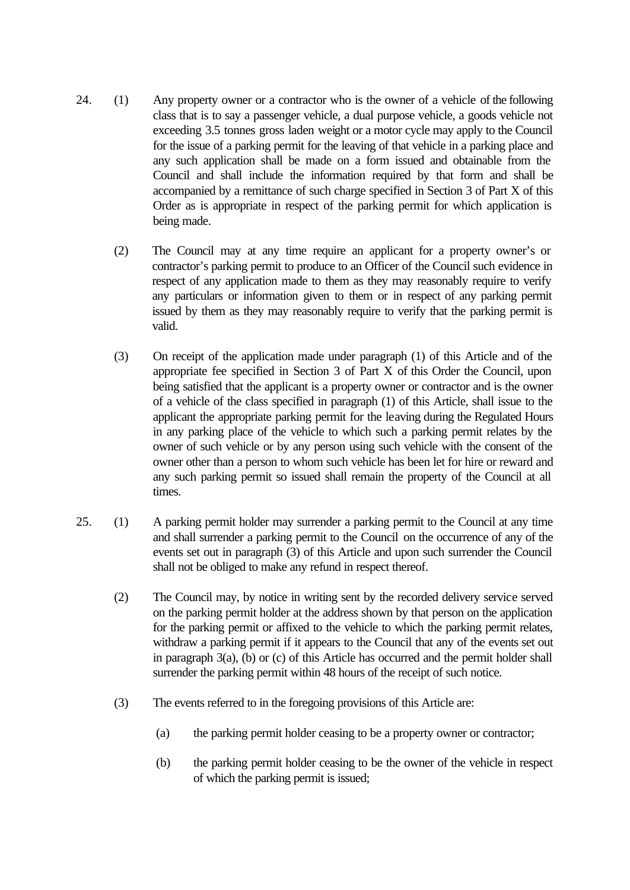- 24. (1) Any property owner or a contractor who is the owner of a vehicle of the following class that is to say a passenger vehicle, a dual purpose vehicle, a goods vehicle not exceeding 3.5 tonnes gross laden weight or a motor cycle may apply to the Council for the issue of a parking permit for the leaving of that vehicle in a parking place and any such application shall be made on a form issued and obtainable from the Council and shall include the information required by that form and shall be accompanied by a remittance of such charge specified in Section 3 of Part X of this Order as is appropriate in respect of the parking permit for which application is being made.
	- (2) The Council may at any time require an applicant for a property owner's or contractor's parking permit to produce to an Officer of the Council such evidence in respect of any application made to them as they may reasonably require to verify any particulars or information given to them or in respect of any parking permit issued by them as they may reasonably require to verify that the parking permit is valid.
	- (3) On receipt of the application made under paragraph (1) of this Article and of the appropriate fee specified in Section 3 of Part X of this Order the Council, upon being satisfied that the applicant is a property owner or contractor and is the owner of a vehicle of the class specified in paragraph (1) of this Article, shall issue to the applicant the appropriate parking permit for the leaving during the Regulated Hours in any parking place of the vehicle to which such a parking permit relates by the owner of such vehicle or by any person using such vehicle with the consent of the owner other than a person to whom such vehicle has been let for hire or reward and any such parking permit so issued shall remain the property of the Council at all times.
- 25. (1) A parking permit holder may surrender a parking permit to the Council at any time and shall surrender a parking permit to the Council on the occurrence of any of the events set out in paragraph (3) of this Article and upon such surrender the Council shall not be obliged to make any refund in respect thereof.
	- (2) The Council may, by notice in writing sent by the recorded delivery service served on the parking permit holder at the address shown by that person on the application for the parking permit or affixed to the vehicle to which the parking permit relates, withdraw a parking permit if it appears to the Council that any of the events set out in paragraph 3(a), (b) or (c) of this Article has occurred and the permit holder shall surrender the parking permit within 48 hours of the receipt of such notice.
	- (3) The events referred to in the foregoing provisions of this Article are:
		- (a) the parking permit holder ceasing to be a property owner or contractor;
		- (b) the parking permit holder ceasing to be the owner of the vehicle in respect of which the parking permit is issued;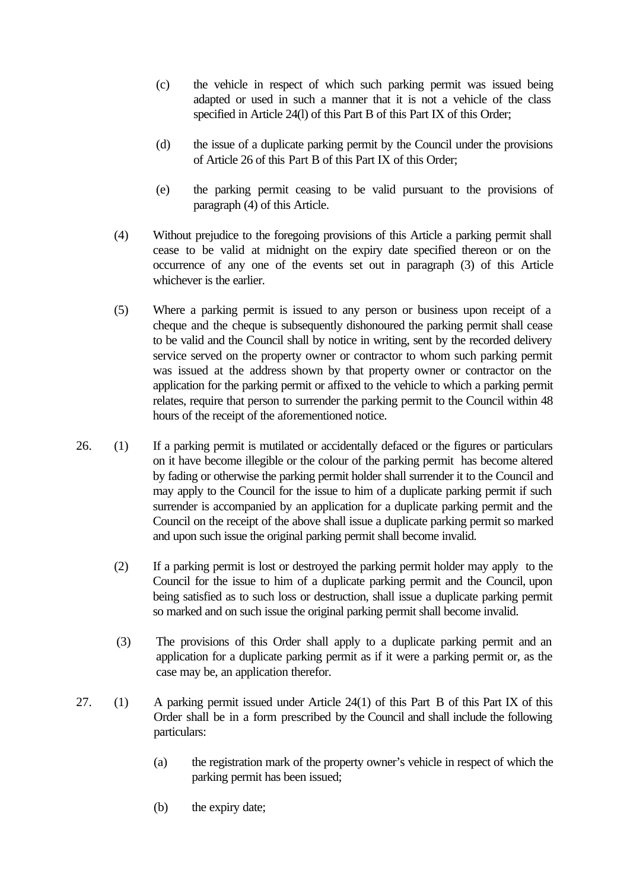- (c) the vehicle in respect of which such parking permit was issued being adapted or used in such a manner that it is not a vehicle of the class specified in Article 24(l) of this Part B of this Part IX of this Order;
- (d) the issue of a duplicate parking permit by the Council under the provisions of Article 26 of this Part B of this Part IX of this Order;
- (e) the parking permit ceasing to be valid pursuant to the provisions of paragraph (4) of this Article.
- (4) Without prejudice to the foregoing provisions of this Article a parking permit shall cease to be valid at midnight on the expiry date specified thereon or on the occurrence of any one of the events set out in paragraph (3) of this Article whichever is the earlier.
- (5) Where a parking permit is issued to any person or business upon receipt of a cheque and the cheque is subsequently dishonoured the parking permit shall cease to be valid and the Council shall by notice in writing, sent by the recorded delivery service served on the property owner or contractor to whom such parking permit was issued at the address shown by that property owner or contractor on the application for the parking permit or affixed to the vehicle to which a parking permit relates, require that person to surrender the parking permit to the Council within 48 hours of the receipt of the aforementioned notice.
- 26. (1) If a parking permit is mutilated or accidentally defaced or the figures or particulars on it have become illegible or the colour of the parking permit has become altered by fading or otherwise the parking permit holder shall surrender it to the Council and may apply to the Council for the issue to him of a duplicate parking permit if such surrender is accompanied by an application for a duplicate parking permit and the Council on the receipt of the above shall issue a duplicate parking permit so marked and upon such issue the original parking permit shall become invalid.
	- (2) If a parking permit is lost or destroyed the parking permit holder may apply to the Council for the issue to him of a duplicate parking permit and the Council, upon being satisfied as to such loss or destruction, shall issue a duplicate parking permit so marked and on such issue the original parking permit shall become invalid.
	- (3) The provisions of this Order shall apply to a duplicate parking permit and an application for a duplicate parking permit as if it were a parking permit or, as the case may be, an application therefor.
- 27. (1) A parking permit issued under Article 24(1) of this Part B of this Part IX of this Order shall be in a form prescribed by the Council and shall include the following particulars:
	- (a) the registration mark of the property owner's vehicle in respect of which the parking permit has been issued;
	- (b) the expiry date;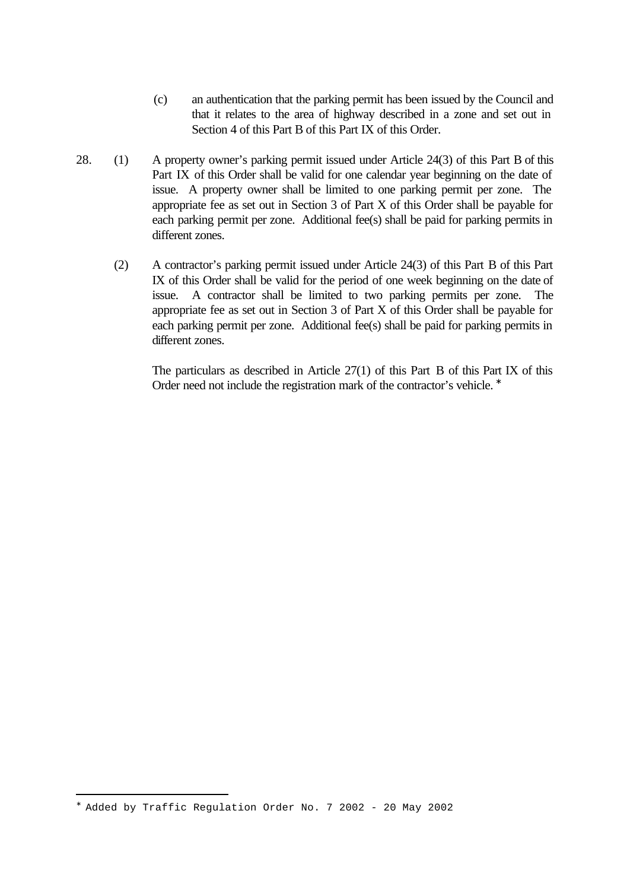- (c) an authentication that the parking permit has been issued by the Council and that it relates to the area of highway described in a zone and set out in Section 4 of this Part B of this Part IX of this Order.
- 28. (1) A property owner's parking permit issued under Article 24(3) of this Part B of this Part IX of this Order shall be valid for one calendar year beginning on the date of issue. A property owner shall be limited to one parking permit per zone. The appropriate fee as set out in Section 3 of Part X of this Order shall be payable for each parking permit per zone. Additional fee(s) shall be paid for parking permits in different zones.
	- (2) A contractor's parking permit issued under Article 24(3) of this Part B of this Part IX of this Order shall be valid for the period of one week beginning on the date of issue. A contractor shall be limited to two parking permits per zone. The appropriate fee as set out in Section 3 of Part X of this Order shall be payable for each parking permit per zone. Additional fee(s) shall be paid for parking permits in different zones.

The particulars as described in Article 27(1) of this Part B of this Part IX of this Order need not include the registration mark of the contractor's vehicle. <sup>\*</sup>

<sup>∗</sup> Added by Traffic Regulation Order No. 7 2002 - 20 May 2002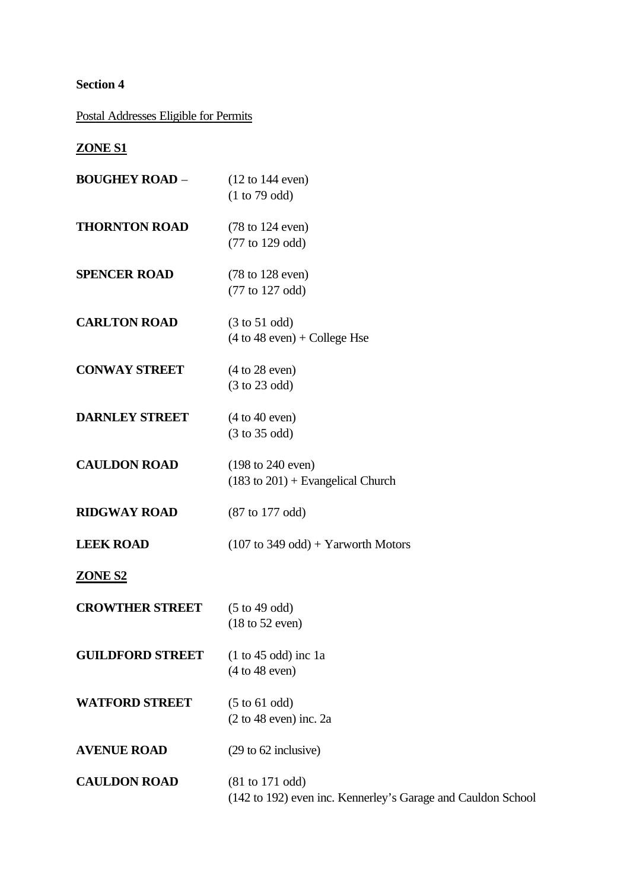# **Section 4**

Postal Addresses Eligible for Permits

# **ZONE S1**

| <b>BOUGHEY ROAD -</b>   | $(12 \text{ to } 144 \text{ even})$<br>(1 to 79 odd)                                |
|-------------------------|-------------------------------------------------------------------------------------|
| <b>THORNTON ROAD</b>    | $(78 \text{ to } 124 \text{ even})$<br>(77 to 129 odd)                              |
| <b>SPENCER ROAD</b>     | $(78 \text{ to } 128 \text{ even})$<br>(77 to 127 odd)                              |
| <b>CARLTON ROAD</b>     | $(3 \text{ to } 51 \text{ odd})$<br>$(4 \text{ to } 48 \text{ even}) + College$ Hse |
| <b>CONWAY STREET</b>    | (4 to 28 even)<br>(3 to 23 odd)                                                     |
| <b>DARNLEY STREET</b>   | (4 to 40 even)<br>(3 to 35 odd)                                                     |
| <b>CAULDON ROAD</b>     | $(198 \text{ to } 240 \text{ even})$<br>$(183$ to $201)$ + Evangelical Church       |
| <b>RIDGWAY ROAD</b>     | (87 to 177 odd)                                                                     |
| <b>LEEK ROAD</b>        | $(107 \text{ to } 349 \text{ odd}) + Y$ arworth Motors                              |
| <b>ZONE S2</b>          |                                                                                     |
| <b>CROWTHER STREET</b>  | $(5 \text{ to } 49 \text{ odd})$<br>$(18 \text{ to } 52 \text{ even})$              |
| <b>GUILDFORD STREET</b> | $(1 to 45 odd)$ inc 1a<br>(4 to 48 even)                                            |
| <b>WATFORD STREET</b>   | $(5 \text{ to } 61 \text{ odd})$<br>$(2 \text{ to } 48 \text{ even})$ inc. 2a       |
| <b>AVENUE ROAD</b>      | (29 to 62 inclusive)                                                                |
| <b>CAULDON ROAD</b>     | $(81$ to 171 odd)<br>(142 to 192) even inc. Kennerley's Garage and Cauldon School   |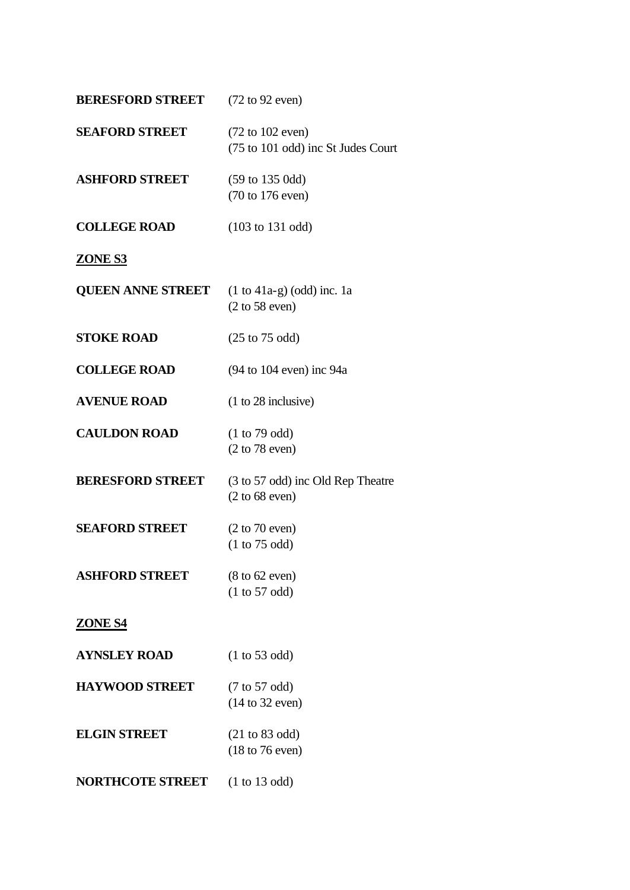| <b>BERESFORD STREET</b>  | $(72 \text{ to } 92 \text{ even})$                                         |
|--------------------------|----------------------------------------------------------------------------|
| <b>SEAFORD STREET</b>    | $(72 \text{ to } 102 \text{ even})$<br>(75 to 101 odd) inc St Judes Court  |
| <b>ASHFORD STREET</b>    | $(59 \text{ to } 135 \text{ Odd})$<br>$(70 \text{ to } 176 \text{ even})$  |
| <b>COLLEGE ROAD</b>      | $(103 \text{ to } 131 \text{ odd})$                                        |
| <b>ZONE S3</b>           |                                                                            |
| <b>QUEEN ANNE STREET</b> | $(1 \text{ to } 41a-g)$ (odd) inc. 1a<br>$(2 \text{ to } 58 \text{ even})$ |
| <b>STOKE ROAD</b>        | $(25 \text{ to } 75 \text{ odd})$                                          |
| <b>COLLEGE ROAD</b>      | $(94$ to 104 even) inc 94a                                                 |
| <b>AVENUE ROAD</b>       | $(1 to 28$ inclusive)                                                      |
| <b>CAULDON ROAD</b>      | (1 to 79 odd)<br>$(2 \text{ to } 78 \text{ even})$                         |
| <b>BERESFORD STREET</b>  | (3 to 57 odd) inc Old Rep Theatre<br>$(2 to 68$ even)                      |
| <b>SEAFORD STREET</b>    | $(2 \text{ to } 70 \text{ even})$<br>(1 to 75 odd)                         |
| <b>ASHFORD STREET</b>    | $(8 \text{ to } 62 \text{ even})$<br>(1 to 57 odd)                         |
| <b>ZONE S4</b>           |                                                                            |
| <b>AYNSLEY ROAD</b>      | (1 to 53 odd)                                                              |
| <b>HAYWOOD STREET</b>    | $(7 \text{ to } 57 \text{ odd})$<br>(14 to 32 even)                        |
| <b>ELGIN STREET</b>      | $(21 \text{ to } 83 \text{ odd})$<br>$(18 \text{ to } 76 \text{ even})$    |
| <b>NORTHCOTE STREET</b>  | (1 to 13 odd)                                                              |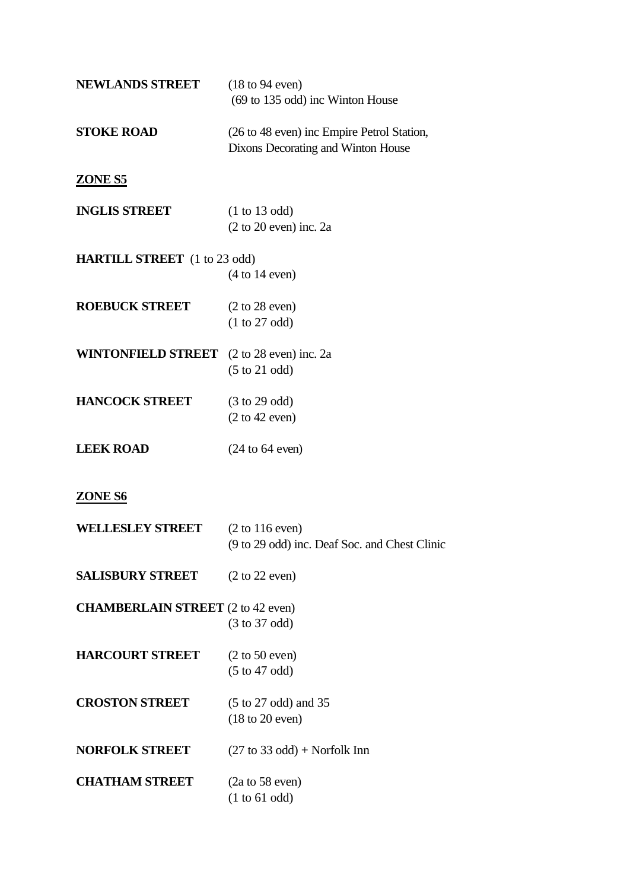| <b>NEWLANDS STREET</b>                           | $(18 \text{ to } 94 \text{ even})$                                                  |
|--------------------------------------------------|-------------------------------------------------------------------------------------|
|                                                  | (69 to 135 odd) inc Winton House                                                    |
| <b>STOKE ROAD</b>                                | (26 to 48 even) inc Empire Petrol Station,<br>Dixons Decorating and Winton House    |
| ZONE S5                                          |                                                                                     |
| <b>INGLIS STREET</b>                             | (1 to 13 odd)<br>$(2 to 20 even)$ inc. $2a$                                         |
| <b>HARTILL STREET</b> (1 to 23 odd)              | $(4 \text{ to } 14 \text{ even})$                                                   |
| <b>ROEBUCK STREET</b>                            | $(2 \text{ to } 28 \text{ even})$<br>(1 to 27 odd)                                  |
| <b>WINTONFIELD STREET</b> (2 to 28 even) inc. 2a | $(5 \text{ to } 21 \text{ odd})$                                                    |
| <b>HANCOCK STREET</b>                            | $(3 \text{ to } 29 \text{ odd})$<br>$(2 \text{ to } 42 \text{ even})$               |
| <b>LEEK ROAD</b>                                 | $(24 \text{ to } 64 \text{ even})$                                                  |
| <b>ZONE S6</b>                                   |                                                                                     |
| <b>WELLESLEY STREET</b>                          | $(2 \text{ to } 116 \text{ even})$<br>(9 to 29 odd) inc. Deaf Soc. and Chest Clinic |
| <b>SALISBURY STREET</b>                          | $(2 \text{ to } 22 \text{ even})$                                                   |
| <b>CHAMBERLAIN STREET</b> (2 to 42 even)         | $(3 \text{ to } 37 \text{ odd})$                                                    |
| <b>HARCOURT STREET</b>                           | $(2 \text{ to } 50 \text{ even})$<br>$(5 \text{ to } 47 \text{ odd})$               |
| <b>CROSTON STREET</b>                            | $(5 \text{ to } 27 \text{ odd})$ and 35<br>$(18 \text{ to } 20 \text{ even})$       |
| <b>NORFOLK STREET</b>                            | $(27 \text{ to } 33 \text{ odd})$ + Norfolk Inn                                     |
| <b>CHATHAM STREET</b>                            | $(2a \text{ to } 58 \text{ even})$<br>(1 to 61 odd)                                 |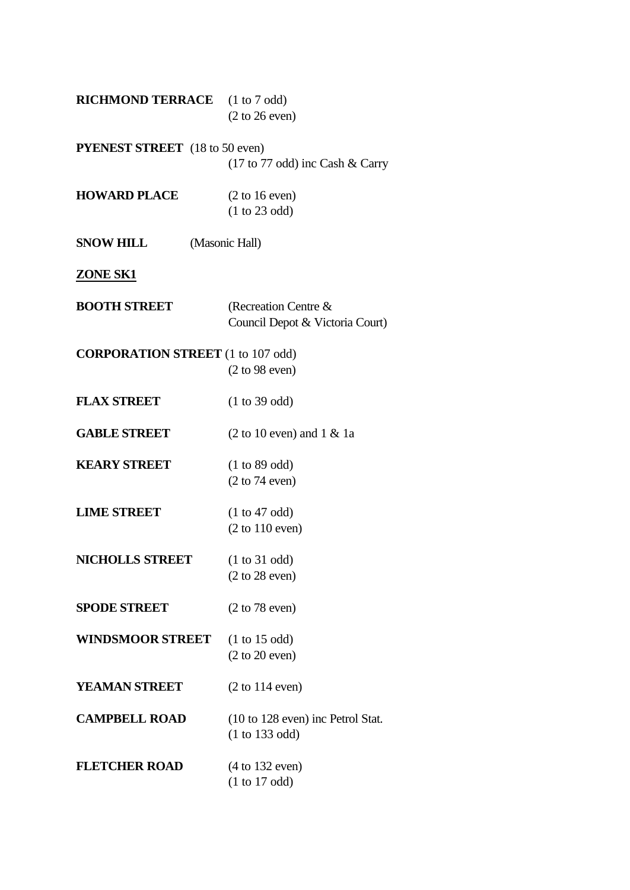| <b>RICHMOND TERRACE</b> (1 to 7 odd)     | $(2 \text{ to } 26 \text{ even})$                       |
|------------------------------------------|---------------------------------------------------------|
| <b>PYENEST STREET</b> (18 to 50 even)    |                                                         |
|                                          | $(17 \text{ to } 77 \text{ odd})$ inc Cash & Carry      |
| <b>HOWARD PLACE</b>                      | $(2 \text{ to } 16 \text{ even})$                       |
|                                          | (1 to 23 odd)                                           |
| <b>SNOW HILL</b>                         | (Masonic Hall)                                          |
| <b>ZONE SK1</b>                          |                                                         |
| <b>BOOTH STREET</b>                      | (Recreation Centre &<br>Council Depot & Victoria Court) |
| <b>CORPORATION STREET</b> (1 to 107 odd) | (2 to 98 even)                                          |
| <b>FLAX STREET</b>                       | (1 to 39 odd)                                           |
| <b>GABLE STREET</b>                      | $(2 \text{ to } 10 \text{ even})$ and $1 \& 1a$         |
| <b>KEARY STREET</b>                      | (1 to 89 odd)                                           |
|                                          | $(2 \text{ to } 74 \text{ even})$                       |
| <b>LIME STREET</b>                       | (1 to 47 odd)                                           |
|                                          | $(2 \text{ to } 110 \text{ even})$                      |
| <b>NICHOLLS STREET</b>                   | (1 to 31 odd)                                           |
|                                          | $(2 \text{ to } 28 \text{ even})$                       |
| <b>SPODE STREET</b>                      | $(2 \text{ to } 78 \text{ even})$                       |
| <b>WINDSMOOR STREET</b>                  | (1 to 15 odd)                                           |
|                                          | $(2 \text{ to } 20 \text{ even})$                       |
| <b>YEAMAN STREET</b>                     | $(2 \text{ to } 114 \text{ even})$                      |
| <b>CAMPBELL ROAD</b>                     | $(10 \text{ to } 128 \text{ even})$ inc Petrol Stat.    |
|                                          | (1 to 133 odd)                                          |
| <b>FLETCHER ROAD</b>                     | $(4 \text{ to } 132 \text{ even})$                      |
|                                          | (1 to 17 odd)                                           |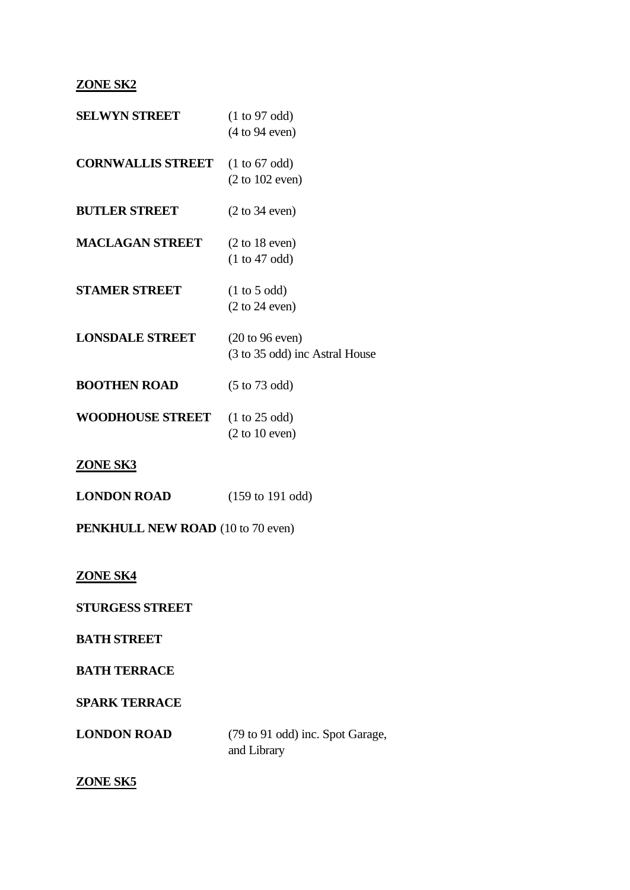## **ZONE SK2**

| <b>SELWYN STREET</b>     | (1 to 97 odd)<br>(4 to 94 even)                                        |
|--------------------------|------------------------------------------------------------------------|
| <b>CORNWALLIS STREET</b> | $(1 \text{ to } 67 \text{ odd})$<br>$(2 \text{ to } 102 \text{ even})$ |
| <b>BUTLER STREET</b>     | $(2 \text{ to } 34 \text{ even})$                                      |
| <b>MACLAGAN STREET</b>   | $(2 \text{ to } 18 \text{ even})$<br>(1 to 47 odd)                     |
| <b>STAMER STREET</b>     | $(1 \text{ to } 5 \text{ odd})$<br>$(2 \text{ to } 24 \text{ even})$   |
| <b>LONSDALE STREET</b>   | $(20 \text{ to } 96 \text{ even})$<br>(3 to 35 odd) inc Astral House   |
| <b>BOOTHEN ROAD</b>      | $(5 \text{ to } 73 \text{ odd})$                                       |
| <b>WOODHOUSE STREET</b>  | $(1 \text{ to } 25 \text{ odd})$<br>$(2 \text{ to } 10 \text{ even})$  |
| ZONE SK3                 |                                                                        |

**LONDON ROAD** (159 to 191 odd)

**PENKHULL NEW ROAD** (10 to 70 even)

# **ZONE SK4**

**STURGESS STREET** 

**BATH STREET** 

**BATH TERRACE**

**SPARK TERRACE**

**LONDON ROAD** (79 to 91 odd) inc. Spot Garage, and Library

# **ZONE SK5**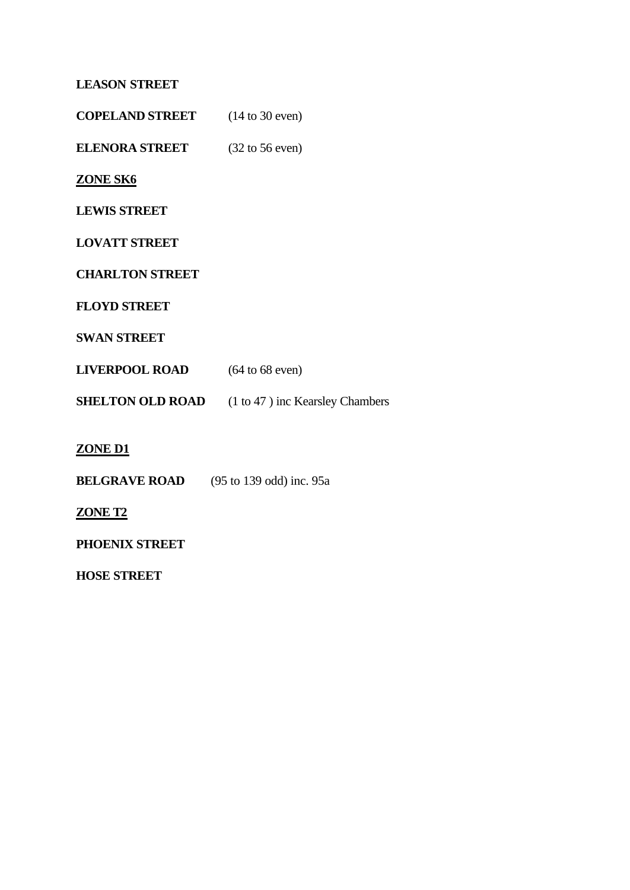## **LEASON STREET**

**COPELAND STREET** (14 to 30 even)

**ELENORA STREET** (32 to 56 even)

## **ZONE SK6**

**LEWIS STREET**

**LOVATT STREET**

**CHARLTON STREET**

**FLOYD STREET**

**SWAN STREET**

| <b>LIVERPOOL ROAD</b><br>$(64 \text{ to } 68 \text{ even})$ |
|-------------------------------------------------------------|
|                                                             |

**SHELTON OLD ROAD** (1 to 47 ) inc Kearsley Chambers

## **ZONE D1**

**BELGRAVE ROAD** (95 to 139 odd) inc. 95a

## **ZONE T2**

**PHOENIX STREET**

**HOSE STREET**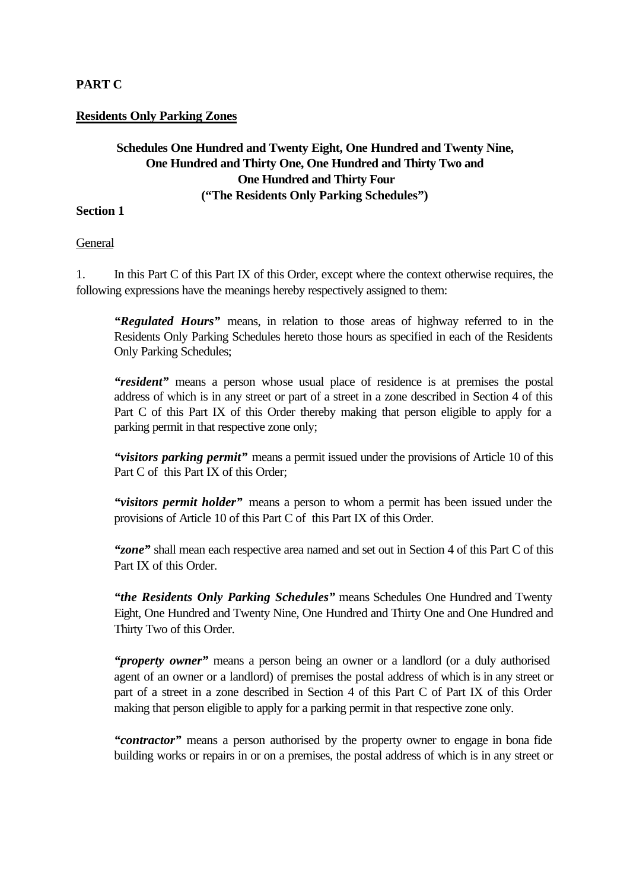## **PART C**

#### **Residents Only Parking Zones**

## **Schedules One Hundred and Twenty Eight, One Hundred and Twenty Nine, One Hundred and Thirty One, One Hundred and Thirty Two and One Hundred and Thirty Four ("The Residents Only Parking Schedules")**

#### **Section 1**

General

1. In this Part C of this Part IX of this Order, except where the context otherwise requires, the following expressions have the meanings hereby respectively assigned to them:

*"Regulated Hours"* means, in relation to those areas of highway referred to in the Residents Only Parking Schedules hereto those hours as specified in each of the Residents Only Parking Schedules;

*"resident"* means a person whose usual place of residence is at premises the postal address of which is in any street or part of a street in a zone described in Section 4 of this Part C of this Part IX of this Order thereby making that person eligible to apply for a parking permit in that respective zone only;

*"visitors parking permit"* means a permit issued under the provisions of Article 10 of this Part C of this Part IX of this Order;

*"visitors permit holder"* means a person to whom a permit has been issued under the provisions of Article 10 of this Part C of this Part IX of this Order.

*"zone"* shall mean each respective area named and set out in Section 4 of this Part C of this Part IX of this Order.

*"the Residents Only Parking Schedules"* means Schedules One Hundred and Twenty Eight, One Hundred and Twenty Nine, One Hundred and Thirty One and One Hundred and Thirty Two of this Order.

*"property owner"* means a person being an owner or a landlord (or a duly authorised agent of an owner or a landlord) of premises the postal address of which is in any street or part of a street in a zone described in Section 4 of this Part C of Part IX of this Order making that person eligible to apply for a parking permit in that respective zone only.

*"contractor"* means a person authorised by the property owner to engage in bona fide building works or repairs in or on a premises, the postal address of which is in any street or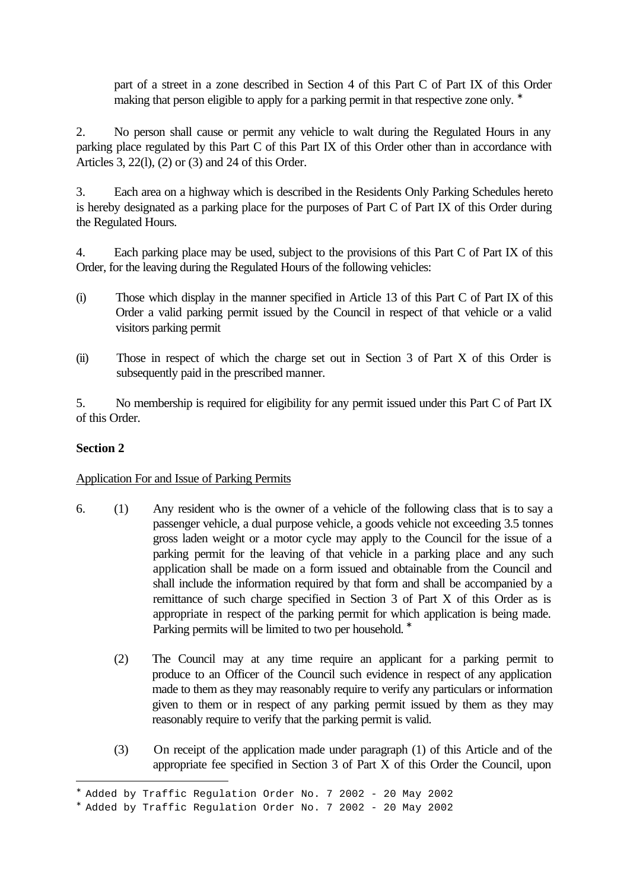part of a street in a zone described in Section 4 of this Part C of Part IX of this Order making that person eligible to apply for a parking permit in that respective zone only. <sup>∗</sup>

2. No person shall cause or permit any vehicle to walt during the Regulated Hours in any parking place regulated by this Part C of this Part IX of this Order other than in accordance with Articles 3, 22(l), (2) or (3) and 24 of this Order.

3. Each area on a highway which is described in the Residents Only Parking Schedules hereto is hereby designated as a parking place for the purposes of Part C of Part IX of this Order during the Regulated Hours.

4. Each parking place may be used, subject to the provisions of this Part C of Part IX of this Order, for the leaving during the Regulated Hours of the following vehicles:

- (i) Those which display in the manner specified in Article 13 of this Part C of Part IX of this Order a valid parking permit issued by the Council in respect of that vehicle or a valid visitors parking permit
- (ii) Those in respect of which the charge set out in Section 3 of Part X of this Order is subsequently paid in the prescribed manner.

5. No membership is required for eligibility for any permit issued under this Part C of Part IX of this Order.

## **Section 2**

i<br>L

#### Application For and Issue of Parking Permits

- 6. (1) Any resident who is the owner of a vehicle of the following class that is to say a passenger vehicle, a dual purpose vehicle, a goods vehicle not exceeding 3.5 tonnes gross laden weight or a motor cycle may apply to the Council for the issue of a parking permit for the leaving of that vehicle in a parking place and any such application shall be made on a form issued and obtainable from the Council and shall include the information required by that form and shall be accompanied by a remittance of such charge specified in Section 3 of Part X of this Order as is appropriate in respect of the parking permit for which application is being made. Parking permits will be limited to two per household. <sup>\*</sup>
	- (2) The Council may at any time require an applicant for a parking permit to produce to an Officer of the Council such evidence in respect of any application made to them as they may reasonably require to verify any particulars or information given to them or in respect of any parking permit issued by them as they may reasonably require to verify that the parking permit is valid.
	- (3) On receipt of the application made under paragraph (1) of this Article and of the appropriate fee specified in Section 3 of Part X of this Order the Council, upon

<sup>∗</sup> Added by Traffic Regulation Order No. 7 2002 - 20 May 2002

<sup>∗</sup> Added by Traffic Regulation Order No. 7 2002 - 20 May 2002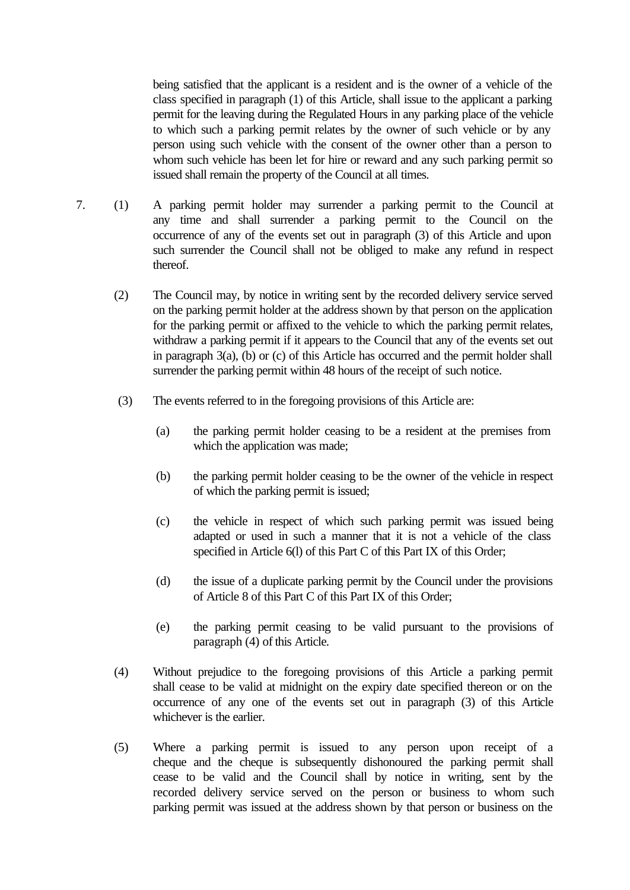being satisfied that the applicant is a resident and is the owner of a vehicle of the class specified in paragraph (1) of this Article, shall issue to the applicant a parking permit for the leaving during the Regulated Hours in any parking place of the vehicle to which such a parking permit relates by the owner of such vehicle or by any person using such vehicle with the consent of the owner other than a person to whom such vehicle has been let for hire or reward and any such parking permit so issued shall remain the property of the Council at all times.

- 7. (1) A parking permit holder may surrender a parking permit to the Council at any time and shall surrender a parking permit to the Council on the occurrence of any of the events set out in paragraph (3) of this Article and upon such surrender the Council shall not be obliged to make any refund in respect thereof.
	- (2) The Council may, by notice in writing sent by the recorded delivery service served on the parking permit holder at the address shown by that person on the application for the parking permit or affixed to the vehicle to which the parking permit relates, withdraw a parking permit if it appears to the Council that any of the events set out in paragraph 3(a), (b) or (c) of this Article has occurred and the permit holder shall surrender the parking permit within 48 hours of the receipt of such notice.
	- (3) The events referred to in the foregoing provisions of this Article are:
		- (a) the parking permit holder ceasing to be a resident at the premises from which the application was made;
		- (b) the parking permit holder ceasing to be the owner of the vehicle in respect of which the parking permit is issued;
		- (c) the vehicle in respect of which such parking permit was issued being adapted or used in such a manner that it is not a vehicle of the class specified in Article 6(l) of this Part C of this Part IX of this Order;
		- (d) the issue of a duplicate parking permit by the Council under the provisions of Article 8 of this Part C of this Part IX of this Order;
		- (e) the parking permit ceasing to be valid pursuant to the provisions of paragraph (4) of this Article.
	- (4) Without prejudice to the foregoing provisions of this Article a parking permit shall cease to be valid at midnight on the expiry date specified thereon or on the occurrence of any one of the events set out in paragraph (3) of this Article whichever is the earlier.
	- (5) Where a parking permit is issued to any person upon receipt of a cheque and the cheque is subsequently dishonoured the parking permit shall cease to be valid and the Council shall by notice in writing, sent by the recorded delivery service served on the person or business to whom such parking permit was issued at the address shown by that person or business on the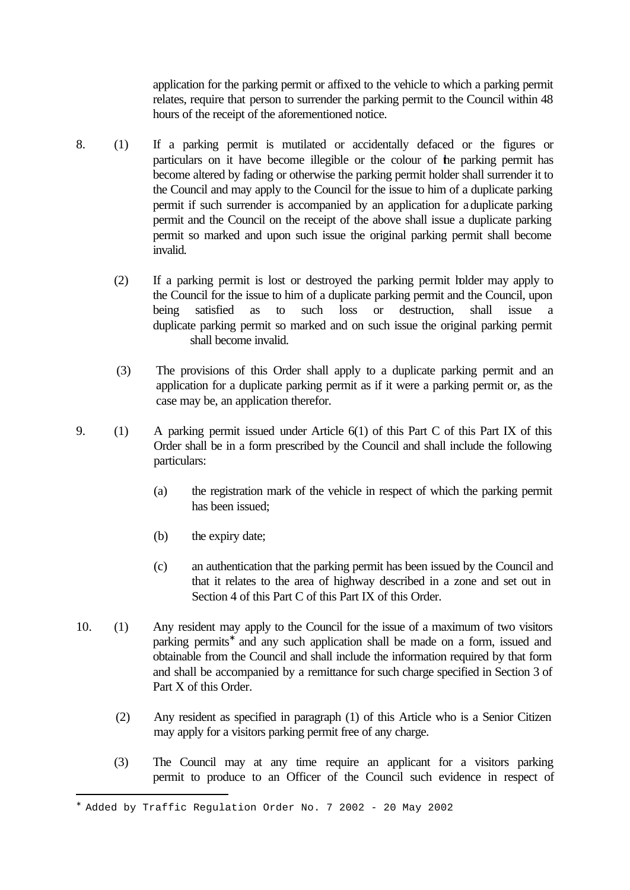application for the parking permit or affixed to the vehicle to which a parking permit relates, require that person to surrender the parking permit to the Council within 48 hours of the receipt of the aforementioned notice.

- 8. (1) If a parking permit is mutilated or accidentally defaced or the figures or particulars on it have become illegible or the colour of the parking permit has become altered by fading or otherwise the parking permit holder shall surrender it to the Council and may apply to the Council for the issue to him of a duplicate parking permit if such surrender is accompanied by an application for a duplicate parking permit and the Council on the receipt of the above shall issue a duplicate parking permit so marked and upon such issue the original parking permit shall become invalid.
	- (2) If a parking permit is lost or destroyed the parking permit holder may apply to the Council for the issue to him of a duplicate parking permit and the Council, upon being satisfied as to such loss or destruction, shall issue a duplicate parking permit so marked and on such issue the original parking permit shall become invalid.
	- (3) The provisions of this Order shall apply to a duplicate parking permit and an application for a duplicate parking permit as if it were a parking permit or, as the case may be, an application therefor.
- 9. (1) A parking permit issued under Article 6(1) of this Part C of this Part IX of this Order shall be in a form prescribed by the Council and shall include the following particulars:
	- (a) the registration mark of the vehicle in respect of which the parking permit has been issued;
	- (b) the expiry date;

- (c) an authentication that the parking permit has been issued by the Council and that it relates to the area of highway described in a zone and set out in Section 4 of this Part C of this Part IX of this Order.
- 10. (1) Any resident may apply to the Council for the issue of a maximum of two visitors parking permits<sup>\*</sup> and any such application shall be made on a form, issued and obtainable from the Council and shall include the information required by that form and shall be accompanied by a remittance for such charge specified in Section 3 of Part X of this Order.
	- (2) Any resident as specified in paragraph (1) of this Article who is a Senior Citizen may apply for a visitors parking permit free of any charge.
	- (3) The Council may at any time require an applicant for a visitors parking permit to produce to an Officer of the Council such evidence in respect of

<sup>∗</sup> Added by Traffic Regulation Order No. 7 2002 - 20 May 2002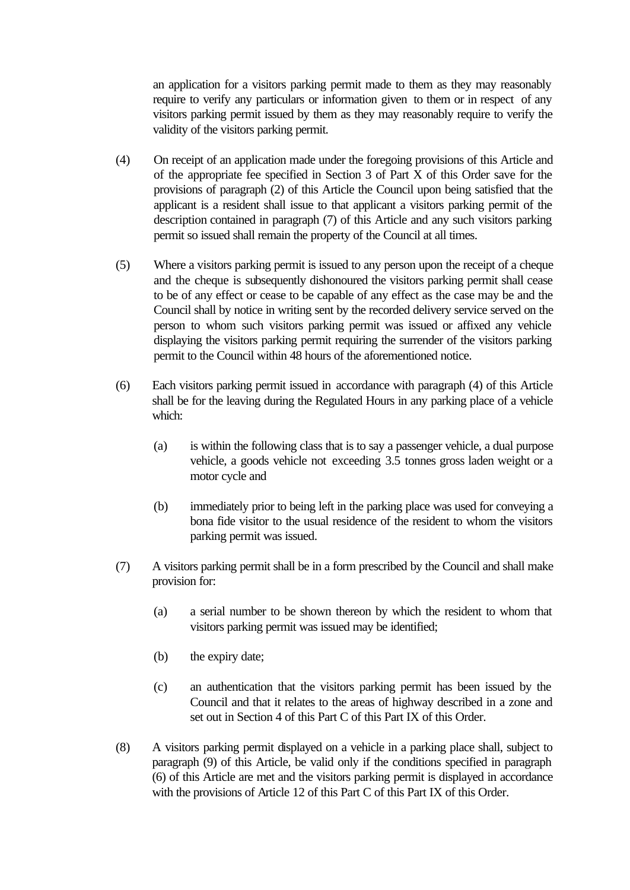an application for a visitors parking permit made to them as they may reasonably require to verify any particulars or information given to them or in respect of any visitors parking permit issued by them as they may reasonably require to verify the validity of the visitors parking permit.

- (4) On receipt of an application made under the foregoing provisions of this Article and of the appropriate fee specified in Section 3 of Part X of this Order save for the provisions of paragraph (2) of this Article the Council upon being satisfied that the applicant is a resident shall issue to that applicant a visitors parking permit of the description contained in paragraph (7) of this Article and any such visitors parking permit so issued shall remain the property of the Council at all times.
- (5) Where a visitors parking permit is issued to any person upon the receipt of a cheque and the cheque is subsequently dishonoured the visitors parking permit shall cease to be of any effect or cease to be capable of any effect as the case may be and the Council shall by notice in writing sent by the recorded delivery service served on the person to whom such visitors parking permit was issued or affixed any vehicle displaying the visitors parking permit requiring the surrender of the visitors parking permit to the Council within 48 hours of the aforementioned notice.
- (6) Each visitors parking permit issued in accordance with paragraph (4) of this Article shall be for the leaving during the Regulated Hours in any parking place of a vehicle which:
	- (a) is within the following class that is to say a passenger vehicle, a dual purpose vehicle, a goods vehicle not exceeding 3.5 tonnes gross laden weight or a motor cycle and
	- (b) immediately prior to being left in the parking place was used for conveying a bona fide visitor to the usual residence of the resident to whom the visitors parking permit was issued.
- (7) A visitors parking permit shall be in a form prescribed by the Council and shall make provision for:
	- (a) a serial number to be shown thereon by which the resident to whom that visitors parking permit was issued may be identified;
	- (b) the expiry date;
	- (c) an authentication that the visitors parking permit has been issued by the Council and that it relates to the areas of highway described in a zone and set out in Section 4 of this Part C of this Part IX of this Order.
- (8) A visitors parking permit displayed on a vehicle in a parking place shall, subject to paragraph (9) of this Article, be valid only if the conditions specified in paragraph (6) of this Article are met and the visitors parking permit is displayed in accordance with the provisions of Article 12 of this Part C of this Part IX of this Order.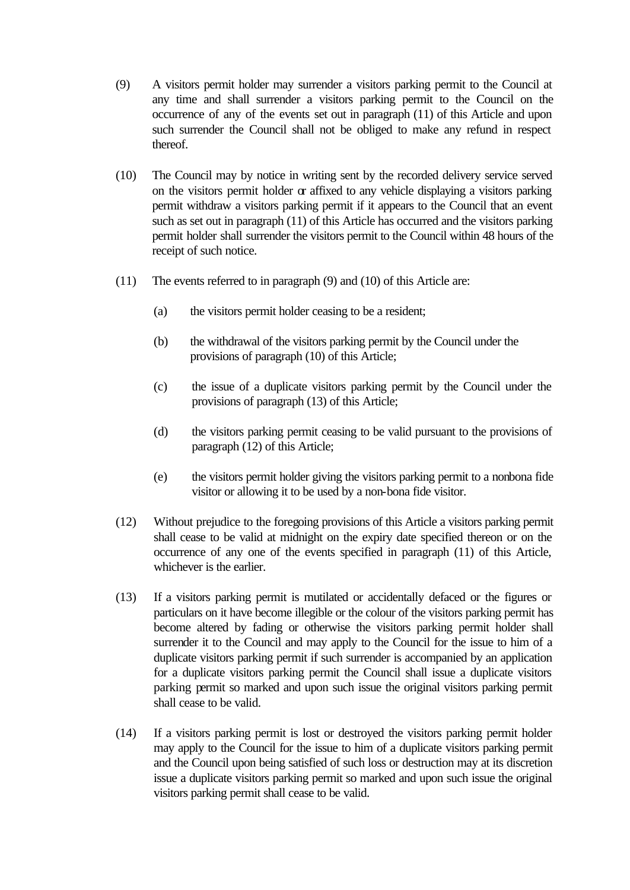- (9) A visitors permit holder may surrender a visitors parking permit to the Council at any time and shall surrender a visitors parking permit to the Council on the occurrence of any of the events set out in paragraph (11) of this Article and upon such surrender the Council shall not be obliged to make any refund in respect thereof.
- (10) The Council may by notice in writing sent by the recorded delivery service served on the visitors permit holder  $\alpha$  affixed to any vehicle displaying a visitors parking permit withdraw a visitors parking permit if it appears to the Council that an event such as set out in paragraph (11) of this Article has occurred and the visitors parking permit holder shall surrender the visitors permit to the Council within 48 hours of the receipt of such notice.
- (11) The events referred to in paragraph (9) and (10) of this Article are:
	- (a) the visitors permit holder ceasing to be a resident;
	- (b) the withdrawal of the visitors parking permit by the Council under the provisions of paragraph (10) of this Article;
	- (c) the issue of a duplicate visitors parking permit by the Council under the provisions of paragraph (13) of this Article;
	- (d) the visitors parking permit ceasing to be valid pursuant to the provisions of paragraph (12) of this Article;
	- (e) the visitors permit holder giving the visitors parking permit to a nonbona fide visitor or allowing it to be used by a non-bona fide visitor.
- (12) Without prejudice to the foregoing provisions of this Article a visitors parking permit shall cease to be valid at midnight on the expiry date specified thereon or on the occurrence of any one of the events specified in paragraph (11) of this Article, whichever is the earlier.
- (13) If a visitors parking permit is mutilated or accidentally defaced or the figures or particulars on it have become illegible or the colour of the visitors parking permit has become altered by fading or otherwise the visitors parking permit holder shall surrender it to the Council and may apply to the Council for the issue to him of a duplicate visitors parking permit if such surrender is accompanied by an application for a duplicate visitors parking permit the Council shall issue a duplicate visitors parking permit so marked and upon such issue the original visitors parking permit shall cease to be valid.
- (14) If a visitors parking permit is lost or destroyed the visitors parking permit holder may apply to the Council for the issue to him of a duplicate visitors parking permit and the Council upon being satisfied of such loss or destruction may at its discretion issue a duplicate visitors parking permit so marked and upon such issue the original visitors parking permit shall cease to be valid.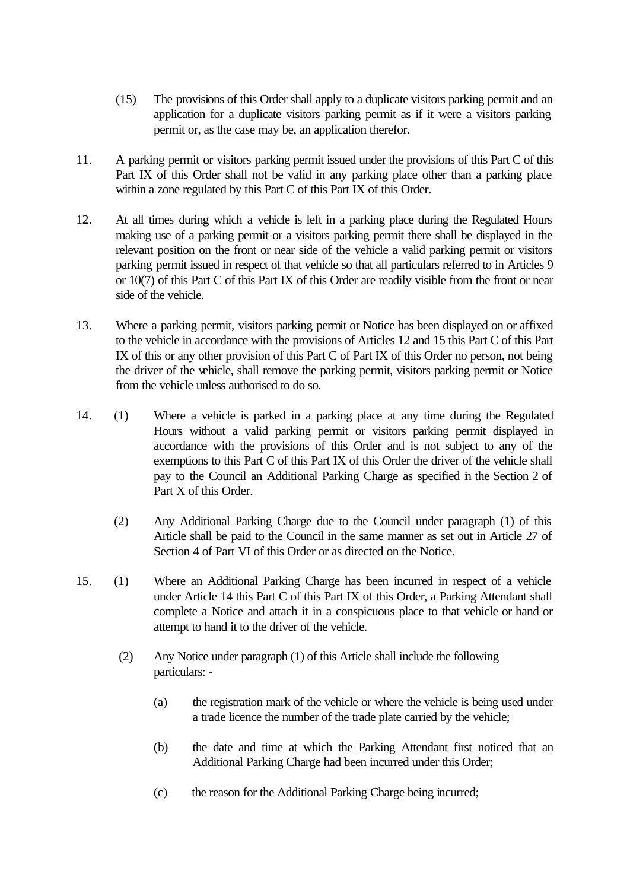- (15) The provisions of this Order shall apply to a duplicate visitors parking permit and an application for a duplicate visitors parking permit as if it were a visitors parking permit or, as the case may be, an application therefor.
- 11. A parking permit or visitors parking permit issued under the provisions of this Part C of this Part IX of this Order shall not be valid in any parking place other than a parking place within a zone regulated by this Part C of this Part IX of this Order.
- 12. At all times during which a vehicle is left in a parking place during the Regulated Hours making use of a parking permit or a visitors parking permit there shall be displayed in the relevant position on the front or near side of the vehicle a valid parking permit or visitors parking permit issued in respect of that vehicle so that all particulars referred to in Articles 9 or 10(7) of this Part C of this Part IX of this Order are readily visible from the front or near side of the vehicle.
- 13. Where a parking permit, visitors parking permit or Notice has been displayed on or affixed to the vehicle in accordance with the provisions of Articles 12 and 15 this Part C of this Part IX of this or any other provision of this Part C of Part IX of this Order no person, not being the driver of the vehicle, shall remove the parking permit, visitors parking permit or Notice from the vehicle unless authorised to do so.
- 14. (1) Where a vehicle is parked in a parking place at any time during the Regulated Hours without a valid parking permit or visitors parking permit displayed in accordance with the provisions of this Order and is not subject to any of the exemptions to this Part C of this Part IX of this Order the driver of the vehicle shall pay to the Council an Additional Parking Charge as specified in the Section 2 of Part X of this Order.
	- (2) Any Additional Parking Charge due to the Council under paragraph (1) of this Article shall be paid to the Council in the same manner as set out in Article 27 of Section 4 of Part VI of this Order or as directed on the Notice.
- 15. (1) Where an Additional Parking Charge has been incurred in respect of a vehicle under Article 14 this Part C of this Part IX of this Order, a Parking Attendant shall complete a Notice and attach it in a conspicuous place to that vehicle or hand or attempt to hand it to the driver of the vehicle.
	- (2) Any Notice under paragraph (1) of this Article shall include the following particulars: -
		- (a) the registration mark of the vehicle or where the vehicle is being used under a trade licence the number of the trade plate carried by the vehicle;
		- (b) the date and time at which the Parking Attendant first noticed that an Additional Parking Charge had been incurred under this Order;
		- (c) the reason for the Additional Parking Charge being incurred;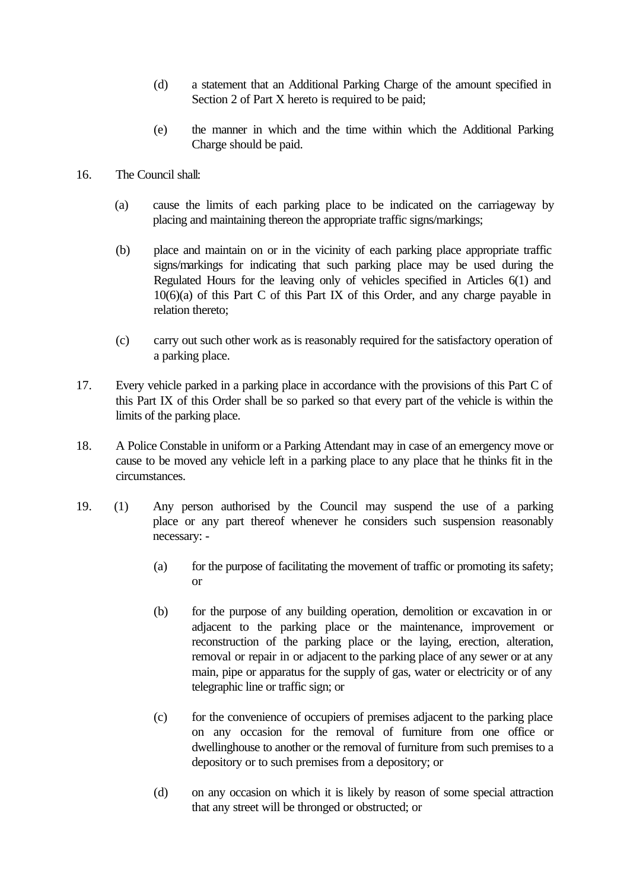- (d) a statement that an Additional Parking Charge of the amount specified in Section 2 of Part X hereto is required to be paid;
- (e) the manner in which and the time within which the Additional Parking Charge should be paid.
- 16. The Council shall:
	- (a) cause the limits of each parking place to be indicated on the carriageway by placing and maintaining thereon the appropriate traffic signs/markings;
	- (b) place and maintain on or in the vicinity of each parking place appropriate traffic signs/markings for indicating that such parking place may be used during the Regulated Hours for the leaving only of vehicles specified in Articles 6(1) and 10(6)(a) of this Part C of this Part IX of this Order, and any charge payable in relation thereto;
	- (c) carry out such other work as is reasonably required for the satisfactory operation of a parking place.
- 17. Every vehicle parked in a parking place in accordance with the provisions of this Part C of this Part IX of this Order shall be so parked so that every part of the vehicle is within the limits of the parking place.
- 18. A Police Constable in uniform or a Parking Attendant may in case of an emergency move or cause to be moved any vehicle left in a parking place to any place that he thinks fit in the circumstances.
- 19. (1) Any person authorised by the Council may suspend the use of a parking place or any part thereof whenever he considers such suspension reasonably necessary: -
	- (a) for the purpose of facilitating the movement of traffic or promoting its safety; or
	- (b) for the purpose of any building operation, demolition or excavation in or adjacent to the parking place or the maintenance, improvement or reconstruction of the parking place or the laying, erection, alteration, removal or repair in or adjacent to the parking place of any sewer or at any main, pipe or apparatus for the supply of gas, water or electricity or of any telegraphic line or traffic sign; or
	- (c) for the convenience of occupiers of premises adjacent to the parking place on any occasion for the removal of furniture from one office or dwellinghouse to another or the removal of furniture from such premises to a depository or to such premises from a depository; or
	- (d) on any occasion on which it is likely by reason of some special attraction that any street will be thronged or obstructed; or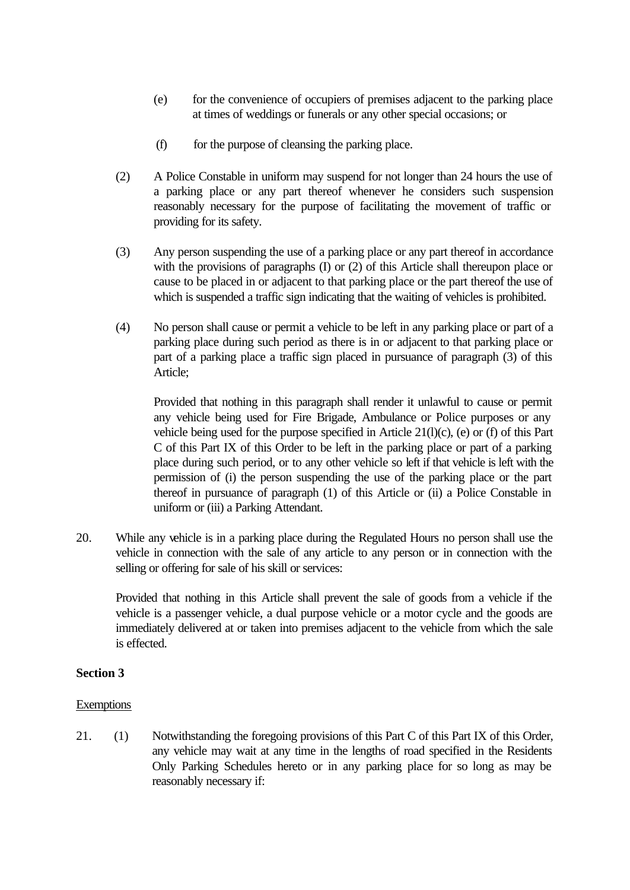- (e) for the convenience of occupiers of premises adjacent to the parking place at times of weddings or funerals or any other special occasions; or
- (f) for the purpose of cleansing the parking place.
- (2) A Police Constable in uniform may suspend for not longer than 24 hours the use of a parking place or any part thereof whenever he considers such suspension reasonably necessary for the purpose of facilitating the movement of traffic or providing for its safety.
- (3) Any person suspending the use of a parking place or any part thereof in accordance with the provisions of paragraphs (I) or (2) of this Article shall thereupon place or cause to be placed in or adjacent to that parking place or the part thereof the use of which is suspended a traffic sign indicating that the waiting of vehicles is prohibited.
- (4) No person shall cause or permit a vehicle to be left in any parking place or part of a parking place during such period as there is in or adjacent to that parking place or part of a parking place a traffic sign placed in pursuance of paragraph (3) of this Article;

Provided that nothing in this paragraph shall render it unlawful to cause or permit any vehicle being used for Fire Brigade, Ambulance or Police purposes or any vehicle being used for the purpose specified in Article 21(l)(c), (e) or (f) of this Part C of this Part IX of this Order to be left in the parking place or part of a parking place during such period, or to any other vehicle so left if that vehicle is left with the permission of (i) the person suspending the use of the parking place or the part thereof in pursuance of paragraph (1) of this Article or (ii) a Police Constable in uniform or (iii) a Parking Attendant.

20. While any vehicle is in a parking place during the Regulated Hours no person shall use the vehicle in connection with the sale of any article to any person or in connection with the selling or offering for sale of his skill or services:

Provided that nothing in this Article shall prevent the sale of goods from a vehicle if the vehicle is a passenger vehicle, a dual purpose vehicle or a motor cycle and the goods are immediately delivered at or taken into premises adjacent to the vehicle from which the sale is effected.

#### **Section 3**

#### **Exemptions**

21. (1) Notwithstanding the foregoing provisions of this Part C of this Part IX of this Order, any vehicle may wait at any time in the lengths of road specified in the Residents Only Parking Schedules hereto or in any parking place for so long as may be reasonably necessary if: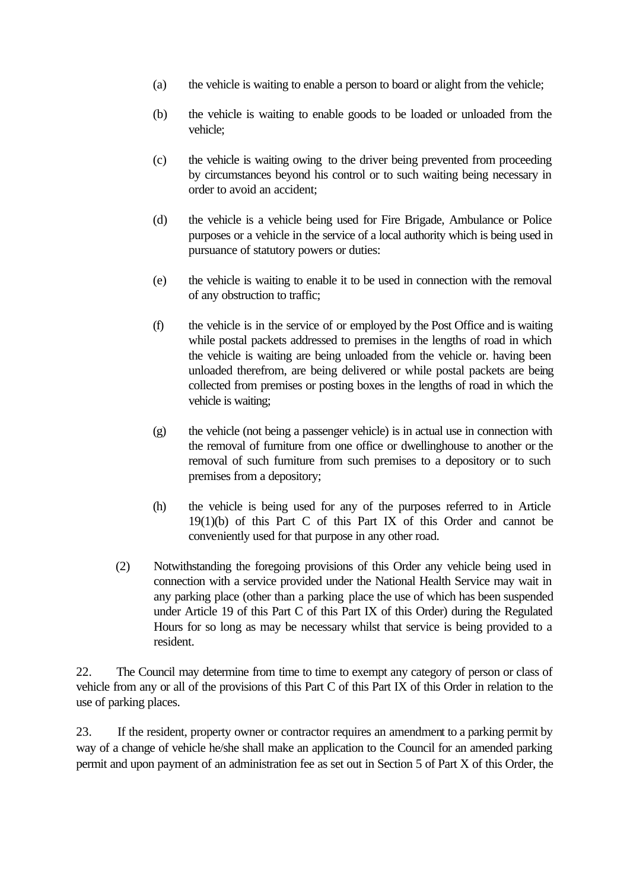- (a) the vehicle is waiting to enable a person to board or alight from the vehicle;
- (b) the vehicle is waiting to enable goods to be loaded or unloaded from the vehicle;
- (c) the vehicle is waiting owing to the driver being prevented from proceeding by circumstances beyond his control or to such waiting being necessary in order to avoid an accident;
- (d) the vehicle is a vehicle being used for Fire Brigade, Ambulance or Police purposes or a vehicle in the service of a local authority which is being used in pursuance of statutory powers or duties:
- (e) the vehicle is waiting to enable it to be used in connection with the removal of any obstruction to traffic;
- (f) the vehicle is in the service of or employed by the Post Office and is waiting while postal packets addressed to premises in the lengths of road in which the vehicle is waiting are being unloaded from the vehicle or. having been unloaded therefrom, are being delivered or while postal packets are being collected from premises or posting boxes in the lengths of road in which the vehicle is waiting;
- (g) the vehicle (not being a passenger vehicle) is in actual use in connection with the removal of furniture from one office or dwellinghouse to another or the removal of such furniture from such premises to a depository or to such premises from a depository;
- (h) the vehicle is being used for any of the purposes referred to in Article 19(1)(b) of this Part C of this Part IX of this Order and cannot be conveniently used for that purpose in any other road.
- (2) Notwithstanding the foregoing provisions of this Order any vehicle being used in connection with a service provided under the National Health Service may wait in any parking place (other than a parking place the use of which has been suspended under Article 19 of this Part C of this Part IX of this Order) during the Regulated Hours for so long as may be necessary whilst that service is being provided to a resident.

22. The Council may determine from time to time to exempt any category of person or class of vehicle from any or all of the provisions of this Part C of this Part IX of this Order in relation to the use of parking places.

23. If the resident, property owner or contractor requires an amendment to a parking permit by way of a change of vehicle he/she shall make an application to the Council for an amended parking permit and upon payment of an administration fee as set out in Section 5 of Part X of this Order, the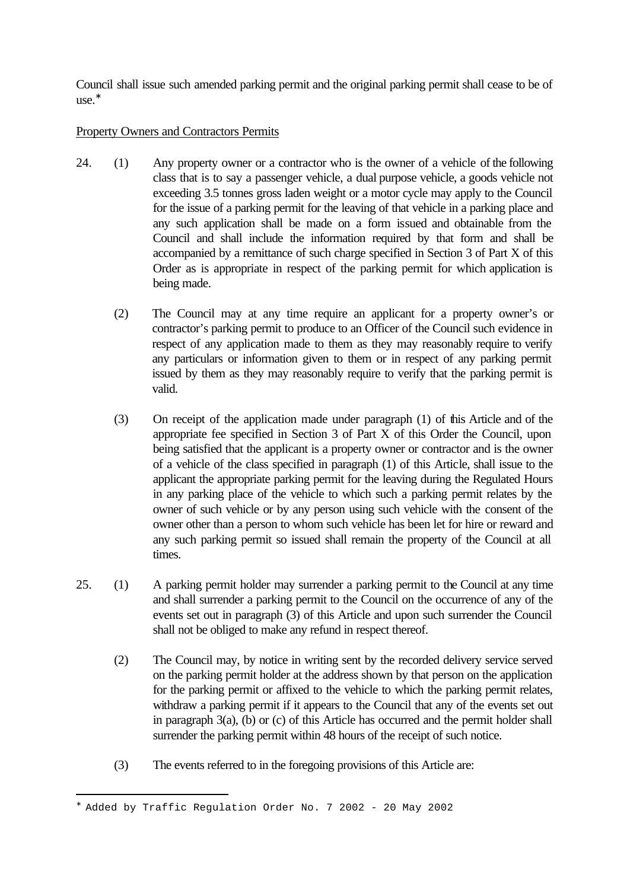Council shall issue such amended parking permit and the original parking permit shall cease to be of use.<sup>∗</sup>

## Property Owners and Contractors Permits

- 24. (1) Any property owner or a contractor who is the owner of a vehicle of the following class that is to say a passenger vehicle, a dual purpose vehicle, a goods vehicle not exceeding 3.5 tonnes gross laden weight or a motor cycle may apply to the Council for the issue of a parking permit for the leaving of that vehicle in a parking place and any such application shall be made on a form issued and obtainable from the Council and shall include the information required by that form and shall be accompanied by a remittance of such charge specified in Section 3 of Part X of this Order as is appropriate in respect of the parking permit for which application is being made.
	- (2) The Council may at any time require an applicant for a property owner's or contractor's parking permit to produce to an Officer of the Council such evidence in respect of any application made to them as they may reasonably require to verify any particulars or information given to them or in respect of any parking permit issued by them as they may reasonably require to verify that the parking permit is valid.
	- (3) On receipt of the application made under paragraph (1) of this Article and of the appropriate fee specified in Section 3 of Part X of this Order the Council, upon being satisfied that the applicant is a property owner or contractor and is the owner of a vehicle of the class specified in paragraph (1) of this Article, shall issue to the applicant the appropriate parking permit for the leaving during the Regulated Hours in any parking place of the vehicle to which such a parking permit relates by the owner of such vehicle or by any person using such vehicle with the consent of the owner other than a person to whom such vehicle has been let for hire or reward and any such parking permit so issued shall remain the property of the Council at all times.
- 25. (1) A parking permit holder may surrender a parking permit to the Council at any time and shall surrender a parking permit to the Council on the occurrence of any of the events set out in paragraph (3) of this Article and upon such surrender the Council shall not be obliged to make any refund in respect thereof.
	- (2) The Council may, by notice in writing sent by the recorded delivery service served on the parking permit holder at the address shown by that person on the application for the parking permit or affixed to the vehicle to which the parking permit relates, withdraw a parking permit if it appears to the Council that any of the events set out in paragraph 3(a), (b) or (c) of this Article has occurred and the permit holder shall surrender the parking permit within 48 hours of the receipt of such notice.
	- (3) The events referred to in the foregoing provisions of this Article are:

<sup>∗</sup> Added by Traffic Regulation Order No. 7 2002 - 20 May 2002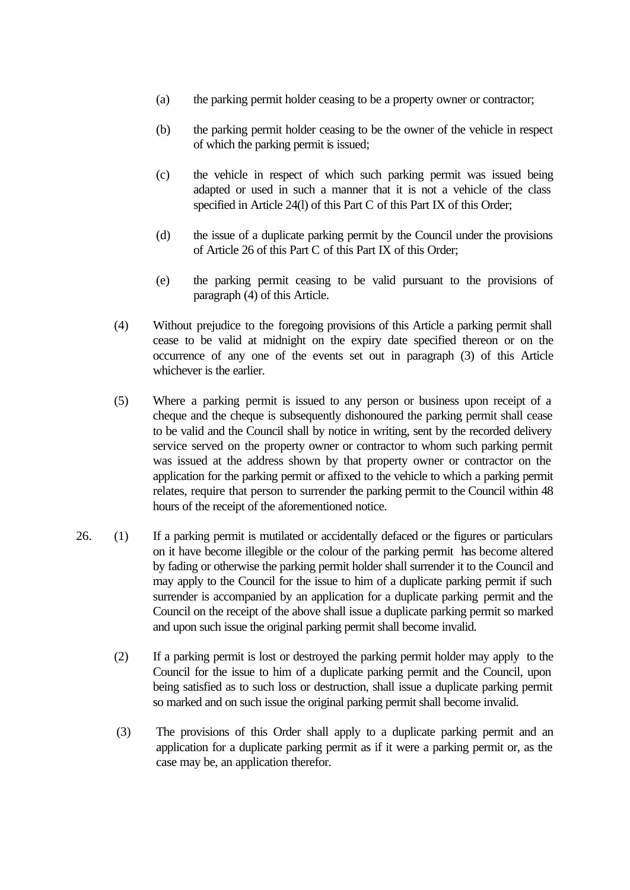- (a) the parking permit holder ceasing to be a property owner or contractor;
- (b) the parking permit holder ceasing to be the owner of the vehicle in respect of which the parking permit is issued;
- (c) the vehicle in respect of which such parking permit was issued being adapted or used in such a manner that it is not a vehicle of the class specified in Article 24(l) of this Part C of this Part IX of this Order;
- (d) the issue of a duplicate parking permit by the Council under the provisions of Article 26 of this Part C of this Part IX of this Order;
- (e) the parking permit ceasing to be valid pursuant to the provisions of paragraph (4) of this Article.
- (4) Without prejudice to the foregoing provisions of this Article a parking permit shall cease to be valid at midnight on the expiry date specified thereon or on the occurrence of any one of the events set out in paragraph (3) of this Article whichever is the earlier.
- (5) Where a parking permit is issued to any person or business upon receipt of a cheque and the cheque is subsequently dishonoured the parking permit shall cease to be valid and the Council shall by notice in writing, sent by the recorded delivery service served on the property owner or contractor to whom such parking permit was issued at the address shown by that property owner or contractor on the application for the parking permit or affixed to the vehicle to which a parking permit relates, require that person to surrender the parking permit to the Council within 48 hours of the receipt of the aforementioned notice.
- 26. (1) If a parking permit is mutilated or accidentally defaced or the figures or particulars on it have become illegible or the colour of the parking permit has become altered by fading or otherwise the parking permit holder shall surrender it to the Council and may apply to the Council for the issue to him of a duplicate parking permit if such surrender is accompanied by an application for a duplicate parking permit and the Council on the receipt of the above shall issue a duplicate parking permit so marked and upon such issue the original parking permit shall become invalid.
	- (2) If a parking permit is lost or destroyed the parking permit holder may apply to the Council for the issue to him of a duplicate parking permit and the Council, upon being satisfied as to such loss or destruction, shall issue a duplicate parking permit so marked and on such issue the original parking permit shall become invalid.
	- (3) The provisions of this Order shall apply to a duplicate parking permit and an application for a duplicate parking permit as if it were a parking permit or, as the case may be, an application therefor.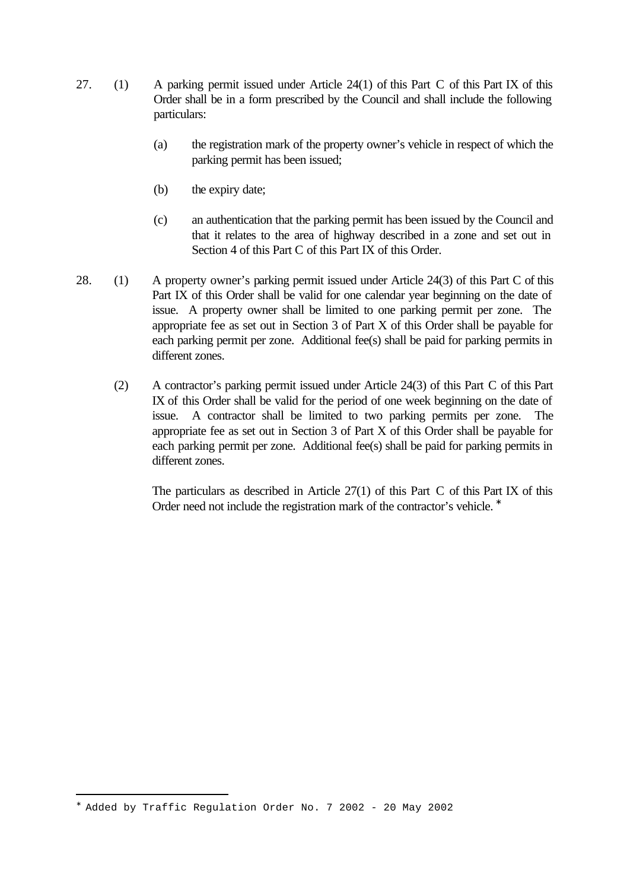- 27. (1) A parking permit issued under Article 24(1) of this Part C of this Part IX of this Order shall be in a form prescribed by the Council and shall include the following particulars:
	- (a) the registration mark of the property owner's vehicle in respect of which the parking permit has been issued;
	- (b) the expiry date;
	- (c) an authentication that the parking permit has been issued by the Council and that it relates to the area of highway described in a zone and set out in Section 4 of this Part C of this Part IX of this Order.
- 28. (1) A property owner's parking permit issued under Article 24(3) of this Part C of this Part IX of this Order shall be valid for one calendar year beginning on the date of issue. A property owner shall be limited to one parking permit per zone. The appropriate fee as set out in Section 3 of Part X of this Order shall be payable for each parking permit per zone. Additional fee(s) shall be paid for parking permits in different zones.
	- (2) A contractor's parking permit issued under Article 24(3) of this Part C of this Part IX of this Order shall be valid for the period of one week beginning on the date of issue. A contractor shall be limited to two parking permits per zone. The appropriate fee as set out in Section 3 of Part X of this Order shall be payable for each parking permit per zone. Additional fee(s) shall be paid for parking permits in different zones.

The particulars as described in Article 27(1) of this Part C of this Part IX of this Order need not include the registration mark of the contractor's vehicle. <sup>\*</sup>

<sup>∗</sup> Added by Traffic Regulation Order No. 7 2002 - 20 May 2002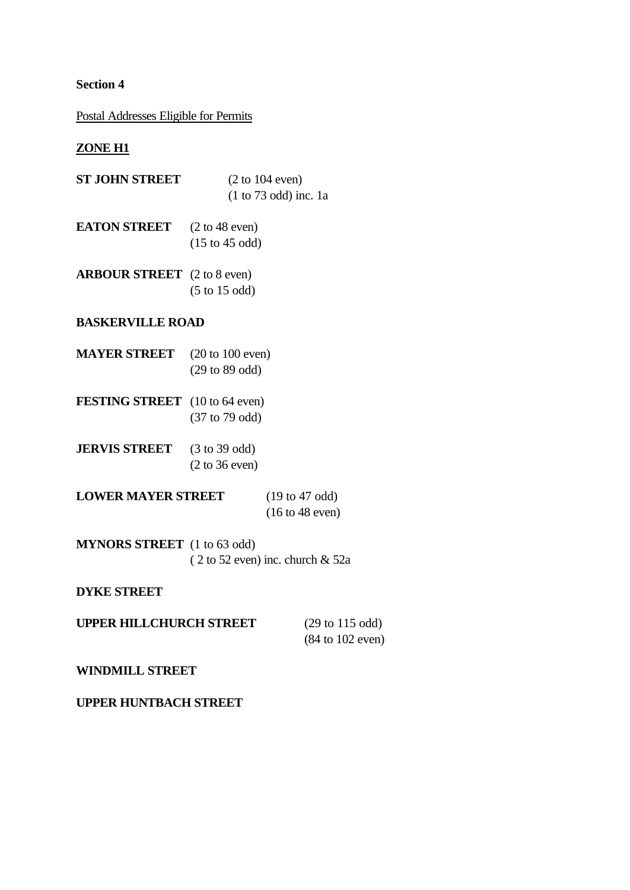## **Section 4**

## Postal Addresses Eligible for Permits

## **ZONE H1**

| <b>ST JOHN STREET</b> | $(2 \text{ to } 104 \text{ even})$<br>$(1 to 73 odd)$ inc. 1a          |
|-----------------------|------------------------------------------------------------------------|
| <b>EATON STREET</b>   | $(2 \text{ to } 48 \text{ even})$<br>$(15 \text{ to } 45 \text{ odd})$ |

**ARBOUR STREET** (2 to 8 even) (5 to 15 odd)

#### **BASKERVILLE ROAD**

- **MAYER STREET** (20 to 100 even) (29 to 89 odd)
- **FESTING STREET** (10 to 64 even) (37 to 79 odd)
- **JERVIS STREET** (3 to 39 odd) (2 to 36 even)

**LOWER MAYER STREET** (19 to 47 odd) (16 to 48 even)

**MYNORS STREET** (1 to 63 odd) ( 2 to 52 even) inc. church & 52a

#### **DYKE STREET**

| <b>UPPER HILLCHURCH STREET</b> | $(29 \text{ to } 115 \text{ odd})$  |
|--------------------------------|-------------------------------------|
|                                | $(84 \text{ to } 102 \text{ even})$ |

#### **WINDMILL STREET**

## **UPPER HUNTBACH STREET**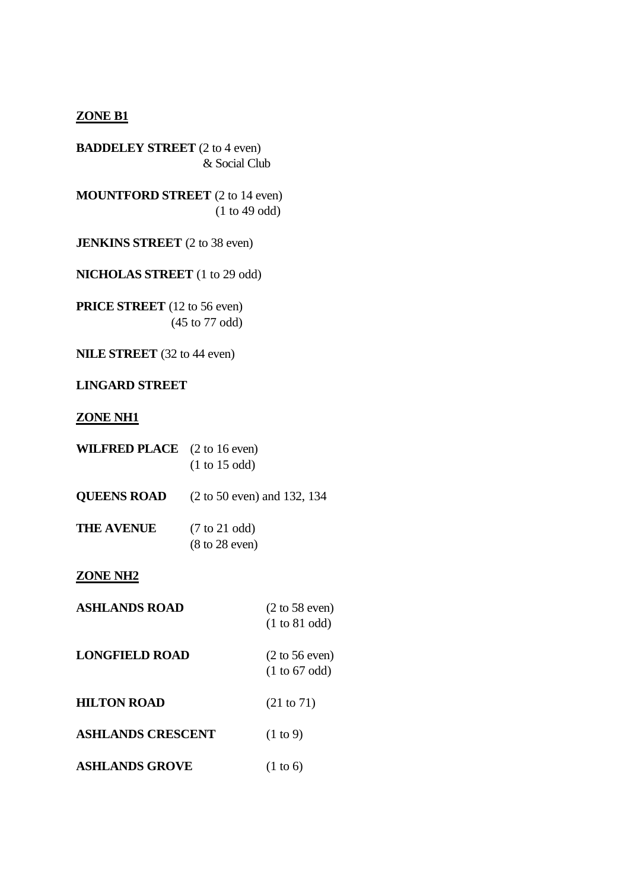#### **ZONE B1**

**BADDELEY STREET** (2 to 4 even) & Social Club

**MOUNTFORD STREET** (2 to 14 even) (1 to 49 odd)

**JENKINS STREET** (2 to 38 even)

**NICHOLAS STREET** (1 to 29 odd)

**PRICE STREET** (12 to 56 even) (45 to 77 odd)

**NILE STREET** (32 to 44 even)

#### **LINGARD STREET**

#### **ZONE NH1**

| <b>WILFRED PLACE</b> $(2 \text{ to } 16 \text{ even})$ | $(1 \text{ to } 15 \text{ odd})$                                      |
|--------------------------------------------------------|-----------------------------------------------------------------------|
| <b>QUEENS ROAD</b>                                     | $(2 \text{ to } 50 \text{ even})$ and 132, 134                        |
| <b>THE AVENUE</b>                                      | $(7 \text{ to } 21 \text{ odd})$<br>$(8 \text{ to } 28 \text{ even})$ |

#### **ZONE NH2**

| <b>ASHLANDS ROAD</b>     | $(2 \text{ to } 58 \text{ even})$<br>(1 to 81 odd)                    |
|--------------------------|-----------------------------------------------------------------------|
| <b>LONGFIELD ROAD</b>    | $(2 \text{ to } 56 \text{ even})$<br>$(1 \text{ to } 67 \text{ odd})$ |
| <b>HILTON ROAD</b>       | (21 to 71)                                                            |
| <b>ASHLANDS CRESCENT</b> | $(1 \text{ to } 9)$                                                   |
| <b>ASHLANDS GROVE</b>    | $(1 \text{ to } 6)$                                                   |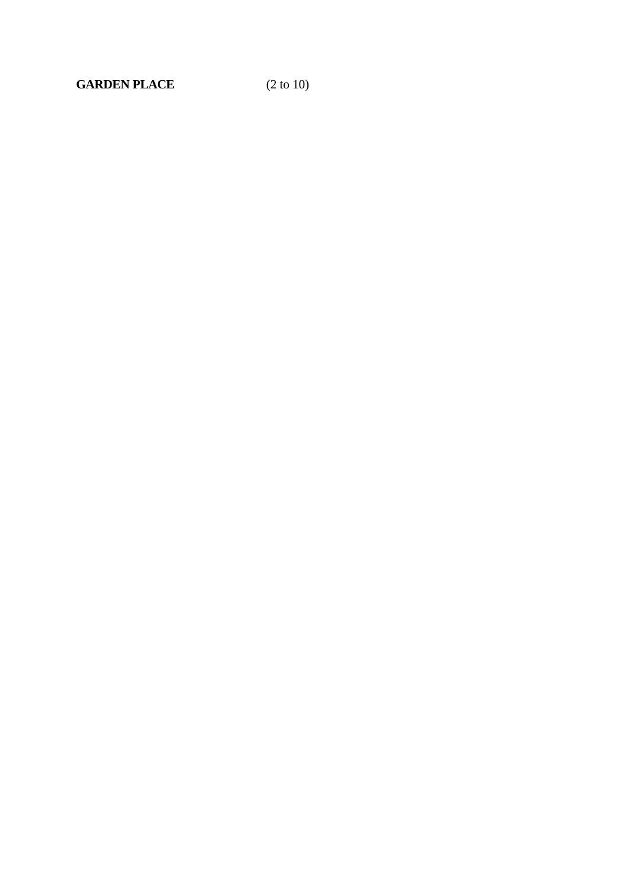**GARDEN PLACE** (2 to 10)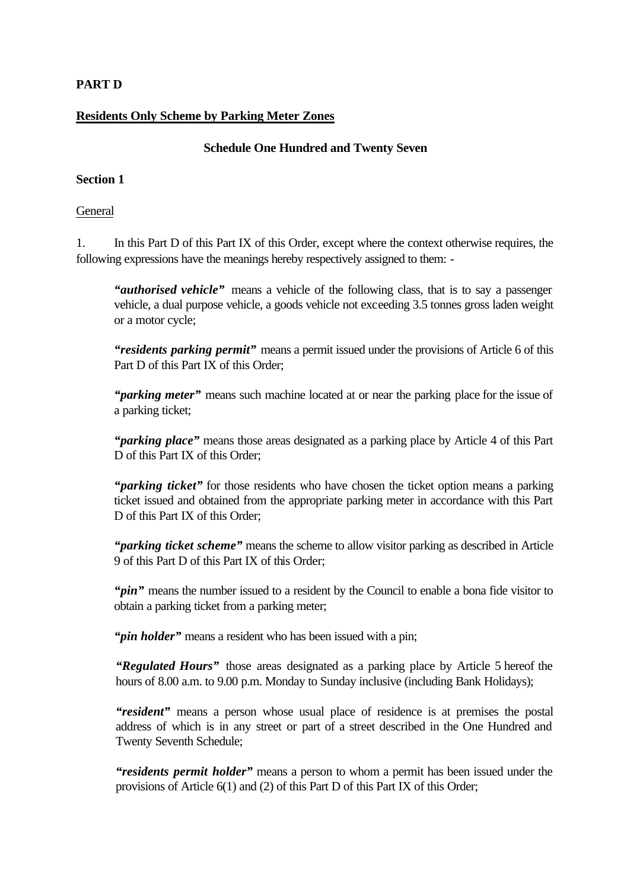## **PART D**

## **Residents Only Scheme by Parking Meter Zones**

#### **Schedule One Hundred and Twenty Seven**

#### **Section 1**

#### General

1. In this Part D of this Part IX of this Order, except where the context otherwise requires, the following expressions have the meanings hereby respectively assigned to them: -

*"authorised vehicle"* means a vehicle of the following class, that is to say a passenger vehicle, a dual purpose vehicle, a goods vehicle not exceeding 3.5 tonnes gross laden weight or a motor cycle;

*"residents parking permit"* means a permit issued under the provisions of Article 6 of this Part D of this Part IX of this Order;

*"parking meter"* means such machine located at or near the parking place for the issue of a parking ticket;

*"parking place"* means those areas designated as a parking place by Article 4 of this Part D of this Part IX of this Order;

*"parking ticket"* for those residents who have chosen the ticket option means a parking ticket issued and obtained from the appropriate parking meter in accordance with this Part D of this Part IX of this Order;

*"parking ticket scheme"* means the scheme to allow visitor parking as described in Article 9 of this Part D of this Part IX of this Order;

"*pin*" means the number issued to a resident by the Council to enable a bona fide visitor to obtain a parking ticket from a parking meter;

"*pin holder*" means a resident who has been issued with a pin;

*"Regulated Hours"* those areas designated as a parking place by Article 5 hereof the hours of 8.00 a.m. to 9.00 p.m. Monday to Sunday inclusive (including Bank Holidays);

*"resident"* means a person whose usual place of residence is at premises the postal address of which is in any street or part of a street described in the One Hundred and Twenty Seventh Schedule;

*"residents permit holder"* means a person to whom a permit has been issued under the provisions of Article 6(1) and (2) of this Part D of this Part IX of this Order;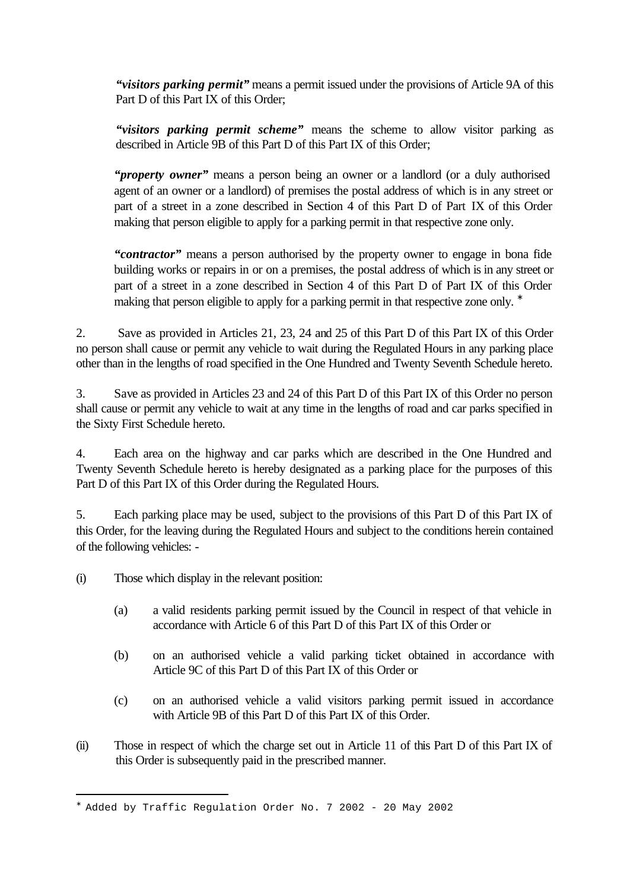*"visitors parking permit"* means a permit issued under the provisions of Article 9A of this Part D of this Part IX of this Order;

*"visitors parking permit scheme"* means the scheme to allow visitor parking as described in Article 9B of this Part D of this Part IX of this Order;

*"property owner"* means a person being an owner or a landlord (or a duly authorised agent of an owner or a landlord) of premises the postal address of which is in any street or part of a street in a zone described in Section 4 of this Part D of Part IX of this Order making that person eligible to apply for a parking permit in that respective zone only.

*"contractor"* means a person authorised by the property owner to engage in bona fide building works or repairs in or on a premises, the postal address of which is in any street or part of a street in a zone described in Section 4 of this Part D of Part IX of this Order making that person eligible to apply for a parking permit in that respective zone only. <sup>\*</sup>

2. Save as provided in Articles 21, 23, 24 and 25 of this Part D of this Part IX of this Order no person shall cause or permit any vehicle to wait during the Regulated Hours in any parking place other than in the lengths of road specified in the One Hundred and Twenty Seventh Schedule hereto.

3. Save as provided in Articles 23 and 24 of this Part D of this Part IX of this Order no person shall cause or permit any vehicle to wait at any time in the lengths of road and car parks specified in the Sixty First Schedule hereto.

4. Each area on the highway and car parks which are described in the One Hundred and Twenty Seventh Schedule hereto is hereby designated as a parking place for the purposes of this Part D of this Part IX of this Order during the Regulated Hours.

5. Each parking place may be used, subject to the provisions of this Part D of this Part IX of this Order, for the leaving during the Regulated Hours and subject to the conditions herein contained of the following vehicles: -

(i) Those which display in the relevant position:

- (a) a valid residents parking permit issued by the Council in respect of that vehicle in accordance with Article 6 of this Part D of this Part IX of this Order or
- (b) on an authorised vehicle a valid parking ticket obtained in accordance with Article 9C of this Part D of this Part IX of this Order or
- (c) on an authorised vehicle a valid visitors parking permit issued in accordance with Article 9B of this Part D of this Part IX of this Order.
- (ii) Those in respect of which the charge set out in Article 11 of this Part D of this Part IX of this Order is subsequently paid in the prescribed manner.

<sup>∗</sup> Added by Traffic Regulation Order No. 7 2002 - 20 May 2002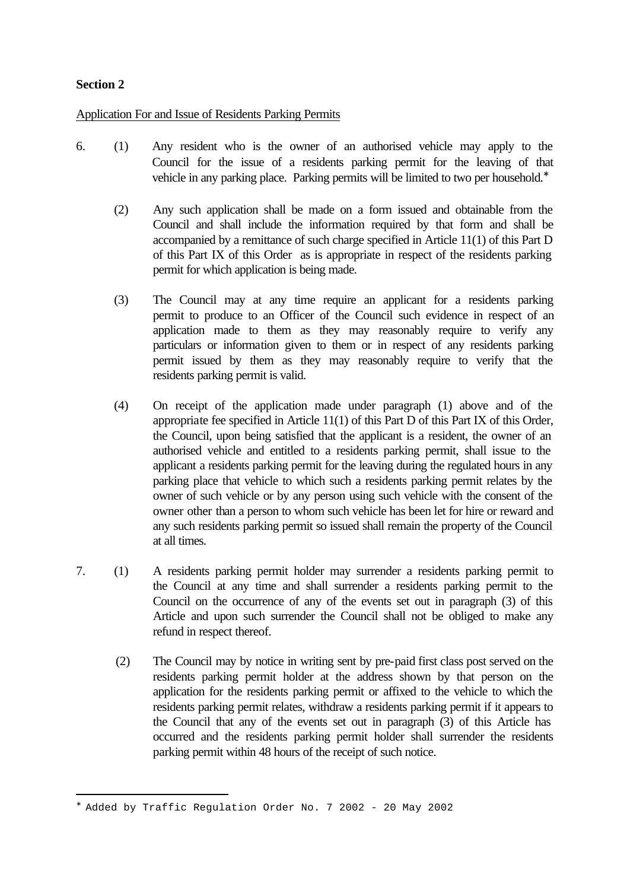## **Section 2**

i<br>L

Application For and Issue of Residents Parking Permits

- 6. (1) Any resident who is the owner of an authorised vehicle may apply to the Council for the issue of a residents parking permit for the leaving of that vehicle in any parking place. Parking permits will be limited to two per household.<sup>∗</sup>
	- (2) Any such application shall be made on a form issued and obtainable from the Council and shall include the information required by that form and shall be accompanied by a remittance of such charge specified in Article 11(1) of this Part D of this Part IX of this Order as is appropriate in respect of the residents parking permit for which application is being made.
	- (3) The Council may at any time require an applicant for a residents parking permit to produce to an Officer of the Council such evidence in respect of an application made to them as they may reasonably require to verify any particulars or information given to them or in respect of any residents parking permit issued by them as they may reasonably require to verify that the residents parking permit is valid.
	- (4) On receipt of the application made under paragraph (1) above and of the appropriate fee specified in Article 11(1) of this Part D of this Part IX of this Order, the Council, upon being satisfied that the applicant is a resident, the owner of an authorised vehicle and entitled to a residents parking permit, shall issue to the applicant a residents parking permit for the leaving during the regulated hours in any parking place that vehicle to which such a residents parking permit relates by the owner of such vehicle or by any person using such vehicle with the consent of the owner other than a person to whom such vehicle has been let for hire or reward and any such residents parking permit so issued shall remain the property of the Council at all times.
- 7. (1) A residents parking permit holder may surrender a residents parking permit to the Council at any time and shall surrender a residents parking permit to the Council on the occurrence of any of the events set out in paragraph (3) of this Article and upon such surrender the Council shall not be obliged to make any refund in respect thereof.
	- (2) The Council may by notice in writing sent by pre-paid first class post served on the residents parking permit holder at the address shown by that person on the application for the residents parking permit or affixed to the vehicle to which the residents parking permit relates, withdraw a residents parking permit if it appears to the Council that any of the events set out in paragraph (3) of this Article has occurred and the residents parking permit holder shall surrender the residents parking permit within 48 hours of the receipt of such notice.

<sup>∗</sup> Added by Traffic Regulation Order No. 7 2002 - 20 May 2002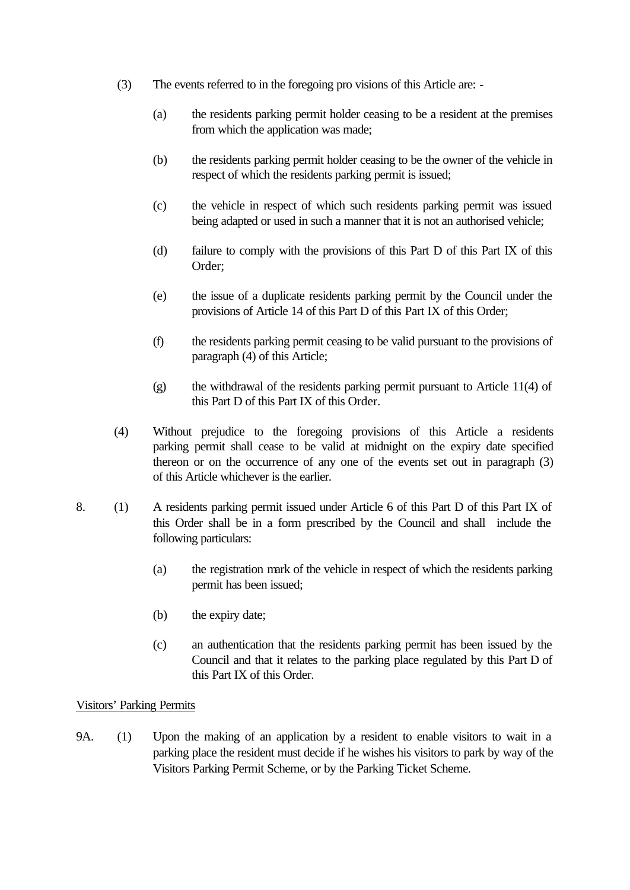- (3) The events referred to in the foregoing pro visions of this Article are:
	- (a) the residents parking permit holder ceasing to be a resident at the premises from which the application was made;
	- (b) the residents parking permit holder ceasing to be the owner of the vehicle in respect of which the residents parking permit is issued;
	- (c) the vehicle in respect of which such residents parking permit was issued being adapted or used in such a manner that it is not an authorised vehicle;
	- (d) failure to comply with the provisions of this Part D of this Part IX of this Order;
	- (e) the issue of a duplicate residents parking permit by the Council under the provisions of Article 14 of this Part D of this Part IX of this Order;
	- (f) the residents parking permit ceasing to be valid pursuant to the provisions of paragraph (4) of this Article;
	- (g) the withdrawal of the residents parking permit pursuant to Article 11(4) of this Part D of this Part IX of this Order.
- (4) Without prejudice to the foregoing provisions of this Article a residents parking permit shall cease to be valid at midnight on the expiry date specified thereon or on the occurrence of any one of the events set out in paragraph (3) of this Article whichever is the earlier.
- 8. (1) A residents parking permit issued under Article 6 of this Part D of this Part IX of this Order shall be in a form prescribed by the Council and shall include the following particulars:
	- (a) the registration mark of the vehicle in respect of which the residents parking permit has been issued;
	- (b) the expiry date;
	- (c) an authentication that the residents parking permit has been issued by the Council and that it relates to the parking place regulated by this Part D of this Part IX of this Order.

### Visitors' Parking Permits

9A. (1) Upon the making of an application by a resident to enable visitors to wait in a parking place the resident must decide if he wishes his visitors to park by way of the Visitors Parking Permit Scheme, or by the Parking Ticket Scheme.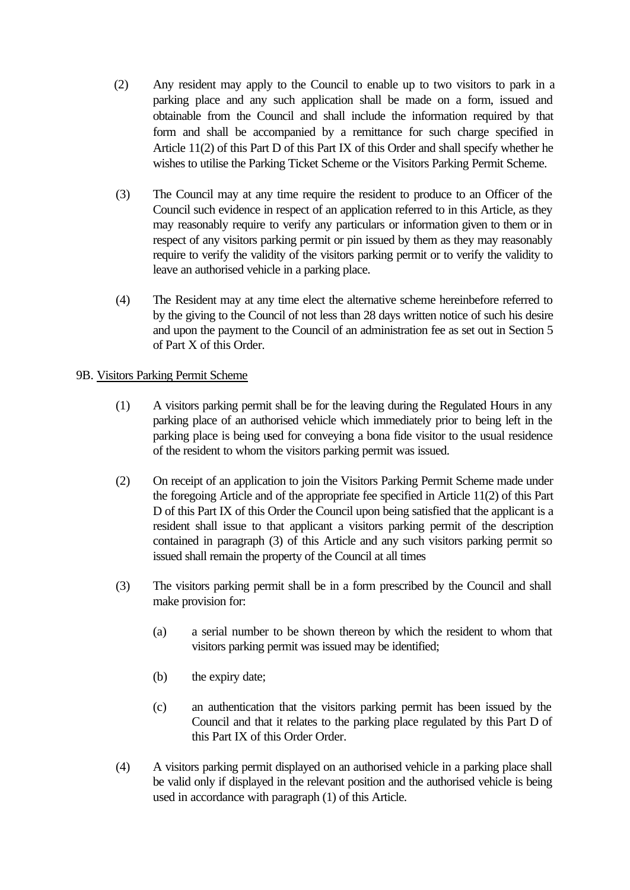- (2) Any resident may apply to the Council to enable up to two visitors to park in a parking place and any such application shall be made on a form, issued and obtainable from the Council and shall include the information required by that form and shall be accompanied by a remittance for such charge specified in Article 11(2) of this Part D of this Part IX of this Order and shall specify whether he wishes to utilise the Parking Ticket Scheme or the Visitors Parking Permit Scheme.
- (3) The Council may at any time require the resident to produce to an Officer of the Council such evidence in respect of an application referred to in this Article, as they may reasonably require to verify any particulars or information given to them or in respect of any visitors parking permit or pin issued by them as they may reasonably require to verify the validity of the visitors parking permit or to verify the validity to leave an authorised vehicle in a parking place.
- (4) The Resident may at any time elect the alternative scheme hereinbefore referred to by the giving to the Council of not less than 28 days written notice of such his desire and upon the payment to the Council of an administration fee as set out in Section 5 of Part X of this Order.

#### 9B. Visitors Parking Permit Scheme

- (1) A visitors parking permit shall be for the leaving during the Regulated Hours in any parking place of an authorised vehicle which immediately prior to being left in the parking place is being used for conveying a bona fide visitor to the usual residence of the resident to whom the visitors parking permit was issued.
- (2) On receipt of an application to join the Visitors Parking Permit Scheme made under the foregoing Article and of the appropriate fee specified in Article 11(2) of this Part D of this Part IX of this Order the Council upon being satisfied that the applicant is a resident shall issue to that applicant a visitors parking permit of the description contained in paragraph (3) of this Article and any such visitors parking permit so issued shall remain the property of the Council at all times
- (3) The visitors parking permit shall be in a form prescribed by the Council and shall make provision for:
	- (a) a serial number to be shown thereon by which the resident to whom that visitors parking permit was issued may be identified;
	- (b) the expiry date;
	- (c) an authentication that the visitors parking permit has been issued by the Council and that it relates to the parking place regulated by this Part D of this Part IX of this Order Order.
- (4) A visitors parking permit displayed on an authorised vehicle in a parking place shall be valid only if displayed in the relevant position and the authorised vehicle is being used in accordance with paragraph (1) of this Article.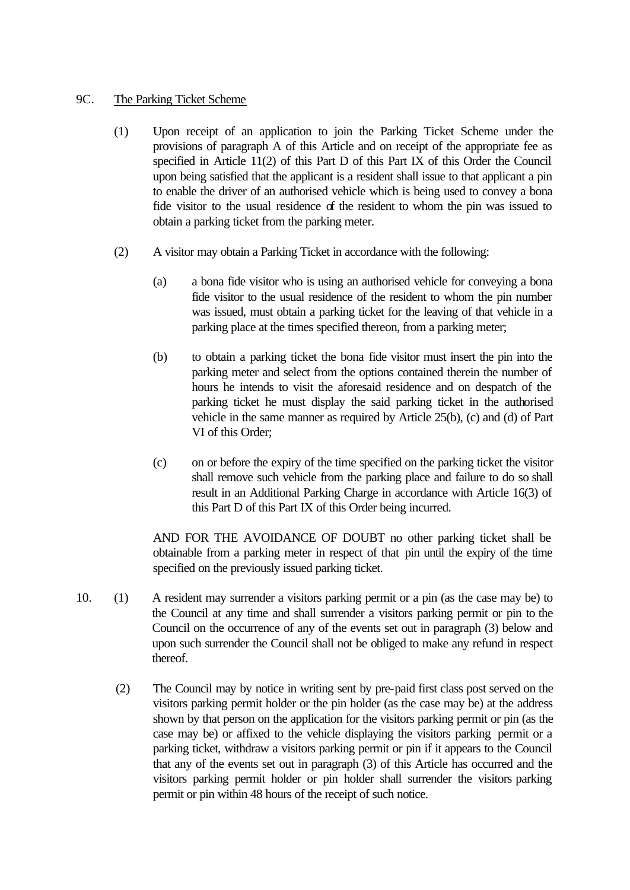#### 9C. The Parking Ticket Scheme

- (1) Upon receipt of an application to join the Parking Ticket Scheme under the provisions of paragraph A of this Article and on receipt of the appropriate fee as specified in Article 11(2) of this Part D of this Part IX of this Order the Council upon being satisfied that the applicant is a resident shall issue to that applicant a pin to enable the driver of an authorised vehicle which is being used to convey a bona fide visitor to the usual residence of the resident to whom the pin was issued to obtain a parking ticket from the parking meter.
- (2) A visitor may obtain a Parking Ticket in accordance with the following:
	- (a) a bona fide visitor who is using an authorised vehicle for conveying a bona fide visitor to the usual residence of the resident to whom the pin number was issued, must obtain a parking ticket for the leaving of that vehicle in a parking place at the times specified thereon, from a parking meter;
	- (b) to obtain a parking ticket the bona fide visitor must insert the pin into the parking meter and select from the options contained therein the number of hours he intends to visit the aforesaid residence and on despatch of the parking ticket he must display the said parking ticket in the authorised vehicle in the same manner as required by Article 25(b), (c) and (d) of Part VI of this Order;
	- (c) on or before the expiry of the time specified on the parking ticket the visitor shall remove such vehicle from the parking place and failure to do so shall result in an Additional Parking Charge in accordance with Article 16(3) of this Part D of this Part IX of this Order being incurred.

AND FOR THE AVOIDANCE OF DOUBT no other parking ticket shall be obtainable from a parking meter in respect of that pin until the expiry of the time specified on the previously issued parking ticket.

- 10. (1) A resident may surrender a visitors parking permit or a pin (as the case may be) to the Council at any time and shall surrender a visitors parking permit or pin to the Council on the occurrence of any of the events set out in paragraph (3) below and upon such surrender the Council shall not be obliged to make any refund in respect thereof.
	- (2) The Council may by notice in writing sent by pre-paid first class post served on the visitors parking permit holder or the pin holder (as the case may be) at the address shown by that person on the application for the visitors parking permit or pin (as the case may be) or affixed to the vehicle displaying the visitors parking permit or a parking ticket, withdraw a visitors parking permit or pin if it appears to the Council that any of the events set out in paragraph (3) of this Article has occurred and the visitors parking permit holder or pin holder shall surrender the visitors parking permit or pin within 48 hours of the receipt of such notice.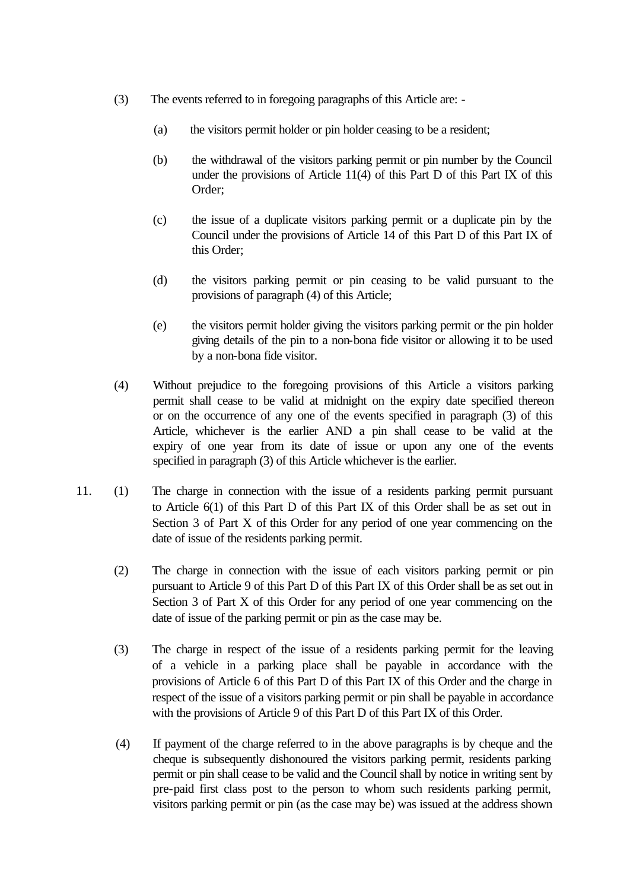- (3) The events referred to in foregoing paragraphs of this Article are:
	- (a) the visitors permit holder or pin holder ceasing to be a resident;
	- (b) the withdrawal of the visitors parking permit or pin number by the Council under the provisions of Article 11(4) of this Part D of this Part IX of this Order;
	- (c) the issue of a duplicate visitors parking permit or a duplicate pin by the Council under the provisions of Article 14 of this Part D of this Part IX of this Order;
	- (d) the visitors parking permit or pin ceasing to be valid pursuant to the provisions of paragraph (4) of this Article;
	- (e) the visitors permit holder giving the visitors parking permit or the pin holder giving details of the pin to a non-bona fide visitor or allowing it to be used by a non-bona fide visitor.
- (4) Without prejudice to the foregoing provisions of this Article a visitors parking permit shall cease to be valid at midnight on the expiry date specified thereon or on the occurrence of any one of the events specified in paragraph (3) of this Article, whichever is the earlier AND a pin shall cease to be valid at the expiry of one year from its date of issue or upon any one of the events specified in paragraph (3) of this Article whichever is the earlier.
- 11. (1) The charge in connection with the issue of a residents parking permit pursuant to Article 6(1) of this Part D of this Part IX of this Order shall be as set out in Section 3 of Part X of this Order for any period of one year commencing on the date of issue of the residents parking permit.
	- (2) The charge in connection with the issue of each visitors parking permit or pin pursuant to Article 9 of this Part D of this Part IX of this Order shall be as set out in Section 3 of Part X of this Order for any period of one year commencing on the date of issue of the parking permit or pin as the case may be.
	- (3) The charge in respect of the issue of a residents parking permit for the leaving of a vehicle in a parking place shall be payable in accordance with the provisions of Article 6 of this Part D of this Part IX of this Order and the charge in respect of the issue of a visitors parking permit or pin shall be payable in accordance with the provisions of Article 9 of this Part D of this Part IX of this Order.
	- (4) If payment of the charge referred to in the above paragraphs is by cheque and the cheque is subsequently dishonoured the visitors parking permit, residents parking permit or pin shall cease to be valid and the Council shall by notice in writing sent by pre-paid first class post to the person to whom such residents parking permit, visitors parking permit or pin (as the case may be) was issued at the address shown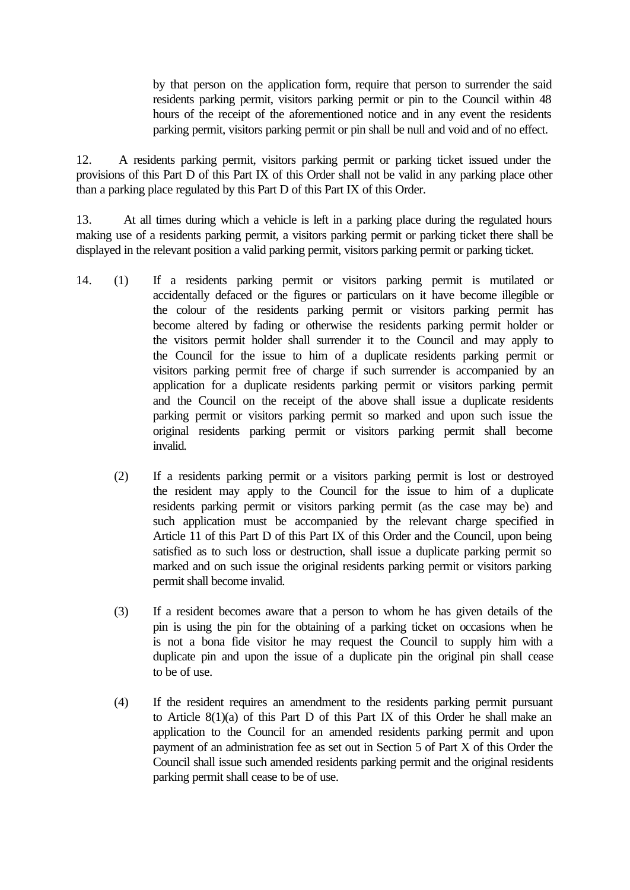by that person on the application form, require that person to surrender the said residents parking permit, visitors parking permit or pin to the Council within 48 hours of the receipt of the aforementioned notice and in any event the residents parking permit, visitors parking permit or pin shall be null and void and of no effect.

12. A residents parking permit, visitors parking permit or parking ticket issued under the provisions of this Part D of this Part IX of this Order shall not be valid in any parking place other than a parking place regulated by this Part D of this Part IX of this Order.

13. At all times during which a vehicle is left in a parking place during the regulated hours making use of a residents parking permit, a visitors parking permit or parking ticket there shall be displayed in the relevant position a valid parking permit, visitors parking permit or parking ticket.

- 14. (1) If a residents parking permit or visitors parking permit is mutilated or accidentally defaced or the figures or particulars on it have become illegible or the colour of the residents parking permit or visitors parking permit has become altered by fading or otherwise the residents parking permit holder or the visitors permit holder shall surrender it to the Council and may apply to the Council for the issue to him of a duplicate residents parking permit or visitors parking permit free of charge if such surrender is accompanied by an application for a duplicate residents parking permit or visitors parking permit and the Council on the receipt of the above shall issue a duplicate residents parking permit or visitors parking permit so marked and upon such issue the original residents parking permit or visitors parking permit shall become invalid.
	- (2) If a residents parking permit or a visitors parking permit is lost or destroyed the resident may apply to the Council for the issue to him of a duplicate residents parking permit or visitors parking permit (as the case may be) and such application must be accompanied by the relevant charge specified in Article 11 of this Part D of this Part IX of this Order and the Council, upon being satisfied as to such loss or destruction, shall issue a duplicate parking permit so marked and on such issue the original residents parking permit or visitors parking permit shall become invalid.
	- (3) If a resident becomes aware that a person to whom he has given details of the pin is using the pin for the obtaining of a parking ticket on occasions when he is not a bona fide visitor he may request the Council to supply him with a duplicate pin and upon the issue of a duplicate pin the original pin shall cease to be of use.
	- (4) If the resident requires an amendment to the residents parking permit pursuant to Article 8(1)(a) of this Part D of this Part IX of this Order he shall make an application to the Council for an amended residents parking permit and upon payment of an administration fee as set out in Section 5 of Part X of this Order the Council shall issue such amended residents parking permit and the original residents parking permit shall cease to be of use.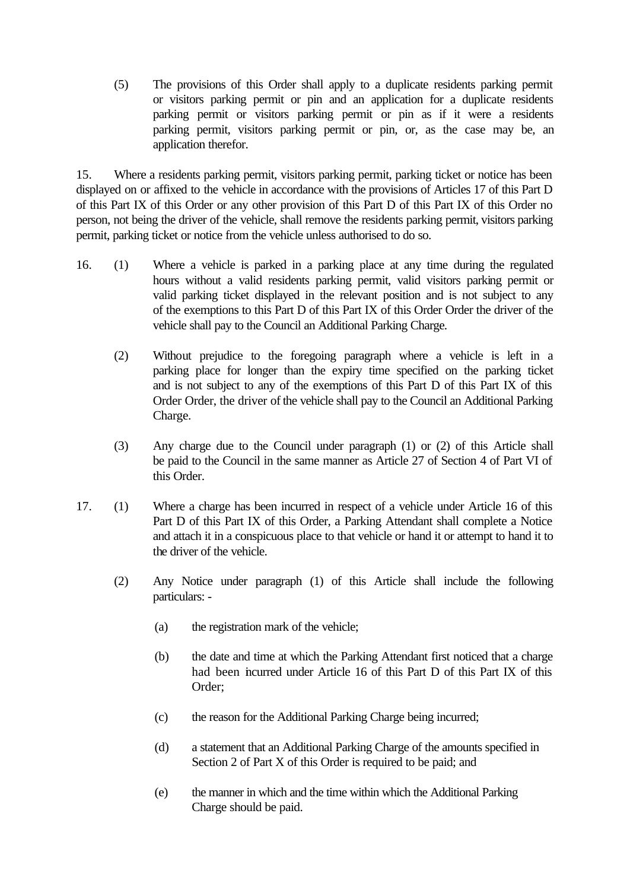(5) The provisions of this Order shall apply to a duplicate residents parking permit or visitors parking permit or pin and an application for a duplicate residents parking permit or visitors parking permit or pin as if it were a residents parking permit, visitors parking permit or pin, or, as the case may be, an application therefor.

15. Where a residents parking permit, visitors parking permit, parking ticket or notice has been displayed on or affixed to the vehicle in accordance with the provisions of Articles 17 of this Part D of this Part IX of this Order or any other provision of this Part D of this Part IX of this Order no person, not being the driver of the vehicle, shall remove the residents parking permit, visitors parking permit, parking ticket or notice from the vehicle unless authorised to do so.

- 16. (1) Where a vehicle is parked in a parking place at any time during the regulated hours without a valid residents parking permit, valid visitors parking permit or valid parking ticket displayed in the relevant position and is not subject to any of the exemptions to this Part D of this Part IX of this Order Order the driver of the vehicle shall pay to the Council an Additional Parking Charge.
	- (2) Without prejudice to the foregoing paragraph where a vehicle is left in a parking place for longer than the expiry time specified on the parking ticket and is not subject to any of the exemptions of this Part D of this Part IX of this Order Order, the driver of the vehicle shall pay to the Council an Additional Parking Charge.
	- (3) Any charge due to the Council under paragraph (1) or (2) of this Article shall be paid to the Council in the same manner as Article 27 of Section 4 of Part VI of this Order.
- 17. (1) Where a charge has been incurred in respect of a vehicle under Article 16 of this Part D of this Part IX of this Order, a Parking Attendant shall complete a Notice and attach it in a conspicuous place to that vehicle or hand it or attempt to hand it to the driver of the vehicle.
	- (2) Any Notice under paragraph (1) of this Article shall include the following particulars: -
		- (a) the registration mark of the vehicle;
		- (b) the date and time at which the Parking Attendant first noticed that a charge had been incurred under Article 16 of this Part D of this Part IX of this Order;
		- (c) the reason for the Additional Parking Charge being incurred;
		- (d) a statement that an Additional Parking Charge of the amounts specified in Section 2 of Part X of this Order is required to be paid; and
		- (e) the manner in which and the time within which the Additional Parking Charge should be paid.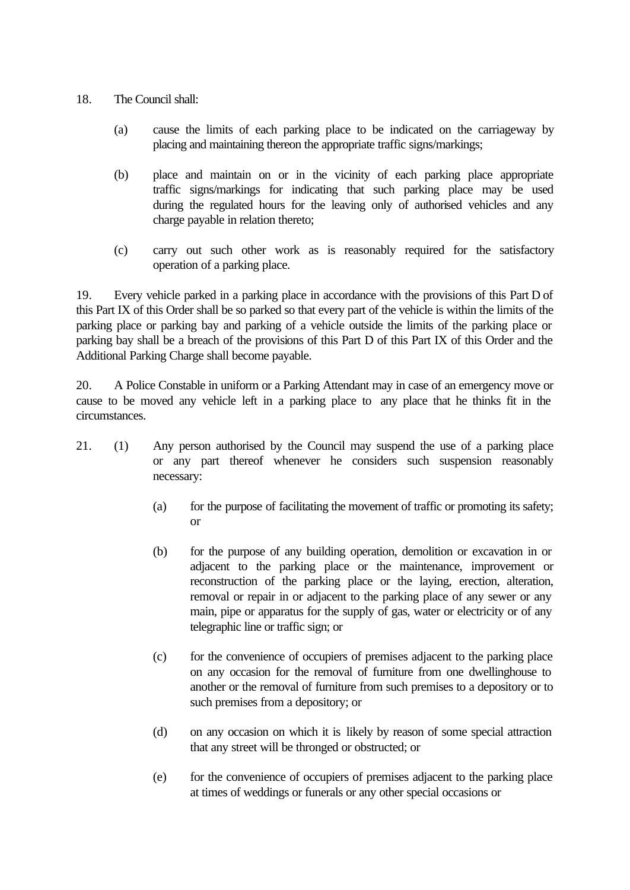- 18. The Council shall:
	- (a) cause the limits of each parking place to be indicated on the carriageway by placing and maintaining thereon the appropriate traffic signs/markings;
	- (b) place and maintain on or in the vicinity of each parking place appropriate traffic signs/markings for indicating that such parking place may be used during the regulated hours for the leaving only of authorised vehicles and any charge payable in relation thereto;
	- (c) carry out such other work as is reasonably required for the satisfactory operation of a parking place.

19. Every vehicle parked in a parking place in accordance with the provisions of this Part D of this Part IX of this Order shall be so parked so that every part of the vehicle is within the limits of the parking place or parking bay and parking of a vehicle outside the limits of the parking place or parking bay shall be a breach of the provisions of this Part D of this Part IX of this Order and the Additional Parking Charge shall become payable.

20. A Police Constable in uniform or a Parking Attendant may in case of an emergency move or cause to be moved any vehicle left in a parking place to any place that he thinks fit in the circumstances.

- 21. (1) Any person authorised by the Council may suspend the use of a parking place or any part thereof whenever he considers such suspension reasonably necessary:
	- (a) for the purpose of facilitating the movement of traffic or promoting its safety; or
	- (b) for the purpose of any building operation, demolition or excavation in or adjacent to the parking place or the maintenance, improvement or reconstruction of the parking place or the laying, erection, alteration, removal or repair in or adjacent to the parking place of any sewer or any main, pipe or apparatus for the supply of gas, water or electricity or of any telegraphic line or traffic sign; or
	- (c) for the convenience of occupiers of premises adjacent to the parking place on any occasion for the removal of furniture from one dwellinghouse to another or the removal of furniture from such premises to a depository or to such premises from a depository; or
	- (d) on any occasion on which it is likely by reason of some special attraction that any street will be thronged or obstructed; or
	- (e) for the convenience of occupiers of premises adjacent to the parking place at times of weddings or funerals or any other special occasions or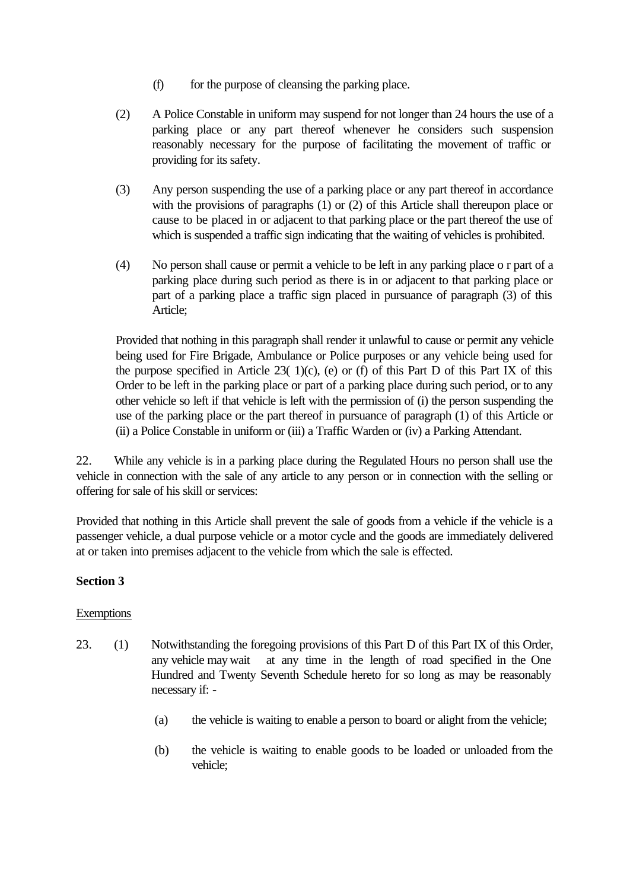- (f) for the purpose of cleansing the parking place.
- (2) A Police Constable in uniform may suspend for not longer than 24 hours the use of a parking place or any part thereof whenever he considers such suspension reasonably necessary for the purpose of facilitating the movement of traffic or providing for its safety.
- (3) Any person suspending the use of a parking place or any part thereof in accordance with the provisions of paragraphs (1) or (2) of this Article shall thereupon place or cause to be placed in or adjacent to that parking place or the part thereof the use of which is suspended a traffic sign indicating that the waiting of vehicles is prohibited.
- (4) No person shall cause or permit a vehicle to be left in any parking place o r part of a parking place during such period as there is in or adjacent to that parking place or part of a parking place a traffic sign placed in pursuance of paragraph (3) of this Article;

Provided that nothing in this paragraph shall render it unlawful to cause or permit any vehicle being used for Fire Brigade, Ambulance or Police purposes or any vehicle being used for the purpose specified in Article 23( $1)(c)$ , (e) or (f) of this Part D of this Part IX of this Order to be left in the parking place or part of a parking place during such period, or to any other vehicle so left if that vehicle is left with the permission of (i) the person suspending the use of the parking place or the part thereof in pursuance of paragraph (1) of this Article or (ii) a Police Constable in uniform or (iii) a Traffic Warden or (iv) a Parking Attendant.

22. While any vehicle is in a parking place during the Regulated Hours no person shall use the vehicle in connection with the sale of any article to any person or in connection with the selling or offering for sale of his skill or services:

Provided that nothing in this Article shall prevent the sale of goods from a vehicle if the vehicle is a passenger vehicle, a dual purpose vehicle or a motor cycle and the goods are immediately delivered at or taken into premises adjacent to the vehicle from which the sale is effected.

# **Section 3**

### Exemptions

- 23. (1) Notwithstanding the foregoing provisions of this Part D of this Part IX of this Order, any vehicle may wait at any time in the length of road specified in the One Hundred and Twenty Seventh Schedule hereto for so long as may be reasonably necessary if: -
	- (a) the vehicle is waiting to enable a person to board or alight from the vehicle;
	- (b) the vehicle is waiting to enable goods to be loaded or unloaded from the vehicle;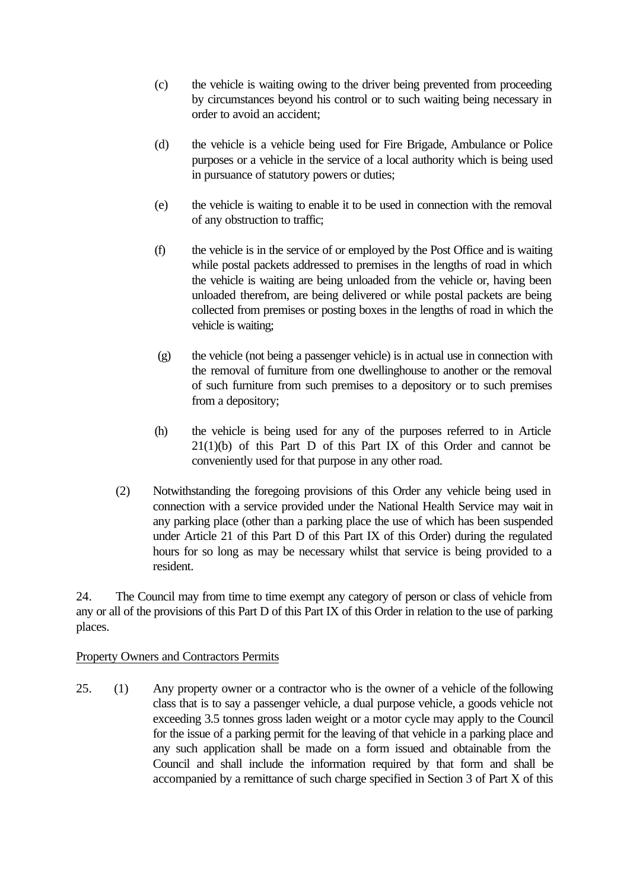- (c) the vehicle is waiting owing to the driver being prevented from proceeding by circumstances beyond his control or to such waiting being necessary in order to avoid an accident;
- (d) the vehicle is a vehicle being used for Fire Brigade, Ambulance or Police purposes or a vehicle in the service of a local authority which is being used in pursuance of statutory powers or duties;
- (e) the vehicle is waiting to enable it to be used in connection with the removal of any obstruction to traffic;
- (f) the vehicle is in the service of or employed by the Post Office and is waiting while postal packets addressed to premises in the lengths of road in which the vehicle is waiting are being unloaded from the vehicle or, having been unloaded therefrom, are being delivered or while postal packets are being collected from premises or posting boxes in the lengths of road in which the vehicle is waiting;
- (g) the vehicle (not being a passenger vehicle) is in actual use in connection with the removal of furniture from one dwellinghouse to another or the removal of such furniture from such premises to a depository or to such premises from a depository;
- (h) the vehicle is being used for any of the purposes referred to in Article 21(1)(b) of this Part D of this Part IX of this Order and cannot be conveniently used for that purpose in any other road.
- (2) Notwithstanding the foregoing provisions of this Order any vehicle being used in connection with a service provided under the National Health Service may wait in any parking place (other than a parking place the use of which has been suspended under Article 21 of this Part D of this Part IX of this Order) during the regulated hours for so long as may be necessary whilst that service is being provided to a resident.

24. The Council may from time to time exempt any category of person or class of vehicle from any or all of the provisions of this Part D of this Part IX of this Order in relation to the use of parking places.

#### Property Owners and Contractors Permits

25. (1) Any property owner or a contractor who is the owner of a vehicle of the following class that is to say a passenger vehicle, a dual purpose vehicle, a goods vehicle not exceeding 3.5 tonnes gross laden weight or a motor cycle may apply to the Council for the issue of a parking permit for the leaving of that vehicle in a parking place and any such application shall be made on a form issued and obtainable from the Council and shall include the information required by that form and shall be accompanied by a remittance of such charge specified in Section 3 of Part X of this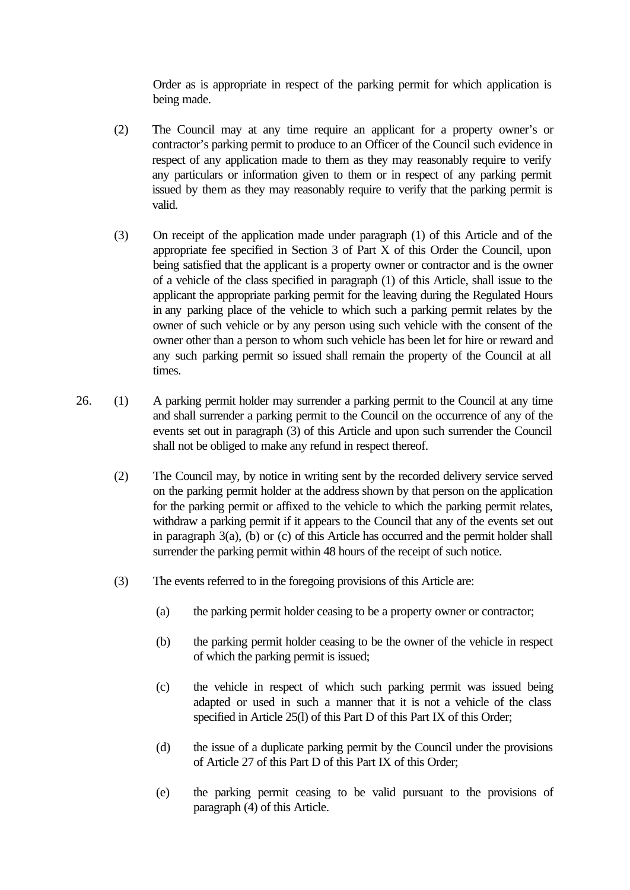Order as is appropriate in respect of the parking permit for which application is being made.

- (2) The Council may at any time require an applicant for a property owner's or contractor's parking permit to produce to an Officer of the Council such evidence in respect of any application made to them as they may reasonably require to verify any particulars or information given to them or in respect of any parking permit issued by them as they may reasonably require to verify that the parking permit is valid.
- (3) On receipt of the application made under paragraph (1) of this Article and of the appropriate fee specified in Section 3 of Part X of this Order the Council, upon being satisfied that the applicant is a property owner or contractor and is the owner of a vehicle of the class specified in paragraph (1) of this Article, shall issue to the applicant the appropriate parking permit for the leaving during the Regulated Hours in any parking place of the vehicle to which such a parking permit relates by the owner of such vehicle or by any person using such vehicle with the consent of the owner other than a person to whom such vehicle has been let for hire or reward and any such parking permit so issued shall remain the property of the Council at all times.
- 26. (1) A parking permit holder may surrender a parking permit to the Council at any time and shall surrender a parking permit to the Council on the occurrence of any of the events set out in paragraph (3) of this Article and upon such surrender the Council shall not be obliged to make any refund in respect thereof.
	- (2) The Council may, by notice in writing sent by the recorded delivery service served on the parking permit holder at the address shown by that person on the application for the parking permit or affixed to the vehicle to which the parking permit relates, withdraw a parking permit if it appears to the Council that any of the events set out in paragraph 3(a), (b) or (c) of this Article has occurred and the permit holder shall surrender the parking permit within 48 hours of the receipt of such notice.
	- (3) The events referred to in the foregoing provisions of this Article are:
		- (a) the parking permit holder ceasing to be a property owner or contractor;
		- (b) the parking permit holder ceasing to be the owner of the vehicle in respect of which the parking permit is issued;
		- (c) the vehicle in respect of which such parking permit was issued being adapted or used in such a manner that it is not a vehicle of the class specified in Article 25(l) of this Part D of this Part IX of this Order;
		- (d) the issue of a duplicate parking permit by the Council under the provisions of Article 27 of this Part D of this Part IX of this Order;
		- (e) the parking permit ceasing to be valid pursuant to the provisions of paragraph (4) of this Article.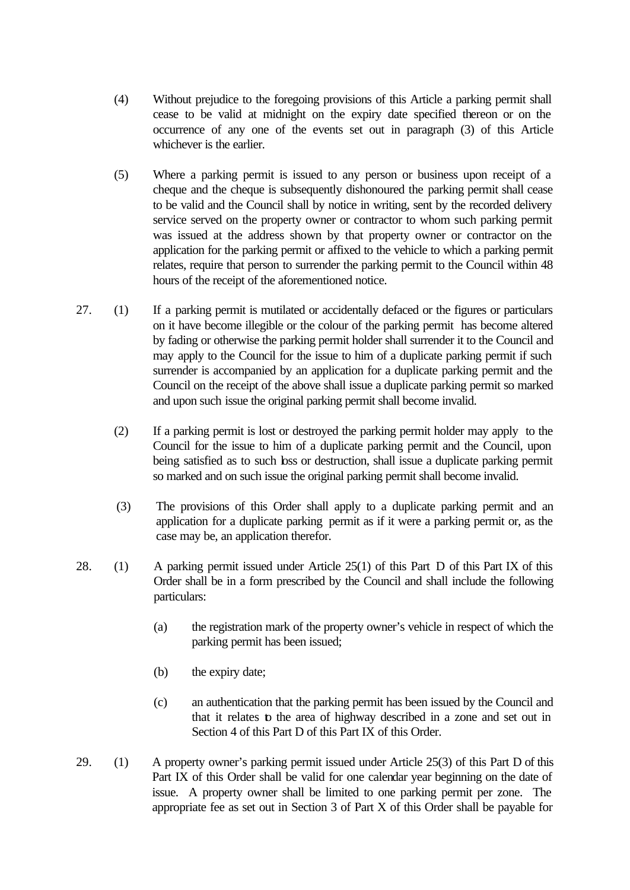- (4) Without prejudice to the foregoing provisions of this Article a parking permit shall cease to be valid at midnight on the expiry date specified thereon or on the occurrence of any one of the events set out in paragraph (3) of this Article whichever is the earlier.
- (5) Where a parking permit is issued to any person or business upon receipt of a cheque and the cheque is subsequently dishonoured the parking permit shall cease to be valid and the Council shall by notice in writing, sent by the recorded delivery service served on the property owner or contractor to whom such parking permit was issued at the address shown by that property owner or contractor on the application for the parking permit or affixed to the vehicle to which a parking permit relates, require that person to surrender the parking permit to the Council within 48 hours of the receipt of the aforementioned notice.
- 27. (1) If a parking permit is mutilated or accidentally defaced or the figures or particulars on it have become illegible or the colour of the parking permit has become altered by fading or otherwise the parking permit holder shall surrender it to the Council and may apply to the Council for the issue to him of a duplicate parking permit if such surrender is accompanied by an application for a duplicate parking permit and the Council on the receipt of the above shall issue a duplicate parking permit so marked and upon such issue the original parking permit shall become invalid.
	- (2) If a parking permit is lost or destroyed the parking permit holder may apply to the Council for the issue to him of a duplicate parking permit and the Council, upon being satisfied as to such bss or destruction, shall issue a duplicate parking permit so marked and on such issue the original parking permit shall become invalid.
	- (3) The provisions of this Order shall apply to a duplicate parking permit and an application for a duplicate parking permit as if it were a parking permit or, as the case may be, an application therefor.
- 28. (1) A parking permit issued under Article 25(1) of this Part D of this Part IX of this Order shall be in a form prescribed by the Council and shall include the following particulars:
	- (a) the registration mark of the property owner's vehicle in respect of which the parking permit has been issued;
	- (b) the expiry date;
	- (c) an authentication that the parking permit has been issued by the Council and that it relates to the area of highway described in a zone and set out in Section 4 of this Part D of this Part IX of this Order.
- 29. (1) A property owner's parking permit issued under Article 25(3) of this Part D of this Part IX of this Order shall be valid for one calendar year beginning on the date of issue. A property owner shall be limited to one parking permit per zone. The appropriate fee as set out in Section 3 of Part X of this Order shall be payable for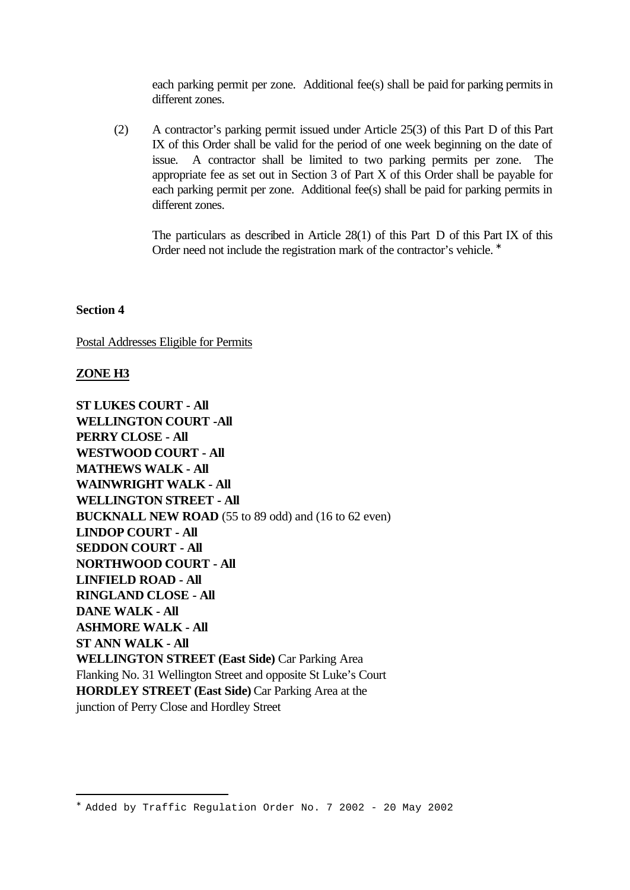each parking permit per zone. Additional fee(s) shall be paid for parking permits in different zones.

(2) A contractor's parking permit issued under Article 25(3) of this Part D of this Part IX of this Order shall be valid for the period of one week beginning on the date of issue. A contractor shall be limited to two parking permits per zone. The appropriate fee as set out in Section 3 of Part X of this Order shall be payable for each parking permit per zone. Additional fee(s) shall be paid for parking permits in different zones.

The particulars as described in Article 28(1) of this Part D of this Part IX of this Order need not include the registration mark of the contractor's vehicle. <sup>\*</sup>

**Section 4**

Postal Addresses Eligible for Permits

#### **ZONE H3**

i<br>L

**ST LUKES COURT - All WELLINGTON COURT -All PERRY CLOSE - All WESTWOOD COURT - All MATHEWS WALK - All WAINWRIGHT WALK - All WELLINGTON STREET - All BUCKNALL NEW ROAD** (55 to 89 odd) and (16 to 62 even) **LINDOP COURT - All SEDDON COURT - All NORTHWOOD COURT - All LINFIELD ROAD - All RINGLAND CLOSE - All DANE WALK - All ASHMORE WALK - All ST ANN WALK - All WELLINGTON STREET (East Side)** Car Parking Area Flanking No. 31 Wellington Street and opposite St Luke's Court **HORDLEY STREET (East Side)** Car Parking Area at the junction of Perry Close and Hordley Street

<sup>∗</sup> Added by Traffic Regulation Order No. 7 2002 - 20 May 2002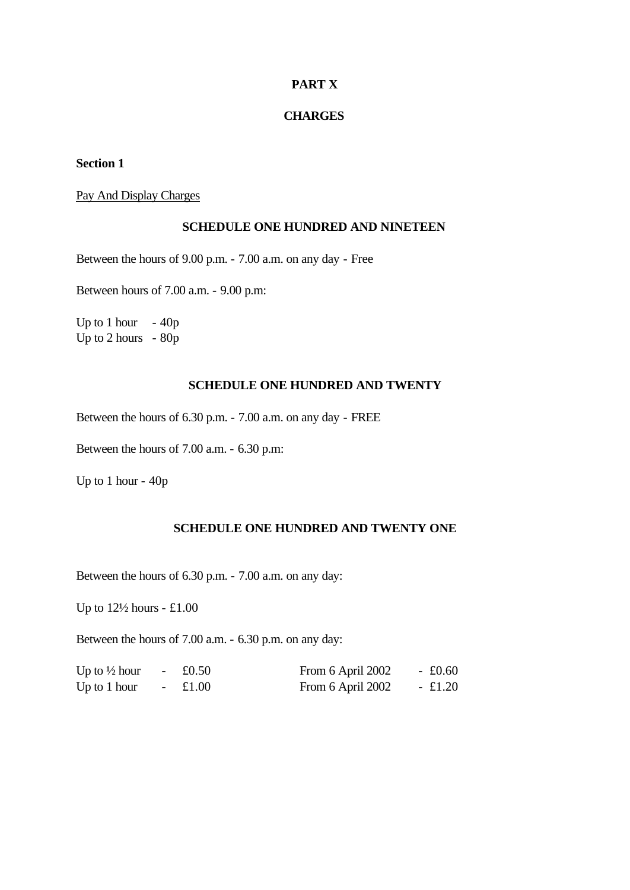#### **PART X**

#### **CHARGES**

#### **Section 1**

#### Pay And Display Charges

#### **SCHEDULE ONE HUNDRED AND NINETEEN**

Between the hours of 9.00 p.m. - 7.00 a.m. on any day - Free

Between hours of 7.00 a.m. - 9.00 p.m:

Up to 1 hour  $-40p$ Up to 2 hours - 80p

#### **SCHEDULE ONE HUNDRED AND TWENTY**

Between the hours of 6.30 p.m. - 7.00 a.m. on any day - FREE

Between the hours of 7.00 a.m. - 6.30 p.m:

Up to 1 hour - 40p

## **SCHEDULE ONE HUNDRED AND TWENTY ONE**

Between the hours of 6.30 p.m. - 7.00 a.m. on any day:

Up to  $12\frac{1}{2}$  hours - £1.00

Between the hours of 7.00 a.m. - 6.30 p.m. on any day:

| Up to $\frac{1}{2}$ hour | $\sim$ | £0.50     | From 6 April 2002 | $-$ £0.60 |
|--------------------------|--------|-----------|-------------------|-----------|
| Up to $1$ hour           |        | $-$ £1.00 | From 6 April 2002 | $-$ £1.20 |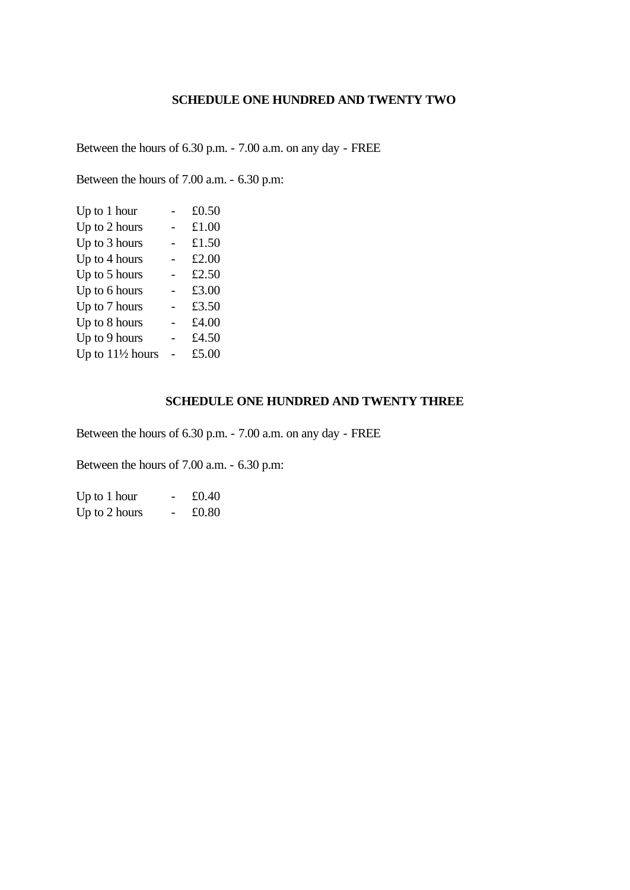## **SCHEDULE ONE HUNDRED AND TWENTY TWO**

Between the hours of 6.30 p.m. - 7.00 a.m. on any day - FREE

Between the hours of 7.00 a.m. - 6.30 p.m:

| Up to $1$ hour              | £0.50 |
|-----------------------------|-------|
| Up to 2 hours               | £1.00 |
| Up to 3 hours               | £1.50 |
| Up to 4 hours               | £2.00 |
| Up to 5 hours               | £2.50 |
| Up to 6 hours               | £3.00 |
| Up to 7 hours               | £3.50 |
| Up to 8 hours               | £4.00 |
| Up to 9 hours               | £4.50 |
| Up to $11\frac{1}{2}$ hours | £5.00 |

#### **SCHEDULE ONE HUNDRED AND TWENTY THREE**

Between the hours of 6.30 p.m. - 7.00 a.m. on any day - FREE

Between the hours of 7.00 a.m. - 6.30 p.m:

| Up to $1$ hour | £0.40 |
|----------------|-------|
| Up to 2 hours  | £0.80 |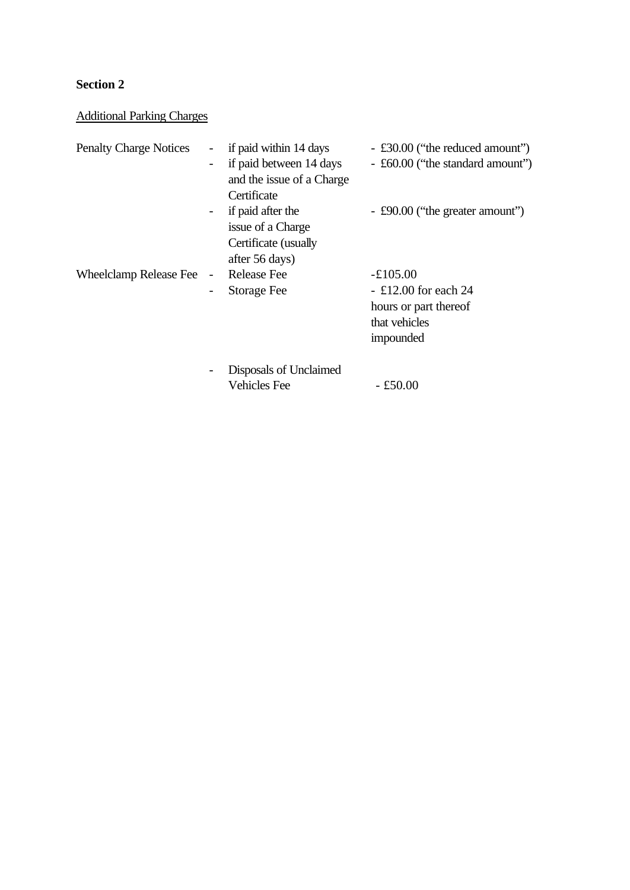## **Section 2**

## Additional Parking Charges

| <b>Penalty Charge Notices</b> |                          | if paid within 14 days    | - £30.00 ("the reduced amount")  |
|-------------------------------|--------------------------|---------------------------|----------------------------------|
|                               |                          | if paid between 14 days   | - £60.00 ("the standard amount") |
|                               |                          | and the issue of a Charge |                                  |
|                               |                          | Certificate               |                                  |
|                               |                          | if paid after the         | - £90.00 ("the greater amount")  |
|                               |                          | issue of a Charge         |                                  |
|                               |                          | Certificate (usually      |                                  |
|                               |                          | after 56 days)            |                                  |
| <b>Wheelclamp Release Fee</b> | $\overline{\phantom{a}}$ | <b>Release Fee</b>        | $-£105.00$                       |
|                               |                          | <b>Storage Fee</b>        | $-$ £12.00 for each 24           |
|                               |                          |                           | hours or part thereof            |
|                               |                          |                           | that vehicles                    |
|                               |                          |                           | impounded                        |
|                               |                          | Disposals of Unclaimed    |                                  |
|                               |                          | <b>Vehicles</b> Fee       | $-£50.00$                        |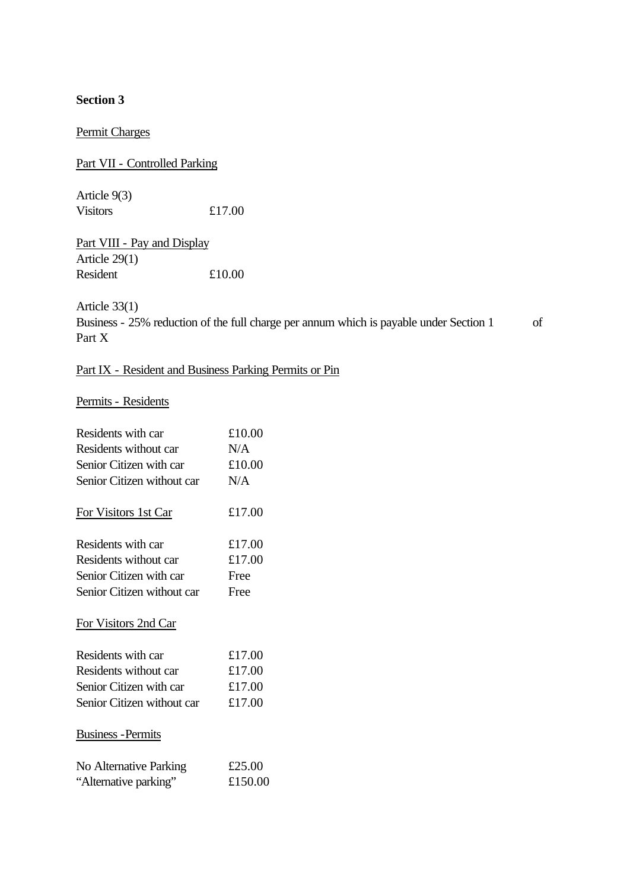**Section 3** 

Permit Charges

Part VII - Controlled Parking

Article 9(3) Visitors £17.00

Part VIII - Pay and Display Article 29(1) Resident £10.00

Article 33(1)

Business - 25% reduction of the full charge per annum which is payable under Section 1 of Part X

## Part IX - Resident and Business Parking Permits or Pin

## Permits - Residents

| Residents with car                              | £10.00            |
|-------------------------------------------------|-------------------|
| Residents without car                           | N/A               |
| Senior Citizen with car                         | £10.00            |
| Senior Citizen without car                      | N/A               |
| For Visitors 1st Car                            | £17.00            |
| Residents with car                              | £17.00            |
| Residents without car                           | £17.00            |
| Senior Citizen with car                         | Free              |
| Senior Citizen without car                      | Free              |
| For Visitors 2nd Car                            |                   |
| Residents with car                              | £17.00            |
| Residents without car                           | £17.00            |
| Senior Citizen with car                         | £17.00            |
| Senior Citizen without car                      | £17.00            |
| <b>Business</b> - Permits                       |                   |
| No Alternative Parking<br>"Alternative parking" | £25.00<br>£150.00 |
|                                                 |                   |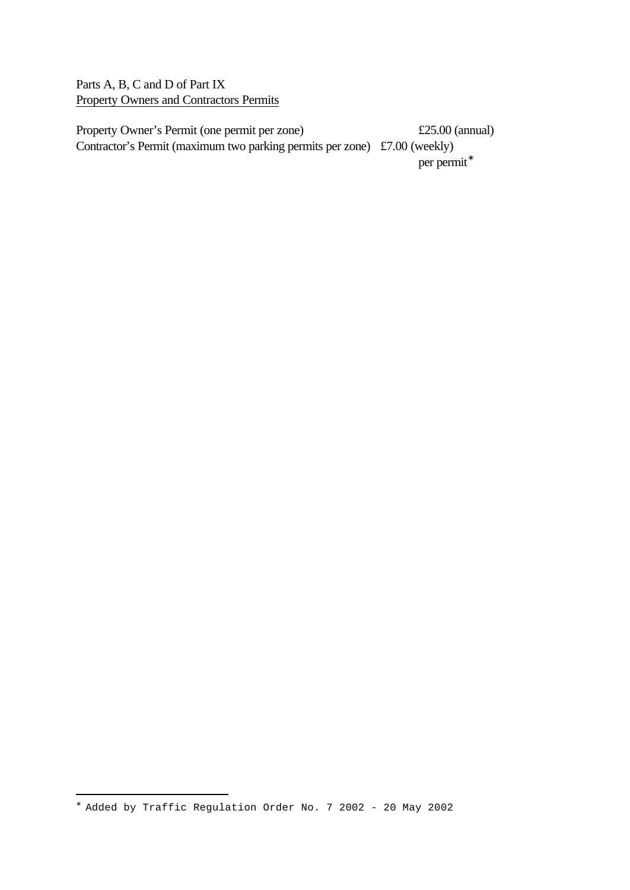Parts A, B, C and D of Part IX Property Owners and Contractors Permits

Property Owner's Permit (one permit per zone) £25.00 (annual) Contractor's Permit (maximum two parking permits per zone) £7.00 (weekly) per permit<sup>\*</sup>

i<br>L

<sup>∗</sup> Added by Traffic Regulation Order No. 7 2002 - 20 May 2002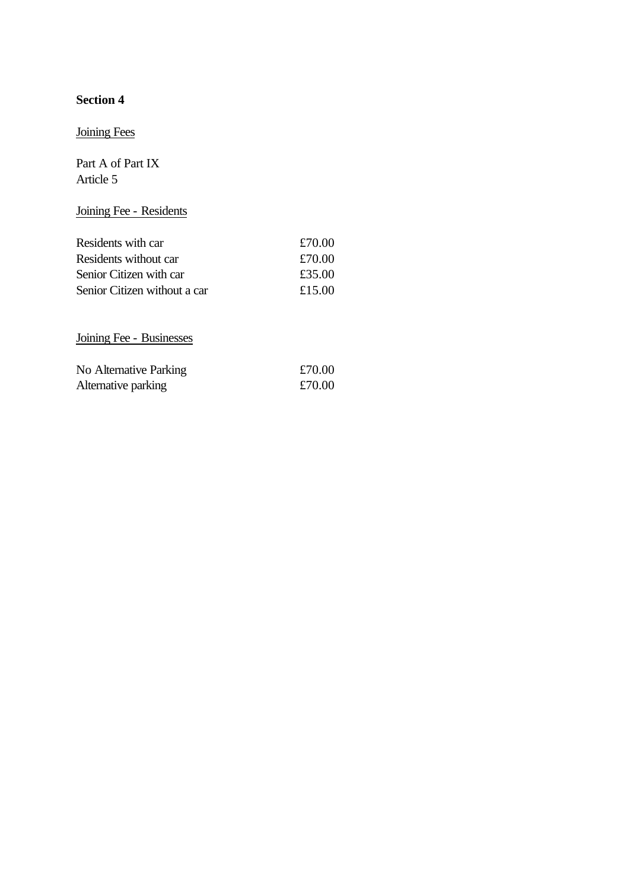# **Section 4**

# Joining Fees

Part A of Part IX Article 5

# Joining Fee - Residents

| Residents with car           | £70.00 |
|------------------------------|--------|
| Residents without car        | £70.00 |
| Senior Citizen with car      | £35.00 |
| Senior Citizen without a car | £15.00 |

Joining Fee - Businesses

| No Alternative Parking | £70.00 |
|------------------------|--------|
| Alternative parking    | £70.00 |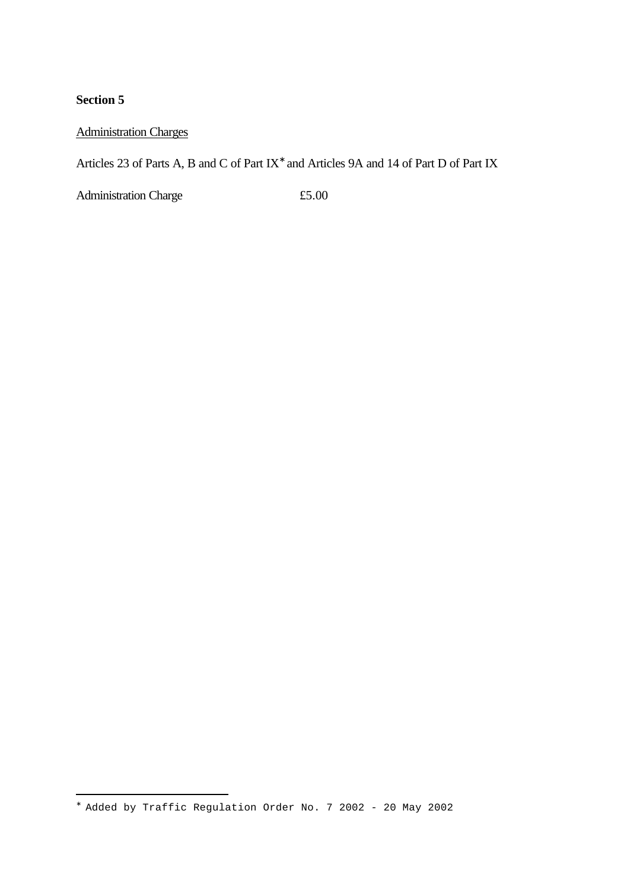## **Section 5**

i<br>L

## Administration Charges

Articles 23 of Parts A, B and C of Part IX<sup>\*</sup> and Articles 9A and 14 of Part D of Part IX

Administration Charge  $£5.00$ 

<sup>∗</sup> Added by Traffic Regulation Order No. 7 2002 - 20 May 2002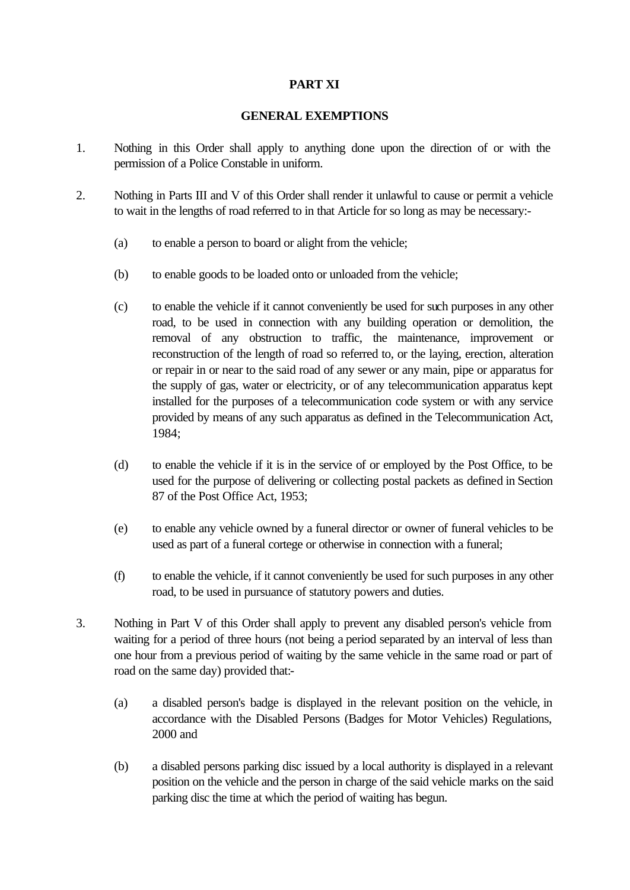### **PART XI**

#### **GENERAL EXEMPTIONS**

- 1. Nothing in this Order shall apply to anything done upon the direction of or with the permission of a Police Constable in uniform.
- 2. Nothing in Parts III and V of this Order shall render it unlawful to cause or permit a vehicle to wait in the lengths of road referred to in that Article for so long as may be necessary:-
	- (a) to enable a person to board or alight from the vehicle;
	- (b) to enable goods to be loaded onto or unloaded from the vehicle;
	- (c) to enable the vehicle if it cannot conveniently be used for such purposes in any other road, to be used in connection with any building operation or demolition, the removal of any obstruction to traffic, the maintenance, improvement or reconstruction of the length of road so referred to, or the laying, erection, alteration or repair in or near to the said road of any sewer or any main, pipe or apparatus for the supply of gas, water or electricity, or of any telecommunication apparatus kept installed for the purposes of a telecommunication code system or with any service provided by means of any such apparatus as defined in the Telecommunication Act, 1984;
	- (d) to enable the vehicle if it is in the service of or employed by the Post Office, to be used for the purpose of delivering or collecting postal packets as defined in Section 87 of the Post Office Act, 1953;
	- (e) to enable any vehicle owned by a funeral director or owner of funeral vehicles to be used as part of a funeral cortege or otherwise in connection with a funeral;
	- (f) to enable the vehicle, if it cannot conveniently be used for such purposes in any other road, to be used in pursuance of statutory powers and duties.
- 3. Nothing in Part V of this Order shall apply to prevent any disabled person's vehicle from waiting for a period of three hours (not being a period separated by an interval of less than one hour from a previous period of waiting by the same vehicle in the same road or part of road on the same day) provided that:-
	- (a) a disabled person's badge is displayed in the relevant position on the vehicle, in accordance with the Disabled Persons (Badges for Motor Vehicles) Regulations, 2000 and
	- (b) a disabled persons parking disc issued by a local authority is displayed in a relevant position on the vehicle and the person in charge of the said vehicle marks on the said parking disc the time at which the period of waiting has begun.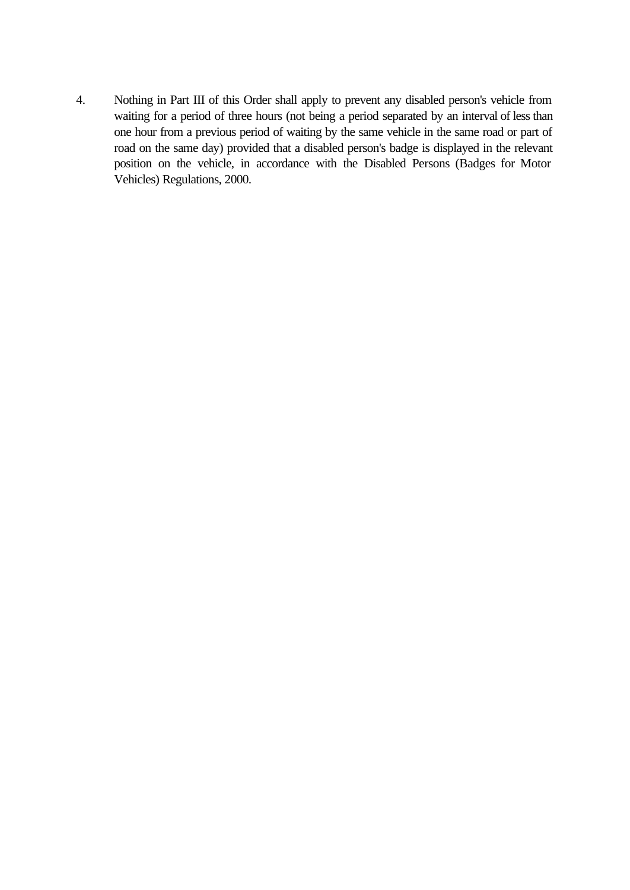4. Nothing in Part III of this Order shall apply to prevent any disabled person's vehicle from waiting for a period of three hours (not being a period separated by an interval of less than one hour from a previous period of waiting by the same vehicle in the same road or part of road on the same day) provided that a disabled person's badge is displayed in the relevant position on the vehicle, in accordance with the Disabled Persons (Badges for Motor Vehicles) Regulations, 2000.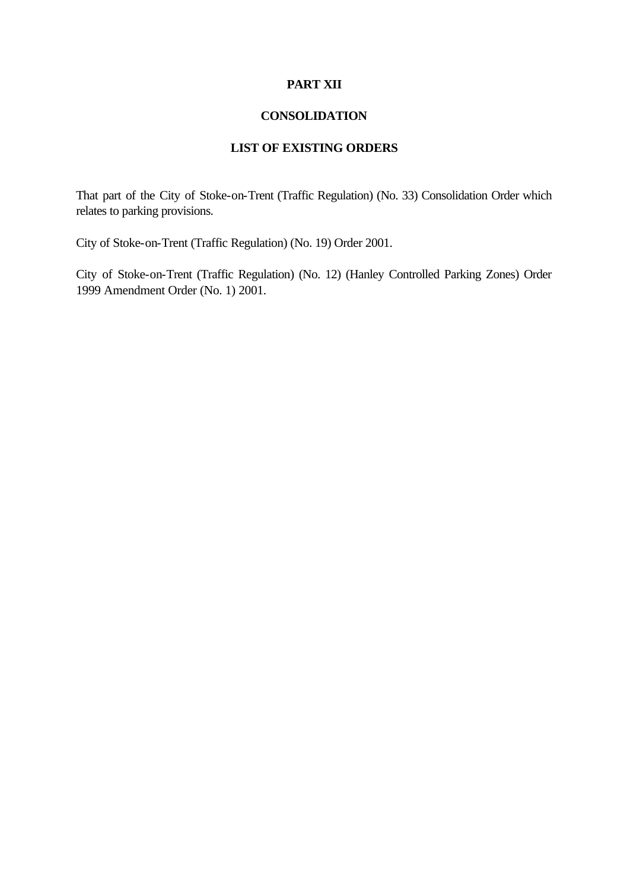#### **PART XII**

#### **CONSOLIDATION**

## **LIST OF EXISTING ORDERS**

That part of the City of Stoke-on-Trent (Traffic Regulation) (No. 33) Consolidation Order which relates to parking provisions.

City of Stoke-on-Trent (Traffic Regulation) (No. 19) Order 2001.

City of Stoke-on-Trent (Traffic Regulation) (No. 12) (Hanley Controlled Parking Zones) Order 1999 Amendment Order (No. 1) 2001.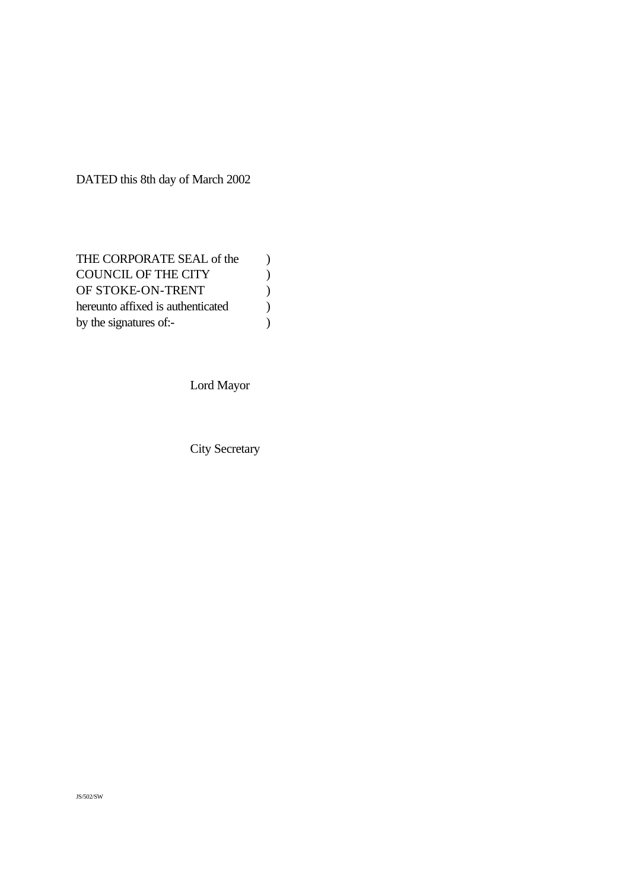DATED this 8th day of March 2002

Lord Mayor

City Secretary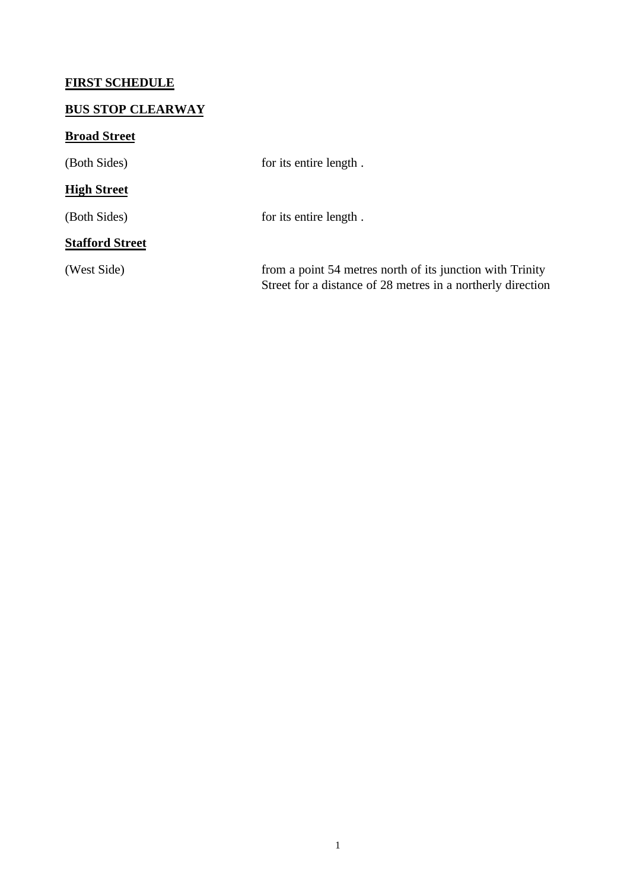# **FIRST SCHEDULE**

# **BUS STOP CLEARWAY**

# **Broad Street**

| (Both Sides)           | for its entire length.                                                                                                   |
|------------------------|--------------------------------------------------------------------------------------------------------------------------|
| <b>High Street</b>     |                                                                                                                          |
| (Both Sides)           | for its entire length.                                                                                                   |
| <b>Stafford Street</b> |                                                                                                                          |
| (West Side)            | from a point 54 metres north of its junction with Trinity<br>Street for a distance of 28 metres in a northerly direction |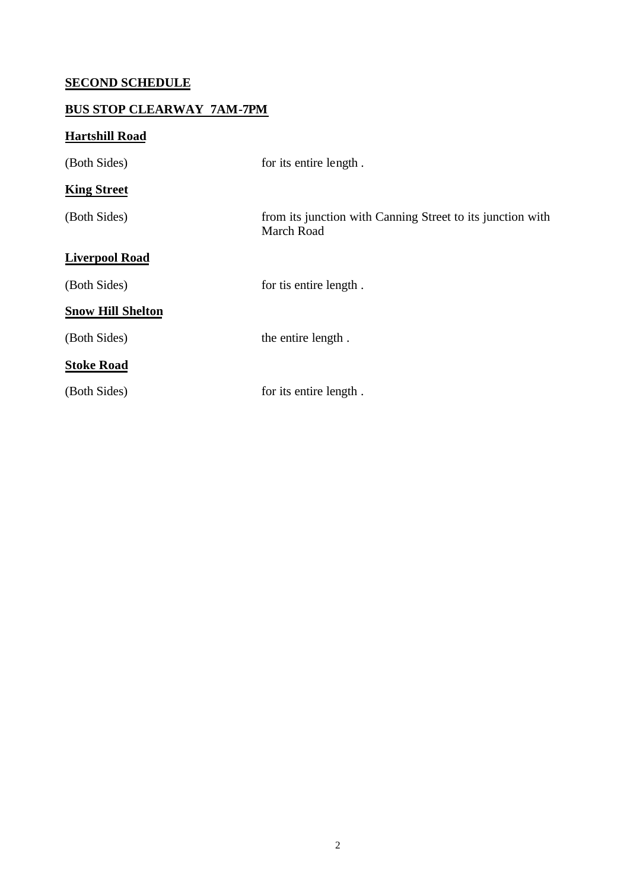# **SECOND SCHEDULE**

# **BUS STOP CLEARWAY 7AM-7PM**

# **Hartshill Road**

| (Both Sides)             | for its entire length.                                                          |
|--------------------------|---------------------------------------------------------------------------------|
| <b>King Street</b>       |                                                                                 |
| (Both Sides)             | from its junction with Canning Street to its junction with<br><b>March Road</b> |
| <b>Liverpool Road</b>    |                                                                                 |
| (Both Sides)             | for tis entire length.                                                          |
| <b>Snow Hill Shelton</b> |                                                                                 |
| (Both Sides)             | the entire length.                                                              |
| <b>Stoke Road</b>        |                                                                                 |
| (Both Sides)             | for its entire length.                                                          |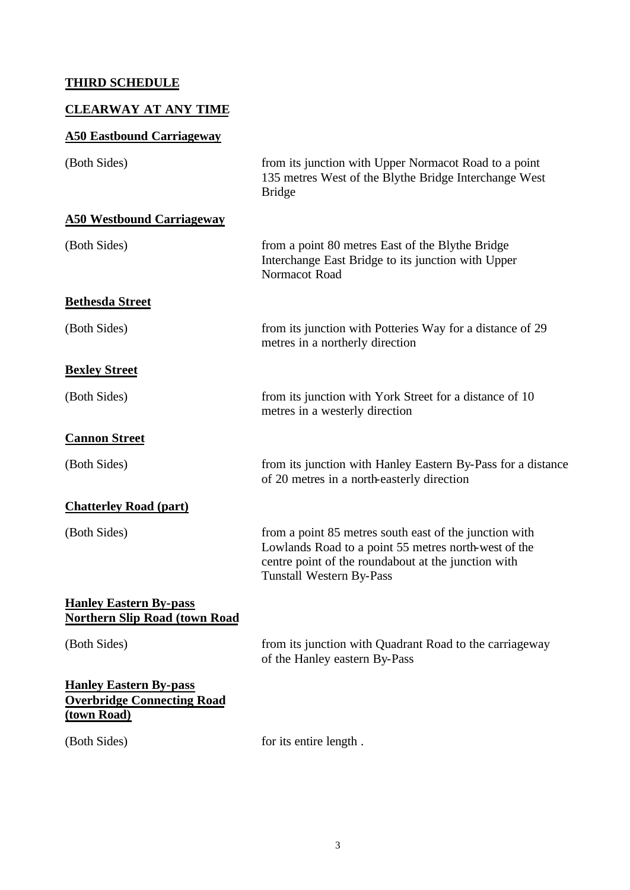# **THIRD SCHEDULE**

# **CLEARWAY AT ANY TIME**

# **A50 Eastbound Carriageway**

| (Both Sides)                                                                      | from its junction with Upper Normacot Road to a point<br>135 metres West of the Blythe Bridge Interchange West<br><b>Bridge</b>                                                                          |
|-----------------------------------------------------------------------------------|----------------------------------------------------------------------------------------------------------------------------------------------------------------------------------------------------------|
| <b>A50 Westbound Carriageway</b>                                                  |                                                                                                                                                                                                          |
| (Both Sides)                                                                      | from a point 80 metres East of the Blythe Bridge<br>Interchange East Bridge to its junction with Upper<br>Normacot Road                                                                                  |
| <b>Bethesda Street</b>                                                            |                                                                                                                                                                                                          |
| (Both Sides)                                                                      | from its junction with Potteries Way for a distance of 29<br>metres in a northerly direction                                                                                                             |
| <b>Bexley Street</b>                                                              |                                                                                                                                                                                                          |
| (Both Sides)                                                                      | from its junction with York Street for a distance of 10<br>metres in a westerly direction                                                                                                                |
| <b>Cannon Street</b>                                                              |                                                                                                                                                                                                          |
| (Both Sides)                                                                      | from its junction with Hanley Eastern By-Pass for a distance<br>of 20 metres in a north-easterly direction                                                                                               |
| <b>Chatterley Road (part)</b>                                                     |                                                                                                                                                                                                          |
| (Both Sides)                                                                      | from a point 85 metres south east of the junction with<br>Lowlands Road to a point 55 metres north-west of the<br>centre point of the roundabout at the junction with<br><b>Tunstall Western By-Pass</b> |
| <b>Hanley Eastern By-pass</b><br><b>Northern Slip Road (town Road</b>             |                                                                                                                                                                                                          |
| (Both Sides)                                                                      | from its junction with Quadrant Road to the carriageway<br>of the Hanley eastern By-Pass                                                                                                                 |
| <b>Hanley Eastern By-pass</b><br><b>Overbridge Connecting Road</b><br>(town Road) |                                                                                                                                                                                                          |
| (Both Sides)                                                                      | for its entire length.                                                                                                                                                                                   |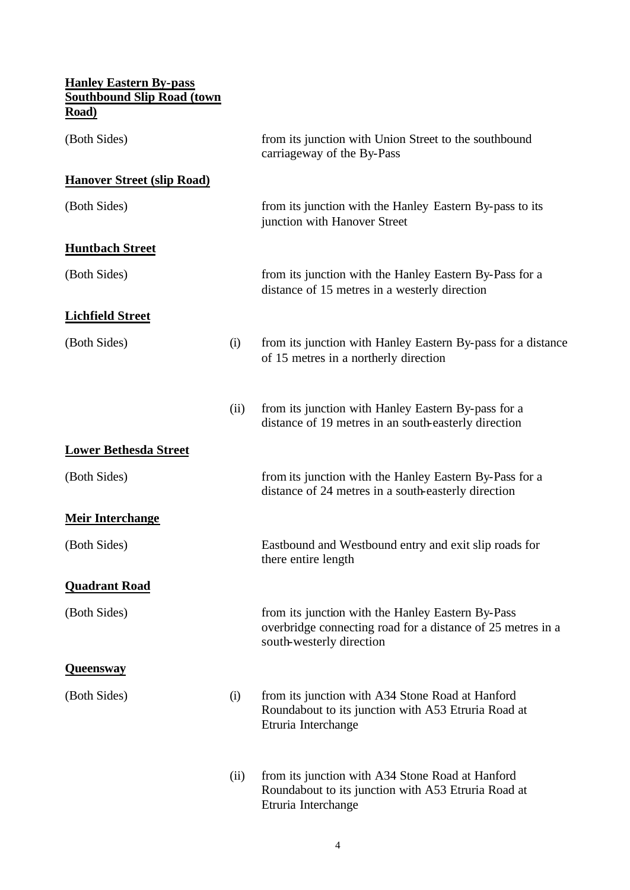| <b>Hanley Eastern By-pass</b><br><b>Southbound Slip Road (town</b> |      |                                                                                                                                              |
|--------------------------------------------------------------------|------|----------------------------------------------------------------------------------------------------------------------------------------------|
| Road)                                                              |      |                                                                                                                                              |
| (Both Sides)                                                       |      | from its junction with Union Street to the southbound<br>carriageway of the By-Pass                                                          |
| <b>Hanover Street (slip Road)</b>                                  |      |                                                                                                                                              |
| (Both Sides)                                                       |      | from its junction with the Hanley Eastern By-pass to its<br>junction with Hanover Street                                                     |
| <b>Huntbach Street</b>                                             |      |                                                                                                                                              |
| (Both Sides)                                                       |      | from its junction with the Hanley Eastern By-Pass for a<br>distance of 15 metres in a westerly direction                                     |
| <b>Lichfield Street</b>                                            |      |                                                                                                                                              |
| (Both Sides)                                                       | (i)  | from its junction with Hanley Eastern By-pass for a distance<br>of 15 metres in a northerly direction                                        |
|                                                                    | (ii) | from its junction with Hanley Eastern By-pass for a<br>distance of 19 metres in an south-easterly direction                                  |
| <b>Lower Bethesda Street</b>                                       |      |                                                                                                                                              |
| (Both Sides)                                                       |      | from its junction with the Hanley Eastern By-Pass for a<br>distance of 24 metres in a south-easterly direction                               |
| <b>Meir Interchange</b>                                            |      |                                                                                                                                              |
| (Both Sides)                                                       |      | Eastbound and Westbound entry and exit slip roads for<br>there entire length                                                                 |
| <b>Quadrant Road</b>                                               |      |                                                                                                                                              |
| (Both Sides)                                                       |      | from its junction with the Hanley Eastern By-Pass<br>overbridge connecting road for a distance of 25 metres in a<br>south-westerly direction |
| <b>Queensway</b>                                                   |      |                                                                                                                                              |
| (Both Sides)                                                       | (i)  | from its junction with A34 Stone Road at Hanford<br>Roundabout to its junction with A53 Etruria Road at<br>Etruria Interchange               |
|                                                                    | (ii) | from its junction with A34 Stone Road at Hanford<br>Roundabout to its junction with A53 Etruria Road at<br>Etruria Interchange               |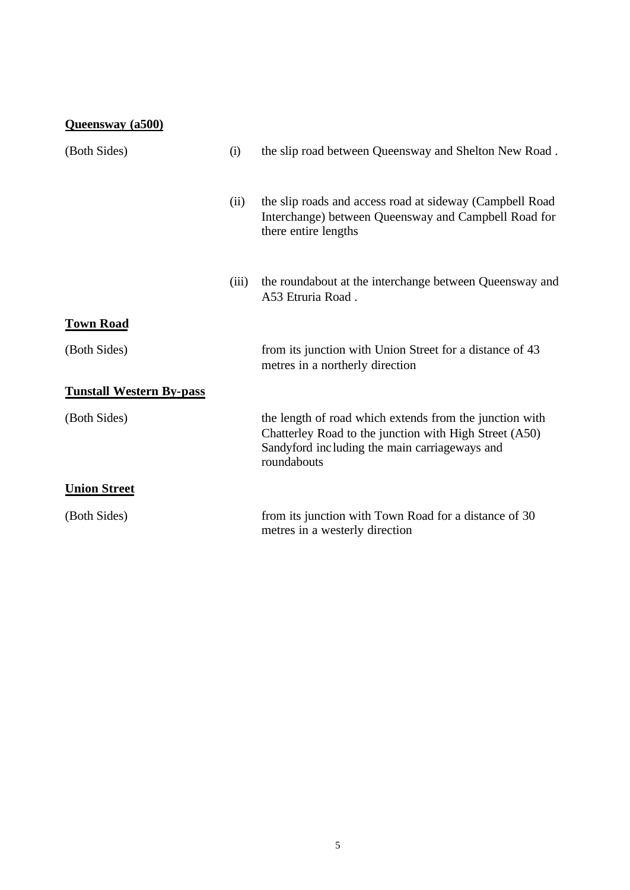| Queensway (a500)                |       |                                                                                                                                                                                   |
|---------------------------------|-------|-----------------------------------------------------------------------------------------------------------------------------------------------------------------------------------|
| (Both Sides)                    | (i)   | the slip road between Queensway and Shelton New Road.                                                                                                                             |
|                                 | (ii)  | the slip roads and access road at sideway (Campbell Road)<br>Interchange) between Queensway and Campbell Road for<br>there entire lengths                                         |
|                                 | (iii) | the roundabout at the interchange between Queensway and<br>A53 Etruria Road.                                                                                                      |
| <b>Town Road</b>                |       |                                                                                                                                                                                   |
| (Both Sides)                    |       | from its junction with Union Street for a distance of 43<br>metres in a northerly direction                                                                                       |
| <b>Tunstall Western By-pass</b> |       |                                                                                                                                                                                   |
| (Both Sides)                    |       | the length of road which extends from the junction with<br>Chatterley Road to the junction with High Street (A50)<br>Sandyford including the main carriageways and<br>roundabouts |
| <b>Union Street</b>             |       |                                                                                                                                                                                   |
| (Both Sides)                    |       | from its junction with Town Road for a distance of 30<br>metres in a westerly direction                                                                                           |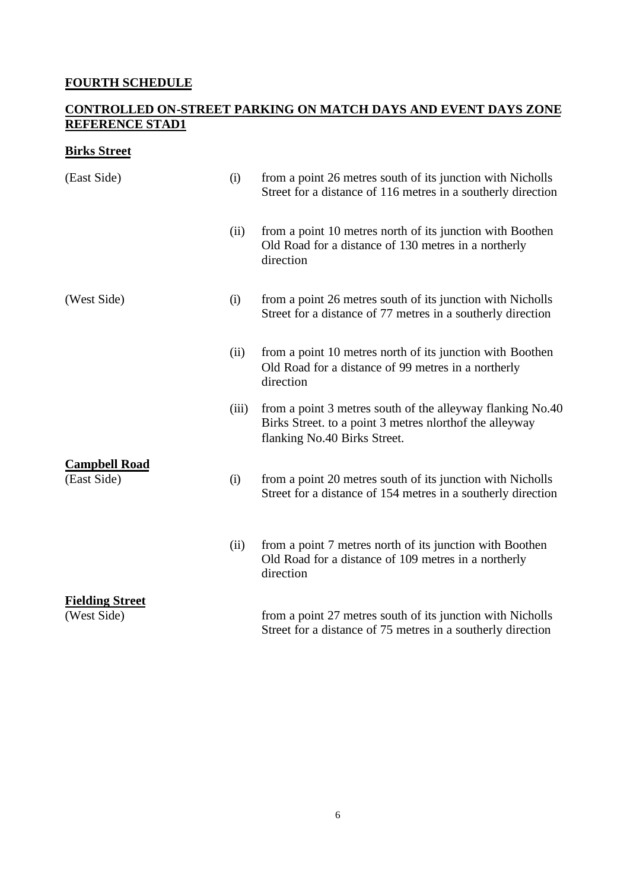# **FOURTH SCHEDULE**

## **CONTROLLED ON-STREET PARKING ON MATCH DAYS AND EVENT DAYS ZONE REFERENCE STAD1**

# **Birks Street**

| (East Side)                           | (i)   | from a point 26 metres south of its junction with Nicholls<br>Street for a distance of 116 metres in a southerly direction                            |
|---------------------------------------|-------|-------------------------------------------------------------------------------------------------------------------------------------------------------|
|                                       | (ii)  | from a point 10 metres north of its junction with Boothen<br>Old Road for a distance of 130 metres in a northerly<br>direction                        |
| (West Side)                           | (i)   | from a point 26 metres south of its junction with Nicholls<br>Street for a distance of 77 metres in a southerly direction                             |
|                                       | (ii)  | from a point 10 metres north of its junction with Boothen<br>Old Road for a distance of 99 metres in a northerly<br>direction                         |
|                                       | (iii) | from a point 3 metres south of the alleyway flanking No.40<br>Birks Street. to a point 3 metres nlorthof the alleyway<br>flanking No.40 Birks Street. |
| <b>Campbell Road</b><br>(East Side)   | (i)   | from a point 20 metres south of its junction with Nicholls<br>Street for a distance of 154 metres in a southerly direction                            |
|                                       | (ii)  | from a point 7 metres north of its junction with Boothen<br>Old Road for a distance of 109 metres in a northerly<br>direction                         |
| <b>Fielding Street</b><br>(West Side) |       | from a point 27 metres south of its junction with Nicholls<br>Street for a distance of 75 metres in a southerly direction                             |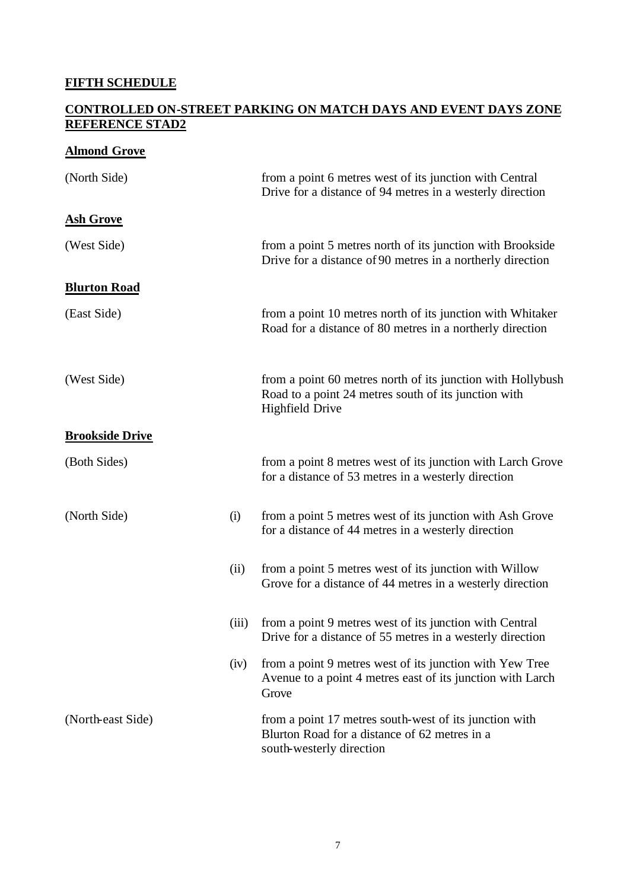# **FIFTH SCHEDULE**

## **CONTROLLED ON-STREET PARKING ON MATCH DAYS AND EVENT DAYS ZONE REFERENCE STAD2**

## **Almond Grove**

| (North Side)           |       | from a point 6 metres west of its junction with Central<br>Drive for a distance of 94 metres in a westerly direction                          |
|------------------------|-------|-----------------------------------------------------------------------------------------------------------------------------------------------|
| <b>Ash Grove</b>       |       |                                                                                                                                               |
| (West Side)            |       | from a point 5 metres north of its junction with Brookside<br>Drive for a distance of 90 metres in a northerly direction                      |
| <b>Blurton Road</b>    |       |                                                                                                                                               |
| (East Side)            |       | from a point 10 metres north of its junction with Whitaker<br>Road for a distance of 80 metres in a northerly direction                       |
| (West Side)            |       | from a point 60 metres north of its junction with Hollybush<br>Road to a point 24 metres south of its junction with<br><b>Highfield Drive</b> |
| <b>Brookside Drive</b> |       |                                                                                                                                               |
| (Both Sides)           |       | from a point 8 metres west of its junction with Larch Grove<br>for a distance of 53 metres in a westerly direction                            |
| (North Side)           | (i)   | from a point 5 metres west of its junction with Ash Grove<br>for a distance of 44 metres in a westerly direction                              |
|                        | (ii)  | from a point 5 metres west of its junction with Willow<br>Grove for a distance of 44 metres in a westerly direction                           |
|                        | (iii) | from a point 9 metres west of its junction with Central<br>Drive for a distance of 55 metres in a westerly direction                          |
|                        | (iv)  | from a point 9 metres west of its junction with Yew Tree<br>Avenue to a point 4 metres east of its junction with Larch<br>Grove               |
| (North-east Side)      |       | from a point 17 metres south-west of its junction with<br>Blurton Road for a distance of 62 metres in a<br>south-westerly direction           |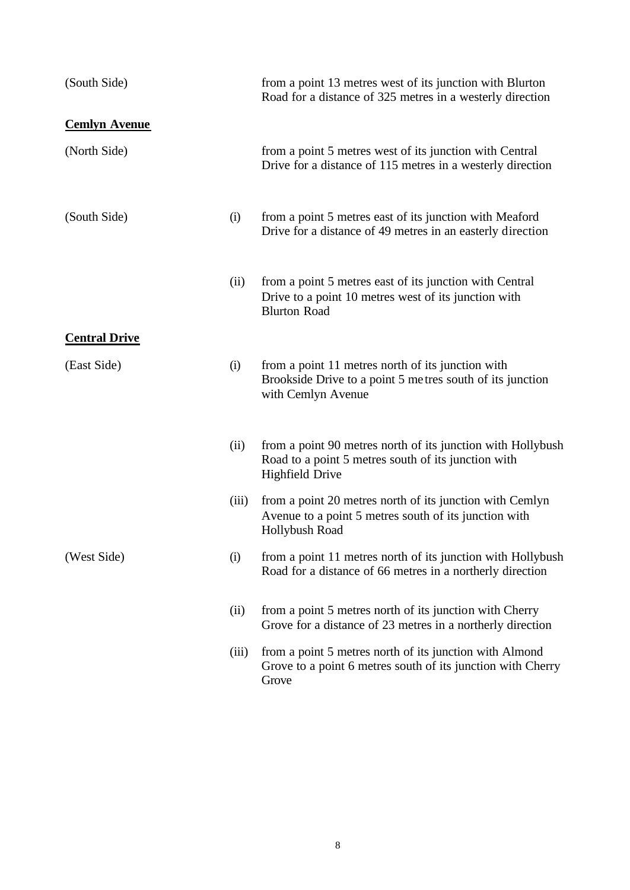| (South Side)         |       | from a point 13 metres west of its junction with Blurton<br>Road for a distance of 325 metres in a westerly direction                        |
|----------------------|-------|----------------------------------------------------------------------------------------------------------------------------------------------|
| <b>Cemlyn Avenue</b> |       |                                                                                                                                              |
| (North Side)         |       | from a point 5 metres west of its junction with Central<br>Drive for a distance of 115 metres in a westerly direction                        |
| (South Side)         | (i)   | from a point 5 metres east of its junction with Meaford<br>Drive for a distance of 49 metres in an easterly direction                        |
|                      | (ii)  | from a point 5 metres east of its junction with Central<br>Drive to a point 10 metres west of its junction with<br><b>Blurton Road</b>       |
| <b>Central Drive</b> |       |                                                                                                                                              |
| (East Side)          | (i)   | from a point 11 metres north of its junction with<br>Brookside Drive to a point 5 metres south of its junction<br>with Cemlyn Avenue         |
|                      | (ii)  | from a point 90 metres north of its junction with Hollybush<br>Road to a point 5 metres south of its junction with<br><b>Highfield Drive</b> |
|                      | (iii) | from a point 20 metres north of its junction with Cemlyn<br>Avenue to a point 5 metres south of its junction with<br>Hollybush Road          |
| (West Side)          | (i)   | from a point 11 metres north of its junction with Hollybush<br>Road for a distance of 66 metres in a northerly direction                     |
|                      | (ii)  | from a point 5 metres north of its junction with Cherry<br>Grove for a distance of 23 metres in a northerly direction                        |
|                      | (iii) | from a point 5 metres north of its junction with Almond<br>Grove to a point 6 metres south of its junction with Cherry<br>Grove              |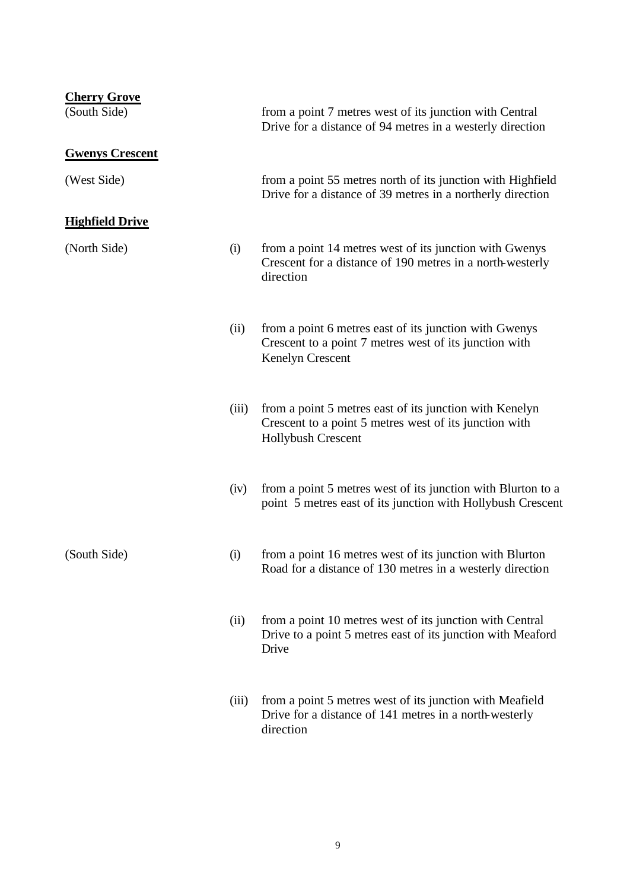| <b>Cherry Grove</b><br>(South Side) |       | from a point 7 metres west of its junction with Central<br>Drive for a distance of 94 metres in a westerly direction                           |
|-------------------------------------|-------|------------------------------------------------------------------------------------------------------------------------------------------------|
| <b>Gwenys Crescent</b>              |       |                                                                                                                                                |
| (West Side)                         |       | from a point 55 metres north of its junction with Highfield<br>Drive for a distance of 39 metres in a northerly direction                      |
| <b>Highfield Drive</b>              |       |                                                                                                                                                |
| (North Side)                        | (i)   | from a point 14 metres west of its junction with Gwenys<br>Crescent for a distance of 190 metres in a north-westerly<br>direction              |
|                                     | (ii)  | from a point 6 metres east of its junction with Gwenys<br>Crescent to a point 7 metres west of its junction with<br>Kenelyn Crescent           |
|                                     | (iii) | from a point 5 metres east of its junction with Kenelyn<br>Crescent to a point 5 metres west of its junction with<br><b>Hollybush Crescent</b> |
|                                     | (iv)  | from a point 5 metres west of its junction with Blurton to a<br>point 5 metres east of its junction with Hollybush Crescent                    |
| (South Side)                        | (i)   | from a point 16 metres west of its junction with Blurton<br>Road for a distance of 130 metres in a westerly direction                          |
|                                     | (ii)  | from a point 10 metres west of its junction with Central<br>Drive to a point 5 metres east of its junction with Meaford<br>Drive               |
|                                     | (iii) | from a point 5 metres west of its junction with Meafield<br>Drive for a distance of 141 metres in a north-westerly<br>direction                |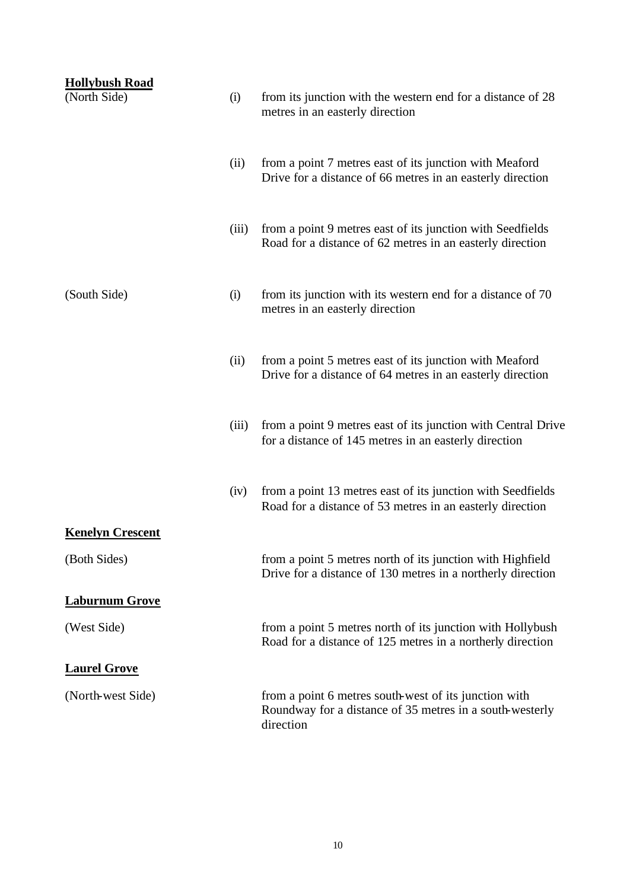| <b>Hollybush Road</b><br>(North Side) | (i)   | from its junction with the western end for a distance of 28<br>metres in an easterly direction                                 |
|---------------------------------------|-------|--------------------------------------------------------------------------------------------------------------------------------|
|                                       | (ii)  | from a point 7 metres east of its junction with Meaford<br>Drive for a distance of 66 metres in an easterly direction          |
|                                       | (iii) | from a point 9 metres east of its junction with Seedfields<br>Road for a distance of 62 metres in an easterly direction        |
| (South Side)                          | (i)   | from its junction with its western end for a distance of 70<br>metres in an easterly direction                                 |
|                                       | (ii)  | from a point 5 metres east of its junction with Meaford<br>Drive for a distance of 64 metres in an easterly direction          |
|                                       | (iii) | from a point 9 metres east of its junction with Central Drive<br>for a distance of 145 metres in an easterly direction         |
|                                       | (iv)  | from a point 13 metres east of its junction with Seedfields<br>Road for a distance of 53 metres in an easterly direction       |
| <b>Kenelyn Crescent</b>               |       |                                                                                                                                |
| (Both Sides)                          |       | from a point 5 metres north of its junction with Highfield<br>Drive for a distance of 130 metres in a northerly direction      |
| <b>Laburnum Grove</b>                 |       |                                                                                                                                |
| (West Side)                           |       | from a point 5 metres north of its junction with Hollybush<br>Road for a distance of 125 metres in a northerly direction       |
| <b>Laurel Grove</b>                   |       |                                                                                                                                |
| (North-west Side)                     |       | from a point 6 metres south-west of its junction with<br>Roundway for a distance of 35 metres in a south-westerly<br>direction |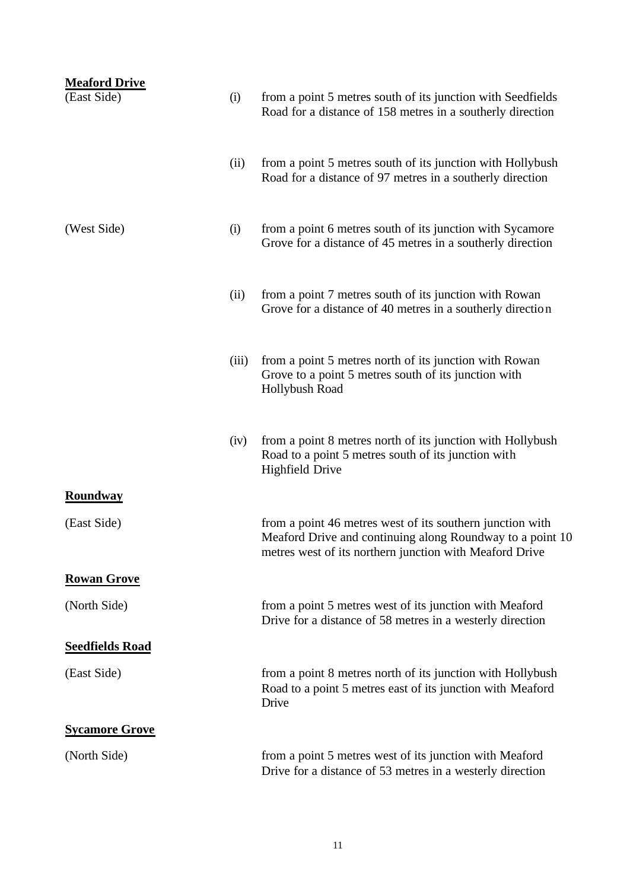| <b>Meaford Drive</b><br>(East Side) | (i)   | from a point 5 metres south of its junction with Seedfields<br>Road for a distance of 158 metres in a southerly direction                                                         |
|-------------------------------------|-------|-----------------------------------------------------------------------------------------------------------------------------------------------------------------------------------|
|                                     | (ii)  | from a point 5 metres south of its junction with Hollybush<br>Road for a distance of 97 metres in a southerly direction                                                           |
| (West Side)                         | (i)   | from a point 6 metres south of its junction with Sycamore<br>Grove for a distance of 45 metres in a southerly direction                                                           |
|                                     | (ii)  | from a point 7 metres south of its junction with Rowan<br>Grove for a distance of 40 metres in a southerly direction                                                              |
|                                     | (iii) | from a point 5 metres north of its junction with Rowan<br>Grove to a point 5 metres south of its junction with<br>Hollybush Road                                                  |
|                                     | (iv)  | from a point 8 metres north of its junction with Hollybush<br>Road to a point 5 metres south of its junction with<br><b>Highfield Drive</b>                                       |
| <b>Roundway</b>                     |       |                                                                                                                                                                                   |
| (East Side)                         |       | from a point 46 metres west of its southern junction with<br>Meaford Drive and continuing along Roundway to a point 10<br>metres west of its northern junction with Meaford Drive |
| <b>Rowan Grove</b>                  |       |                                                                                                                                                                                   |
| (North Side)                        |       | from a point 5 metres west of its junction with Meaford<br>Drive for a distance of 58 metres in a westerly direction                                                              |
| <b>Seedfields Road</b>              |       |                                                                                                                                                                                   |
| (East Side)                         |       | from a point 8 metres north of its junction with Hollybush<br>Road to a point 5 metres east of its junction with Meaford<br>Drive                                                 |
| <b>Sycamore Grove</b>               |       |                                                                                                                                                                                   |
| (North Side)                        |       | from a point 5 metres west of its junction with Meaford<br>Drive for a distance of 53 metres in a westerly direction                                                              |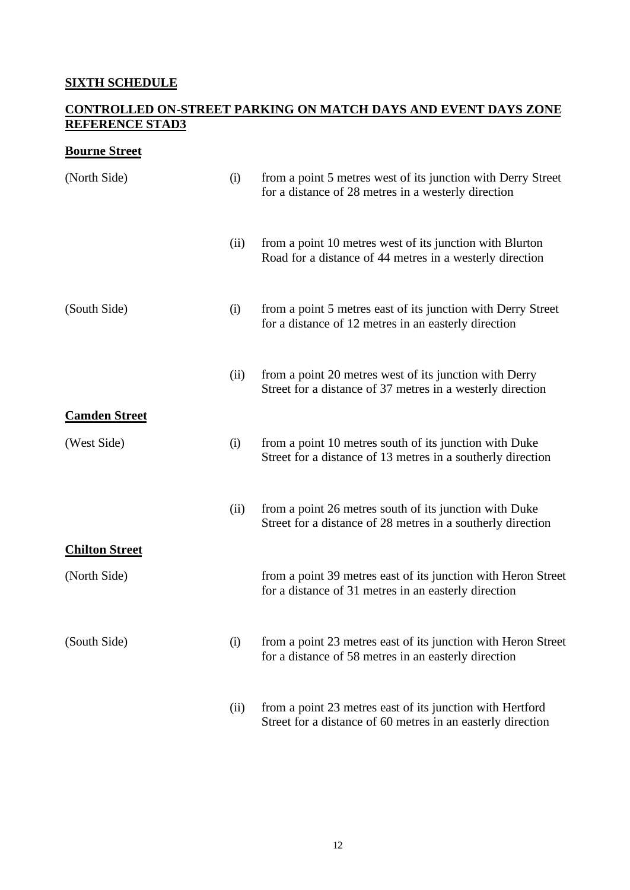# **SIXTH SCHEDULE**

## **CONTROLLED ON-STREET PARKING ON MATCH DAYS AND EVENT DAYS ZONE REFERENCE STAD3**

## **Bourne Street**

| (North Side)          | (i)  | from a point 5 metres west of its junction with Derry Street<br>for a distance of 28 metres in a westerly direction      |
|-----------------------|------|--------------------------------------------------------------------------------------------------------------------------|
|                       | (ii) | from a point 10 metres west of its junction with Blurton<br>Road for a distance of 44 metres in a westerly direction     |
| (South Side)          | (i)  | from a point 5 metres east of its junction with Derry Street<br>for a distance of 12 metres in an easterly direction     |
|                       | (ii) | from a point 20 metres west of its junction with Derry<br>Street for a distance of 37 metres in a westerly direction     |
| <b>Camden Street</b>  |      |                                                                                                                          |
| (West Side)           | (i)  | from a point 10 metres south of its junction with Duke<br>Street for a distance of 13 metres in a southerly direction    |
|                       | (ii) | from a point 26 metres south of its junction with Duke<br>Street for a distance of 28 metres in a southerly direction    |
| <b>Chilton Street</b> |      |                                                                                                                          |
| (North Side)          |      | from a point 39 metres east of its junction with Heron Street<br>for a distance of 31 metres in an easterly direction    |
| (South Side)          | (i)  | from a point 23 metres east of its junction with Heron Street<br>for a distance of 58 metres in an easterly direction    |
|                       | (ii) | from a point 23 metres east of its junction with Hertford<br>Street for a distance of 60 metres in an easterly direction |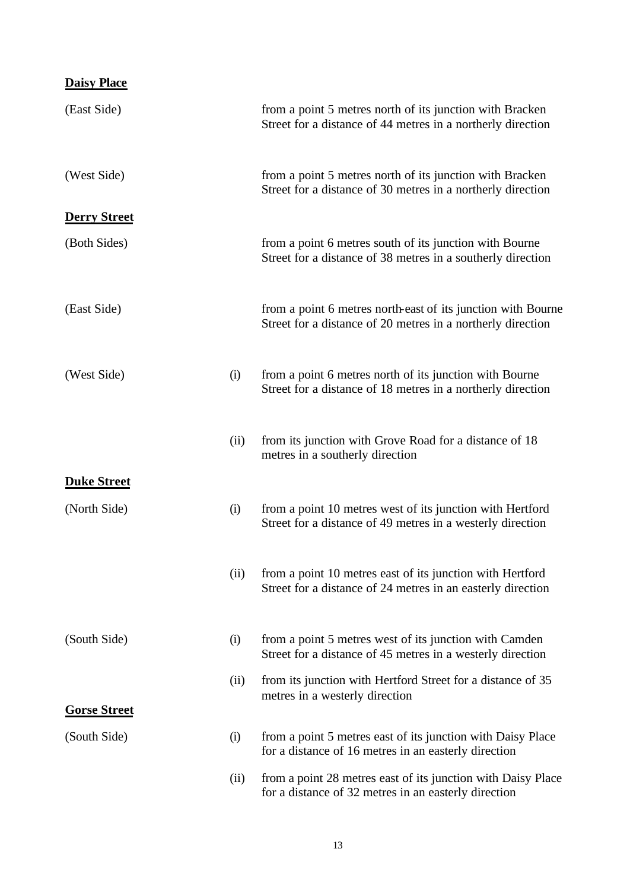| <b>Daisy Place</b>  |      |                                                                                                                             |
|---------------------|------|-----------------------------------------------------------------------------------------------------------------------------|
| (East Side)         |      | from a point 5 metres north of its junction with Bracken<br>Street for a distance of 44 metres in a northerly direction     |
| (West Side)         |      | from a point 5 metres north of its junction with Bracken<br>Street for a distance of 30 metres in a northerly direction     |
| <b>Derry Street</b> |      |                                                                                                                             |
| (Both Sides)        |      | from a point 6 metres south of its junction with Bourne<br>Street for a distance of 38 metres in a southerly direction      |
| (East Side)         |      | from a point 6 metres north-east of its junction with Bourne<br>Street for a distance of 20 metres in a northerly direction |
| (West Side)         | (i)  | from a point 6 metres north of its junction with Bourne<br>Street for a distance of 18 metres in a northerly direction      |
|                     | (ii) | from its junction with Grove Road for a distance of 18<br>metres in a southerly direction                                   |
| <b>Duke Street</b>  |      |                                                                                                                             |
| (North Side)        | (i)  | from a point 10 metres west of its junction with Hertford<br>Street for a distance of 49 metres in a westerly direction     |
|                     | (ii) | from a point 10 metres east of its junction with Hertford<br>Street for a distance of 24 metres in an easterly direction    |
| (South Side)        | (i)  | from a point 5 metres west of its junction with Camden<br>Street for a distance of 45 metres in a westerly direction        |
| <b>Gorse Street</b> | (ii) | from its junction with Hertford Street for a distance of 35<br>metres in a westerly direction                               |
| (South Side)        | (i)  | from a point 5 metres east of its junction with Daisy Place<br>for a distance of 16 metres in an easterly direction         |
|                     | (ii) | from a point 28 metres east of its junction with Daisy Place<br>for a distance of 32 metres in an easterly direction        |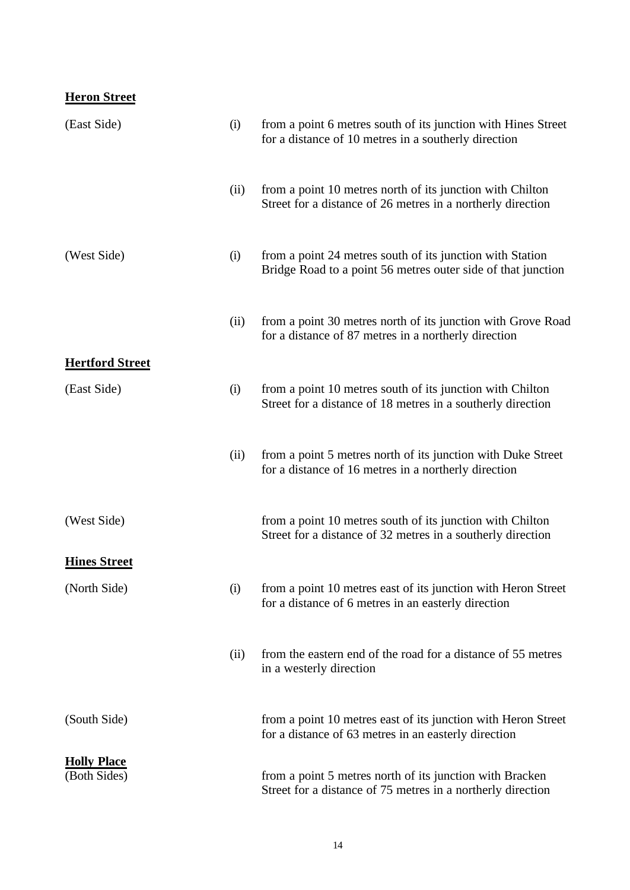## **Heron Street**

| (East Side)                        | (i)  | from a point 6 metres south of its junction with Hines Street<br>for a distance of 10 metres in a southerly direction     |
|------------------------------------|------|---------------------------------------------------------------------------------------------------------------------------|
|                                    | (ii) | from a point 10 metres north of its junction with Chilton<br>Street for a distance of 26 metres in a northerly direction  |
| (West Side)                        | (i)  | from a point 24 metres south of its junction with Station<br>Bridge Road to a point 56 metres outer side of that junction |
|                                    | (ii) | from a point 30 metres north of its junction with Grove Road<br>for a distance of 87 metres in a northerly direction      |
| <b>Hertford Street</b>             |      |                                                                                                                           |
| (East Side)                        | (i)  | from a point 10 metres south of its junction with Chilton<br>Street for a distance of 18 metres in a southerly direction  |
|                                    | (ii) | from a point 5 metres north of its junction with Duke Street<br>for a distance of 16 metres in a northerly direction      |
| (West Side)                        |      | from a point 10 metres south of its junction with Chilton<br>Street for a distance of 32 metres in a southerly direction  |
| <b>Hines Street</b>                |      |                                                                                                                           |
| (North Side)                       | (i)  | from a point 10 metres east of its junction with Heron Street<br>for a distance of 6 metres in an easterly direction      |
|                                    | (ii) | from the eastern end of the road for a distance of 55 metres<br>in a westerly direction                                   |
| (South Side)                       |      | from a point 10 metres east of its junction with Heron Street<br>for a distance of 63 metres in an easterly direction     |
| <b>Holly Place</b><br>(Both Sides) |      | from a point 5 metres north of its junction with Bracken<br>Street for a distance of 75 metres in a northerly direction   |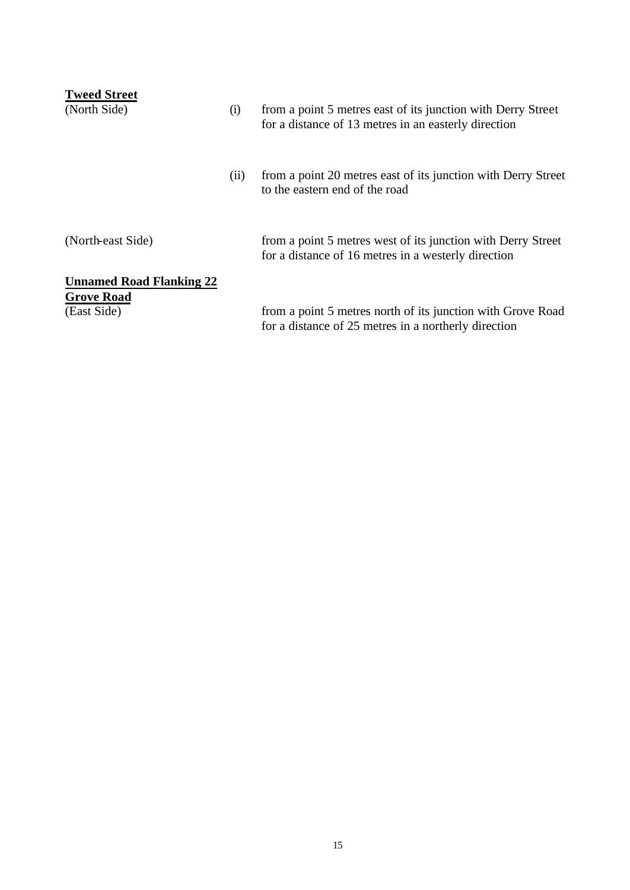| <b>Tweed Street</b><br>(North Side)                                 | (i)  | from a point 5 metres east of its junction with Derry Street<br>for a distance of 13 metres in an easterly direction |
|---------------------------------------------------------------------|------|----------------------------------------------------------------------------------------------------------------------|
|                                                                     | (ii) | from a point 20 metres east of its junction with Derry Street<br>to the eastern end of the road                      |
| (North-east Side)                                                   |      | from a point 5 metres west of its junction with Derry Street<br>for a distance of 16 metres in a westerly direction  |
| <b>Unnamed Road Flanking 22</b><br><b>Grove Road</b><br>(East Side) |      | from a point 5 metres north of its junction with Grove Road<br>for a distance of 25 metres in a northerly direction  |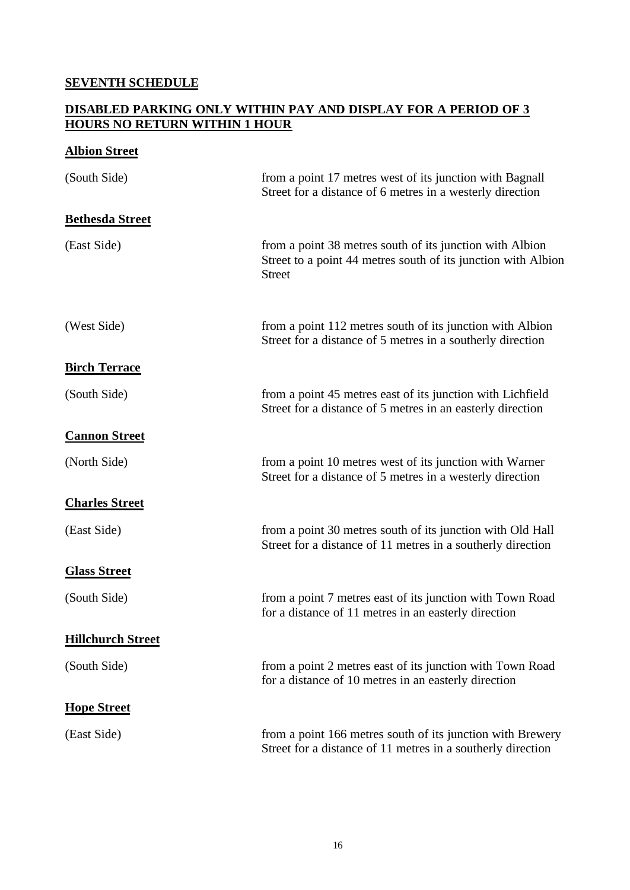#### **SEVENTH SCHEDULE**

#### **DISABLED PARKING ONLY WITHIN PAY AND DISPLAY FOR A PERIOD OF 3 HOURS NO RETURN WITHIN 1 HOUR**

## **Albion Street**

| (South Side)             | from a point 17 metres west of its junction with Bagnall<br>Street for a distance of 6 metres in a westerly direction                      |
|--------------------------|--------------------------------------------------------------------------------------------------------------------------------------------|
| <b>Bethesda Street</b>   |                                                                                                                                            |
| (East Side)              | from a point 38 metres south of its junction with Albion<br>Street to a point 44 metres south of its junction with Albion<br><b>Street</b> |
| (West Side)              | from a point 112 metres south of its junction with Albion<br>Street for a distance of 5 metres in a southerly direction                    |
| <b>Birch Terrace</b>     |                                                                                                                                            |
| (South Side)             | from a point 45 metres east of its junction with Lichfield<br>Street for a distance of 5 metres in an easterly direction                   |
| <b>Cannon Street</b>     |                                                                                                                                            |
| (North Side)             | from a point 10 metres west of its junction with Warner<br>Street for a distance of 5 metres in a westerly direction                       |
| <b>Charles Street</b>    |                                                                                                                                            |
| (East Side)              | from a point 30 metres south of its junction with Old Hall<br>Street for a distance of 11 metres in a southerly direction                  |
| <b>Glass Street</b>      |                                                                                                                                            |
| (South Side)             | from a point 7 metres east of its junction with Town Road<br>for a distance of 11 metres in an easterly direction                          |
| <b>Hillchurch Street</b> |                                                                                                                                            |
| (South Side)             | from a point 2 metres east of its junction with Town Road<br>for a distance of 10 metres in an easterly direction                          |
| <b>Hope Street</b>       |                                                                                                                                            |
| (East Side)              | from a point 166 metres south of its junction with Brewery<br>Street for a distance of 11 metres in a southerly direction                  |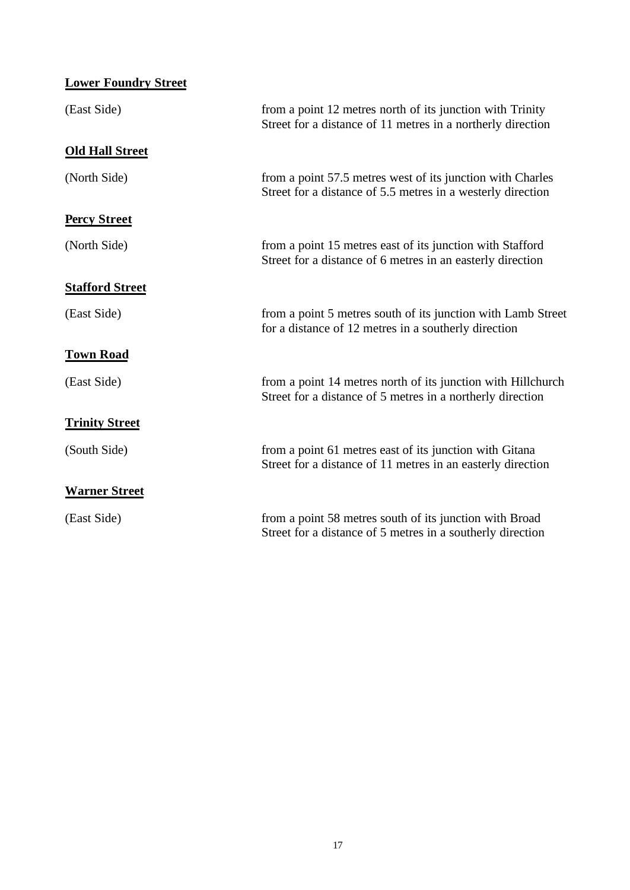| <b>Lower Foundry Street</b> |                                                                                                                            |
|-----------------------------|----------------------------------------------------------------------------------------------------------------------------|
| (East Side)                 | from a point 12 metres north of its junction with Trinity<br>Street for a distance of 11 metres in a northerly direction   |
| <b>Old Hall Street</b>      |                                                                                                                            |
| (North Side)                | from a point 57.5 metres west of its junction with Charles<br>Street for a distance of 5.5 metres in a westerly direction  |
| <b>Percy Street</b>         |                                                                                                                            |
| (North Side)                | from a point 15 metres east of its junction with Stafford<br>Street for a distance of 6 metres in an easterly direction    |
| <b>Stafford Street</b>      |                                                                                                                            |
| (East Side)                 | from a point 5 metres south of its junction with Lamb Street<br>for a distance of 12 metres in a southerly direction       |
| <b>Town Road</b>            |                                                                                                                            |
| (East Side)                 | from a point 14 metres north of its junction with Hillchurch<br>Street for a distance of 5 metres in a northerly direction |
| <b>Trinity Street</b>       |                                                                                                                            |
| (South Side)                | from a point 61 metres east of its junction with Gitana<br>Street for a distance of 11 metres in an easterly direction     |
| <b>Warner Street</b>        |                                                                                                                            |
| (East Side)                 | from a point 58 metres south of its junction with Broad<br>Street for a distance of 5 metres in a southerly direction      |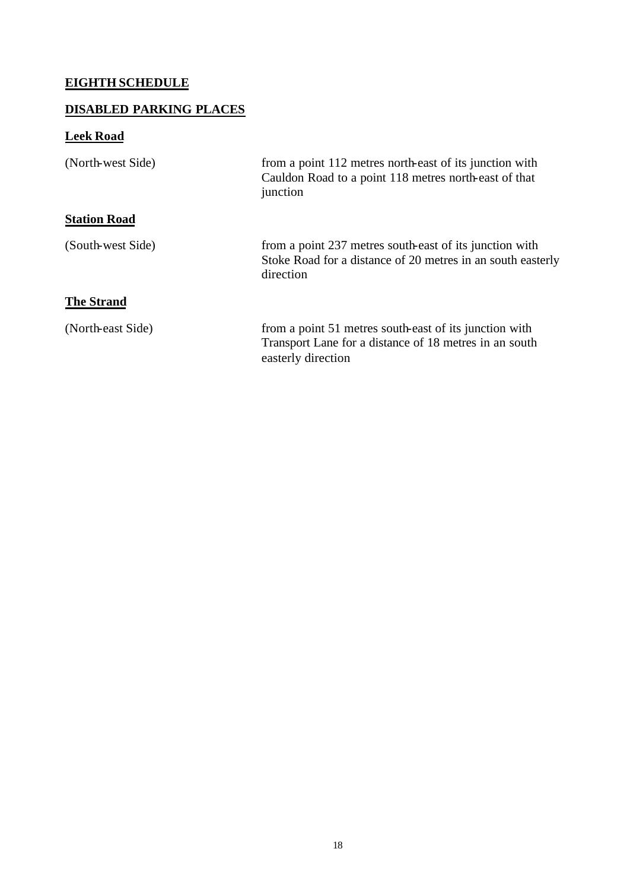## **EIGHTH SCHEDULE**

## **DISABLED PARKING PLACES**

# **Leek Road**

| (North-west Side)   | from a point 112 metres north-east of its junction with<br>Cauldon Road to a point 118 metres north-east of that<br>junction           |
|---------------------|----------------------------------------------------------------------------------------------------------------------------------------|
| <b>Station Road</b> |                                                                                                                                        |
| (South-west Side)   | from a point 237 metres south-east of its junction with<br>Stoke Road for a distance of 20 metres in an south easterly<br>direction    |
| <b>The Strand</b>   |                                                                                                                                        |
| (North-east Side)   | from a point 51 metres south-east of its junction with<br>Transport Lane for a distance of 18 metres in an south<br>easterly direction |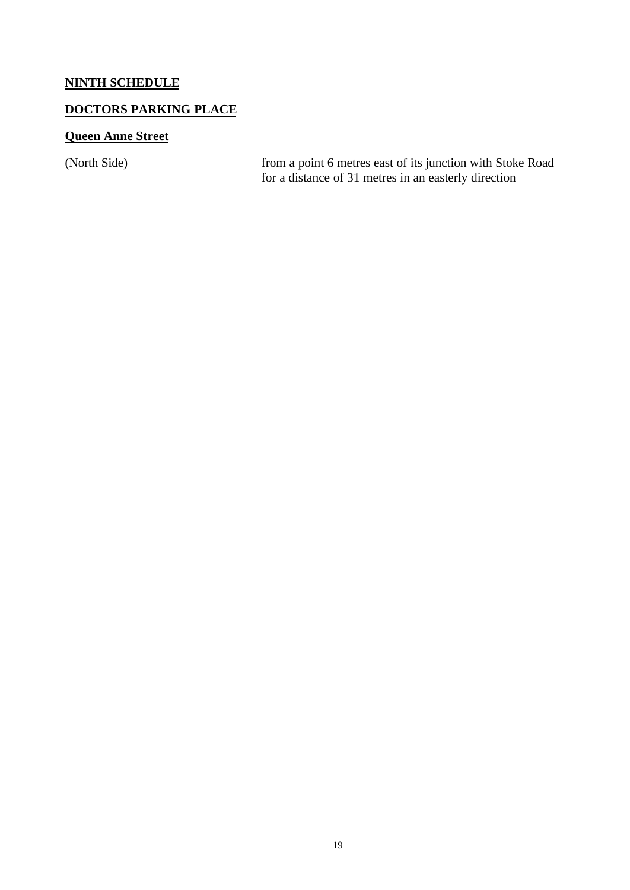## **NINTH SCHEDULE**

## **DOCTORS PARKING PLACE**

## **Queen Anne Street**

(North Side) from a point 6 metres east of its junction with Stoke Road for a distance of 31 metres in an easterly direction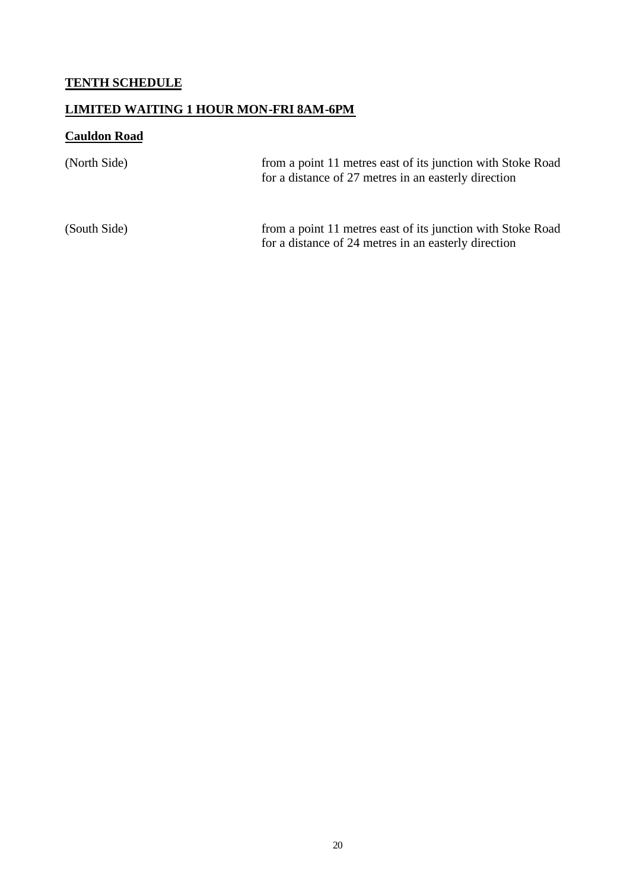# **TENTH SCHEDULE**

## **LIMITED WAITING 1 HOUR MON-FRI 8AM-6PM**

# **Cauldon Road**

| (North Side) | from a point 11 metres east of its junction with Stoke Road<br>for a distance of 27 metres in an easterly direction |
|--------------|---------------------------------------------------------------------------------------------------------------------|
| (South Side) | from a point 11 metres east of its junction with Stoke Road<br>for a distance of 24 metres in an easterly direction |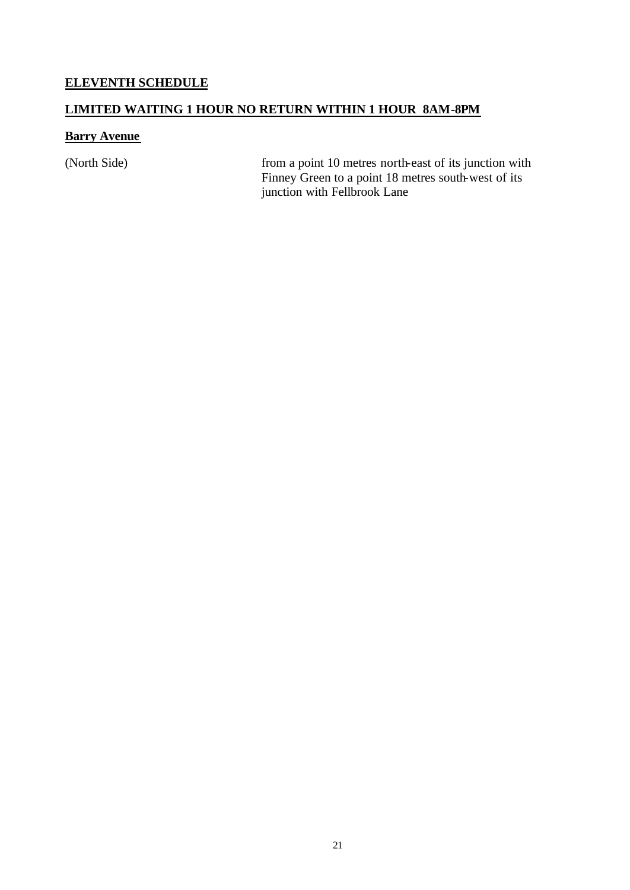# **ELEVENTH SCHEDULE**

#### **LIMITED WAITING 1 HOUR NO RETURN WITHIN 1 HOUR 8AM-8PM**

#### **Barry Avenue**

(North Side) from a point 10 metres north-east of its junction with Finney Green to a point 18 metres south-west of its junction with Fellbrook Lane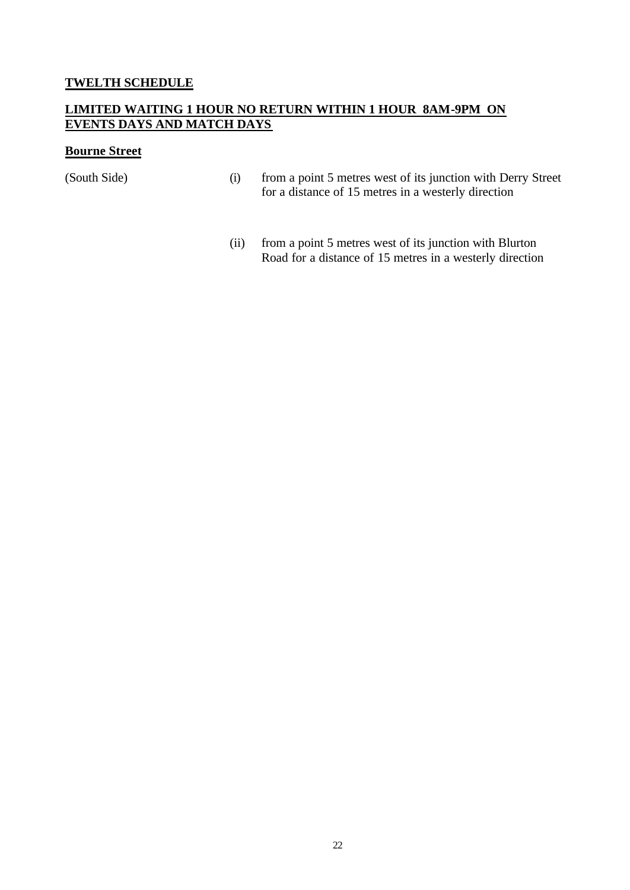#### **TWELTH SCHEDULE**

#### **LIMITED WAITING 1 HOUR NO RETURN WITHIN 1 HOUR 8AM-9PM ON EVENTS DAYS AND MATCH DAYS**

#### **Bourne Street**

- (South Side) (i) from a point 5 metres west of its junction with Derry Street for a distance of 15 metres in a westerly direction
	- (ii) from a point 5 metres west of its junction with Blurton Road for a distance of 15 metres in a westerly direction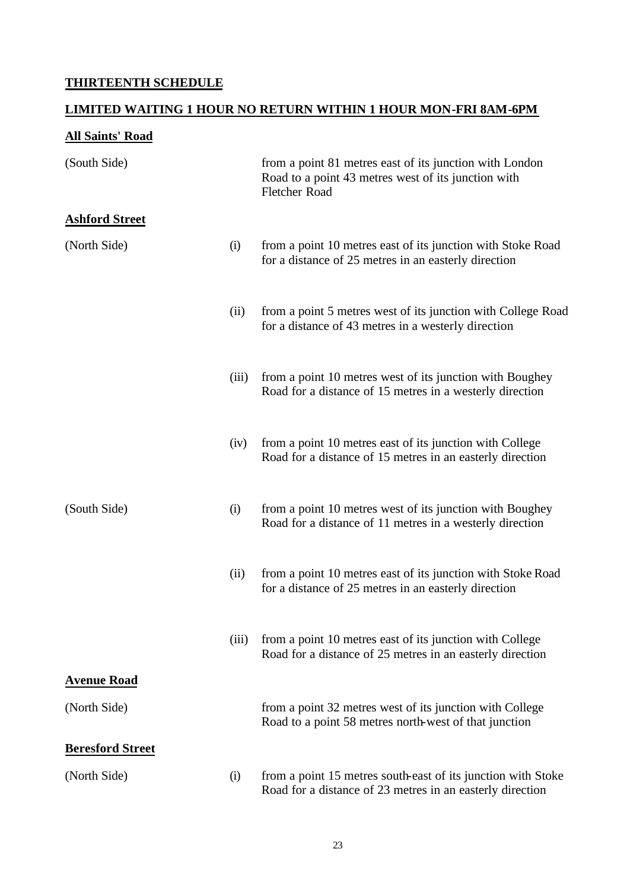## **THIRTEENTH SCHEDULE**

## **LIMITED WAITING 1 HOUR NO RETURN WITHIN 1 HOUR MON-FRI 8AM-6PM**

# **All Saints' Road**

| (South Side)            |       | from a point 81 metres east of its junction with London<br>Road to a point 43 metres west of its junction with<br><b>Fletcher Road</b> |
|-------------------------|-------|----------------------------------------------------------------------------------------------------------------------------------------|
| <b>Ashford Street</b>   |       |                                                                                                                                        |
| (North Side)            | (i)   | from a point 10 metres east of its junction with Stoke Road<br>for a distance of 25 metres in an easterly direction                    |
|                         | (ii)  | from a point 5 metres west of its junction with College Road<br>for a distance of 43 metres in a westerly direction                    |
|                         | (iii) | from a point 10 metres west of its junction with Boughey<br>Road for a distance of 15 metres in a westerly direction                   |
|                         | (iv)  | from a point 10 metres east of its junction with College<br>Road for a distance of 15 metres in an easterly direction                  |
| (South Side)            | (i)   | from a point 10 metres west of its junction with Boughey<br>Road for a distance of 11 metres in a westerly direction                   |
|                         | (ii)  | from a point 10 metres east of its junction with Stoke Road<br>for a distance of 25 metres in an easterly direction                    |
|                         | (iii) | from a point 10 metres east of its junction with College<br>Road for a distance of 25 metres in an easterly direction                  |
| <b>Avenue Road</b>      |       |                                                                                                                                        |
| (North Side)            |       | from a point 32 metres west of its junction with College<br>Road to a point 58 metres north-west of that junction                      |
| <b>Beresford Street</b> |       |                                                                                                                                        |
| (North Side)            | (i)   | from a point 15 metres south-east of its junction with Stoke<br>Road for a distance of 23 metres in an easterly direction              |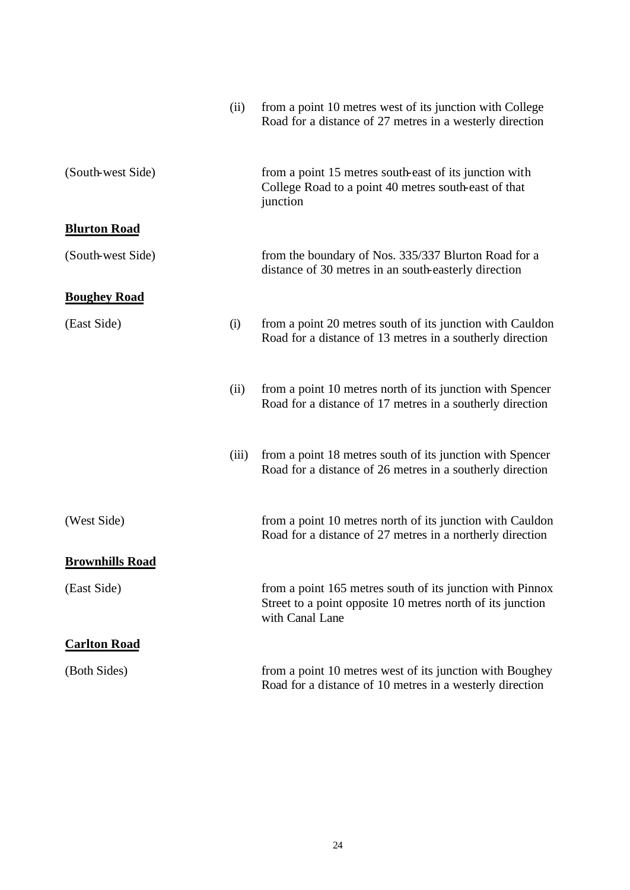|                        | (ii)  | from a point 10 metres west of its junction with College<br>Road for a distance of 27 metres in a westerly direction                       |
|------------------------|-------|--------------------------------------------------------------------------------------------------------------------------------------------|
| (South-west Side)      |       | from a point 15 metres south-east of its junction with<br>College Road to a point 40 metres south-east of that<br>junction                 |
| <b>Blurton Road</b>    |       |                                                                                                                                            |
| (South-west Side)      |       | from the boundary of Nos. 335/337 Blurton Road for a<br>distance of 30 metres in an south-easterly direction                               |
| <b>Boughey Road</b>    |       |                                                                                                                                            |
| (East Side)            | (i)   | from a point 20 metres south of its junction with Cauldon<br>Road for a distance of 13 metres in a southerly direction                     |
|                        | (ii)  | from a point 10 metres north of its junction with Spencer<br>Road for a distance of 17 metres in a southerly direction                     |
|                        | (iii) | from a point 18 metres south of its junction with Spencer<br>Road for a distance of 26 metres in a southerly direction                     |
| (West Side)            |       | from a point 10 metres north of its junction with Cauldon<br>Road for a distance of 27 metres in a northerly direction                     |
| <b>Brownhills Road</b> |       |                                                                                                                                            |
| (East Side)            |       | from a point 165 metres south of its junction with Pinnox<br>Street to a point opposite 10 metres north of its junction<br>with Canal Lane |
| <b>Carlton Road</b>    |       |                                                                                                                                            |
| (Both Sides)           |       | from a point 10 metres west of its junction with Boughey<br>Road for a distance of 10 metres in a westerly direction                       |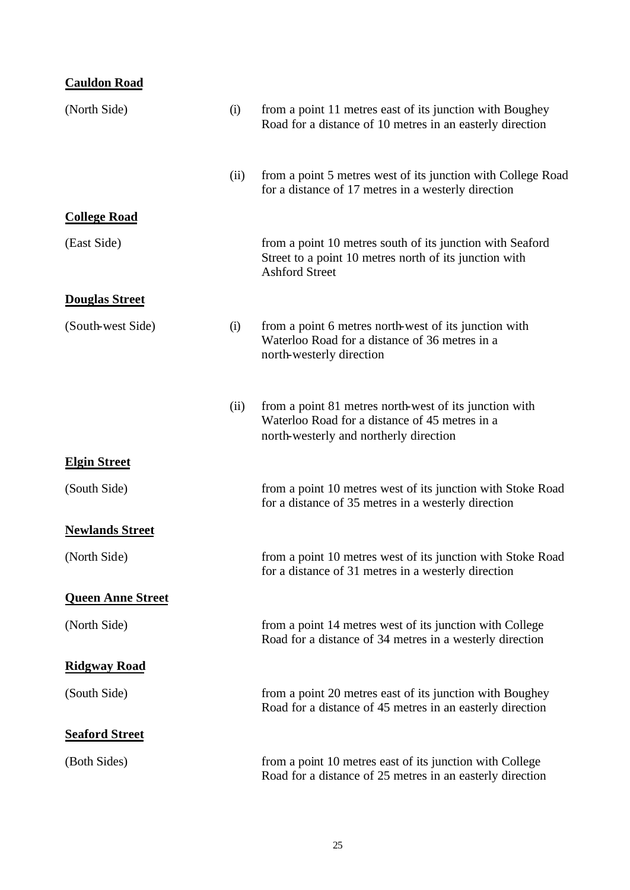| <b>Cauldon Road</b>      |      |                                                                                                                                                    |
|--------------------------|------|----------------------------------------------------------------------------------------------------------------------------------------------------|
| (North Side)             | (i)  | from a point 11 metres east of its junction with Boughey<br>Road for a distance of 10 metres in an easterly direction                              |
|                          | (ii) | from a point 5 metres west of its junction with College Road<br>for a distance of 17 metres in a westerly direction                                |
| <b>College Road</b>      |      |                                                                                                                                                    |
| (East Side)              |      | from a point 10 metres south of its junction with Seaford<br>Street to a point 10 metres north of its junction with<br><b>Ashford Street</b>       |
| <b>Douglas Street</b>    |      |                                                                                                                                                    |
| (South-west Side)        | (i)  | from a point 6 metres north-west of its junction with<br>Waterloo Road for a distance of 36 metres in a<br>north-westerly direction                |
|                          | (ii) | from a point 81 metres north-west of its junction with<br>Waterloo Road for a distance of 45 metres in a<br>north-westerly and northerly direction |
| <b>Elgin Street</b>      |      |                                                                                                                                                    |
| (South Side)             |      | from a point 10 metres west of its junction with Stoke Road<br>for a distance of 35 metres in a westerly direction                                 |
| <b>Newlands Street</b>   |      |                                                                                                                                                    |
| (North Side)             |      | from a point 10 metres west of its junction with Stoke Road<br>for a distance of 31 metres in a westerly direction                                 |
| <b>Queen Anne Street</b> |      |                                                                                                                                                    |
| (North Side)             |      | from a point 14 metres west of its junction with College<br>Road for a distance of 34 metres in a westerly direction                               |
| <b>Ridgway Road</b>      |      |                                                                                                                                                    |
| (South Side)             |      | from a point 20 metres east of its junction with Boughey<br>Road for a distance of 45 metres in an easterly direction                              |
| <b>Seaford Street</b>    |      |                                                                                                                                                    |
| (Both Sides)             |      | from a point 10 metres east of its junction with College<br>Road for a distance of 25 metres in an easterly direction                              |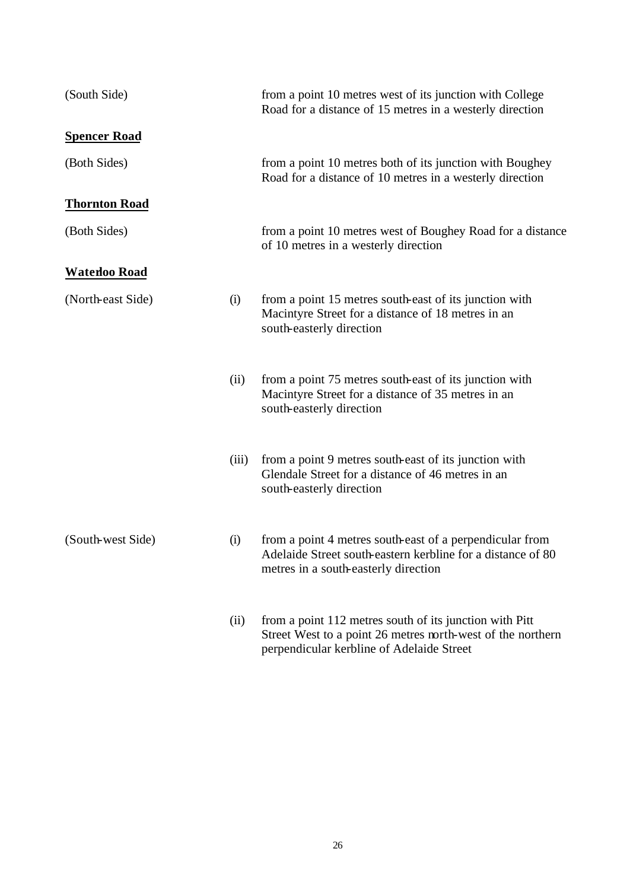| (South Side)         |       | from a point 10 metres west of its junction with College<br>Road for a distance of 15 metres in a westerly direction                                                |
|----------------------|-------|---------------------------------------------------------------------------------------------------------------------------------------------------------------------|
| <b>Spencer Road</b>  |       |                                                                                                                                                                     |
| (Both Sides)         |       | from a point 10 metres both of its junction with Boughey<br>Road for a distance of 10 metres in a westerly direction                                                |
| <b>Thornton Road</b> |       |                                                                                                                                                                     |
| (Both Sides)         |       | from a point 10 metres west of Boughey Road for a distance<br>of 10 metres in a westerly direction                                                                  |
| <b>Waterloo Road</b> |       |                                                                                                                                                                     |
| (North-east Side)    | (i)   | from a point 15 metres south-east of its junction with<br>Macintyre Street for a distance of 18 metres in an<br>south-easterly direction                            |
|                      | (ii)  | from a point 75 metres south-east of its junction with<br>Macintyre Street for a distance of 35 metres in an<br>south-easterly direction                            |
|                      | (iii) | from a point 9 metres south-east of its junction with<br>Glendale Street for a distance of 46 metres in an<br>south-easterly direction                              |
| (South-west Side)    | (i)   | from a point 4 metres south-east of a perpendicular from<br>Adelaide Street south-eastern kerbline for a distance of 80<br>metres in a south-easterly direction     |
|                      | (ii)  | from a point 112 metres south of its junction with Pitt<br>Street West to a point 26 metres north-west of the northern<br>perpendicular kerbline of Adelaide Street |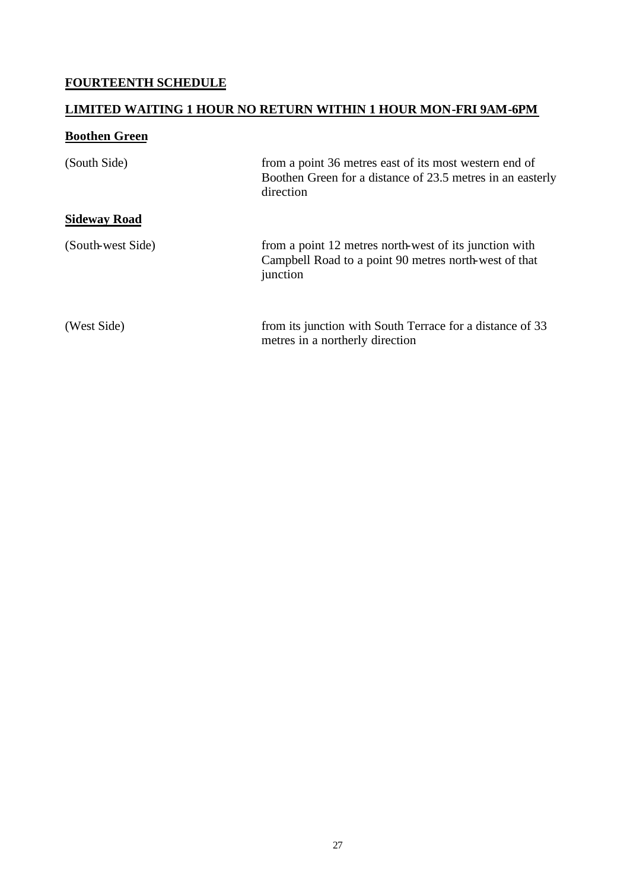## **FOURTEENTH SCHEDULE**

## **LIMITED WAITING 1 HOUR NO RETURN WITHIN 1 HOUR MON-FRI 9AM-6PM**

## **Boothen Green**

| (South Side)        | from a point 36 metres east of its most western end of<br>Boothen Green for a distance of 23.5 metres in an easterly<br>direction |
|---------------------|-----------------------------------------------------------------------------------------------------------------------------------|
| <b>Sideway Road</b> |                                                                                                                                   |
| (South-west Side)   | from a point 12 metres north-west of its junction with<br>Campbell Road to a point 90 metres north-west of that<br>junction       |
| (West Side)         | from its junction with South Terrace for a distance of 33<br>metres in a northerly direction                                      |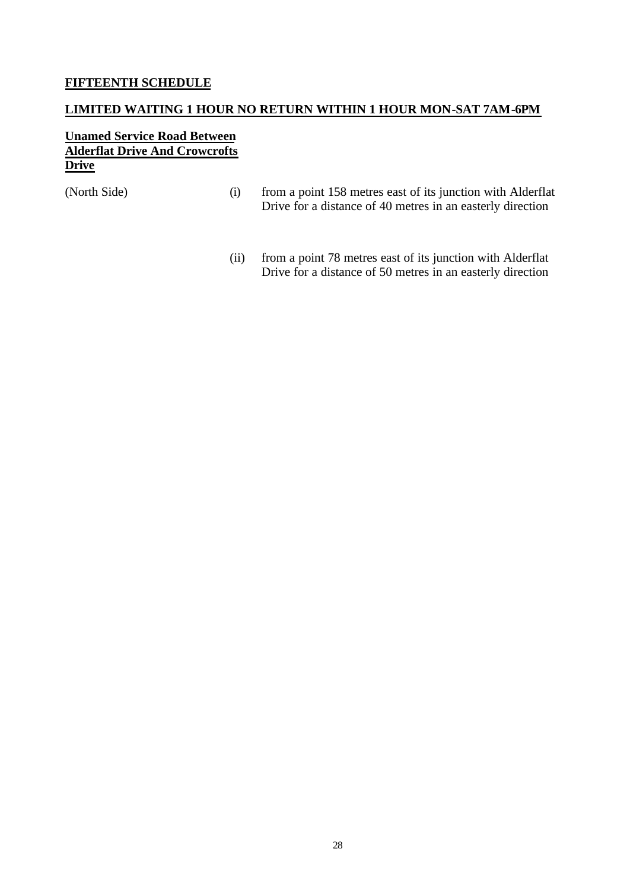#### **FIFTEENTH SCHEDULE**

#### **LIMITED WAITING 1 HOUR NO RETURN WITHIN 1 HOUR MON-SAT 7AM-6PM**

#### **Unamed Service Road Between Alderflat Drive And Crowcrofts Drive**

- (North Side) (i) from a point 158 metres east of its junction with Alderflat Drive for a distance of 40 metres in an easterly direction
	- (ii) from a point 78 metres east of its junction with Alderflat Drive for a distance of 50 metres in an easterly direction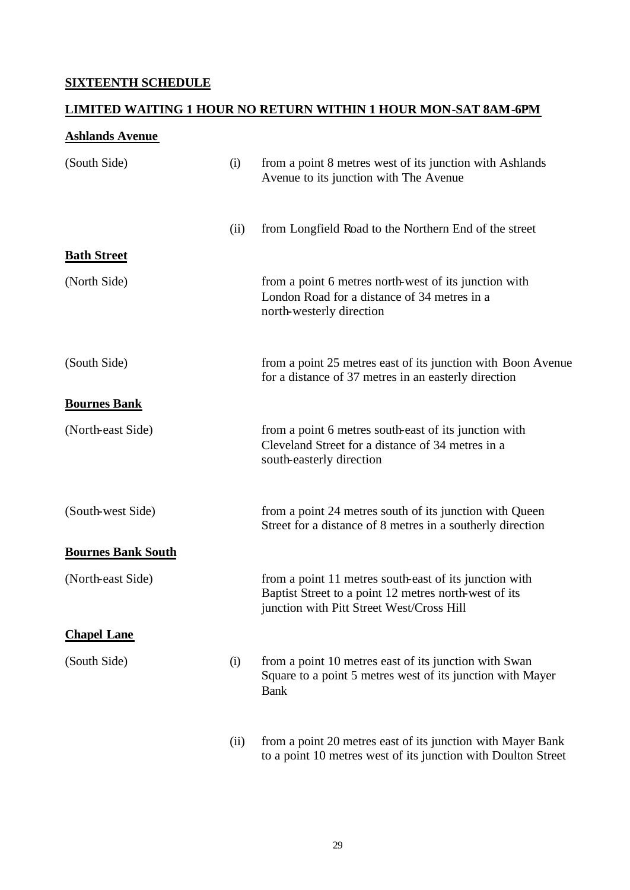## **SIXTEENTH SCHEDULE**

#### **LIMITED WAITING 1 HOUR NO RETURN WITHIN 1 HOUR MON-SAT 8AM-6PM**

#### **Ashlands Avenue**

| (South Side)              | (i)  | from a point 8 metres west of its junction with Ashlands<br>Avenue to its junction with The Avenue                                                           |
|---------------------------|------|--------------------------------------------------------------------------------------------------------------------------------------------------------------|
|                           | (ii) | from Longfield Road to the Northern End of the street                                                                                                        |
| <b>Bath Street</b>        |      |                                                                                                                                                              |
| (North Side)              |      | from a point 6 metres north-west of its junction with<br>London Road for a distance of 34 metres in a<br>north-westerly direction                            |
| (South Side)              |      | from a point 25 metres east of its junction with Boon Avenue<br>for a distance of 37 metres in an easterly direction                                         |
| <b>Bournes Bank</b>       |      |                                                                                                                                                              |
| (North-east Side)         |      | from a point 6 metres south-east of its junction with<br>Cleveland Street for a distance of 34 metres in a<br>south-easterly direction                       |
| (South-west Side)         |      | from a point 24 metres south of its junction with Queen<br>Street for a distance of 8 metres in a southerly direction                                        |
| <b>Bournes Bank South</b> |      |                                                                                                                                                              |
| (North-east Side)         |      | from a point 11 metres south-east of its junction with<br>Baptist Street to a point 12 metres north-west of its<br>junction with Pitt Street West/Cross Hill |
| <b>Chapel Lane</b>        |      |                                                                                                                                                              |
| (South Side)              | (i)  | from a point 10 metres east of its junction with Swan<br>Square to a point 5 metres west of its junction with Mayer<br><b>Bank</b>                           |
|                           | (ii) | from a point 20 metres east of its junction with Mayer Bank<br>to a point 10 metres west of its junction with Doulton Street                                 |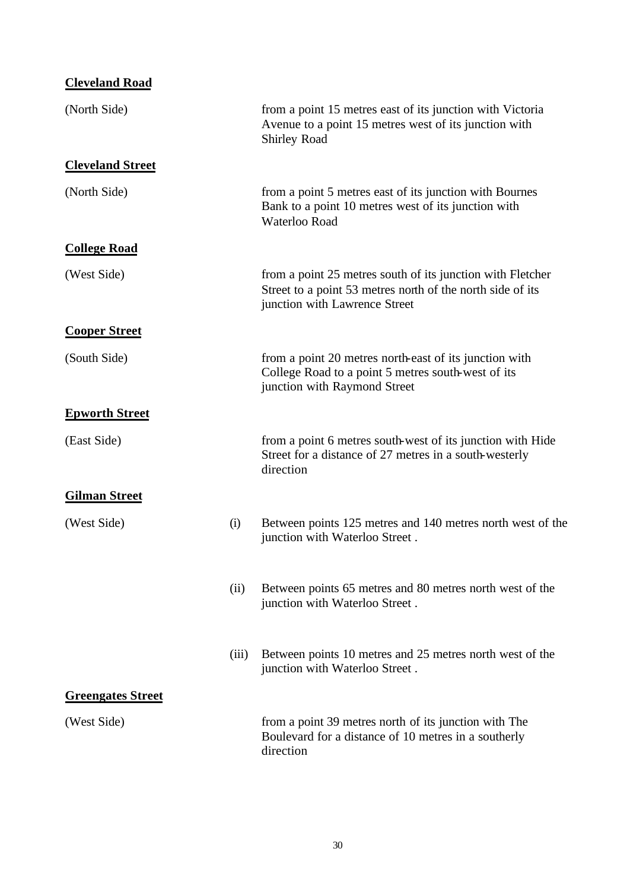| <b>Cleveland Road</b>    |       |                                                                                                                                                           |
|--------------------------|-------|-----------------------------------------------------------------------------------------------------------------------------------------------------------|
| (North Side)             |       | from a point 15 metres east of its junction with Victoria<br>Avenue to a point 15 metres west of its junction with<br><b>Shirley Road</b>                 |
| <b>Cleveland Street</b>  |       |                                                                                                                                                           |
| (North Side)             |       | from a point 5 metres east of its junction with Bournes<br>Bank to a point 10 metres west of its junction with<br>Waterloo Road                           |
| <b>College Road</b>      |       |                                                                                                                                                           |
| (West Side)              |       | from a point 25 metres south of its junction with Fletcher<br>Street to a point 53 metres north of the north side of its<br>junction with Lawrence Street |
| <b>Cooper Street</b>     |       |                                                                                                                                                           |
| (South Side)             |       | from a point 20 metres north-east of its junction with<br>College Road to a point 5 metres south-west of its<br>junction with Raymond Street              |
| <b>Epworth Street</b>    |       |                                                                                                                                                           |
| (East Side)              |       | from a point 6 metres south-west of its junction with Hide<br>Street for a distance of 27 metres in a south-westerly<br>direction                         |
| <b>Gilman Street</b>     |       |                                                                                                                                                           |
| (West Side)              | (i)   | Between points 125 metres and 140 metres north west of the<br>junction with Waterloo Street.                                                              |
|                          | (ii)  | Between points 65 metres and 80 metres north west of the<br>junction with Waterloo Street.                                                                |
|                          | (iii) | Between points 10 metres and 25 metres north west of the<br>junction with Waterloo Street.                                                                |
| <u>Greengates Street</u> |       |                                                                                                                                                           |
| (West Side)              |       | from a point 39 metres north of its junction with The<br>Boulevard for a distance of 10 metres in a southerly<br>direction                                |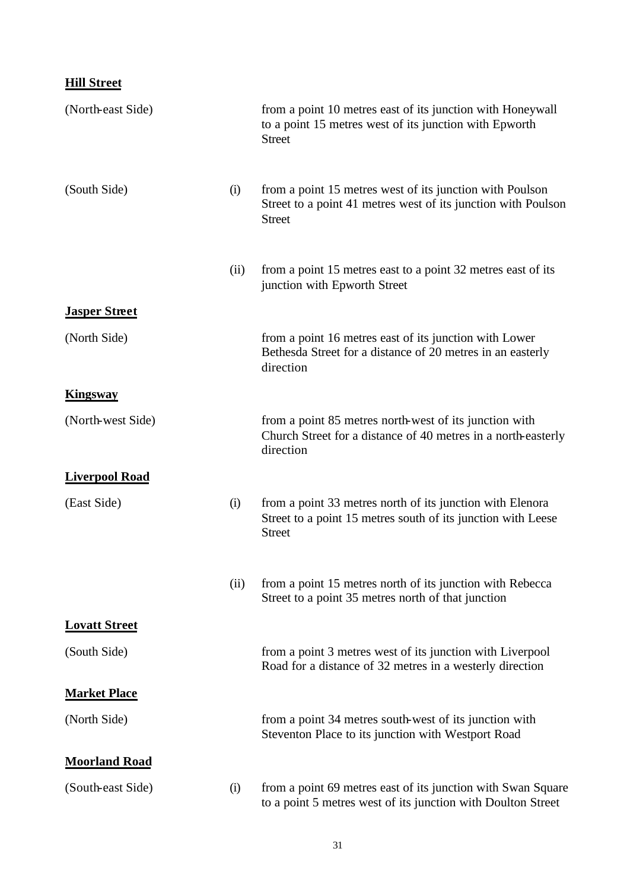# **Hill Street**

| (North-east Side)     |      | from a point 10 metres east of its junction with Honeywall<br>to a point 15 metres west of its junction with Epworth<br><b>Street</b>      |
|-----------------------|------|--------------------------------------------------------------------------------------------------------------------------------------------|
| (South Side)          | (i)  | from a point 15 metres west of its junction with Poulson<br>Street to a point 41 metres west of its junction with Poulson<br><b>Street</b> |
|                       | (ii) | from a point 15 metres east to a point 32 metres east of its<br>junction with Epworth Street                                               |
| <b>Jasper Street</b>  |      |                                                                                                                                            |
| (North Side)          |      | from a point 16 metres east of its junction with Lower<br>Bethesda Street for a distance of 20 metres in an easterly<br>direction          |
| <b>Kingsway</b>       |      |                                                                                                                                            |
| (North-west Side)     |      | from a point 85 metres north-west of its junction with<br>Church Street for a distance of 40 metres in a north-easterly<br>direction       |
| <b>Liverpool Road</b> |      |                                                                                                                                            |
| (East Side)           | (i)  | from a point 33 metres north of its junction with Elenora<br>Street to a point 15 metres south of its junction with Leese<br><b>Street</b> |
|                       | (ii) | from a point 15 metres north of its junction with Rebecca<br>Street to a point 35 metres north of that junction                            |
| <b>Lovatt Street</b>  |      |                                                                                                                                            |
| (South Side)          |      | from a point 3 metres west of its junction with Liverpool<br>Road for a distance of 32 metres in a westerly direction                      |
| <b>Market Place</b>   |      |                                                                                                                                            |
| (North Side)          |      | from a point 34 metres south-west of its junction with<br>Steventon Place to its junction with Westport Road                               |
| <b>Moorland Road</b>  |      |                                                                                                                                            |
| (South-east Side)     | (i)  | from a point 69 metres east of its junction with Swan Square<br>to a point 5 metres west of its junction with Doulton Street               |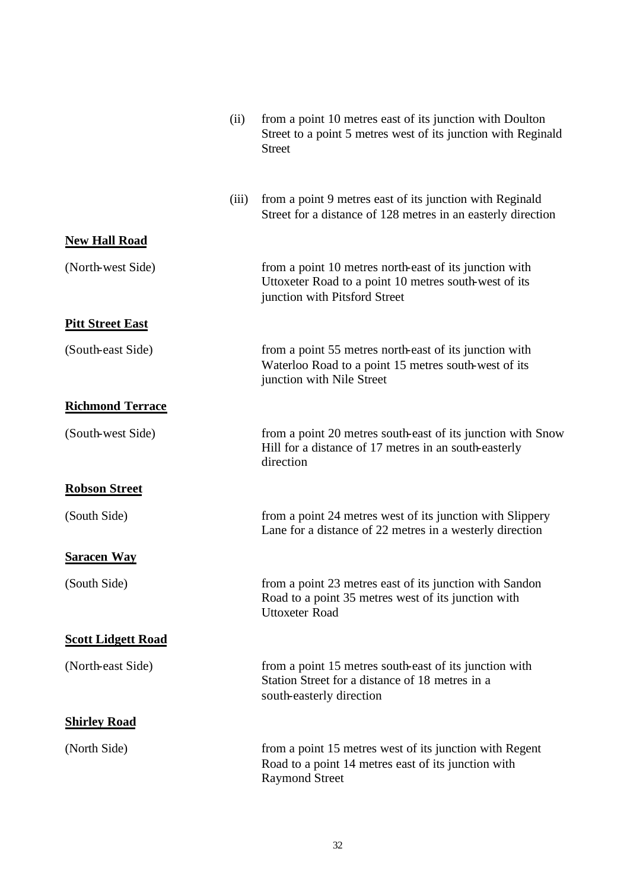|                           | (ii)  | from a point 10 metres east of its junction with Doulton<br>Street to a point 5 metres west of its junction with Reginald<br><b>Street</b>       |
|---------------------------|-------|--------------------------------------------------------------------------------------------------------------------------------------------------|
|                           | (iii) | from a point 9 metres east of its junction with Reginald<br>Street for a distance of 128 metres in an easterly direction                         |
| <b>New Hall Road</b>      |       |                                                                                                                                                  |
| (North-west Side)         |       | from a point 10 metres north-east of its junction with<br>Uttoxeter Road to a point 10 metres south-west of its<br>junction with Pitsford Street |
| <b>Pitt Street East</b>   |       |                                                                                                                                                  |
| (South-east Side)         |       | from a point 55 metres north-east of its junction with<br>Waterloo Road to a point 15 metres south-west of its<br>junction with Nile Street      |
| <b>Richmond Terrace</b>   |       |                                                                                                                                                  |
| (South-west Side)         |       | from a point 20 metres south-east of its junction with Snow<br>Hill for a distance of 17 metres in an south-easterly<br>direction                |
| <b>Robson Street</b>      |       |                                                                                                                                                  |
| (South Side)              |       | from a point 24 metres west of its junction with Slippery<br>Lane for a distance of 22 metres in a westerly direction                            |
| <b>Saracen Way</b>        |       |                                                                                                                                                  |
| (South Side)              |       | from a point 23 metres east of its junction with Sandon<br>Road to a point 35 metres west of its junction with<br><b>Uttoxeter Road</b>          |
| <b>Scott Lidgett Road</b> |       |                                                                                                                                                  |
| (North-east Side)         |       | from a point 15 metres south-east of its junction with<br>Station Street for a distance of 18 metres in a<br>south-easterly direction            |
| <b>Shirley Road</b>       |       |                                                                                                                                                  |
| (North Side)              |       | from a point 15 metres west of its junction with Regent<br>Road to a point 14 metres east of its junction with<br><b>Raymond Street</b>          |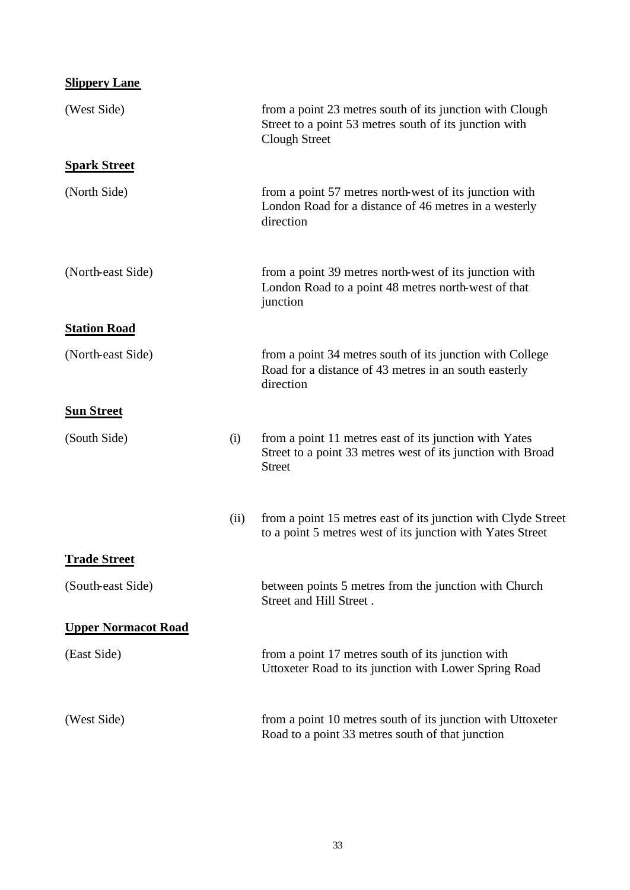| <b>Slippery Lane</b>       |      |                                                                                                                                            |
|----------------------------|------|--------------------------------------------------------------------------------------------------------------------------------------------|
| (West Side)                |      | from a point 23 metres south of its junction with Clough<br>Street to a point 53 metres south of its junction with<br><b>Clough Street</b> |
| <b>Spark Street</b>        |      |                                                                                                                                            |
| (North Side)               |      | from a point 57 metres north-west of its junction with<br>London Road for a distance of 46 metres in a westerly<br>direction               |
| (North-east Side)          |      | from a point 39 metres north-west of its junction with<br>London Road to a point 48 metres north-west of that<br>junction                  |
| <b>Station Road</b>        |      |                                                                                                                                            |
| (North-east Side)          |      | from a point 34 metres south of its junction with College<br>Road for a distance of 43 metres in an south easterly<br>direction            |
| <b>Sun Street</b>          |      |                                                                                                                                            |
| (South Side)               | (i)  | from a point 11 metres east of its junction with Yates<br>Street to a point 33 metres west of its junction with Broad<br><b>Street</b>     |
|                            | (ii) | from a point 15 metres east of its junction with Clyde Street<br>to a point 5 metres west of its junction with Yates Street                |
| <b>Trade Street</b>        |      |                                                                                                                                            |
| (South-east Side)          |      | between points 5 metres from the junction with Church<br>Street and Hill Street.                                                           |
| <b>Upper Normacot Road</b> |      |                                                                                                                                            |
| (East Side)                |      | from a point 17 metres south of its junction with<br>Uttoxeter Road to its junction with Lower Spring Road                                 |
| (West Side)                |      | from a point 10 metres south of its junction with Uttoxeter<br>Road to a point 33 metres south of that junction                            |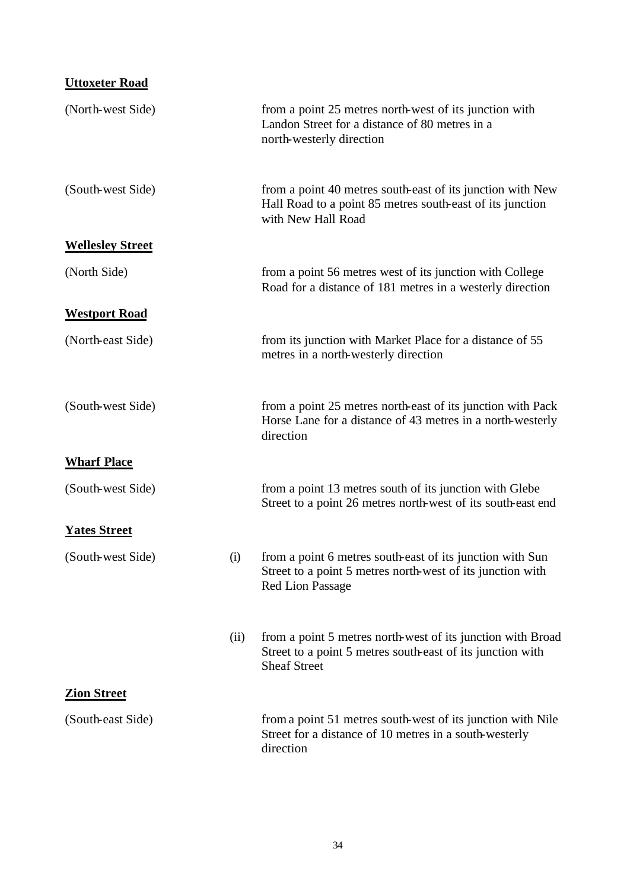# **Uttoxeter Road**

| (North-west Side)       |      | from a point 25 metres north-west of its junction with<br>Landon Street for a distance of 80 metres in a<br>north-westerly direction               |
|-------------------------|------|----------------------------------------------------------------------------------------------------------------------------------------------------|
| (South-west Side)       |      | from a point 40 metres south-east of its junction with New<br>Hall Road to a point 85 metres south-east of its junction<br>with New Hall Road      |
| <b>Wellesley Street</b> |      |                                                                                                                                                    |
| (North Side)            |      | from a point 56 metres west of its junction with College<br>Road for a distance of 181 metres in a westerly direction                              |
| <b>Westport Road</b>    |      |                                                                                                                                                    |
| (North-east Side)       |      | from its junction with Market Place for a distance of 55<br>metres in a north-westerly direction                                                   |
| (South-west Side)       |      | from a point 25 metres north-east of its junction with Pack<br>Horse Lane for a distance of 43 metres in a north-westerly<br>direction             |
| <b>Wharf Place</b>      |      |                                                                                                                                                    |
| (South-west Side)       |      | from a point 13 metres south of its junction with Glebe<br>Street to a point 26 metres north-west of its south-east end                            |
| <b>Yates Street</b>     |      |                                                                                                                                                    |
| (South-west Side)       | (i)  | from a point 6 metres south-east of its junction with Sun<br>Street to a point 5 metres north-west of its junction with<br><b>Red Lion Passage</b> |
|                         | (ii) | from a point 5 metres north-west of its junction with Broad<br>Street to a point 5 metres south-east of its junction with<br><b>Sheaf Street</b>   |
| <b>Zion Street</b>      |      |                                                                                                                                                    |
| (South-east Side)       |      | from a point 51 metres south-west of its junction with Nile<br>Street for a distance of 10 metres in a south-westerly<br>direction                 |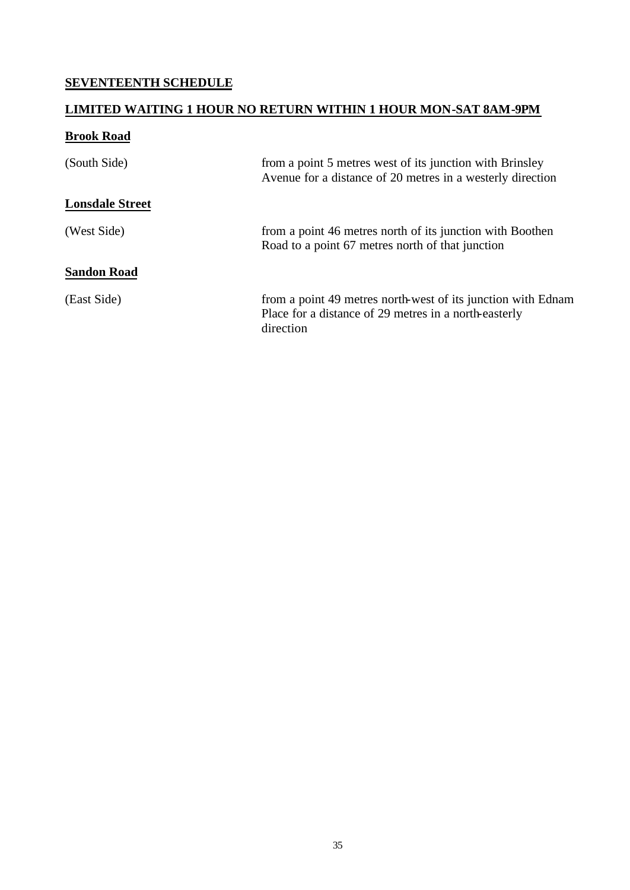## **SEVENTEENTH SCHEDULE**

## **LIMITED WAITING 1 HOUR NO RETURN WITHIN 1 HOUR MON-SAT 8AM-9PM**

## **Brook Road**

| (South Side)           | from a point 5 metres west of its junction with Brinsley<br>Avenue for a distance of 20 metres in a westerly direction             |
|------------------------|------------------------------------------------------------------------------------------------------------------------------------|
| <b>Lonsdale Street</b> |                                                                                                                                    |
| (West Side)            | from a point 46 metres north of its junction with Boothen<br>Road to a point 67 metres north of that junction                      |
| <b>Sandon Road</b>     |                                                                                                                                    |
| (East Side)            | from a point 49 metres north-west of its junction with Ednam<br>Place for a distance of 29 metres in a north-easterly<br>direction |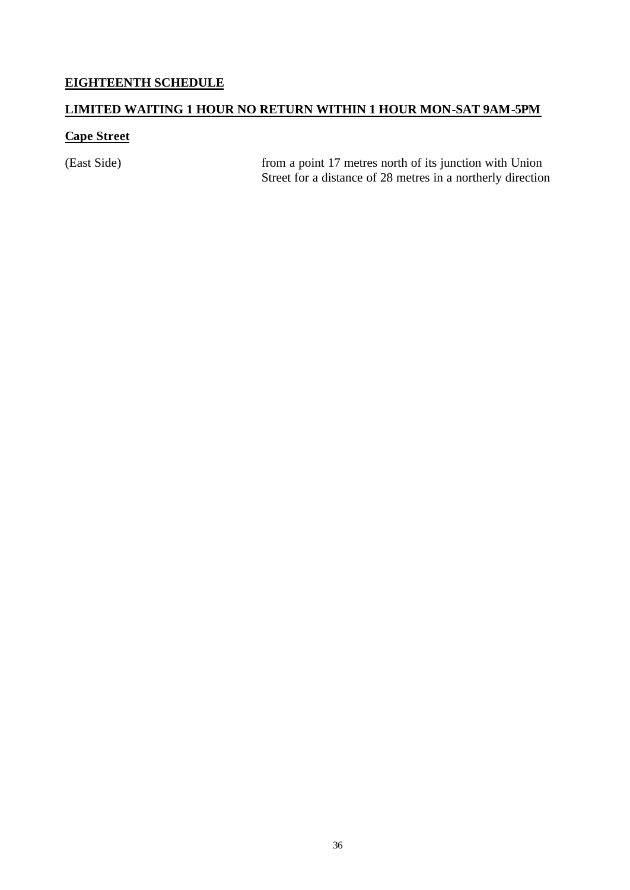## **EIGHTEENTH SCHEDULE**

## **LIMITED WAITING 1 HOUR NO RETURN WITHIN 1 HOUR MON-SAT 9AM-5PM**

## **Cape Street**

(East Side) from a point 17 metres north of its junction with Union Street for a distance of 28 metres in a northerly direction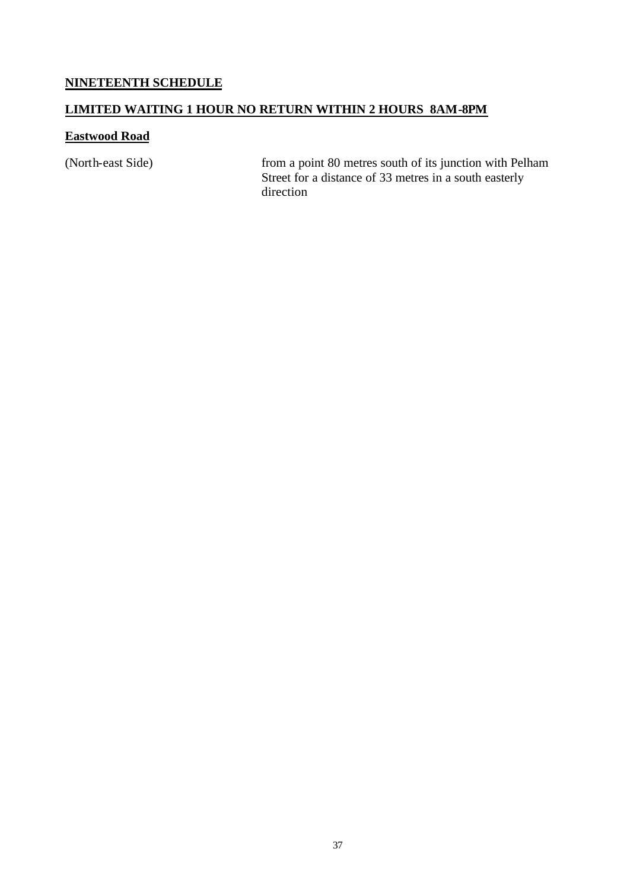## **NINETEENTH SCHEDULE**

#### **LIMITED WAITING 1 HOUR NO RETURN WITHIN 2 HOURS 8AM-8PM**

#### **Eastwood Road**

(North-east Side) from a point 80 metres south of its junction with Pelham Street for a distance of 33 metres in a south easterly direction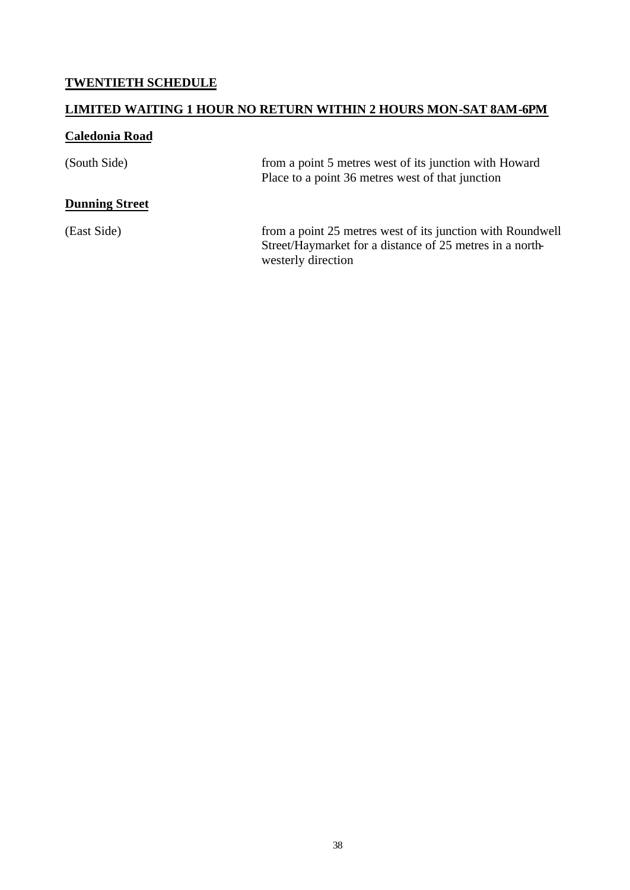## **TWENTIETH SCHEDULE**

## **LIMITED WAITING 1 HOUR NO RETURN WITHIN 2 HOURS MON-SAT 8AM-6PM**

## **Caledonia Road**

| (South Side)          | from a point 5 metres west of its junction with Howard<br>Place to a point 36 metres west of that junction                                   |
|-----------------------|----------------------------------------------------------------------------------------------------------------------------------------------|
| <b>Dunning Street</b> |                                                                                                                                              |
| (East Side)           | from a point 25 metres west of its junction with Roundwell<br>Street/Haymarket for a distance of 25 metres in a north-<br>westerly direction |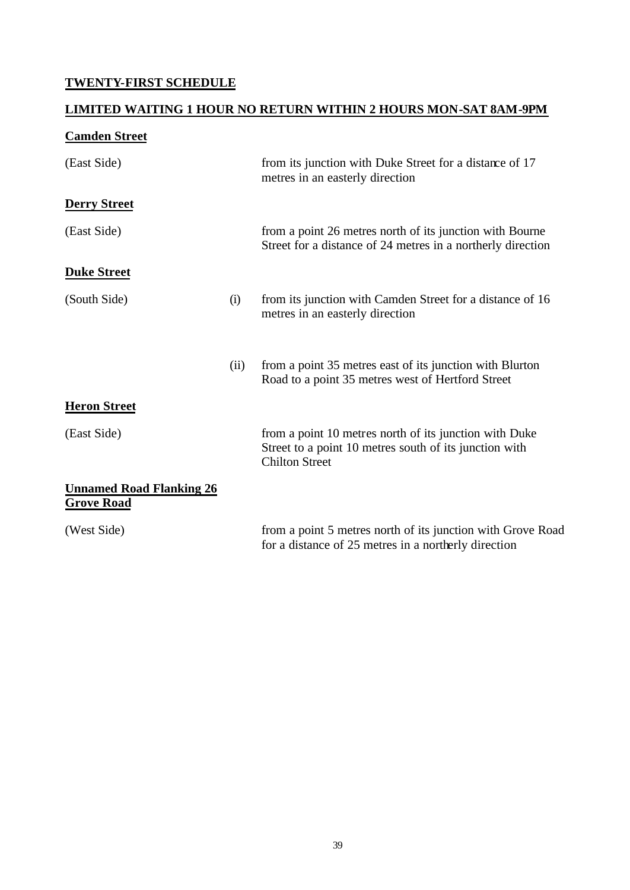## **TWENTY-FIRST SCHEDULE**

## **LIMITED WAITING 1 HOUR NO RETURN WITHIN 2 HOURS MON-SAT 8AM-9PM**

## **Camden Street**

| (East Side)                                          |      | from its junction with Duke Street for a distance of 17<br>metres in an easterly direction                                                |
|------------------------------------------------------|------|-------------------------------------------------------------------------------------------------------------------------------------------|
| <b>Derry Street</b>                                  |      |                                                                                                                                           |
| (East Side)                                          |      | from a point 26 metres north of its junction with Bourne<br>Street for a distance of 24 metres in a northerly direction                   |
| <b>Duke Street</b>                                   |      |                                                                                                                                           |
| (South Side)                                         | (i)  | from its junction with Camden Street for a distance of 16<br>metres in an easterly direction                                              |
|                                                      | (ii) | from a point 35 metres east of its junction with Blurton<br>Road to a point 35 metres west of Hertford Street                             |
| <b>Heron Street</b>                                  |      |                                                                                                                                           |
| (East Side)                                          |      | from a point 10 metres north of its junction with Duke<br>Street to a point 10 metres south of its junction with<br><b>Chilton Street</b> |
| <b>Unnamed Road Flanking 26</b><br><b>Grove Road</b> |      |                                                                                                                                           |
| (West Side)                                          |      | from a point 5 metres north of its junction with Grove Road<br>for a distance of 25 metres in a northerly direction                       |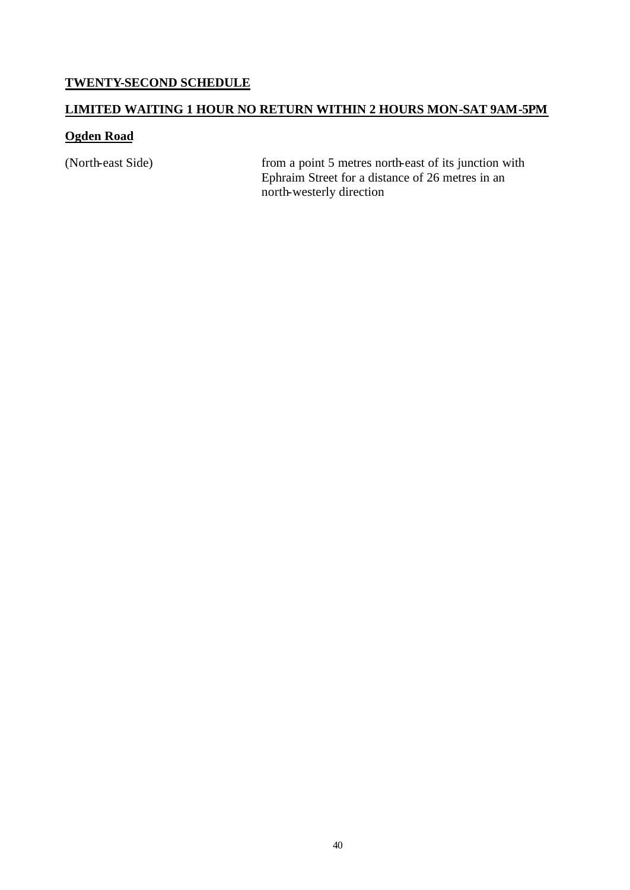#### **TWENTY-SECOND SCHEDULE**

## **LIMITED WAITING 1 HOUR NO RETURN WITHIN 2 HOURS MON-SAT 9AM-5PM**

#### **Ogden Road**

(North-east Side) from a point 5 metres north-east of its junction with Ephraim Street for a distance of 26 metres in an north-westerly direction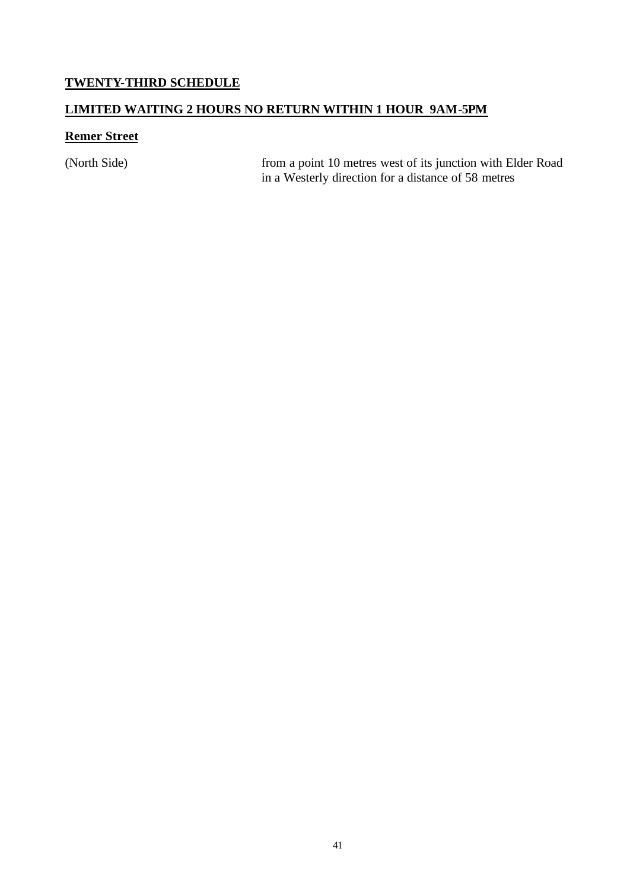## **TWENTY-THIRD SCHEDULE**

#### **LIMITED WAITING 2 HOURS NO RETURN WITHIN 1 HOUR 9AM-5PM**

#### **Remer Street**

(North Side) from a point 10 metres west of its junction with Elder Road in a Westerly direction for a distance of 58 metres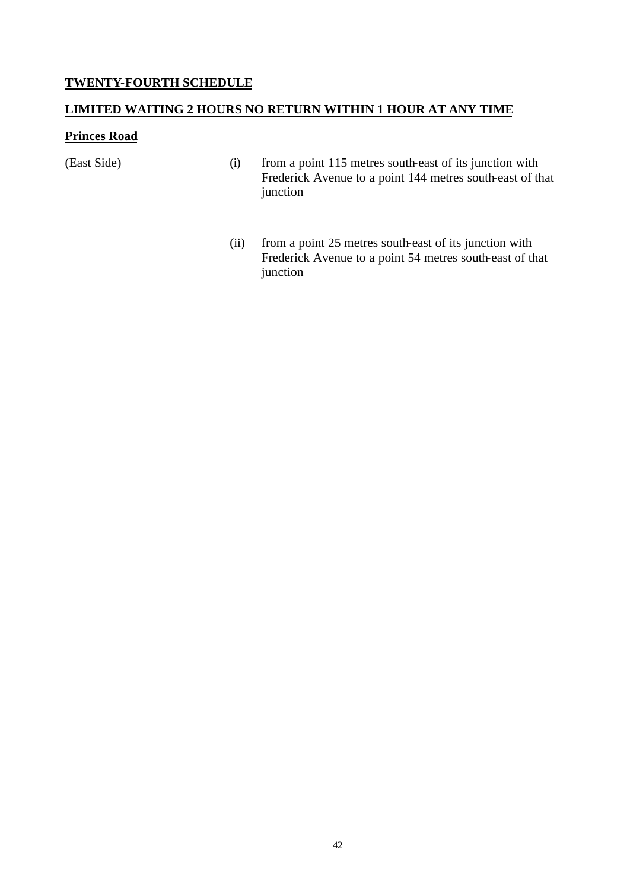#### **TWENTY-FOURTH SCHEDULE**

#### **LIMITED WAITING 2 HOURS NO RETURN WITHIN 1 HOUR AT ANY TIME**

#### **Princes Road**

(East Side) (i) from a point 115 metres south-east of its junction with Frederick Avenue to a point 144 metres south-east of that junction

> (ii) from a point 25 metres south-east of its junction with Frederick Avenue to a point 54 metres south-east of that junction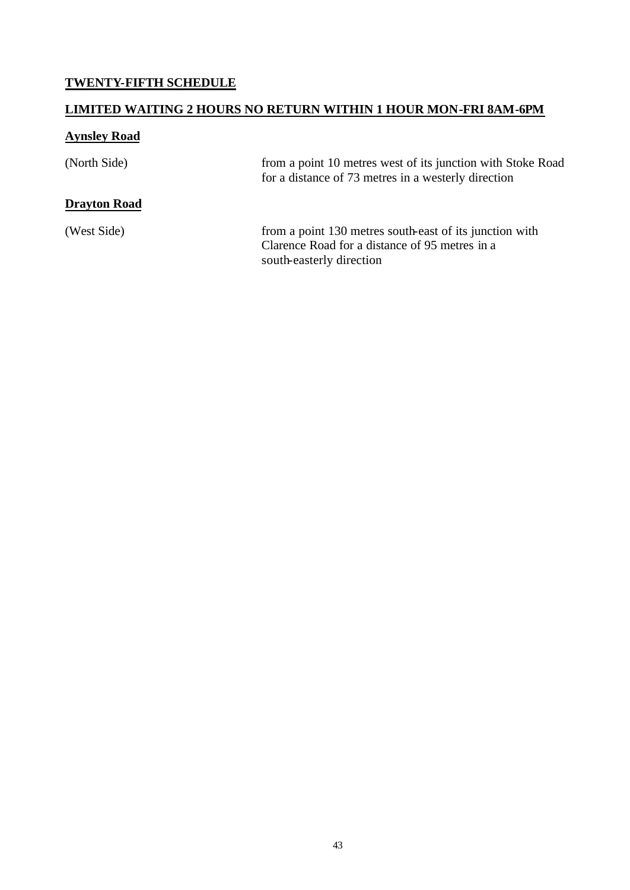## **TWENTY-FIFTH SCHEDULE**

## **LIMITED WAITING 2 HOURS NO RETURN WITHIN 1 HOUR MON-FRI 8AM-6PM**

# **Aynsley Road**

| (North Side)        | from a point 10 metres west of its junction with Stoke Road<br>for a distance of 73 metres in a westerly direction                    |
|---------------------|---------------------------------------------------------------------------------------------------------------------------------------|
| <b>Drayton Road</b> |                                                                                                                                       |
| (West Side)         | from a point 130 metres south-east of its junction with<br>Clarence Road for a distance of 95 metres in a<br>south-easterly direction |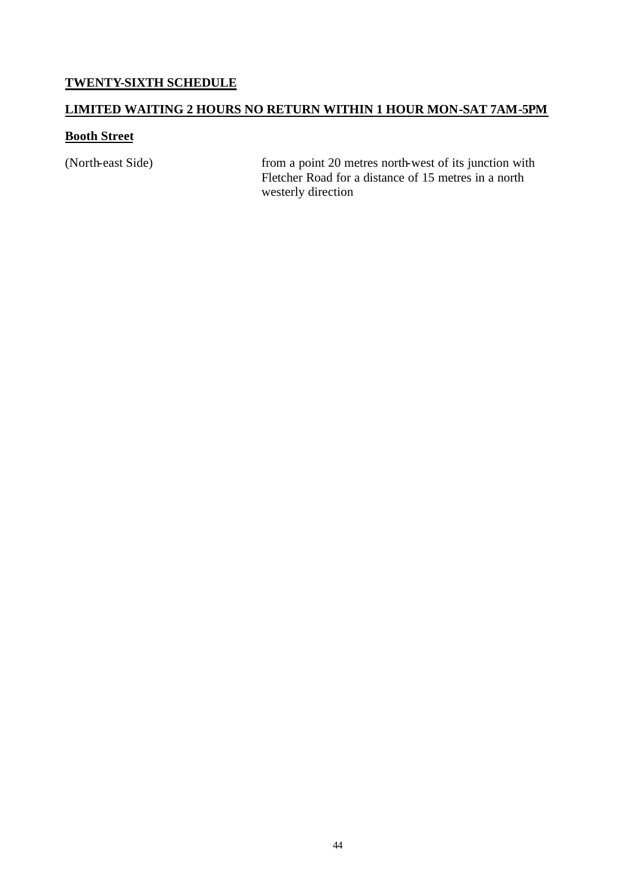#### **TWENTY-SIXTH SCHEDULE**

#### **LIMITED WAITING 2 HOURS NO RETURN WITHIN 1 HOUR MON-SAT 7AM-5PM**

#### **Booth Street**

(North-east Side) from a point 20 metres north-west of its junction with Fletcher Road for a distance of 15 metres in a north westerly direction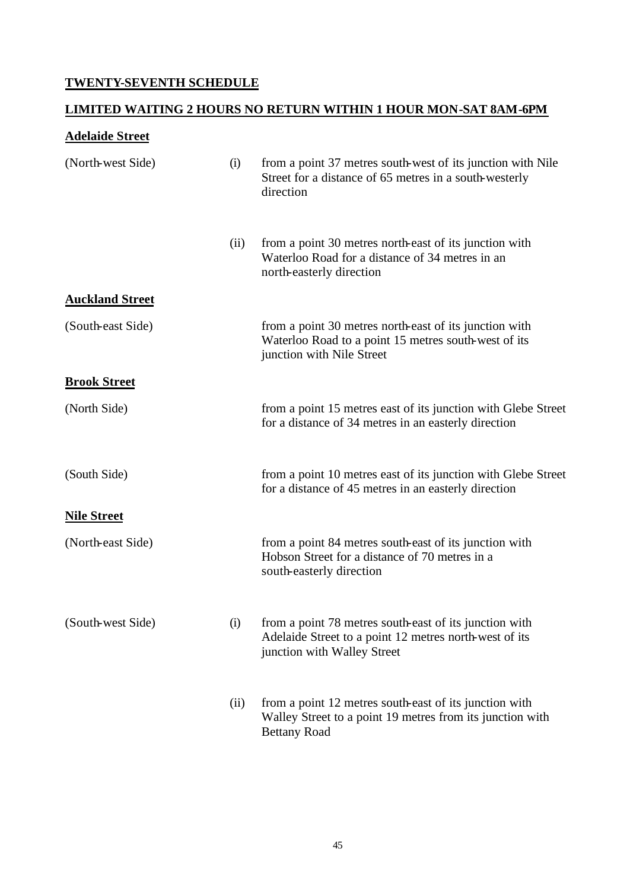## **TWENTY-SEVENTH SCHEDULE**

## **LIMITED WAITING 2 HOURS NO RETURN WITHIN 1 HOUR MON-SAT 8AM-6PM**

# **Adelaide Street**

| (North-west Side)      | (i)  | from a point 37 metres south-west of its junction with Nile<br>Street for a distance of 65 metres in a south-westerly<br>direction              |
|------------------------|------|-------------------------------------------------------------------------------------------------------------------------------------------------|
|                        | (ii) | from a point 30 metres north-east of its junction with<br>Waterloo Road for a distance of 34 metres in an<br>north-easterly direction           |
| <b>Auckland Street</b> |      |                                                                                                                                                 |
| (South-east Side)      |      | from a point 30 metres north-east of its junction with<br>Waterloo Road to a point 15 metres south-west of its<br>junction with Nile Street     |
| <b>Brook Street</b>    |      |                                                                                                                                                 |
| (North Side)           |      | from a point 15 metres east of its junction with Glebe Street<br>for a distance of 34 metres in an easterly direction                           |
| (South Side)           |      | from a point 10 metres east of its junction with Glebe Street<br>for a distance of 45 metres in an easterly direction                           |
| <b>Nile Street</b>     |      |                                                                                                                                                 |
| (North-east Side)      |      | from a point 84 metres south-east of its junction with<br>Hobson Street for a distance of 70 metres in a<br>south-easterly direction            |
| (South-west Side)      | (i)  | from a point 78 metres south-east of its junction with<br>Adelaide Street to a point 12 metres north-west of its<br>junction with Walley Street |
|                        | (ii) | from a point 12 metres south-east of its junction with<br>Walley Street to a point 19 metres from its junction with<br><b>Bettany Road</b>      |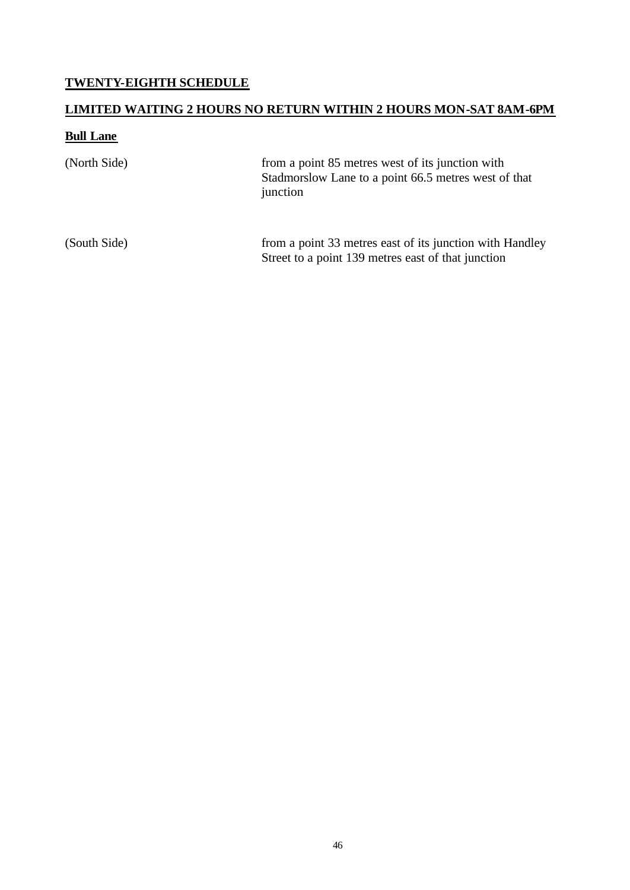## **TWENTY-EIGHTH SCHEDULE**

# **LIMITED WAITING 2 HOURS NO RETURN WITHIN 2 HOURS MON-SAT 8AM-6PM**

#### **Bull Lane**

| (North Side) | from a point 85 metres west of its junction with<br>Stadmorslow Lane to a point 66.5 metres west of that<br>junction |
|--------------|----------------------------------------------------------------------------------------------------------------------|
| (South Side) | from a point 33 metres east of its junction with Handley<br>Street to a point 139 metres east of that junction       |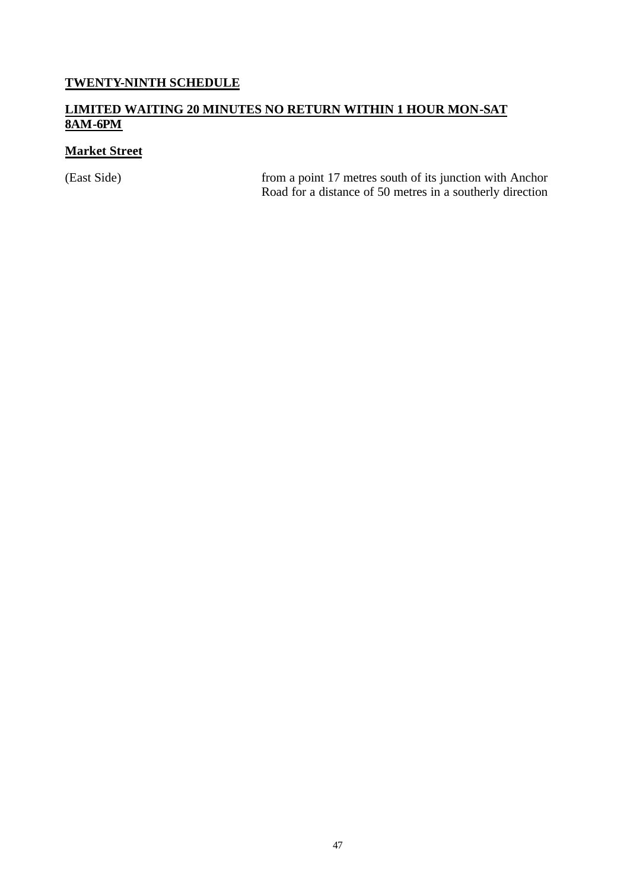## **TWENTY-NINTH SCHEDULE**

#### **LIMITED WAITING 20 MINUTES NO RETURN WITHIN 1 HOUR MON-SAT 8AM-6PM**

## **Market Street**

(East Side) from a point 17 metres south of its junction with Anchor Road for a distance of 50 metres in a southerly direction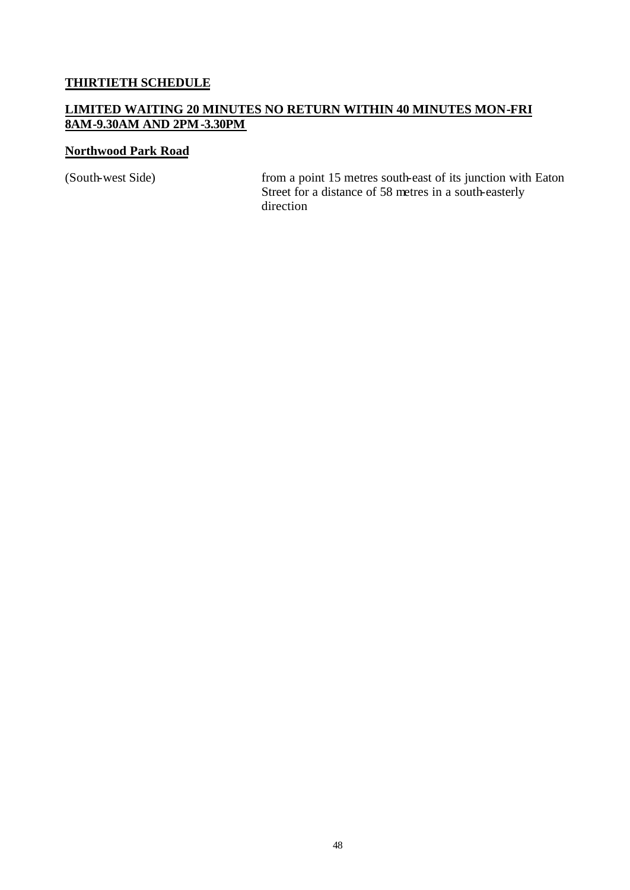#### **THIRTIETH SCHEDULE**

#### **LIMITED WAITING 20 MINUTES NO RETURN WITHIN 40 MINUTES MON-FRI 8AM-9.30AM AND 2PM-3.30PM**

#### **Northwood Park Road**

(South-west Side) from a point 15 metres south-east of its junction with Eaton Street for a distance of 58 metres in a south-easterly direction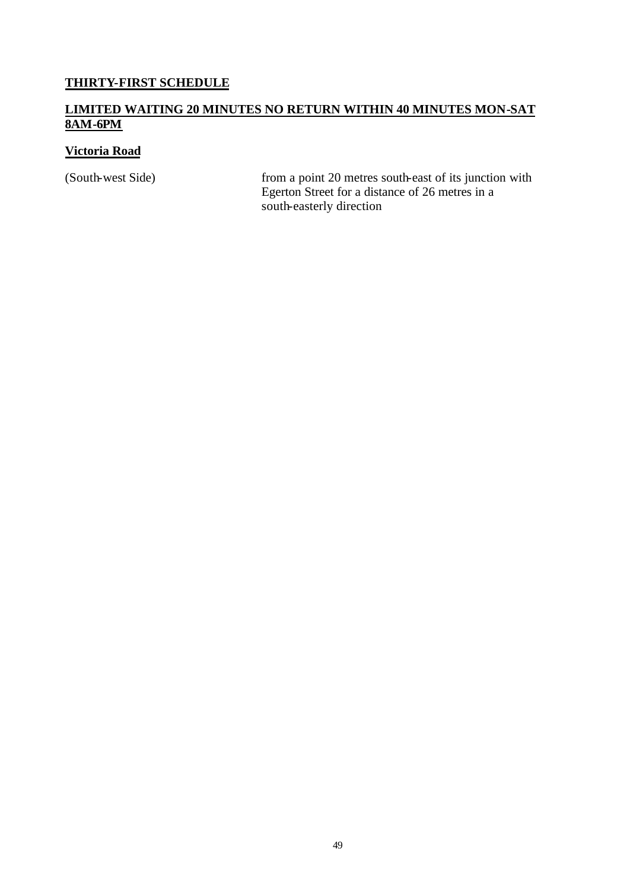## **THIRTY-FIRST SCHEDULE**

#### **LIMITED WAITING 20 MINUTES NO RETURN WITHIN 40 MINUTES MON-SAT 8AM-6PM**

#### **Victoria Road**

(South-west Side) from a point 20 metres south-east of its junction with Egerton Street for a distance of 26 metres in a south-easterly direction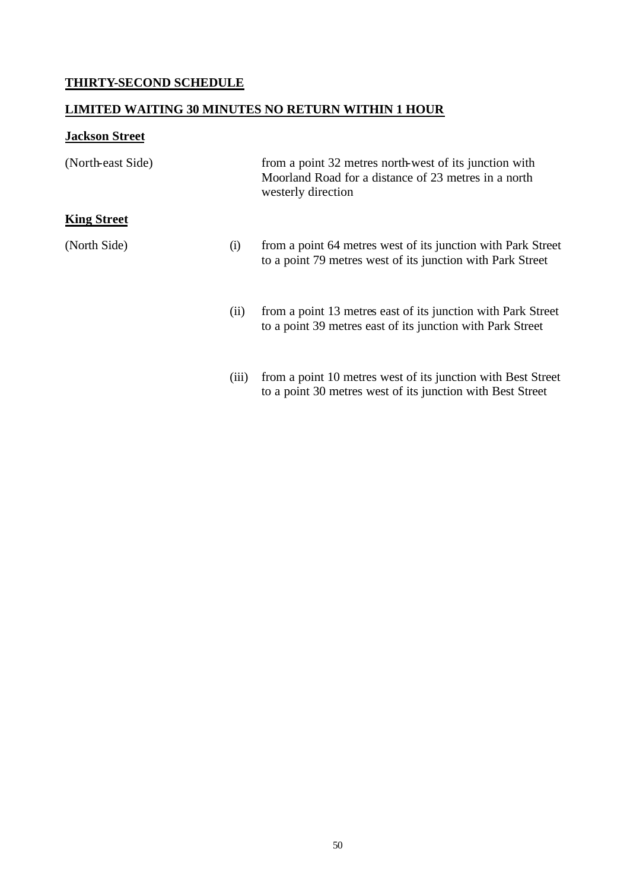## **THIRTY-SECOND SCHEDULE**

## **LIMITED WAITING 30 MINUTES NO RETURN WITHIN 1 HOUR**

# **Jackson Street**

| (North-east Side)  |       | from a point 32 metres north-west of its junction with<br>Moorland Road for a distance of 23 metres in a north<br>westerly direction |
|--------------------|-------|--------------------------------------------------------------------------------------------------------------------------------------|
| <b>King Street</b> |       |                                                                                                                                      |
| (North Side)       | (i)   | from a point 64 metres west of its junction with Park Street<br>to a point 79 metres west of its junction with Park Street           |
|                    | (ii)  | from a point 13 metres east of its junction with Park Street<br>to a point 39 metres east of its junction with Park Street           |
|                    | (iii) | from a point 10 metres west of its junction with Best Street<br>to a point 30 metres west of its junction with Best Street           |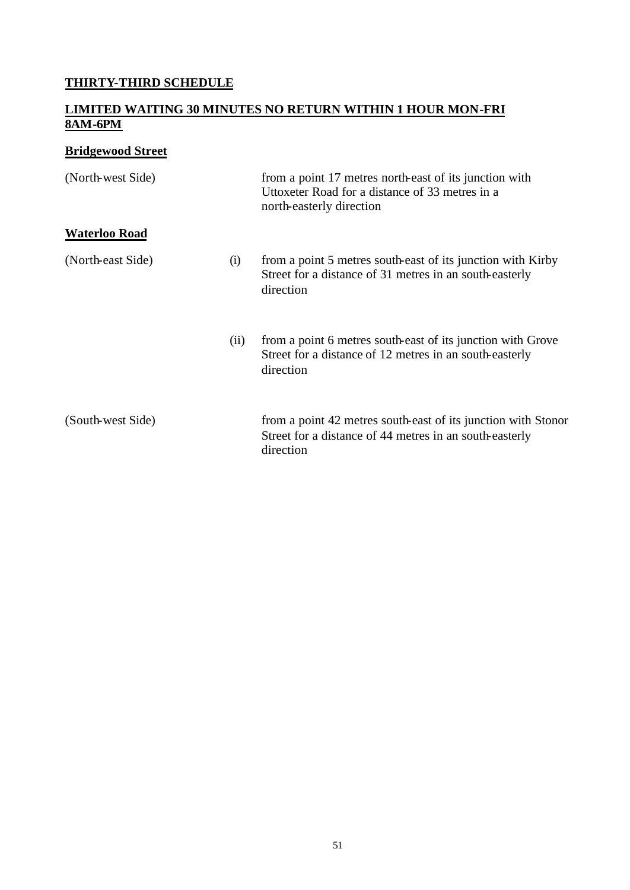## **THIRTY-THIRD SCHEDULE**

#### **LIMITED WAITING 30 MINUTES NO RETURN WITHIN 1 HOUR MON-FRI 8AM-6PM**

## **Bridgewood Street**

| (North-west Side)    |      | from a point 17 metres north-east of its junction with<br>Uttoxeter Road for a distance of 33 metres in a<br>north-easterly direction |
|----------------------|------|---------------------------------------------------------------------------------------------------------------------------------------|
| <b>Waterloo Road</b> |      |                                                                                                                                       |
| (North-east Side)    | (i)  | from a point 5 metres south-east of its junction with Kirby<br>Street for a distance of 31 metres in an south-easterly<br>direction   |
|                      | (ii) | from a point 6 metres south-east of its junction with Grove<br>Street for a distance of 12 metres in an south-easterly<br>direction   |
| (South-west Side)    |      | from a point 42 metres south-east of its junction with Stonor<br>Street for a distance of 44 metres in an south-easterly<br>direction |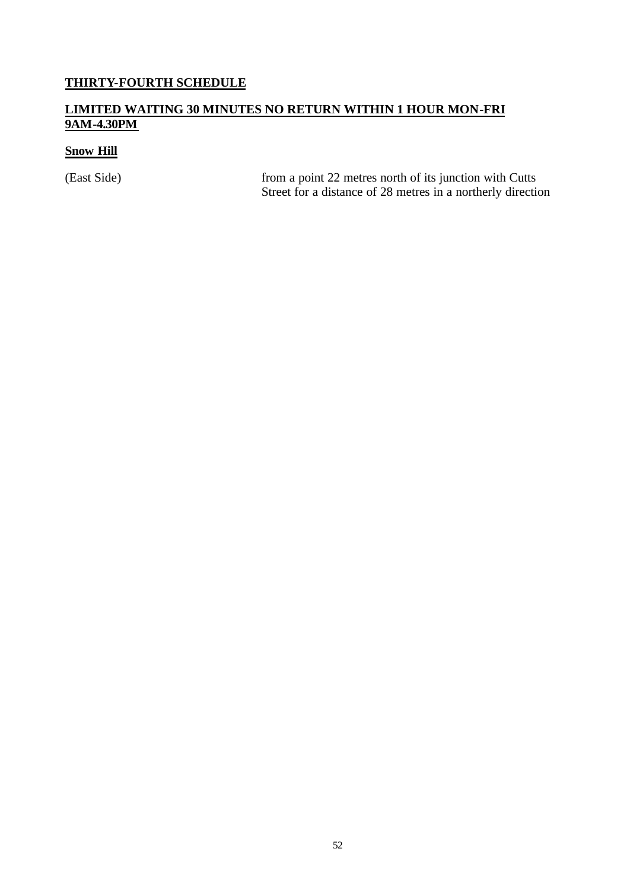# **THIRTY-FOURTH SCHEDULE**

#### **LIMITED WAITING 30 MINUTES NO RETURN WITHIN 1 HOUR MON-FRI 9AM-4.30PM**

#### **Snow Hill**

(East Side) from a point 22 metres north of its junction with Cutts Street for a distance of 28 metres in a northerly direction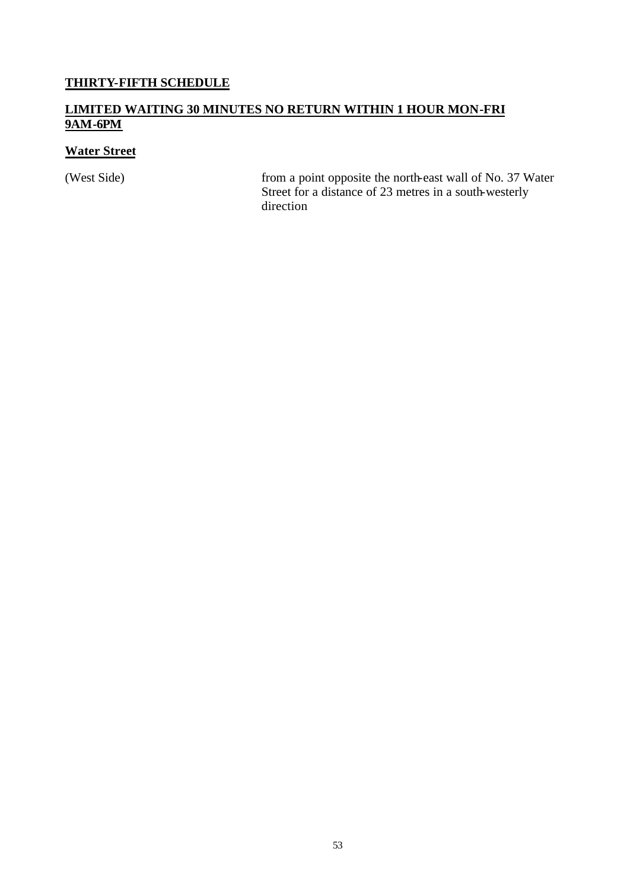## **THIRTY-FIFTH SCHEDULE**

#### **LIMITED WAITING 30 MINUTES NO RETURN WITHIN 1 HOUR MON-FRI 9AM-6PM**

## **Water Street**

(West Side) from a point opposite the north-east wall of No. 37 Water Street for a distance of 23 metres in a south-westerly direction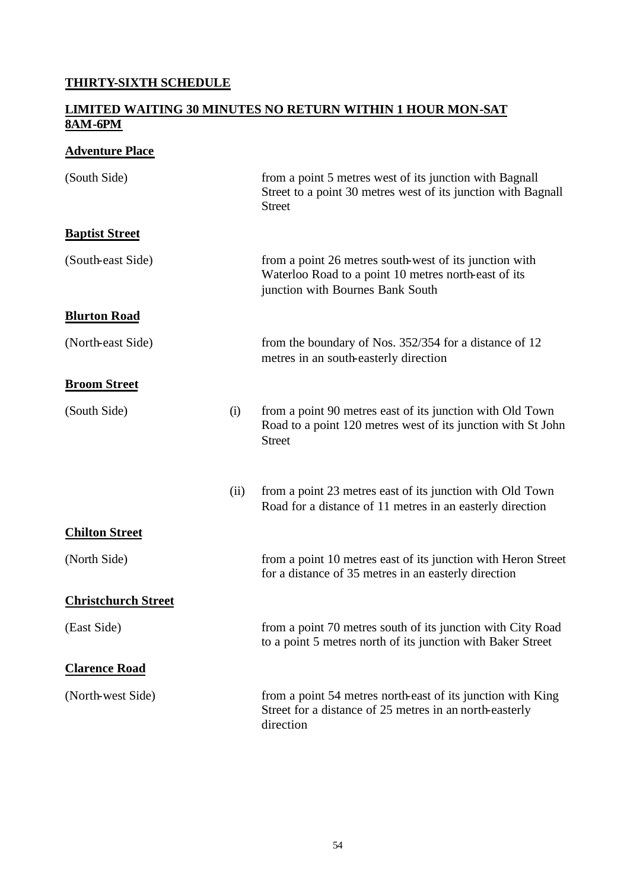## **THIRTY-SIXTH SCHEDULE**

#### **LIMITED WAITING 30 MINUTES NO RETURN WITHIN 1 HOUR MON-SAT 8AM-6PM**

## **Adventure Place**

| (South Side)               |      | from a point 5 metres west of its junction with Bagnall<br>Street to a point 30 metres west of its junction with Bagnall<br><b>Street</b>          |
|----------------------------|------|----------------------------------------------------------------------------------------------------------------------------------------------------|
| <b>Baptist Street</b>      |      |                                                                                                                                                    |
| (South-east Side)          |      | from a point 26 metres south-west of its junction with<br>Waterloo Road to a point 10 metres north-east of its<br>junction with Bournes Bank South |
| <b>Blurton Road</b>        |      |                                                                                                                                                    |
| (North-east Side)          |      | from the boundary of Nos. 352/354 for a distance of 12<br>metres in an south-easterly direction                                                    |
| <b>Broom Street</b>        |      |                                                                                                                                                    |
| (South Side)               | (i)  | from a point 90 metres east of its junction with Old Town<br>Road to a point 120 metres west of its junction with St John<br><b>Street</b>         |
|                            | (ii) | from a point 23 metres east of its junction with Old Town<br>Road for a distance of 11 metres in an easterly direction                             |
| <b>Chilton Street</b>      |      |                                                                                                                                                    |
| (North Side)               |      | from a point 10 metres east of its junction with Heron Street<br>for a distance of 35 metres in an easterly direction                              |
| <b>Christchurch Street</b> |      |                                                                                                                                                    |
| (East Side)                |      | from a point 70 metres south of its junction with City Road<br>to a point 5 metres north of its junction with Baker Street                         |
| <b>Clarence Road</b>       |      |                                                                                                                                                    |
| (North-west Side)          |      | from a point 54 metres north-east of its junction with King<br>Street for a distance of 25 metres in an north-easterly<br>direction                |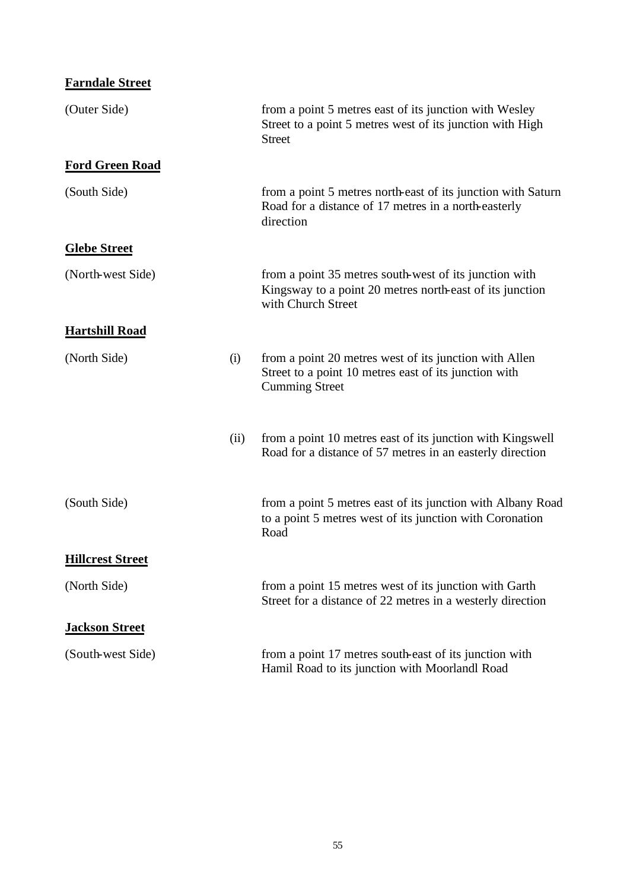| <b>Farndale Street</b> |
|------------------------|
|------------------------|

| (Outer Side)            |      | from a point 5 metres east of its junction with Wesley<br>Street to a point 5 metres west of its junction with High<br><b>Street</b>     |
|-------------------------|------|------------------------------------------------------------------------------------------------------------------------------------------|
| <b>Ford Green Road</b>  |      |                                                                                                                                          |
| (South Side)            |      | from a point 5 metres north-east of its junction with Saturn<br>Road for a distance of 17 metres in a north-easterly<br>direction        |
| <b>Glebe Street</b>     |      |                                                                                                                                          |
| (North-west Side)       |      | from a point 35 metres south-west of its junction with<br>Kingsway to a point 20 metres north-east of its junction<br>with Church Street |
| <b>Hartshill Road</b>   |      |                                                                                                                                          |
| (North Side)            | (i)  | from a point 20 metres west of its junction with Allen<br>Street to a point 10 metres east of its junction with<br><b>Cumming Street</b> |
|                         | (ii) | from a point 10 metres east of its junction with Kingswell<br>Road for a distance of 57 metres in an easterly direction                  |
| (South Side)            |      | from a point 5 metres east of its junction with Albany Road<br>to a point 5 metres west of its junction with Coronation<br>Road          |
| <b>Hillcrest Street</b> |      |                                                                                                                                          |
| (North Side)            |      | from a point 15 metres west of its junction with Garth<br>Street for a distance of 22 metres in a westerly direction                     |
| <b>Jackson Street</b>   |      |                                                                                                                                          |
| (South-west Side)       |      | from a point 17 metres south-east of its junction with<br>Hamil Road to its junction with Moorlandl Road                                 |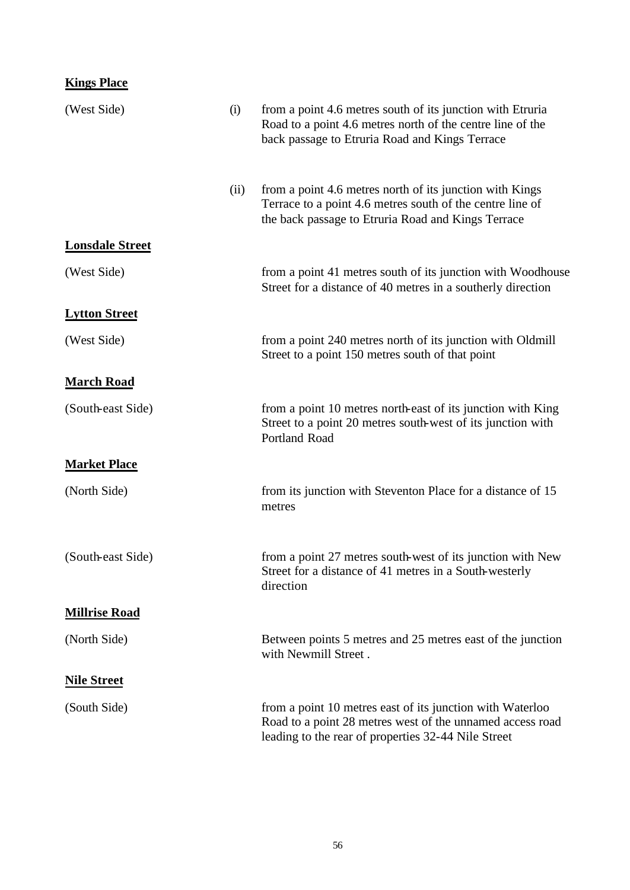| <b>Kings Place</b>     |      |                                                                                                                                                                               |
|------------------------|------|-------------------------------------------------------------------------------------------------------------------------------------------------------------------------------|
| (West Side)            | (i)  | from a point 4.6 metres south of its junction with Etruria<br>Road to a point 4.6 metres north of the centre line of the<br>back passage to Etruria Road and Kings Terrace    |
|                        | (ii) | from a point 4.6 metres north of its junction with Kings<br>Terrace to a point 4.6 metres south of the centre line of<br>the back passage to Etruria Road and Kings Terrace   |
| <b>Lonsdale Street</b> |      |                                                                                                                                                                               |
| (West Side)            |      | from a point 41 metres south of its junction with Woodhouse<br>Street for a distance of 40 metres in a southerly direction                                                    |
| <b>Lytton Street</b>   |      |                                                                                                                                                                               |
| (West Side)            |      | from a point 240 metres north of its junction with Oldmill<br>Street to a point 150 metres south of that point                                                                |
| <b>March Road</b>      |      |                                                                                                                                                                               |
| (South-east Side)      |      | from a point 10 metres north-east of its junction with King<br>Street to a point 20 metres south-west of its junction with<br><b>Portland Road</b>                            |
| <b>Market Place</b>    |      |                                                                                                                                                                               |
| (North Side)           |      | from its junction with Steventon Place for a distance of 15<br>metres                                                                                                         |
| (South-east Side)      |      | from a point 27 metres south-west of its junction with New<br>Street for a distance of 41 metres in a South-westerly<br>direction                                             |
| <b>Millrise Road</b>   |      |                                                                                                                                                                               |
| (North Side)           |      | Between points 5 metres and 25 metres east of the junction<br>with Newmill Street.                                                                                            |
| <b>Nile Street</b>     |      |                                                                                                                                                                               |
| (South Side)           |      | from a point 10 metres east of its junction with Waterloo<br>Road to a point 28 metres west of the unnamed access road<br>leading to the rear of properties 32-44 Nile Street |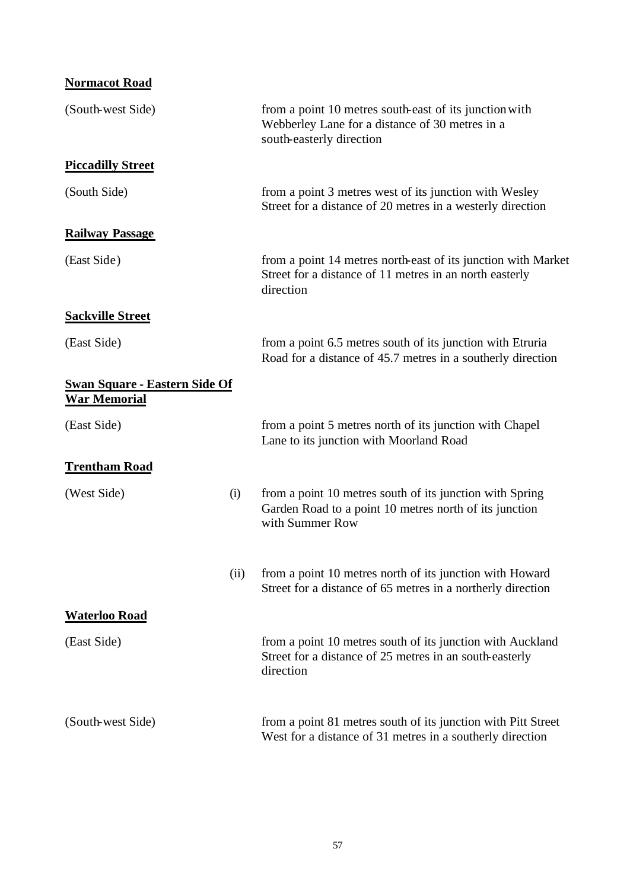| <b>Normacot Road</b>                                               |      |                                                                                                                                       |
|--------------------------------------------------------------------|------|---------------------------------------------------------------------------------------------------------------------------------------|
| (South-west Side)                                                  |      | from a point 10 metres south-east of its junction with<br>Webberley Lane for a distance of 30 metres in a<br>south-easterly direction |
| <b>Piccadilly Street</b>                                           |      |                                                                                                                                       |
| (South Side)                                                       |      | from a point 3 metres west of its junction with Wesley<br>Street for a distance of 20 metres in a westerly direction                  |
| <b>Railway Passage</b>                                             |      |                                                                                                                                       |
| (East Side)                                                        |      | from a point 14 metres north-east of its junction with Market<br>Street for a distance of 11 metres in an north easterly<br>direction |
| <b>Sackville Street</b>                                            |      |                                                                                                                                       |
| (East Side)                                                        |      | from a point 6.5 metres south of its junction with Etruria<br>Road for a distance of 45.7 metres in a southerly direction             |
| <b><u>Swan Square - Eastern Side Of</u></b><br><b>War Memorial</b> |      |                                                                                                                                       |
| (East Side)                                                        |      | from a point 5 metres north of its junction with Chapel<br>Lane to its junction with Moorland Road                                    |
| <b>Trentham Road</b>                                               |      |                                                                                                                                       |
| (West Side)                                                        | (i)  | from a point 10 metres south of its junction with Spring<br>Garden Road to a point 10 metres north of its junction<br>with Summer Row |
|                                                                    | (ii) | from a point 10 metres north of its junction with Howard<br>Street for a distance of 65 metres in a northerly direction               |
| <b>Waterloo Road</b>                                               |      |                                                                                                                                       |
| (East Side)                                                        |      | from a point 10 metres south of its junction with Auckland<br>Street for a distance of 25 metres in an south-easterly<br>direction    |
| (South-west Side)                                                  |      | from a point 81 metres south of its junction with Pitt Street<br>West for a distance of 31 metres in a southerly direction            |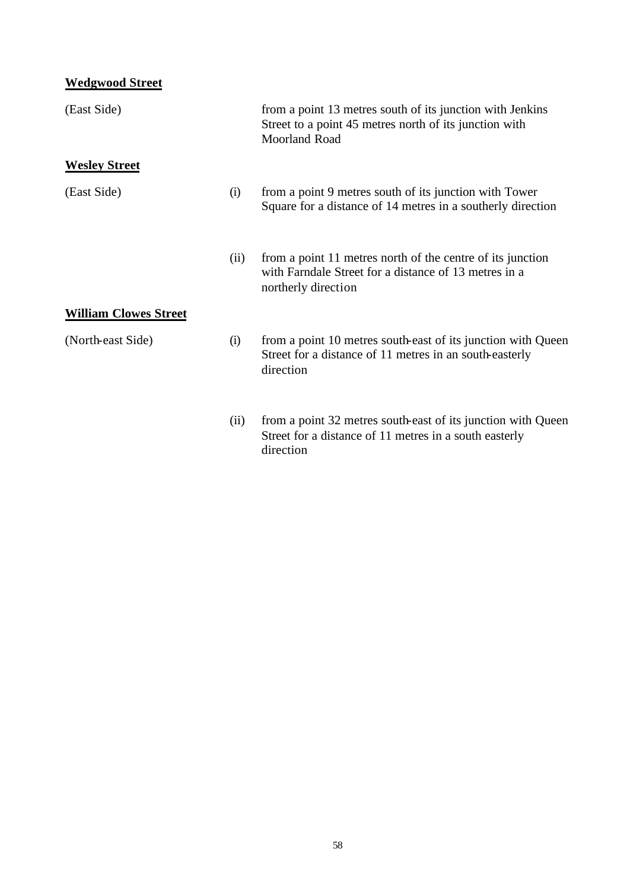# **Wedgwood Street**

| (East Side)                  |      | from a point 13 metres south of its junction with Jenkins<br>Street to a point 45 metres north of its junction with<br>Moorland Road       |
|------------------------------|------|--------------------------------------------------------------------------------------------------------------------------------------------|
| <b>Wesley Street</b>         |      |                                                                                                                                            |
| (East Side)                  | (i)  | from a point 9 metres south of its junction with Tower<br>Square for a distance of 14 metres in a southerly direction                      |
|                              | (ii) | from a point 11 metres north of the centre of its junction<br>with Farndale Street for a distance of 13 metres in a<br>northerly direction |
| <b>William Clowes Street</b> |      |                                                                                                                                            |
| (North-east Side)            | (i)  | from a point 10 metres south-east of its junction with Queen<br>Street for a distance of 11 metres in an south-easterly<br>direction       |
|                              | (ii) | from a point 32 metres south-east of its junction with Queen<br>Street for a distance of 11 metres in a south easterly<br>direction        |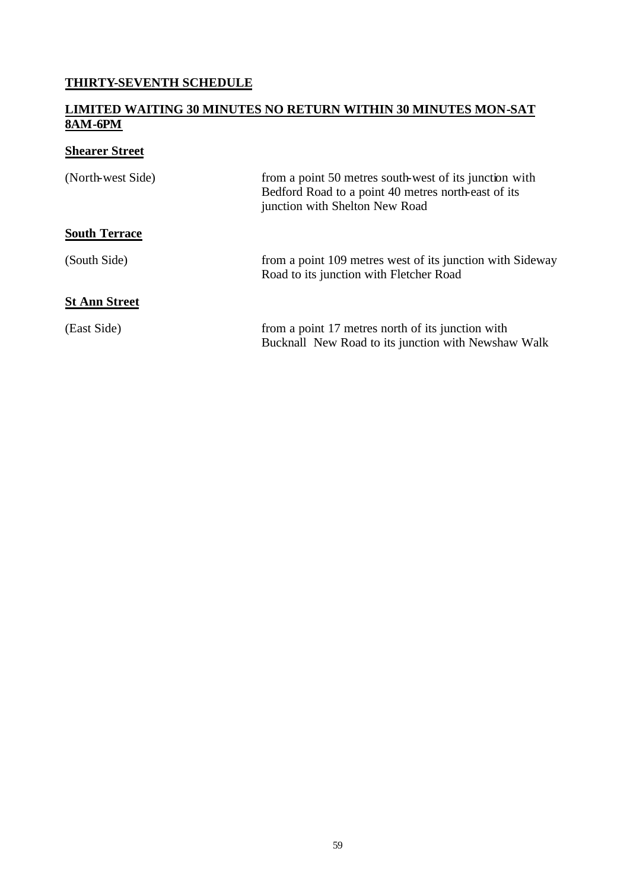## **THIRTY-SEVENTH SCHEDULE**

#### **LIMITED WAITING 30 MINUTES NO RETURN WITHIN 30 MINUTES MON-SAT 8AM-6PM**

# **Shearer Street**

| (North-west Side)    | from a point 50 metres south-west of its junction with<br>Bedford Road to a point 40 metres north-east of its<br>junction with Shelton New Road |
|----------------------|-------------------------------------------------------------------------------------------------------------------------------------------------|
| <b>South Terrace</b> |                                                                                                                                                 |
| (South Side)         | from a point 109 metres west of its junction with Sideway<br>Road to its junction with Fletcher Road                                            |
| <b>St Ann Street</b> |                                                                                                                                                 |
| (East Side)          | from a point 17 metres north of its junction with<br>Bucknall New Road to its junction with Newshaw Walk                                        |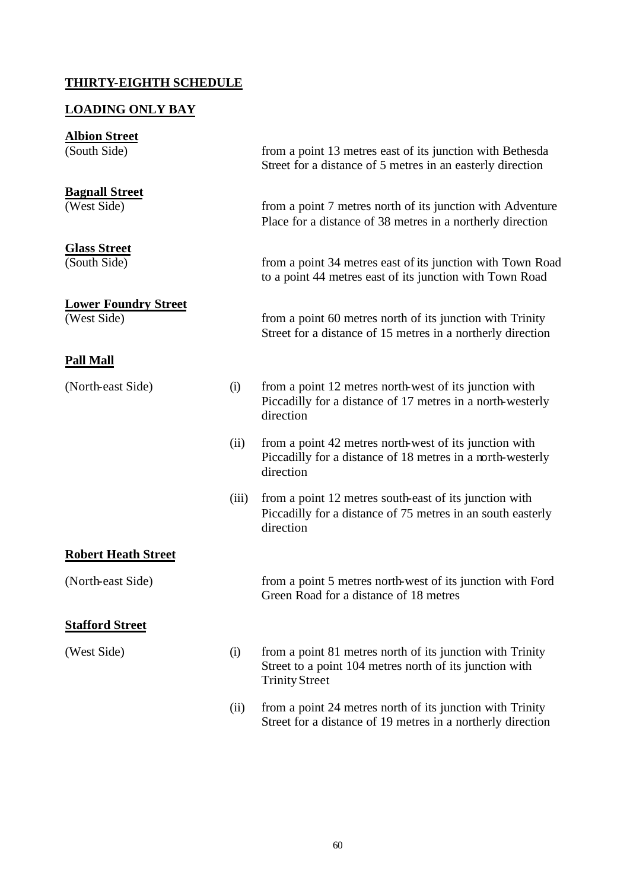#### **THIRTY-EIGHTH SCHEDULE**

#### **LOADING ONLY BAY**

# **Albion Street** (South Side) from a point 13 metres east of its junction with Bethesda Street for a distance of 5 metres in an easterly direction **Bagnall Street** (West Side) from a point 7 metres north of its junction with Adventure Place for a distance of 38 metres in a northerly direction **Glass Street** (South Side) from a point 34 metres east of its junction with Town Road to a point 44 metres east of its junction with Town Road **Lower Foundry Street** (West Side) from a point 60 metres north of its junction with Trinity Street for a distance of 15 metres in a northerly direction **Pall Mall** (North-east Side) (i) from a point 12 metres north-west of its junction with Piccadilly for a distance of 17 metres in a north-westerly direction (ii) from a point 42 metres north-west of its junction with Piccadilly for a distance of 18 metres in a north-westerly direction (iii) from a point 12 metres south-east of its junction with Piccadilly for a distance of 75 metres in an south easterly direction **Robert Heath Street** (North-east Side) from a point 5 metres north-west of its junction with Ford Green Road for a distance of 18 metres **Stafford Street** (West Side) (i) from a point 81 metres north of its junction with Trinity Street to a point 104 metres north of its junction with Trinity Street (ii) from a point 24 metres north of its junction with Trinity Street for a distance of 19 metres in a northerly direction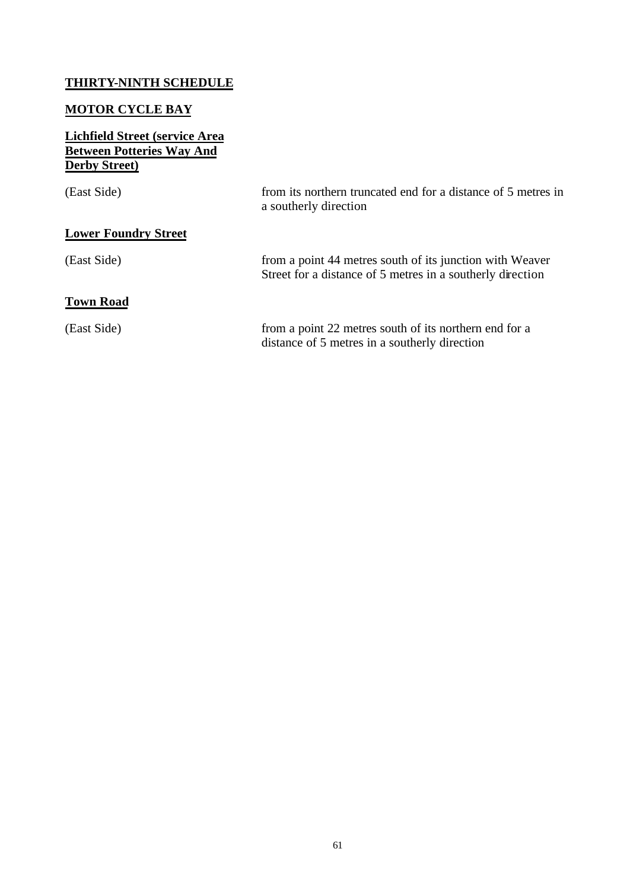## **THIRTY-NINTH SCHEDULE**

## **MOTOR CYCLE BAY**

#### **Lichfield Street (service Area Between Potteries Way And Derby Street)**

| (East Side)                 | from its northern truncated end for a distance of 5 metres in<br>a southerly direction                                 |
|-----------------------------|------------------------------------------------------------------------------------------------------------------------|
| <b>Lower Foundry Street</b> |                                                                                                                        |
| (East Side)                 | from a point 44 metres south of its junction with Weaver<br>Street for a distance of 5 metres in a southerly direction |
| <b>Town Road</b>            |                                                                                                                        |
| (East Side)                 | from a point 22 metres south of its northern end for a<br>distance of 5 metres in a southerly direction                |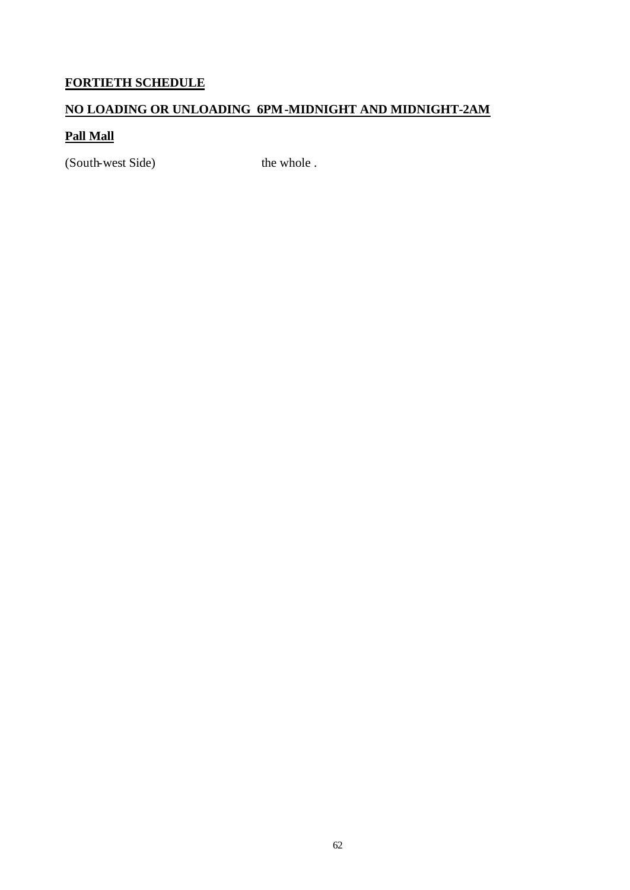## **FORTIETH SCHEDULE**

## **NO LOADING OR UNLOADING 6PM-MIDNIGHT AND MIDNIGHT-2AM**

## **Pall Mall**

(South-west Side) the whole .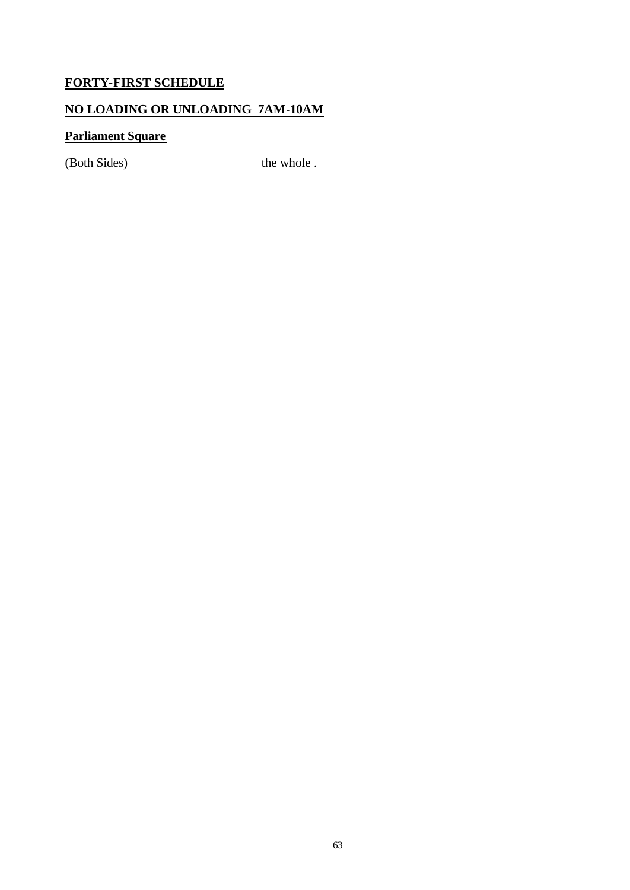## **FORTY-FIRST SCHEDULE**

## **NO LOADING OR UNLOADING 7AM-10AM**

## **Parliament Square**

(Both Sides) the whole .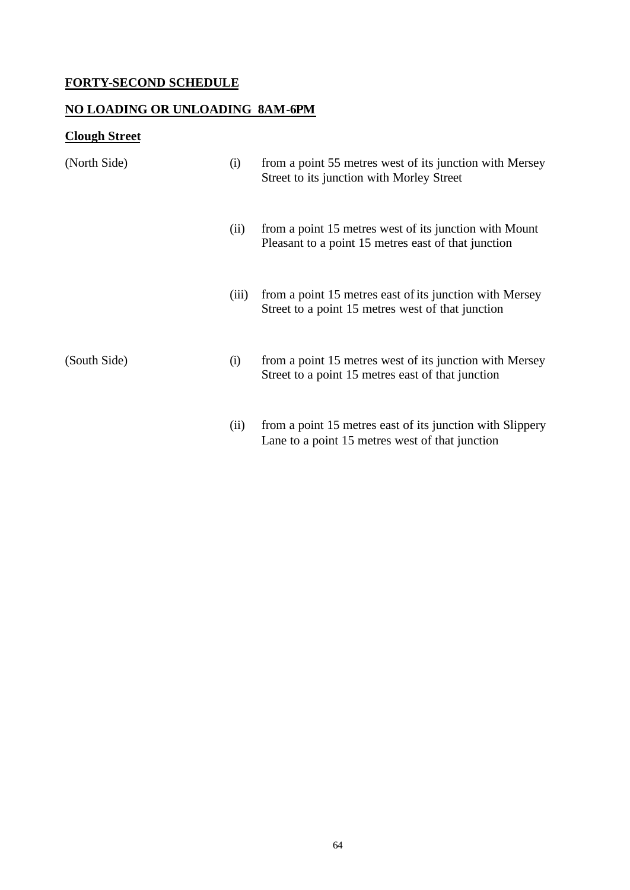## **FORTY-SECOND SCHEDULE**

#### **NO LOADING OR UNLOADING 8AM-6PM**

# **Clough Street**

| (North Side) | (i)   | from a point 55 metres west of its junction with Mersey<br>Street to its junction with Morley Street          |
|--------------|-------|---------------------------------------------------------------------------------------------------------------|
|              | (ii)  | from a point 15 metres west of its junction with Mount<br>Pleasant to a point 15 metres east of that junction |
|              | (iii) | from a point 15 metres east of its junction with Mersey<br>Street to a point 15 metres west of that junction  |
| (South Side) | (i)   | from a point 15 metres west of its junction with Mersey<br>Street to a point 15 metres east of that junction  |
|              | (ii)  | from a point 15 metres east of its junction with Slippery<br>Lane to a point 15 metres west of that junction  |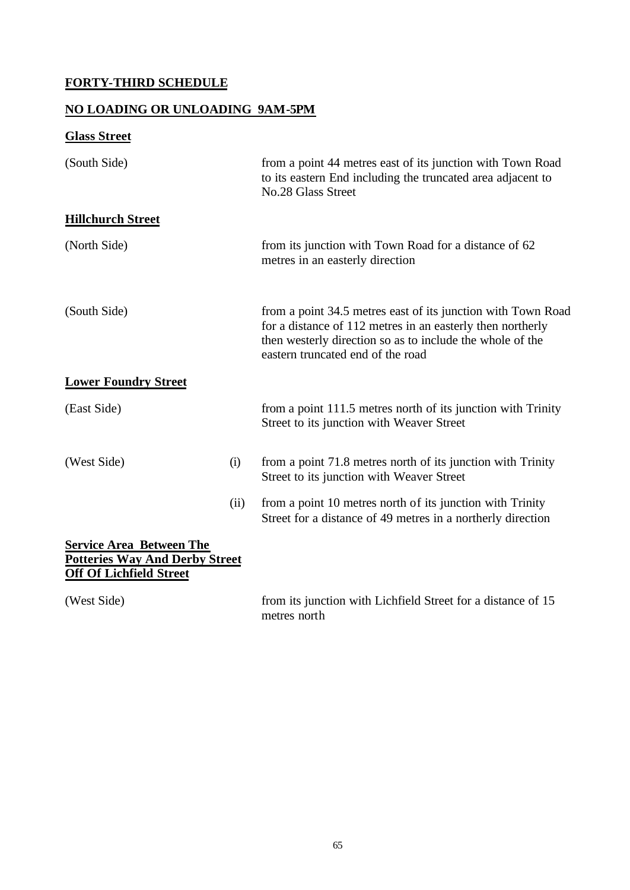# **FORTY-THIRD SCHEDULE**

## **NO LOADING OR UNLOADING 9AM-5PM**

# **Glass Street**

| (South Side)                                                                                               |      | from a point 44 metres east of its junction with Town Road<br>to its eastern End including the truncated area adjacent to<br>No.28 Glass Street                                                                              |
|------------------------------------------------------------------------------------------------------------|------|------------------------------------------------------------------------------------------------------------------------------------------------------------------------------------------------------------------------------|
| <b>Hillchurch Street</b>                                                                                   |      |                                                                                                                                                                                                                              |
| (North Side)                                                                                               |      | from its junction with Town Road for a distance of 62<br>metres in an easterly direction                                                                                                                                     |
| (South Side)                                                                                               |      | from a point 34.5 metres east of its junction with Town Road<br>for a distance of 112 metres in an easterly then northerly<br>then westerly direction so as to include the whole of the<br>eastern truncated end of the road |
| <b>Lower Foundry Street</b>                                                                                |      |                                                                                                                                                                                                                              |
| (East Side)                                                                                                |      | from a point 111.5 metres north of its junction with Trinity<br>Street to its junction with Weaver Street                                                                                                                    |
| (West Side)                                                                                                | (i)  | from a point 71.8 metres north of its junction with Trinity<br>Street to its junction with Weaver Street                                                                                                                     |
|                                                                                                            | (ii) | from a point 10 metres north of its junction with Trinity<br>Street for a distance of 49 metres in a northerly direction                                                                                                     |
| <b>Service Area Between The</b><br><b>Potteries Way And Derby Street</b><br><b>Off Of Lichfield Street</b> |      |                                                                                                                                                                                                                              |
| (West Side)                                                                                                |      | from its junction with Lichfield Street for a distance of 15<br>metres north                                                                                                                                                 |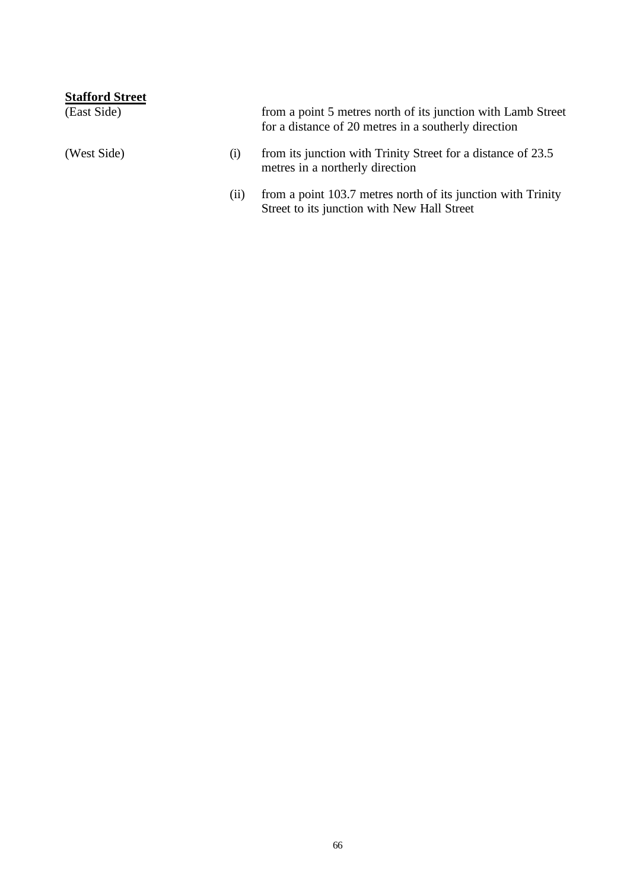| <b>Stafford Street</b> |      |                                                                                                                      |
|------------------------|------|----------------------------------------------------------------------------------------------------------------------|
| (East Side)            |      | from a point 5 metres north of its junction with Lamb Street<br>for a distance of 20 metres in a southerly direction |
| (West Side)            | (1)  | from its junction with Trinity Street for a distance of 23.5<br>metres in a northerly direction                      |
|                        | (11) | from a point 103.7 metres north of its junction with Trinity<br>Street to its junction with New Hall Street          |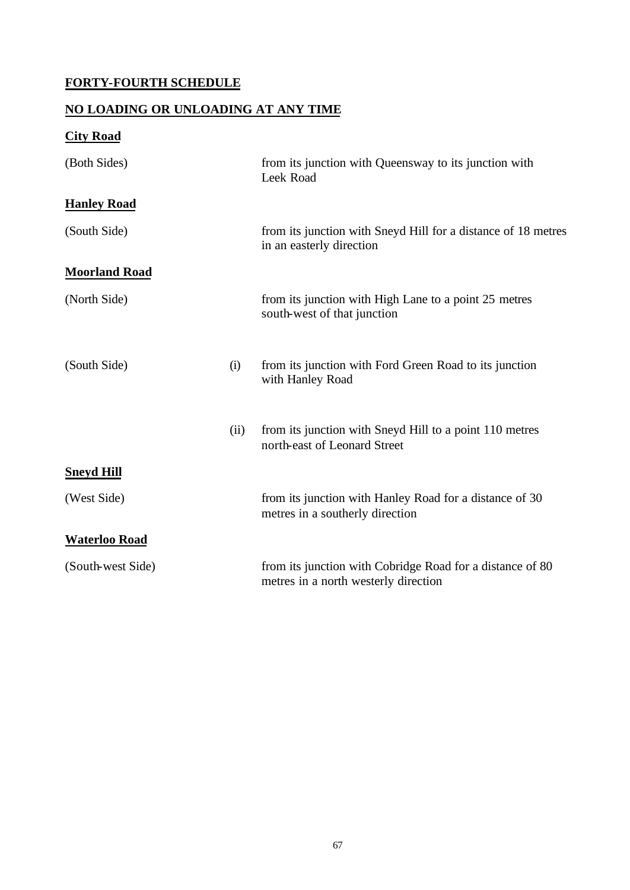# **FORTY-FOURTH SCHEDULE**

## **NO LOADING OR UNLOADING AT ANY TIME**

# **City Road**

| (Both Sides)         |      | from its junction with Queensway to its junction with<br>Leek Road                                |
|----------------------|------|---------------------------------------------------------------------------------------------------|
| <b>Hanley Road</b>   |      |                                                                                                   |
| (South Side)         |      | from its junction with Sneyd Hill for a distance of 18 metres<br>in an easterly direction         |
| <b>Moorland Road</b> |      |                                                                                                   |
| (North Side)         |      | from its junction with High Lane to a point 25 metres<br>south-west of that junction              |
| (South Side)         | (i)  | from its junction with Ford Green Road to its junction<br>with Hanley Road                        |
|                      | (ii) | from its junction with Sneyd Hill to a point 110 metres<br>north-east of Leonard Street           |
| <b>Sneyd Hill</b>    |      |                                                                                                   |
| (West Side)          |      | from its junction with Hanley Road for a distance of 30<br>metres in a southerly direction        |
| <b>Waterloo Road</b> |      |                                                                                                   |
| (South-west Side)    |      | from its junction with Cobridge Road for a distance of 80<br>metres in a north westerly direction |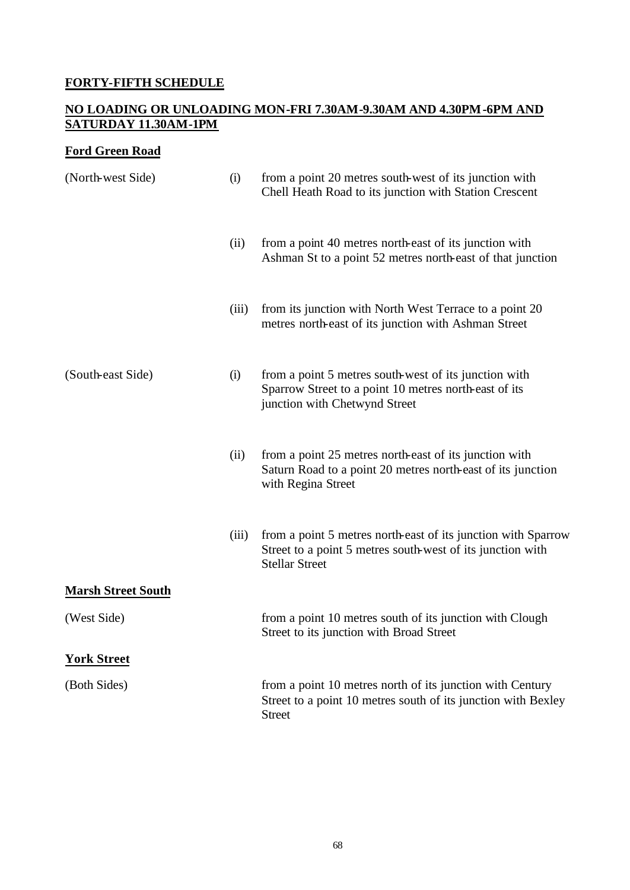## **FORTY-FIFTH SCHEDULE**

#### **NO LOADING OR UNLOADING MON-FRI 7.30AM-9.30AM AND 4.30PM-6PM AND SATURDAY 11.30AM-1PM**

## **Ford Green Road**

| (North-west Side)         | (i)   | from a point 20 metres south-west of its junction with<br>Chell Heath Road to its junction with Station Crescent                                     |
|---------------------------|-------|------------------------------------------------------------------------------------------------------------------------------------------------------|
|                           | (ii)  | from a point 40 metres north-east of its junction with<br>Ashman St to a point 52 metres north-east of that junction                                 |
|                           | (iii) | from its junction with North West Terrace to a point 20<br>metres north-east of its junction with Ashman Street                                      |
| (South-east Side)         | (i)   | from a point 5 metres south-west of its junction with<br>Sparrow Street to a point 10 metres north-east of its<br>junction with Chetwynd Street      |
|                           | (ii)  | from a point 25 metres north-east of its junction with<br>Saturn Road to a point 20 metres north-east of its junction<br>with Regina Street          |
|                           | (iii) | from a point 5 metres north-east of its junction with Sparrow<br>Street to a point 5 metres south-west of its junction with<br><b>Stellar Street</b> |
| <b>Marsh Street South</b> |       |                                                                                                                                                      |
| (West Side)               |       | from a point 10 metres south of its junction with Clough<br>Street to its junction with Broad Street                                                 |
| <b>York Street</b>        |       |                                                                                                                                                      |
| (Both Sides)              |       | from a point 10 metres north of its junction with Century<br>Street to a point 10 metres south of its junction with Bexley<br><b>Street</b>          |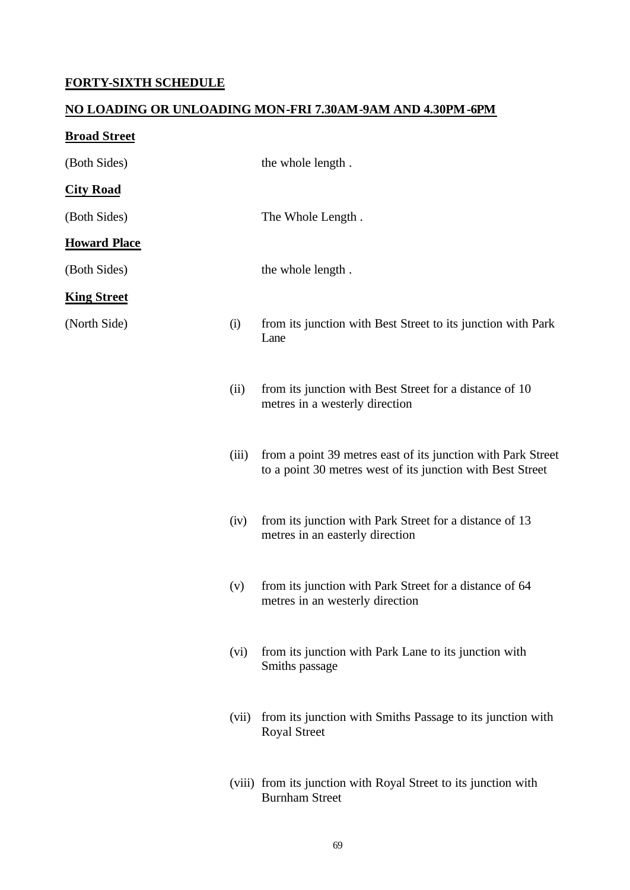## **FORTY-SIXTH SCHEDULE**

#### **NO LOADING OR UNLOADING MON-FRI 7.30AM-9AM AND 4.30PM-6PM**

# **Broad Street**

| (Both Sides)        |       | the whole length.                                                                                                          |
|---------------------|-------|----------------------------------------------------------------------------------------------------------------------------|
| <b>City Road</b>    |       |                                                                                                                            |
| (Both Sides)        |       | The Whole Length.                                                                                                          |
| <b>Howard Place</b> |       |                                                                                                                            |
| (Both Sides)        |       | the whole length.                                                                                                          |
| <b>King Street</b>  |       |                                                                                                                            |
| (North Side)        | (i)   | from its junction with Best Street to its junction with Park<br>Lane                                                       |
|                     | (ii)  | from its junction with Best Street for a distance of 10<br>metres in a westerly direction                                  |
|                     | (iii) | from a point 39 metres east of its junction with Park Street<br>to a point 30 metres west of its junction with Best Street |
|                     | (iv)  | from its junction with Park Street for a distance of 13<br>metres in an easterly direction                                 |
|                     | (v)   | from its junction with Park Street for a distance of 64<br>metres in an westerly direction                                 |
|                     | (vi)  | from its junction with Park Lane to its junction with<br>Smiths passage                                                    |
|                     | (vii) | from its junction with Smiths Passage to its junction with<br><b>Royal Street</b>                                          |
|                     |       | (viii) from its junction with Royal Street to its junction with<br><b>Burnham Street</b>                                   |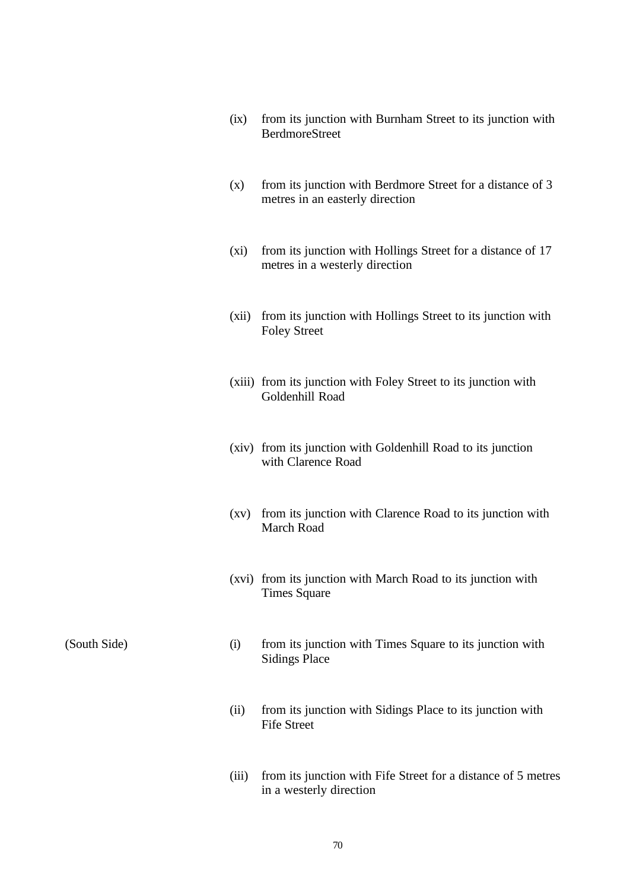| (ix) | from its junction with Burnham Street to its junction with |
|------|------------------------------------------------------------|
|      | <b>BerdmoreStreet</b>                                      |

- (x) from its junction with Berdmore Street for a distance of 3 metres in an easterly direction
- (xi) from its junction with Hollings Street for a distance of 17 metres in a westerly direction
- (xii) from its junction with Hollings Street to its junction with Foley Street
- (xiii) from its junction with Foley Street to its junction with Goldenhill Road
- (xiv) from its junction with Goldenhill Road to its junction with Clarence Road
- (xv) from its junction with Clarence Road to its junction with March Road
- (xvi) from its junction with March Road to its junction with Times Square

- (South Side) (i) from its junction with Times Square to its junction with Sidings Place
	- (ii) from its junction with Sidings Place to its junction with Fife Street
	- (iii) from its junction with Fife Street for a distance of 5 metres in a westerly direction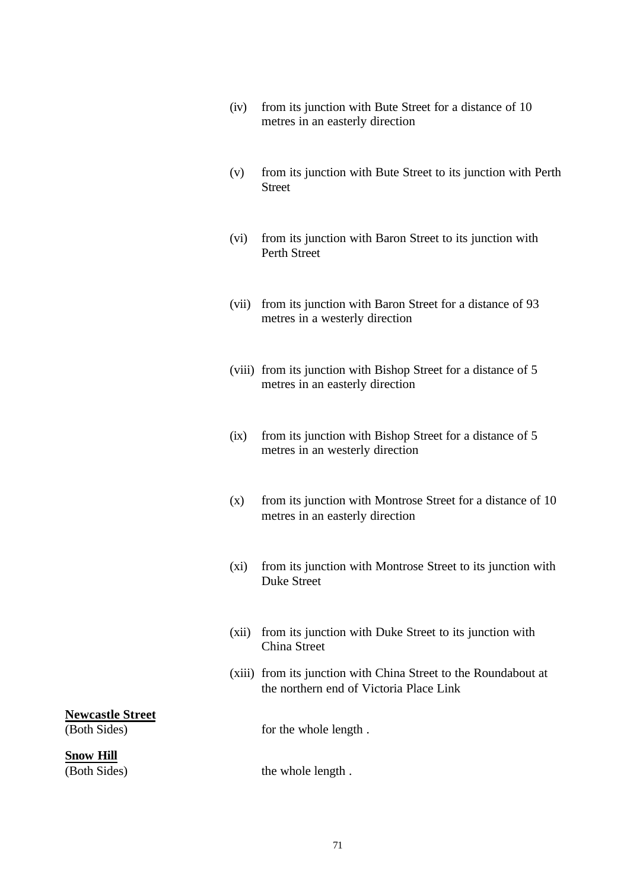- (iv) from its junction with Bute Street for a distance of 10 metres in an easterly direction
- (v) from its junction with Bute Street to its junction with Perth **Street**
- (vi) from its junction with Baron Street to its junction with Perth Street
- (vii) from its junction with Baron Street for a distance of 93 metres in a westerly direction
- (viii) from its junction with Bishop Street for a distance of 5 metres in an easterly direction
- (ix) from its junction with Bishop Street for a distance of 5 metres in an westerly direction
- (x) from its junction with Montrose Street for a distance of 10 metres in an easterly direction
- (xi) from its junction with Montrose Street to its junction with Duke Street
- (xii) from its junction with Duke Street to its junction with China Street
- (xiii) from its junction with China Street to the Roundabout at the northern end of Victoria Place Link

**Newcastle Street**

**Snow Hill**

(Both Sides) for the whole length.

(Both Sides) the whole length.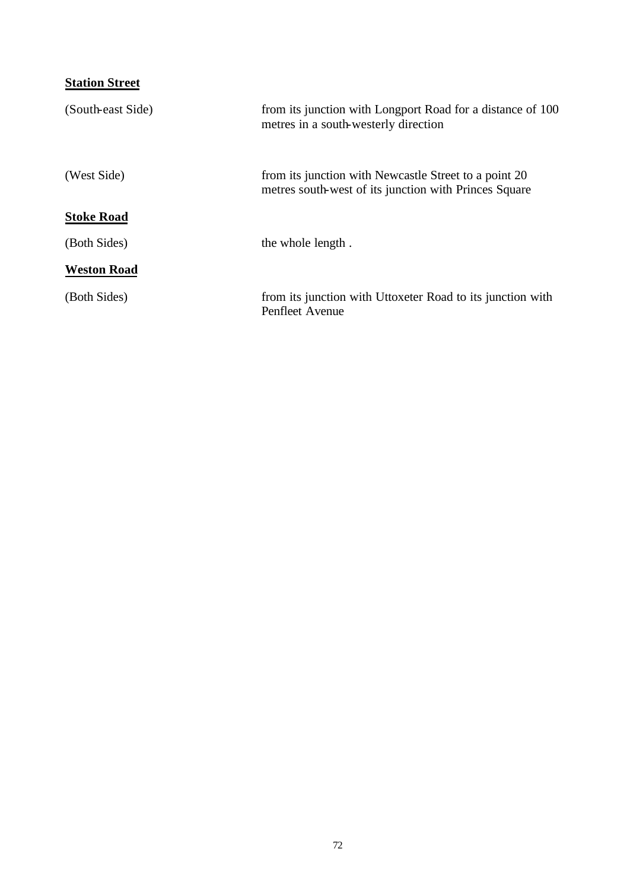| <b>Station Street</b> |                                                                                                                |
|-----------------------|----------------------------------------------------------------------------------------------------------------|
| (South-east Side)     | from its junction with Longport Road for a distance of 100<br>metres in a south-westerly direction             |
| (West Side)           | from its junction with Newcastle Street to a point 20<br>metres south-west of its junction with Princes Square |
| <b>Stoke Road</b>     |                                                                                                                |
| (Both Sides)          | the whole length.                                                                                              |
| <b>Weston Road</b>    |                                                                                                                |
| (Both Sides)          | from its junction with Uttoxeter Road to its junction with<br>Penfleet Avenue                                  |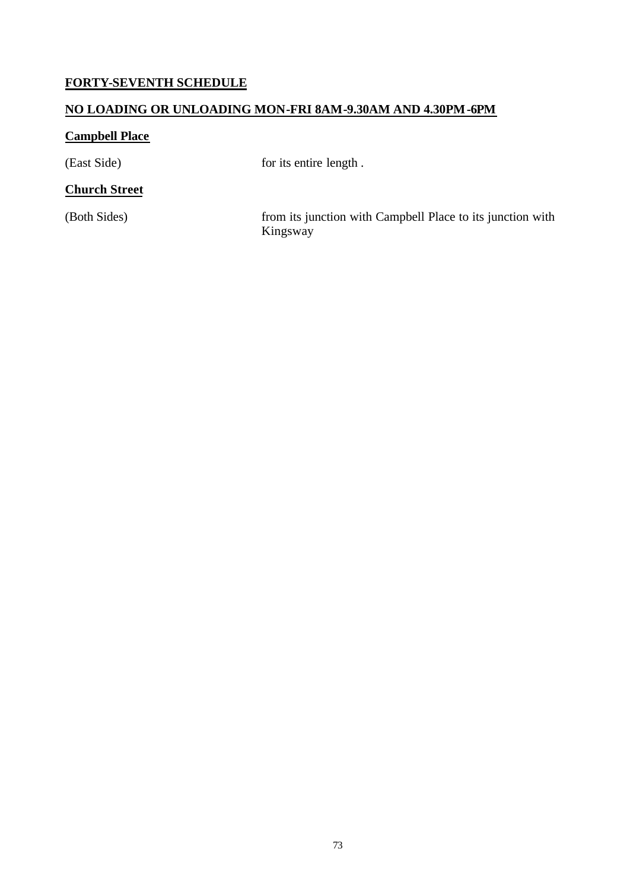# **FORTY-SEVENTH SCHEDULE**

#### **NO LOADING OR UNLOADING MON-FRI 8AM-9.30AM AND 4.30PM-6PM**

## **Campbell Place**

(East Side) for its entire length.

#### **Church Street**

(Both Sides) from its junction with Campbell Place to its junction with Kingsway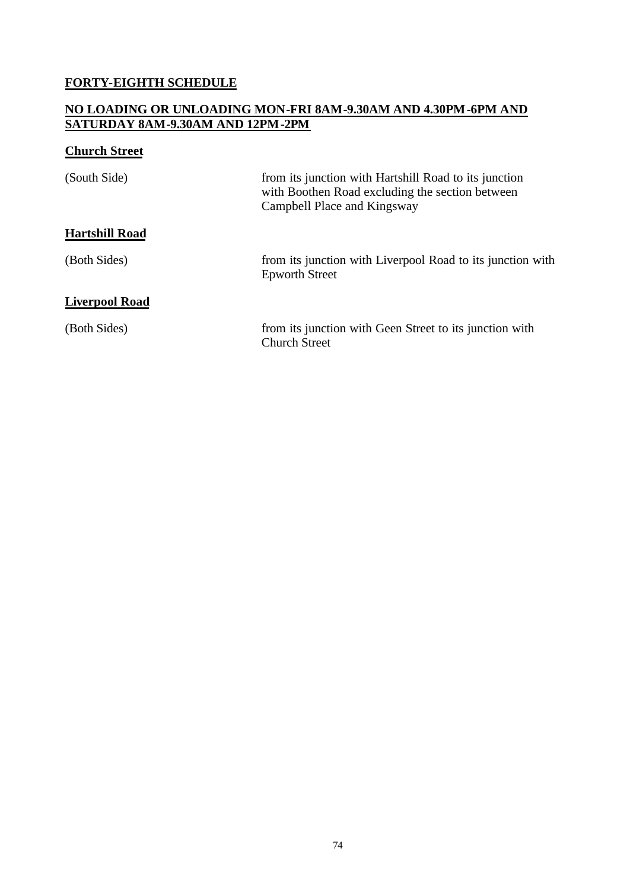## **FORTY-EIGHTH SCHEDULE**

#### **NO LOADING OR UNLOADING MON-FRI 8AM-9.30AM AND 4.30PM-6PM AND SATURDAY 8AM-9.30AM AND 12PM-2PM**

## **Church Street**

| (South Side)          | from its junction with Hartshill Road to its junction<br>with Boothen Road excluding the section between<br>Campbell Place and Kingsway |
|-----------------------|-----------------------------------------------------------------------------------------------------------------------------------------|
| <b>Hartshill Road</b> |                                                                                                                                         |
| (Both Sides)          | from its junction with Liverpool Road to its junction with<br><b>Epworth Street</b>                                                     |
| <b>Liverpool Road</b> |                                                                                                                                         |
| (Both Sides)          | from its junction with Geen Street to its junction with<br><b>Church Street</b>                                                         |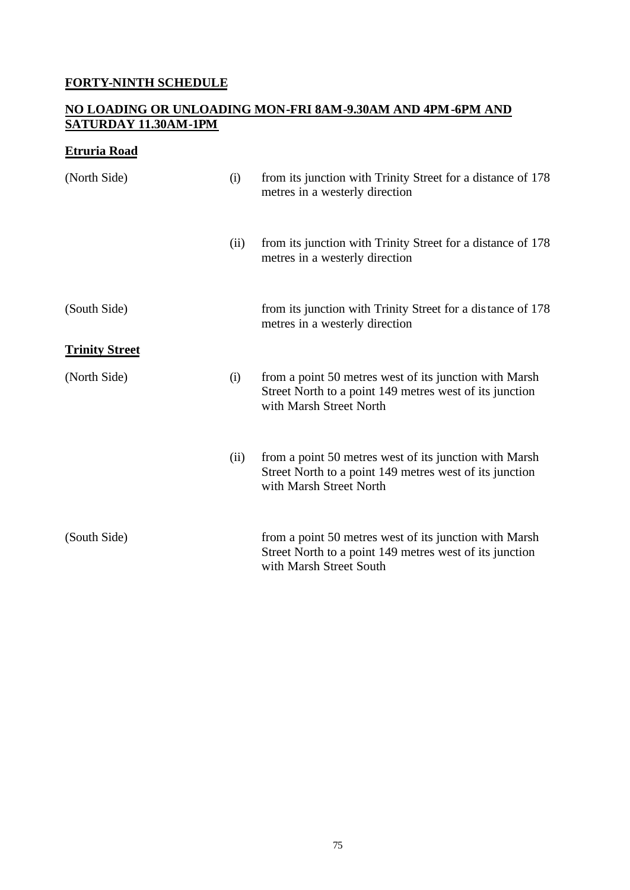## **FORTY-NINTH SCHEDULE**

#### **NO LOADING OR UNLOADING MON-FRI 8AM-9.30AM AND 4PM-6PM AND SATURDAY 11.30AM-1PM**

## **Etruria Road**

| (North Side)          | (i)  | from its junction with Trinity Street for a distance of 178<br>metres in a westerly direction                                                |
|-----------------------|------|----------------------------------------------------------------------------------------------------------------------------------------------|
|                       | (ii) | from its junction with Trinity Street for a distance of 178<br>metres in a westerly direction                                                |
| (South Side)          |      | from its junction with Trinity Street for a distance of 178<br>metres in a westerly direction                                                |
| <b>Trinity Street</b> |      |                                                                                                                                              |
| (North Side)          | (i)  | from a point 50 metres west of its junction with Marsh<br>Street North to a point 149 metres west of its junction<br>with Marsh Street North |
|                       | (ii) | from a point 50 metres west of its junction with Marsh<br>Street North to a point 149 metres west of its junction<br>with Marsh Street North |
| (South Side)          |      | from a point 50 metres west of its junction with Marsh<br>Street North to a point 149 metres west of its junction<br>with Marsh Street South |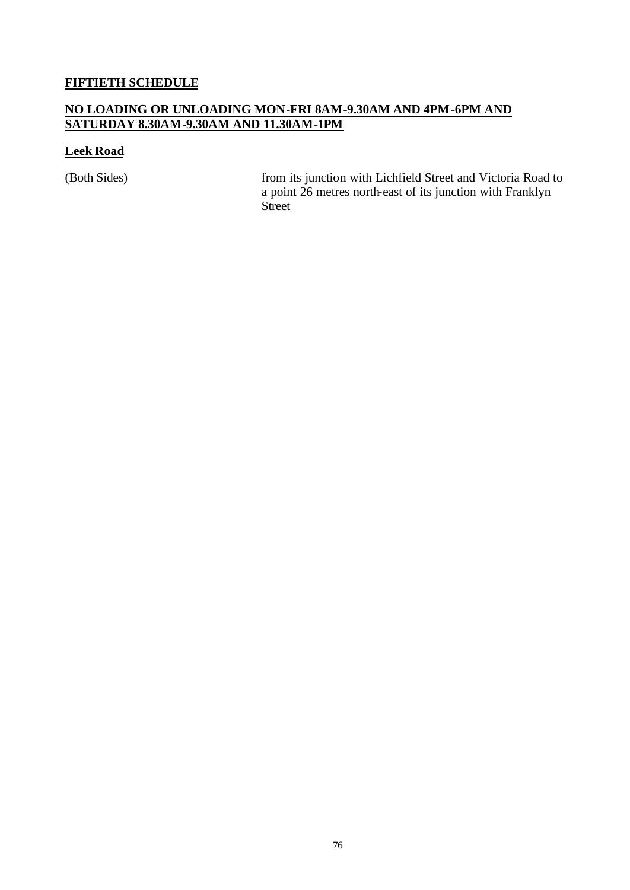## **FIFTIETH SCHEDULE**

#### **NO LOADING OR UNLOADING MON-FRI 8AM-9.30AM AND 4PM-6PM AND SATURDAY 8.30AM-9.30AM AND 11.30AM-1PM**

#### **Leek Road**

(Both Sides) from its junction with Lichfield Street and Victoria Road to a point 26 metres north-east of its junction with Franklyn Street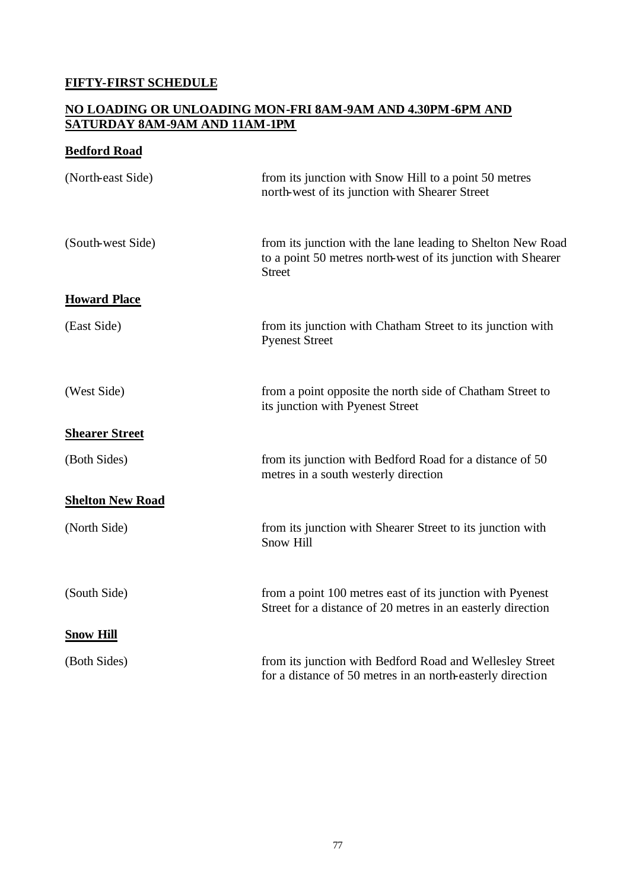## **FIFTY-FIRST SCHEDULE**

#### **NO LOADING OR UNLOADING MON-FRI 8AM-9AM AND 4.30PM-6PM AND SATURDAY 8AM-9AM AND 11AM-1PM**

#### **Bedford Road**

| (North-east Side)       | from its junction with Snow Hill to a point 50 metres<br>north-west of its junction with Shearer Street                                      |
|-------------------------|----------------------------------------------------------------------------------------------------------------------------------------------|
| (South-west Side)       | from its junction with the lane leading to Shelton New Road<br>to a point 50 metres north-west of its junction with Shearer<br><b>Street</b> |
| <b>Howard Place</b>     |                                                                                                                                              |
| (East Side)             | from its junction with Chatham Street to its junction with<br><b>Pyenest Street</b>                                                          |
| (West Side)             | from a point opposite the north side of Chatham Street to<br>its junction with Pyenest Street                                                |
| <b>Shearer Street</b>   |                                                                                                                                              |
| (Both Sides)            | from its junction with Bedford Road for a distance of 50<br>metres in a south westerly direction                                             |
| <b>Shelton New Road</b> |                                                                                                                                              |
| (North Side)            | from its junction with Shearer Street to its junction with<br><b>Snow Hill</b>                                                               |
| (South Side)            | from a point 100 metres east of its junction with Pyenest<br>Street for a distance of 20 metres in an easterly direction                     |
| <b>Snow Hill</b>        |                                                                                                                                              |
| (Both Sides)            | from its junction with Bedford Road and Wellesley Street<br>for a distance of 50 metres in an north-easterly direction                       |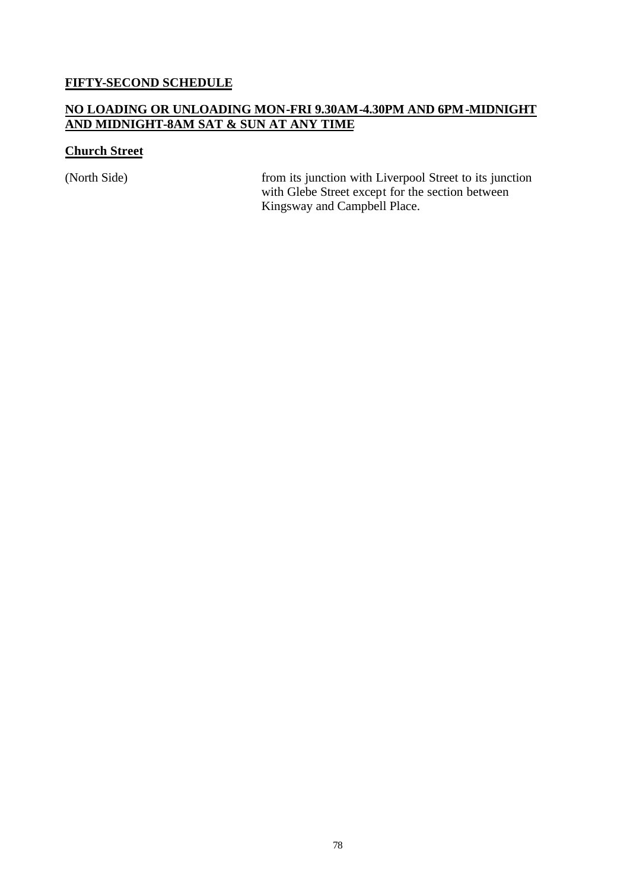#### **FIFTY-SECOND SCHEDULE**

#### **NO LOADING OR UNLOADING MON-FRI 9.30AM-4.30PM AND 6PM-MIDNIGHT AND MIDNIGHT-8AM SAT & SUN AT ANY TIME**

#### **Church Street**

(North Side) from its junction with Liverpool Street to its junction with Glebe Street except for the section between Kingsway and Campbell Place.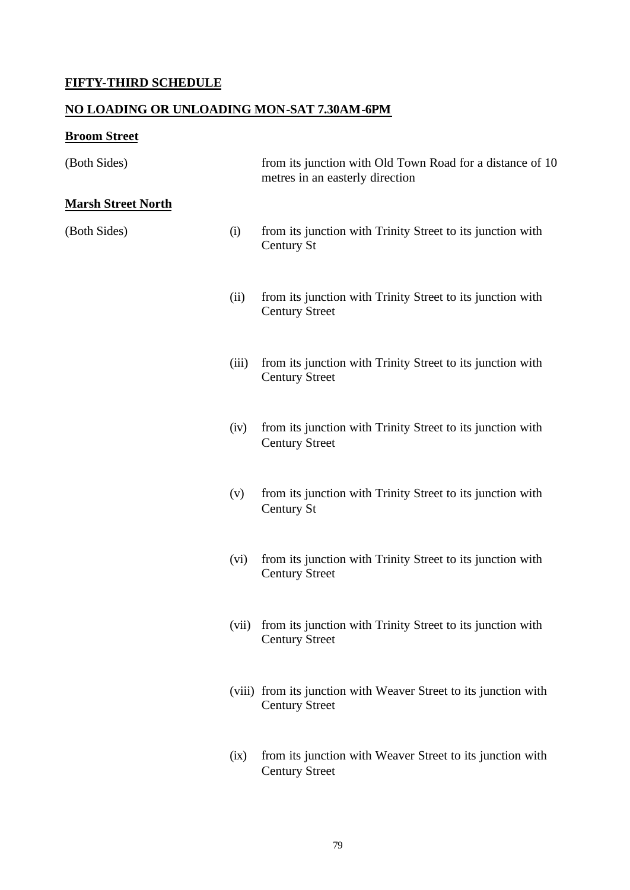# **FIFTY-THIRD SCHEDULE**

## **NO LOADING OR UNLOADING MON-SAT 7.30AM-6PM**

# **Broom Street**

| (Both Sides)               |       | from its junction with Old Town Road for a distance of 10<br>metres in an easterly direction |
|----------------------------|-------|----------------------------------------------------------------------------------------------|
| <u> Marsh Street North</u> |       |                                                                                              |
| (Both Sides)               | (i)   | from its junction with Trinity Street to its junction with<br>Century St                     |
|                            | (ii)  | from its junction with Trinity Street to its junction with<br><b>Century Street</b>          |
|                            | (iii) | from its junction with Trinity Street to its junction with<br><b>Century Street</b>          |
|                            | (iv)  | from its junction with Trinity Street to its junction with<br><b>Century Street</b>          |
|                            | (v)   | from its junction with Trinity Street to its junction with<br>Century St                     |
|                            | (vi)  | from its junction with Trinity Street to its junction with<br><b>Century Street</b>          |
|                            | (vii) | from its junction with Trinity Street to its junction with<br><b>Century Street</b>          |
|                            |       | (viii) from its junction with Weaver Street to its junction with<br><b>Century Street</b>    |
|                            | (ix)  | from its junction with Weaver Street to its junction with<br><b>Century Street</b>           |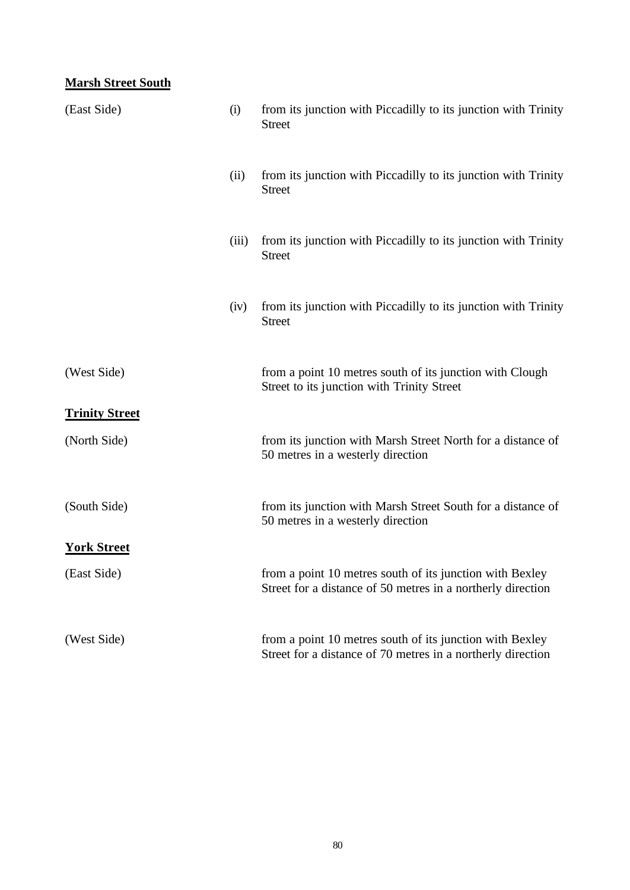## **Marsh Street South**

| (East Side)                           | (i)   | from its junction with Piccadilly to its junction with Trinity<br><b>Street</b>                                         |
|---------------------------------------|-------|-------------------------------------------------------------------------------------------------------------------------|
|                                       | (ii)  | from its junction with Piccadilly to its junction with Trinity<br><b>Street</b>                                         |
|                                       | (iii) | from its junction with Piccadilly to its junction with Trinity<br><b>Street</b>                                         |
|                                       | (iv)  | from its junction with Piccadilly to its junction with Trinity<br><b>Street</b>                                         |
| (West Side)                           |       | from a point 10 metres south of its junction with Clough<br>Street to its junction with Trinity Street                  |
| <b>Trinity Street</b><br>(North Side) |       | from its junction with Marsh Street North for a distance of<br>50 metres in a westerly direction                        |
| (South Side)                          |       | from its junction with Marsh Street South for a distance of<br>50 metres in a westerly direction                        |
| <b>York Street</b>                    |       |                                                                                                                         |
| (East Side)                           |       | from a point 10 metres south of its junction with Bexley<br>Street for a distance of 50 metres in a northerly direction |
| (West Side)                           |       | from a point 10 metres south of its junction with Bexley<br>Street for a distance of 70 metres in a northerly direction |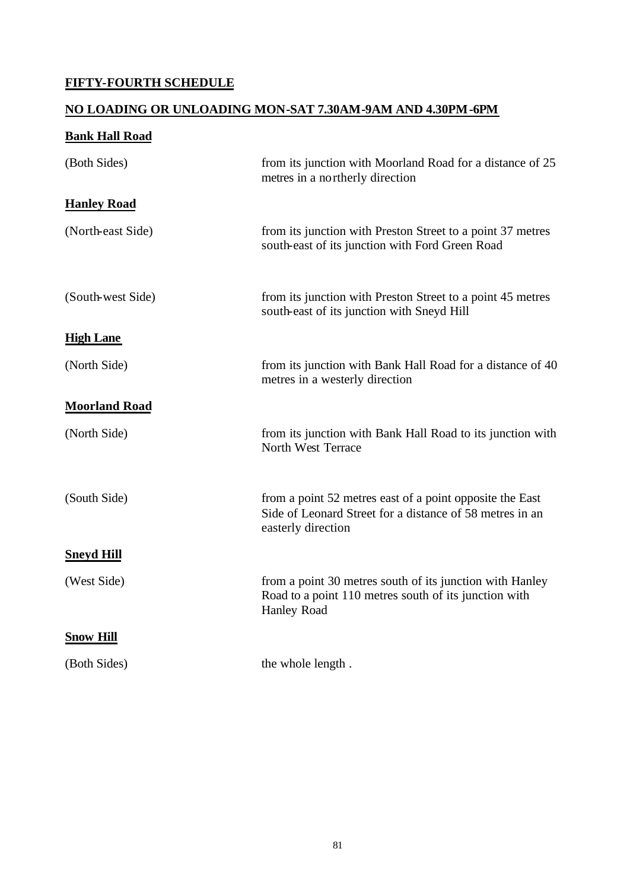## **FIFTY-FOURTH SCHEDULE**

#### **NO LOADING OR UNLOADING MON-SAT 7.30AM-9AM AND 4.30PM-6PM**

| <b>Bank Hall Road</b> |                                                                                                                                            |
|-----------------------|--------------------------------------------------------------------------------------------------------------------------------------------|
| (Both Sides)          | from its junction with Moorland Road for a distance of 25<br>metres in a northerly direction                                               |
| <b>Hanley Road</b>    |                                                                                                                                            |
| (North-east Side)     | from its junction with Preston Street to a point 37 metres<br>south-east of its junction with Ford Green Road                              |
| (South-west Side)     | from its junction with Preston Street to a point 45 metres<br>south-east of its junction with Sneyd Hill                                   |
| <b>High Lane</b>      |                                                                                                                                            |
| (North Side)          | from its junction with Bank Hall Road for a distance of 40<br>metres in a westerly direction                                               |
| <b>Moorland Road</b>  |                                                                                                                                            |
| (North Side)          | from its junction with Bank Hall Road to its junction with<br>North West Terrace                                                           |
| (South Side)          | from a point 52 metres east of a point opposite the East<br>Side of Leonard Street for a distance of 58 metres in an<br>easterly direction |
| <b>Sneyd Hill</b>     |                                                                                                                                            |
| (West Side)           | from a point 30 metres south of its junction with Hanley<br>Road to a point 110 metres south of its junction with<br><b>Hanley Road</b>    |
| <b>Snow Hill</b>      |                                                                                                                                            |
| (Both Sides)          | the whole length.                                                                                                                          |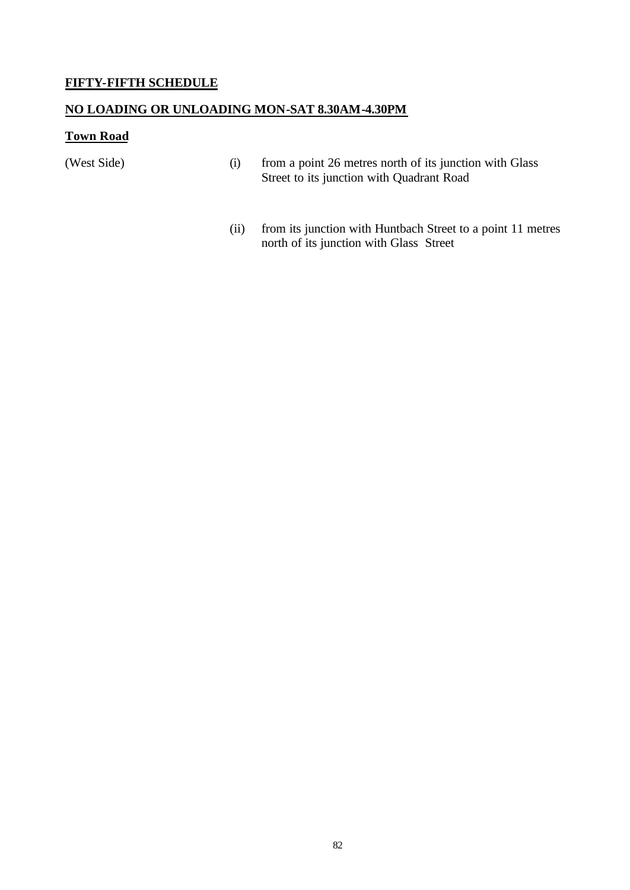#### **FIFTY-FIFTH SCHEDULE**

#### **NO LOADING OR UNLOADING MON-SAT 8.30AM-4.30PM**

#### **Town Road**

- (West Side) (i) from a point 26 metres north of its junction with Glass Street to its junction with Quadrant Road
	- (ii) from its junction with Huntbach Street to a point 11 metres north of its junction with Glass Street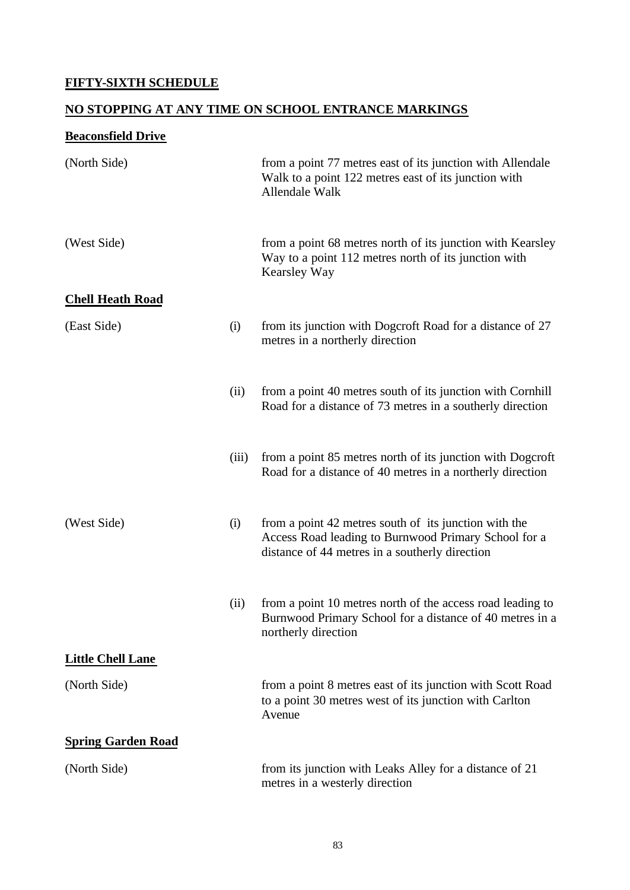## **FIFTY-SIXTH SCHEDULE**

## **NO STOPPING AT ANY TIME ON SCHOOL ENTRANCE MARKINGS**

## **Beaconsfield Drive**

| (North Side)              |       | from a point 77 metres east of its junction with Allendale<br>Walk to a point 122 metres east of its junction with<br>Allendale Walk                            |
|---------------------------|-------|-----------------------------------------------------------------------------------------------------------------------------------------------------------------|
| (West Side)               |       | from a point 68 metres north of its junction with Kearsley<br>Way to a point 112 metres north of its junction with<br>Kearsley Way                              |
| <b>Chell Heath Road</b>   |       |                                                                                                                                                                 |
| (East Side)               | (i)   | from its junction with Dogcroft Road for a distance of 27<br>metres in a northerly direction                                                                    |
|                           | (ii)  | from a point 40 metres south of its junction with Cornhill<br>Road for a distance of 73 metres in a southerly direction                                         |
|                           | (iii) | from a point 85 metres north of its junction with Dogcroft<br>Road for a distance of 40 metres in a northerly direction                                         |
| (West Side)               | (i)   | from a point 42 metres south of its junction with the<br>Access Road leading to Burnwood Primary School for a<br>distance of 44 metres in a southerly direction |
|                           | (ii)  | from a point 10 metres north of the access road leading to<br>Burnwood Primary School for a distance of 40 metres in a<br>northerly direction                   |
| <b>Little Chell Lane</b>  |       |                                                                                                                                                                 |
| (North Side)              |       | from a point 8 metres east of its junction with Scott Road<br>to a point 30 metres west of its junction with Carlton<br>Avenue                                  |
| <b>Spring Garden Road</b> |       |                                                                                                                                                                 |
| (North Side)              |       | from its junction with Leaks Alley for a distance of 21<br>metres in a westerly direction                                                                       |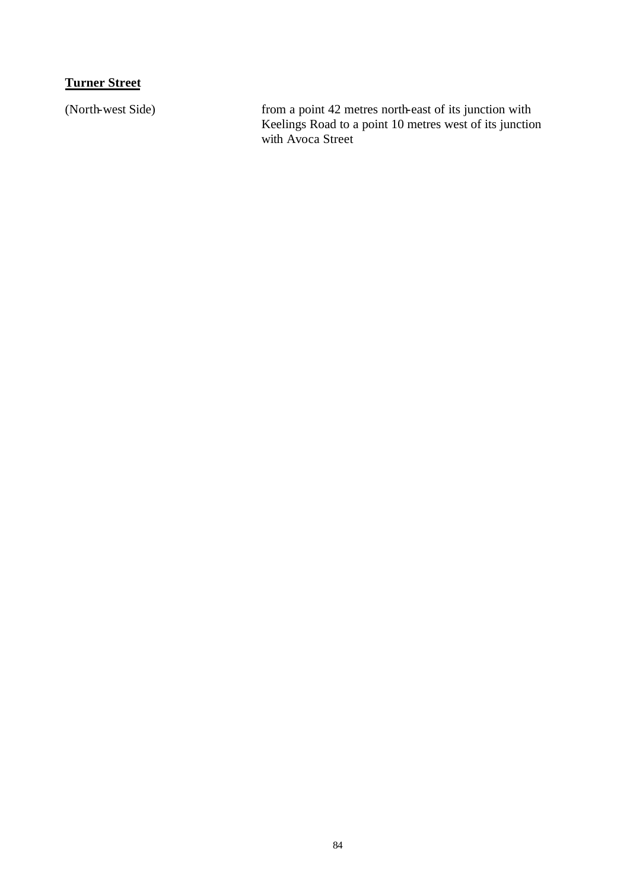## **Turner Street**

(North-west Side) from a point 42 metres north-east of its junction with Keelings Road to a point 10 metres west of its junction with Avoca Street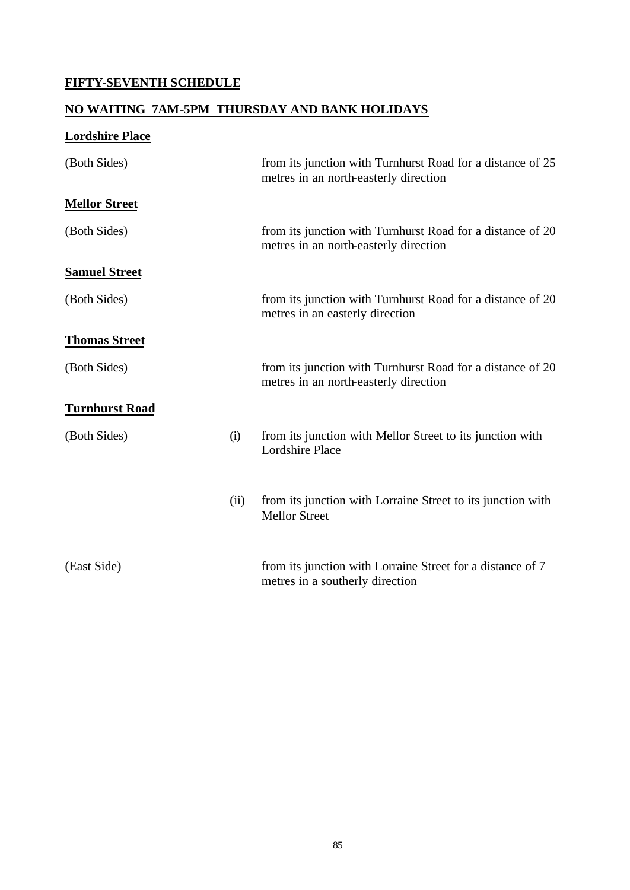## **FIFTY-SEVENTH SCHEDULE**

#### **NO WAITING 7AM-5PM THURSDAY AND BANK HOLIDAYS**

| <b>Lordshire Place</b> |      |                                                                                                     |
|------------------------|------|-----------------------------------------------------------------------------------------------------|
| (Both Sides)           |      | from its junction with Turnhurst Road for a distance of 25<br>metres in an north-easterly direction |
| <b>Mellor Street</b>   |      |                                                                                                     |
| (Both Sides)           |      | from its junction with Turnhurst Road for a distance of 20<br>metres in an north-easterly direction |
| <b>Samuel Street</b>   |      |                                                                                                     |
| (Both Sides)           |      | from its junction with Turnhurst Road for a distance of 20<br>metres in an easterly direction       |
| <b>Thomas Street</b>   |      |                                                                                                     |
| (Both Sides)           |      | from its junction with Turnhurst Road for a distance of 20<br>metres in an north-easterly direction |
| <b>Turnhurst Road</b>  |      |                                                                                                     |
| (Both Sides)           | (i)  | from its junction with Mellor Street to its junction with<br><b>Lordshire Place</b>                 |
|                        | (ii) | from its junction with Lorraine Street to its junction with<br><b>Mellor Street</b>                 |
| (East Side)            |      | from its junction with Lorraine Street for a distance of 7<br>metres in a southerly direction       |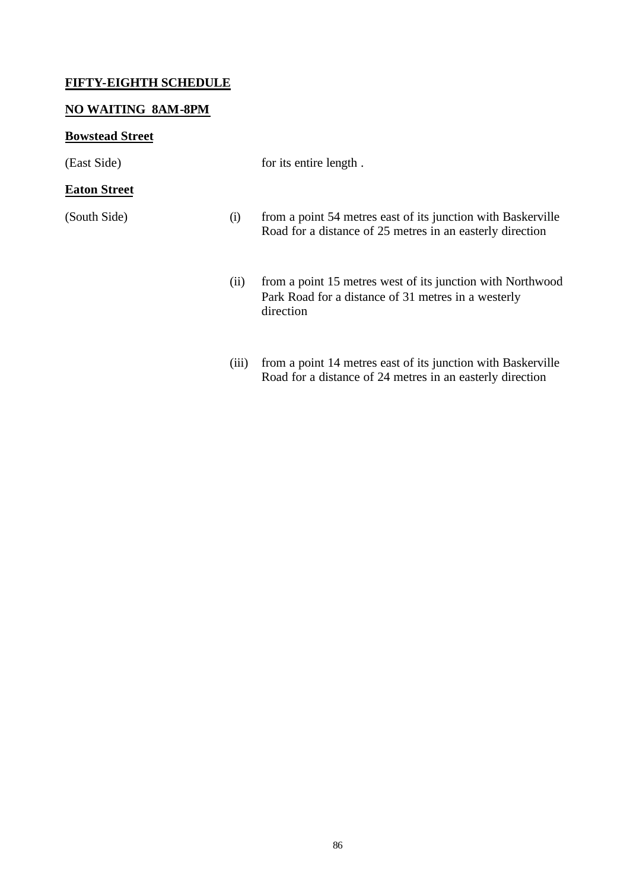#### **FIFTY-EIGHTH SCHEDULE**

#### **NO WAITING 8AM-8PM**

#### **Bowstead Street**

#### **Eaton Street**

(East Side) for its entire length.

- (South Side) (i) from a point 54 metres east of its junction with Baskerville Road for a distance of 25 metres in an easterly direction
	- (ii) from a point 15 metres west of its junction with Northwood Park Road for a distance of 31 metres in a westerly direction
	- (iii) from a point 14 metres east of its junction with Baskerville Road for a distance of 24 metres in an easterly direction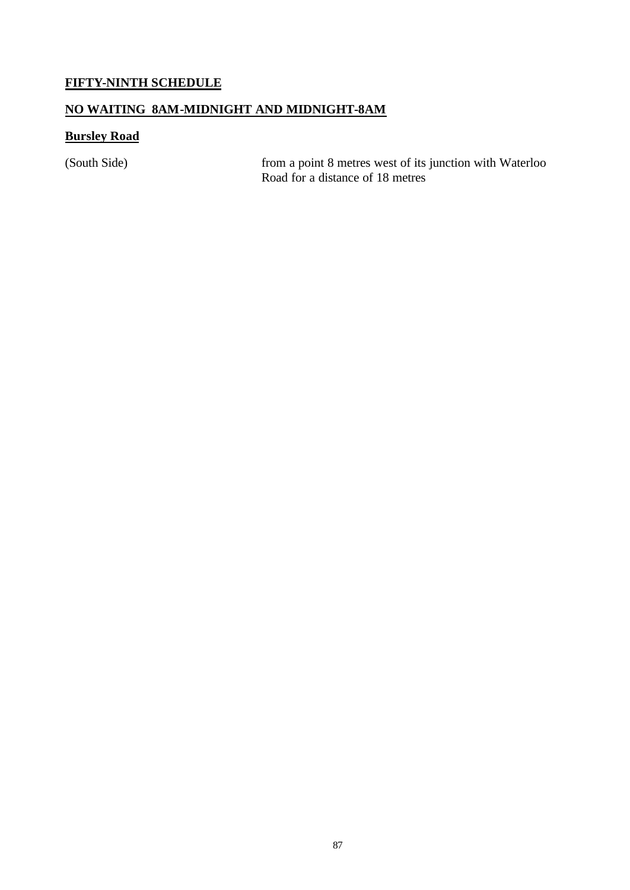### **FIFTY-NINTH SCHEDULE**

#### **NO WAITING 8AM-MIDNIGHT AND MIDNIGHT-8AM**

### **Bursley Road**

(South Side) from a point 8 metres west of its junction with Waterloo Road for a distance of 18 metres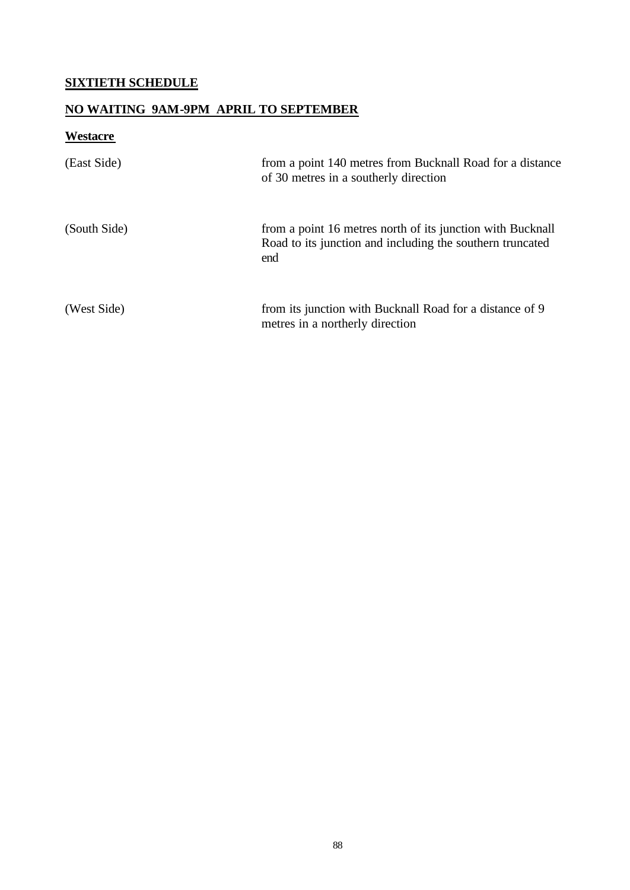### **SIXTIETH SCHEDULE**

## **NO WAITING 9AM-9PM APRIL TO SEPTEMBER**

# **Westacre**

| (East Side)  | from a point 140 metres from Bucknall Road for a distance<br>of 30 metres in a southerly direction                             |
|--------------|--------------------------------------------------------------------------------------------------------------------------------|
| (South Side) | from a point 16 metres north of its junction with Bucknall<br>Road to its junction and including the southern truncated<br>end |
| (West Side)  | from its junction with Bucknall Road for a distance of 9<br>metres in a northerly direction                                    |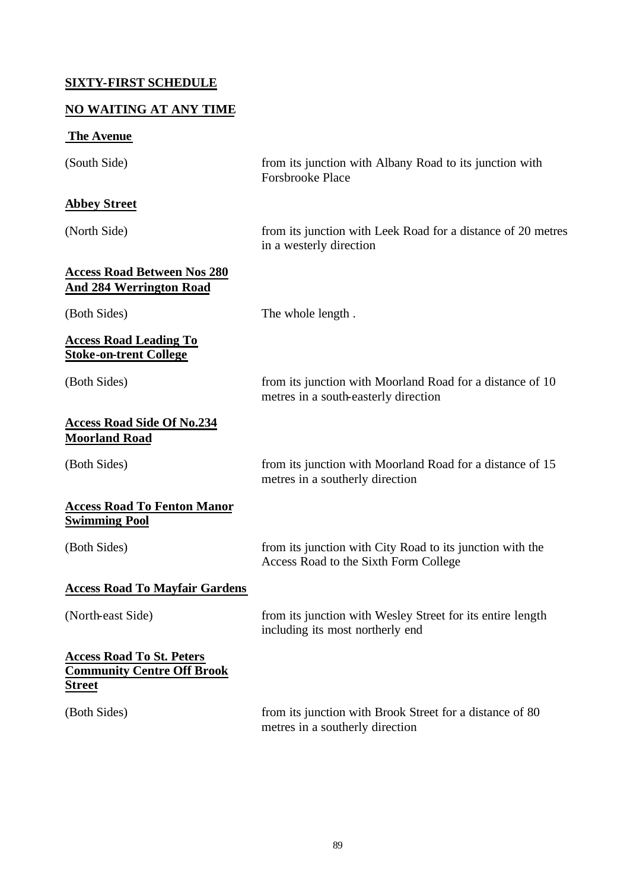### **SIXTY-FIRST SCHEDULE**

#### **NO WAITING AT ANY TIME**

# **The Avenue**

| (South Side)                                                                           | from its junction with Albany Road to its junction with<br><b>Forsbrooke Place</b>                 |
|----------------------------------------------------------------------------------------|----------------------------------------------------------------------------------------------------|
| <b>Abbey Street</b>                                                                    |                                                                                                    |
| (North Side)                                                                           | from its junction with Leek Road for a distance of 20 metres<br>in a westerly direction            |
| <b>Access Road Between Nos 280</b><br><u>And 284 Werrington Road</u>                   |                                                                                                    |
| (Both Sides)                                                                           | The whole length.                                                                                  |
| <b>Access Road Leading To</b><br><b>Stoke-on-trent College</b>                         |                                                                                                    |
| (Both Sides)                                                                           | from its junction with Moorland Road for a distance of 10<br>metres in a south-easterly direction  |
| <b>Access Road Side Of No.234</b><br><b>Moorland Road</b>                              |                                                                                                    |
| (Both Sides)                                                                           | from its junction with Moorland Road for a distance of 15<br>metres in a southerly direction       |
| <b>Access Road To Fenton Manor</b><br><b>Swimming Pool</b>                             |                                                                                                    |
| (Both Sides)                                                                           | from its junction with City Road to its junction with the<br>Access Road to the Sixth Form College |
| <b>Access Road To Mayfair Gardens</b>                                                  |                                                                                                    |
| (North-east Side)                                                                      | from its junction with Wesley Street for its entire length<br>including its most northerly end     |
| <b>Access Road To St. Peters</b><br><b>Community Centre Off Brook</b><br><b>Street</b> |                                                                                                    |
| (Both Sides)                                                                           | from its junction with Brook Street for a distance of 80<br>metres in a southerly direction        |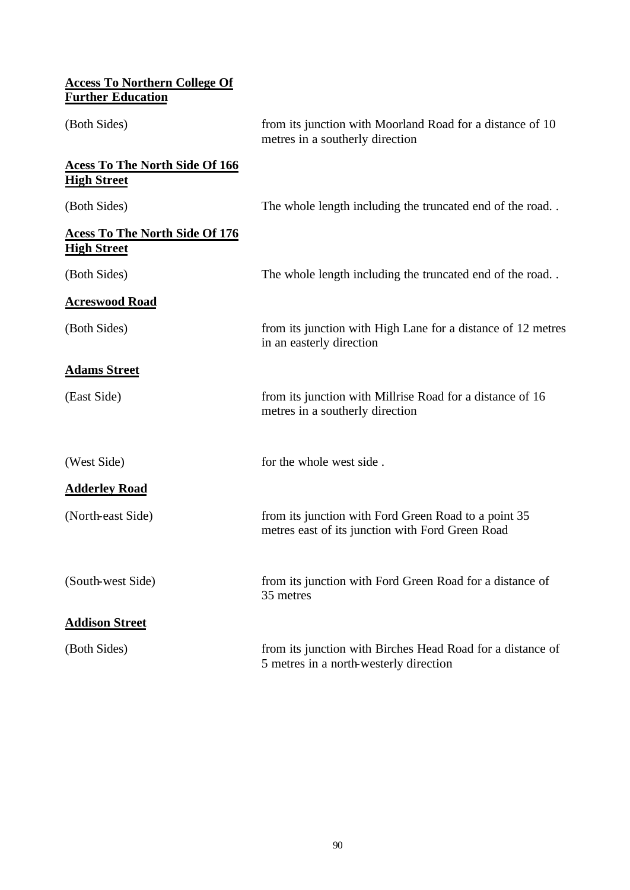| <b>Access To Northern College Of</b><br><b>Further Education</b> |                                                                                                          |
|------------------------------------------------------------------|----------------------------------------------------------------------------------------------------------|
| (Both Sides)                                                     | from its junction with Moorland Road for a distance of 10<br>metres in a southerly direction             |
| <b>Acess To The North Side Of 166</b><br><b>High Street</b>      |                                                                                                          |
| (Both Sides)                                                     | The whole length including the truncated end of the road                                                 |
| <b>Acess To The North Side Of 176</b><br><b>High Street</b>      |                                                                                                          |
| (Both Sides)                                                     | The whole length including the truncated end of the road                                                 |
| <b>Acreswood Road</b>                                            |                                                                                                          |
| (Both Sides)                                                     | from its junction with High Lane for a distance of 12 metres<br>in an easterly direction                 |
| <b>Adams Street</b>                                              |                                                                                                          |
| (East Side)                                                      | from its junction with Millrise Road for a distance of 16<br>metres in a southerly direction             |
| (West Side)                                                      | for the whole west side.                                                                                 |
| <b>Adderley Road</b>                                             |                                                                                                          |
| (North-east Side)                                                | from its junction with Ford Green Road to a point 35<br>metres east of its junction with Ford Green Road |
| (South-west Side)                                                | from its junction with Ford Green Road for a distance of<br>35 metres                                    |
| <b>Addison Street</b>                                            |                                                                                                          |
| (Both Sides)                                                     | from its junction with Birches Head Road for a distance of<br>5 metres in a north-westerly direction     |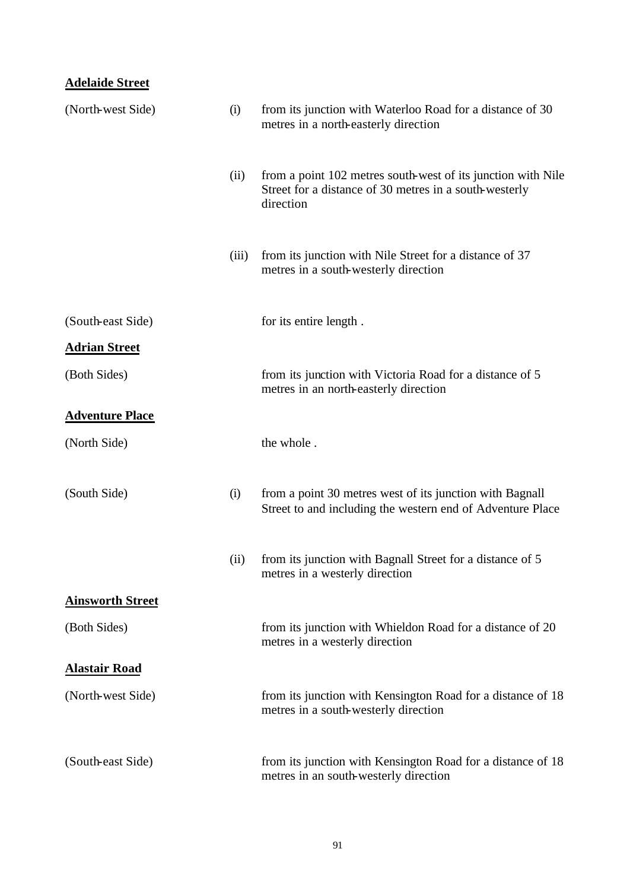### **Adelaide Street**

| (North-west Side)       | (i)   | from its junction with Waterloo Road for a distance of 30<br>metres in a north-easterly direction                                   |
|-------------------------|-------|-------------------------------------------------------------------------------------------------------------------------------------|
|                         | (ii)  | from a point 102 metres south-west of its junction with Nile<br>Street for a distance of 30 metres in a south-westerly<br>direction |
|                         | (iii) | from its junction with Nile Street for a distance of 37<br>metres in a south-westerly direction                                     |
| (South-east Side)       |       | for its entire length.                                                                                                              |
| <b>Adrian Street</b>    |       |                                                                                                                                     |
| (Both Sides)            |       | from its junction with Victoria Road for a distance of 5<br>metres in an north-easterly direction                                   |
| <b>Adventure Place</b>  |       |                                                                                                                                     |
| (North Side)            |       | the whole.                                                                                                                          |
| (South Side)            | (i)   | from a point 30 metres west of its junction with Bagnall<br>Street to and including the western end of Adventure Place              |
|                         | (ii)  | from its junction with Bagnall Street for a distance of 5<br>metres in a westerly direction                                         |
| <b>Ainsworth Street</b> |       |                                                                                                                                     |
| (Both Sides)            |       | from its junction with Whieldon Road for a distance of 20<br>metres in a westerly direction                                         |
| <b>Alastair Road</b>    |       |                                                                                                                                     |
| (North-west Side)       |       | from its junction with Kensington Road for a distance of 18<br>metres in a south-westerly direction                                 |
| (South-east Side)       |       | from its junction with Kensington Road for a distance of 18<br>metres in an south-westerly direction                                |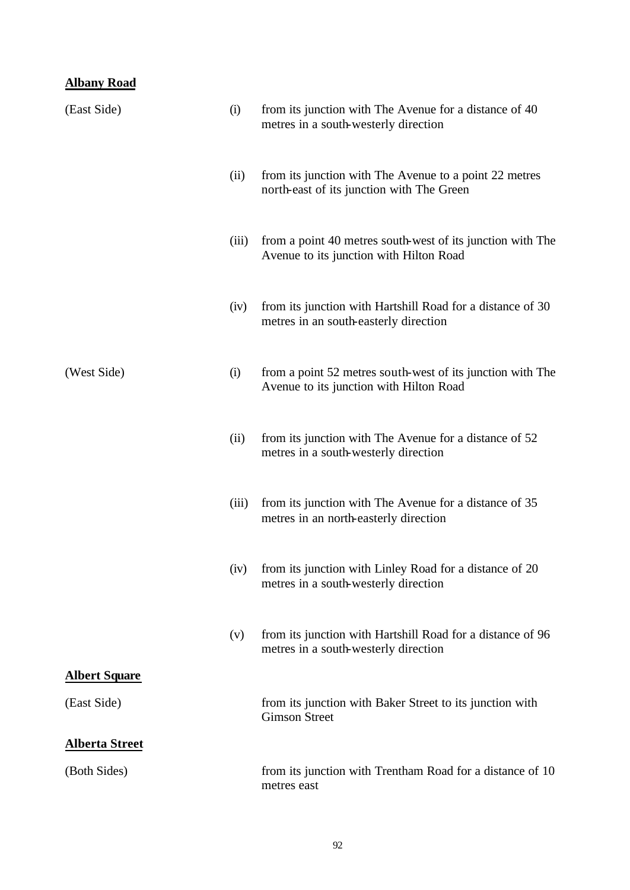### **Albany Road**

| (East Side)           | (i)   | from its junction with The Avenue for a distance of 40<br>metres in a south-westerly direction        |
|-----------------------|-------|-------------------------------------------------------------------------------------------------------|
|                       | (ii)  | from its junction with The Avenue to a point 22 metres<br>north-east of its junction with The Green   |
|                       | (iii) | from a point 40 metres south-west of its junction with The<br>Avenue to its junction with Hilton Road |
|                       | (iv)  | from its junction with Hartshill Road for a distance of 30<br>metres in an south-easterly direction   |
| (West Side)           | (i)   | from a point 52 metres south-west of its junction with The<br>Avenue to its junction with Hilton Road |
|                       | (ii)  | from its junction with The Avenue for a distance of 52<br>metres in a south-westerly direction        |
|                       | (iii) | from its junction with The Avenue for a distance of 35<br>metres in an north-easterly direction       |
|                       | (iv)  | from its junction with Linley Road for a distance of 20<br>metres in a south-westerly direction       |
|                       | (v)   | from its junction with Hartshill Road for a distance of 96<br>metres in a south-westerly direction    |
| <b>Albert Square</b>  |       |                                                                                                       |
| (East Side)           |       | from its junction with Baker Street to its junction with<br><b>Gimson Street</b>                      |
| <b>Alberta Street</b> |       |                                                                                                       |
| (Both Sides)          |       | from its junction with Trentham Road for a distance of 10<br>metres east                              |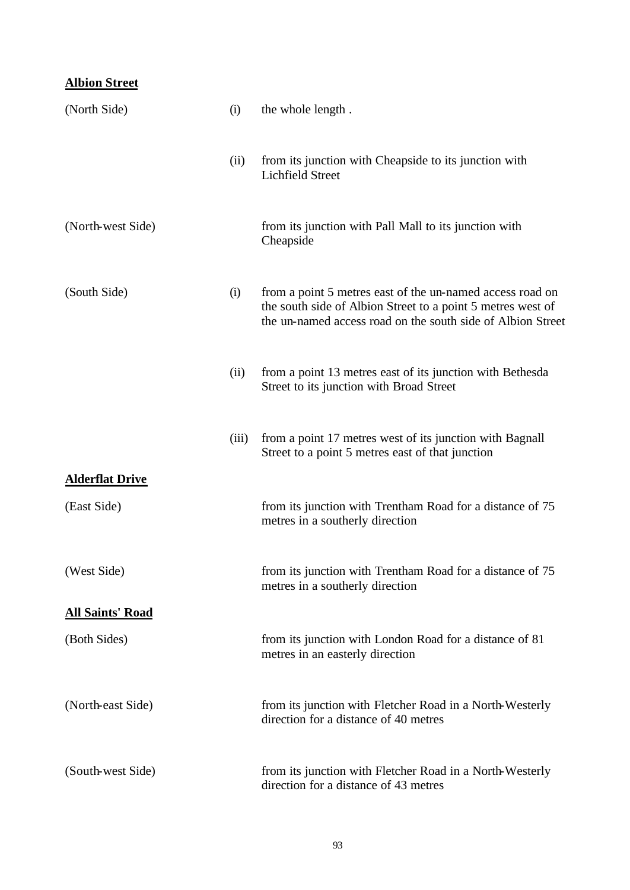### **Albion Street**

| (North Side)            | (i)   | the whole length.                                                                                                                                                                       |
|-------------------------|-------|-----------------------------------------------------------------------------------------------------------------------------------------------------------------------------------------|
|                         | (ii)  | from its junction with Cheapside to its junction with<br><b>Lichfield Street</b>                                                                                                        |
| (North-west Side)       |       | from its junction with Pall Mall to its junction with<br>Cheapside                                                                                                                      |
| (South Side)            | (i)   | from a point 5 metres east of the un-named access road on<br>the south side of Albion Street to a point 5 metres west of<br>the un-named access road on the south side of Albion Street |
|                         | (ii)  | from a point 13 metres east of its junction with Bethesda<br>Street to its junction with Broad Street                                                                                   |
|                         | (iii) | from a point 17 metres west of its junction with Bagnall<br>Street to a point 5 metres east of that junction                                                                            |
| <b>Alderflat Drive</b>  |       |                                                                                                                                                                                         |
| (East Side)             |       | from its junction with Trentham Road for a distance of 75<br>metres in a southerly direction                                                                                            |
| (West Side)             |       | from its junction with Trentham Road for a distance of 75<br>metres in a southerly direction                                                                                            |
| <b>All Saints' Road</b> |       |                                                                                                                                                                                         |
| (Both Sides)            |       | from its junction with London Road for a distance of 81<br>metres in an easterly direction                                                                                              |
| (North-east Side)       |       | from its junction with Fletcher Road in a North-Westerly<br>direction for a distance of 40 metres                                                                                       |
| (South-west Side)       |       | from its junction with Fletcher Road in a North-Westerly<br>direction for a distance of 43 metres                                                                                       |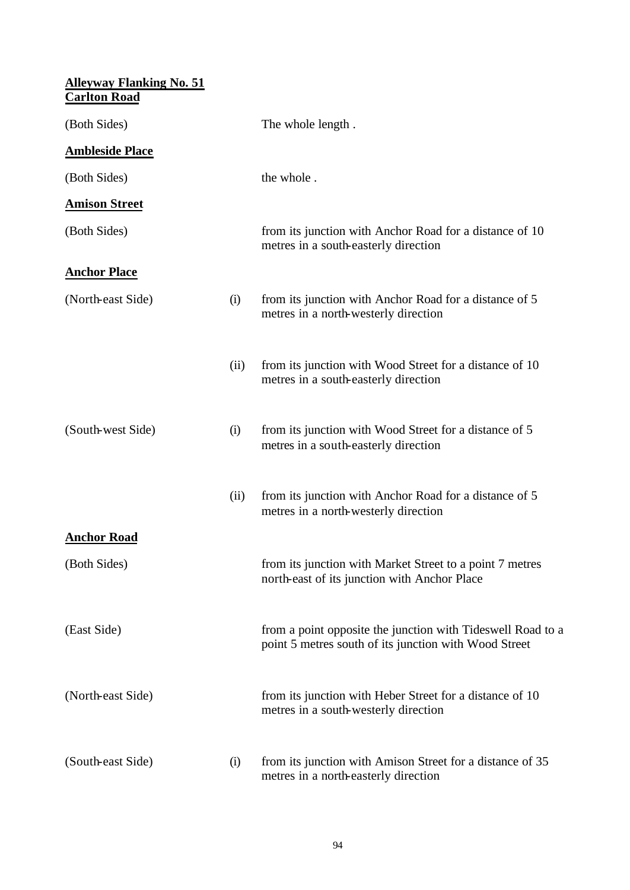| <b>Alleyway Flanking No. 51</b><br><b>Carlton Road</b> |      |                                                                                                                      |
|--------------------------------------------------------|------|----------------------------------------------------------------------------------------------------------------------|
| (Both Sides)                                           |      | The whole length.                                                                                                    |
| <b>Ambleside Place</b>                                 |      |                                                                                                                      |
| (Both Sides)                                           |      | the whole.                                                                                                           |
| <b>Amison Street</b>                                   |      |                                                                                                                      |
| (Both Sides)                                           |      | from its junction with Anchor Road for a distance of 10<br>metres in a south-easterly direction                      |
| <b>Anchor Place</b>                                    |      |                                                                                                                      |
| (North-east Side)                                      | (i)  | from its junction with Anchor Road for a distance of 5<br>metres in a north-westerly direction                       |
|                                                        | (ii) | from its junction with Wood Street for a distance of 10<br>metres in a south-easterly direction                      |
| (South-west Side)                                      | (i)  | from its junction with Wood Street for a distance of 5<br>metres in a south-easterly direction                       |
|                                                        | (ii) | from its junction with Anchor Road for a distance of 5<br>metres in a north-westerly direction                       |
| <b>Anchor Road</b>                                     |      |                                                                                                                      |
| (Both Sides)                                           |      | from its junction with Market Street to a point 7 metres<br>north-east of its junction with Anchor Place             |
| (East Side)                                            |      | from a point opposite the junction with Tideswell Road to a<br>point 5 metres south of its junction with Wood Street |
| (North-east Side)                                      |      | from its junction with Heber Street for a distance of 10<br>metres in a south-westerly direction                     |
| (South-east Side)                                      | (i)  | from its junction with Amison Street for a distance of 35<br>metres in a north-easterly direction                    |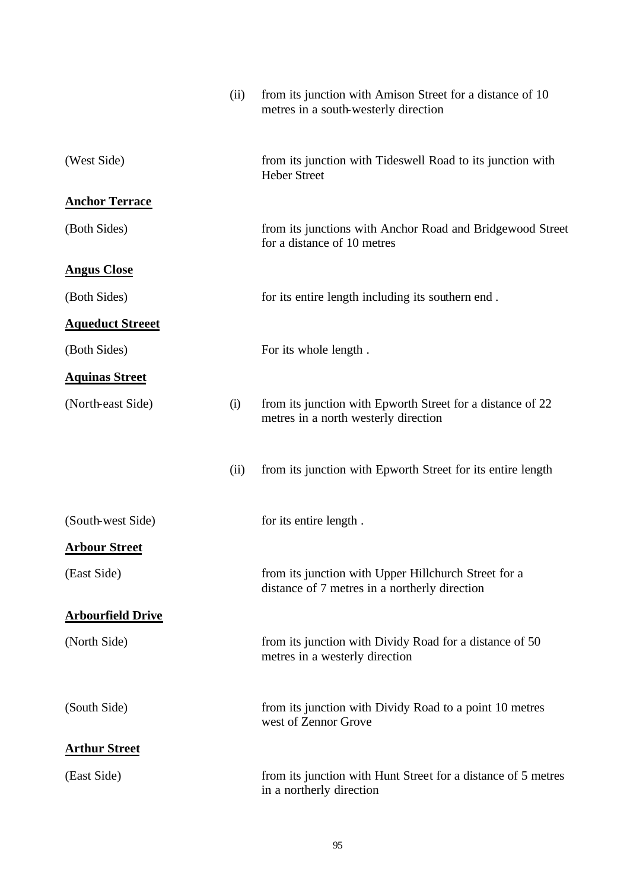|                          | (ii) | from its junction with Amison Street for a distance of 10<br>metres in a south-westerly direction     |
|--------------------------|------|-------------------------------------------------------------------------------------------------------|
| (West Side)              |      | from its junction with Tideswell Road to its junction with<br><b>Heber Street</b>                     |
| <b>Anchor Terrace</b>    |      |                                                                                                       |
| (Both Sides)             |      | from its junctions with Anchor Road and Bridgewood Street<br>for a distance of 10 metres              |
| <b>Angus Close</b>       |      |                                                                                                       |
| (Both Sides)             |      | for its entire length including its southern end.                                                     |
| <b>Aqueduct Streeet</b>  |      |                                                                                                       |
| (Both Sides)             |      | For its whole length.                                                                                 |
| <b>Aquinas Street</b>    |      |                                                                                                       |
| (North-east Side)        | (i)  | from its junction with Epworth Street for a distance of 22<br>metres in a north westerly direction    |
|                          | (ii) | from its junction with Epworth Street for its entire length                                           |
| (South-west Side)        |      | for its entire length.                                                                                |
| <b>Arbour Street</b>     |      |                                                                                                       |
| (East Side)              |      | from its junction with Upper Hillchurch Street for a<br>distance of 7 metres in a northerly direction |
| <b>Arbourfield Drive</b> |      |                                                                                                       |
| (North Side)             |      | from its junction with Dividy Road for a distance of 50<br>metres in a westerly direction             |
| (South Side)             |      | from its junction with Dividy Road to a point 10 metres<br>west of Zennor Grove                       |
| <b>Arthur Street</b>     |      |                                                                                                       |
| (East Side)              |      | from its junction with Hunt Street for a distance of 5 metres<br>in a northerly direction             |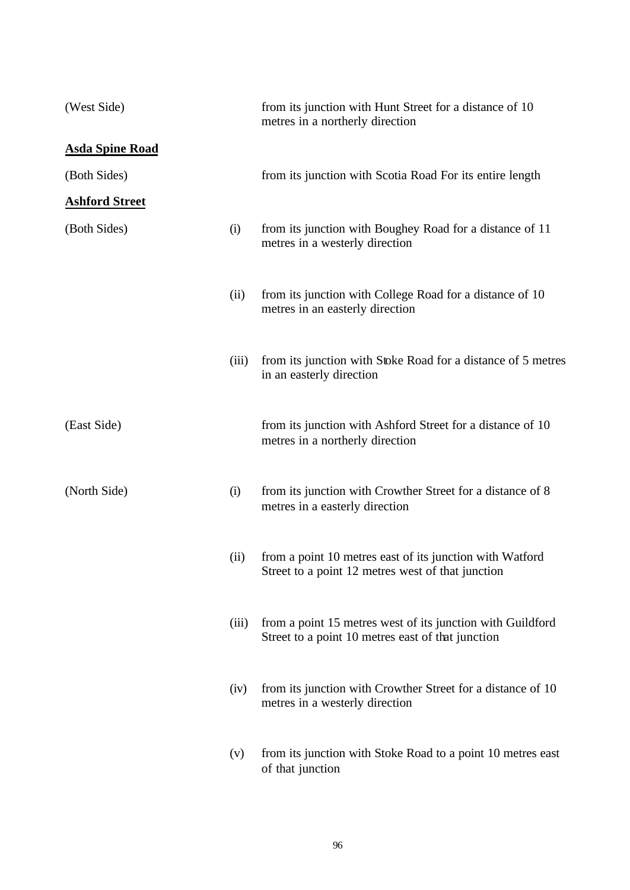| (West Side)            |       | from its junction with Hunt Street for a distance of 10<br>metres in a northerly direction                      |
|------------------------|-------|-----------------------------------------------------------------------------------------------------------------|
| <b>Asda Spine Road</b> |       |                                                                                                                 |
| (Both Sides)           |       | from its junction with Scotia Road For its entire length                                                        |
| <b>Ashford Street</b>  |       |                                                                                                                 |
| (Both Sides)           | (i)   | from its junction with Boughey Road for a distance of 11<br>metres in a westerly direction                      |
|                        | (ii)  | from its junction with College Road for a distance of 10<br>metres in an easterly direction                     |
|                        | (iii) | from its junction with Stoke Road for a distance of 5 metres<br>in an easterly direction                        |
| (East Side)            |       | from its junction with Ashford Street for a distance of 10<br>metres in a northerly direction                   |
| (North Side)           | (i)   | from its junction with Crowther Street for a distance of 8<br>metres in a easterly direction                    |
|                        | (ii)  | from a point 10 metres east of its junction with Watford<br>Street to a point 12 metres west of that junction   |
|                        | (iii) | from a point 15 metres west of its junction with Guildford<br>Street to a point 10 metres east of that junction |
|                        | (iv)  | from its junction with Crowther Street for a distance of 10<br>metres in a westerly direction                   |
|                        | (v)   | from its junction with Stoke Road to a point 10 metres east<br>of that junction                                 |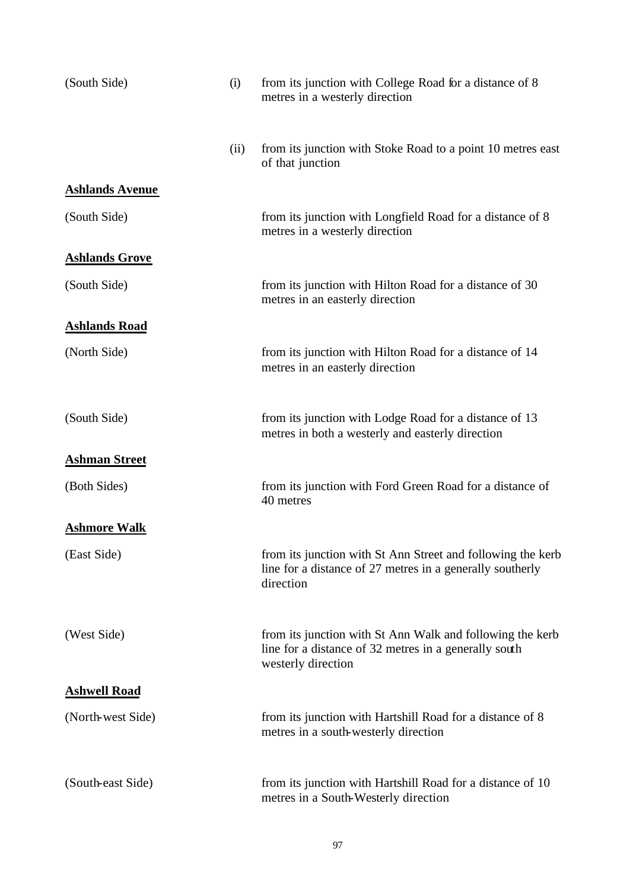| (South Side)           | (i)  | from its junction with College Road for a distance of 8<br>metres in a westerly direction                                                |
|------------------------|------|------------------------------------------------------------------------------------------------------------------------------------------|
|                        | (ii) | from its junction with Stoke Road to a point 10 metres east<br>of that junction                                                          |
| <b>Ashlands Avenue</b> |      |                                                                                                                                          |
| (South Side)           |      | from its junction with Longfield Road for a distance of 8<br>metres in a westerly direction                                              |
| <b>Ashlands Grove</b>  |      |                                                                                                                                          |
| (South Side)           |      | from its junction with Hilton Road for a distance of 30<br>metres in an easterly direction                                               |
| <b>Ashlands Road</b>   |      |                                                                                                                                          |
| (North Side)           |      | from its junction with Hilton Road for a distance of 14<br>metres in an easterly direction                                               |
| (South Side)           |      | from its junction with Lodge Road for a distance of 13<br>metres in both a westerly and easterly direction                               |
| <b>Ashman Street</b>   |      |                                                                                                                                          |
| (Both Sides)           |      | from its junction with Ford Green Road for a distance of<br>40 metres                                                                    |
| <b>Ashmore Walk</b>    |      |                                                                                                                                          |
| (East Side)            |      | from its junction with St Ann Street and following the kerb<br>line for a distance of 27 metres in a generally southerly<br>direction    |
| (West Side)            |      | from its junction with St Ann Walk and following the kerb<br>line for a distance of 32 metres in a generally south<br>westerly direction |
| <b>Ashwell Road</b>    |      |                                                                                                                                          |
| (North-west Side)      |      | from its junction with Hartshill Road for a distance of 8<br>metres in a south-westerly direction                                        |
| (South-east Side)      |      | from its junction with Hartshill Road for a distance of 10<br>metres in a South-Westerly direction                                       |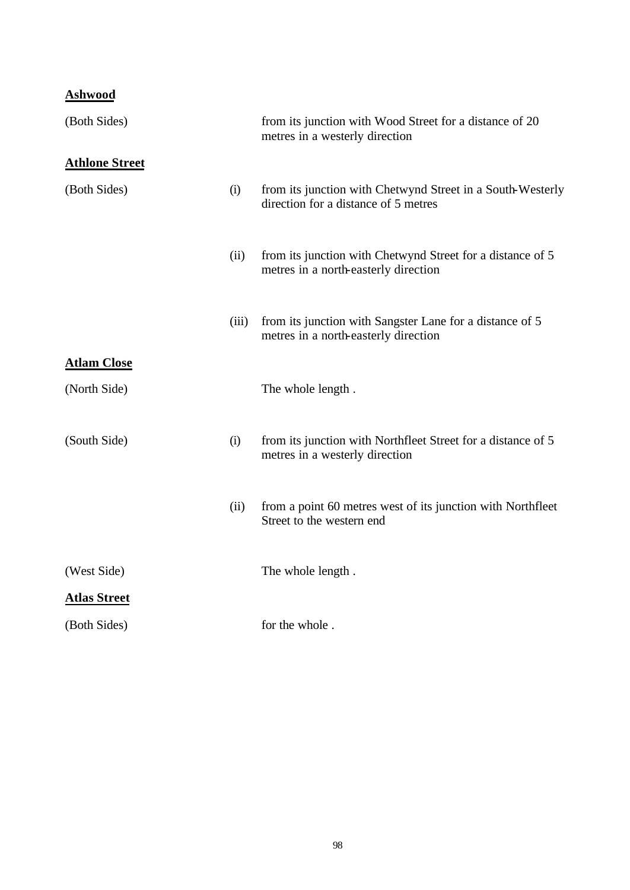### **Ashwood**

| (Both Sides)          |       | from its junction with Wood Street for a distance of 20<br>metres in a westerly direction          |
|-----------------------|-------|----------------------------------------------------------------------------------------------------|
| <b>Athlone Street</b> |       |                                                                                                    |
| (Both Sides)          | (i)   | from its junction with Chetwynd Street in a South-Westerly<br>direction for a distance of 5 metres |
|                       | (ii)  | from its junction with Chetwynd Street for a distance of 5<br>metres in a north-easterly direction |
|                       | (iii) | from its junction with Sangster Lane for a distance of 5<br>metres in a north-easterly direction   |
| <b>Atlam Close</b>    |       |                                                                                                    |
| (North Side)          |       | The whole length.                                                                                  |
| (South Side)          | (i)   | from its junction with Northfleet Street for a distance of 5<br>metres in a westerly direction     |
|                       | (ii)  | from a point 60 metres west of its junction with Northfleet<br>Street to the western end           |
| (West Side)           |       | The whole length.                                                                                  |
| <b>Atlas Street</b>   |       |                                                                                                    |
| (Both Sides)          |       | for the whole.                                                                                     |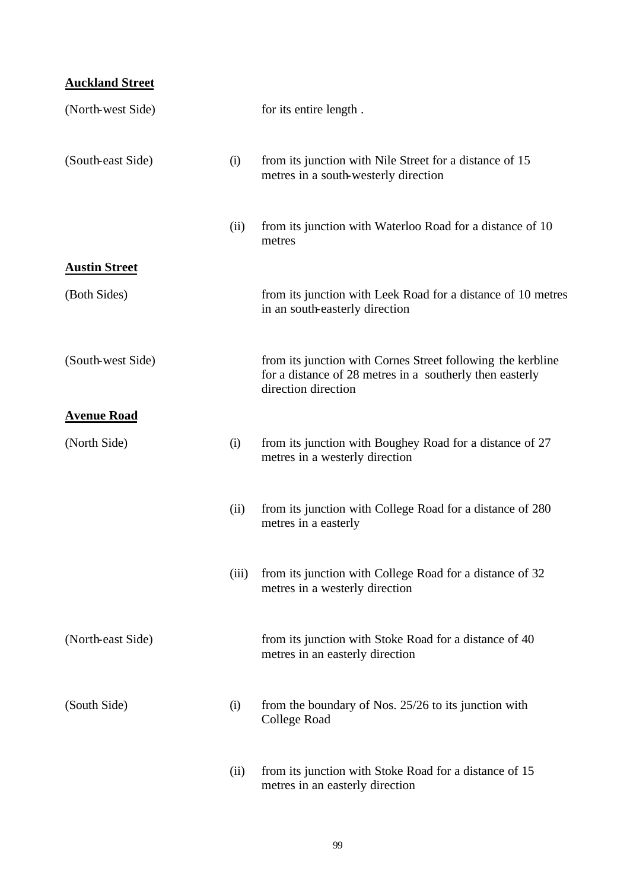### **Auckland Street**

| (North-west Side)    |       | for its entire length.                                                                                                                         |
|----------------------|-------|------------------------------------------------------------------------------------------------------------------------------------------------|
| (South-east Side)    | (i)   | from its junction with Nile Street for a distance of 15<br>metres in a south-westerly direction                                                |
|                      | (ii)  | from its junction with Waterloo Road for a distance of 10<br>metres                                                                            |
| <b>Austin Street</b> |       |                                                                                                                                                |
| (Both Sides)         |       | from its junction with Leek Road for a distance of 10 metres<br>in an south-easterly direction                                                 |
| (South-west Side)    |       | from its junction with Cornes Street following the kerbline<br>for a distance of 28 metres in a southerly then easterly<br>direction direction |
| <b>Avenue Road</b>   |       |                                                                                                                                                |
| (North Side)         | (i)   | from its junction with Boughey Road for a distance of 27<br>metres in a westerly direction                                                     |
|                      | (ii)  | from its junction with College Road for a distance of 280<br>metres in a easterly                                                              |
|                      | (iii) | from its junction with College Road for a distance of 32<br>metres in a westerly direction                                                     |
| (North-east Side)    |       | from its junction with Stoke Road for a distance of 40<br>metres in an easterly direction                                                      |
| (South Side)         | (i)   | from the boundary of Nos. $25/26$ to its junction with<br>College Road                                                                         |
|                      | (ii)  | from its junction with Stoke Road for a distance of 15<br>metres in an easterly direction                                                      |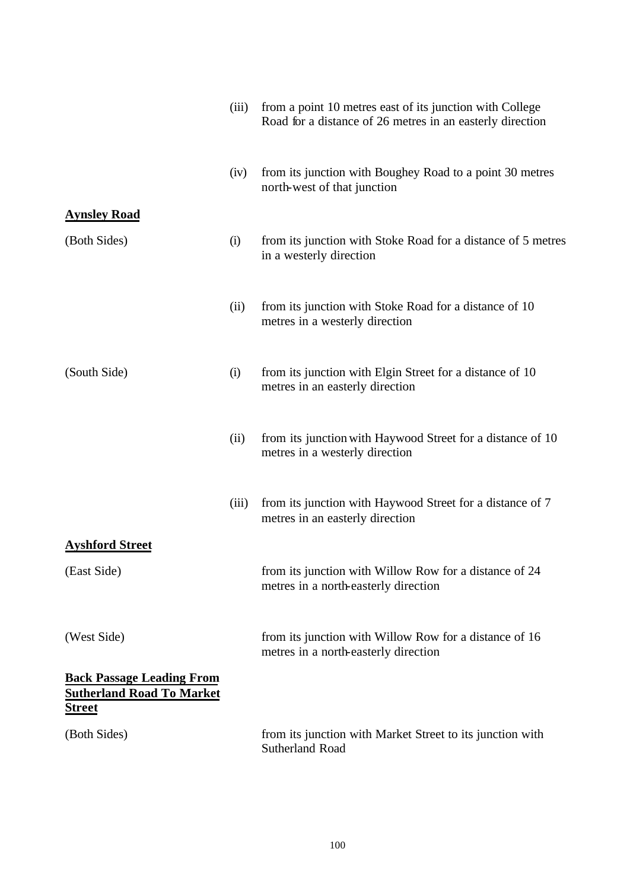|                                                                                       | (iii) | from a point 10 metres east of its junction with College<br>Road for a distance of 26 metres in an easterly direction |
|---------------------------------------------------------------------------------------|-------|-----------------------------------------------------------------------------------------------------------------------|
|                                                                                       | (iv)  | from its junction with Boughey Road to a point 30 metres<br>north-west of that junction                               |
| <b>Aynsley Road</b>                                                                   |       |                                                                                                                       |
| (Both Sides)                                                                          | (i)   | from its junction with Stoke Road for a distance of 5 metres<br>in a westerly direction                               |
|                                                                                       | (ii)  | from its junction with Stoke Road for a distance of 10<br>metres in a westerly direction                              |
| (South Side)                                                                          | (i)   | from its junction with Elgin Street for a distance of 10<br>metres in an easterly direction                           |
|                                                                                       | (ii)  | from its junction with Haywood Street for a distance of 10<br>metres in a westerly direction                          |
|                                                                                       | (iii) | from its junction with Haywood Street for a distance of 7<br>metres in an easterly direction                          |
| <b>Ayshford Street</b>                                                                |       |                                                                                                                       |
| (East Side)                                                                           |       | from its junction with Willow Row for a distance of 24<br>metres in a north-easterly direction                        |
| (West Side)                                                                           |       | from its junction with Willow Row for a distance of 16<br>metres in a north-easterly direction                        |
| <b>Back Passage Leading From</b><br><b>Sutherland Road To Market</b><br><b>Street</b> |       |                                                                                                                       |
| (Both Sides)                                                                          |       | from its junction with Market Street to its junction with<br>Sutherland Road                                          |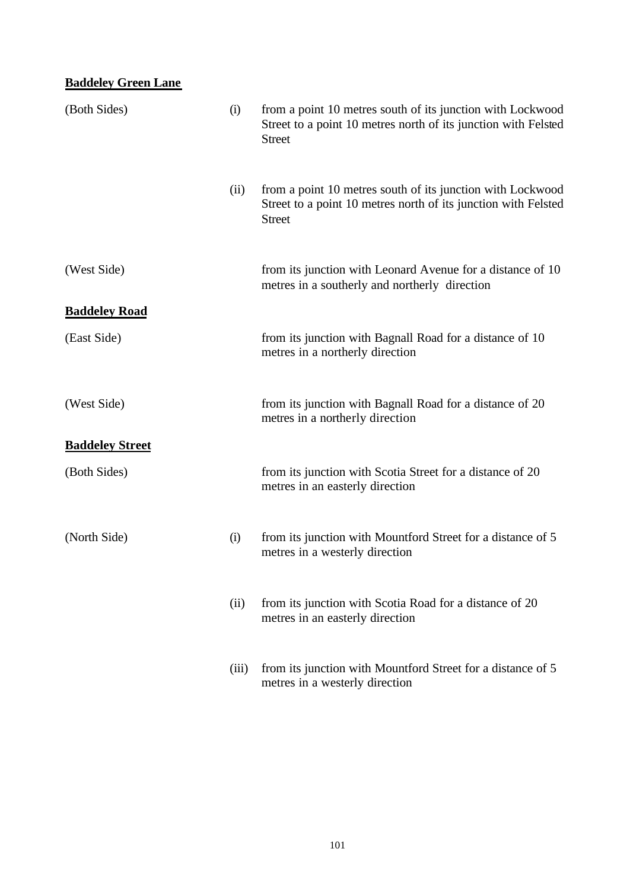### **Baddeley Green Lane**

| (Both Sides)           | (i)   | from a point 10 metres south of its junction with Lockwood<br>Street to a point 10 metres north of its junction with Felsted<br><b>Street</b> |
|------------------------|-------|-----------------------------------------------------------------------------------------------------------------------------------------------|
|                        | (ii)  | from a point 10 metres south of its junction with Lockwood<br>Street to a point 10 metres north of its junction with Felsted<br><b>Street</b> |
| (West Side)            |       | from its junction with Leonard Avenue for a distance of 10<br>metres in a southerly and northerly direction                                   |
| <b>Baddeley Road</b>   |       |                                                                                                                                               |
| (East Side)            |       | from its junction with Bagnall Road for a distance of 10<br>metres in a northerly direction                                                   |
| (West Side)            |       | from its junction with Bagnall Road for a distance of 20<br>metres in a northerly direction                                                   |
| <b>Baddeley Street</b> |       |                                                                                                                                               |
| (Both Sides)           |       | from its junction with Scotia Street for a distance of 20<br>metres in an easterly direction                                                  |
| (North Side)           | (i)   | from its junction with Mountford Street for a distance of 5<br>metres in a westerly direction                                                 |
|                        | (ii)  | from its junction with Scotia Road for a distance of 20<br>metres in an easterly direction                                                    |
|                        | (iii) | from its junction with Mountford Street for a distance of 5<br>metres in a westerly direction                                                 |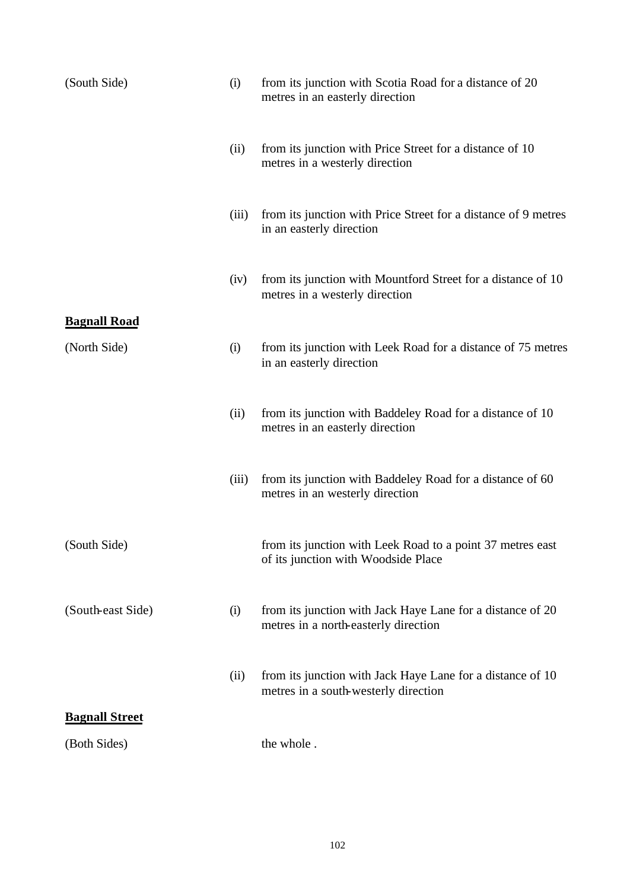| (South Side)                        | (i)   | from its junction with Scotia Road for a distance of 20<br>metres in an easterly direction         |
|-------------------------------------|-------|----------------------------------------------------------------------------------------------------|
|                                     | (ii)  | from its junction with Price Street for a distance of 10<br>metres in a westerly direction         |
|                                     | (iii) | from its junction with Price Street for a distance of 9 metres<br>in an easterly direction         |
|                                     | (iv)  | from its junction with Mountford Street for a distance of 10<br>metres in a westerly direction     |
| <b>Bagnall Road</b><br>(North Side) | (i)   | from its junction with Leek Road for a distance of 75 metres<br>in an easterly direction           |
|                                     | (ii)  | from its junction with Baddeley Road for a distance of 10<br>metres in an easterly direction       |
|                                     | (iii) | from its junction with Baddeley Road for a distance of 60<br>metres in an westerly direction       |
| (South Side)                        |       | from its junction with Leek Road to a point 37 metres east<br>of its junction with Woodside Place  |
| (South-east Side)                   | (i)   | from its junction with Jack Haye Lane for a distance of 20<br>metres in a north-easterly direction |
|                                     | (ii)  | from its junction with Jack Haye Lane for a distance of 10<br>metres in a south-westerly direction |
| <b>Bagnall Street</b>               |       |                                                                                                    |
| (Both Sides)                        |       | the whole.                                                                                         |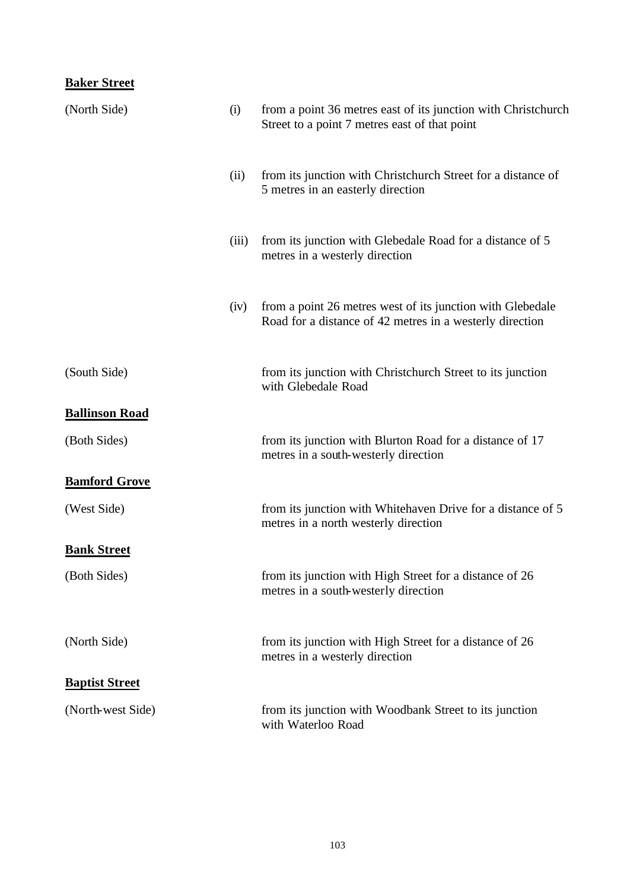### **Baker Street**

| (North Side)          | (i)   | from a point 36 metres east of its junction with Christchurch<br>Street to a point 7 metres east of that point         |
|-----------------------|-------|------------------------------------------------------------------------------------------------------------------------|
|                       | (ii)  | from its junction with Christchurch Street for a distance of<br>5 metres in an easterly direction                      |
|                       | (iii) | from its junction with Glebedale Road for a distance of 5<br>metres in a westerly direction                            |
|                       | (iv)  | from a point 26 metres west of its junction with Glebedale<br>Road for a distance of 42 metres in a westerly direction |
| (South Side)          |       | from its junction with Christchurch Street to its junction<br>with Glebedale Road                                      |
| <b>Ballinson Road</b> |       |                                                                                                                        |
| (Both Sides)          |       | from its junction with Blurton Road for a distance of 17<br>metres in a south-westerly direction                       |
| <b>Bamford Grove</b>  |       |                                                                                                                        |
| (West Side)           |       | from its junction with Whitehaven Drive for a distance of 5<br>metres in a north westerly direction                    |
| <b>Bank Street</b>    |       |                                                                                                                        |
| (Both Sides)          |       | from its junction with High Street for a distance of 26<br>metres in a south-westerly direction                        |
| (North Side)          |       | from its junction with High Street for a distance of 26<br>metres in a westerly direction                              |
| <b>Baptist Street</b> |       |                                                                                                                        |
| (North-west Side)     |       | from its junction with Woodbank Street to its junction<br>with Waterloo Road                                           |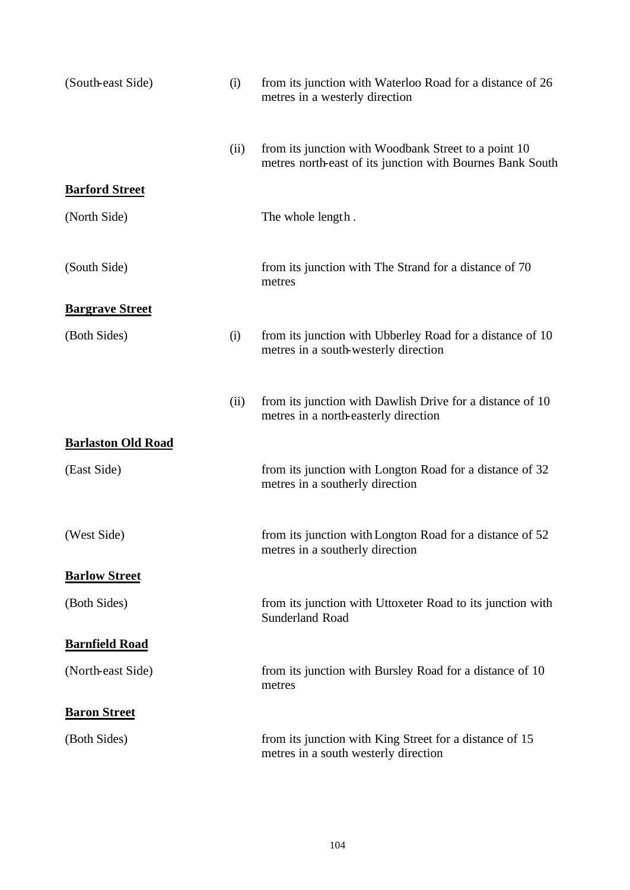| (South-east Side)         | (i)  | from its junction with Waterloo Road for a distance of 26<br>metres in a westerly direction                       |
|---------------------------|------|-------------------------------------------------------------------------------------------------------------------|
|                           | (ii) | from its junction with Woodbank Street to a point 10<br>metres north-east of its junction with Bournes Bank South |
| <b>Barford Street</b>     |      |                                                                                                                   |
| (North Side)              |      | The whole length.                                                                                                 |
| (South Side)              |      | from its junction with The Strand for a distance of 70<br>metres                                                  |
| <b>Bargrave Street</b>    |      |                                                                                                                   |
| (Both Sides)              | (i)  | from its junction with Ubberley Road for a distance of 10<br>metres in a south-westerly direction                 |
|                           | (ii) | from its junction with Dawlish Drive for a distance of 10<br>metres in a north-easterly direction                 |
| <b>Barlaston Old Road</b> |      |                                                                                                                   |
| (East Side)               |      | from its junction with Longton Road for a distance of 32<br>metres in a southerly direction                       |
| (West Side)               |      | from its junction with Longton Road for a distance of 52<br>metres in a southerly direction                       |
| <b>Barlow Street</b>      |      |                                                                                                                   |
| (Both Sides)              |      | from its junction with Uttoxeter Road to its junction with<br><b>Sunderland Road</b>                              |
| <b>Barnfield Road</b>     |      |                                                                                                                   |
| (North-east Side)         |      | from its junction with Bursley Road for a distance of 10<br>metres                                                |
| <b>Baron Street</b>       |      |                                                                                                                   |
| (Both Sides)              |      | from its junction with King Street for a distance of 15<br>metres in a south westerly direction                   |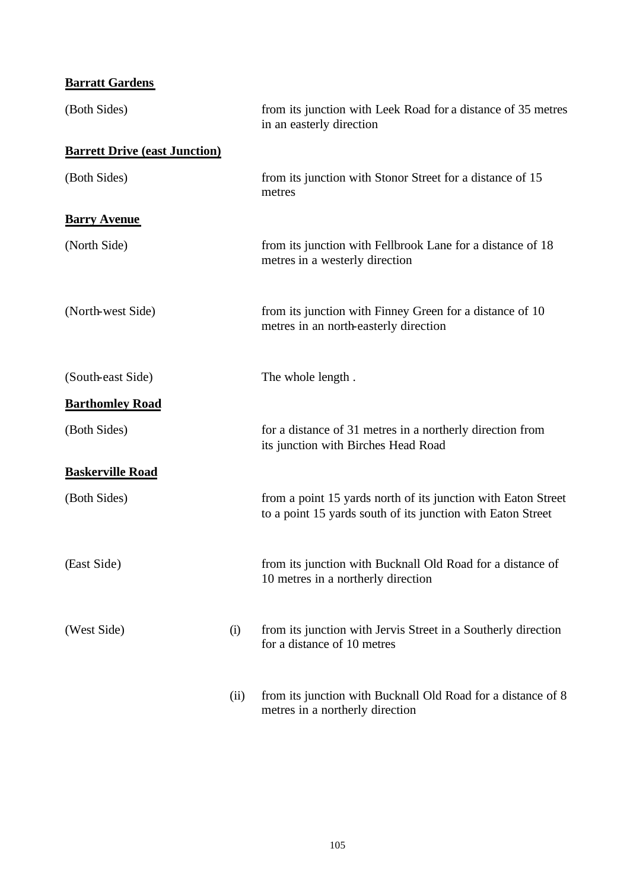### **Barratt Gardens**

| (Both Sides)                         |      | from its junction with Leek Road for a distance of 35 metres<br>in an easterly direction                                     |
|--------------------------------------|------|------------------------------------------------------------------------------------------------------------------------------|
| <b>Barrett Drive (east Junction)</b> |      |                                                                                                                              |
| (Both Sides)                         |      | from its junction with Stonor Street for a distance of 15<br>metres                                                          |
| <b>Barry Avenue</b>                  |      |                                                                                                                              |
| (North Side)                         |      | from its junction with Fellbrook Lane for a distance of 18<br>metres in a westerly direction                                 |
| (North-west Side)                    |      | from its junction with Finney Green for a distance of 10<br>metres in an north-easterly direction                            |
| (South-east Side)                    |      | The whole length.                                                                                                            |
| <b>Barthomley Road</b>               |      |                                                                                                                              |
| (Both Sides)                         |      | for a distance of 31 metres in a northerly direction from<br>its junction with Birches Head Road                             |
| <b>Baskerville Road</b>              |      |                                                                                                                              |
| (Both Sides)                         |      | from a point 15 yards north of its junction with Eaton Street<br>to a point 15 yards south of its junction with Eaton Street |
| (East Side)                          |      | from its junction with Bucknall Old Road for a distance of<br>10 metres in a northerly direction                             |
| (West Side)                          | (i)  | from its junction with Jervis Street in a Southerly direction<br>for a distance of 10 metres                                 |
|                                      | (ii) | from its junction with Bucknall Old Road for a distance of 8<br>metres in a northerly direction                              |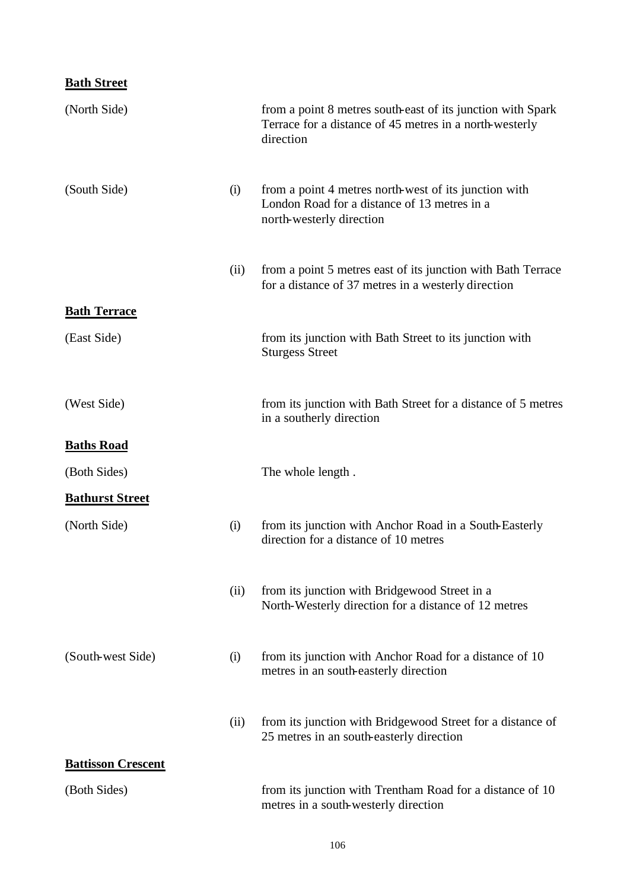### **Bath Street**

| (North Side)              |      | from a point 8 metres south-east of its junction with Spark<br>Terrace for a distance of 45 metres in a north-westerly<br>direction |
|---------------------------|------|-------------------------------------------------------------------------------------------------------------------------------------|
| (South Side)              | (i)  | from a point 4 metres north-west of its junction with<br>London Road for a distance of 13 metres in a<br>north-westerly direction   |
|                           | (ii) | from a point 5 metres east of its junction with Bath Terrace<br>for a distance of 37 metres in a westerly direction                 |
| <b>Bath Terrace</b>       |      |                                                                                                                                     |
| (East Side)               |      | from its junction with Bath Street to its junction with<br><b>Sturgess Street</b>                                                   |
| (West Side)               |      | from its junction with Bath Street for a distance of 5 metres<br>in a southerly direction                                           |
| <b>Baths Road</b>         |      |                                                                                                                                     |
| (Both Sides)              |      | The whole length.                                                                                                                   |
| <b>Bathurst Street</b>    |      |                                                                                                                                     |
| (North Side)              | (i)  | from its junction with Anchor Road in a South-Easterly<br>direction for a distance of 10 metres                                     |
|                           | (ii) | from its junction with Bridgewood Street in a<br>North-Westerly direction for a distance of 12 metres                               |
| (South-west Side)         | (i)  | from its junction with Anchor Road for a distance of 10<br>metres in an south-easterly direction                                    |
|                           | (ii) | from its junction with Bridgewood Street for a distance of<br>25 metres in an south-easterly direction                              |
| <b>Battisson Crescent</b> |      |                                                                                                                                     |
| (Both Sides)              |      | from its junction with Trentham Road for a distance of 10<br>metres in a south-westerly direction                                   |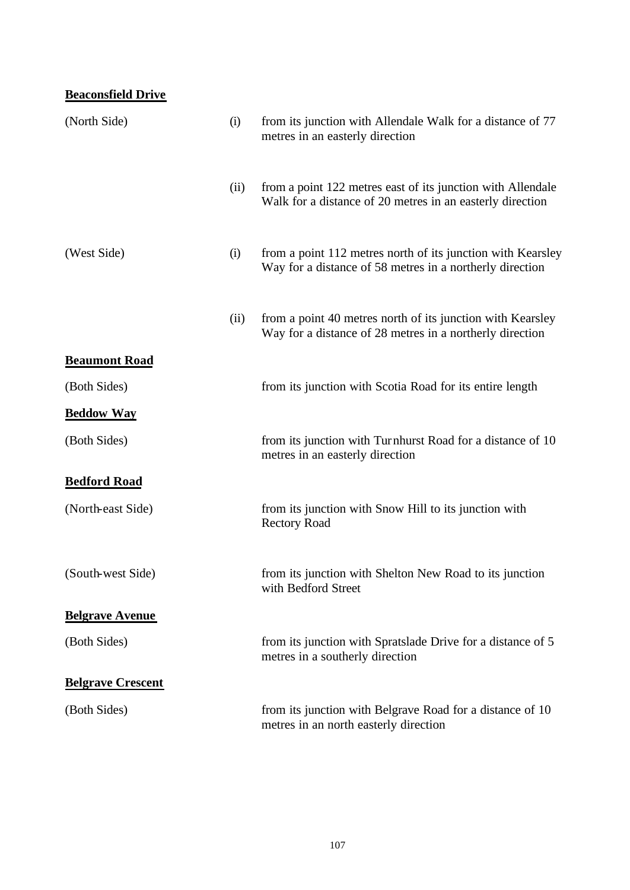### **Beaconsfield Drive**

| (North Side)             | (i)  | from its junction with Allendale Walk for a distance of 77<br>metres in an easterly direction                            |
|--------------------------|------|--------------------------------------------------------------------------------------------------------------------------|
|                          | (ii) | from a point 122 metres east of its junction with Allendale<br>Walk for a distance of 20 metres in an easterly direction |
| (West Side)              | (i)  | from a point 112 metres north of its junction with Kearsley<br>Way for a distance of 58 metres in a northerly direction  |
|                          | (ii) | from a point 40 metres north of its junction with Kearsley<br>Way for a distance of 28 metres in a northerly direction   |
| <b>Beaumont Road</b>     |      |                                                                                                                          |
| (Both Sides)             |      | from its junction with Scotia Road for its entire length                                                                 |
| <b>Beddow Way</b>        |      |                                                                                                                          |
| (Both Sides)             |      | from its junction with Turnhurst Road for a distance of 10<br>metres in an easterly direction                            |
| <b>Bedford Road</b>      |      |                                                                                                                          |
| (North-east Side)        |      | from its junction with Snow Hill to its junction with<br><b>Rectory Road</b>                                             |
| (South-west Side)        |      | from its junction with Shelton New Road to its junction<br>with Bedford Street                                           |
| <b>Belgrave Avenue</b>   |      |                                                                                                                          |
| (Both Sides)             |      | from its junction with Spratslade Drive for a distance of 5<br>metres in a southerly direction                           |
| <b>Belgrave Crescent</b> |      |                                                                                                                          |
| (Both Sides)             |      | from its junction with Belgrave Road for a distance of 10<br>metres in an north easterly direction                       |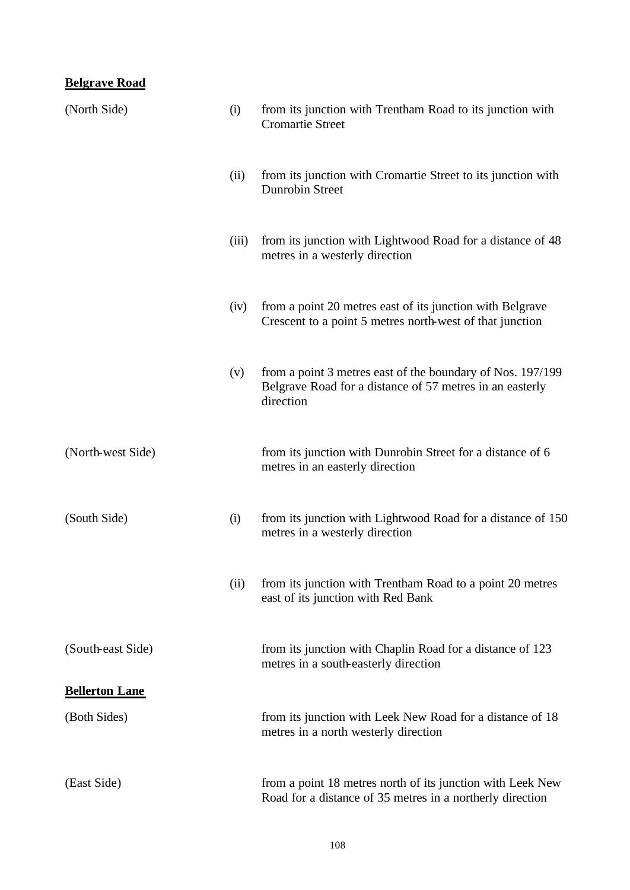# **Belgrave Road**

| (North Side)          | (i)   | from its junction with Trentham Road to its junction with<br><b>Cromartie Street</b>                                                |
|-----------------------|-------|-------------------------------------------------------------------------------------------------------------------------------------|
|                       | (ii)  | from its junction with Cromartie Street to its junction with<br><b>Dunrobin Street</b>                                              |
|                       | (iii) | from its junction with Lightwood Road for a distance of 48<br>metres in a westerly direction                                        |
|                       | (iv)  | from a point 20 metres east of its junction with Belgrave<br>Crescent to a point 5 metres north-west of that junction               |
|                       | (v)   | from a point 3 metres east of the boundary of Nos. 197/199<br>Belgrave Road for a distance of 57 metres in an easterly<br>direction |
| (North-west Side)     |       | from its junction with Dunrobin Street for a distance of 6<br>metres in an easterly direction                                       |
| (South Side)          | (i)   | from its junction with Lightwood Road for a distance of 150<br>metres in a westerly direction                                       |
|                       | (ii)  | from its junction with Trentham Road to a point 20 metres<br>east of its junction with Red Bank                                     |
| (South-east Side)     |       | from its junction with Chaplin Road for a distance of 123<br>metres in a south-easterly direction                                   |
| <b>Bellerton Lane</b> |       |                                                                                                                                     |
| (Both Sides)          |       | from its junction with Leek New Road for a distance of 18<br>metres in a north westerly direction                                   |
| (East Side)           |       | from a point 18 metres north of its junction with Leek New<br>Road for a distance of 35 metres in a northerly direction             |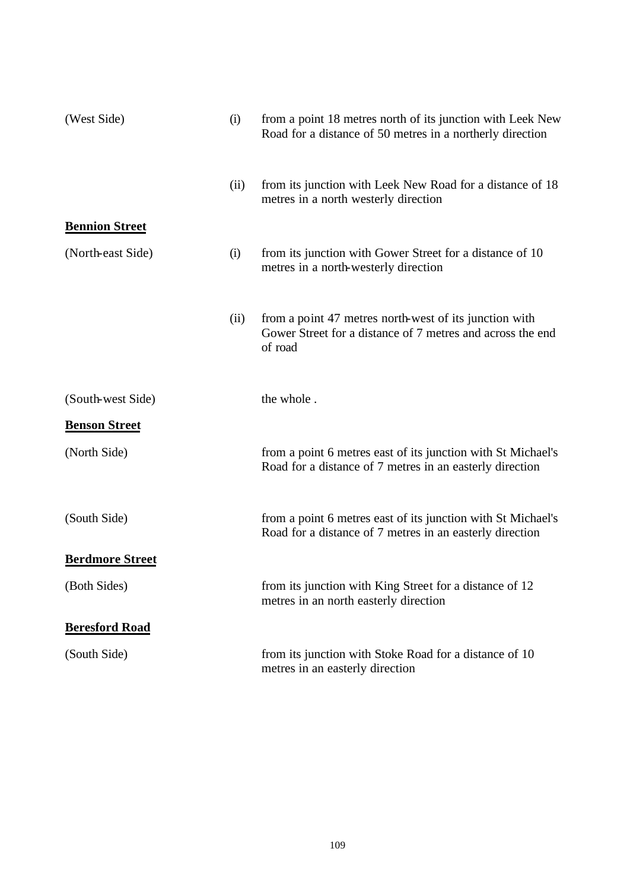| (West Side)            | (i)  | from a point 18 metres north of its junction with Leek New<br>Road for a distance of 50 metres in a northerly direction         |
|------------------------|------|---------------------------------------------------------------------------------------------------------------------------------|
|                        | (ii) | from its junction with Leek New Road for a distance of 18<br>metres in a north westerly direction                               |
| <b>Bennion Street</b>  |      |                                                                                                                                 |
| (North-east Side)      | (i)  | from its junction with Gower Street for a distance of 10<br>metres in a north-westerly direction                                |
|                        | (ii) | from a point 47 metres north-west of its junction with<br>Gower Street for a distance of 7 metres and across the end<br>of road |
| (South-west Side)      |      | the whole.                                                                                                                      |
| <b>Benson Street</b>   |      |                                                                                                                                 |
| (North Side)           |      | from a point 6 metres east of its junction with St Michael's<br>Road for a distance of 7 metres in an easterly direction        |
| (South Side)           |      | from a point 6 metres east of its junction with St Michael's<br>Road for a distance of 7 metres in an easterly direction        |
| <b>Berdmore Street</b> |      |                                                                                                                                 |
| (Both Sides)           |      | from its junction with King Street for a distance of 12<br>metres in an north easterly direction                                |
| <b>Beresford Road</b>  |      |                                                                                                                                 |
| (South Side)           |      | from its junction with Stoke Road for a distance of 10<br>metres in an easterly direction                                       |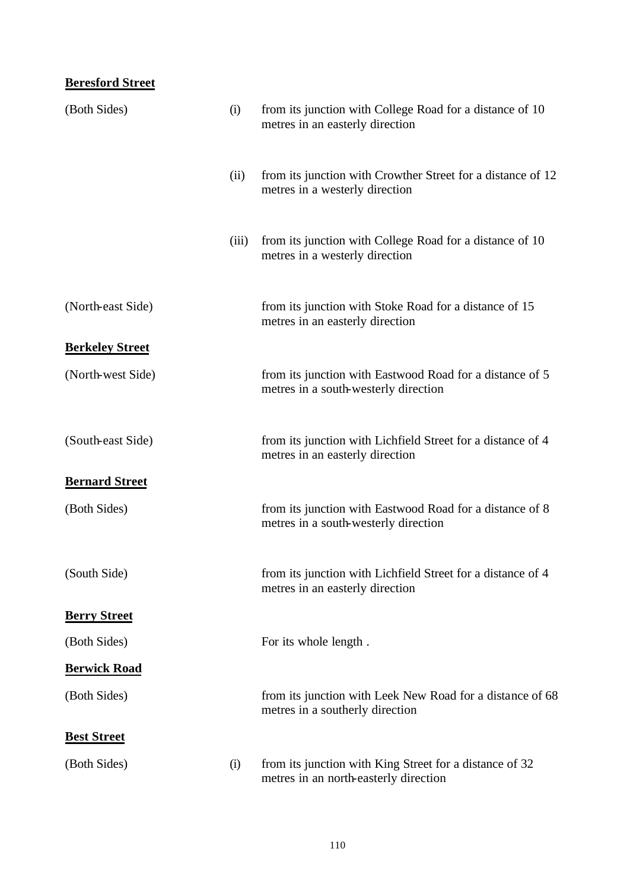### **Beresford Street**

| (Both Sides)           | (i)   | from its junction with College Road for a distance of 10<br>metres in an easterly direction      |
|------------------------|-------|--------------------------------------------------------------------------------------------------|
|                        | (ii)  | from its junction with Crowther Street for a distance of 12<br>metres in a westerly direction    |
|                        | (iii) | from its junction with College Road for a distance of 10<br>metres in a westerly direction       |
| (North-east Side)      |       | from its junction with Stoke Road for a distance of 15<br>metres in an easterly direction        |
| <b>Berkeley Street</b> |       |                                                                                                  |
| (North-west Side)      |       | from its junction with Eastwood Road for a distance of 5<br>metres in a south-westerly direction |
| (South-east Side)      |       | from its junction with Lichfield Street for a distance of 4<br>metres in an easterly direction   |
| <b>Bernard Street</b>  |       |                                                                                                  |
| (Both Sides)           |       | from its junction with Eastwood Road for a distance of 8<br>metres in a south-westerly direction |
| (South Side)           |       | from its junction with Lichfield Street for a distance of 4<br>metres in an easterly direction   |
| <b>Berry Street</b>    |       |                                                                                                  |
| (Both Sides)           |       | For its whole length.                                                                            |
| <b>Berwick Road</b>    |       |                                                                                                  |
| (Both Sides)           |       | from its junction with Leek New Road for a distance of 68<br>metres in a southerly direction     |
| <b>Best Street</b>     |       |                                                                                                  |
| (Both Sides)           | (i)   | from its junction with King Street for a distance of 32<br>metres in an north-easterly direction |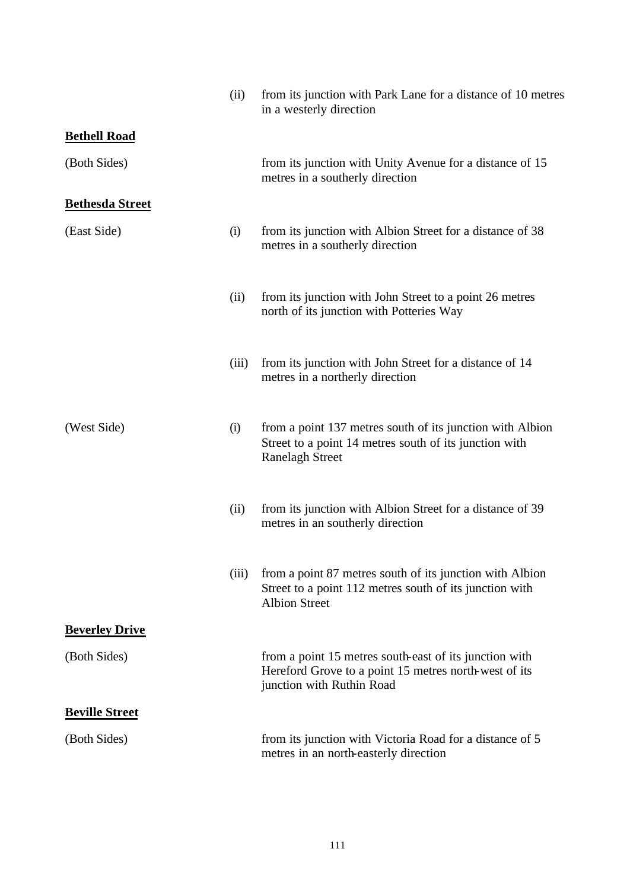|                        | (ii)  | from its junction with Park Lane for a distance of 10 metres<br>in a westerly direction                                                       |
|------------------------|-------|-----------------------------------------------------------------------------------------------------------------------------------------------|
| <b>Bethell Road</b>    |       |                                                                                                                                               |
| (Both Sides)           |       | from its junction with Unity Avenue for a distance of 15<br>metres in a southerly direction                                                   |
| <b>Bethesda Street</b> |       |                                                                                                                                               |
| (East Side)            | (i)   | from its junction with Albion Street for a distance of 38<br>metres in a southerly direction                                                  |
|                        | (ii)  | from its junction with John Street to a point 26 metres<br>north of its junction with Potteries Way                                           |
|                        | (iii) | from its junction with John Street for a distance of 14<br>metres in a northerly direction                                                    |
| (West Side)            | (i)   | from a point 137 metres south of its junction with Albion<br>Street to a point 14 metres south of its junction with<br><b>Ranelagh Street</b> |
|                        | (ii)  | from its junction with Albion Street for a distance of 39<br>metres in an southerly direction                                                 |
|                        | (iii) | from a point 87 metres south of its junction with Albion<br>Street to a point 112 metres south of its junction with<br><b>Albion Street</b>   |
| <b>Beverley Drive</b>  |       |                                                                                                                                               |
| (Both Sides)           |       | from a point 15 metres south-east of its junction with<br>Hereford Grove to a point 15 metres north-west of its<br>junction with Ruthin Road  |
| <b>Beville Street</b>  |       |                                                                                                                                               |
| (Both Sides)           |       | from its junction with Victoria Road for a distance of 5<br>metres in an north-easterly direction                                             |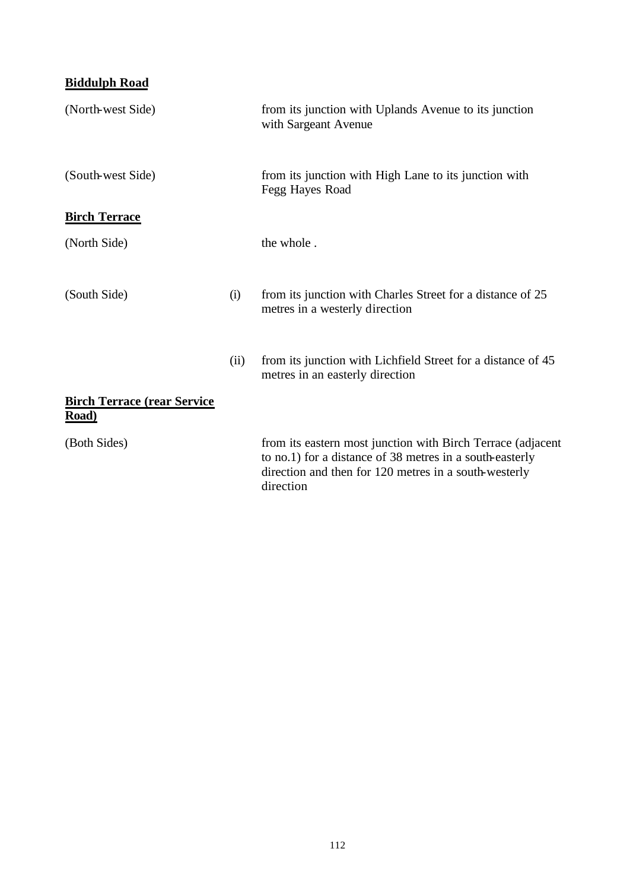## **Biddulph Road**

| (North-west Side)                                    |      | from its junction with Uplands Avenue to its junction<br>with Sargeant Avenue                                                                                                                 |
|------------------------------------------------------|------|-----------------------------------------------------------------------------------------------------------------------------------------------------------------------------------------------|
| (South-west Side)                                    |      | from its junction with High Lane to its junction with<br>Fegg Hayes Road                                                                                                                      |
| <b>Birch Terrace</b>                                 |      |                                                                                                                                                                                               |
| (North Side)                                         |      | the whole.                                                                                                                                                                                    |
| (South Side)                                         | (i)  | from its junction with Charles Street for a distance of 25<br>metres in a westerly direction                                                                                                  |
|                                                      | (ii) | from its junction with Lichfield Street for a distance of 45<br>metres in an easterly direction                                                                                               |
| <b>Birch Terrace (rear Service)</b><br><b>Road</b> ) |      |                                                                                                                                                                                               |
| (Both Sides)                                         |      | from its eastern most junction with Birch Terrace (adjacent<br>to no.1) for a distance of 38 metres in a south-easterly<br>direction and then for 120 metres in a south-westerly<br>direction |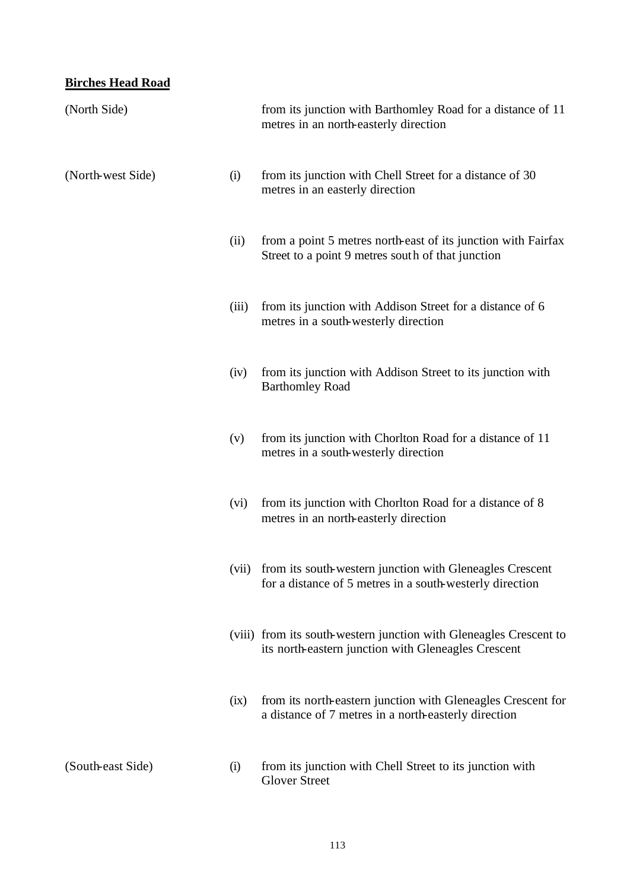### **Birches Head Road**

| (North Side)      |       | from its junction with Barthomley Road for a distance of 11<br>metres in an north-easterly direction                      |
|-------------------|-------|---------------------------------------------------------------------------------------------------------------------------|
| (North-west Side) | (i)   | from its junction with Chell Street for a distance of 30<br>metres in an easterly direction                               |
|                   | (ii)  | from a point 5 metres north-east of its junction with Fairfax<br>Street to a point 9 metres south of that junction        |
|                   | (iii) | from its junction with Addison Street for a distance of 6<br>metres in a south-westerly direction                         |
|                   | (iv)  | from its junction with Addison Street to its junction with<br><b>Barthomley Road</b>                                      |
|                   | (v)   | from its junction with Chorlton Road for a distance of 11<br>metres in a south-westerly direction                         |
|                   | (vi)  | from its junction with Chorlton Road for a distance of 8<br>metres in an north-easterly direction                         |
|                   | (vii) | from its south-western junction with Gleneagles Crescent<br>for a distance of 5 metres in a south-westerly direction      |
|                   |       | (viii) from its south-western junction with Gleneagles Crescent to<br>its north-eastern junction with Gleneagles Crescent |
|                   | (ix)  | from its north-eastern junction with Gleneagles Crescent for<br>a distance of 7 metres in a north-easterly direction      |
| (South-east Side) | (i)   | from its junction with Chell Street to its junction with<br><b>Glover Street</b>                                          |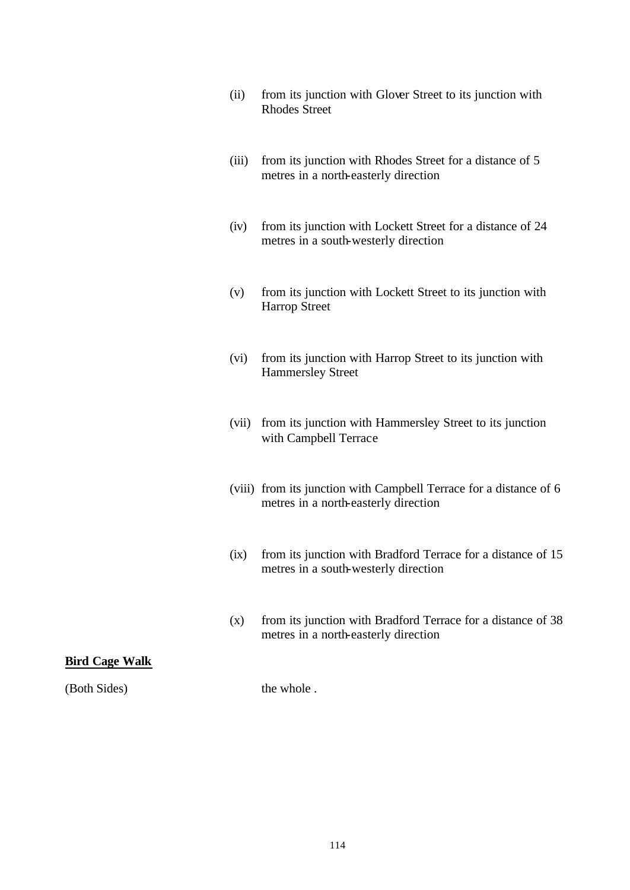- (ii) from its junction with Glover Street to its junction with Rhodes Street
- (iii) from its junction with Rhodes Street for a distance of 5 metres in a north-easterly direction
- (iv) from its junction with Lockett Street for a distance of 24 metres in a south-westerly direction
- (v) from its junction with Lockett Street to its junction with Harrop Street
- (vi) from its junction with Harrop Street to its junction with Hammersley Street
- (vii) from its junction with Hammersley Street to its junction with Campbell Terrace
- (viii) from its junction with Campbell Terrace for a distance of 6 metres in a north-easterly direction
- (ix) from its junction with Bradford Terrace for a distance of 15 metres in a south-westerly direction
- (x) from its junction with Bradford Terrace for a distance of 38 metres in a north-easterly direction

#### **Bird Cage Walk**

(Both Sides) the whole .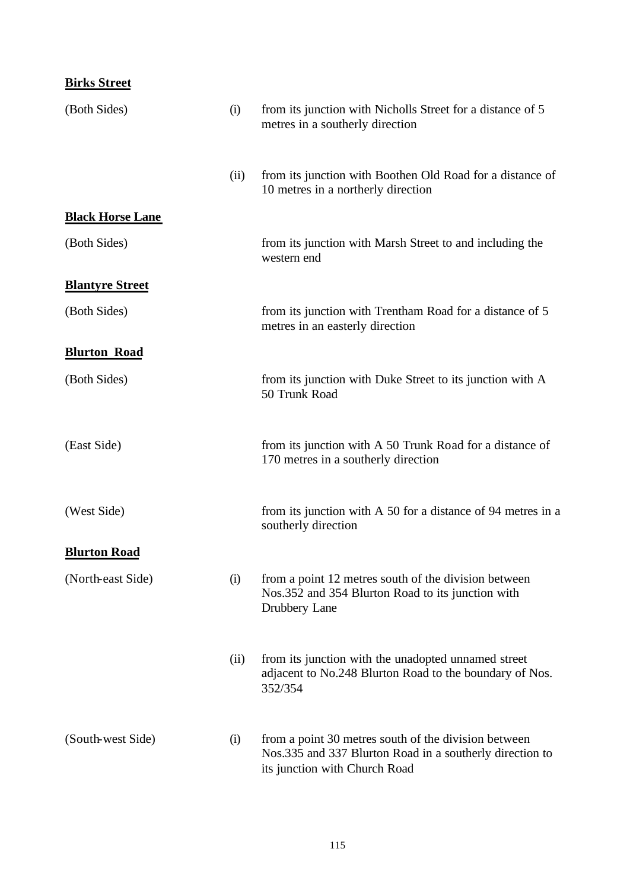| <b>Birks Street</b>     |      |                                                                                                                                                   |
|-------------------------|------|---------------------------------------------------------------------------------------------------------------------------------------------------|
| (Both Sides)            | (i)  | from its junction with Nicholls Street for a distance of 5<br>metres in a southerly direction                                                     |
|                         | (ii) | from its junction with Boothen Old Road for a distance of<br>10 metres in a northerly direction                                                   |
| <b>Black Horse Lane</b> |      |                                                                                                                                                   |
| (Both Sides)            |      | from its junction with Marsh Street to and including the<br>western end                                                                           |
| <b>Blantyre Street</b>  |      |                                                                                                                                                   |
| (Both Sides)            |      | from its junction with Trentham Road for a distance of 5<br>metres in an easterly direction                                                       |
| <b>Blurton Road</b>     |      |                                                                                                                                                   |
| (Both Sides)            |      | from its junction with Duke Street to its junction with A<br>50 Trunk Road                                                                        |
| (East Side)             |      | from its junction with A 50 Trunk Road for a distance of<br>170 metres in a southerly direction                                                   |
| (West Side)             |      | from its junction with A 50 for a distance of 94 metres in a<br>southerly direction                                                               |
| <b>Blurton Road</b>     |      |                                                                                                                                                   |
| (North-east Side)       | (i)  | from a point 12 metres south of the division between<br>Nos.352 and 354 Blurton Road to its junction with<br>Drubbery Lane                        |
|                         | (ii) | from its junction with the unadopted unnamed street<br>adjacent to No.248 Blurton Road to the boundary of Nos.<br>352/354                         |
| (South-west Side)       | (i)  | from a point 30 metres south of the division between<br>Nos.335 and 337 Blurton Road in a southerly direction to<br>its junction with Church Road |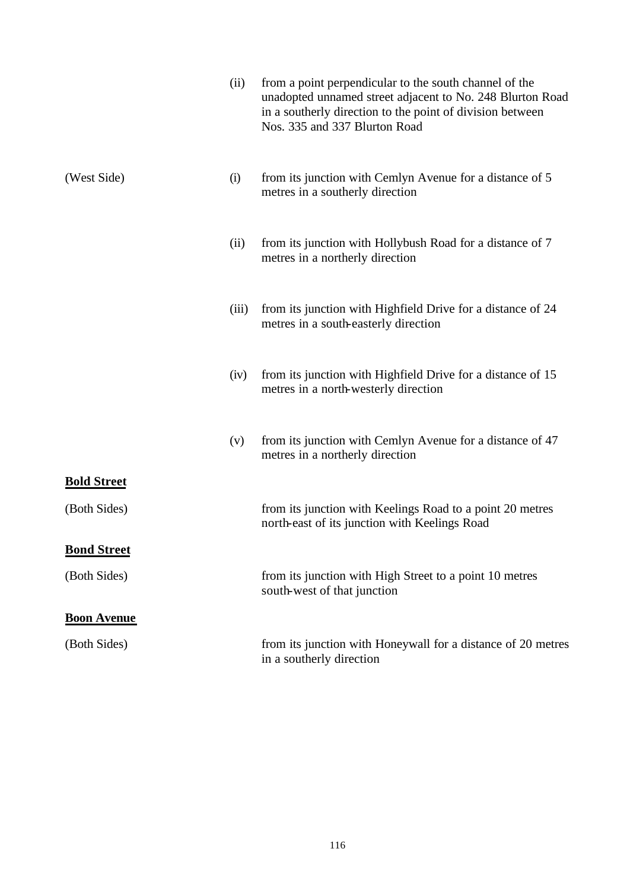|                    | (ii)  | from a point perpendicular to the south channel of the<br>unadopted unnamed street adjacent to No. 248 Blurton Road<br>in a southerly direction to the point of division between<br>Nos. 335 and 337 Blurton Road |
|--------------------|-------|-------------------------------------------------------------------------------------------------------------------------------------------------------------------------------------------------------------------|
| (West Side)        | (i)   | from its junction with Cemlyn Avenue for a distance of 5<br>metres in a southerly direction                                                                                                                       |
|                    | (ii)  | from its junction with Hollybush Road for a distance of 7<br>metres in a northerly direction                                                                                                                      |
|                    | (iii) | from its junction with Highfield Drive for a distance of 24<br>metres in a south-easterly direction                                                                                                               |
|                    | (iv)  | from its junction with Highfield Drive for a distance of 15<br>metres in a north-westerly direction                                                                                                               |
|                    | (v)   | from its junction with Cemlyn Avenue for a distance of 47<br>metres in a northerly direction                                                                                                                      |
| <b>Bold Street</b> |       |                                                                                                                                                                                                                   |
| (Both Sides)       |       | from its junction with Keelings Road to a point 20 metres<br>north-east of its junction with Keelings Road                                                                                                        |
| <b>Bond Street</b> |       |                                                                                                                                                                                                                   |
| (Both Sides)       |       | from its junction with High Street to a point 10 metres<br>south-west of that junction                                                                                                                            |
| <b>Boon Avenue</b> |       |                                                                                                                                                                                                                   |
| (Both Sides)       |       | from its junction with Honeywall for a distance of 20 metres<br>in a southerly direction                                                                                                                          |
|                    |       |                                                                                                                                                                                                                   |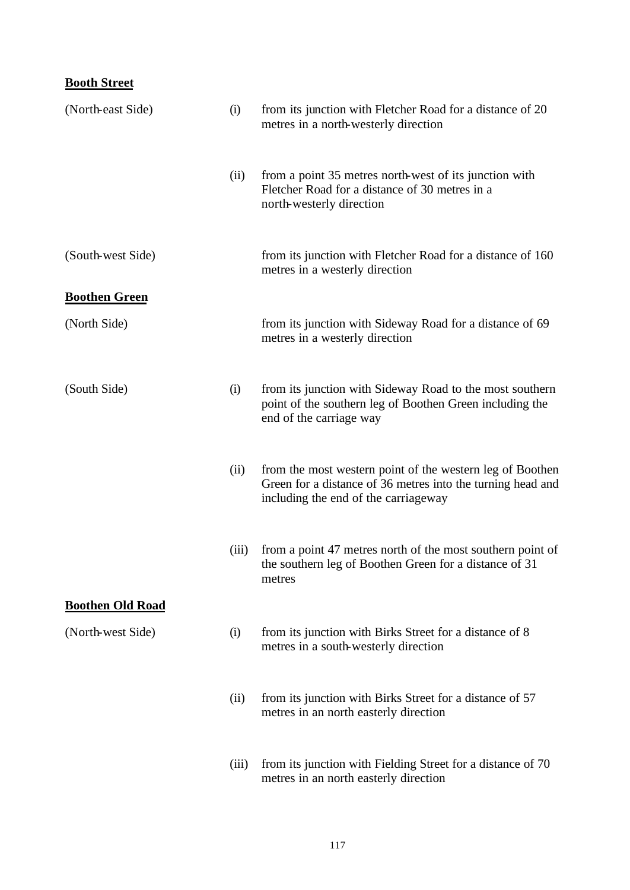### **Booth Street**

| (North-east Side)       | (i)   | from its junction with Fletcher Road for a distance of 20<br>metres in a north-westerly direction                                                                |
|-------------------------|-------|------------------------------------------------------------------------------------------------------------------------------------------------------------------|
|                         | (ii)  | from a point 35 metres north-west of its junction with<br>Fletcher Road for a distance of 30 metres in a<br>north-westerly direction                             |
| (South-west Side)       |       | from its junction with Fletcher Road for a distance of 160<br>metres in a westerly direction                                                                     |
| <b>Boothen Green</b>    |       |                                                                                                                                                                  |
| (North Side)            |       | from its junction with Sideway Road for a distance of 69<br>metres in a westerly direction                                                                       |
| (South Side)            | (i)   | from its junction with Sideway Road to the most southern<br>point of the southern leg of Boothen Green including the<br>end of the carriage way                  |
|                         | (ii)  | from the most western point of the western leg of Boothen<br>Green for a distance of 36 metres into the turning head and<br>including the end of the carriageway |
|                         | (iii) | from a point 47 metres north of the most southern point of<br>the southern leg of Boothen Green for a distance of 31<br>metres                                   |
| <b>Boothen Old Road</b> |       |                                                                                                                                                                  |
| (North-west Side)       | (i)   | from its junction with Birks Street for a distance of 8<br>metres in a south-westerly direction                                                                  |
|                         | (ii)  | from its junction with Birks Street for a distance of 57<br>metres in an north easterly direction                                                                |
|                         | (iii) | from its junction with Fielding Street for a distance of 70<br>metres in an north easterly direction                                                             |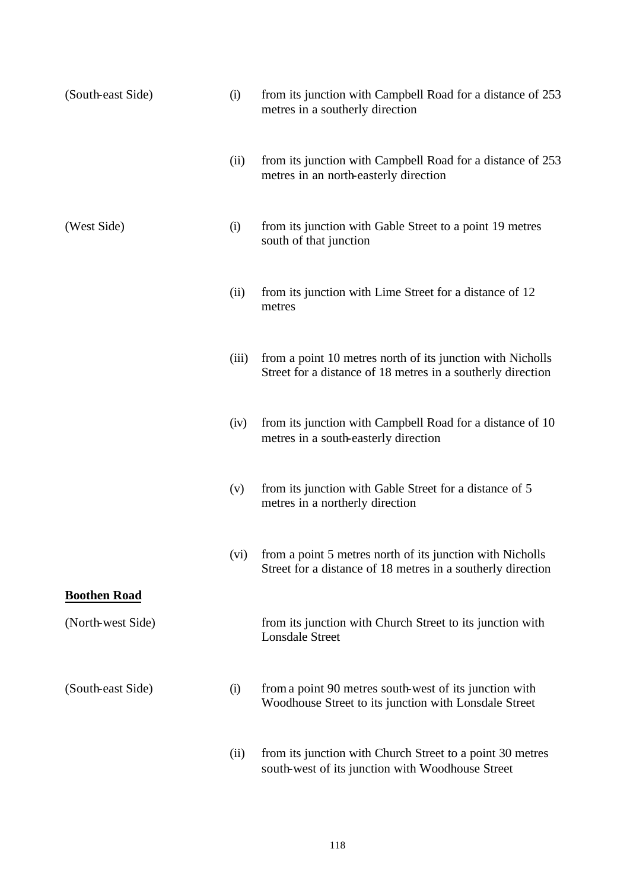| (South-east Side)   | (i)   | from its junction with Campbell Road for a distance of 253<br>metres in a southerly direction                             |
|---------------------|-------|---------------------------------------------------------------------------------------------------------------------------|
|                     | (ii)  | from its junction with Campbell Road for a distance of 253<br>metres in an north-easterly direction                       |
| (West Side)         | (i)   | from its junction with Gable Street to a point 19 metres<br>south of that junction                                        |
|                     | (ii)  | from its junction with Lime Street for a distance of 12<br>metres                                                         |
|                     | (iii) | from a point 10 metres north of its junction with Nicholls<br>Street for a distance of 18 metres in a southerly direction |
|                     | (iv)  | from its junction with Campbell Road for a distance of 10<br>metres in a south-easterly direction                         |
|                     | (v)   | from its junction with Gable Street for a distance of 5<br>metres in a northerly direction                                |
|                     | (vi)  | from a point 5 metres north of its junction with Nicholls<br>Street for a distance of 18 metres in a southerly direction  |
| <b>Boothen Road</b> |       |                                                                                                                           |
| (North-west Side)   |       | from its junction with Church Street to its junction with<br><b>Lonsdale Street</b>                                       |
| (South-east Side)   | (i)   | from a point 90 metres south-west of its junction with<br>Woodhouse Street to its junction with Lonsdale Street           |
|                     | (ii)  | from its junction with Church Street to a point 30 metres<br>south-west of its junction with Woodhouse Street             |

118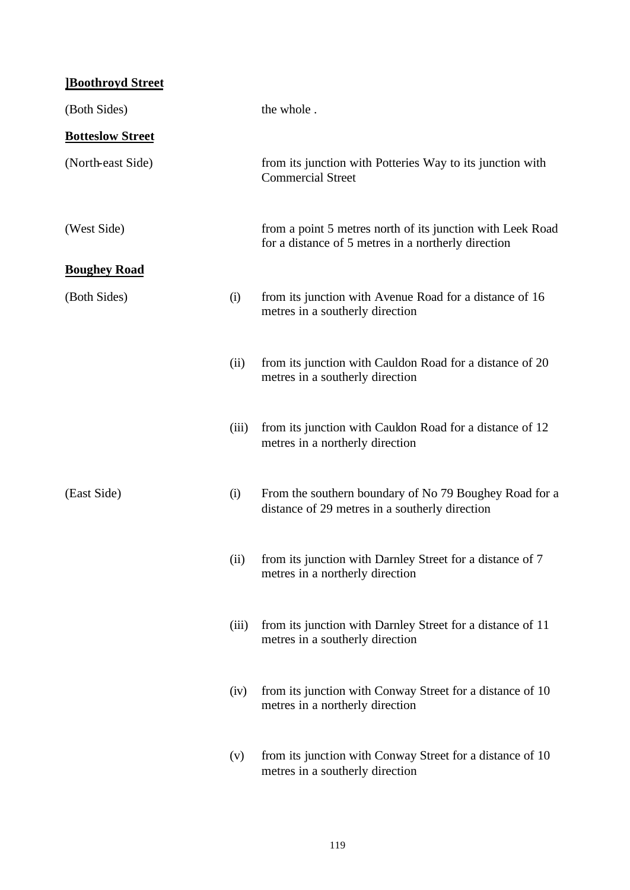| <b>Boothroyd Street</b> |       |                                                                                                                   |
|-------------------------|-------|-------------------------------------------------------------------------------------------------------------------|
| (Both Sides)            |       | the whole.                                                                                                        |
| <b>Botteslow Street</b> |       |                                                                                                                   |
| (North-east Side)       |       | from its junction with Potteries Way to its junction with<br><b>Commercial Street</b>                             |
| (West Side)             |       | from a point 5 metres north of its junction with Leek Road<br>for a distance of 5 metres in a northerly direction |
| <b>Boughey Road</b>     |       |                                                                                                                   |
| (Both Sides)            | (i)   | from its junction with Avenue Road for a distance of 16<br>metres in a southerly direction                        |
|                         | (ii)  | from its junction with Cauldon Road for a distance of 20<br>metres in a southerly direction                       |
|                         | (iii) | from its junction with Cauldon Road for a distance of 12<br>metres in a northerly direction                       |
| (East Side)             | (i)   | From the southern boundary of No 79 Boughey Road for a<br>distance of 29 metres in a southerly direction          |
|                         | (ii)  | from its junction with Darnley Street for a distance of 7<br>metres in a northerly direction                      |
|                         | (iii) | from its junction with Darnley Street for a distance of 11<br>metres in a southerly direction                     |
|                         | (iv)  | from its junction with Conway Street for a distance of 10<br>metres in a northerly direction                      |
|                         | (v)   | from its junction with Conway Street for a distance of 10<br>metres in a southerly direction                      |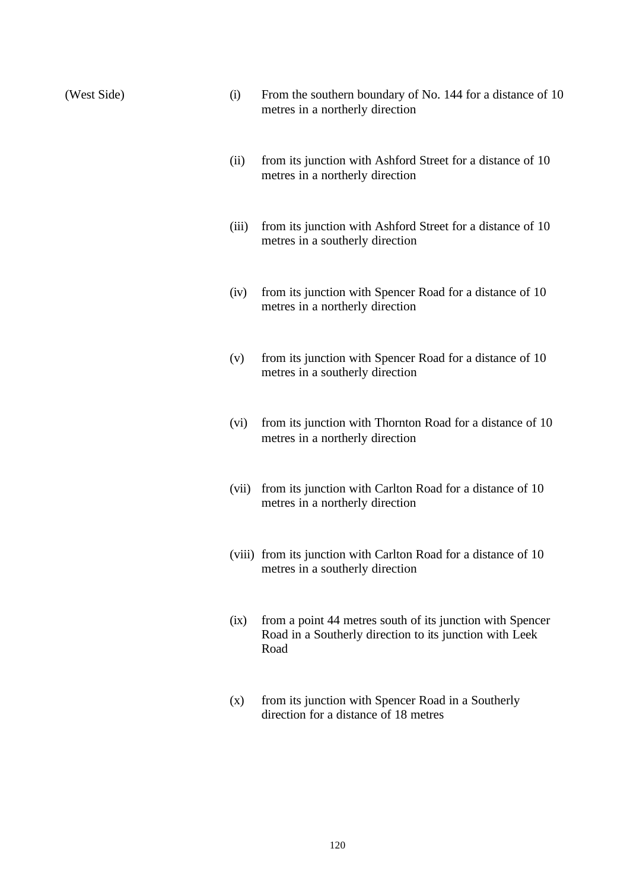(West Side) (i) From the southern boundary of No. 144 for a distance of 10 metres in a northerly direction

- (ii) from its junction with Ashford Street for a distance of 10 metres in a northerly direction
- (iii) from its junction with Ashford Street for a distance of 10 metres in a southerly direction
- (iv) from its junction with Spencer Road for a distance of 10 metres in a northerly direction
- (v) from its junction with Spencer Road for a distance of 10 metres in a southerly direction
- (vi) from its junction with Thornton Road for a distance of 10 metres in a northerly direction
- (vii) from its junction with Carlton Road for a distance of 10 metres in a northerly direction
- (viii) from its junction with Carlton Road for a distance of 10 metres in a southerly direction
- (ix) from a point 44 metres south of its junction with Spencer Road in a Southerly direction to its junction with Leek Road
- (x) from its junction with Spencer Road in a Southerly direction for a distance of 18 metres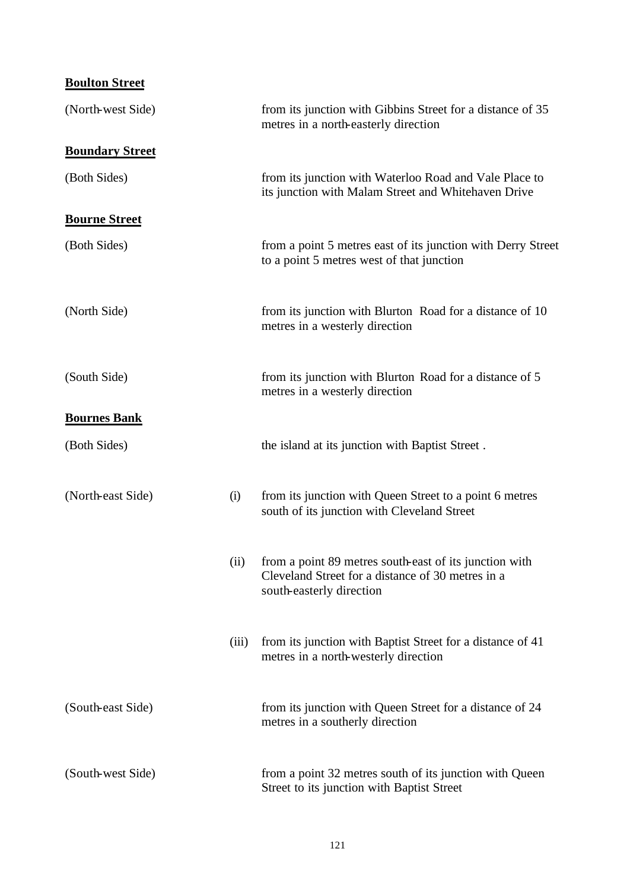| <b>Boulton Street</b>  |       |                                                                                                                                         |
|------------------------|-------|-----------------------------------------------------------------------------------------------------------------------------------------|
| (North-west Side)      |       | from its junction with Gibbins Street for a distance of 35<br>metres in a north-easterly direction                                      |
| <b>Boundary Street</b> |       |                                                                                                                                         |
| (Both Sides)           |       | from its junction with Waterloo Road and Vale Place to<br>its junction with Malam Street and Whitehaven Drive                           |
| <b>Bourne Street</b>   |       |                                                                                                                                         |
| (Both Sides)           |       | from a point 5 metres east of its junction with Derry Street<br>to a point 5 metres west of that junction                               |
| (North Side)           |       | from its junction with Blurton Road for a distance of 10<br>metres in a westerly direction                                              |
| (South Side)           |       | from its junction with Blurton Road for a distance of 5<br>metres in a westerly direction                                               |
| <b>Bournes Bank</b>    |       |                                                                                                                                         |
| (Both Sides)           |       | the island at its junction with Baptist Street.                                                                                         |
| (North-east Side)      | (i)   | from its junction with Queen Street to a point 6 metres<br>south of its junction with Cleveland Street                                  |
|                        | (ii)  | from a point 89 metres south-east of its junction with<br>Cleveland Street for a distance of 30 metres in a<br>south-easterly direction |
|                        | (iii) | from its junction with Baptist Street for a distance of 41<br>metres in a north-westerly direction                                      |
| (South-east Side)      |       | from its junction with Queen Street for a distance of 24<br>metres in a southerly direction                                             |
| (South-west Side)      |       | from a point 32 metres south of its junction with Queen<br>Street to its junction with Baptist Street                                   |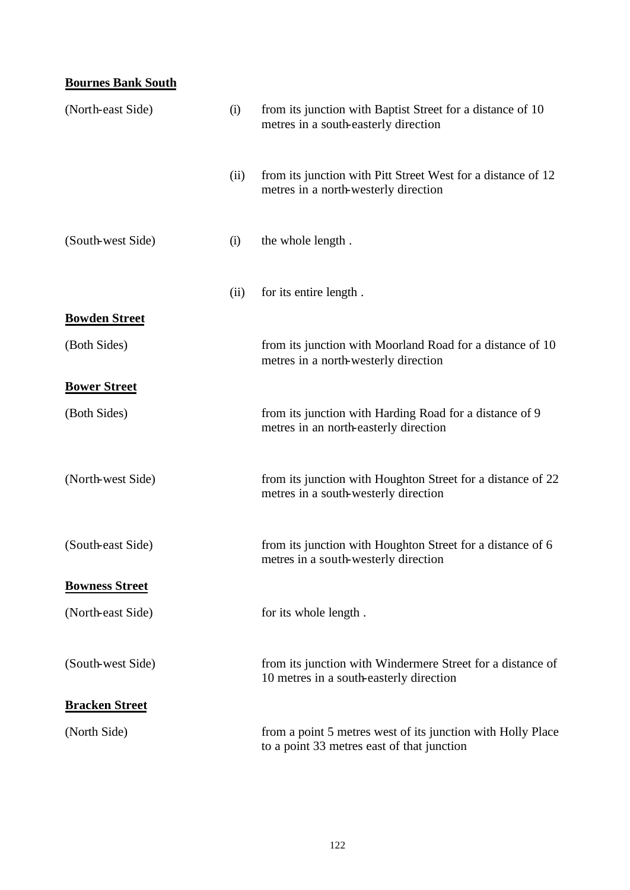### **Bournes Bank South**

| (North-east Side)     | (i)  | from its junction with Baptist Street for a distance of 10<br>metres in a south-easterly direction        |
|-----------------------|------|-----------------------------------------------------------------------------------------------------------|
|                       | (ii) | from its junction with Pitt Street West for a distance of 12<br>metres in a north-westerly direction      |
| (South-west Side)     | (i)  | the whole length.                                                                                         |
|                       | (ii) | for its entire length.                                                                                    |
| <b>Bowden Street</b>  |      |                                                                                                           |
| (Both Sides)          |      | from its junction with Moorland Road for a distance of 10<br>metres in a north-westerly direction         |
| <b>Bower Street</b>   |      |                                                                                                           |
| (Both Sides)          |      | from its junction with Harding Road for a distance of 9<br>metres in an north-easterly direction          |
| (North-west Side)     |      | from its junction with Houghton Street for a distance of 22<br>metres in a south-westerly direction       |
| (South-east Side)     |      | from its junction with Houghton Street for a distance of 6<br>metres in a south-westerly direction        |
| <b>Bowness Street</b> |      |                                                                                                           |
| (North-east Side)     |      | for its whole length.                                                                                     |
| (South-west Side)     |      | from its junction with Windermere Street for a distance of<br>10 metres in a south-easterly direction     |
| <b>Bracken Street</b> |      |                                                                                                           |
| (North Side)          |      | from a point 5 metres west of its junction with Holly Place<br>to a point 33 metres east of that junction |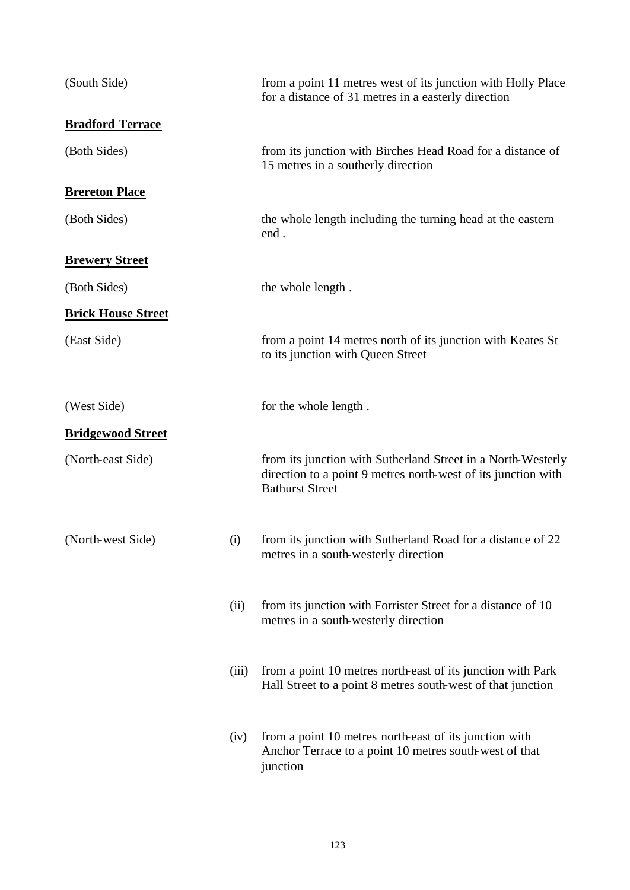| (South Side)              |       | from a point 11 metres west of its junction with Holly Place<br>for a distance of 31 metres in a easterly direction                                     |
|---------------------------|-------|---------------------------------------------------------------------------------------------------------------------------------------------------------|
| <b>Bradford Terrace</b>   |       |                                                                                                                                                         |
| (Both Sides)              |       | from its junction with Birches Head Road for a distance of<br>15 metres in a southerly direction                                                        |
| <b>Brereton Place</b>     |       |                                                                                                                                                         |
| (Both Sides)              |       | the whole length including the turning head at the eastern<br>end.                                                                                      |
| <b>Brewery Street</b>     |       |                                                                                                                                                         |
| (Both Sides)              |       | the whole length.                                                                                                                                       |
| <b>Brick House Street</b> |       |                                                                                                                                                         |
| (East Side)               |       | from a point 14 metres north of its junction with Keates St<br>to its junction with Queen Street                                                        |
| (West Side)               |       | for the whole length.                                                                                                                                   |
| <b>Bridgewood Street</b>  |       |                                                                                                                                                         |
| (North-east Side)         |       | from its junction with Sutherland Street in a North-Westerly<br>direction to a point 9 metres north-west of its junction with<br><b>Bathurst Street</b> |
| (North-west Side)         | (i)   | from its junction with Sutherland Road for a distance of 22<br>metres in a south-westerly direction                                                     |
|                           | (ii)  | from its junction with Forrister Street for a distance of 10<br>metres in a south-westerly direction                                                    |
|                           | (iii) | from a point 10 metres north-east of its junction with Park<br>Hall Street to a point 8 metres south-west of that junction                              |
|                           | (iv)  | from a point 10 metres north-east of its junction with<br>Anchor Terrace to a point 10 metres south-west of that<br>junction                            |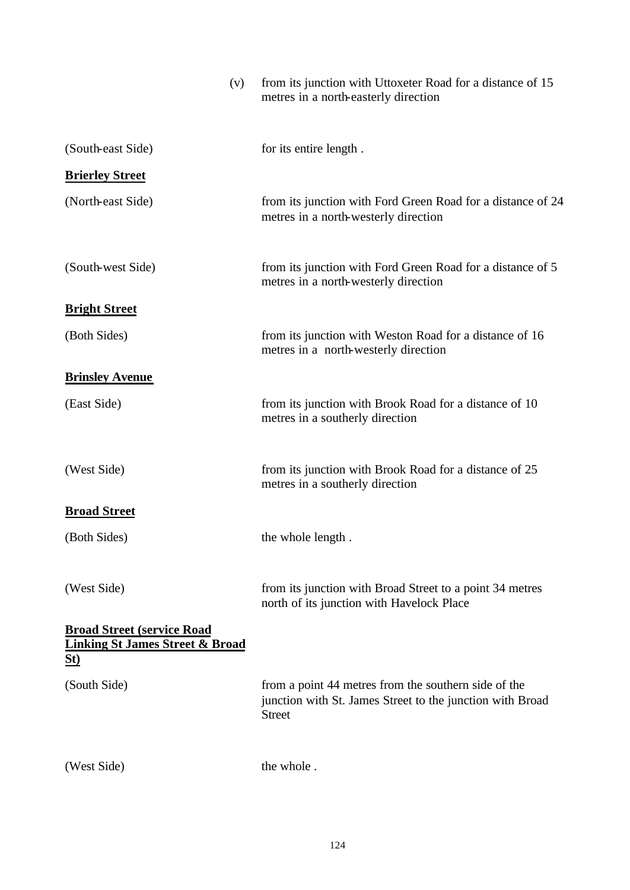| (v)                                                                                            | from its junction with Uttoxeter Road for a distance of 15<br>metres in a north-easterly direction                                 |
|------------------------------------------------------------------------------------------------|------------------------------------------------------------------------------------------------------------------------------------|
| (South-east Side)                                                                              | for its entire length.                                                                                                             |
| <b>Brierley Street</b>                                                                         |                                                                                                                                    |
| (North-east Side)                                                                              | from its junction with Ford Green Road for a distance of 24<br>metres in a north-westerly direction                                |
| (South-west Side)                                                                              | from its junction with Ford Green Road for a distance of 5<br>metres in a north-westerly direction                                 |
| <b>Bright Street</b>                                                                           |                                                                                                                                    |
| (Both Sides)                                                                                   | from its junction with Weston Road for a distance of 16<br>metres in a north-westerly direction                                    |
| <b>Brinsley Avenue</b>                                                                         |                                                                                                                                    |
| (East Side)                                                                                    | from its junction with Brook Road for a distance of 10<br>metres in a southerly direction                                          |
| (West Side)                                                                                    | from its junction with Brook Road for a distance of 25<br>metres in a southerly direction                                          |
| <b>Broad Street</b>                                                                            |                                                                                                                                    |
| (Both Sides)                                                                                   | the whole length.                                                                                                                  |
| (West Side)                                                                                    | from its junction with Broad Street to a point 34 metres<br>north of its junction with Havelock Place                              |
| <b>Broad Street (service Road)</b><br><b>Linking St James Street &amp; Broad</b><br><u>St)</u> |                                                                                                                                    |
| (South Side)                                                                                   | from a point 44 metres from the southern side of the<br>junction with St. James Street to the junction with Broad<br><b>Street</b> |
| (West Side)                                                                                    | the whole.                                                                                                                         |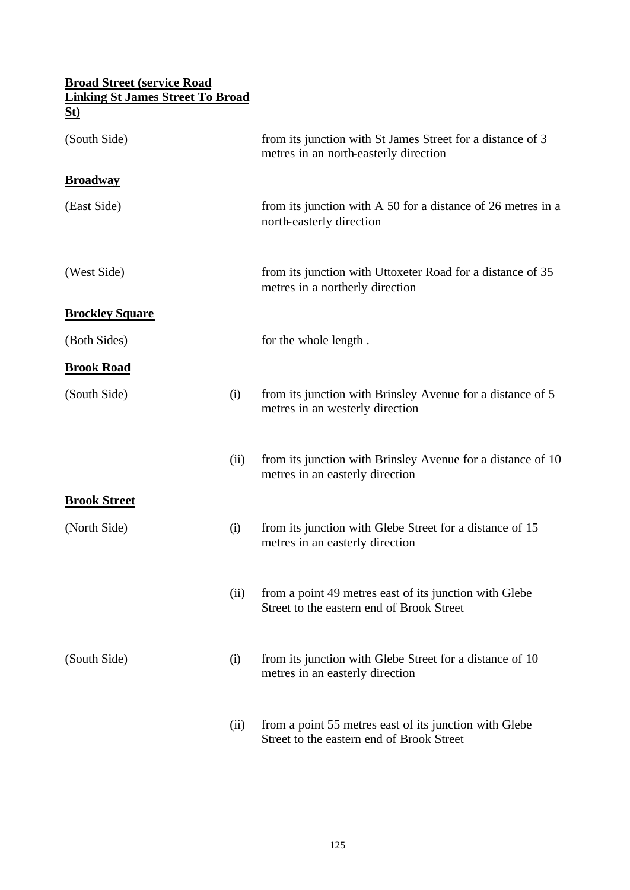# **Broad Street (service Road Linking St James Street To Broad St)** (South Side) from its junction with St James Street for a distance of 3 metres in an north-easterly direction **Broadway** (East Side) from its junction with A 50 for a distance of 26 metres in a north-easterly direction (West Side) from its junction with Uttoxeter Road for a distance of 35 metres in a northerly direction **Brockley Square** (Both Sides) for the whole length. **Brook Road** (South Side) (i) from its junction with Brinsley Avenue for a distance of 5 metres in an westerly direction (ii) from its junction with Brinsley Avenue for a distance of 10 metres in an easterly direction **Brook Street** (North Side) (i) from its junction with Glebe Street for a distance of 15 metres in an easterly direction (ii) from a point 49 metres east of its junction with Glebe Street to the eastern end of Brook Street (South Side) (i) from its junction with Glebe Street for a distance of 10 metres in an easterly direction (ii) from a point 55 metres east of its junction with Glebe Street to the eastern end of Brook Street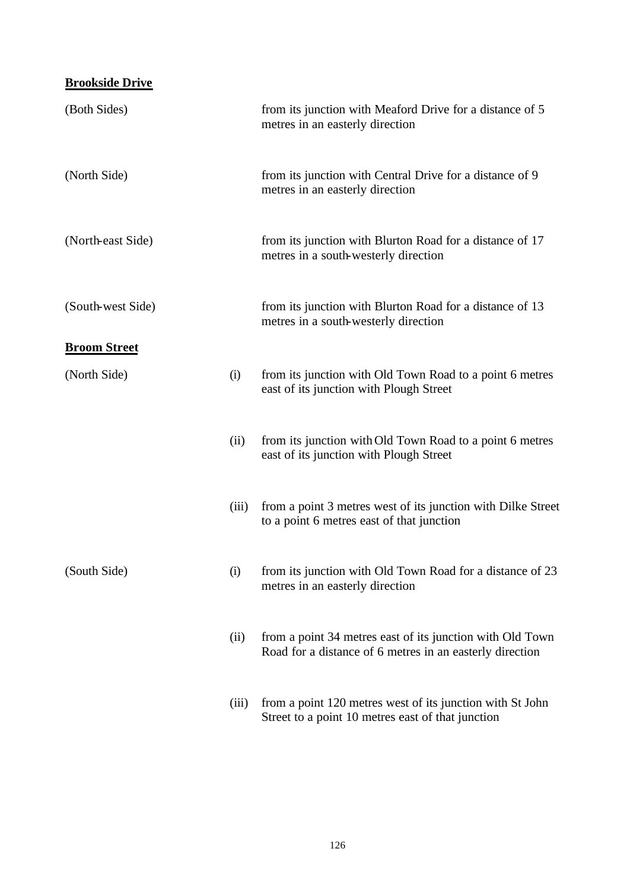## **Brookside Drive**

| (Both Sides)        |       | from its junction with Meaford Drive for a distance of 5<br>metres in an easterly direction                           |
|---------------------|-------|-----------------------------------------------------------------------------------------------------------------------|
| (North Side)        |       | from its junction with Central Drive for a distance of 9<br>metres in an easterly direction                           |
| (North-east Side)   |       | from its junction with Blurton Road for a distance of 17<br>metres in a south-westerly direction                      |
| (South-west Side)   |       | from its junction with Blurton Road for a distance of 13<br>metres in a south-westerly direction                      |
| <b>Broom Street</b> |       |                                                                                                                       |
| (North Side)        | (i)   | from its junction with Old Town Road to a point 6 metres<br>east of its junction with Plough Street                   |
|                     | (ii)  | from its junction with Old Town Road to a point 6 metres<br>east of its junction with Plough Street                   |
|                     | (iii) | from a point 3 metres west of its junction with Dilke Street<br>to a point 6 metres east of that junction             |
| (South Side)        | (i)   | from its junction with Old Town Road for a distance of 23<br>metres in an easterly direction                          |
|                     | (ii)  | from a point 34 metres east of its junction with Old Town<br>Road for a distance of 6 metres in an easterly direction |
|                     | (iii) | from a point 120 metres west of its junction with St John<br>Street to a point 10 metres east of that junction        |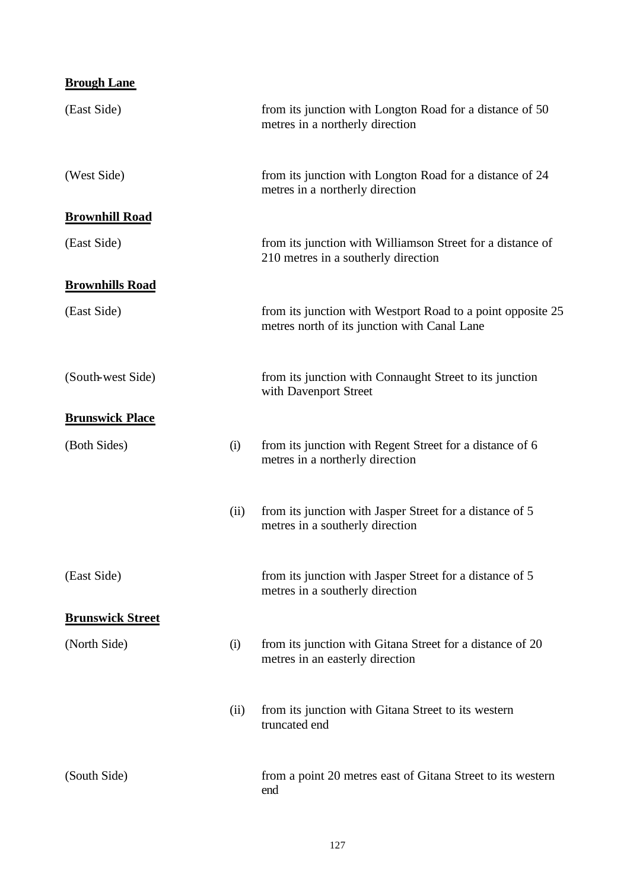| <b>Brough Lane</b>      |      |                                                                                                             |
|-------------------------|------|-------------------------------------------------------------------------------------------------------------|
| (East Side)             |      | from its junction with Longton Road for a distance of 50<br>metres in a northerly direction                 |
| (West Side)             |      | from its junction with Longton Road for a distance of 24<br>metres in a northerly direction                 |
| <b>Brownhill Road</b>   |      |                                                                                                             |
| (East Side)             |      | from its junction with Williamson Street for a distance of<br>210 metres in a southerly direction           |
| <b>Brownhills Road</b>  |      |                                                                                                             |
| (East Side)             |      | from its junction with Westport Road to a point opposite 25<br>metres north of its junction with Canal Lane |
| (South-west Side)       |      | from its junction with Connaught Street to its junction<br>with Davenport Street                            |
| <b>Brunswick Place</b>  |      |                                                                                                             |
| (Both Sides)            | (i)  | from its junction with Regent Street for a distance of 6<br>metres in a northerly direction                 |
|                         | (ii) | from its junction with Jasper Street for a distance of 5<br>metres in a southerly direction                 |
| (East Side)             |      | from its junction with Jasper Street for a distance of 5<br>metres in a southerly direction                 |
| <b>Brunswick Street</b> |      |                                                                                                             |
| (North Side)            | (i)  | from its junction with Gitana Street for a distance of 20<br>metres in an easterly direction                |
|                         | (ii) | from its junction with Gitana Street to its western<br>truncated end                                        |
| (South Side)            |      | from a point 20 metres east of Gitana Street to its western<br>end                                          |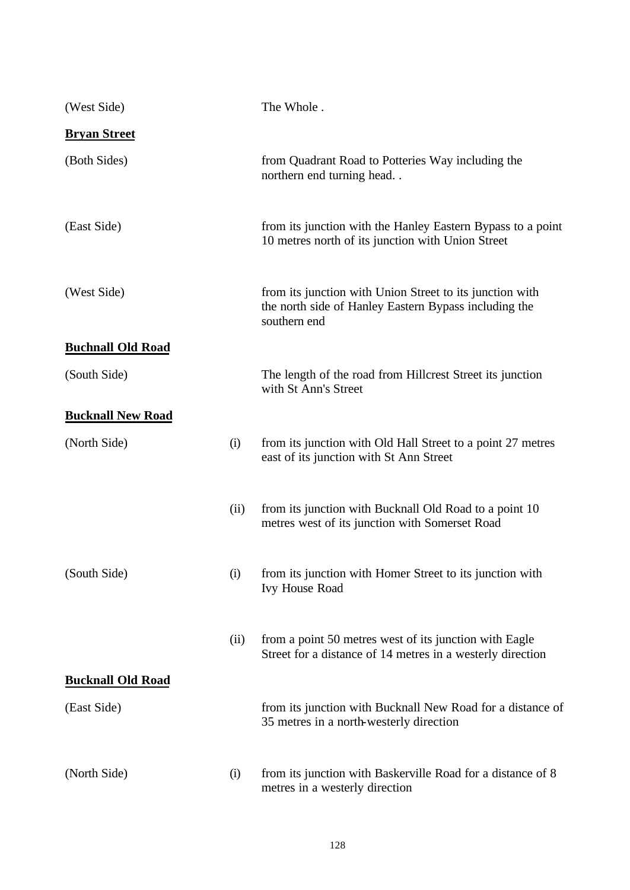| (West Side)              |      | The Whole.                                                                                                                        |
|--------------------------|------|-----------------------------------------------------------------------------------------------------------------------------------|
| <b>Bryan Street</b>      |      |                                                                                                                                   |
| (Both Sides)             |      | from Quadrant Road to Potteries Way including the<br>northern end turning head                                                    |
| (East Side)              |      | from its junction with the Hanley Eastern Bypass to a point<br>10 metres north of its junction with Union Street                  |
| (West Side)              |      | from its junction with Union Street to its junction with<br>the north side of Hanley Eastern Bypass including the<br>southern end |
| <b>Buchnall Old Road</b> |      |                                                                                                                                   |
| (South Side)             |      | The length of the road from Hillcrest Street its junction<br>with St Ann's Street                                                 |
| <b>Bucknall New Road</b> |      |                                                                                                                                   |
| (North Side)             | (i)  | from its junction with Old Hall Street to a point 27 metres<br>east of its junction with St Ann Street                            |
|                          | (ii) | from its junction with Bucknall Old Road to a point 10<br>metres west of its junction with Somerset Road                          |
| (South Side)             | (i)  | from its junction with Homer Street to its junction with<br><b>Ivy House Road</b>                                                 |
|                          | (ii) | from a point 50 metres west of its junction with Eagle<br>Street for a distance of 14 metres in a westerly direction              |
| <b>Bucknall Old Road</b> |      |                                                                                                                                   |
| (East Side)              |      | from its junction with Bucknall New Road for a distance of<br>35 metres in a north-westerly direction                             |
| (North Side)             | (i)  | from its junction with Baskerville Road for a distance of 8<br>metres in a westerly direction                                     |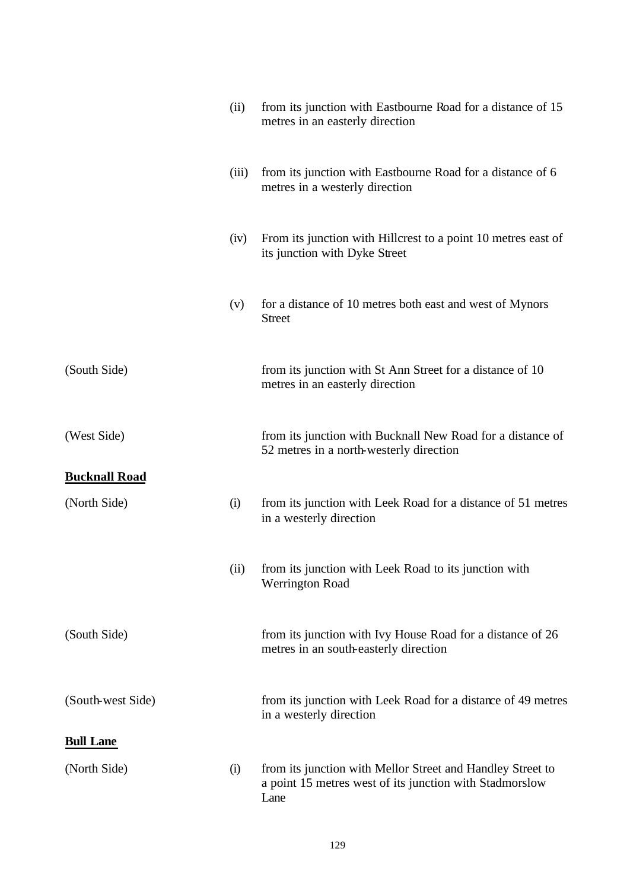|                      | (ii)  | from its junction with Eastbourne Road for a distance of 15<br>metres in an easterly direction                                |
|----------------------|-------|-------------------------------------------------------------------------------------------------------------------------------|
|                      | (iii) | from its junction with Eastbourne Road for a distance of 6<br>metres in a westerly direction                                  |
|                      | (iv)  | From its junction with Hillcrest to a point 10 metres east of<br>its junction with Dyke Street                                |
|                      | (v)   | for a distance of 10 metres both east and west of Mynors<br><b>Street</b>                                                     |
| (South Side)         |       | from its junction with St Ann Street for a distance of 10<br>metres in an easterly direction                                  |
| (West Side)          |       | from its junction with Bucknall New Road for a distance of<br>52 metres in a north-westerly direction                         |
| <b>Bucknall Road</b> |       |                                                                                                                               |
| (North Side)         | (i)   | from its junction with Leek Road for a distance of 51 metres<br>in a westerly direction                                       |
|                      | (ii)  | from its junction with Leek Road to its junction with<br><b>Werrington Road</b>                                               |
| (South Side)         |       | from its junction with Ivy House Road for a distance of 26<br>metres in an south-easterly direction                           |
| (South-west Side)    |       | from its junction with Leek Road for a distance of 49 metres<br>in a westerly direction                                       |
| <b>Bull Lane</b>     |       |                                                                                                                               |
| (North Side)         | (i)   | from its junction with Mellor Street and Handley Street to<br>a point 15 metres west of its junction with Stadmorslow<br>Lane |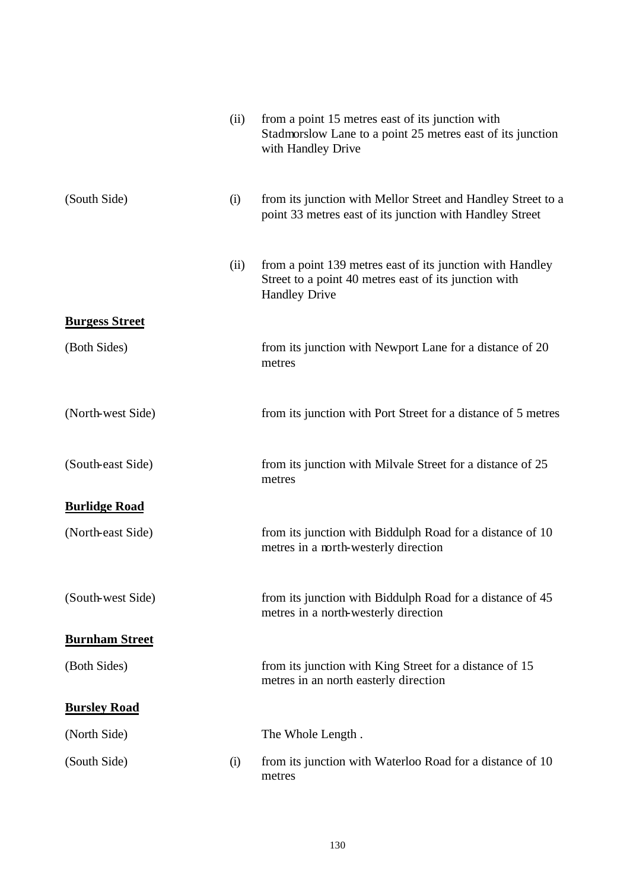|                       | (ii) | from a point 15 metres east of its junction with<br>Stadmorslow Lane to a point 25 metres east of its junction<br>with Handley Drive       |
|-----------------------|------|--------------------------------------------------------------------------------------------------------------------------------------------|
| (South Side)          | (i)  | from its junction with Mellor Street and Handley Street to a<br>point 33 metres east of its junction with Handley Street                   |
|                       | (ii) | from a point 139 metres east of its junction with Handley<br>Street to a point 40 metres east of its junction with<br><b>Handley Drive</b> |
| <b>Burgess Street</b> |      |                                                                                                                                            |
| (Both Sides)          |      | from its junction with Newport Lane for a distance of 20<br>metres                                                                         |
| (North-west Side)     |      | from its junction with Port Street for a distance of 5 metres                                                                              |
| (South-east Side)     |      | from its junction with Milvale Street for a distance of 25<br>metres                                                                       |
| <b>Burlidge Road</b>  |      |                                                                                                                                            |
| (North-east Side)     |      | from its junction with Biddulph Road for a distance of 10<br>metres in a north-westerly direction                                          |
| (South-west Side)     |      | from its junction with Biddulph Road for a distance of 45<br>metres in a north-westerly direction                                          |
| <b>Burnham Street</b> |      |                                                                                                                                            |
| (Both Sides)          |      | from its junction with King Street for a distance of 15<br>metres in an north easterly direction                                           |
| <b>Bursley Road</b>   |      |                                                                                                                                            |
| (North Side)          |      | The Whole Length.                                                                                                                          |
| (South Side)          | (i)  | from its junction with Waterloo Road for a distance of 10<br>metres                                                                        |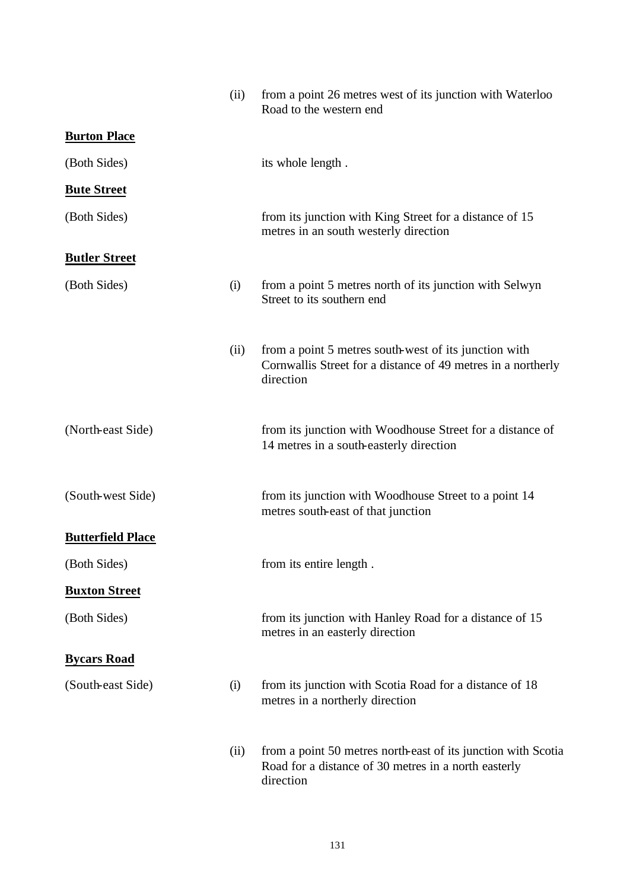|                          | (ii) | from a point 26 metres west of its junction with Waterloo<br>Road to the western end                                               |
|--------------------------|------|------------------------------------------------------------------------------------------------------------------------------------|
| <b>Burton Place</b>      |      |                                                                                                                                    |
| (Both Sides)             |      | its whole length.                                                                                                                  |
| <b>Bute Street</b>       |      |                                                                                                                                    |
| (Both Sides)             |      | from its junction with King Street for a distance of 15<br>metres in an south westerly direction                                   |
| <b>Butler Street</b>     |      |                                                                                                                                    |
| (Both Sides)             | (i)  | from a point 5 metres north of its junction with Selwyn<br>Street to its southern end                                              |
|                          | (ii) | from a point 5 metres south-west of its junction with<br>Cornwallis Street for a distance of 49 metres in a northerly<br>direction |
| (North-east Side)        |      | from its junction with Woodhouse Street for a distance of<br>14 metres in a south-easterly direction                               |
| (South-west Side)        |      | from its junction with Woodhouse Street to a point 14<br>metres south-east of that junction                                        |
| <b>Butterfield Place</b> |      |                                                                                                                                    |
| (Both Sides)             |      | from its entire length.                                                                                                            |
| <b>Buxton Street</b>     |      |                                                                                                                                    |
| (Both Sides)             |      | from its junction with Hanley Road for a distance of 15<br>metres in an easterly direction                                         |
| <b>Bycars Road</b>       |      |                                                                                                                                    |
| (South-east Side)        | (i)  | from its junction with Scotia Road for a distance of 18<br>metres in a northerly direction                                         |
|                          | (ii) | from a point 50 metres north-east of its junction with Scotia<br>Road for a distance of 30 metres in a north easterly<br>direction |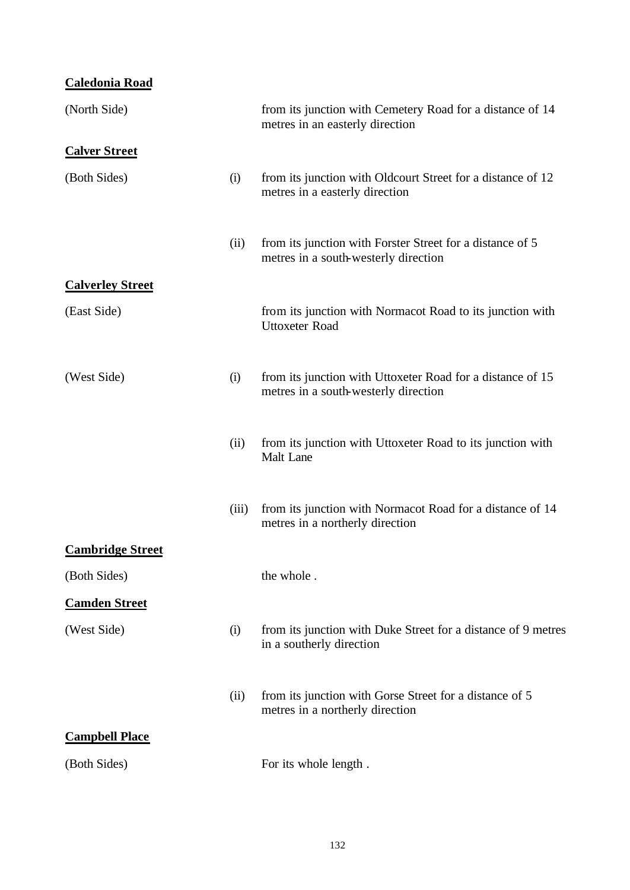### **Caledonia Road**

| (North Side)            |       | from its junction with Cemetery Road for a distance of 14<br>metres in an easterly direction       |
|-------------------------|-------|----------------------------------------------------------------------------------------------------|
| <b>Calver Street</b>    |       |                                                                                                    |
| (Both Sides)            | (i)   | from its junction with Oldcourt Street for a distance of 12<br>metres in a easterly direction      |
|                         | (ii)  | from its junction with Forster Street for a distance of 5<br>metres in a south-westerly direction  |
| <b>Calverley Street</b> |       |                                                                                                    |
| (East Side)             |       | from its junction with Normacot Road to its junction with<br><b>Uttoxeter Road</b>                 |
| (West Side)             | (i)   | from its junction with Uttoxeter Road for a distance of 15<br>metres in a south-westerly direction |
|                         | (ii)  | from its junction with Uttoxeter Road to its junction with<br><b>Malt</b> Lane                     |
|                         | (iii) | from its junction with Normacot Road for a distance of 14<br>metres in a northerly direction       |
| <b>Cambridge Street</b> |       |                                                                                                    |
| (Both Sides)            |       | the whole.                                                                                         |
| <b>Camden Street</b>    |       |                                                                                                    |
| (West Side)             | (i)   | from its junction with Duke Street for a distance of 9 metres<br>in a southerly direction          |
|                         | (ii)  | from its junction with Gorse Street for a distance of 5<br>metres in a northerly direction         |
| <b>Campbell Place</b>   |       |                                                                                                    |
| (Both Sides)            |       | For its whole length.                                                                              |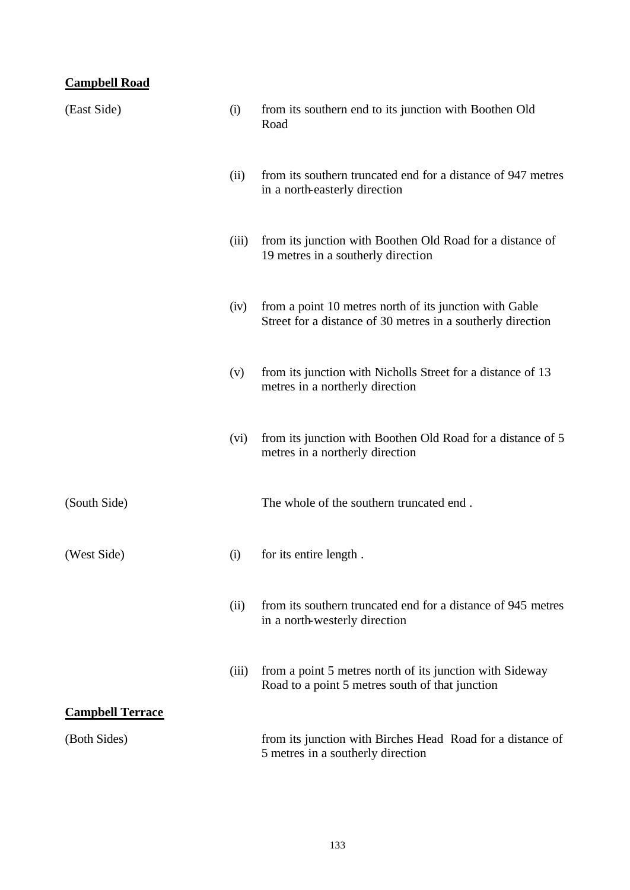### **Campbell Road**

| (East Side)             | (i)   | from its southern end to its junction with Boothen Old<br>Road                                                         |
|-------------------------|-------|------------------------------------------------------------------------------------------------------------------------|
|                         | (ii)  | from its southern truncated end for a distance of 947 metres<br>in a north-easterly direction                          |
|                         | (iii) | from its junction with Boothen Old Road for a distance of<br>19 metres in a southerly direction                        |
|                         | (iv)  | from a point 10 metres north of its junction with Gable<br>Street for a distance of 30 metres in a southerly direction |
|                         | (v)   | from its junction with Nicholls Street for a distance of 13<br>metres in a northerly direction                         |
|                         | (vi)  | from its junction with Boothen Old Road for a distance of 5<br>metres in a northerly direction                         |
| (South Side)            |       | The whole of the southern truncated end.                                                                               |
| (West Side)             | (i)   | for its entire length.                                                                                                 |
|                         | (ii)  | from its southern truncated end for a distance of 945 metres<br>in a north-westerly direction                          |
|                         | (iii) | from a point 5 metres north of its junction with Sideway<br>Road to a point 5 metres south of that junction            |
| <b>Campbell Terrace</b> |       |                                                                                                                        |
| (Both Sides)            |       | from its junction with Birches Head Road for a distance of<br>5 metres in a southerly direction                        |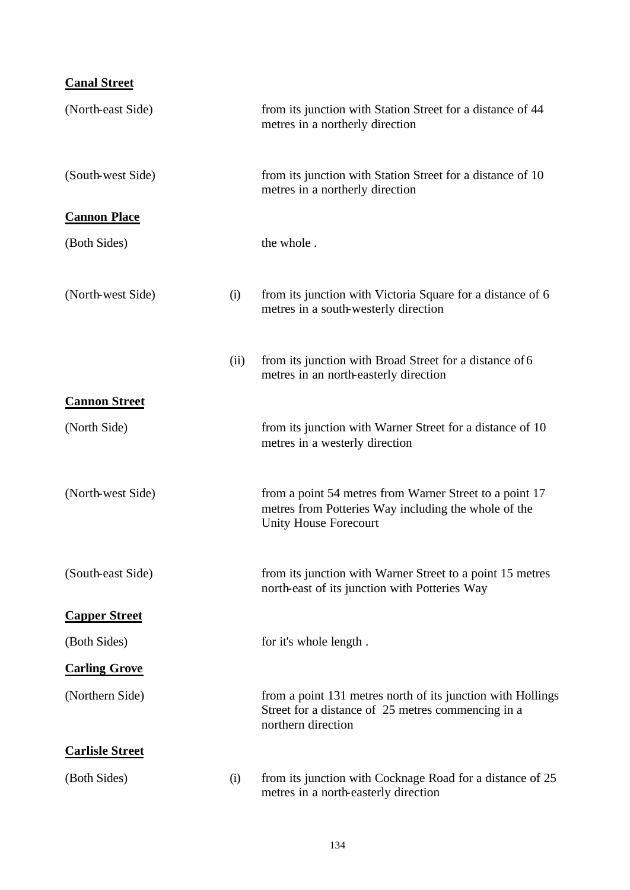## **Canal Street**

| (North-east Side)      |      | from its junction with Station Street for a distance of 44<br>metres in a northerly direction                                            |
|------------------------|------|------------------------------------------------------------------------------------------------------------------------------------------|
| (South-west Side)      |      | from its junction with Station Street for a distance of 10<br>metres in a northerly direction                                            |
| <b>Cannon Place</b>    |      |                                                                                                                                          |
| (Both Sides)           |      | the whole.                                                                                                                               |
| (North-west Side)      | (i)  | from its junction with Victoria Square for a distance of 6<br>metres in a south-westerly direction                                       |
|                        | (ii) | from its junction with Broad Street for a distance of 6<br>metres in an north-easterly direction                                         |
| <b>Cannon Street</b>   |      |                                                                                                                                          |
| (North Side)           |      | from its junction with Warner Street for a distance of 10<br>metres in a westerly direction                                              |
| (North-west Side)      |      | from a point 54 metres from Warner Street to a point 17<br>metres from Potteries Way including the whole of the<br>Unity House Forecourt |
| (South-east Side)      |      | from its junction with Warner Street to a point 15 metres<br>north-east of its junction with Potteries Way                               |
| <b>Capper Street</b>   |      |                                                                                                                                          |
| (Both Sides)           |      | for it's whole length.                                                                                                                   |
| <b>Carling Grove</b>   |      |                                                                                                                                          |
| (Northern Side)        |      | from a point 131 metres north of its junction with Hollings<br>Street for a distance of 25 metres commencing in a<br>northern direction  |
| <b>Carlisle Street</b> |      |                                                                                                                                          |
| (Both Sides)           | (i)  | from its junction with Cocknage Road for a distance of 25<br>metres in a north-easterly direction                                        |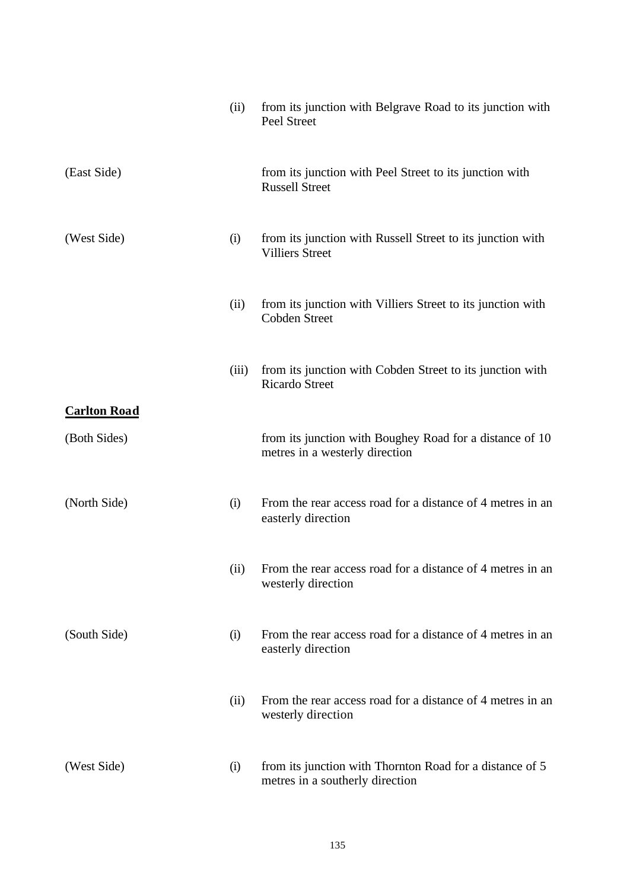|                                     | (ii)  | from its junction with Belgrave Road to its junction with<br>Peel Street                    |
|-------------------------------------|-------|---------------------------------------------------------------------------------------------|
| (East Side)                         |       | from its junction with Peel Street to its junction with<br><b>Russell Street</b>            |
| (West Side)                         | (i)   | from its junction with Russell Street to its junction with<br><b>Villiers Street</b>        |
|                                     | (ii)  | from its junction with Villiers Street to its junction with<br><b>Cobden Street</b>         |
|                                     | (iii) | from its junction with Cobden Street to its junction with<br><b>Ricardo Street</b>          |
| <b>Carlton Road</b><br>(Both Sides) |       | from its junction with Boughey Road for a distance of 10                                    |
|                                     |       | metres in a westerly direction                                                              |
| (North Side)                        | (i)   | From the rear access road for a distance of 4 metres in an<br>easterly direction            |
|                                     | (ii)  | From the rear access road for a distance of 4 metres in an<br>westerly direction            |
| (South Side)                        | (i)   | From the rear access road for a distance of 4 metres in an<br>easterly direction            |
|                                     | (ii)  | From the rear access road for a distance of 4 metres in an<br>westerly direction            |
| (West Side)                         | (i)   | from its junction with Thornton Road for a distance of 5<br>metres in a southerly direction |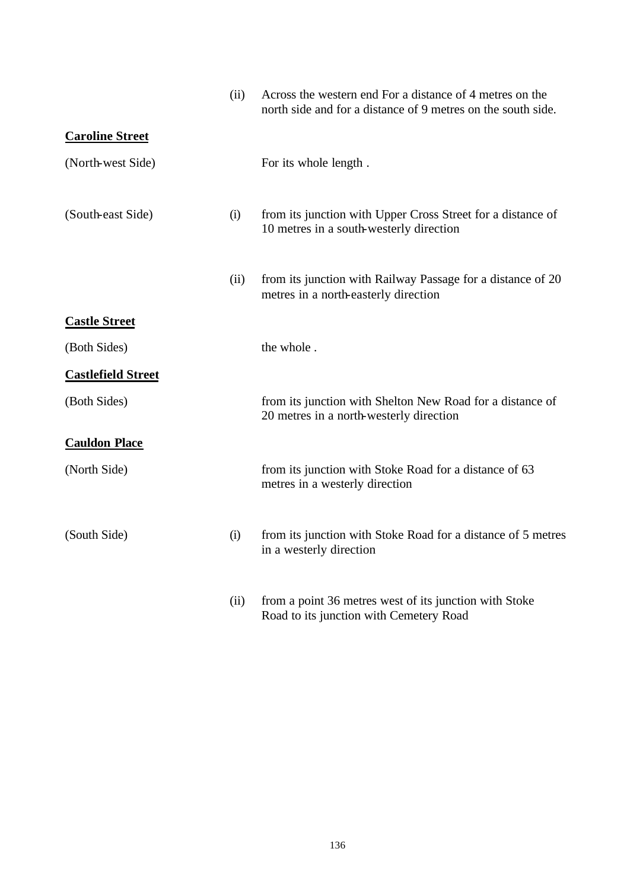|                           | (ii) | Across the western end For a distance of 4 metres on the<br>north side and for a distance of 9 metres on the south side. |
|---------------------------|------|--------------------------------------------------------------------------------------------------------------------------|
| <b>Caroline Street</b>    |      |                                                                                                                          |
| (North-west Side)         |      | For its whole length.                                                                                                    |
| (South-east Side)         | (i)  | from its junction with Upper Cross Street for a distance of<br>10 metres in a south-westerly direction                   |
|                           | (ii) | from its junction with Railway Passage for a distance of 20<br>metres in a north-easterly direction                      |
| <b>Castle Street</b>      |      |                                                                                                                          |
| (Both Sides)              |      | the whole.                                                                                                               |
| <b>Castlefield Street</b> |      |                                                                                                                          |
| (Both Sides)              |      | from its junction with Shelton New Road for a distance of<br>20 metres in a north-westerly direction                     |
| <b>Cauldon Place</b>      |      |                                                                                                                          |
| (North Side)              |      | from its junction with Stoke Road for a distance of 63<br>metres in a westerly direction                                 |
| (South Side)              | (i)  | from its junction with Stoke Road for a distance of 5 metres<br>in a westerly direction                                  |
|                           | (ii) | from a point 36 metres west of its junction with Stoke<br>Road to its junction with Cemetery Road                        |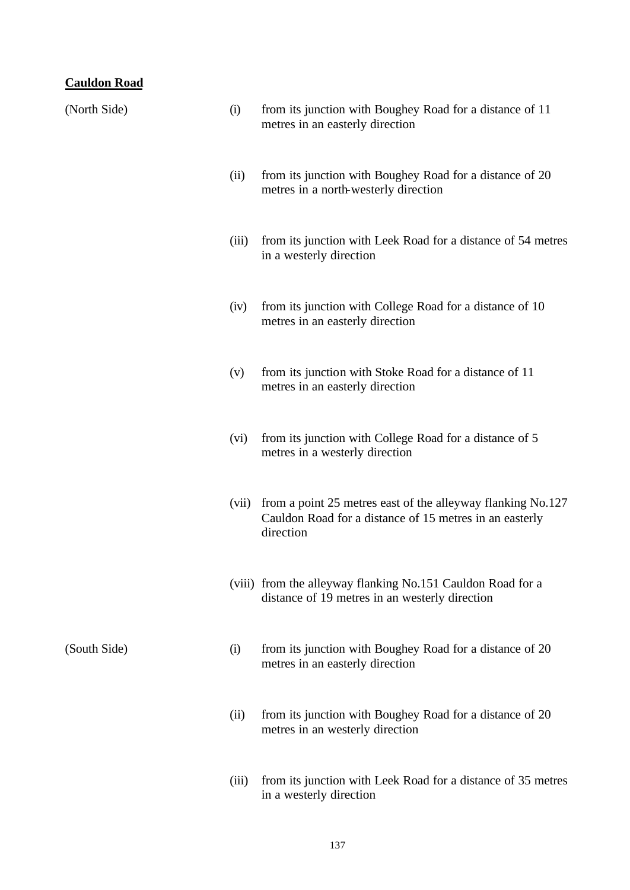# **Cauldon Road**

| (North Side) | (i)   | from its junction with Boughey Road for a distance of 11<br>metres in an easterly direction                                         |
|--------------|-------|-------------------------------------------------------------------------------------------------------------------------------------|
|              | (ii)  | from its junction with Boughey Road for a distance of 20<br>metres in a north-westerly direction                                    |
|              | (iii) | from its junction with Leek Road for a distance of 54 metres<br>in a westerly direction                                             |
|              | (iv)  | from its junction with College Road for a distance of 10<br>metres in an easterly direction                                         |
|              | (v)   | from its junction with Stoke Road for a distance of 11<br>metres in an easterly direction                                           |
|              | (vi)  | from its junction with College Road for a distance of 5<br>metres in a westerly direction                                           |
|              | (vii) | from a point 25 metres east of the alleyway flanking No.127<br>Cauldon Road for a distance of 15 metres in an easterly<br>direction |
|              |       | (viii) from the alleyway flanking No.151 Cauldon Road for a<br>distance of 19 metres in an westerly direction                       |
| (South Side) | (i)   | from its junction with Boughey Road for a distance of 20<br>metres in an easterly direction                                         |
|              | (ii)  | from its junction with Boughey Road for a distance of 20<br>metres in an westerly direction                                         |
|              |       |                                                                                                                                     |

(iii) from its junction with Leek Road for a distance of 35 metres in a westerly direction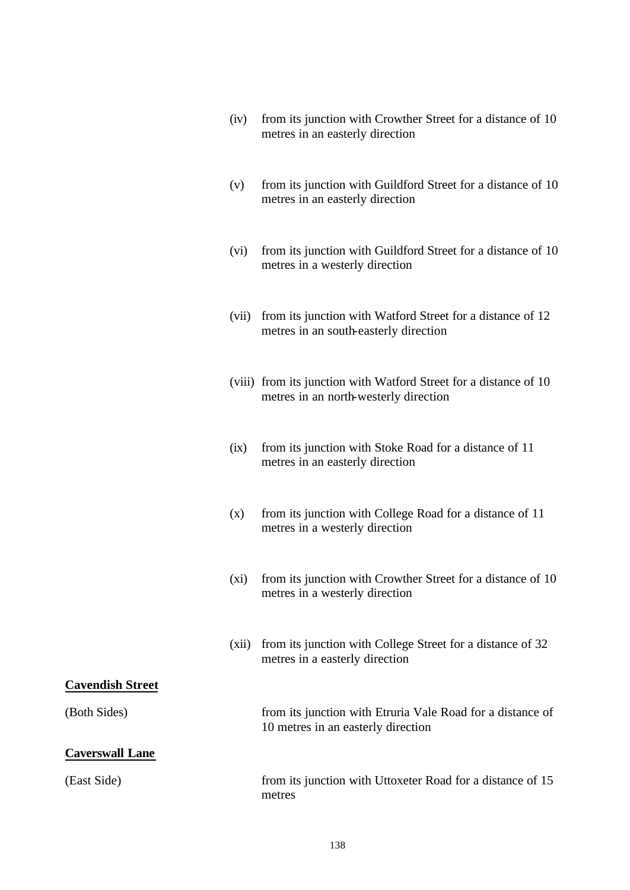| (iv) from its junction with Crowther Street for a distance of 10 |
|------------------------------------------------------------------|
| metres in an easterly direction                                  |

- (v) from its junction with Guildford Street for a distance of 10 metres in an easterly direction
- (vi) from its junction with Guildford Street for a distance of 10 metres in a westerly direction
- (vii) from its junction with Watford Street for a distance of 12 metres in an south-easterly direction
- (viii) from its junction with Watford Street for a distance of 10 metres in an north-westerly direction
- (ix) from its junction with Stoke Road for a distance of 11 metres in an easterly direction
- (x) from its junction with College Road for a distance of 11 metres in a westerly direction
- (xi) from its junction with Crowther Street for a distance of 10 metres in a westerly direction
- (xii) from its junction with College Street for a distance of 32 metres in a easterly direction

#### **Cavendish Street**

(Both Sides) from its junction with Etruria Vale Road for a distance of

#### **Caverswall Lane**

(East Side) from its junction with Uttoxeter Road for a distance of 15 metres

10 metres in an easterly direction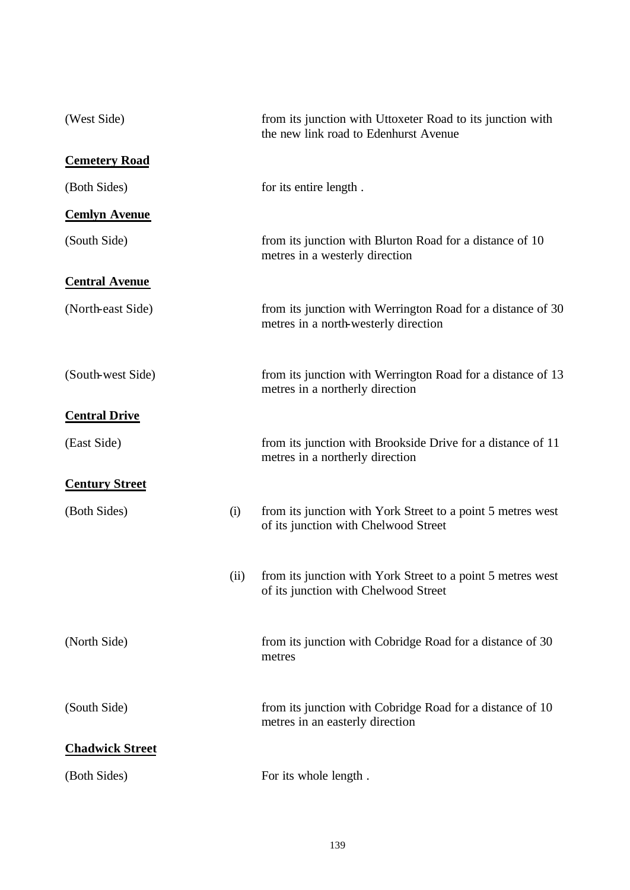| (West Side)            |      | from its junction with Uttoxeter Road to its junction with<br>the new link road to Edenhurst Avenue |
|------------------------|------|-----------------------------------------------------------------------------------------------------|
| <b>Cemetery Road</b>   |      |                                                                                                     |
| (Both Sides)           |      | for its entire length.                                                                              |
| <b>Cemlyn Avenue</b>   |      |                                                                                                     |
| (South Side)           |      | from its junction with Blurton Road for a distance of 10<br>metres in a westerly direction          |
| <b>Central Avenue</b>  |      |                                                                                                     |
| (North-east Side)      |      | from its junction with Werrington Road for a distance of 30<br>metres in a north-westerly direction |
| (South-west Side)      |      | from its junction with Werrington Road for a distance of 13<br>metres in a northerly direction      |
| <b>Central Drive</b>   |      |                                                                                                     |
| (East Side)            |      | from its junction with Brookside Drive for a distance of 11<br>metres in a northerly direction      |
| <b>Century Street</b>  |      |                                                                                                     |
| (Both Sides)           | (i)  | from its junction with York Street to a point 5 metres west<br>of its junction with Chelwood Street |
|                        | (ii) | from its junction with York Street to a point 5 metres west<br>of its junction with Chelwood Street |
| (North Side)           |      | from its junction with Cobridge Road for a distance of 30<br>metres                                 |
| (South Side)           |      | from its junction with Cobridge Road for a distance of 10<br>metres in an easterly direction        |
| <b>Chadwick Street</b> |      |                                                                                                     |
| (Both Sides)           |      | For its whole length.                                                                               |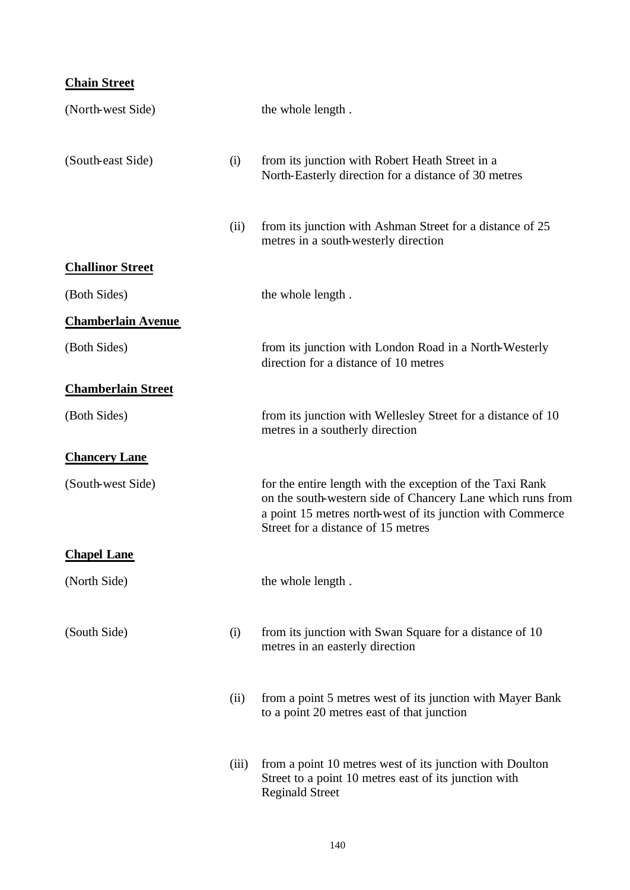# **Chain Street**

| (North-west Side)         |       | the whole length.                                                                                                                                                                                                           |
|---------------------------|-------|-----------------------------------------------------------------------------------------------------------------------------------------------------------------------------------------------------------------------------|
| (South-east Side)         | (i)   | from its junction with Robert Heath Street in a<br>North-Easterly direction for a distance of 30 metres                                                                                                                     |
|                           | (ii)  | from its junction with Ashman Street for a distance of 25<br>metres in a south-westerly direction                                                                                                                           |
| <b>Challinor Street</b>   |       |                                                                                                                                                                                                                             |
| (Both Sides)              |       | the whole length.                                                                                                                                                                                                           |
| <b>Chamberlain Avenue</b> |       |                                                                                                                                                                                                                             |
| (Both Sides)              |       | from its junction with London Road in a North-Westerly<br>direction for a distance of 10 metres                                                                                                                             |
| <b>Chamberlain Street</b> |       |                                                                                                                                                                                                                             |
| (Both Sides)              |       | from its junction with Wellesley Street for a distance of 10<br>metres in a southerly direction                                                                                                                             |
| <b>Chancery Lane</b>      |       |                                                                                                                                                                                                                             |
| (South-west Side)         |       | for the entire length with the exception of the Taxi Rank<br>on the south-western side of Chancery Lane which runs from<br>a point 15 metres north-west of its junction with Commerce<br>Street for a distance of 15 metres |
| <b>Chapel Lane</b>        |       |                                                                                                                                                                                                                             |
| (North Side)              |       | the whole length.                                                                                                                                                                                                           |
| (South Side)              | (i)   | from its junction with Swan Square for a distance of 10<br>metres in an easterly direction                                                                                                                                  |
|                           | (ii)  | from a point 5 metres west of its junction with Mayer Bank<br>to a point 20 metres east of that junction                                                                                                                    |
|                           | (iii) | from a point 10 metres west of its junction with Doulton<br>Street to a point 10 metres east of its junction with<br><b>Reginald Street</b>                                                                                 |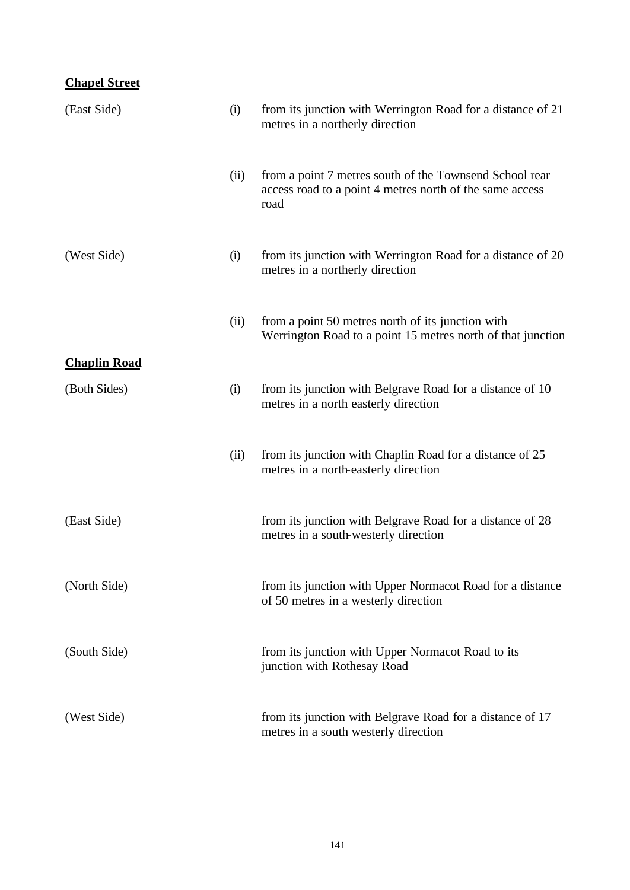### **Chapel Street**

| (East Side)         | (i)  | from its junction with Werrington Road for a distance of 21<br>metres in a northerly direction                              |
|---------------------|------|-----------------------------------------------------------------------------------------------------------------------------|
|                     | (ii) | from a point 7 metres south of the Townsend School rear<br>access road to a point 4 metres north of the same access<br>road |
| (West Side)         | (i)  | from its junction with Werrington Road for a distance of 20<br>metres in a northerly direction                              |
|                     | (ii) | from a point 50 metres north of its junction with<br>Werrington Road to a point 15 metres north of that junction            |
| <b>Chaplin Road</b> |      |                                                                                                                             |
| (Both Sides)        | (i)  | from its junction with Belgrave Road for a distance of 10<br>metres in a north easterly direction                           |
|                     | (ii) | from its junction with Chaplin Road for a distance of 25<br>metres in a north-easterly direction                            |
| (East Side)         |      | from its junction with Belgrave Road for a distance of 28<br>metres in a south-westerly direction                           |
| (North Side)        |      | from its junction with Upper Normacot Road for a distance<br>of 50 metres in a westerly direction                           |
| (South Side)        |      | from its junction with Upper Normacot Road to its<br>junction with Rothesay Road                                            |
| (West Side)         |      | from its junction with Belgrave Road for a distance of 17<br>metres in a south westerly direction                           |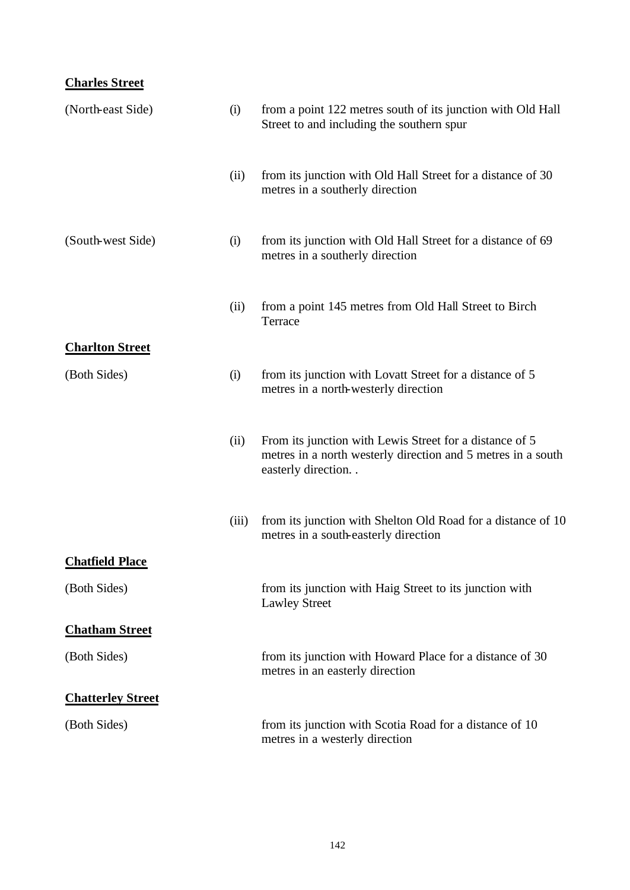# **Charles Street**

| (North-east Side)        | (i)   | from a point 122 metres south of its junction with Old Hall<br>Street to and including the southern spur                                         |
|--------------------------|-------|--------------------------------------------------------------------------------------------------------------------------------------------------|
|                          | (ii)  | from its junction with Old Hall Street for a distance of 30<br>metres in a southerly direction                                                   |
| (South-west Side)        | (i)   | from its junction with Old Hall Street for a distance of 69<br>metres in a southerly direction                                                   |
|                          | (ii)  | from a point 145 metres from Old Hall Street to Birch<br>Terrace                                                                                 |
| <b>Charlton Street</b>   |       |                                                                                                                                                  |
| (Both Sides)             | (i)   | from its junction with Lovatt Street for a distance of 5<br>metres in a north-westerly direction                                                 |
|                          | (ii)  | From its junction with Lewis Street for a distance of 5<br>metres in a north westerly direction and 5 metres in a south<br>easterly direction. . |
|                          | (iii) | from its junction with Shelton Old Road for a distance of 10<br>metres in a south-easterly direction                                             |
| <b>Chatfield Place</b>   |       |                                                                                                                                                  |
| (Both Sides)             |       | from its junction with Haig Street to its junction with<br><b>Lawley Street</b>                                                                  |
| <b>Chatham Street</b>    |       |                                                                                                                                                  |
| (Both Sides)             |       | from its junction with Howard Place for a distance of 30<br>metres in an easterly direction                                                      |
| <b>Chatterley Street</b> |       |                                                                                                                                                  |
| (Both Sides)             |       | from its junction with Scotia Road for a distance of 10<br>metres in a westerly direction                                                        |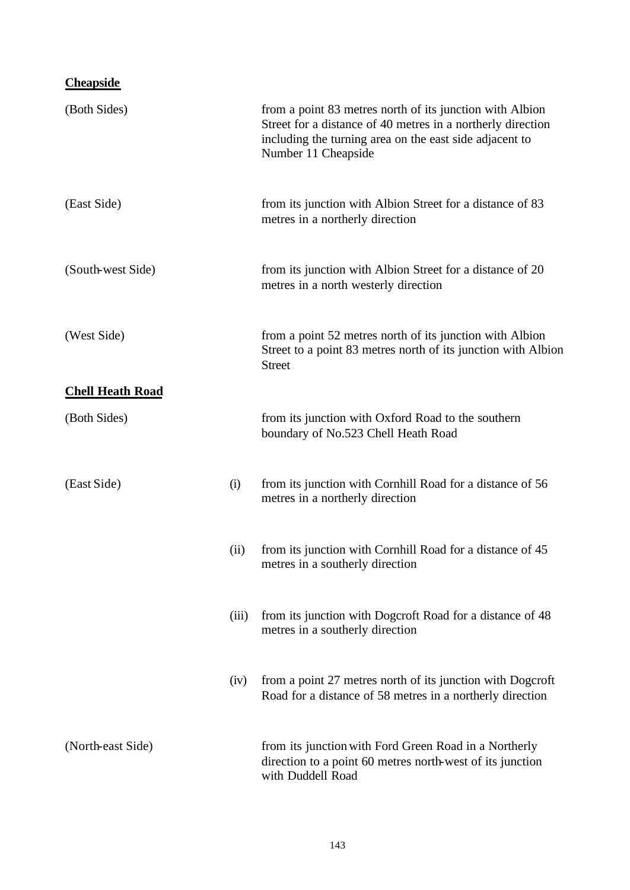# **Cheapside**

| (Both Sides)            |       | from a point 83 metres north of its junction with Albion<br>Street for a distance of 40 metres in a northerly direction<br>including the turning area on the east side adjacent to<br>Number 11 Cheapside |
|-------------------------|-------|-----------------------------------------------------------------------------------------------------------------------------------------------------------------------------------------------------------|
| (East Side)             |       | from its junction with Albion Street for a distance of 83<br>metres in a northerly direction                                                                                                              |
| (South-west Side)       |       | from its junction with Albion Street for a distance of 20<br>metres in a north westerly direction                                                                                                         |
| (West Side)             |       | from a point 52 metres north of its junction with Albion<br>Street to a point 83 metres north of its junction with Albion<br><b>Street</b>                                                                |
| <b>Chell Heath Road</b> |       |                                                                                                                                                                                                           |
| (Both Sides)            |       | from its junction with Oxford Road to the southern<br>boundary of No.523 Chell Heath Road                                                                                                                 |
| (East Side)             | (i)   | from its junction with Cornhill Road for a distance of 56<br>metres in a northerly direction                                                                                                              |
|                         | (ii)  | from its junction with Cornhill Road for a distance of 45<br>metres in a southerly direction                                                                                                              |
|                         | (iii) | from its junction with Dogcroft Road for a distance of 48<br>metres in a southerly direction                                                                                                              |
|                         | (iv)  | from a point 27 metres north of its junction with Dogcroft<br>Road for a distance of 58 metres in a northerly direction                                                                                   |
| (North-east Side)       |       | from its junction with Ford Green Road in a Northerly<br>direction to a point 60 metres north-west of its junction<br>with Duddell Road                                                                   |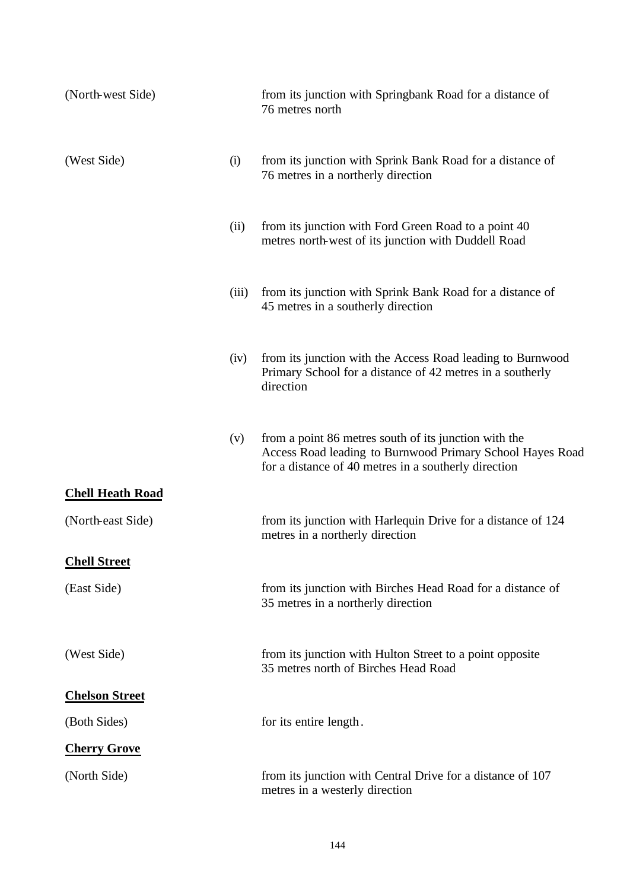| (North-west Side)       |       | from its junction with Springbank Road for a distance of<br>76 metres north                                                                                                |
|-------------------------|-------|----------------------------------------------------------------------------------------------------------------------------------------------------------------------------|
| (West Side)             | (i)   | from its junction with Sprink Bank Road for a distance of<br>76 metres in a northerly direction                                                                            |
|                         | (ii)  | from its junction with Ford Green Road to a point 40<br>metres north-west of its junction with Duddell Road                                                                |
|                         | (iii) | from its junction with Sprink Bank Road for a distance of<br>45 metres in a southerly direction                                                                            |
|                         | (iv)  | from its junction with the Access Road leading to Burnwood<br>Primary School for a distance of 42 metres in a southerly<br>direction                                       |
|                         | (v)   | from a point 86 metres south of its junction with the<br>Access Road leading to Burnwood Primary School Hayes Road<br>for a distance of 40 metres in a southerly direction |
| <b>Chell Heath Road</b> |       |                                                                                                                                                                            |
| (North-east Side)       |       | from its junction with Harlequin Drive for a distance of 124<br>metres in a northerly direction                                                                            |
| <b>Chell Street</b>     |       |                                                                                                                                                                            |
| (East Side)             |       | from its junction with Birches Head Road for a distance of<br>35 metres in a northerly direction                                                                           |
| (West Side)             |       | from its junction with Hulton Street to a point opposite<br>35 metres north of Birches Head Road                                                                           |
| <b>Chelson Street</b>   |       |                                                                                                                                                                            |
| (Both Sides)            |       | for its entire length.                                                                                                                                                     |
| <b>Cherry Grove</b>     |       |                                                                                                                                                                            |
| (North Side)            |       | from its junction with Central Drive for a distance of 107<br>metres in a westerly direction                                                                               |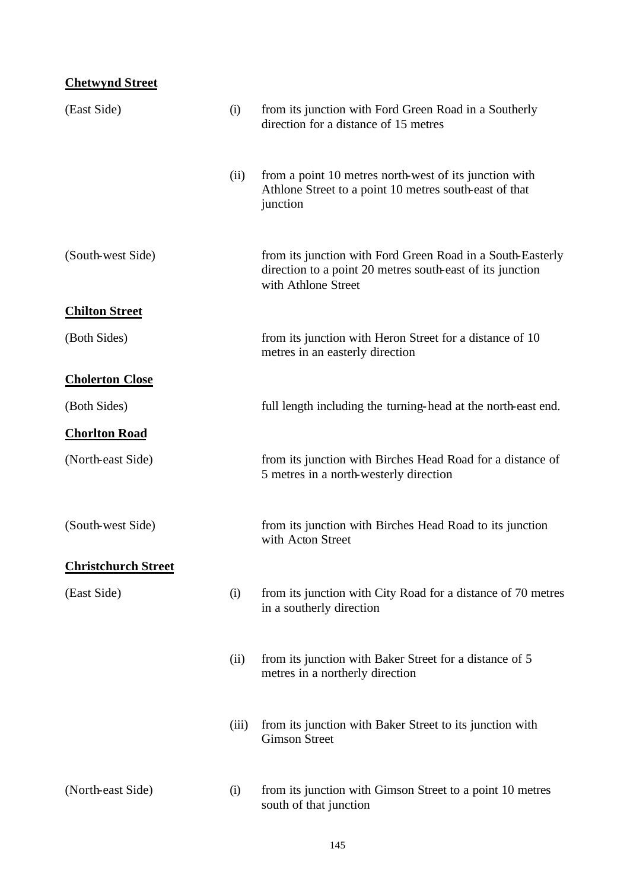## **Chetwynd Street**

| (East Side)                | (i)   | from its junction with Ford Green Road in a Southerly<br>direction for a distance of 15 metres                                                 |
|----------------------------|-------|------------------------------------------------------------------------------------------------------------------------------------------------|
|                            | (ii)  | from a point 10 metres north-west of its junction with<br>Athlone Street to a point 10 metres south-east of that<br>junction                   |
| (South-west Side)          |       | from its junction with Ford Green Road in a South-Easterly<br>direction to a point 20 metres south-east of its junction<br>with Athlone Street |
| <b>Chilton Street</b>      |       |                                                                                                                                                |
| (Both Sides)               |       | from its junction with Heron Street for a distance of 10<br>metres in an easterly direction                                                    |
| <b>Cholerton Close</b>     |       |                                                                                                                                                |
| (Both Sides)               |       | full length including the turning-head at the north-east end.                                                                                  |
| <b>Chorlton Road</b>       |       |                                                                                                                                                |
| (North-east Side)          |       | from its junction with Birches Head Road for a distance of<br>5 metres in a north-westerly direction                                           |
| (South-west Side)          |       | from its junction with Birches Head Road to its junction<br>with Acton Street                                                                  |
| <b>Christchurch Street</b> |       |                                                                                                                                                |
| (East Side)                | (i)   | from its junction with City Road for a distance of 70 metres<br>in a southerly direction                                                       |
|                            | (ii)  | from its junction with Baker Street for a distance of 5<br>metres in a northerly direction                                                     |
|                            | (iii) | from its junction with Baker Street to its junction with<br><b>Gimson Street</b>                                                               |
| (North-east Side)          | (i)   | from its junction with Gimson Street to a point 10 metres<br>south of that junction                                                            |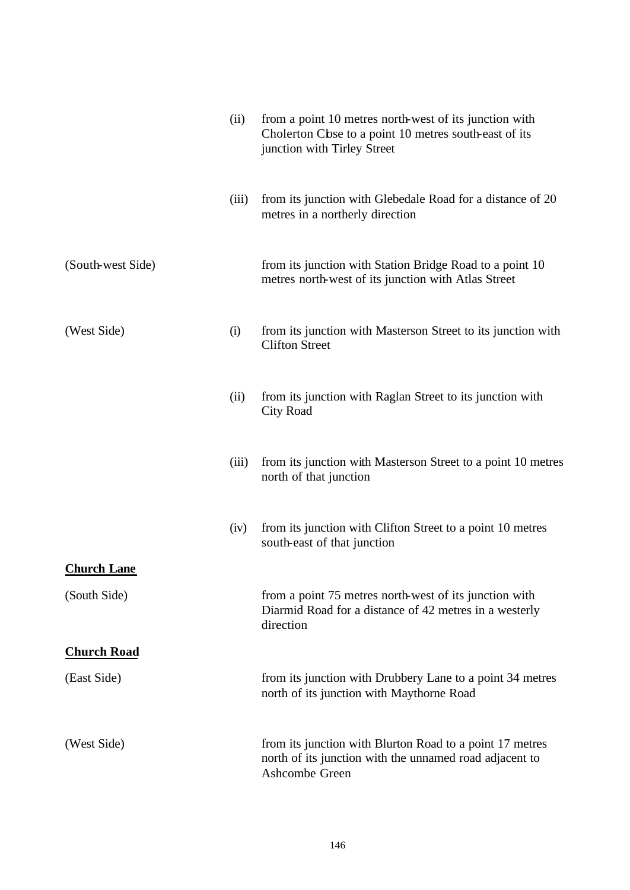|                    | (ii)  | from a point 10 metres north-west of its junction with<br>Cholerton Cbse to a point 10 metres south-east of its<br>junction with Tirley Street |
|--------------------|-------|------------------------------------------------------------------------------------------------------------------------------------------------|
|                    | (iii) | from its junction with Glebedale Road for a distance of 20<br>metres in a northerly direction                                                  |
| (South-west Side)  |       | from its junction with Station Bridge Road to a point 10<br>metres north-west of its junction with Atlas Street                                |
| (West Side)        | (i)   | from its junction with Masterson Street to its junction with<br><b>Clifton Street</b>                                                          |
|                    | (ii)  | from its junction with Raglan Street to its junction with<br><b>City Road</b>                                                                  |
|                    | (iii) | from its junction with Masterson Street to a point 10 metres<br>north of that junction                                                         |
|                    | (iv)  | from its junction with Clifton Street to a point 10 metres<br>south-east of that junction                                                      |
| <b>Church Lane</b> |       |                                                                                                                                                |
| (South Side)       |       | from a point 75 metres north-west of its junction with<br>Diarmid Road for a distance of 42 metres in a westerly<br>direction                  |
| <b>Church Road</b> |       |                                                                                                                                                |
| (East Side)        |       | from its junction with Drubbery Lane to a point 34 metres<br>north of its junction with Maythorne Road                                         |
| (West Side)        |       | from its junction with Blurton Road to a point 17 metres<br>north of its junction with the unnamed road adjacent to<br>Ashcombe Green          |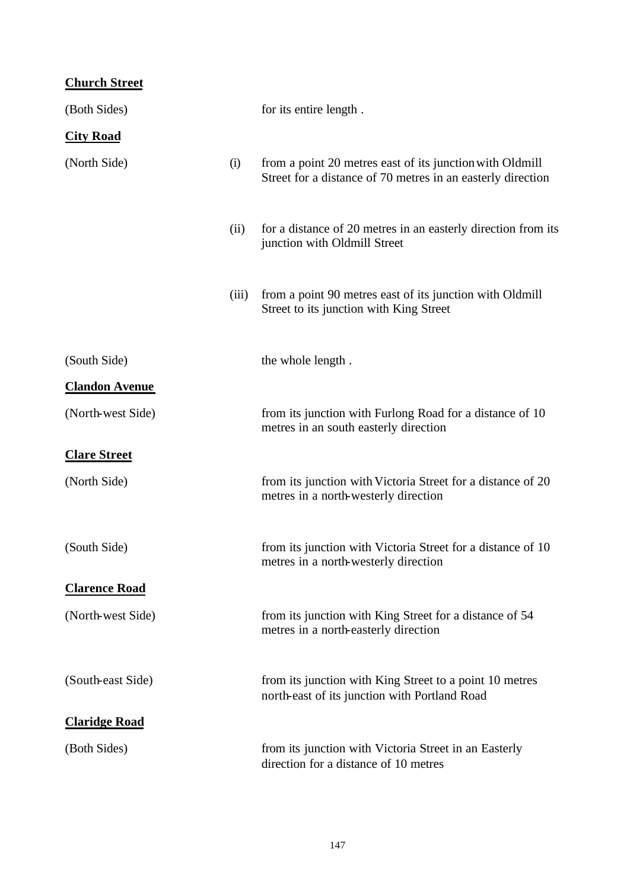# **Church Street**

| (Both Sides)          |       | for its entire length.                                                                                                  |
|-----------------------|-------|-------------------------------------------------------------------------------------------------------------------------|
| <b>City Road</b>      |       |                                                                                                                         |
| (North Side)          | (i)   | from a point 20 metres east of its junction with Oldmill<br>Street for a distance of 70 metres in an easterly direction |
|                       | (ii)  | for a distance of 20 metres in an easterly direction from its<br>junction with Oldmill Street                           |
|                       | (iii) | from a point 90 metres east of its junction with Oldmill<br>Street to its junction with King Street                     |
| (South Side)          |       | the whole length.                                                                                                       |
| <b>Clandon Avenue</b> |       |                                                                                                                         |
| (North-west Side)     |       | from its junction with Furlong Road for a distance of 10<br>metres in an south easterly direction                       |
| <b>Clare Street</b>   |       |                                                                                                                         |
| (North Side)          |       | from its junction with Victoria Street for a distance of 20<br>metres in a north-westerly direction                     |
| (South Side)          |       | from its junction with Victoria Street for a distance of 10<br>metres in a north-westerly direction                     |
| <b>Clarence Road</b>  |       |                                                                                                                         |
| (North-west Side)     |       | from its junction with King Street for a distance of 54<br>metres in a north-easterly direction                         |
| (South-east Side)     |       | from its junction with King Street to a point 10 metres<br>north-east of its junction with Portland Road                |
| <b>Claridge Road</b>  |       |                                                                                                                         |
| (Both Sides)          |       | from its junction with Victoria Street in an Easterly<br>direction for a distance of 10 metres                          |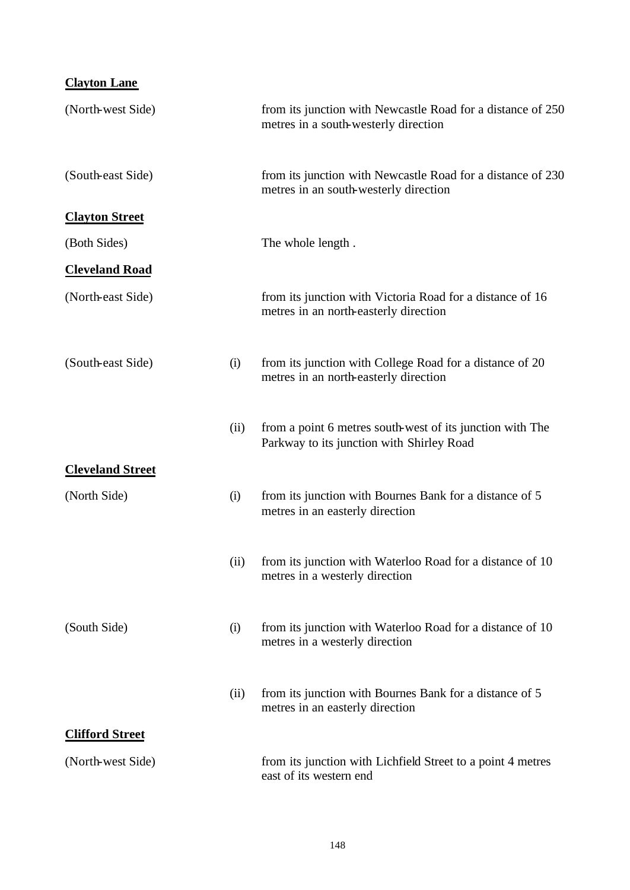| <b>Clayton Lane</b>     |      |                                                                                                        |
|-------------------------|------|--------------------------------------------------------------------------------------------------------|
| (North-west Side)       |      | from its junction with Newcastle Road for a distance of 250<br>metres in a south-westerly direction    |
| (South-east Side)       |      | from its junction with Newcastle Road for a distance of 230<br>metres in an south-westerly direction   |
| <b>Clayton Street</b>   |      |                                                                                                        |
| (Both Sides)            |      | The whole length.                                                                                      |
| <b>Cleveland Road</b>   |      |                                                                                                        |
| (North-east Side)       |      | from its junction with Victoria Road for a distance of 16<br>metres in an north-easterly direction     |
| (South-east Side)       | (i)  | from its junction with College Road for a distance of 20<br>metres in an north-easterly direction      |
|                         | (ii) | from a point 6 metres south-west of its junction with The<br>Parkway to its junction with Shirley Road |
| <b>Cleveland Street</b> |      |                                                                                                        |
| (North Side)            | (i)  | from its junction with Bournes Bank for a distance of 5<br>metres in an easterly direction             |
|                         | (ii) | from its junction with Waterloo Road for a distance of 10<br>metres in a westerly direction            |
| (South Side)            | (i)  | from its junction with Waterloo Road for a distance of 10<br>metres in a westerly direction            |
|                         | (ii) | from its junction with Bournes Bank for a distance of 5<br>metres in an easterly direction             |
| <b>Clifford Street</b>  |      |                                                                                                        |
| (North-west Side)       |      | from its junction with Lichfield Street to a point 4 metres<br>east of its western end                 |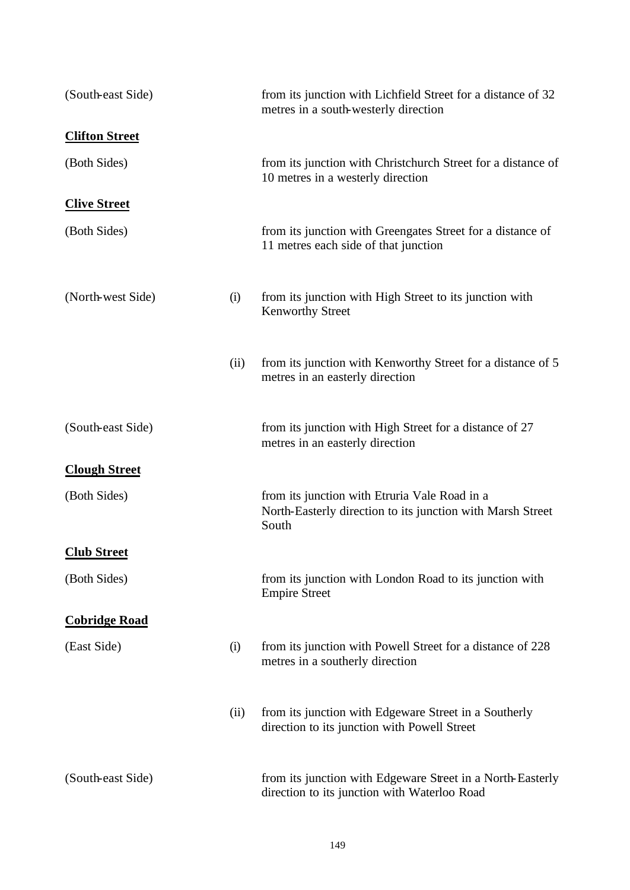| (South-east Side)     |      | from its junction with Lichfield Street for a distance of 32<br>metres in a south-westerly direction                 |
|-----------------------|------|----------------------------------------------------------------------------------------------------------------------|
| <b>Clifton Street</b> |      |                                                                                                                      |
| (Both Sides)          |      | from its junction with Christchurch Street for a distance of<br>10 metres in a westerly direction                    |
| <b>Clive Street</b>   |      |                                                                                                                      |
| (Both Sides)          |      | from its junction with Greengates Street for a distance of<br>11 metres each side of that junction                   |
| (North-west Side)     | (i)  | from its junction with High Street to its junction with<br><b>Kenworthy Street</b>                                   |
|                       | (ii) | from its junction with Kenworthy Street for a distance of 5<br>metres in an easterly direction                       |
| (South-east Side)     |      | from its junction with High Street for a distance of 27<br>metres in an easterly direction                           |
| <b>Clough Street</b>  |      |                                                                                                                      |
| (Both Sides)          |      | from its junction with Etruria Vale Road in a<br>North-Easterly direction to its junction with Marsh Street<br>South |
| <b>Club Street</b>    |      |                                                                                                                      |
| (Both Sides)          |      | from its junction with London Road to its junction with<br><b>Empire Street</b>                                      |
| <b>Cobridge Road</b>  |      |                                                                                                                      |
| (East Side)           | (i)  | from its junction with Powell Street for a distance of 228<br>metres in a southerly direction                        |
|                       | (ii) | from its junction with Edgeware Street in a Southerly<br>direction to its junction with Powell Street                |
| (South-east Side)     |      | from its junction with Edgeware Street in a North-Easterly<br>direction to its junction with Waterloo Road           |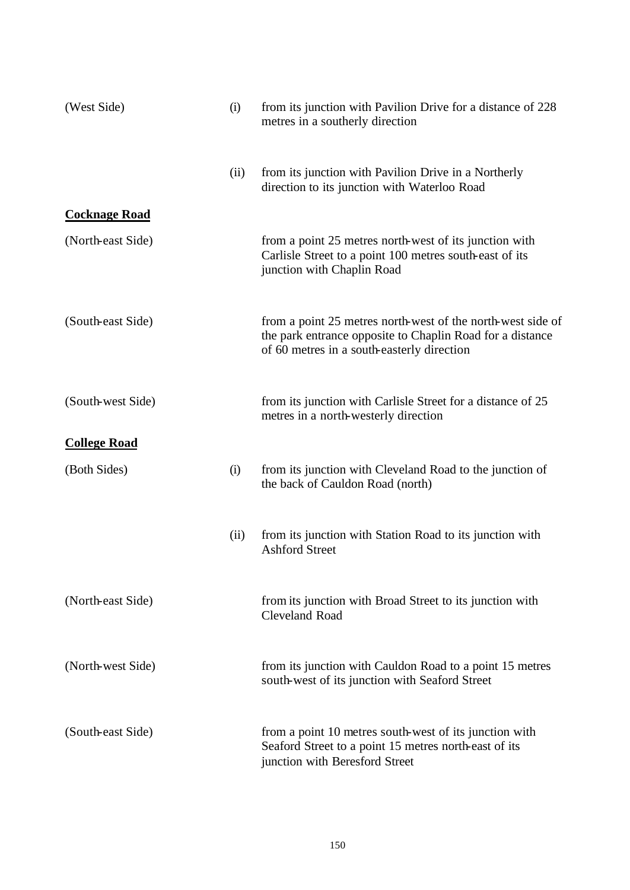| (West Side)          | (i)  | from its junction with Pavilion Drive for a distance of 228<br>metres in a southerly direction                                                                         |
|----------------------|------|------------------------------------------------------------------------------------------------------------------------------------------------------------------------|
|                      | (ii) | from its junction with Pavilion Drive in a Northerly<br>direction to its junction with Waterloo Road                                                                   |
| <b>Cocknage Road</b> |      |                                                                                                                                                                        |
| (North-east Side)    |      | from a point 25 metres north-west of its junction with<br>Carlisle Street to a point 100 metres south-east of its<br>junction with Chaplin Road                        |
| (South-east Side)    |      | from a point 25 metres north-west of the north-west side of<br>the park entrance opposite to Chaplin Road for a distance<br>of 60 metres in a south-easterly direction |
| (South-west Side)    |      | from its junction with Carlisle Street for a distance of 25<br>metres in a north-westerly direction                                                                    |
| <b>College Road</b>  |      |                                                                                                                                                                        |
| (Both Sides)         | (i)  | from its junction with Cleveland Road to the junction of<br>the back of Cauldon Road (north)                                                                           |
|                      | (ii) | from its junction with Station Road to its junction with<br><b>Ashford Street</b>                                                                                      |
| (North-east Side)    |      | from its junction with Broad Street to its junction with<br><b>Cleveland Road</b>                                                                                      |
| (North-west Side)    |      | from its junction with Cauldon Road to a point 15 metres<br>south-west of its junction with Seaford Street                                                             |
| (South-east Side)    |      | from a point 10 metres south-west of its junction with<br>Seaford Street to a point 15 metres north-east of its<br>junction with Beresford Street                      |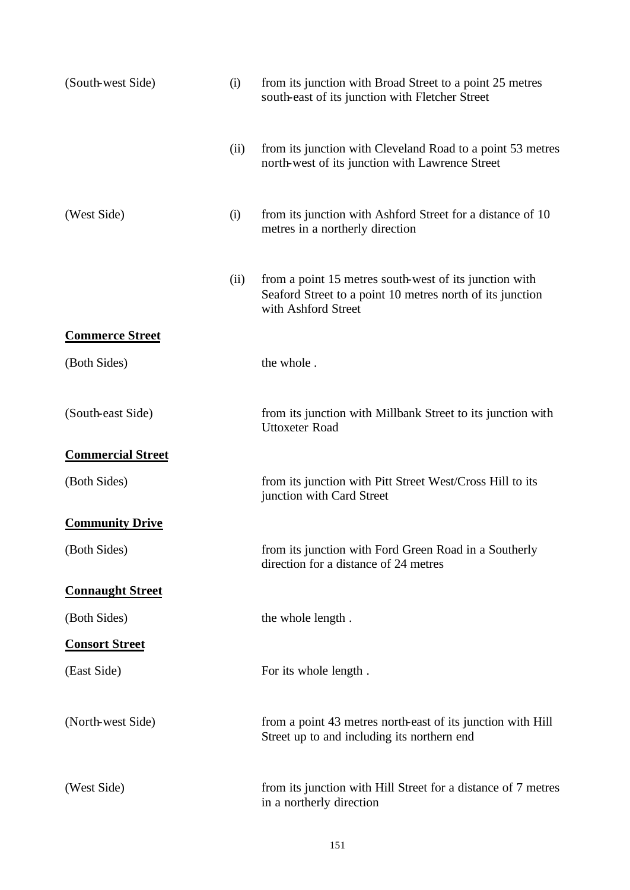| (South-west Side)        | (i)  | from its junction with Broad Street to a point 25 metres<br>south-east of its junction with Fletcher Street                                |
|--------------------------|------|--------------------------------------------------------------------------------------------------------------------------------------------|
|                          | (ii) | from its junction with Cleveland Road to a point 53 metres<br>north-west of its junction with Lawrence Street                              |
| (West Side)              | (i)  | from its junction with Ashford Street for a distance of 10<br>metres in a northerly direction                                              |
|                          | (ii) | from a point 15 metres south-west of its junction with<br>Seaford Street to a point 10 metres north of its junction<br>with Ashford Street |
| <b>Commerce Street</b>   |      |                                                                                                                                            |
| (Both Sides)             |      | the whole.                                                                                                                                 |
| (South-east Side)        |      | from its junction with Millbank Street to its junction with<br><b>Uttoxeter Road</b>                                                       |
| <b>Commercial Street</b> |      |                                                                                                                                            |
| (Both Sides)             |      | from its junction with Pitt Street West/Cross Hill to its<br>junction with Card Street                                                     |
| <b>Community Drive</b>   |      |                                                                                                                                            |
| (Both Sides)             |      | from its junction with Ford Green Road in a Southerly<br>direction for a distance of 24 metres                                             |
| <b>Connaught Street</b>  |      |                                                                                                                                            |
| (Both Sides)             |      | the whole length.                                                                                                                          |
| <b>Consort Street</b>    |      |                                                                                                                                            |
| (East Side)              |      | For its whole length.                                                                                                                      |
| (North-west Side)        |      | from a point 43 metres north-east of its junction with Hill<br>Street up to and including its northern end                                 |
| (West Side)              |      | from its junction with Hill Street for a distance of 7 metres<br>in a northerly direction                                                  |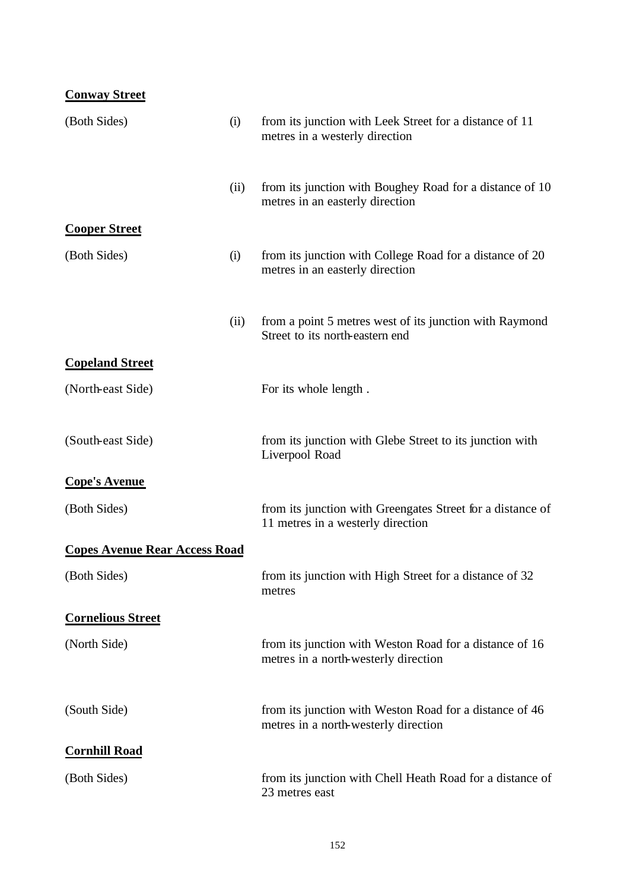| <b>Conway Street</b>                 |      |                                                                                                 |
|--------------------------------------|------|-------------------------------------------------------------------------------------------------|
| (Both Sides)                         | (i)  | from its junction with Leek Street for a distance of 11<br>metres in a westerly direction       |
|                                      | (ii) | from its junction with Boughey Road for a distance of 10<br>metres in an easterly direction     |
| <b>Cooper Street</b>                 |      |                                                                                                 |
| (Both Sides)                         | (i)  | from its junction with College Road for a distance of 20<br>metres in an easterly direction     |
|                                      | (ii) | from a point 5 metres west of its junction with Raymond<br>Street to its north-eastern end      |
| <b>Copeland Street</b>               |      |                                                                                                 |
| (North-east Side)                    |      | For its whole length.                                                                           |
| (South-east Side)                    |      | from its junction with Glebe Street to its junction with<br>Liverpool Road                      |
| <b>Cope's Avenue</b>                 |      |                                                                                                 |
| (Both Sides)                         |      | from its junction with Greengates Street for a distance of<br>11 metres in a westerly direction |
| <b>Copes Avenue Rear Access Road</b> |      |                                                                                                 |
| (Both Sides)                         |      | from its junction with High Street for a distance of 32<br>metres                               |
| <b>Cornelious Street</b>             |      |                                                                                                 |
| (North Side)                         |      | from its junction with Weston Road for a distance of 16<br>metres in a north-westerly direction |
| (South Side)                         |      | from its junction with Weston Road for a distance of 46<br>metres in a north-westerly direction |
| <b>Cornhill Road</b>                 |      |                                                                                                 |
| (Both Sides)                         |      | from its junction with Chell Heath Road for a distance of<br>23 metres east                     |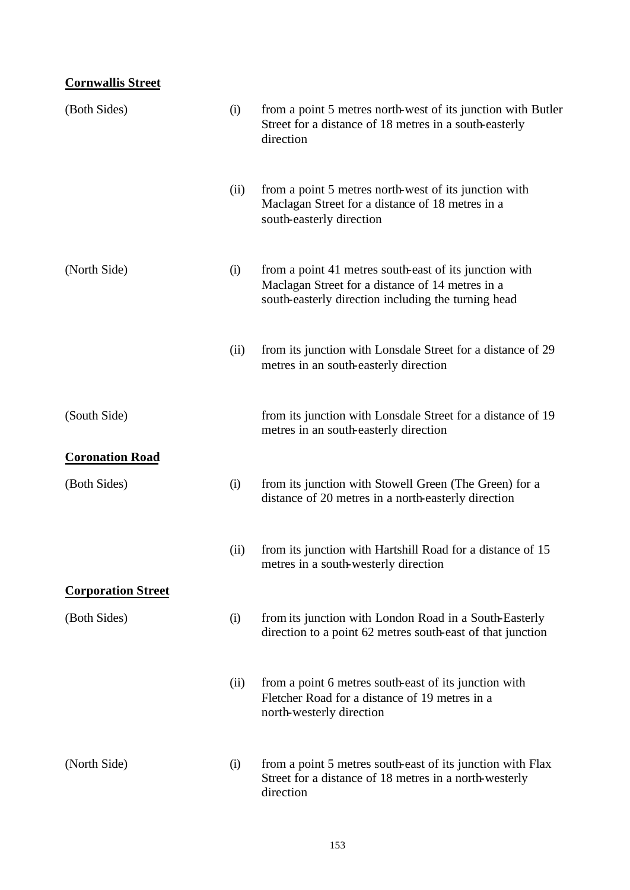# **Cornwallis Street**

| (Both Sides)              | (i)  | from a point 5 metres north-west of its junction with Butler<br>Street for a distance of 18 metres in a south-easterly<br>direction                               |
|---------------------------|------|-------------------------------------------------------------------------------------------------------------------------------------------------------------------|
|                           | (ii) | from a point 5 metres north-west of its junction with<br>Maclagan Street for a distance of 18 metres in a<br>south-easterly direction                             |
| (North Side)              | (i)  | from a point 41 metres south-east of its junction with<br>Maclagan Street for a distance of 14 metres in a<br>south-easterly direction including the turning head |
|                           | (ii) | from its junction with Lonsdale Street for a distance of 29<br>metres in an south-easterly direction                                                              |
| (South Side)              |      | from its junction with Lonsdale Street for a distance of 19<br>metres in an south-easterly direction                                                              |
| <b>Coronation Road</b>    |      |                                                                                                                                                                   |
| (Both Sides)              | (i)  | from its junction with Stowell Green (The Green) for a<br>distance of 20 metres in a north-easterly direction                                                     |
|                           | (ii) | from its junction with Hartshill Road for a distance of 15<br>metres in a south-westerly direction                                                                |
| <b>Corporation Street</b> |      |                                                                                                                                                                   |
| (Both Sides)              | (i)  | from its junction with London Road in a South-Easterly<br>direction to a point 62 metres south-east of that junction                                              |
|                           | (ii) | from a point 6 metres south-east of its junction with<br>Fletcher Road for a distance of 19 metres in a<br>north-westerly direction                               |
| (North Side)              | (i)  | from a point 5 metres south-east of its junction with Flax<br>Street for a distance of 18 metres in a north-westerly<br>direction                                 |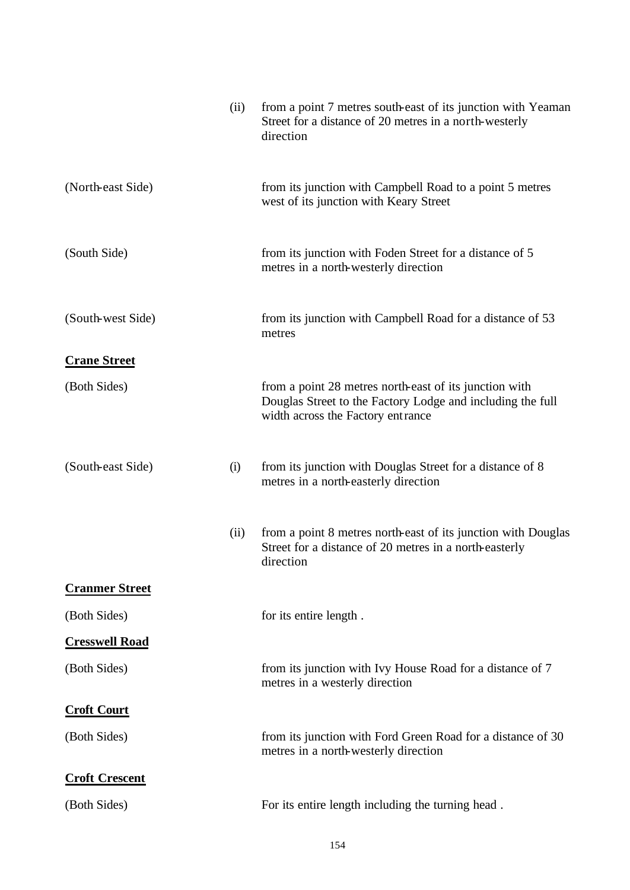|                       | (ii) | from a point 7 metres south-east of its junction with Yeaman<br>Street for a distance of 20 metres in a north-westerly<br>direction                       |
|-----------------------|------|-----------------------------------------------------------------------------------------------------------------------------------------------------------|
| (North-east Side)     |      | from its junction with Campbell Road to a point 5 metres<br>west of its junction with Keary Street                                                        |
| (South Side)          |      | from its junction with Foden Street for a distance of 5<br>metres in a north-westerly direction                                                           |
| (South-west Side)     |      | from its junction with Campbell Road for a distance of 53<br>metres                                                                                       |
| <b>Crane Street</b>   |      |                                                                                                                                                           |
| (Both Sides)          |      | from a point 28 metres north-east of its junction with<br>Douglas Street to the Factory Lodge and including the full<br>width across the Factory entrance |
| (South-east Side)     | (i)  | from its junction with Douglas Street for a distance of 8<br>metres in a north-easterly direction                                                         |
|                       | (ii) | from a point 8 metres north-east of its junction with Douglas<br>Street for a distance of 20 metres in a north-easterly<br>direction                      |
| <b>Cranmer Street</b> |      |                                                                                                                                                           |
| (Both Sides)          |      | for its entire length.                                                                                                                                    |
| <b>Cresswell Road</b> |      |                                                                                                                                                           |
| (Both Sides)          |      | from its junction with Ivy House Road for a distance of 7<br>metres in a westerly direction                                                               |
| <b>Croft Court</b>    |      |                                                                                                                                                           |
| (Both Sides)          |      | from its junction with Ford Green Road for a distance of 30<br>metres in a north-westerly direction                                                       |
| <b>Croft Crescent</b> |      |                                                                                                                                                           |
| (Both Sides)          |      | For its entire length including the turning head.                                                                                                         |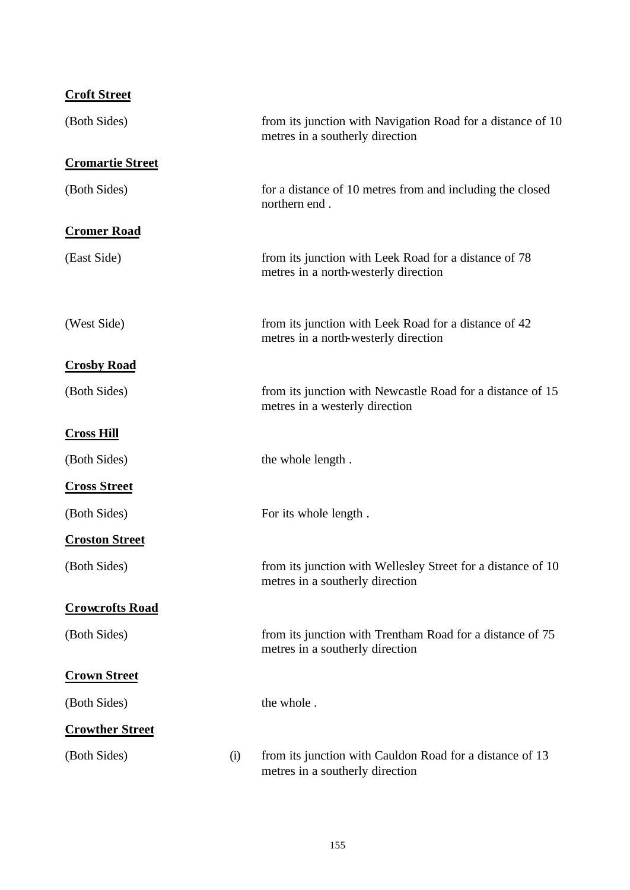| <b>Croft Street</b>     |     |                                                                                                 |
|-------------------------|-----|-------------------------------------------------------------------------------------------------|
| (Both Sides)            |     | from its junction with Navigation Road for a distance of 10<br>metres in a southerly direction  |
| <b>Cromartie Street</b> |     |                                                                                                 |
| (Both Sides)            |     | for a distance of 10 metres from and including the closed<br>northern end.                      |
| <b>Cromer Road</b>      |     |                                                                                                 |
| (East Side)             |     | from its junction with Leek Road for a distance of 78<br>metres in a north-westerly direction   |
| (West Side)             |     | from its junction with Leek Road for a distance of 42<br>metres in a north-westerly direction   |
| <b>Crosby Road</b>      |     |                                                                                                 |
| (Both Sides)            |     | from its junction with Newcastle Road for a distance of 15<br>metres in a westerly direction    |
| <b>Cross Hill</b>       |     |                                                                                                 |
| (Both Sides)            |     | the whole length.                                                                               |
| <b>Cross Street</b>     |     |                                                                                                 |
| (Both Sides)            |     | For its whole length.                                                                           |
| <b>Croston Street</b>   |     |                                                                                                 |
| (Both Sides)            |     | from its junction with Wellesley Street for a distance of 10<br>metres in a southerly direction |
| <b>Crowcrofts Road</b>  |     |                                                                                                 |
| (Both Sides)            |     | from its junction with Trentham Road for a distance of 75<br>metres in a southerly direction    |
| <b>Crown Street</b>     |     |                                                                                                 |
| (Both Sides)            |     | the whole.                                                                                      |
| <b>Crowther Street</b>  |     |                                                                                                 |
| (Both Sides)            | (i) | from its junction with Cauldon Road for a distance of 13<br>metres in a southerly direction     |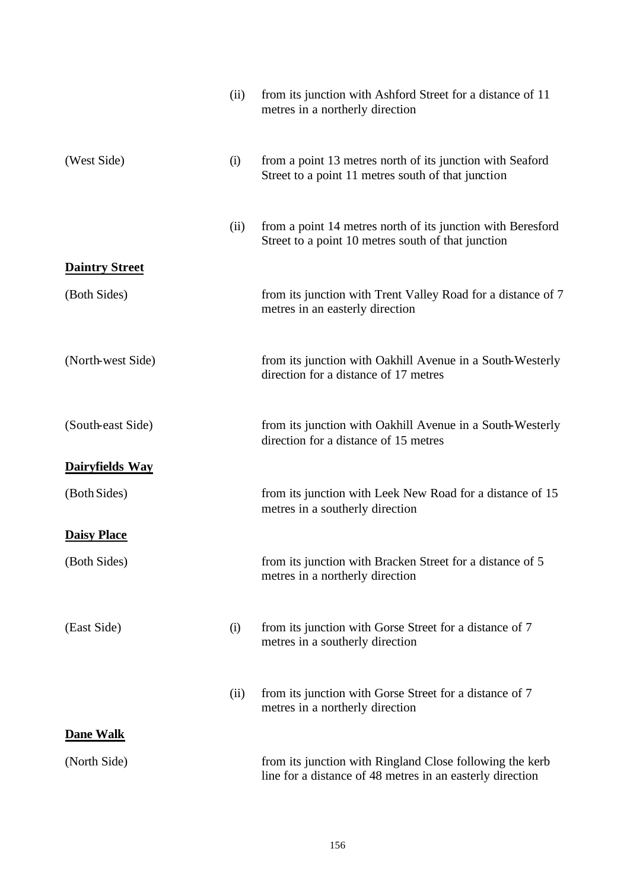|                       | (ii) | from its junction with Ashford Street for a distance of 11<br>metres in a northerly direction                         |
|-----------------------|------|-----------------------------------------------------------------------------------------------------------------------|
| (West Side)           | (i)  | from a point 13 metres north of its junction with Seaford<br>Street to a point 11 metres south of that junction       |
|                       | (ii) | from a point 14 metres north of its junction with Beresford<br>Street to a point 10 metres south of that junction     |
| <b>Daintry Street</b> |      |                                                                                                                       |
| (Both Sides)          |      | from its junction with Trent Valley Road for a distance of 7<br>metres in an easterly direction                       |
| (North-west Side)     |      | from its junction with Oakhill Avenue in a South-Westerly<br>direction for a distance of 17 metres                    |
| (South-east Side)     |      | from its junction with Oakhill Avenue in a South-Westerly<br>direction for a distance of 15 metres                    |
| Dairyfields Way       |      |                                                                                                                       |
| (Both Sides)          |      | from its junction with Leek New Road for a distance of 15<br>metres in a southerly direction                          |
| <b>Daisy Place</b>    |      |                                                                                                                       |
| (Both Sides)          |      | from its junction with Bracken Street for a distance of 5<br>metres in a northerly direction                          |
| (East Side)           | (i)  | from its junction with Gorse Street for a distance of 7<br>metres in a southerly direction                            |
|                       | (ii) | from its junction with Gorse Street for a distance of 7<br>metres in a northerly direction                            |
| <b>Dane Walk</b>      |      |                                                                                                                       |
| (North Side)          |      | from its junction with Ringland Close following the kerb<br>line for a distance of 48 metres in an easterly direction |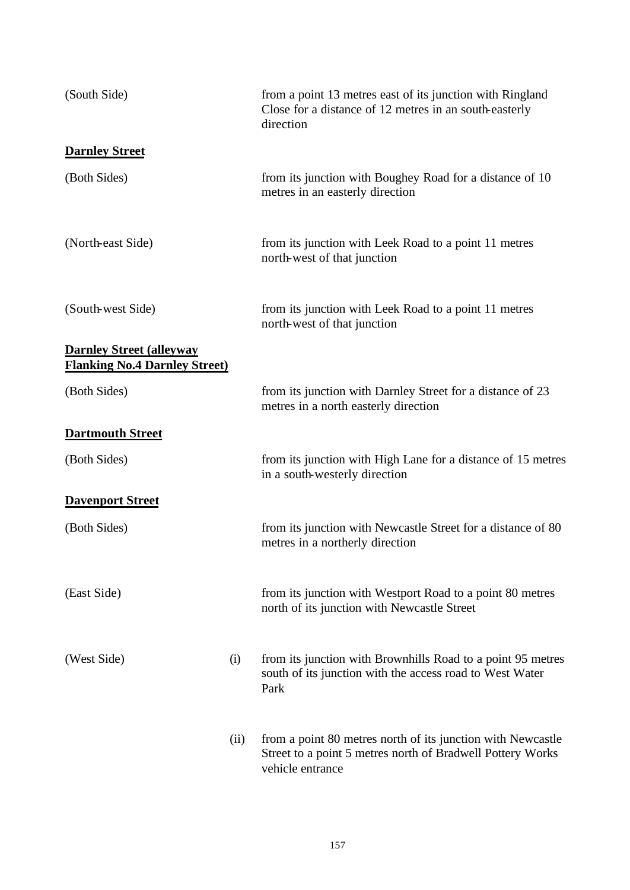| (South Side)                                                            |      | from a point 13 metres east of its junction with Ringland<br>Close for a distance of 12 metres in an south-easterly<br>direction              |
|-------------------------------------------------------------------------|------|-----------------------------------------------------------------------------------------------------------------------------------------------|
| <b>Darnley Street</b>                                                   |      |                                                                                                                                               |
| (Both Sides)                                                            |      | from its junction with Boughey Road for a distance of 10<br>metres in an easterly direction                                                   |
| (North-east Side)                                                       |      | from its junction with Leek Road to a point 11 metres<br>north-west of that junction                                                          |
| (South-west Side)                                                       |      | from its junction with Leek Road to a point 11 metres<br>north-west of that junction                                                          |
| <b>Darnley Street (alleyway</b><br><b>Flanking No.4 Darnley Street)</b> |      |                                                                                                                                               |
| (Both Sides)                                                            |      | from its junction with Darnley Street for a distance of 23<br>metres in a north easterly direction                                            |
| <b>Dartmouth Street</b>                                                 |      |                                                                                                                                               |
| (Both Sides)                                                            |      | from its junction with High Lane for a distance of 15 metres<br>in a south-westerly direction                                                 |
| <b>Davenport Street</b>                                                 |      |                                                                                                                                               |
| (Both Sides)                                                            |      | from its junction with Newcastle Street for a distance of 80<br>metres in a northerly direction                                               |
| (East Side)                                                             |      | from its junction with Westport Road to a point 80 metres<br>north of its junction with Newcastle Street                                      |
| (West Side)                                                             | (i)  | from its junction with Brownhills Road to a point 95 metres<br>south of its junction with the access road to West Water<br>Park               |
|                                                                         | (ii) | from a point 80 metres north of its junction with Newcastle<br>Street to a point 5 metres north of Bradwell Pottery Works<br>vehicle entrance |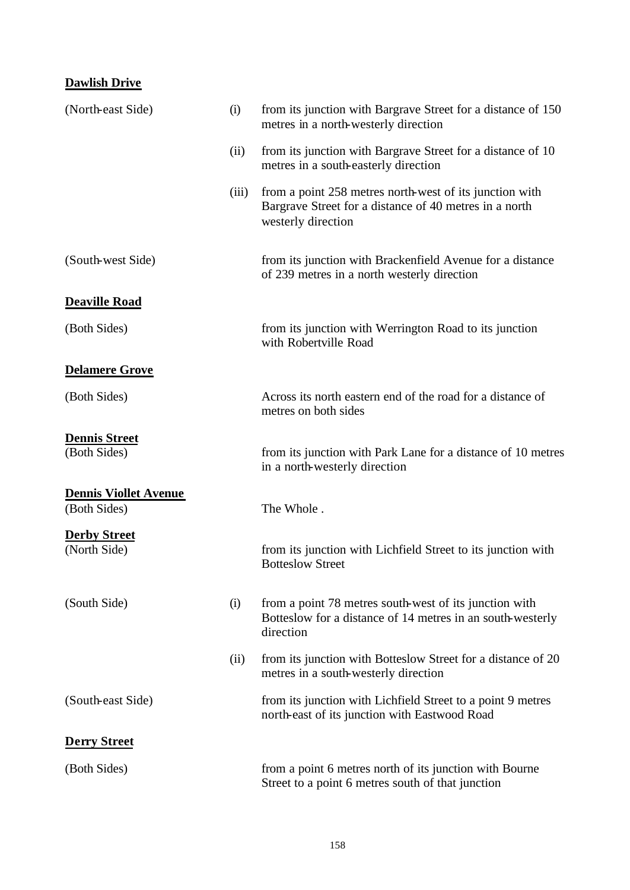## **Dawlish Drive**

| (North-east Side)                            | (i)   | from its junction with Bargrave Street for a distance of 150<br>metres in a north-westerly direction                                    |
|----------------------------------------------|-------|-----------------------------------------------------------------------------------------------------------------------------------------|
|                                              | (ii)  | from its junction with Bargrave Street for a distance of 10<br>metres in a south-easterly direction                                     |
|                                              | (iii) | from a point 258 metres north-west of its junction with<br>Bargrave Street for a distance of 40 metres in a north<br>westerly direction |
| (South-west Side)                            |       | from its junction with Brackenfield Avenue for a distance<br>of 239 metres in a north westerly direction                                |
| <b>Deaville Road</b>                         |       |                                                                                                                                         |
| (Both Sides)                                 |       | from its junction with Werrington Road to its junction<br>with Robertville Road                                                         |
| <b>Delamere Grove</b>                        |       |                                                                                                                                         |
| (Both Sides)                                 |       | Across its north eastern end of the road for a distance of<br>metres on both sides                                                      |
| <b>Dennis Street</b><br>(Both Sides)         |       | from its junction with Park Lane for a distance of 10 metres<br>in a north-westerly direction                                           |
| <b>Dennis Viollet Avenue</b><br>(Both Sides) |       | The Whole.                                                                                                                              |
| <b>Derby Street</b><br>(North Side)          |       | from its junction with Lichfield Street to its junction with<br><b>Botteslow Street</b>                                                 |
| (South Side)                                 | (i)   | from a point 78 metres south-west of its junction with<br>Botteslow for a distance of 14 metres in an south-westerly<br>direction       |
|                                              | (ii)  | from its junction with Botteslow Street for a distance of 20<br>metres in a south-westerly direction                                    |
| (South-east Side)                            |       | from its junction with Lichfield Street to a point 9 metres<br>north-east of its junction with Eastwood Road                            |
| <b>Derry Street</b>                          |       |                                                                                                                                         |
| (Both Sides)                                 |       | from a point 6 metres north of its junction with Bourne<br>Street to a point 6 metres south of that junction                            |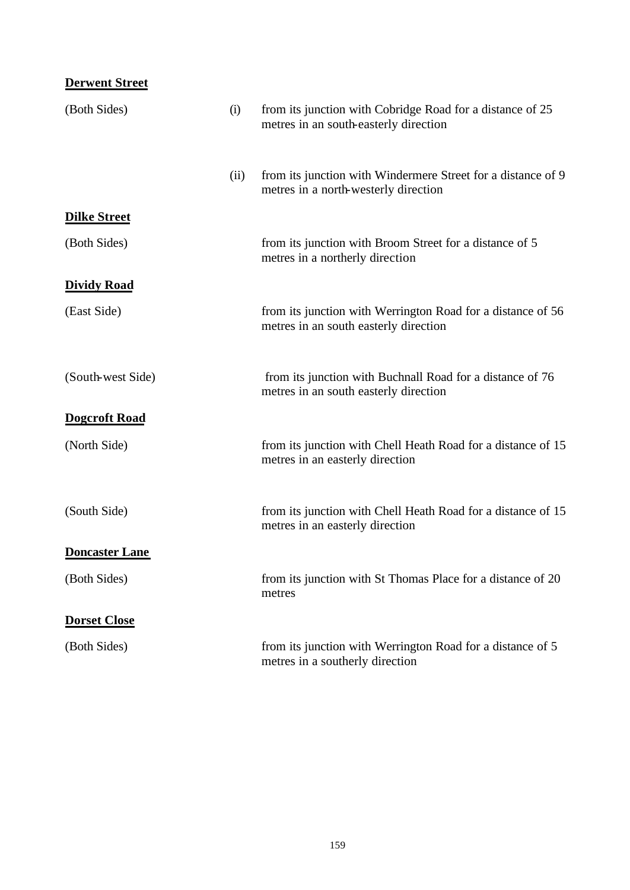| <b>Derwent Street</b> |      |                                                                                                      |
|-----------------------|------|------------------------------------------------------------------------------------------------------|
| (Both Sides)          | (i)  | from its junction with Cobridge Road for a distance of 25<br>metres in an south-easterly direction   |
|                       | (ii) | from its junction with Windermere Street for a distance of 9<br>metres in a north-westerly direction |
| <b>Dilke Street</b>   |      |                                                                                                      |
| (Both Sides)          |      | from its junction with Broom Street for a distance of 5<br>metres in a northerly direction           |
| <b>Dividy Road</b>    |      |                                                                                                      |
| (East Side)           |      | from its junction with Werrington Road for a distance of 56<br>metres in an south easterly direction |
| (South-west Side)     |      | from its junction with Buchnall Road for a distance of 76<br>metres in an south easterly direction   |
| <b>Dogcroft Road</b>  |      |                                                                                                      |
| (North Side)          |      | from its junction with Chell Heath Road for a distance of 15<br>metres in an easterly direction      |
| (South Side)          |      | from its junction with Chell Heath Road for a distance of 15<br>metres in an easterly direction      |
| <b>Doncaster Lane</b> |      |                                                                                                      |
| (Both Sides)          |      | from its junction with St Thomas Place for a distance of 20<br>metres                                |
| <b>Dorset Close</b>   |      |                                                                                                      |
| (Both Sides)          |      | from its junction with Werrington Road for a distance of 5<br>metres in a southerly direction        |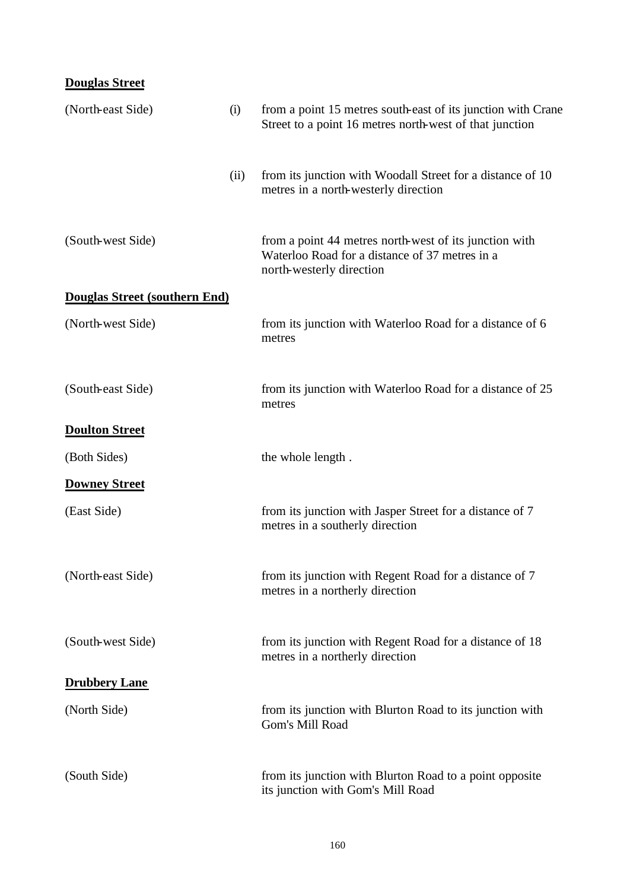# **Douglas Street**

| (North-east Side)             | (i)  | from a point 15 metres south-east of its junction with Crane<br>Street to a point 16 metres north-west of that junction              |
|-------------------------------|------|--------------------------------------------------------------------------------------------------------------------------------------|
|                               | (ii) | from its junction with Woodall Street for a distance of 10<br>metres in a north-westerly direction                                   |
| (South-west Side)             |      | from a point 44 metres north-west of its junction with<br>Waterloo Road for a distance of 37 metres in a<br>north-westerly direction |
| Douglas Street (southern End) |      |                                                                                                                                      |
| (North-west Side)             |      | from its junction with Waterloo Road for a distance of 6<br>metres                                                                   |
| (South-east Side)             |      | from its junction with Waterloo Road for a distance of 25<br>metres                                                                  |
| <b>Doulton Street</b>         |      |                                                                                                                                      |
| (Both Sides)                  |      | the whole length.                                                                                                                    |
| <b>Downey Street</b>          |      |                                                                                                                                      |
| (East Side)                   |      | from its junction with Jasper Street for a distance of 7<br>metres in a southerly direction                                          |
| (North-east Side)             |      | from its junction with Regent Road for a distance of 7<br>metres in a northerly direction                                            |
| (South-west Side)             |      | from its junction with Regent Road for a distance of 18<br>metres in a northerly direction                                           |
| <b>Drubbery Lane</b>          |      |                                                                                                                                      |
| (North Side)                  |      | from its junction with Blurton Road to its junction with<br>Gom's Mill Road                                                          |
| (South Side)                  |      | from its junction with Blurton Road to a point opposite<br>its junction with Gom's Mill Road                                         |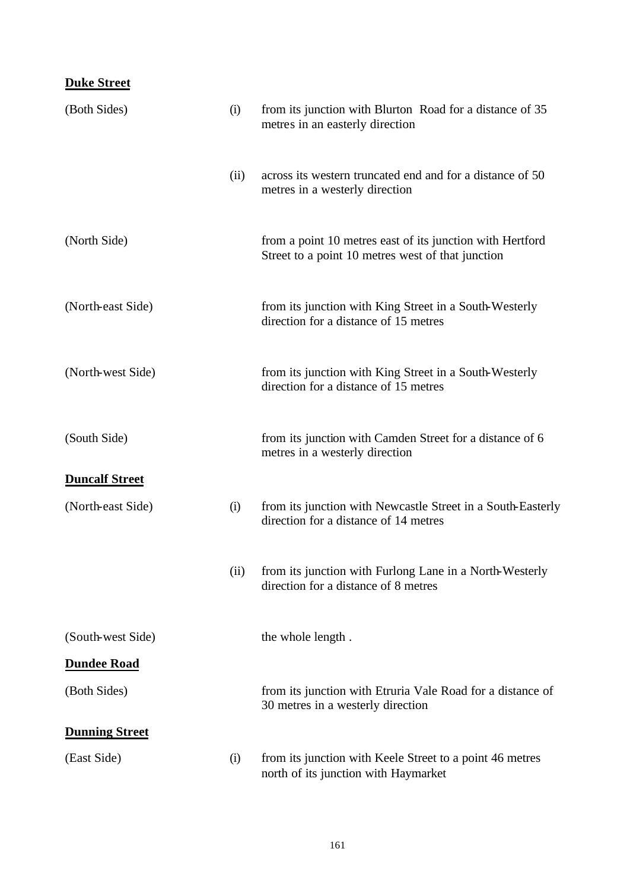## **Duke Street**

| (Both Sides)          | (i)  | from its junction with Blurton Road for a distance of 35<br>metres in an easterly direction                    |
|-----------------------|------|----------------------------------------------------------------------------------------------------------------|
|                       | (ii) | across its western truncated end and for a distance of 50<br>metres in a westerly direction                    |
| (North Side)          |      | from a point 10 metres east of its junction with Hertford<br>Street to a point 10 metres west of that junction |
| (North-east Side)     |      | from its junction with King Street in a South-Westerly<br>direction for a distance of 15 metres                |
| (North-west Side)     |      | from its junction with King Street in a South-Westerly<br>direction for a distance of 15 metres                |
| (South Side)          |      | from its junction with Camden Street for a distance of 6<br>metres in a westerly direction                     |
| <b>Duncalf Street</b> |      |                                                                                                                |
| (North-east Side)     | (i)  | from its junction with Newcastle Street in a South-Easterly<br>direction for a distance of 14 metres           |
|                       | (ii) | from its junction with Furlong Lane in a North-Westerly<br>direction for a distance of 8 metres                |
| (South-west Side)     |      | the whole length.                                                                                              |
| <b>Dundee Road</b>    |      |                                                                                                                |
| (Both Sides)          |      | from its junction with Etruria Vale Road for a distance of<br>30 metres in a westerly direction                |
| <b>Dunning Street</b> |      |                                                                                                                |
| (East Side)           | (i)  | from its junction with Keele Street to a point 46 metres<br>north of its junction with Haymarket               |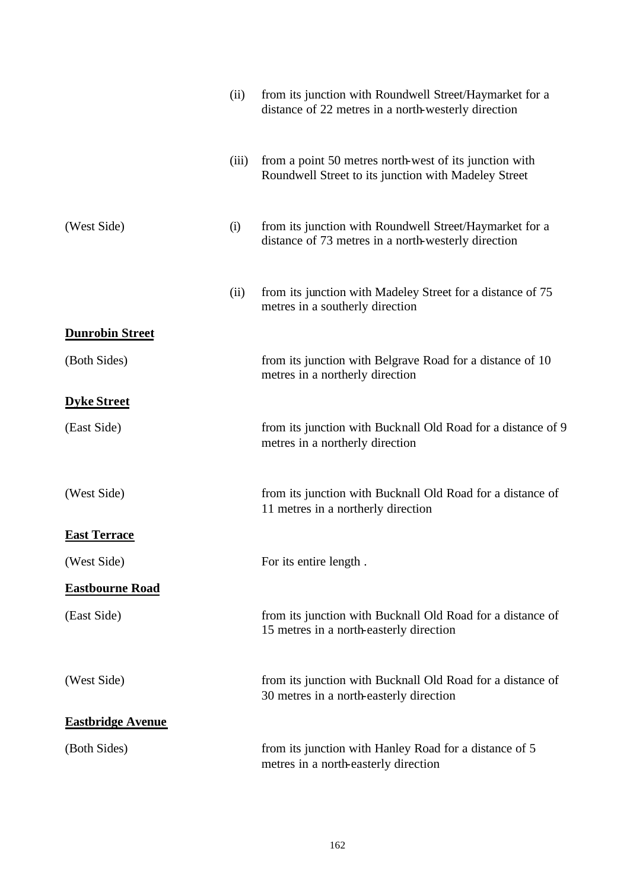|                          | (ii)  | from its junction with Roundwell Street/Haymarket for a<br>distance of 22 metres in a north-westerly direction |
|--------------------------|-------|----------------------------------------------------------------------------------------------------------------|
|                          | (iii) | from a point 50 metres north-west of its junction with<br>Roundwell Street to its junction with Madeley Street |
| (West Side)              | (i)   | from its junction with Roundwell Street/Haymarket for a<br>distance of 73 metres in a north-westerly direction |
|                          | (ii)  | from its junction with Madeley Street for a distance of 75<br>metres in a southerly direction                  |
| <b>Dunrobin Street</b>   |       |                                                                                                                |
| (Both Sides)             |       | from its junction with Belgrave Road for a distance of 10<br>metres in a northerly direction                   |
| <b>Dyke Street</b>       |       |                                                                                                                |
| (East Side)              |       | from its junction with Bucknall Old Road for a distance of 9<br>metres in a northerly direction                |
| (West Side)              |       | from its junction with Bucknall Old Road for a distance of<br>11 metres in a northerly direction               |
| <b>East Terrace</b>      |       |                                                                                                                |
| (West Side)              |       | For its entire length.                                                                                         |
| <b>Eastbourne Road</b>   |       |                                                                                                                |
| (East Side)              |       | from its junction with Bucknall Old Road for a distance of<br>15 metres in a north-easterly direction          |
| (West Side)              |       | from its junction with Bucknall Old Road for a distance of<br>30 metres in a north-easterly direction          |
| <b>Eastbridge Avenue</b> |       |                                                                                                                |
| (Both Sides)             |       | from its junction with Hanley Road for a distance of 5<br>metres in a north-easterly direction                 |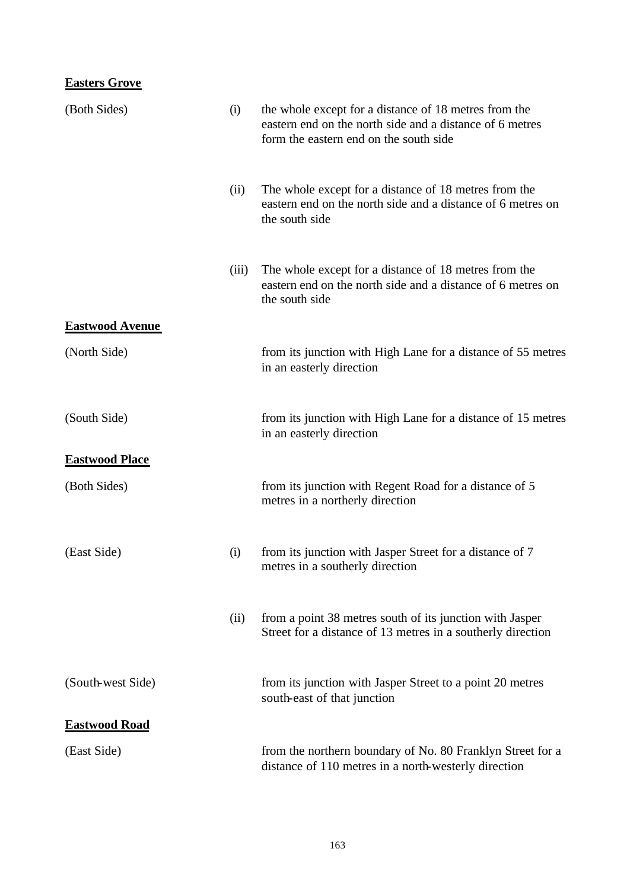## **Easters Grove**

| (Both Sides)           | (i)   | the whole except for a distance of 18 metres from the<br>eastern end on the north side and a distance of 6 metres<br>form the eastern end on the south side |
|------------------------|-------|-------------------------------------------------------------------------------------------------------------------------------------------------------------|
|                        | (ii)  | The whole except for a distance of 18 metres from the<br>eastern end on the north side and a distance of 6 metres on<br>the south side                      |
|                        | (iii) | The whole except for a distance of 18 metres from the<br>eastern end on the north side and a distance of 6 metres on<br>the south side                      |
| <b>Eastwood Avenue</b> |       |                                                                                                                                                             |
| (North Side)           |       | from its junction with High Lane for a distance of 55 metres<br>in an easterly direction                                                                    |
| (South Side)           |       | from its junction with High Lane for a distance of 15 metres<br>in an easterly direction                                                                    |
| <b>Eastwood Place</b>  |       |                                                                                                                                                             |
| (Both Sides)           |       | from its junction with Regent Road for a distance of 5<br>metres in a northerly direction                                                                   |
| (East Side)            | (i)   | from its junction with Jasper Street for a distance of 7<br>metres in a southerly direction                                                                 |
|                        | (ii)  | from a point 38 metres south of its junction with Jasper<br>Street for a distance of 13 metres in a southerly direction                                     |
| (South-west Side)      |       | from its junction with Jasper Street to a point 20 metres<br>south-east of that junction                                                                    |
| <b>Eastwood Road</b>   |       |                                                                                                                                                             |
| (East Side)            |       | from the northern boundary of No. 80 Franklyn Street for a<br>distance of 110 metres in a north-westerly direction                                          |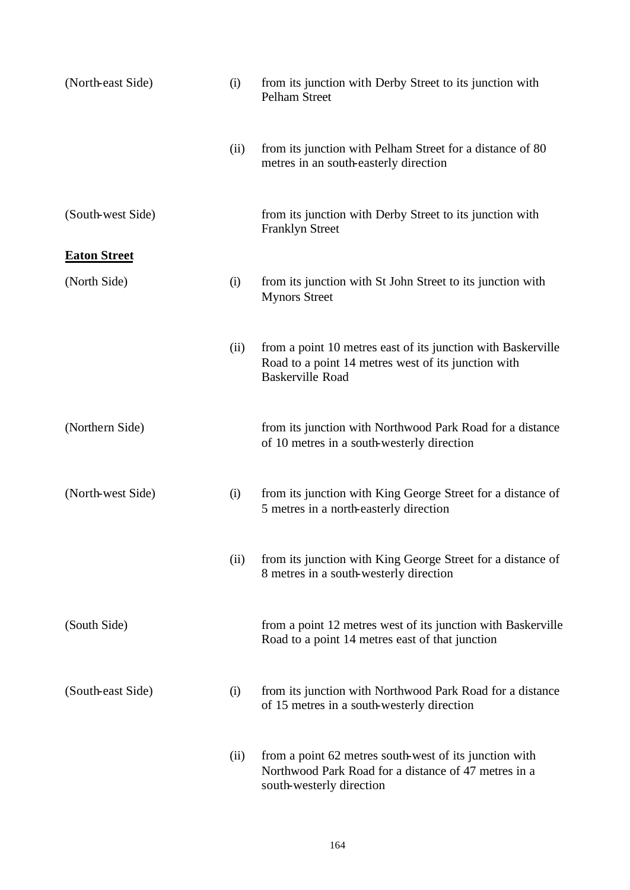| (North-east Side)   | (i)  | from its junction with Derby Street to its junction with<br>Pelham Street                                                                      |
|---------------------|------|------------------------------------------------------------------------------------------------------------------------------------------------|
|                     | (ii) | from its junction with Pelham Street for a distance of 80<br>metres in an south-easterly direction                                             |
| (South-west Side)   |      | from its junction with Derby Street to its junction with<br><b>Franklyn Street</b>                                                             |
| <b>Eaton Street</b> |      |                                                                                                                                                |
| (North Side)        | (i)  | from its junction with St John Street to its junction with<br><b>Mynors Street</b>                                                             |
|                     | (ii) | from a point 10 metres east of its junction with Baskerville<br>Road to a point 14 metres west of its junction with<br><b>Baskerville Road</b> |
| (Northern Side)     |      | from its junction with Northwood Park Road for a distance<br>of 10 metres in a south-westerly direction                                        |
| (North-west Side)   | (i)  | from its junction with King George Street for a distance of<br>5 metres in a north-easterly direction                                          |
|                     | (ii) | from its junction with King George Street for a distance of<br>8 metres in a south-westerly direction                                          |
| (South Side)        |      | from a point 12 metres west of its junction with Baskerville<br>Road to a point 14 metres east of that junction                                |
| (South-east Side)   | (i)  | from its junction with Northwood Park Road for a distance<br>of 15 metres in a south-westerly direction                                        |
|                     | (ii) | from a point 62 metres south-west of its junction with<br>Northwood Park Road for a distance of 47 metres in a<br>south-westerly direction     |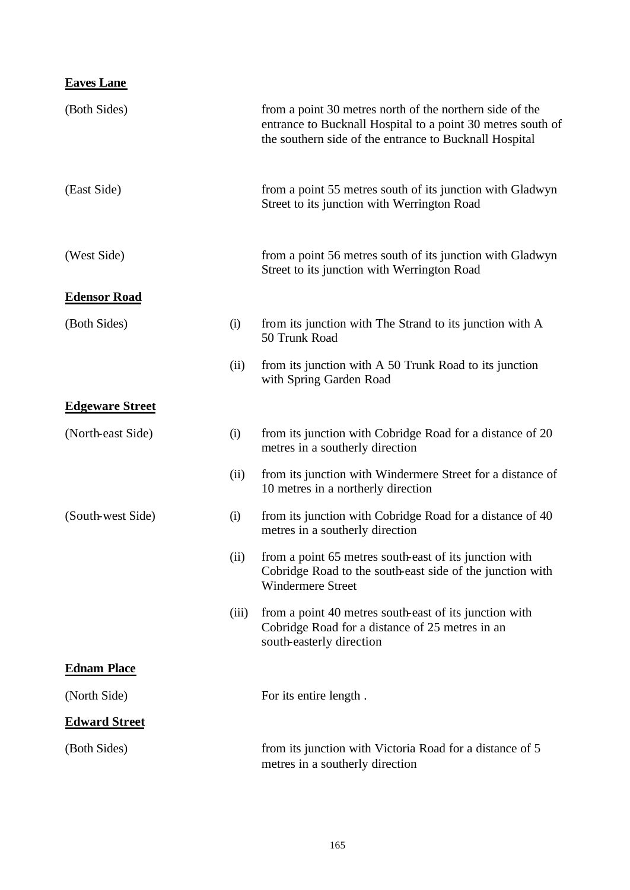| <b>Eaves Lane</b>      |       |                                                                                                                                                                                   |
|------------------------|-------|-----------------------------------------------------------------------------------------------------------------------------------------------------------------------------------|
| (Both Sides)           |       | from a point 30 metres north of the northern side of the<br>entrance to Bucknall Hospital to a point 30 metres south of<br>the southern side of the entrance to Bucknall Hospital |
| (East Side)            |       | from a point 55 metres south of its junction with Gladwyn<br>Street to its junction with Werrington Road                                                                          |
| (West Side)            |       | from a point 56 metres south of its junction with Gladwyn<br>Street to its junction with Werrington Road                                                                          |
| <b>Edensor Road</b>    |       |                                                                                                                                                                                   |
| (Both Sides)           | (i)   | from its junction with The Strand to its junction with A<br>50 Trunk Road                                                                                                         |
|                        | (ii)  | from its junction with A 50 Trunk Road to its junction<br>with Spring Garden Road                                                                                                 |
| <b>Edgeware Street</b> |       |                                                                                                                                                                                   |
| (North-east Side)      | (i)   | from its junction with Cobridge Road for a distance of 20<br>metres in a southerly direction                                                                                      |
|                        | (ii)  | from its junction with Windermere Street for a distance of<br>10 metres in a northerly direction                                                                                  |
| (South-west Side)      | (i)   | from its junction with Cobridge Road for a distance of 40<br>metres in a southerly direction                                                                                      |
|                        | (ii)  | from a point 65 metres south-east of its junction with<br>Cobridge Road to the south-east side of the junction with<br><b>Windermere Street</b>                                   |
|                        | (iii) | from a point 40 metres south-east of its junction with<br>Cobridge Road for a distance of 25 metres in an<br>south-easterly direction                                             |
| <b>Ednam Place</b>     |       |                                                                                                                                                                                   |
| (North Side)           |       | For its entire length.                                                                                                                                                            |
| <b>Edward Street</b>   |       |                                                                                                                                                                                   |
| (Both Sides)           |       | from its junction with Victoria Road for a distance of 5<br>metres in a southerly direction                                                                                       |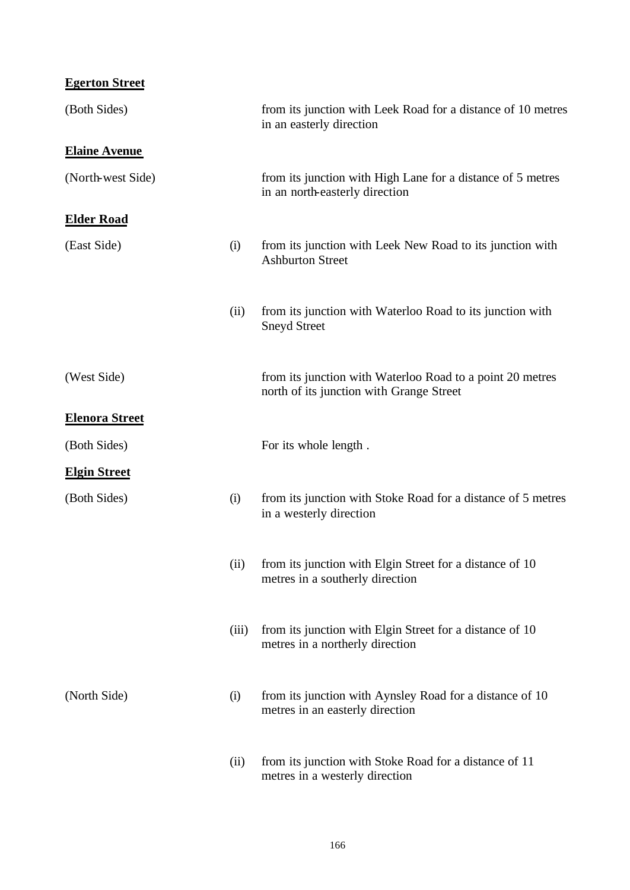**Egerton Street**

| (Both Sides)          |       | from its junction with Leek Road for a distance of 10 metres<br>in an easterly direction              |
|-----------------------|-------|-------------------------------------------------------------------------------------------------------|
| <b>Elaine Avenue</b>  |       |                                                                                                       |
| (North-west Side)     |       | from its junction with High Lane for a distance of 5 metres<br>in an north-easterly direction         |
| <b>Elder Road</b>     |       |                                                                                                       |
| (East Side)           | (i)   | from its junction with Leek New Road to its junction with<br><b>Ashburton Street</b>                  |
|                       | (ii)  | from its junction with Waterloo Road to its junction with<br><b>Sneyd Street</b>                      |
| (West Side)           |       | from its junction with Waterloo Road to a point 20 metres<br>north of its junction with Grange Street |
| <b>Elenora Street</b> |       |                                                                                                       |
| (Both Sides)          |       | For its whole length.                                                                                 |
| <b>Elgin Street</b>   |       |                                                                                                       |
| (Both Sides)          | (i)   | from its junction with Stoke Road for a distance of 5 metres<br>in a westerly direction               |
|                       | (ii)  | from its junction with Elgin Street for a distance of 10<br>metres in a southerly direction           |
|                       | (iii) | from its junction with Elgin Street for a distance of 10<br>metres in a northerly direction           |
| (North Side)          | (i)   | from its junction with Aynsley Road for a distance of 10<br>metres in an easterly direction           |
|                       | (ii)  | from its junction with Stoke Road for a distance of 11<br>metres in a westerly direction              |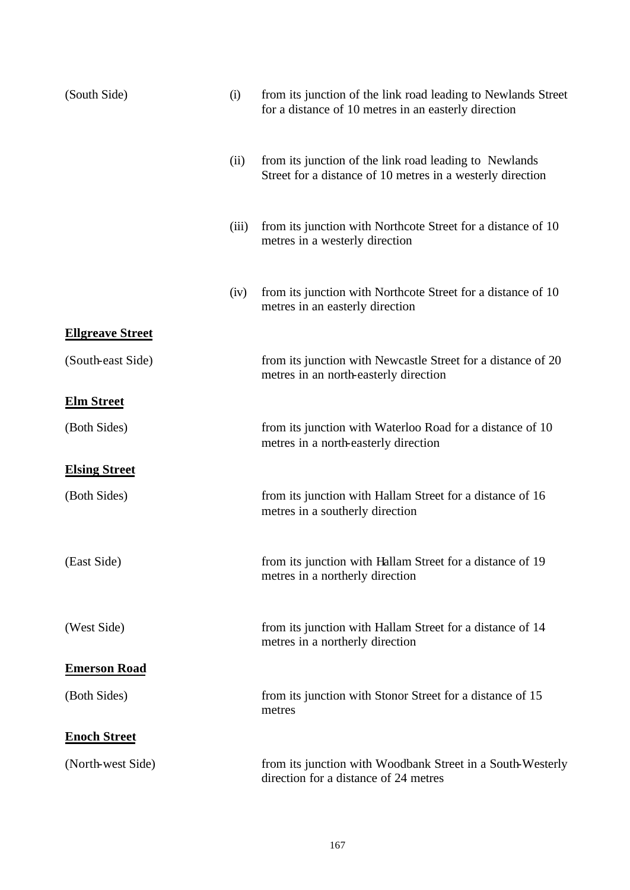| (South Side)            | (i)   | from its junction of the link road leading to Newlands Street<br>for a distance of 10 metres in an easterly direction |
|-------------------------|-------|-----------------------------------------------------------------------------------------------------------------------|
|                         | (ii)  | from its junction of the link road leading to Newlands<br>Street for a distance of 10 metres in a westerly direction  |
|                         | (iii) | from its junction with Northcote Street for a distance of 10<br>metres in a westerly direction                        |
|                         | (iv)  | from its junction with Northcote Street for a distance of 10<br>metres in an easterly direction                       |
| <b>Ellgreave Street</b> |       |                                                                                                                       |
| (South-east Side)       |       | from its junction with Newcastle Street for a distance of 20<br>metres in an north-easterly direction                 |
| <b>Elm Street</b>       |       |                                                                                                                       |
| (Both Sides)            |       | from its junction with Waterloo Road for a distance of 10<br>metres in a north-easterly direction                     |
| <b>Elsing Street</b>    |       |                                                                                                                       |
| (Both Sides)            |       | from its junction with Hallam Street for a distance of 16<br>metres in a southerly direction                          |
| (East Side)             |       | from its junction with Hallam Street for a distance of 19<br>metres in a northerly direction                          |
| (West Side)             |       | from its junction with Hallam Street for a distance of 14<br>metres in a northerly direction                          |
| <b>Emerson Road</b>     |       |                                                                                                                       |
| (Both Sides)            |       | from its junction with Stonor Street for a distance of 15<br>metres                                                   |
| <b>Enoch Street</b>     |       |                                                                                                                       |
| (North-west Side)       |       | from its junction with Woodbank Street in a South-Westerly<br>direction for a distance of 24 metres                   |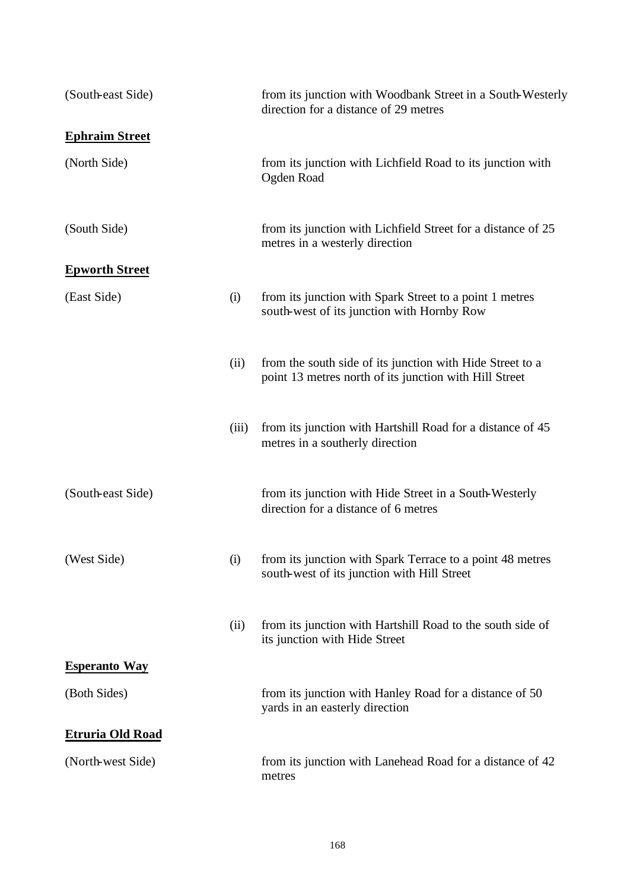| (South-east Side)       |       | from its junction with Woodbank Street in a South-Westerly<br>direction for a distance of 29 metres                 |
|-------------------------|-------|---------------------------------------------------------------------------------------------------------------------|
| <b>Ephraim Street</b>   |       |                                                                                                                     |
| (North Side)            |       | from its junction with Lichfield Road to its junction with<br>Ogden Road                                            |
| (South Side)            |       | from its junction with Lichfield Street for a distance of 25<br>metres in a westerly direction                      |
| <b>Epworth Street</b>   |       |                                                                                                                     |
| (East Side)             | (i)   | from its junction with Spark Street to a point 1 metres<br>south-west of its junction with Hornby Row               |
|                         | (ii)  | from the south side of its junction with Hide Street to a<br>point 13 metres north of its junction with Hill Street |
|                         | (iii) | from its junction with Hartshill Road for a distance of 45<br>metres in a southerly direction                       |
| (South-east Side)       |       | from its junction with Hide Street in a South-Westerly<br>direction for a distance of 6 metres                      |
| (West Side)             | (i)   | from its junction with Spark Terrace to a point 48 metres<br>south-west of its junction with Hill Street            |
|                         | (ii)  | from its junction with Hartshill Road to the south side of<br>its junction with Hide Street                         |
| <b>Esperanto Way</b>    |       |                                                                                                                     |
| (Both Sides)            |       | from its junction with Hanley Road for a distance of 50<br>yards in an easterly direction                           |
| <b>Etruria Old Road</b> |       |                                                                                                                     |
| (North-west Side)       |       | from its junction with Lanehead Road for a distance of 42<br>metres                                                 |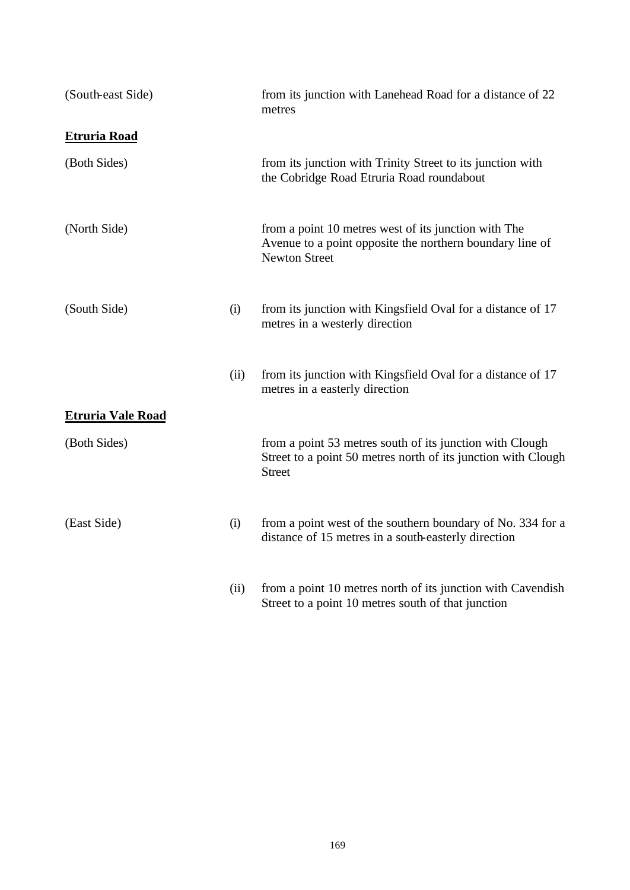| (South-east Side)        |      | from its junction with Lanehead Road for a distance of 22<br>metres                                                                        |
|--------------------------|------|--------------------------------------------------------------------------------------------------------------------------------------------|
| <b>Etruria Road</b>      |      |                                                                                                                                            |
| (Both Sides)             |      | from its junction with Trinity Street to its junction with<br>the Cobridge Road Etruria Road roundabout                                    |
| (North Side)             |      | from a point 10 metres west of its junction with The<br>Avenue to a point opposite the northern boundary line of<br><b>Newton Street</b>   |
| (South Side)             | (i)  | from its junction with Kingsfield Oval for a distance of 17<br>metres in a westerly direction                                              |
|                          | (ii) | from its junction with Kingsfield Oval for a distance of 17<br>metres in a easterly direction                                              |
| <b>Etruria Vale Road</b> |      |                                                                                                                                            |
| (Both Sides)             |      | from a point 53 metres south of its junction with Clough<br>Street to a point 50 metres north of its junction with Clough<br><b>Street</b> |
| (East Side)              | (i)  | from a point west of the southern boundary of No. 334 for a<br>distance of 15 metres in a south-easterly direction                         |
|                          | (ii) | from a point 10 metres north of its junction with Cavendish<br>Street to a point 10 metres south of that junction                          |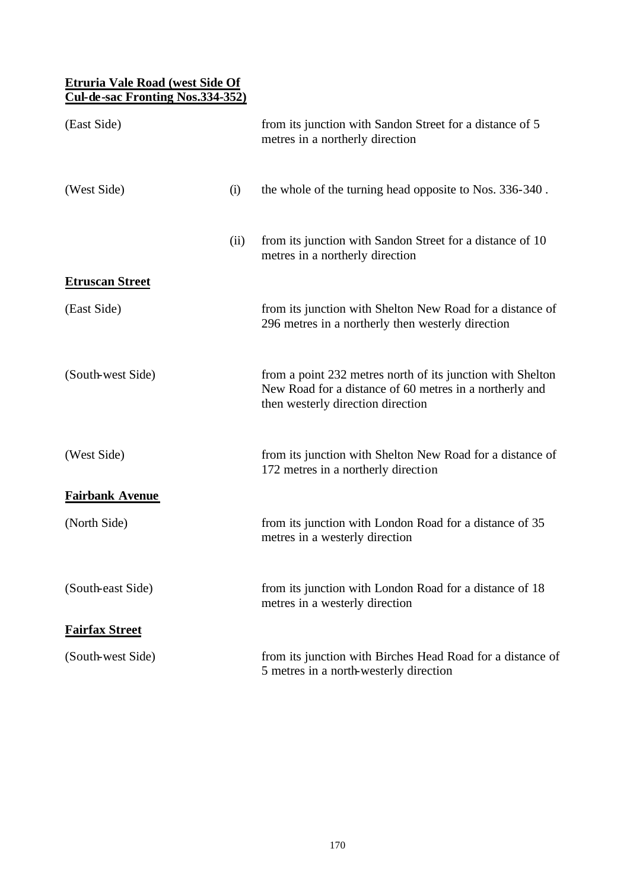### **Etruria Vale Road (west Side Of Cul-de-sac Fronting Nos.334-352)**

| (East Side)            |      | from its junction with Sandon Street for a distance of 5<br>metres in a northerly direction                                                                |
|------------------------|------|------------------------------------------------------------------------------------------------------------------------------------------------------------|
| (West Side)            | (i)  | the whole of the turning head opposite to Nos. 336-340.                                                                                                    |
|                        | (ii) | from its junction with Sandon Street for a distance of 10<br>metres in a northerly direction                                                               |
| <b>Etruscan Street</b> |      |                                                                                                                                                            |
| (East Side)            |      | from its junction with Shelton New Road for a distance of<br>296 metres in a northerly then westerly direction                                             |
| (South-west Side)      |      | from a point 232 metres north of its junction with Shelton<br>New Road for a distance of 60 metres in a northerly and<br>then westerly direction direction |
| (West Side)            |      | from its junction with Shelton New Road for a distance of<br>172 metres in a northerly direction                                                           |
| <b>Fairbank Avenue</b> |      |                                                                                                                                                            |
| (North Side)           |      | from its junction with London Road for a distance of 35<br>metres in a westerly direction                                                                  |
| (South-east Side)      |      | from its junction with London Road for a distance of 18<br>metres in a westerly direction                                                                  |
| <b>Fairfax Street</b>  |      |                                                                                                                                                            |
| (South-west Side)      |      | from its junction with Birches Head Road for a distance of<br>5 metres in a north-westerly direction                                                       |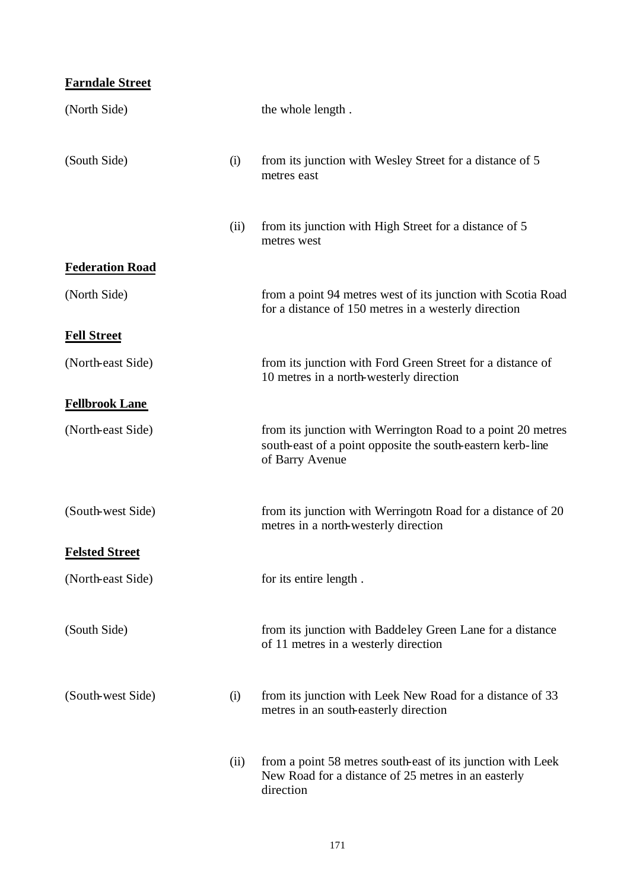## **Farndale Street**

| (North Side)           |      | the whole length.                                                                                                                            |
|------------------------|------|----------------------------------------------------------------------------------------------------------------------------------------------|
| (South Side)           | (i)  | from its junction with Wesley Street for a distance of 5<br>metres east                                                                      |
|                        | (ii) | from its junction with High Street for a distance of 5<br>metres west                                                                        |
| <b>Federation Road</b> |      |                                                                                                                                              |
| (North Side)           |      | from a point 94 metres west of its junction with Scotia Road<br>for a distance of 150 metres in a westerly direction                         |
| <b>Fell Street</b>     |      |                                                                                                                                              |
| (North-east Side)      |      | from its junction with Ford Green Street for a distance of<br>10 metres in a north-westerly direction                                        |
| <b>Fellbrook Lane</b>  |      |                                                                                                                                              |
| (North-east Side)      |      | from its junction with Werrington Road to a point 20 metres<br>south-east of a point opposite the south-eastern kerb-line<br>of Barry Avenue |
| (South-west Side)      |      | from its junction with Werringotn Road for a distance of 20<br>metres in a north-westerly direction                                          |
| <b>Felsted Street</b>  |      |                                                                                                                                              |
| (North-east Side)      |      | for its entire length.                                                                                                                       |
| (South Side)           |      | from its junction with Baddeley Green Lane for a distance<br>of 11 metres in a westerly direction                                            |
| (South-west Side)      | (i)  | from its junction with Leek New Road for a distance of 33<br>metres in an south-easterly direction                                           |
|                        | (ii) | from a point 58 metres south-east of its junction with Leek<br>New Road for a distance of 25 metres in an easterly<br>direction              |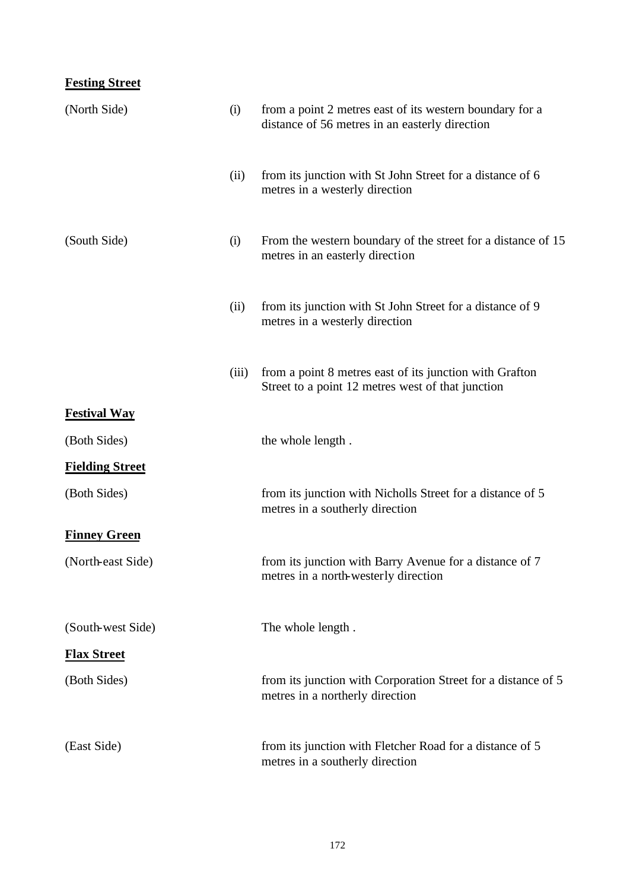# **Festing Street**

| (North Side)           | (i)   | from a point 2 metres east of its western boundary for a<br>distance of 56 metres in an easterly direction   |
|------------------------|-------|--------------------------------------------------------------------------------------------------------------|
|                        | (ii)  | from its junction with St John Street for a distance of 6<br>metres in a westerly direction                  |
| (South Side)           | (i)   | From the western boundary of the street for a distance of 15<br>metres in an easterly direction              |
|                        | (ii)  | from its junction with St John Street for a distance of 9<br>metres in a westerly direction                  |
|                        | (iii) | from a point 8 metres east of its junction with Grafton<br>Street to a point 12 metres west of that junction |
| <b>Festival Way</b>    |       |                                                                                                              |
| (Both Sides)           |       | the whole length.                                                                                            |
| <b>Fielding Street</b> |       |                                                                                                              |
| (Both Sides)           |       | from its junction with Nicholls Street for a distance of 5<br>metres in a southerly direction                |
| <b>Finney Green</b>    |       |                                                                                                              |
| (North-east Side)      |       | from its junction with Barry Avenue for a distance of 7<br>metres in a north-westerly direction              |
| (South-west Side)      |       | The whole length.                                                                                            |
| <b>Flax Street</b>     |       |                                                                                                              |
| (Both Sides)           |       | from its junction with Corporation Street for a distance of 5<br>metres in a northerly direction             |
| (East Side)            |       | from its junction with Fletcher Road for a distance of 5<br>metres in a southerly direction                  |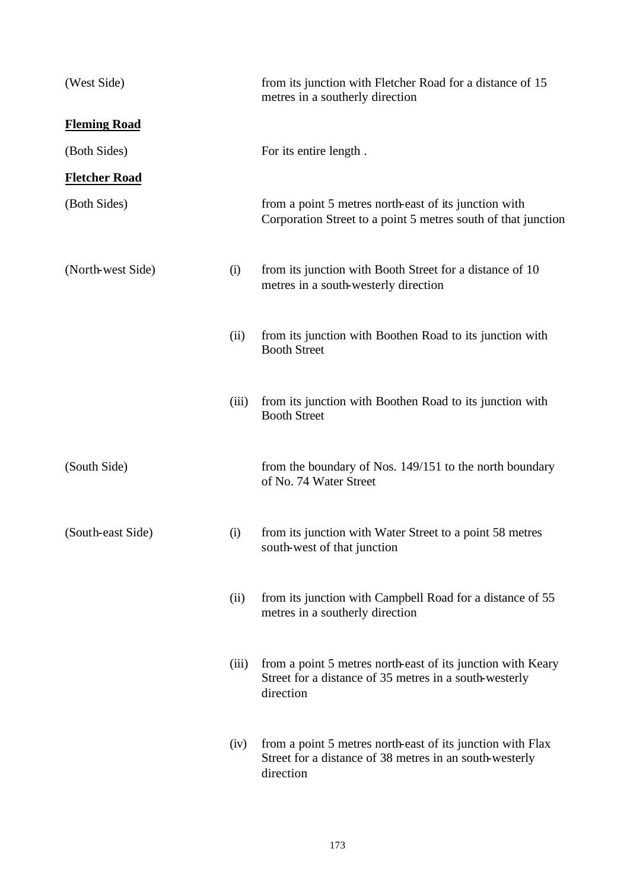| (West Side)          |       | from its junction with Fletcher Road for a distance of 15<br>metres in a southerly direction                                       |
|----------------------|-------|------------------------------------------------------------------------------------------------------------------------------------|
| <b>Fleming Road</b>  |       |                                                                                                                                    |
| (Both Sides)         |       | For its entire length.                                                                                                             |
| <b>Fletcher Road</b> |       |                                                                                                                                    |
| (Both Sides)         |       | from a point 5 metres north-east of its junction with<br>Corporation Street to a point 5 metres south of that junction             |
| (North-west Side)    | (i)   | from its junction with Booth Street for a distance of 10<br>metres in a south-westerly direction                                   |
|                      | (ii)  | from its junction with Boothen Road to its junction with<br><b>Booth Street</b>                                                    |
|                      | (iii) | from its junction with Boothen Road to its junction with<br><b>Booth Street</b>                                                    |
| (South Side)         |       | from the boundary of Nos. 149/151 to the north boundary<br>of No. 74 Water Street                                                  |
| (South-east Side)    | (i)   | from its junction with Water Street to a point 58 metres<br>south-west of that junction                                            |
|                      | (ii)  | from its junction with Campbell Road for a distance of 55<br>metres in a southerly direction                                       |
|                      | (iii) | from a point 5 metres north-east of its junction with Keary<br>Street for a distance of 35 metres in a south-westerly<br>direction |
|                      | (iv)  | from a point 5 metres north-east of its junction with Flax<br>Street for a distance of 38 metres in an south-westerly<br>direction |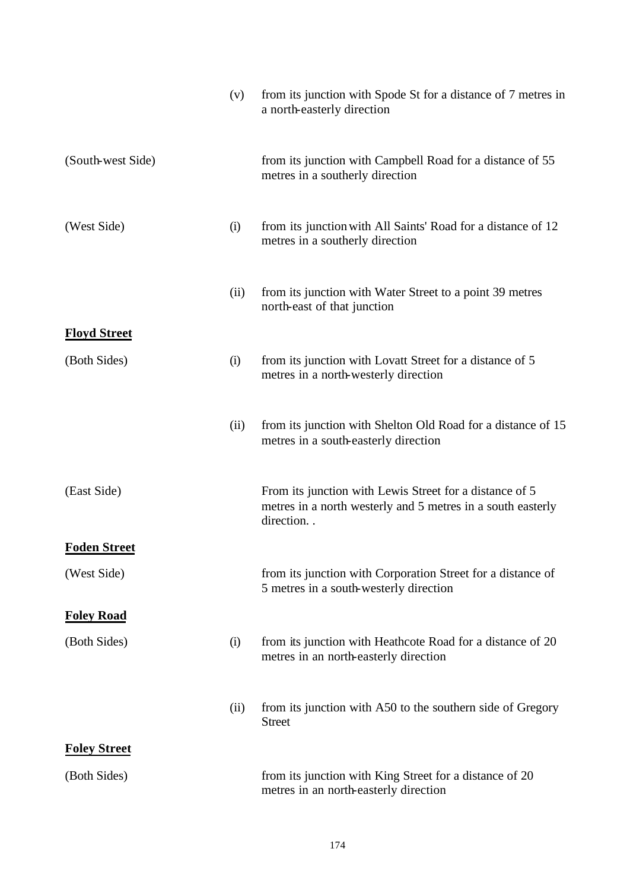|                     | (v)  | from its junction with Spode St for a distance of 7 metres in<br>a north-easterly direction                                         |
|---------------------|------|-------------------------------------------------------------------------------------------------------------------------------------|
| (South-west Side)   |      | from its junction with Campbell Road for a distance of 55<br>metres in a southerly direction                                        |
| (West Side)         | (i)  | from its junction with All Saints' Road for a distance of 12<br>metres in a southerly direction                                     |
|                     | (ii) | from its junction with Water Street to a point 39 metres<br>north-east of that junction                                             |
| <b>Floyd Street</b> |      |                                                                                                                                     |
| (Both Sides)        | (i)  | from its junction with Lovatt Street for a distance of 5<br>metres in a north-westerly direction                                    |
|                     | (ii) | from its junction with Shelton Old Road for a distance of 15<br>metres in a south-easterly direction                                |
| (East Side)         |      | From its junction with Lewis Street for a distance of 5<br>metres in a north westerly and 5 metres in a south easterly<br>direction |
| <b>Foden Street</b> |      |                                                                                                                                     |
| (West Side)         |      | from its junction with Corporation Street for a distance of<br>5 metres in a south-westerly direction                               |
| <b>Foley Road</b>   |      |                                                                                                                                     |
| (Both Sides)        | (i)  | from its junction with Heathcote Road for a distance of 20<br>metres in an north-easterly direction                                 |
|                     | (ii) | from its junction with A50 to the southern side of Gregory<br><b>Street</b>                                                         |
| <b>Foley Street</b> |      |                                                                                                                                     |
| (Both Sides)        |      | from its junction with King Street for a distance of 20<br>metres in an north-easterly direction                                    |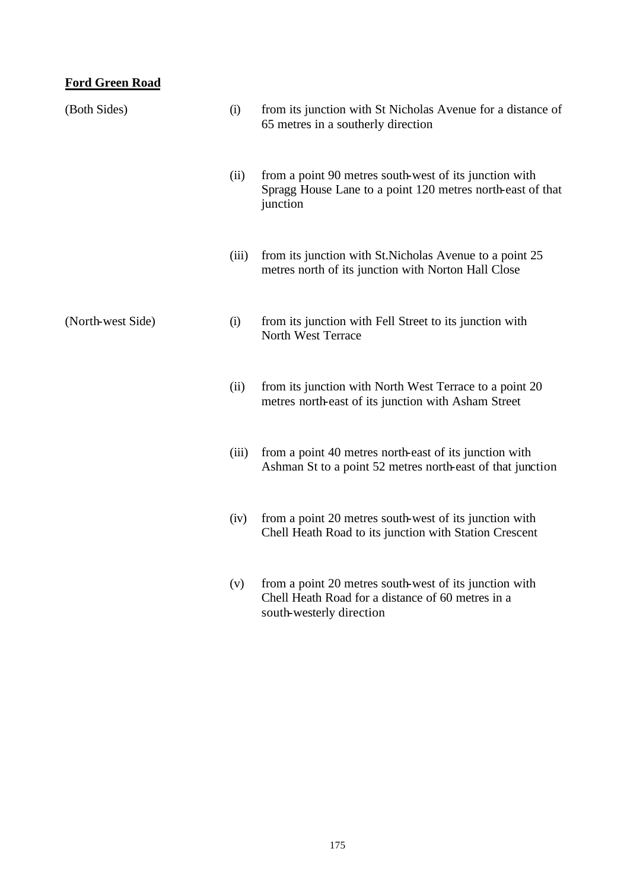# **Ford Green Road**

| (Both Sides)      | (i)   | from its junction with St Nicholas Avenue for a distance of<br>65 metres in a southerly direction                                       |
|-------------------|-------|-----------------------------------------------------------------------------------------------------------------------------------------|
|                   | (ii)  | from a point 90 metres south-west of its junction with<br>Spragg House Lane to a point 120 metres north-east of that<br>junction        |
|                   | (iii) | from its junction with St. Nicholas Avenue to a point 25<br>metres north of its junction with Norton Hall Close                         |
| (North-west Side) | (i)   | from its junction with Fell Street to its junction with<br>North West Terrace                                                           |
|                   | (ii)  | from its junction with North West Terrace to a point 20<br>metres north-east of its junction with Asham Street                          |
|                   | (iii) | from a point 40 metres north-east of its junction with<br>Ashman St to a point 52 metres north-east of that junction                    |
|                   | (iv)  | from a point 20 metres south-west of its junction with<br>Chell Heath Road to its junction with Station Crescent                        |
|                   | (v)   | from a point 20 metres south-west of its junction with<br>Chell Heath Road for a distance of 60 metres in a<br>south-westerly direction |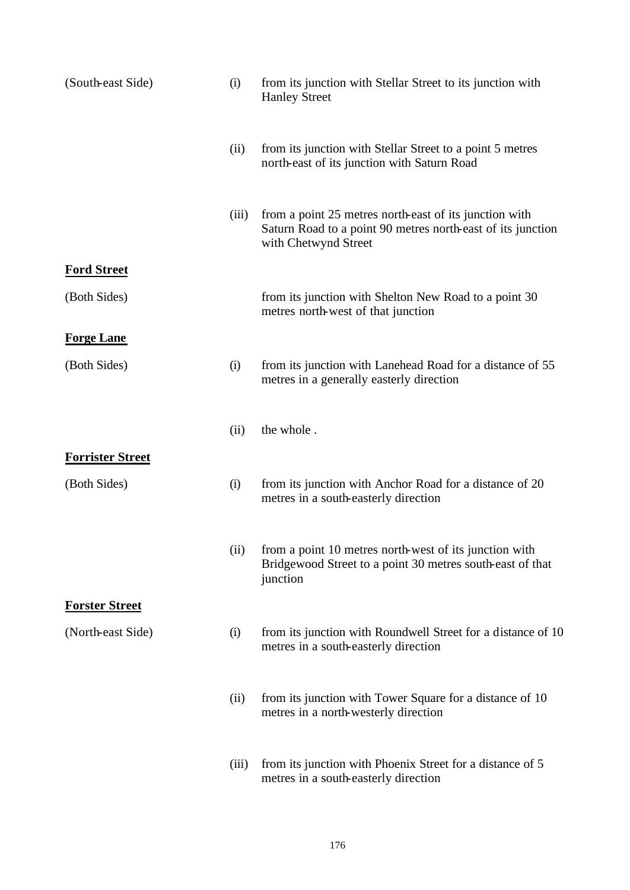| (South-east Side)       | (i)   | from its junction with Stellar Street to its junction with<br><b>Hanley Street</b>                                                            |
|-------------------------|-------|-----------------------------------------------------------------------------------------------------------------------------------------------|
|                         | (ii)  | from its junction with Stellar Street to a point 5 metres<br>north-east of its junction with Saturn Road                                      |
|                         | (iii) | from a point 25 metres north-east of its junction with<br>Saturn Road to a point 90 metres north-east of its junction<br>with Chetwynd Street |
| <b>Ford Street</b>      |       |                                                                                                                                               |
| (Both Sides)            |       | from its junction with Shelton New Road to a point 30<br>metres north-west of that junction                                                   |
| <b>Forge Lane</b>       |       |                                                                                                                                               |
| (Both Sides)            | (i)   | from its junction with Lanehead Road for a distance of 55<br>metres in a generally easterly direction                                         |
|                         | (ii)  | the whole.                                                                                                                                    |
| <b>Forrister Street</b> |       |                                                                                                                                               |
| (Both Sides)            | (i)   | from its junction with Anchor Road for a distance of 20<br>metres in a south-easterly direction                                               |
|                         |       | (ii) from a point 10 metres north-west of its junction with<br>Bridgewood Street to a point 30 metres south-east of that<br>junction          |
| <b>Forster Street</b>   |       |                                                                                                                                               |
| (North-east Side)       | (i)   | from its junction with Roundwell Street for a distance of 10<br>metres in a south-easterly direction                                          |
|                         | (ii)  | from its junction with Tower Square for a distance of 10<br>metres in a north-westerly direction                                              |
|                         | (iii) | from its junction with Phoenix Street for a distance of 5<br>metres in a south-easterly direction                                             |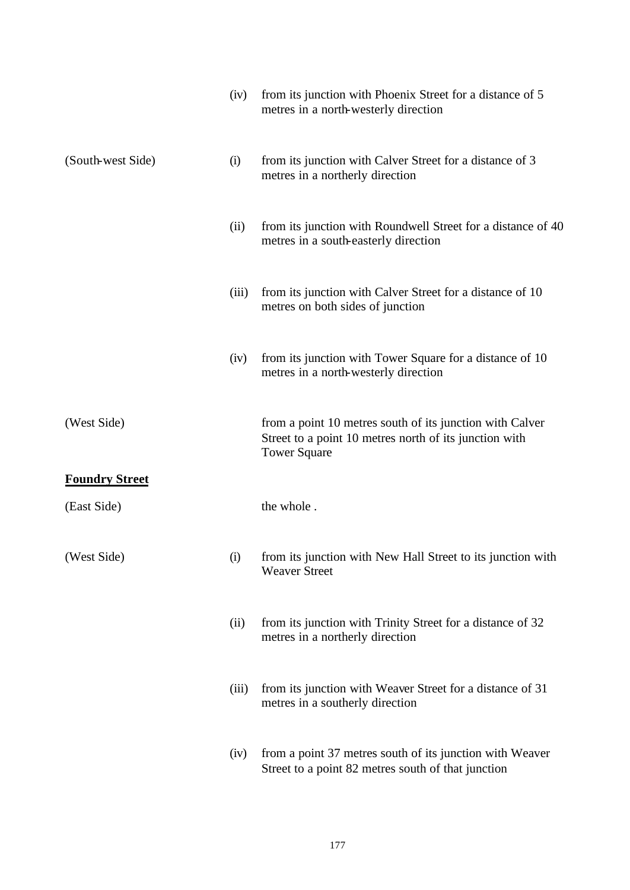|                       | (iv)  | from its junction with Phoenix Street for a distance of 5<br>metres in a north-westerly direction                                         |
|-----------------------|-------|-------------------------------------------------------------------------------------------------------------------------------------------|
| (South-west Side)     | (i)   | from its junction with Calver Street for a distance of 3<br>metres in a northerly direction                                               |
|                       | (ii)  | from its junction with Roundwell Street for a distance of 40<br>metres in a south-easterly direction                                      |
|                       | (iii) | from its junction with Calver Street for a distance of 10<br>metres on both sides of junction                                             |
|                       | (iv)  | from its junction with Tower Square for a distance of 10<br>metres in a north-westerly direction                                          |
| (West Side)           |       | from a point 10 metres south of its junction with Calver<br>Street to a point 10 metres north of its junction with<br><b>Tower Square</b> |
| <b>Foundry Street</b> |       |                                                                                                                                           |
| (East Side)           |       | the whole.                                                                                                                                |
| (West Side)           | (i)   | from its junction with New Hall Street to its junction with<br><b>Weaver Street</b>                                                       |
|                       | (ii)  | from its junction with Trinity Street for a distance of 32<br>metres in a northerly direction                                             |
|                       | (iii) | from its junction with Weaver Street for a distance of 31<br>metres in a southerly direction                                              |
|                       | (iv)  | from a point 37 metres south of its junction with Weaver<br>Street to a point 82 metres south of that junction                            |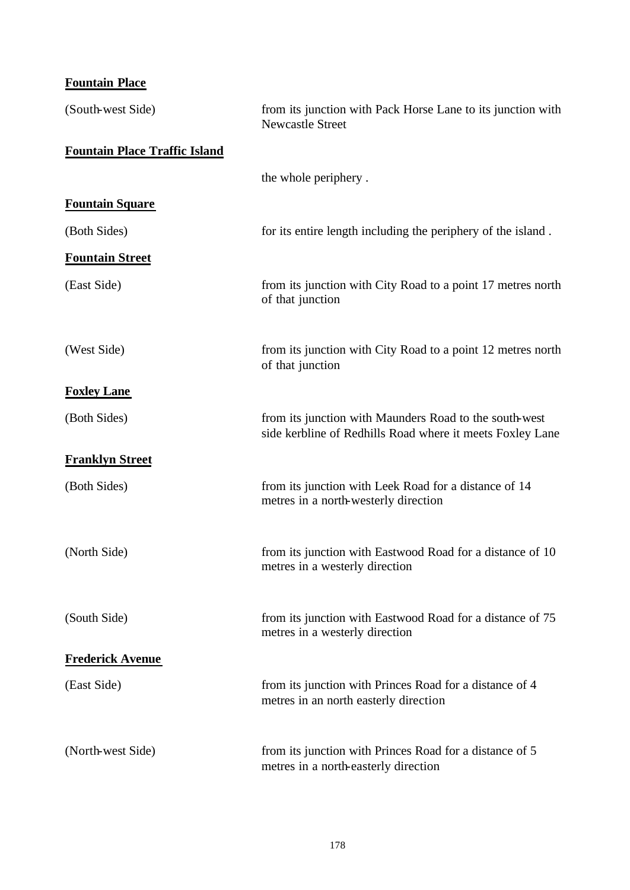# **Fountain Place**

| (South-west Side)                    | from its junction with Pack Horse Lane to its junction with<br><b>Newcastle Street</b>                              |
|--------------------------------------|---------------------------------------------------------------------------------------------------------------------|
| <b>Fountain Place Traffic Island</b> |                                                                                                                     |
|                                      | the whole periphery.                                                                                                |
| <b>Fountain Square</b>               |                                                                                                                     |
| (Both Sides)                         | for its entire length including the periphery of the island.                                                        |
| <b>Fountain Street</b>               |                                                                                                                     |
| (East Side)                          | from its junction with City Road to a point 17 metres north<br>of that junction                                     |
| (West Side)                          | from its junction with City Road to a point 12 metres north<br>of that junction                                     |
| <b>Foxley Lane</b>                   |                                                                                                                     |
| (Both Sides)                         | from its junction with Maunders Road to the south-west<br>side kerbline of Redhills Road where it meets Foxley Lane |
| <b>Franklyn Street</b>               |                                                                                                                     |
| (Both Sides)                         | from its junction with Leek Road for a distance of 14<br>metres in a north-westerly direction                       |
| (North Side)                         | from its junction with Eastwood Road for a distance of 10<br>metres in a westerly direction                         |
| (South Side)                         | from its junction with Eastwood Road for a distance of 75<br>metres in a westerly direction                         |
| <b>Frederick Avenue</b>              |                                                                                                                     |
| (East Side)                          | from its junction with Princes Road for a distance of 4<br>metres in an north easterly direction                    |
| (North-west Side)                    | from its junction with Princes Road for a distance of 5<br>metres in a north-easterly direction                     |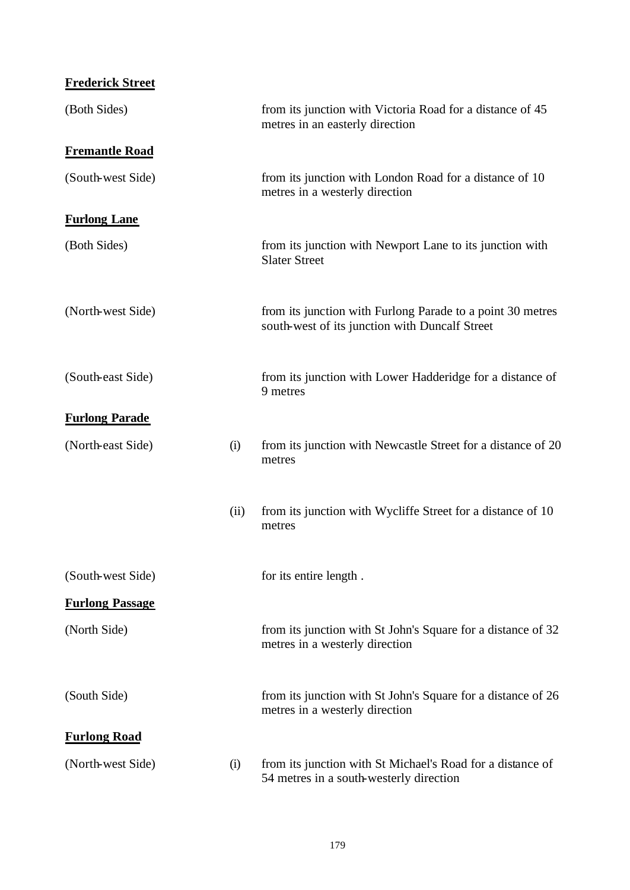| <b>Frederick Street</b> |      |                                                                                                              |
|-------------------------|------|--------------------------------------------------------------------------------------------------------------|
| (Both Sides)            |      | from its junction with Victoria Road for a distance of 45<br>metres in an easterly direction                 |
| <b>Fremantle Road</b>   |      |                                                                                                              |
| (South-west Side)       |      | from its junction with London Road for a distance of 10<br>metres in a westerly direction                    |
| <b>Furlong Lane</b>     |      |                                                                                                              |
| (Both Sides)            |      | from its junction with Newport Lane to its junction with<br><b>Slater Street</b>                             |
| (North-west Side)       |      | from its junction with Furlong Parade to a point 30 metres<br>south-west of its junction with Duncalf Street |
| (South-east Side)       |      | from its junction with Lower Hadderidge for a distance of<br>9 metres                                        |
| <b>Furlong Parade</b>   |      |                                                                                                              |
| (North-east Side)       | (i)  | from its junction with Newcastle Street for a distance of 20<br>metres                                       |
|                         | (ii) | from its junction with Wycliffe Street for a distance of 10<br>metres                                        |
| (South-west Side)       |      | for its entire length.                                                                                       |
| <b>Furlong Passage</b>  |      |                                                                                                              |
| (North Side)            |      | from its junction with St John's Square for a distance of 32<br>metres in a westerly direction               |
| (South Side)            |      | from its junction with St John's Square for a distance of 26<br>metres in a westerly direction               |
| <b>Furlong Road</b>     |      |                                                                                                              |
| (North-west Side)       | (i)  | from its junction with St Michael's Road for a distance of<br>54 metres in a south-westerly direction        |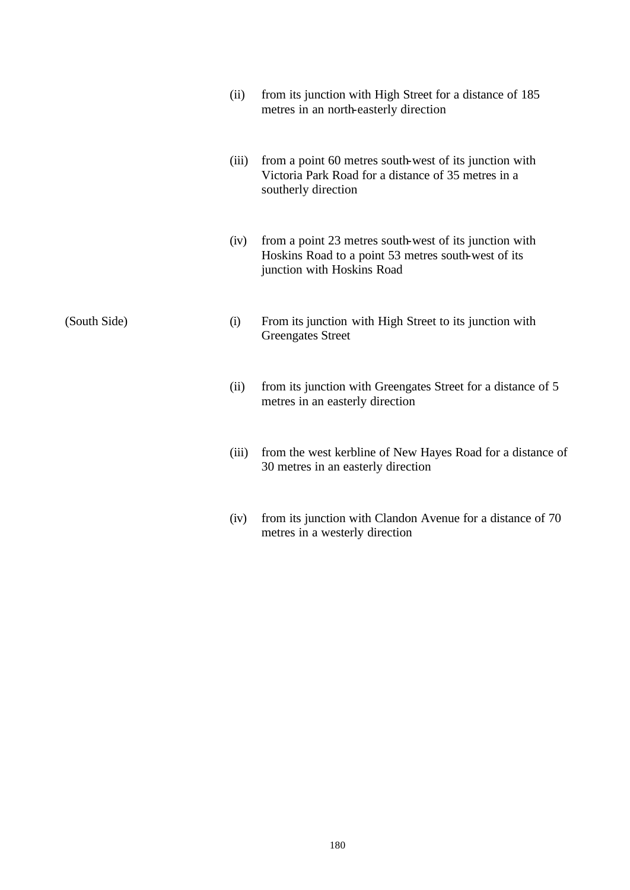|              | (ii)  | from its junction with High Street for a distance of 185<br>metres in an north-easterly direction                                           |
|--------------|-------|---------------------------------------------------------------------------------------------------------------------------------------------|
|              | (iii) | from a point 60 metres south-west of its junction with<br>Victoria Park Road for a distance of 35 metres in a<br>southerly direction        |
|              | (iv)  | from a point 23 metres south-west of its junction with<br>Hoskins Road to a point 53 metres south-west of its<br>junction with Hoskins Road |
| (South Side) | (i)   | From its junction with High Street to its junction with<br><b>Greengates Street</b>                                                         |
|              | (ii)  | from its junction with Greengates Street for a distance of 5<br>metres in an easterly direction                                             |
|              | (iii) | from the west kerbline of New Hayes Road for a distance of<br>30 metres in an easterly direction                                            |
|              | (iv)  | from its junction with Clandon Avenue for a distance of 70<br>metres in a westerly direction                                                |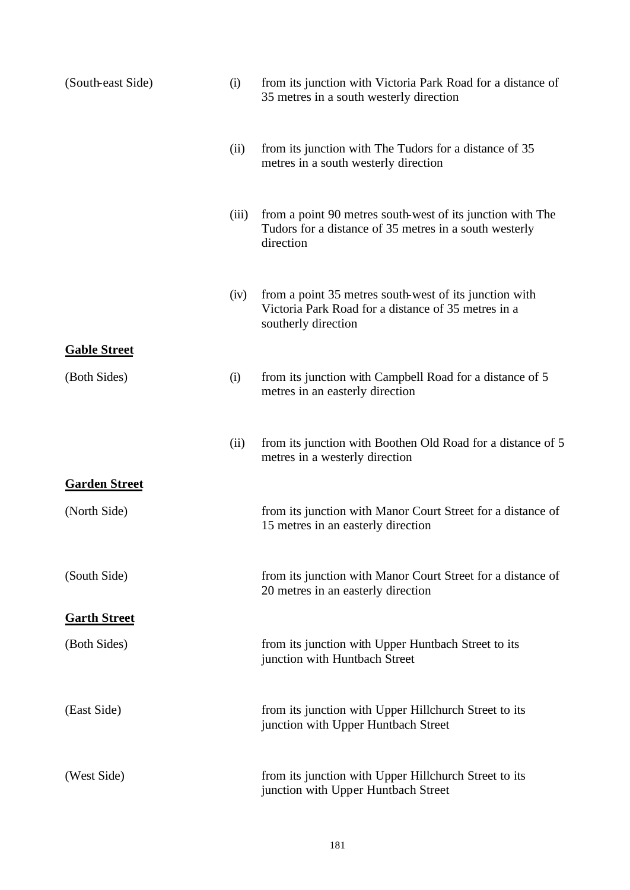| (South-east Side)    | (i)   | from its junction with Victoria Park Road for a distance of<br>35 metres in a south westerly direction                               |
|----------------------|-------|--------------------------------------------------------------------------------------------------------------------------------------|
|                      | (ii)  | from its junction with The Tudors for a distance of 35<br>metres in a south westerly direction                                       |
|                      | (iii) | from a point 90 metres south-west of its junction with The<br>Tudors for a distance of 35 metres in a south westerly<br>direction    |
|                      | (iv)  | from a point 35 metres south-west of its junction with<br>Victoria Park Road for a distance of 35 metres in a<br>southerly direction |
| <b>Gable Street</b>  |       |                                                                                                                                      |
| (Both Sides)         | (i)   | from its junction with Campbell Road for a distance of 5<br>metres in an easterly direction                                          |
|                      | (ii)  | from its junction with Boothen Old Road for a distance of 5<br>metres in a westerly direction                                        |
| <b>Garden Street</b> |       |                                                                                                                                      |
| (North Side)         |       | from its junction with Manor Court Street for a distance of<br>15 metres in an easterly direction                                    |
| (South Side)         |       | from its junction with Manor Court Street for a distance of<br>20 metres in an easterly direction                                    |
| <b>Garth Street</b>  |       |                                                                                                                                      |
| (Both Sides)         |       | from its junction with Upper Huntbach Street to its<br>junction with Huntbach Street                                                 |
| (East Side)          |       | from its junction with Upper Hillchurch Street to its<br>junction with Upper Huntbach Street                                         |
| (West Side)          |       | from its junction with Upper Hillchurch Street to its<br>junction with Upper Huntbach Street                                         |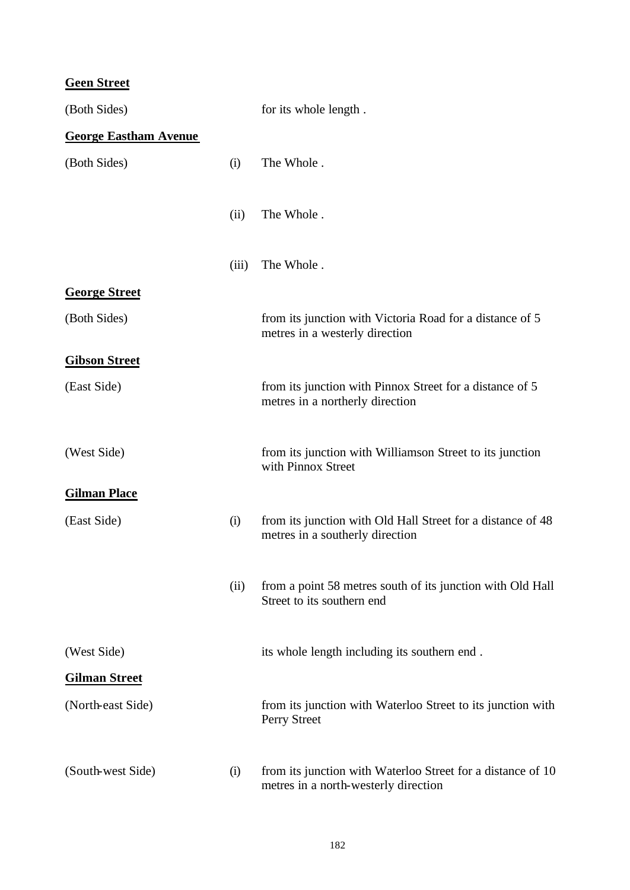# **Geen Street**

| (Both Sides)                 |       | for its whole length.                                                                               |
|------------------------------|-------|-----------------------------------------------------------------------------------------------------|
| <b>George Eastham Avenue</b> |       |                                                                                                     |
| (Both Sides)                 | (i)   | The Whole.                                                                                          |
|                              | (ii)  | The Whole.                                                                                          |
|                              | (iii) | The Whole.                                                                                          |
| <b>George Street</b>         |       |                                                                                                     |
| (Both Sides)                 |       | from its junction with Victoria Road for a distance of 5<br>metres in a westerly direction          |
| <b>Gibson Street</b>         |       |                                                                                                     |
| (East Side)                  |       | from its junction with Pinnox Street for a distance of 5<br>metres in a northerly direction         |
| (West Side)                  |       | from its junction with Williamson Street to its junction<br>with Pinnox Street                      |
| <b>Gilman Place</b>          |       |                                                                                                     |
| (East Side)                  | (i)   | from its junction with Old Hall Street for a distance of 48<br>metres in a southerly direction      |
|                              | (ii)  | from a point 58 metres south of its junction with Old Hall<br>Street to its southern end            |
| (West Side)                  |       | its whole length including its southern end.                                                        |
| <b>Gilman Street</b>         |       |                                                                                                     |
| (North-east Side)            |       | from its junction with Waterloo Street to its junction with<br>Perry Street                         |
| (South-west Side)            | (i)   | from its junction with Waterloo Street for a distance of 10<br>metres in a north-westerly direction |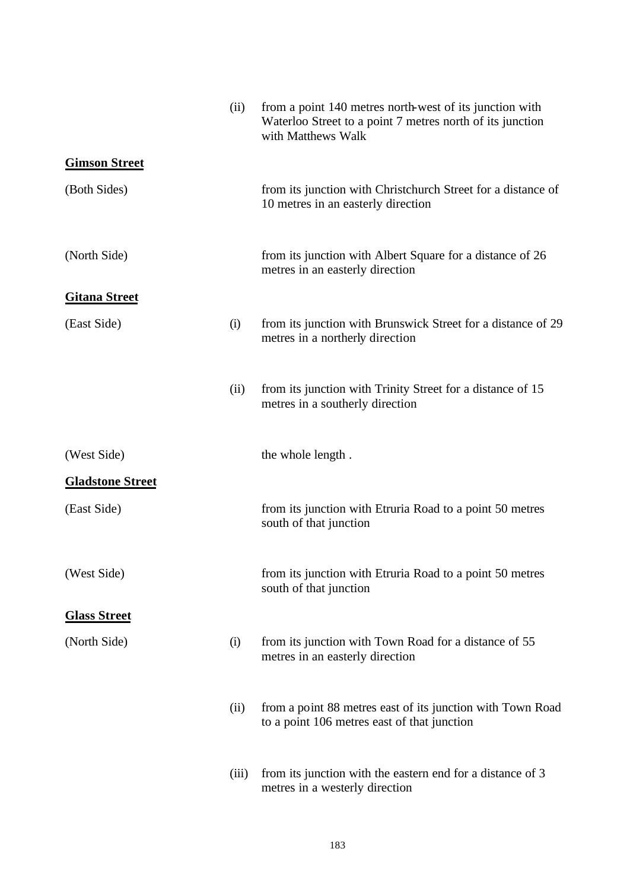|                         | (ii)  | from a point 140 metres north-west of its junction with<br>Waterloo Street to a point 7 metres north of its junction<br>with Matthews Walk |
|-------------------------|-------|--------------------------------------------------------------------------------------------------------------------------------------------|
| <b>Gimson Street</b>    |       |                                                                                                                                            |
| (Both Sides)            |       | from its junction with Christchurch Street for a distance of<br>10 metres in an easterly direction                                         |
| (North Side)            |       | from its junction with Albert Square for a distance of 26<br>metres in an easterly direction                                               |
| <b>Gitana Street</b>    |       |                                                                                                                                            |
| (East Side)             | (i)   | from its junction with Brunswick Street for a distance of 29<br>metres in a northerly direction                                            |
|                         | (ii)  | from its junction with Trinity Street for a distance of 15<br>metres in a southerly direction                                              |
| (West Side)             |       | the whole length.                                                                                                                          |
| <b>Gladstone Street</b> |       |                                                                                                                                            |
| (East Side)             |       | from its junction with Etruria Road to a point 50 metres<br>south of that junction                                                         |
| (West Side)             |       | from its junction with Etruria Road to a point 50 metres<br>south of that junction                                                         |
| <b>Glass Street</b>     |       |                                                                                                                                            |
| (North Side)            | (i)   | from its junction with Town Road for a distance of 55<br>metres in an easterly direction                                                   |
|                         | (ii)  | from a point 88 metres east of its junction with Town Road<br>to a point 106 metres east of that junction                                  |
|                         | (iii) | from its junction with the eastern end for a distance of 3<br>metres in a westerly direction                                               |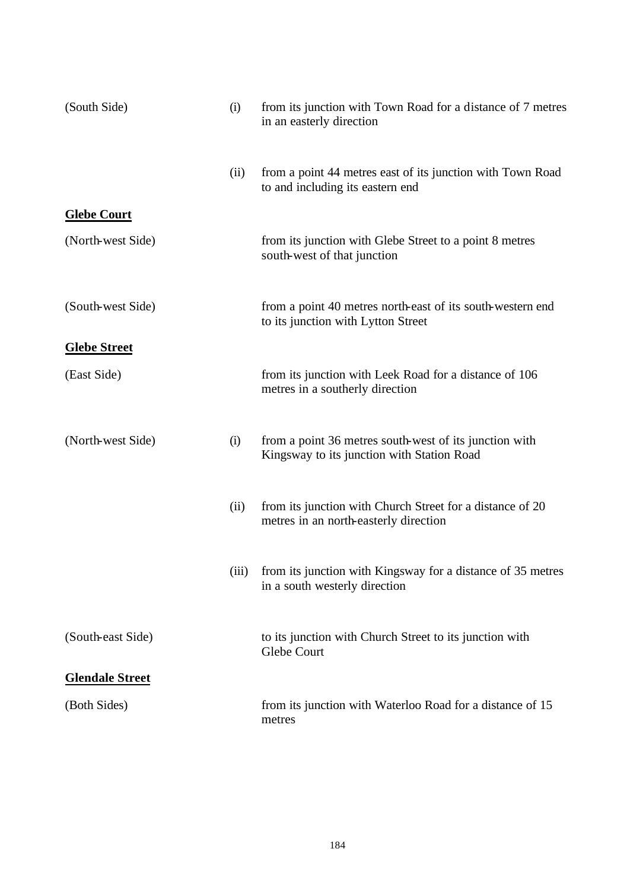| (South Side)           | (i)  | from its junction with Town Road for a distance of 7 metres<br>in an easterly direction              |
|------------------------|------|------------------------------------------------------------------------------------------------------|
|                        | (ii) | from a point 44 metres east of its junction with Town Road<br>to and including its eastern end       |
| <b>Glebe Court</b>     |      |                                                                                                      |
| (North-west Side)      |      | from its junction with Glebe Street to a point 8 metres<br>south-west of that junction               |
| (South-west Side)      |      | from a point 40 metres north-east of its south-western end<br>to its junction with Lytton Street     |
| <b>Glebe Street</b>    |      |                                                                                                      |
| (East Side)            |      | from its junction with Leek Road for a distance of 106<br>metres in a southerly direction            |
| (North-west Side)      | (i)  | from a point 36 metres south-west of its junction with<br>Kingsway to its junction with Station Road |
|                        | (ii) | from its junction with Church Street for a distance of 20<br>metres in an north-easterly direction   |
|                        |      | (iii) from its junction with Kingsway for a distance of 35 metres<br>in a south westerly direction   |
| (South-east Side)      |      | to its junction with Church Street to its junction with<br>Glebe Court                               |
| <b>Glendale Street</b> |      |                                                                                                      |
| (Both Sides)           |      | from its junction with Waterloo Road for a distance of 15<br>metres                                  |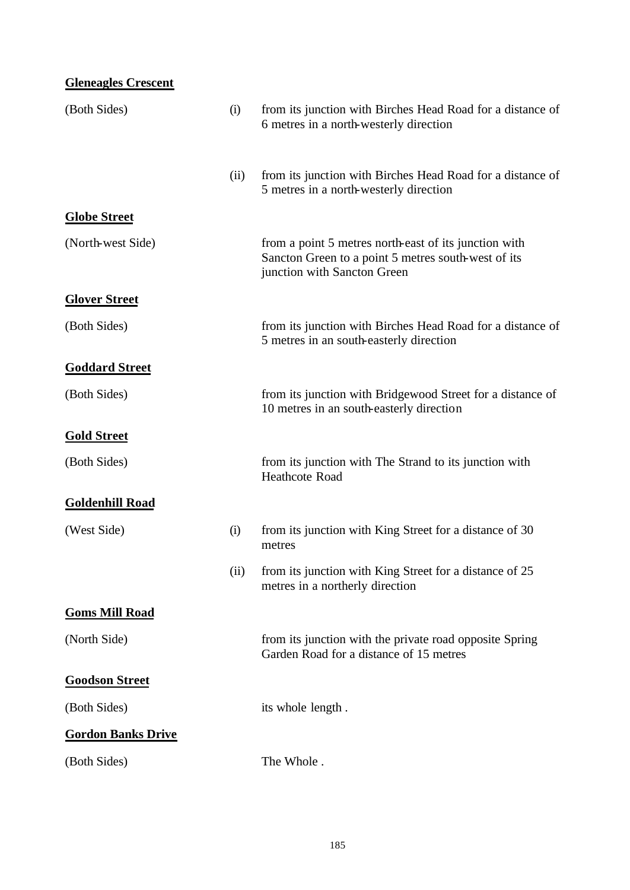| <b>Gleneagles Crescent</b> |      |                                                                                                                                             |
|----------------------------|------|---------------------------------------------------------------------------------------------------------------------------------------------|
| (Both Sides)               | (i)  | from its junction with Birches Head Road for a distance of<br>6 metres in a north-westerly direction                                        |
|                            | (ii) | from its junction with Birches Head Road for a distance of<br>5 metres in a north-westerly direction                                        |
| <b>Globe Street</b>        |      |                                                                                                                                             |
| (North-west Side)          |      | from a point 5 metres north-east of its junction with<br>Sancton Green to a point 5 metres south-west of its<br>junction with Sancton Green |
| <b>Glover Street</b>       |      |                                                                                                                                             |
| (Both Sides)               |      | from its junction with Birches Head Road for a distance of<br>5 metres in an south-easterly direction                                       |
| <b>Goddard Street</b>      |      |                                                                                                                                             |
| (Both Sides)               |      | from its junction with Bridgewood Street for a distance of<br>10 metres in an south-easterly direction                                      |
| <b>Gold Street</b>         |      |                                                                                                                                             |
| (Both Sides)               |      | from its junction with The Strand to its junction with<br><b>Heathcote Road</b>                                                             |
| <b>Goldenhill Road</b>     |      |                                                                                                                                             |
| (West Side)                | (i)  | from its junction with King Street for a distance of 30<br>metres                                                                           |
|                            | (ii) | from its junction with King Street for a distance of 25<br>metres in a northerly direction                                                  |
| <b>Goms Mill Road</b>      |      |                                                                                                                                             |
| (North Side)               |      | from its junction with the private road opposite Spring<br>Garden Road for a distance of 15 metres                                          |
| <b>Goodson Street</b>      |      |                                                                                                                                             |
| (Both Sides)               |      | its whole length.                                                                                                                           |
| <b>Gordon Banks Drive</b>  |      |                                                                                                                                             |
| (Both Sides)               |      | The Whole.                                                                                                                                  |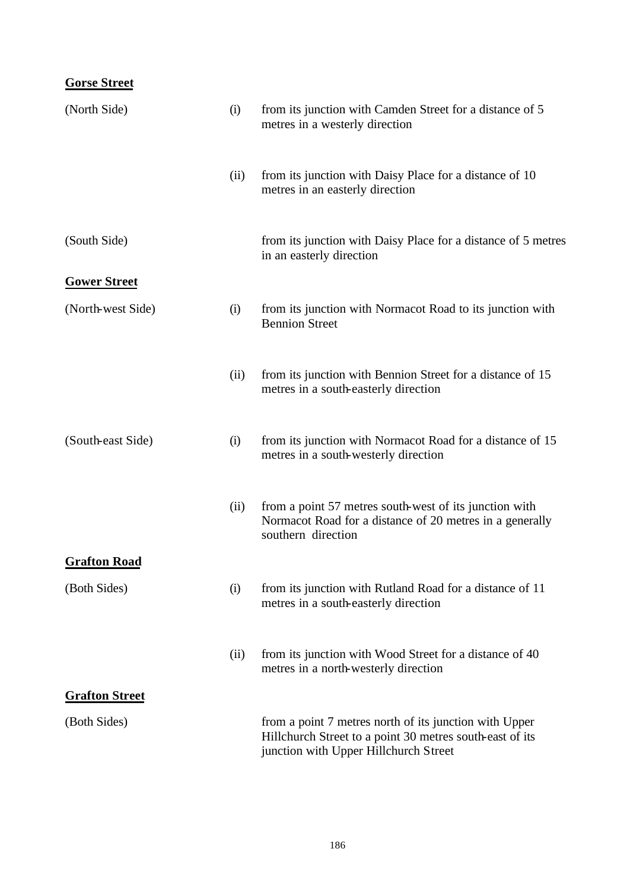## **Gorse Street**

| (North Side)          | (i)  | from its junction with Camden Street for a distance of 5<br>metres in a westerly direction                                                                  |
|-----------------------|------|-------------------------------------------------------------------------------------------------------------------------------------------------------------|
|                       | (ii) | from its junction with Daisy Place for a distance of 10<br>metres in an easterly direction                                                                  |
| (South Side)          |      | from its junction with Daisy Place for a distance of 5 metres<br>in an easterly direction                                                                   |
| <b>Gower Street</b>   |      |                                                                                                                                                             |
| (North-west Side)     | (i)  | from its junction with Normacot Road to its junction with<br><b>Bennion Street</b>                                                                          |
|                       | (ii) | from its junction with Bennion Street for a distance of 15<br>metres in a south-easterly direction                                                          |
| (South-east Side)     | (i)  | from its junction with Normacot Road for a distance of 15<br>metres in a south-westerly direction                                                           |
|                       | (ii) | from a point 57 metres south-west of its junction with<br>Normacot Road for a distance of 20 metres in a generally<br>southern direction                    |
| <b>Grafton Road</b>   |      |                                                                                                                                                             |
| (Both Sides)          | (i)  | from its junction with Rutland Road for a distance of 11<br>metres in a south-easterly direction                                                            |
|                       | (ii) | from its junction with Wood Street for a distance of 40<br>metres in a north-westerly direction                                                             |
| <b>Grafton Street</b> |      |                                                                                                                                                             |
| (Both Sides)          |      | from a point 7 metres north of its junction with Upper<br>Hillchurch Street to a point 30 metres south-east of its<br>junction with Upper Hillchurch Street |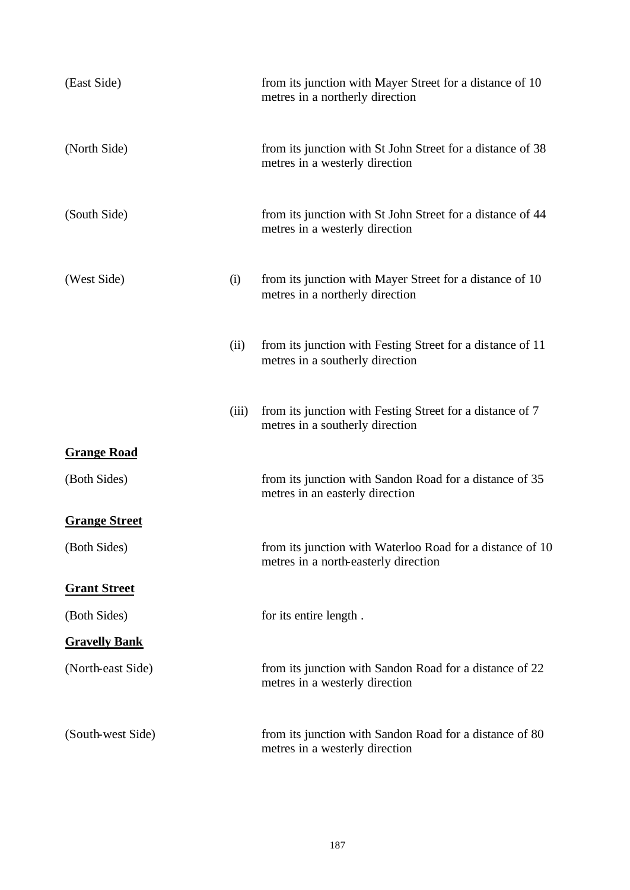| (East Side)          |       | from its junction with Mayer Street for a distance of 10<br>metres in a northerly direction       |
|----------------------|-------|---------------------------------------------------------------------------------------------------|
| (North Side)         |       | from its junction with St John Street for a distance of 38<br>metres in a westerly direction      |
| (South Side)         |       | from its junction with St John Street for a distance of 44<br>metres in a westerly direction      |
| (West Side)          | (i)   | from its junction with Mayer Street for a distance of 10<br>metres in a northerly direction       |
|                      | (ii)  | from its junction with Festing Street for a distance of 11<br>metres in a southerly direction     |
|                      | (iii) | from its junction with Festing Street for a distance of 7<br>metres in a southerly direction      |
| <b>Grange Road</b>   |       |                                                                                                   |
| (Both Sides)         |       | from its junction with Sandon Road for a distance of 35<br>metres in an easterly direction        |
| <b>Grange Street</b> |       |                                                                                                   |
| (Both Sides)         |       | from its junction with Waterloo Road for a distance of 10<br>metres in a north-easterly direction |
| <b>Grant Street</b>  |       |                                                                                                   |
| (Both Sides)         |       | for its entire length.                                                                            |
| <b>Gravelly Bank</b> |       |                                                                                                   |
| (North-east Side)    |       | from its junction with Sandon Road for a distance of 22<br>metres in a westerly direction         |
| (South-west Side)    |       | from its junction with Sandon Road for a distance of 80<br>metres in a westerly direction         |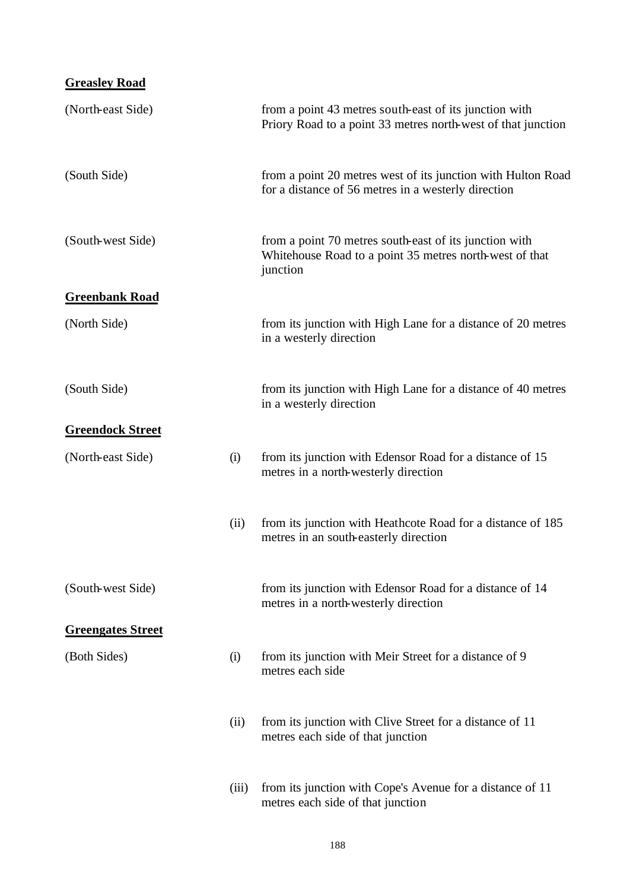| <b>Greasley Road</b>     |       |                                                                                                                               |
|--------------------------|-------|-------------------------------------------------------------------------------------------------------------------------------|
| (North-east Side)        |       | from a point 43 metres south-east of its junction with<br>Priory Road to a point 33 metres north-west of that junction        |
| (South Side)             |       | from a point 20 metres west of its junction with Hulton Road<br>for a distance of 56 metres in a westerly direction           |
| (South-west Side)        |       | from a point 70 metres south-east of its junction with<br>Whitehouse Road to a point 35 metres north-west of that<br>junction |
| <b>Greenbank Road</b>    |       |                                                                                                                               |
| (North Side)             |       | from its junction with High Lane for a distance of 20 metres<br>in a westerly direction                                       |
| (South Side)             |       | from its junction with High Lane for a distance of 40 metres<br>in a westerly direction                                       |
| <b>Greendock Street</b>  |       |                                                                                                                               |
| (North-east Side)        | (i)   | from its junction with Edensor Road for a distance of 15<br>metres in a north-westerly direction                              |
|                          | (ii)  | from its junction with Heathcote Road for a distance of 185<br>metres in an south-easterly direction                          |
| (South-west Side)        |       | from its junction with Edensor Road for a distance of 14<br>metres in a north-westerly direction                              |
| <b>Greengates Street</b> |       |                                                                                                                               |
| (Both Sides)             | (i)   | from its junction with Meir Street for a distance of 9<br>metres each side                                                    |
|                          | (ii)  | from its junction with Clive Street for a distance of 11<br>metres each side of that junction                                 |
|                          | (iii) | from its junction with Cope's Avenue for a distance of 11<br>metres each side of that junction                                |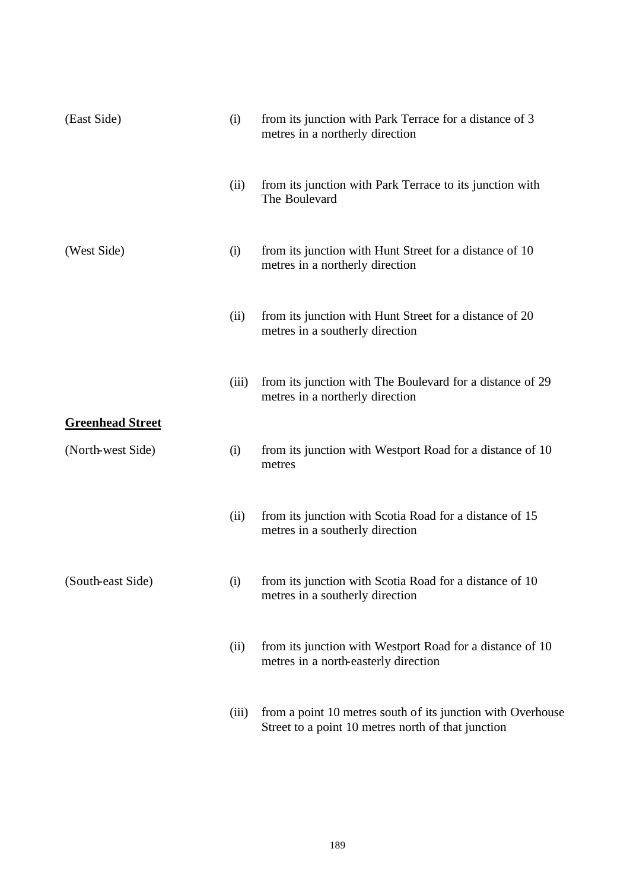| (East Side)             | (i)   | from its junction with Park Terrace for a distance of 3<br>metres in a northerly direction                        |
|-------------------------|-------|-------------------------------------------------------------------------------------------------------------------|
|                         | (ii)  | from its junction with Park Terrace to its junction with<br>The Boulevard                                         |
| (West Side)             | (i)   | from its junction with Hunt Street for a distance of 10<br>metres in a northerly direction                        |
|                         | (ii)  | from its junction with Hunt Street for a distance of 20<br>metres in a southerly direction                        |
| <b>Greenhead Street</b> | (iii) | from its junction with The Boulevard for a distance of 29<br>metres in a northerly direction                      |
| (North-west Side)       | (i)   | from its junction with Westport Road for a distance of 10<br>metres                                               |
|                         | (ii)  | from its junction with Scotia Road for a distance of 15<br>metres in a southerly direction                        |
| (South-east Side)       | (i)   | from its junction with Scotia Road for a distance of 10<br>metres in a southerly direction                        |
|                         | (ii)  | from its junction with Westport Road for a distance of 10<br>metres in a north-easterly direction                 |
|                         | (iii) | from a point 10 metres south of its junction with Overhouse<br>Street to a point 10 metres north of that junction |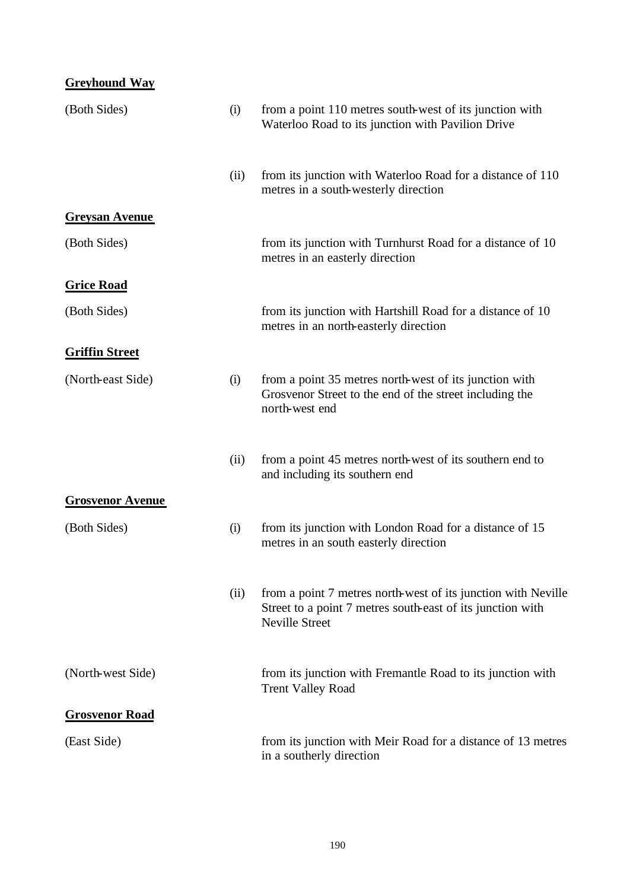| <b>Greyhound Way</b>    |      |                                                                                                                                                      |
|-------------------------|------|------------------------------------------------------------------------------------------------------------------------------------------------------|
| (Both Sides)            | (i)  | from a point 110 metres south-west of its junction with<br>Waterloo Road to its junction with Pavilion Drive                                         |
|                         | (ii) | from its junction with Waterloo Road for a distance of 110<br>metres in a south-westerly direction                                                   |
| <b>Greysan Avenue</b>   |      |                                                                                                                                                      |
| (Both Sides)            |      | from its junction with Turnhurst Road for a distance of 10<br>metres in an easterly direction                                                        |
| <b>Grice Road</b>       |      |                                                                                                                                                      |
| (Both Sides)            |      | from its junction with Hartshill Road for a distance of 10<br>metres in an north-easterly direction                                                  |
| <b>Griffin Street</b>   |      |                                                                                                                                                      |
| (North-east Side)       | (i)  | from a point 35 metres north-west of its junction with<br>Grosvenor Street to the end of the street including the<br>north-west end                  |
|                         | (ii) | from a point 45 metres north-west of its southern end to<br>and including its southern end                                                           |
| <b>Grosvenor Avenue</b> |      |                                                                                                                                                      |
| (Both Sides)            | (i)  | from its junction with London Road for a distance of 15<br>metres in an south easterly direction                                                     |
|                         | (ii) | from a point 7 metres north-west of its junction with Neville<br>Street to a point 7 metres south-east of its junction with<br><b>Neville Street</b> |
| (North-west Side)       |      | from its junction with Fremantle Road to its junction with<br><b>Trent Valley Road</b>                                                               |
| <b>Grosvenor Road</b>   |      |                                                                                                                                                      |
| (East Side)             |      | from its junction with Meir Road for a distance of 13 metres<br>in a southerly direction                                                             |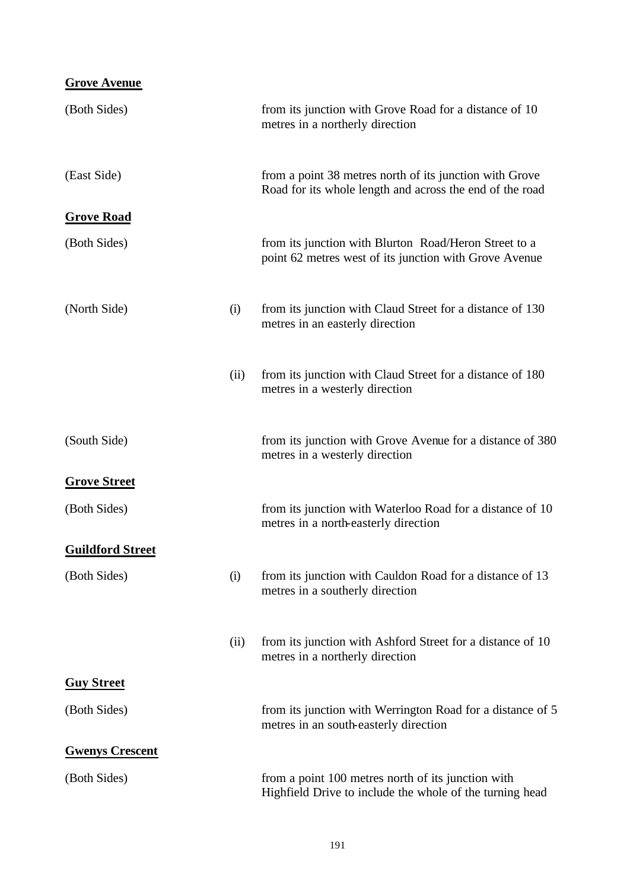| <b>Grove Avenue</b>     |      |                                                                                                                     |
|-------------------------|------|---------------------------------------------------------------------------------------------------------------------|
| (Both Sides)            |      | from its junction with Grove Road for a distance of 10<br>metres in a northerly direction                           |
| (East Side)             |      | from a point 38 metres north of its junction with Grove<br>Road for its whole length and across the end of the road |
| <b>Grove Road</b>       |      |                                                                                                                     |
| (Both Sides)            |      | from its junction with Blurton Road/Heron Street to a<br>point 62 metres west of its junction with Grove Avenue     |
| (North Side)            | (i)  | from its junction with Claud Street for a distance of 130<br>metres in an easterly direction                        |
|                         | (ii) | from its junction with Claud Street for a distance of 180<br>metres in a westerly direction                         |
| (South Side)            |      | from its junction with Grove Avenue for a distance of 380<br>metres in a westerly direction                         |
| <b>Grove Street</b>     |      |                                                                                                                     |
| (Both Sides)            |      | from its junction with Waterloo Road for a distance of 10<br>metres in a north-easterly direction                   |
| <b>Guildford Street</b> |      |                                                                                                                     |
| (Both Sides)            | (i)  | from its junction with Cauldon Road for a distance of 13<br>metres in a southerly direction                         |
|                         | (ii) | from its junction with Ashford Street for a distance of 10<br>metres in a northerly direction                       |
| <b>Guy Street</b>       |      |                                                                                                                     |
| (Both Sides)            |      | from its junction with Werrington Road for a distance of 5<br>metres in an south-easterly direction                 |
| <b>Gwenys Crescent</b>  |      |                                                                                                                     |
| (Both Sides)            |      | from a point 100 metres north of its junction with<br>Highfield Drive to include the whole of the turning head      |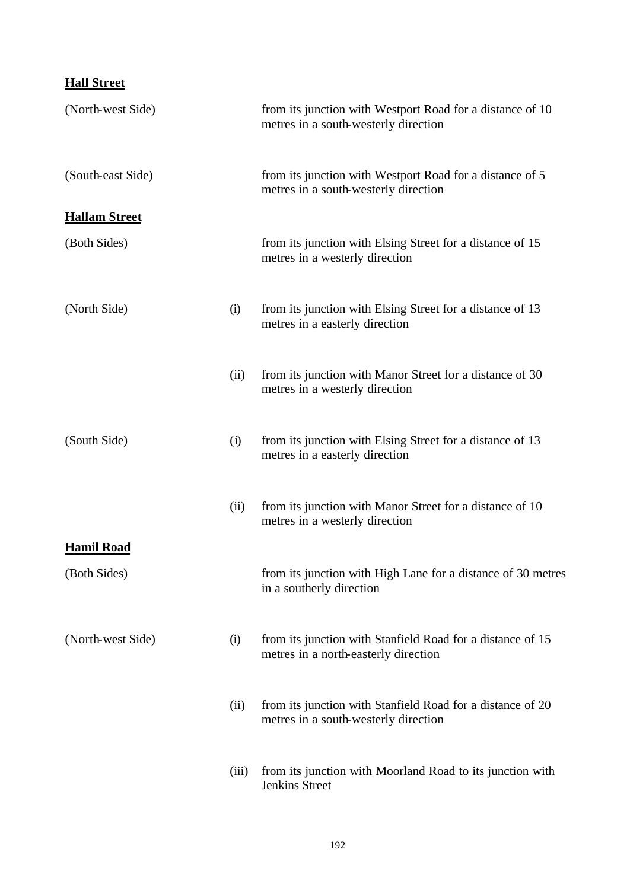## **Hall Street**

| (North-west Side)    |       | from its junction with Westport Road for a distance of 10<br>metres in a south-westerly direction  |
|----------------------|-------|----------------------------------------------------------------------------------------------------|
| (South-east Side)    |       | from its junction with Westport Road for a distance of 5<br>metres in a south-westerly direction   |
| <b>Hallam Street</b> |       |                                                                                                    |
| (Both Sides)         |       | from its junction with Elsing Street for a distance of 15<br>metres in a westerly direction        |
| (North Side)         | (i)   | from its junction with Elsing Street for a distance of 13<br>metres in a easterly direction        |
|                      | (ii)  | from its junction with Manor Street for a distance of 30<br>metres in a westerly direction         |
| (South Side)         | (i)   | from its junction with Elsing Street for a distance of 13<br>metres in a easterly direction        |
|                      | (ii)  | from its junction with Manor Street for a distance of 10<br>metres in a westerly direction         |
| <b>Hamil Road</b>    |       |                                                                                                    |
| (Both Sides)         |       | from its junction with High Lane for a distance of 30 metres<br>in a southerly direction           |
| (North-west Side)    | (i)   | from its junction with Stanfield Road for a distance of 15<br>metres in a north-easterly direction |
|                      | (ii)  | from its junction with Stanfield Road for a distance of 20<br>metres in a south-westerly direction |
|                      | (iii) | from its junction with Moorland Road to its junction with<br>Jenkins Street                        |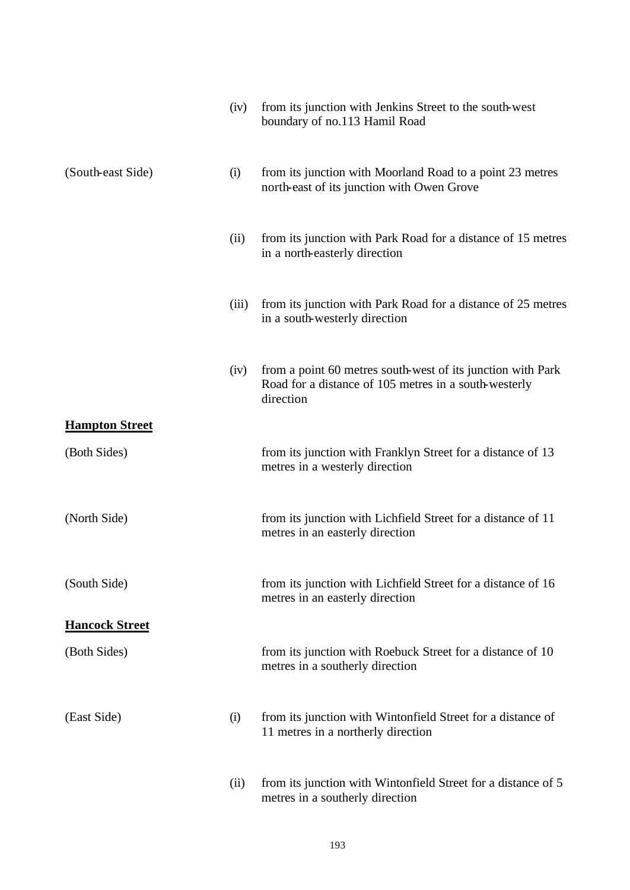|                       | (iv)  | from its junction with Jenkins Street to the south-west<br>boundary of no.113 Hamil Road                                          |
|-----------------------|-------|-----------------------------------------------------------------------------------------------------------------------------------|
| (South-east Side)     | (i)   | from its junction with Moorland Road to a point 23 metres<br>north-east of its junction with Owen Grove                           |
|                       | (ii)  | from its junction with Park Road for a distance of 15 metres<br>in a north-easterly direction                                     |
|                       | (iii) | from its junction with Park Road for a distance of 25 metres<br>in a south-westerly direction                                     |
|                       | (iv)  | from a point 60 metres south-west of its junction with Park<br>Road for a distance of 105 metres in a south-westerly<br>direction |
| <b>Hampton Street</b> |       |                                                                                                                                   |
| (Both Sides)          |       | from its junction with Franklyn Street for a distance of 13<br>metres in a westerly direction                                     |
| (North Side)          |       | from its junction with Lichfield Street for a distance of 11<br>metres in an easterly direction                                   |
| (South Side)          |       | from its junction with Lichfield Street for a distance of 16<br>metres in an easterly direction                                   |
| <b>Hancock Street</b> |       |                                                                                                                                   |
| (Both Sides)          |       | from its junction with Roebuck Street for a distance of 10<br>metres in a southerly direction                                     |
| (East Side)           | (i)   | from its junction with Wintonfield Street for a distance of<br>11 metres in a northerly direction                                 |
|                       | (ii)  | from its junction with Wintonfield Street for a distance of 5<br>metres in a southerly direction                                  |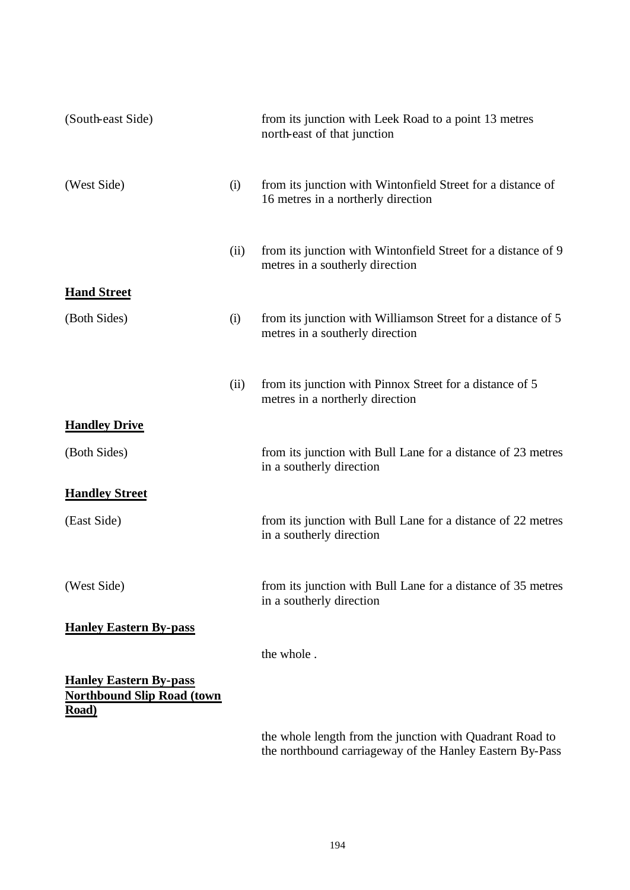| (South-east Side)                                                           |      | from its junction with Leek Road to a point 13 metres<br>north-east of that junction              |
|-----------------------------------------------------------------------------|------|---------------------------------------------------------------------------------------------------|
| (West Side)                                                                 | (i)  | from its junction with Wintonfield Street for a distance of<br>16 metres in a northerly direction |
|                                                                             | (ii) | from its junction with Wintonfield Street for a distance of 9<br>metres in a southerly direction  |
| <b>Hand Street</b>                                                          |      |                                                                                                   |
| (Both Sides)                                                                | (i)  | from its junction with Williamson Street for a distance of 5<br>metres in a southerly direction   |
|                                                                             | (ii) | from its junction with Pinnox Street for a distance of 5<br>metres in a northerly direction       |
| <b>Handley Drive</b>                                                        |      |                                                                                                   |
| (Both Sides)                                                                |      | from its junction with Bull Lane for a distance of 23 metres<br>in a southerly direction          |
| <b>Handley Street</b>                                                       |      |                                                                                                   |
| (East Side)                                                                 |      | from its junction with Bull Lane for a distance of 22 metres<br>in a southerly direction          |
| (West Side)                                                                 |      | from its junction with Bull Lane for a distance of 35 metres<br>in a southerly direction          |
| <b>Hanley Eastern By-pass</b>                                               |      |                                                                                                   |
|                                                                             |      | the whole.                                                                                        |
| <b>Hanley Eastern By-pass</b><br><b>Northbound Slip Road (town</b><br>Road) |      |                                                                                                   |

the whole length from the junction with Quadrant Road to the northbound carriageway of the Hanley Eastern By-Pass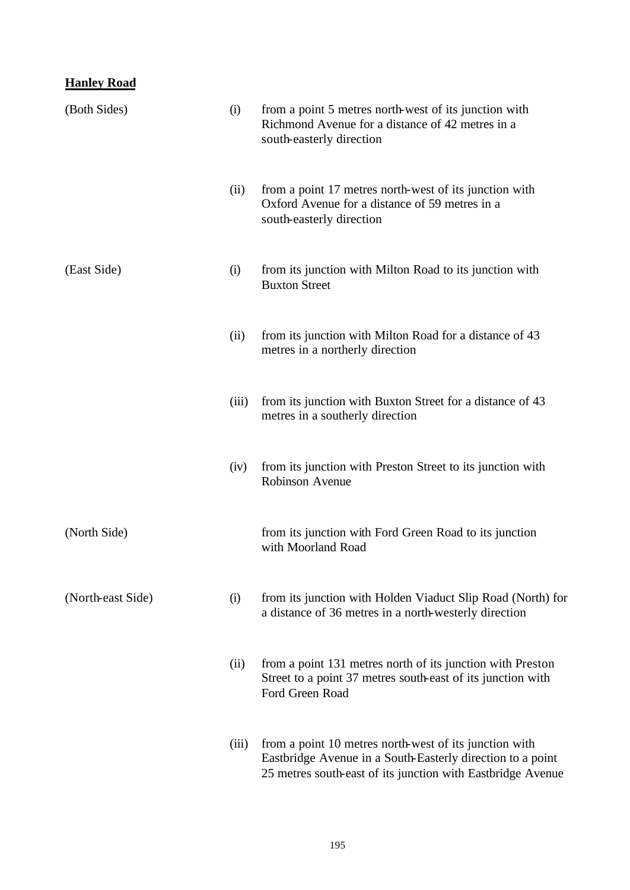### **Hanley Road**

| (Both Sides)      | (i)   | from a point 5 metres north-west of its junction with<br>Richmond Avenue for a distance of 42 metres in a<br>south-easterly direction                                               |
|-------------------|-------|-------------------------------------------------------------------------------------------------------------------------------------------------------------------------------------|
|                   | (ii)  | from a point 17 metres north-west of its junction with<br>Oxford Avenue for a distance of 59 metres in a<br>south-easterly direction                                                |
| (East Side)       | (i)   | from its junction with Milton Road to its junction with<br><b>Buxton Street</b>                                                                                                     |
|                   | (ii)  | from its junction with Milton Road for a distance of 43<br>metres in a northerly direction                                                                                          |
|                   | (iii) | from its junction with Buxton Street for a distance of 43<br>metres in a southerly direction                                                                                        |
|                   | (iv)  | from its junction with Preston Street to its junction with<br>Robinson Avenue                                                                                                       |
| (North Side)      |       | from its junction with Ford Green Road to its junction<br>with Moorland Road                                                                                                        |
| (North-east Side) | (i)   | from its junction with Holden Viaduct Slip Road (North) for<br>a distance of 36 metres in a north-westerly direction                                                                |
|                   | (ii)  | from a point 131 metres north of its junction with Preston<br>Street to a point 37 metres south-east of its junction with<br>Ford Green Road                                        |
|                   | (iii) | from a point 10 metres north-west of its junction with<br>Eastbridge Avenue in a South-Easterly direction to a point<br>25 metres south-east of its junction with Eastbridge Avenue |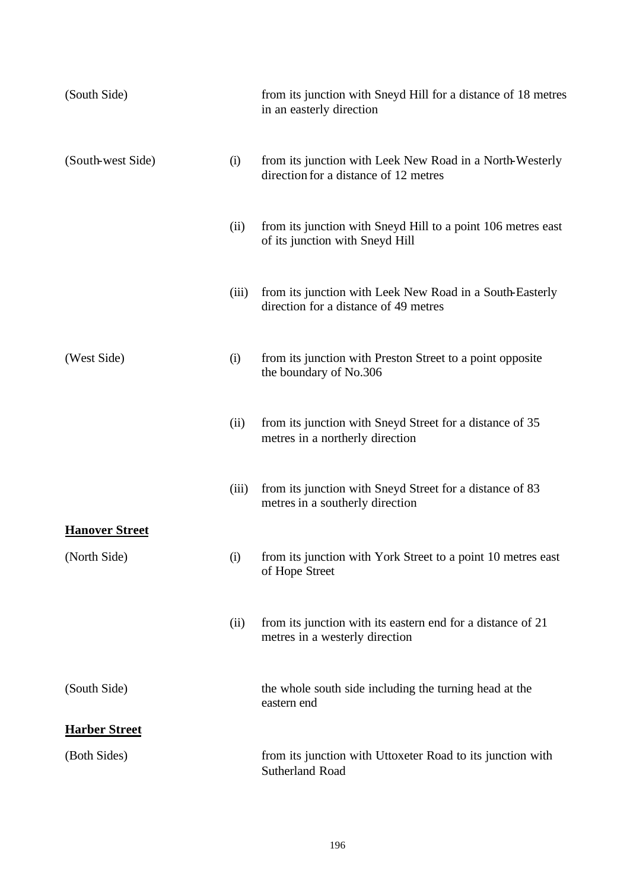| (South Side)          |       | from its junction with Sneyd Hill for a distance of 18 metres<br>in an easterly direction         |
|-----------------------|-------|---------------------------------------------------------------------------------------------------|
| (South-west Side)     | (i)   | from its junction with Leek New Road in a North-Westerly<br>direction for a distance of 12 metres |
|                       | (ii)  | from its junction with Sneyd Hill to a point 106 metres east<br>of its junction with Sneyd Hill   |
|                       | (iii) | from its junction with Leek New Road in a South-Easterly<br>direction for a distance of 49 metres |
| (West Side)           | (i)   | from its junction with Preston Street to a point opposite<br>the boundary of No.306               |
|                       | (ii)  | from its junction with Sneyd Street for a distance of 35<br>metres in a northerly direction       |
|                       | (iii) | from its junction with Sneyd Street for a distance of 83<br>metres in a southerly direction       |
| <b>Hanover Street</b> |       |                                                                                                   |
| (North Side)          | (i)   | from its junction with York Street to a point 10 metres east<br>of Hope Street                    |
|                       | (ii)  | from its junction with its eastern end for a distance of 21<br>metres in a westerly direction     |
| (South Side)          |       | the whole south side including the turning head at the<br>eastern end                             |
| <b>Harber Street</b>  |       |                                                                                                   |
| (Both Sides)          |       | from its junction with Uttoxeter Road to its junction with<br>Sutherland Road                     |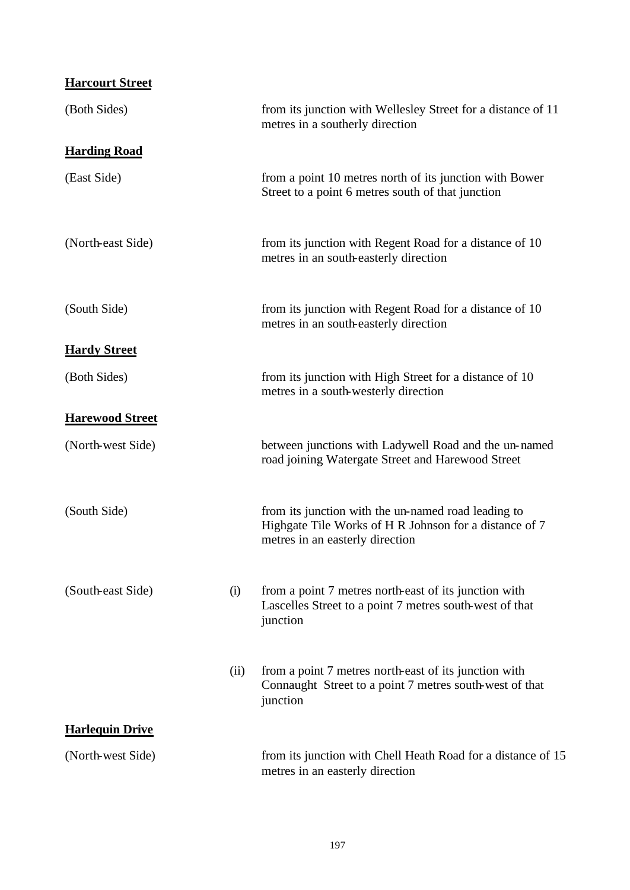## **Harcourt Street**

| (Both Sides)           |      | from its junction with Wellesley Street for a distance of 11<br>metres in a southerly direction                                                  |
|------------------------|------|--------------------------------------------------------------------------------------------------------------------------------------------------|
| <b>Harding Road</b>    |      |                                                                                                                                                  |
| (East Side)            |      | from a point 10 metres north of its junction with Bower<br>Street to a point 6 metres south of that junction                                     |
| (North-east Side)      |      | from its junction with Regent Road for a distance of 10<br>metres in an south-easterly direction                                                 |
| (South Side)           |      | from its junction with Regent Road for a distance of 10<br>metres in an south-easterly direction                                                 |
| <b>Hardy Street</b>    |      |                                                                                                                                                  |
| (Both Sides)           |      | from its junction with High Street for a distance of 10<br>metres in a south-westerly direction                                                  |
| <b>Harewood Street</b> |      |                                                                                                                                                  |
| (North-west Side)      |      | between junctions with Ladywell Road and the un-named<br>road joining Watergate Street and Harewood Street                                       |
| (South Side)           |      | from its junction with the un-named road leading to<br>Highgate Tile Works of H R Johnson for a distance of 7<br>metres in an easterly direction |
| (South-east Side)      | (i)  | from a point 7 metres north-east of its junction with<br>Lascelles Street to a point 7 metres south-west of that<br>junction                     |
|                        | (ii) | from a point 7 metres north-east of its junction with<br>Connaught Street to a point 7 metres south-west of that<br>junction                     |
| <b>Harlequin Drive</b> |      |                                                                                                                                                  |
| (North-west Side)      |      | from its junction with Chell Heath Road for a distance of 15<br>metres in an easterly direction                                                  |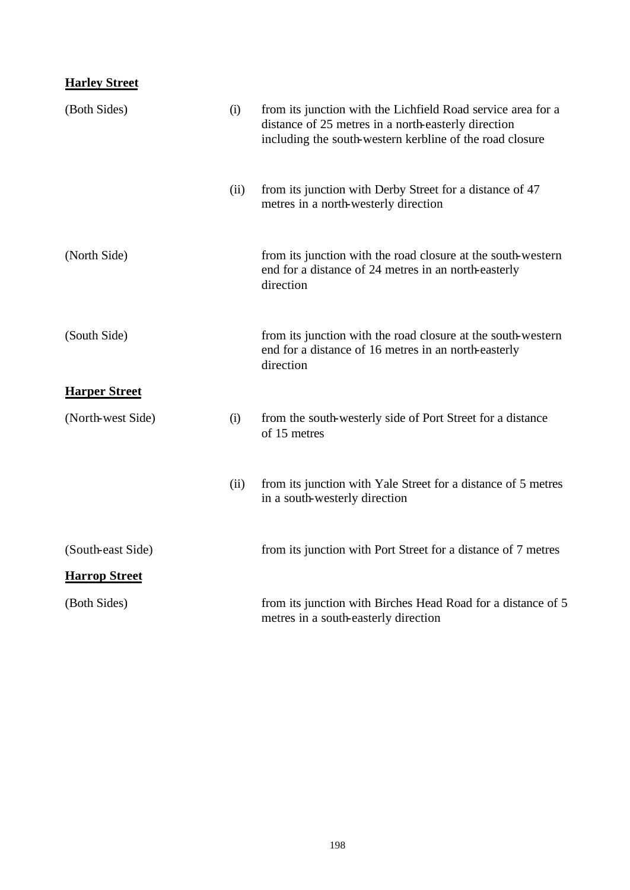### **Harley Street**

| (Both Sides)         | (i)  | from its junction with the Lichfield Road service area for a<br>distance of 25 metres in a north-easterly direction<br>including the south-western kerbline of the road closure |
|----------------------|------|---------------------------------------------------------------------------------------------------------------------------------------------------------------------------------|
|                      | (ii) | from its junction with Derby Street for a distance of 47<br>metres in a north-westerly direction                                                                                |
| (North Side)         |      | from its junction with the road closure at the south-western<br>end for a distance of 24 metres in an north-easterly<br>direction                                               |
| (South Side)         |      | from its junction with the road closure at the south-western<br>end for a distance of 16 metres in an north-easterly<br>direction                                               |
| <b>Harper Street</b> |      |                                                                                                                                                                                 |
| (North-west Side)    | (i)  | from the south-westerly side of Port Street for a distance<br>of 15 metres                                                                                                      |
|                      | (ii) | from its junction with Yale Street for a distance of 5 metres<br>in a south-westerly direction                                                                                  |
| (South-east Side)    |      | from its junction with Port Street for a distance of 7 metres                                                                                                                   |
| <b>Harrop Street</b> |      |                                                                                                                                                                                 |
| (Both Sides)         |      | from its junction with Birches Head Road for a distance of 5<br>metres in a south-easterly direction                                                                            |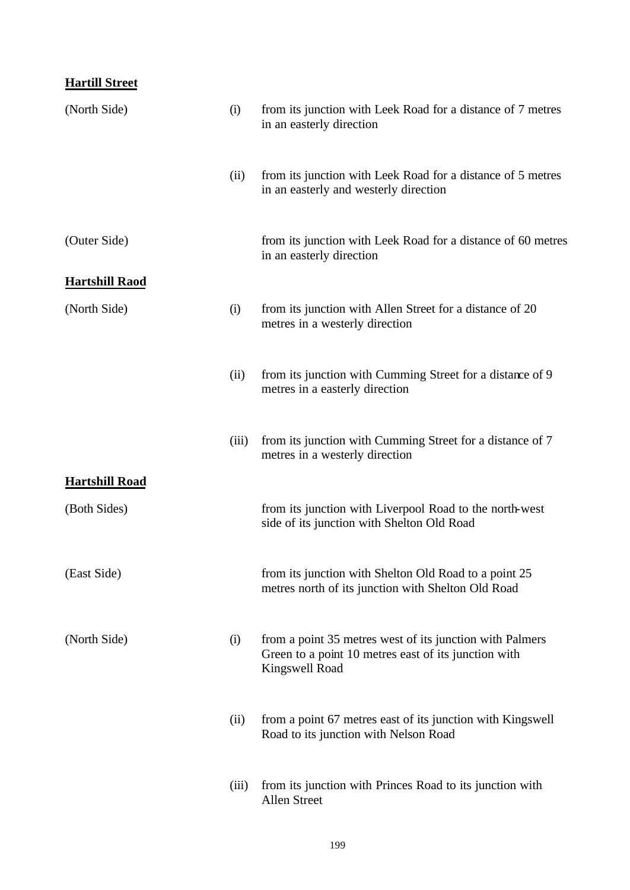### **Hartill Street**

| (North Side)          | (i)   | from its junction with Leek Road for a distance of 7 metres<br>in an easterly direction                                            |
|-----------------------|-------|------------------------------------------------------------------------------------------------------------------------------------|
|                       | (ii)  | from its junction with Leek Road for a distance of 5 metres<br>in an easterly and westerly direction                               |
| (Outer Side)          |       | from its junction with Leek Road for a distance of 60 metres<br>in an easterly direction                                           |
| <b>Hartshill Raod</b> |       |                                                                                                                                    |
| (North Side)          | (i)   | from its junction with Allen Street for a distance of 20<br>metres in a westerly direction                                         |
|                       | (ii)  | from its junction with Cumming Street for a distance of 9<br>metres in a easterly direction                                        |
|                       | (iii) | from its junction with Cumming Street for a distance of 7<br>metres in a westerly direction                                        |
| <b>Hartshill Road</b> |       |                                                                                                                                    |
| (Both Sides)          |       | from its junction with Liverpool Road to the north-west<br>side of its junction with Shelton Old Road                              |
| (East Side)           |       | from its junction with Shelton Old Road to a point 25<br>metres north of its junction with Shelton Old Road                        |
| (North Side)          | (i)   | from a point 35 metres west of its junction with Palmers<br>Green to a point 10 metres east of its junction with<br>Kingswell Road |
|                       | (ii)  | from a point 67 metres east of its junction with Kingswell<br>Road to its junction with Nelson Road                                |
|                       | (iii) | from its junction with Princes Road to its junction with<br>Allen Street                                                           |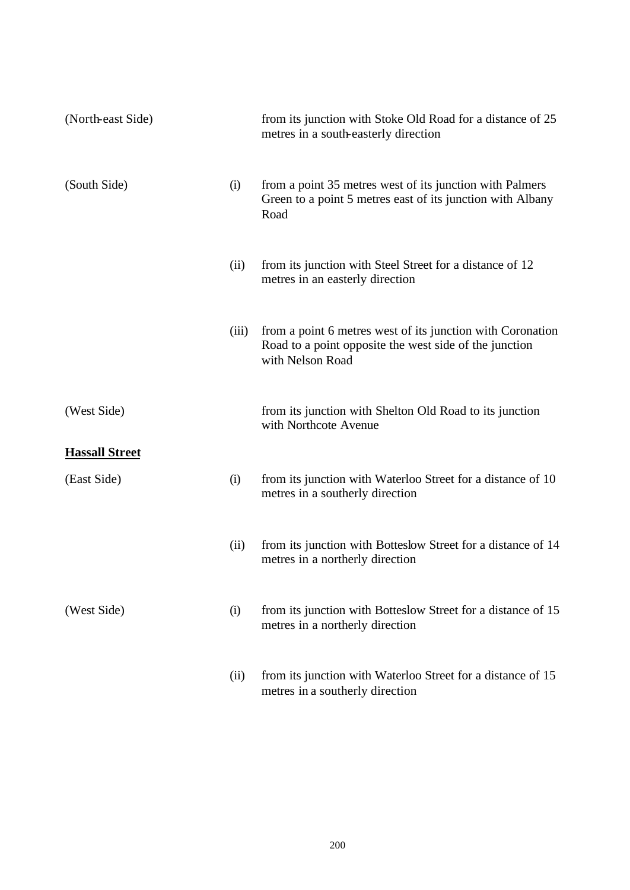| (North-east Side)     |       | from its junction with Stoke Old Road for a distance of 25<br>metres in a south-easterly direction                                       |
|-----------------------|-------|------------------------------------------------------------------------------------------------------------------------------------------|
| (South Side)          | (i)   | from a point 35 metres west of its junction with Palmers<br>Green to a point 5 metres east of its junction with Albany<br>Road           |
|                       | (ii)  | from its junction with Steel Street for a distance of 12<br>metres in an easterly direction                                              |
|                       | (iii) | from a point 6 metres west of its junction with Coronation<br>Road to a point opposite the west side of the junction<br>with Nelson Road |
| (West Side)           |       | from its junction with Shelton Old Road to its junction<br>with Northcote Avenue                                                         |
| <b>Hassall Street</b> |       |                                                                                                                                          |
| (East Side)           | (i)   | from its junction with Waterloo Street for a distance of 10<br>metres in a southerly direction                                           |
|                       | (ii)  | from its junction with Botteslow Street for a distance of 14<br>metres in a northerly direction                                          |
| (West Side)           | (i)   | from its junction with Botteslow Street for a distance of 15<br>metres in a northerly direction                                          |
|                       | (ii)  | from its junction with Waterloo Street for a distance of 15<br>metres in a southerly direction                                           |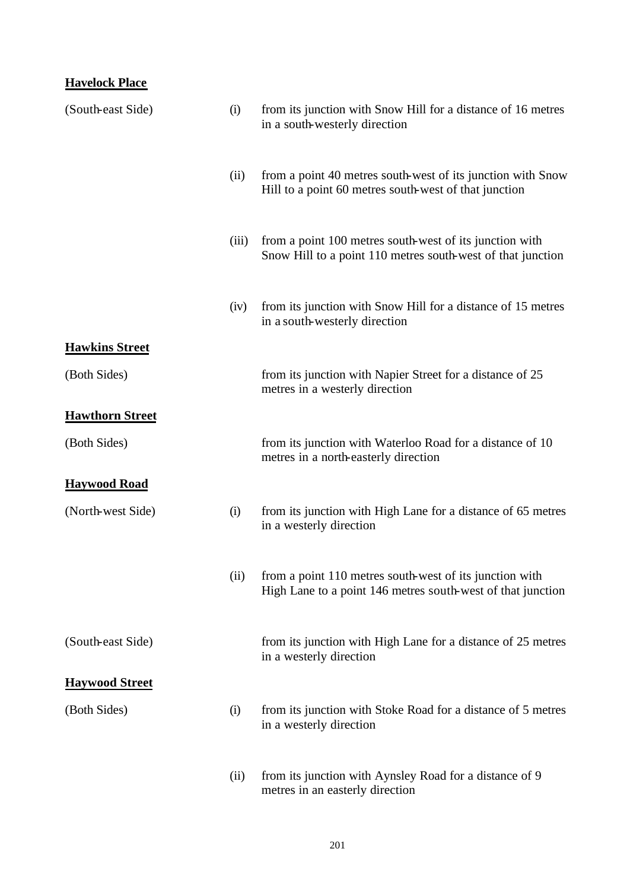### **Havelock Place**

| (South-east Side)      | (i)   | from its junction with Snow Hill for a distance of 16 metres<br>in a south-westerly direction                          |
|------------------------|-------|------------------------------------------------------------------------------------------------------------------------|
|                        | (ii)  | from a point 40 metres south-west of its junction with Snow<br>Hill to a point 60 metres south-west of that junction   |
|                        | (iii) | from a point 100 metres south-west of its junction with<br>Snow Hill to a point 110 metres south-west of that junction |
|                        | (iv)  | from its junction with Snow Hill for a distance of 15 metres<br>in a south-westerly direction                          |
| <b>Hawkins Street</b>  |       |                                                                                                                        |
| (Both Sides)           |       | from its junction with Napier Street for a distance of 25<br>metres in a westerly direction                            |
| <b>Hawthorn Street</b> |       |                                                                                                                        |
| (Both Sides)           |       | from its junction with Waterloo Road for a distance of 10<br>metres in a north-easterly direction                      |
| <b>Haywood Road</b>    |       |                                                                                                                        |
| (North-west Side)      | (i)   | from its junction with High Lane for a distance of 65 metres<br>in a westerly direction                                |
|                        | (ii)  | from a point 110 metres south-west of its junction with<br>High Lane to a point 146 metres south-west of that junction |
| (South-east Side)      |       | from its junction with High Lane for a distance of 25 metres<br>in a westerly direction                                |
| <b>Haywood Street</b>  |       |                                                                                                                        |
| (Both Sides)           | (i)   | from its junction with Stoke Road for a distance of 5 metres<br>in a westerly direction                                |
|                        | (ii)  | from its junction with Aynsley Road for a distance of 9<br>metres in an easterly direction                             |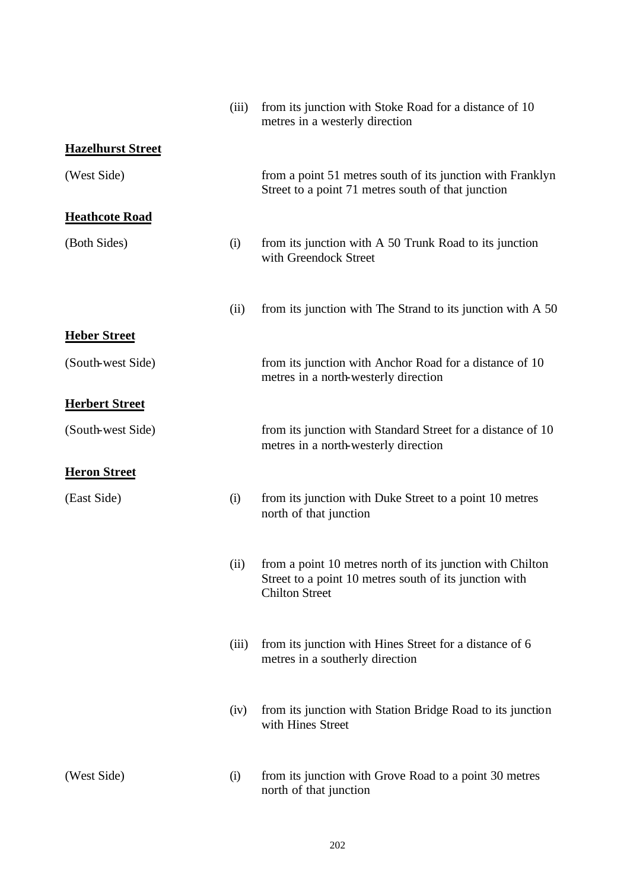|                          | (iii) | from its junction with Stoke Road for a distance of 10<br>metres in a westerly direction                                                     |
|--------------------------|-------|----------------------------------------------------------------------------------------------------------------------------------------------|
| <b>Hazelhurst Street</b> |       |                                                                                                                                              |
| (West Side)              |       | from a point 51 metres south of its junction with Franklyn<br>Street to a point 71 metres south of that junction                             |
| <b>Heathcote Road</b>    |       |                                                                                                                                              |
| (Both Sides)             | (i)   | from its junction with A 50 Trunk Road to its junction<br>with Greendock Street                                                              |
|                          | (ii)  | from its junction with The Strand to its junction with A 50                                                                                  |
| <b>Heber Street</b>      |       |                                                                                                                                              |
| (South-west Side)        |       | from its junction with Anchor Road for a distance of 10<br>metres in a north-westerly direction                                              |
| <b>Herbert Street</b>    |       |                                                                                                                                              |
| (South-west Side)        |       | from its junction with Standard Street for a distance of 10<br>metres in a north-westerly direction                                          |
| <b>Heron Street</b>      |       |                                                                                                                                              |
| (East Side)              | (i)   | from its junction with Duke Street to a point 10 metres<br>north of that junction                                                            |
|                          | (ii)  | from a point 10 metres north of its junction with Chilton<br>Street to a point 10 metres south of its junction with<br><b>Chilton Street</b> |
|                          | (iii) | from its junction with Hines Street for a distance of 6<br>metres in a southerly direction                                                   |
|                          | (iv)  | from its junction with Station Bridge Road to its junction<br>with Hines Street                                                              |
| (West Side)              | (i)   | from its junction with Grove Road to a point 30 metres<br>north of that junction                                                             |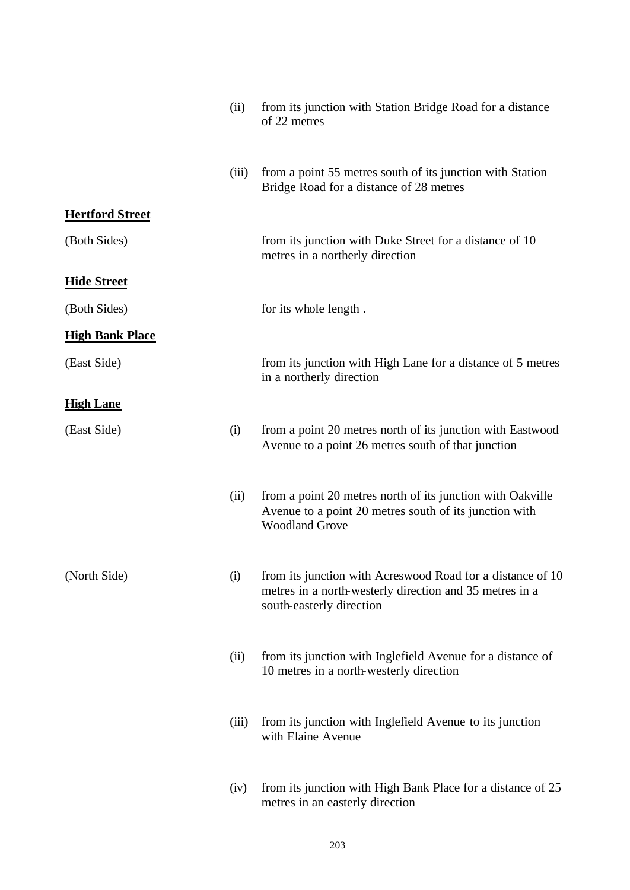|                        | (ii)  | from its junction with Station Bridge Road for a distance<br>of 22 metres                                                                         |
|------------------------|-------|---------------------------------------------------------------------------------------------------------------------------------------------------|
|                        | (iii) | from a point 55 metres south of its junction with Station<br>Bridge Road for a distance of 28 metres                                              |
| <b>Hertford Street</b> |       |                                                                                                                                                   |
| (Both Sides)           |       | from its junction with Duke Street for a distance of 10<br>metres in a northerly direction                                                        |
| <b>Hide Street</b>     |       |                                                                                                                                                   |
| (Both Sides)           |       | for its whole length.                                                                                                                             |
| <b>High Bank Place</b> |       |                                                                                                                                                   |
| (East Side)            |       | from its junction with High Lane for a distance of 5 metres<br>in a northerly direction                                                           |
| <b>High Lane</b>       |       |                                                                                                                                                   |
| (East Side)            | (i)   | from a point 20 metres north of its junction with Eastwood<br>Avenue to a point 26 metres south of that junction                                  |
|                        | (ii)  | from a point 20 metres north of its junction with Oakville<br>Avenue to a point 20 metres south of its junction with<br><b>Woodland Grove</b>     |
| (North Side)           | (i)   | from its junction with Acreswood Road for a distance of 10<br>metres in a north-westerly direction and 35 metres in a<br>south-easterly direction |
|                        | (ii)  | from its junction with Inglefield Avenue for a distance of<br>10 metres in a north-westerly direction                                             |
|                        | (iii) | from its junction with Inglefield Avenue to its junction<br>with Elaine Avenue                                                                    |
|                        | (iv)  | from its junction with High Bank Place for a distance of 25<br>metres in an easterly direction                                                    |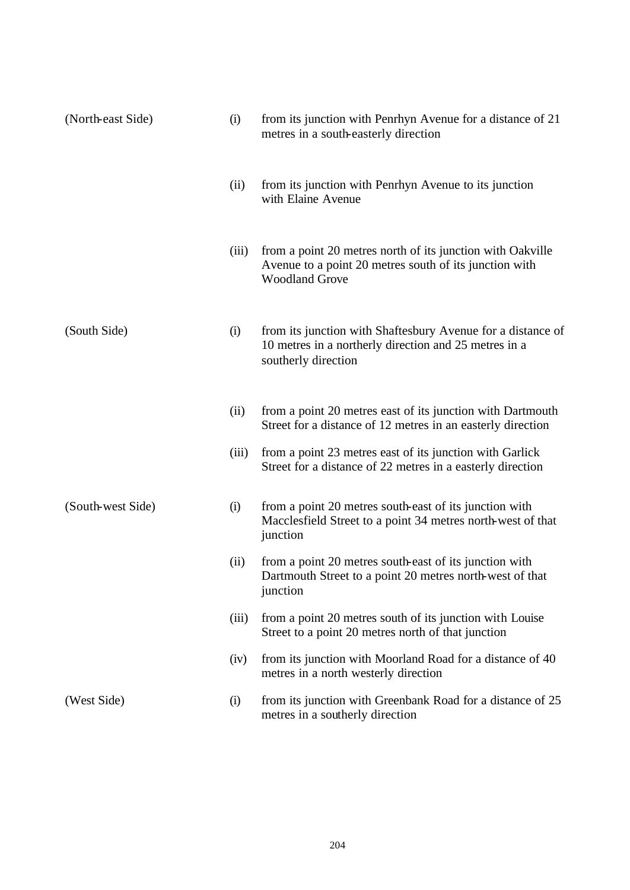| (North-east Side) | (i)   | from its junction with Penrhyn Avenue for a distance of 21<br>metres in a south-easterly direction                                            |
|-------------------|-------|-----------------------------------------------------------------------------------------------------------------------------------------------|
|                   | (ii)  | from its junction with Penrhyn Avenue to its junction<br>with Elaine Avenue                                                                   |
|                   | (iii) | from a point 20 metres north of its junction with Oakville<br>Avenue to a point 20 metres south of its junction with<br><b>Woodland Grove</b> |
| (South Side)      | (i)   | from its junction with Shaftesbury Avenue for a distance of<br>10 metres in a northerly direction and 25 metres in a<br>southerly direction   |
|                   | (ii)  | from a point 20 metres east of its junction with Dartmouth<br>Street for a distance of 12 metres in an easterly direction                     |
|                   | (iii) | from a point 23 metres east of its junction with Garlick<br>Street for a distance of 22 metres in a easterly direction                        |
| (South-west Side) | (i)   | from a point 20 metres south-east of its junction with<br>Macclesfield Street to a point 34 metres north-west of that<br>junction             |
|                   | (ii)  | from a point 20 metres south-east of its junction with<br>Dartmouth Street to a point 20 metres north-west of that<br>junction                |
|                   | (iii) | from a point 20 metres south of its junction with Louise<br>Street to a point 20 metres north of that junction                                |
|                   | (iv)  | from its junction with Moorland Road for a distance of 40<br>metres in a north westerly direction                                             |
| (West Side)       | (i)   | from its junction with Greenbank Road for a distance of 25<br>metres in a southerly direction                                                 |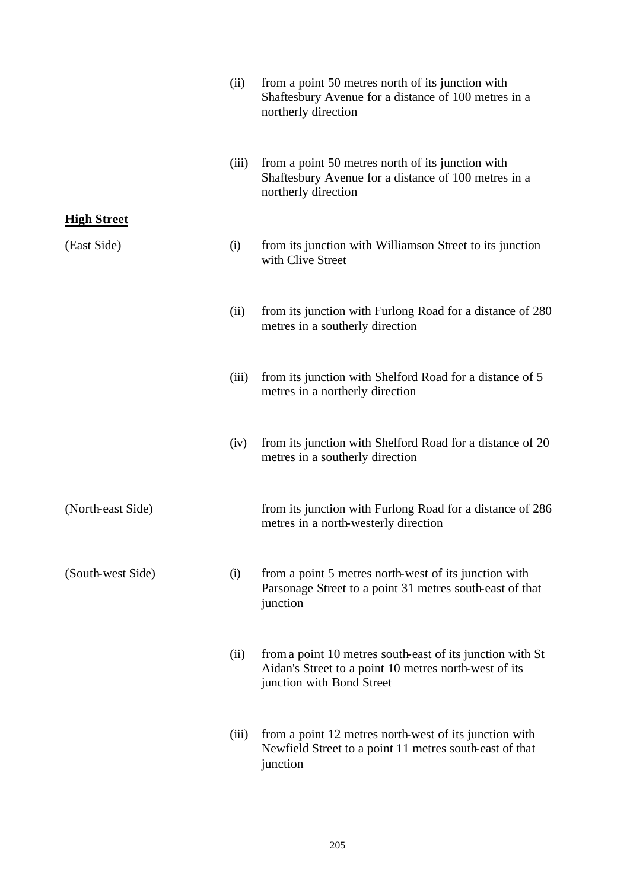|                    | (ii)  | from a point 50 metres north of its junction with<br>Shaftesbury Avenue for a distance of 100 metres in a<br>northerly direction                |
|--------------------|-------|-------------------------------------------------------------------------------------------------------------------------------------------------|
|                    | (iii) | from a point 50 metres north of its junction with<br>Shaftesbury Avenue for a distance of 100 metres in a<br>northerly direction                |
| <b>High Street</b> |       |                                                                                                                                                 |
| (East Side)        | (i)   | from its junction with Williamson Street to its junction<br>with Clive Street                                                                   |
|                    | (ii)  | from its junction with Furlong Road for a distance of 280<br>metres in a southerly direction                                                    |
|                    | (iii) | from its junction with Shelford Road for a distance of 5<br>metres in a northerly direction                                                     |
|                    | (iv)  | from its junction with Shelford Road for a distance of 20<br>metres in a southerly direction                                                    |
| (North-east Side)  |       | from its junction with Furlong Road for a distance of 286<br>metres in a north-westerly direction                                               |
| (South-west Side)  | (i)   | from a point 5 metres north-west of its junction with<br>Parsonage Street to a point 31 metres south-east of that<br>junction                   |
|                    | (ii)  | from a point 10 metres south-east of its junction with St<br>Aidan's Street to a point 10 metres north-west of its<br>junction with Bond Street |
|                    | (iii) | from a point 12 metres north-west of its junction with<br>Newfield Street to a point 11 metres south-east of that<br>junction                   |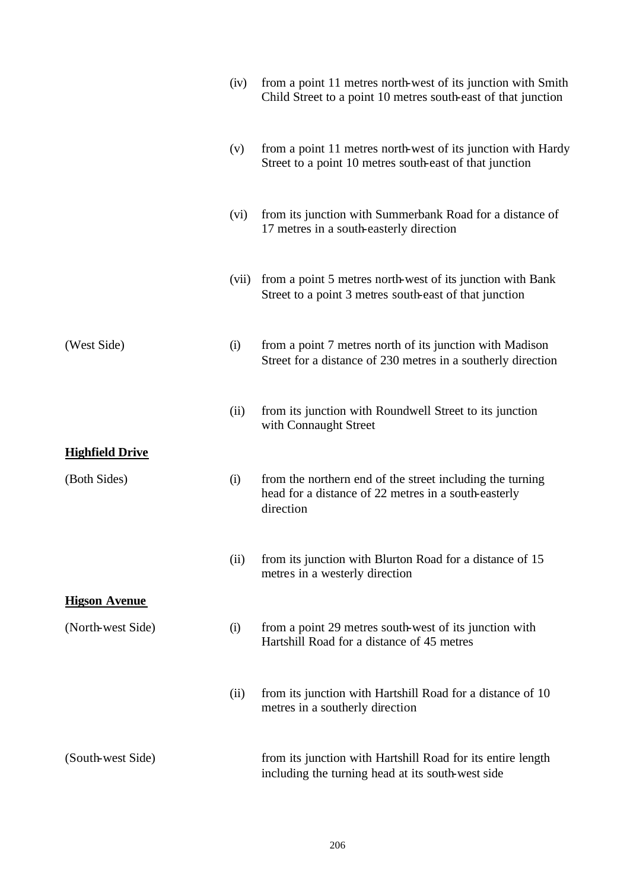|                        | (iv)  | from a point 11 metres north-west of its junction with Smith<br>Child Street to a point 10 metres south-east of that junction  |
|------------------------|-------|--------------------------------------------------------------------------------------------------------------------------------|
|                        | (v)   | from a point 11 metres north-west of its junction with Hardy<br>Street to a point 10 metres south-east of that junction        |
|                        | (vi)  | from its junction with Summerbank Road for a distance of<br>17 metres in a south-easterly direction                            |
|                        | (vii) | from a point 5 metres north-west of its junction with Bank<br>Street to a point 3 metres south-east of that junction           |
| (West Side)            | (i)   | from a point 7 metres north of its junction with Madison<br>Street for a distance of 230 metres in a southerly direction       |
|                        | (ii)  | from its junction with Roundwell Street to its junction<br>with Connaught Street                                               |
| <b>Highfield Drive</b> |       |                                                                                                                                |
| (Both Sides)           | (i)   | from the northern end of the street including the turning<br>head for a distance of 22 metres in a south-easterly<br>direction |
|                        | (ii)  | from its junction with Blurton Road for a distance of 15<br>metres in a westerly direction                                     |
| <b>Higson Avenue</b>   |       |                                                                                                                                |
| (North-west Side)      | (i)   | from a point 29 metres south-west of its junction with<br>Hartshill Road for a distance of 45 metres                           |
|                        | (ii)  | from its junction with Hartshill Road for a distance of 10<br>metres in a southerly direction                                  |
| (South-west Side)      |       | from its junction with Hartshill Road for its entire length<br>including the turning head at its south-west side               |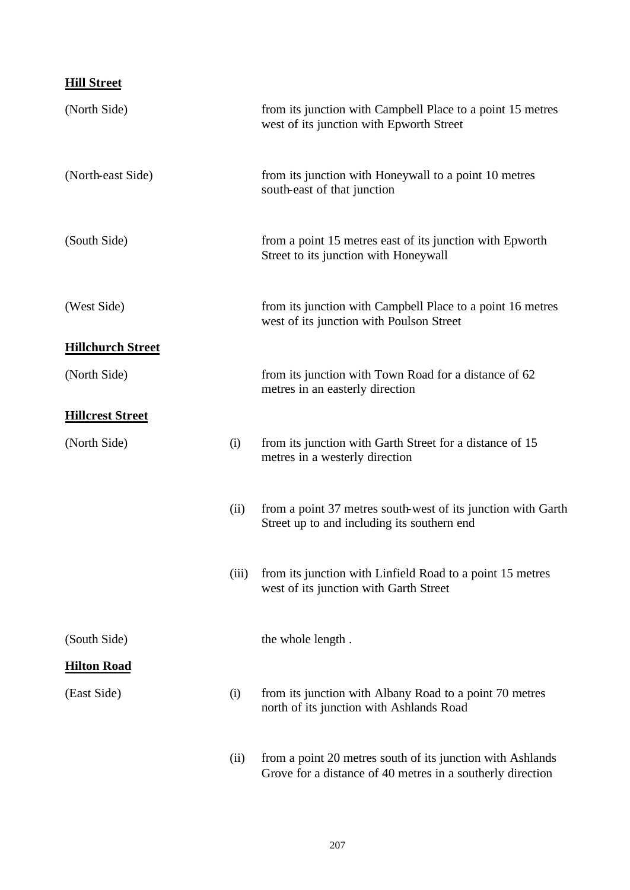### **Hill Street**

| (North Side)             |      | from its junction with Campbell Place to a point 15 metres<br>west of its junction with Epworth Street                   |
|--------------------------|------|--------------------------------------------------------------------------------------------------------------------------|
| (North-east Side)        |      | from its junction with Honeywall to a point 10 metres<br>south-east of that junction                                     |
| (South Side)             |      | from a point 15 metres east of its junction with Epworth<br>Street to its junction with Honeywall                        |
| (West Side)              |      | from its junction with Campbell Place to a point 16 metres<br>west of its junction with Poulson Street                   |
| <b>Hillchurch Street</b> |      |                                                                                                                          |
| (North Side)             |      | from its junction with Town Road for a distance of 62<br>metres in an easterly direction                                 |
| <b>Hillcrest Street</b>  |      |                                                                                                                          |
| (North Side)             | (i)  | from its junction with Garth Street for a distance of 15<br>metres in a westerly direction                               |
|                          | (ii) | from a point 37 metres south-west of its junction with Garth<br>Street up to and including its southern end              |
|                          |      | (iii) from its junction with Linfield Road to a point 15 metres<br>west of its junction with Garth Street                |
| (South Side)             |      | the whole length.                                                                                                        |
| <b>Hilton Road</b>       |      |                                                                                                                          |
| (East Side)              | (i)  | from its junction with Albany Road to a point 70 metres<br>north of its junction with Ashlands Road                      |
|                          | (ii) | from a point 20 metres south of its junction with Ashlands<br>Grove for a distance of 40 metres in a southerly direction |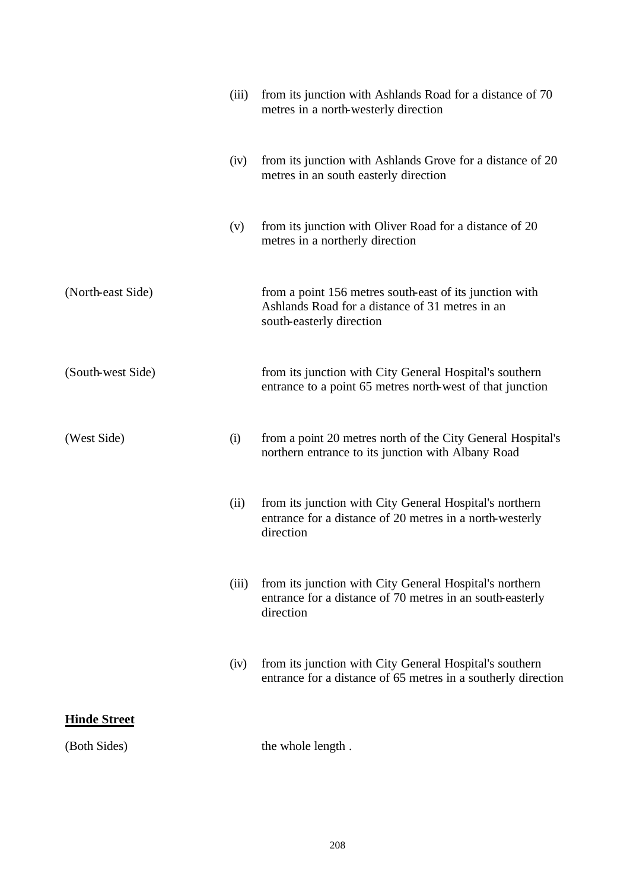|                     | (iii) | from its junction with Ashlands Road for a distance of 70<br>metres in a north-westerly direction                                      |
|---------------------|-------|----------------------------------------------------------------------------------------------------------------------------------------|
|                     | (iv)  | from its junction with Ashlands Grove for a distance of 20<br>metres in an south easterly direction                                    |
|                     | (v)   | from its junction with Oliver Road for a distance of 20<br>metres in a northerly direction                                             |
| (North-east Side)   |       | from a point 156 metres south-east of its junction with<br>Ashlands Road for a distance of 31 metres in an<br>south-easterly direction |
| (South-west Side)   |       | from its junction with City General Hospital's southern<br>entrance to a point 65 metres north-west of that junction                   |
| (West Side)         | (i)   | from a point 20 metres north of the City General Hospital's<br>northern entrance to its junction with Albany Road                      |
|                     | (ii)  | from its junction with City General Hospital's northern<br>entrance for a distance of 20 metres in a north-westerly<br>direction       |
|                     | (iii) | from its junction with City General Hospital's northern<br>entrance for a distance of 70 metres in an south-easterly<br>direction      |
|                     | (iv)  | from its junction with City General Hospital's southern<br>entrance for a distance of 65 metres in a southerly direction               |
| <b>Hinde Street</b> |       |                                                                                                                                        |
| (Both Sides)        |       | the whole length.                                                                                                                      |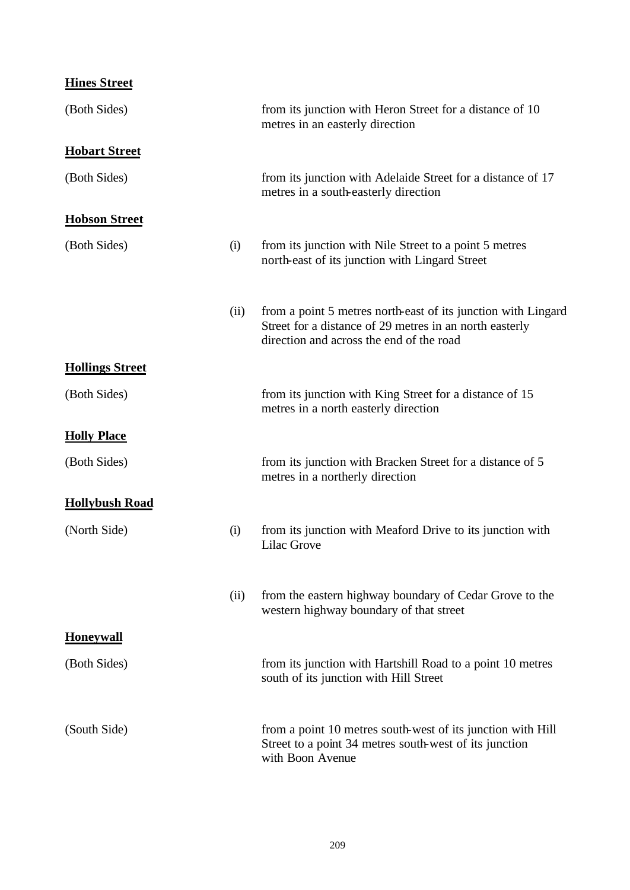| <b>Hines Street</b> |
|---------------------|
|---------------------|

| (Both Sides)           |      | from its junction with Heron Street for a distance of 10<br>metres in an easterly direction                                                                          |
|------------------------|------|----------------------------------------------------------------------------------------------------------------------------------------------------------------------|
| <b>Hobart Street</b>   |      |                                                                                                                                                                      |
| (Both Sides)           |      | from its junction with Adelaide Street for a distance of 17<br>metres in a south-easterly direction                                                                  |
| <b>Hobson Street</b>   |      |                                                                                                                                                                      |
| (Both Sides)           | (i)  | from its junction with Nile Street to a point 5 metres<br>north-east of its junction with Lingard Street                                                             |
|                        | (ii) | from a point 5 metres north-east of its junction with Lingard<br>Street for a distance of 29 metres in an north easterly<br>direction and across the end of the road |
| <b>Hollings Street</b> |      |                                                                                                                                                                      |
| (Both Sides)           |      | from its junction with King Street for a distance of 15<br>metres in a north easterly direction                                                                      |
| <b>Holly Place</b>     |      |                                                                                                                                                                      |
| (Both Sides)           |      | from its junction with Bracken Street for a distance of 5<br>metres in a northerly direction                                                                         |
| <b>Hollybush Road</b>  |      |                                                                                                                                                                      |
| (North Side)           | (i)  | from its junction with Meaford Drive to its junction with<br><b>Lilac Grove</b>                                                                                      |
|                        | (ii) | from the eastern highway boundary of Cedar Grove to the<br>western highway boundary of that street                                                                   |
| <b>Honeywall</b>       |      |                                                                                                                                                                      |
| (Both Sides)           |      | from its junction with Hartshill Road to a point 10 metres<br>south of its junction with Hill Street                                                                 |
| (South Side)           |      | from a point 10 metres south-west of its junction with Hill<br>Street to a point 34 metres south-west of its junction<br>with Boon Avenue                            |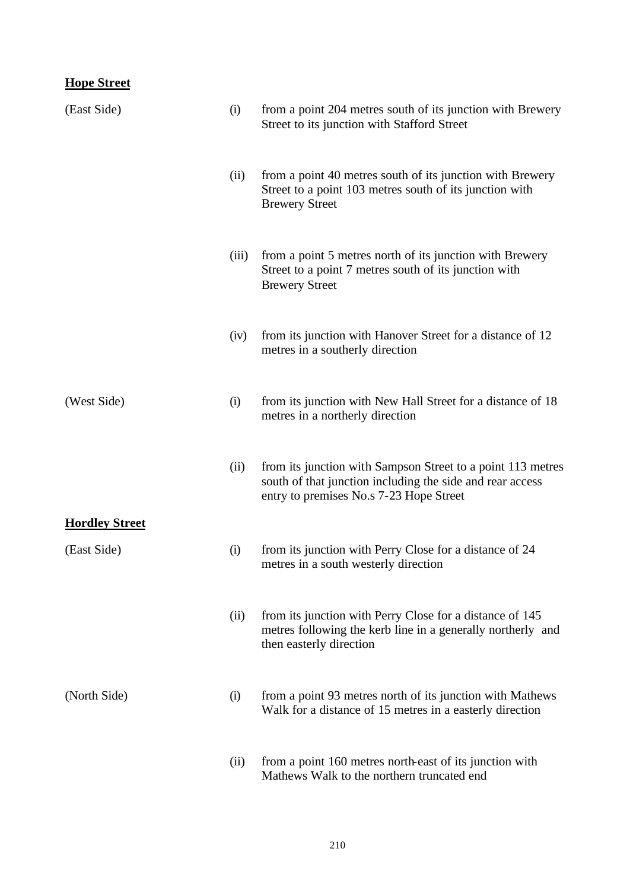### **Hope Street**

| (East Side)           | (i)   | from a point 204 metres south of its junction with Brewery<br>Street to its junction with Stafford Street                                                           |
|-----------------------|-------|---------------------------------------------------------------------------------------------------------------------------------------------------------------------|
|                       | (ii)  | from a point 40 metres south of its junction with Brewery<br>Street to a point 103 metres south of its junction with<br><b>Brewery Street</b>                       |
|                       | (iii) | from a point 5 metres north of its junction with Brewery<br>Street to a point 7 metres south of its junction with<br><b>Brewery Street</b>                          |
|                       | (iv)  | from its junction with Hanover Street for a distance of 12<br>metres in a southerly direction                                                                       |
| (West Side)           | (i)   | from its junction with New Hall Street for a distance of 18<br>metres in a northerly direction                                                                      |
|                       | (ii)  | from its junction with Sampson Street to a point 113 metres<br>south of that junction including the side and rear access<br>entry to premises No.s 7-23 Hope Street |
| <b>Hordley Street</b> |       |                                                                                                                                                                     |
| (East Side)           | (i)   | from its junction with Perry Close for a distance of 24<br>metres in a south westerly direction                                                                     |
|                       | (ii)  | from its junction with Perry Close for a distance of 145<br>metres following the kerb line in a generally northerly and<br>then easterly direction                  |
| (North Side)          | (i)   | from a point 93 metres north of its junction with Mathews<br>Walk for a distance of 15 metres in a easterly direction                                               |
|                       | (ii)  | from a point 160 metres north-east of its junction with<br>Mathews Walk to the northern truncated end                                                               |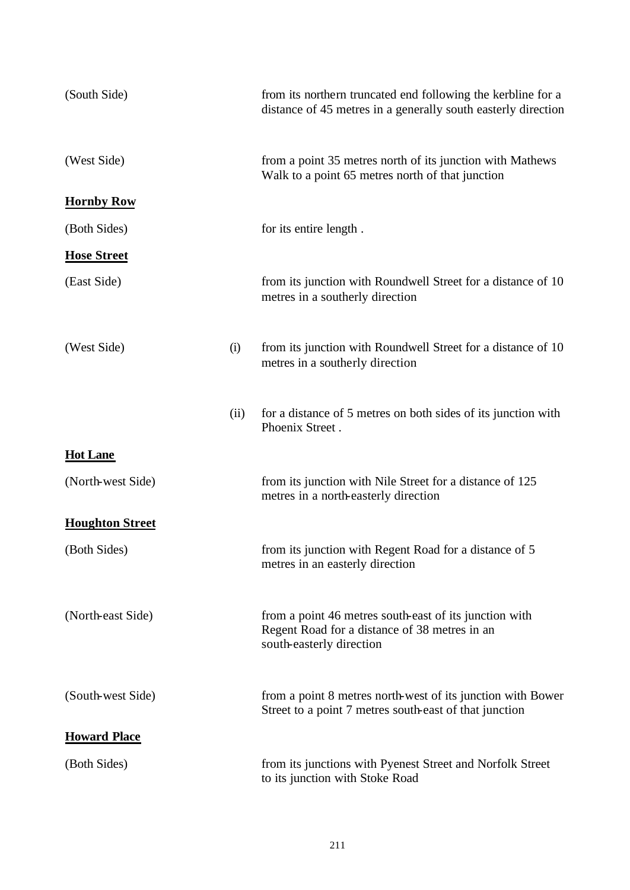| (South Side)           |      | from its northern truncated end following the kerbline for a<br>distance of 45 metres in a generally south easterly direction       |
|------------------------|------|-------------------------------------------------------------------------------------------------------------------------------------|
| (West Side)            |      | from a point 35 metres north of its junction with Mathews<br>Walk to a point 65 metres north of that junction                       |
| <b>Hornby Row</b>      |      |                                                                                                                                     |
| (Both Sides)           |      | for its entire length.                                                                                                              |
| <b>Hose Street</b>     |      |                                                                                                                                     |
| (East Side)            |      | from its junction with Roundwell Street for a distance of 10<br>metres in a southerly direction                                     |
| (West Side)            | (i)  | from its junction with Roundwell Street for a distance of 10<br>metres in a southerly direction                                     |
|                        | (ii) | for a distance of 5 metres on both sides of its junction with<br>Phoenix Street.                                                    |
| <b>Hot Lane</b>        |      |                                                                                                                                     |
| (North-west Side)      |      | from its junction with Nile Street for a distance of 125<br>metres in a north-easterly direction                                    |
| <b>Houghton Street</b> |      |                                                                                                                                     |
| (Both Sides)           |      | from its junction with Regent Road for a distance of 5<br>metres in an easterly direction                                           |
| (North-east Side)      |      | from a point 46 metres south-east of its junction with<br>Regent Road for a distance of 38 metres in an<br>south-easterly direction |
| (South-west Side)      |      | from a point 8 metres north-west of its junction with Bower<br>Street to a point 7 metres south-east of that junction               |
| <b>Howard Place</b>    |      |                                                                                                                                     |
| (Both Sides)           |      | from its junctions with Pyenest Street and Norfolk Street<br>to its junction with Stoke Road                                        |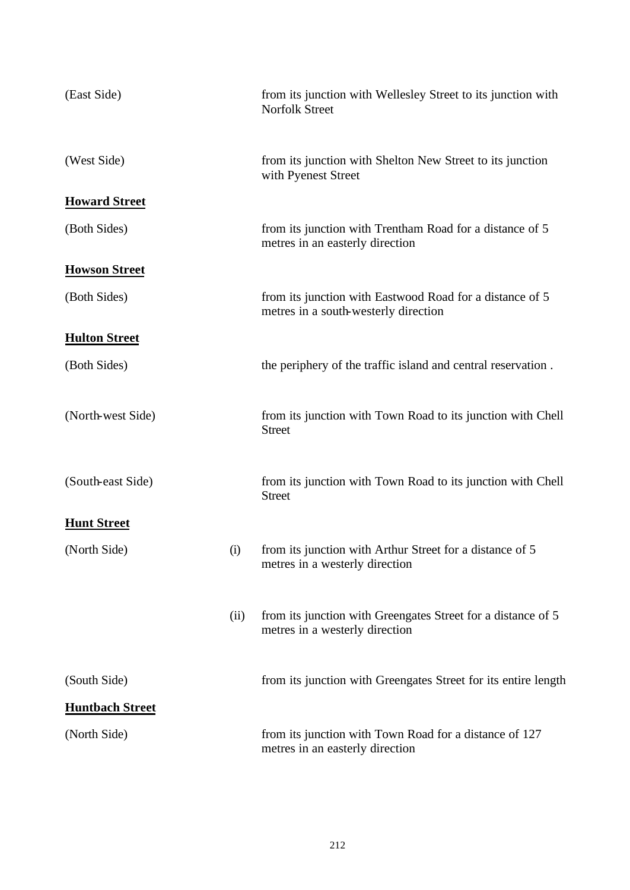| (East Side)            |      | from its junction with Wellesley Street to its junction with<br><b>Norfolk Street</b>            |
|------------------------|------|--------------------------------------------------------------------------------------------------|
| (West Side)            |      | from its junction with Shelton New Street to its junction<br>with Pyenest Street                 |
| <b>Howard Street</b>   |      |                                                                                                  |
| (Both Sides)           |      | from its junction with Trentham Road for a distance of 5<br>metres in an easterly direction      |
| <b>Howson Street</b>   |      |                                                                                                  |
| (Both Sides)           |      | from its junction with Eastwood Road for a distance of 5<br>metres in a south-westerly direction |
| <b>Hulton Street</b>   |      |                                                                                                  |
| (Both Sides)           |      | the periphery of the traffic island and central reservation.                                     |
| (North-west Side)      |      | from its junction with Town Road to its junction with Chell<br><b>Street</b>                     |
| (South-east Side)      |      | from its junction with Town Road to its junction with Chell<br><b>Street</b>                     |
| <b>Hunt Street</b>     |      |                                                                                                  |
| (North Side)           | (i)  | from its junction with Arthur Street for a distance of 5<br>metres in a westerly direction       |
|                        | (ii) | from its junction with Greengates Street for a distance of 5<br>metres in a westerly direction   |
| (South Side)           |      | from its junction with Greengates Street for its entire length                                   |
| <b>Huntbach Street</b> |      |                                                                                                  |
| (North Side)           |      | from its junction with Town Road for a distance of 127<br>metres in an easterly direction        |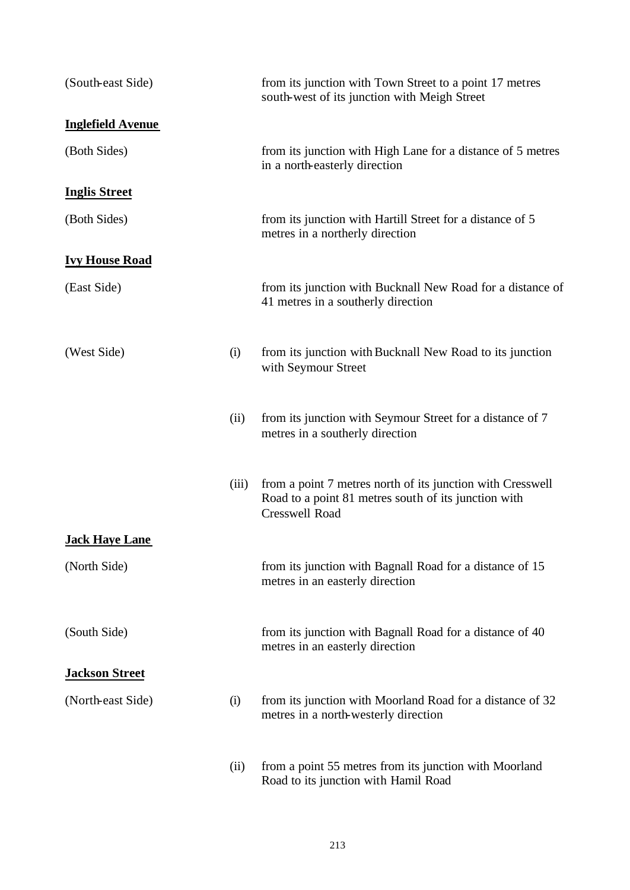| (South-east Side)        |       | from its junction with Town Street to a point 17 metres<br>south-west of its junction with Meigh Street                                     |
|--------------------------|-------|---------------------------------------------------------------------------------------------------------------------------------------------|
| <b>Inglefield Avenue</b> |       |                                                                                                                                             |
| (Both Sides)             |       | from its junction with High Lane for a distance of 5 metres<br>in a north-easterly direction                                                |
| <b>Inglis Street</b>     |       |                                                                                                                                             |
| (Both Sides)             |       | from its junction with Hartill Street for a distance of 5<br>metres in a northerly direction                                                |
| <b>Ivy House Road</b>    |       |                                                                                                                                             |
| (East Side)              |       | from its junction with Bucknall New Road for a distance of<br>41 metres in a southerly direction                                            |
| (West Side)              | (i)   | from its junction with Bucknall New Road to its junction<br>with Seymour Street                                                             |
|                          | (ii)  | from its junction with Seymour Street for a distance of 7<br>metres in a southerly direction                                                |
|                          | (iii) | from a point 7 metres north of its junction with Cresswell<br>Road to a point 81 metres south of its junction with<br><b>Cresswell Road</b> |
| <b>Jack Haye Lane</b>    |       |                                                                                                                                             |
| (North Side)             |       | from its junction with Bagnall Road for a distance of 15<br>metres in an easterly direction                                                 |
| (South Side)             |       | from its junction with Bagnall Road for a distance of 40<br>metres in an easterly direction                                                 |
| <b>Jackson Street</b>    |       |                                                                                                                                             |
| (North-east Side)        | (i)   | from its junction with Moorland Road for a distance of 32<br>metres in a north-westerly direction                                           |
|                          | (ii)  | from a point 55 metres from its junction with Moorland<br>Road to its junction with Hamil Road                                              |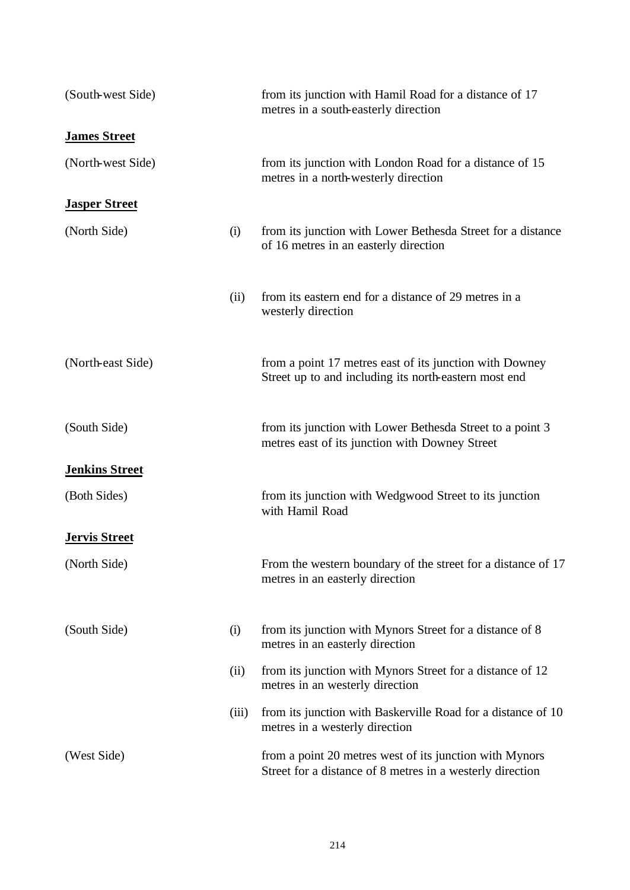| (South-west Side)     |       | from its junction with Hamil Road for a distance of 17<br>metres in a south-easterly direction                       |
|-----------------------|-------|----------------------------------------------------------------------------------------------------------------------|
| <b>James Street</b>   |       |                                                                                                                      |
| (North-west Side)     |       | from its junction with London Road for a distance of 15<br>metres in a north-westerly direction                      |
| <b>Jasper Street</b>  |       |                                                                                                                      |
| (North Side)          | (i)   | from its junction with Lower Bethesda Street for a distance<br>of 16 metres in an easterly direction                 |
|                       | (ii)  | from its eastern end for a distance of 29 metres in a<br>westerly direction                                          |
| (North-east Side)     |       | from a point 17 metres east of its junction with Downey<br>Street up to and including its north-eastern most end     |
| (South Side)          |       | from its junction with Lower Bethesda Street to a point 3<br>metres east of its junction with Downey Street          |
| <b>Jenkins Street</b> |       |                                                                                                                      |
| (Both Sides)          |       | from its junction with Wedgwood Street to its junction<br>with Hamil Road                                            |
| <b>Jervis Street</b>  |       |                                                                                                                      |
| (North Side)          |       | From the western boundary of the street for a distance of 17<br>metres in an easterly direction                      |
| (South Side)          | (i)   | from its junction with Mynors Street for a distance of 8<br>metres in an easterly direction                          |
|                       | (ii)  | from its junction with Mynors Street for a distance of 12<br>metres in an westerly direction                         |
|                       | (iii) | from its junction with Baskerville Road for a distance of 10<br>metres in a westerly direction                       |
| (West Side)           |       | from a point 20 metres west of its junction with Mynors<br>Street for a distance of 8 metres in a westerly direction |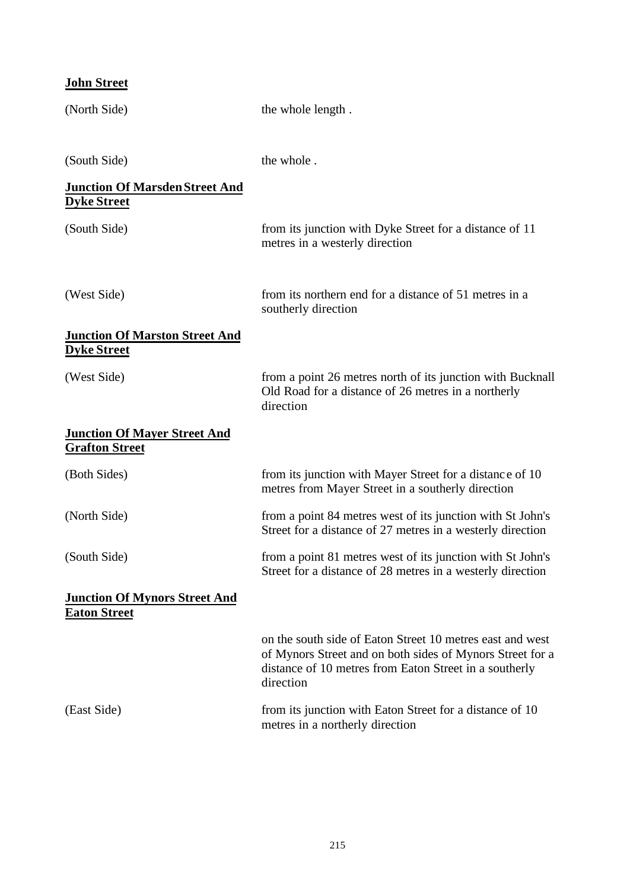| <b>John Street</b>                                           |                                                                                                                                                                                               |
|--------------------------------------------------------------|-----------------------------------------------------------------------------------------------------------------------------------------------------------------------------------------------|
| (North Side)                                                 | the whole length.                                                                                                                                                                             |
| (South Side)                                                 | the whole.                                                                                                                                                                                    |
| <b>Junction Of Marsden Street And</b><br><b>Dyke Street</b>  |                                                                                                                                                                                               |
| (South Side)                                                 | from its junction with Dyke Street for a distance of 11<br>metres in a westerly direction                                                                                                     |
| (West Side)                                                  | from its northern end for a distance of 51 metres in a<br>southerly direction                                                                                                                 |
| <b>Junction Of Marston Street And</b><br><b>Dyke Street</b>  |                                                                                                                                                                                               |
| (West Side)                                                  | from a point 26 metres north of its junction with Bucknall<br>Old Road for a distance of 26 metres in a northerly<br>direction                                                                |
| <b>Junction Of Mayer Street And</b><br><b>Grafton Street</b> |                                                                                                                                                                                               |
| (Both Sides)                                                 | from its junction with Mayer Street for a distance of 10<br>metres from Mayer Street in a southerly direction                                                                                 |
| (North Side)                                                 | from a point 84 metres west of its junction with St John's<br>Street for a distance of 27 metres in a westerly direction                                                                      |
| (South Side)                                                 | from a point 81 metres west of its junction with St John's<br>Street for a distance of 28 metres in a westerly direction                                                                      |
| <b>Junction Of Mynors Street And</b><br><u>Eaton Street</u>  |                                                                                                                                                                                               |
|                                                              | on the south side of Eaton Street 10 metres east and west<br>of Mynors Street and on both sides of Mynors Street for a<br>distance of 10 metres from Eaton Street in a southerly<br>direction |
| (East Side)                                                  | from its junction with Eaton Street for a distance of 10<br>metres in a northerly direction                                                                                                   |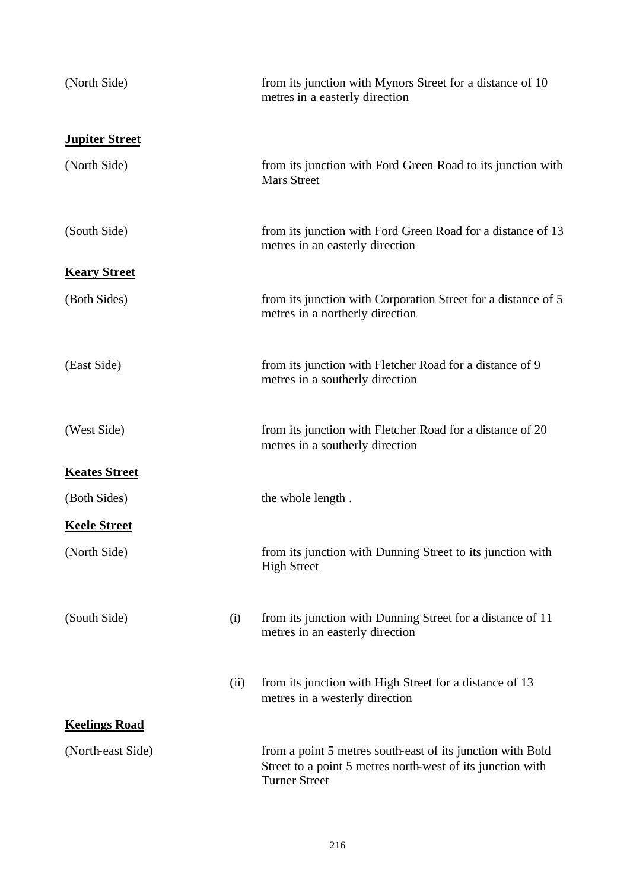| (North Side)          |      | from its junction with Mynors Street for a distance of 10<br>metres in a easterly direction                                                      |
|-----------------------|------|--------------------------------------------------------------------------------------------------------------------------------------------------|
| <b>Jupiter Street</b> |      |                                                                                                                                                  |
| (North Side)          |      | from its junction with Ford Green Road to its junction with<br><b>Mars Street</b>                                                                |
| (South Side)          |      | from its junction with Ford Green Road for a distance of 13<br>metres in an easterly direction                                                   |
| <b>Keary Street</b>   |      |                                                                                                                                                  |
| (Both Sides)          |      | from its junction with Corporation Street for a distance of 5<br>metres in a northerly direction                                                 |
| (East Side)           |      | from its junction with Fletcher Road for a distance of 9<br>metres in a southerly direction                                                      |
| (West Side)           |      | from its junction with Fletcher Road for a distance of 20<br>metres in a southerly direction                                                     |
| <b>Keates Street</b>  |      |                                                                                                                                                  |
| (Both Sides)          |      | the whole length.                                                                                                                                |
| <b>Keele Street</b>   |      |                                                                                                                                                  |
| (North Side)          |      | from its junction with Dunning Street to its junction with<br><b>High Street</b>                                                                 |
| (South Side)          | (i)  | from its junction with Dunning Street for a distance of 11<br>metres in an easterly direction                                                    |
|                       | (ii) | from its junction with High Street for a distance of 13<br>metres in a westerly direction                                                        |
| <b>Keelings Road</b>  |      |                                                                                                                                                  |
| (North-east Side)     |      | from a point 5 metres south-east of its junction with Bold<br>Street to a point 5 metres north-west of its junction with<br><b>Turner Street</b> |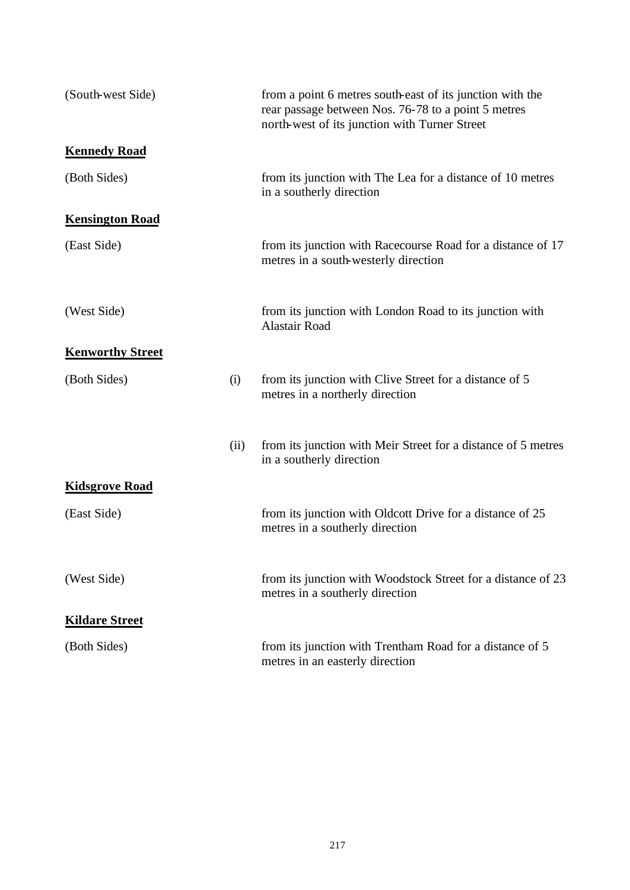| (South-west Side)       |      | from a point 6 metres south-east of its junction with the<br>rear passage between Nos. 76-78 to a point 5 metres<br>north-west of its junction with Turner Street |
|-------------------------|------|-------------------------------------------------------------------------------------------------------------------------------------------------------------------|
| <b>Kennedy Road</b>     |      |                                                                                                                                                                   |
| (Both Sides)            |      | from its junction with The Lea for a distance of 10 metres<br>in a southerly direction                                                                            |
| <b>Kensington Road</b>  |      |                                                                                                                                                                   |
| (East Side)             |      | from its junction with Racecourse Road for a distance of 17<br>metres in a south-westerly direction                                                               |
| (West Side)             |      | from its junction with London Road to its junction with<br><b>Alastair Road</b>                                                                                   |
| <b>Kenworthy Street</b> |      |                                                                                                                                                                   |
| (Both Sides)            | (i)  | from its junction with Clive Street for a distance of 5<br>metres in a northerly direction                                                                        |
|                         | (ii) | from its junction with Meir Street for a distance of 5 metres<br>in a southerly direction                                                                         |
| <b>Kidsgrove Road</b>   |      |                                                                                                                                                                   |
| (East Side)             |      | from its junction with Oldcott Drive for a distance of 25<br>metres in a southerly direction                                                                      |
| (West Side)             |      | from its junction with Woodstock Street for a distance of 23<br>metres in a southerly direction                                                                   |
| <b>Kildare Street</b>   |      |                                                                                                                                                                   |
| (Both Sides)            |      | from its junction with Trentham Road for a distance of 5<br>metres in an easterly direction                                                                       |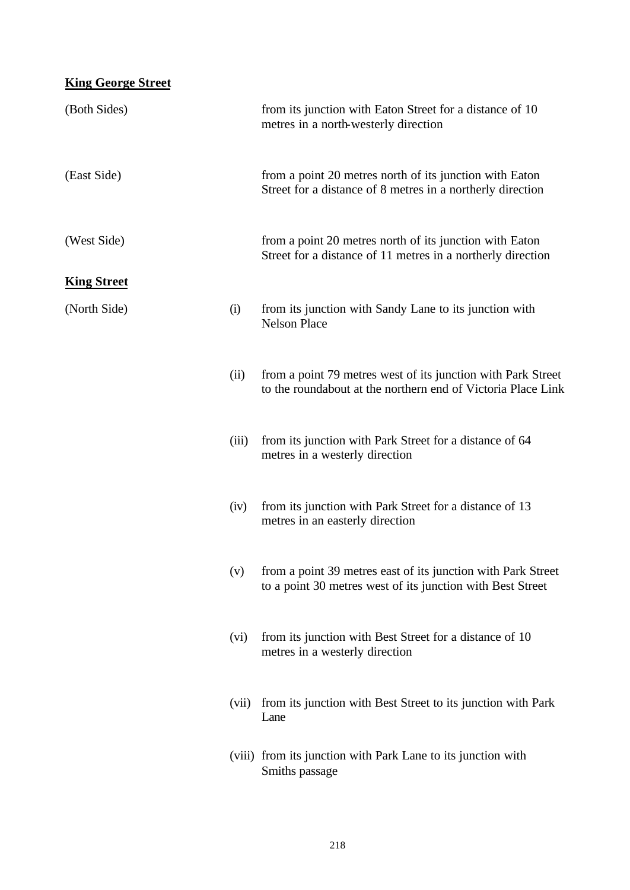| <b>King George Street</b> |       |                                                                                                                              |
|---------------------------|-------|------------------------------------------------------------------------------------------------------------------------------|
| (Both Sides)              |       | from its junction with Eaton Street for a distance of 10<br>metres in a north-westerly direction                             |
| (East Side)               |       | from a point 20 metres north of its junction with Eaton<br>Street for a distance of 8 metres in a northerly direction        |
| (West Side)               |       | from a point 20 metres north of its junction with Eaton<br>Street for a distance of 11 metres in a northerly direction       |
| <b>King Street</b>        |       |                                                                                                                              |
| (North Side)              | (i)   | from its junction with Sandy Lane to its junction with<br><b>Nelson Place</b>                                                |
|                           | (ii)  | from a point 79 metres west of its junction with Park Street<br>to the roundabout at the northern end of Victoria Place Link |
|                           | (iii) | from its junction with Park Street for a distance of 64<br>metres in a westerly direction                                    |
|                           | (iv)  | from its junction with Park Street for a distance of 13<br>metres in an easterly direction                                   |
|                           | (v)   | from a point 39 metres east of its junction with Park Street<br>to a point 30 metres west of its junction with Best Street   |
|                           | (vi)  | from its junction with Best Street for a distance of 10<br>metres in a westerly direction                                    |
|                           | (vii) | from its junction with Best Street to its junction with Park<br>Lane                                                         |
|                           |       | (viii) from its junction with Park Lane to its junction with<br>Smiths passage                                               |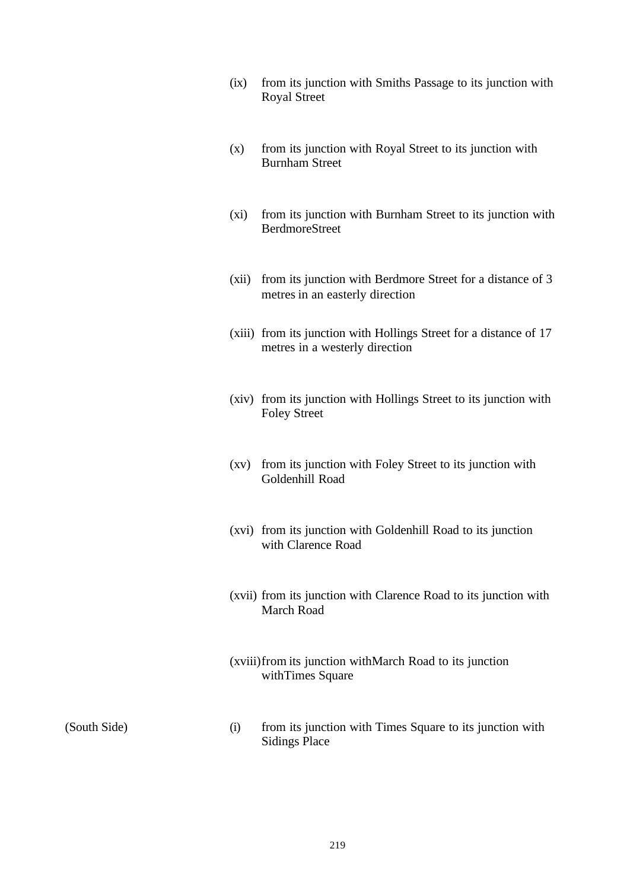- (ix) from its junction with Smiths Passage to its junction with Royal Street
- (x) from its junction with Royal Street to its junction with Burnham Street
- (xi) from its junction with Burnham Street to its junction with BerdmoreStreet
- (xii) from its junction with Berdmore Street for a distance of 3 metres in an easterly direction
- (xiii) from its junction with Hollings Street for a distance of 17 metres in a westerly direction
- (xiv) from its junction with Hollings Street to its junction with Foley Street
- (xv) from its junction with Foley Street to its junction with Goldenhill Road
- (xvi) from its junction with Goldenhill Road to its junction with Clarence Road
- (xvii) from its junction with Clarence Road to its junction with March Road
- (xviii)from its junction withMarch Road to its junction withTimes Square

(South Side) (i) from its junction with Times Square to its junction with Sidings Place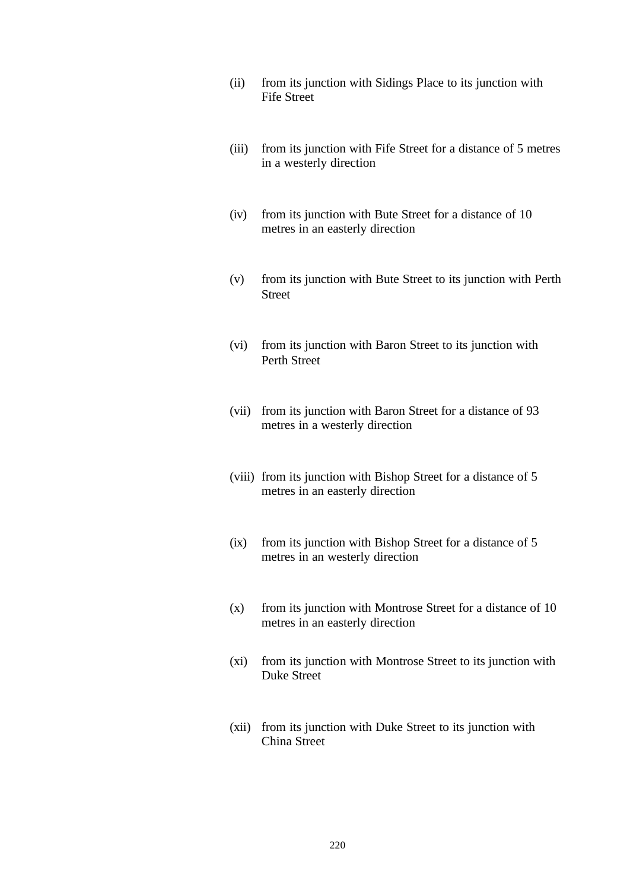- (ii) from its junction with Sidings Place to its junction with Fife Street
- (iii) from its junction with Fife Street for a distance of 5 metres in a westerly direction
- (iv) from its junction with Bute Street for a distance of 10 metres in an easterly direction
- (v) from its junction with Bute Street to its junction with Perth Street
- (vi) from its junction with Baron Street to its junction with Perth Street
- (vii) from its junction with Baron Street for a distance of 93 metres in a westerly direction
- (viii) from its junction with Bishop Street for a distance of 5 metres in an easterly direction
- (ix) from its junction with Bishop Street for a distance of 5 metres in an westerly direction
- (x) from its junction with Montrose Street for a distance of 10 metres in an easterly direction
- (xi) from its junction with Montrose Street to its junction with Duke Street
- (xii) from its junction with Duke Street to its junction with China Street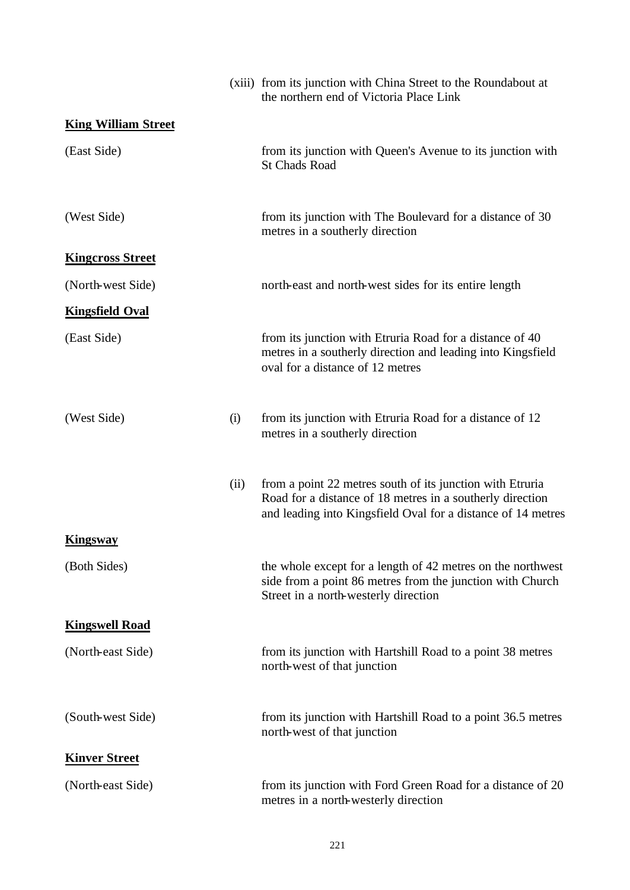|                            |      | (xiii) from its junction with China Street to the Roundabout at<br>the northern end of Victoria Place Link                                                                             |
|----------------------------|------|----------------------------------------------------------------------------------------------------------------------------------------------------------------------------------------|
| <b>King William Street</b> |      |                                                                                                                                                                                        |
| (East Side)                |      | from its junction with Queen's Avenue to its junction with<br><b>St Chads Road</b>                                                                                                     |
| (West Side)                |      | from its junction with The Boulevard for a distance of 30<br>metres in a southerly direction                                                                                           |
| <b>Kingcross Street</b>    |      |                                                                                                                                                                                        |
| (North-west Side)          |      | north-east and north-west sides for its entire length                                                                                                                                  |
| <b>Kingsfield Oval</b>     |      |                                                                                                                                                                                        |
| (East Side)                |      | from its junction with Etruria Road for a distance of 40<br>metres in a southerly direction and leading into Kingsfield<br>oval for a distance of 12 metres                            |
| (West Side)                | (i)  | from its junction with Etruria Road for a distance of 12<br>metres in a southerly direction                                                                                            |
|                            | (ii) | from a point 22 metres south of its junction with Etruria<br>Road for a distance of 18 metres in a southerly direction<br>and leading into Kingsfield Oval for a distance of 14 metres |
| <u>Kingsway</u>            |      |                                                                                                                                                                                        |
| (Both Sides)               |      | the whole except for a length of 42 metres on the northwest<br>side from a point 86 metres from the junction with Church<br>Street in a north-westerly direction                       |
| <b>Kingswell Road</b>      |      |                                                                                                                                                                                        |
| (North-east Side)          |      | from its junction with Hartshill Road to a point 38 metres<br>north-west of that junction                                                                                              |
| (South-west Side)          |      | from its junction with Hartshill Road to a point 36.5 metres<br>north-west of that junction                                                                                            |
| <b>Kinver Street</b>       |      |                                                                                                                                                                                        |
| (North-east Side)          |      | from its junction with Ford Green Road for a distance of 20<br>metres in a north-westerly direction                                                                                    |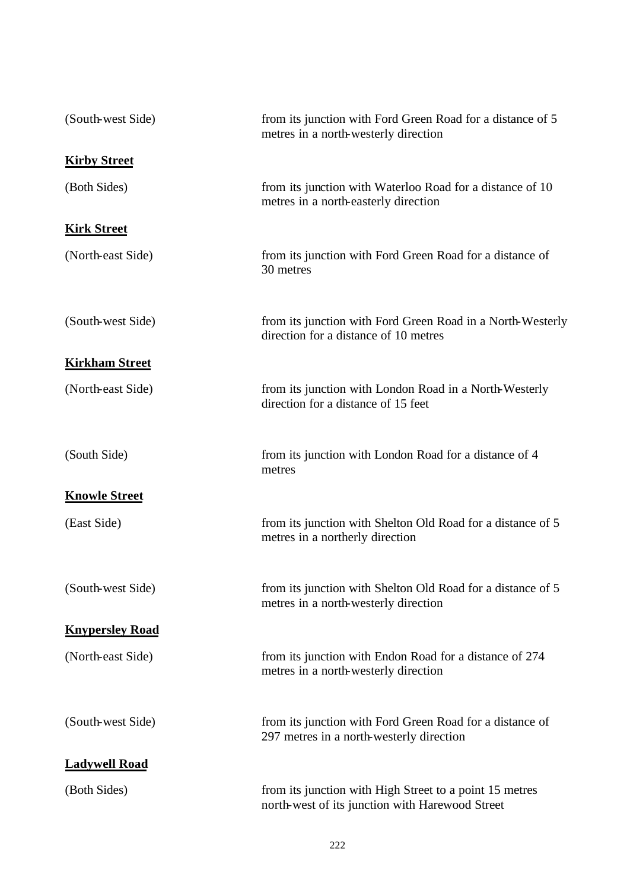| (South-west Side)      | from its junction with Ford Green Road for a distance of 5<br>metres in a north-westerly direction         |
|------------------------|------------------------------------------------------------------------------------------------------------|
| <b>Kirby Street</b>    |                                                                                                            |
| (Both Sides)           | from its junction with Waterloo Road for a distance of 10<br>metres in a north-easterly direction          |
| <b>Kirk Street</b>     |                                                                                                            |
| (North-east Side)      | from its junction with Ford Green Road for a distance of<br>30 metres                                      |
| (South-west Side)      | from its junction with Ford Green Road in a North-Westerly<br>direction for a distance of 10 metres        |
| <b>Kirkham Street</b>  |                                                                                                            |
| (North-east Side)      | from its junction with London Road in a North-Westerly<br>direction for a distance of 15 feet              |
| (South Side)           | from its junction with London Road for a distance of 4<br>metres                                           |
| <b>Knowle Street</b>   |                                                                                                            |
| (East Side)            | from its junction with Shelton Old Road for a distance of 5<br>metres in a northerly direction             |
| (South-west Side)      | from its junction with Shelton Old Road for a distance of 5<br>metres in a north-westerly direction        |
| <b>Knypersley Road</b> |                                                                                                            |
| (North-east Side)      | from its junction with Endon Road for a distance of 274<br>metres in a north-westerly direction            |
| (South-west Side)      | from its junction with Ford Green Road for a distance of<br>297 metres in a north-westerly direction       |
| <b>Ladywell Road</b>   |                                                                                                            |
| (Both Sides)           | from its junction with High Street to a point 15 metres<br>north-west of its junction with Harewood Street |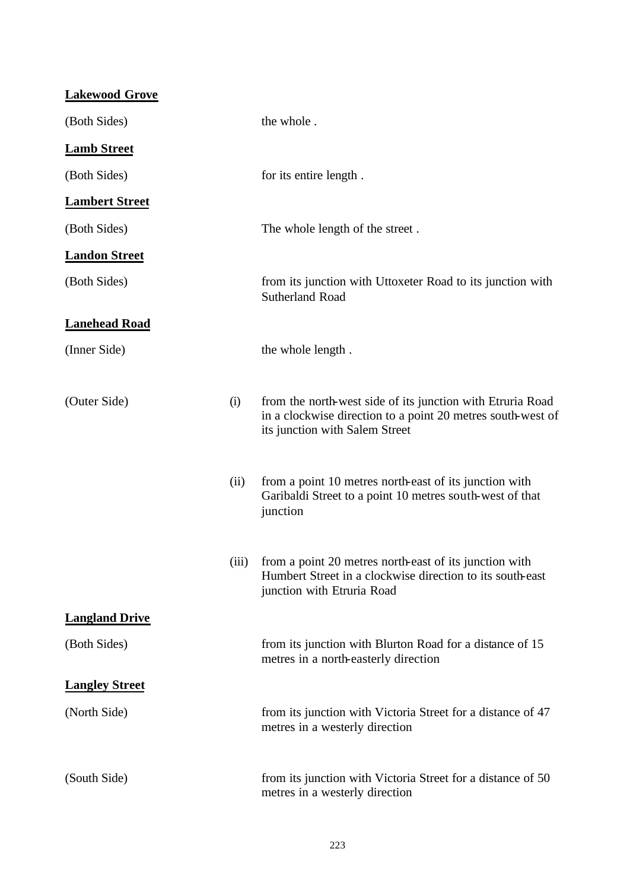| <b>Lakewood Grove</b> |      |                                                                                                                                                             |
|-----------------------|------|-------------------------------------------------------------------------------------------------------------------------------------------------------------|
| (Both Sides)          |      | the whole.                                                                                                                                                  |
| <b>Lamb Street</b>    |      |                                                                                                                                                             |
| (Both Sides)          |      | for its entire length.                                                                                                                                      |
| <b>Lambert Street</b> |      |                                                                                                                                                             |
| (Both Sides)          |      | The whole length of the street.                                                                                                                             |
| <b>Landon Street</b>  |      |                                                                                                                                                             |
| (Both Sides)          |      | from its junction with Uttoxeter Road to its junction with<br><b>Sutherland Road</b>                                                                        |
| <b>Lanehead Road</b>  |      |                                                                                                                                                             |
| (Inner Side)          |      | the whole length.                                                                                                                                           |
| (Outer Side)          | (i)  | from the north-west side of its junction with Etruria Road<br>in a clockwise direction to a point 20 metres south-west of<br>its junction with Salem Street |
|                       | (ii) | from a point 10 metres north-east of its junction with<br>Garibaldi Street to a point 10 metres south-west of that<br>junction                              |
|                       |      | (iii) from a point 20 metres north-east of its junction with<br>Humbert Street in a clockwise direction to its south-east<br>junction with Etruria Road     |
| <b>Langland Drive</b> |      |                                                                                                                                                             |
| (Both Sides)          |      | from its junction with Blurton Road for a distance of 15<br>metres in a north-easterly direction                                                            |
| <b>Langley Street</b> |      |                                                                                                                                                             |
| (North Side)          |      | from its junction with Victoria Street for a distance of 47<br>metres in a westerly direction                                                               |
| (South Side)          |      | from its junction with Victoria Street for a distance of 50<br>metres in a westerly direction                                                               |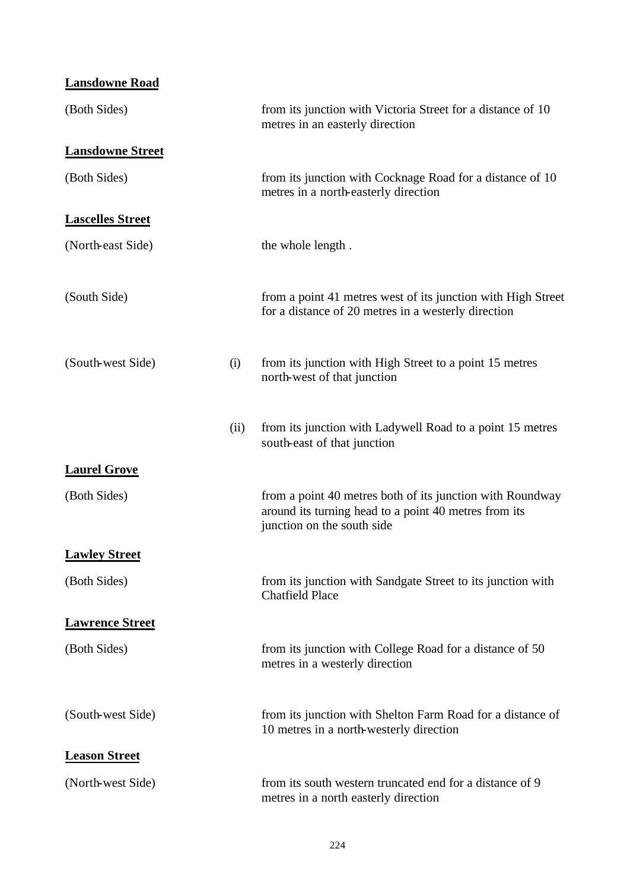| <b>Lansdowne Road</b>   |      |                                                                                                                                                  |
|-------------------------|------|--------------------------------------------------------------------------------------------------------------------------------------------------|
| (Both Sides)            |      | from its junction with Victoria Street for a distance of 10<br>metres in an easterly direction                                                   |
| <b>Lansdowne Street</b> |      |                                                                                                                                                  |
| (Both Sides)            |      | from its junction with Cocknage Road for a distance of 10<br>metres in a north-easterly direction                                                |
| <b>Lascelles Street</b> |      |                                                                                                                                                  |
| (North-east Side)       |      | the whole length.                                                                                                                                |
| (South Side)            |      | from a point 41 metres west of its junction with High Street<br>for a distance of 20 metres in a westerly direction                              |
| (South-west Side)       | (i)  | from its junction with High Street to a point 15 metres<br>north-west of that junction                                                           |
|                         | (ii) | from its junction with Ladywell Road to a point 15 metres<br>south-east of that junction                                                         |
| <b>Laurel Grove</b>     |      |                                                                                                                                                  |
| (Both Sides)            |      | from a point 40 metres both of its junction with Roundway<br>around its turning head to a point 40 metres from its<br>junction on the south side |
| <b>Lawley Street</b>    |      |                                                                                                                                                  |
| (Both Sides)            |      | from its junction with Sandgate Street to its junction with<br><b>Chatfield Place</b>                                                            |
| <b>Lawrence Street</b>  |      |                                                                                                                                                  |
| (Both Sides)            |      | from its junction with College Road for a distance of 50<br>metres in a westerly direction                                                       |
| (South-west Side)       |      | from its junction with Shelton Farm Road for a distance of<br>10 metres in a north-westerly direction                                            |
| <b>Leason Street</b>    |      |                                                                                                                                                  |
| (North-west Side)       |      | from its south western truncated end for a distance of 9<br>metres in a north easterly direction                                                 |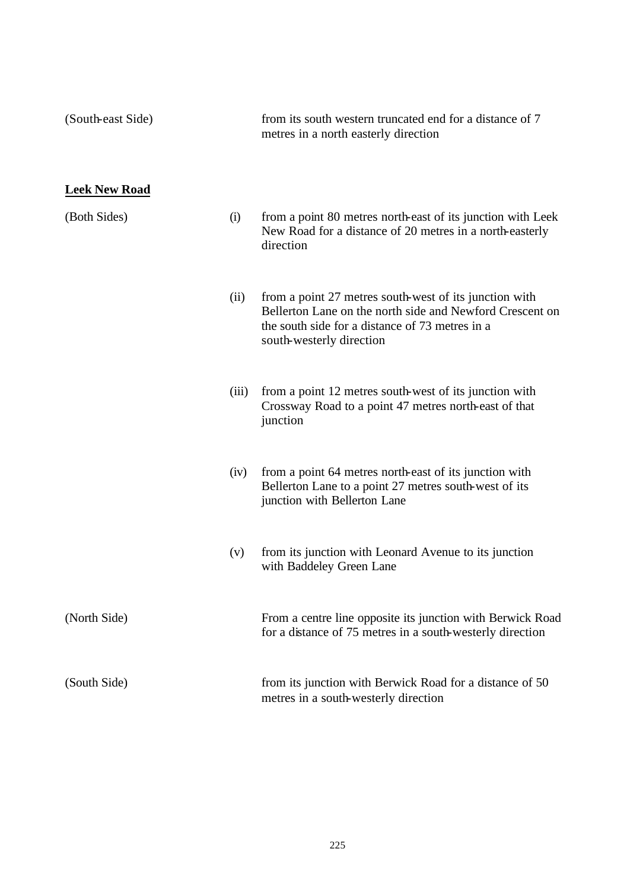| (South-east Side)    |       | from its south western truncated end for a distance of 7<br>metres in a north easterly direction                                                                                                  |
|----------------------|-------|---------------------------------------------------------------------------------------------------------------------------------------------------------------------------------------------------|
| <b>Leek New Road</b> |       |                                                                                                                                                                                                   |
| (Both Sides)         | (i)   | from a point 80 metres north-east of its junction with Leek<br>New Road for a distance of 20 metres in a north-easterly<br>direction                                                              |
|                      | (ii)  | from a point 27 metres south-west of its junction with<br>Bellerton Lane on the north side and Newford Crescent on<br>the south side for a distance of 73 metres in a<br>south-westerly direction |
|                      | (iii) | from a point 12 metres south-west of its junction with<br>Crossway Road to a point 47 metres north-east of that<br>junction                                                                       |
|                      | (iv)  | from a point 64 metres north-east of its junction with<br>Bellerton Lane to a point 27 metres south-west of its<br>junction with Bellerton Lane                                                   |
|                      | (v)   | from its junction with Leonard Avenue to its junction<br>with Baddeley Green Lane                                                                                                                 |
| (North Side)         |       | From a centre line opposite its junction with Berwick Road<br>for a distance of 75 metres in a south-westerly direction                                                                           |
| (South Side)         |       | from its junction with Berwick Road for a distance of 50<br>metres in a south-westerly direction                                                                                                  |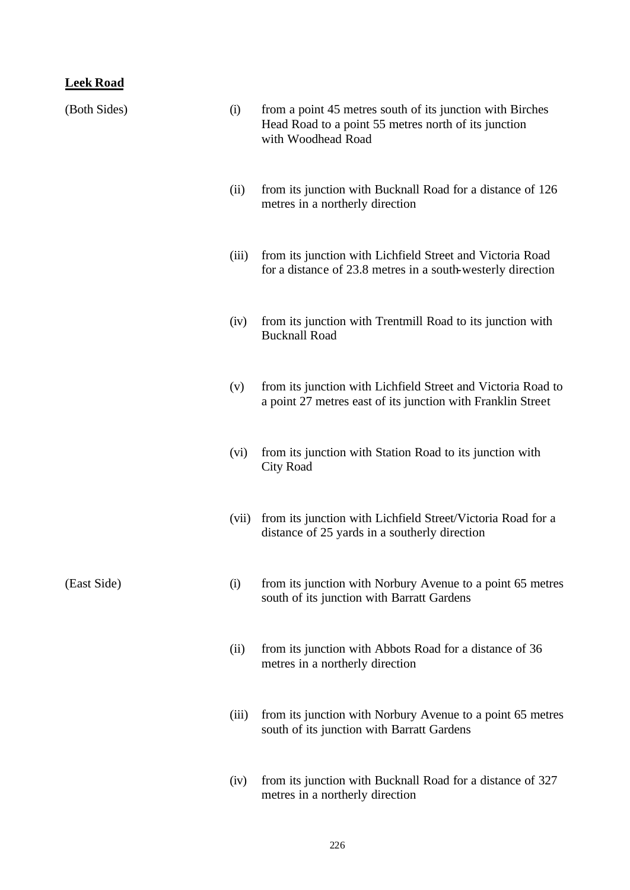### **Leek Road**

| (Both Sides) | (i)   | from a point 45 metres south of its junction with Birches<br>Head Road to a point 55 metres north of its junction<br>with Woodhead Road |
|--------------|-------|-----------------------------------------------------------------------------------------------------------------------------------------|
|              | (ii)  | from its junction with Bucknall Road for a distance of 126<br>metres in a northerly direction                                           |
|              | (iii) | from its junction with Lichfield Street and Victoria Road<br>for a distance of 23.8 metres in a south-westerly direction                |
|              | (iv)  | from its junction with Trentmill Road to its junction with<br><b>Bucknall Road</b>                                                      |
|              | (v)   | from its junction with Lichfield Street and Victoria Road to<br>a point 27 metres east of its junction with Franklin Street             |
|              | (vi)  | from its junction with Station Road to its junction with<br><b>City Road</b>                                                            |
|              | (vii) | from its junction with Lichfield Street/Victoria Road for a<br>distance of 25 yards in a southerly direction                            |
| (East Side)  | (i)   | from its junction with Norbury Avenue to a point 65 metres<br>south of its junction with Barratt Gardens                                |
|              | (ii)  | from its junction with Abbots Road for a distance of 36<br>metres in a northerly direction                                              |
|              | (iii) | from its junction with Norbury Avenue to a point 65 metres<br>south of its junction with Barratt Gardens                                |
|              | (iv)  | from its junction with Bucknall Road for a distance of 327<br>metres in a northerly direction                                           |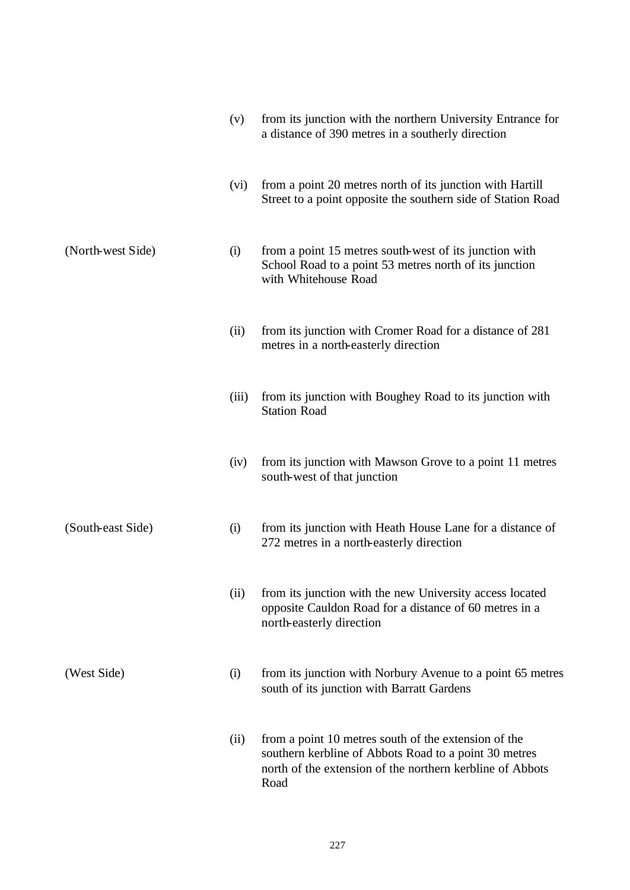|                   | (v)   | from its junction with the northern University Entrance for<br>a distance of 390 metres in a southerly direction                                                                   |
|-------------------|-------|------------------------------------------------------------------------------------------------------------------------------------------------------------------------------------|
|                   | (vi)  | from a point 20 metres north of its junction with Hartill<br>Street to a point opposite the southern side of Station Road                                                          |
| (North-west Side) | (i)   | from a point 15 metres south-west of its junction with<br>School Road to a point 53 metres north of its junction<br>with Whitehouse Road                                           |
|                   | (ii)  | from its junction with Cromer Road for a distance of 281<br>metres in a north-easterly direction                                                                                   |
|                   | (iii) | from its junction with Boughey Road to its junction with<br><b>Station Road</b>                                                                                                    |
|                   | (iv)  | from its junction with Mawson Grove to a point 11 metres<br>south-west of that junction                                                                                            |
| (South-east Side) | (i)   | from its junction with Heath House Lane for a distance of<br>272 metres in a north-easterly direction                                                                              |
|                   | (ii)  | from its junction with the new University access located<br>opposite Cauldon Road for a distance of 60 metres in a<br>north-easterly direction                                     |
| (West Side)       | (i)   | from its junction with Norbury Avenue to a point 65 metres<br>south of its junction with Barratt Gardens                                                                           |
|                   | (ii)  | from a point 10 metres south of the extension of the<br>southern kerbline of Abbots Road to a point 30 metres<br>north of the extension of the northern kerbline of Abbots<br>Road |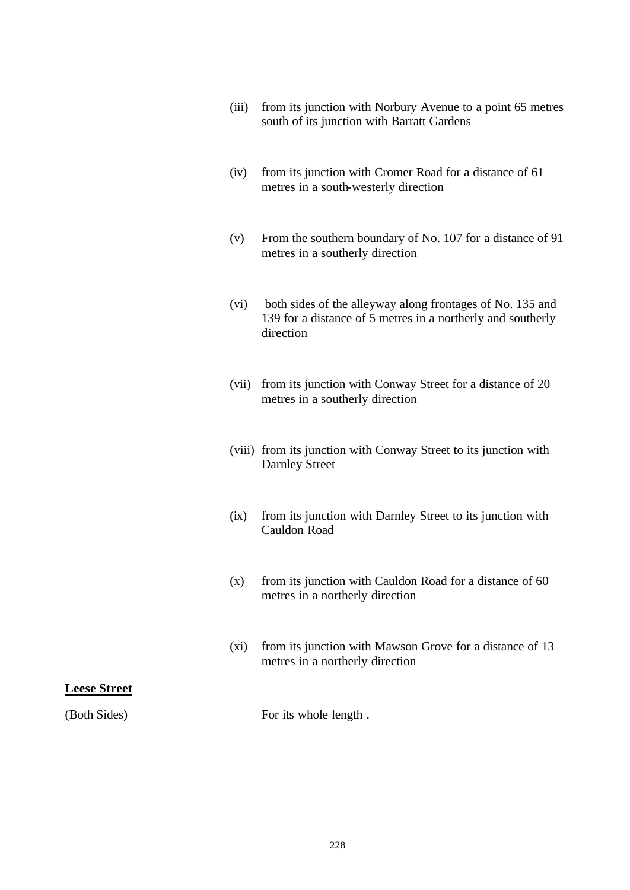- (iii) from its junction with Norbury Avenue to a point 65 metres south of its junction with Barratt Gardens
- (iv) from its junction with Cromer Road for a distance of 61 metres in a south-westerly direction
- (v) From the southern boundary of No. 107 for a distance of 91 metres in a southerly direction
- (vi) both sides of the alleyway along frontages of No. 135 and 139 for a distance of 5 metres in a northerly and southerly direction
- (vii) from its junction with Conway Street for a distance of 20 metres in a southerly direction
- (viii) from its junction with Conway Street to its junction with Darnley Street
- (ix) from its junction with Darnley Street to its junction with Cauldon Road
- (x) from its junction with Cauldon Road for a distance of 60 metres in a northerly direction
- (xi) from its junction with Mawson Grove for a distance of 13 metres in a northerly direction

#### **Leese Street**

(Both Sides) For its whole length.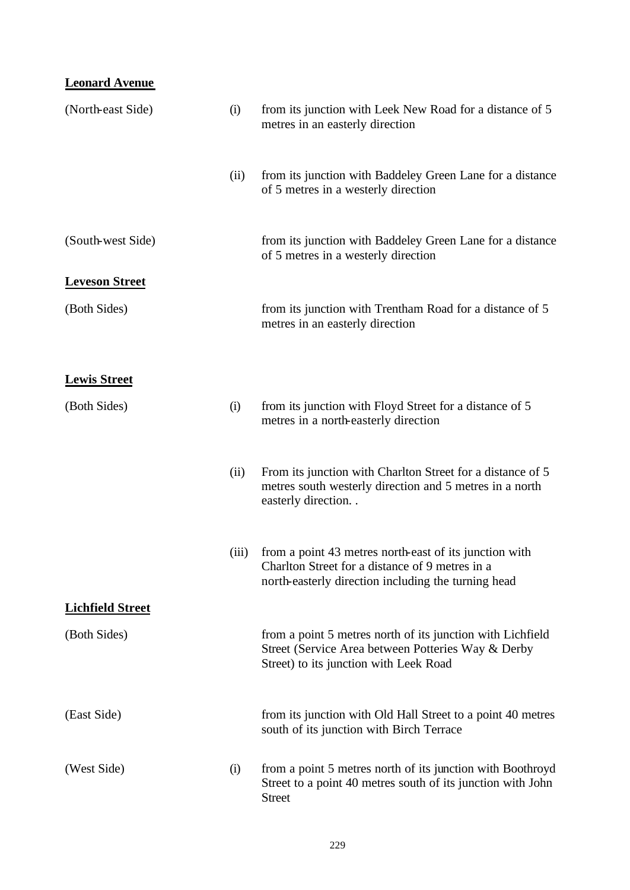# **Leonard Avenue**

| (North-east Side)       | (i)   | from its junction with Leek New Road for a distance of 5<br>metres in an easterly direction                                                                      |
|-------------------------|-------|------------------------------------------------------------------------------------------------------------------------------------------------------------------|
|                         | (ii)  | from its junction with Baddeley Green Lane for a distance<br>of 5 metres in a westerly direction                                                                 |
| (South-west Side)       |       | from its junction with Baddeley Green Lane for a distance<br>of 5 metres in a westerly direction                                                                 |
| <b>Leveson Street</b>   |       |                                                                                                                                                                  |
| (Both Sides)            |       | from its junction with Trentham Road for a distance of 5<br>metres in an easterly direction                                                                      |
| <b>Lewis Street</b>     |       |                                                                                                                                                                  |
| (Both Sides)            | (i)   | from its junction with Floyd Street for a distance of 5<br>metres in a north-easterly direction                                                                  |
|                         | (ii)  | From its junction with Charlton Street for a distance of 5<br>metres south westerly direction and 5 metres in a north<br>easterly direction                      |
|                         | (iii) | from a point 43 metres north-east of its junction with<br>Charlton Street for a distance of 9 metres in a<br>north-easterly direction including the turning head |
| <b>Lichfield Street</b> |       |                                                                                                                                                                  |
| (Both Sides)            |       | from a point 5 metres north of its junction with Lichfield<br>Street (Service Area between Potteries Way & Derby<br>Street) to its junction with Leek Road       |
| (East Side)             |       | from its junction with Old Hall Street to a point 40 metres<br>south of its junction with Birch Terrace                                                          |
| (West Side)             | (i)   | from a point 5 metres north of its junction with Boothroyd<br>Street to a point 40 metres south of its junction with John<br><b>Street</b>                       |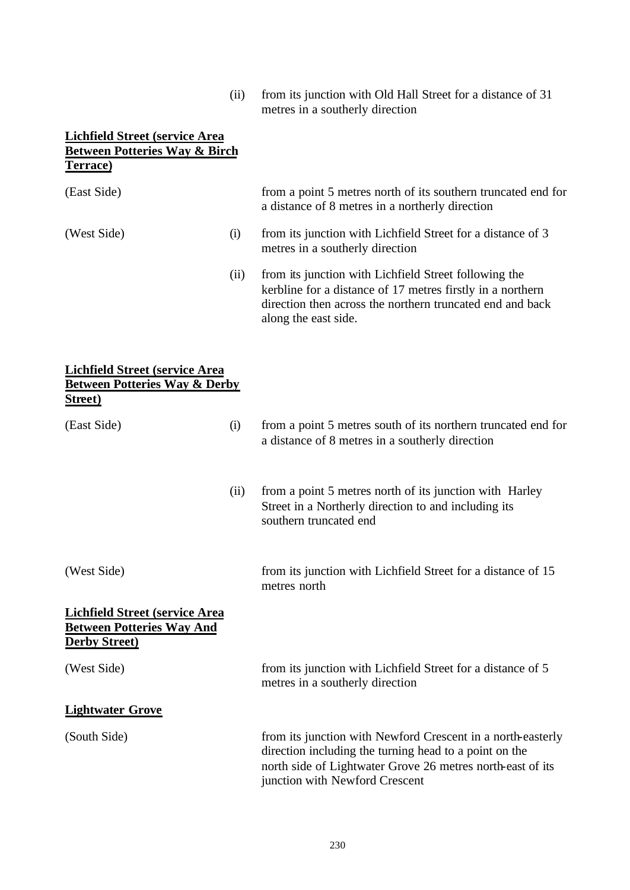(ii) from its junction with Old Hall Street for a distance of 31 metres in a southerly direction

#### **Lichfield Street (service Area Between Potteries Way & Birch Terrace)**

| (East Side)                                                                                          |      | from a point 5 metres north of its southern truncated end for<br>a distance of 8 metres in a northerly direction                                                                                                      |
|------------------------------------------------------------------------------------------------------|------|-----------------------------------------------------------------------------------------------------------------------------------------------------------------------------------------------------------------------|
| (West Side)                                                                                          | (i)  | from its junction with Lichfield Street for a distance of 3<br>metres in a southerly direction                                                                                                                        |
|                                                                                                      | (ii) | from its junction with Lichfield Street following the<br>kerbline for a distance of 17 metres firstly in a northern<br>direction then across the northern truncated end and back<br>along the east side.              |
| <b>Lichfield Street (service Area</b><br><b>Between Potteries Way &amp; Derby</b><br><b>Street</b> ) |      |                                                                                                                                                                                                                       |
| (East Side)                                                                                          | (i)  | from a point 5 metres south of its northern truncated end for<br>a distance of 8 metres in a southerly direction                                                                                                      |
|                                                                                                      | (ii) | from a point 5 metres north of its junction with Harley<br>Street in a Northerly direction to and including its<br>southern truncated end                                                                             |
| (West Side)                                                                                          |      | from its junction with Lichfield Street for a distance of 15<br>metres north                                                                                                                                          |
| <b>Lichfield Street (service Area</b><br><b>Between Potteries Way And</b><br><b>Derby Street)</b>    |      |                                                                                                                                                                                                                       |
| (West Side)                                                                                          |      | from its junction with Lichfield Street for a distance of 5<br>metres in a southerly direction                                                                                                                        |
| <b>Lightwater Grove</b>                                                                              |      |                                                                                                                                                                                                                       |
| (South Side)                                                                                         |      | from its junction with Newford Crescent in a north-easterly<br>direction including the turning head to a point on the<br>north side of Lightwater Grove 26 metres north-east of its<br>junction with Newford Crescent |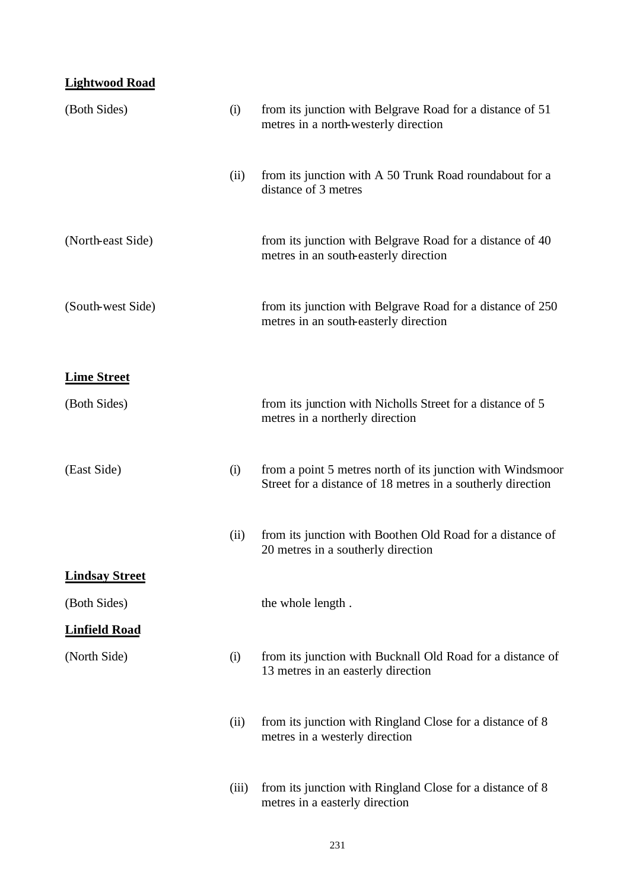# **Lightwood Road**

| (Both Sides)          | (i)   | from its junction with Belgrave Road for a distance of 51<br>metres in a north-westerly direction                         |
|-----------------------|-------|---------------------------------------------------------------------------------------------------------------------------|
|                       | (ii)  | from its junction with A 50 Trunk Road roundabout for a<br>distance of 3 metres                                           |
| (North-east Side)     |       | from its junction with Belgrave Road for a distance of 40<br>metres in an south-easterly direction                        |
| (South-west Side)     |       | from its junction with Belgrave Road for a distance of 250<br>metres in an south-easterly direction                       |
| <b>Lime Street</b>    |       |                                                                                                                           |
| (Both Sides)          |       | from its junction with Nicholls Street for a distance of 5<br>metres in a northerly direction                             |
| (East Side)           | (i)   | from a point 5 metres north of its junction with Windsmoor<br>Street for a distance of 18 metres in a southerly direction |
|                       | (ii)  | from its junction with Boothen Old Road for a distance of<br>20 metres in a southerly direction                           |
| <b>Lindsay Street</b> |       |                                                                                                                           |
| (Both Sides)          |       | the whole length.                                                                                                         |
| <b>Linfield Road</b>  |       |                                                                                                                           |
| (North Side)          | (i)   | from its junction with Bucknall Old Road for a distance of<br>13 metres in an easterly direction                          |
|                       | (ii)  | from its junction with Ringland Close for a distance of 8<br>metres in a westerly direction                               |
|                       | (iii) | from its junction with Ringland Close for a distance of 8<br>metres in a easterly direction                               |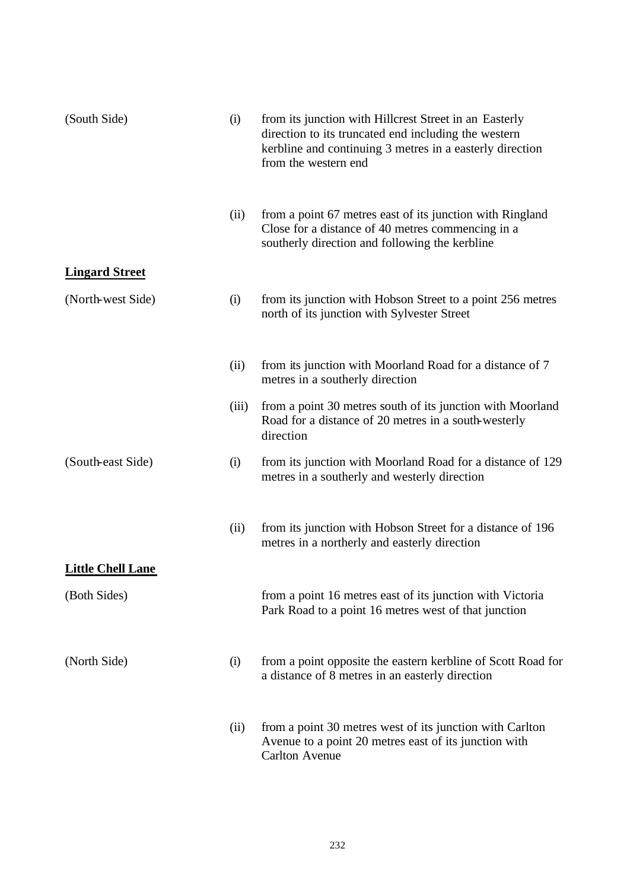| (South Side)             | (i)   | from its junction with Hillcrest Street in an Easterly<br>direction to its truncated end including the western<br>kerbline and continuing 3 metres in a easterly direction<br>from the western end |
|--------------------------|-------|----------------------------------------------------------------------------------------------------------------------------------------------------------------------------------------------------|
|                          | (ii)  | from a point 67 metres east of its junction with Ringland<br>Close for a distance of 40 metres commencing in a<br>southerly direction and following the kerbline                                   |
| <b>Lingard Street</b>    |       |                                                                                                                                                                                                    |
| (North-west Side)        | (i)   | from its junction with Hobson Street to a point 256 metres<br>north of its junction with Sylvester Street                                                                                          |
|                          | (ii)  | from its junction with Moorland Road for a distance of 7<br>metres in a southerly direction                                                                                                        |
|                          | (iii) | from a point 30 metres south of its junction with Moorland<br>Road for a distance of 20 metres in a south-westerly<br>direction                                                                    |
| (South-east Side)        | (i)   | from its junction with Moorland Road for a distance of 129<br>metres in a southerly and westerly direction                                                                                         |
|                          | (ii)  | from its junction with Hobson Street for a distance of 196<br>metres in a northerly and easterly direction                                                                                         |
| <b>Little Chell Lane</b> |       |                                                                                                                                                                                                    |
| (Both Sides)             |       | from a point 16 metres east of its junction with Victoria<br>Park Road to a point 16 metres west of that junction                                                                                  |
| (North Side)             | (i)   | from a point opposite the eastern kerbline of Scott Road for<br>a distance of 8 metres in an easterly direction                                                                                    |
|                          | (ii)  | from a point 30 metres west of its junction with Carlton<br>Avenue to a point 20 metres east of its junction with<br><b>Carlton Avenue</b>                                                         |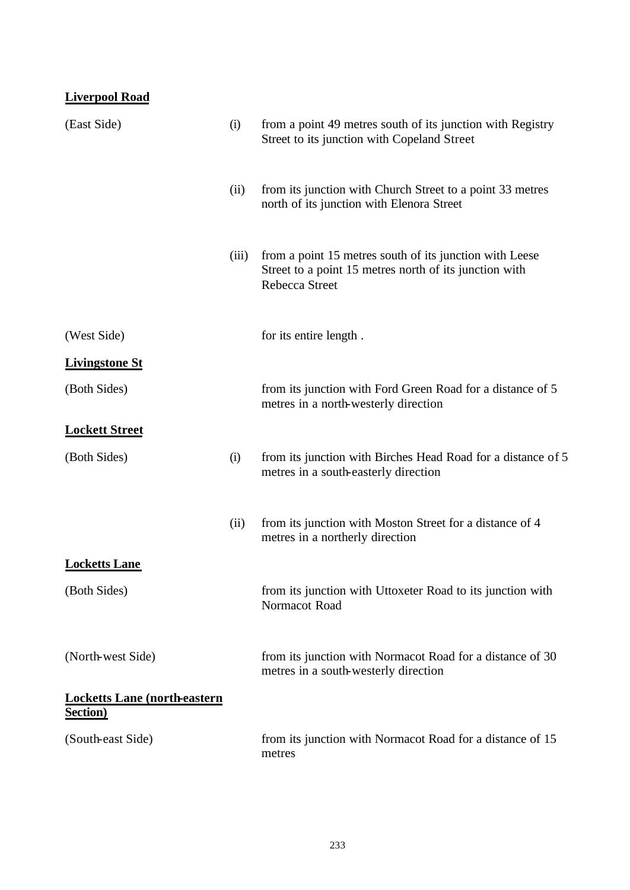| <b>Liverpool Road</b>                                   |       |                                                                                                                                     |
|---------------------------------------------------------|-------|-------------------------------------------------------------------------------------------------------------------------------------|
| (East Side)                                             | (i)   | from a point 49 metres south of its junction with Registry<br>Street to its junction with Copeland Street                           |
|                                                         | (ii)  | from its junction with Church Street to a point 33 metres<br>north of its junction with Elenora Street                              |
|                                                         | (iii) | from a point 15 metres south of its junction with Leese<br>Street to a point 15 metres north of its junction with<br>Rebecca Street |
| (West Side)                                             |       | for its entire length.                                                                                                              |
| <b>Livingstone St</b>                                   |       |                                                                                                                                     |
| (Both Sides)                                            |       | from its junction with Ford Green Road for a distance of 5<br>metres in a north-westerly direction                                  |
| <b>Lockett Street</b>                                   |       |                                                                                                                                     |
| (Both Sides)                                            | (i)   | from its junction with Birches Head Road for a distance of 5<br>metres in a south-easterly direction                                |
|                                                         | (ii)  | from its junction with Moston Street for a distance of 4<br>metres in a northerly direction                                         |
| <b>Locketts Lane</b>                                    |       |                                                                                                                                     |
| (Both Sides)                                            |       | from its junction with Uttoxeter Road to its junction with<br>Normacot Road                                                         |
| (North-west Side)                                       |       | from its junction with Normacot Road for a distance of 30<br>metres in a south-westerly direction                                   |
| <b>Locketts Lane (north-eastern</b><br><b>Section</b> ) |       |                                                                                                                                     |
| (South-east Side)                                       |       | from its junction with Normacot Road for a distance of 15<br>metres                                                                 |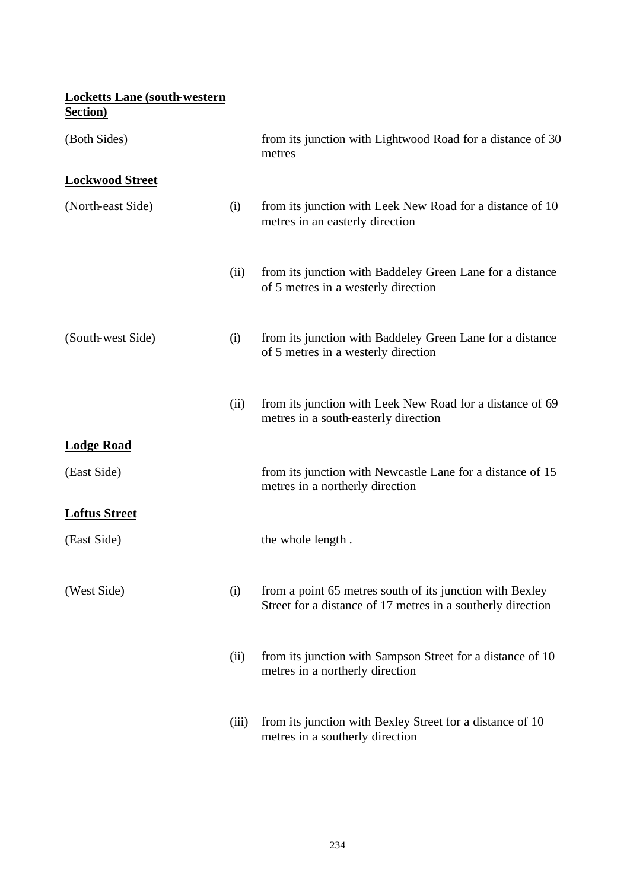# **Locketts Lane (south-western Section)**

| (Both Sides)           |       | from its junction with Lightwood Road for a distance of 30<br>metres                                                    |
|------------------------|-------|-------------------------------------------------------------------------------------------------------------------------|
| <b>Lockwood Street</b> |       |                                                                                                                         |
| (North-east Side)      | (i)   | from its junction with Leek New Road for a distance of 10<br>metres in an easterly direction                            |
|                        | (ii)  | from its junction with Baddeley Green Lane for a distance<br>of 5 metres in a westerly direction                        |
| (South-west Side)      | (i)   | from its junction with Baddeley Green Lane for a distance<br>of 5 metres in a westerly direction                        |
|                        | (ii)  | from its junction with Leek New Road for a distance of 69<br>metres in a south-easterly direction                       |
| <b>Lodge Road</b>      |       |                                                                                                                         |
| (East Side)            |       | from its junction with Newcastle Lane for a distance of 15<br>metres in a northerly direction                           |
| <b>Loftus Street</b>   |       |                                                                                                                         |
| (East Side)            |       | the whole length.                                                                                                       |
| (West Side)            | (i)   | from a point 65 metres south of its junction with Bexley<br>Street for a distance of 17 metres in a southerly direction |
|                        | (ii)  | from its junction with Sampson Street for a distance of 10<br>metres in a northerly direction                           |
|                        | (iii) | from its junction with Bexley Street for a distance of 10<br>metres in a southerly direction                            |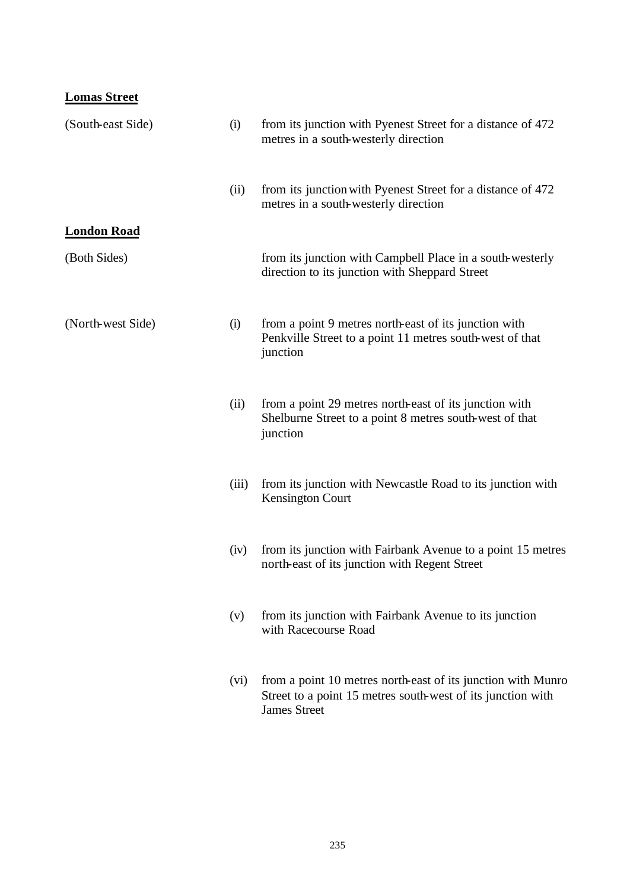| <b>Lomas Street</b> |       |                                                                                                                                                    |
|---------------------|-------|----------------------------------------------------------------------------------------------------------------------------------------------------|
| (South-east Side)   | (i)   | from its junction with Pyenest Street for a distance of 472<br>metres in a south-westerly direction                                                |
|                     | (ii)  | from its junction with Pyenest Street for a distance of 472<br>metres in a south-westerly direction                                                |
| <b>London Road</b>  |       |                                                                                                                                                    |
| (Both Sides)        |       | from its junction with Campbell Place in a south-westerly<br>direction to its junction with Sheppard Street                                        |
| (North-west Side)   | (i)   | from a point 9 metres north-east of its junction with<br>Penkville Street to a point 11 metres south-west of that<br>junction                      |
|                     | (ii)  | from a point 29 metres north-east of its junction with<br>Shelburne Street to a point 8 metres south-west of that<br>junction                      |
|                     | (iii) | from its junction with Newcastle Road to its junction with<br><b>Kensington Court</b>                                                              |
|                     | (iv)  | from its junction with Fairbank Avenue to a point 15 metres<br>north-east of its junction with Regent Street                                       |
|                     | (v)   | from its junction with Fairbank Avenue to its junction<br>with Racecourse Road                                                                     |
|                     | (vi)  | from a point 10 metres north-east of its junction with Munro<br>Street to a point 15 metres south-west of its junction with<br><b>James Street</b> |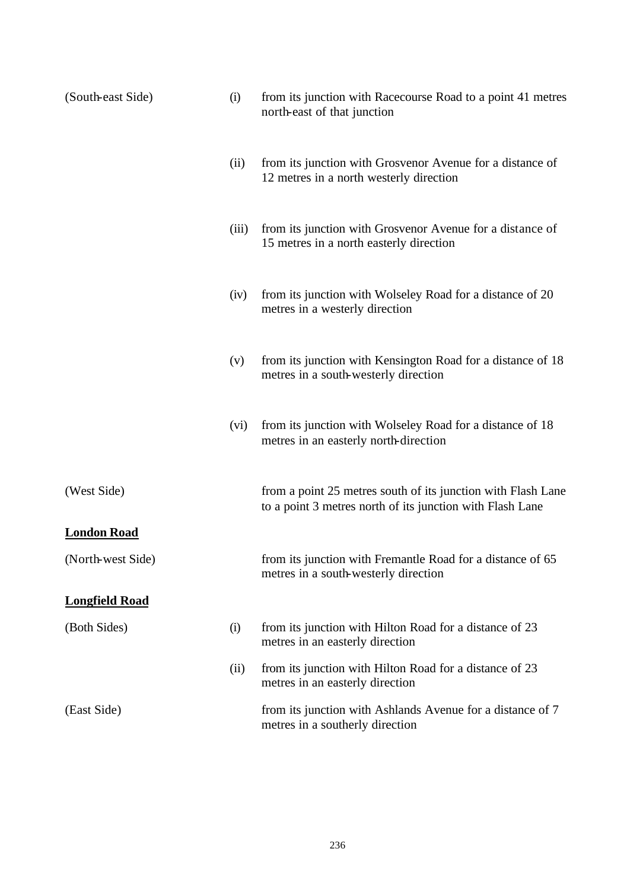| (South-east Side)     | (i)   | from its junction with Racecourse Road to a point 41 metres<br>north-east of that junction                                |
|-----------------------|-------|---------------------------------------------------------------------------------------------------------------------------|
|                       | (ii)  | from its junction with Grosvenor Avenue for a distance of<br>12 metres in a north westerly direction                      |
|                       | (iii) | from its junction with Grosvenor Avenue for a distance of<br>15 metres in a north easterly direction                      |
|                       | (iv)  | from its junction with Wolseley Road for a distance of 20<br>metres in a westerly direction                               |
|                       | (v)   | from its junction with Kensington Road for a distance of 18<br>metres in a south-westerly direction                       |
|                       | (vi)  | from its junction with Wolseley Road for a distance of 18<br>metres in an easterly north-direction                        |
| (West Side)           |       | from a point 25 metres south of its junction with Flash Lane<br>to a point 3 metres north of its junction with Flash Lane |
| <b>London Road</b>    |       |                                                                                                                           |
| (North-west Side)     |       | from its junction with Fremantle Road for a distance of 65<br>metres in a south-westerly direction                        |
| <b>Longfield Road</b> |       |                                                                                                                           |
| (Both Sides)          | (i)   | from its junction with Hilton Road for a distance of 23<br>metres in an easterly direction                                |
|                       | (ii)  | from its junction with Hilton Road for a distance of 23<br>metres in an easterly direction                                |
| (East Side)           |       | from its junction with Ashlands Avenue for a distance of 7<br>metres in a southerly direction                             |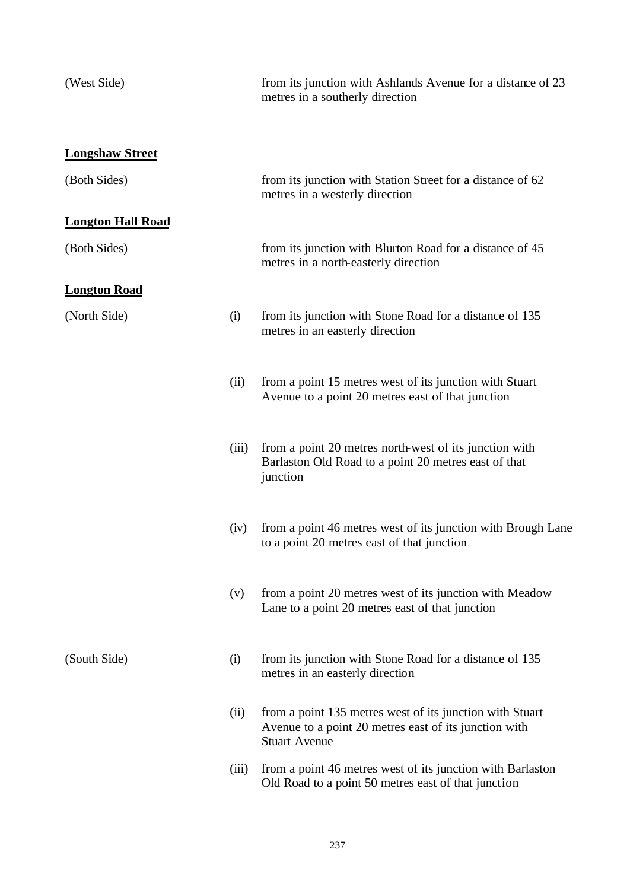| (West Side)              |       | from its junction with Ashlands Avenue for a distance of 23<br>metres in a southerly direction                                            |
|--------------------------|-------|-------------------------------------------------------------------------------------------------------------------------------------------|
| <b>Longshaw Street</b>   |       |                                                                                                                                           |
| (Both Sides)             |       | from its junction with Station Street for a distance of 62<br>metres in a westerly direction                                              |
| <b>Longton Hall Road</b> |       |                                                                                                                                           |
| (Both Sides)             |       | from its junction with Blurton Road for a distance of 45<br>metres in a north-easterly direction                                          |
| <b>Longton Road</b>      |       |                                                                                                                                           |
| (North Side)             | (i)   | from its junction with Stone Road for a distance of 135<br>metres in an easterly direction                                                |
|                          | (ii)  | from a point 15 metres west of its junction with Stuart<br>Avenue to a point 20 metres east of that junction                              |
|                          | (iii) | from a point 20 metres north-west of its junction with<br>Barlaston Old Road to a point 20 metres east of that<br>junction                |
|                          | (iv)  | from a point 46 metres west of its junction with Brough Lane<br>to a point 20 metres east of that junction                                |
|                          | (v)   | from a point 20 metres west of its junction with Meadow<br>Lane to a point 20 metres east of that junction                                |
| (South Side)             | (i)   | from its junction with Stone Road for a distance of 135<br>metres in an easterly direction                                                |
|                          | (ii)  | from a point 135 metres west of its junction with Stuart<br>Avenue to a point 20 metres east of its junction with<br><b>Stuart Avenue</b> |
|                          | (iii) | from a point 46 metres west of its junction with Barlaston<br>Old Road to a point 50 metres east of that junction                         |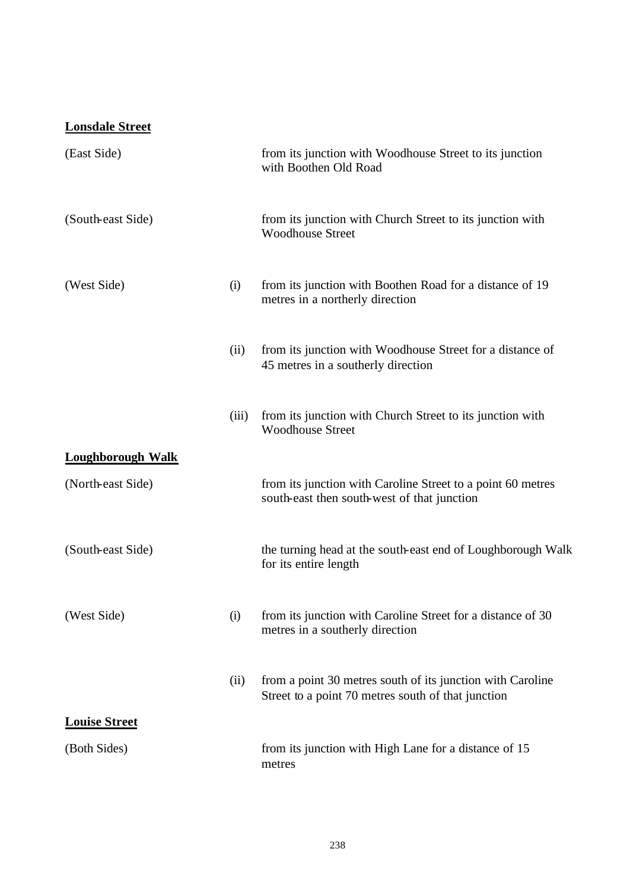# **Lonsdale Street**

| (East Side)              |       | from its junction with Woodhouse Street to its junction<br>with Boothen Old Road                                 |
|--------------------------|-------|------------------------------------------------------------------------------------------------------------------|
| (South-east Side)        |       | from its junction with Church Street to its junction with<br><b>Woodhouse Street</b>                             |
| (West Side)              | (i)   | from its junction with Boothen Road for a distance of 19<br>metres in a northerly direction                      |
|                          | (ii)  | from its junction with Woodhouse Street for a distance of<br>45 metres in a southerly direction                  |
|                          | (iii) | from its junction with Church Street to its junction with<br><b>Woodhouse Street</b>                             |
| <b>Loughborough Walk</b> |       |                                                                                                                  |
| (North-east Side)        |       | from its junction with Caroline Street to a point 60 metres<br>south-east then south-west of that junction       |
| (South-east Side)        |       | the turning head at the south-east end of Loughborough Walk<br>for its entire length                             |
| (West Side)              | (i)   | from its junction with Caroline Street for a distance of 30<br>metres in a southerly direction                   |
|                          | (ii)  | from a point 30 metres south of its junction with Caroline<br>Street to a point 70 metres south of that junction |
| <b>Louise Street</b>     |       |                                                                                                                  |
| (Both Sides)             |       | from its junction with High Lane for a distance of 15<br>metres                                                  |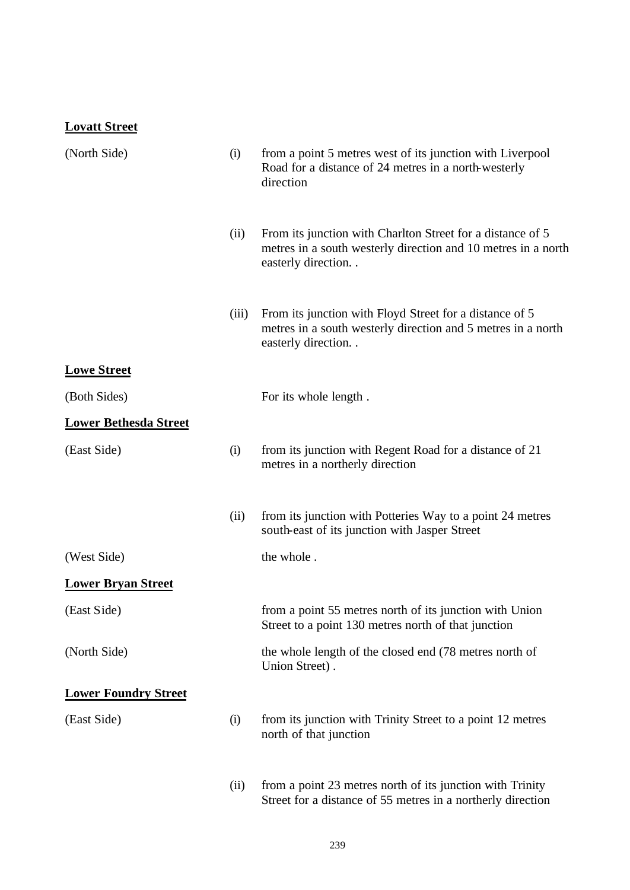#### **Lovatt Street**

| (North Side)                 | (i)   | from a point 5 metres west of its junction with Liverpool<br>Road for a distance of 24 metres in a north-westerly<br>direction                       |
|------------------------------|-------|------------------------------------------------------------------------------------------------------------------------------------------------------|
|                              | (ii)  | From its junction with Charlton Street for a distance of 5<br>metres in a south westerly direction and 10 metres in a north<br>easterly direction. . |
|                              | (iii) | From its junction with Floyd Street for a distance of 5<br>metres in a south westerly direction and 5 metres in a north<br>easterly direction. .     |
| <b>Lowe Street</b>           |       |                                                                                                                                                      |
| (Both Sides)                 |       | For its whole length.                                                                                                                                |
| <b>Lower Bethesda Street</b> |       |                                                                                                                                                      |
| (East Side)                  | (i)   | from its junction with Regent Road for a distance of 21<br>metres in a northerly direction                                                           |
|                              | (ii)  | from its junction with Potteries Way to a point 24 metres<br>south-east of its junction with Jasper Street                                           |
| (West Side)                  |       | the whole.                                                                                                                                           |
| <b>Lower Bryan Street</b>    |       |                                                                                                                                                      |
| (East Side)                  |       | from a point 55 metres north of its junction with Union<br>Street to a point 130 metres north of that junction                                       |
| (North Side)                 |       | the whole length of the closed end (78 metres north of<br>Union Street).                                                                             |
| <b>Lower Foundry Street</b>  |       |                                                                                                                                                      |
| (East Side)                  | (i)   | from its junction with Trinity Street to a point 12 metres<br>north of that junction                                                                 |
|                              | (ii)  | from a point 23 metres north of its junction with Trinity<br>Street for a distance of 55 metres in a northerly direction                             |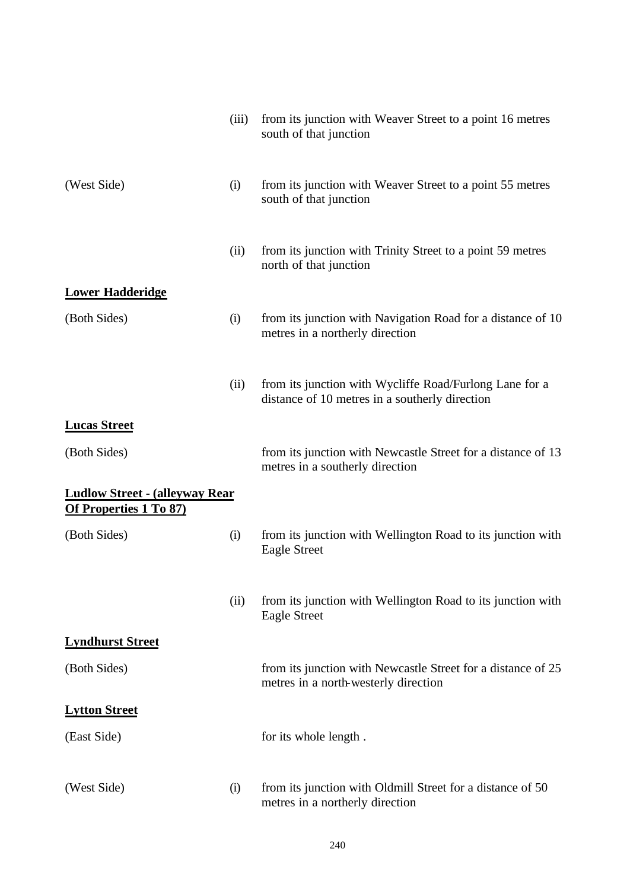|                                                                         | (iii) | from its junction with Weaver Street to a point 16 metres<br>south of that junction                       |
|-------------------------------------------------------------------------|-------|-----------------------------------------------------------------------------------------------------------|
| (West Side)                                                             | (i)   | from its junction with Weaver Street to a point 55 metres<br>south of that junction                       |
|                                                                         | (ii)  | from its junction with Trinity Street to a point 59 metres<br>north of that junction                      |
| <b>Lower Hadderidge</b>                                                 |       |                                                                                                           |
| (Both Sides)                                                            | (i)   | from its junction with Navigation Road for a distance of 10<br>metres in a northerly direction            |
|                                                                         | (ii)  | from its junction with Wycliffe Road/Furlong Lane for a<br>distance of 10 metres in a southerly direction |
| <b>Lucas Street</b>                                                     |       |                                                                                                           |
| (Both Sides)                                                            |       | from its junction with Newcastle Street for a distance of 13<br>metres in a southerly direction           |
| <b>Ludlow Street - (alleyway Rear)</b><br><b>Of Properties 1 To 87)</b> |       |                                                                                                           |
| (Both Sides)                                                            | (i)   | from its junction with Wellington Road to its junction with<br><b>Eagle Street</b>                        |
|                                                                         | (ii)  | from its junction with Wellington Road to its junction with<br><b>Eagle Street</b>                        |
| <b>Lyndhurst Street</b>                                                 |       |                                                                                                           |
| (Both Sides)                                                            |       | from its junction with Newcastle Street for a distance of 25<br>metres in a north-westerly direction      |
| <b>Lytton Street</b>                                                    |       |                                                                                                           |
| (East Side)                                                             |       | for its whole length.                                                                                     |
| (West Side)                                                             | (i)   | from its junction with Oldmill Street for a distance of 50<br>metres in a northerly direction             |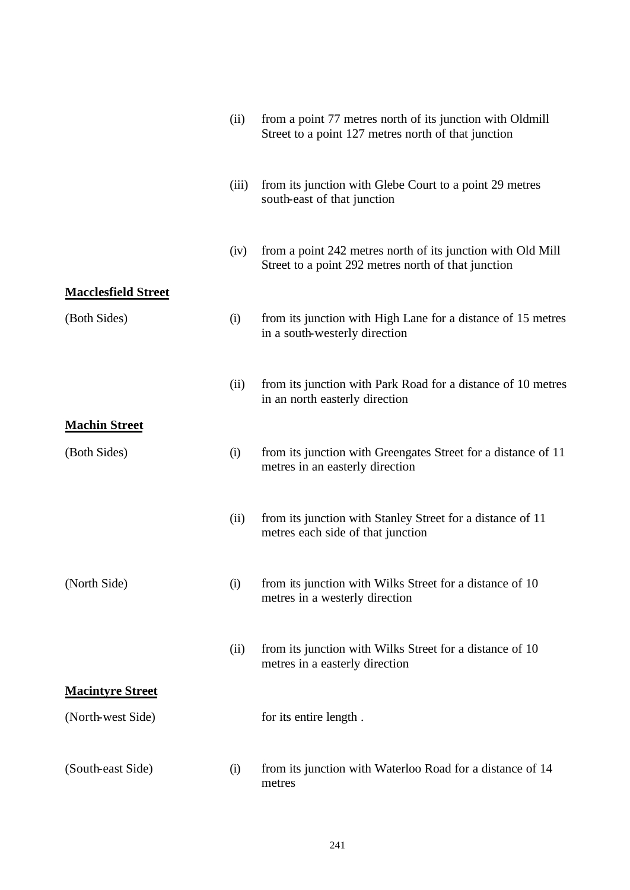|                                            | (ii)  | from a point 77 metres north of its junction with Oldmill<br>Street to a point 127 metres north of that junction   |
|--------------------------------------------|-------|--------------------------------------------------------------------------------------------------------------------|
|                                            | (iii) | from its junction with Glebe Court to a point 29 metres<br>south-east of that junction                             |
|                                            | (iv)  | from a point 242 metres north of its junction with Old Mill<br>Street to a point 292 metres north of that junction |
| <b>Macclesfield Street</b><br>(Both Sides) | (i)   | from its junction with High Lane for a distance of 15 metres<br>in a south-westerly direction                      |
|                                            | (ii)  | from its junction with Park Road for a distance of 10 metres<br>in an north easterly direction                     |
| <b>Machin Street</b>                       |       |                                                                                                                    |
| (Both Sides)                               | (i)   | from its junction with Greengates Street for a distance of 11<br>metres in an easterly direction                   |
|                                            | (ii)  | from its junction with Stanley Street for a distance of 11<br>metres each side of that junction                    |
| (North Side)                               | (i)   | from its junction with Wilks Street for a distance of 10<br>metres in a westerly direction                         |
|                                            | (ii)  | from its junction with Wilks Street for a distance of 10<br>metres in a easterly direction                         |
| <b>Macintyre Street</b>                    |       |                                                                                                                    |
| (North-west Side)                          |       | for its entire length.                                                                                             |
| (South-east Side)                          | (i)   | from its junction with Waterloo Road for a distance of 14<br>metres                                                |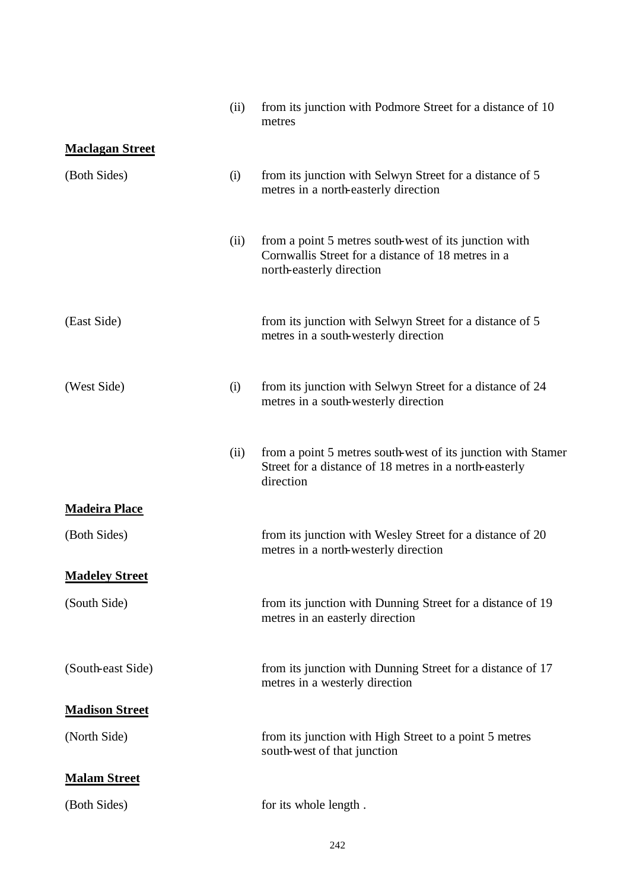|                        | (ii) | from its junction with Podmore Street for a distance of 10<br>metres                                                                    |
|------------------------|------|-----------------------------------------------------------------------------------------------------------------------------------------|
| <b>Maclagan Street</b> |      |                                                                                                                                         |
| (Both Sides)           | (i)  | from its junction with Selwyn Street for a distance of 5<br>metres in a north-easterly direction                                        |
|                        | (ii) | from a point 5 metres south-west of its junction with<br>Cornwallis Street for a distance of 18 metres in a<br>north-easterly direction |
| (East Side)            |      | from its junction with Selwyn Street for a distance of 5<br>metres in a south-westerly direction                                        |
| (West Side)            | (i)  | from its junction with Selwyn Street for a distance of 24<br>metres in a south-westerly direction                                       |
|                        | (ii) | from a point 5 metres south-west of its junction with Stamer<br>Street for a distance of 18 metres in a north-easterly<br>direction     |
| <b>Madeira Place</b>   |      |                                                                                                                                         |
| (Both Sides)           |      | from its junction with Wesley Street for a distance of 20<br>metres in a north-westerly direction                                       |
| <b>Madeley Street</b>  |      |                                                                                                                                         |
| (South Side)           |      | from its junction with Dunning Street for a distance of 19<br>metres in an easterly direction                                           |
| (South-east Side)      |      | from its junction with Dunning Street for a distance of 17<br>metres in a westerly direction                                            |
| <b>Madison Street</b>  |      |                                                                                                                                         |
| (North Side)           |      | from its junction with High Street to a point 5 metres<br>south-west of that junction                                                   |
| <b>Malam Street</b>    |      |                                                                                                                                         |
| (Both Sides)           |      | for its whole length.                                                                                                                   |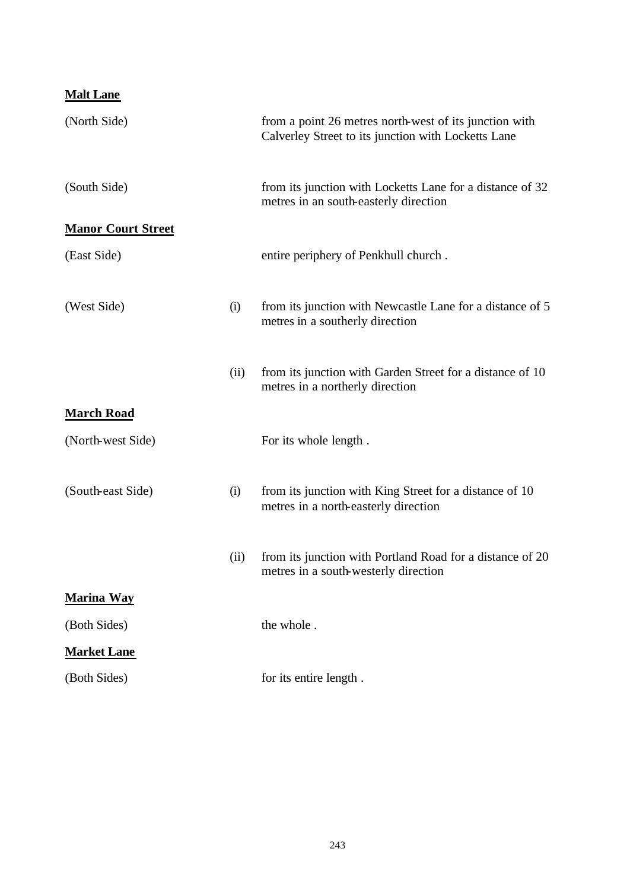| <b>Malt Lane</b>          |      |                                                                                                               |
|---------------------------|------|---------------------------------------------------------------------------------------------------------------|
| (North Side)              |      | from a point 26 metres north-west of its junction with<br>Calverley Street to its junction with Locketts Lane |
| (South Side)              |      | from its junction with Locketts Lane for a distance of 32<br>metres in an south-easterly direction            |
| <b>Manor Court Street</b> |      |                                                                                                               |
| (East Side)               |      | entire periphery of Penkhull church.                                                                          |
| (West Side)               | (i)  | from its junction with Newcastle Lane for a distance of 5<br>metres in a southerly direction                  |
|                           | (ii) | from its junction with Garden Street for a distance of 10<br>metres in a northerly direction                  |
| <b>March Road</b>         |      |                                                                                                               |
| (North-west Side)         |      | For its whole length.                                                                                         |
| (South-east Side)         | (i)  | from its junction with King Street for a distance of 10<br>metres in a north-easterly direction               |
|                           | (ii) | from its junction with Portland Road for a distance of 20<br>metres in a south-westerly direction             |
| <b>Marina Way</b>         |      |                                                                                                               |
| (Both Sides)              |      | the whole.                                                                                                    |
| <b>Market Lane</b>        |      |                                                                                                               |
| (Both Sides)              |      | for its entire length.                                                                                        |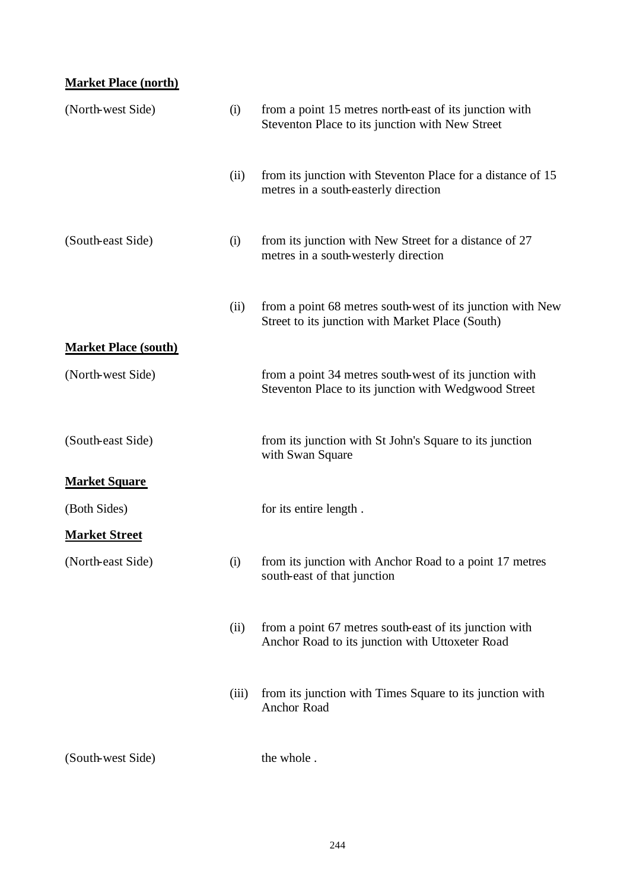# **Market Place (north)**

| (North-west Side)           | (i)   | from a point 15 metres north-east of its junction with<br>Steventon Place to its junction with New Street      |
|-----------------------------|-------|----------------------------------------------------------------------------------------------------------------|
|                             | (ii)  | from its junction with Steventon Place for a distance of 15<br>metres in a south-easterly direction            |
| (South-east Side)           | (i)   | from its junction with New Street for a distance of 27<br>metres in a south-westerly direction                 |
|                             | (ii)  | from a point 68 metres south-west of its junction with New<br>Street to its junction with Market Place (South) |
| <b>Market Place (south)</b> |       |                                                                                                                |
| (North-west Side)           |       | from a point 34 metres south-west of its junction with<br>Steventon Place to its junction with Wedgwood Street |
| (South-east Side)           |       | from its junction with St John's Square to its junction<br>with Swan Square                                    |
| <b>Market Square</b>        |       |                                                                                                                |
| (Both Sides)                |       | for its entire length.                                                                                         |
| <b>Market Street</b>        |       |                                                                                                                |
| (North-east Side)           | (i)   | from its junction with Anchor Road to a point 17 metres<br>south-east of that junction                         |
|                             | (ii)  | from a point 67 metres south-east of its junction with<br>Anchor Road to its junction with Uttoxeter Road      |
|                             | (iii) | from its junction with Times Square to its junction with<br>Anchor Road                                        |
| (South-west Side)           |       | the whole.                                                                                                     |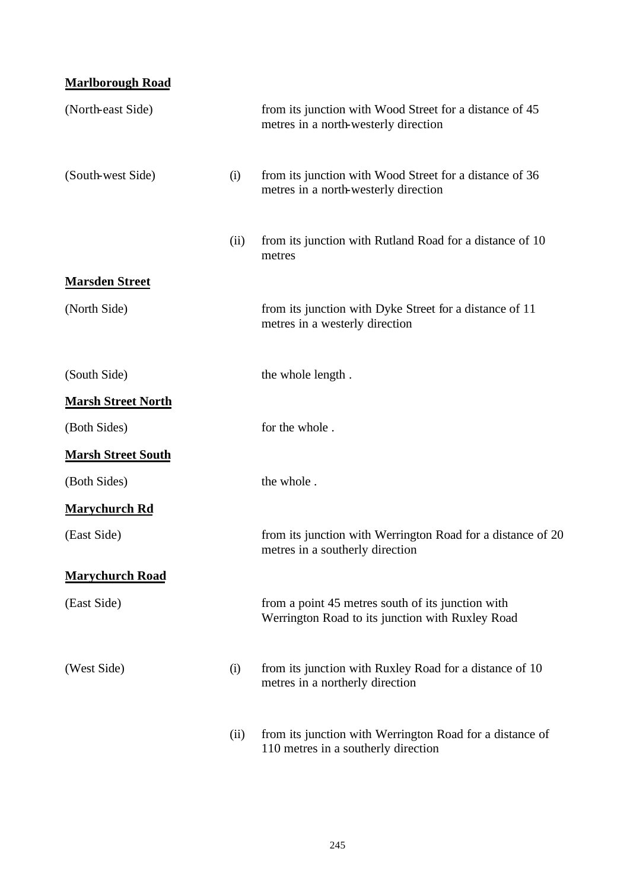#### **Marlborough Road**

| (North-east Side)         |      | from its junction with Wood Street for a distance of 45<br>metres in a north-westerly direction       |
|---------------------------|------|-------------------------------------------------------------------------------------------------------|
| (South-west Side)         | (i)  | from its junction with Wood Street for a distance of 36<br>metres in a north-westerly direction       |
|                           | (ii) | from its junction with Rutland Road for a distance of 10<br>metres                                    |
| <b>Marsden Street</b>     |      |                                                                                                       |
| (North Side)              |      | from its junction with Dyke Street for a distance of 11<br>metres in a westerly direction             |
| (South Side)              |      | the whole length.                                                                                     |
| <b>Marsh Street North</b> |      |                                                                                                       |
| (Both Sides)              |      | for the whole.                                                                                        |
| <b>Marsh Street South</b> |      |                                                                                                       |
| (Both Sides)              |      | the whole.                                                                                            |
| <b>Marychurch Rd</b>      |      |                                                                                                       |
| (East Side)               |      | from its junction with Werrington Road for a distance of 20<br>metres in a southerly direction        |
| <b>Marychurch Road</b>    |      |                                                                                                       |
| (East Side)               |      | from a point 45 metres south of its junction with<br>Werrington Road to its junction with Ruxley Road |
| (West Side)               | (i)  | from its junction with Ruxley Road for a distance of 10<br>metres in a northerly direction            |
|                           | (ii) | from its junction with Werrington Road for a distance of<br>110 metres in a southerly direction       |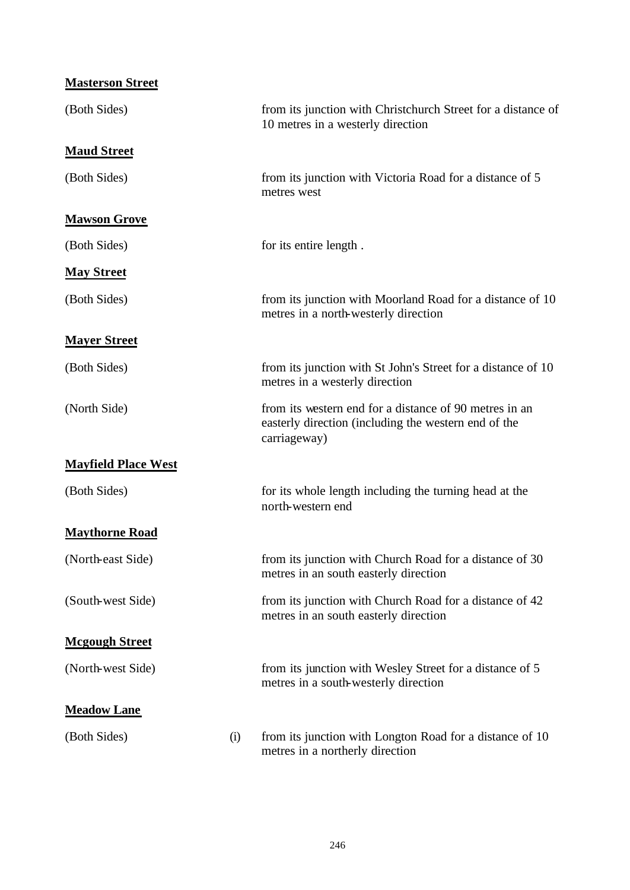| <b>Masterson Street</b>    |     |                                                                                                                                |
|----------------------------|-----|--------------------------------------------------------------------------------------------------------------------------------|
| (Both Sides)               |     | from its junction with Christchurch Street for a distance of<br>10 metres in a westerly direction                              |
| <b>Maud Street</b>         |     |                                                                                                                                |
| (Both Sides)               |     | from its junction with Victoria Road for a distance of 5<br>metres west                                                        |
| <b>Mawson Grove</b>        |     |                                                                                                                                |
| (Both Sides)               |     | for its entire length.                                                                                                         |
| <b>May Street</b>          |     |                                                                                                                                |
| (Both Sides)               |     | from its junction with Moorland Road for a distance of 10<br>metres in a north-westerly direction                              |
| <b>Mayer Street</b>        |     |                                                                                                                                |
| (Both Sides)               |     | from its junction with St John's Street for a distance of 10<br>metres in a westerly direction                                 |
| (North Side)               |     | from its western end for a distance of 90 metres in an<br>easterly direction (including the western end of the<br>carriageway) |
| <b>Mayfield Place West</b> |     |                                                                                                                                |
| (Both Sides)               |     | for its whole length including the turning head at the<br>north-western end                                                    |
| <b>Maythorne Road</b>      |     |                                                                                                                                |
| (North-east Side)          |     | from its junction with Church Road for a distance of 30<br>metres in an south easterly direction                               |
| (South-west Side)          |     | from its junction with Church Road for a distance of 42<br>metres in an south easterly direction                               |
| <b>Mcgough Street</b>      |     |                                                                                                                                |
| (North-west Side)          |     | from its junction with Wesley Street for a distance of 5<br>metres in a south-westerly direction                               |
| <b>Meadow Lane</b>         |     |                                                                                                                                |
| (Both Sides)               | (i) | from its junction with Longton Road for a distance of 10<br>metres in a northerly direction                                    |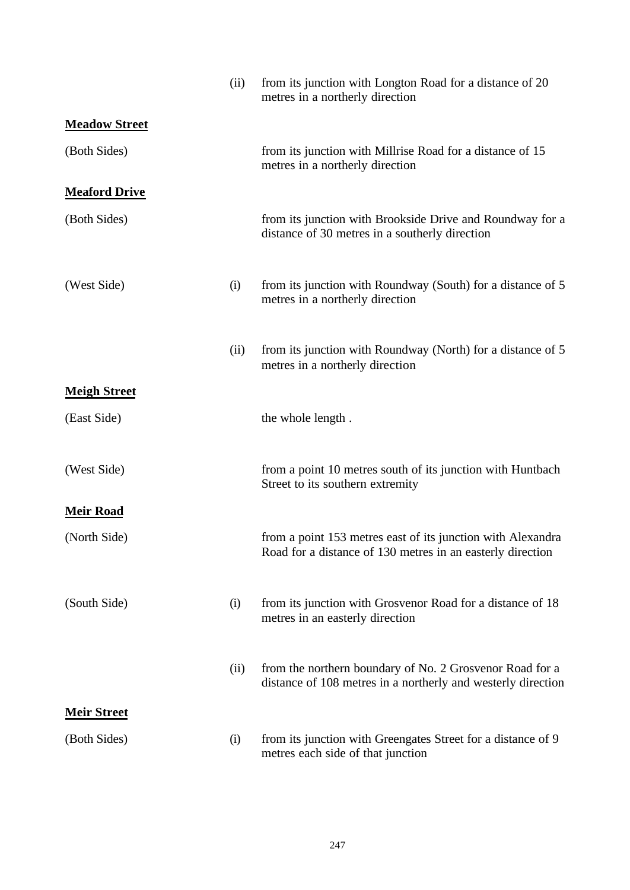|                      | (ii) | from its junction with Longton Road for a distance of 20<br>metres in a northerly direction                               |
|----------------------|------|---------------------------------------------------------------------------------------------------------------------------|
| <b>Meadow Street</b> |      |                                                                                                                           |
| (Both Sides)         |      | from its junction with Millrise Road for a distance of 15<br>metres in a northerly direction                              |
| <b>Meaford Drive</b> |      |                                                                                                                           |
| (Both Sides)         |      | from its junction with Brookside Drive and Roundway for a<br>distance of 30 metres in a southerly direction               |
| (West Side)          | (i)  | from its junction with Roundway (South) for a distance of 5<br>metres in a northerly direction                            |
|                      | (ii) | from its junction with Roundway (North) for a distance of 5<br>metres in a northerly direction                            |
| <b>Meigh Street</b>  |      |                                                                                                                           |
| (East Side)          |      | the whole length.                                                                                                         |
| (West Side)          |      | from a point 10 metres south of its junction with Huntbach<br>Street to its southern extremity                            |
| <b>Meir Road</b>     |      |                                                                                                                           |
| (North Side)         |      | from a point 153 metres east of its junction with Alexandra<br>Road for a distance of 130 metres in an easterly direction |
| (South Side)         | (i)  | from its junction with Grosvenor Road for a distance of 18<br>metres in an easterly direction                             |
|                      | (ii) | from the northern boundary of No. 2 Grosvenor Road for a<br>distance of 108 metres in a northerly and westerly direction  |
| <b>Meir Street</b>   |      |                                                                                                                           |
| (Both Sides)         | (i)  | from its junction with Greengates Street for a distance of 9<br>metres each side of that junction                         |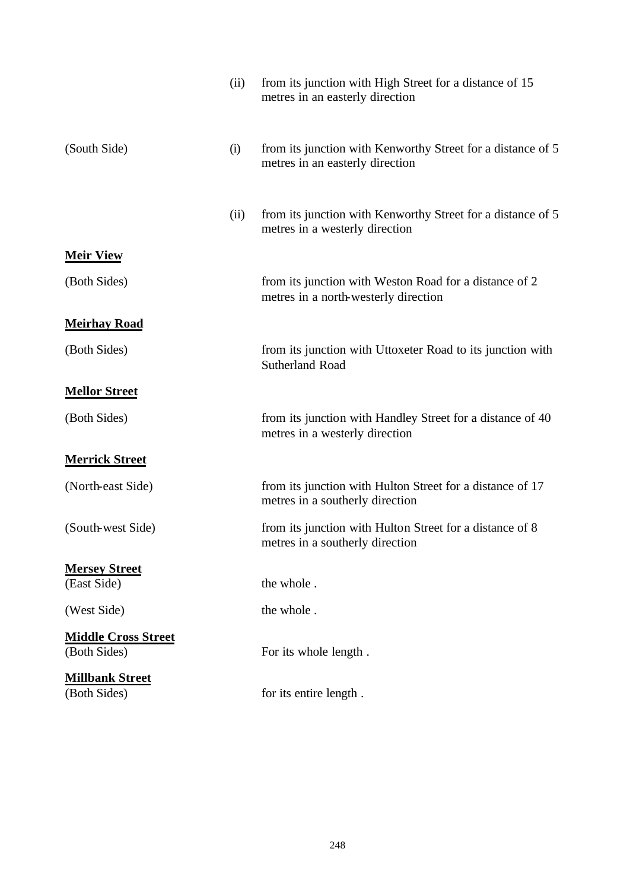|                                            | (ii) | from its junction with High Street for a distance of 15<br>metres in an easterly direction     |
|--------------------------------------------|------|------------------------------------------------------------------------------------------------|
| (South Side)                               | (i)  | from its junction with Kenworthy Street for a distance of 5<br>metres in an easterly direction |
|                                            | (ii) | from its junction with Kenworthy Street for a distance of 5<br>metres in a westerly direction  |
| <b>Meir View</b>                           |      |                                                                                                |
| (Both Sides)                               |      | from its junction with Weston Road for a distance of 2<br>metres in a north-westerly direction |
| <b>Meirhay Road</b>                        |      |                                                                                                |
| (Both Sides)                               |      | from its junction with Uttoxeter Road to its junction with<br><b>Sutherland Road</b>           |
| <b>Mellor Street</b>                       |      |                                                                                                |
| (Both Sides)                               |      | from its junction with Handley Street for a distance of 40<br>metres in a westerly direction   |
| <b>Merrick Street</b>                      |      |                                                                                                |
| (North-east Side)                          |      | from its junction with Hulton Street for a distance of 17<br>metres in a southerly direction   |
| (South-west Side)                          |      | from its junction with Hulton Street for a distance of 8<br>metres in a southerly direction    |
| <b>Mersey Street</b>                       |      |                                                                                                |
| (East Side)                                |      | the whole.                                                                                     |
| (West Side)                                |      | the whole.                                                                                     |
| <b>Middle Cross Street</b><br>(Both Sides) |      | For its whole length.                                                                          |
| <b>Millbank Street</b><br>(Both Sides)     |      | for its entire length.                                                                         |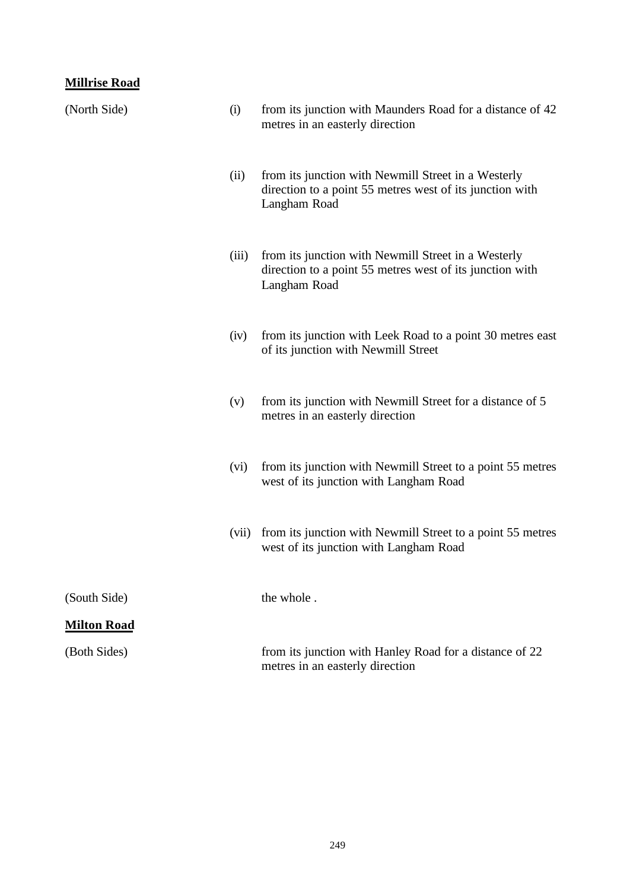|  | <b>Millrise Road</b> |
|--|----------------------|
|  |                      |

| (North Side)       | (i)   | from its junction with Maunders Road for a distance of 42<br>metres in an easterly direction                                    |
|--------------------|-------|---------------------------------------------------------------------------------------------------------------------------------|
|                    | (ii)  | from its junction with Newmill Street in a Westerly<br>direction to a point 55 metres west of its junction with<br>Langham Road |
|                    | (iii) | from its junction with Newmill Street in a Westerly<br>direction to a point 55 metres west of its junction with<br>Langham Road |
|                    | (iv)  | from its junction with Leek Road to a point 30 metres east<br>of its junction with Newmill Street                               |
|                    | (v)   | from its junction with Newmill Street for a distance of 5<br>metres in an easterly direction                                    |
|                    | (vi)  | from its junction with Newmill Street to a point 55 metres<br>west of its junction with Langham Road                            |
|                    | (vii) | from its junction with Newmill Street to a point 55 metres<br>west of its junction with Langham Road                            |
| (South Side)       |       | the whole.                                                                                                                      |
| <b>Milton Road</b> |       |                                                                                                                                 |
| (Both Sides)       |       | from its junction with Hanley Road for a distance of 22<br>metres in an easterly direction                                      |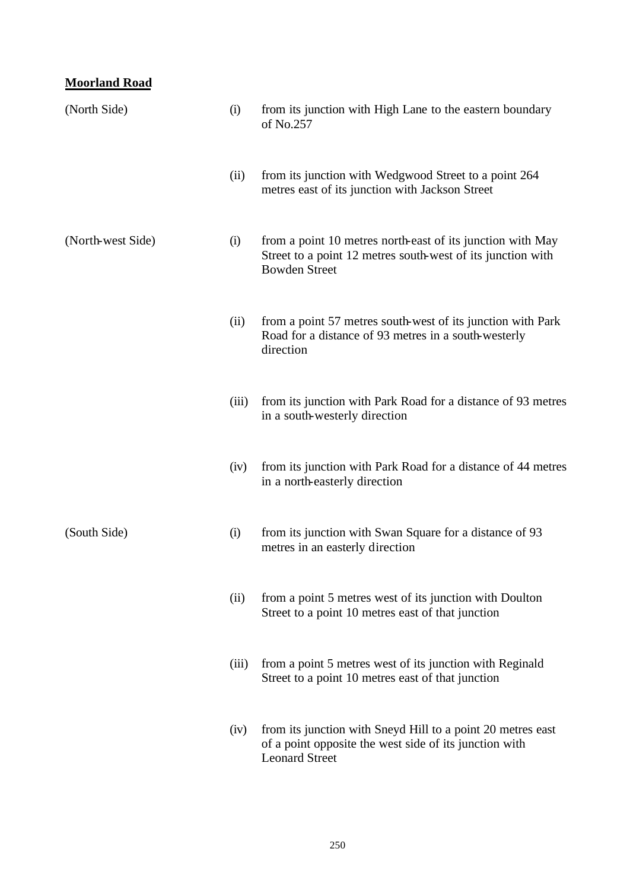# **Moorland Road**

| (North Side)      | (i)   | from its junction with High Lane to the eastern boundary<br>of No.257                                                                             |
|-------------------|-------|---------------------------------------------------------------------------------------------------------------------------------------------------|
|                   | (ii)  | from its junction with Wedgwood Street to a point 264<br>metres east of its junction with Jackson Street                                          |
| (North-west Side) | (i)   | from a point 10 metres north-east of its junction with May<br>Street to a point 12 metres south-west of its junction with<br><b>Bowden Street</b> |
|                   | (ii)  | from a point 57 metres south-west of its junction with Park<br>Road for a distance of 93 metres in a south-westerly<br>direction                  |
|                   | (iii) | from its junction with Park Road for a distance of 93 metres<br>in a south-westerly direction                                                     |
|                   | (iv)  | from its junction with Park Road for a distance of 44 metres<br>in a north-easterly direction                                                     |
| (South Side)      | (i)   | from its junction with Swan Square for a distance of 93<br>metres in an easterly direction                                                        |
|                   | (ii)  | from a point 5 metres west of its junction with Doulton<br>Street to a point 10 metres east of that junction                                      |
|                   | (iii) | from a point 5 metres west of its junction with Reginald<br>Street to a point 10 metres east of that junction                                     |
|                   | (iv)  | from its junction with Sneyd Hill to a point 20 metres east<br>of a point opposite the west side of its junction with<br><b>Leonard Street</b>    |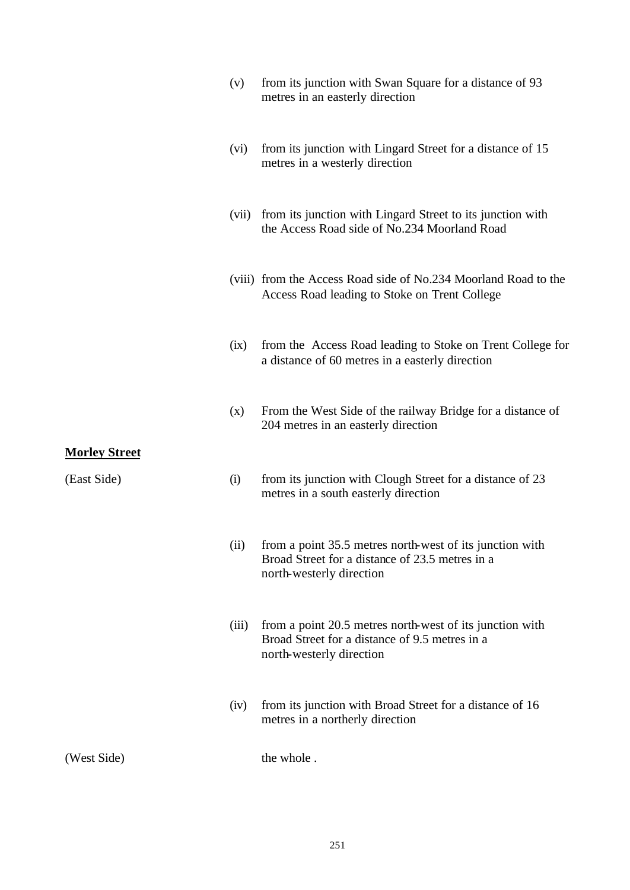|                                     | (v)   | from its junction with Swan Square for a distance of 93<br>metres in an easterly direction                                                   |
|-------------------------------------|-------|----------------------------------------------------------------------------------------------------------------------------------------------|
|                                     | (vi)  | from its junction with Lingard Street for a distance of 15<br>metres in a westerly direction                                                 |
|                                     | (vii) | from its junction with Lingard Street to its junction with<br>the Access Road side of No.234 Moorland Road                                   |
|                                     |       | (viii) from the Access Road side of No.234 Moorland Road to the<br>Access Road leading to Stoke on Trent College                             |
|                                     | (ix)  | from the Access Road leading to Stoke on Trent College for<br>a distance of 60 metres in a easterly direction                                |
|                                     | (x)   | From the West Side of the railway Bridge for a distance of<br>204 metres in an easterly direction                                            |
| <b>Morley Street</b><br>(East Side) | (i)   | from its junction with Clough Street for a distance of 23<br>metres in a south easterly direction                                            |
|                                     |       | (ii) from a point 35.5 metres north-west of its junction with<br>Broad Street for a distance of 23.5 metres in a<br>north-westerly direction |
|                                     | (iii) | from a point 20.5 metres north-west of its junction with<br>Broad Street for a distance of 9.5 metres in a<br>north-westerly direction       |
|                                     | (iv)  | from its junction with Broad Street for a distance of 16<br>metres in a northerly direction                                                  |
| (West Side)                         |       | the whole.                                                                                                                                   |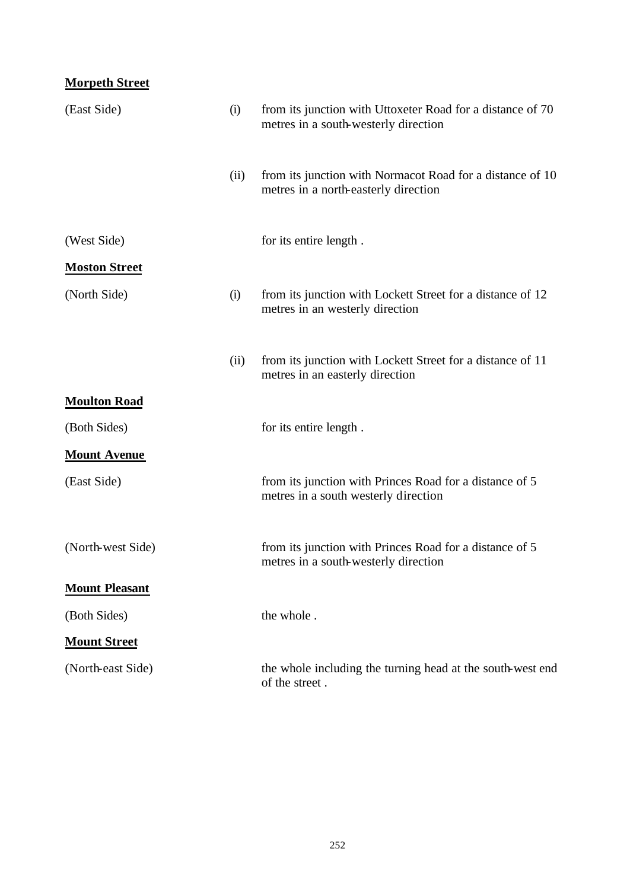# **Morpeth Street**

| (East Side)           | (i)  | from its junction with Uttoxeter Road for a distance of 70<br>metres in a south-westerly direction |
|-----------------------|------|----------------------------------------------------------------------------------------------------|
|                       | (ii) | from its junction with Normacot Road for a distance of 10<br>metres in a north-easterly direction  |
| (West Side)           |      | for its entire length.                                                                             |
| <b>Moston Street</b>  |      |                                                                                                    |
| (North Side)          | (i)  | from its junction with Lockett Street for a distance of 12<br>metres in an westerly direction      |
|                       | (ii) | from its junction with Lockett Street for a distance of 11<br>metres in an easterly direction      |
| <b>Moulton Road</b>   |      |                                                                                                    |
| (Both Sides)          |      | for its entire length.                                                                             |
| <b>Mount Avenue</b>   |      |                                                                                                    |
| (East Side)           |      | from its junction with Princes Road for a distance of 5<br>metres in a south westerly direction    |
| (North-west Side)     |      | from its junction with Princes Road for a distance of 5<br>metres in a south-westerly direction    |
| <b>Mount Pleasant</b> |      |                                                                                                    |
| (Both Sides)          |      | the whole.                                                                                         |
| <b>Mount Street</b>   |      |                                                                                                    |
| (North-east Side)     |      | the whole including the turning head at the south-west end<br>of the street.                       |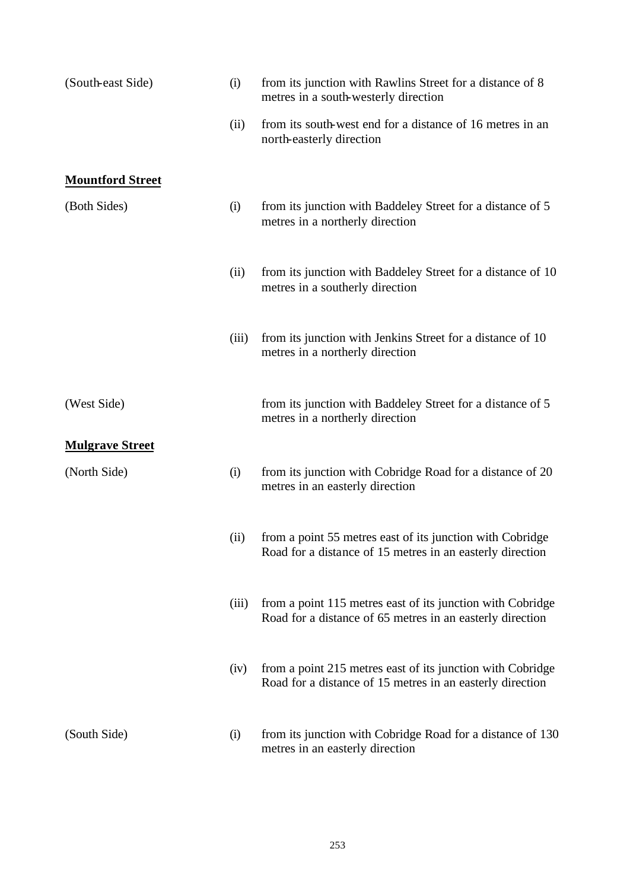| (South-east Side)       | (i)   | from its junction with Rawlins Street for a distance of 8<br>metres in a south-westerly direction                       |
|-------------------------|-------|-------------------------------------------------------------------------------------------------------------------------|
|                         | (ii)  | from its south-west end for a distance of 16 metres in an<br>north-easterly direction                                   |
| <b>Mountford Street</b> |       |                                                                                                                         |
| (Both Sides)            | (i)   | from its junction with Baddeley Street for a distance of 5<br>metres in a northerly direction                           |
|                         | (ii)  | from its junction with Baddeley Street for a distance of 10<br>metres in a southerly direction                          |
|                         | (iii) | from its junction with Jenkins Street for a distance of 10<br>metres in a northerly direction                           |
| (West Side)             |       | from its junction with Baddeley Street for a distance of 5<br>metres in a northerly direction                           |
| <b>Mulgrave Street</b>  |       |                                                                                                                         |
| (North Side)            | (i)   | from its junction with Cobridge Road for a distance of 20<br>metres in an easterly direction                            |
|                         | (ii)  | from a point 55 metres east of its junction with Cobridge<br>Road for a distance of 15 metres in an easterly direction  |
|                         | (iii) | from a point 115 metres east of its junction with Cobridge<br>Road for a distance of 65 metres in an easterly direction |
|                         | (iv)  | from a point 215 metres east of its junction with Cobridge<br>Road for a distance of 15 metres in an easterly direction |
| (South Side)            | (i)   | from its junction with Cobridge Road for a distance of 130<br>metres in an easterly direction                           |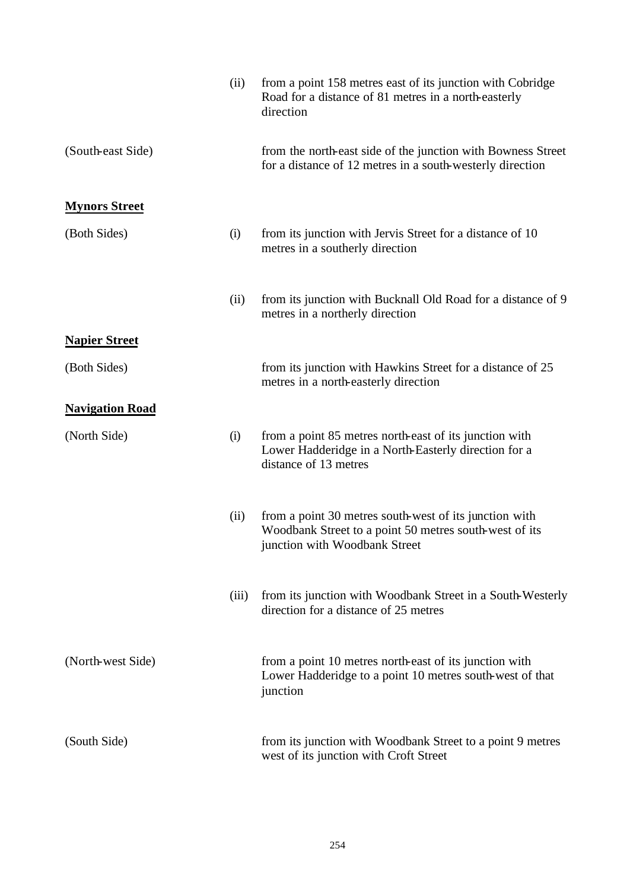|                        | (ii)  | from a point 158 metres east of its junction with Cobridge<br>Road for a distance of 81 metres in a north-easterly<br>direction                   |
|------------------------|-------|---------------------------------------------------------------------------------------------------------------------------------------------------|
| (South-east Side)      |       | from the north-east side of the junction with Bowness Street<br>for a distance of 12 metres in a south-westerly direction                         |
| <b>Mynors Street</b>   |       |                                                                                                                                                   |
| (Both Sides)           | (i)   | from its junction with Jervis Street for a distance of 10<br>metres in a southerly direction                                                      |
|                        | (ii)  | from its junction with Bucknall Old Road for a distance of 9<br>metres in a northerly direction                                                   |
| <b>Napier Street</b>   |       |                                                                                                                                                   |
| (Both Sides)           |       | from its junction with Hawkins Street for a distance of 25<br>metres in a north-easterly direction                                                |
| <b>Navigation Road</b> |       |                                                                                                                                                   |
| (North Side)           | (i)   | from a point 85 metres north-east of its junction with<br>Lower Hadderidge in a North-Easterly direction for a<br>distance of 13 metres           |
|                        | (ii)  | from a point 30 metres south-west of its junction with<br>Woodbank Street to a point 50 metres south-west of its<br>junction with Woodbank Street |
|                        | (iii) | from its junction with Woodbank Street in a South-Westerly<br>direction for a distance of 25 metres                                               |
| (North-west Side)      |       | from a point 10 metres north-east of its junction with<br>Lower Hadderidge to a point 10 metres south-west of that<br>junction                    |
| (South Side)           |       | from its junction with Woodbank Street to a point 9 metres<br>west of its junction with Croft Street                                              |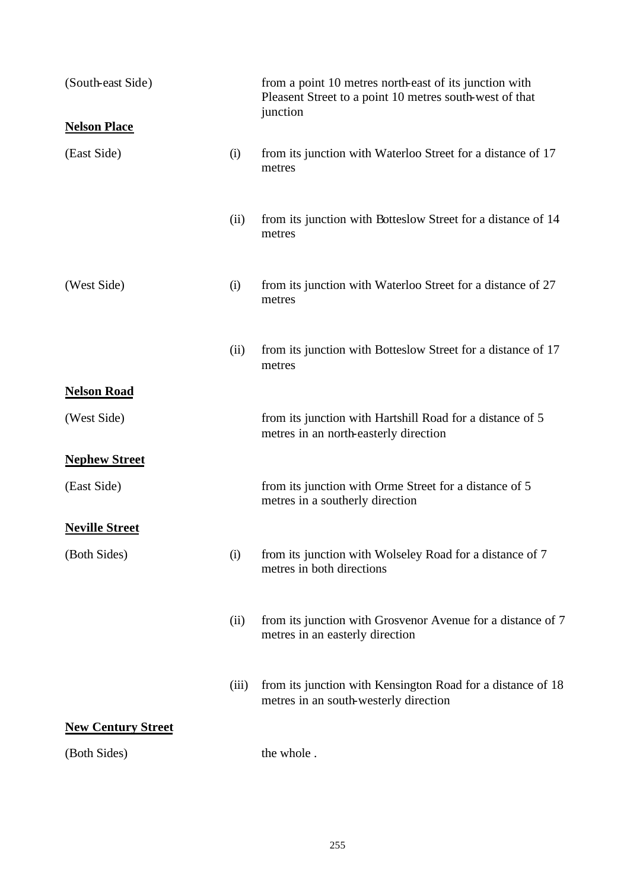| (South-east Side)         |       | from a point 10 metres north-east of its junction with<br>Pleasent Street to a point 10 metres south-west of that<br>junction |
|---------------------------|-------|-------------------------------------------------------------------------------------------------------------------------------|
| <b>Nelson Place</b>       |       |                                                                                                                               |
| (East Side)               | (i)   | from its junction with Waterloo Street for a distance of 17<br>metres                                                         |
|                           | (ii)  | from its junction with Botteslow Street for a distance of 14<br>metres                                                        |
| (West Side)               | (i)   | from its junction with Waterloo Street for a distance of 27<br>metres                                                         |
|                           | (ii)  | from its junction with Botteslow Street for a distance of 17<br>metres                                                        |
| <b>Nelson Road</b>        |       |                                                                                                                               |
| (West Side)               |       | from its junction with Hartshill Road for a distance of 5<br>metres in an north-easterly direction                            |
| <b>Nephew Street</b>      |       |                                                                                                                               |
| (East Side)               |       | from its junction with Orme Street for a distance of 5<br>metres in a southerly direction                                     |
| <b>Neville Street</b>     |       |                                                                                                                               |
| (Both Sides)              | (i)   | from its junction with Wolseley Road for a distance of 7<br>metres in both directions                                         |
|                           | (ii)  | from its junction with Grosvenor Avenue for a distance of 7<br>metres in an easterly direction                                |
|                           | (iii) | from its junction with Kensington Road for a distance of 18<br>metres in an south-westerly direction                          |
| <b>New Century Street</b> |       |                                                                                                                               |
| (Both Sides)              |       | the whole.                                                                                                                    |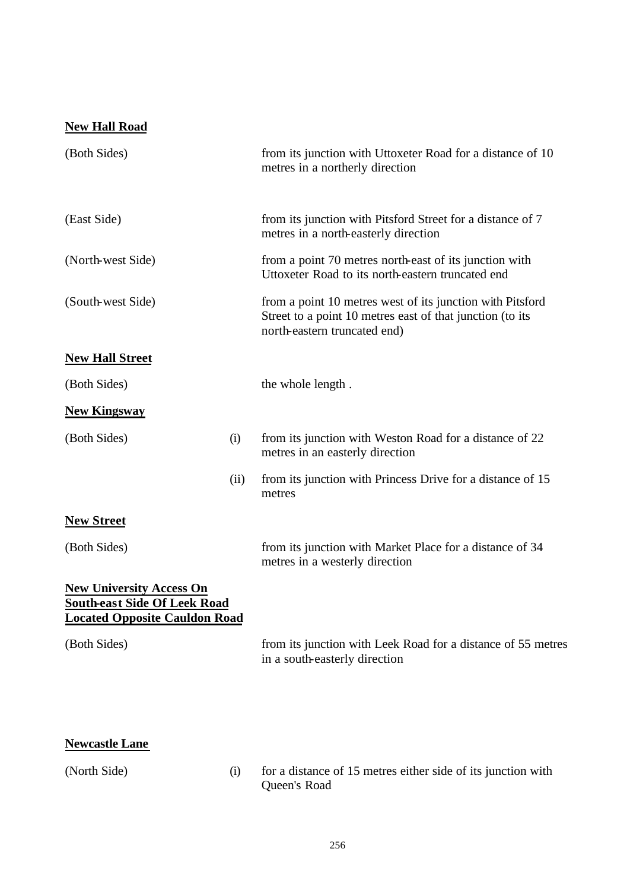# **New Hall Road**

| (Both Sides)                                                                                                   |      | from its junction with Uttoxeter Road for a distance of 10<br>metres in a northerly direction                                                          |
|----------------------------------------------------------------------------------------------------------------|------|--------------------------------------------------------------------------------------------------------------------------------------------------------|
| (East Side)                                                                                                    |      | from its junction with Pitsford Street for a distance of 7<br>metres in a north-easterly direction                                                     |
| (North-west Side)                                                                                              |      | from a point 70 metres north-east of its junction with<br>Uttoxeter Road to its north-eastern truncated end                                            |
| (South-west Side)                                                                                              |      | from a point 10 metres west of its junction with Pitsford<br>Street to a point 10 metres east of that junction (to its<br>north-eastern truncated end) |
| <b>New Hall Street</b>                                                                                         |      |                                                                                                                                                        |
| (Both Sides)                                                                                                   |      | the whole length.                                                                                                                                      |
| <b>New Kingsway</b>                                                                                            |      |                                                                                                                                                        |
| (Both Sides)                                                                                                   | (i)  | from its junction with Weston Road for a distance of 22<br>metres in an easterly direction                                                             |
|                                                                                                                | (ii) | from its junction with Princess Drive for a distance of 15<br>metres                                                                                   |
| <b>New Street</b>                                                                                              |      |                                                                                                                                                        |
| (Both Sides)                                                                                                   |      | from its junction with Market Place for a distance of 34<br>metres in a westerly direction                                                             |
| <b>New University Access On</b><br><b>South-east Side Of Leek Road</b><br><b>Located Opposite Cauldon Road</b> |      |                                                                                                                                                        |
| (Both Sides)                                                                                                   |      | from its junction with Leek Road for a distance of 55 metres<br>in a south-easterly direction                                                          |
| <b>Newcastle Lane</b>                                                                                          |      |                                                                                                                                                        |

| (North Side) |  |
|--------------|--|
|--------------|--|

(North Side) (i) for a distance of 15 metres either side of its junction with Queen's Road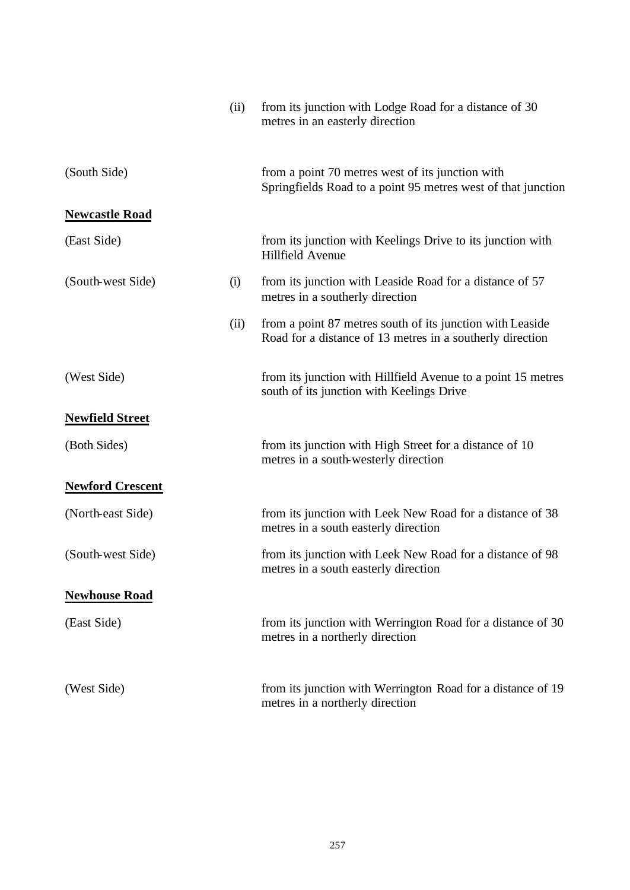|                         | (ii) | from its junction with Lodge Road for a distance of 30<br>metres in an easterly direction                              |
|-------------------------|------|------------------------------------------------------------------------------------------------------------------------|
| (South Side)            |      | from a point 70 metres west of its junction with<br>Springfields Road to a point 95 metres west of that junction       |
| <b>Newcastle Road</b>   |      |                                                                                                                        |
| (East Side)             |      | from its junction with Keelings Drive to its junction with<br><b>Hillfield Avenue</b>                                  |
| (South-west Side)       | (i)  | from its junction with Leaside Road for a distance of 57<br>metres in a southerly direction                            |
|                         | (ii) | from a point 87 metres south of its junction with Leaside<br>Road for a distance of 13 metres in a southerly direction |
| (West Side)             |      | from its junction with Hillfield Avenue to a point 15 metres<br>south of its junction with Keelings Drive              |
| <b>Newfield Street</b>  |      |                                                                                                                        |
| (Both Sides)            |      | from its junction with High Street for a distance of 10<br>metres in a south-westerly direction                        |
| <b>Newford Crescent</b> |      |                                                                                                                        |
| (North-east Side)       |      | from its junction with Leek New Road for a distance of 38<br>metres in a south easterly direction                      |
| (South-west Side)       |      | from its junction with Leek New Road for a distance of 98<br>metres in a south easterly direction                      |
| <b>Newhouse Road</b>    |      |                                                                                                                        |
| (East Side)             |      | from its junction with Werrington Road for a distance of 30<br>metres in a northerly direction                         |
| (West Side)             |      | from its junction with Werrington Road for a distance of 19<br>metres in a northerly direction                         |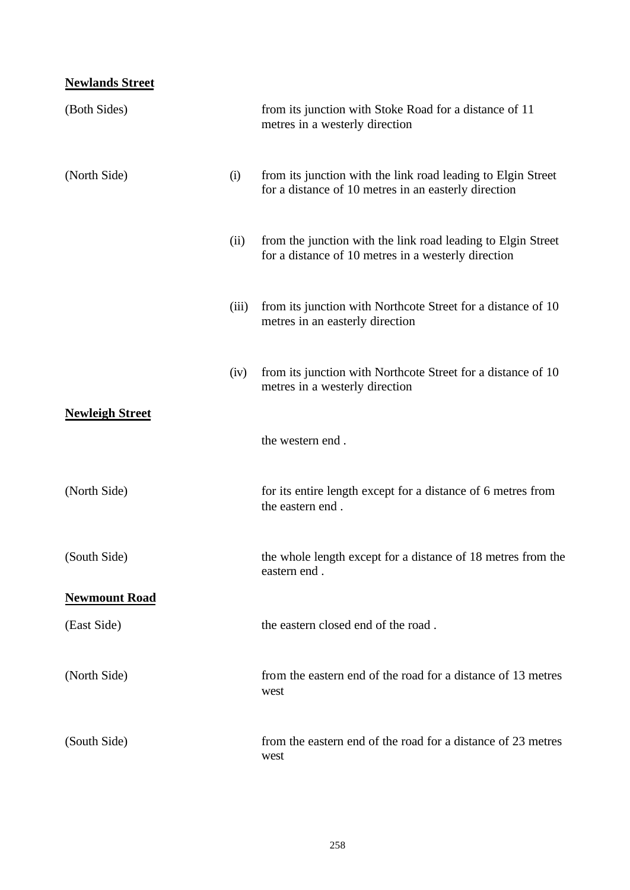#### **Newlands Street**

| (Both Sides)                        |       | from its junction with Stoke Road for a distance of 11<br>metres in a westerly direction                             |
|-------------------------------------|-------|----------------------------------------------------------------------------------------------------------------------|
| (North Side)                        | (i)   | from its junction with the link road leading to Elgin Street<br>for a distance of 10 metres in an easterly direction |
|                                     | (ii)  | from the junction with the link road leading to Elgin Street<br>for a distance of 10 metres in a westerly direction  |
|                                     | (iii) | from its junction with Northcote Street for a distance of 10<br>metres in an easterly direction                      |
|                                     | (iv)  | from its junction with Northcote Street for a distance of 10<br>metres in a westerly direction                       |
| <b>Newleigh Street</b>              |       | the western end.                                                                                                     |
| (North Side)                        |       | for its entire length except for a distance of 6 metres from<br>the eastern end.                                     |
| (South Side)                        |       | the whole length except for a distance of 18 metres from the<br>eastern end                                          |
| <b>Newmount Road</b><br>(East Side) |       | the eastern closed end of the road.                                                                                  |
|                                     |       |                                                                                                                      |
| (North Side)                        |       | from the eastern end of the road for a distance of 13 metres<br>west                                                 |
| (South Side)                        |       | from the eastern end of the road for a distance of 23 metres<br>west                                                 |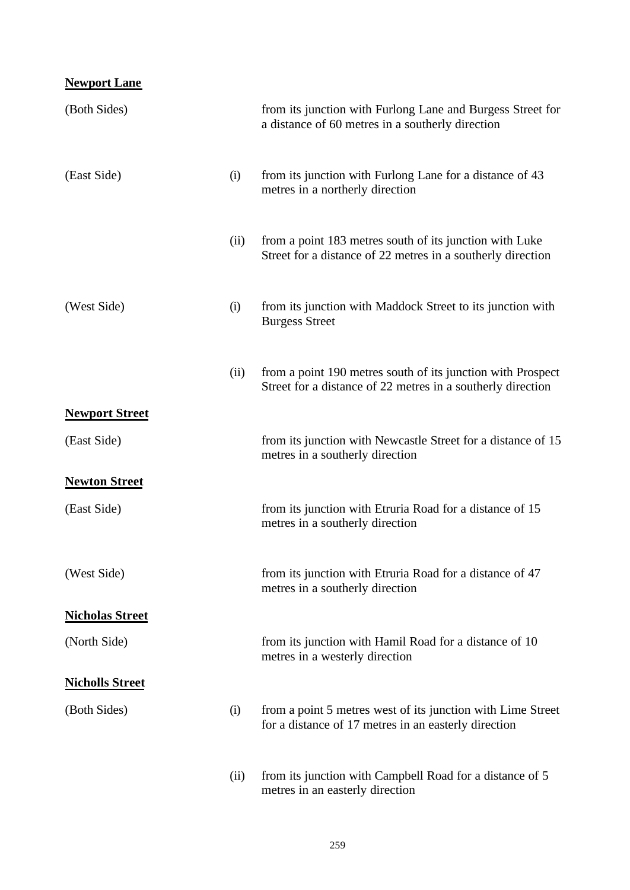#### **Newport Lane**

| (Both Sides)           |      | from its junction with Furlong Lane and Burgess Street for<br>a distance of 60 metres in a southerly direction             |
|------------------------|------|----------------------------------------------------------------------------------------------------------------------------|
| (East Side)            | (i)  | from its junction with Furlong Lane for a distance of 43<br>metres in a northerly direction                                |
|                        | (ii) | from a point 183 metres south of its junction with Luke<br>Street for a distance of 22 metres in a southerly direction     |
| (West Side)            | (i)  | from its junction with Maddock Street to its junction with<br><b>Burgess Street</b>                                        |
|                        | (ii) | from a point 190 metres south of its junction with Prospect<br>Street for a distance of 22 metres in a southerly direction |
| <b>Newport Street</b>  |      |                                                                                                                            |
| (East Side)            |      | from its junction with Newcastle Street for a distance of 15<br>metres in a southerly direction                            |
| <b>Newton Street</b>   |      |                                                                                                                            |
| (East Side)            |      | from its junction with Etruria Road for a distance of 15<br>metres in a southerly direction                                |
| (West Side)            |      | from its junction with Etruria Road for a distance of 47<br>metres in a southerly direction                                |
| <b>Nicholas Street</b> |      |                                                                                                                            |
| (North Side)           |      | from its junction with Hamil Road for a distance of 10<br>metres in a westerly direction                                   |
| <b>Nicholls Street</b> |      |                                                                                                                            |
| (Both Sides)           | (i)  | from a point 5 metres west of its junction with Lime Street<br>for a distance of 17 metres in an easterly direction        |
|                        | (ii) | from its junction with Campbell Road for a distance of 5<br>metres in an easterly direction                                |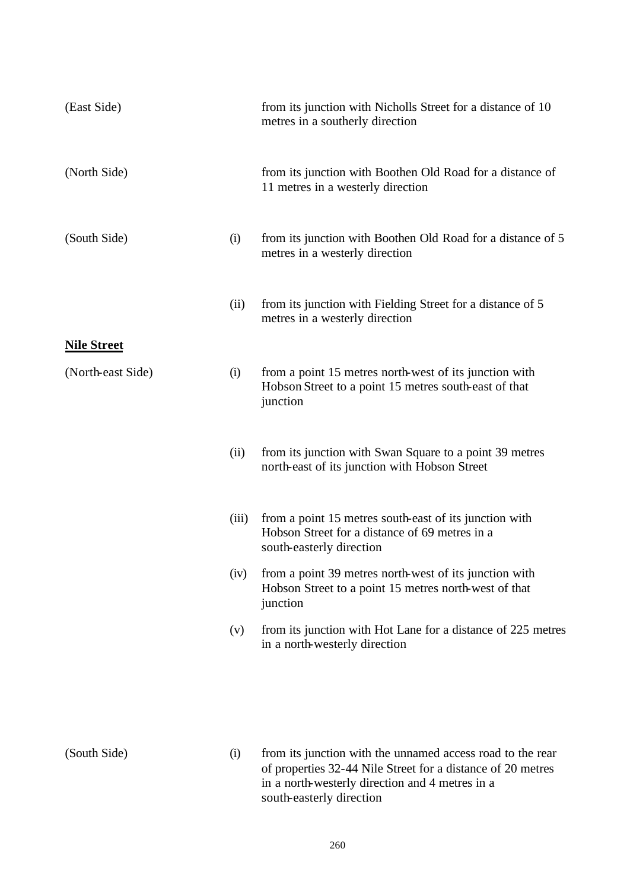| (East Side)        |       | from its junction with Nicholls Street for a distance of 10<br>metres in a southerly direction                                                                               |
|--------------------|-------|------------------------------------------------------------------------------------------------------------------------------------------------------------------------------|
| (North Side)       |       | from its junction with Boothen Old Road for a distance of<br>11 metres in a westerly direction                                                                               |
| (South Side)       | (i)   | from its junction with Boothen Old Road for a distance of 5<br>metres in a westerly direction                                                                                |
|                    | (ii)  | from its junction with Fielding Street for a distance of 5<br>metres in a westerly direction                                                                                 |
| <b>Nile Street</b> |       |                                                                                                                                                                              |
| (North-east Side)  | (i)   | from a point 15 metres north-west of its junction with<br>Hobson Street to a point 15 metres south-east of that<br>junction                                                  |
|                    | (ii)  | from its junction with Swan Square to a point 39 metres<br>north-east of its junction with Hobson Street                                                                     |
|                    | (iii) | from a point 15 metres south-east of its junction with<br>Hobson Street for a distance of 69 metres in a<br>south-easterly direction                                         |
|                    |       | (iv) from a point 39 metres north-west of its junction with<br>Hobson Street to a point 15 metres north-west of that<br>junction                                             |
|                    | (v)   | from its junction with Hot Lane for a distance of 225 metres<br>in a north-westerly direction                                                                                |
|                    |       |                                                                                                                                                                              |
| (South Side)       | (i)   | from its junction with the unnamed access road to the rear<br>of properties 32-44 Nile Street for a distance of 20 metres<br>in a north-westerly direction and 4 metres in a |

south-easterly direction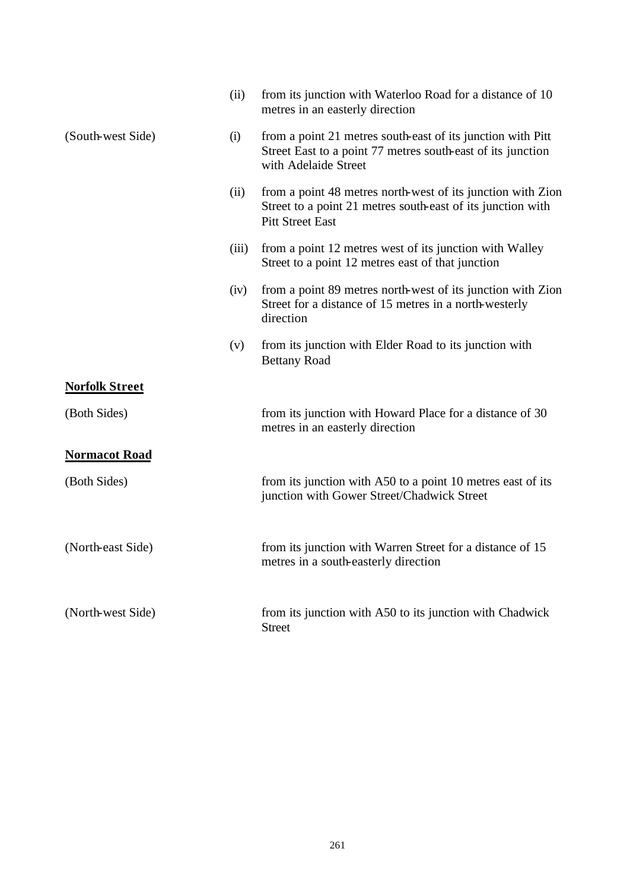|                       | (ii)  | from its junction with Waterloo Road for a distance of 10<br>metres in an easterly direction                                                          |
|-----------------------|-------|-------------------------------------------------------------------------------------------------------------------------------------------------------|
| (South-west Side)     | (i)   | from a point 21 metres south-east of its junction with Pitt<br>Street East to a point 77 metres south-east of its junction<br>with Adelaide Street    |
|                       | (ii)  | from a point 48 metres north-west of its junction with Zion<br>Street to a point 21 metres south-east of its junction with<br><b>Pitt Street East</b> |
|                       | (iii) | from a point 12 metres west of its junction with Walley<br>Street to a point 12 metres east of that junction                                          |
|                       | (iv)  | from a point 89 metres north-west of its junction with Zion<br>Street for a distance of 15 metres in a north-westerly<br>direction                    |
|                       | (v)   | from its junction with Elder Road to its junction with<br><b>Bettany Road</b>                                                                         |
| <b>Norfolk Street</b> |       |                                                                                                                                                       |
| (Both Sides)          |       | from its junction with Howard Place for a distance of 30<br>metres in an easterly direction                                                           |
| <b>Normacot Road</b>  |       |                                                                                                                                                       |
| (Both Sides)          |       | from its junction with A50 to a point 10 metres east of its<br>junction with Gower Street/Chadwick Street                                             |
| (North-east Side)     |       | from its junction with Warren Street for a distance of 15<br>metres in a south-easterly direction                                                     |
| (North-west Side)     |       | from its junction with A50 to its junction with Chadwick<br><b>Street</b>                                                                             |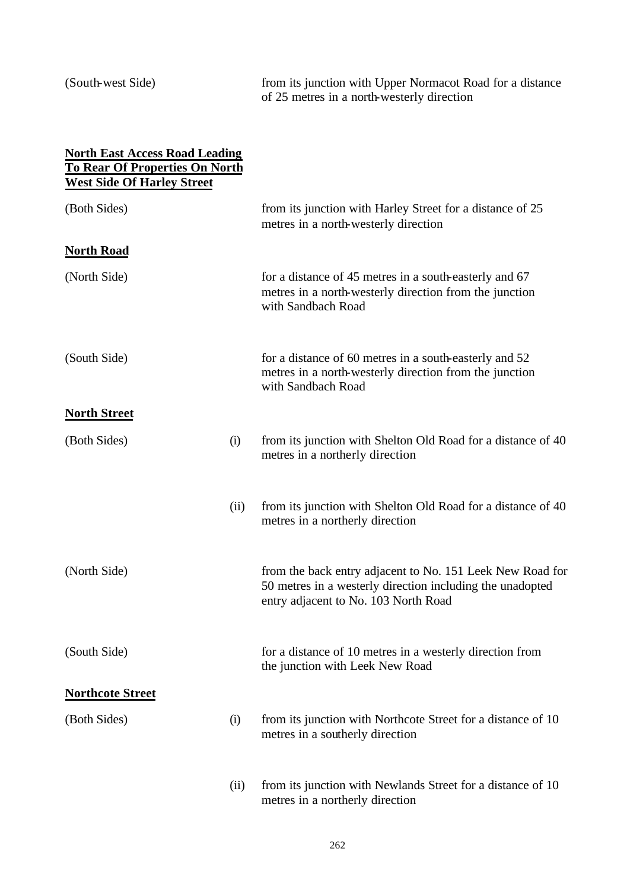(South-west Side) from its junction with Upper Normacot Road for a distance of 25 metres in a north-westerly direction

| <b>North East Access Road Leading</b><br><b>To Rear Of Properties On North</b><br><b>West Side Of Harley Street</b> |      |                                                                                                                                                                |
|---------------------------------------------------------------------------------------------------------------------|------|----------------------------------------------------------------------------------------------------------------------------------------------------------------|
| (Both Sides)                                                                                                        |      | from its junction with Harley Street for a distance of 25<br>metres in a north-westerly direction                                                              |
| <b>North Road</b>                                                                                                   |      |                                                                                                                                                                |
| (North Side)                                                                                                        |      | for a distance of 45 metres in a south-easterly and 67<br>metres in a north-westerly direction from the junction<br>with Sandbach Road                         |
| (South Side)                                                                                                        |      | for a distance of 60 metres in a south-easterly and 52<br>metres in a north-westerly direction from the junction<br>with Sandbach Road                         |
| <b>North Street</b>                                                                                                 |      |                                                                                                                                                                |
| (Both Sides)                                                                                                        | (i)  | from its junction with Shelton Old Road for a distance of 40<br>metres in a northerly direction                                                                |
|                                                                                                                     | (ii) | from its junction with Shelton Old Road for a distance of 40<br>metres in a northerly direction                                                                |
| (North Side)                                                                                                        |      | from the back entry adjacent to No. 151 Leek New Road for<br>50 metres in a westerly direction including the unadopted<br>entry adjacent to No. 103 North Road |
| (South Side)                                                                                                        |      | for a distance of 10 metres in a westerly direction from<br>the junction with Leek New Road                                                                    |
| <b>Northcote Street</b>                                                                                             |      |                                                                                                                                                                |
| (Both Sides)                                                                                                        | (i)  | from its junction with Northcote Street for a distance of 10<br>metres in a southerly direction                                                                |
|                                                                                                                     | (ii) | from its junction with Newlands Street for a distance of 10<br>metres in a northerly direction                                                                 |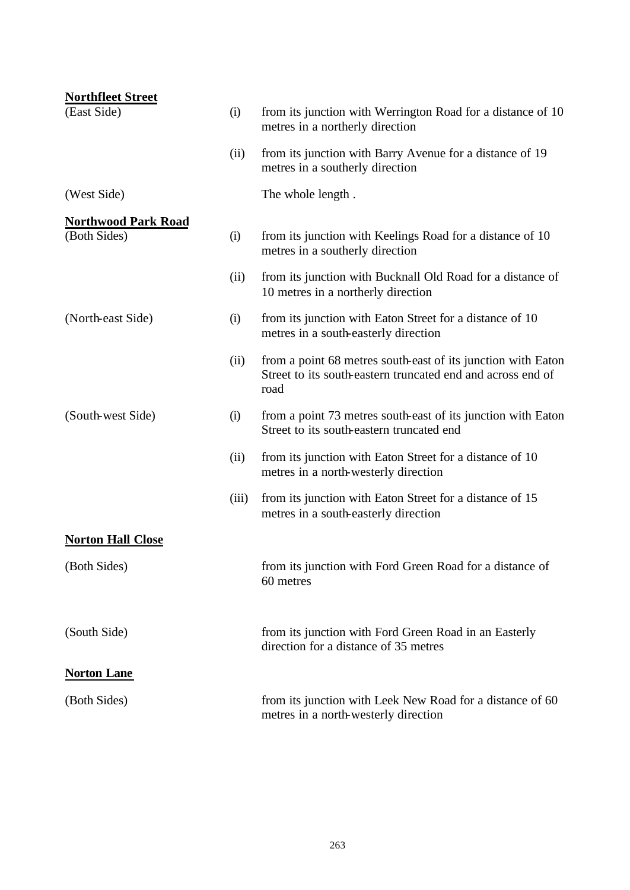| <b>Northfleet Street</b>   |       |                                                                                                                                     |
|----------------------------|-------|-------------------------------------------------------------------------------------------------------------------------------------|
| (East Side)                | (i)   | from its junction with Werrington Road for a distance of 10<br>metres in a northerly direction                                      |
|                            | (ii)  | from its junction with Barry Avenue for a distance of 19<br>metres in a southerly direction                                         |
| (West Side)                |       | The whole length.                                                                                                                   |
| <b>Northwood Park Road</b> |       |                                                                                                                                     |
| (Both Sides)               | (i)   | from its junction with Keelings Road for a distance of 10<br>metres in a southerly direction                                        |
|                            | (ii)  | from its junction with Bucknall Old Road for a distance of<br>10 metres in a northerly direction                                    |
| (North-east Side)          | (i)   | from its junction with Eaton Street for a distance of 10<br>metres in a south-easterly direction                                    |
|                            | (ii)  | from a point 68 metres south-east of its junction with Eaton<br>Street to its south-eastern truncated end and across end of<br>road |
| (South-west Side)          | (i)   | from a point 73 metres south-east of its junction with Eaton<br>Street to its south-eastern truncated end                           |
|                            | (ii)  | from its junction with Eaton Street for a distance of 10<br>metres in a north-westerly direction                                    |
|                            | (iii) | from its junction with Eaton Street for a distance of 15<br>metres in a south-easterly direction                                    |
| <b>Norton Hall Close</b>   |       |                                                                                                                                     |
| (Both Sides)               |       | from its junction with Ford Green Road for a distance of<br>60 metres                                                               |
| (South Side)               |       | from its junction with Ford Green Road in an Easterly<br>direction for a distance of 35 metres                                      |
| <b>Norton Lane</b>         |       |                                                                                                                                     |
| (Both Sides)               |       | from its junction with Leek New Road for a distance of 60<br>metres in a north-westerly direction                                   |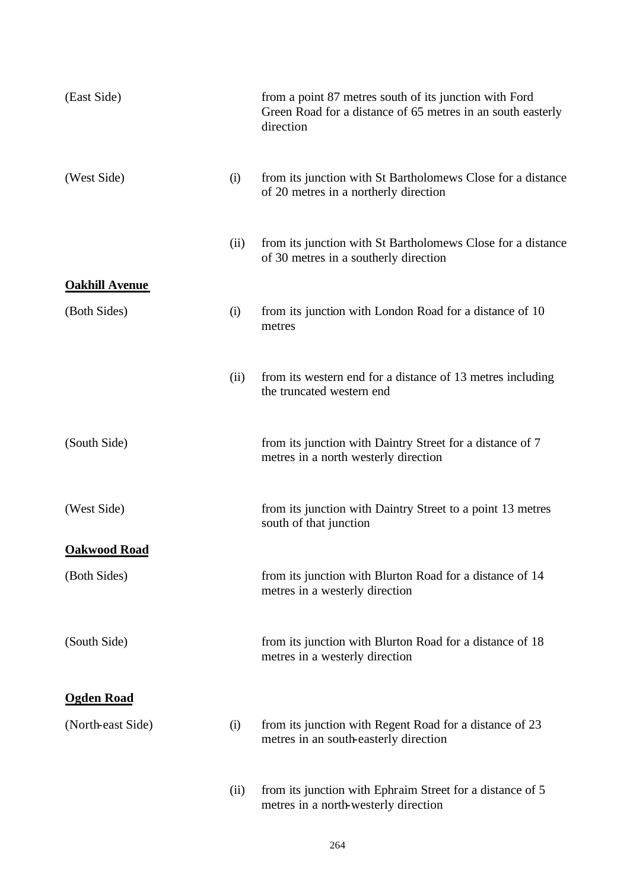| (East Side)           |      | from a point 87 metres south of its junction with Ford<br>Green Road for a distance of 65 metres in an south easterly<br>direction |
|-----------------------|------|------------------------------------------------------------------------------------------------------------------------------------|
| (West Side)           | (i)  | from its junction with St Bartholomews Close for a distance<br>of 20 metres in a northerly direction                               |
|                       | (ii) | from its junction with St Bartholomews Close for a distance<br>of 30 metres in a southerly direction                               |
| <b>Oakhill Avenue</b> |      |                                                                                                                                    |
| (Both Sides)          | (i)  | from its junction with London Road for a distance of 10<br>metres                                                                  |
|                       | (ii) | from its western end for a distance of 13 metres including<br>the truncated western end                                            |
| (South Side)          |      | from its junction with Daintry Street for a distance of 7<br>metres in a north westerly direction                                  |
| (West Side)           |      | from its junction with Daintry Street to a point 13 metres<br>south of that junction                                               |
| <b>Oakwood Road</b>   |      |                                                                                                                                    |
| (Both Sides)          |      | from its junction with Blurton Road for a distance of 14<br>metres in a westerly direction                                         |
| (South Side)          |      | from its junction with Blurton Road for a distance of 18<br>metres in a westerly direction                                         |
| <b>Ogden Road</b>     |      |                                                                                                                                    |
|                       |      |                                                                                                                                    |
| (North-east Side)     | (i)  | from its junction with Regent Road for a distance of 23<br>metres in an south-easterly direction                                   |
|                       | (ii) | from its junction with Ephraim Street for a distance of 5<br>metres in a north-westerly direction                                  |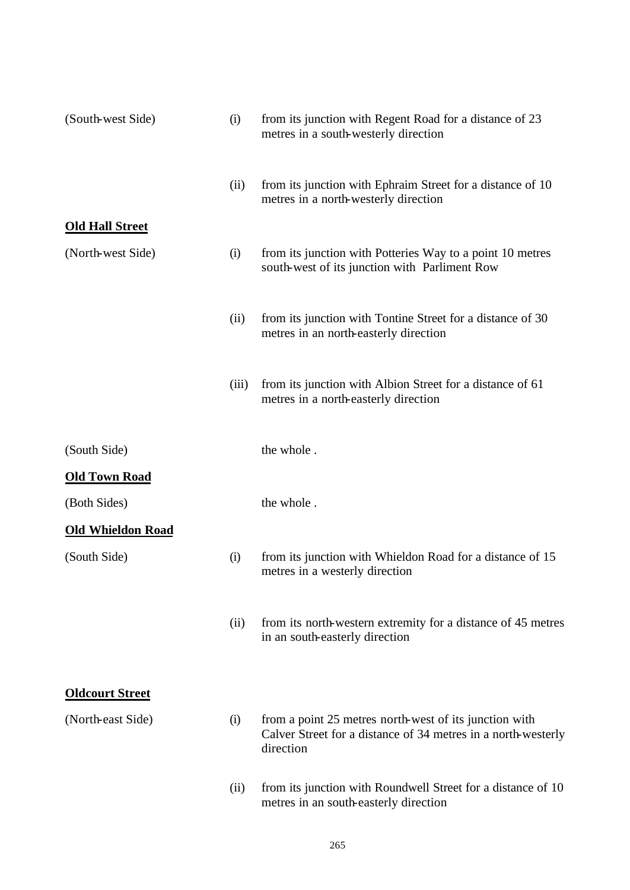| (South-west Side)        | (i)   | from its junction with Regent Road for a distance of 23<br>metres in a south-westerly direction                                      |
|--------------------------|-------|--------------------------------------------------------------------------------------------------------------------------------------|
|                          | (ii)  | from its junction with Ephraim Street for a distance of 10<br>metres in a north-westerly direction                                   |
| <b>Old Hall Street</b>   |       |                                                                                                                                      |
| (North-west Side)        | (i)   | from its junction with Potteries Way to a point 10 metres<br>south-west of its junction with Parliment Row                           |
|                          | (ii)  | from its junction with Tontine Street for a distance of 30<br>metres in an north-easterly direction                                  |
|                          | (iii) | from its junction with Albion Street for a distance of 61<br>metres in a north-easterly direction                                    |
| (South Side)             |       | the whole.                                                                                                                           |
| <b>Old Town Road</b>     |       |                                                                                                                                      |
| (Both Sides)             |       | the whole.                                                                                                                           |
| <b>Old Whieldon Road</b> |       |                                                                                                                                      |
| (South Side)             | (i)   | from its junction with Whieldon Road for a distance of 15<br>metres in a westerly direction                                          |
|                          | (ii)  | from its north-western extremity for a distance of 45 metres<br>in an south-easterly direction                                       |
| <b>Oldcourt Street</b>   |       |                                                                                                                                      |
| (North-east Side)        | (i)   | from a point 25 metres north-west of its junction with<br>Calver Street for a distance of 34 metres in a north-westerly<br>direction |
|                          | (ii)  | from its junction with Roundwell Street for a distance of 10<br>metres in an south-easterly direction                                |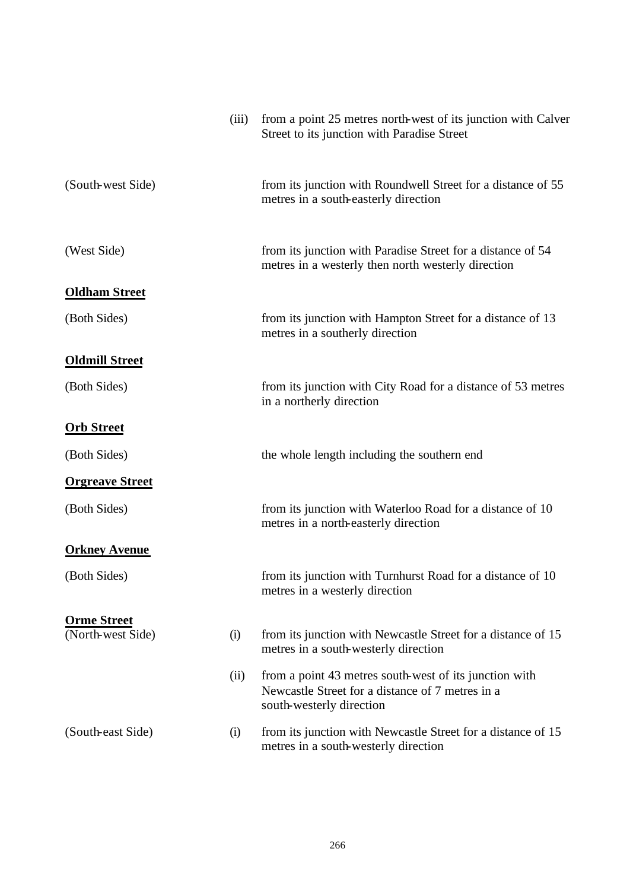| (iii)                    | from a point 25 metres north-west of its junction with Calver<br>Street to its junction with Paradise Street                           |
|--------------------------|----------------------------------------------------------------------------------------------------------------------------------------|
| (South-west Side)        | from its junction with Roundwell Street for a distance of 55<br>metres in a south-easterly direction                                   |
| (West Side)              | from its junction with Paradise Street for a distance of 54<br>metres in a westerly then north westerly direction                      |
| <b>Oldham Street</b>     |                                                                                                                                        |
| (Both Sides)             | from its junction with Hampton Street for a distance of 13<br>metres in a southerly direction                                          |
| <b>Oldmill Street</b>    |                                                                                                                                        |
| (Both Sides)             | from its junction with City Road for a distance of 53 metres<br>in a northerly direction                                               |
| <b>Orb Street</b>        |                                                                                                                                        |
| (Both Sides)             | the whole length including the southern end                                                                                            |
| <b>Orgreave Street</b>   |                                                                                                                                        |
| (Both Sides)             | from its junction with Waterloo Road for a distance of 10<br>metres in a north-easterly direction                                      |
| <b>Orkney Avenue</b>     |                                                                                                                                        |
| (Both Sides)             | from its junction with Turnhurst Road for a distance of 10<br>metres in a westerly direction                                           |
| <b>Orme Street</b>       |                                                                                                                                        |
| (North-west Side)<br>(i) | from its junction with Newcastle Street for a distance of 15<br>metres in a south-westerly direction                                   |
| (ii)                     | from a point 43 metres south-west of its junction with<br>Newcastle Street for a distance of 7 metres in a<br>south-westerly direction |
| (South-east Side)<br>(i) | from its junction with Newcastle Street for a distance of 15<br>metres in a south-westerly direction                                   |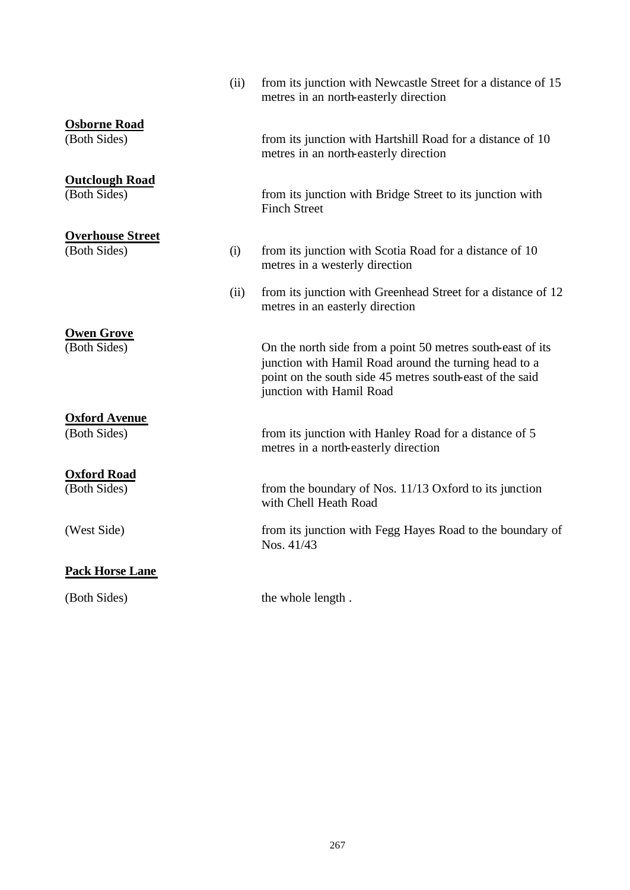|                                         | (ii) | from its junction with Newcastle Street for a distance of 15<br>metres in an north-easterly direction                                                                                                       |
|-----------------------------------------|------|-------------------------------------------------------------------------------------------------------------------------------------------------------------------------------------------------------------|
| <b>Osborne Road</b><br>(Both Sides)     |      | from its junction with Hartshill Road for a distance of 10<br>metres in an north-easterly direction                                                                                                         |
| <b>Outclough Road</b><br>(Both Sides)   |      | from its junction with Bridge Street to its junction with<br><b>Finch Street</b>                                                                                                                            |
| <b>Overhouse Street</b><br>(Both Sides) | (i)  | from its junction with Scotia Road for a distance of 10<br>metres in a westerly direction                                                                                                                   |
|                                         | (ii) | from its junction with Greenhead Street for a distance of 12<br>metres in an easterly direction                                                                                                             |
| <b>Owen Grove</b><br>(Both Sides)       |      | On the north side from a point 50 metres south-east of its<br>junction with Hamil Road around the turning head to a<br>point on the south side 45 metres south-east of the said<br>junction with Hamil Road |
| <b>Oxford Avenue</b><br>(Both Sides)    |      | from its junction with Hanley Road for a distance of 5<br>metres in a north-easterly direction                                                                                                              |
| <b>Oxford Road</b><br>(Both Sides)      |      | from the boundary of Nos. 11/13 Oxford to its junction<br>with Chell Heath Road                                                                                                                             |
| (West Side)                             |      | from its junction with Fegg Hayes Road to the boundary of<br>Nos. 41/43                                                                                                                                     |
| <b>Pack Horse Lane</b>                  |      |                                                                                                                                                                                                             |
| (Both Sides)                            |      | the whole length.                                                                                                                                                                                           |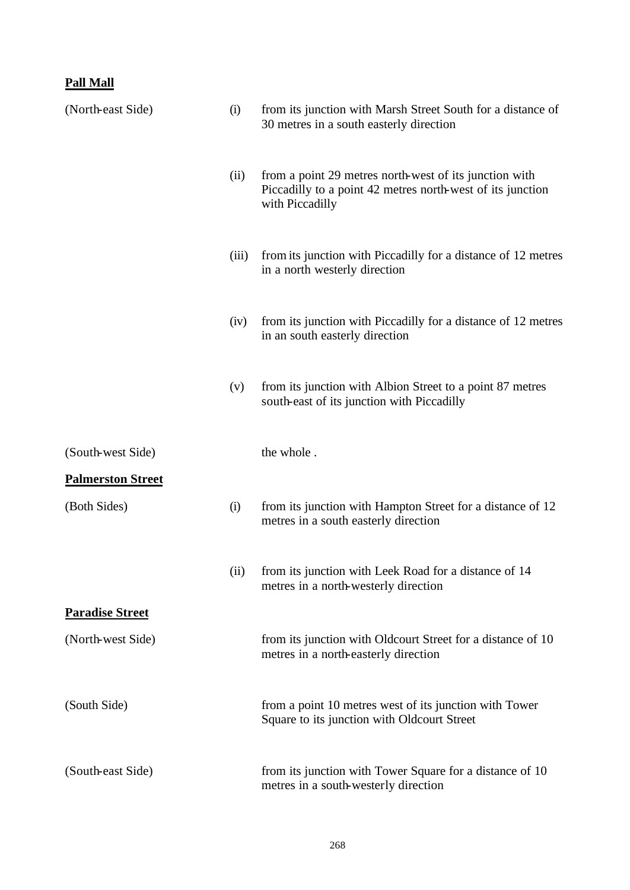#### **Pall Mall**

| (North-east Side)        | (i)   | from its junction with Marsh Street South for a distance of<br>30 metres in a south easterly direction                                  |
|--------------------------|-------|-----------------------------------------------------------------------------------------------------------------------------------------|
|                          | (ii)  | from a point 29 metres north-west of its junction with<br>Piccadilly to a point 42 metres north-west of its junction<br>with Piccadilly |
|                          | (iii) | from its junction with Piccadilly for a distance of 12 metres<br>in a north westerly direction                                          |
|                          | (iv)  | from its junction with Piccadilly for a distance of 12 metres<br>in an south easterly direction                                         |
|                          | (v)   | from its junction with Albion Street to a point 87 metres<br>south-east of its junction with Piccadilly                                 |
| (South-west Side)        |       | the whole.                                                                                                                              |
| <b>Palmerston Street</b> |       |                                                                                                                                         |
| (Both Sides)             | (i)   | from its junction with Hampton Street for a distance of 12<br>metres in a south easterly direction                                      |
|                          | (ii)  | from its junction with Leek Road for a distance of 14<br>metres in a north-westerly direction                                           |
| <b>Paradise Street</b>   |       |                                                                                                                                         |
| (North-west Side)        |       | from its junction with Oldcourt Street for a distance of 10<br>metres in a north-easterly direction                                     |
| (South Side)             |       | from a point 10 metres west of its junction with Tower<br>Square to its junction with Oldcourt Street                                   |
| (South-east Side)        |       | from its junction with Tower Square for a distance of 10<br>metres in a south-westerly direction                                        |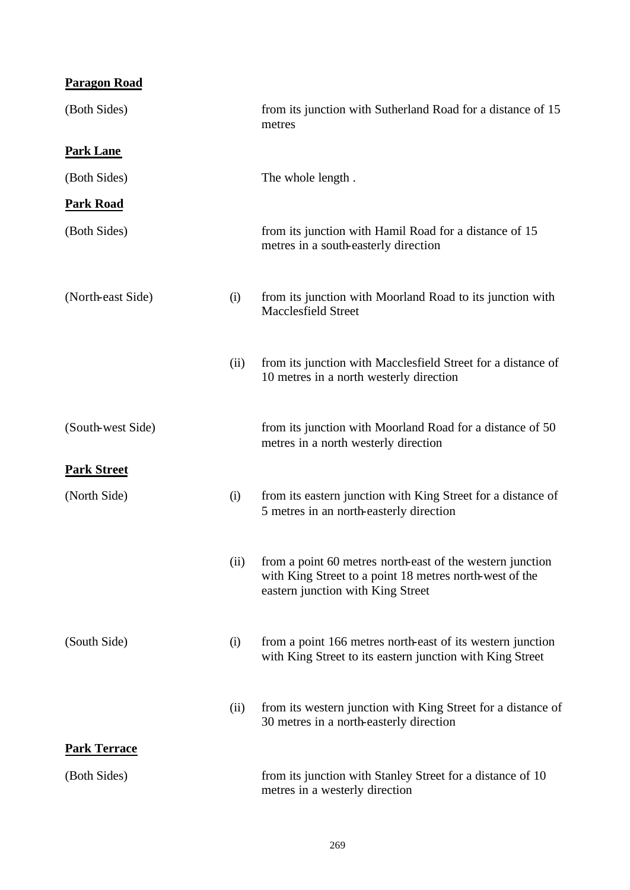| <b>Paragon Road</b> |      |                                                                                                                                                           |
|---------------------|------|-----------------------------------------------------------------------------------------------------------------------------------------------------------|
| (Both Sides)        |      | from its junction with Sutherland Road for a distance of 15<br>metres                                                                                     |
| <b>Park Lane</b>    |      |                                                                                                                                                           |
| (Both Sides)        |      | The whole length.                                                                                                                                         |
| <b>Park Road</b>    |      |                                                                                                                                                           |
| (Both Sides)        |      | from its junction with Hamil Road for a distance of 15<br>metres in a south-easterly direction                                                            |
| (North-east Side)   | (i)  | from its junction with Moorland Road to its junction with<br><b>Macclesfield Street</b>                                                                   |
|                     | (ii) | from its junction with Macclesfield Street for a distance of<br>10 metres in a north westerly direction                                                   |
| (South-west Side)   |      | from its junction with Moorland Road for a distance of 50<br>metres in a north westerly direction                                                         |
| <b>Park Street</b>  |      |                                                                                                                                                           |
| (North Side)        | (i)  | from its eastern junction with King Street for a distance of<br>5 metres in an north-easterly direction                                                   |
|                     | (ii) | from a point 60 metres north-east of the western junction<br>with King Street to a point 18 metres north-west of the<br>eastern junction with King Street |
| (South Side)        | (i)  | from a point 166 metres north-east of its western junction<br>with King Street to its eastern junction with King Street                                   |
|                     | (ii) | from its western junction with King Street for a distance of<br>30 metres in a north-easterly direction                                                   |
| <b>Park Terrace</b> |      |                                                                                                                                                           |
| (Both Sides)        |      | from its junction with Stanley Street for a distance of 10<br>metres in a westerly direction                                                              |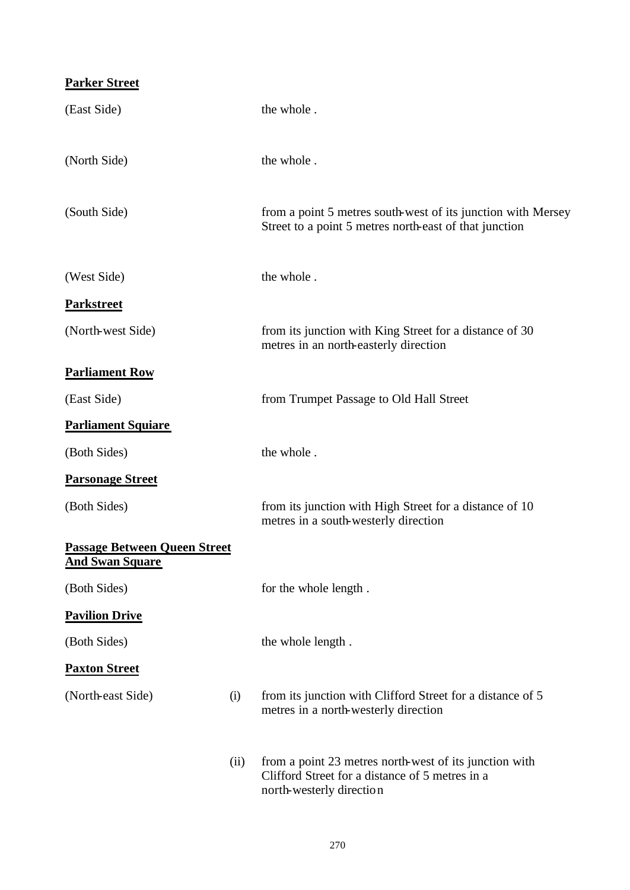#### **Parker Street**

| (East Side)                                                   |      | the whole.                                                                                                                            |
|---------------------------------------------------------------|------|---------------------------------------------------------------------------------------------------------------------------------------|
| (North Side)                                                  |      | the whole.                                                                                                                            |
| (South Side)                                                  |      | from a point 5 metres south-west of its junction with Mersey<br>Street to a point 5 metres north-east of that junction                |
| (West Side)                                                   |      | the whole.                                                                                                                            |
| <b>Parkstreet</b>                                             |      |                                                                                                                                       |
| (North-west Side)                                             |      | from its junction with King Street for a distance of 30<br>metres in an north-easterly direction                                      |
| <b>Parliament Row</b>                                         |      |                                                                                                                                       |
| (East Side)                                                   |      | from Trumpet Passage to Old Hall Street                                                                                               |
| <b>Parliament Squiare</b>                                     |      |                                                                                                                                       |
| (Both Sides)                                                  |      | the whole.                                                                                                                            |
| <b>Parsonage Street</b>                                       |      |                                                                                                                                       |
| (Both Sides)                                                  |      | from its junction with High Street for a distance of 10<br>metres in a south-westerly direction                                       |
| <b>Passage Between Queen Street</b><br><b>And Swan Square</b> |      |                                                                                                                                       |
| (Both Sides)                                                  |      | for the whole length.                                                                                                                 |
| <b>Pavilion Drive</b>                                         |      |                                                                                                                                       |
| (Both Sides)                                                  |      | the whole length.                                                                                                                     |
| <b>Paxton Street</b>                                          |      |                                                                                                                                       |
| (North-east Side)                                             | (i)  | from its junction with Clifford Street for a distance of 5<br>metres in a north-westerly direction                                    |
|                                                               | (ii) | from a point 23 metres north-west of its junction with<br>Clifford Street for a distance of 5 metres in a<br>north-westerly direction |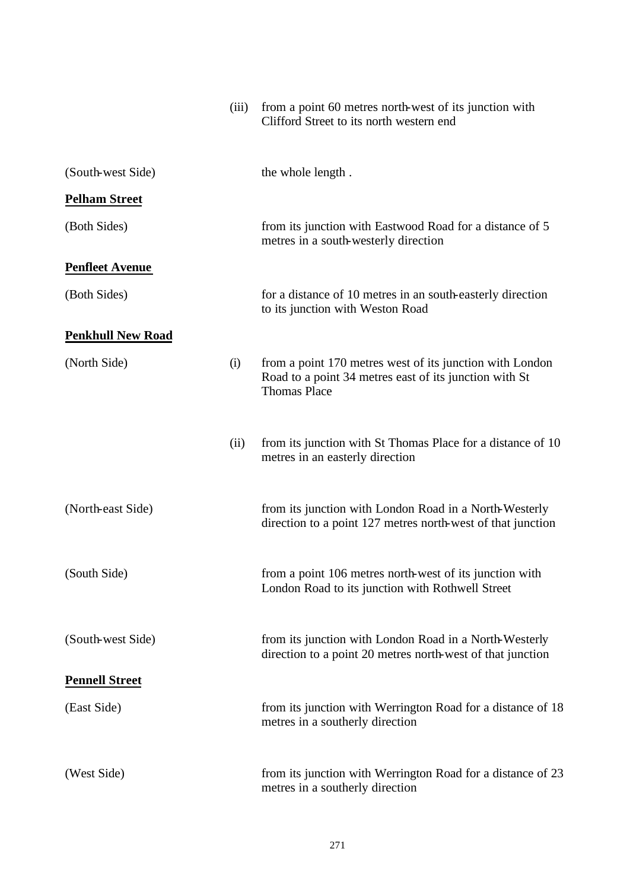|                          | (iii) | from a point 60 metres north-west of its junction with<br>Clifford Street to its north western end                                        |
|--------------------------|-------|-------------------------------------------------------------------------------------------------------------------------------------------|
| (South-west Side)        |       | the whole length.                                                                                                                         |
| <b>Pelham Street</b>     |       |                                                                                                                                           |
| (Both Sides)             |       | from its junction with Eastwood Road for a distance of 5<br>metres in a south-westerly direction                                          |
| <b>Penfleet Avenue</b>   |       |                                                                                                                                           |
| (Both Sides)             |       | for a distance of 10 metres in an south-easterly direction<br>to its junction with Weston Road                                            |
| <b>Penkhull New Road</b> |       |                                                                                                                                           |
| (North Side)             | (i)   | from a point 170 metres west of its junction with London<br>Road to a point 34 metres east of its junction with St<br><b>Thomas Place</b> |
|                          | (ii)  | from its junction with St Thomas Place for a distance of 10<br>metres in an easterly direction                                            |
| (North-east Side)        |       | from its junction with London Road in a North-Westerly<br>direction to a point 127 metres north-west of that junction                     |
| (South Side)             |       | from a point 106 metres north-west of its junction with<br>London Road to its junction with Rothwell Street                               |
| (South-west Side)        |       | from its junction with London Road in a North-Westerly<br>direction to a point 20 metres north-west of that junction                      |
| <b>Pennell Street</b>    |       |                                                                                                                                           |
| (East Side)              |       | from its junction with Werrington Road for a distance of 18<br>metres in a southerly direction                                            |
| (West Side)              |       | from its junction with Werrington Road for a distance of 23<br>metres in a southerly direction                                            |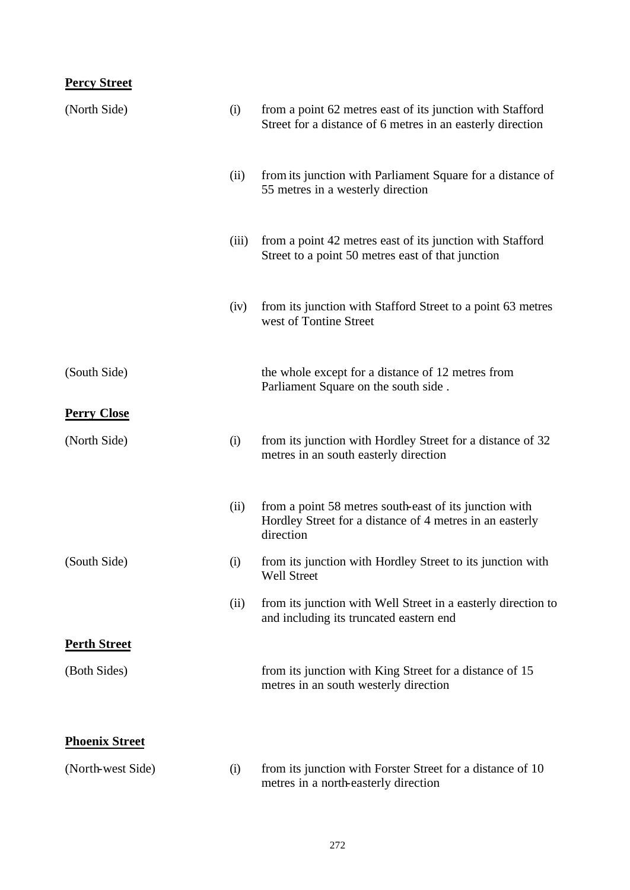## **Percy Street**

| (North Side)          | (i)   | from a point 62 metres east of its junction with Stafford<br>Street for a distance of 6 metres in an easterly direction         |
|-----------------------|-------|---------------------------------------------------------------------------------------------------------------------------------|
|                       | (ii)  | from its junction with Parliament Square for a distance of<br>55 metres in a westerly direction                                 |
|                       | (iii) | from a point 42 metres east of its junction with Stafford<br>Street to a point 50 metres east of that junction                  |
|                       | (iv)  | from its junction with Stafford Street to a point 63 metres<br>west of Tontine Street                                           |
| (South Side)          |       | the whole except for a distance of 12 metres from<br>Parliament Square on the south side.                                       |
| <b>Perry Close</b>    |       |                                                                                                                                 |
| (North Side)          | (i)   | from its junction with Hordley Street for a distance of 32<br>metres in an south easterly direction                             |
|                       | (ii)  | from a point 58 metres south-east of its junction with<br>Hordley Street for a distance of 4 metres in an easterly<br>direction |
| (South Side)          | (i)   | from its junction with Hordley Street to its junction with<br>Well Street                                                       |
|                       | (ii)  | from its junction with Well Street in a easterly direction to<br>and including its truncated eastern end                        |
| <b>Perth Street</b>   |       |                                                                                                                                 |
| (Both Sides)          |       | from its junction with King Street for a distance of 15<br>metres in an south westerly direction                                |
| <b>Phoenix Street</b> |       |                                                                                                                                 |
| (North-west Side)     | (i)   | from its junction with Forster Street for a distance of 10<br>metres in a north-easterly direction                              |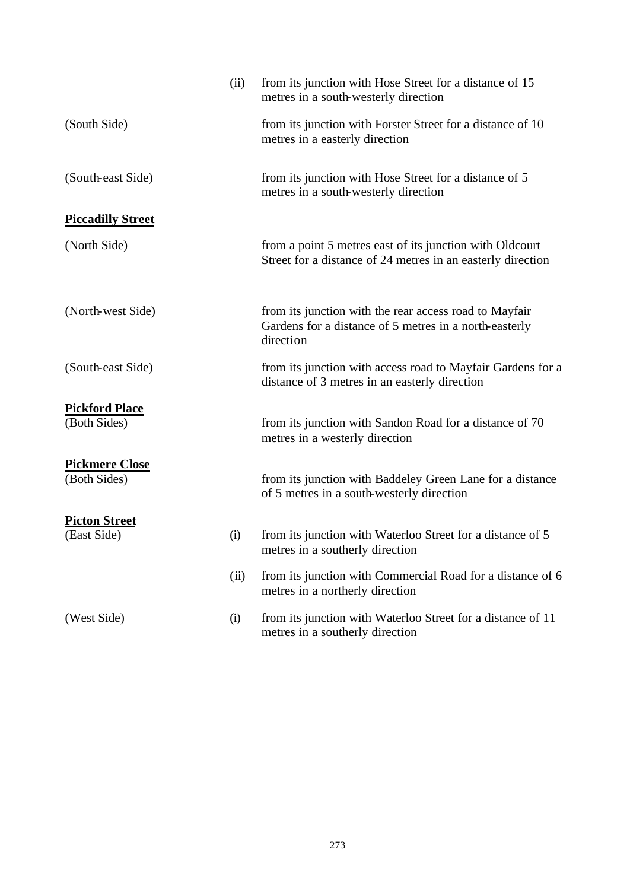|                                       | (ii) | from its junction with Hose Street for a distance of 15<br>metres in a south-westerly direction                               |
|---------------------------------------|------|-------------------------------------------------------------------------------------------------------------------------------|
| (South Side)                          |      | from its junction with Forster Street for a distance of 10<br>metres in a easterly direction                                  |
| (South-east Side)                     |      | from its junction with Hose Street for a distance of 5<br>metres in a south-westerly direction                                |
| <b>Piccadilly Street</b>              |      |                                                                                                                               |
| (North Side)                          |      | from a point 5 metres east of its junction with Oldcourt<br>Street for a distance of 24 metres in an easterly direction       |
| (North-west Side)                     |      | from its junction with the rear access road to Mayfair<br>Gardens for a distance of 5 metres in a north-easterly<br>direction |
| (South-east Side)                     |      | from its junction with access road to Mayfair Gardens for a<br>distance of 3 metres in an easterly direction                  |
| <b>Pickford Place</b><br>(Both Sides) |      | from its junction with Sandon Road for a distance of 70<br>metres in a westerly direction                                     |
| <b>Pickmere Close</b><br>(Both Sides) |      | from its junction with Baddeley Green Lane for a distance<br>of 5 metres in a south-westerly direction                        |
| <b>Picton Street</b><br>(East Side)   | (i)  | from its junction with Waterloo Street for a distance of 5<br>metres in a southerly direction                                 |
|                                       | (ii) | from its junction with Commercial Road for a distance of 6<br>metres in a northerly direction                                 |
| (West Side)                           | (i)  | from its junction with Waterloo Street for a distance of 11<br>metres in a southerly direction                                |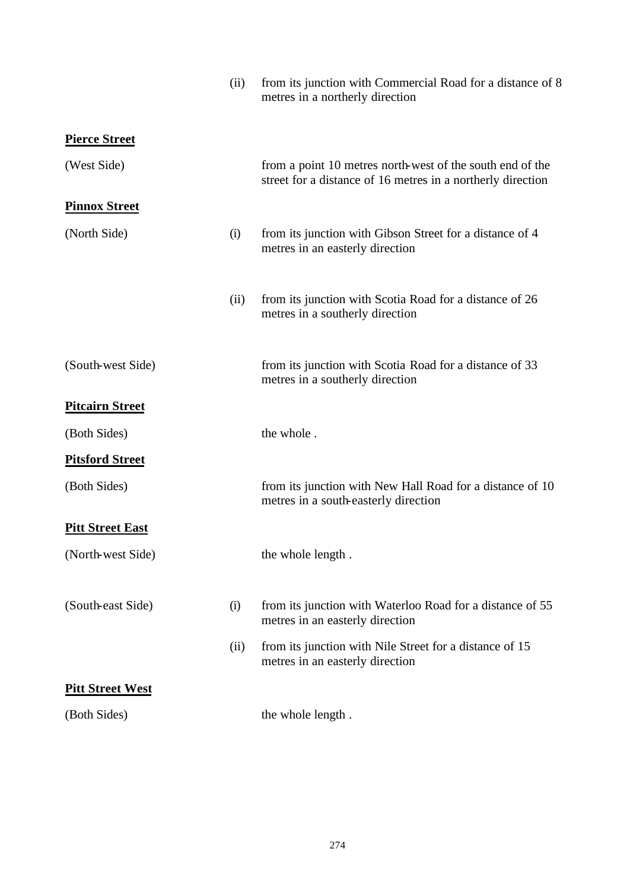|                         | (ii) | from its junction with Commercial Road for a distance of 8<br>metres in a northerly direction                            |
|-------------------------|------|--------------------------------------------------------------------------------------------------------------------------|
| <b>Pierce Street</b>    |      |                                                                                                                          |
| (West Side)             |      | from a point 10 metres north-west of the south end of the<br>street for a distance of 16 metres in a northerly direction |
| <b>Pinnox Street</b>    |      |                                                                                                                          |
| (North Side)            | (i)  | from its junction with Gibson Street for a distance of 4<br>metres in an easterly direction                              |
|                         | (ii) | from its junction with Scotia Road for a distance of 26<br>metres in a southerly direction                               |
| (South-west Side)       |      | from its junction with Scotia Road for a distance of 33<br>metres in a southerly direction                               |
| <b>Pitcairn Street</b>  |      |                                                                                                                          |
| (Both Sides)            |      | the whole.                                                                                                               |
| <b>Pitsford Street</b>  |      |                                                                                                                          |
| (Both Sides)            |      | from its junction with New Hall Road for a distance of 10<br>metres in a south-easterly direction                        |
| <b>Pitt Street East</b> |      |                                                                                                                          |
| (North-west Side)       |      | the whole length.                                                                                                        |
| (South-east Side)       | (i)  | from its junction with Waterloo Road for a distance of 55<br>metres in an easterly direction                             |
|                         | (ii) | from its junction with Nile Street for a distance of 15<br>metres in an easterly direction                               |
| <b>Pitt Street West</b> |      |                                                                                                                          |
| (Both Sides)            |      | the whole length.                                                                                                        |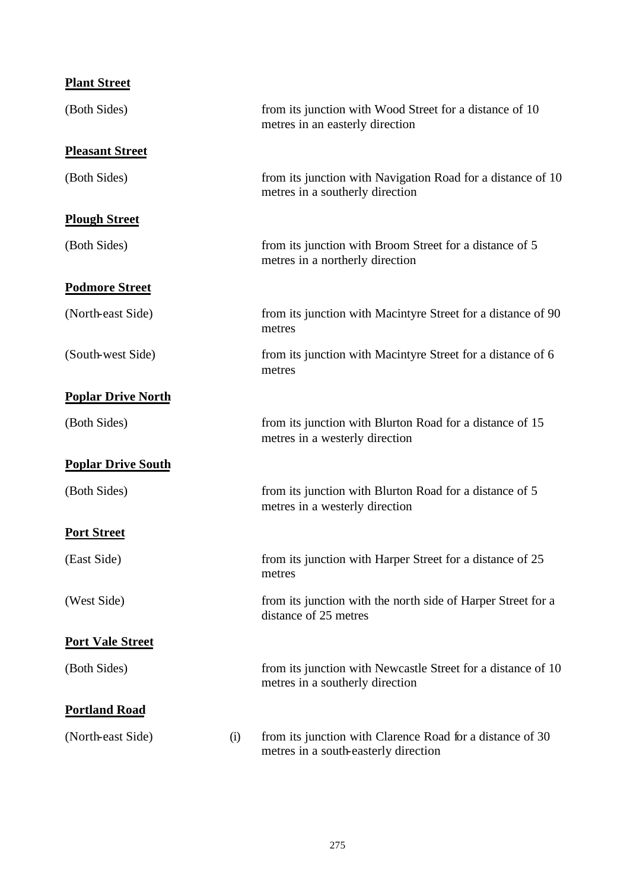| <b>Plant Street</b>       |     |                                                                                                   |
|---------------------------|-----|---------------------------------------------------------------------------------------------------|
| (Both Sides)              |     | from its junction with Wood Street for a distance of 10<br>metres in an easterly direction        |
| <b>Pleasant Street</b>    |     |                                                                                                   |
| (Both Sides)              |     | from its junction with Navigation Road for a distance of 10<br>metres in a southerly direction    |
| <b>Plough Street</b>      |     |                                                                                                   |
| (Both Sides)              |     | from its junction with Broom Street for a distance of 5<br>metres in a northerly direction        |
| <b>Podmore Street</b>     |     |                                                                                                   |
| (North-east Side)         |     | from its junction with Macintyre Street for a distance of 90<br>metres                            |
| (South-west Side)         |     | from its junction with Macintyre Street for a distance of 6<br>metres                             |
| <b>Poplar Drive North</b> |     |                                                                                                   |
| (Both Sides)              |     | from its junction with Blurton Road for a distance of 15<br>metres in a westerly direction        |
| <b>Poplar Drive South</b> |     |                                                                                                   |
| (Both Sides)              |     | from its junction with Blurton Road for a distance of 5<br>metres in a westerly direction         |
| <b>Port Street</b>        |     |                                                                                                   |
| (East Side)               |     | from its junction with Harper Street for a distance of 25<br>metres                               |
| (West Side)               |     | from its junction with the north side of Harper Street for a<br>distance of 25 metres             |
| <b>Port Vale Street</b>   |     |                                                                                                   |
| (Both Sides)              |     | from its junction with Newcastle Street for a distance of 10<br>metres in a southerly direction   |
| <b>Portland Road</b>      |     |                                                                                                   |
| (North-east Side)         | (i) | from its junction with Clarence Road for a distance of 30<br>metres in a south-easterly direction |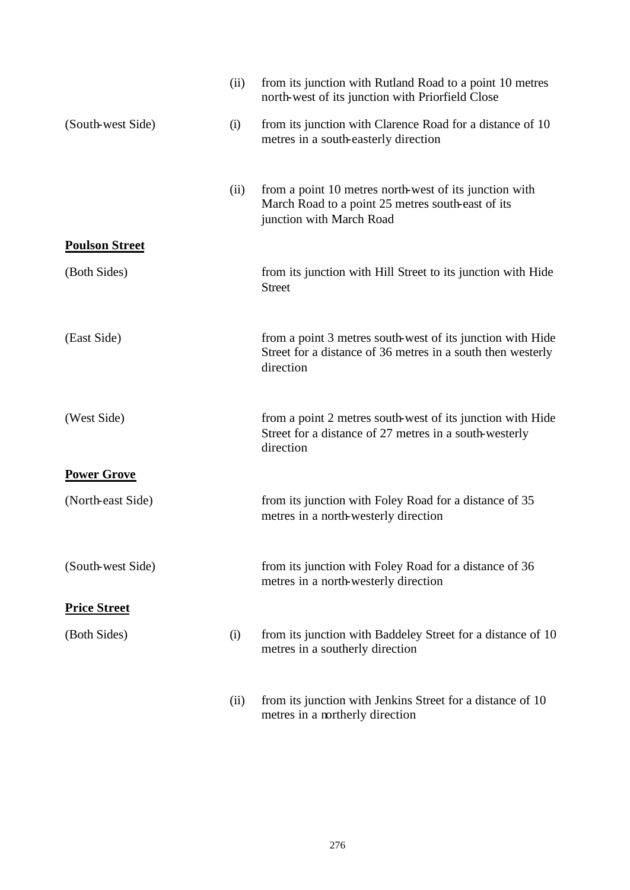|                       | (ii) | from its junction with Rutland Road to a point 10 metres<br>north-west of its junction with Priorfield Close                            |
|-----------------------|------|-----------------------------------------------------------------------------------------------------------------------------------------|
| (South-west Side)     | (i)  | from its junction with Clarence Road for a distance of 10<br>metres in a south-easterly direction                                       |
|                       | (ii) | from a point 10 metres north-west of its junction with<br>March Road to a point 25 metres south-east of its<br>junction with March Road |
| <b>Poulson Street</b> |      |                                                                                                                                         |
| (Both Sides)          |      | from its junction with Hill Street to its junction with Hide<br><b>Street</b>                                                           |
| (East Side)           |      | from a point 3 metres south-west of its junction with Hide<br>Street for a distance of 36 metres in a south then westerly<br>direction  |
| (West Side)           |      | from a point 2 metres south-west of its junction with Hide<br>Street for a distance of 27 metres in a south-westerly<br>direction       |
| <b>Power Grove</b>    |      |                                                                                                                                         |
| (North-east Side)     |      | from its junction with Foley Road for a distance of 35<br>metres in a north-westerly direction                                          |
| (South-west Side)     |      | from its junction with Foley Road for a distance of 36<br>metres in a north-westerly direction                                          |
| <b>Price Street</b>   |      |                                                                                                                                         |
| (Both Sides)          | (i)  | from its junction with Baddeley Street for a distance of 10<br>metres in a southerly direction                                          |
|                       | (ii) | from its junction with Jenkins Street for a distance of 10<br>metres in a northerly direction                                           |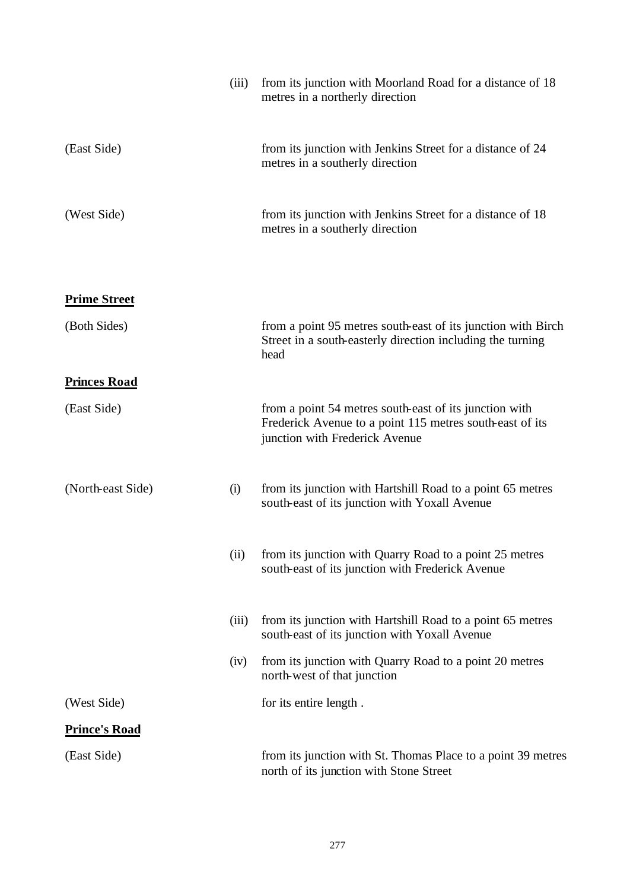|                      | (iii) | from its junction with Moorland Road for a distance of 18<br>metres in a northerly direction                                                         |
|----------------------|-------|------------------------------------------------------------------------------------------------------------------------------------------------------|
| (East Side)          |       | from its junction with Jenkins Street for a distance of 24<br>metres in a southerly direction                                                        |
| (West Side)          |       | from its junction with Jenkins Street for a distance of 18<br>metres in a southerly direction                                                        |
| <b>Prime Street</b>  |       |                                                                                                                                                      |
| (Both Sides)         |       | from a point 95 metres south-east of its junction with Birch<br>Street in a south-easterly direction including the turning<br>head                   |
| <b>Princes Road</b>  |       |                                                                                                                                                      |
| (East Side)          |       | from a point 54 metres south-east of its junction with<br>Frederick Avenue to a point 115 metres south-east of its<br>junction with Frederick Avenue |
| (North-east Side)    | (i)   | from its junction with Hartshill Road to a point 65 metres<br>south-east of its junction with Yoxall Avenue                                          |
|                      | (ii)  | from its junction with Quarry Road to a point 25 metres<br>south-east of its junction with Frederick Avenue                                          |
|                      | (iii) | from its junction with Hartshill Road to a point 65 metres<br>south-east of its junction with Yoxall Avenue                                          |
|                      | (iv)  | from its junction with Quarry Road to a point 20 metres<br>north-west of that junction                                                               |
| (West Side)          |       | for its entire length.                                                                                                                               |
| <b>Prince's Road</b> |       |                                                                                                                                                      |
| (East Side)          |       | from its junction with St. Thomas Place to a point 39 metres<br>north of its junction with Stone Street                                              |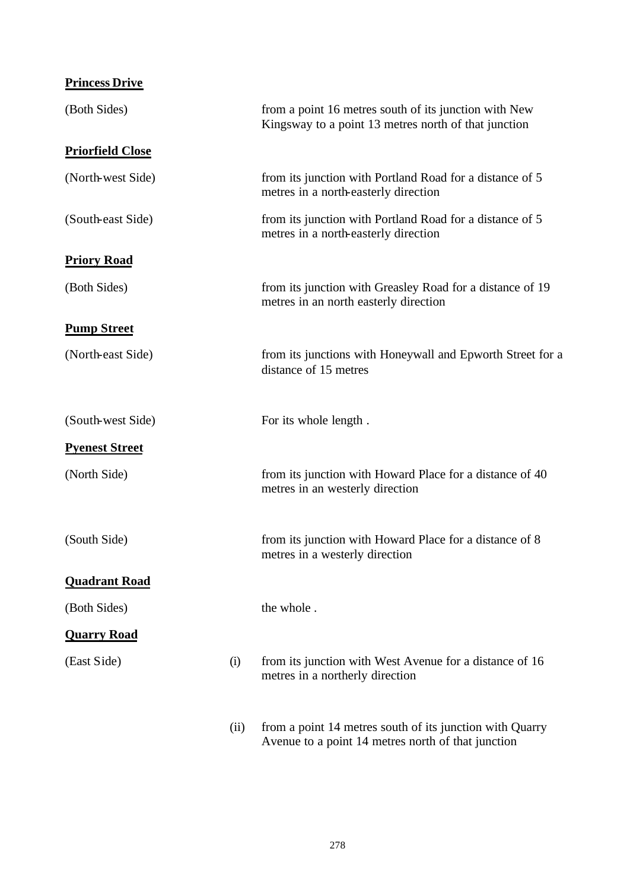| <b>Princess Drive</b>   |      |                                                                                                                |
|-------------------------|------|----------------------------------------------------------------------------------------------------------------|
| (Both Sides)            |      | from a point 16 metres south of its junction with New<br>Kingsway to a point 13 metres north of that junction  |
| <b>Priorfield Close</b> |      |                                                                                                                |
| (North-west Side)       |      | from its junction with Portland Road for a distance of 5<br>metres in a north-easterly direction               |
| (South-east Side)       |      | from its junction with Portland Road for a distance of 5<br>metres in a north-easterly direction               |
| <b>Priory Road</b>      |      |                                                                                                                |
| (Both Sides)            |      | from its junction with Greasley Road for a distance of 19<br>metres in an north easterly direction             |
| <b>Pump Street</b>      |      |                                                                                                                |
| (North-east Side)       |      | from its junctions with Honeywall and Epworth Street for a<br>distance of 15 metres                            |
| (South-west Side)       |      | For its whole length.                                                                                          |
| <b>Pyenest Street</b>   |      |                                                                                                                |
| (North Side)            |      | from its junction with Howard Place for a distance of 40<br>metres in an westerly direction                    |
| (South Side)            |      | from its junction with Howard Place for a distance of 8<br>metres in a westerly direction                      |
| <b>Quadrant Road</b>    |      |                                                                                                                |
| (Both Sides)            |      | the whole.                                                                                                     |
| <b>Quarry Road</b>      |      |                                                                                                                |
| (East Side)             | (i)  | from its junction with West Avenue for a distance of 16<br>metres in a northerly direction                     |
|                         | (ii) | from a point 14 metres south of its junction with Quarry<br>Avenue to a point 14 metres north of that junction |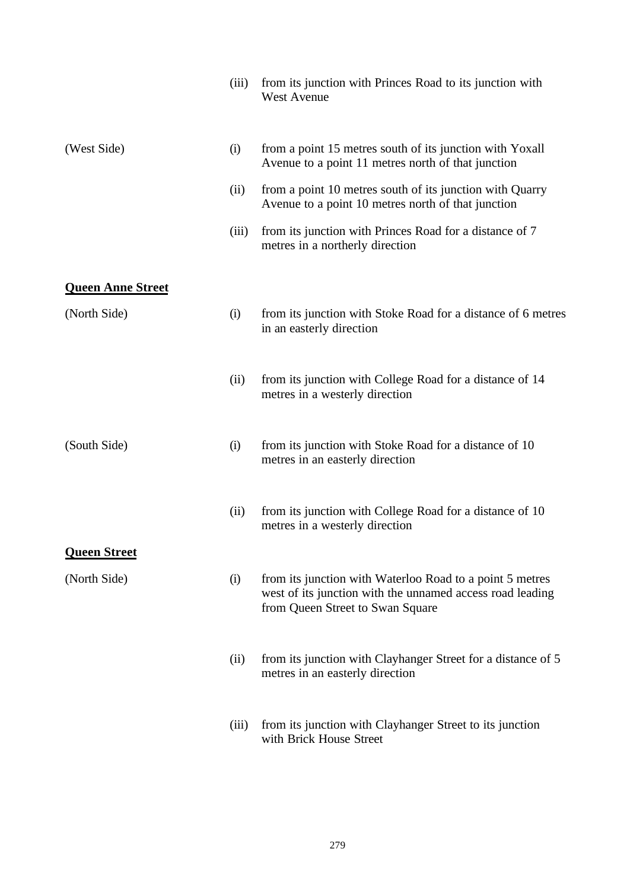|                          | (iii) | from its junction with Princes Road to its junction with<br><b>West Avenue</b>                                                                            |
|--------------------------|-------|-----------------------------------------------------------------------------------------------------------------------------------------------------------|
| (West Side)              | (i)   | from a point 15 metres south of its junction with Yoxall<br>Avenue to a point 11 metres north of that junction                                            |
|                          | (ii)  | from a point 10 metres south of its junction with Quarry<br>Avenue to a point 10 metres north of that junction                                            |
|                          | (iii) | from its junction with Princes Road for a distance of 7<br>metres in a northerly direction                                                                |
| <b>Queen Anne Street</b> |       |                                                                                                                                                           |
| (North Side)             | (i)   | from its junction with Stoke Road for a distance of 6 metres<br>in an easterly direction                                                                  |
|                          | (ii)  | from its junction with College Road for a distance of 14<br>metres in a westerly direction                                                                |
| (South Side)             | (i)   | from its junction with Stoke Road for a distance of 10<br>metres in an easterly direction                                                                 |
|                          | (ii)  | from its junction with College Road for a distance of 10<br>metres in a westerly direction                                                                |
| <b>Queen Street</b>      |       |                                                                                                                                                           |
| (North Side)             | (i)   | from its junction with Waterloo Road to a point 5 metres<br>west of its junction with the unnamed access road leading<br>from Queen Street to Swan Square |
|                          | (ii)  | from its junction with Clayhanger Street for a distance of 5<br>metres in an easterly direction                                                           |
|                          | (iii) | from its junction with Clayhanger Street to its junction<br>with Brick House Street                                                                       |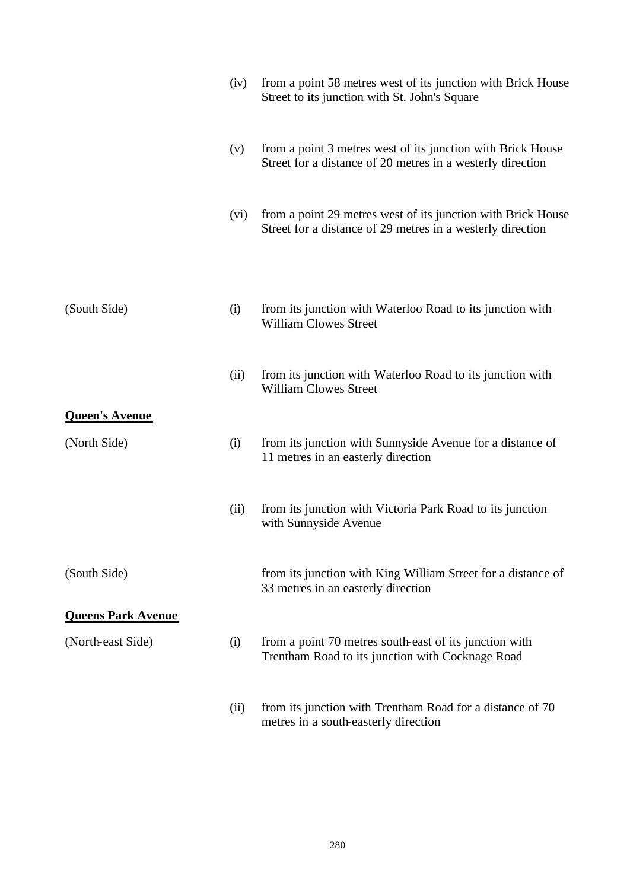|                           | (iv) | from a point 58 metres west of its junction with Brick House<br>Street to its junction with St. John's Square              |
|---------------------------|------|----------------------------------------------------------------------------------------------------------------------------|
|                           | (v)  | from a point 3 metres west of its junction with Brick House<br>Street for a distance of 20 metres in a westerly direction  |
|                           | (vi) | from a point 29 metres west of its junction with Brick House<br>Street for a distance of 29 metres in a westerly direction |
|                           |      |                                                                                                                            |
| (South Side)              | (i)  | from its junction with Waterloo Road to its junction with<br><b>William Clowes Street</b>                                  |
|                           | (ii) | from its junction with Waterloo Road to its junction with<br><b>William Clowes Street</b>                                  |
| <b>Queen's Avenue</b>     |      |                                                                                                                            |
| (North Side)              | (i)  | from its junction with Sunnyside Avenue for a distance of<br>11 metres in an easterly direction                            |
|                           | (ii) | from its junction with Victoria Park Road to its junction<br>with Sunnyside Avenue                                         |
| (South Side)              |      | from its junction with King William Street for a distance of<br>33 metres in an easterly direction                         |
| <b>Queens Park Avenue</b> |      |                                                                                                                            |
| (North-east Side)         | (i)  | from a point 70 metres south-east of its junction with<br>Trentham Road to its junction with Cocknage Road                 |
|                           | (ii) | from its junction with Trentham Road for a distance of 70<br>metres in a south-easterly direction                          |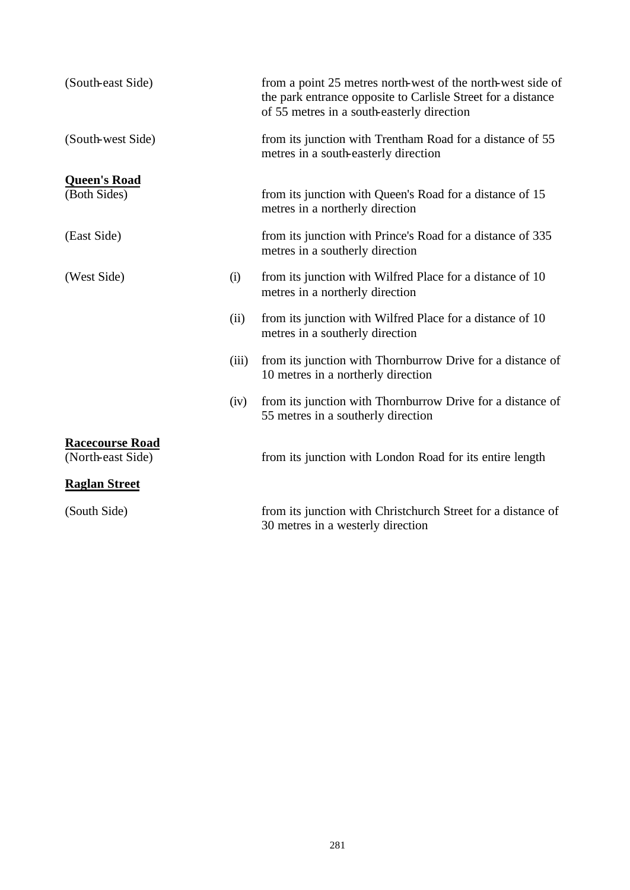| (South-east Side)                           |       | from a point 25 metres north-west of the north-west side of<br>the park entrance opposite to Carlisle Street for a distance<br>of 55 metres in a south-easterly direction |
|---------------------------------------------|-------|---------------------------------------------------------------------------------------------------------------------------------------------------------------------------|
| (South-west Side)                           |       | from its junction with Trentham Road for a distance of 55<br>metres in a south-easterly direction                                                                         |
| <b>Queen's Road</b>                         |       |                                                                                                                                                                           |
| (Both Sides)                                |       | from its junction with Queen's Road for a distance of 15<br>metres in a northerly direction                                                                               |
| (East Side)                                 |       | from its junction with Prince's Road for a distance of 335<br>metres in a southerly direction                                                                             |
| (West Side)                                 | (i)   | from its junction with Wilfred Place for a distance of 10<br>metres in a northerly direction                                                                              |
|                                             | (ii)  | from its junction with Wilfred Place for a distance of 10<br>metres in a southerly direction                                                                              |
|                                             | (iii) | from its junction with Thornburrow Drive for a distance of<br>10 metres in a northerly direction                                                                          |
|                                             | (iv)  | from its junction with Thornburrow Drive for a distance of<br>55 metres in a southerly direction                                                                          |
| <b>Racecourse Road</b><br>(North-east Side) |       | from its junction with London Road for its entire length                                                                                                                  |
| <b>Raglan Street</b>                        |       |                                                                                                                                                                           |
|                                             |       |                                                                                                                                                                           |
| (South Side)                                |       | from its junction with Christchurch Street for a distance of<br>30 metres in a westerly direction                                                                         |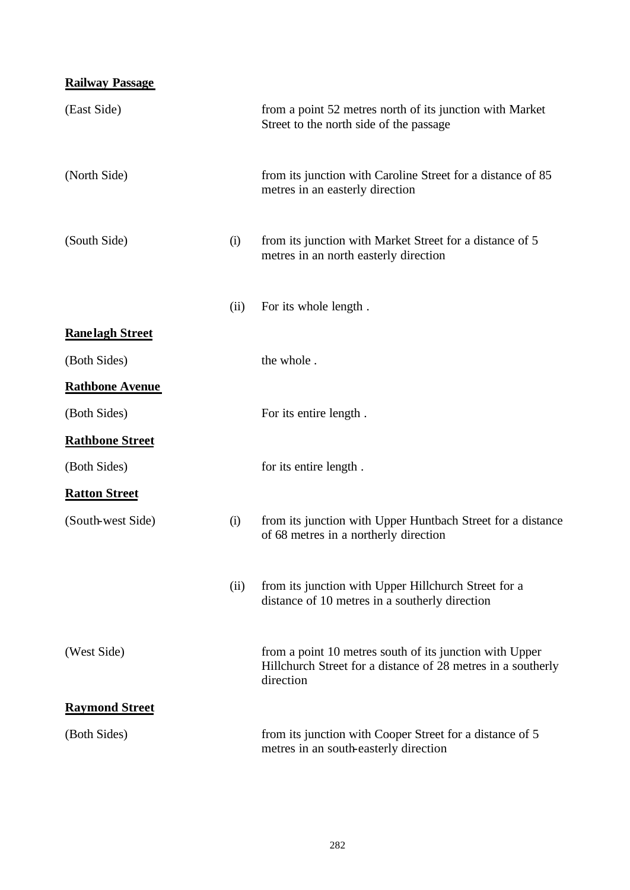#### **Railway Passage**

| (East Side)            |      | from a point 52 metres north of its junction with Market<br>Street to the north side of the passage                                  |
|------------------------|------|--------------------------------------------------------------------------------------------------------------------------------------|
| (North Side)           |      | from its junction with Caroline Street for a distance of 85<br>metres in an easterly direction                                       |
| (South Side)           | (i)  | from its junction with Market Street for a distance of 5<br>metres in an north easterly direction                                    |
|                        | (ii) | For its whole length.                                                                                                                |
| <b>Ranelagh Street</b> |      |                                                                                                                                      |
| (Both Sides)           |      | the whole.                                                                                                                           |
| <b>Rathbone Avenue</b> |      |                                                                                                                                      |
| (Both Sides)           |      | For its entire length.                                                                                                               |
| <b>Rathbone Street</b> |      |                                                                                                                                      |
| (Both Sides)           |      | for its entire length.                                                                                                               |
| <b>Ratton Street</b>   |      |                                                                                                                                      |
| (South-west Side)      | (i)  | from its junction with Upper Huntbach Street for a distance<br>of 68 metres in a northerly direction                                 |
|                        | (ii) | from its junction with Upper Hillchurch Street for a<br>distance of 10 metres in a southerly direction                               |
| (West Side)            |      | from a point 10 metres south of its junction with Upper<br>Hillchurch Street for a distance of 28 metres in a southerly<br>direction |
| <b>Raymond Street</b>  |      |                                                                                                                                      |
| (Both Sides)           |      | from its junction with Cooper Street for a distance of 5<br>metres in an south-easterly direction                                    |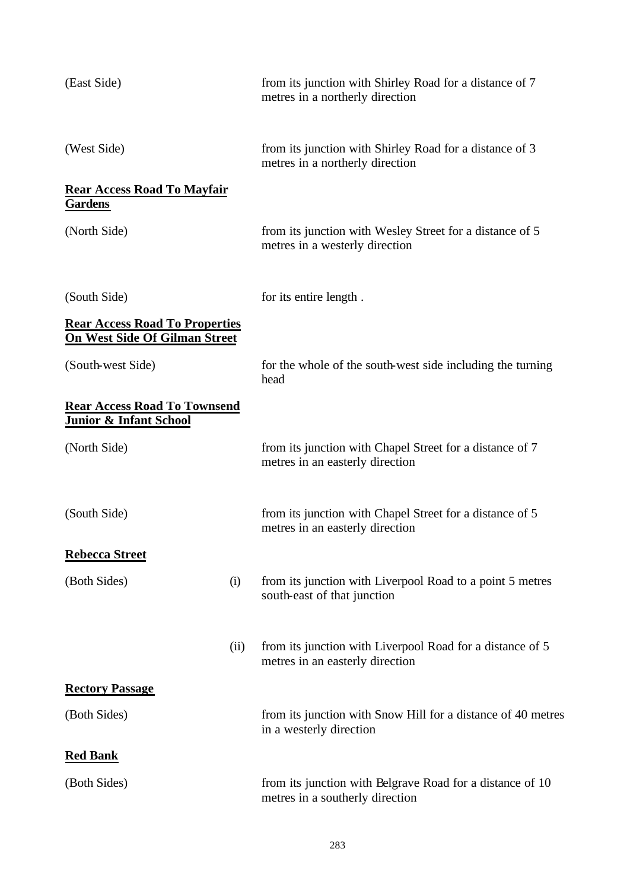| (East Side)                                                                   | from its junction with Shirley Road for a distance of 7<br>metres in a northerly direction           |
|-------------------------------------------------------------------------------|------------------------------------------------------------------------------------------------------|
| (West Side)                                                                   | from its junction with Shirley Road for a distance of 3<br>metres in a northerly direction           |
| <b>Rear Access Road To Mayfair</b><br><b>Gardens</b>                          |                                                                                                      |
| (North Side)                                                                  | from its junction with Wesley Street for a distance of 5<br>metres in a westerly direction           |
| (South Side)                                                                  | for its entire length.                                                                               |
| <b>Rear Access Road To Properties</b><br><b>On West Side Of Gilman Street</b> |                                                                                                      |
| (South-west Side)                                                             | for the whole of the south-west side including the turning<br>head                                   |
| <b>Rear Access Road To Townsend</b><br><b>Junior &amp; Infant School</b>      |                                                                                                      |
| (North Side)                                                                  | from its junction with Chapel Street for a distance of 7<br>metres in an easterly direction          |
| (South Side)                                                                  | from its junction with Chapel Street for a distance of 5<br>metres in an easterly direction          |
| <b>Rebecca Street</b>                                                         |                                                                                                      |
| (Both Sides)                                                                  | from its junction with Liverpool Road to a point 5 metres<br>(i)<br>south-east of that junction      |
|                                                                               | from its junction with Liverpool Road for a distance of 5<br>(ii)<br>metres in an easterly direction |
| <b>Rectory Passage</b>                                                        |                                                                                                      |
| (Both Sides)                                                                  | from its junction with Snow Hill for a distance of 40 metres<br>in a westerly direction              |
| <b>Red Bank</b>                                                               |                                                                                                      |
| (Both Sides)                                                                  | from its junction with Belgrave Road for a distance of 10<br>metres in a southerly direction         |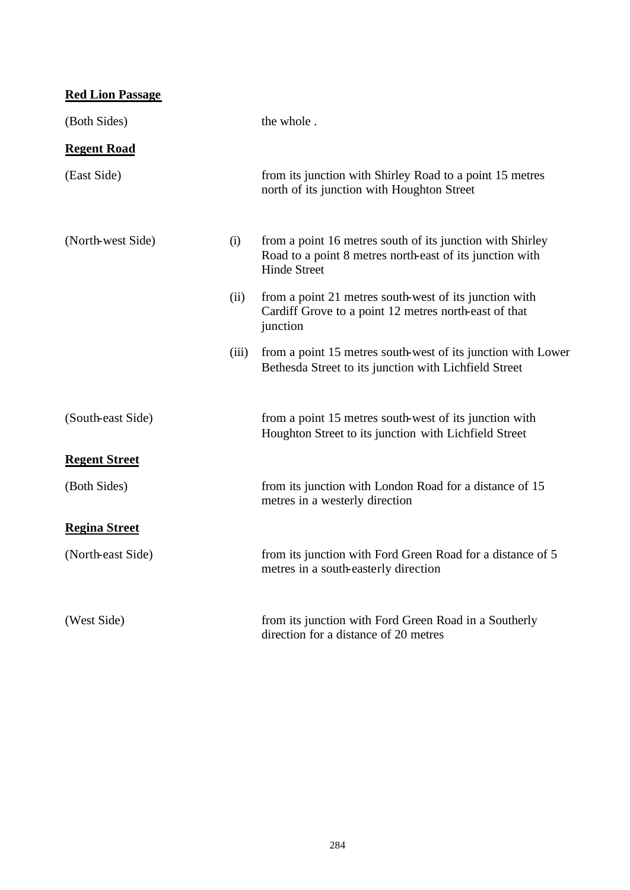**Red Lion Passage** (Both Sides) the whole . **Regent Road** (East Side) from its junction with Shirley Road to a point 15 metres north of its junction with Houghton Street (North-west Side) (i) from a point 16 metres south of its junction with Shirley Road to a point 8 metres north-east of its junction with Hinde Street (ii) from a point 21 metres south-west of its junction with Cardiff Grove to a point 12 metres north-east of that junction (iii) from a point 15 metres south-west of its junction with Lower Bethesda Street to its junction with Lichfield Street (South-east Side) from a point 15 metres south-west of its junction with Houghton Street to its junction with Lichfield Street **Regent Street** (Both Sides) from its junction with London Road for a distance of 15 metres in a westerly direction **Regina Street** (North-east Side) from its junction with Ford Green Road for a distance of 5 metres in a south-easterly direction (West Side) from its junction with Ford Green Road in a Southerly direction for a distance of 20 metres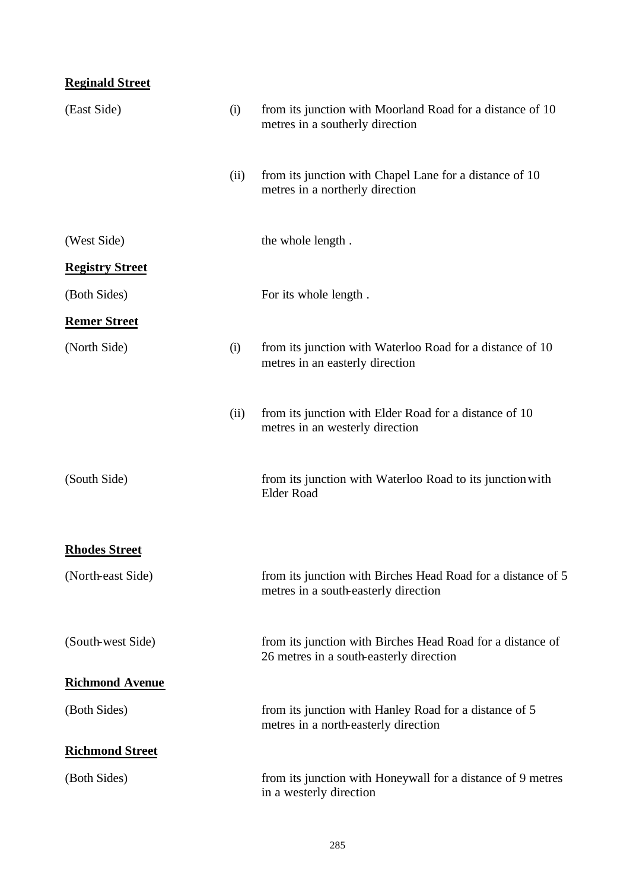| <b>Reginald Street</b> |      |                                                                                                       |
|------------------------|------|-------------------------------------------------------------------------------------------------------|
| (East Side)            | (i)  | from its junction with Moorland Road for a distance of 10<br>metres in a southerly direction          |
|                        | (ii) | from its junction with Chapel Lane for a distance of 10<br>metres in a northerly direction            |
| (West Side)            |      | the whole length.                                                                                     |
| <b>Registry Street</b> |      |                                                                                                       |
| (Both Sides)           |      | For its whole length.                                                                                 |
| <b>Remer Street</b>    |      |                                                                                                       |
| (North Side)           | (i)  | from its junction with Waterloo Road for a distance of 10<br>metres in an easterly direction          |
|                        | (ii) | from its junction with Elder Road for a distance of 10<br>metres in an westerly direction             |
| (South Side)           |      | from its junction with Waterloo Road to its junction with<br><b>Elder Road</b>                        |
| <b>Rhodes Street</b>   |      |                                                                                                       |
| (North-east Side)      |      | from its junction with Birches Head Road for a distance of 5<br>metres in a south-easterly direction  |
| (South-west Side)      |      | from its junction with Birches Head Road for a distance of<br>26 metres in a south-easterly direction |
| <b>Richmond Avenue</b> |      |                                                                                                       |
| (Both Sides)           |      | from its junction with Hanley Road for a distance of 5<br>metres in a north-easterly direction        |
| <b>Richmond Street</b> |      |                                                                                                       |
| (Both Sides)           |      | from its junction with Honeywall for a distance of 9 metres<br>in a westerly direction                |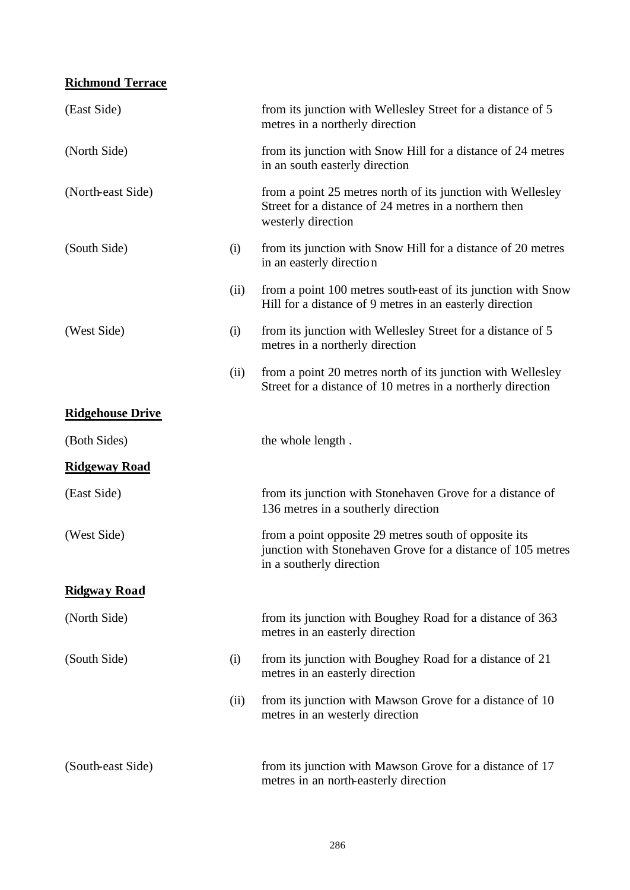## **Richmond Terrace**

| (East Side)             |      | from its junction with Wellesley Street for a distance of 5<br>metres in a northerly direction                                                   |
|-------------------------|------|--------------------------------------------------------------------------------------------------------------------------------------------------|
| (North Side)            |      | from its junction with Snow Hill for a distance of 24 metres<br>in an south easterly direction                                                   |
| (North-east Side)       |      | from a point 25 metres north of its junction with Wellesley<br>Street for a distance of 24 metres in a northern then<br>westerly direction       |
| (South Side)            | (i)  | from its junction with Snow Hill for a distance of 20 metres<br>in an easterly direction                                                         |
|                         | (ii) | from a point 100 metres south-east of its junction with Snow<br>Hill for a distance of 9 metres in an easterly direction                         |
| (West Side)             | (i)  | from its junction with Wellesley Street for a distance of 5<br>metres in a northerly direction                                                   |
|                         | (ii) | from a point 20 metres north of its junction with Wellesley<br>Street for a distance of 10 metres in a northerly direction                       |
| <b>Ridgehouse Drive</b> |      |                                                                                                                                                  |
| (Both Sides)            |      | the whole length.                                                                                                                                |
| <b>Ridgeway Road</b>    |      |                                                                                                                                                  |
| (East Side)             |      | from its junction with Stonehaven Grove for a distance of<br>136 metres in a southerly direction                                                 |
| (West Side)             |      | from a point opposite 29 metres south of opposite its<br>junction with Stonehaven Grove for a distance of 105 metres<br>in a southerly direction |
| <b>Ridgway Road</b>     |      |                                                                                                                                                  |
| (North Side)            |      | from its junction with Boughey Road for a distance of 363<br>metres in an easterly direction                                                     |
| (South Side)            | (i)  | from its junction with Boughey Road for a distance of 21<br>metres in an easterly direction                                                      |
|                         | (ii) | from its junction with Mawson Grove for a distance of 10<br>metres in an westerly direction                                                      |
| (South-east Side)       |      | from its junction with Mawson Grove for a distance of 17<br>metres in an north-easterly direction                                                |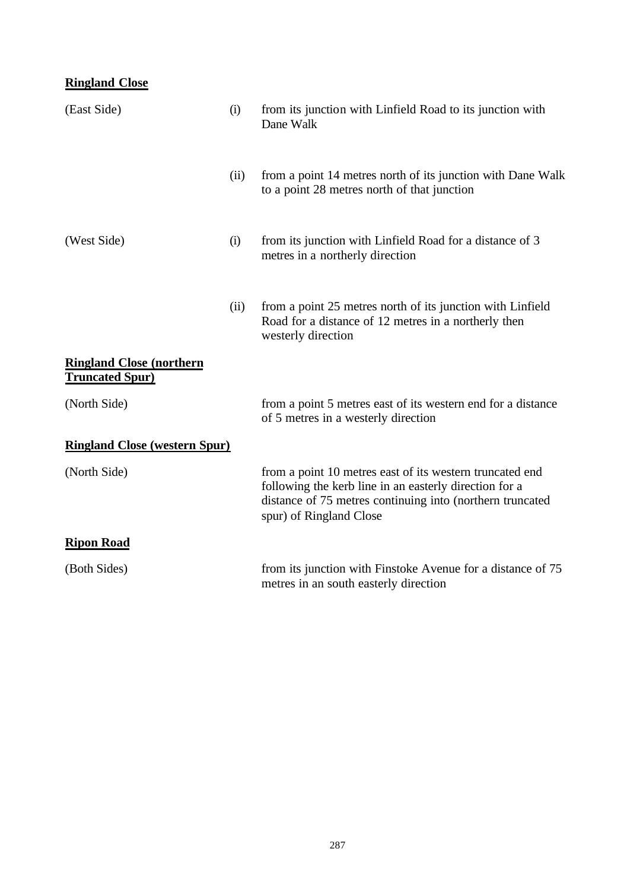## **Ringland Close**

| (East Side)                                                | (i)  | from its junction with Linfield Road to its junction with<br>Dane Walk                                                                                                                                     |
|------------------------------------------------------------|------|------------------------------------------------------------------------------------------------------------------------------------------------------------------------------------------------------------|
|                                                            | (ii) | from a point 14 metres north of its junction with Dane Walk<br>to a point 28 metres north of that junction                                                                                                 |
| (West Side)                                                | (i)  | from its junction with Linfield Road for a distance of 3<br>metres in a northerly direction                                                                                                                |
|                                                            | (ii) | from a point 25 metres north of its junction with Linfield<br>Road for a distance of 12 metres in a northerly then<br>westerly direction                                                                   |
| <b>Ringland Close (northern)</b><br><b>Truncated Spur)</b> |      |                                                                                                                                                                                                            |
| (North Side)                                               |      | from a point 5 metres east of its western end for a distance<br>of 5 metres in a westerly direction                                                                                                        |
| <b>Ringland Close (western Spur)</b>                       |      |                                                                                                                                                                                                            |
| (North Side)                                               |      | from a point 10 metres east of its western truncated end<br>following the kerb line in an easterly direction for a<br>distance of 75 metres continuing into (northern truncated<br>spur) of Ringland Close |
| <b>Ripon Road</b>                                          |      |                                                                                                                                                                                                            |
| (Both Sides)                                               |      | from its junction with Finstoke Avenue for a distance of 75<br>metres in an south easterly direction                                                                                                       |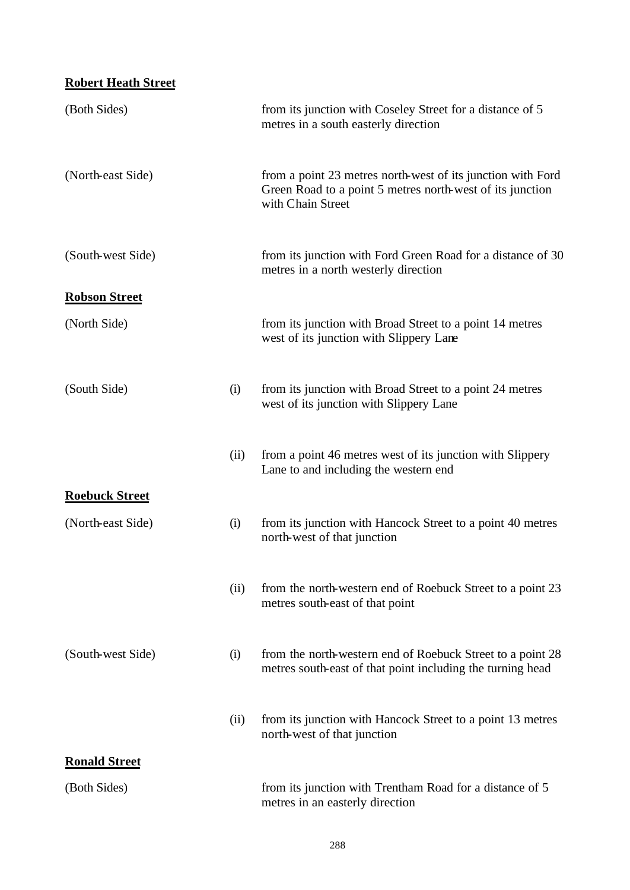| <b>Robert Heath Street</b> |      |                                                                                                                                               |
|----------------------------|------|-----------------------------------------------------------------------------------------------------------------------------------------------|
| (Both Sides)               |      | from its junction with Coseley Street for a distance of 5<br>metres in a south easterly direction                                             |
| (North-east Side)          |      | from a point 23 metres north-west of its junction with Ford<br>Green Road to a point 5 metres north-west of its junction<br>with Chain Street |
| (South-west Side)          |      | from its junction with Ford Green Road for a distance of 30<br>metres in a north westerly direction                                           |
| <b>Robson Street</b>       |      |                                                                                                                                               |
| (North Side)               |      | from its junction with Broad Street to a point 14 metres<br>west of its junction with Slippery Lane                                           |
| (South Side)               | (i)  | from its junction with Broad Street to a point 24 metres<br>west of its junction with Slippery Lane                                           |
|                            | (ii) | from a point 46 metres west of its junction with Slippery<br>Lane to and including the western end                                            |
| <b>Roebuck Street</b>      |      |                                                                                                                                               |
| (North-east Side)          | (i)  | from its junction with Hancock Street to a point 40 metres<br>north-west of that junction                                                     |
|                            | (ii) | from the north-western end of Roebuck Street to a point 23<br>metres south-east of that point                                                 |
| (South-west Side)          | (i)  | from the north-western end of Roebuck Street to a point 28<br>metres south-east of that point including the turning head                      |
|                            | (ii) | from its junction with Hancock Street to a point 13 metres<br>north-west of that junction                                                     |
| <b>Ronald Street</b>       |      |                                                                                                                                               |
| (Both Sides)               |      | from its junction with Trentham Road for a distance of 5<br>metres in an easterly direction                                                   |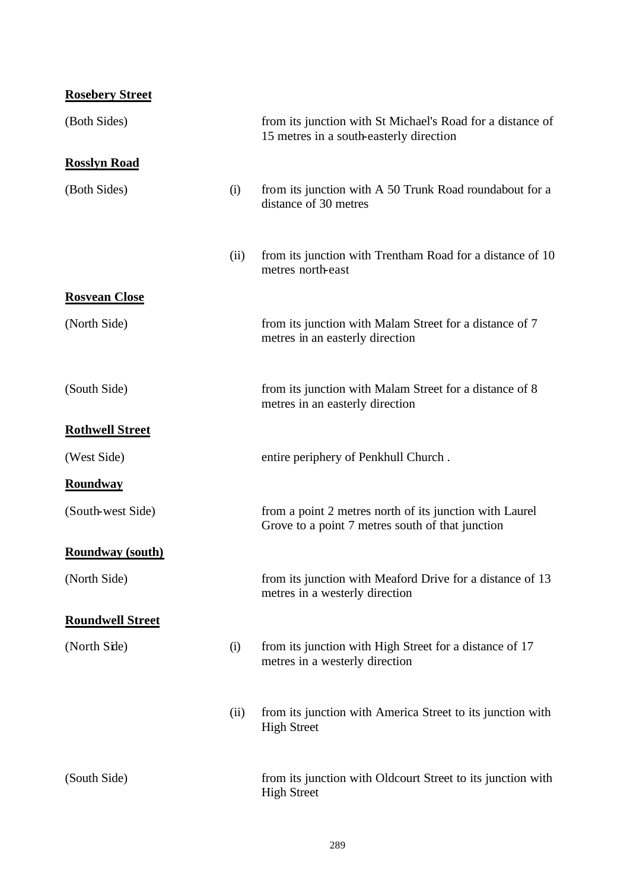**Rosebery Street**

| (Both Sides)            |      | from its junction with St Michael's Road for a distance of<br>15 metres in a south-easterly direction       |
|-------------------------|------|-------------------------------------------------------------------------------------------------------------|
| <b>Rosslyn Road</b>     |      |                                                                                                             |
| (Both Sides)            | (i)  | from its junction with A 50 Trunk Road roundabout for a<br>distance of 30 metres                            |
|                         | (ii) | from its junction with Trentham Road for a distance of 10<br>metres north-east                              |
| <b>Rosvean Close</b>    |      |                                                                                                             |
| (North Side)            |      | from its junction with Malam Street for a distance of 7<br>metres in an easterly direction                  |
| (South Side)            |      | from its junction with Malam Street for a distance of 8<br>metres in an easterly direction                  |
| <b>Rothwell Street</b>  |      |                                                                                                             |
| (West Side)             |      | entire periphery of Penkhull Church.                                                                        |
| <b>Roundway</b>         |      |                                                                                                             |
| (South-west Side)       |      | from a point 2 metres north of its junction with Laurel<br>Grove to a point 7 metres south of that junction |
| <b>Roundway</b> (south) |      |                                                                                                             |
| (North Side)            |      | from its junction with Meaford Drive for a distance of 13<br>metres in a westerly direction                 |
| <b>Roundwell Street</b> |      |                                                                                                             |
| (North Side)            | (i)  | from its junction with High Street for a distance of 17<br>metres in a westerly direction                   |
|                         | (ii) | from its junction with America Street to its junction with<br><b>High Street</b>                            |
| (South Side)            |      | from its junction with Oldcourt Street to its junction with<br><b>High Street</b>                           |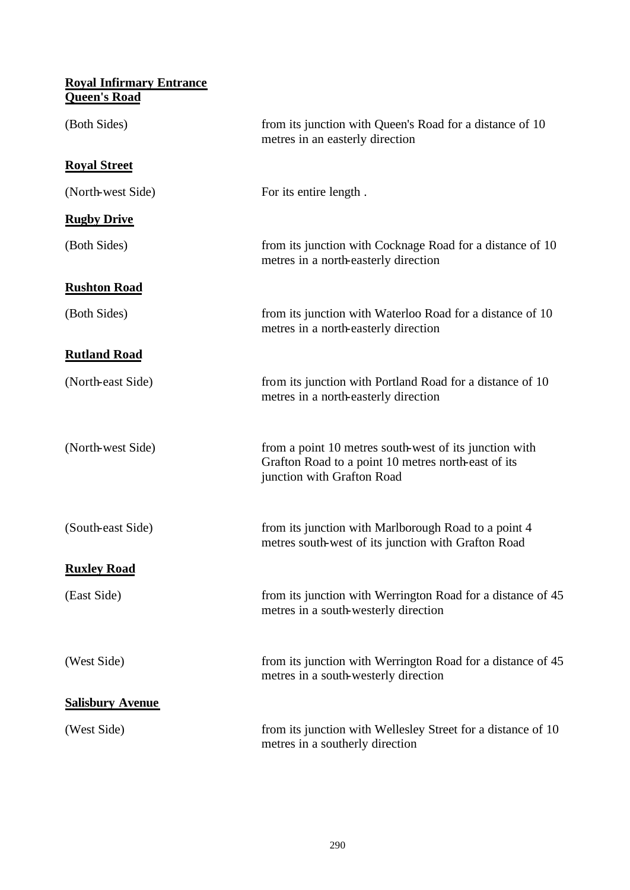| <b>Royal Infirmary Entrance</b><br><b>Queen's Road</b> |                                                                                                                                             |
|--------------------------------------------------------|---------------------------------------------------------------------------------------------------------------------------------------------|
| (Both Sides)                                           | from its junction with Queen's Road for a distance of 10<br>metres in an easterly direction                                                 |
| <b>Royal Street</b>                                    |                                                                                                                                             |
| (North-west Side)                                      | For its entire length.                                                                                                                      |
| <b>Rugby Drive</b>                                     |                                                                                                                                             |
| (Both Sides)                                           | from its junction with Cocknage Road for a distance of 10<br>metres in a north-easterly direction                                           |
| <b>Rushton Road</b>                                    |                                                                                                                                             |
| (Both Sides)                                           | from its junction with Waterloo Road for a distance of 10<br>metres in a north-easterly direction                                           |
| <b>Rutland Road</b>                                    |                                                                                                                                             |
| (North-east Side)                                      | from its junction with Portland Road for a distance of 10<br>metres in a north-easterly direction                                           |
| (North-west Side)                                      | from a point 10 metres south-west of its junction with<br>Grafton Road to a point 10 metres north-east of its<br>junction with Grafton Road |
| (South-east Side)                                      | from its junction with Marlborough Road to a point 4<br>metres south-west of its junction with Grafton Road                                 |
| <b>Ruxley Road</b>                                     |                                                                                                                                             |
| (East Side)                                            | from its junction with Werrington Road for a distance of 45<br>metres in a south-westerly direction                                         |
| (West Side)                                            | from its junction with Werrington Road for a distance of 45<br>metres in a south-westerly direction                                         |
| <b>Salisbury Avenue</b>                                |                                                                                                                                             |
| (West Side)                                            | from its junction with Wellesley Street for a distance of 10<br>metres in a southerly direction                                             |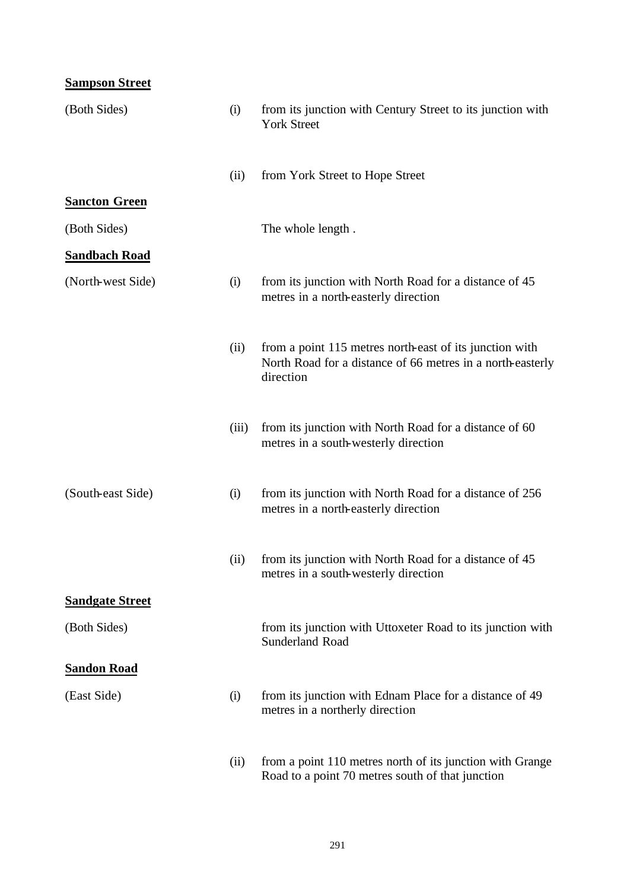# **Sampson Street** (Both Sides) (i) from its junction with Century Street to its junction with York Street (ii) from York Street to Hope Street **Sancton Green** (Both Sides) The whole length. **Sandbach Road** (North-west Side) (i) from its junction with North Road for a distance of 45 metres in a north-easterly direction (ii) from a point 115 metres north-east of its junction with North Road for a distance of 66 metres in a north-easterly direction (iii) from its junction with North Road for a distance of 60 metres in a south-westerly direction (South-east Side) (i) from its junction with North Road for a distance of 256 metres in a north-easterly direction (ii) from its junction with North Road for a distance of 45 metres in a south-westerly direction **Sandgate Street** (Both Sides) from its junction with Uttoxeter Road to its junction with Sunderland Road **Sandon Road** (East Side) (i) from its junction with Ednam Place for a distance of 49 metres in a northerly direction (ii) from a point 110 metres north of its junction with Grange Road to a point 70 metres south of that junction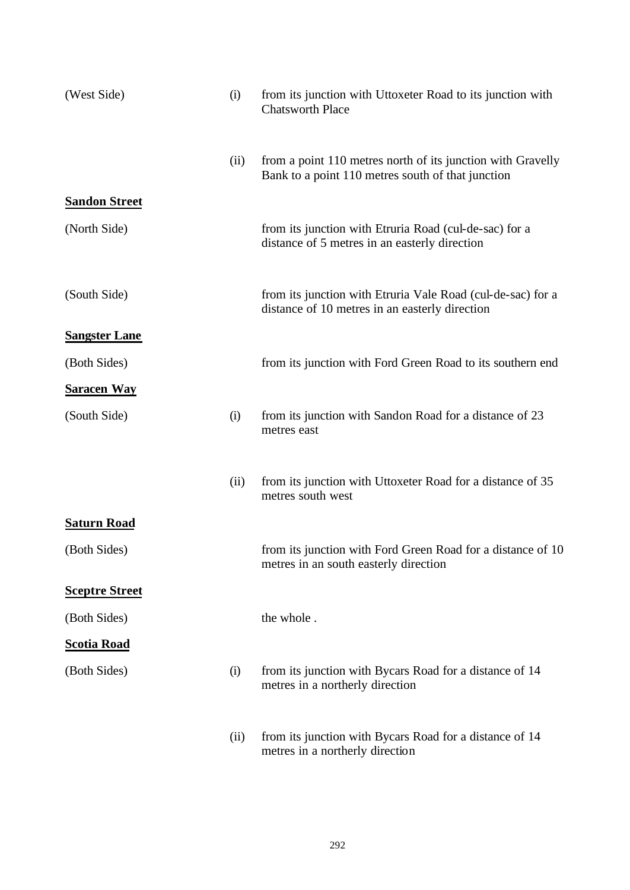| (West Side)           | (i)  | from its junction with Uttoxeter Road to its junction with<br><b>Chatsworth Place</b>                            |
|-----------------------|------|------------------------------------------------------------------------------------------------------------------|
|                       | (ii) | from a point 110 metres north of its junction with Gravelly<br>Bank to a point 110 metres south of that junction |
| <b>Sandon Street</b>  |      |                                                                                                                  |
| (North Side)          |      | from its junction with Etruria Road (cul-de-sac) for a<br>distance of 5 metres in an easterly direction          |
| (South Side)          |      | from its junction with Etruria Vale Road (cul-de-sac) for a<br>distance of 10 metres in an easterly direction    |
| <b>Sangster Lane</b>  |      |                                                                                                                  |
| (Both Sides)          |      | from its junction with Ford Green Road to its southern end                                                       |
| <b>Saracen Way</b>    |      |                                                                                                                  |
| (South Side)          | (i)  | from its junction with Sandon Road for a distance of 23<br>metres east                                           |
|                       | (ii) | from its junction with Uttoxeter Road for a distance of 35<br>metres south west                                  |
| <b>Saturn Road</b>    |      |                                                                                                                  |
| (Both Sides)          |      | from its junction with Ford Green Road for a distance of 10<br>metres in an south easterly direction             |
| <b>Sceptre Street</b> |      |                                                                                                                  |
| (Both Sides)          |      | the whole.                                                                                                       |
| <b>Scotia Road</b>    |      |                                                                                                                  |
| (Both Sides)          | (i)  | from its junction with Bycars Road for a distance of 14<br>metres in a northerly direction                       |
|                       | (ii) | from its junction with Bycars Road for a distance of 14<br>metres in a northerly direction                       |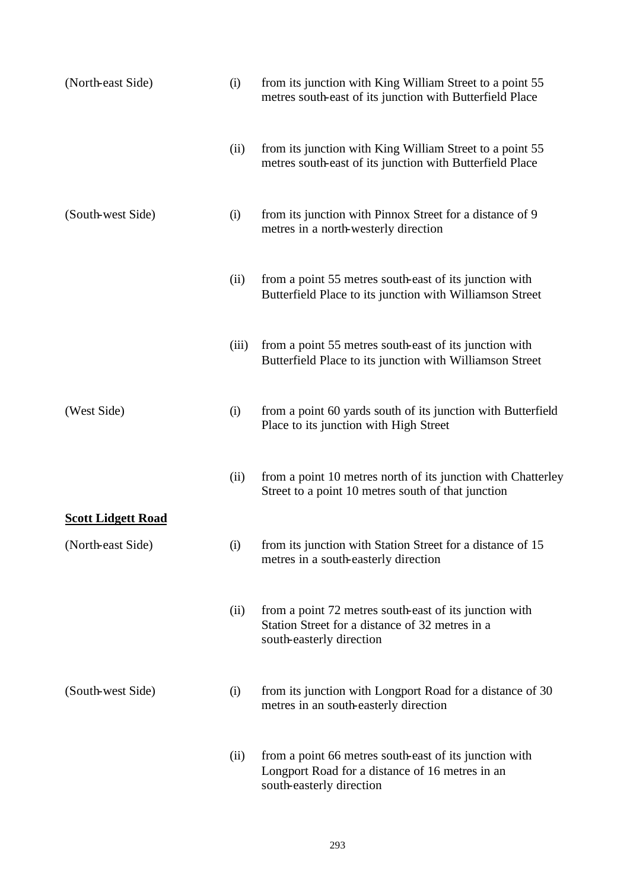| (North-east Side)         | (i)   | from its junction with King William Street to a point 55<br>metres south-east of its junction with Butterfield Place                  |
|---------------------------|-------|---------------------------------------------------------------------------------------------------------------------------------------|
|                           | (ii)  | from its junction with King William Street to a point 55<br>metres south-east of its junction with Butterfield Place                  |
| (South-west Side)         | (i)   | from its junction with Pinnox Street for a distance of 9<br>metres in a north-westerly direction                                      |
|                           | (ii)  | from a point 55 metres south-east of its junction with<br>Butterfield Place to its junction with Williamson Street                    |
|                           | (iii) | from a point 55 metres south-east of its junction with<br>Butterfield Place to its junction with Williamson Street                    |
| (West Side)               | (i)   | from a point 60 yards south of its junction with Butterfield<br>Place to its junction with High Street                                |
|                           | (ii)  | from a point 10 metres north of its junction with Chatterley<br>Street to a point 10 metres south of that junction                    |
| <b>Scott Lidgett Road</b> |       |                                                                                                                                       |
| (North-east Side)         | (i)   | from its junction with Station Street for a distance of 15<br>metres in a south-easterly direction                                    |
|                           | (ii)  | from a point 72 metres south-east of its junction with<br>Station Street for a distance of 32 metres in a<br>south-easterly direction |
| (South-west Side)         | (i)   | from its junction with Longport Road for a distance of 30<br>metres in an south-easterly direction                                    |
|                           | (ii)  | from a point 66 metres south-east of its junction with<br>Longport Road for a distance of 16 metres in an<br>south-easterly direction |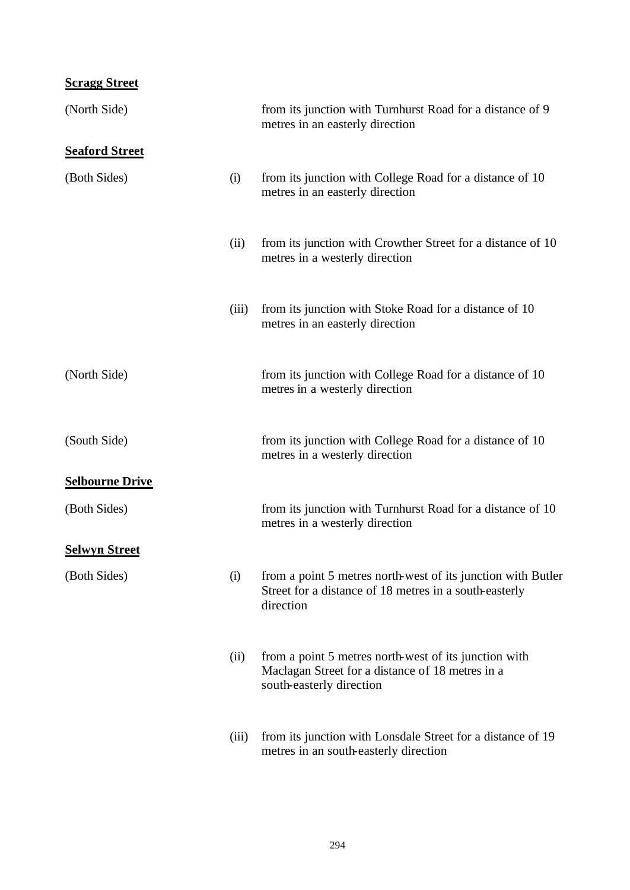#### **Scragg Street**

| (North Side)           |       | from its junction with Turnhurst Road for a distance of 9<br>metres in an easterly direction                                          |
|------------------------|-------|---------------------------------------------------------------------------------------------------------------------------------------|
| <b>Seaford Street</b>  |       |                                                                                                                                       |
| (Both Sides)           | (i)   | from its junction with College Road for a distance of 10<br>metres in an easterly direction                                           |
|                        | (ii)  | from its junction with Crowther Street for a distance of 10<br>metres in a westerly direction                                         |
|                        | (iii) | from its junction with Stoke Road for a distance of 10<br>metres in an easterly direction                                             |
| (North Side)           |       | from its junction with College Road for a distance of 10<br>metres in a westerly direction                                            |
| (South Side)           |       | from its junction with College Road for a distance of 10<br>metres in a westerly direction                                            |
| <b>Selbourne Drive</b> |       |                                                                                                                                       |
| (Both Sides)           |       | from its junction with Turnhurst Road for a distance of 10<br>metres in a westerly direction                                          |
| <b>Selwyn Street</b>   |       |                                                                                                                                       |
| (Both Sides)           | (i)   | from a point 5 metres north-west of its junction with Butler<br>Street for a distance of 18 metres in a south-easterly<br>direction   |
|                        | (ii)  | from a point 5 metres north-west of its junction with<br>Maclagan Street for a distance of 18 metres in a<br>south-easterly direction |
|                        | (iii) | from its junction with Lonsdale Street for a distance of 19<br>metres in an south-easterly direction                                  |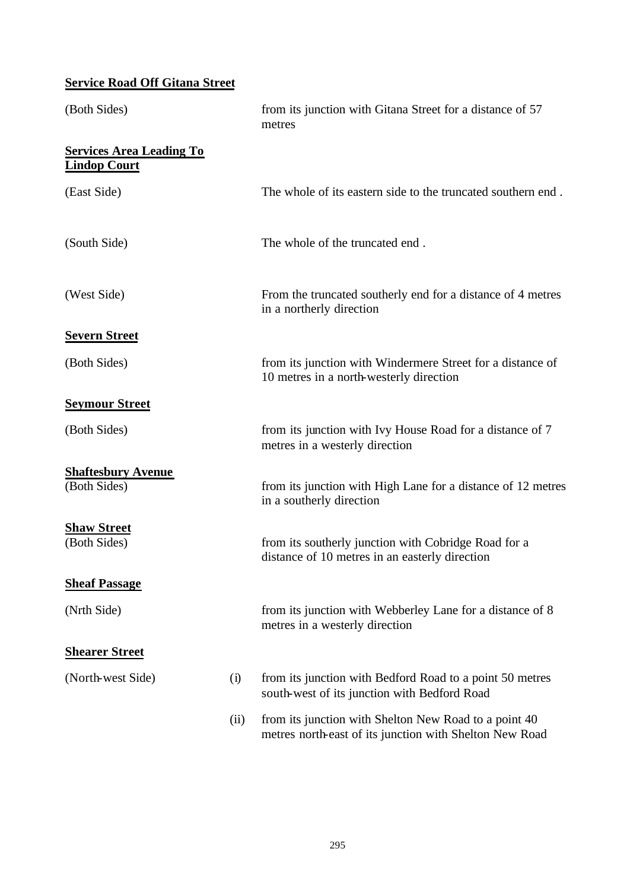## **Service Road Off Gitana Street**

| (Both Sides)                                           |      | from its junction with Gitana Street for a distance of 57<br>metres                                              |
|--------------------------------------------------------|------|------------------------------------------------------------------------------------------------------------------|
| <b>Services Area Leading To</b><br><b>Lindop Court</b> |      |                                                                                                                  |
| (East Side)                                            |      | The whole of its eastern side to the truncated southern end.                                                     |
| (South Side)                                           |      | The whole of the truncated end.                                                                                  |
| (West Side)                                            |      | From the truncated southerly end for a distance of 4 metres<br>in a northerly direction                          |
| <b>Severn Street</b>                                   |      |                                                                                                                  |
| (Both Sides)                                           |      | from its junction with Windermere Street for a distance of<br>10 metres in a north-westerly direction            |
| <b>Seymour Street</b>                                  |      |                                                                                                                  |
| (Both Sides)                                           |      | from its junction with Ivy House Road for a distance of 7<br>metres in a westerly direction                      |
| <b>Shaftesbury Avenue</b>                              |      |                                                                                                                  |
| (Both Sides)                                           |      | from its junction with High Lane for a distance of 12 metres<br>in a southerly direction                         |
| <b>Shaw Street</b>                                     |      |                                                                                                                  |
| (Both Sides)                                           |      | from its southerly junction with Cobridge Road for a<br>distance of 10 metres in an easterly direction           |
| <b>Sheaf Passage</b>                                   |      |                                                                                                                  |
| (Nrth Side)                                            |      | from its junction with Webberley Lane for a distance of 8<br>metres in a westerly direction                      |
| <b>Shearer Street</b>                                  |      |                                                                                                                  |
| (North-west Side)                                      | (i)  | from its junction with Bedford Road to a point 50 metres<br>south-west of its junction with Bedford Road         |
|                                                        | (ii) | from its junction with Shelton New Road to a point 40<br>metres north-east of its junction with Shelton New Road |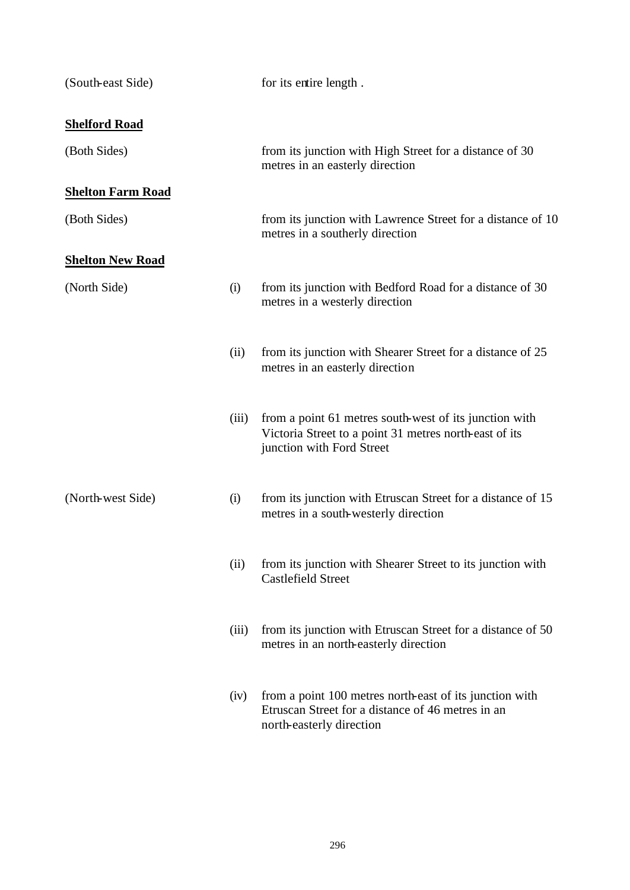| (South-east Side)        |       | for its entire length.                                                                                                                        |
|--------------------------|-------|-----------------------------------------------------------------------------------------------------------------------------------------------|
| <b>Shelford Road</b>     |       |                                                                                                                                               |
| (Both Sides)             |       | from its junction with High Street for a distance of 30<br>metres in an easterly direction                                                    |
| <b>Shelton Farm Road</b> |       |                                                                                                                                               |
| (Both Sides)             |       | from its junction with Lawrence Street for a distance of 10<br>metres in a southerly direction                                                |
| <b>Shelton New Road</b>  |       |                                                                                                                                               |
| (North Side)             | (i)   | from its junction with Bedford Road for a distance of 30<br>metres in a westerly direction                                                    |
|                          | (ii)  | from its junction with Shearer Street for a distance of 25<br>metres in an easterly direction                                                 |
|                          | (iii) | from a point 61 metres south-west of its junction with<br>Victoria Street to a point 31 metres north-east of its<br>junction with Ford Street |
| (North-west Side)        | (i)   | from its junction with Etruscan Street for a distance of 15<br>metres in a south-westerly direction                                           |
|                          | (ii)  | from its junction with Shearer Street to its junction with<br><b>Castlefield Street</b>                                                       |
|                          | (iii) | from its junction with Etruscan Street for a distance of 50<br>metres in an north-easterly direction                                          |
|                          | (iv)  | from a point 100 metres north-east of its junction with<br>Etruscan Street for a distance of 46 metres in an<br>north-easterly direction      |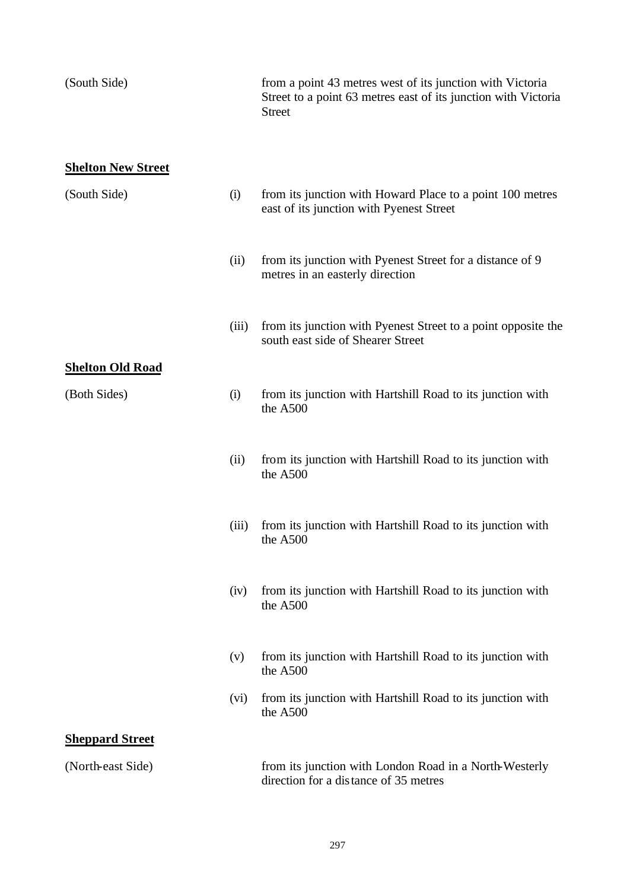| (South Side)              |       | from a point 43 metres west of its junction with Victoria<br>Street to a point 63 metres east of its junction with Victoria<br><b>Street</b> |
|---------------------------|-------|----------------------------------------------------------------------------------------------------------------------------------------------|
| <b>Shelton New Street</b> |       |                                                                                                                                              |
| (South Side)              | (i)   | from its junction with Howard Place to a point 100 metres<br>east of its junction with Pyenest Street                                        |
|                           | (ii)  | from its junction with Pyenest Street for a distance of 9<br>metres in an easterly direction                                                 |
|                           | (iii) | from its junction with Pyenest Street to a point opposite the<br>south east side of Shearer Street                                           |
| <b>Shelton Old Road</b>   |       |                                                                                                                                              |
| (Both Sides)              | (i)   | from its junction with Hartshill Road to its junction with<br>the A500                                                                       |
|                           | (ii)  | from its junction with Hartshill Road to its junction with<br>the A500                                                                       |
|                           | (iii) | from its junction with Hartshill Road to its junction with<br>the A500                                                                       |
|                           | (iv)  | from its junction with Hartshill Road to its junction with<br>the A500                                                                       |
|                           | (v)   | from its junction with Hartshill Road to its junction with<br>the A500                                                                       |
|                           | (vi)  | from its junction with Hartshill Road to its junction with<br>the A500                                                                       |
| <b>Sheppard Street</b>    |       |                                                                                                                                              |
| (North-east Side)         |       | from its junction with London Road in a North-Westerly<br>direction for a distance of 35 metres                                              |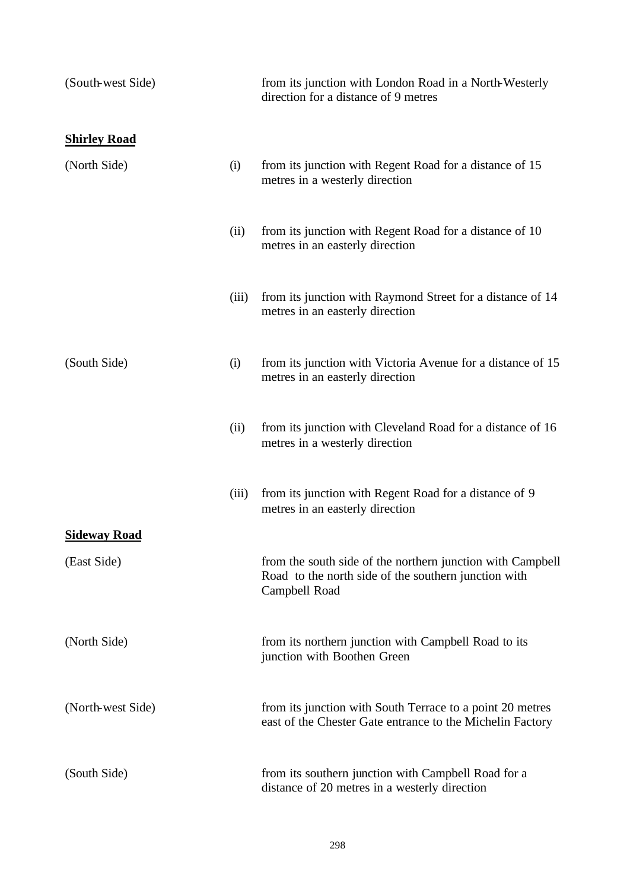| (South-west Side)   |       | from its junction with London Road in a North-Westerly<br>direction for a distance of 9 metres                                      |
|---------------------|-------|-------------------------------------------------------------------------------------------------------------------------------------|
| <b>Shirley Road</b> |       |                                                                                                                                     |
| (North Side)        | (i)   | from its junction with Regent Road for a distance of 15<br>metres in a westerly direction                                           |
|                     | (ii)  | from its junction with Regent Road for a distance of 10<br>metres in an easterly direction                                          |
|                     | (iii) | from its junction with Raymond Street for a distance of 14<br>metres in an easterly direction                                       |
| (South Side)        | (i)   | from its junction with Victoria Avenue for a distance of 15<br>metres in an easterly direction                                      |
|                     | (ii)  | from its junction with Cleveland Road for a distance of 16<br>metres in a westerly direction                                        |
|                     | (iii) | from its junction with Regent Road for a distance of 9<br>metres in an easterly direction                                           |
| <b>Sideway Road</b> |       |                                                                                                                                     |
| (East Side)         |       | from the south side of the northern junction with Campbell<br>Road to the north side of the southern junction with<br>Campbell Road |
| (North Side)        |       | from its northern junction with Campbell Road to its<br>junction with Boothen Green                                                 |
| (North-west Side)   |       | from its junction with South Terrace to a point 20 metres<br>east of the Chester Gate entrance to the Michelin Factory              |
| (South Side)        |       | from its southern junction with Campbell Road for a<br>distance of 20 metres in a westerly direction                                |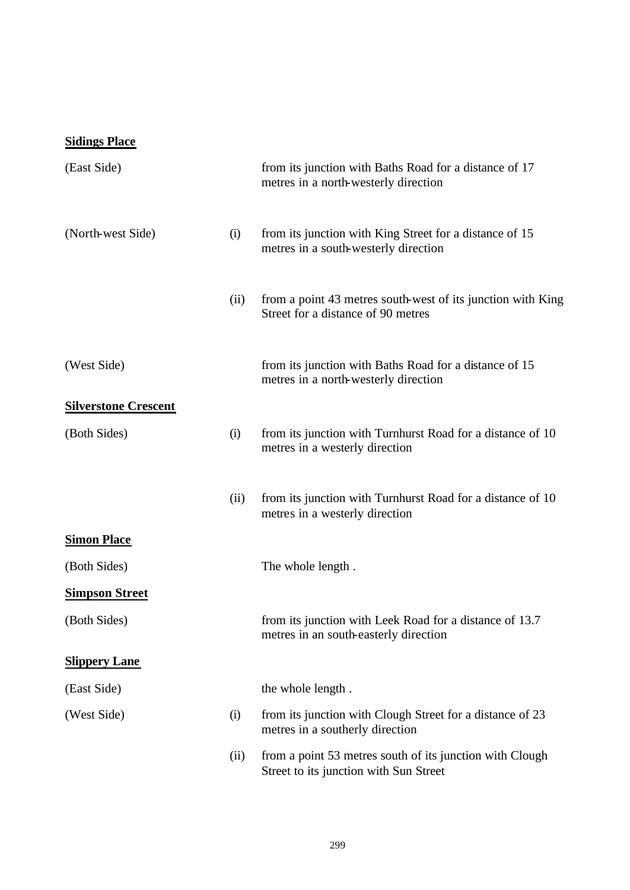## **Sidings Place**

| (East Side)                 |      | from its junction with Baths Road for a distance of 17<br>metres in a north-westerly direction     |
|-----------------------------|------|----------------------------------------------------------------------------------------------------|
| (North-west Side)           | (i)  | from its junction with King Street for a distance of 15<br>metres in a south-westerly direction    |
|                             | (ii) | from a point 43 metres south-west of its junction with King<br>Street for a distance of 90 metres  |
| (West Side)                 |      | from its junction with Baths Road for a distance of 15<br>metres in a north-westerly direction     |
| <b>Silverstone Crescent</b> |      |                                                                                                    |
| (Both Sides)                | (i)  | from its junction with Turnhurst Road for a distance of 10<br>metres in a westerly direction       |
|                             | (ii) | from its junction with Turnhurst Road for a distance of 10<br>metres in a westerly direction       |
| <b>Simon Place</b>          |      |                                                                                                    |
| (Both Sides)                |      | The whole length.                                                                                  |
| <b>Simpson Street</b>       |      |                                                                                                    |
| (Both Sides)                |      | from its junction with Leek Road for a distance of 13.7<br>metres in an south-easterly direction   |
| <b>Slippery Lane</b>        |      |                                                                                                    |
| (East Side)                 |      | the whole length.                                                                                  |
| (West Side)                 | (i)  | from its junction with Clough Street for a distance of 23<br>metres in a southerly direction       |
|                             | (ii) | from a point 53 metres south of its junction with Clough<br>Street to its junction with Sun Street |
|                             |      |                                                                                                    |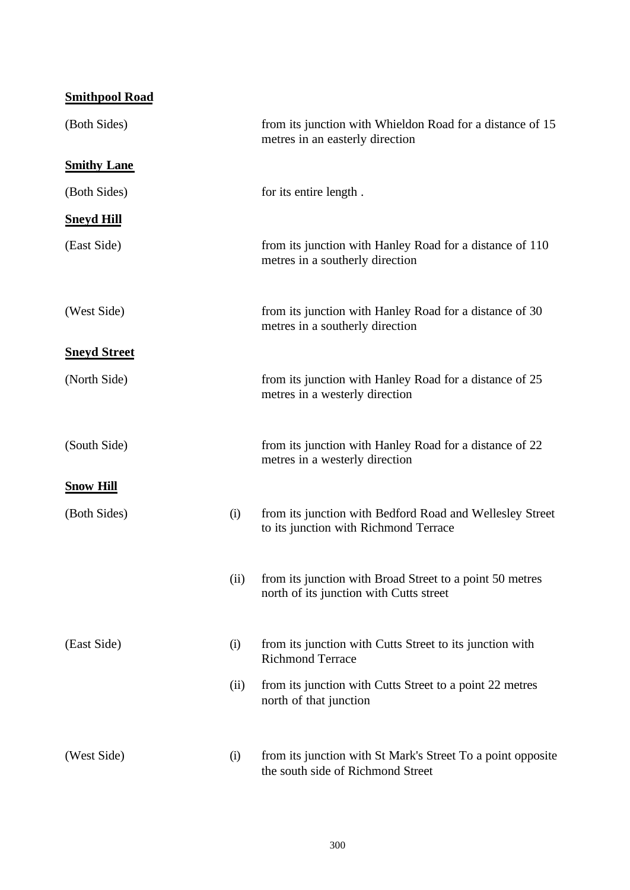| <b>Smithpool Road</b> |      |                                                                                                     |
|-----------------------|------|-----------------------------------------------------------------------------------------------------|
| (Both Sides)          |      | from its junction with Whieldon Road for a distance of 15<br>metres in an easterly direction        |
| <b>Smithy Lane</b>    |      |                                                                                                     |
| (Both Sides)          |      | for its entire length.                                                                              |
| <b>Sneyd Hill</b>     |      |                                                                                                     |
| (East Side)           |      | from its junction with Hanley Road for a distance of 110<br>metres in a southerly direction         |
| (West Side)           |      | from its junction with Hanley Road for a distance of 30<br>metres in a southerly direction          |
| <b>Sneyd Street</b>   |      |                                                                                                     |
| (North Side)          |      | from its junction with Hanley Road for a distance of 25<br>metres in a westerly direction           |
| (South Side)          |      | from its junction with Hanley Road for a distance of 22<br>metres in a westerly direction           |
| <b>Snow Hill</b>      |      |                                                                                                     |
| (Both Sides)          | (i)  | from its junction with Bedford Road and Wellesley Street<br>to its junction with Richmond Terrace   |
|                       | (ii) | from its junction with Broad Street to a point 50 metres<br>north of its junction with Cutts street |
| (East Side)           | (i)  | from its junction with Cutts Street to its junction with<br><b>Richmond Terrace</b>                 |
|                       | (ii) | from its junction with Cutts Street to a point 22 metres<br>north of that junction                  |
| (West Side)           | (i)  | from its junction with St Mark's Street To a point opposite<br>the south side of Richmond Street    |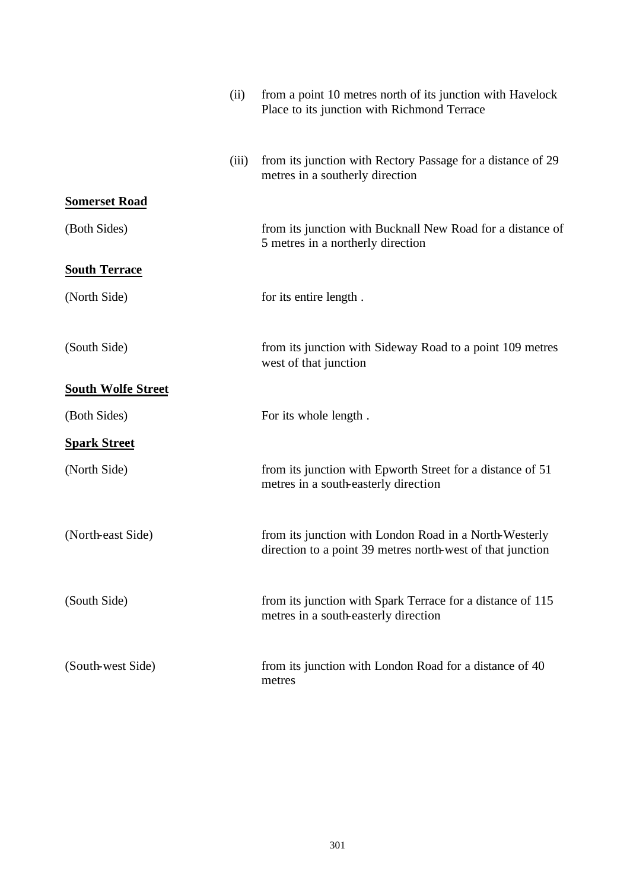|                           | (ii)  | from a point 10 metres north of its junction with Havelock<br>Place to its junction with Richmond Terrace            |
|---------------------------|-------|----------------------------------------------------------------------------------------------------------------------|
|                           | (iii) | from its junction with Rectory Passage for a distance of 29<br>metres in a southerly direction                       |
| <b>Somerset Road</b>      |       |                                                                                                                      |
| (Both Sides)              |       | from its junction with Bucknall New Road for a distance of<br>5 metres in a northerly direction                      |
| <b>South Terrace</b>      |       |                                                                                                                      |
| (North Side)              |       | for its entire length.                                                                                               |
| (South Side)              |       | from its junction with Sideway Road to a point 109 metres<br>west of that junction                                   |
| <b>South Wolfe Street</b> |       |                                                                                                                      |
| (Both Sides)              |       | For its whole length.                                                                                                |
| <b>Spark Street</b>       |       |                                                                                                                      |
| (North Side)              |       | from its junction with Epworth Street for a distance of 51<br>metres in a south-easterly direction                   |
| (North-east Side)         |       | from its junction with London Road in a North-Westerly<br>direction to a point 39 metres north-west of that junction |
| (South Side)              |       | from its junction with Spark Terrace for a distance of 115<br>metres in a south-easterly direction                   |
| (South-west Side)         |       | from its junction with London Road for a distance of 40<br>metres                                                    |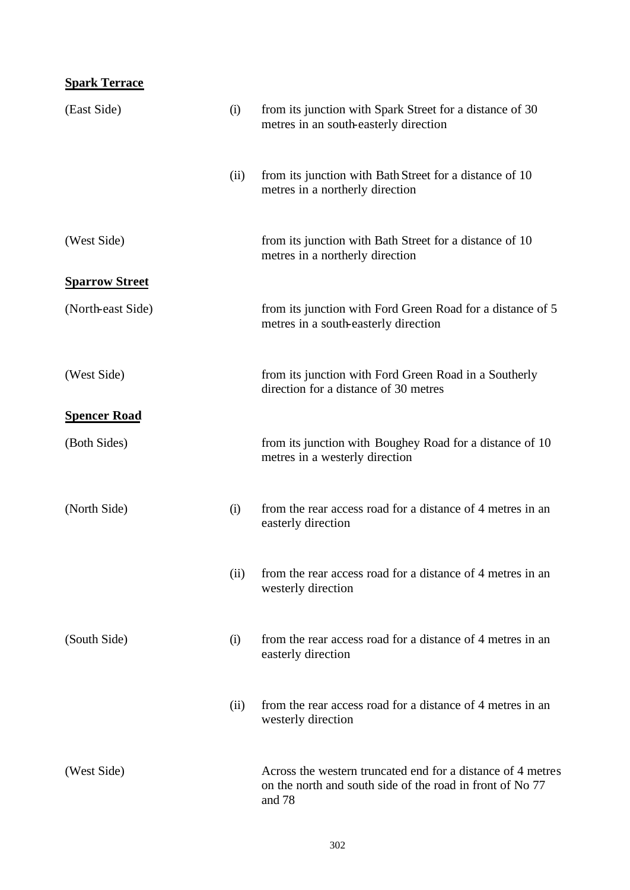## **Spark Terrace**

| (East Side)           | (i)  | from its junction with Spark Street for a distance of 30<br>metres in an south-easterly direction                                  |
|-----------------------|------|------------------------------------------------------------------------------------------------------------------------------------|
|                       | (ii) | from its junction with Bath Street for a distance of 10<br>metres in a northerly direction                                         |
| (West Side)           |      | from its junction with Bath Street for a distance of 10<br>metres in a northerly direction                                         |
| <b>Sparrow Street</b> |      |                                                                                                                                    |
| (North-east Side)     |      | from its junction with Ford Green Road for a distance of 5<br>metres in a south-easterly direction                                 |
| (West Side)           |      | from its junction with Ford Green Road in a Southerly<br>direction for a distance of 30 metres                                     |
| <b>Spencer Road</b>   |      |                                                                                                                                    |
| (Both Sides)          |      | from its junction with Boughey Road for a distance of 10<br>metres in a westerly direction                                         |
| (North Side)          | (i)  | from the rear access road for a distance of 4 metres in an<br>easterly direction                                                   |
|                       |      | (ii) from the rear access road for a distance of 4 metres in an<br>westerly direction                                              |
| (South Side)          | (i)  | from the rear access road for a distance of 4 metres in an<br>easterly direction                                                   |
|                       | (ii) | from the rear access road for a distance of 4 metres in an<br>westerly direction                                                   |
| (West Side)           |      | Across the western truncated end for a distance of 4 metres<br>on the north and south side of the road in front of No 77<br>and 78 |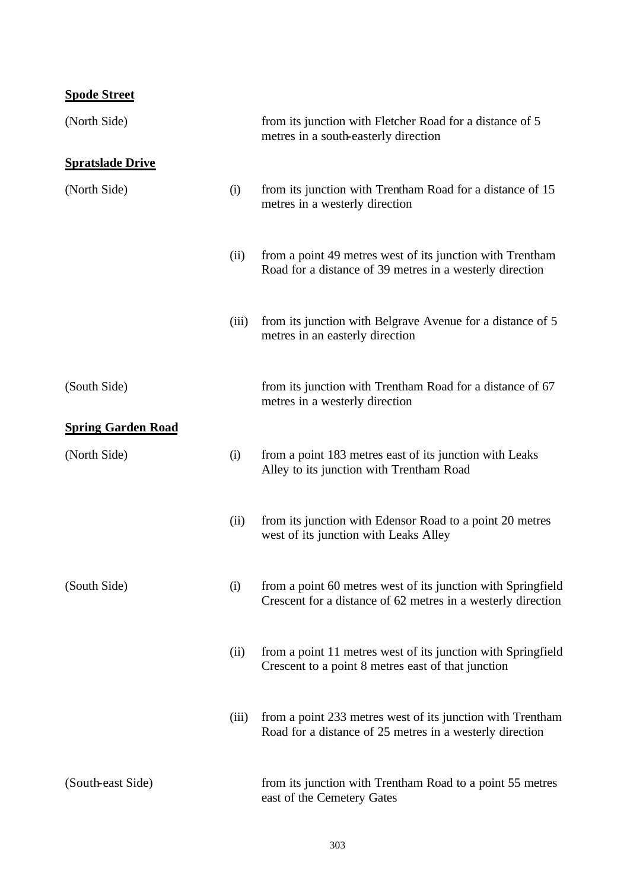## **Spode Street**

| (North Side)              |       | from its junction with Fletcher Road for a distance of 5<br>metres in a south-easterly direction                             |
|---------------------------|-------|------------------------------------------------------------------------------------------------------------------------------|
| <b>Spratslade Drive</b>   |       |                                                                                                                              |
| (North Side)              | (i)   | from its junction with Trentham Road for a distance of 15<br>metres in a westerly direction                                  |
|                           | (ii)  | from a point 49 metres west of its junction with Trentham<br>Road for a distance of 39 metres in a westerly direction        |
|                           | (iii) | from its junction with Belgrave Avenue for a distance of 5<br>metres in an easterly direction                                |
| (South Side)              |       | from its junction with Trentham Road for a distance of 67<br>metres in a westerly direction                                  |
| <b>Spring Garden Road</b> |       |                                                                                                                              |
| (North Side)              | (i)   | from a point 183 metres east of its junction with Leaks<br>Alley to its junction with Trentham Road                          |
|                           | (ii)  | from its junction with Edensor Road to a point 20 metres<br>west of its junction with Leaks Alley                            |
| (South Side)              | (i)   | from a point 60 metres west of its junction with Springfield<br>Crescent for a distance of 62 metres in a westerly direction |
|                           | (ii)  | from a point 11 metres west of its junction with Springfield<br>Crescent to a point 8 metres east of that junction           |
|                           | (iii) | from a point 233 metres west of its junction with Trentham<br>Road for a distance of 25 metres in a westerly direction       |
| (South-east Side)         |       | from its junction with Trentham Road to a point 55 metres<br>east of the Cemetery Gates                                      |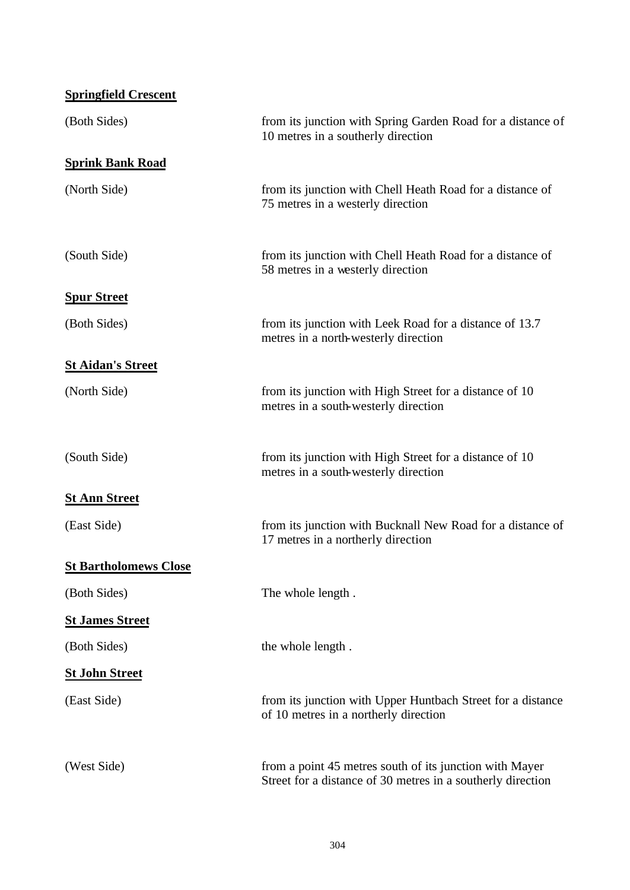| <b>Springfield Crescent</b>  |                                                                                                                        |
|------------------------------|------------------------------------------------------------------------------------------------------------------------|
| (Both Sides)                 | from its junction with Spring Garden Road for a distance of<br>10 metres in a southerly direction                      |
| <b>Sprink Bank Road</b>      |                                                                                                                        |
| (North Side)                 | from its junction with Chell Heath Road for a distance of<br>75 metres in a westerly direction                         |
| (South Side)                 | from its junction with Chell Heath Road for a distance of<br>58 metres in a westerly direction                         |
| <b>Spur Street</b>           |                                                                                                                        |
| (Both Sides)                 | from its junction with Leek Road for a distance of 13.7<br>metres in a north-westerly direction                        |
| <b>St Aidan's Street</b>     |                                                                                                                        |
| (North Side)                 | from its junction with High Street for a distance of 10<br>metres in a south-westerly direction                        |
| (South Side)                 | from its junction with High Street for a distance of 10<br>metres in a south-westerly direction                        |
| <b>St Ann Street</b>         |                                                                                                                        |
| (East Side)                  | from its junction with Bucknall New Road for a distance of<br>17 metres in a northerly direction                       |
| <b>St Bartholomews Close</b> |                                                                                                                        |
| (Both Sides)                 | The whole length.                                                                                                      |
| <b>St James Street</b>       |                                                                                                                        |
| (Both Sides)                 | the whole length.                                                                                                      |
| <b><u>St John Street</u></b> |                                                                                                                        |
| (East Side)                  | from its junction with Upper Huntbach Street for a distance<br>of 10 metres in a northerly direction                   |
| (West Side)                  | from a point 45 metres south of its junction with Mayer<br>Street for a distance of 30 metres in a southerly direction |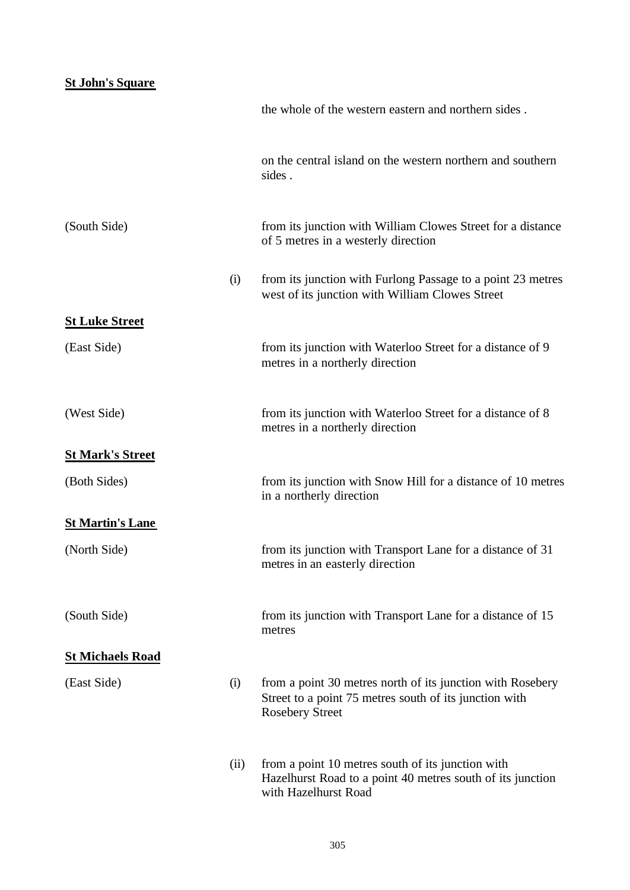## **St John's Square**

|                         |      | the whole of the western eastern and northern sides.                                                                                           |
|-------------------------|------|------------------------------------------------------------------------------------------------------------------------------------------------|
|                         |      | on the central island on the western northern and southern<br>sides.                                                                           |
| (South Side)            |      | from its junction with William Clowes Street for a distance<br>of 5 metres in a westerly direction                                             |
|                         | (i)  | from its junction with Furlong Passage to a point 23 metres<br>west of its junction with William Clowes Street                                 |
| <b>St Luke Street</b>   |      |                                                                                                                                                |
| (East Side)             |      | from its junction with Waterloo Street for a distance of 9<br>metres in a northerly direction                                                  |
| (West Side)             |      | from its junction with Waterloo Street for a distance of 8<br>metres in a northerly direction                                                  |
| <b>St Mark's Street</b> |      |                                                                                                                                                |
| (Both Sides)            |      | from its junction with Snow Hill for a distance of 10 metres<br>in a northerly direction                                                       |
| <b>St Martin's Lane</b> |      |                                                                                                                                                |
| (North Side)            |      | from its junction with Transport Lane for a distance of 31<br>metres in an easterly direction                                                  |
| (South Side)            |      | from its junction with Transport Lane for a distance of 15<br>metres                                                                           |
| <b>St Michaels Road</b> |      |                                                                                                                                                |
| (East Side)             | (i)  | from a point 30 metres north of its junction with Rosebery<br>Street to a point 75 metres south of its junction with<br><b>Rosebery Street</b> |
|                         | (ii) | from a point 10 metres south of its junction with<br>Hazelhurst Road to a point 40 metres south of its junction<br>with Hazelhurst Road        |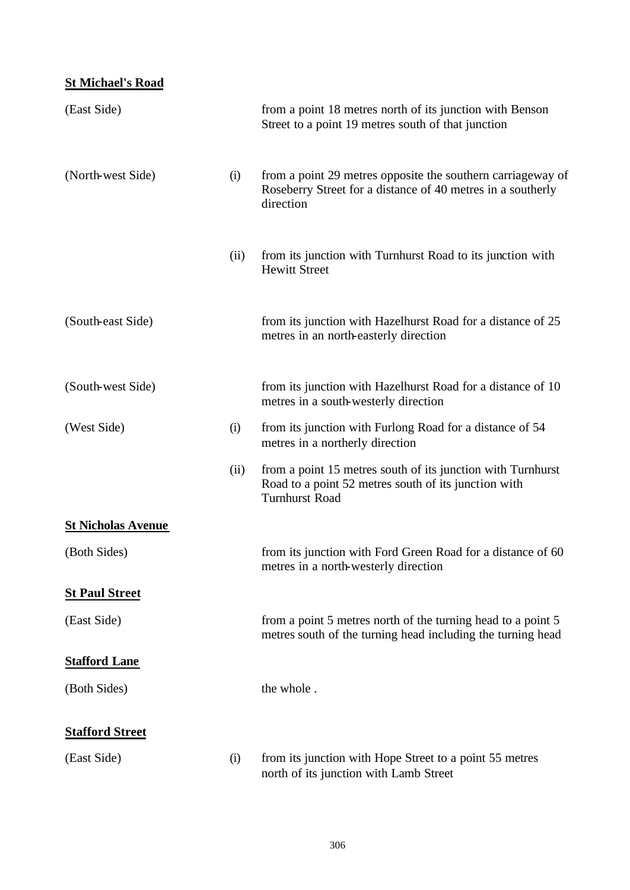## **St Michael's Road**

| (East Side)               |      | from a point 18 metres north of its junction with Benson<br>Street to a point 19 metres south of that junction                               |
|---------------------------|------|----------------------------------------------------------------------------------------------------------------------------------------------|
| (North-west Side)         | (i)  | from a point 29 metres opposite the southern carriageway of<br>Roseberry Street for a distance of 40 metres in a southerly<br>direction      |
|                           | (ii) | from its junction with Turnhurst Road to its junction with<br><b>Hewitt Street</b>                                                           |
| (South-east Side)         |      | from its junction with Hazelhurst Road for a distance of 25<br>metres in an north-easterly direction                                         |
| (South-west Side)         |      | from its junction with Hazelhurst Road for a distance of 10<br>metres in a south-westerly direction                                          |
| (West Side)               | (i)  | from its junction with Furlong Road for a distance of 54<br>metres in a northerly direction                                                  |
|                           | (ii) | from a point 15 metres south of its junction with Turnhurst<br>Road to a point 52 metres south of its junction with<br><b>Turnhurst Road</b> |
| <b>St Nicholas Avenue</b> |      |                                                                                                                                              |
| (Both Sides)              |      | from its junction with Ford Green Road for a distance of 60<br>metres in a north-westerly direction                                          |
| <b>St Paul Street</b>     |      |                                                                                                                                              |
| (East Side)               |      | from a point 5 metres north of the turning head to a point 5<br>metres south of the turning head including the turning head                  |
| <b>Stafford Lane</b>      |      |                                                                                                                                              |
| (Both Sides)              |      | the whole.                                                                                                                                   |
| <b>Stafford Street</b>    |      |                                                                                                                                              |
| (East Side)               | (i)  | from its junction with Hope Street to a point 55 metres<br>north of its junction with Lamb Street                                            |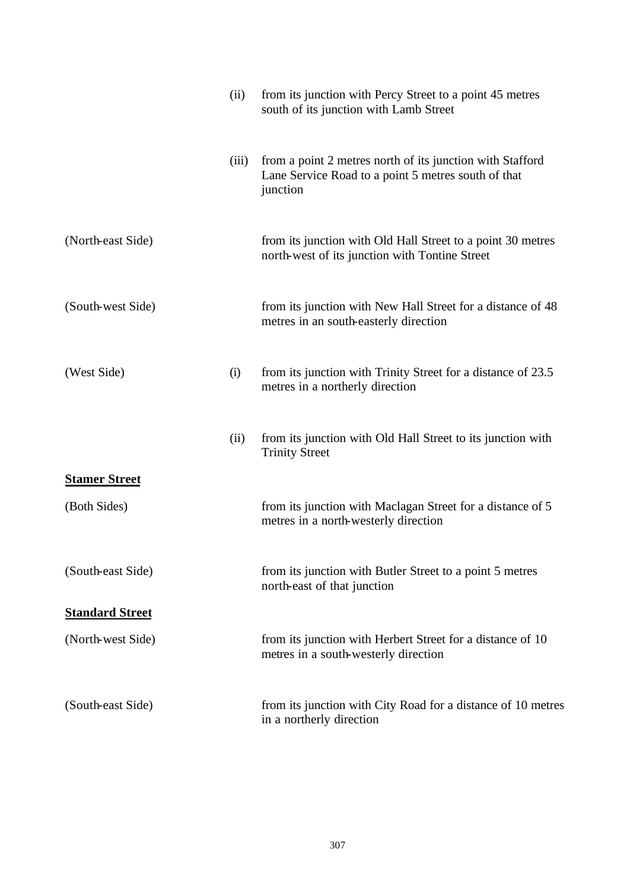|                        | (ii)  | from its junction with Percy Street to a point 45 metres<br>south of its junction with Lamb Street                           |
|------------------------|-------|------------------------------------------------------------------------------------------------------------------------------|
|                        | (iii) | from a point 2 metres north of its junction with Stafford<br>Lane Service Road to a point 5 metres south of that<br>junction |
| (North-east Side)      |       | from its junction with Old Hall Street to a point 30 metres<br>north-west of its junction with Tontine Street                |
| (South-west Side)      |       | from its junction with New Hall Street for a distance of 48<br>metres in an south-easterly direction                         |
| (West Side)            | (i)   | from its junction with Trinity Street for a distance of 23.5<br>metres in a northerly direction                              |
|                        | (ii)  | from its junction with Old Hall Street to its junction with<br><b>Trinity Street</b>                                         |
| <b>Stamer Street</b>   |       |                                                                                                                              |
| (Both Sides)           |       | from its junction with Maclagan Street for a distance of 5<br>metres in a north-westerly direction                           |
| (South-east Side)      |       | from its junction with Butler Street to a point 5 metres<br>north-east of that junction                                      |
| <b>Standard Street</b> |       |                                                                                                                              |
| (North-west Side)      |       | from its junction with Herbert Street for a distance of 10<br>metres in a south-westerly direction                           |
| (South-east Side)      |       | from its junction with City Road for a distance of 10 metres<br>in a northerly direction                                     |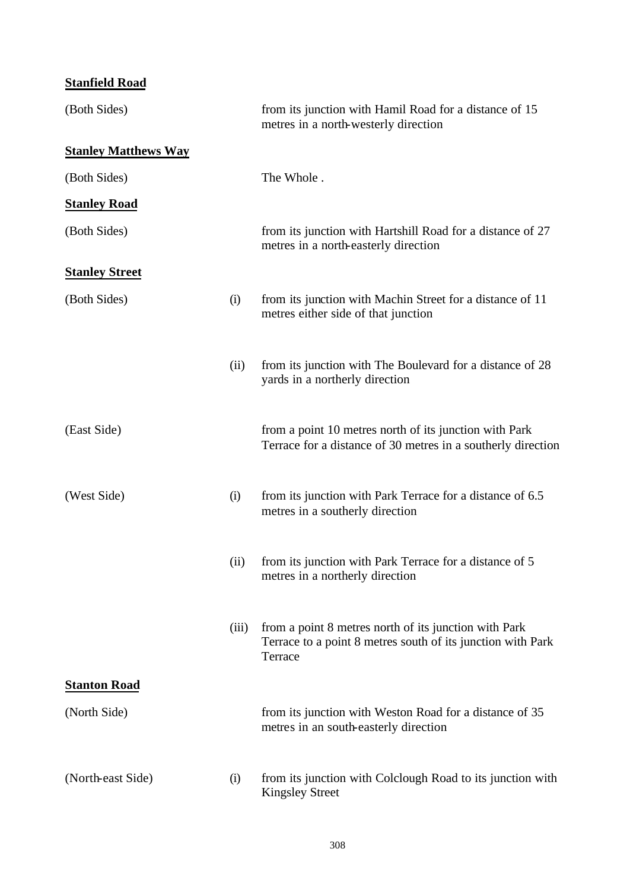## **Stanfield Road**

| (Both Sides)                |       | from its junction with Hamil Road for a distance of 15<br>metres in a north-westerly direction                                  |
|-----------------------------|-------|---------------------------------------------------------------------------------------------------------------------------------|
| <b>Stanley Matthews Way</b> |       |                                                                                                                                 |
| (Both Sides)                |       | The Whole.                                                                                                                      |
| <b>Stanley Road</b>         |       |                                                                                                                                 |
| (Both Sides)                |       | from its junction with Hartshill Road for a distance of 27<br>metres in a north-easterly direction                              |
| <b>Stanley Street</b>       |       |                                                                                                                                 |
| (Both Sides)                | (i)   | from its junction with Machin Street for a distance of 11<br>metres either side of that junction                                |
|                             | (ii)  | from its junction with The Boulevard for a distance of 28<br>yards in a northerly direction                                     |
| (East Side)                 |       | from a point 10 metres north of its junction with Park<br>Terrace for a distance of 30 metres in a southerly direction          |
| (West Side)                 | (i)   | from its junction with Park Terrace for a distance of 6.5<br>metres in a southerly direction                                    |
|                             | (ii)  | from its junction with Park Terrace for a distance of 5<br>metres in a northerly direction                                      |
|                             | (iii) | from a point 8 metres north of its junction with Park<br>Terrace to a point 8 metres south of its junction with Park<br>Terrace |
| <b>Stanton Road</b>         |       |                                                                                                                                 |
| (North Side)                |       | from its junction with Weston Road for a distance of 35<br>metres in an south-easterly direction                                |
| (North-east Side)           | (i)   | from its junction with Colclough Road to its junction with<br><b>Kingsley Street</b>                                            |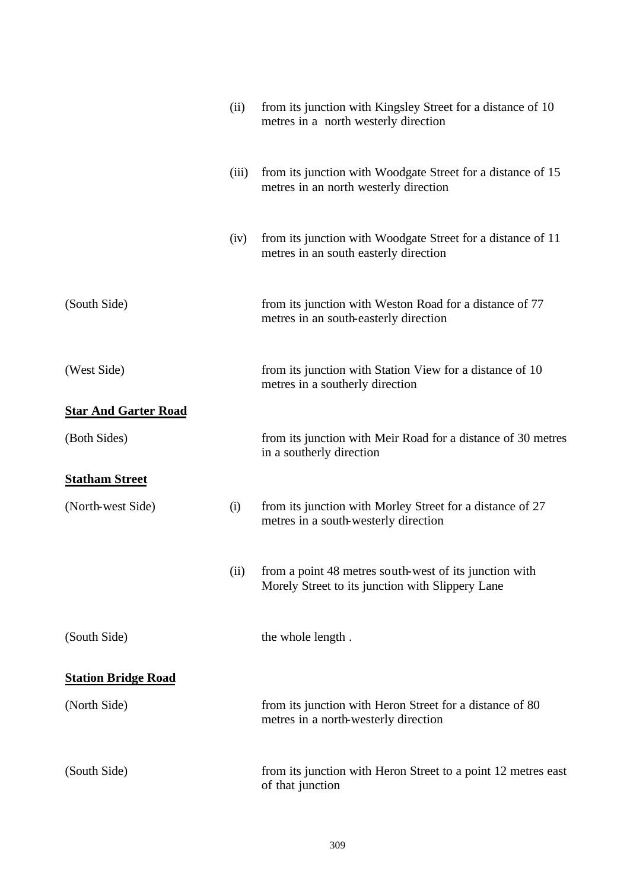|                             | (ii)  | from its junction with Kingsley Street for a distance of 10<br>metres in a north westerly direction        |
|-----------------------------|-------|------------------------------------------------------------------------------------------------------------|
|                             | (iii) | from its junction with Woodgate Street for a distance of 15<br>metres in an north westerly direction       |
|                             | (iv)  | from its junction with Woodgate Street for a distance of 11<br>metres in an south easterly direction       |
| (South Side)                |       | from its junction with Weston Road for a distance of 77<br>metres in an south-easterly direction           |
| (West Side)                 |       | from its junction with Station View for a distance of 10<br>metres in a southerly direction                |
| <b>Star And Garter Road</b> |       |                                                                                                            |
| (Both Sides)                |       | from its junction with Meir Road for a distance of 30 metres<br>in a southerly direction                   |
| <b>Statham Street</b>       |       |                                                                                                            |
| (North-west Side)           | (i)   | from its junction with Morley Street for a distance of 27<br>metres in a south-westerly direction          |
|                             | (ii)  | from a point 48 metres south-west of its junction with<br>Morely Street to its junction with Slippery Lane |
| (South Side)                |       | the whole length.                                                                                          |
| <b>Station Bridge Road</b>  |       |                                                                                                            |
| (North Side)                |       | from its junction with Heron Street for a distance of 80<br>metres in a north-westerly direction           |
| (South Side)                |       | from its junction with Heron Street to a point 12 metres east<br>of that junction                          |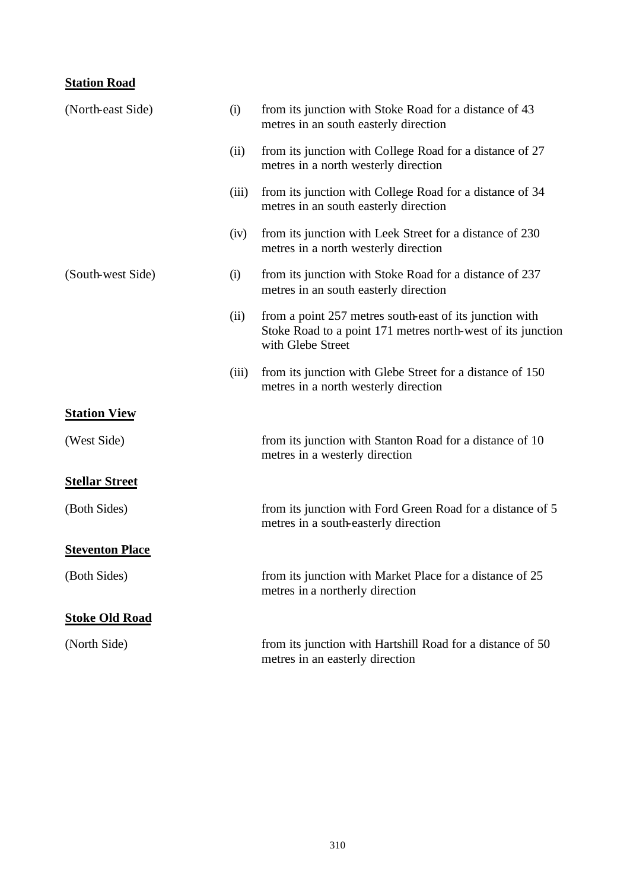## **Station Road**

| (North-east Side)      | (i)   | from its junction with Stoke Road for a distance of 43<br>metres in an south easterly direction                                             |
|------------------------|-------|---------------------------------------------------------------------------------------------------------------------------------------------|
|                        | (ii)  | from its junction with College Road for a distance of 27<br>metres in a north westerly direction                                            |
|                        | (iii) | from its junction with College Road for a distance of 34<br>metres in an south easterly direction                                           |
|                        | (iv)  | from its junction with Leek Street for a distance of 230<br>metres in a north westerly direction                                            |
| (South-west Side)      | (i)   | from its junction with Stoke Road for a distance of 237<br>metres in an south easterly direction                                            |
|                        | (ii)  | from a point 257 metres south-east of its junction with<br>Stoke Road to a point 171 metres north-west of its junction<br>with Glebe Street |
|                        | (iii) | from its junction with Glebe Street for a distance of 150<br>metres in a north westerly direction                                           |
| <b>Station View</b>    |       |                                                                                                                                             |
| (West Side)            |       | from its junction with Stanton Road for a distance of 10<br>metres in a westerly direction                                                  |
| <b>Stellar Street</b>  |       |                                                                                                                                             |
| (Both Sides)           |       | from its junction with Ford Green Road for a distance of 5<br>metres in a south-easterly direction                                          |
| <b>Steventon Place</b> |       |                                                                                                                                             |
| (Both Sides)           |       | from its junction with Market Place for a distance of 25<br>metres in a northerly direction                                                 |
| <b>Stoke Old Road</b>  |       |                                                                                                                                             |
| (North Side)           |       | from its junction with Hartshill Road for a distance of 50<br>metres in an easterly direction                                               |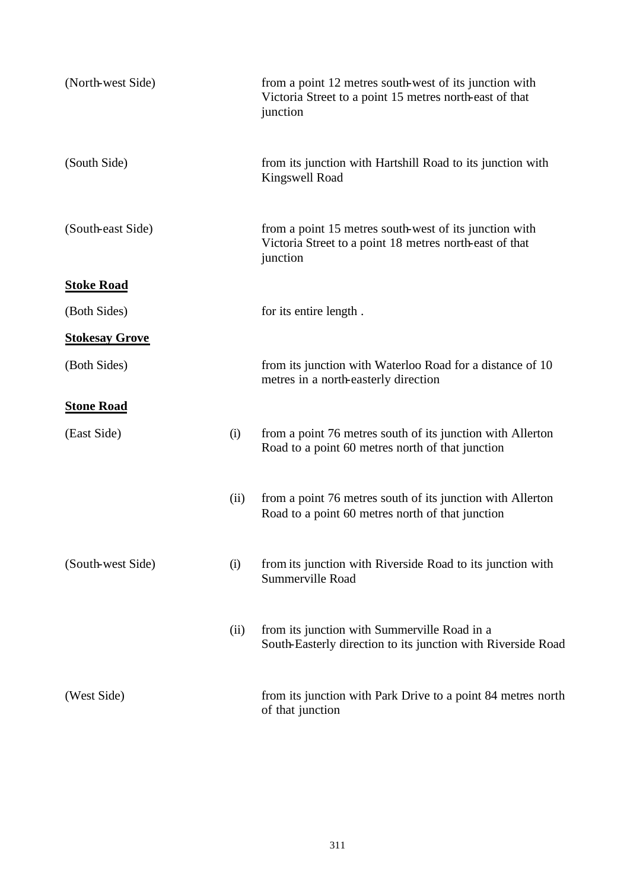| (North-west Side)     |      | from a point 12 metres south-west of its junction with<br>Victoria Street to a point 15 metres north-east of that<br>junction |
|-----------------------|------|-------------------------------------------------------------------------------------------------------------------------------|
| (South Side)          |      | from its junction with Hartshill Road to its junction with<br><b>Kingswell Road</b>                                           |
| (South-east Side)     |      | from a point 15 metres south-west of its junction with<br>Victoria Street to a point 18 metres north-east of that<br>junction |
| <b>Stoke Road</b>     |      |                                                                                                                               |
| (Both Sides)          |      | for its entire length.                                                                                                        |
| <b>Stokesay Grove</b> |      |                                                                                                                               |
| (Both Sides)          |      | from its junction with Waterloo Road for a distance of 10<br>metres in a north-easterly direction                             |
| <b>Stone Road</b>     |      |                                                                                                                               |
| (East Side)           | (i)  | from a point 76 metres south of its junction with Allerton<br>Road to a point 60 metres north of that junction                |
|                       | (ii) | from a point 76 metres south of its junction with Allerton<br>Road to a point 60 metres north of that junction                |
| (South-west Side)     | (i)  | from its junction with Riverside Road to its junction with<br>Summerville Road                                                |
|                       | (ii) | from its junction with Summerville Road in a<br>South-Easterly direction to its junction with Riverside Road                  |
| (West Side)           |      | from its junction with Park Drive to a point 84 metres north<br>of that junction                                              |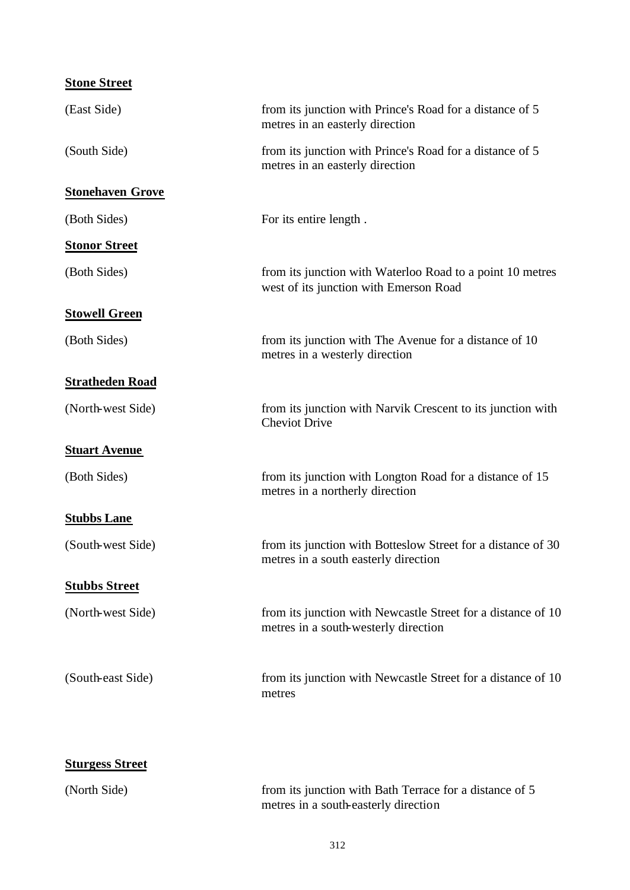| <b>Stone Street</b>     |                                                                                                      |
|-------------------------|------------------------------------------------------------------------------------------------------|
| (East Side)             | from its junction with Prince's Road for a distance of 5<br>metres in an easterly direction          |
| (South Side)            | from its junction with Prince's Road for a distance of 5<br>metres in an easterly direction          |
| <b>Stonehaven Grove</b> |                                                                                                      |
| (Both Sides)            | For its entire length.                                                                               |
| <b>Stonor Street</b>    |                                                                                                      |
| (Both Sides)            | from its junction with Waterloo Road to a point 10 metres<br>west of its junction with Emerson Road  |
| <b>Stowell Green</b>    |                                                                                                      |
| (Both Sides)            | from its junction with The Avenue for a distance of 10<br>metres in a westerly direction             |
| <b>Stratheden Road</b>  |                                                                                                      |
| (North-west Side)       | from its junction with Narvik Crescent to its junction with<br><b>Cheviot Drive</b>                  |
| <b>Stuart Avenue</b>    |                                                                                                      |
| (Both Sides)            | from its junction with Longton Road for a distance of 15<br>metres in a northerly direction          |
| <b>Stubbs Lane</b>      |                                                                                                      |
| (South-west Side)       | from its junction with Botteslow Street for a distance of 30<br>metres in a south easterly direction |
| <b>Stubbs Street</b>    |                                                                                                      |
| (North-west Side)       | from its junction with Newcastle Street for a distance of 10<br>metres in a south-westerly direction |
| (South-east Side)       | from its junction with Newcastle Street for a distance of 10<br>metres                               |
| <b>Sturgess Street</b>  |                                                                                                      |
| (North Side)            | from its junction with Bath Terrace for a distance of 5<br>metres in a south-easterly direction      |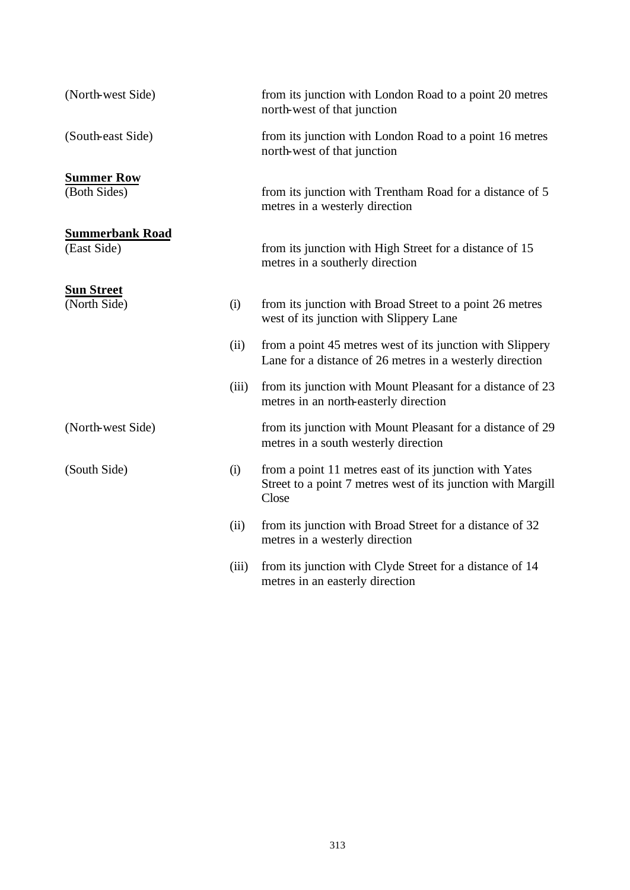| (North-west Side)                     |       | from its junction with London Road to a point 20 metres<br>north-west of that junction                                          |
|---------------------------------------|-------|---------------------------------------------------------------------------------------------------------------------------------|
| (South-east Side)                     |       | from its junction with London Road to a point 16 metres<br>north-west of that junction                                          |
| <b>Summer Row</b><br>(Both Sides)     |       | from its junction with Trentham Road for a distance of 5<br>metres in a westerly direction                                      |
| <b>Summerbank Road</b><br>(East Side) |       | from its junction with High Street for a distance of 15<br>metres in a southerly direction                                      |
| <b>Sun Street</b><br>(North Side)     | (i)   | from its junction with Broad Street to a point 26 metres<br>west of its junction with Slippery Lane                             |
|                                       | (ii)  | from a point 45 metres west of its junction with Slippery<br>Lane for a distance of 26 metres in a westerly direction           |
|                                       | (iii) | from its junction with Mount Pleasant for a distance of 23<br>metres in an north-easterly direction                             |
| (North-west Side)                     |       | from its junction with Mount Pleasant for a distance of 29<br>metres in a south westerly direction                              |
| (South Side)                          | (i)   | from a point 11 metres east of its junction with Yates<br>Street to a point 7 metres west of its junction with Margill<br>Close |
|                                       | (ii)  | from its junction with Broad Street for a distance of 32<br>metres in a westerly direction                                      |
|                                       | (iii) | from its junction with Clyde Street for a distance of 14<br>metres in an easterly direction                                     |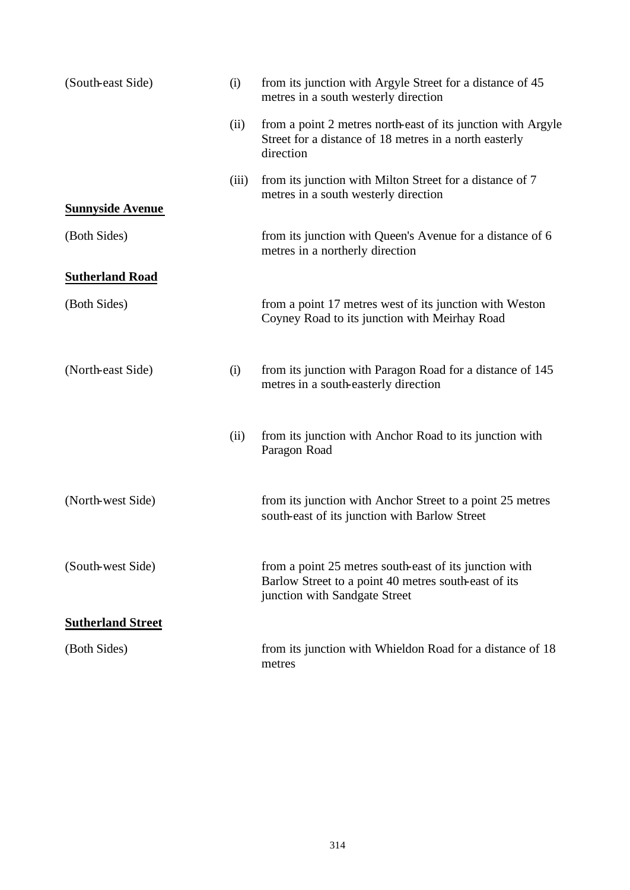| (South-east Side)        | (i)   | from its junction with Argyle Street for a distance of 45<br>metres in a south westerly direction                                               |
|--------------------------|-------|-------------------------------------------------------------------------------------------------------------------------------------------------|
|                          | (ii)  | from a point 2 metres north-east of its junction with Argyle<br>Street for a distance of 18 metres in a north easterly<br>direction             |
|                          | (iii) | from its junction with Milton Street for a distance of 7<br>metres in a south westerly direction                                                |
| <b>Sunnyside Avenue</b>  |       |                                                                                                                                                 |
| (Both Sides)             |       | from its junction with Queen's Avenue for a distance of 6<br>metres in a northerly direction                                                    |
| <b>Sutherland Road</b>   |       |                                                                                                                                                 |
| (Both Sides)             |       | from a point 17 metres west of its junction with Weston<br>Coyney Road to its junction with Meirhay Road                                        |
| (North-east Side)        | (i)   | from its junction with Paragon Road for a distance of 145<br>metres in a south-easterly direction                                               |
|                          | (ii)  | from its junction with Anchor Road to its junction with<br>Paragon Road                                                                         |
| (North-west Side)        |       | from its junction with Anchor Street to a point 25 metres<br>south-east of its junction with Barlow Street                                      |
| (South-west Side)        |       | from a point 25 metres south-east of its junction with<br>Barlow Street to a point 40 metres south-east of its<br>junction with Sandgate Street |
| <b>Sutherland Street</b> |       |                                                                                                                                                 |
| (Both Sides)             |       | from its junction with Whieldon Road for a distance of 18<br>metres                                                                             |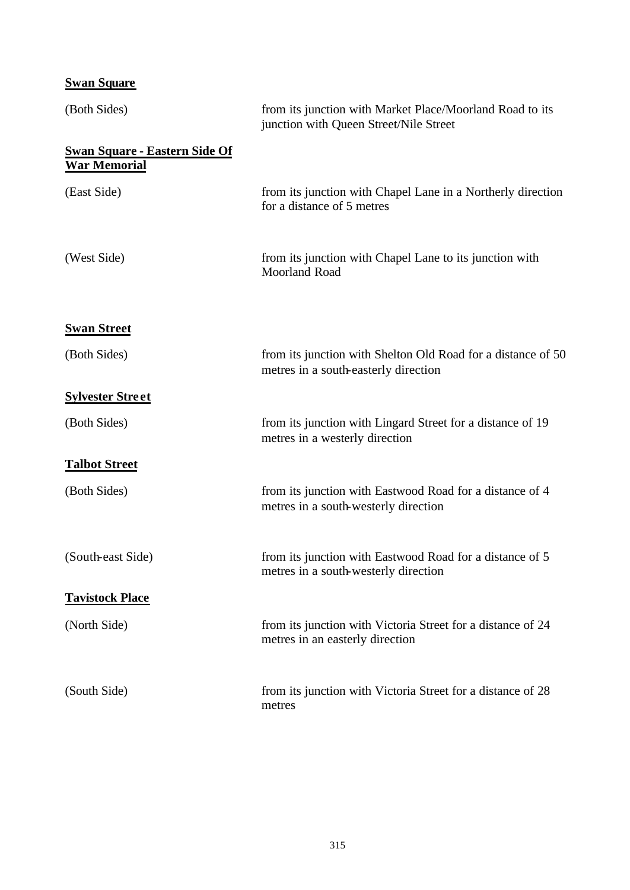## **Swan Square**

| (Both Sides)                                                | from its junction with Market Place/Moorland Road to its<br>junction with Queen Street/Nile Street   |
|-------------------------------------------------------------|------------------------------------------------------------------------------------------------------|
| <b>Swan Square - Eastern Side Of</b><br><b>War Memorial</b> |                                                                                                      |
| (East Side)                                                 | from its junction with Chapel Lane in a Northerly direction<br>for a distance of 5 metres            |
| (West Side)                                                 | from its junction with Chapel Lane to its junction with<br>Moorland Road                             |
| <b>Swan Street</b>                                          |                                                                                                      |
| (Both Sides)                                                | from its junction with Shelton Old Road for a distance of 50<br>metres in a south-easterly direction |
| <b>Sylvester Street</b>                                     |                                                                                                      |
| (Both Sides)                                                | from its junction with Lingard Street for a distance of 19<br>metres in a westerly direction         |
| <b>Talbot Street</b>                                        |                                                                                                      |
| (Both Sides)                                                | from its junction with Eastwood Road for a distance of 4<br>metres in a south-westerly direction     |
| (South-east Side)                                           | from its junction with Eastwood Road for a distance of 5<br>metres in a south-westerly direction     |
| <b>Tavistock Place</b>                                      |                                                                                                      |
| (North Side)                                                | from its junction with Victoria Street for a distance of 24<br>metres in an easterly direction       |
| (South Side)                                                | from its junction with Victoria Street for a distance of 28<br>metres                                |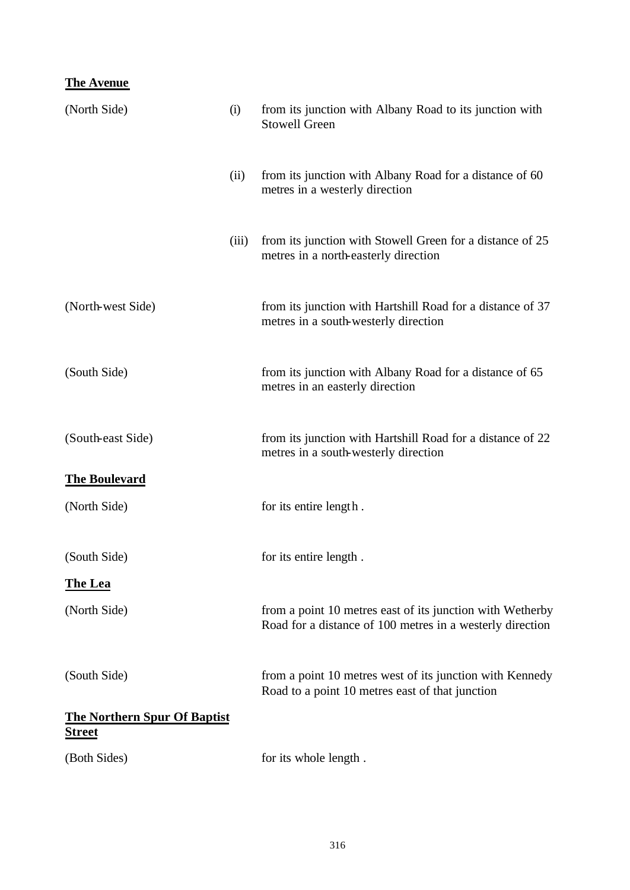## **The Avenue**

| (North Side)                                         | (i)   | from its junction with Albany Road to its junction with<br><b>Stowell Green</b>                                        |
|------------------------------------------------------|-------|------------------------------------------------------------------------------------------------------------------------|
|                                                      | (ii)  | from its junction with Albany Road for a distance of 60<br>metres in a westerly direction                              |
|                                                      | (iii) | from its junction with Stowell Green for a distance of 25<br>metres in a north-easterly direction                      |
| (North-west Side)                                    |       | from its junction with Hartshill Road for a distance of 37<br>metres in a south-westerly direction                     |
| (South Side)                                         |       | from its junction with Albany Road for a distance of 65<br>metres in an easterly direction                             |
| (South-east Side)                                    |       | from its junction with Hartshill Road for a distance of 22<br>metres in a south-westerly direction                     |
| <b>The Boulevard</b>                                 |       |                                                                                                                        |
| (North Side)                                         |       | for its entire length.                                                                                                 |
| (South Side)                                         |       | for its entire length.                                                                                                 |
| <b>The Lea</b>                                       |       |                                                                                                                        |
| (North Side)                                         |       | from a point 10 metres east of its junction with Wetherby<br>Road for a distance of 100 metres in a westerly direction |
| (South Side)                                         |       | from a point 10 metres west of its junction with Kennedy<br>Road to a point 10 metres east of that junction            |
| <b>The Northern Spur Of Baptist</b><br><u>Street</u> |       |                                                                                                                        |
| (Both Sides)                                         |       | for its whole length.                                                                                                  |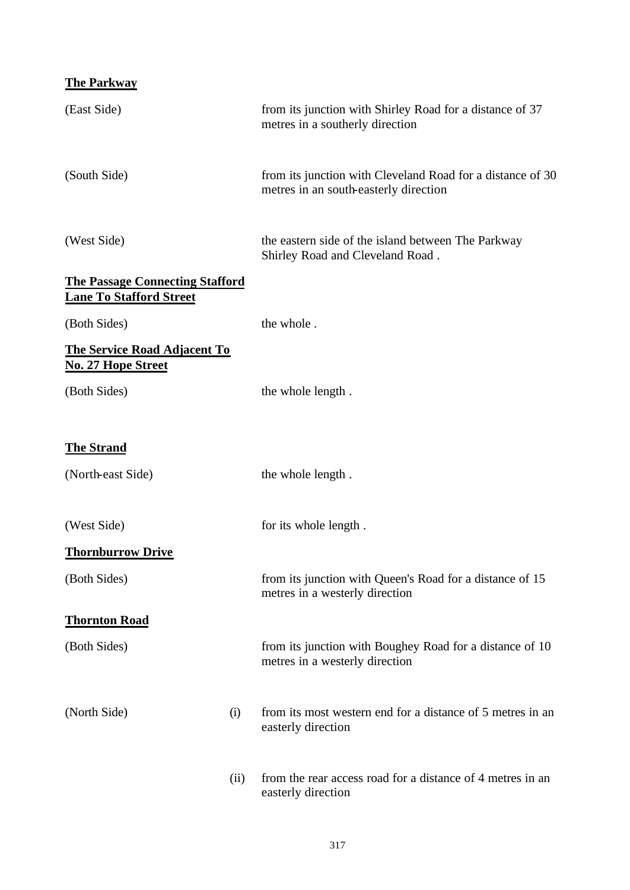| <b>The Parkway</b> |  |
|--------------------|--|
|--------------------|--|

| (East Side)                                                              | from its junction with Shirley Road for a distance of 37<br>metres in a southerly direction         |
|--------------------------------------------------------------------------|-----------------------------------------------------------------------------------------------------|
| (South Side)                                                             | from its junction with Cleveland Road for a distance of 30<br>metres in an south-easterly direction |
| (West Side)                                                              | the eastern side of the island between The Parkway<br>Shirley Road and Cleveland Road.              |
| <b>The Passage Connecting Stafford</b><br><b>Lane To Stafford Street</b> |                                                                                                     |
| (Both Sides)                                                             | the whole.                                                                                          |
| <b>The Service Road Adjacent To</b><br>No. 27 Hope Street                |                                                                                                     |
| (Both Sides)                                                             | the whole length.                                                                                   |
| <b>The Strand</b>                                                        |                                                                                                     |
| (North-east Side)                                                        | the whole length.                                                                                   |
| (West Side)                                                              | for its whole length.                                                                               |
| <b>Thornburrow Drive</b>                                                 |                                                                                                     |
| (Both Sides)                                                             | from its junction with Queen's Road for a distance of 15<br>metres in a westerly direction          |
| <b>Thornton Road</b>                                                     |                                                                                                     |
| (Both Sides)                                                             | from its junction with Boughey Road for a distance of 10<br>metres in a westerly direction          |
| (North Side)<br>(i)                                                      | from its most western end for a distance of 5 metres in an<br>easterly direction                    |
| (ii)                                                                     | from the rear access road for a distance of 4 metres in an<br>easterly direction                    |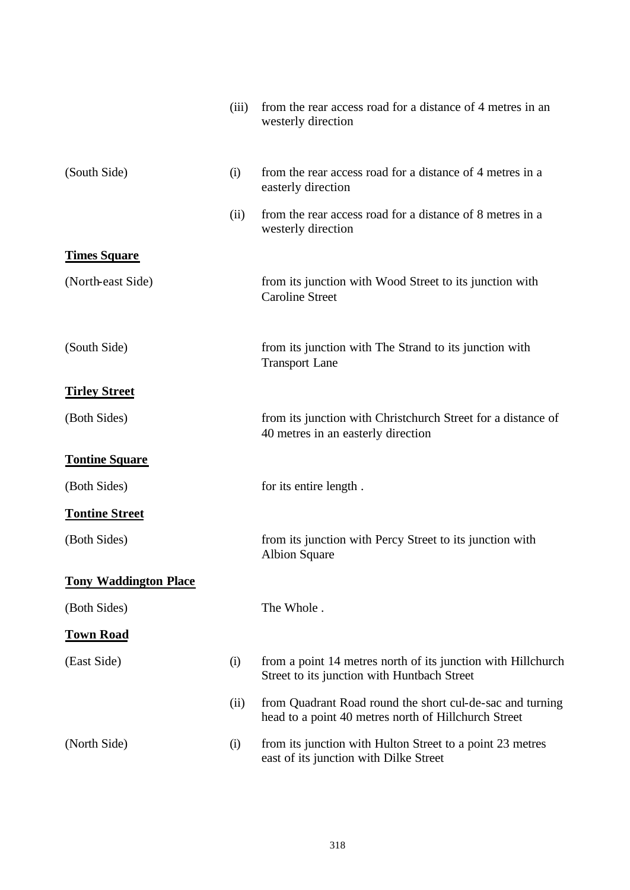|                              | (iii) | from the rear access road for a distance of 4 metres in an<br>westerly direction                                  |
|------------------------------|-------|-------------------------------------------------------------------------------------------------------------------|
| (South Side)                 | (i)   | from the rear access road for a distance of 4 metres in a<br>easterly direction                                   |
|                              | (ii)  | from the rear access road for a distance of 8 metres in a<br>westerly direction                                   |
| <b>Times Square</b>          |       |                                                                                                                   |
| (North-east Side)            |       | from its junction with Wood Street to its junction with<br><b>Caroline Street</b>                                 |
| (South Side)                 |       | from its junction with The Strand to its junction with<br><b>Transport Lane</b>                                   |
| <b>Tirley Street</b>         |       |                                                                                                                   |
| (Both Sides)                 |       | from its junction with Christchurch Street for a distance of<br>40 metres in an easterly direction                |
| <b>Tontine Square</b>        |       |                                                                                                                   |
| (Both Sides)                 |       | for its entire length.                                                                                            |
| <b>Tontine Street</b>        |       |                                                                                                                   |
| (Both Sides)                 |       | from its junction with Percy Street to its junction with<br><b>Albion Square</b>                                  |
| <b>Tony Waddington Place</b> |       |                                                                                                                   |
| (Both Sides)                 |       | The Whole.                                                                                                        |
| <b>Town Road</b>             |       |                                                                                                                   |
| (East Side)                  | (i)   | from a point 14 metres north of its junction with Hillchurch<br>Street to its junction with Huntbach Street       |
|                              | (ii)  | from Quadrant Road round the short cul-de-sac and turning<br>head to a point 40 metres north of Hillchurch Street |
| (North Side)                 | (i)   | from its junction with Hulton Street to a point 23 metres<br>east of its junction with Dilke Street               |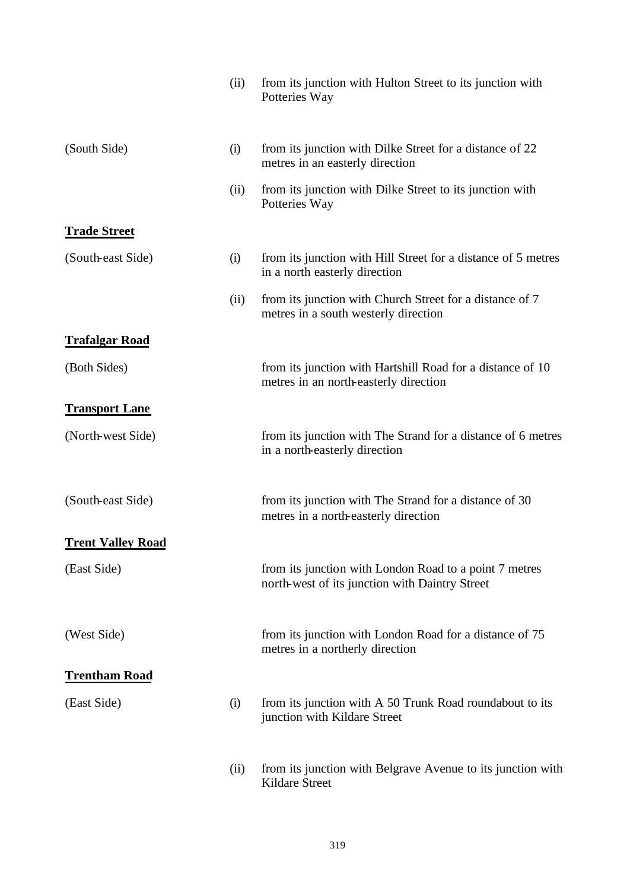|                          | (ii) | from its junction with Hulton Street to its junction with<br>Potteries Way                               |
|--------------------------|------|----------------------------------------------------------------------------------------------------------|
| (South Side)             | (i)  | from its junction with Dilke Street for a distance of 22<br>metres in an easterly direction              |
|                          | (ii) | from its junction with Dilke Street to its junction with<br>Potteries Way                                |
| <b>Trade Street</b>      |      |                                                                                                          |
| (South-east Side)        | (i)  | from its junction with Hill Street for a distance of 5 metres<br>in a north easterly direction           |
|                          | (ii) | from its junction with Church Street for a distance of 7<br>metres in a south westerly direction         |
| <b>Trafalgar Road</b>    |      |                                                                                                          |
| (Both Sides)             |      | from its junction with Hartshill Road for a distance of 10<br>metres in an north-easterly direction      |
| <b>Transport Lane</b>    |      |                                                                                                          |
| (North-west Side)        |      | from its junction with The Strand for a distance of 6 metres<br>in a north-easterly direction            |
| (South-east Side)        |      | from its junction with The Strand for a distance of 30<br>metres in a north-easterly direction           |
| <b>Trent Valley Road</b> |      |                                                                                                          |
| (East Side)              |      | from its junction with London Road to a point 7 metres<br>north-west of its junction with Daintry Street |
| (West Side)              |      | from its junction with London Road for a distance of 75<br>metres in a northerly direction               |
| <b>Trentham Road</b>     |      |                                                                                                          |
| (East Side)              | (i)  | from its junction with A 50 Trunk Road roundabout to its<br>junction with Kildare Street                 |
|                          | (ii) | from its junction with Belgrave Avenue to its junction with<br>Kildare Street                            |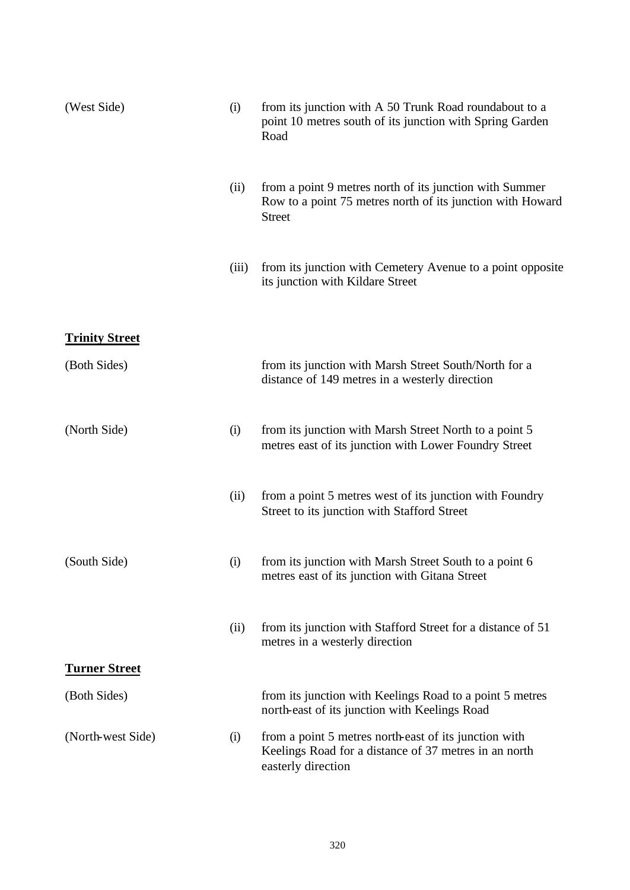| (West Side)           | (i)   | from its junction with A 50 Trunk Road roundabout to a<br>point 10 metres south of its junction with Spring Garden<br>Road             |
|-----------------------|-------|----------------------------------------------------------------------------------------------------------------------------------------|
|                       | (ii)  | from a point 9 metres north of its junction with Summer<br>Row to a point 75 metres north of its junction with Howard<br><b>Street</b> |
|                       | (iii) | from its junction with Cemetery Avenue to a point opposite<br>its junction with Kildare Street                                         |
| <b>Trinity Street</b> |       |                                                                                                                                        |
| (Both Sides)          |       | from its junction with Marsh Street South/North for a<br>distance of 149 metres in a westerly direction                                |
| (North Side)          | (i)   | from its junction with Marsh Street North to a point 5<br>metres east of its junction with Lower Foundry Street                        |
|                       | (ii)  | from a point 5 metres west of its junction with Foundry<br>Street to its junction with Stafford Street                                 |
| (South Side)          | (i)   | from its junction with Marsh Street South to a point 6<br>metres east of its junction with Gitana Street                               |
|                       | (ii)  | from its junction with Stafford Street for a distance of 51<br>metres in a westerly direction                                          |
| <b>Turner Street</b>  |       |                                                                                                                                        |
| (Both Sides)          |       | from its junction with Keelings Road to a point 5 metres<br>north-east of its junction with Keelings Road                              |
| (North-west Side)     | (i)   | from a point 5 metres north-east of its junction with<br>Keelings Road for a distance of 37 metres in an north<br>easterly direction   |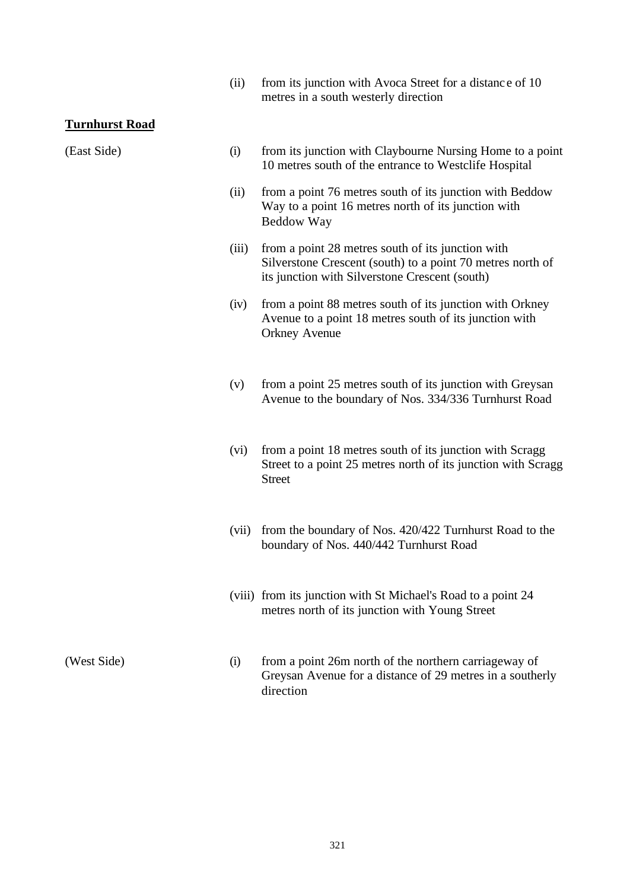(ii) from its junction with Avoca Street for a distance of 10 metres in a south westerly direction

#### **Turnhurst Road**

- (East Side) (i) from its junction with Claybourne Nursing Home to a point 10 metres south of the entrance to Westclife Hospital
	- (ii) from a point 76 metres south of its junction with Beddow Way to a point 16 metres north of its junction with Beddow Way
	- (iii) from a point 28 metres south of its junction with Silverstone Crescent (south) to a point 70 metres north of its junction with Silverstone Crescent (south)
	- (iv) from a point 88 metres south of its junction with Orkney Avenue to a point 18 metres south of its junction with Orkney Avenue
	- (v) from a point 25 metres south of its junction with Greysan Avenue to the boundary of Nos. 334/336 Turnhurst Road
	- (vi) from a point 18 metres south of its junction with Scragg Street to a point 25 metres north of its junction with Scragg Street
	- (vii) from the boundary of Nos. 420/422 Turnhurst Road to the boundary of Nos. 440/442 Turnhurst Road
	- (viii) from its junction with St Michael's Road to a point 24 metres north of its junction with Young Street

(West Side) (i) from a point 26m north of the northern carriageway of Greysan Avenue for a distance of 29 metres in a southerly direction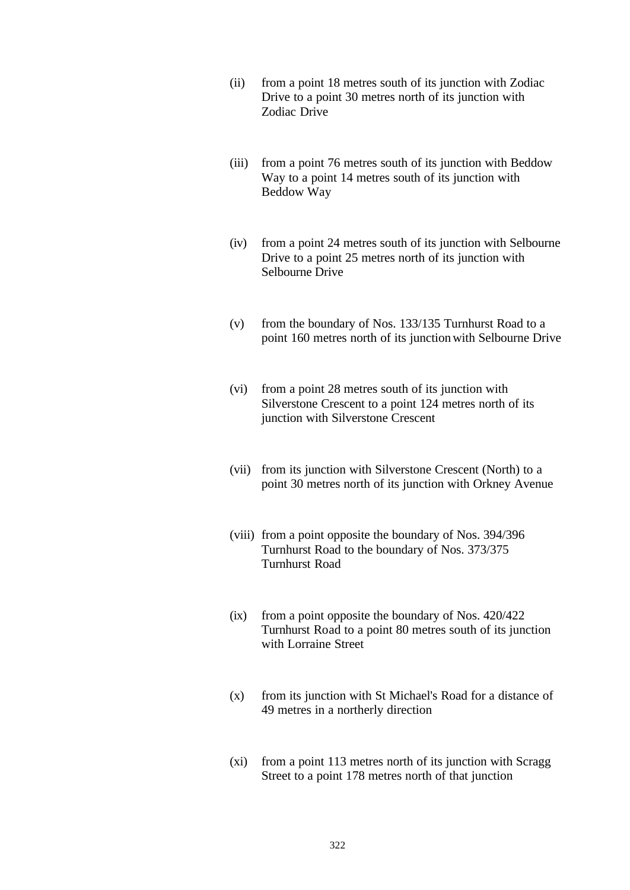- (ii) from a point 18 metres south of its junction with Zodiac Drive to a point 30 metres north of its junction with Zodiac Drive
- (iii) from a point 76 metres south of its junction with Beddow Way to a point 14 metres south of its junction with Beddow Way
- (iv) from a point 24 metres south of its junction with Selbourne Drive to a point 25 metres north of its junction with Selbourne Drive
- (v) from the boundary of Nos. 133/135 Turnhurst Road to a point 160 metres north of its junction with Selbourne Drive
- (vi) from a point 28 metres south of its junction with Silverstone Crescent to a point 124 metres north of its junction with Silverstone Crescent
- (vii) from its junction with Silverstone Crescent (North) to a point 30 metres north of its junction with Orkney Avenue
- (viii) from a point opposite the boundary of Nos. 394/396 Turnhurst Road to the boundary of Nos. 373/375 Turnhurst Road
- (ix) from a point opposite the boundary of Nos. 420/422 Turnhurst Road to a point 80 metres south of its junction with Lorraine Street
- (x) from its junction with St Michael's Road for a distance of 49 metres in a northerly direction
- (xi) from a point 113 metres north of its junction with Scragg Street to a point 178 metres north of that junction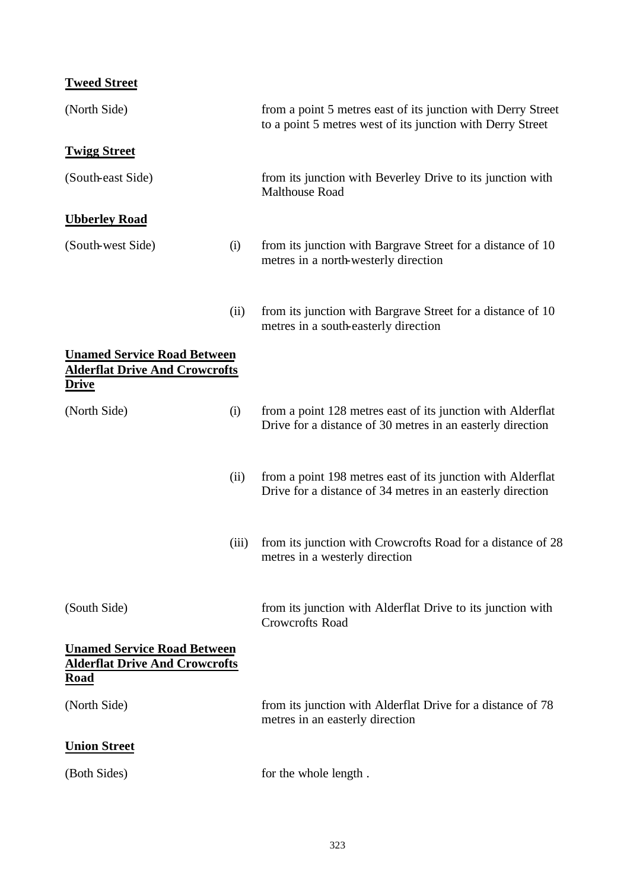# **Tweed Street**

| (North Side)                                                                                |       | from a point 5 metres east of its junction with Derry Street<br>to a point 5 metres west of its junction with Derry Street |
|---------------------------------------------------------------------------------------------|-------|----------------------------------------------------------------------------------------------------------------------------|
| <b>Twigg Street</b>                                                                         |       |                                                                                                                            |
| (South-east Side)                                                                           |       | from its junction with Beverley Drive to its junction with<br><b>Malthouse Road</b>                                        |
| <b>Ubberley Road</b>                                                                        |       |                                                                                                                            |
| (South-west Side)                                                                           | (i)   | from its junction with Bargrave Street for a distance of 10<br>metres in a north-westerly direction                        |
|                                                                                             | (ii)  | from its junction with Bargrave Street for a distance of 10<br>metres in a south-easterly direction                        |
| <b>Unamed Service Road Between</b><br><b>Alderflat Drive And Crowcrofts</b><br><u>Drive</u> |       |                                                                                                                            |
| (North Side)                                                                                | (i)   | from a point 128 metres east of its junction with Alderflat<br>Drive for a distance of 30 metres in an easterly direction  |
|                                                                                             | (ii)  | from a point 198 metres east of its junction with Alderflat<br>Drive for a distance of 34 metres in an easterly direction  |
|                                                                                             | (iii) | from its junction with Crowcrofts Road for a distance of 28<br>metres in a westerly direction                              |
| (South Side)                                                                                |       | from its junction with Alderflat Drive to its junction with<br><b>Crowcrofts Road</b>                                      |
| <b>Unamed Service Road Between</b><br><b>Alderflat Drive And Crowcrofts</b><br><u>Road</u>  |       |                                                                                                                            |
| (North Side)                                                                                |       | from its junction with Alderflat Drive for a distance of 78<br>metres in an easterly direction                             |
| <b>Union Street</b>                                                                         |       |                                                                                                                            |
| (Both Sides)                                                                                |       | for the whole length.                                                                                                      |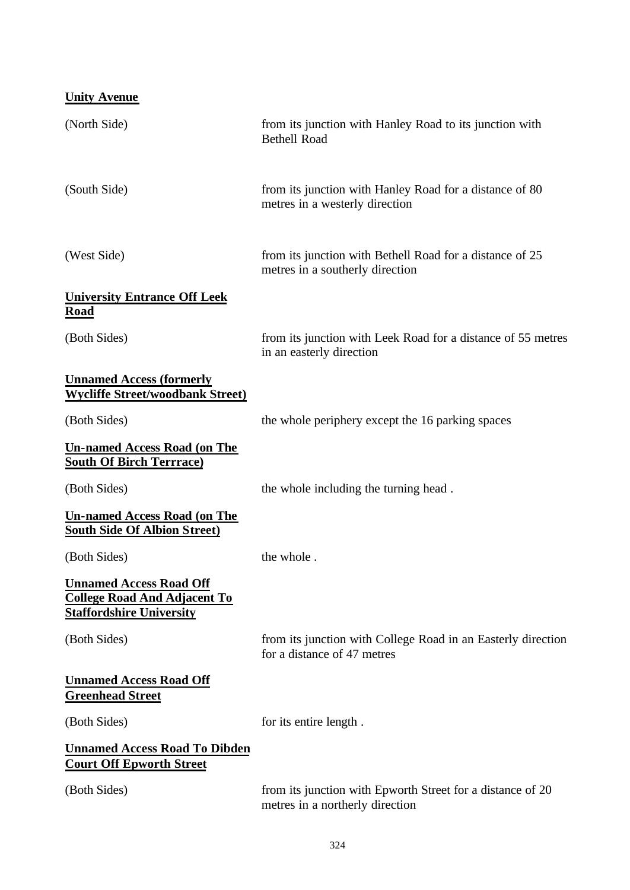| <b>Unity Avenue</b>                                                                                       |                                                                                               |
|-----------------------------------------------------------------------------------------------------------|-----------------------------------------------------------------------------------------------|
| (North Side)                                                                                              | from its junction with Hanley Road to its junction with<br><b>Bethell Road</b>                |
| (South Side)                                                                                              | from its junction with Hanley Road for a distance of 80<br>metres in a westerly direction     |
| (West Side)                                                                                               | from its junction with Bethell Road for a distance of 25<br>metres in a southerly direction   |
| <b>University Entrance Off Leek</b><br><b>Road</b>                                                        |                                                                                               |
| (Both Sides)                                                                                              | from its junction with Leek Road for a distance of 55 metres<br>in an easterly direction      |
| <b>Unnamed Access (formerly</b><br><b>Wycliffe Street/woodbank Street)</b>                                |                                                                                               |
| (Both Sides)                                                                                              | the whole periphery except the 16 parking spaces                                              |
| <b>Un-named Access Road (on The</b><br><b>South Of Birch Terrrace)</b>                                    |                                                                                               |
| (Both Sides)                                                                                              | the whole including the turning head.                                                         |
| <b>Un-named Access Road (on The</b><br><b>South Side Of Albion Street)</b>                                |                                                                                               |
| (Both Sides)                                                                                              | the whole.                                                                                    |
| <b>Unnamed Access Road Off</b><br><b>College Road And Adjacent To</b><br><u> Staffordshire University</u> |                                                                                               |
| (Both Sides)                                                                                              | from its junction with College Road in an Easterly direction<br>for a distance of 47 metres   |
| <b>Unnamed Access Road Off</b><br><b>Greenhead Street</b>                                                 |                                                                                               |
| (Both Sides)                                                                                              | for its entire length.                                                                        |
| <b>Unnamed Access Road To Dibden</b><br><b>Court Off Epworth Street</b>                                   |                                                                                               |
| (Both Sides)                                                                                              | from its junction with Epworth Street for a distance of 20<br>metres in a northerly direction |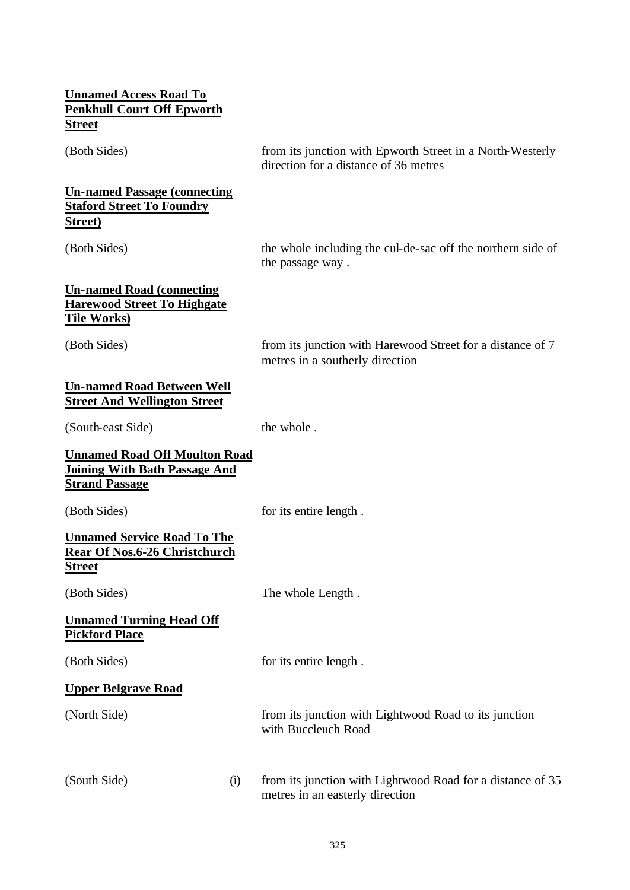#### **Unnamed Access Road To Penkhull Court Off Epworth Street**

### **Un-named Passage (connecting Staford Street To Foundry Street)**

(Both Sides) from its junction with Epworth Street in a North-Westerly direction for a distance of 36 metres

(Both Sides) the whole including the cul-de-sac off the northern side of the passage way .

#### **Un-named Road (connecting Harewood Street To Highgate Tile Works)**

(Both Sides) from its junction with Harewood Street for a distance of 7 metres in a southerly direction

#### **Un-named Road Between Well Street And Wellington Street**

(South-east Side) the whole .

| <b>Unnamed Road Off Moulton Road</b><br><b>Joining With Bath Passage And</b><br><b>Strand Passage</b> |                                                                                               |
|-------------------------------------------------------------------------------------------------------|-----------------------------------------------------------------------------------------------|
| (Both Sides)                                                                                          | for its entire length.                                                                        |
| <b>Unnamed Service Road To The</b><br><b>Rear Of Nos.6-26 Christchurch</b><br><b>Street</b>           |                                                                                               |
| (Both Sides)                                                                                          | The whole Length.                                                                             |
| <b>Unnamed Turning Head Off</b><br><b>Pickford Place</b>                                              |                                                                                               |
| (Both Sides)                                                                                          | for its entire length.                                                                        |
| <b>Upper Belgrave Road</b>                                                                            |                                                                                               |
| (North Side)                                                                                          | from its junction with Lightwood Road to its junction<br>with Buccleuch Road                  |
| (South Side)<br>(i)                                                                                   | from its junction with Lightwood Road for a distance of 35<br>metres in an easterly direction |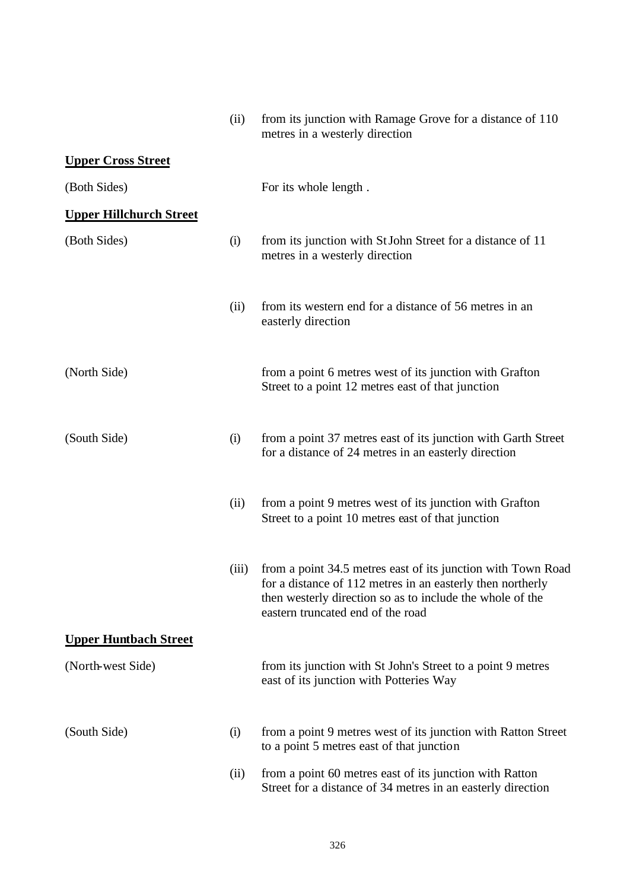|                                | (ii)  | from its junction with Ramage Grove for a distance of 110<br>metres in a westerly direction                                                                                                                                  |
|--------------------------------|-------|------------------------------------------------------------------------------------------------------------------------------------------------------------------------------------------------------------------------------|
| <b>Upper Cross Street</b>      |       |                                                                                                                                                                                                                              |
| (Both Sides)                   |       | For its whole length.                                                                                                                                                                                                        |
| <b>Upper Hillchurch Street</b> |       |                                                                                                                                                                                                                              |
| (Both Sides)                   | (i)   | from its junction with St John Street for a distance of 11<br>metres in a westerly direction                                                                                                                                 |
|                                | (ii)  | from its western end for a distance of 56 metres in an<br>easterly direction                                                                                                                                                 |
| (North Side)                   |       | from a point 6 metres west of its junction with Grafton<br>Street to a point 12 metres east of that junction                                                                                                                 |
| (South Side)                   | (i)   | from a point 37 metres east of its junction with Garth Street<br>for a distance of 24 metres in an easterly direction                                                                                                        |
|                                | (ii)  | from a point 9 metres west of its junction with Grafton<br>Street to a point 10 metres east of that junction                                                                                                                 |
|                                | (iii) | from a point 34.5 metres east of its junction with Town Road<br>for a distance of 112 metres in an easterly then northerly<br>then westerly direction so as to include the whole of the<br>eastern truncated end of the road |
| <b>Upper Huntbach Street</b>   |       |                                                                                                                                                                                                                              |
| (North-west Side)              |       | from its junction with St John's Street to a point 9 metres<br>east of its junction with Potteries Way                                                                                                                       |
| (South Side)                   | (i)   | from a point 9 metres west of its junction with Ratton Street<br>to a point 5 metres east of that junction                                                                                                                   |
|                                | (ii)  | from a point 60 metres east of its junction with Ratton<br>Street for a distance of 34 metres in an easterly direction                                                                                                       |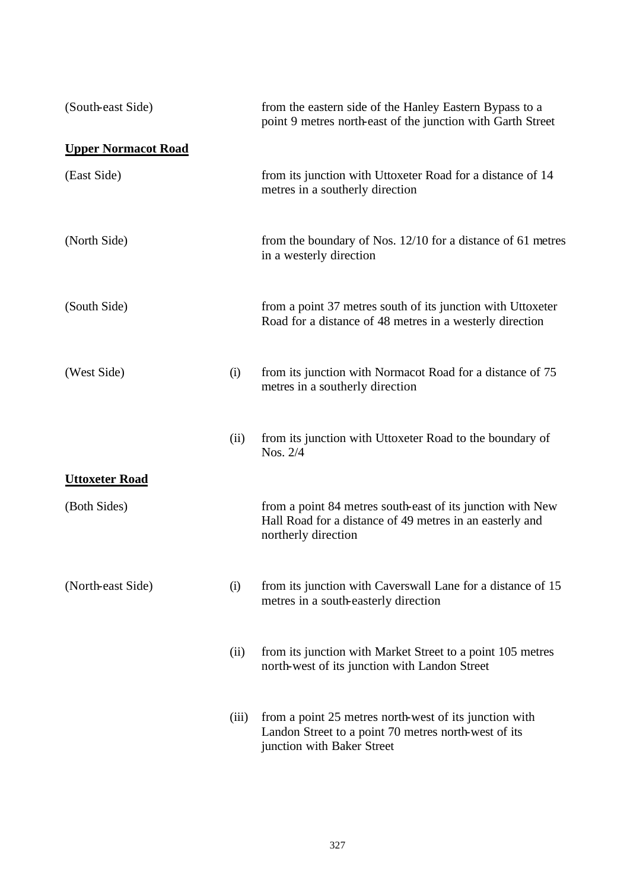| (South-east Side)          |       | from the eastern side of the Hanley Eastern Bypass to a<br>point 9 metres north-east of the junction with Garth Street                        |
|----------------------------|-------|-----------------------------------------------------------------------------------------------------------------------------------------------|
| <b>Upper Normacot Road</b> |       |                                                                                                                                               |
| (East Side)                |       | from its junction with Uttoxeter Road for a distance of 14<br>metres in a southerly direction                                                 |
| (North Side)               |       | from the boundary of Nos. 12/10 for a distance of 61 metres<br>in a westerly direction                                                        |
| (South Side)               |       | from a point 37 metres south of its junction with Uttoxeter<br>Road for a distance of 48 metres in a westerly direction                       |
| (West Side)                | (i)   | from its junction with Normacot Road for a distance of 75<br>metres in a southerly direction                                                  |
|                            | (ii)  | from its junction with Uttoxeter Road to the boundary of<br>Nos. 2/4                                                                          |
| <b>Uttoxeter Road</b>      |       |                                                                                                                                               |
| (Both Sides)               |       | from a point 84 metres south-east of its junction with New<br>Hall Road for a distance of 49 metres in an easterly and<br>northerly direction |
| (North-east Side)          | (i)   | from its junction with Caverswall Lane for a distance of 15<br>metres in a south-easterly direction                                           |
|                            | (ii)  | from its junction with Market Street to a point 105 metres<br>north-west of its junction with Landon Street                                   |
|                            | (iii) | from a point 25 metres north-west of its junction with<br>Landon Street to a point 70 metres north-west of its<br>junction with Baker Street  |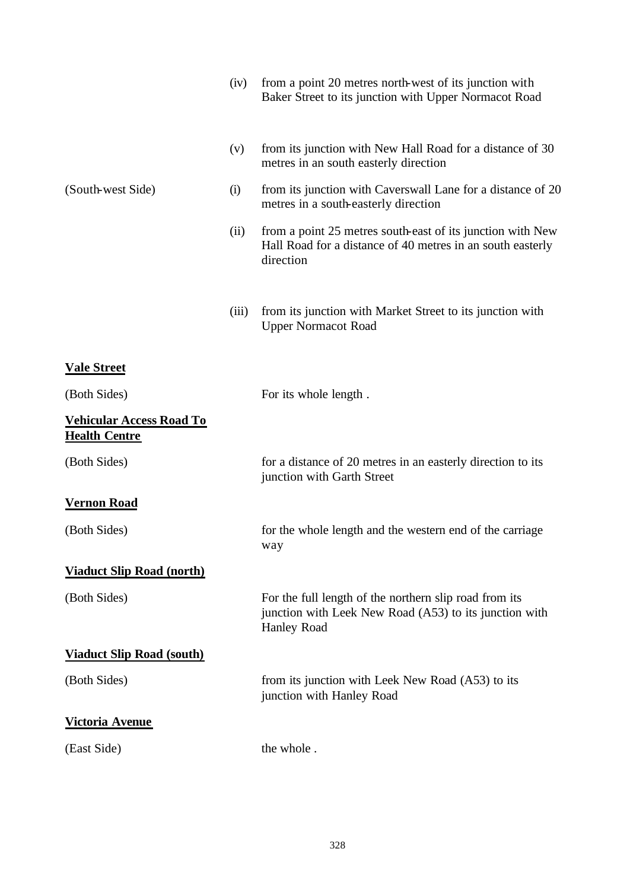|                                                         | (iv)  | from a point 20 metres north-west of its junction with<br>Baker Street to its junction with Upper Normacot Road                        |
|---------------------------------------------------------|-------|----------------------------------------------------------------------------------------------------------------------------------------|
|                                                         | (v)   | from its junction with New Hall Road for a distance of 30<br>metres in an south easterly direction                                     |
| (South-west Side)                                       | (i)   | from its junction with Caverswall Lane for a distance of 20<br>metres in a south-easterly direction                                    |
|                                                         | (ii)  | from a point 25 metres south-east of its junction with New<br>Hall Road for a distance of 40 metres in an south easterly<br>direction  |
|                                                         | (iii) | from its junction with Market Street to its junction with<br><b>Upper Normacot Road</b>                                                |
| <b>Vale Street</b>                                      |       |                                                                                                                                        |
| (Both Sides)                                            |       | For its whole length.                                                                                                                  |
| <b>Vehicular Access Road To</b><br><b>Health Centre</b> |       |                                                                                                                                        |
| (Both Sides)                                            |       | for a distance of 20 metres in an easterly direction to its<br>junction with Garth Street                                              |
| <b>Vernon Road</b>                                      |       |                                                                                                                                        |
| (Both Sides)                                            |       | for the whole length and the western end of the carriage<br>way                                                                        |
| <b>Viaduct Slip Road (north)</b>                        |       |                                                                                                                                        |
| (Both Sides)                                            |       | For the full length of the northern slip road from its<br>junction with Leek New Road (A53) to its junction with<br><b>Hanley Road</b> |
| <b>Viaduct Slip Road (south)</b>                        |       |                                                                                                                                        |
| (Both Sides)                                            |       | from its junction with Leek New Road (A53) to its<br>junction with Hanley Road                                                         |
| <b>Victoria Avenue</b>                                  |       |                                                                                                                                        |
| (East Side)                                             |       | the whole.                                                                                                                             |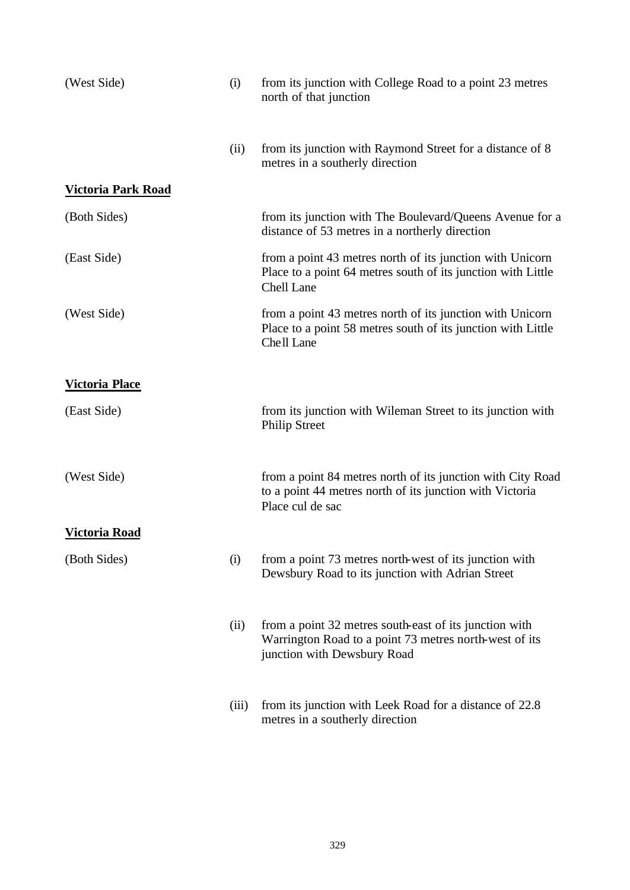| (West Side)               | (i)   | from its junction with College Road to a point 23 metres<br>north of that junction                                                              |
|---------------------------|-------|-------------------------------------------------------------------------------------------------------------------------------------------------|
|                           | (ii)  | from its junction with Raymond Street for a distance of 8<br>metres in a southerly direction                                                    |
| <b>Victoria Park Road</b> |       |                                                                                                                                                 |
| (Both Sides)              |       | from its junction with The Boulevard/Queens Avenue for a<br>distance of 53 metres in a northerly direction                                      |
| (East Side)               |       | from a point 43 metres north of its junction with Unicorn<br>Place to a point 64 metres south of its junction with Little<br>Chell Lane         |
| (West Side)               |       | from a point 43 metres north of its junction with Unicorn<br>Place to a point 58 metres south of its junction with Little<br>Chell Lane         |
| <b>Victoria Place</b>     |       |                                                                                                                                                 |
| (East Side)               |       | from its junction with Wileman Street to its junction with<br><b>Philip Street</b>                                                              |
| (West Side)               |       | from a point 84 metres north of its junction with City Road<br>to a point 44 metres north of its junction with Victoria<br>Place cul de sac     |
| <b>Victoria Road</b>      |       |                                                                                                                                                 |
| (Both Sides)              | (i)   | from a point 73 metres north-west of its junction with<br>Dewsbury Road to its junction with Adrian Street                                      |
|                           | (ii)  | from a point 32 metres south-east of its junction with<br>Warrington Road to a point 73 metres north-west of its<br>junction with Dewsbury Road |
|                           | (iii) | from its junction with Leek Road for a distance of 22.8<br>metres in a southerly direction                                                      |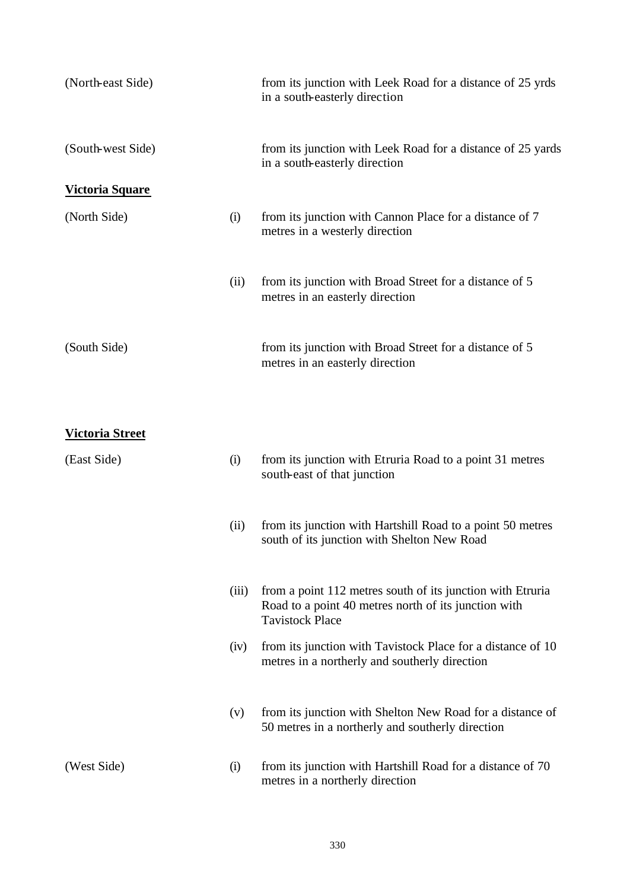| (North-east Side)      |       | from its junction with Leek Road for a distance of 25 yrds<br>in a south-easterly direction                                                  |
|------------------------|-------|----------------------------------------------------------------------------------------------------------------------------------------------|
| (South-west Side)      |       | from its junction with Leek Road for a distance of 25 yards<br>in a south-easterly direction                                                 |
| <b>Victoria Square</b> |       |                                                                                                                                              |
| (North Side)           | (i)   | from its junction with Cannon Place for a distance of 7<br>metres in a westerly direction                                                    |
|                        | (ii)  | from its junction with Broad Street for a distance of 5<br>metres in an easterly direction                                                   |
| (South Side)           |       | from its junction with Broad Street for a distance of 5<br>metres in an easterly direction                                                   |
| <u>Victoria Street</u> |       |                                                                                                                                              |
| (East Side)            | (i)   | from its junction with Etruria Road to a point 31 metres<br>south-east of that junction                                                      |
|                        | (ii)  | from its junction with Hartshill Road to a point 50 metres<br>south of its junction with Shelton New Road                                    |
|                        | (iii) | from a point 112 metres south of its junction with Etruria<br>Road to a point 40 metres north of its junction with<br><b>Tavistock Place</b> |
|                        | (iv)  | from its junction with Tavistock Place for a distance of 10<br>metres in a northerly and southerly direction                                 |
|                        | (v)   | from its junction with Shelton New Road for a distance of<br>50 metres in a northerly and southerly direction                                |
| (West Side)            | (i)   | from its junction with Hartshill Road for a distance of 70<br>metres in a northerly direction                                                |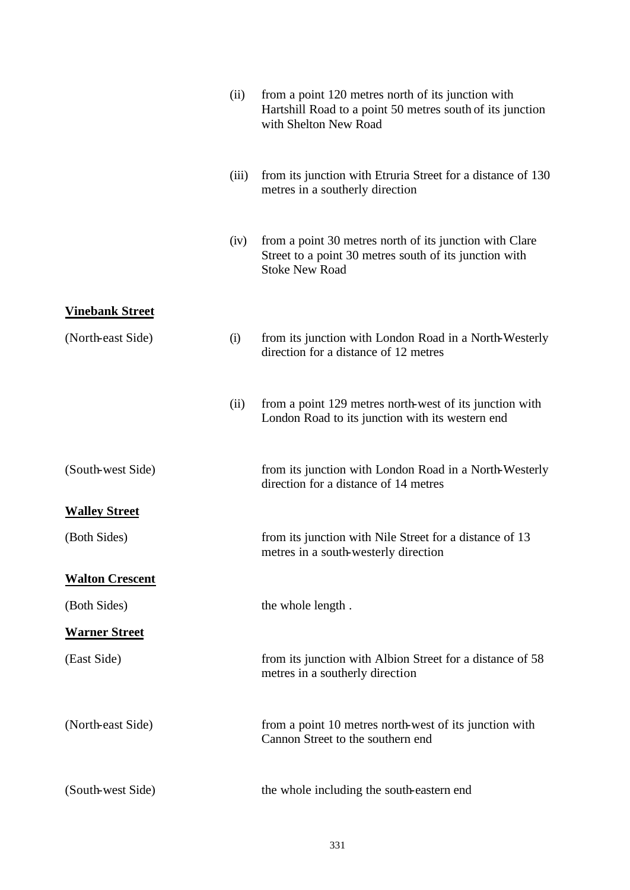|                        | (ii)  | from a point 120 metres north of its junction with<br>Hartshill Road to a point 50 metres south of its junction<br>with Shelton New Road   |
|------------------------|-------|--------------------------------------------------------------------------------------------------------------------------------------------|
|                        | (iii) | from its junction with Etruria Street for a distance of 130<br>metres in a southerly direction                                             |
|                        | (iv)  | from a point 30 metres north of its junction with Clare<br>Street to a point 30 metres south of its junction with<br><b>Stoke New Road</b> |
| <b>Vinebank Street</b> |       |                                                                                                                                            |
| (North-east Side)      | (i)   | from its junction with London Road in a North-Westerly<br>direction for a distance of 12 metres                                            |
|                        | (ii)  | from a point 129 metres north-west of its junction with<br>London Road to its junction with its western end                                |
| (South-west Side)      |       | from its junction with London Road in a North-Westerly<br>direction for a distance of 14 metres                                            |
| <b>Walley Street</b>   |       |                                                                                                                                            |
| (Both Sides)           |       | from its junction with Nile Street for a distance of 13<br>metres in a south-westerly direction                                            |
| <b>Walton Crescent</b> |       |                                                                                                                                            |
| (Both Sides)           |       | the whole length.                                                                                                                          |
| <b>Warner Street</b>   |       |                                                                                                                                            |
| (East Side)            |       | from its junction with Albion Street for a distance of 58<br>metres in a southerly direction                                               |
| (North-east Side)      |       | from a point 10 metres north-west of its junction with<br>Cannon Street to the southern end                                                |
| (South-west Side)      |       | the whole including the south-eastern end                                                                                                  |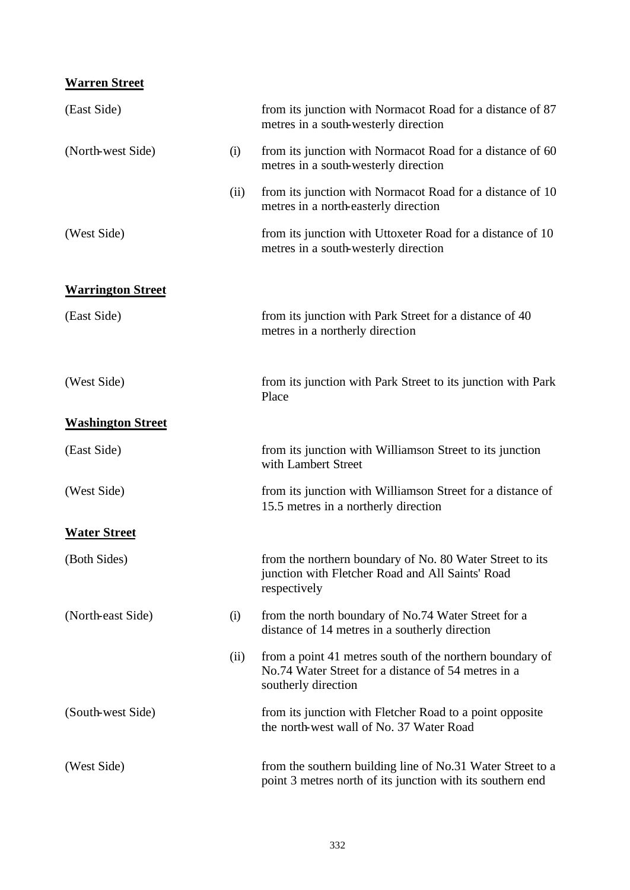## **Warren Street**

| (East Side)              |      | from its junction with Normacot Road for a distance of 87<br>metres in a south-westerly direction                                      |
|--------------------------|------|----------------------------------------------------------------------------------------------------------------------------------------|
| (North-west Side)        | (i)  | from its junction with Normacot Road for a distance of 60<br>metres in a south-westerly direction                                      |
|                          | (ii) | from its junction with Normacot Road for a distance of 10<br>metres in a north-easterly direction                                      |
| (West Side)              |      | from its junction with Uttoxeter Road for a distance of 10<br>metres in a south-westerly direction                                     |
| <b>Warrington Street</b> |      |                                                                                                                                        |
| (East Side)              |      | from its junction with Park Street for a distance of 40<br>metres in a northerly direction                                             |
| (West Side)              |      | from its junction with Park Street to its junction with Park<br>Place                                                                  |
| <b>Washington Street</b> |      |                                                                                                                                        |
| (East Side)              |      | from its junction with Williamson Street to its junction<br>with Lambert Street                                                        |
| (West Side)              |      | from its junction with Williamson Street for a distance of<br>15.5 metres in a northerly direction                                     |
| <b>Water Street</b>      |      |                                                                                                                                        |
| (Both Sides)             |      | from the northern boundary of No. 80 Water Street to its<br>junction with Fletcher Road and All Saints' Road<br>respectively           |
| (North-east Side)        | (i)  | from the north boundary of No.74 Water Street for a<br>distance of 14 metres in a southerly direction                                  |
|                          | (ii) | from a point 41 metres south of the northern boundary of<br>No.74 Water Street for a distance of 54 metres in a<br>southerly direction |
| (South-west Side)        |      | from its junction with Fletcher Road to a point opposite<br>the north-west wall of No. 37 Water Road                                   |
| (West Side)              |      | from the southern building line of No.31 Water Street to a<br>point 3 metres north of its junction with its southern end               |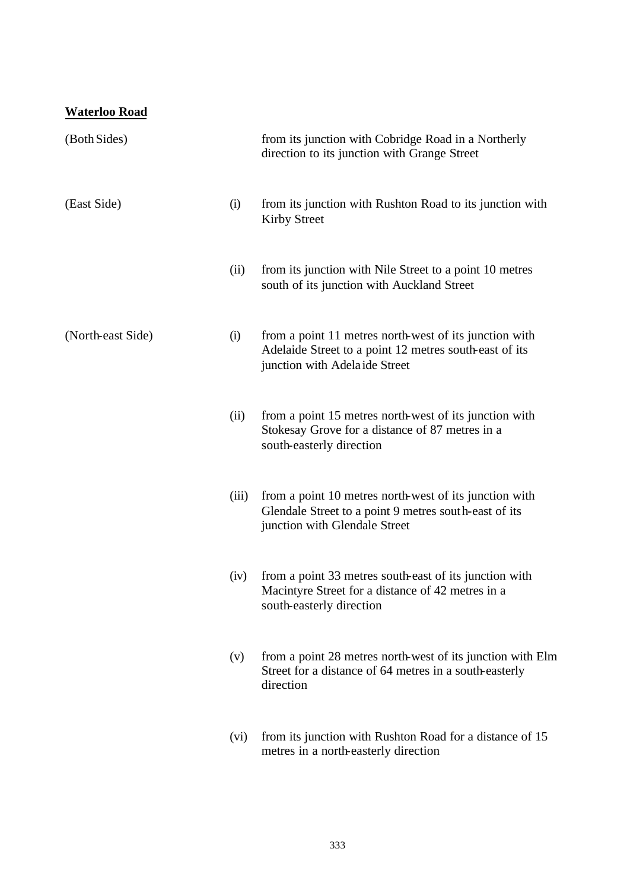# **Waterloo Road**

| (Both Sides)      |       | from its junction with Cobridge Road in a Northerly<br>direction to its junction with Grange Street                                               |
|-------------------|-------|---------------------------------------------------------------------------------------------------------------------------------------------------|
| (East Side)       | (i)   | from its junction with Rushton Road to its junction with<br><b>Kirby Street</b>                                                                   |
|                   | (ii)  | from its junction with Nile Street to a point 10 metres<br>south of its junction with Auckland Street                                             |
| (North-east Side) | (i)   | from a point 11 metres north-west of its junction with<br>Adelaide Street to a point 12 metres south-east of its<br>junction with Adelaide Street |
|                   | (ii)  | from a point 15 metres north-west of its junction with<br>Stokesay Grove for a distance of 87 metres in a<br>south-easterly direction             |
|                   | (iii) | from a point 10 metres north-west of its junction with<br>Glendale Street to a point 9 metres south-east of its<br>junction with Glendale Street  |
|                   | (iv)  | from a point 33 metres south-east of its junction with<br>Macintyre Street for a distance of 42 metres in a<br>south-easterly direction           |
|                   | (v)   | from a point 28 metres north-west of its junction with Elm<br>Street for a distance of 64 metres in a south-easterly<br>direction                 |
|                   | (vi)  | from its junction with Rushton Road for a distance of 15<br>metres in a north-easterly direction                                                  |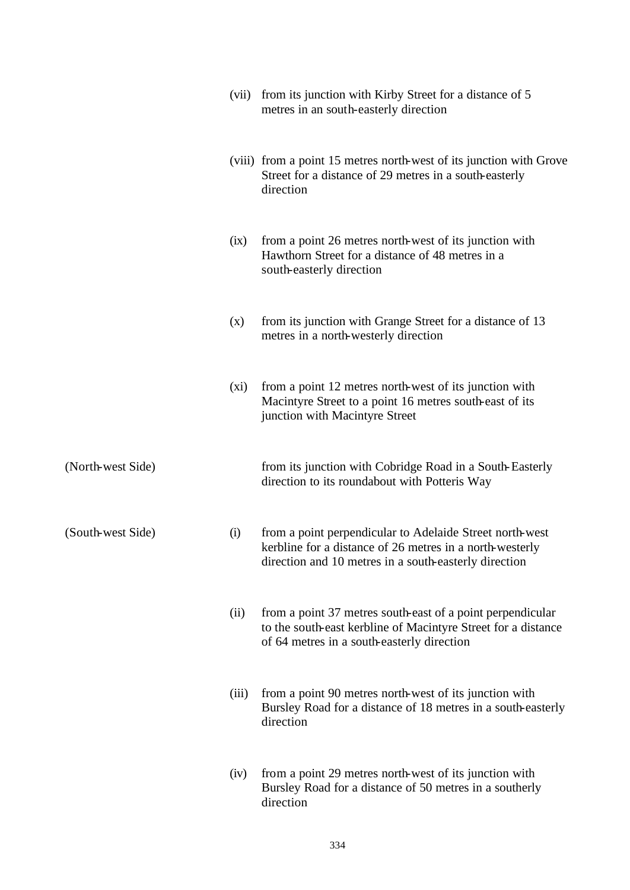|                   | (vii)   | from its junction with Kirby Street for a distance of 5<br>metres in an south-easterly direction                                                                              |
|-------------------|---------|-------------------------------------------------------------------------------------------------------------------------------------------------------------------------------|
|                   |         | (viii) from a point 15 metres north-west of its junction with Grove<br>Street for a distance of 29 metres in a south-easterly<br>direction                                    |
|                   | (ix)    | from a point 26 metres north-west of its junction with<br>Hawthorn Street for a distance of 48 metres in a<br>south-easterly direction                                        |
|                   | (x)     | from its junction with Grange Street for a distance of 13<br>metres in a north-westerly direction                                                                             |
|                   | $(x_i)$ | from a point 12 metres north-west of its junction with<br>Macintyre Street to a point 16 metres south-east of its<br>junction with Macintyre Street                           |
| (North-west Side) |         | from its junction with Cobridge Road in a South-Easterly<br>direction to its roundabout with Potteris Way                                                                     |
| (South-west Side) | (i)     | from a point perpendicular to Adelaide Street north-west<br>kerbline for a distance of 26 metres in a north-westerly<br>direction and 10 metres in a south-easterly direction |
|                   | (ii)    | from a point 37 metres south-east of a point perpendicular<br>to the south-east kerbline of Macintyre Street for a distance<br>of 64 metres in a south-easterly direction     |
|                   | (iii)   | from a point 90 metres north-west of its junction with<br>Bursley Road for a distance of 18 metres in a south-easterly<br>direction                                           |
|                   | (iv)    | from a point 29 metres north-west of its junction with<br>Bursley Road for a distance of 50 metres in a southerly<br>direction                                                |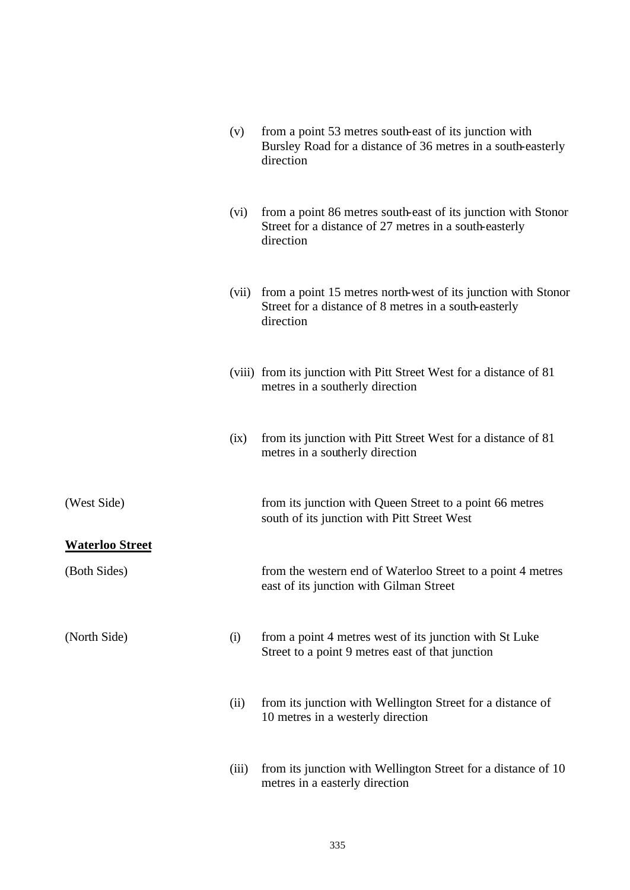|                        | (v)   | from a point 53 metres south-east of its junction with<br>Bursley Road for a distance of 36 metres in a south-easterly<br>direction  |
|------------------------|-------|--------------------------------------------------------------------------------------------------------------------------------------|
|                        | (vi)  | from a point 86 metres south-east of its junction with Stonor<br>Street for a distance of 27 metres in a south-easterly<br>direction |
|                        | (vii) | from a point 15 metres north-west of its junction with Stonor<br>Street for a distance of 8 metres in a south-easterly<br>direction  |
|                        |       | (viii) from its junction with Pitt Street West for a distance of 81<br>metres in a southerly direction                               |
|                        | (ix)  | from its junction with Pitt Street West for a distance of 81<br>metres in a southerly direction                                      |
| (West Side)            |       | from its junction with Queen Street to a point 66 metres<br>south of its junction with Pitt Street West                              |
| <b>Waterloo Street</b> |       |                                                                                                                                      |
| (Both Sides)           |       | from the western end of Waterloo Street to a point 4 metres<br>east of its junction with Gilman Street                               |
| (North Side)           | (i)   | from a point 4 metres west of its junction with St Luke<br>Street to a point 9 metres east of that junction                          |
|                        | (ii)  | from its junction with Wellington Street for a distance of<br>10 metres in a westerly direction                                      |
|                        | (iii) | from its junction with Wellington Street for a distance of 10<br>metres in a easterly direction                                      |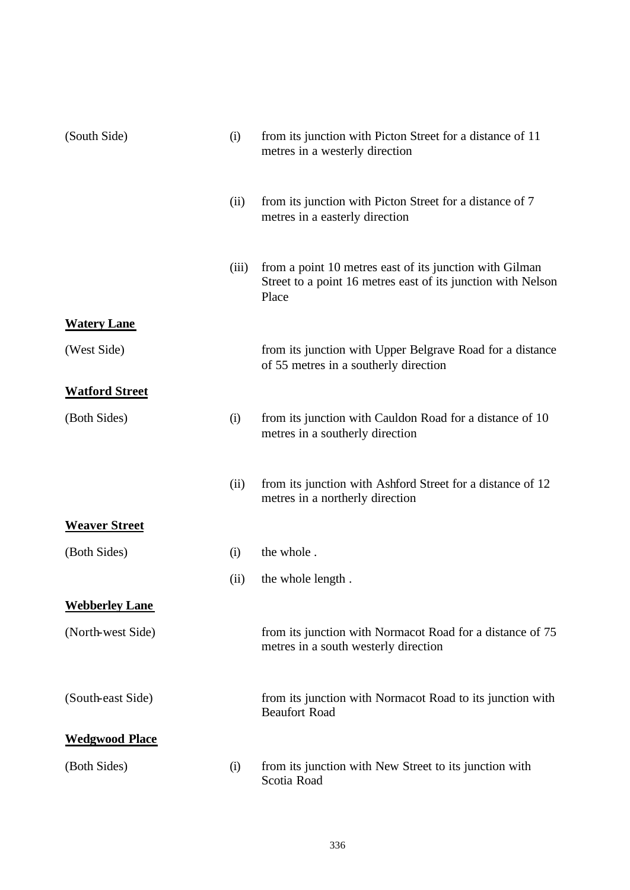| (South Side)          | (i)   | from its junction with Picton Street for a distance of 11<br>metres in a westerly direction                                      |
|-----------------------|-------|----------------------------------------------------------------------------------------------------------------------------------|
|                       | (ii)  | from its junction with Picton Street for a distance of 7<br>metres in a easterly direction                                       |
|                       | (iii) | from a point 10 metres east of its junction with Gilman<br>Street to a point 16 metres east of its junction with Nelson<br>Place |
| <b>Watery Lane</b>    |       |                                                                                                                                  |
| (West Side)           |       | from its junction with Upper Belgrave Road for a distance<br>of 55 metres in a southerly direction                               |
| <b>Watford Street</b> |       |                                                                                                                                  |
| (Both Sides)          | (i)   | from its junction with Cauldon Road for a distance of 10<br>metres in a southerly direction                                      |
|                       | (ii)  | from its junction with Ashford Street for a distance of 12<br>metres in a northerly direction                                    |
| <b>Weaver Street</b>  |       |                                                                                                                                  |
| (Both Sides)          | (i)   | the whole.                                                                                                                       |
|                       | (ii)  | the whole length.                                                                                                                |
| <b>Webberley Lane</b> |       |                                                                                                                                  |
| (North-west Side)     |       | from its junction with Normacot Road for a distance of 75<br>metres in a south westerly direction                                |
| (South-east Side)     |       | from its junction with Normacot Road to its junction with<br><b>Beaufort Road</b>                                                |
| <b>Wedgwood Place</b> |       |                                                                                                                                  |
| (Both Sides)          | (i)   | from its junction with New Street to its junction with<br>Scotia Road                                                            |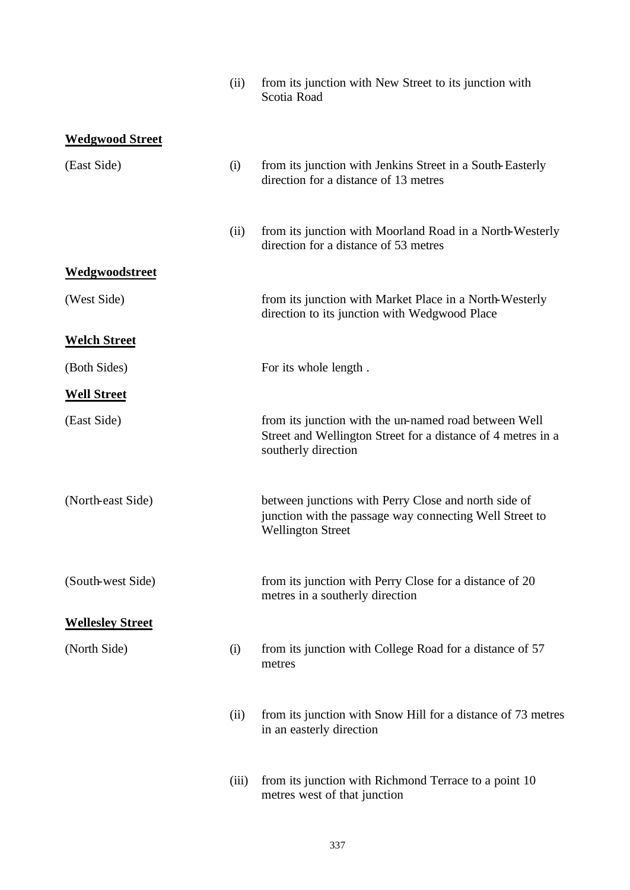|                         | (ii)  | from its junction with New Street to its junction with<br>Scotia Road                                                                        |
|-------------------------|-------|----------------------------------------------------------------------------------------------------------------------------------------------|
| <b>Wedgwood Street</b>  |       |                                                                                                                                              |
| (East Side)             | (i)   | from its junction with Jenkins Street in a South-Easterly<br>direction for a distance of 13 metres                                           |
|                         | (ii)  | from its junction with Moorland Road in a North-Westerly<br>direction for a distance of 53 metres                                            |
| Wedgwoodstreet          |       |                                                                                                                                              |
| (West Side)             |       | from its junction with Market Place in a North-Westerly<br>direction to its junction with Wedgwood Place                                     |
| <b>Welch Street</b>     |       |                                                                                                                                              |
| (Both Sides)            |       | For its whole length.                                                                                                                        |
| <b>Well Street</b>      |       |                                                                                                                                              |
| (East Side)             |       | from its junction with the un-named road between Well<br>Street and Wellington Street for a distance of 4 metres in a<br>southerly direction |
| (North-east Side)       |       | between junctions with Perry Close and north side of<br>junction with the passage way connecting Well Street to<br><b>Wellington Street</b>  |
| (South-west Side)       |       | from its junction with Perry Close for a distance of 20<br>metres in a southerly direction                                                   |
| <b>Wellesley Street</b> |       |                                                                                                                                              |
| (North Side)            | (i)   | from its junction with College Road for a distance of 57<br>metres                                                                           |
|                         | (ii)  | from its junction with Snow Hill for a distance of 73 metres<br>in an easterly direction                                                     |
|                         | (iii) | from its junction with Richmond Terrace to a point 10<br>metres west of that junction                                                        |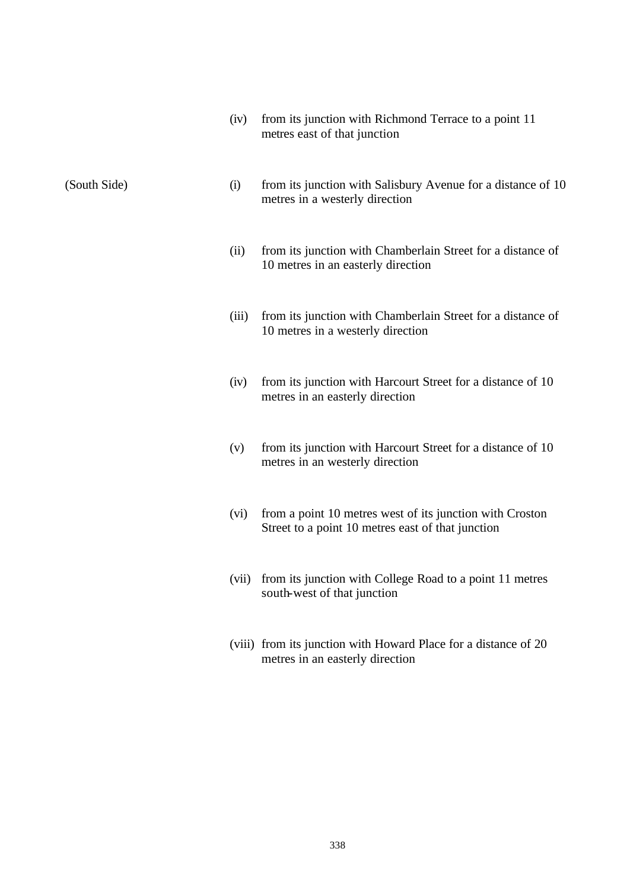| (iv) | from its junction with Richmond Terrace to a point 11 |
|------|-------------------------------------------------------|
|      | metres east of that junction                          |

- (South Side) (i) from its junction with Salisbury Avenue for a distance of 10 metres in a westerly direction
	- (ii) from its junction with Chamberlain Street for a distance of 10 metres in an easterly direction
	- (iii) from its junction with Chamberlain Street for a distance of 10 metres in a westerly direction
	- (iv) from its junction with Harcourt Street for a distance of 10 metres in an easterly direction
	- (v) from its junction with Harcourt Street for a distance of 10 metres in an westerly direction
	- (vi) from a point 10 metres west of its junction with Croston Street to a point 10 metres east of that junction
	- (vii) from its junction with College Road to a point 11 metres south-west of that junction
	- (viii) from its junction with Howard Place for a distance of 20 metres in an easterly direction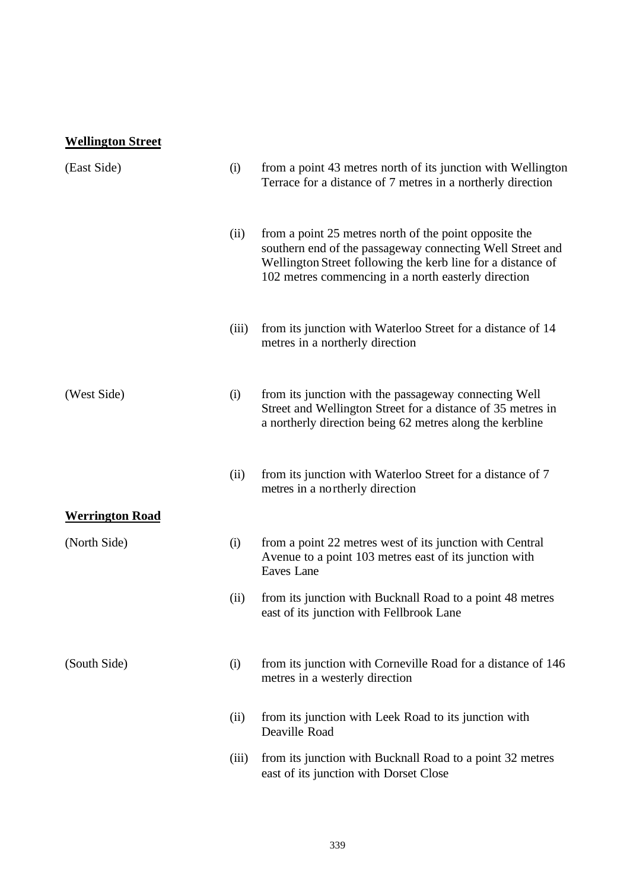# **Wellington Street**

| (East Side)            | (i)   | from a point 43 metres north of its junction with Wellington<br>Terrace for a distance of 7 metres in a northerly direction                                                                                                               |
|------------------------|-------|-------------------------------------------------------------------------------------------------------------------------------------------------------------------------------------------------------------------------------------------|
|                        | (ii)  | from a point 25 metres north of the point opposite the<br>southern end of the passageway connecting Well Street and<br>Wellington Street following the kerb line for a distance of<br>102 metres commencing in a north easterly direction |
|                        | (iii) | from its junction with Waterloo Street for a distance of 14<br>metres in a northerly direction                                                                                                                                            |
| (West Side)            | (i)   | from its junction with the passageway connecting Well<br>Street and Wellington Street for a distance of 35 metres in<br>a northerly direction being 62 metres along the kerbline                                                          |
|                        | (ii)  | from its junction with Waterloo Street for a distance of 7<br>metres in a northerly direction                                                                                                                                             |
| <b>Werrington Road</b> |       |                                                                                                                                                                                                                                           |
| (North Side)           | (i)   | from a point 22 metres west of its junction with Central<br>Avenue to a point 103 metres east of its junction with<br>Eaves Lane                                                                                                          |
|                        | (ii)  | from its junction with Bucknall Road to a point 48 metres<br>east of its junction with Fellbrook Lane                                                                                                                                     |
| (South Side)           | (i)   | from its junction with Corneville Road for a distance of 146<br>metres in a westerly direction                                                                                                                                            |
|                        | (ii)  | from its junction with Leek Road to its junction with<br>Deaville Road                                                                                                                                                                    |
|                        | (iii) | from its junction with Bucknall Road to a point 32 metres<br>east of its junction with Dorset Close                                                                                                                                       |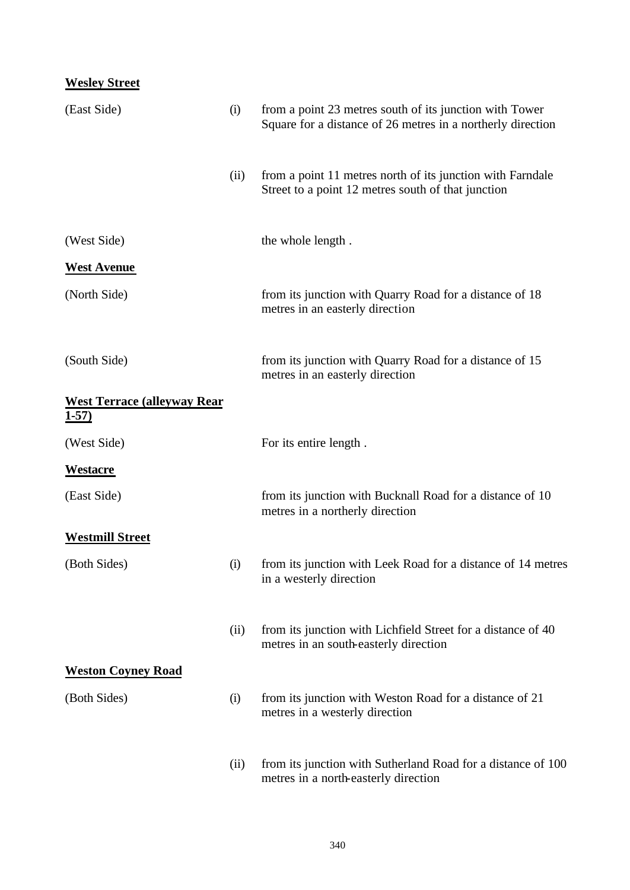## **Wesley Street**

| (East Side)                                         | (i)  | from a point 23 metres south of its junction with Tower<br>Square for a distance of 26 metres in a northerly direction |
|-----------------------------------------------------|------|------------------------------------------------------------------------------------------------------------------------|
|                                                     | (ii) | from a point 11 metres north of its junction with Farndale<br>Street to a point 12 metres south of that junction       |
| (West Side)                                         |      | the whole length.                                                                                                      |
| <b>West Avenue</b>                                  |      |                                                                                                                        |
| (North Side)                                        |      | from its junction with Quarry Road for a distance of 18<br>metres in an easterly direction                             |
| (South Side)                                        |      | from its junction with Quarry Road for a distance of 15<br>metres in an easterly direction                             |
| <b>West Terrace (alleyway Rear)</b><br><u>1-57)</u> |      |                                                                                                                        |
| (West Side)                                         |      | For its entire length.                                                                                                 |
| <u>Westacre</u>                                     |      |                                                                                                                        |
| (East Side)                                         |      | from its junction with Bucknall Road for a distance of 10<br>metres in a northerly direction                           |
| <b>Westmill Street</b>                              |      |                                                                                                                        |
| (Both Sides)                                        | (i)  | from its junction with Leek Road for a distance of 14 metres<br>in a westerly direction                                |
|                                                     | (ii) | from its junction with Lichfield Street for a distance of 40<br>metres in an south-easterly direction                  |
| <b>Weston Coyney Road</b>                           |      |                                                                                                                        |
| (Both Sides)                                        | (i)  | from its junction with Weston Road for a distance of 21<br>metres in a westerly direction                              |
|                                                     | (ii) | from its junction with Sutherland Road for a distance of 100<br>metres in a north-easterly direction                   |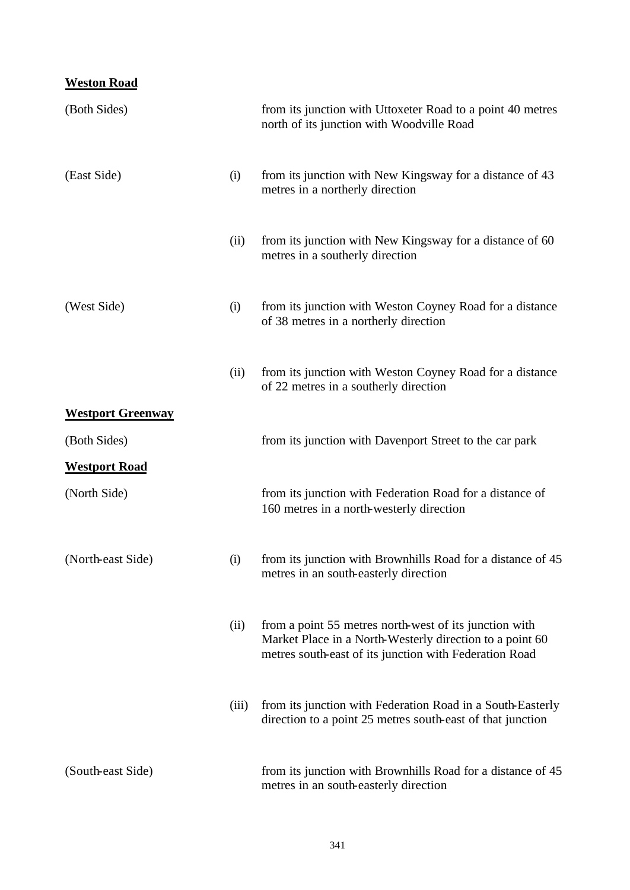## **Weston Road**

| (Both Sides)             |       | from its junction with Uttoxeter Road to a point 40 metres<br>north of its junction with Woodville Road                                                                      |
|--------------------------|-------|------------------------------------------------------------------------------------------------------------------------------------------------------------------------------|
| (East Side)              | (i)   | from its junction with New Kingsway for a distance of 43<br>metres in a northerly direction                                                                                  |
|                          | (ii)  | from its junction with New Kingsway for a distance of 60<br>metres in a southerly direction                                                                                  |
| (West Side)              | (i)   | from its junction with Weston Coyney Road for a distance<br>of 38 metres in a northerly direction                                                                            |
|                          | (ii)  | from its junction with Weston Coyney Road for a distance<br>of 22 metres in a southerly direction                                                                            |
| <b>Westport Greenway</b> |       |                                                                                                                                                                              |
| (Both Sides)             |       | from its junction with Davenport Street to the car park                                                                                                                      |
| <b>Westport Road</b>     |       |                                                                                                                                                                              |
| (North Side)             |       | from its junction with Federation Road for a distance of<br>160 metres in a north-westerly direction                                                                         |
| (North-east Side)        | (i)   | from its junction with Brownhills Road for a distance of 45<br>metres in an south-easterly direction                                                                         |
|                          | (ii)  | from a point 55 metres north-west of its junction with<br>Market Place in a North-Westerly direction to a point 60<br>metres south-east of its junction with Federation Road |
|                          | (iii) | from its junction with Federation Road in a South-Easterly<br>direction to a point 25 metres south-east of that junction                                                     |
| (South-east Side)        |       | from its junction with Brownhills Road for a distance of 45<br>metres in an south-easterly direction                                                                         |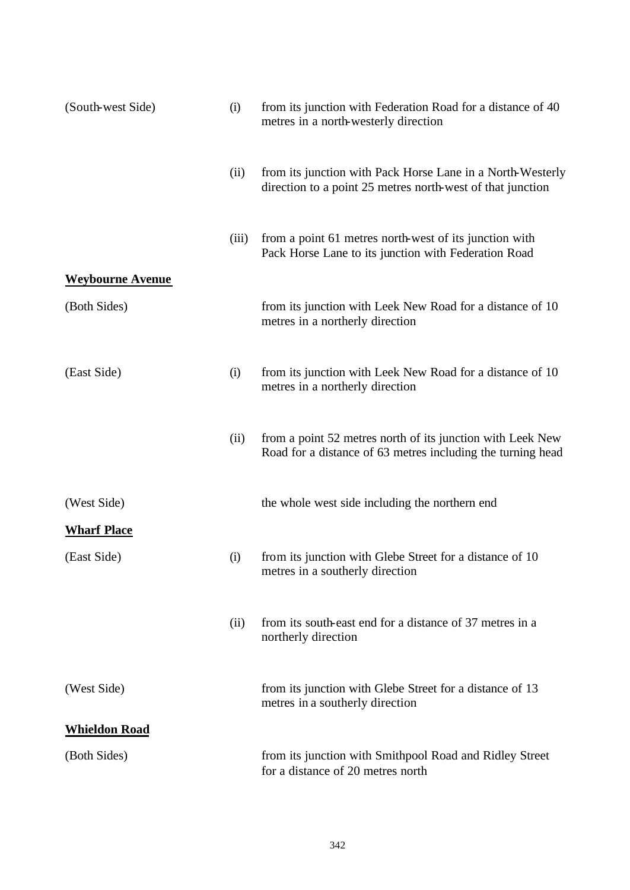| (South-west Side)       | (i)   | from its junction with Federation Road for a distance of 40<br>metres in a north-westerly direction                       |
|-------------------------|-------|---------------------------------------------------------------------------------------------------------------------------|
|                         | (ii)  | from its junction with Pack Horse Lane in a North-Westerly<br>direction to a point 25 metres north-west of that junction  |
|                         | (iii) | from a point 61 metres north-west of its junction with<br>Pack Horse Lane to its junction with Federation Road            |
| <b>Weybourne Avenue</b> |       |                                                                                                                           |
| (Both Sides)            |       | from its junction with Leek New Road for a distance of 10<br>metres in a northerly direction                              |
| (East Side)             | (i)   | from its junction with Leek New Road for a distance of 10<br>metres in a northerly direction                              |
|                         | (ii)  | from a point 52 metres north of its junction with Leek New<br>Road for a distance of 63 metres including the turning head |
| (West Side)             |       | the whole west side including the northern end                                                                            |
| <b>Wharf Place</b>      |       |                                                                                                                           |
| (East Side)             | (i)   | from its junction with Glebe Street for a distance of 10<br>metres in a southerly direction                               |
|                         | (ii)  | from its south-east end for a distance of 37 metres in a<br>northerly direction                                           |
| (West Side)             |       | from its junction with Glebe Street for a distance of 13<br>metres in a southerly direction                               |
| <b>Whieldon Road</b>    |       |                                                                                                                           |
| (Both Sides)            |       | from its junction with Smithpool Road and Ridley Street<br>for a distance of 20 metres north                              |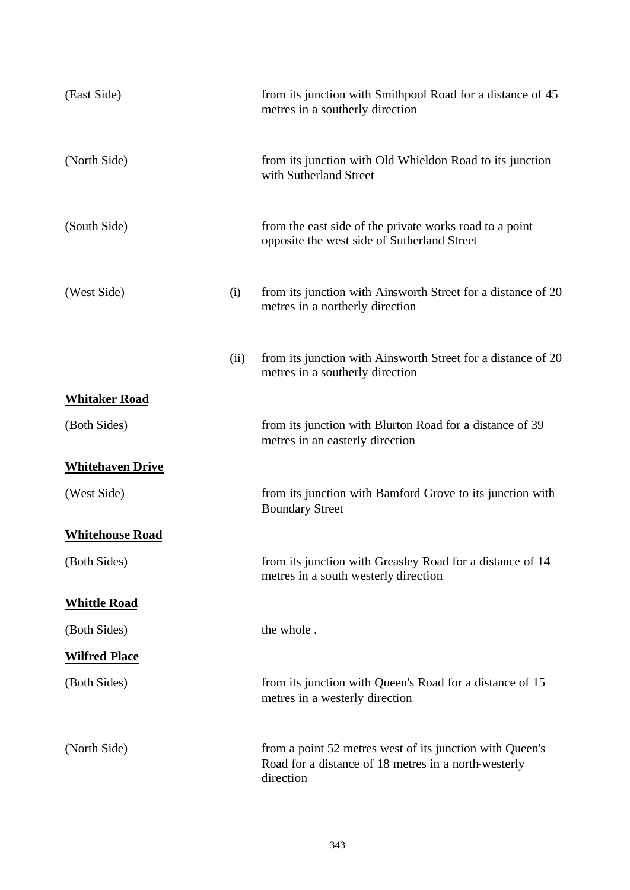| (East Side)             |      | from its junction with Smithpool Road for a distance of 45<br>metres in a southerly direction                                 |
|-------------------------|------|-------------------------------------------------------------------------------------------------------------------------------|
| (North Side)            |      | from its junction with Old Whieldon Road to its junction<br>with Sutherland Street                                            |
| (South Side)            |      | from the east side of the private works road to a point<br>opposite the west side of Sutherland Street                        |
| (West Side)             | (i)  | from its junction with Ainsworth Street for a distance of 20<br>metres in a northerly direction                               |
|                         | (ii) | from its junction with Ainsworth Street for a distance of 20<br>metres in a southerly direction                               |
| <b>Whitaker Road</b>    |      |                                                                                                                               |
| (Both Sides)            |      | from its junction with Blurton Road for a distance of 39<br>metres in an easterly direction                                   |
| <b>Whitehaven Drive</b> |      |                                                                                                                               |
| (West Side)             |      | from its junction with Bamford Grove to its junction with<br><b>Boundary Street</b>                                           |
| <b>Whitehouse Road</b>  |      |                                                                                                                               |
| (Both Sides)            |      | from its junction with Greasley Road for a distance of 14<br>metres in a south westerly direction                             |
| <b>Whittle Road</b>     |      |                                                                                                                               |
| (Both Sides)            |      | the whole.                                                                                                                    |
| <b>Wilfred Place</b>    |      |                                                                                                                               |
| (Both Sides)            |      | from its junction with Queen's Road for a distance of 15<br>metres in a westerly direction                                    |
| (North Side)            |      | from a point 52 metres west of its junction with Queen's<br>Road for a distance of 18 metres in a north-westerly<br>direction |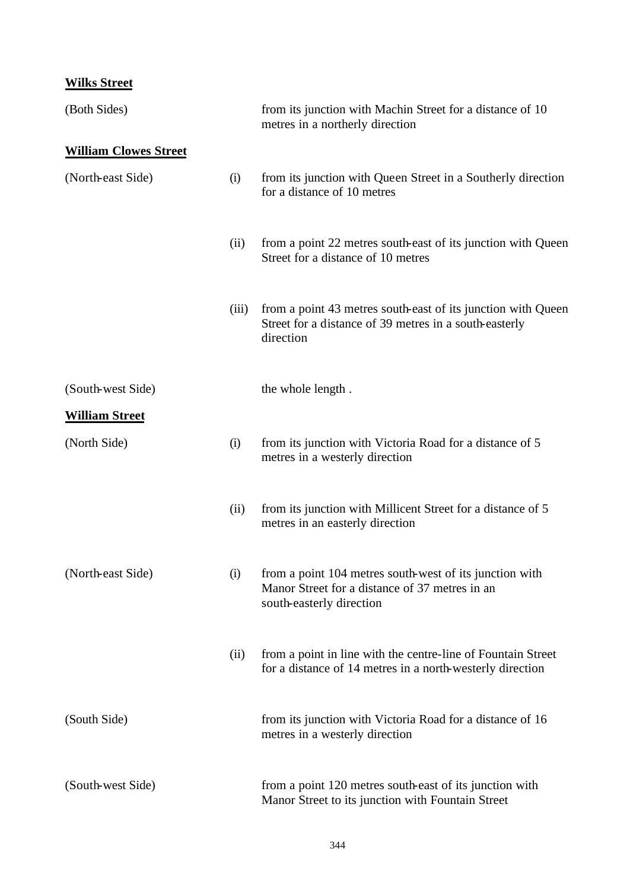## **Wilks Street**

| (Both Sides)                 |       | from its junction with Machin Street for a distance of 10<br>metres in a northerly direction                                          |
|------------------------------|-------|---------------------------------------------------------------------------------------------------------------------------------------|
| <b>William Clowes Street</b> |       |                                                                                                                                       |
| (North-east Side)            | (i)   | from its junction with Queen Street in a Southerly direction<br>for a distance of 10 metres                                           |
|                              | (ii)  | from a point 22 metres south-east of its junction with Queen<br>Street for a distance of 10 metres                                    |
|                              | (iii) | from a point 43 metres south-east of its junction with Queen<br>Street for a distance of 39 metres in a south-easterly<br>direction   |
| (South-west Side)            |       | the whole length.                                                                                                                     |
| <b>William Street</b>        |       |                                                                                                                                       |
| (North Side)                 | (i)   | from its junction with Victoria Road for a distance of 5<br>metres in a westerly direction                                            |
|                              | (ii)  | from its junction with Millicent Street for a distance of 5<br>metres in an easterly direction                                        |
| (North-east Side)            | (i)   | from a point 104 metres south-west of its junction with<br>Manor Street for a distance of 37 metres in an<br>south-easterly direction |
|                              | (ii)  | from a point in line with the centre-line of Fountain Street<br>for a distance of 14 metres in a north-westerly direction             |
| (South Side)                 |       | from its junction with Victoria Road for a distance of 16<br>metres in a westerly direction                                           |
| (South-west Side)            |       | from a point 120 metres south-east of its junction with<br>Manor Street to its junction with Fountain Street                          |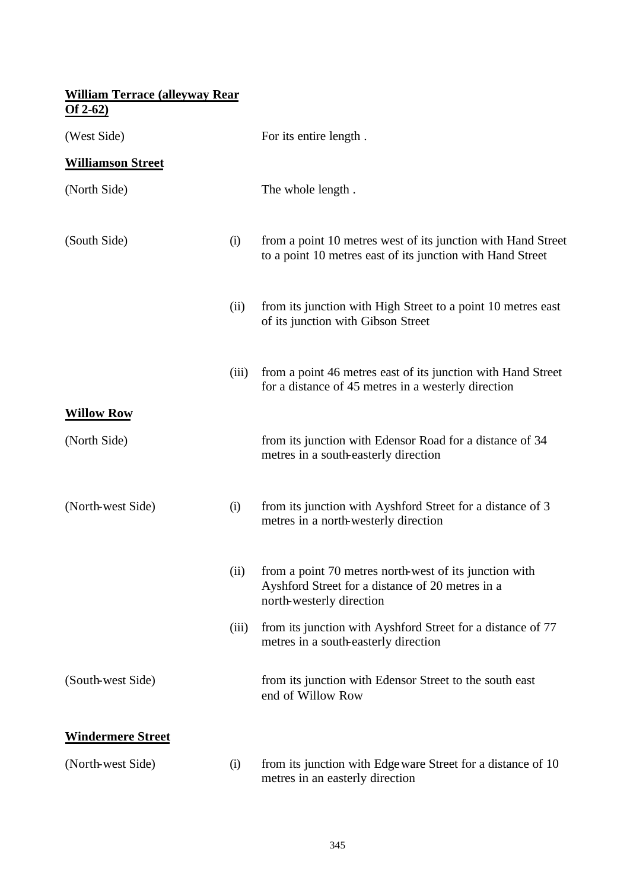## **William Terrace (alleyway Rear Of 2-62)**

| (West Side)              |       | For its entire length.                                                                                                                 |
|--------------------------|-------|----------------------------------------------------------------------------------------------------------------------------------------|
| <b>Williamson Street</b> |       |                                                                                                                                        |
| (North Side)             |       | The whole length.                                                                                                                      |
| (South Side)             | (i)   | from a point 10 metres west of its junction with Hand Street<br>to a point 10 metres east of its junction with Hand Street             |
|                          | (ii)  | from its junction with High Street to a point 10 metres east<br>of its junction with Gibson Street                                     |
|                          | (iii) | from a point 46 metres east of its junction with Hand Street<br>for a distance of 45 metres in a westerly direction                    |
| <b>Willow Row</b>        |       |                                                                                                                                        |
| (North Side)             |       | from its junction with Edensor Road for a distance of 34<br>metres in a south-easterly direction                                       |
| (North-west Side)        | (i)   | from its junction with Ayshford Street for a distance of 3<br>metres in a north-westerly direction                                     |
|                          | (ii)  | from a point 70 metres north-west of its junction with<br>Ayshford Street for a distance of 20 metres in a<br>north-westerly direction |
|                          | (iii) | from its junction with Ayshford Street for a distance of 77<br>metres in a south-easterly direction                                    |
| (South-west Side)        |       | from its junction with Edensor Street to the south east<br>end of Willow Row                                                           |
| <b>Windermere Street</b> |       |                                                                                                                                        |
| (North-west Side)        | (i)   | from its junction with Edge ware Street for a distance of 10<br>metres in an easterly direction                                        |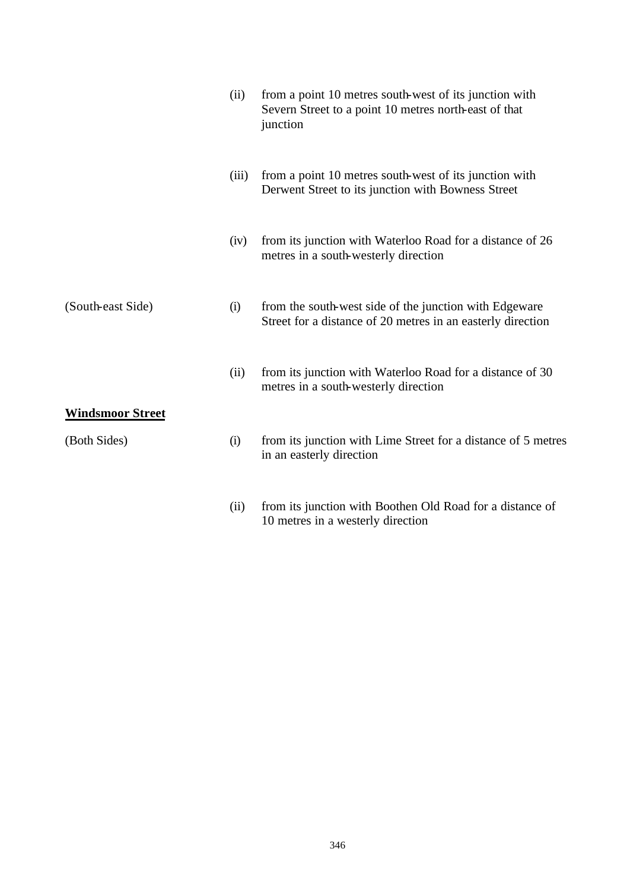|                         | (ii)  | from a point 10 metres south-west of its junction with<br>Severn Street to a point 10 metres north-east of that<br>junction |
|-------------------------|-------|-----------------------------------------------------------------------------------------------------------------------------|
|                         | (iii) | from a point 10 metres south-west of its junction with<br>Derwent Street to its junction with Bowness Street                |
|                         | (iv)  | from its junction with Waterloo Road for a distance of 26<br>metres in a south-westerly direction                           |
| (South-east Side)       | (i)   | from the south-west side of the junction with Edgeware<br>Street for a distance of 20 metres in an easterly direction       |
|                         | (ii)  | from its junction with Waterloo Road for a distance of 30<br>metres in a south-westerly direction                           |
| <b>Windsmoor Street</b> |       |                                                                                                                             |
| (Both Sides)            | (i)   | from its junction with Lime Street for a distance of 5 metres<br>in an easterly direction                                   |
|                         | (ii)  | from its junction with Boothen Old Road for a distance of                                                                   |

10 metres in a westerly direction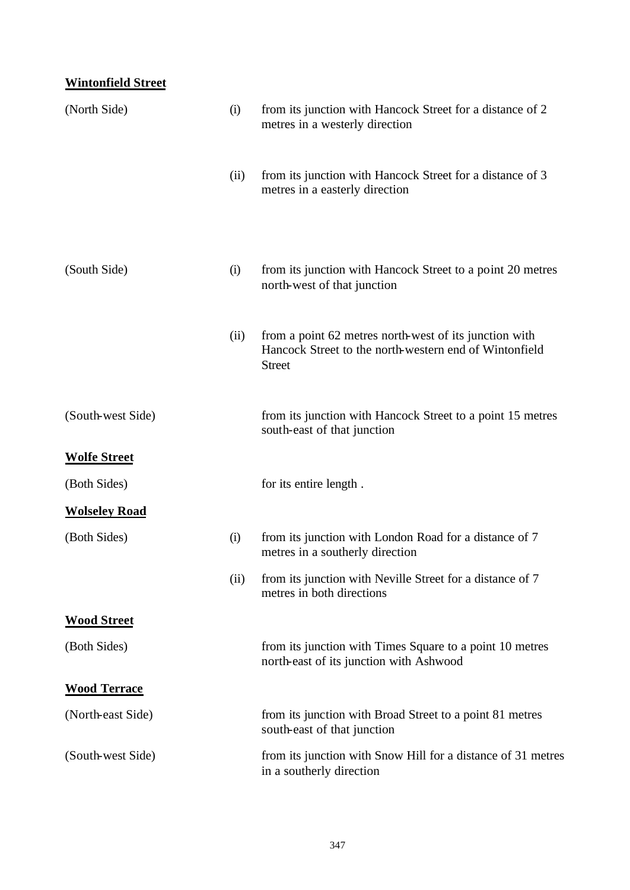# **Wintonfield Street**

| (North Side)         | (i)  | from its junction with Hancock Street for a distance of 2<br>metres in a westerly direction                                       |
|----------------------|------|-----------------------------------------------------------------------------------------------------------------------------------|
|                      | (ii) | from its junction with Hancock Street for a distance of 3<br>metres in a easterly direction                                       |
| (South Side)         | (i)  | from its junction with Hancock Street to a point 20 metres<br>north-west of that junction                                         |
|                      | (ii) | from a point 62 metres north-west of its junction with<br>Hancock Street to the north-western end of Wintonfield<br><b>Street</b> |
| (South-west Side)    |      | from its junction with Hancock Street to a point 15 metres<br>south-east of that junction                                         |
| <b>Wolfe Street</b>  |      |                                                                                                                                   |
| (Both Sides)         |      | for its entire length.                                                                                                            |
| <b>Wolseley Road</b> |      |                                                                                                                                   |
| (Both Sides)         | (i)  | from its junction with London Road for a distance of 7<br>metres in a southerly direction                                         |
|                      | (ii) | from its junction with Neville Street for a distance of 7<br>metres in both directions                                            |
| <b>Wood Street</b>   |      |                                                                                                                                   |
| (Both Sides)         |      | from its junction with Times Square to a point 10 metres<br>north-east of its junction with Ashwood                               |
| <u>Wood Terrace</u>  |      |                                                                                                                                   |
| (North-east Side)    |      | from its junction with Broad Street to a point 81 metres<br>south-east of that junction                                           |
| (South-west Side)    |      | from its junction with Snow Hill for a distance of 31 metres<br>in a southerly direction                                          |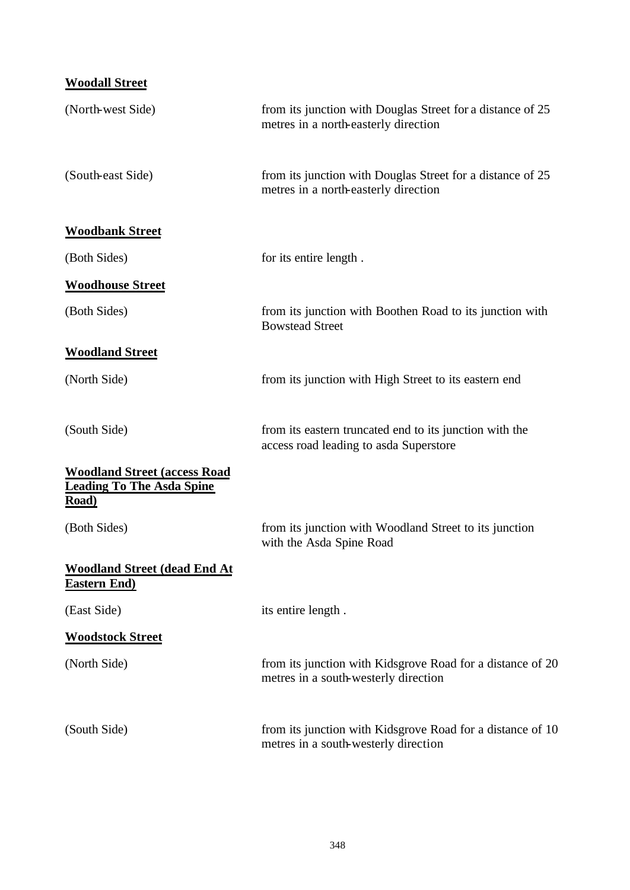| <b>Woodall Street</b>                                                            |                                                                                                    |
|----------------------------------------------------------------------------------|----------------------------------------------------------------------------------------------------|
| (North-west Side)                                                                | from its junction with Douglas Street for a distance of 25<br>metres in a north-easterly direction |
| (South-east Side)                                                                | from its junction with Douglas Street for a distance of 25<br>metres in a north-easterly direction |
| <b>Woodbank Street</b>                                                           |                                                                                                    |
| (Both Sides)                                                                     | for its entire length.                                                                             |
| <b>Woodhouse Street</b>                                                          |                                                                                                    |
| (Both Sides)                                                                     | from its junction with Boothen Road to its junction with<br><b>Bowstead Street</b>                 |
| <b>Woodland Street</b>                                                           |                                                                                                    |
| (North Side)                                                                     | from its junction with High Street to its eastern end                                              |
| (South Side)                                                                     | from its eastern truncated end to its junction with the<br>access road leading to asda Superstore  |
| <b>Woodland Street (access Road</b><br><b>Leading To The Asda Spine</b><br>Road) |                                                                                                    |
| (Both Sides)                                                                     | from its junction with Woodland Street to its junction<br>with the Asda Spine Road                 |
| <b>Woodland Street (dead End At</b><br><b>Eastern End)</b>                       |                                                                                                    |
| (East Side)                                                                      | its entire length.                                                                                 |
| <b>Woodstock Street</b>                                                          |                                                                                                    |
| (North Side)                                                                     | from its junction with Kidsgrove Road for a distance of 20<br>metres in a south-westerly direction |
| (South Side)                                                                     | from its junction with Kidsgrove Road for a distance of 10<br>metres in a south-westerly direction |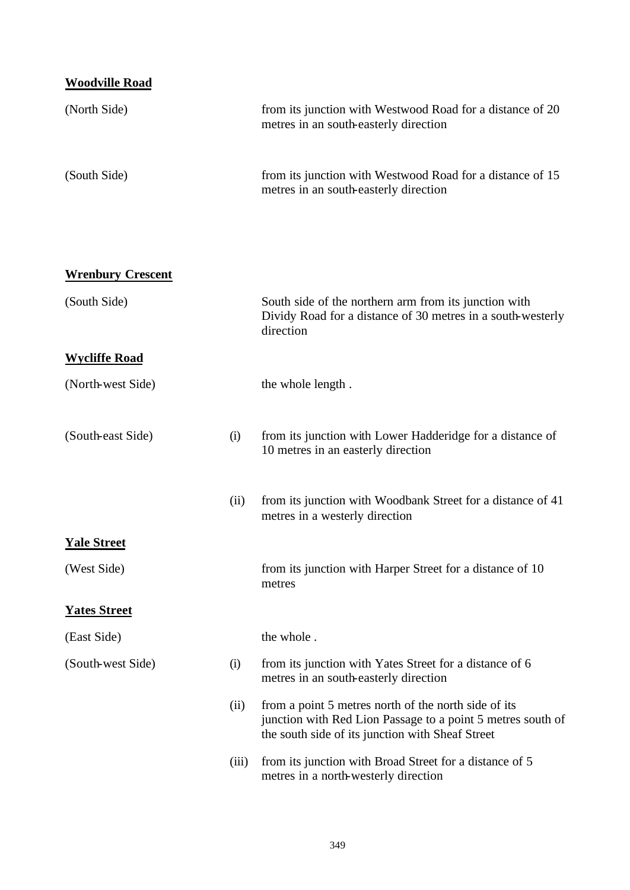| <b>Woodville Road</b>    |       |                                                                                                                                                                         |
|--------------------------|-------|-------------------------------------------------------------------------------------------------------------------------------------------------------------------------|
| (North Side)             |       | from its junction with Westwood Road for a distance of 20<br>metres in an south-easterly direction                                                                      |
| (South Side)             |       | from its junction with Westwood Road for a distance of 15<br>metres in an south-easterly direction                                                                      |
| <b>Wrenbury Crescent</b> |       |                                                                                                                                                                         |
| (South Side)             |       | South side of the northern arm from its junction with<br>Dividy Road for a distance of 30 metres in a south-westerly<br>direction                                       |
| <b>Wycliffe Road</b>     |       |                                                                                                                                                                         |
| (North-west Side)        |       | the whole length.                                                                                                                                                       |
| (South-east Side)        | (i)   | from its junction with Lower Hadderidge for a distance of<br>10 metres in an easterly direction                                                                         |
|                          | (ii)  | from its junction with Woodbank Street for a distance of 41<br>metres in a westerly direction                                                                           |
| <b>Yale Street</b>       |       |                                                                                                                                                                         |
| (West Side)              |       | from its junction with Harper Street for a distance of 10<br>metres                                                                                                     |
| <b>Yates Street</b>      |       |                                                                                                                                                                         |
| (East Side)              |       | the whole.                                                                                                                                                              |
| (South-west Side)        | (i)   | from its junction with Yates Street for a distance of 6<br>metres in an south-easterly direction                                                                        |
|                          | (ii)  | from a point 5 metres north of the north side of its<br>junction with Red Lion Passage to a point 5 metres south of<br>the south side of its junction with Sheaf Street |
|                          | (iii) | from its junction with Broad Street for a distance of 5<br>metres in a north-westerly direction                                                                         |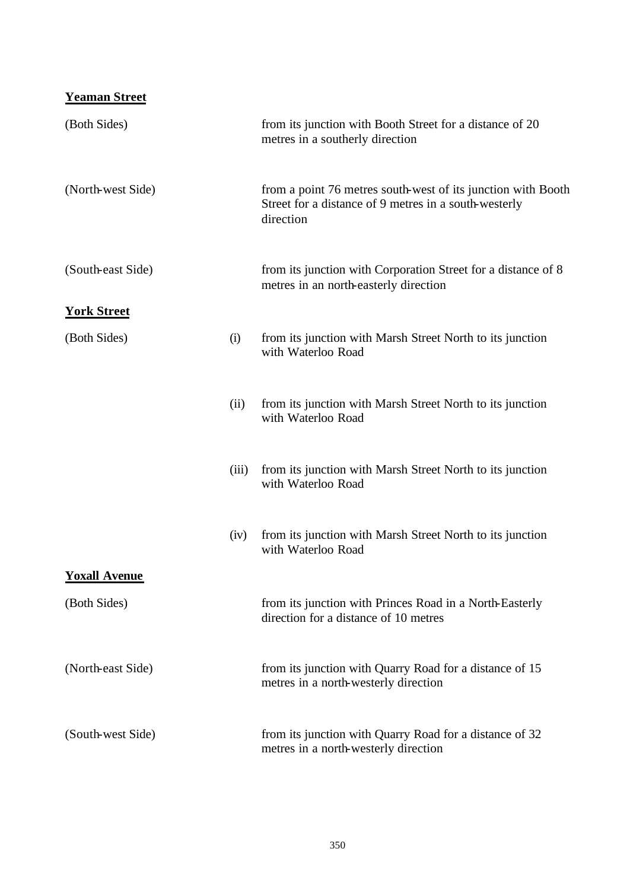## **Yeaman Street**

| (Both Sides)         |       | from its junction with Booth Street for a distance of 20<br>metres in a southerly direction                                        |
|----------------------|-------|------------------------------------------------------------------------------------------------------------------------------------|
| (North-west Side)    |       | from a point 76 metres south-west of its junction with Booth<br>Street for a distance of 9 metres in a south-westerly<br>direction |
| (South-east Side)    |       | from its junction with Corporation Street for a distance of 8<br>metres in an north-easterly direction                             |
| <b>York Street</b>   |       |                                                                                                                                    |
| (Both Sides)         | (i)   | from its junction with Marsh Street North to its junction<br>with Waterloo Road                                                    |
|                      | (ii)  | from its junction with Marsh Street North to its junction<br>with Waterloo Road                                                    |
|                      | (iii) | from its junction with Marsh Street North to its junction<br>with Waterloo Road                                                    |
|                      | (iv)  | from its junction with Marsh Street North to its junction<br>with Waterloo Road                                                    |
| <b>Yoxall Avenue</b> |       |                                                                                                                                    |
| (Both Sides)         |       | from its junction with Princes Road in a North-Easterly<br>direction for a distance of 10 metres                                   |
| (North-east Side)    |       | from its junction with Quarry Road for a distance of 15<br>metres in a north-westerly direction                                    |
| (South-west Side)    |       | from its junction with Quarry Road for a distance of 32<br>metres in a north-westerly direction                                    |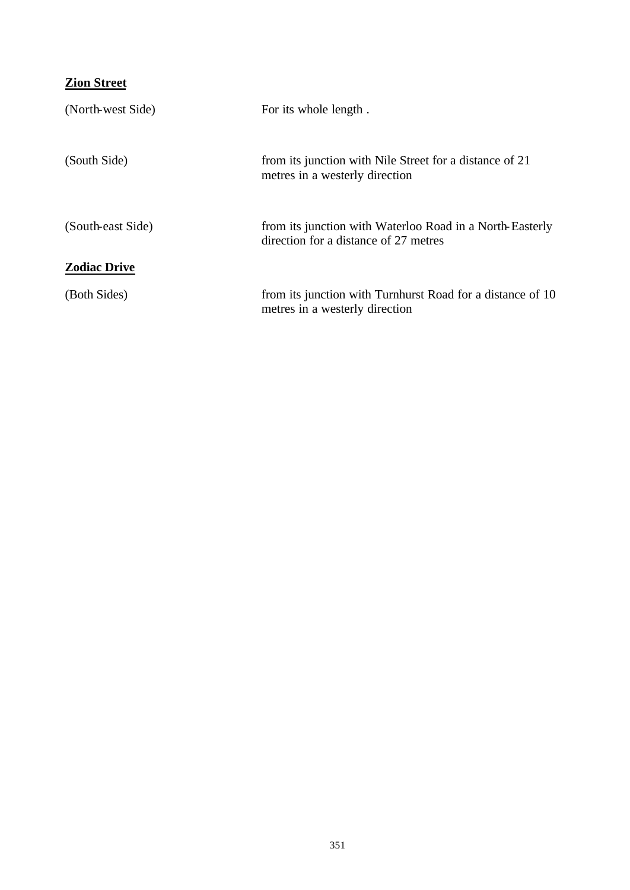# **Zion Street**

| (North-west Side)   | For its whole length.                                                                             |
|---------------------|---------------------------------------------------------------------------------------------------|
| (South Side)        | from its junction with Nile Street for a distance of 21<br>metres in a westerly direction         |
| (South-east Side)   | from its junction with Waterloo Road in a North-Easterly<br>direction for a distance of 27 metres |
| <b>Zodiac Drive</b> |                                                                                                   |
| (Both Sides)        | from its junction with Turnhurst Road for a distance of 10<br>metres in a westerly direction      |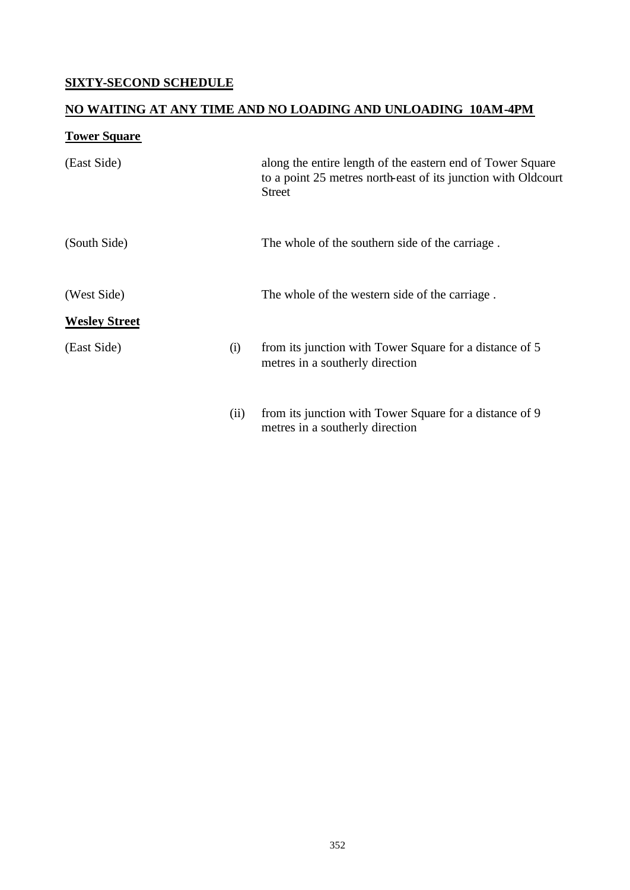## **SIXTY-SECOND SCHEDULE**

## **NO WAITING AT ANY TIME AND NO LOADING AND UNLOADING 10AM-4PM**

## **Tower Square**

| (East Side)          |      | along the entire length of the eastern end of Tower Square<br>to a point 25 metres north-east of its junction with Oldcourt<br><b>Street</b> |
|----------------------|------|----------------------------------------------------------------------------------------------------------------------------------------------|
| (South Side)         |      | The whole of the southern side of the carriage.                                                                                              |
| (West Side)          |      | The whole of the western side of the carriage.                                                                                               |
| <b>Wesley Street</b> |      |                                                                                                                                              |
| (East Side)          | (i)  | from its junction with Tower Square for a distance of 5<br>metres in a southerly direction                                                   |
|                      | (ii) | from its junction with Tower Square for a distance of 9<br>metres in a southerly direction                                                   |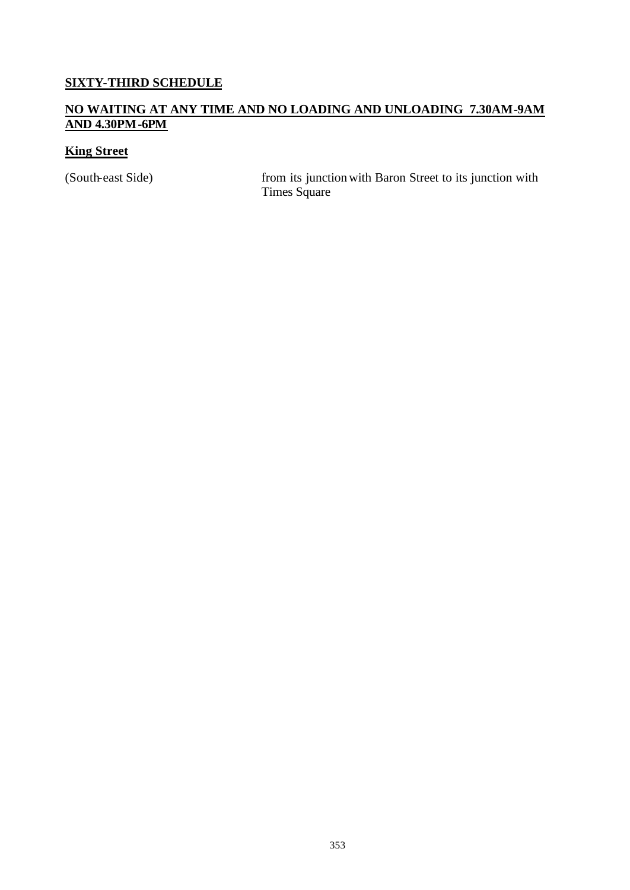#### **SIXTY-THIRD SCHEDULE**

#### **NO WAITING AT ANY TIME AND NO LOADING AND UNLOADING 7.30AM-9AM AND 4.30PM-6PM**

## **King Street**

(South-east Side) from its junction with Baron Street to its junction with Times Square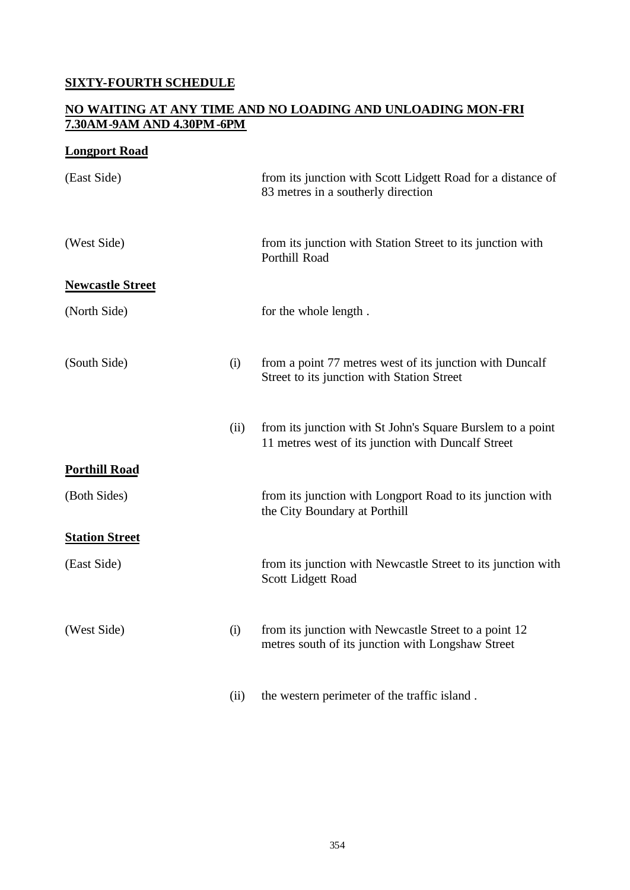#### **SIXTY-FOURTH SCHEDULE**

#### **NO WAITING AT ANY TIME AND NO LOADING AND UNLOADING MON-FRI 7.30AM-9AM AND 4.30PM-6PM**

#### **Longport Road**

| (East Side)             |      | from its junction with Scott Lidgett Road for a distance of<br>83 metres in a southerly direction                |
|-------------------------|------|------------------------------------------------------------------------------------------------------------------|
| (West Side)             |      | from its junction with Station Street to its junction with<br>Porthill Road                                      |
| <b>Newcastle Street</b> |      |                                                                                                                  |
| (North Side)            |      | for the whole length.                                                                                            |
| (South Side)            | (i)  | from a point 77 metres west of its junction with Duncalf<br>Street to its junction with Station Street           |
|                         | (ii) | from its junction with St John's Square Burslem to a point<br>11 metres west of its junction with Duncalf Street |
| <b>Porthill Road</b>    |      |                                                                                                                  |
| (Both Sides)            |      | from its junction with Longport Road to its junction with<br>the City Boundary at Porthill                       |
| <b>Station Street</b>   |      |                                                                                                                  |
| (East Side)             |      | from its junction with Newcastle Street to its junction with<br>Scott Lidgett Road                               |
| (West Side)             | (i)  | from its junction with Newcastle Street to a point 12<br>metres south of its junction with Longshaw Street       |
|                         | (ii) | the western perimeter of the traffic island.                                                                     |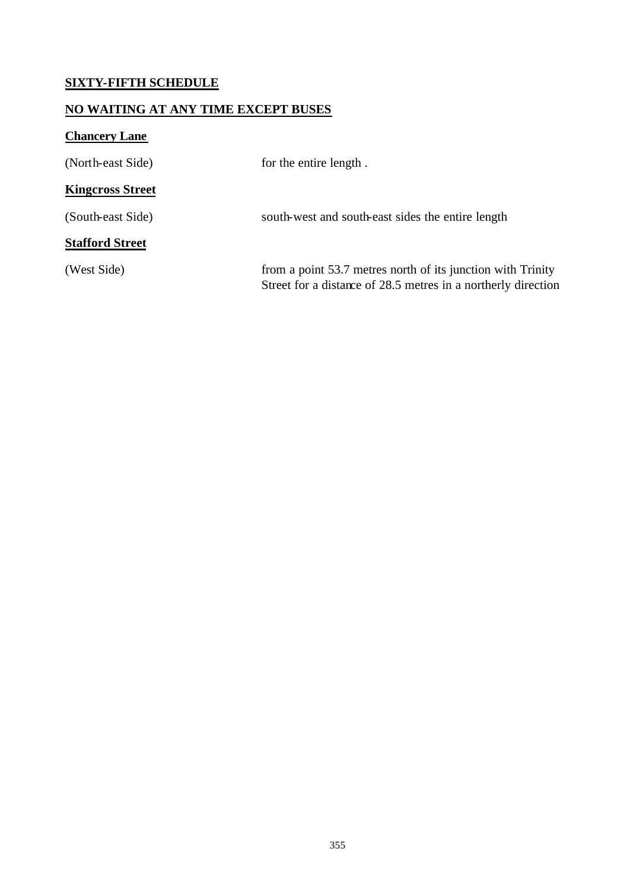## **SIXTY-FIFTH SCHEDULE**

#### **NO WAITING AT ANY TIME EXCEPT BUSES**

# **Chancery Lane**

| (North-east Side)       | for the entire length.                                                                                                       |
|-------------------------|------------------------------------------------------------------------------------------------------------------------------|
| <b>Kingcross Street</b> |                                                                                                                              |
| (South-east Side)       | south-west and south-east sides the entire length                                                                            |
| <b>Stafford Street</b>  |                                                                                                                              |
| (West Side)             | from a point 53.7 metres north of its junction with Trinity<br>Street for a distance of 28.5 metres in a northerly direction |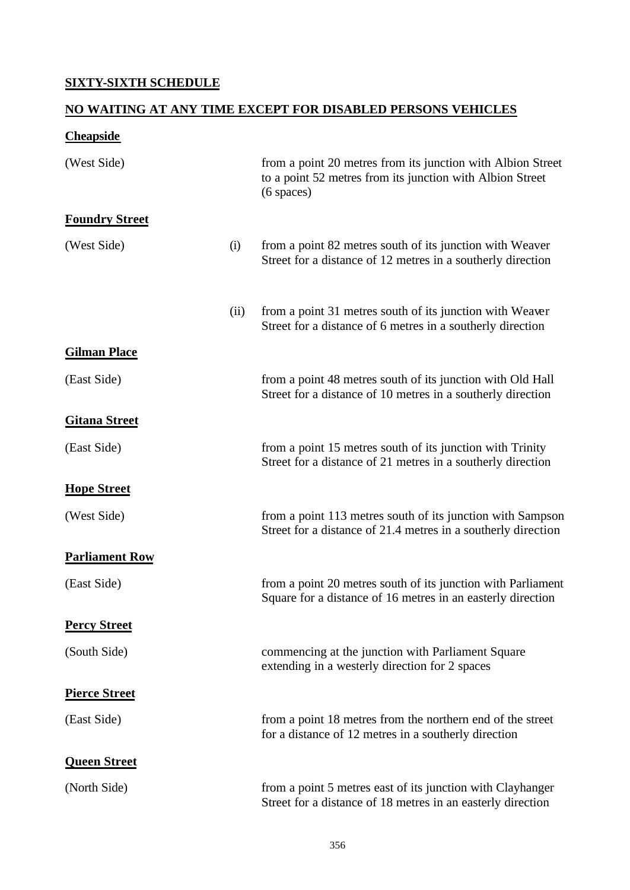## **SIXTY-SIXTH SCHEDULE**

## **NO WAITING AT ANY TIME EXCEPT FOR DISABLED PERSONS VEHICLES**

# **Cheapside**

| (West Side)           |      | from a point 20 metres from its junction with Albion Street<br>to a point 52 metres from its junction with Albion Street<br>$(6$ spaces) |
|-----------------------|------|------------------------------------------------------------------------------------------------------------------------------------------|
| <b>Foundry Street</b> |      |                                                                                                                                          |
| (West Side)           | (i)  | from a point 82 metres south of its junction with Weaver<br>Street for a distance of 12 metres in a southerly direction                  |
|                       | (ii) | from a point 31 metres south of its junction with Weaver<br>Street for a distance of 6 metres in a southerly direction                   |
| <b>Gilman Place</b>   |      |                                                                                                                                          |
| (East Side)           |      | from a point 48 metres south of its junction with Old Hall<br>Street for a distance of 10 metres in a southerly direction                |
| <b>Gitana Street</b>  |      |                                                                                                                                          |
| (East Side)           |      | from a point 15 metres south of its junction with Trinity<br>Street for a distance of 21 metres in a southerly direction                 |
| <b>Hope Street</b>    |      |                                                                                                                                          |
| (West Side)           |      | from a point 113 metres south of its junction with Sampson<br>Street for a distance of 21.4 metres in a southerly direction              |
| <b>Parliament Row</b> |      |                                                                                                                                          |
| (East Side)           |      | from a point 20 metres south of its junction with Parliament<br>Square for a distance of 16 metres in an easterly direction              |
| <b>Percy Street</b>   |      |                                                                                                                                          |
| (South Side)          |      | commencing at the junction with Parliament Square<br>extending in a westerly direction for 2 spaces                                      |
| <b>Pierce Street</b>  |      |                                                                                                                                          |
| (East Side)           |      | from a point 18 metres from the northern end of the street<br>for a distance of 12 metres in a southerly direction                       |
| <b>Queen Street</b>   |      |                                                                                                                                          |
| (North Side)          |      | from a point 5 metres east of its junction with Clayhanger<br>Street for a distance of 18 metres in an easterly direction                |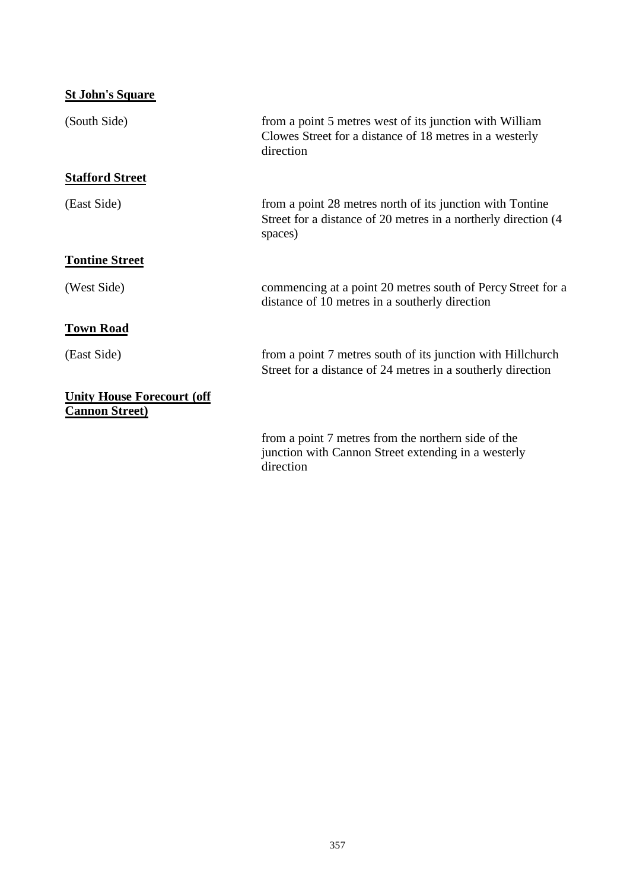| <b>St John's Square</b>                                    |                                                                                                                                        |
|------------------------------------------------------------|----------------------------------------------------------------------------------------------------------------------------------------|
| (South Side)                                               | from a point 5 metres west of its junction with William<br>Clowes Street for a distance of 18 metres in a westerly<br>direction        |
| <b>Stafford Street</b>                                     |                                                                                                                                        |
| (East Side)                                                | from a point 28 metres north of its junction with Tontine<br>Street for a distance of 20 metres in a northerly direction (4<br>spaces) |
| <b>Tontine Street</b>                                      |                                                                                                                                        |
| (West Side)                                                | commencing at a point 20 metres south of Percy Street for a<br>distance of 10 metres in a southerly direction                          |
| <b>Town Road</b>                                           |                                                                                                                                        |
| (East Side)                                                | from a point 7 metres south of its junction with Hillchurch<br>Street for a distance of 24 metres in a southerly direction             |
| <b>Unity House Forecourt (off</b><br><b>Cannon Street)</b> |                                                                                                                                        |
|                                                            | from a point 7 metres from the northern side of the<br>junction with Cannon Street extending in a westerly<br>direction                |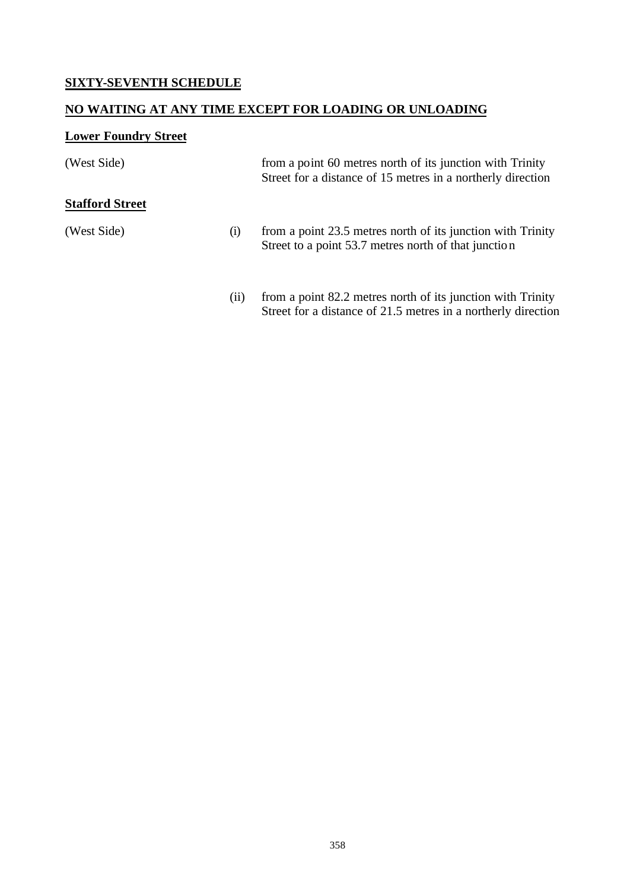## **SIXTY-SEVENTH SCHEDULE**

## **NO WAITING AT ANY TIME EXCEPT FOR LOADING OR UNLOADING**

# **Lower Foundry Street**

| (West Side)            |     | from a point 60 metres north of its junction with Trinity<br>Street for a distance of 15 metres in a northerly direction     |
|------------------------|-----|------------------------------------------------------------------------------------------------------------------------------|
| <b>Stafford Street</b> |     |                                                                                                                              |
| (West Side)            | (i) | from a point 23.5 metres north of its junction with Trinity<br>Street to a point 53.7 metres north of that junction          |
|                        | (i) | from a point 82.2 metres north of its junction with Trinity<br>Street for a distance of 21.5 metres in a northerly direction |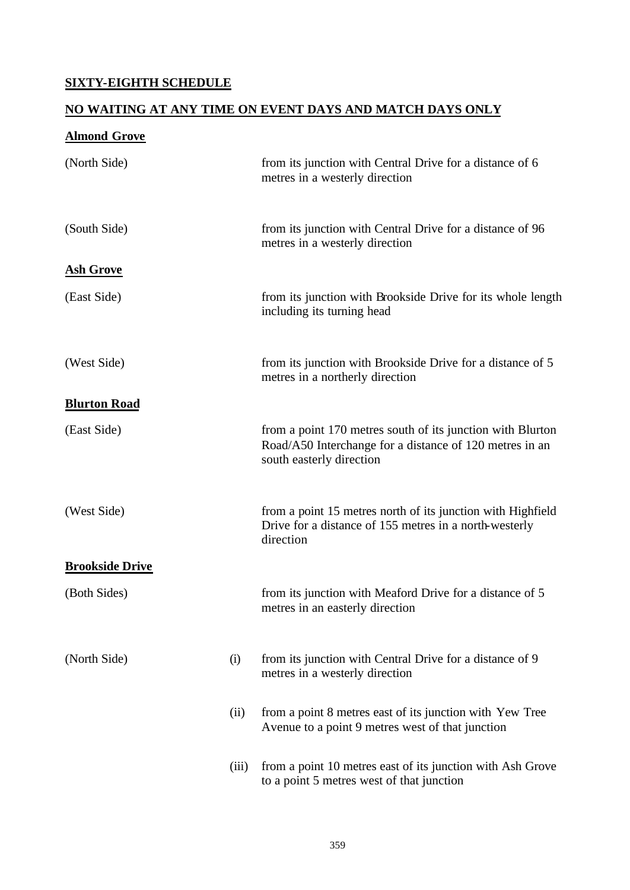## **SIXTY-EIGHTH SCHEDULE**

## **NO WAITING AT ANY TIME ON EVENT DAYS AND MATCH DAYS ONLY**

# **Almond Grove**

| (North Side)           |       | from its junction with Central Drive for a distance of 6<br>metres in a westerly direction                                                        |
|------------------------|-------|---------------------------------------------------------------------------------------------------------------------------------------------------|
| (South Side)           |       | from its junction with Central Drive for a distance of 96<br>metres in a westerly direction                                                       |
| <b>Ash Grove</b>       |       |                                                                                                                                                   |
| (East Side)            |       | from its junction with Brookside Drive for its whole length<br>including its turning head                                                         |
| (West Side)            |       | from its junction with Brookside Drive for a distance of 5<br>metres in a northerly direction                                                     |
| <b>Blurton Road</b>    |       |                                                                                                                                                   |
| (East Side)            |       | from a point 170 metres south of its junction with Blurton<br>Road/A50 Interchange for a distance of 120 metres in an<br>south easterly direction |
| (West Side)            |       | from a point 15 metres north of its junction with Highfield<br>Drive for a distance of 155 metres in a north-westerly<br>direction                |
| <b>Brookside Drive</b> |       |                                                                                                                                                   |
| (Both Sides)           |       | from its junction with Meaford Drive for a distance of 5<br>metres in an easterly direction                                                       |
| (North Side)           | (i)   | from its junction with Central Drive for a distance of 9<br>metres in a westerly direction                                                        |
|                        | (ii)  | from a point 8 metres east of its junction with Yew Tree<br>Avenue to a point 9 metres west of that junction                                      |
|                        | (iii) | from a point 10 metres east of its junction with Ash Grove<br>to a point 5 metres west of that junction                                           |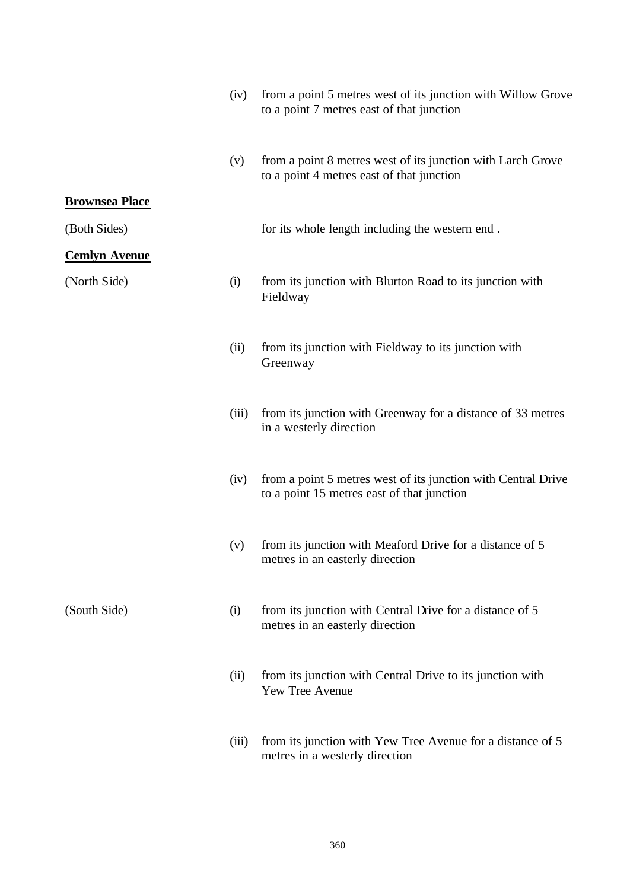|                       | (iv)  | from a point 5 metres west of its junction with Willow Grove<br>to a point 7 metres east of that junction   |
|-----------------------|-------|-------------------------------------------------------------------------------------------------------------|
|                       | (v)   | from a point 8 metres west of its junction with Larch Grove<br>to a point 4 metres east of that junction    |
| <b>Brownsea Place</b> |       |                                                                                                             |
| (Both Sides)          |       | for its whole length including the western end.                                                             |
| <b>Cemlyn Avenue</b>  |       |                                                                                                             |
| (North Side)          | (i)   | from its junction with Blurton Road to its junction with<br>Fieldway                                        |
|                       | (ii)  | from its junction with Fieldway to its junction with<br>Greenway                                            |
|                       | (iii) | from its junction with Greenway for a distance of 33 metres<br>in a westerly direction                      |
|                       | (iv)  | from a point 5 metres west of its junction with Central Drive<br>to a point 15 metres east of that junction |
|                       | (v)   | from its junction with Meaford Drive for a distance of 5<br>metres in an easterly direction                 |
| (South Side)          | (i)   | from its junction with Central Drive for a distance of 5<br>metres in an easterly direction                 |
|                       | (ii)  | from its junction with Central Drive to its junction with<br>Yew Tree Avenue                                |
|                       |       | (iii) from its junction with Yew Tree Avenue for a distance of 5                                            |

(iii) from its junction with Yew Tree Avenue for a distance of 5 metres in a westerly direction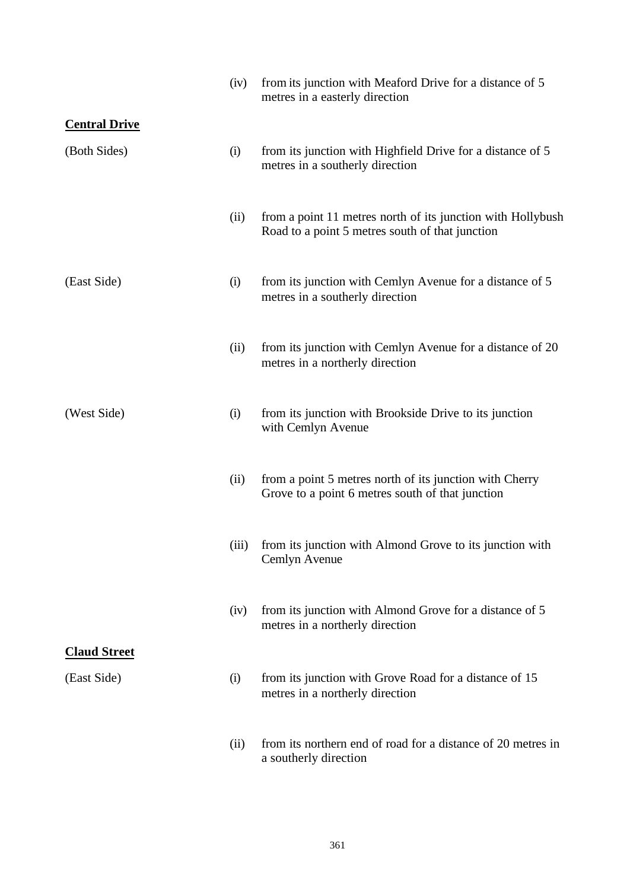|                      | (iv)  | from its junction with Meaford Drive for a distance of 5<br>metres in a easterly direction                     |
|----------------------|-------|----------------------------------------------------------------------------------------------------------------|
| <b>Central Drive</b> |       |                                                                                                                |
| (Both Sides)         | (i)   | from its junction with Highfield Drive for a distance of 5<br>metres in a southerly direction                  |
|                      | (ii)  | from a point 11 metres north of its junction with Hollybush<br>Road to a point 5 metres south of that junction |
| (East Side)          | (i)   | from its junction with Cemlyn Avenue for a distance of 5<br>metres in a southerly direction                    |
|                      | (ii)  | from its junction with Cemlyn Avenue for a distance of 20<br>metres in a northerly direction                   |
| (West Side)          | (i)   | from its junction with Brookside Drive to its junction<br>with Cemlyn Avenue                                   |
|                      | (ii)  | from a point 5 metres north of its junction with Cherry<br>Grove to a point 6 metres south of that junction    |
|                      | (iii) | from its junction with Almond Grove to its junction with<br>Cemlyn Avenue                                      |
|                      | (iv)  | from its junction with Almond Grove for a distance of 5<br>metres in a northerly direction                     |
| <b>Claud Street</b>  |       |                                                                                                                |
| (East Side)          | (i)   | from its junction with Grove Road for a distance of 15<br>metres in a northerly direction                      |
|                      | (ii)  | from its northern end of road for a distance of 20 metres in<br>a southerly direction                          |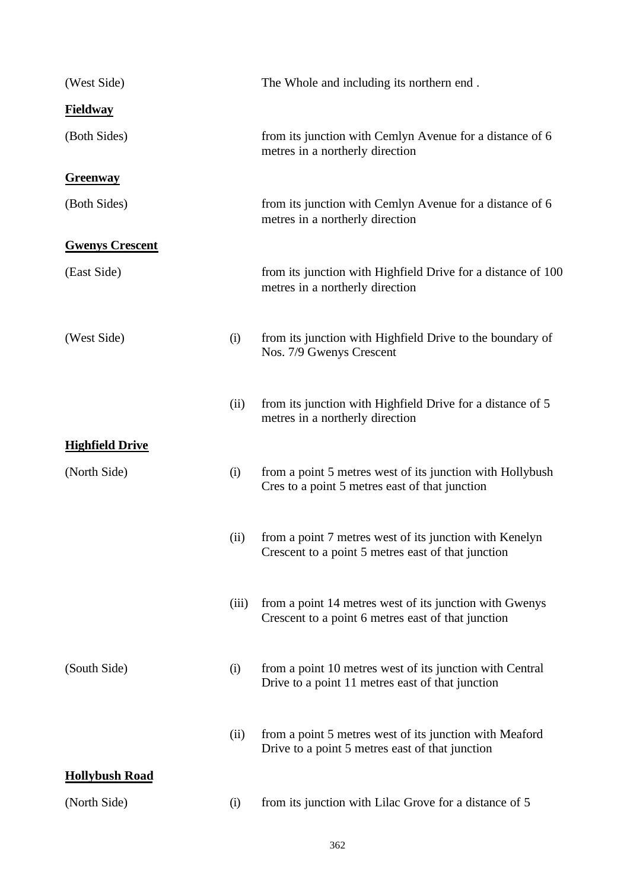| (West Side)            |       | The Whole and including its northern end.                                                                     |
|------------------------|-------|---------------------------------------------------------------------------------------------------------------|
| <b>Fieldway</b>        |       |                                                                                                               |
| (Both Sides)           |       | from its junction with Cemlyn Avenue for a distance of 6<br>metres in a northerly direction                   |
| <b>Greenway</b>        |       |                                                                                                               |
| (Both Sides)           |       | from its junction with Cemlyn Avenue for a distance of 6<br>metres in a northerly direction                   |
| <b>Gwenys Crescent</b> |       |                                                                                                               |
| (East Side)            |       | from its junction with Highfield Drive for a distance of 100<br>metres in a northerly direction               |
| (West Side)            | (i)   | from its junction with Highfield Drive to the boundary of<br>Nos. 7/9 Gwenys Crescent                         |
|                        | (ii)  | from its junction with Highfield Drive for a distance of 5<br>metres in a northerly direction                 |
| <b>Highfield Drive</b> |       |                                                                                                               |
| (North Side)           | (i)   | from a point 5 metres west of its junction with Hollybush<br>Cres to a point 5 metres east of that junction   |
|                        | (ii)  | from a point 7 metres west of its junction with Kenelyn<br>Crescent to a point 5 metres east of that junction |
|                        | (iii) | from a point 14 metres west of its junction with Gwenys<br>Crescent to a point 6 metres east of that junction |
| (South Side)           | (i)   | from a point 10 metres west of its junction with Central<br>Drive to a point 11 metres east of that junction  |
|                        | (ii)  | from a point 5 metres west of its junction with Meaford<br>Drive to a point 5 metres east of that junction    |
| <b>Hollybush Road</b>  |       |                                                                                                               |
| (North Side)           | (i)   | from its junction with Lilac Grove for a distance of 5                                                        |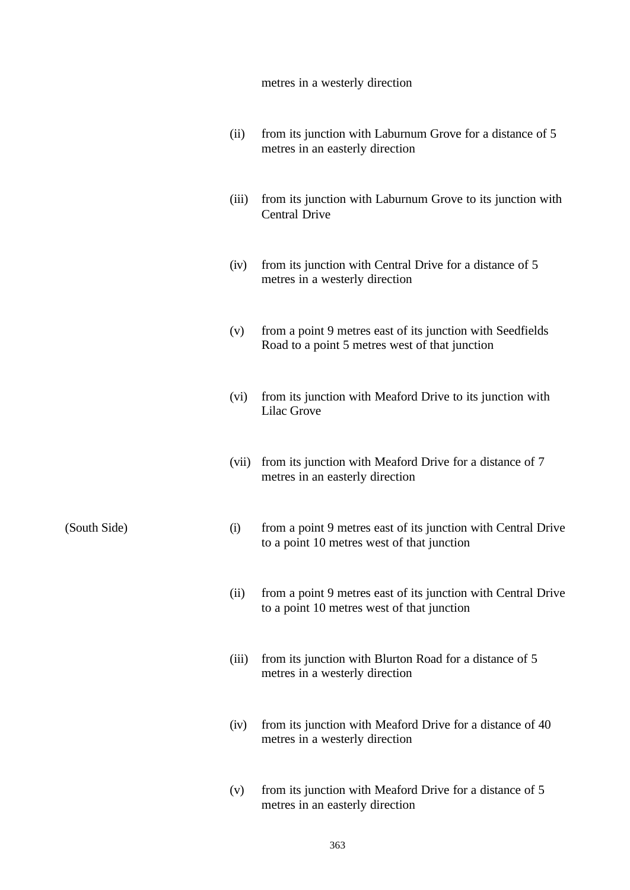metres in a westerly direction

|              | (ii)  | from its junction with Laburnum Grove for a distance of 5<br>metres in an easterly direction                 |
|--------------|-------|--------------------------------------------------------------------------------------------------------------|
|              | (iii) | from its junction with Laburnum Grove to its junction with<br><b>Central Drive</b>                           |
|              | (iv)  | from its junction with Central Drive for a distance of 5<br>metres in a westerly direction                   |
|              | (v)   | from a point 9 metres east of its junction with Seedfields<br>Road to a point 5 metres west of that junction |
|              | (vi)  | from its junction with Meaford Drive to its junction with<br><b>Lilac Grove</b>                              |
|              | (vii) | from its junction with Meaford Drive for a distance of 7<br>metres in an easterly direction                  |
| (South Side) | (i)   | from a point 9 metres east of its junction with Central Drive<br>to a point 10 metres west of that junction  |
|              | (ii)  | from a point 9 metres east of its junction with Central Drive<br>to a point 10 metres west of that junction  |
|              | (iii) | from its junction with Blurton Road for a distance of 5<br>metres in a westerly direction                    |
|              | (iv)  | from its junction with Meaford Drive for a distance of 40<br>metres in a westerly direction                  |
|              | (v)   | from its junction with Meaford Drive for a distance of 5<br>metres in an easterly direction                  |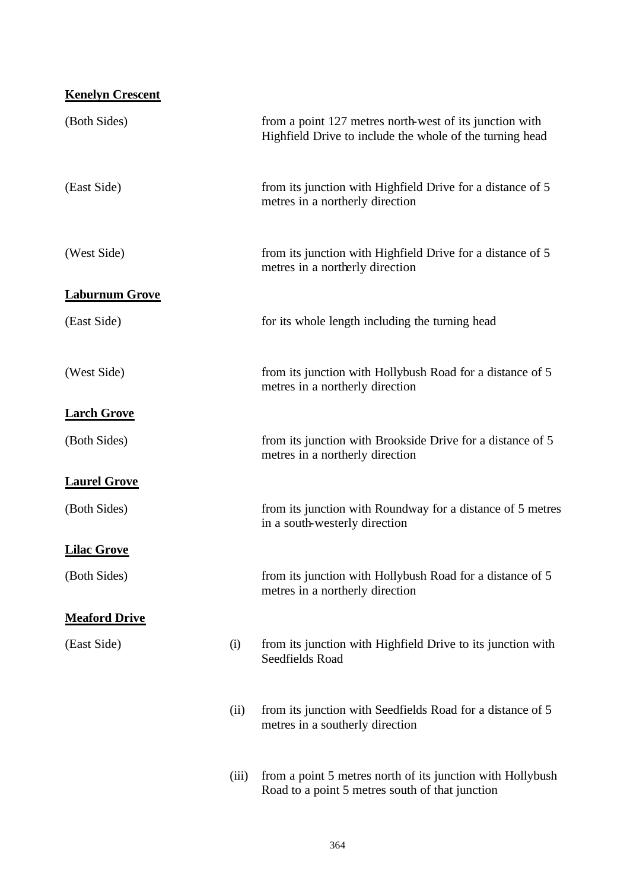| <b>Kenelyn Crescent</b> |       |                                                                                                                     |
|-------------------------|-------|---------------------------------------------------------------------------------------------------------------------|
| (Both Sides)            |       | from a point 127 metres north-west of its junction with<br>Highfield Drive to include the whole of the turning head |
| (East Side)             |       | from its junction with Highfield Drive for a distance of 5<br>metres in a northerly direction                       |
| (West Side)             |       | from its junction with Highfield Drive for a distance of 5<br>metres in a northerly direction                       |
| <b>Laburnum Grove</b>   |       |                                                                                                                     |
| (East Side)             |       | for its whole length including the turning head                                                                     |
| (West Side)             |       | from its junction with Hollybush Road for a distance of 5<br>metres in a northerly direction                        |
| <b>Larch Grove</b>      |       |                                                                                                                     |
| (Both Sides)            |       | from its junction with Brookside Drive for a distance of 5<br>metres in a northerly direction                       |
| <b>Laurel Grove</b>     |       |                                                                                                                     |
| (Both Sides)            |       | from its junction with Roundway for a distance of 5 metres<br>in a south-westerly direction                         |
| <b>Lilac Grove</b>      |       |                                                                                                                     |
| (Both Sides)            |       | from its junction with Hollybush Road for a distance of 5<br>metres in a northerly direction                        |
| <b>Meaford Drive</b>    |       |                                                                                                                     |
| (East Side)             | (i)   | from its junction with Highfield Drive to its junction with<br>Seedfields Road                                      |
|                         | (ii)  | from its junction with Seedfields Road for a distance of 5<br>metres in a southerly direction                       |
|                         | (iii) | from a point 5 metres north of its junction with Hollybush<br>Road to a point 5 metres south of that junction       |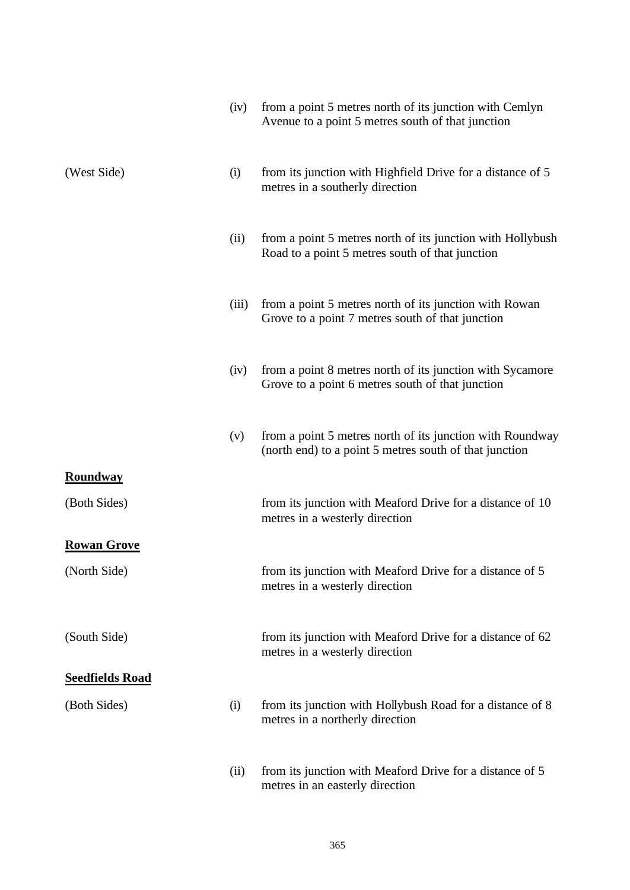|                        | (iv)  | from a point 5 metres north of its junction with Cemlyn<br>Avenue to a point 5 metres south of that junction        |
|------------------------|-------|---------------------------------------------------------------------------------------------------------------------|
| (West Side)            | (i)   | from its junction with Highfield Drive for a distance of 5<br>metres in a southerly direction                       |
|                        | (ii)  | from a point 5 metres north of its junction with Hollybush<br>Road to a point 5 metres south of that junction       |
|                        | (iii) | from a point 5 metres north of its junction with Rowan<br>Grove to a point 7 metres south of that junction          |
|                        | (iv)  | from a point 8 metres north of its junction with Sycamore<br>Grove to a point 6 metres south of that junction       |
|                        | (v)   | from a point 5 metres north of its junction with Roundway<br>(north end) to a point 5 metres south of that junction |
| <b>Roundway</b>        |       |                                                                                                                     |
| (Both Sides)           |       | from its junction with Meaford Drive for a distance of 10<br>metres in a westerly direction                         |
| <b>Rowan Grove</b>     |       |                                                                                                                     |
| (North Side)           |       | from its junction with Meaford Drive for a distance of 5<br>metres in a westerly direction                          |
| (South Side)           |       | from its junction with Meaford Drive for a distance of 62<br>metres in a westerly direction                         |
| <b>Seedfields Road</b> |       |                                                                                                                     |
| (Both Sides)           | (i)   | from its junction with Hollybush Road for a distance of 8<br>metres in a northerly direction                        |
|                        | (ii)  | from its junction with Meaford Drive for a distance of 5<br>metres in an easterly direction                         |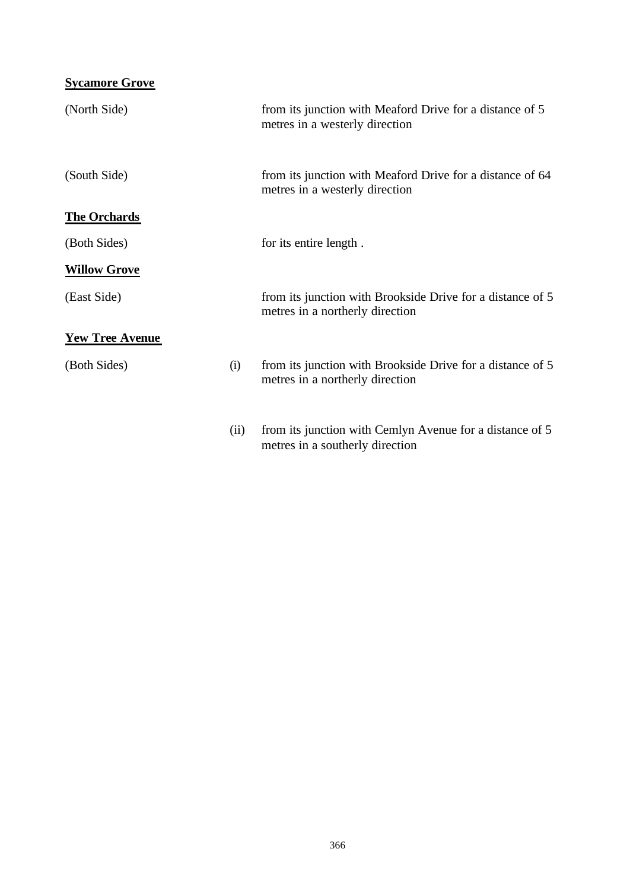| <b>Sycamore Grove</b>  |      |                                                                                               |
|------------------------|------|-----------------------------------------------------------------------------------------------|
| (North Side)           |      | from its junction with Meaford Drive for a distance of 5<br>metres in a westerly direction    |
| (South Side)           |      | from its junction with Meaford Drive for a distance of 64<br>metres in a westerly direction   |
| <b>The Orchards</b>    |      |                                                                                               |
| (Both Sides)           |      | for its entire length.                                                                        |
| <b>Willow Grove</b>    |      |                                                                                               |
| (East Side)            |      | from its junction with Brookside Drive for a distance of 5<br>metres in a northerly direction |
| <b>Yew Tree Avenue</b> |      |                                                                                               |
| (Both Sides)           | (i)  | from its junction with Brookside Drive for a distance of 5<br>metres in a northerly direction |
|                        | (ii) | from its junction with Cemlyn Avenue for a distance of 5<br>metres in a southerly direction   |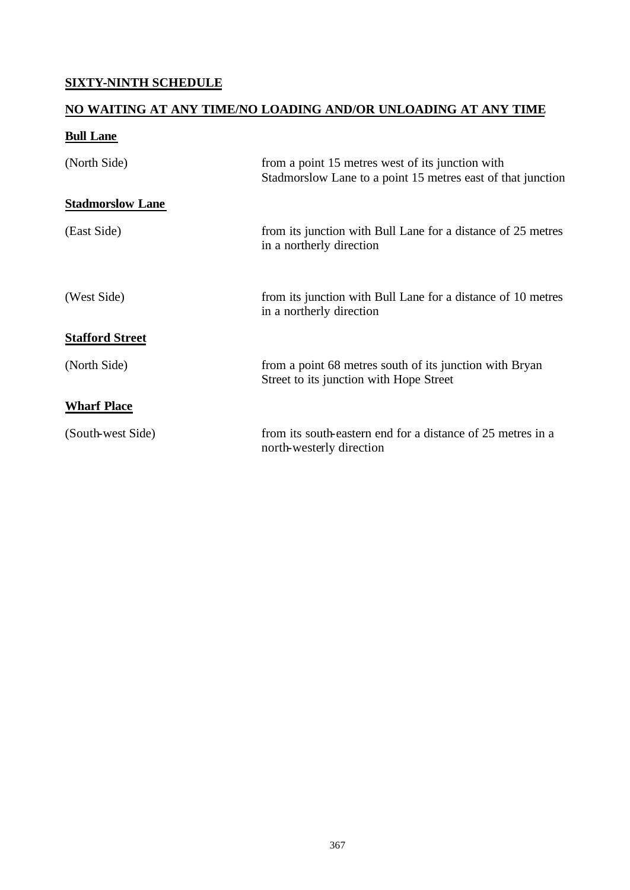## **SIXTY-NINTH SCHEDULE**

## **NO WAITING AT ANY TIME/NO LOADING AND/OR UNLOADING AT ANY TIME**

## **Bull Lane**

| (North Side)            | from a point 15 metres west of its junction with<br>Stadmorslow Lane to a point 15 metres east of that junction |
|-------------------------|-----------------------------------------------------------------------------------------------------------------|
| <b>Stadmorslow Lane</b> |                                                                                                                 |
| (East Side)             | from its junction with Bull Lane for a distance of 25 metres<br>in a northerly direction                        |
| (West Side)             | from its junction with Bull Lane for a distance of 10 metres<br>in a northerly direction                        |
| <b>Stafford Street</b>  |                                                                                                                 |
| (North Side)            | from a point 68 metres south of its junction with Bryan<br>Street to its junction with Hope Street              |
| <b>Wharf Place</b>      |                                                                                                                 |
| (South-west Side)       | from its south-eastern end for a distance of 25 metres in a<br>north-westerly direction                         |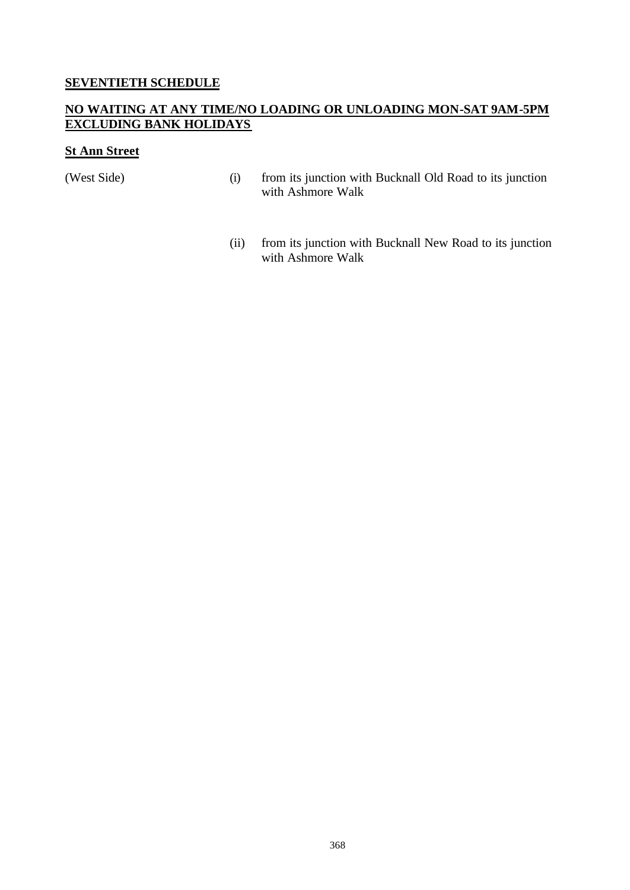#### **SEVENTIETH SCHEDULE**

#### **NO WAITING AT ANY TIME/NO LOADING OR UNLOADING MON-SAT 9AM-5PM EXCLUDING BANK HOLIDAYS**

#### **St Ann Street**

- (West Side) (i) from its junction with Bucknall Old Road to its junction with Ashmore Walk
	- (ii) from its junction with Bucknall New Road to its junction with Ashmore Walk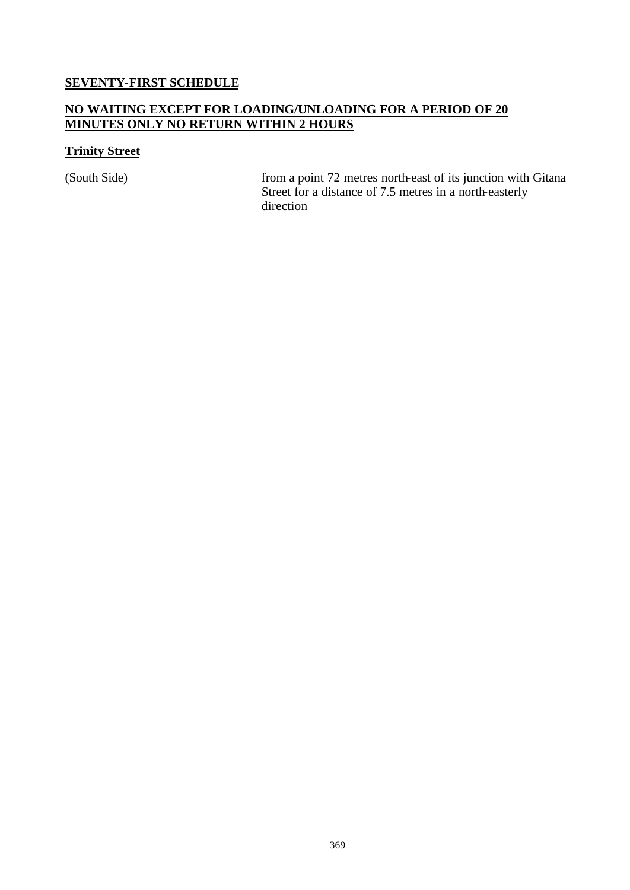# **SEVENTY-FIRST SCHEDULE**

#### **NO WAITING EXCEPT FOR LOADING/UNLOADING FOR A PERIOD OF 20 MINUTES ONLY NO RETURN WITHIN 2 HOURS**

#### **Trinity Street**

(South Side) from a point 72 metres north-east of its junction with Gitana Street for a distance of 7.5 metres in a north-easterly direction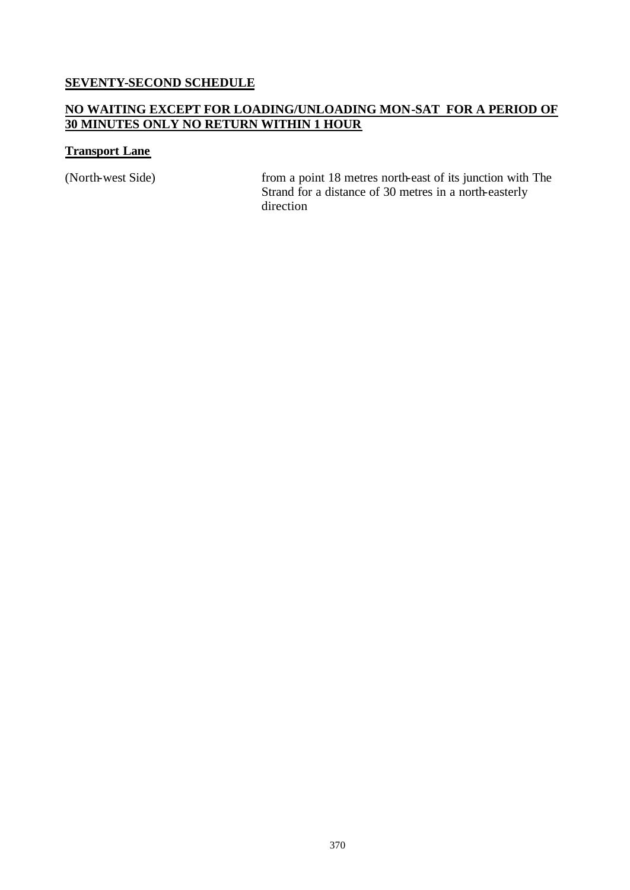#### **SEVENTY-SECOND SCHEDULE**

#### **NO WAITING EXCEPT FOR LOADING/UNLOADING MON-SAT FOR A PERIOD OF 30 MINUTES ONLY NO RETURN WITHIN 1 HOUR**

#### **Transport Lane**

(North-west Side) from a point 18 metres north-east of its junction with The Strand for a distance of 30 metres in a north-easterly direction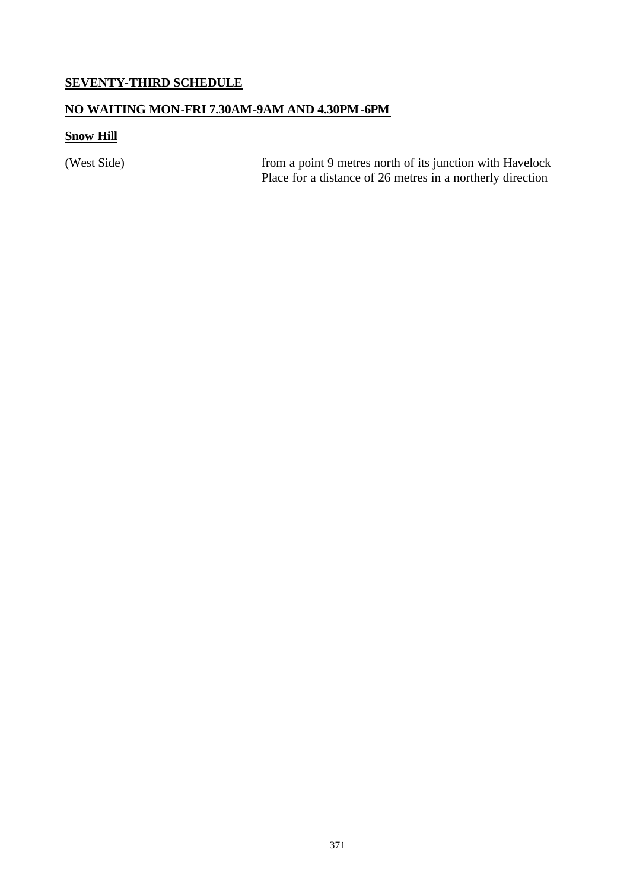#### **SEVENTY-THIRD SCHEDULE**

#### **NO WAITING MON-FRI 7.30AM-9AM AND 4.30PM-6PM**

## **Snow Hill**

(West Side) from a point 9 metres north of its junction with Havelock Place for a distance of 26 metres in a northerly direction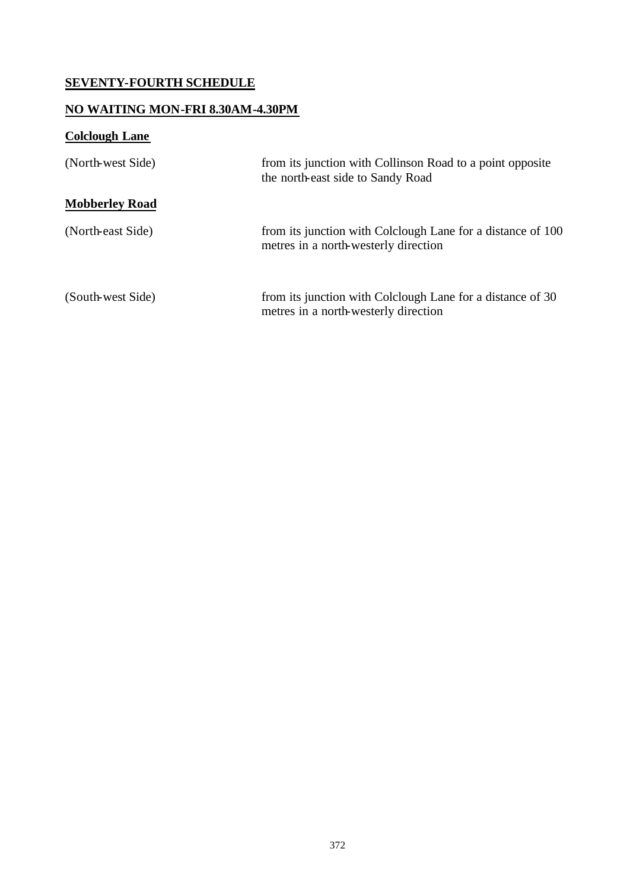# **SEVENTY-FOURTH SCHEDULE**

## **NO WAITING MON-FRI 8.30AM-4.30PM**

# **Colclough Lane**

| (North-west Side)     | from its junction with Collinson Road to a point opposite<br>the north-east side to Sandy Road      |
|-----------------------|-----------------------------------------------------------------------------------------------------|
| <b>Mobberley Road</b> |                                                                                                     |
| (North-east Side)     | from its junction with Colclough Lane for a distance of 100<br>metres in a north-westerly direction |
| (South-west Side)     | from its junction with Colclough Lane for a distance of 30<br>metres in a north-westerly direction  |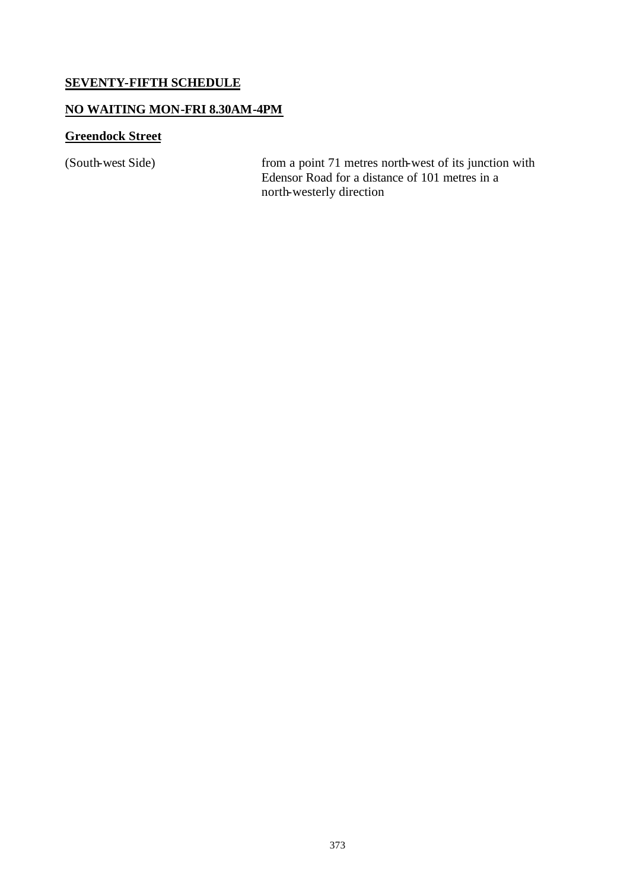#### **SEVENTY-FIFTH SCHEDULE**

#### **NO WAITING MON-FRI 8.30AM-4PM**

## **Greendock Street**

(South-west Side) from a point 71 metres north-west of its junction with Edensor Road for a distance of 101 metres in a north-westerly direction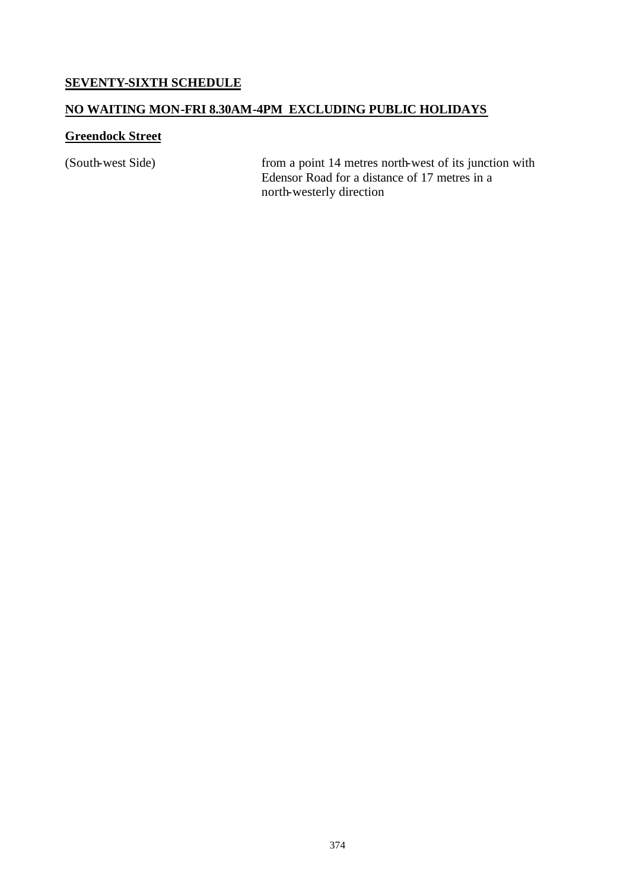### **SEVENTY-SIXTH SCHEDULE**

### **NO WAITING MON-FRI 8.30AM-4PM EXCLUDING PUBLIC HOLIDAYS**

### **Greendock Street**

(South-west Side) from a point 14 metres north-west of its junction with Edensor Road for a distance of 17 metres in a north-westerly direction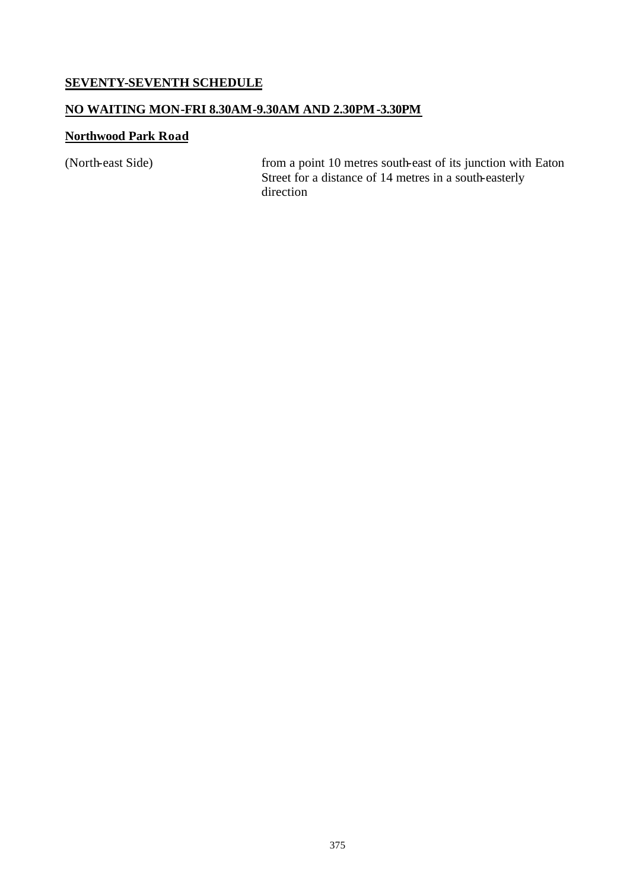### **SEVENTY-SEVENTH SCHEDULE**

### **NO WAITING MON-FRI 8.30AM-9.30AM AND 2.30PM-3.30PM**

### **Northwood Park Road**

(North-east Side) from a point 10 metres south-east of its junction with Eaton Street for a distance of 14 metres in a south-easterly direction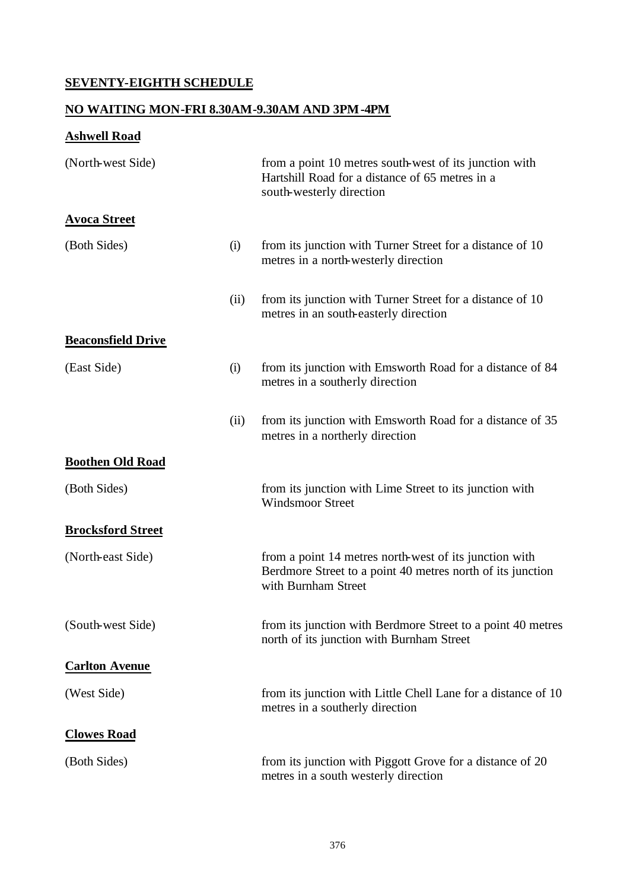# **SEVENTY-EIGHTH SCHEDULE**

# **NO WAITING MON-FRI 8.30AM-9.30AM AND 3PM-4PM**

# **Ashwell Road**

| (North-west Side)         |      | from a point 10 metres south-west of its junction with<br>Hartshill Road for a distance of 65 metres in a<br>south-westerly direction       |
|---------------------------|------|---------------------------------------------------------------------------------------------------------------------------------------------|
| <b>Avoca Street</b>       |      |                                                                                                                                             |
| (Both Sides)              | (i)  | from its junction with Turner Street for a distance of 10<br>metres in a north-westerly direction                                           |
|                           | (ii) | from its junction with Turner Street for a distance of 10<br>metres in an south-easterly direction                                          |
| <b>Beaconsfield Drive</b> |      |                                                                                                                                             |
| (East Side)               | (i)  | from its junction with Emsworth Road for a distance of 84<br>metres in a southerly direction                                                |
|                           | (ii) | from its junction with Emsworth Road for a distance of 35<br>metres in a northerly direction                                                |
| <b>Boothen Old Road</b>   |      |                                                                                                                                             |
| (Both Sides)              |      | from its junction with Lime Street to its junction with<br><b>Windsmoor Street</b>                                                          |
| <b>Brocksford Street</b>  |      |                                                                                                                                             |
| (North-east Side)         |      | from a point 14 metres north-west of its junction with<br>Berdmore Street to a point 40 metres north of its junction<br>with Burnham Street |
| (South-west Side)         |      | from its junction with Berdmore Street to a point 40 metres<br>north of its junction with Burnham Street                                    |
| <b>Carlton Avenue</b>     |      |                                                                                                                                             |
| (West Side)               |      | from its junction with Little Chell Lane for a distance of 10<br>metres in a southerly direction                                            |
| <b>Clowes Road</b>        |      |                                                                                                                                             |
| (Both Sides)              |      | from its junction with Piggott Grove for a distance of 20<br>metres in a south westerly direction                                           |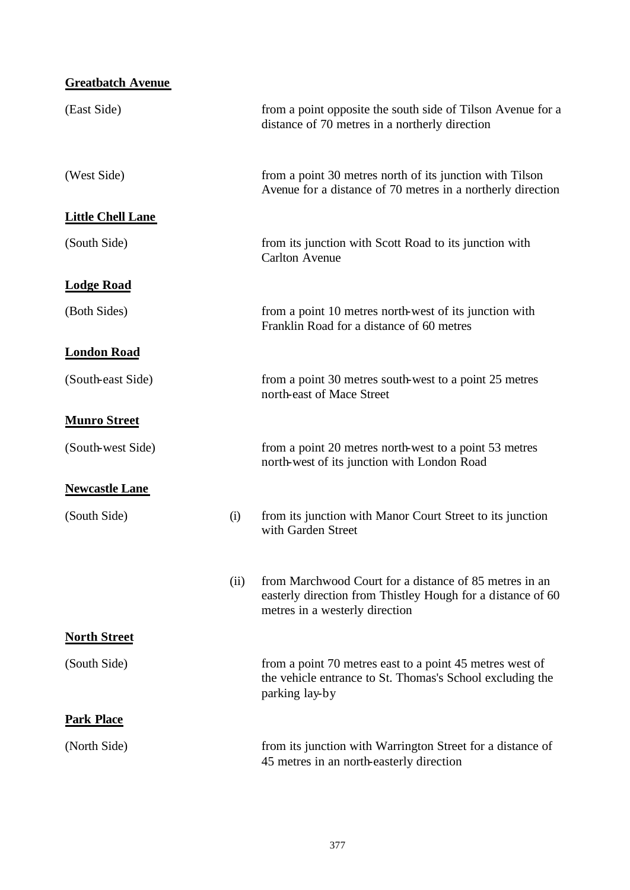| <b>Greatbatch Avenue</b> |      |                                                                                                                                                         |
|--------------------------|------|---------------------------------------------------------------------------------------------------------------------------------------------------------|
| (East Side)              |      | from a point opposite the south side of Tilson Avenue for a<br>distance of 70 metres in a northerly direction                                           |
| (West Side)              |      | from a point 30 metres north of its junction with Tilson<br>Avenue for a distance of 70 metres in a northerly direction                                 |
| <b>Little Chell Lane</b> |      |                                                                                                                                                         |
| (South Side)             |      | from its junction with Scott Road to its junction with<br><b>Carlton Avenue</b>                                                                         |
| <b>Lodge Road</b>        |      |                                                                                                                                                         |
| (Both Sides)             |      | from a point 10 metres north-west of its junction with<br>Franklin Road for a distance of 60 metres                                                     |
| <b>London Road</b>       |      |                                                                                                                                                         |
| (South-east Side)        |      | from a point 30 metres south-west to a point 25 metres<br>north-east of Mace Street                                                                     |
| <b>Munro Street</b>      |      |                                                                                                                                                         |
| (South-west Side)        |      | from a point 20 metres north-west to a point 53 metres<br>north-west of its junction with London Road                                                   |
| <b>Newcastle Lane</b>    |      |                                                                                                                                                         |
| (South Side)             | (i)  | from its junction with Manor Court Street to its junction<br>with Garden Street                                                                         |
|                          | (ii) | from Marchwood Court for a distance of 85 metres in an<br>easterly direction from Thistley Hough for a distance of 60<br>metres in a westerly direction |
| <b>North Street</b>      |      |                                                                                                                                                         |
| (South Side)             |      | from a point 70 metres east to a point 45 metres west of<br>the vehicle entrance to St. Thomas's School excluding the<br>parking lay-by                 |
| <b>Park Place</b>        |      |                                                                                                                                                         |
| (North Side)             |      | from its junction with Warrington Street for a distance of<br>45 metres in an north-easterly direction                                                  |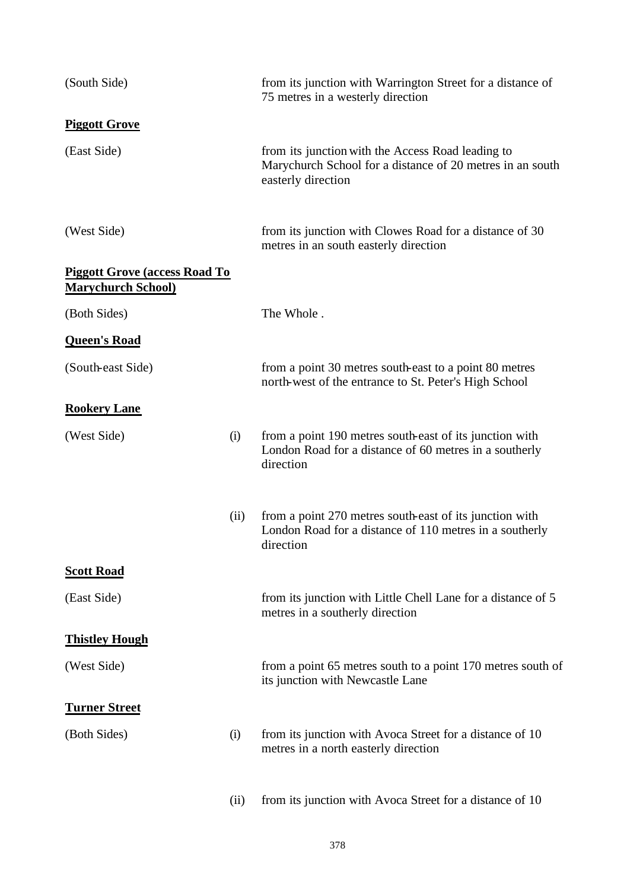| (South Side)                                                      |      | from its junction with Warrington Street for a distance of<br>75 metres in a westerly direction                                      |
|-------------------------------------------------------------------|------|--------------------------------------------------------------------------------------------------------------------------------------|
| <b>Piggott Grove</b>                                              |      |                                                                                                                                      |
| (East Side)                                                       |      | from its junction with the Access Road leading to<br>Marychurch School for a distance of 20 metres in an south<br>easterly direction |
| (West Side)                                                       |      | from its junction with Clowes Road for a distance of 30<br>metres in an south easterly direction                                     |
| <b>Piggott Grove (access Road To</b><br><b>Marychurch School)</b> |      |                                                                                                                                      |
| (Both Sides)                                                      |      | The Whole.                                                                                                                           |
| <b>Queen's Road</b>                                               |      |                                                                                                                                      |
| (South-east Side)                                                 |      | from a point 30 metres south-east to a point 80 metres<br>north-west of the entrance to St. Peter's High School                      |
| <b>Rookery Lane</b>                                               |      |                                                                                                                                      |
| (West Side)                                                       | (i)  | from a point 190 metres south-east of its junction with<br>London Road for a distance of 60 metres in a southerly<br>direction       |
|                                                                   | (ii) | from a point 270 metres south-east of its junction with<br>London Road for a distance of 110 metres in a southerly<br>direction      |
| <b>Scott Road</b>                                                 |      |                                                                                                                                      |
| (East Side)                                                       |      | from its junction with Little Chell Lane for a distance of 5<br>metres in a southerly direction                                      |
| <b>Thistley Hough</b>                                             |      |                                                                                                                                      |
| (West Side)                                                       |      | from a point 65 metres south to a point 170 metres south of<br>its junction with Newcastle Lane                                      |
| <b>Turner Street</b>                                              |      |                                                                                                                                      |
| (Both Sides)                                                      | (i)  | from its junction with Avoca Street for a distance of 10<br>metres in a north easterly direction                                     |
|                                                                   | (ii) | from its junction with Avoca Street for a distance of 10                                                                             |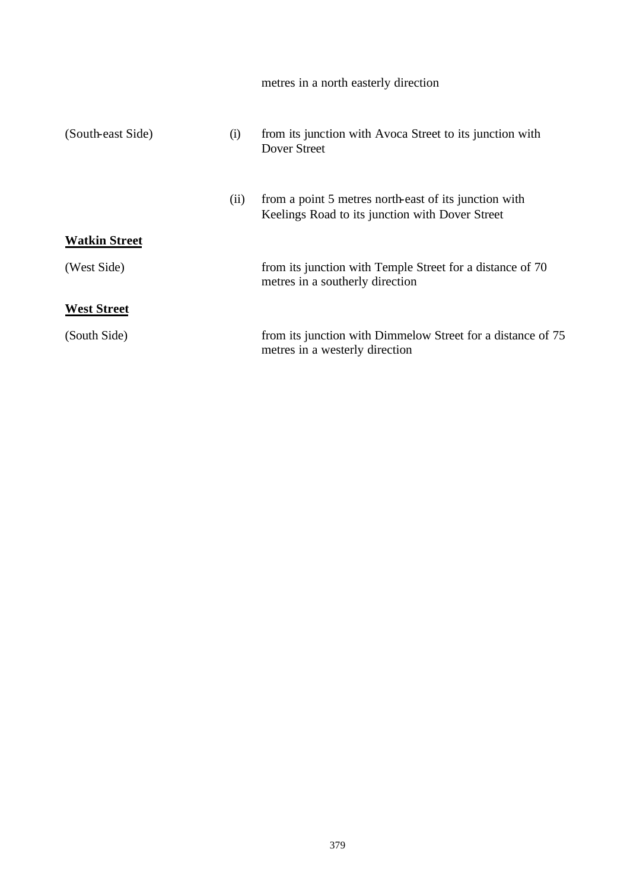|                      |      | metres in a north easterly direction                                                                     |
|----------------------|------|----------------------------------------------------------------------------------------------------------|
| (South-east Side)    | (i)  | from its junction with Avoca Street to its junction with<br>Dover Street                                 |
|                      | (ii) | from a point 5 metres north-east of its junction with<br>Keelings Road to its junction with Dover Street |
| <b>Watkin Street</b> |      |                                                                                                          |
| (West Side)          |      | from its junction with Temple Street for a distance of 70<br>metres in a southerly direction             |
| <b>West Street</b>   |      |                                                                                                          |
| (South Side)         |      | from its junction with Dimmelow Street for a distance of 75<br>metres in a westerly direction            |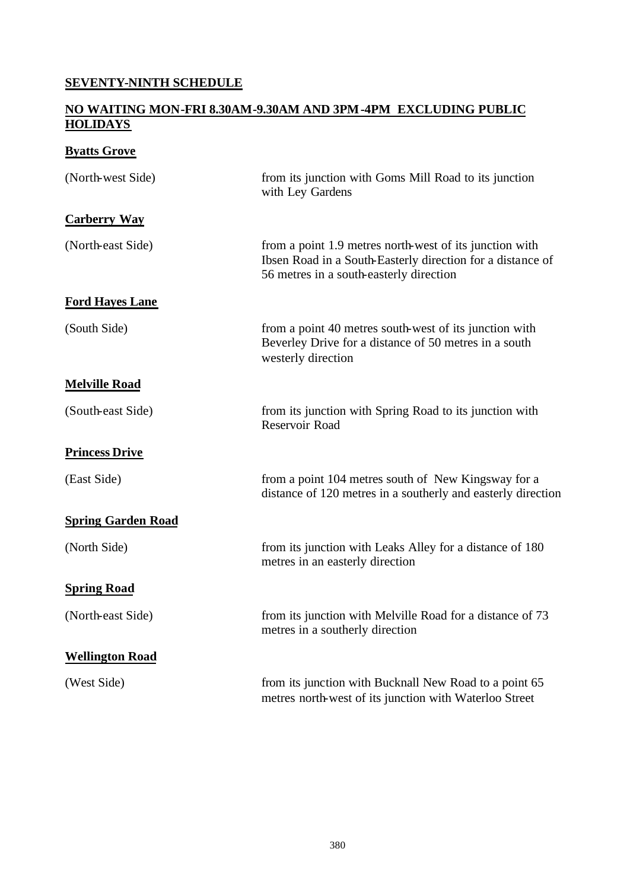# **SEVENTY-NINTH SCHEDULE**

#### **NO WAITING MON-FRI 8.30AM-9.30AM AND 3PM-4PM EXCLUDING PUBLIC HOLIDAYS**

# **Byatts Grove**

| (North-west Side)         | from its junction with Goms Mill Road to its junction<br>with Ley Gardens                                                                                        |
|---------------------------|------------------------------------------------------------------------------------------------------------------------------------------------------------------|
| <b>Carberry Way</b>       |                                                                                                                                                                  |
| (North-east Side)         | from a point 1.9 metres north-west of its junction with<br>Ibsen Road in a South-Easterly direction for a distance of<br>56 metres in a south-easterly direction |
| <b>Ford Hayes Lane</b>    |                                                                                                                                                                  |
| (South Side)              | from a point 40 metres south-west of its junction with<br>Beverley Drive for a distance of 50 metres in a south<br>westerly direction                            |
| <b>Melville Road</b>      |                                                                                                                                                                  |
| (South-east Side)         | from its junction with Spring Road to its junction with<br>Reservoir Road                                                                                        |
| <b>Princess Drive</b>     |                                                                                                                                                                  |
| (East Side)               | from a point 104 metres south of New Kingsway for a<br>distance of 120 metres in a southerly and easterly direction                                              |
| <b>Spring Garden Road</b> |                                                                                                                                                                  |
| (North Side)              | from its junction with Leaks Alley for a distance of 180<br>metres in an easterly direction                                                                      |
| <b>Spring Road</b>        |                                                                                                                                                                  |
| (North-east Side)         | from its junction with Melville Road for a distance of 73<br>metres in a southerly direction                                                                     |
| <b>Wellington Road</b>    |                                                                                                                                                                  |
| (West Side)               | from its junction with Bucknall New Road to a point 65<br>metres north-west of its junction with Waterloo Street                                                 |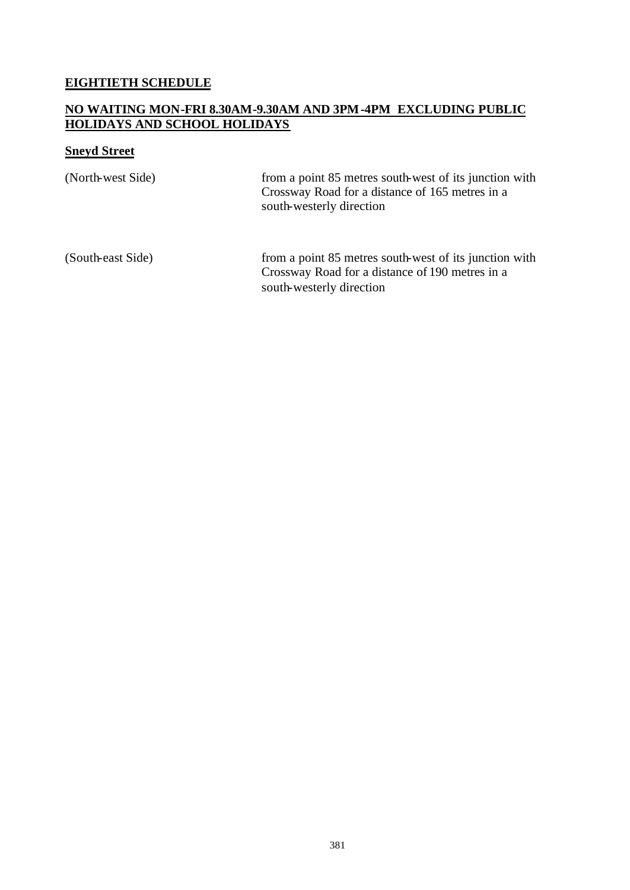### **EIGHTIETH SCHEDULE**

#### **NO WAITING MON-FRI 8.30AM-9.30AM AND 3PM-4PM EXCLUDING PUBLIC HOLIDAYS AND SCHOOL HOLIDAYS**

# **Sneyd Street**

| (North-west Side) | from a point 85 metres south-west of its junction with<br>Crossway Road for a distance of 165 metres in a<br>south-westerly direction |
|-------------------|---------------------------------------------------------------------------------------------------------------------------------------|
| (South-east Side) | from a point 85 metres south-west of its junction with<br>Crossway Road for a distance of 190 metres in a<br>south-westerly direction |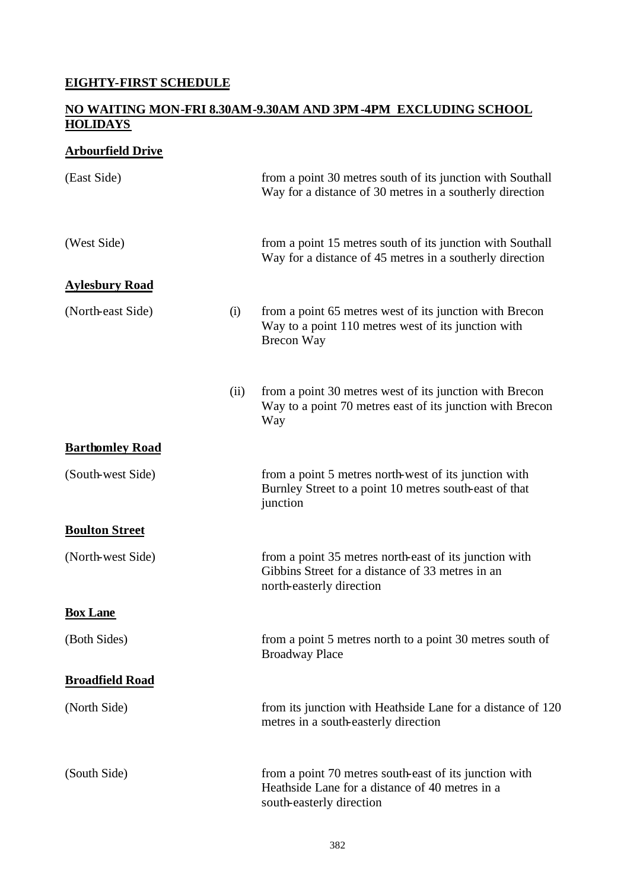# **EIGHTY-FIRST SCHEDULE**

#### **NO WAITING MON-FRI 8.30AM-9.30AM AND 3PM-4PM EXCLUDING SCHOOL HOLIDAYS**

### **Arbourfield Drive**

| (East Side)            |      | from a point 30 metres south of its junction with Southall<br>Way for a distance of 30 metres in a southerly direction                 |
|------------------------|------|----------------------------------------------------------------------------------------------------------------------------------------|
| (West Side)            |      | from a point 15 metres south of its junction with Southall<br>Way for a distance of 45 metres in a southerly direction                 |
| <b>Aylesbury Road</b>  |      |                                                                                                                                        |
| (North-east Side)      | (i)  | from a point 65 metres west of its junction with Brecon<br>Way to a point 110 metres west of its junction with<br>Brecon Way           |
|                        | (ii) | from a point 30 metres west of its junction with Brecon<br>Way to a point 70 metres east of its junction with Brecon<br>Way            |
| <b>Barthomley Road</b> |      |                                                                                                                                        |
| (South-west Side)      |      | from a point 5 metres north-west of its junction with<br>Burnley Street to a point 10 metres south-east of that<br>junction            |
| <b>Boulton Street</b>  |      |                                                                                                                                        |
| (North-west Side)      |      | from a point 35 metres north-east of its junction with<br>Gibbins Street for a distance of 33 metres in an<br>north-easterly direction |
| <b>Box Lane</b>        |      |                                                                                                                                        |
| (Both Sides)           |      | from a point 5 metres north to a point 30 metres south of<br><b>Broadway Place</b>                                                     |
| <b>Broadfield Road</b> |      |                                                                                                                                        |
| (North Side)           |      | from its junction with Heathside Lane for a distance of 120<br>metres in a south-easterly direction                                    |
| (South Side)           |      | from a point 70 metres south-east of its junction with<br>Heathside Lane for a distance of 40 metres in a<br>south-easterly direction  |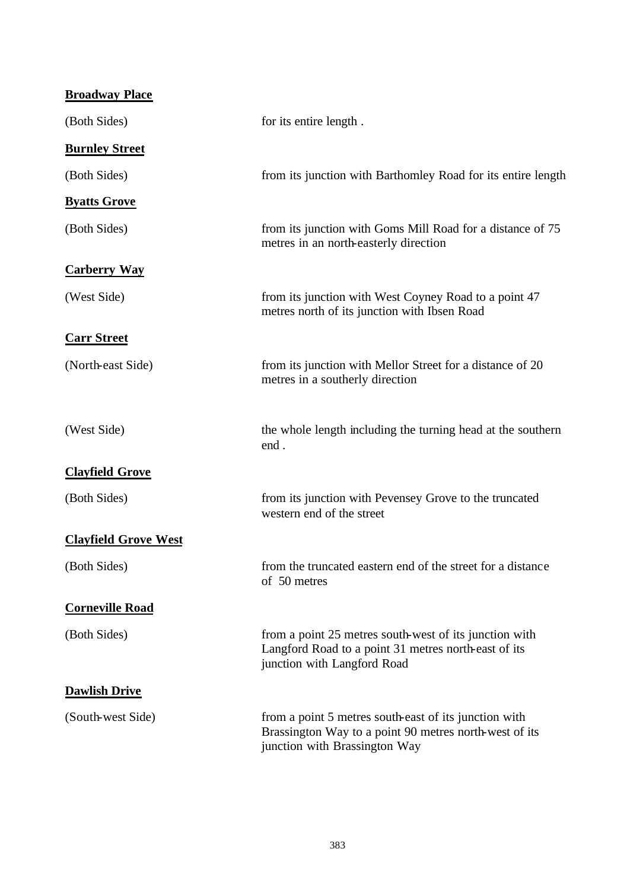| <b>Broadway Place</b>       |                                                                                                                                                  |
|-----------------------------|--------------------------------------------------------------------------------------------------------------------------------------------------|
| (Both Sides)                | for its entire length.                                                                                                                           |
| <b>Burnley Street</b>       |                                                                                                                                                  |
| (Both Sides)                | from its junction with Barthomley Road for its entire length                                                                                     |
| <b>Byatts Grove</b>         |                                                                                                                                                  |
| (Both Sides)                | from its junction with Goms Mill Road for a distance of 75<br>metres in an north-easterly direction                                              |
| <b>Carberry Way</b>         |                                                                                                                                                  |
| (West Side)                 | from its junction with West Coyney Road to a point 47<br>metres north of its junction with Ibsen Road                                            |
| <b>Carr Street</b>          |                                                                                                                                                  |
| (North-east Side)           | from its junction with Mellor Street for a distance of 20<br>metres in a southerly direction                                                     |
| (West Side)                 | the whole length including the turning head at the southern<br>end.                                                                              |
| <b>Clayfield Grove</b>      |                                                                                                                                                  |
| (Both Sides)                | from its junction with Pevensey Grove to the truncated<br>western end of the street                                                              |
| <b>Clayfield Grove West</b> |                                                                                                                                                  |
| (Both Sides)                | from the truncated eastern end of the street for a distance<br>of 50 metres                                                                      |
| <b>Corneville Road</b>      |                                                                                                                                                  |
| (Both Sides)                | from a point 25 metres south-west of its junction with<br>Langford Road to a point 31 metres north-east of its<br>junction with Langford Road    |
| <b>Dawlish Drive</b>        |                                                                                                                                                  |
| (South-west Side)           | from a point 5 metres south-east of its junction with<br>Brassington Way to a point 90 metres north-west of its<br>junction with Brassington Way |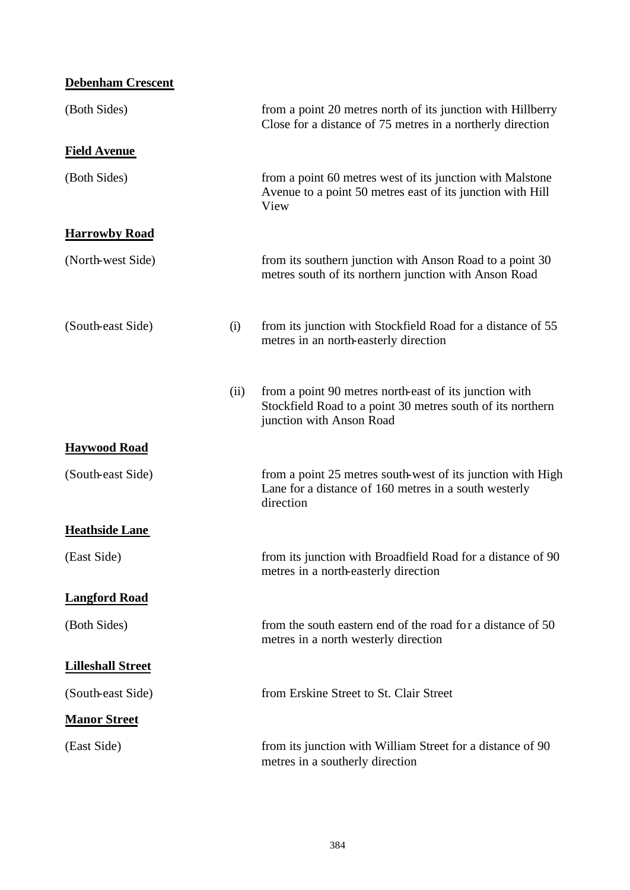| <b>Debenham Crescent</b> |      |                                                                                                                                                  |
|--------------------------|------|--------------------------------------------------------------------------------------------------------------------------------------------------|
| (Both Sides)             |      | from a point 20 metres north of its junction with Hillberry<br>Close for a distance of 75 metres in a northerly direction                        |
| <b>Field Avenue</b>      |      |                                                                                                                                                  |
| (Both Sides)             |      | from a point 60 metres west of its junction with Malstone<br>Avenue to a point 50 metres east of its junction with Hill<br>View                  |
| <b>Harrowby Road</b>     |      |                                                                                                                                                  |
| (North-west Side)        |      | from its southern junction with Anson Road to a point 30<br>metres south of its northern junction with Anson Road                                |
| (South-east Side)        | (i)  | from its junction with Stockfield Road for a distance of 55<br>metres in an north-easterly direction                                             |
|                          | (ii) | from a point 90 metres north-east of its junction with<br>Stockfield Road to a point 30 metres south of its northern<br>junction with Anson Road |
| <b>Haywood Road</b>      |      |                                                                                                                                                  |
| (South-east Side)        |      | from a point 25 metres south-west of its junction with High<br>Lane for a distance of 160 metres in a south westerly<br>direction                |
| <b>Heathside Lane</b>    |      |                                                                                                                                                  |
| (East Side)              |      | from its junction with Broadfield Road for a distance of 90<br>metres in a north-easterly direction                                              |
| <b>Langford Road</b>     |      |                                                                                                                                                  |
| (Both Sides)             |      | from the south eastern end of the road for a distance of 50<br>metres in a north westerly direction                                              |
| <b>Lilleshall Street</b> |      |                                                                                                                                                  |
| (South-east Side)        |      | from Erskine Street to St. Clair Street                                                                                                          |
| <b>Manor Street</b>      |      |                                                                                                                                                  |
| (East Side)              |      | from its junction with William Street for a distance of 90<br>metres in a southerly direction                                                    |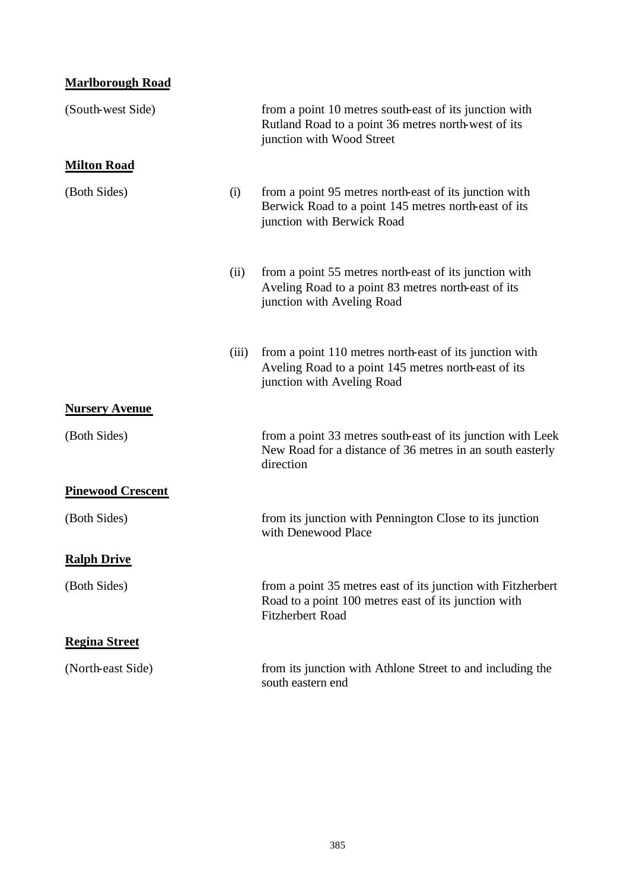# **Marlborough Road**

| (South-west Side)        |       | from a point 10 metres south-east of its junction with<br>Rutland Road to a point 36 metres north-west of its<br>junction with Wood Street      |
|--------------------------|-------|-------------------------------------------------------------------------------------------------------------------------------------------------|
| <b>Milton Road</b>       |       |                                                                                                                                                 |
| (Both Sides)             | (i)   | from a point 95 metres north-east of its junction with<br>Berwick Road to a point 145 metres north-east of its<br>junction with Berwick Road    |
|                          | (ii)  | from a point 55 metres north-east of its junction with<br>Aveling Road to a point 83 metres north-east of its<br>junction with Aveling Road     |
|                          | (iii) | from a point 110 metres north-east of its junction with<br>Aveling Road to a point 145 metres north-east of its<br>junction with Aveling Road   |
| <b>Nursery Avenue</b>    |       |                                                                                                                                                 |
| (Both Sides)             |       | from a point 33 metres south-east of its junction with Leek<br>New Road for a distance of 36 metres in an south easterly<br>direction           |
| <b>Pinewood Crescent</b> |       |                                                                                                                                                 |
| (Both Sides)             |       | from its junction with Pennington Close to its junction<br>with Denewood Place                                                                  |
| <b>Ralph Drive</b>       |       |                                                                                                                                                 |
| (Both Sides)             |       | from a point 35 metres east of its junction with Fitzherbert<br>Road to a point 100 metres east of its junction with<br><b>Fitzherbert Road</b> |
| <b>Regina Street</b>     |       |                                                                                                                                                 |
| (North-east Side)        |       | from its junction with Athlone Street to and including the<br>south eastern end                                                                 |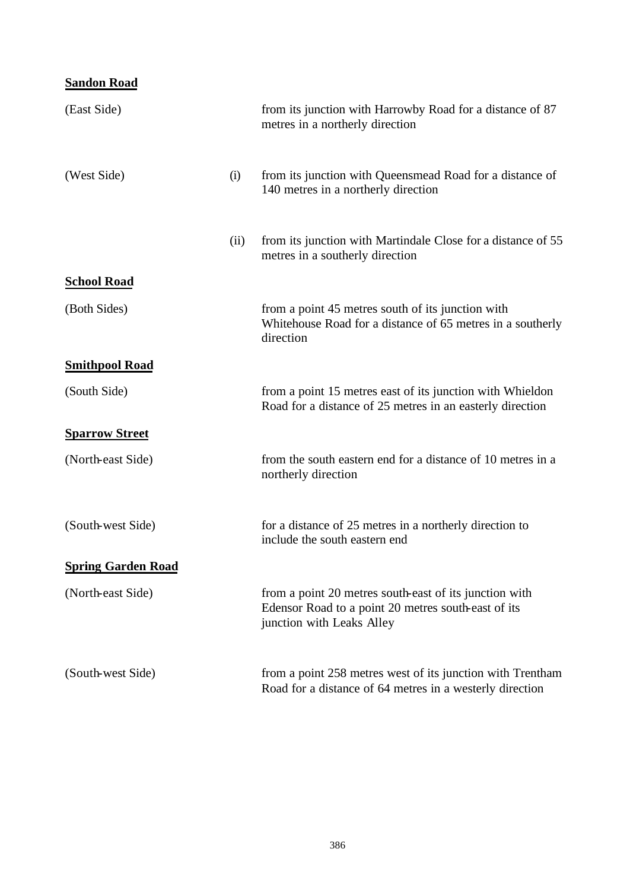# **Sandon Road**

| (East Side)               |      | from its junction with Harrowby Road for a distance of 87<br>metres in a northerly direction                                               |
|---------------------------|------|--------------------------------------------------------------------------------------------------------------------------------------------|
| (West Side)               | (i)  | from its junction with Queensmead Road for a distance of<br>140 metres in a northerly direction                                            |
|                           | (ii) | from its junction with Martindale Close for a distance of 55<br>metres in a southerly direction                                            |
| <b>School Road</b>        |      |                                                                                                                                            |
| (Both Sides)              |      | from a point 45 metres south of its junction with<br>Whitehouse Road for a distance of 65 metres in a southerly<br>direction               |
| <b>Smithpool Road</b>     |      |                                                                                                                                            |
| (South Side)              |      | from a point 15 metres east of its junction with Whieldon<br>Road for a distance of 25 metres in an easterly direction                     |
| <b>Sparrow Street</b>     |      |                                                                                                                                            |
| (North-east Side)         |      | from the south eastern end for a distance of 10 metres in a<br>northerly direction                                                         |
| (South-west Side)         |      | for a distance of 25 metres in a northerly direction to<br>include the south eastern end                                                   |
| <b>Spring Garden Road</b> |      |                                                                                                                                            |
| (North-east Side)         |      | from a point 20 metres south-east of its junction with<br>Edensor Road to a point 20 metres south-east of its<br>junction with Leaks Alley |
| (South-west Side)         |      | from a point 258 metres west of its junction with Trentham<br>Road for a distance of 64 metres in a westerly direction                     |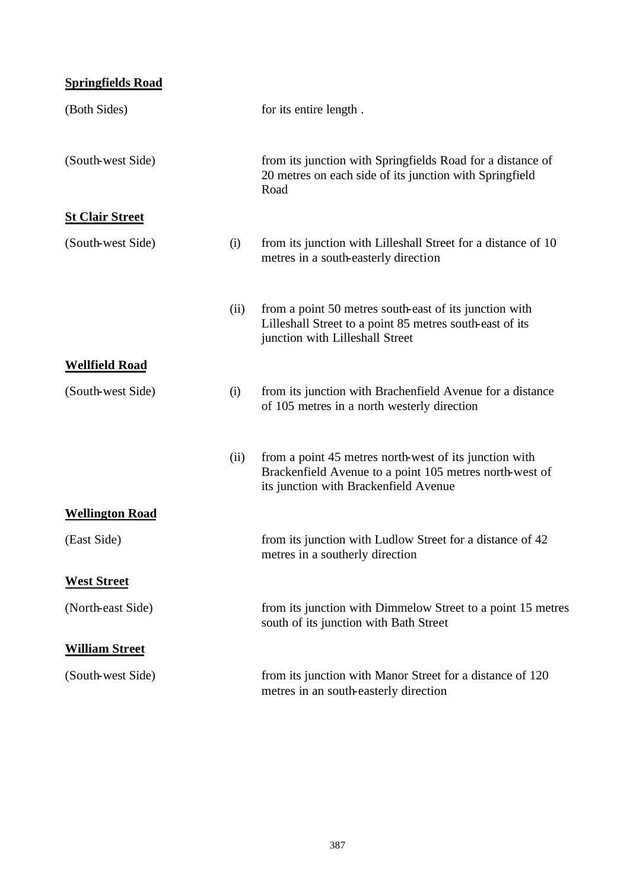# **Springfields Road**

| (Both Sides)           |      | for its entire length.                                                                                                                                     |
|------------------------|------|------------------------------------------------------------------------------------------------------------------------------------------------------------|
| (South-west Side)      |      | from its junction with Springfields Road for a distance of<br>20 metres on each side of its junction with Springfield<br>Road                              |
| <b>St Clair Street</b> |      |                                                                                                                                                            |
| (South-west Side)      | (i)  | from its junction with Lilleshall Street for a distance of 10<br>metres in a south-easterly direction                                                      |
|                        | (ii) | from a point 50 metres south-east of its junction with<br>Lilleshall Street to a point 85 metres south-east of its<br>junction with Lilleshall Street      |
| <b>Wellfield Road</b>  |      |                                                                                                                                                            |
| (South-west Side)      | (i)  | from its junction with Brachenfield Avenue for a distance<br>of 105 metres in a north westerly direction                                                   |
|                        | (ii) | from a point 45 metres north-west of its junction with<br>Brackenfield Avenue to a point 105 metres north-west of<br>its junction with Brackenfield Avenue |
| <b>Wellington Road</b> |      |                                                                                                                                                            |
| (East Side)            |      | from its junction with Ludlow Street for a distance of 42<br>metres in a southerly direction                                                               |
| <b>West Street</b>     |      |                                                                                                                                                            |
| (North-east Side)      |      | from its junction with Dimmelow Street to a point 15 metres<br>south of its junction with Bath Street                                                      |
| <b>William Street</b>  |      |                                                                                                                                                            |
| (South-west Side)      |      | from its junction with Manor Street for a distance of 120<br>metres in an south-easterly direction                                                         |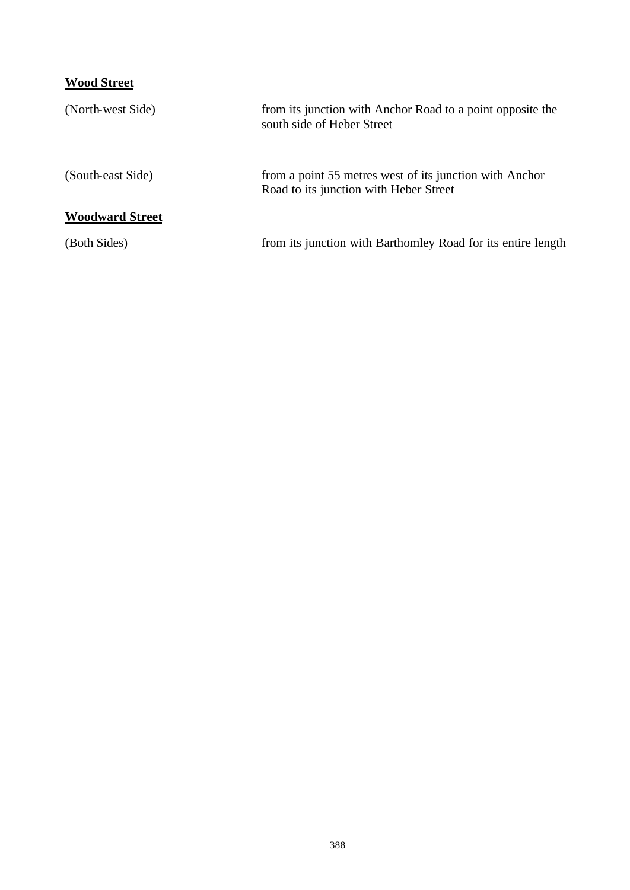# **Wood Street**

| (North-west Side)      | from its junction with Anchor Road to a point opposite the<br>south side of Heber Street          |
|------------------------|---------------------------------------------------------------------------------------------------|
| (South-east Side)      | from a point 55 metres west of its junction with Anchor<br>Road to its junction with Heber Street |
| <b>Woodward Street</b> |                                                                                                   |
| (Both Sides)           | from its junction with Barthomley Road for its entire length                                      |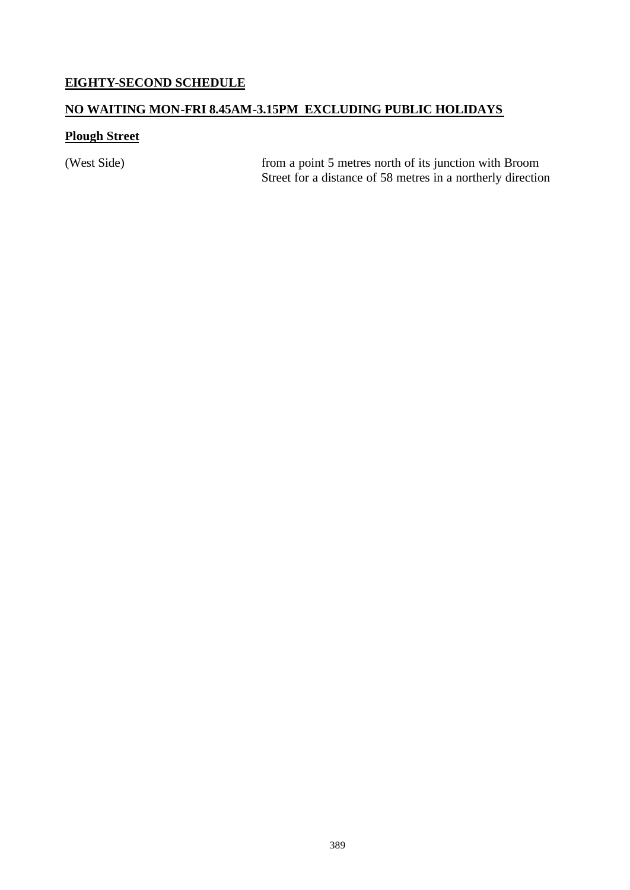### **EIGHTY-SECOND SCHEDULE**

### **NO WAITING MON-FRI 8.45AM-3.15PM EXCLUDING PUBLIC HOLIDAYS**

# **Plough Street**

(West Side) from a point 5 metres north of its junction with Broom Street for a distance of 58 metres in a northerly direction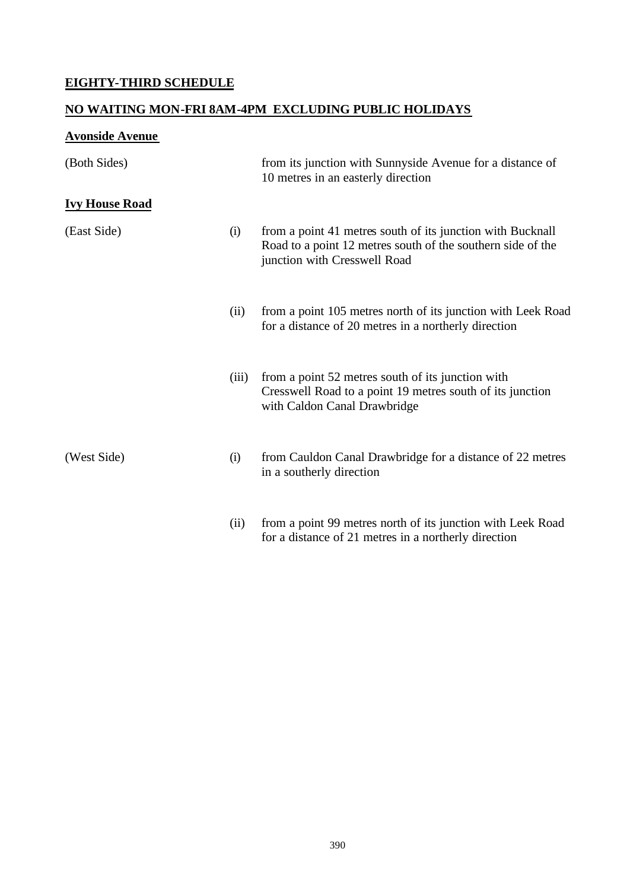# **EIGHTY-THIRD SCHEDULE**

# **NO WAITING MON-FRI 8AM-4PM EXCLUDING PUBLIC HOLIDAYS**

# **Avonside Avenue**

| (Both Sides)          |       | from its junction with Sunnyside Avenue for a distance of<br>10 metres in an easterly direction                                                           |
|-----------------------|-------|-----------------------------------------------------------------------------------------------------------------------------------------------------------|
| <b>Ivy House Road</b> |       |                                                                                                                                                           |
| (East Side)           | (i)   | from a point 41 metres south of its junction with Bucknall<br>Road to a point 12 metres south of the southern side of the<br>junction with Cresswell Road |
|                       | (ii)  | from a point 105 metres north of its junction with Leek Road<br>for a distance of 20 metres in a northerly direction                                      |
|                       | (iii) | from a point 52 metres south of its junction with<br>Cresswell Road to a point 19 metres south of its junction<br>with Caldon Canal Drawbridge            |
| (West Side)           | (i)   | from Cauldon Canal Drawbridge for a distance of 22 metres<br>in a southerly direction                                                                     |
|                       | (ii)  | from a point 99 metres north of its junction with Leek Road                                                                                               |

for a distance of 21 metres in a northerly direction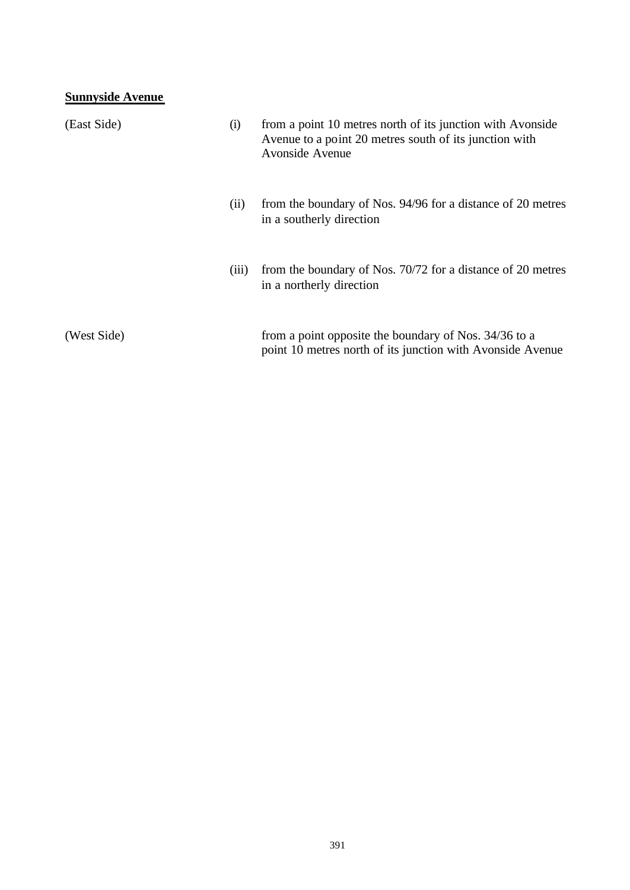| <b>Sunnyside Avenue</b> |       |                                                                                                                                         |
|-------------------------|-------|-----------------------------------------------------------------------------------------------------------------------------------------|
| (East Side)             | (i)   | from a point 10 metres north of its junction with Avonside<br>Avenue to a point 20 metres south of its junction with<br>Avonside Avenue |
|                         | (ii)  | from the boundary of Nos. 94/96 for a distance of 20 metres<br>in a southerly direction                                                 |
|                         | (111) | from the boundary of Nos. 70/72 for a distance of 20 metres<br>in a northerly direction                                                 |
| (West Side)             |       | from a point opposite the boundary of Nos. 34/36 to a<br>point 10 metres north of its junction with Avonside Avenue                     |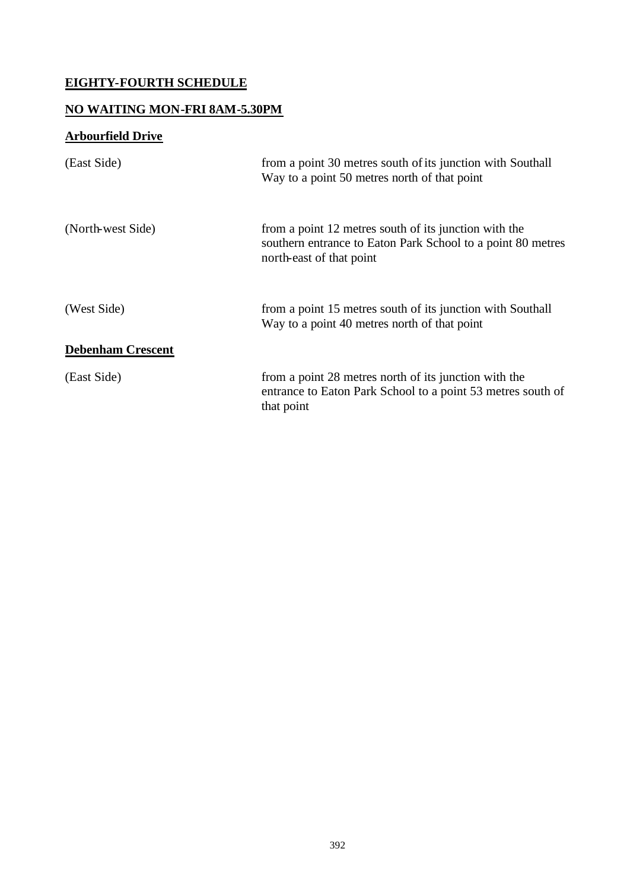# **EIGHTY-FOURTH SCHEDULE**

# **NO WAITING MON-FRI 8AM-5.30PM**

# **Arbourfield Drive**

| (East Side)              | from a point 30 metres south of its junction with Southall<br>Way to a point 50 metres north of that point                                       |
|--------------------------|--------------------------------------------------------------------------------------------------------------------------------------------------|
| (North-west Side)        | from a point 12 metres south of its junction with the<br>southern entrance to Eaton Park School to a point 80 metres<br>north-east of that point |
| (West Side)              | from a point 15 metres south of its junction with Southall<br>Way to a point 40 metres north of that point                                       |
| <b>Debenham Crescent</b> |                                                                                                                                                  |
| (East Side)              | from a point 28 metres north of its junction with the<br>entrance to Eaton Park School to a point 53 metres south of<br>that point               |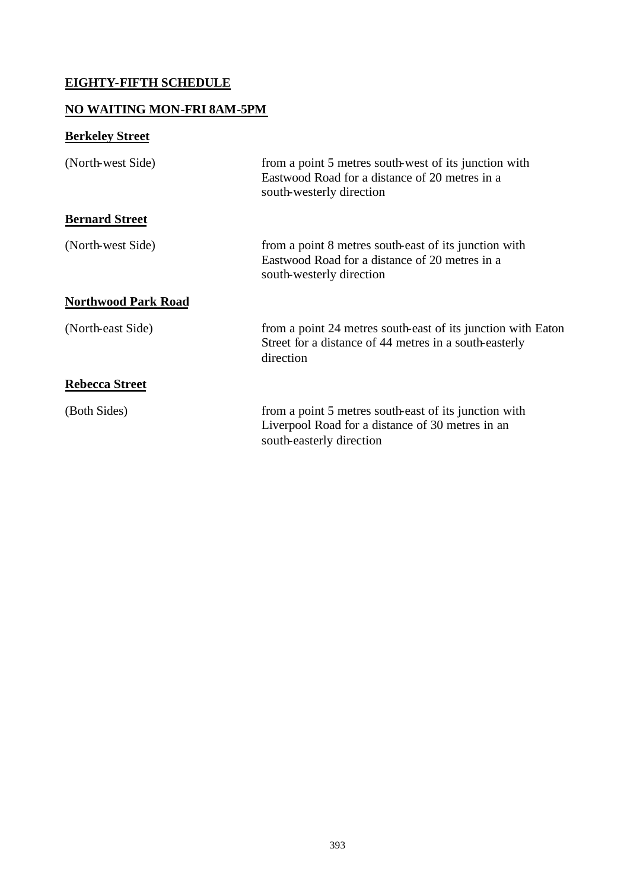# **EIGHTY-FIFTH SCHEDULE**

### **NO WAITING MON-FRI 8AM-5PM**

# **Berkeley Street**

| (North-west Side)          | from a point 5 metres south-west of its junction with<br>Eastwood Road for a distance of 20 metres in a<br>south-westerly direction   |
|----------------------------|---------------------------------------------------------------------------------------------------------------------------------------|
| <b>Bernard Street</b>      |                                                                                                                                       |
| (North-west Side)          | from a point 8 metres south-east of its junction with<br>Eastwood Road for a distance of 20 metres in a<br>south-westerly direction   |
| <b>Northwood Park Road</b> |                                                                                                                                       |
| (North-east Side)          | from a point 24 metres south-east of its junction with Eaton<br>Street for a distance of 44 metres in a south-easterly<br>direction   |
| <b>Rebecca Street</b>      |                                                                                                                                       |
| (Both Sides)               | from a point 5 metres south-east of its junction with<br>Liverpool Road for a distance of 30 metres in an<br>south-easterly direction |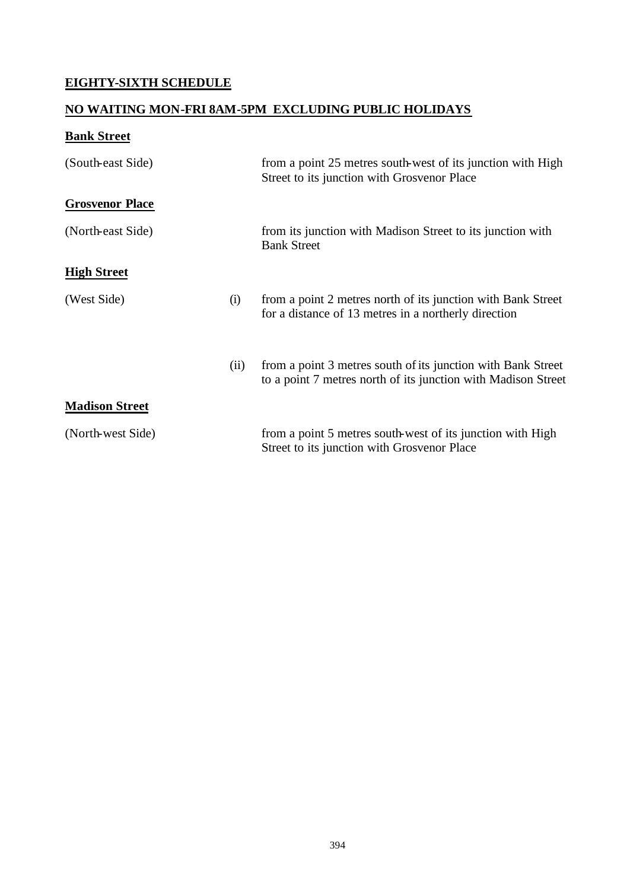# **EIGHTY-SIXTH SCHEDULE**

# **NO WAITING MON-FRI 8AM-5PM EXCLUDING PUBLIC HOLIDAYS**

# **Bank Street**

| (South-east Side)      |      | from a point 25 metres south-west of its junction with High<br>Street to its junction with Grosvenor Place                    |
|------------------------|------|-------------------------------------------------------------------------------------------------------------------------------|
| <b>Grosvenor Place</b> |      |                                                                                                                               |
| (North-east Side)      |      | from its junction with Madison Street to its junction with<br><b>Bank Street</b>                                              |
| <b>High Street</b>     |      |                                                                                                                               |
| (West Side)            | (i)  | from a point 2 metres north of its junction with Bank Street<br>for a distance of 13 metres in a northerly direction          |
|                        | (ii) | from a point 3 metres south of its junction with Bank Street<br>to a point 7 metres north of its junction with Madison Street |
| <b>Madison Street</b>  |      |                                                                                                                               |
| (North-west Side)      |      | from a point 5 metres south-west of its junction with High<br>Street to its junction with Grosvenor Place                     |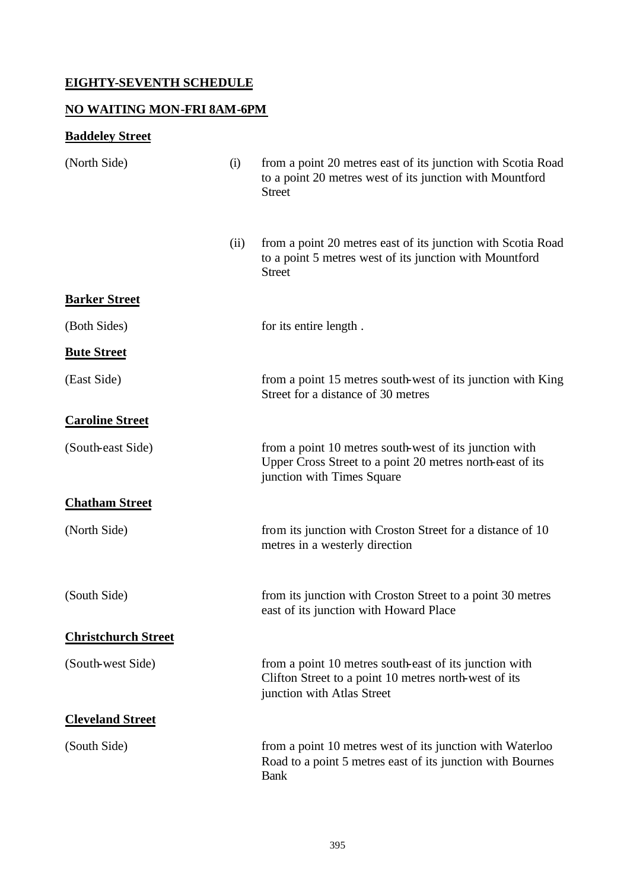# **EIGHTY-SEVENTH SCHEDULE**

# **NO WAITING MON-FRI 8AM-6PM**

# **Baddeley Street**

| (North Side)               | (i)  | from a point 20 metres east of its junction with Scotia Road<br>to a point 20 metres west of its junction with Mountford<br><b>Street</b>         |
|----------------------------|------|---------------------------------------------------------------------------------------------------------------------------------------------------|
|                            | (ii) | from a point 20 metres east of its junction with Scotia Road<br>to a point 5 metres west of its junction with Mountford<br><b>Street</b>          |
| <b>Barker Street</b>       |      |                                                                                                                                                   |
| (Both Sides)               |      | for its entire length.                                                                                                                            |
| <b>Bute Street</b>         |      |                                                                                                                                                   |
| (East Side)                |      | from a point 15 metres south-west of its junction with King<br>Street for a distance of 30 metres                                                 |
| <b>Caroline Street</b>     |      |                                                                                                                                                   |
| (South-east Side)          |      | from a point 10 metres south-west of its junction with<br>Upper Cross Street to a point 20 metres north-east of its<br>junction with Times Square |
| <b>Chatham Street</b>      |      |                                                                                                                                                   |
| (North Side)               |      | from its junction with Croston Street for a distance of 10<br>metres in a westerly direction                                                      |
| (South Side)               |      | from its junction with Croston Street to a point 30 metres<br>east of its junction with Howard Place                                              |
| <b>Christchurch Street</b> |      |                                                                                                                                                   |
| (South-west Side)          |      | from a point 10 metres south-east of its junction with<br>Clifton Street to a point 10 metres north-west of its<br>junction with Atlas Street     |
| <b>Cleveland Street</b>    |      |                                                                                                                                                   |
| (South Side)               |      | from a point 10 metres west of its junction with Waterloo<br>Road to a point 5 metres east of its junction with Bournes<br><b>Bank</b>            |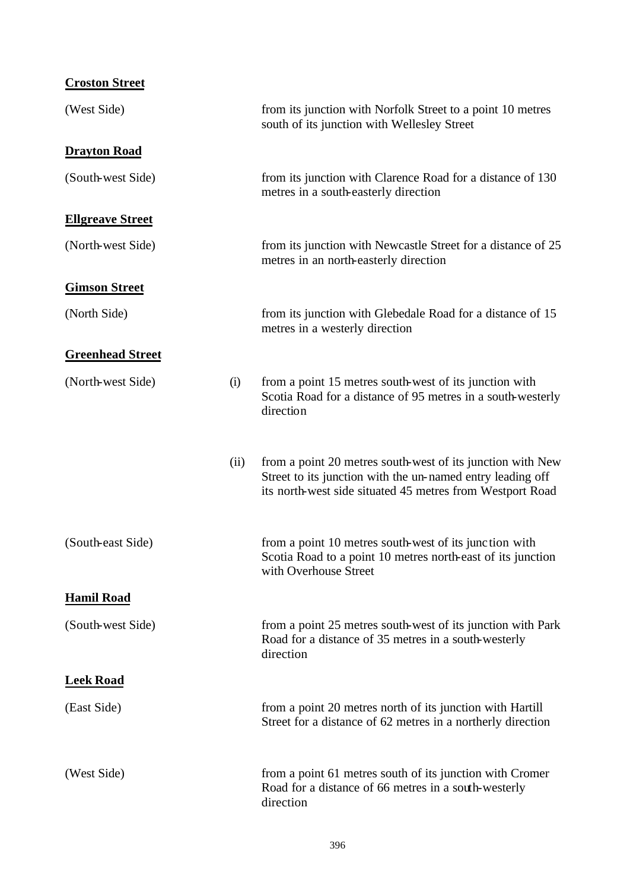| <b>Croston Street</b>   |      |                                                                                                                                                                                       |
|-------------------------|------|---------------------------------------------------------------------------------------------------------------------------------------------------------------------------------------|
| (West Side)             |      | from its junction with Norfolk Street to a point 10 metres<br>south of its junction with Wellesley Street                                                                             |
| <b>Drayton Road</b>     |      |                                                                                                                                                                                       |
| (South-west Side)       |      | from its junction with Clarence Road for a distance of 130<br>metres in a south-easterly direction                                                                                    |
| <b>Ellgreave Street</b> |      |                                                                                                                                                                                       |
| (North-west Side)       |      | from its junction with Newcastle Street for a distance of 25<br>metres in an north-easterly direction                                                                                 |
| <b>Gimson Street</b>    |      |                                                                                                                                                                                       |
| (North Side)            |      | from its junction with Glebedale Road for a distance of 15<br>metres in a westerly direction                                                                                          |
| <b>Greenhead Street</b> |      |                                                                                                                                                                                       |
| (North-west Side)       | (i)  | from a point 15 metres south-west of its junction with<br>Scotia Road for a distance of 95 metres in a south-westerly<br>direction                                                    |
|                         | (ii) | from a point 20 metres south-west of its junction with New<br>Street to its junction with the un-named entry leading off<br>its north-west side situated 45 metres from Westport Road |
| (South-east Side)       |      | from a point 10 metres south-west of its junction with<br>Scotia Road to a point 10 metres north-east of its junction<br>with Overhouse Street                                        |
| <b>Hamil Road</b>       |      |                                                                                                                                                                                       |
| (South-west Side)       |      | from a point 25 metres south-west of its junction with Park<br>Road for a distance of 35 metres in a south-westerly<br>direction                                                      |
| <b>Leek Road</b>        |      |                                                                                                                                                                                       |
| (East Side)             |      | from a point 20 metres north of its junction with Hartill<br>Street for a distance of 62 metres in a northerly direction                                                              |
| (West Side)             |      | from a point 61 metres south of its junction with Cromer<br>Road for a distance of 66 metres in a south-westerly<br>direction                                                         |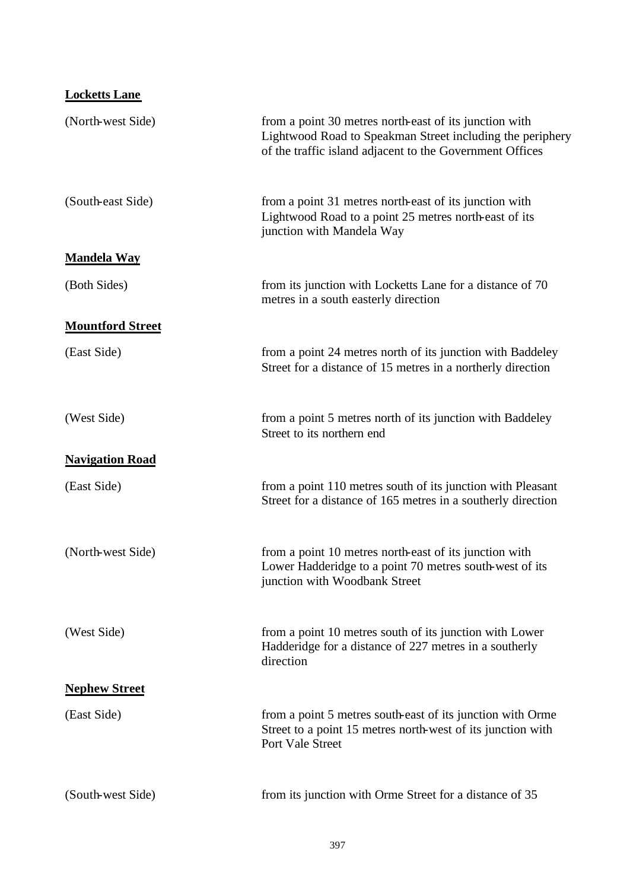| <b>Locketts Lane</b>    |                                                                                                                                                                                 |
|-------------------------|---------------------------------------------------------------------------------------------------------------------------------------------------------------------------------|
| (North-west Side)       | from a point 30 metres north-east of its junction with<br>Lightwood Road to Speakman Street including the periphery<br>of the traffic island adjacent to the Government Offices |
| (South-east Side)       | from a point 31 metres north-east of its junction with<br>Lightwood Road to a point 25 metres north-east of its<br>junction with Mandela Way                                    |
| <b>Mandela Way</b>      |                                                                                                                                                                                 |
| (Both Sides)            | from its junction with Locketts Lane for a distance of 70<br>metres in a south easterly direction                                                                               |
| <b>Mountford Street</b> |                                                                                                                                                                                 |
| (East Side)             | from a point 24 metres north of its junction with Baddeley<br>Street for a distance of 15 metres in a northerly direction                                                       |
| (West Side)             | from a point 5 metres north of its junction with Baddeley<br>Street to its northern end                                                                                         |
| <b>Navigation Road</b>  |                                                                                                                                                                                 |
| (East Side)             | from a point 110 metres south of its junction with Pleasant<br>Street for a distance of 165 metres in a southerly direction                                                     |
| (North-west Side)       | from a point 10 metres north-east of its junction with<br>Lower Hadderidge to a point 70 metres south-west of its<br>junction with Woodbank Street                              |
| (West Side)             | from a point 10 metres south of its junction with Lower<br>Hadderidge for a distance of 227 metres in a southerly<br>direction                                                  |
| <b>Nephew Street</b>    |                                                                                                                                                                                 |
| (East Side)             | from a point 5 metres south-east of its junction with Orme<br>Street to a point 15 metres north-west of its junction with<br>Port Vale Street                                   |
| (South-west Side)       | from its junction with Orme Street for a distance of 35                                                                                                                         |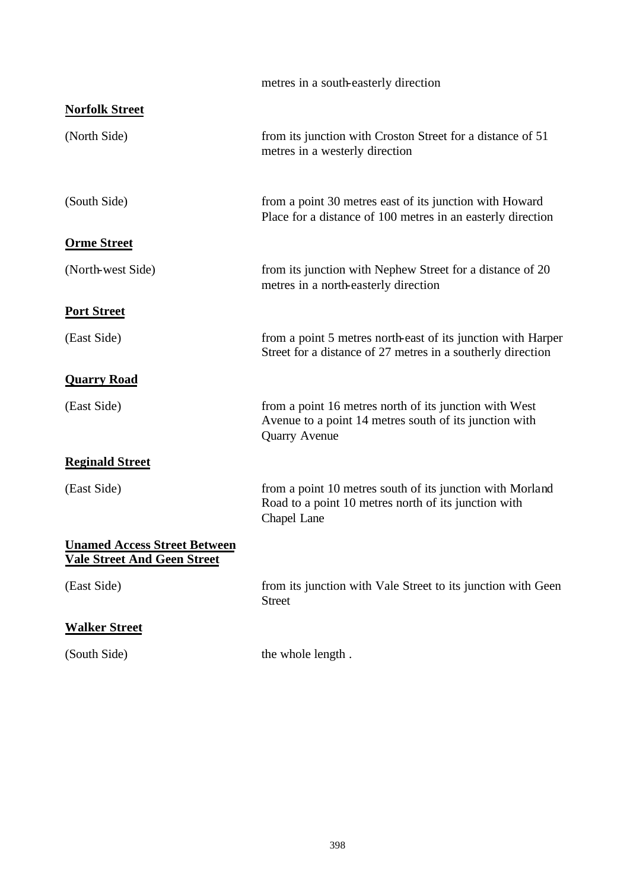|                                                                           | metres in a south-easterly direction                                                                                                     |
|---------------------------------------------------------------------------|------------------------------------------------------------------------------------------------------------------------------------------|
| <b>Norfolk Street</b>                                                     |                                                                                                                                          |
| (North Side)                                                              | from its junction with Croston Street for a distance of 51<br>metres in a westerly direction                                             |
| (South Side)                                                              | from a point 30 metres east of its junction with Howard<br>Place for a distance of 100 metres in an easterly direction                   |
| <b>Orme Street</b>                                                        |                                                                                                                                          |
| (North-west Side)                                                         | from its junction with Nephew Street for a distance of 20<br>metres in a north-easterly direction                                        |
| <b>Port Street</b>                                                        |                                                                                                                                          |
| (East Side)                                                               | from a point 5 metres north-east of its junction with Harper<br>Street for a distance of 27 metres in a southerly direction              |
| <b>Quarry Road</b>                                                        |                                                                                                                                          |
| (East Side)                                                               | from a point 16 metres north of its junction with West<br>Avenue to a point 14 metres south of its junction with<br><b>Quarry Avenue</b> |
| <b>Reginald Street</b>                                                    |                                                                                                                                          |
| (East Side)                                                               | from a point 10 metres south of its junction with Morland<br>Road to a point 10 metres north of its junction with<br>Chapel Lane         |
| <b>Unamed Access Street Between</b><br><b>Vale Street And Geen Street</b> |                                                                                                                                          |
| (East Side)                                                               | from its junction with Vale Street to its junction with Geen<br><b>Street</b>                                                            |
| <b>Walker Street</b>                                                      |                                                                                                                                          |
| (South Side)                                                              | the whole length.                                                                                                                        |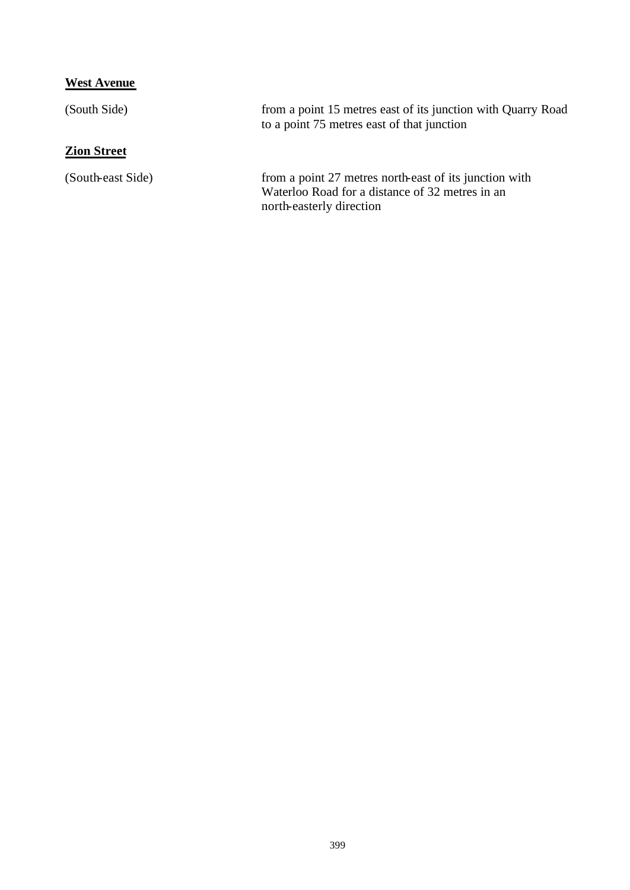# **West Avenue**

| (South Side)       | from a point 15 metres east of its junction with Quarry Road<br>to a point 75 metres east of that junction                            |
|--------------------|---------------------------------------------------------------------------------------------------------------------------------------|
| <b>Zion Street</b> |                                                                                                                                       |
| (South-east Side)  | from a point 27 metres north-east of its junction with<br>Waterloo Road for a distance of 32 metres in an<br>north-easterly direction |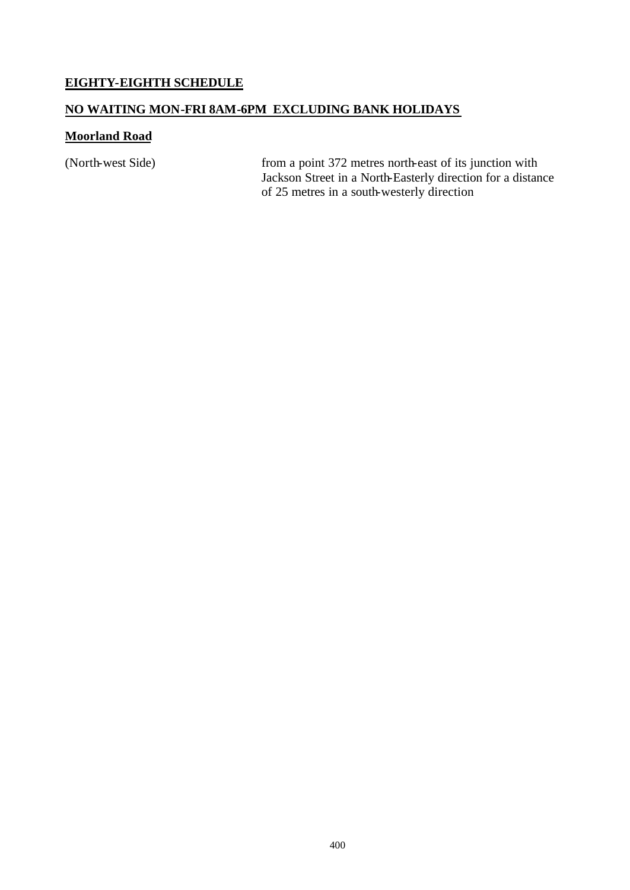### **EIGHTY-EIGHTH SCHEDULE**

#### **NO WAITING MON-FRI 8AM-6PM EXCLUDING BANK HOLIDAYS**

#### **Moorland Road**

(North-west Side) from a point 372 metres north-east of its junction with Jackson Street in a North-Easterly direction for a distance of 25 metres in a south-westerly direction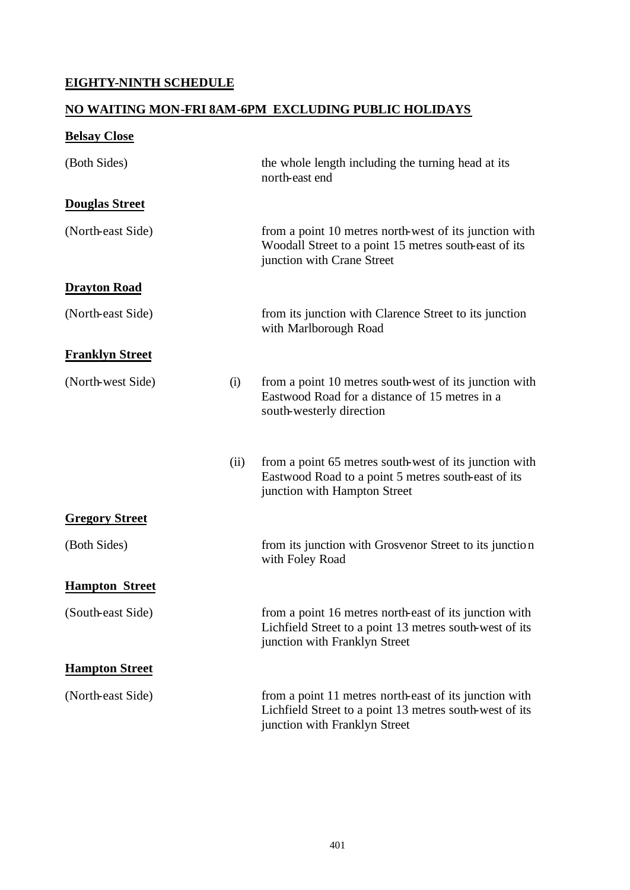### **EIGHTY-NINTH SCHEDULE**

#### **NO WAITING MON-FRI 8AM-6PM EXCLUDING PUBLIC HOLIDAYS**

# **Belsay Close** (Both Sides) the whole length including the turning head at its north-east end **Douglas Street** (North-east Side) from a point 10 metres north-west of its junction with Woodall Street to a point 15 metres south-east of its junction with Crane Street **Drayton Road** (North-east Side) from its junction with Clarence Street to its junction with Marlborough Road **Franklyn Street** (North-west Side) (i) from a point 10 metres south-west of its junction with Eastwood Road for a distance of 15 metres in a south-westerly direction (ii) from a point 65 metres south-west of its junction with Eastwood Road to a point 5 metres south-east of its junction with Hampton Street **Gregory Street** (Both Sides) from its junction with Grosvenor Street to its junction with Foley Road **Hampton Street** (South-east Side) from a point 16 metres north-east of its junction with Lichfield Street to a point 13 metres south-west of its junction with Franklyn Street **Hampton Street** (North-east Side) from a point 11 metres north-east of its junction with Lichfield Street to a point 13 metres south-west of its junction with Franklyn Street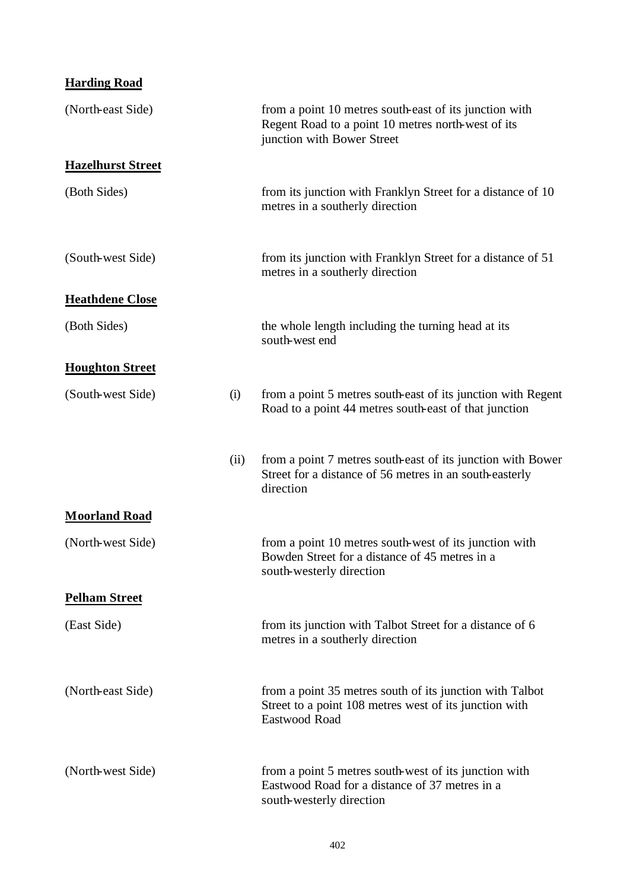| <b>Harding Road</b> |
|---------------------|
|---------------------|

| (North-east Side)        |      | from a point 10 metres south-east of its junction with<br>Regent Road to a point 10 metres north-west of its<br>junction with Bower Street |
|--------------------------|------|--------------------------------------------------------------------------------------------------------------------------------------------|
| <b>Hazelhurst Street</b> |      |                                                                                                                                            |
| (Both Sides)             |      | from its junction with Franklyn Street for a distance of 10<br>metres in a southerly direction                                             |
| (South-west Side)        |      | from its junction with Franklyn Street for a distance of 51<br>metres in a southerly direction                                             |
| <b>Heathdene Close</b>   |      |                                                                                                                                            |
| (Both Sides)             |      | the whole length including the turning head at its<br>south-west end                                                                       |
| <b>Houghton Street</b>   |      |                                                                                                                                            |
| (South-west Side)        | (i)  | from a point 5 metres south-east of its junction with Regent<br>Road to a point 44 metres south-east of that junction                      |
|                          | (ii) | from a point 7 metres south-east of its junction with Bower<br>Street for a distance of 56 metres in an south-easterly<br>direction        |
| <b>Moorland Road</b>     |      |                                                                                                                                            |
| (North-west Side)        |      | from a point 10 metres south-west of its junction with<br>Bowden Street for a distance of 45 metres in a<br>south-westerly direction       |
| <b>Pelham Street</b>     |      |                                                                                                                                            |
| (East Side)              |      | from its junction with Talbot Street for a distance of 6<br>metres in a southerly direction                                                |
| (North-east Side)        |      | from a point 35 metres south of its junction with Talbot<br>Street to a point 108 metres west of its junction with<br>Eastwood Road        |
| (North-west Side)        |      | from a point 5 metres south-west of its junction with<br>Eastwood Road for a distance of 37 metres in a<br>south-westerly direction        |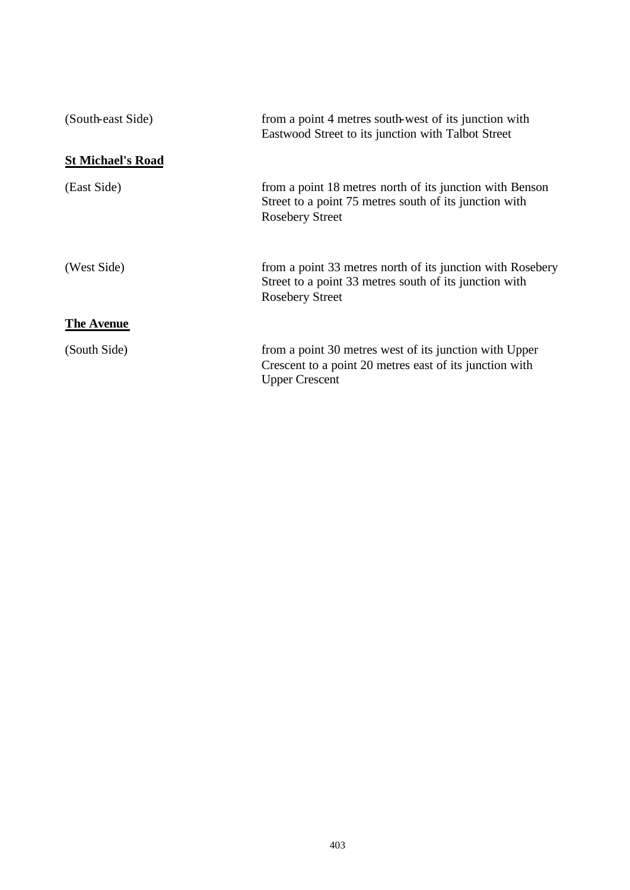| (South-east Side)        | from a point 4 metres south-west of its junction with<br>Eastwood Street to its junction with Talbot Street                                    |
|--------------------------|------------------------------------------------------------------------------------------------------------------------------------------------|
| <b>St Michael's Road</b> |                                                                                                                                                |
| (East Side)              | from a point 18 metres north of its junction with Benson<br>Street to a point 75 metres south of its junction with<br><b>Rosebery Street</b>   |
| (West Side)              | from a point 33 metres north of its junction with Rosebery<br>Street to a point 33 metres south of its junction with<br><b>Rosebery Street</b> |
| <b>The Avenue</b>        |                                                                                                                                                |
| (South Side)             | from a point 30 metres west of its junction with Upper<br>Crescent to a point 20 metres east of its junction with<br><b>Upper Crescent</b>     |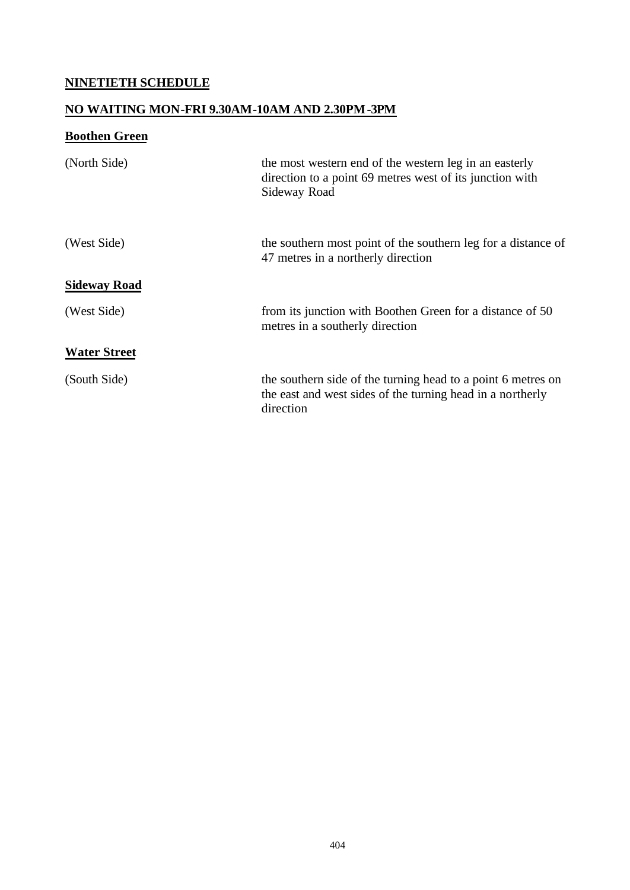# **NINETIETH SCHEDULE**

# **NO WAITING MON-FRI 9.30AM-10AM AND 2.30PM-3PM**

# **Boothen Green**

| (North Side)        | the most western end of the western leg in an easterly<br>direction to a point 69 metres west of its junction with<br>Sideway Road      |
|---------------------|-----------------------------------------------------------------------------------------------------------------------------------------|
| (West Side)         | the southern most point of the southern leg for a distance of<br>47 metres in a northerly direction                                     |
| <b>Sideway Road</b> |                                                                                                                                         |
| (West Side)         | from its junction with Boothen Green for a distance of 50<br>metres in a southerly direction                                            |
| <b>Water Street</b> |                                                                                                                                         |
| (South Side)        | the southern side of the turning head to a point 6 metres on<br>the east and west sides of the turning head in a northerly<br>direction |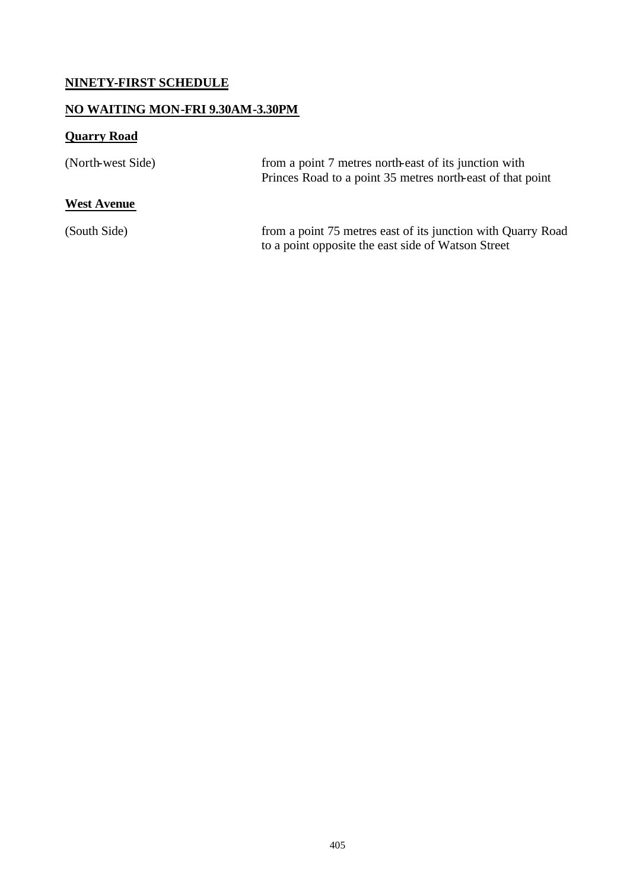# **NINETY-FIRST SCHEDULE**

# **NO WAITING MON-FRI 9.30AM-3.30PM**

# **Quarry Road**

| (North-west Side)  | from a point 7 metres north-east of its junction with<br>Princes Road to a point 35 metres north-east of that point |
|--------------------|---------------------------------------------------------------------------------------------------------------------|
| <b>West Avenue</b> |                                                                                                                     |
| (South Side)       | from a point 75 metres east of its junction with Quarry Road<br>to a point opposite the east side of Watson Street  |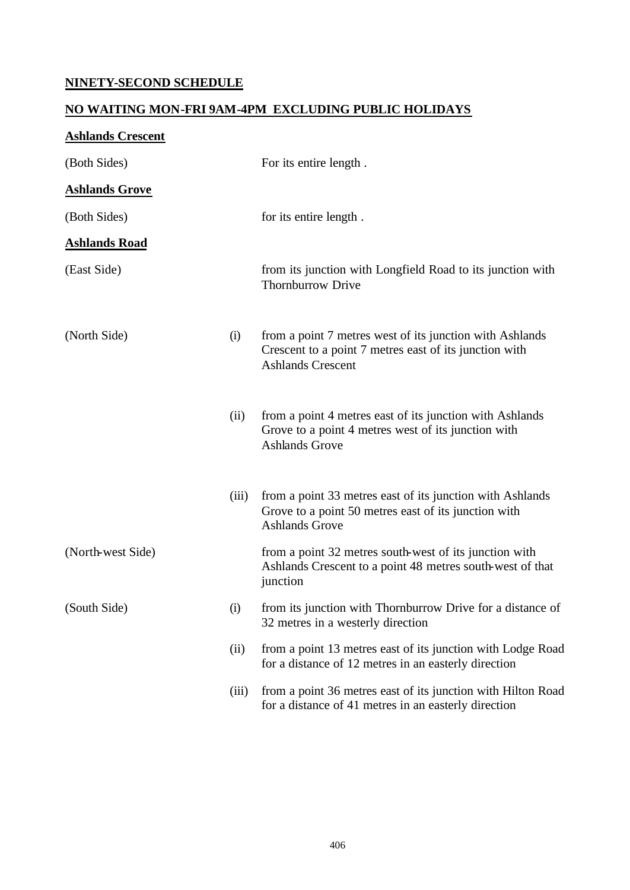# **NINETY-SECOND SCHEDULE**

# **NO WAITING MON-FRI 9AM-4PM EXCLUDING PUBLIC HOLIDAYS**

| <b>Ashlands Crescent</b> |       |                                                                                                                                                |
|--------------------------|-------|------------------------------------------------------------------------------------------------------------------------------------------------|
| (Both Sides)             |       | For its entire length.                                                                                                                         |
| <b>Ashlands Grove</b>    |       |                                                                                                                                                |
| (Both Sides)             |       | for its entire length.                                                                                                                         |
| <b>Ashlands Road</b>     |       |                                                                                                                                                |
| (East Side)              |       | from its junction with Longfield Road to its junction with<br><b>Thornburrow Drive</b>                                                         |
| (North Side)             | (i)   | from a point 7 metres west of its junction with Ashlands<br>Crescent to a point 7 metres east of its junction with<br><b>Ashlands Crescent</b> |
|                          | (ii)  | from a point 4 metres east of its junction with Ashlands<br>Grove to a point 4 metres west of its junction with<br><b>Ashlands Grove</b>       |
|                          | (iii) | from a point 33 metres east of its junction with Ashlands<br>Grove to a point 50 metres east of its junction with<br><b>Ashlands Grove</b>     |
| (North-west Side)        |       | from a point 32 metres south-west of its junction with<br>Ashlands Crescent to a point 48 metres south-west of that<br>junction                |
| (South Side)             | (i)   | from its junction with Thornburrow Drive for a distance of<br>32 metres in a westerly direction                                                |
|                          | (ii)  | from a point 13 metres east of its junction with Lodge Road<br>for a distance of 12 metres in an easterly direction                            |
|                          | (iii) | from a point 36 metres east of its junction with Hilton Road<br>for a distance of 41 metres in an easterly direction                           |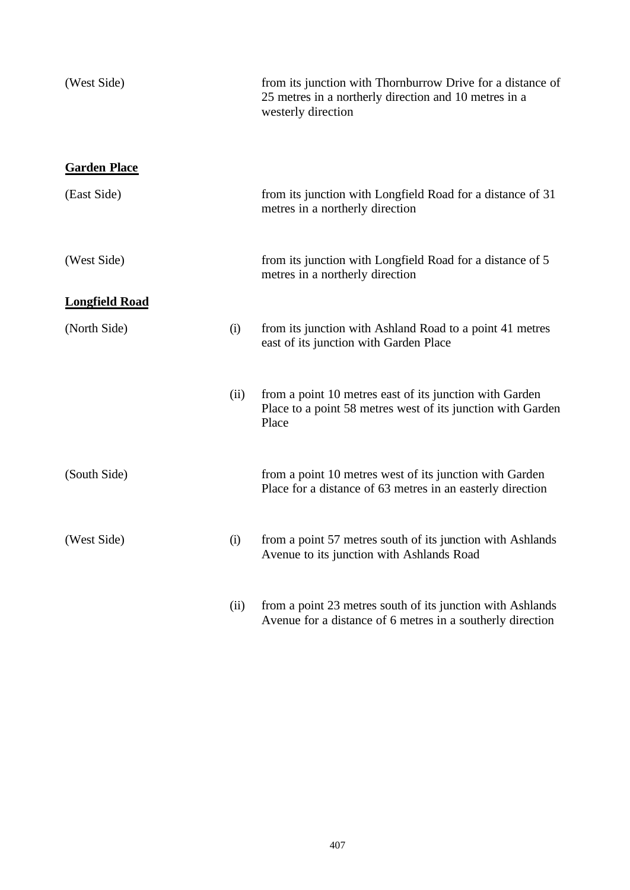| (West Side)           |      | from its junction with Thornburrow Drive for a distance of<br>25 metres in a northerly direction and 10 metres in a<br>westerly direction |
|-----------------------|------|-------------------------------------------------------------------------------------------------------------------------------------------|
| <b>Garden Place</b>   |      |                                                                                                                                           |
| (East Side)           |      | from its junction with Longfield Road for a distance of 31<br>metres in a northerly direction                                             |
| (West Side)           |      | from its junction with Longfield Road for a distance of 5<br>metres in a northerly direction                                              |
| <b>Longfield Road</b> |      |                                                                                                                                           |
| (North Side)          | (i)  | from its junction with Ashland Road to a point 41 metres<br>east of its junction with Garden Place                                        |
|                       | (ii) | from a point 10 metres east of its junction with Garden<br>Place to a point 58 metres west of its junction with Garden<br>Place           |
| (South Side)          |      | from a point 10 metres west of its junction with Garden<br>Place for a distance of 63 metres in an easterly direction                     |
| (West Side)           | (i)  | from a point 57 metres south of its junction with Ashlands<br>Avenue to its junction with Ashlands Road                                   |
|                       | (ii) | from a point 23 metres south of its junction with Ashlands<br>Avenue for a distance of 6 metres in a southerly direction                  |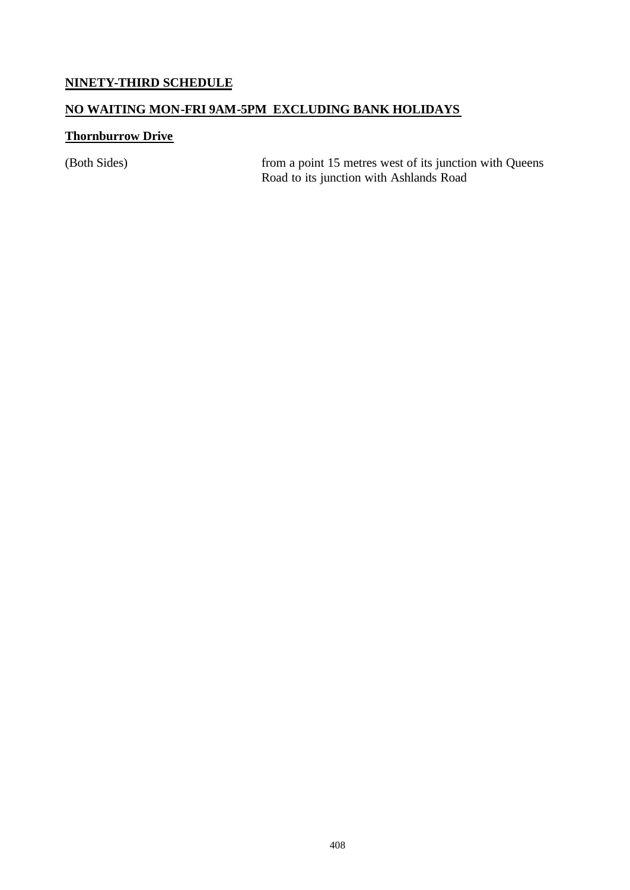### **NINETY-THIRD SCHEDULE**

### **NO WAITING MON-FRI 9AM-5PM EXCLUDING BANK HOLIDAYS**

### **Thornburrow Drive**

(Both Sides) from a point 15 metres west of its junction with Queens Road to its junction with Ashlands Road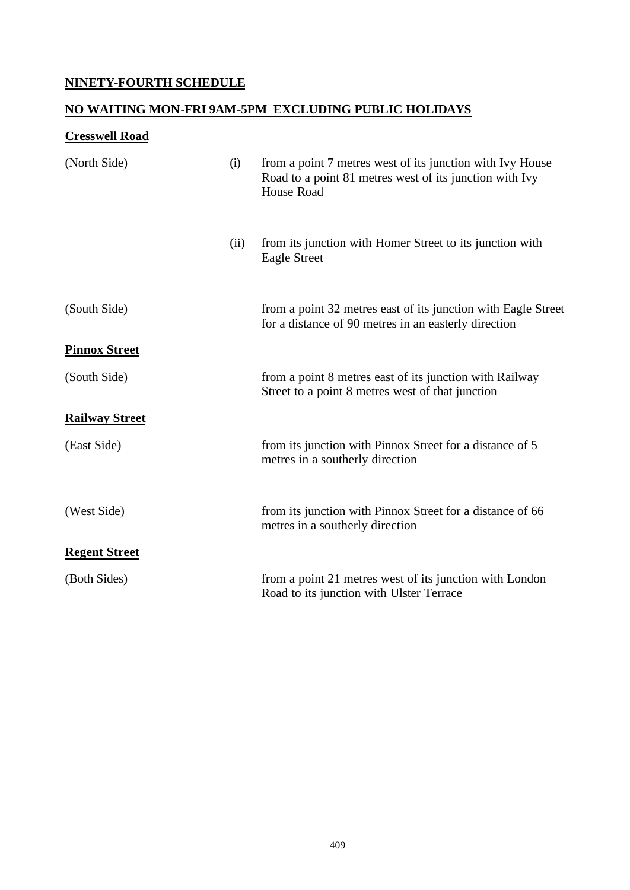# **NINETY-FOURTH SCHEDULE**

# **NO WAITING MON-FRI 9AM-5PM EXCLUDING PUBLIC HOLIDAYS**

# **Cresswell Road**

| (North Side)          | (i)  | from a point 7 metres west of its junction with Ivy House<br>Road to a point 81 metres west of its junction with Ivy<br>House Road |
|-----------------------|------|------------------------------------------------------------------------------------------------------------------------------------|
|                       | (ii) | from its junction with Homer Street to its junction with<br><b>Eagle Street</b>                                                    |
| (South Side)          |      | from a point 32 metres east of its junction with Eagle Street<br>for a distance of 90 metres in an easterly direction              |
| <b>Pinnox Street</b>  |      |                                                                                                                                    |
| (South Side)          |      | from a point 8 metres east of its junction with Railway<br>Street to a point 8 metres west of that junction                        |
| <b>Railway Street</b> |      |                                                                                                                                    |
| (East Side)           |      | from its junction with Pinnox Street for a distance of 5<br>metres in a southerly direction                                        |
| (West Side)           |      | from its junction with Pinnox Street for a distance of 66<br>metres in a southerly direction                                       |
| <b>Regent Street</b>  |      |                                                                                                                                    |
| (Both Sides)          |      | from a point 21 metres west of its junction with London<br>Road to its junction with Ulster Terrace                                |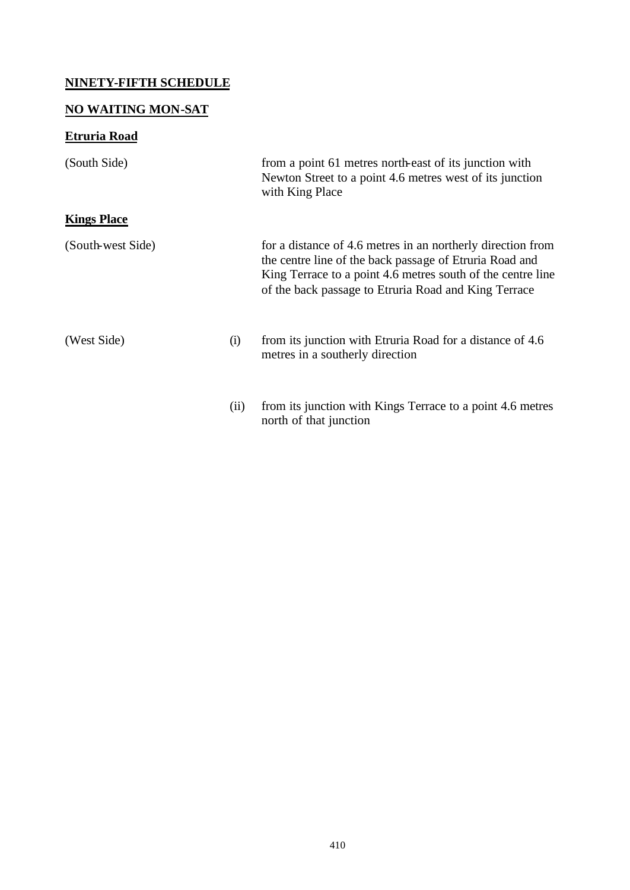## **NINETY-FIFTH SCHEDULE**

# **NO WAITING MON-SAT**

# **Etruria Road**

| (South Side)       |      | from a point 61 metres north-east of its junction with<br>Newton Street to a point 4.6 metres west of its junction<br>with King Place                                                                                                         |
|--------------------|------|-----------------------------------------------------------------------------------------------------------------------------------------------------------------------------------------------------------------------------------------------|
| <b>Kings Place</b> |      |                                                                                                                                                                                                                                               |
| (South-west Side)  |      | for a distance of 4.6 metres in an northerly direction from<br>the centre line of the back passage of Etruria Road and<br>King Terrace to a point 4.6 metres south of the centre line<br>of the back passage to Etruria Road and King Terrace |
| (West Side)        | (i)  | from its junction with Etruria Road for a distance of 4.6<br>metres in a southerly direction                                                                                                                                                  |
|                    | (ii) | from its junction with Kings Terrace to a point 4.6 metres<br>north of that junction                                                                                                                                                          |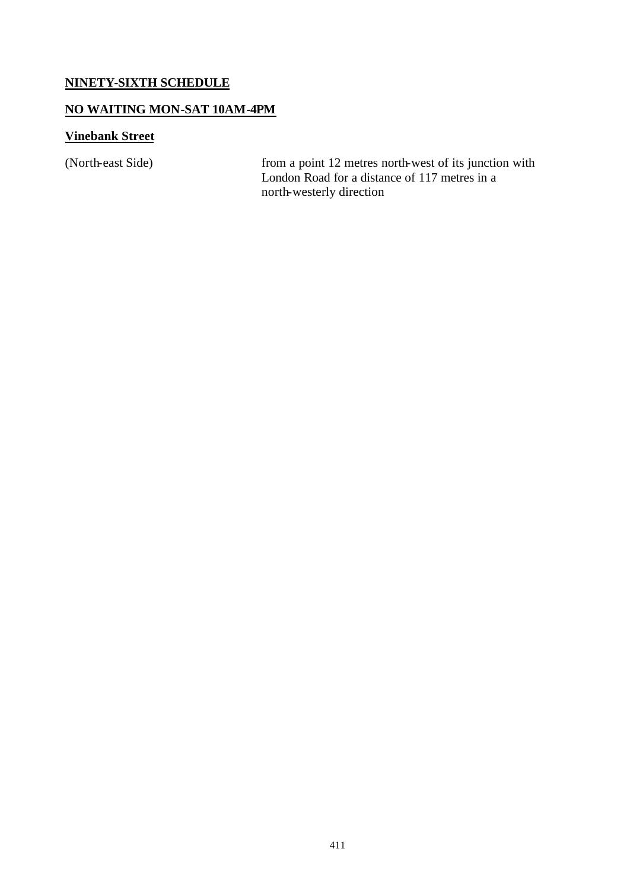### **NINETY-SIXTH SCHEDULE**

### **NO WAITING MON-SAT 10AM-4PM**

### **Vinebank Street**

(North-east Side) from a point 12 metres north-west of its junction with London Road for a distance of 117 metres in a north-westerly direction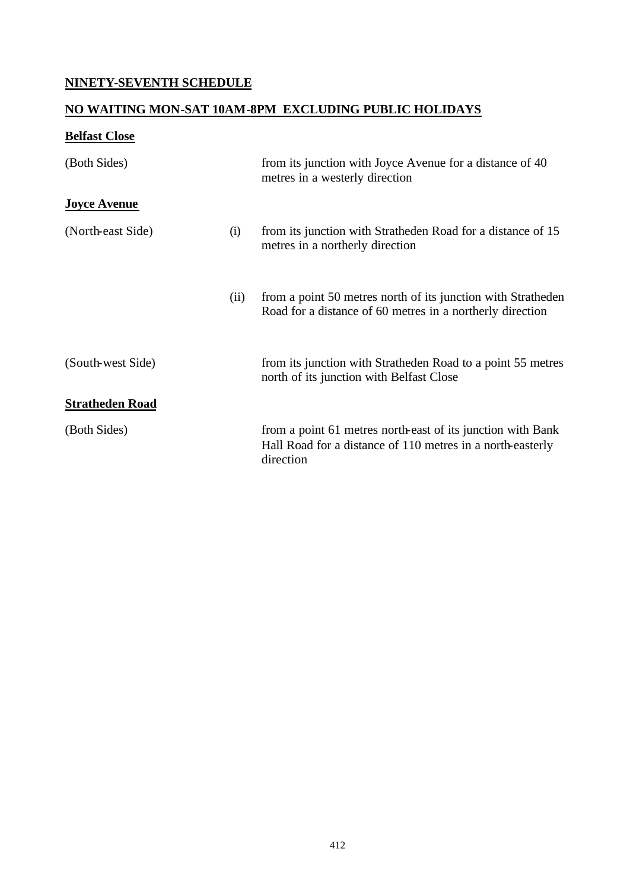## **NINETY-SEVENTH SCHEDULE**

## **NO WAITING MON-SAT 10AM-8PM EXCLUDING PUBLIC HOLIDAYS**

## **Belfast Close**

| (Both Sides)           |      | from its junction with Joyce Avenue for a distance of 40<br>metres in a westerly direction                                             |
|------------------------|------|----------------------------------------------------------------------------------------------------------------------------------------|
| <b>Joyce Avenue</b>    |      |                                                                                                                                        |
| (North-east Side)      | (i)  | from its junction with Stratheden Road for a distance of 15<br>metres in a northerly direction                                         |
|                        | (ii) | from a point 50 metres north of its junction with Stratheden<br>Road for a distance of 60 metres in a northerly direction              |
| (South-west Side)      |      | from its junction with Stratheden Road to a point 55 metres<br>north of its junction with Belfast Close                                |
| <b>Stratheden Road</b> |      |                                                                                                                                        |
| (Both Sides)           |      | from a point 61 metres north-east of its junction with Bank<br>Hall Road for a distance of 110 metres in a north-easterly<br>direction |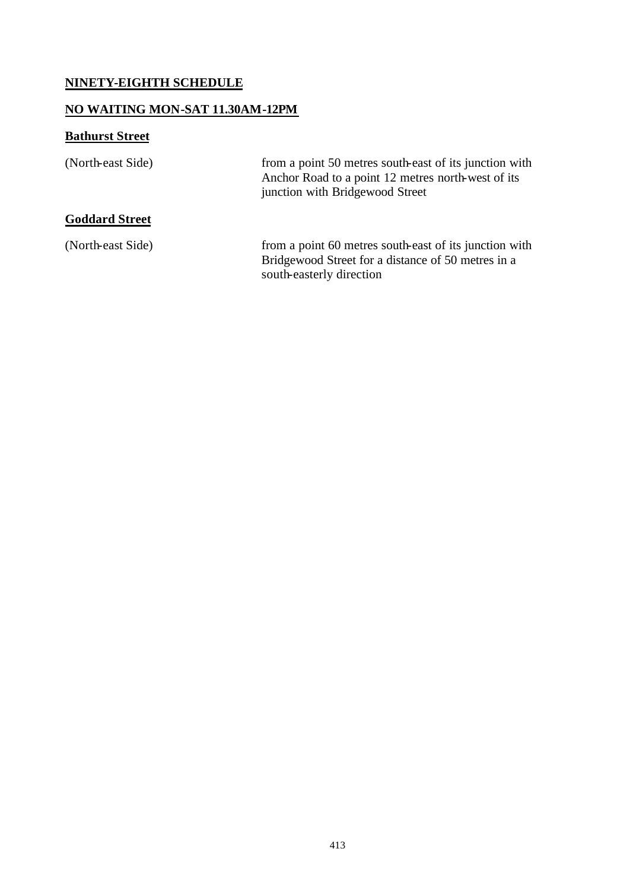## **NINETY-EIGHTH SCHEDULE**

### **NO WAITING MON-SAT 11.30AM-12PM**

# **Bathurst Street**

| (North-east Side)     | from a point 50 metres south-east of its junction with<br>Anchor Road to a point 12 metres north-west of its<br>junction with Bridgewood Street |
|-----------------------|-------------------------------------------------------------------------------------------------------------------------------------------------|
| <b>Goddard Street</b> |                                                                                                                                                 |
| (North-east Side)     | from a point 60 metres south-east of its junction with<br>Bridgewood Street for a distance of 50 metres in a<br>south-easterly direction        |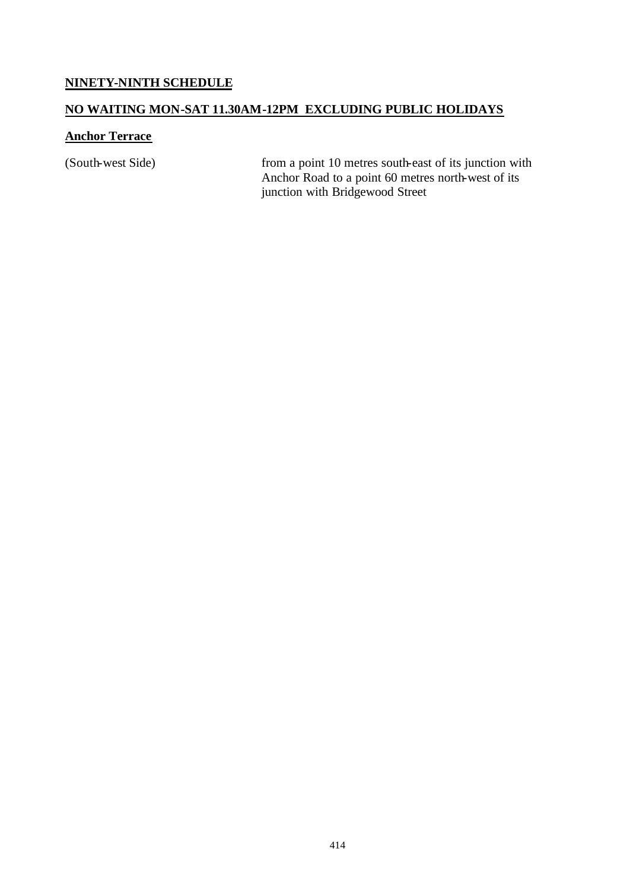### **NINETY-NINTH SCHEDULE**

#### **NO WAITING MON-SAT 11.30AM-12PM EXCLUDING PUBLIC HOLIDAYS**

#### **Anchor Terrace**

(South-west Side) from a point 10 metres south-east of its junction with Anchor Road to a point 60 metres north-west of its junction with Bridgewood Street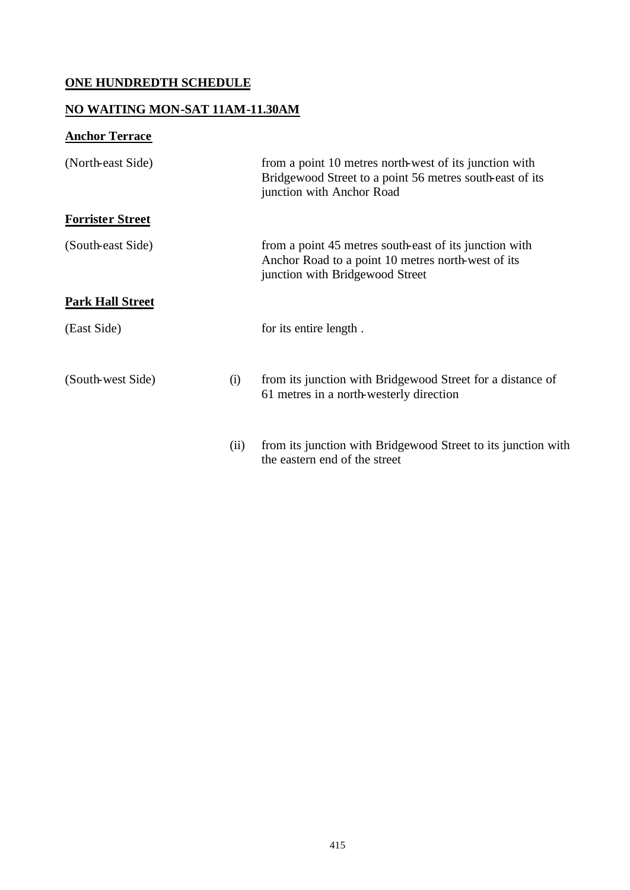## **ONE HUNDREDTH SCHEDULE**

### **NO WAITING MON-SAT 11AM-11.30AM**

# **Anchor Terrace**

| (North-east Side)       |      | from a point 10 metres north-west of its junction with<br>Bridgewood Street to a point 56 metres south-east of its<br>junction with Anchor Road |
|-------------------------|------|-------------------------------------------------------------------------------------------------------------------------------------------------|
| <b>Forrister Street</b> |      |                                                                                                                                                 |
| (South-east Side)       |      | from a point 45 metres south-east of its junction with<br>Anchor Road to a point 10 metres north-west of its<br>junction with Bridgewood Street |
| <b>Park Hall Street</b> |      |                                                                                                                                                 |
| (East Side)             |      | for its entire length.                                                                                                                          |
| (South-west Side)       | (i)  | from its junction with Bridgewood Street for a distance of<br>61 metres in a north-westerly direction                                           |
|                         | (ii) | from its junction with Bridgewood Street to its junction with<br>the eastern end of the street                                                  |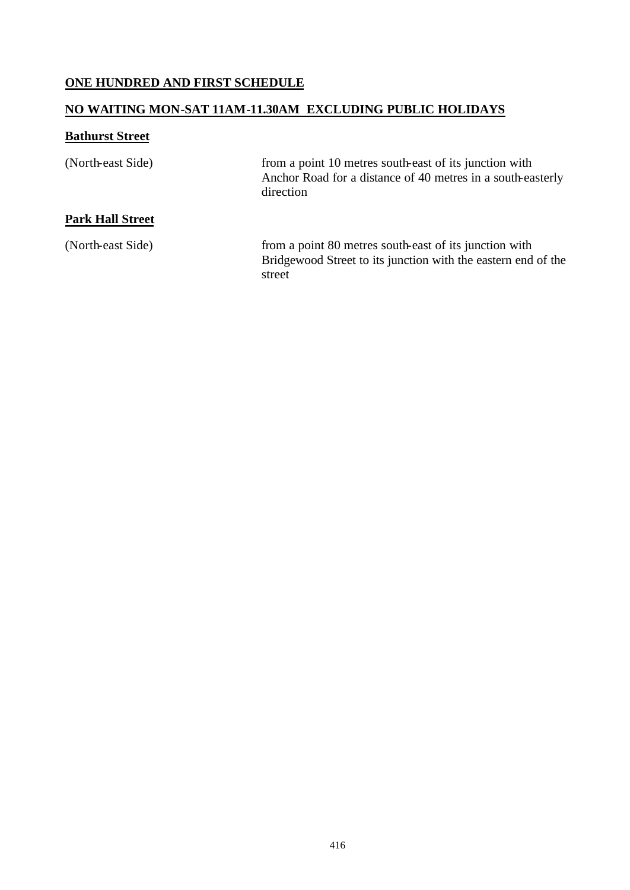## **ONE HUNDRED AND FIRST SCHEDULE**

### **NO WAITING MON-SAT 11AM-11.30AM EXCLUDING PUBLIC HOLIDAYS**

### **Bathurst Street**

| (North-east Side)       | from a point 10 metres south-east of its junction with<br>Anchor Road for a distance of 40 metres in a south-easterly<br>direction |
|-------------------------|------------------------------------------------------------------------------------------------------------------------------------|
| <b>Park Hall Street</b> |                                                                                                                                    |
| (North-east Side)       | from a point 80 metres south-east of its junction with<br>Bridgewood Street to its junction with the eastern end of the<br>street  |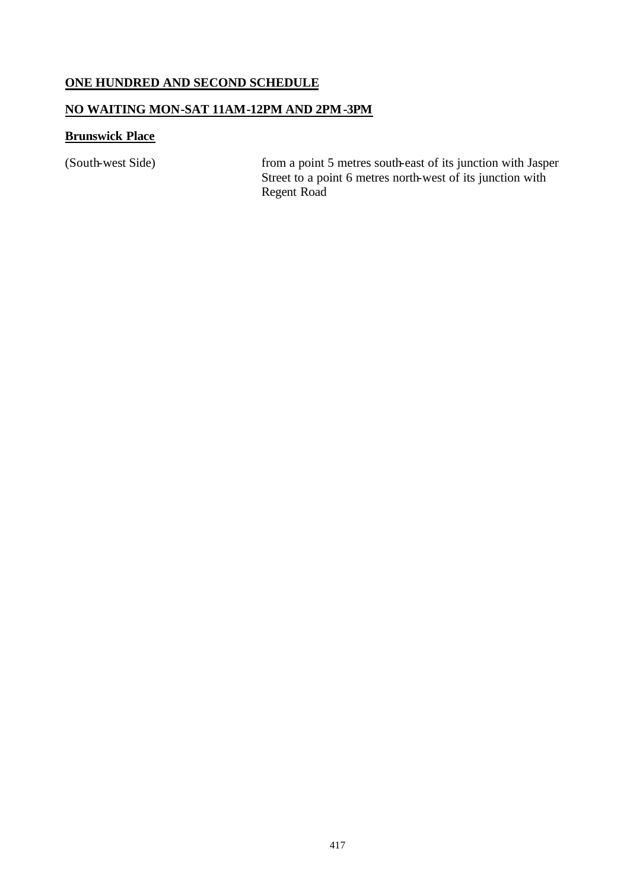### **ONE HUNDRED AND SECOND SCHEDULE**

### **NO WAITING MON-SAT 11AM-12PM AND 2PM-3PM**

### **Brunswick Place**

(South-west Side) from a point 5 metres south-east of its junction with Jasper Street to a point 6 metres north-west of its junction with Regent Road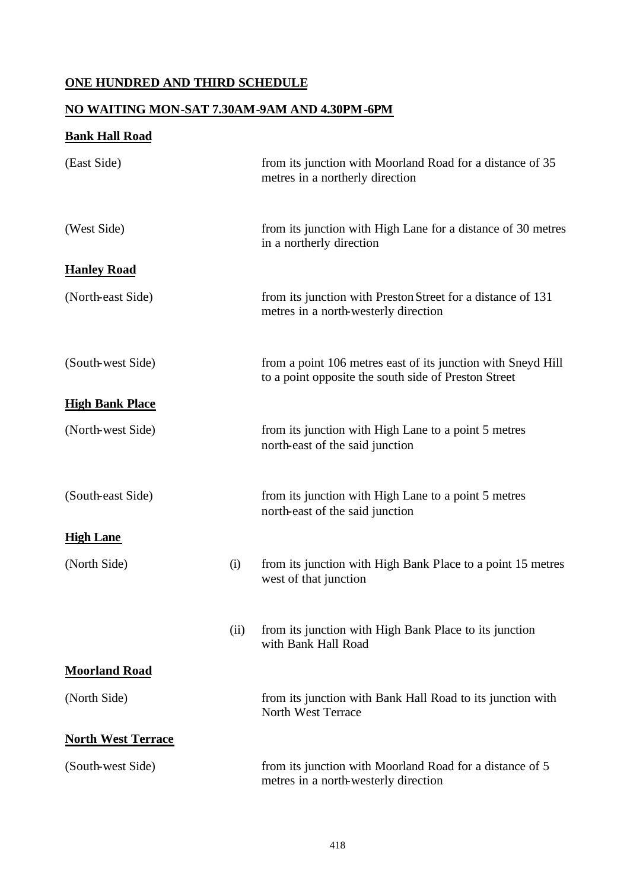## **ONE HUNDRED AND THIRD SCHEDULE**

### **NO WAITING MON-SAT 7.30AM-9AM AND 4.30PM-6PM**

## **Bank Hall Road**

| (East Side)               |     | from its junction with Moorland Road for a distance of 35<br>metres in a northerly direction                         |
|---------------------------|-----|----------------------------------------------------------------------------------------------------------------------|
| (West Side)               |     | from its junction with High Lane for a distance of 30 metres<br>in a northerly direction                             |
| <b>Hanley Road</b>        |     |                                                                                                                      |
| (North-east Side)         |     | from its junction with Preston Street for a distance of 131<br>metres in a north-westerly direction                  |
| (South-west Side)         |     | from a point 106 metres east of its junction with Sneyd Hill<br>to a point opposite the south side of Preston Street |
| <b>High Bank Place</b>    |     |                                                                                                                      |
| (North-west Side)         |     | from its junction with High Lane to a point 5 metres<br>north-east of the said junction                              |
| (South-east Side)         |     | from its junction with High Lane to a point 5 metres<br>north-east of the said junction                              |
| <b>High Lane</b>          |     |                                                                                                                      |
| (North Side)              | (i) | from its junction with High Bank Place to a point 15 metres<br>west of that junction                                 |
|                           | (i) | from its junction with High Bank Place to its junction<br>with Bank Hall Road                                        |
| <b>Moorland Road</b>      |     |                                                                                                                      |
| (North Side)              |     | from its junction with Bank Hall Road to its junction with<br>North West Terrace                                     |
| <b>North West Terrace</b> |     |                                                                                                                      |
| (South-west Side)         |     | from its junction with Moorland Road for a distance of 5<br>metres in a north-westerly direction                     |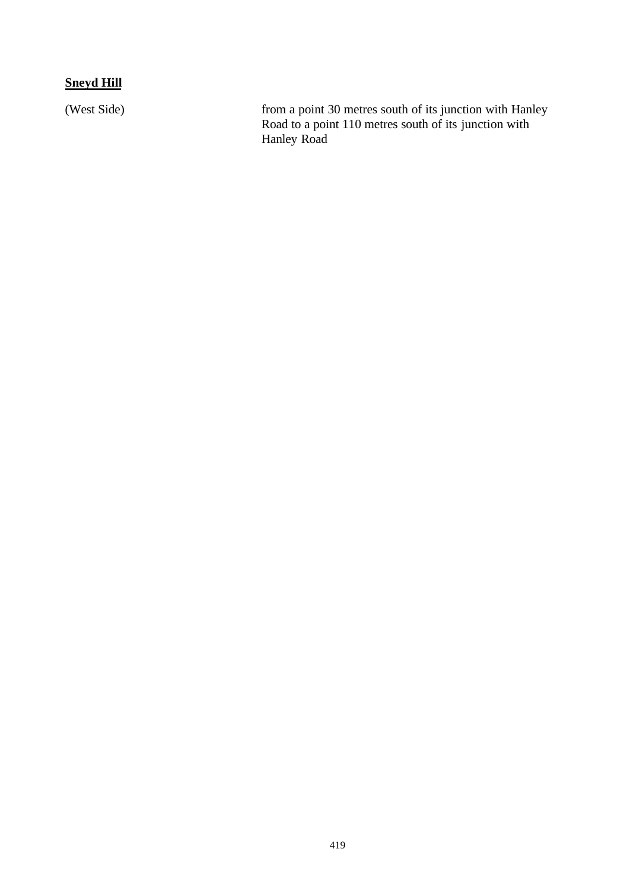## **Sneyd Hill**

(West Side) from a point 30 metres south of its junction with Hanley Road to a point 110 metres south of its junction with Hanley Road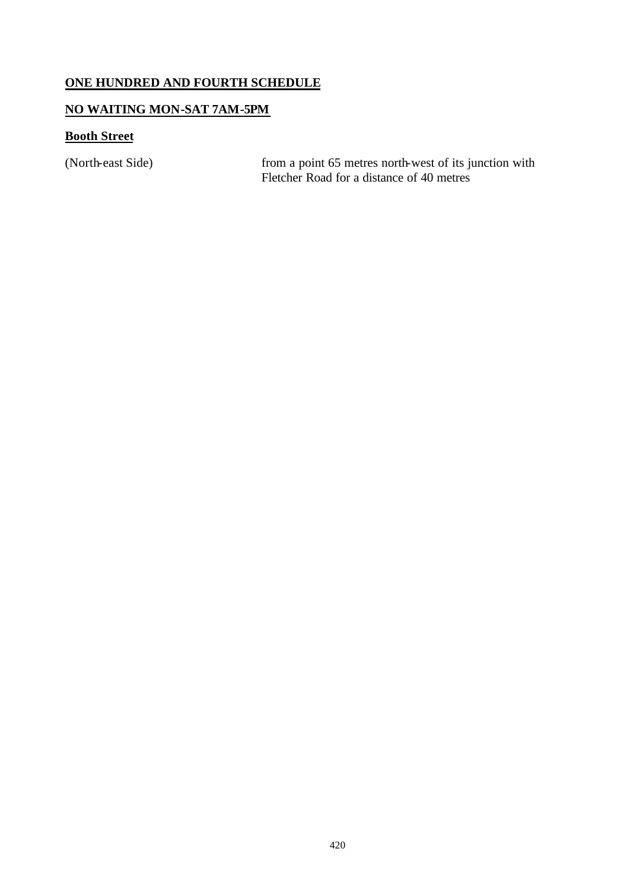## **ONE HUNDRED AND FOURTH SCHEDULE**

### **NO WAITING MON-SAT 7AM-5PM**

## **Booth Street**

(North-east Side) from a point 65 metres north-west of its junction with Fletcher Road for a distance of 40 metres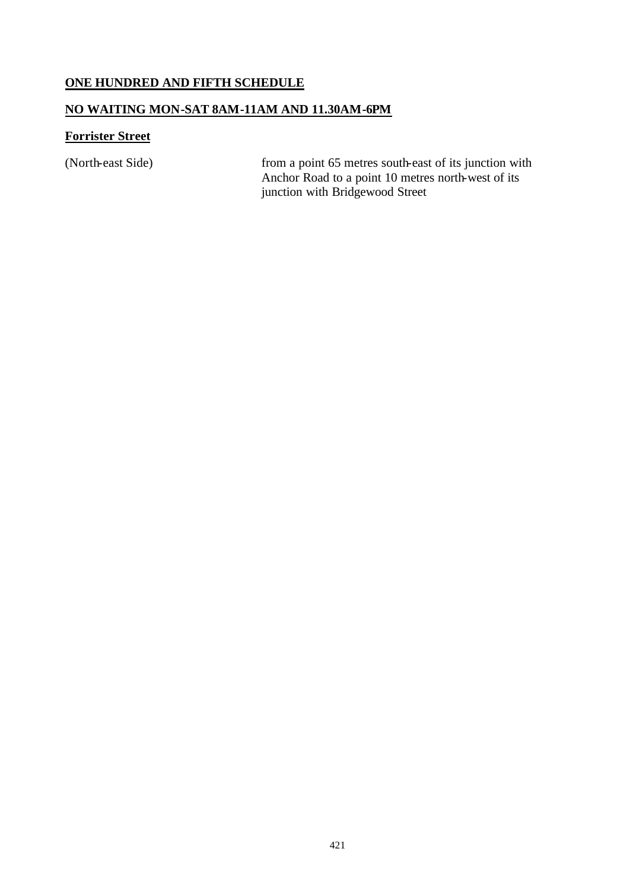### **ONE HUNDRED AND FIFTH SCHEDULE**

### **NO WAITING MON-SAT 8AM-11AM AND 11.30AM-6PM**

### **Forrister Street**

(North-east Side) from a point 65 metres south-east of its junction with Anchor Road to a point 10 metres north-west of its junction with Bridgewood Street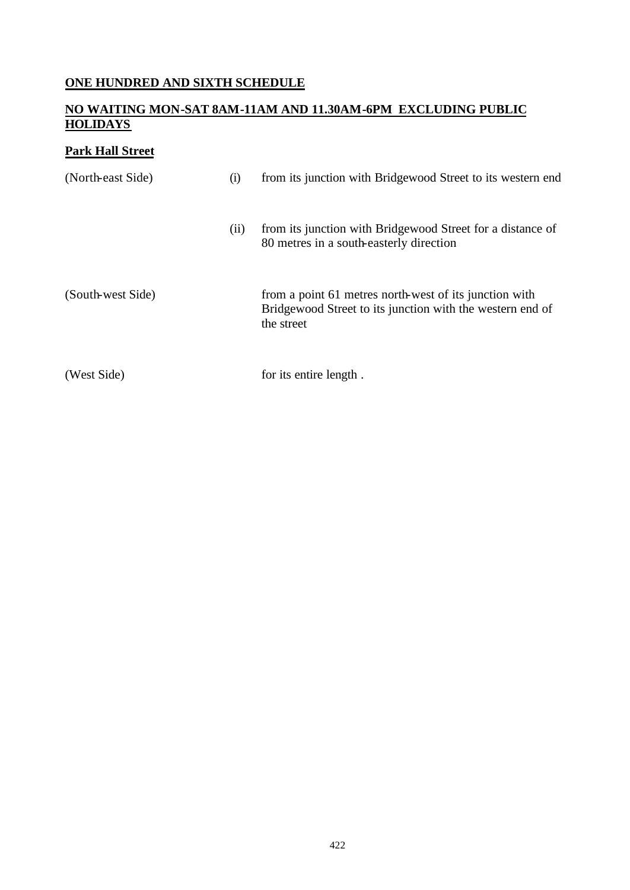# **ONE HUNDRED AND SIXTH SCHEDULE**

#### **NO WAITING MON-SAT 8AM-11AM AND 11.30AM-6PM EXCLUDING PUBLIC HOLIDAYS**

## **Park Hall Street**

| (North-east Side) | (i)  | from its junction with Bridgewood Street to its western end                                                                       |
|-------------------|------|-----------------------------------------------------------------------------------------------------------------------------------|
|                   | (ii) | from its junction with Bridgewood Street for a distance of<br>80 metres in a south-easterly direction                             |
| (South-west Side) |      | from a point 61 metres north-west of its junction with<br>Bridgewood Street to its junction with the western end of<br>the street |
| (West Side)       |      | for its entire length.                                                                                                            |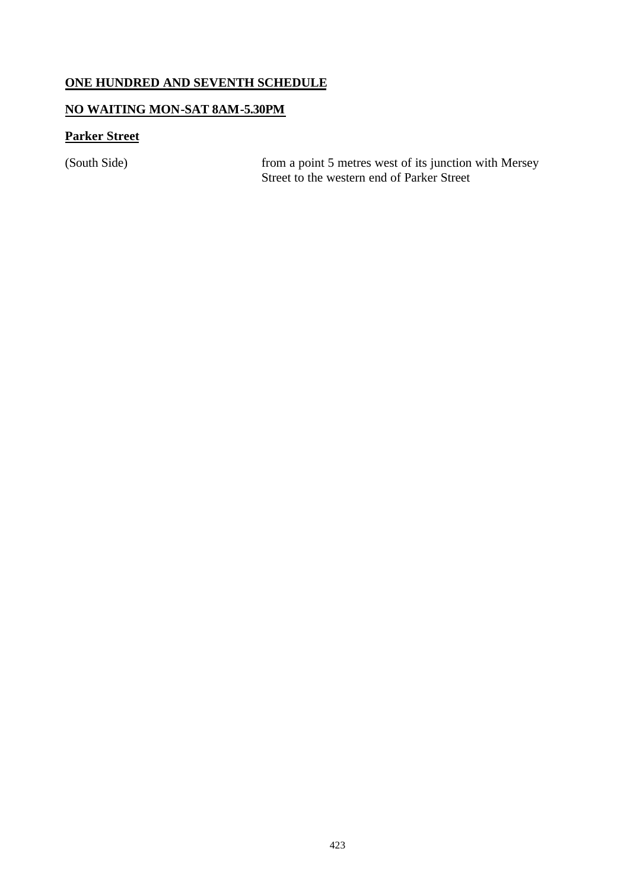## **ONE HUNDRED AND SEVENTH SCHEDULE**

### **NO WAITING MON-SAT 8AM-5.30PM**

## **Parker Street**

(South Side) from a point 5 metres west of its junction with Mersey Street to the western end of Parker Street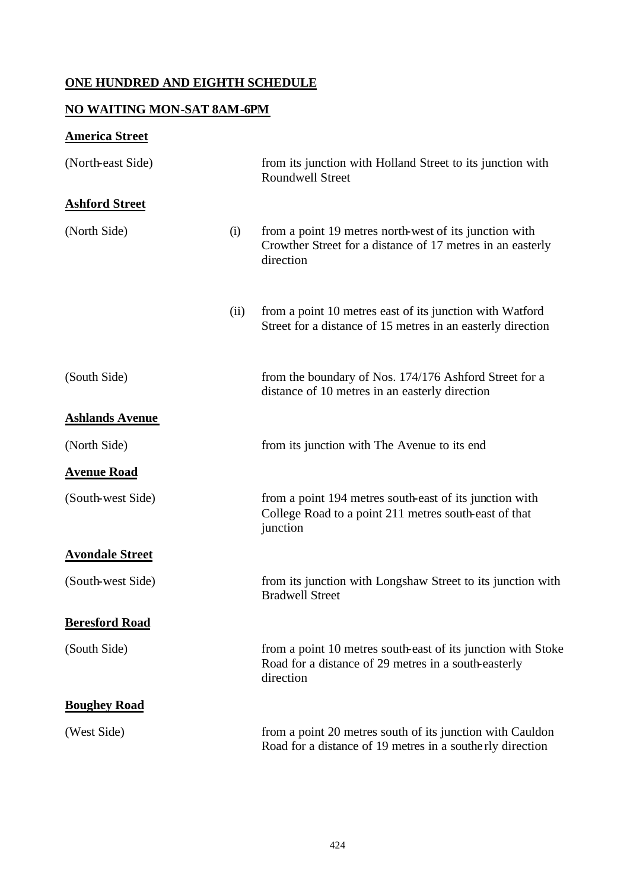## **ONE HUNDRED AND EIGHTH SCHEDULE**

## **NO WAITING MON-SAT 8AM-6PM**

# **America Street**

| (North-east Side)      |      | from its junction with Holland Street to its junction with<br><b>Roundwell Street</b>                                             |
|------------------------|------|-----------------------------------------------------------------------------------------------------------------------------------|
| <b>Ashford Street</b>  |      |                                                                                                                                   |
| (North Side)           | (i)  | from a point 19 metres north-west of its junction with<br>Crowther Street for a distance of 17 metres in an easterly<br>direction |
|                        | (ii) | from a point 10 metres east of its junction with Watford<br>Street for a distance of 15 metres in an easterly direction           |
| (South Side)           |      | from the boundary of Nos. 174/176 Ashford Street for a<br>distance of 10 metres in an easterly direction                          |
| <b>Ashlands Avenue</b> |      |                                                                                                                                   |
| (North Side)           |      | from its junction with The Avenue to its end                                                                                      |
| <b>Avenue Road</b>     |      |                                                                                                                                   |
| (South-west Side)      |      | from a point 194 metres south-east of its junction with<br>College Road to a point 211 metres south-east of that<br>junction      |
| <b>Avondale Street</b> |      |                                                                                                                                   |
| (South-west Side)      |      | from its junction with Longshaw Street to its junction with<br><b>Bradwell Street</b>                                             |
| <b>Beresford Road</b>  |      |                                                                                                                                   |
| (South Side)           |      | from a point 10 metres south-east of its junction with Stoke<br>Road for a distance of 29 metres in a south-easterly<br>direction |
| <b>Boughey Road</b>    |      |                                                                                                                                   |
| (West Side)            |      | from a point 20 metres south of its junction with Cauldon<br>Road for a distance of 19 metres in a southerly direction            |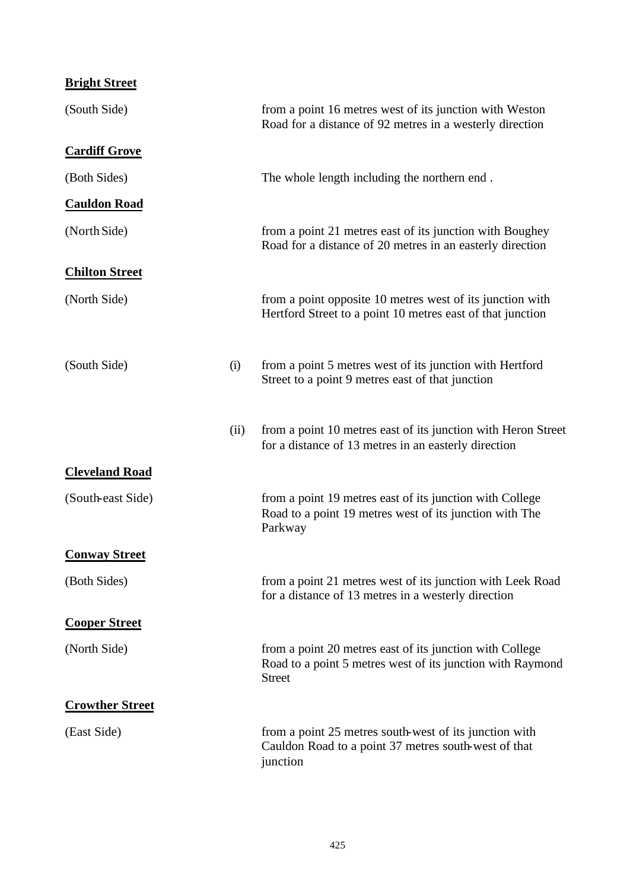| <b>Bright Street</b>   |      |                                                                                                                                         |
|------------------------|------|-----------------------------------------------------------------------------------------------------------------------------------------|
| (South Side)           |      | from a point 16 metres west of its junction with Weston<br>Road for a distance of 92 metres in a westerly direction                     |
| <b>Cardiff Grove</b>   |      |                                                                                                                                         |
| (Both Sides)           |      | The whole length including the northern end.                                                                                            |
| <b>Cauldon Road</b>    |      |                                                                                                                                         |
| (North Side)           |      | from a point 21 metres east of its junction with Boughey<br>Road for a distance of 20 metres in an easterly direction                   |
| <b>Chilton Street</b>  |      |                                                                                                                                         |
| (North Side)           |      | from a point opposite 10 metres west of its junction with<br>Hertford Street to a point 10 metres east of that junction                 |
| (South Side)           | (i)  | from a point 5 metres west of its junction with Hertford<br>Street to a point 9 metres east of that junction                            |
|                        | (ii) | from a point 10 metres east of its junction with Heron Street<br>for a distance of 13 metres in an easterly direction                   |
| <b>Cleveland Road</b>  |      |                                                                                                                                         |
| (South-east Side)      |      | from a point 19 metres east of its junction with College<br>Road to a point 19 metres west of its junction with The<br>Parkway          |
| <b>Conway Street</b>   |      |                                                                                                                                         |
| (Both Sides)           |      | from a point 21 metres west of its junction with Leek Road<br>for a distance of 13 metres in a westerly direction                       |
| <b>Cooper Street</b>   |      |                                                                                                                                         |
| (North Side)           |      | from a point 20 metres east of its junction with College<br>Road to a point 5 metres west of its junction with Raymond<br><b>Street</b> |
| <b>Crowther Street</b> |      |                                                                                                                                         |
| (East Side)            |      | from a point 25 metres south-west of its junction with<br>Cauldon Road to a point 37 metres south-west of that<br>junction              |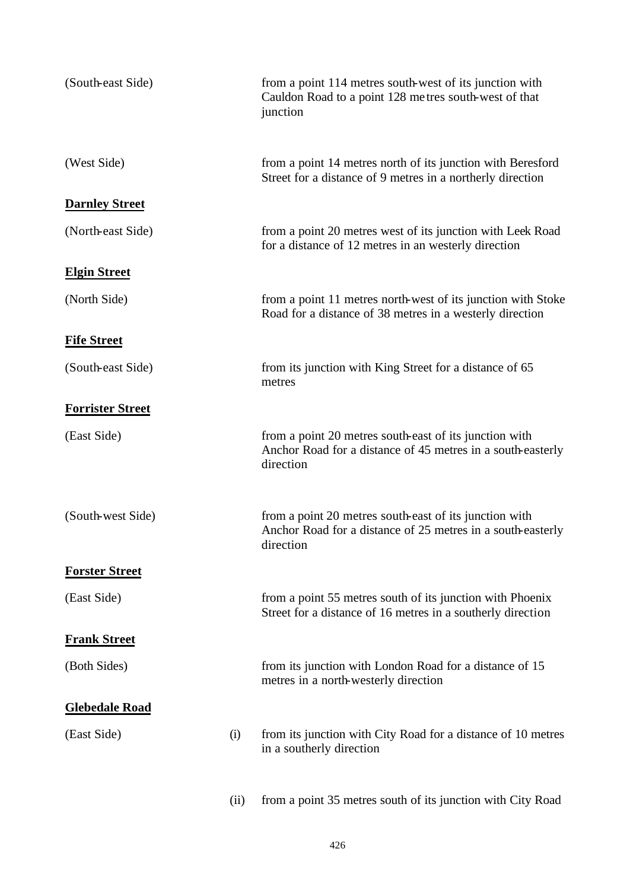| (South-east Side)       |      | from a point 114 metres south-west of its junction with<br>Cauldon Road to a point 128 metres south-west of that<br>junction       |
|-------------------------|------|------------------------------------------------------------------------------------------------------------------------------------|
| (West Side)             |      | from a point 14 metres north of its junction with Beresford<br>Street for a distance of 9 metres in a northerly direction          |
| <b>Darnley Street</b>   |      |                                                                                                                                    |
| (North-east Side)       |      | from a point 20 metres west of its junction with Leek Road<br>for a distance of 12 metres in an westerly direction                 |
| <b>Elgin Street</b>     |      |                                                                                                                                    |
| (North Side)            |      | from a point 11 metres north-west of its junction with Stoke<br>Road for a distance of 38 metres in a westerly direction           |
| <b>Fife Street</b>      |      |                                                                                                                                    |
| (South-east Side)       |      | from its junction with King Street for a distance of 65<br>metres                                                                  |
| <b>Forrister Street</b> |      |                                                                                                                                    |
| (East Side)             |      | from a point 20 metres south-east of its junction with<br>Anchor Road for a distance of 45 metres in a south-easterly<br>direction |
| (South-west Side)       |      | from a point 20 metres south-east of its junction with<br>Anchor Road for a distance of 25 metres in a south-easterly<br>direction |
| <b>Forster Street</b>   |      |                                                                                                                                    |
| (East Side)             |      | from a point 55 metres south of its junction with Phoenix<br>Street for a distance of 16 metres in a southerly direction           |
| <b>Frank Street</b>     |      |                                                                                                                                    |
| (Both Sides)            |      | from its junction with London Road for a distance of 15<br>metres in a north-westerly direction                                    |
| <b>Glebedale Road</b>   |      |                                                                                                                                    |
| (East Side)             | (i)  | from its junction with City Road for a distance of 10 metres<br>in a southerly direction                                           |
|                         | (ii) | from a point 35 metres south of its junction with City Road                                                                        |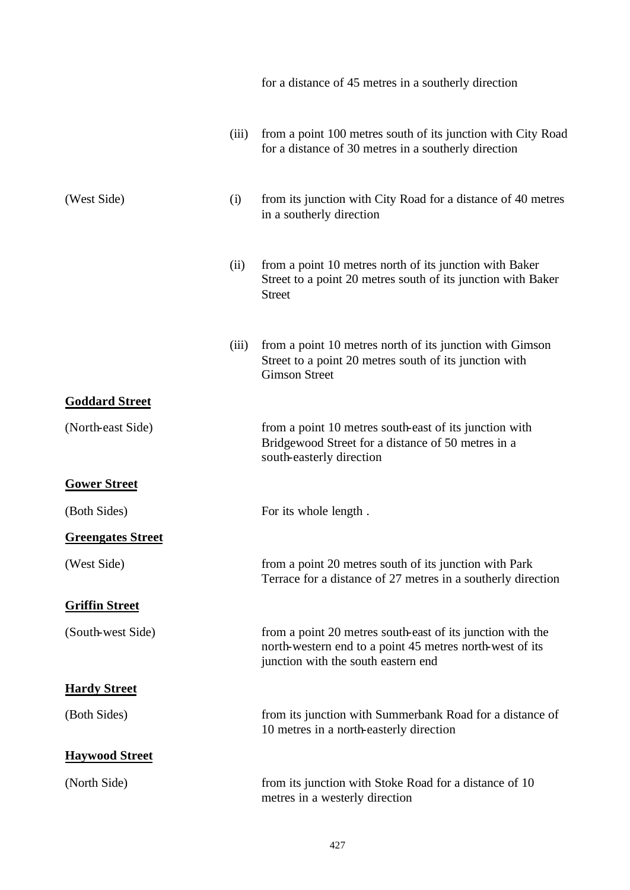|                          |       | for a distance of 45 metres in a southerly direction                                                                                                          |
|--------------------------|-------|---------------------------------------------------------------------------------------------------------------------------------------------------------------|
|                          | (iii) | from a point 100 metres south of its junction with City Road<br>for a distance of 30 metres in a southerly direction                                          |
| (West Side)              | (i)   | from its junction with City Road for a distance of 40 metres<br>in a southerly direction                                                                      |
|                          | (ii)  | from a point 10 metres north of its junction with Baker<br>Street to a point 20 metres south of its junction with Baker<br><b>Street</b>                      |
|                          | (iii) | from a point 10 metres north of its junction with Gimson<br>Street to a point 20 metres south of its junction with<br><b>Gimson Street</b>                    |
| <b>Goddard Street</b>    |       |                                                                                                                                                               |
| (North-east Side)        |       | from a point 10 metres south-east of its junction with<br>Bridgewood Street for a distance of 50 metres in a<br>south-easterly direction                      |
| <b>Gower Street</b>      |       |                                                                                                                                                               |
| (Both Sides)             |       | For its whole length.                                                                                                                                         |
| <b>Greengates Street</b> |       |                                                                                                                                                               |
| (West Side)              |       | from a point 20 metres south of its junction with Park<br>Terrace for a distance of 27 metres in a southerly direction                                        |
| <b>Griffin Street</b>    |       |                                                                                                                                                               |
| (South-west Side)        |       | from a point 20 metres south-east of its junction with the<br>north-western end to a point 45 metres north-west of its<br>junction with the south eastern end |
| <b>Hardy Street</b>      |       |                                                                                                                                                               |
| (Both Sides)             |       | from its junction with Summerbank Road for a distance of<br>10 metres in a north-easterly direction                                                           |
| <b>Haywood Street</b>    |       |                                                                                                                                                               |
| (North Side)             |       | from its junction with Stoke Road for a distance of 10<br>metres in a westerly direction                                                                      |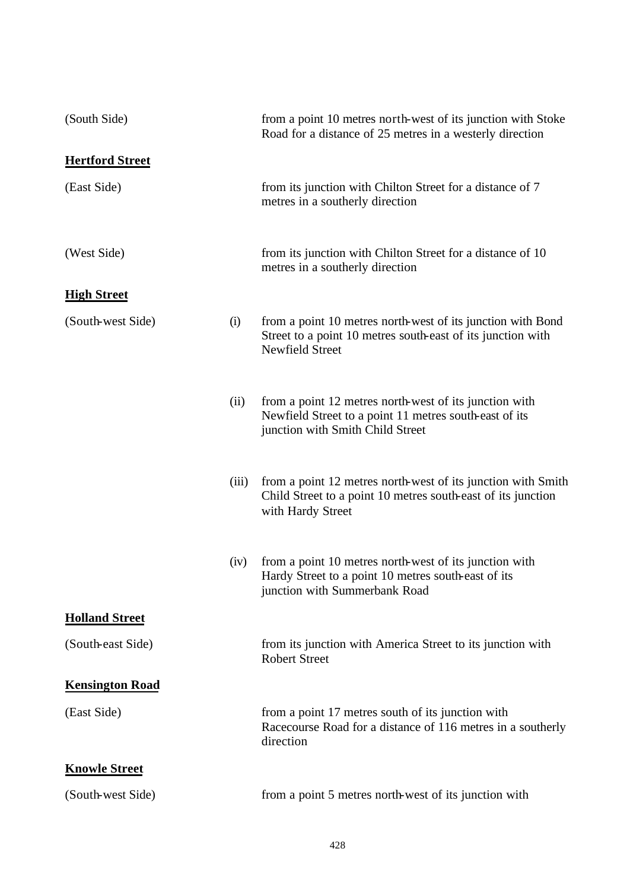| (South Side)           |       | from a point 10 metres north-west of its junction with Stoke<br>Road for a distance of 25 metres in a westerly direction                             |
|------------------------|-------|------------------------------------------------------------------------------------------------------------------------------------------------------|
| <b>Hertford Street</b> |       |                                                                                                                                                      |
| (East Side)            |       | from its junction with Chilton Street for a distance of 7<br>metres in a southerly direction                                                         |
| (West Side)            |       | from its junction with Chilton Street for a distance of 10<br>metres in a southerly direction                                                        |
| <b>High Street</b>     |       |                                                                                                                                                      |
| (South-west Side)      | (i)   | from a point 10 metres north-west of its junction with Bond<br>Street to a point 10 metres south-east of its junction with<br><b>Newfield Street</b> |
|                        | (ii)  | from a point 12 metres north-west of its junction with<br>Newfield Street to a point 11 metres south-east of its<br>junction with Smith Child Street |
|                        | (iii) | from a point 12 metres north-west of its junction with Smith<br>Child Street to a point 10 metres south-east of its junction<br>with Hardy Street    |
|                        | (iv)  | from a point 10 metres north-west of its junction with<br>Hardy Street to a point 10 metres south-east of its<br>junction with Summerbank Road       |
| <b>Holland Street</b>  |       |                                                                                                                                                      |
| (South-east Side)      |       | from its junction with America Street to its junction with<br><b>Robert Street</b>                                                                   |
| <b>Kensington Road</b> |       |                                                                                                                                                      |
| (East Side)            |       | from a point 17 metres south of its junction with<br>Racecourse Road for a distance of 116 metres in a southerly<br>direction                        |
| <b>Knowle Street</b>   |       |                                                                                                                                                      |
| (South-west Side)      |       | from a point 5 metres north-west of its junction with                                                                                                |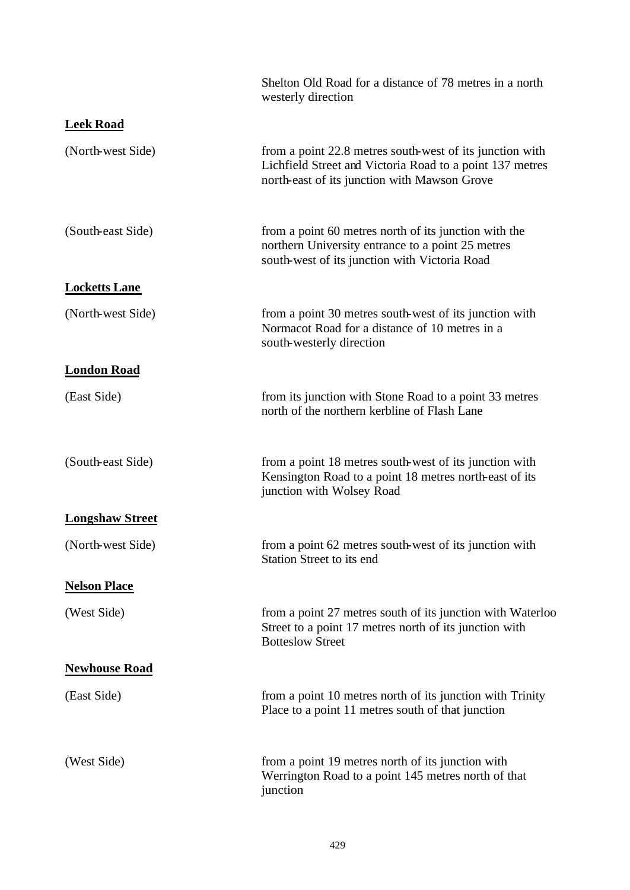|                        | Shelton Old Road for a distance of 78 metres in a north<br>westerly direction                                                                                        |
|------------------------|----------------------------------------------------------------------------------------------------------------------------------------------------------------------|
| <b>Leek Road</b>       |                                                                                                                                                                      |
| (North-west Side)      | from a point 22.8 metres south-west of its junction with<br>Lichfield Street and Victoria Road to a point 137 metres<br>north-east of its junction with Mawson Grove |
| (South-east Side)      | from a point 60 metres north of its junction with the<br>northern University entrance to a point 25 metres<br>south-west of its junction with Victoria Road          |
| <b>Locketts Lane</b>   |                                                                                                                                                                      |
| (North-west Side)      | from a point 30 metres south-west of its junction with<br>Normacot Road for a distance of 10 metres in a<br>south-westerly direction                                 |
| <b>London Road</b>     |                                                                                                                                                                      |
| (East Side)            | from its junction with Stone Road to a point 33 metres<br>north of the northern kerbline of Flash Lane                                                               |
| (South-east Side)      | from a point 18 metres south-west of its junction with<br>Kensington Road to a point 18 metres north-east of its<br>junction with Wolsey Road                        |
| <b>Longshaw Street</b> |                                                                                                                                                                      |
| (North-west Side)      | from a point 62 metres south-west of its junction with<br>Station Street to its end                                                                                  |
| <b>Nelson Place</b>    |                                                                                                                                                                      |
| (West Side)            | from a point 27 metres south of its junction with Waterloo<br>Street to a point 17 metres north of its junction with<br><b>Botteslow Street</b>                      |
| <b>Newhouse Road</b>   |                                                                                                                                                                      |
| (East Side)            | from a point 10 metres north of its junction with Trinity<br>Place to a point 11 metres south of that junction                                                       |
| (West Side)            | from a point 19 metres north of its junction with<br>Werrington Road to a point 145 metres north of that<br>junction                                                 |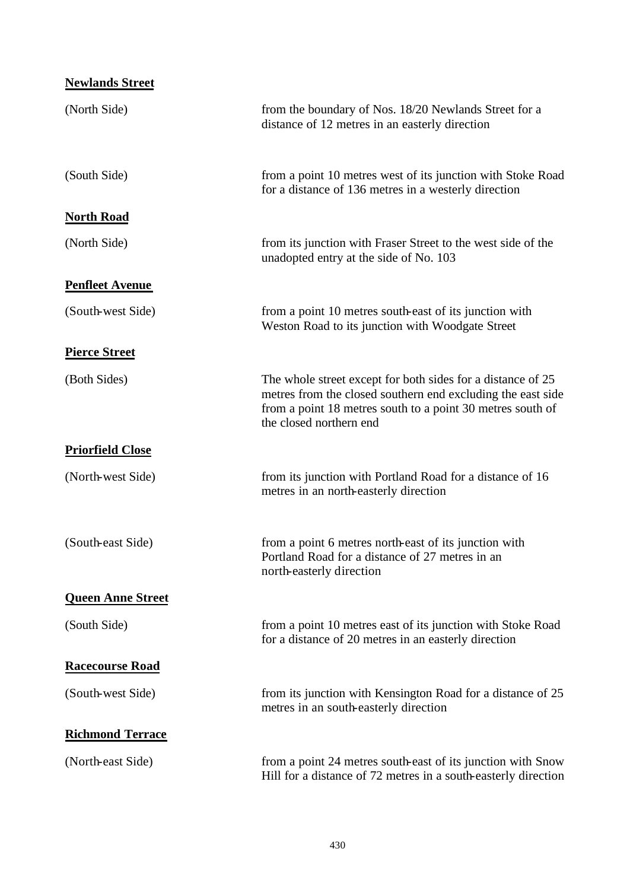| <b>Newlands Street</b>   |                                                                                                                                                                                                                     |
|--------------------------|---------------------------------------------------------------------------------------------------------------------------------------------------------------------------------------------------------------------|
| (North Side)             | from the boundary of Nos. 18/20 Newlands Street for a<br>distance of 12 metres in an easterly direction                                                                                                             |
| (South Side)             | from a point 10 metres west of its junction with Stoke Road<br>for a distance of 136 metres in a westerly direction                                                                                                 |
| <b>North Road</b>        |                                                                                                                                                                                                                     |
| (North Side)             | from its junction with Fraser Street to the west side of the<br>unadopted entry at the side of No. 103                                                                                                              |
| <b>Penfleet Avenue</b>   |                                                                                                                                                                                                                     |
| (South-west Side)        | from a point 10 metres south-east of its junction with<br>Weston Road to its junction with Woodgate Street                                                                                                          |
| <b>Pierce Street</b>     |                                                                                                                                                                                                                     |
| (Both Sides)             | The whole street except for both sides for a distance of 25<br>metres from the closed southern end excluding the east side<br>from a point 18 metres south to a point 30 metres south of<br>the closed northern end |
| <b>Priorfield Close</b>  |                                                                                                                                                                                                                     |
| (North-west Side)        | from its junction with Portland Road for a distance of 16<br>metres in an north-easterly direction                                                                                                                  |
| (South-east Side)        | from a point 6 metres north-east of its junction with<br>Portland Road for a distance of 27 metres in an<br>north-easterly direction                                                                                |
| <b>Queen Anne Street</b> |                                                                                                                                                                                                                     |
| (South Side)             | from a point 10 metres east of its junction with Stoke Road<br>for a distance of 20 metres in an easterly direction                                                                                                 |
| <b>Racecourse Road</b>   |                                                                                                                                                                                                                     |
| (South-west Side)        | from its junction with Kensington Road for a distance of 25<br>metres in an south-easterly direction                                                                                                                |
| <b>Richmond Terrace</b>  |                                                                                                                                                                                                                     |
| (North-east Side)        | from a point 24 metres south-east of its junction with Snow<br>Hill for a distance of 72 metres in a south-easterly direction                                                                                       |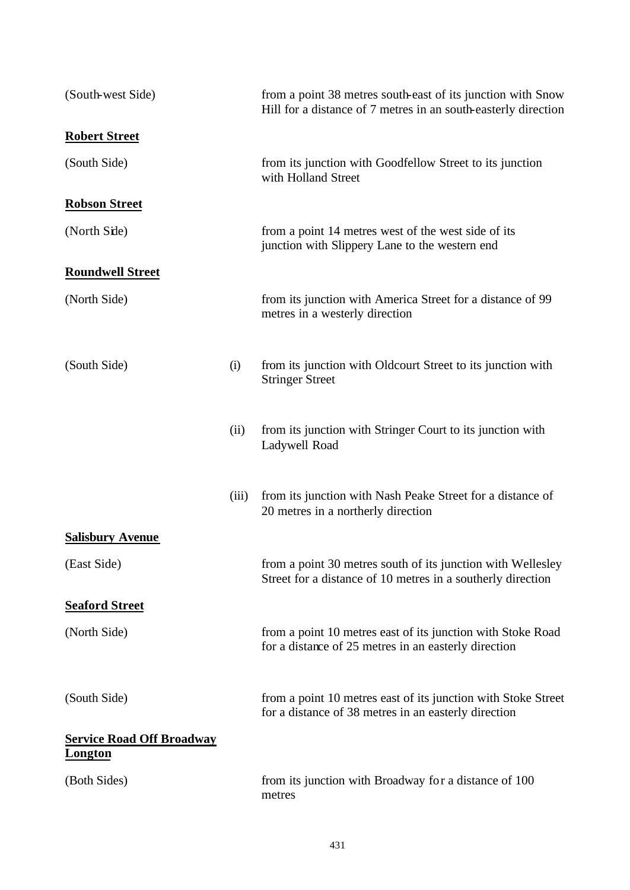| (South-west Side)                                  |       | from a point 38 metres south-east of its junction with Snow<br>Hill for a distance of 7 metres in an south-easterly direction |
|----------------------------------------------------|-------|-------------------------------------------------------------------------------------------------------------------------------|
| <b>Robert Street</b>                               |       |                                                                                                                               |
| (South Side)                                       |       | from its junction with Goodfellow Street to its junction<br>with Holland Street                                               |
| <b>Robson Street</b>                               |       |                                                                                                                               |
| (North Side)                                       |       | from a point 14 metres west of the west side of its<br>junction with Slippery Lane to the western end                         |
| <b>Roundwell Street</b>                            |       |                                                                                                                               |
| (North Side)                                       |       | from its junction with America Street for a distance of 99<br>metres in a westerly direction                                  |
| (South Side)                                       | (i)   | from its junction with Oldcourt Street to its junction with<br><b>Stringer Street</b>                                         |
|                                                    | (ii)  | from its junction with Stringer Court to its junction with<br>Ladywell Road                                                   |
|                                                    | (iii) | from its junction with Nash Peake Street for a distance of<br>20 metres in a northerly direction                              |
| <b>Salisbury Avenue</b>                            |       |                                                                                                                               |
| (East Side)                                        |       | from a point 30 metres south of its junction with Wellesley<br>Street for a distance of 10 metres in a southerly direction    |
| <b>Seaford Street</b>                              |       |                                                                                                                               |
| (North Side)                                       |       | from a point 10 metres east of its junction with Stoke Road<br>for a distance of 25 metres in an easterly direction           |
| (South Side)                                       |       | from a point 10 metres east of its junction with Stoke Street<br>for a distance of 38 metres in an easterly direction         |
| <b>Service Road Off Broadway</b><br><b>Longton</b> |       |                                                                                                                               |
| (Both Sides)                                       |       | from its junction with Broadway for a distance of 100<br>metres                                                               |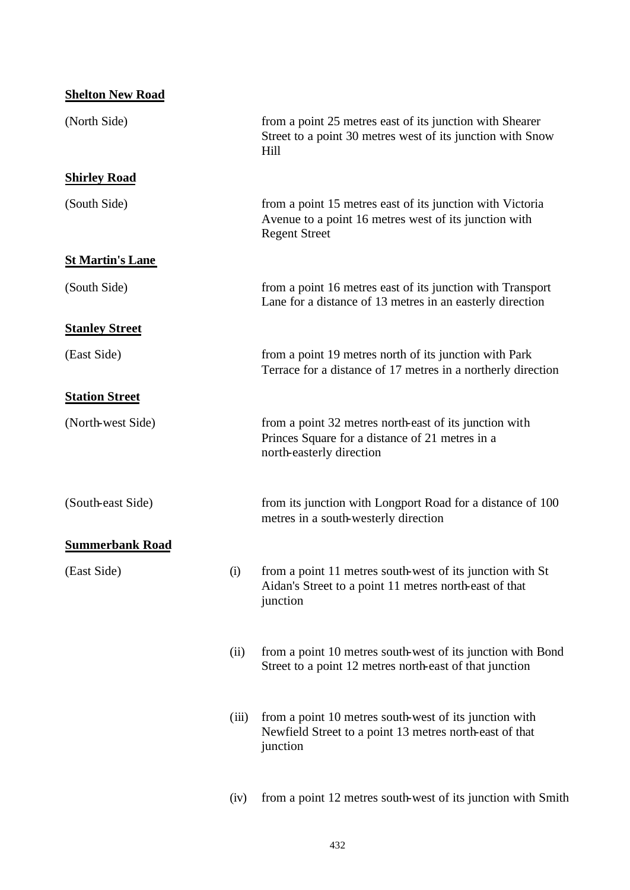| <b>Shelton New Road</b> |       |                                                                                                                                            |
|-------------------------|-------|--------------------------------------------------------------------------------------------------------------------------------------------|
| (North Side)            |       | from a point 25 metres east of its junction with Shearer<br>Street to a point 30 metres west of its junction with Snow<br>Hill             |
| <b>Shirley Road</b>     |       |                                                                                                                                            |
| (South Side)            |       | from a point 15 metres east of its junction with Victoria<br>Avenue to a point 16 metres west of its junction with<br><b>Regent Street</b> |
| <b>St Martin's Lane</b> |       |                                                                                                                                            |
| (South Side)            |       | from a point 16 metres east of its junction with Transport<br>Lane for a distance of 13 metres in an easterly direction                    |
| <b>Stanley Street</b>   |       |                                                                                                                                            |
| (East Side)             |       | from a point 19 metres north of its junction with Park<br>Terrace for a distance of 17 metres in a northerly direction                     |
| <b>Station Street</b>   |       |                                                                                                                                            |
| (North-west Side)       |       | from a point 32 metres north-east of its junction with<br>Princes Square for a distance of 21 metres in a<br>north-easterly direction      |
| (South-east Side)       |       | from its junction with Longport Road for a distance of 100<br>metres in a south-westerly direction                                         |
| <b>Summerbank Road</b>  |       |                                                                                                                                            |
| (East Side)             | (i)   | from a point 11 metres south-west of its junction with St<br>Aidan's Street to a point 11 metres north-east of that<br>junction            |
|                         | (ii)  | from a point 10 metres south-west of its junction with Bond<br>Street to a point 12 metres north-east of that junction                     |
|                         | (iii) | from a point 10 metres south-west of its junction with<br>Newfield Street to a point 13 metres north-east of that<br>junction              |
|                         | (iv)  | from a point 12 metres south-west of its junction with Smith                                                                               |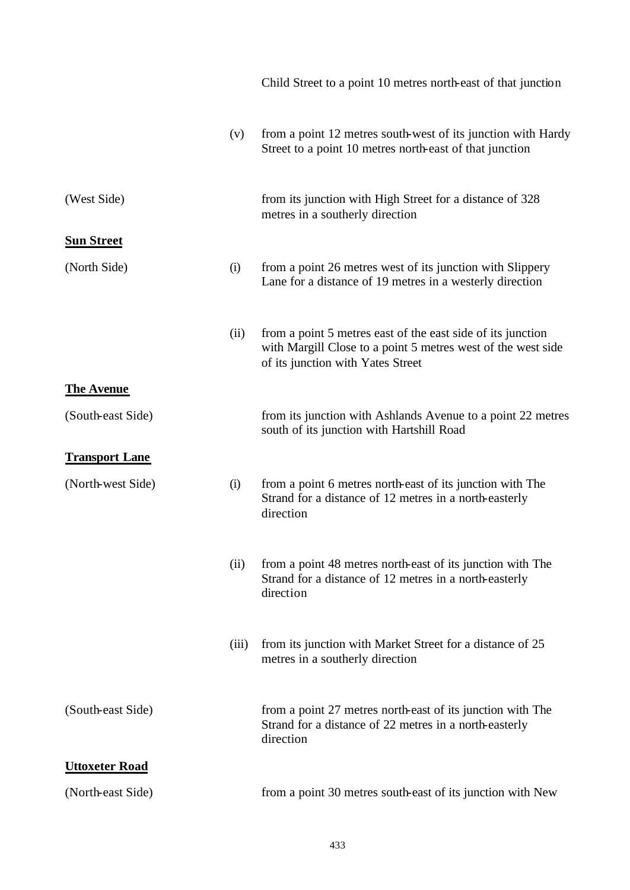|                       |       | Child Street to a point 10 metres north-east of that junction                                                                                                    |
|-----------------------|-------|------------------------------------------------------------------------------------------------------------------------------------------------------------------|
|                       | (v)   | from a point 12 metres south-west of its junction with Hardy<br>Street to a point 10 metres north-east of that junction                                          |
| (West Side)           |       | from its junction with High Street for a distance of 328<br>metres in a southerly direction                                                                      |
| <b>Sun Street</b>     |       |                                                                                                                                                                  |
| (North Side)          | (i)   | from a point 26 metres west of its junction with Slippery<br>Lane for a distance of 19 metres in a westerly direction                                            |
|                       | (ii)  | from a point 5 metres east of the east side of its junction<br>with Margill Close to a point 5 metres west of the west side<br>of its junction with Yates Street |
| <b>The Avenue</b>     |       |                                                                                                                                                                  |
| (South-east Side)     |       | from its junction with Ashlands Avenue to a point 22 metres<br>south of its junction with Hartshill Road                                                         |
| <b>Transport Lane</b> |       |                                                                                                                                                                  |
| (North-west Side)     | (i)   | from a point 6 metres north-east of its junction with The<br>Strand for a distance of 12 metres in a north-easterly<br>direction                                 |
|                       | (ii)  | from a point 48 metres north-east of its junction with The<br>Strand for a distance of 12 metres in a north-easterly<br>direction                                |
|                       | (iii) | from its junction with Market Street for a distance of 25<br>metres in a southerly direction                                                                     |
| (South-east Side)     |       | from a point 27 metres north-east of its junction with The<br>Strand for a distance of 22 metres in a north-easterly<br>direction                                |
| <b>Uttoxeter Road</b> |       |                                                                                                                                                                  |
| (North-east Side)     |       | from a point 30 metres south-east of its junction with New                                                                                                       |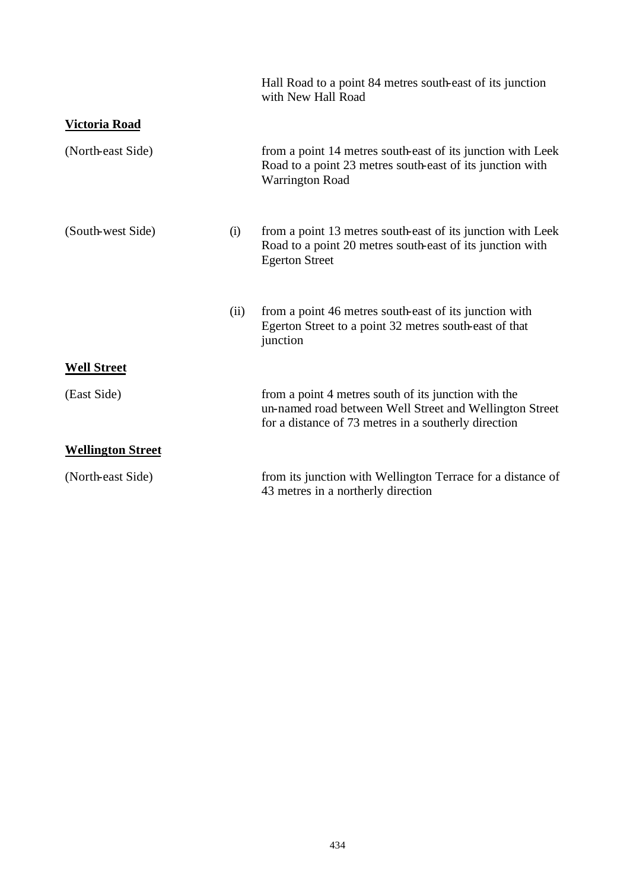|                          |      | Hall Road to a point 84 metres south-east of its junction<br>with New Hall Road                                                                                         |
|--------------------------|------|-------------------------------------------------------------------------------------------------------------------------------------------------------------------------|
| Victoria Road            |      |                                                                                                                                                                         |
| (North-east Side)        |      | from a point 14 metres south-east of its junction with Leek<br>Road to a point 23 metres south-east of its junction with<br><b>Warrington Road</b>                      |
| (South-west Side)        | (i)  | from a point 13 metres south-east of its junction with Leek<br>Road to a point 20 metres south-east of its junction with<br><b>Egerton Street</b>                       |
|                          | (ii) | from a point 46 metres south-east of its junction with<br>Egerton Street to a point 32 metres south-east of that<br>junction                                            |
| <b>Well Street</b>       |      |                                                                                                                                                                         |
| (East Side)              |      | from a point 4 metres south of its junction with the<br>un-named road between Well Street and Wellington Street<br>for a distance of 73 metres in a southerly direction |
| <b>Wellington Street</b> |      |                                                                                                                                                                         |
| (North-east Side)        |      | from its junction with Wellington Terrace for a distance of<br>43 metres in a northerly direction                                                                       |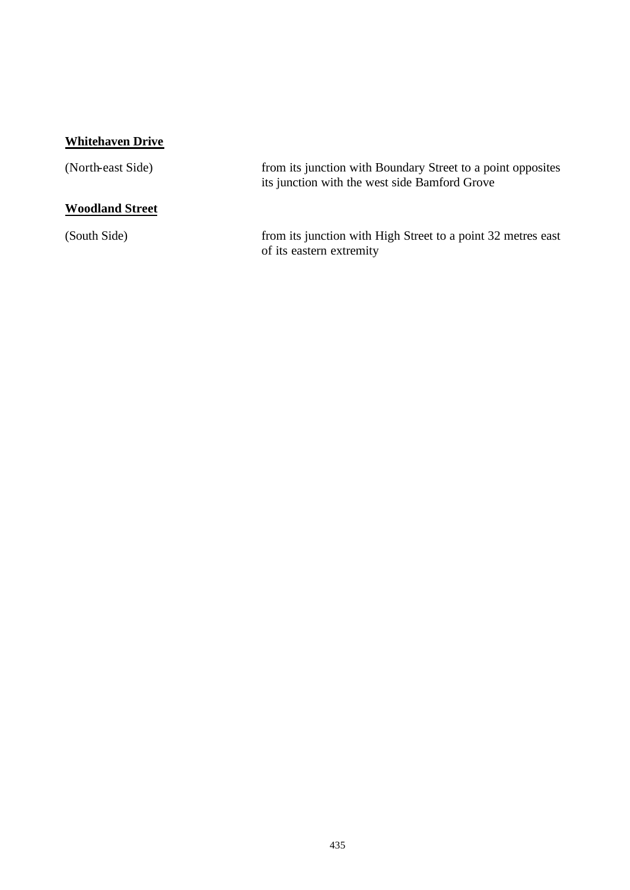# **Whitehaven Drive**

| (North-east Side)      | from its junction with Boundary Street to a point opposites<br>its junction with the west side Bamford Grove |
|------------------------|--------------------------------------------------------------------------------------------------------------|
| <b>Woodland Street</b> |                                                                                                              |
| (South Side)           | from its junction with High Street to a point 32 metres east<br>of its eastern extremity                     |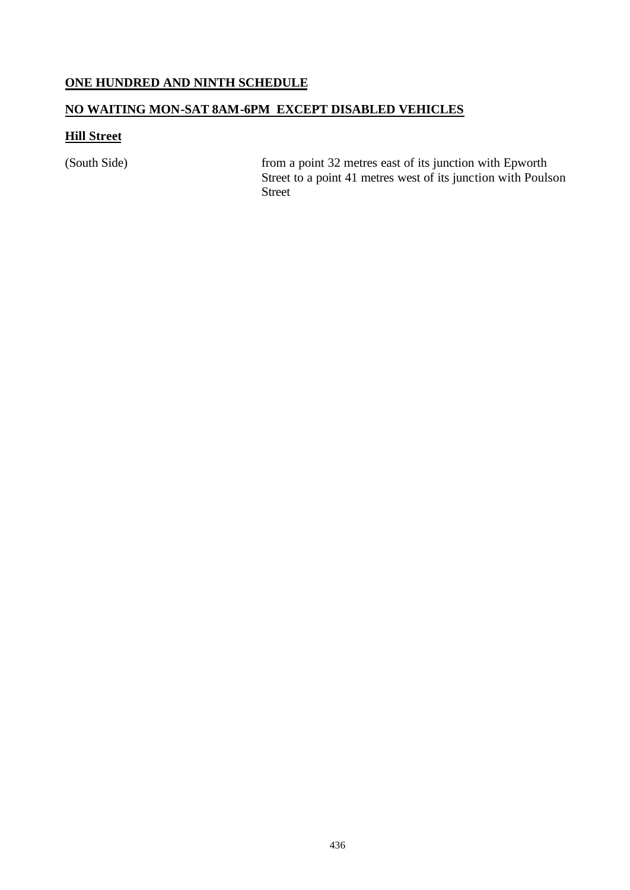### **ONE HUNDRED AND NINTH SCHEDULE**

## **NO WAITING MON-SAT 8AM-6PM EXCEPT DISABLED VEHICLES**

## **Hill Street**

(South Side) from a point 32 metres east of its junction with Epworth Street to a point 41 metres west of its junction with Poulson Street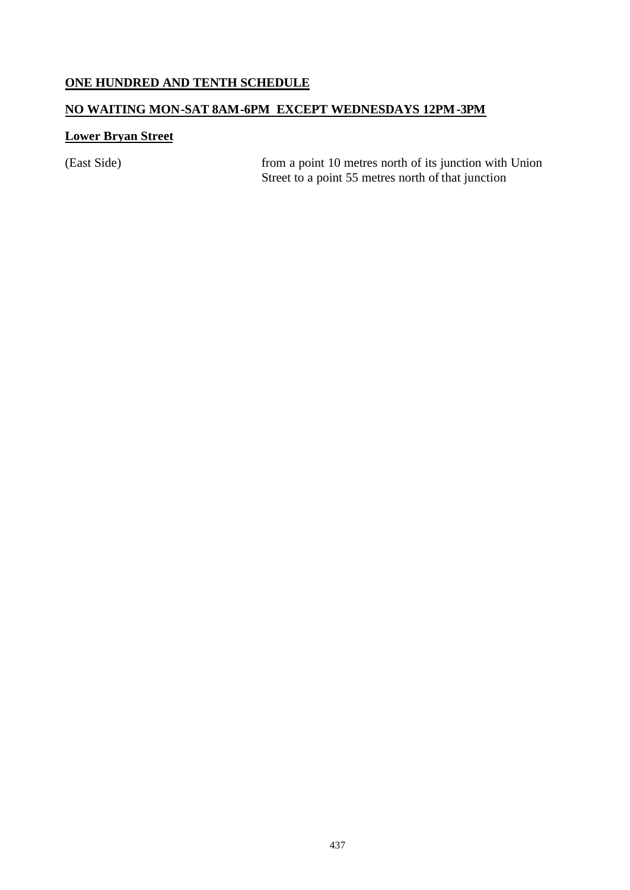# **ONE HUNDRED AND TENTH SCHEDULE**

### **NO WAITING MON-SAT 8AM-6PM EXCEPT WEDNESDAYS 12PM-3PM**

## **Lower Bryan Street**

(East Side) from a point 10 metres north of its junction with Union Street to a point 55 metres north of that junction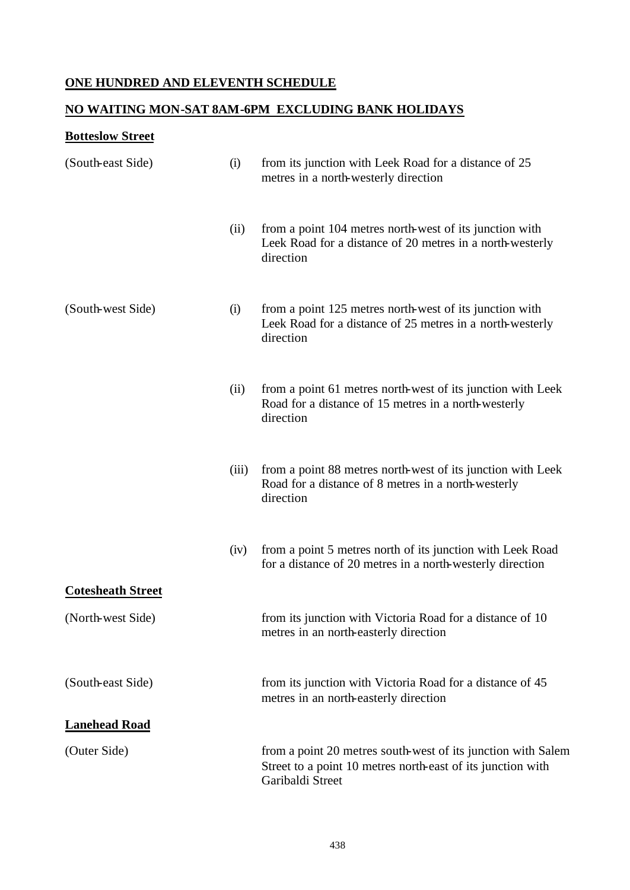## **ONE HUNDRED AND ELEVENTH SCHEDULE**

### **NO WAITING MON-SAT 8AM-6PM EXCLUDING BANK HOLIDAYS**

# **Botteslow Street**

| (South-east Side)        | (i)   | from its junction with Leek Road for a distance of 25<br>metres in a north-westerly direction                                                   |
|--------------------------|-------|-------------------------------------------------------------------------------------------------------------------------------------------------|
|                          | (ii)  | from a point 104 metres north-west of its junction with<br>Leek Road for a distance of 20 metres in a north-westerly<br>direction               |
| (South-west Side)        | (i)   | from a point 125 metres north-west of its junction with<br>Leek Road for a distance of 25 metres in a north-westerly<br>direction               |
|                          | (ii)  | from a point 61 metres north-west of its junction with Leek<br>Road for a distance of 15 metres in a north-westerly<br>direction                |
|                          | (iii) | from a point 88 metres north-west of its junction with Leek<br>Road for a distance of 8 metres in a north-westerly<br>direction                 |
|                          | (iv)  | from a point 5 metres north of its junction with Leek Road<br>for a distance of 20 metres in a north-westerly direction                         |
| <b>Cotesheath Street</b> |       |                                                                                                                                                 |
| (North-west Side)        |       | from its junction with Victoria Road for a distance of 10<br>metres in an north-easterly direction                                              |
| (South-east Side)        |       | from its junction with Victoria Road for a distance of 45<br>metres in an north-easterly direction                                              |
| <b>Lanehead Road</b>     |       |                                                                                                                                                 |
| (Outer Side)             |       | from a point 20 metres south-west of its junction with Salem<br>Street to a point 10 metres north-east of its junction with<br>Garibaldi Street |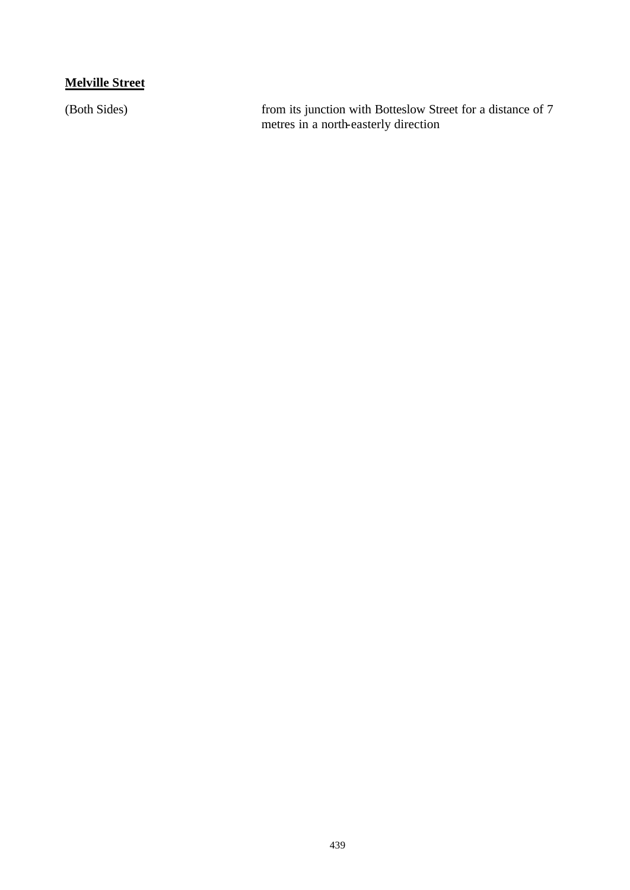## **Melville Street**

(Both Sides) from its junction with Botteslow Street for a distance of 7 metres in a north-easterly direction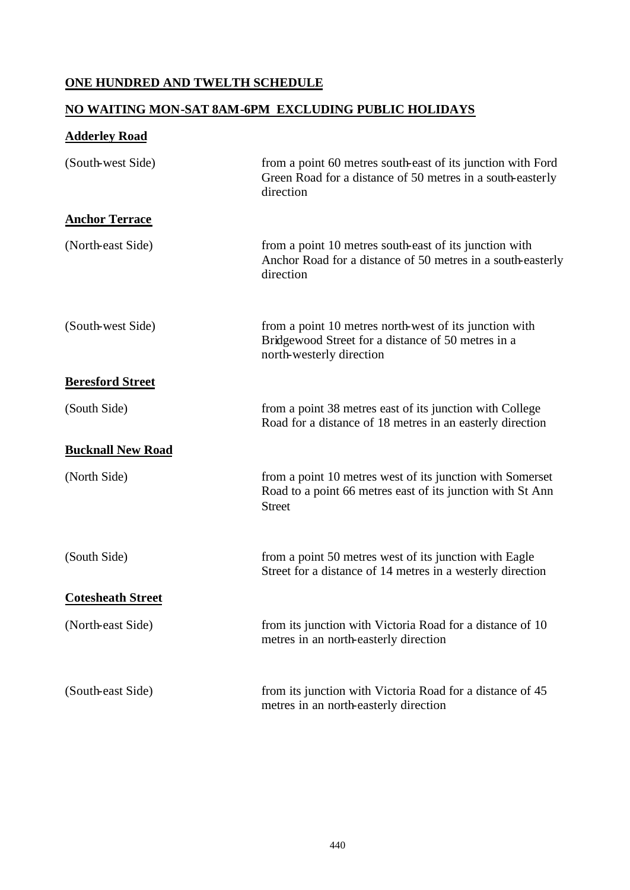## **ONE HUNDRED AND TWELTH SCHEDULE**

### **NO WAITING MON-SAT 8AM-6PM EXCLUDING PUBLIC HOLIDAYS**

| <b>Adderley Road</b>     |                                                                                                                                          |
|--------------------------|------------------------------------------------------------------------------------------------------------------------------------------|
| (South-west Side)        | from a point 60 metres south-east of its junction with Ford<br>Green Road for a distance of 50 metres in a south-easterly<br>direction   |
| <b>Anchor Terrace</b>    |                                                                                                                                          |
| (North-east Side)        | from a point 10 metres south-east of its junction with<br>Anchor Road for a distance of 50 metres in a south-easterly<br>direction       |
| (South-west Side)        | from a point 10 metres north-west of its junction with<br>Bridgewood Street for a distance of 50 metres in a<br>north-westerly direction |
| <b>Beresford Street</b>  |                                                                                                                                          |
| (South Side)             | from a point 38 metres east of its junction with College<br>Road for a distance of 18 metres in an easterly direction                    |
| <b>Bucknall New Road</b> |                                                                                                                                          |
| (North Side)             | from a point 10 metres west of its junction with Somerset<br>Road to a point 66 metres east of its junction with St Ann<br><b>Street</b> |
| (South Side)             | from a point 50 metres west of its junction with Eagle<br>Street for a distance of 14 metres in a westerly direction                     |
| <b>Cotesheath Street</b> |                                                                                                                                          |
| (North-east Side)        | from its junction with Victoria Road for a distance of 10<br>metres in an north-easterly direction                                       |
| (South-east Side)        | from its junction with Victoria Road for a distance of 45<br>metres in an north-easterly direction                                       |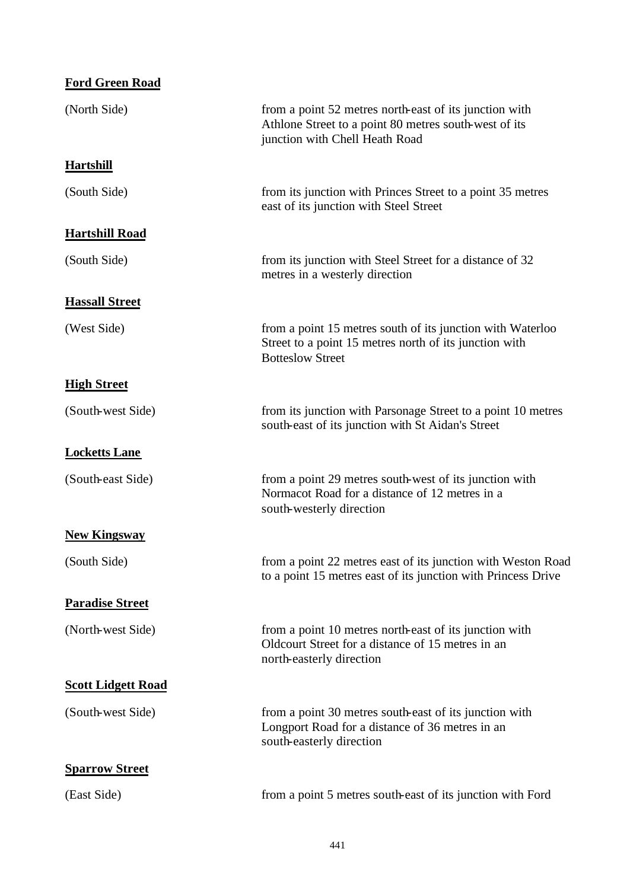| <b>Ford Green Road</b>    |                                                                                                                                                   |
|---------------------------|---------------------------------------------------------------------------------------------------------------------------------------------------|
| (North Side)              | from a point 52 metres north-east of its junction with<br>Athlone Street to a point 80 metres south-west of its<br>junction with Chell Heath Road |
| <b>Hartshill</b>          |                                                                                                                                                   |
| (South Side)              | from its junction with Princes Street to a point 35 metres<br>east of its junction with Steel Street                                              |
| <b>Hartshill Road</b>     |                                                                                                                                                   |
| (South Side)              | from its junction with Steel Street for a distance of 32<br>metres in a westerly direction                                                        |
| <b>Hassall Street</b>     |                                                                                                                                                   |
| (West Side)               | from a point 15 metres south of its junction with Waterloo<br>Street to a point 15 metres north of its junction with<br><b>Botteslow Street</b>   |
| <b>High Street</b>        |                                                                                                                                                   |
| (South-west Side)         | from its junction with Parsonage Street to a point 10 metres<br>south-east of its junction with St Aidan's Street                                 |
| <b>Locketts Lane</b>      |                                                                                                                                                   |
| (South-east Side)         | from a point 29 metres south-west of its junction with<br>Normacot Road for a distance of 12 metres in a<br>south-westerly direction              |
| <b>New Kingsway</b>       |                                                                                                                                                   |
| (South Side)              | from a point 22 metres east of its junction with Weston Road<br>to a point 15 metres east of its junction with Princess Drive                     |
| <b>Paradise Street</b>    |                                                                                                                                                   |
| (North-west Side)         | from a point 10 metres north-east of its junction with<br>Oldcourt Street for a distance of 15 metres in an<br>north-easterly direction           |
| <b>Scott Lidgett Road</b> |                                                                                                                                                   |
| (South-west Side)         | from a point 30 metres south-east of its junction with<br>Longport Road for a distance of 36 metres in an<br>south-easterly direction             |
| <b>Sparrow Street</b>     |                                                                                                                                                   |
| (East Side)               | from a point 5 metres south-east of its junction with Ford                                                                                        |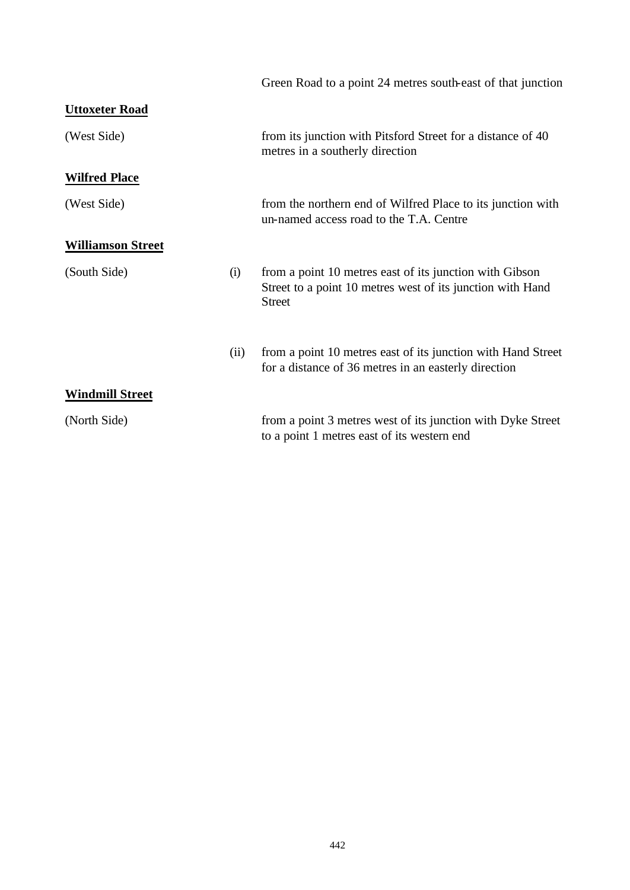|                          |      | Green Road to a point 24 metres south-east of that junction                                                                            |
|--------------------------|------|----------------------------------------------------------------------------------------------------------------------------------------|
| <b>Uttoxeter Road</b>    |      |                                                                                                                                        |
| (West Side)              |      | from its junction with Pitsford Street for a distance of 40<br>metres in a southerly direction                                         |
| <b>Wilfred Place</b>     |      |                                                                                                                                        |
| (West Side)              |      | from the northern end of Wilfred Place to its junction with<br>un-named access road to the T.A. Centre                                 |
| <b>Williamson Street</b> |      |                                                                                                                                        |
| (South Side)             | (i)  | from a point 10 metres east of its junction with Gibson<br>Street to a point 10 metres west of its junction with Hand<br><b>Street</b> |
|                          | (ii) | from a point 10 metres east of its junction with Hand Street<br>for a distance of 36 metres in an easterly direction                   |
| <b>Windmill Street</b>   |      |                                                                                                                                        |
| (North Side)             |      | from a point 3 metres west of its junction with Dyke Street<br>to a point 1 metres east of its western end                             |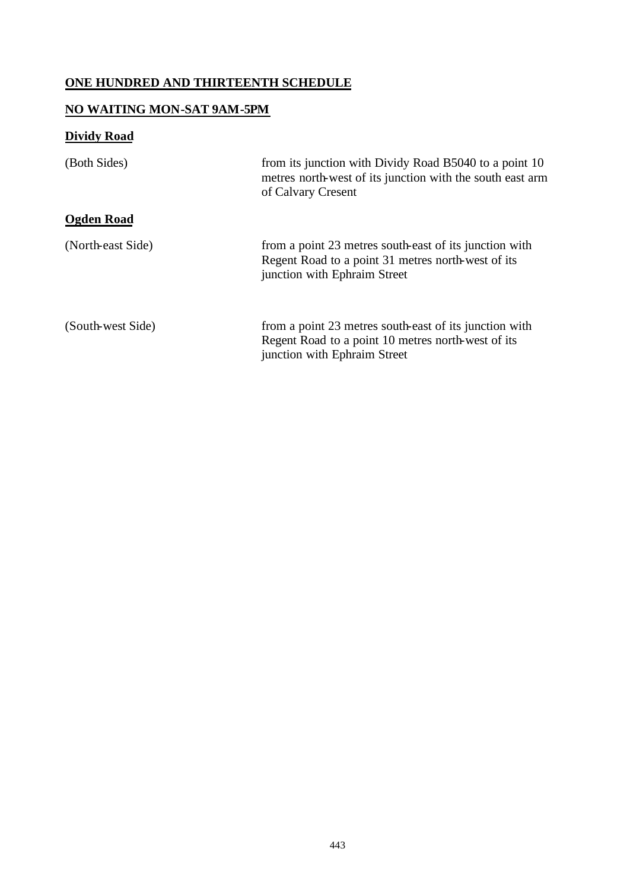## **ONE HUNDRED AND THIRTEENTH SCHEDULE**

### **NO WAITING MON-SAT 9AM-5PM**

# **Dividy Road**

| (Both Sides)      | from its junction with Dividy Road B5040 to a point 10<br>metres north-west of its junction with the south east arm<br>of Calvary Cresent    |
|-------------------|----------------------------------------------------------------------------------------------------------------------------------------------|
| Ogden Road        |                                                                                                                                              |
| (North-east Side) | from a point 23 metres south-east of its junction with<br>Regent Road to a point 31 metres north-west of its<br>junction with Ephraim Street |
| (South-west Side) | from a point 23 metres south-east of its junction with<br>Regent Road to a point 10 metres north-west of its<br>junction with Ephraim Street |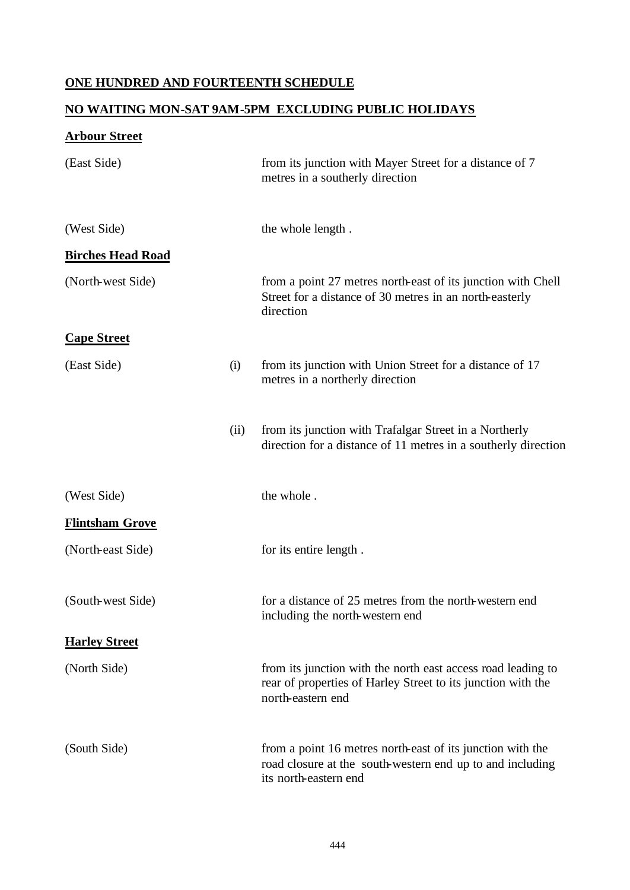## **ONE HUNDRED AND FOURTEENTH SCHEDULE**

### **NO WAITING MON-SAT 9AM-5PM EXCLUDING PUBLIC HOLIDAYS**

# **Arbour Street**

| (East Side)              |      | from its junction with Mayer Street for a distance of 7<br>metres in a southerly direction                                                        |
|--------------------------|------|---------------------------------------------------------------------------------------------------------------------------------------------------|
| (West Side)              |      | the whole length.                                                                                                                                 |
| <b>Birches Head Road</b> |      |                                                                                                                                                   |
| (North-west Side)        |      | from a point 27 metres north-east of its junction with Chell<br>Street for a distance of 30 metres in an north-easterly<br>direction              |
| <b>Cape Street</b>       |      |                                                                                                                                                   |
| (East Side)              | (i)  | from its junction with Union Street for a distance of 17<br>metres in a northerly direction                                                       |
|                          | (ii) | from its junction with Trafalgar Street in a Northerly<br>direction for a distance of 11 metres in a southerly direction                          |
| (West Side)              |      | the whole.                                                                                                                                        |
| <b>Flintsham Grove</b>   |      |                                                                                                                                                   |
| (North-east Side)        |      | for its entire length.                                                                                                                            |
| (South-west Side)        |      | for a distance of 25 metres from the north-western end<br>including the north-western end                                                         |
| <b>Harley Street</b>     |      |                                                                                                                                                   |
| (North Side)             |      | from its junction with the north east access road leading to<br>rear of properties of Harley Street to its junction with the<br>north-eastern end |
| (South Side)             |      | from a point 16 metres north-east of its junction with the<br>road closure at the south-western end up to and including<br>its north-eastern end  |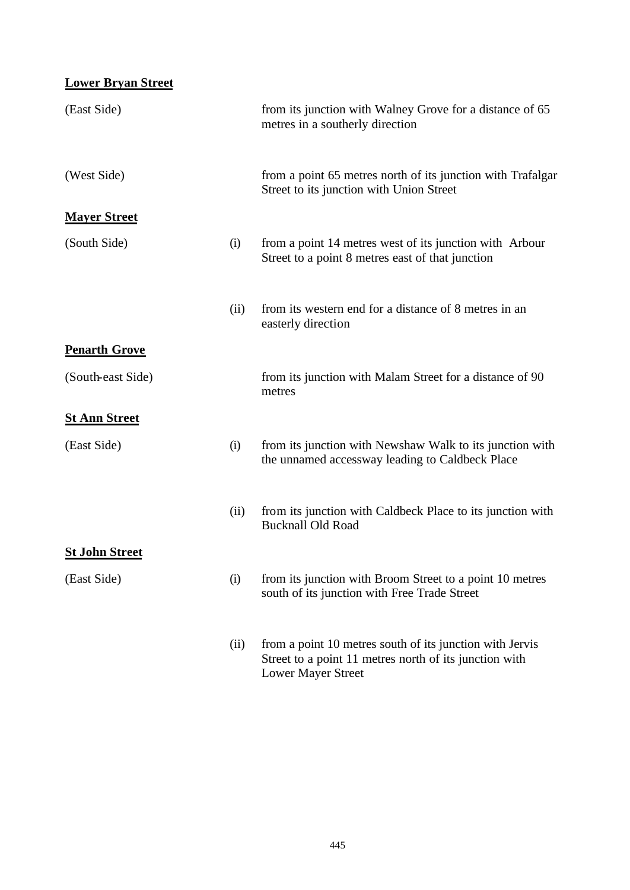| <b>Lower Bryan Street</b> |      |                                                                                                                                                 |
|---------------------------|------|-------------------------------------------------------------------------------------------------------------------------------------------------|
| (East Side)               |      | from its junction with Walney Grove for a distance of 65<br>metres in a southerly direction                                                     |
| (West Side)               |      | from a point 65 metres north of its junction with Trafalgar<br>Street to its junction with Union Street                                         |
| <b>Mayer Street</b>       |      |                                                                                                                                                 |
| (South Side)              | (i)  | from a point 14 metres west of its junction with Arbour<br>Street to a point 8 metres east of that junction                                     |
|                           | (ii) | from its western end for a distance of 8 metres in an<br>easterly direction                                                                     |
| <b>Penarth Grove</b>      |      |                                                                                                                                                 |
| (South-east Side)         |      | from its junction with Malam Street for a distance of 90<br>metres                                                                              |
| <b>St Ann Street</b>      |      |                                                                                                                                                 |
| (East Side)               | (i)  | from its junction with Newshaw Walk to its junction with<br>the unnamed accessway leading to Caldbeck Place                                     |
|                           | (ii) | from its junction with Caldbeck Place to its junction with<br><b>Bucknall Old Road</b>                                                          |
| <b>St John Street</b>     |      |                                                                                                                                                 |
| (East Side)               | (i)  | from its junction with Broom Street to a point 10 metres<br>south of its junction with Free Trade Street                                        |
|                           | (ii) | from a point 10 metres south of its junction with Jervis<br>Street to a point 11 metres north of its junction with<br><b>Lower Mayer Street</b> |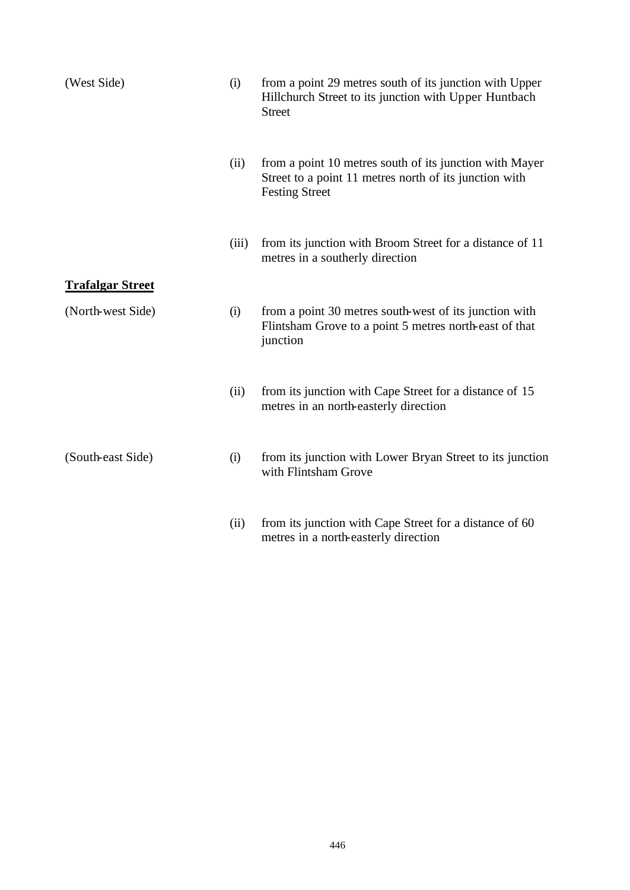| (West Side)             | (i)   | from a point 29 metres south of its junction with Upper<br>Hillchurch Street to its junction with Upper Huntbach<br><b>Street</b>          |
|-------------------------|-------|--------------------------------------------------------------------------------------------------------------------------------------------|
|                         | (ii)  | from a point 10 metres south of its junction with Mayer<br>Street to a point 11 metres north of its junction with<br><b>Festing Street</b> |
|                         | (iii) | from its junction with Broom Street for a distance of 11<br>metres in a southerly direction                                                |
| <b>Trafalgar Street</b> |       |                                                                                                                                            |
| (North-west Side)       | (i)   | from a point 30 metres south-west of its junction with<br>Flintsham Grove to a point 5 metres north-east of that<br>junction               |
|                         | (ii)  | from its junction with Cape Street for a distance of 15<br>metres in an north-easterly direction                                           |
| (South-east Side)       | (i)   | from its junction with Lower Bryan Street to its junction<br>with Flintsham Grove                                                          |
|                         | (ii)  | from its junction with Cape Street for a distance of 60<br>metres in a north-easterly direction                                            |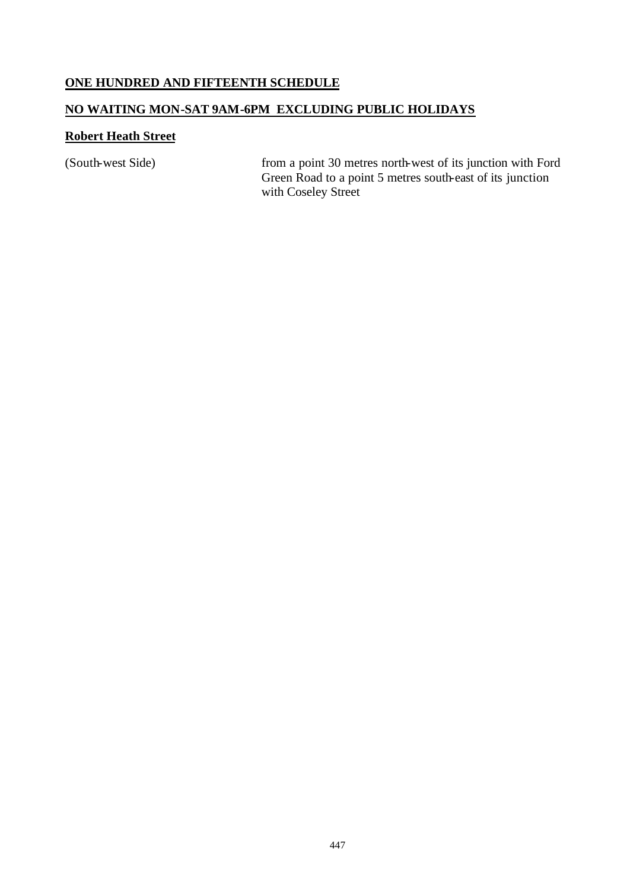#### **ONE HUNDRED AND FIFTEENTH SCHEDULE**

# **NO WAITING MON-SAT 9AM-6PM EXCLUDING PUBLIC HOLIDAYS**

#### **Robert Heath Street**

(South-west Side) from a point 30 metres north-west of its junction with Ford Green Road to a point 5 metres south-east of its junction with Coseley Street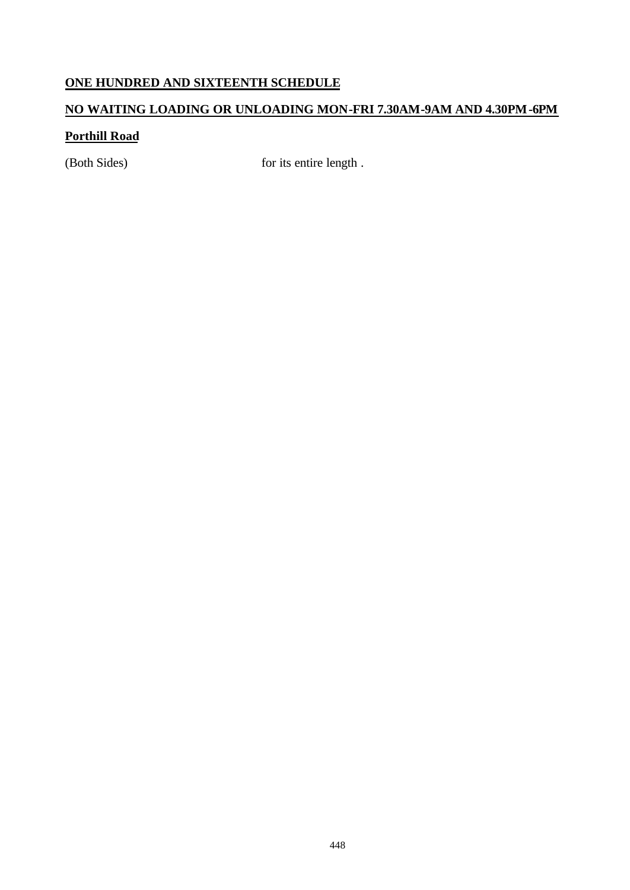# **ONE HUNDRED AND SIXTEENTH SCHEDULE**

# **NO WAITING LOADING OR UNLOADING MON-FRI 7.30AM-9AM AND 4.30PM-6PM**

# **Porthill Road**

(Both Sides) for its entire length.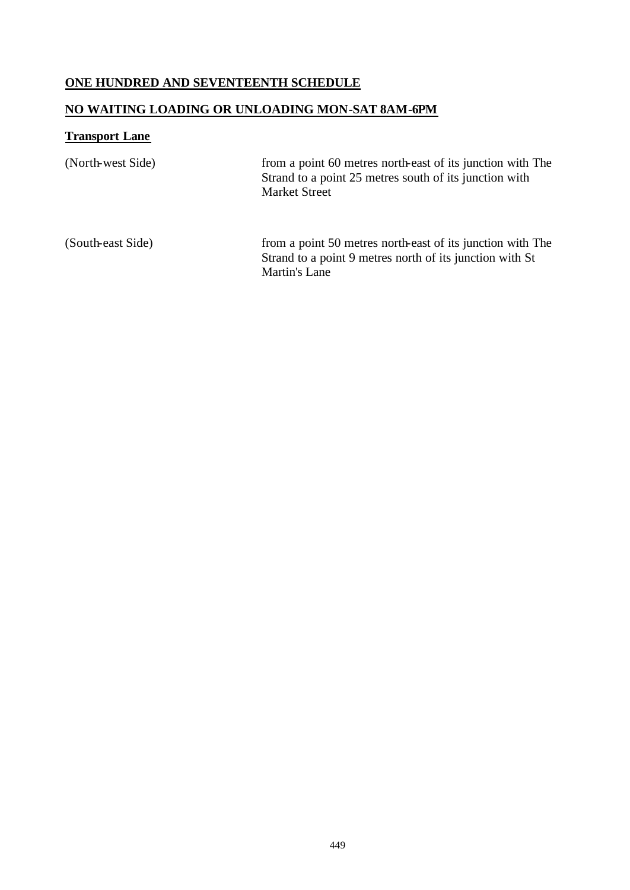# **ONE HUNDRED AND SEVENTEENTH SCHEDULE**

# **NO WAITING LOADING OR UNLOADING MON-SAT 8AM-6PM**

# **Transport Lane**

| (North-west Side) | from a point 60 metres north-east of its junction with The<br>Strand to a point 25 metres south of its junction with<br><b>Market Street</b>   |
|-------------------|------------------------------------------------------------------------------------------------------------------------------------------------|
| (South-east Side) | from a point 50 metres north-east of its junction with The<br>Strand to a point 9 metres north of its junction with St<br><b>Martin's Lane</b> |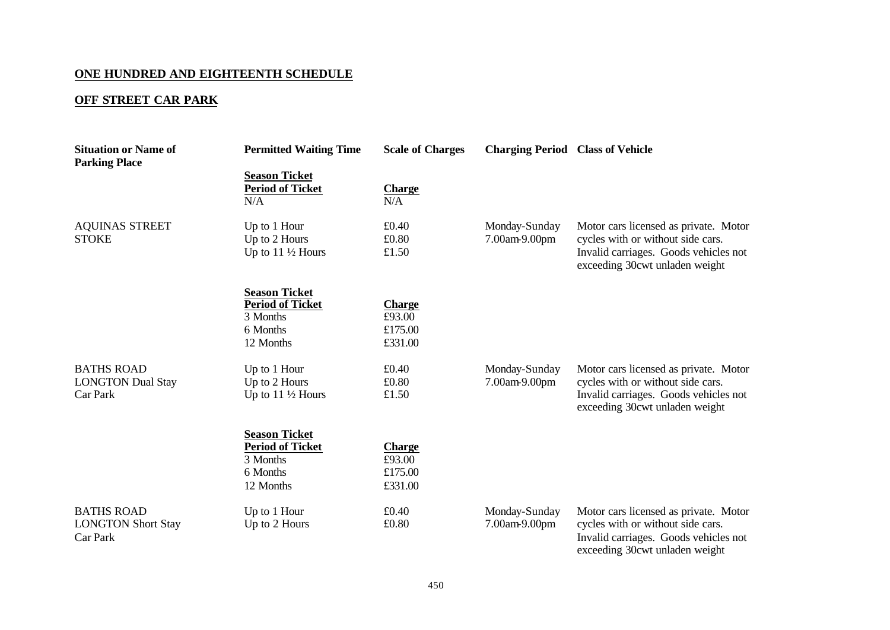# **ONE HUNDRED AND EIGHTEENTH SCHEDULE**

# **OFF STREET CAR PARK**

| <b>Situation or Name of</b><br><b>Parking Place</b>        | <b>Permitted Waiting Time</b>                                                        | <b>Scale of Charges</b>                       | <b>Charging Period Class of Vehicle</b> |                                                                                                                                                       |
|------------------------------------------------------------|--------------------------------------------------------------------------------------|-----------------------------------------------|-----------------------------------------|-------------------------------------------------------------------------------------------------------------------------------------------------------|
|                                                            | <b>Season Ticket</b><br><b>Period of Ticket</b><br>N/A                               | <b>Charge</b><br>N/A                          |                                         |                                                                                                                                                       |
| <b>AQUINAS STREET</b><br><b>STOKE</b>                      | Up to 1 Hour<br>Up to 2 Hours<br>Up to $11\frac{1}{2}$ Hours                         | £0.40<br>£0.80<br>£1.50                       | Monday-Sunday<br>7.00am-9.00pm          | Motor cars licensed as private. Motor<br>cycles with or without side cars.<br>Invalid carriages. Goods vehicles not<br>exceeding 30cwt unladen weight |
|                                                            | <b>Season Ticket</b><br><b>Period of Ticket</b><br>3 Months<br>6 Months<br>12 Months | <b>Charge</b><br>£93.00<br>£175.00<br>£331.00 |                                         |                                                                                                                                                       |
| <b>BATHS ROAD</b><br><b>LONGTON Dual Stay</b><br>Car Park  | Up to 1 Hour<br>Up to 2 Hours<br>Up to $11\frac{1}{2}$ Hours                         | £0.40<br>£0.80<br>£1.50                       | Monday-Sunday<br>7.00am-9.00pm          | Motor cars licensed as private. Motor<br>cycles with or without side cars.<br>Invalid carriages. Goods vehicles not<br>exceeding 30cwt unladen weight |
|                                                            | <b>Season Ticket</b><br><b>Period of Ticket</b><br>3 Months<br>6 Months<br>12 Months | <b>Charge</b><br>£93.00<br>£175.00<br>£331.00 |                                         |                                                                                                                                                       |
| <b>BATHS ROAD</b><br><b>LONGTON Short Stay</b><br>Car Park | Up to 1 Hour<br>Up to 2 Hours                                                        | £0.40<br>£0.80                                | Monday-Sunday<br>7.00am-9.00pm          | Motor cars licensed as private. Motor<br>cycles with or without side cars.<br>Invalid carriages. Goods vehicles not<br>exceeding 30cwt unladen weight |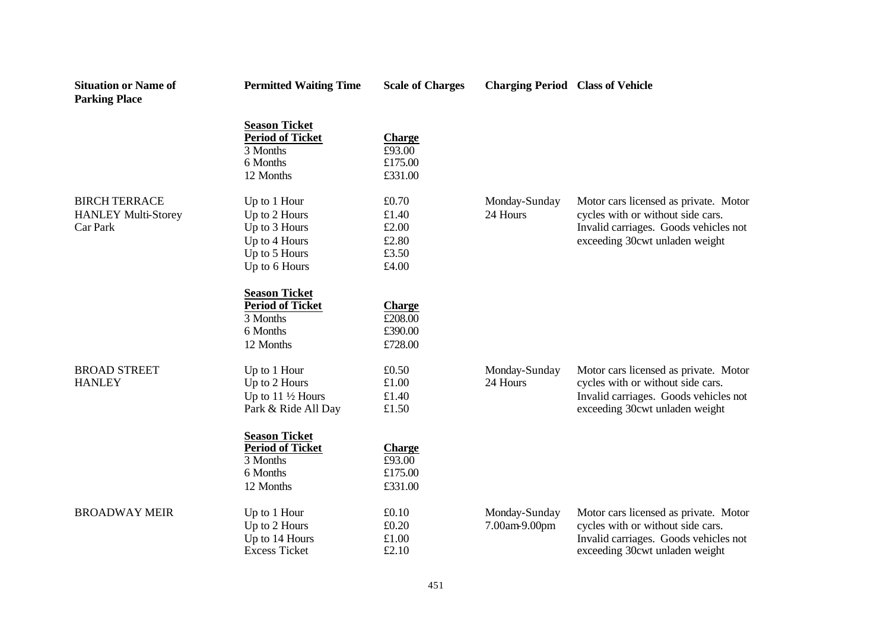| <b>Situation or Name of</b><br><b>Parking Place</b>            | <b>Permitted Waiting Time</b>                                                                     | <b>Scale of Charges</b>                            | <b>Charging Period Class of Vehicle</b> |                                                                                                                                                       |
|----------------------------------------------------------------|---------------------------------------------------------------------------------------------------|----------------------------------------------------|-----------------------------------------|-------------------------------------------------------------------------------------------------------------------------------------------------------|
|                                                                | <b>Season Ticket</b><br><b>Period of Ticket</b><br>3 Months<br>6 Months<br>12 Months              | <b>Charge</b><br>£93.00<br>£175.00<br>£331.00      |                                         |                                                                                                                                                       |
| <b>BIRCH TERRACE</b><br><b>HANLEY Multi-Storey</b><br>Car Park | Up to 1 Hour<br>Up to 2 Hours<br>Up to 3 Hours<br>Up to 4 Hours<br>Up to 5 Hours<br>Up to 6 Hours | £0.70<br>£1.40<br>£2.00<br>£2.80<br>£3.50<br>£4.00 | Monday-Sunday<br>24 Hours               | Motor cars licensed as private. Motor<br>cycles with or without side cars.<br>Invalid carriages. Goods vehicles not<br>exceeding 30cwt unladen weight |
|                                                                | <b>Season Ticket</b><br><b>Period of Ticket</b><br>3 Months<br>6 Months<br>12 Months              | <b>Charge</b><br>£208.00<br>£390.00<br>£728.00     |                                         |                                                                                                                                                       |
| <b>BROAD STREET</b><br><b>HANLEY</b>                           | Up to 1 Hour<br>Up to 2 Hours<br>Up to $11\frac{1}{2}$ Hours<br>Park & Ride All Day               | £0.50<br>£1.00<br>£1.40<br>£1.50                   | Monday-Sunday<br>24 Hours               | Motor cars licensed as private. Motor<br>cycles with or without side cars.<br>Invalid carriages. Goods vehicles not<br>exceeding 30cwt unladen weight |
|                                                                | <b>Season Ticket</b><br><b>Period of Ticket</b><br>3 Months<br>6 Months<br>12 Months              | <b>Charge</b><br>£93.00<br>£175.00<br>£331.00      |                                         |                                                                                                                                                       |
| <b>BROADWAY MEIR</b>                                           | Up to 1 Hour<br>Up to 2 Hours<br>Up to 14 Hours<br><b>Excess Ticket</b>                           | £0.10<br>£0.20<br>£1.00<br>£2.10                   | Monday-Sunday<br>7.00am-9.00pm          | Motor cars licensed as private. Motor<br>cycles with or without side cars.<br>Invalid carriages. Goods vehicles not<br>exceeding 30cwt unladen weight |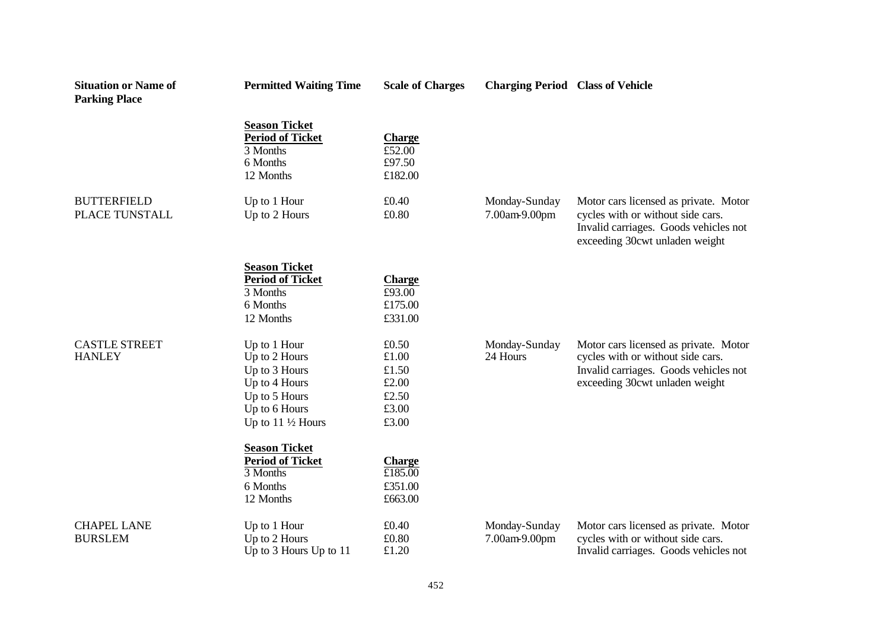| <b>Situation or Name of</b><br><b>Parking Place</b> | <b>Permitted Waiting Time</b>                                                                                                    | <b>Scale of Charges</b>                                     | <b>Charging Period Class of Vehicle</b> |                                                                                                                                                       |
|-----------------------------------------------------|----------------------------------------------------------------------------------------------------------------------------------|-------------------------------------------------------------|-----------------------------------------|-------------------------------------------------------------------------------------------------------------------------------------------------------|
|                                                     | <b>Season Ticket</b><br><b>Period of Ticket</b><br>3 Months<br>6 Months<br>12 Months                                             | <b>Charge</b><br>£52.00<br>£97.50<br>£182.00                |                                         |                                                                                                                                                       |
| <b>BUTTERFIELD</b><br>PLACE TUNSTALL                | Up to 1 Hour<br>Up to 2 Hours                                                                                                    | £0.40<br>£0.80                                              | Monday-Sunday<br>7.00am-9.00pm          | Motor cars licensed as private. Motor<br>cycles with or without side cars.<br>Invalid carriages. Goods vehicles not<br>exceeding 30cwt unladen weight |
|                                                     | <b>Season Ticket</b><br><b>Period of Ticket</b><br>3 Months<br>6 Months<br>12 Months                                             | <b>Charge</b><br>£93.00<br>£175.00<br>£331.00               |                                         |                                                                                                                                                       |
| <b>CASTLE STREET</b><br><b>HANLEY</b>               | Up to 1 Hour<br>Up to 2 Hours<br>Up to 3 Hours<br>Up to 4 Hours<br>Up to 5 Hours<br>Up to 6 Hours<br>Up to $11\frac{1}{2}$ Hours | £0.50<br>£1.00<br>£1.50<br>£2.00<br>£2.50<br>£3.00<br>£3.00 | Monday-Sunday<br>24 Hours               | Motor cars licensed as private. Motor<br>cycles with or without side cars.<br>Invalid carriages. Goods vehicles not<br>exceeding 30cwt unladen weight |
|                                                     | <b>Season Ticket</b><br><b>Period of Ticket</b><br>3 Months<br>6 Months<br>12 Months                                             | <b>Charge</b><br>£185.00<br>£351.00<br>£663.00              |                                         |                                                                                                                                                       |
| <b>CHAPEL LANE</b><br><b>BURSLEM</b>                | Up to 1 Hour<br>Up to 2 Hours<br>Up to 3 Hours Up to 11                                                                          | £0.40<br>£0.80<br>£1.20                                     | Monday-Sunday<br>7.00am-9.00pm          | Motor cars licensed as private. Motor<br>cycles with or without side cars.<br>Invalid carriages. Goods vehicles not                                   |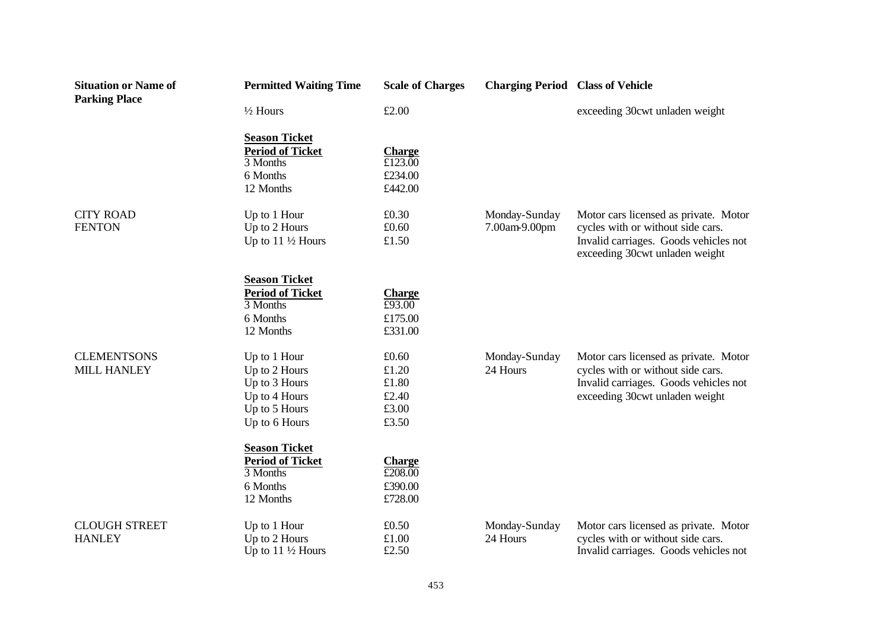| <b>Situation or Name of</b><br><b>Parking Place</b> | <b>Permitted Waiting Time</b>                | <b>Scale of Charges</b>                      | <b>Charging Period Class of Vehicle</b> |                                                                            |
|-----------------------------------------------------|----------------------------------------------|----------------------------------------------|-----------------------------------------|----------------------------------------------------------------------------|
|                                                     | $1/2$ Hours                                  | £2.00                                        |                                         | exceeding 30cwt unladen weight                                             |
|                                                     | <b>Season Ticket</b>                         |                                              |                                         |                                                                            |
|                                                     | <b>Period of Ticket</b><br>3 Months          | <b>Charge</b><br>£123.00                     |                                         |                                                                            |
|                                                     | 6 Months                                     | £234.00                                      |                                         |                                                                            |
|                                                     | 12 Months                                    | £442.00                                      |                                         |                                                                            |
| <b>CITY ROAD</b>                                    | Up to 1 Hour                                 | £0.30                                        | Monday-Sunday                           | Motor cars licensed as private. Motor                                      |
| <b>FENTON</b>                                       | Up to 2 Hours                                | £0.60                                        | 7.00am-9.00pm                           | cycles with or without side cars.                                          |
|                                                     | Up to $11\frac{1}{2}$ Hours                  | £1.50                                        |                                         | Invalid carriages. Goods vehicles not<br>exceeding 30cwt unladen weight    |
|                                                     | <b>Season Ticket</b>                         |                                              |                                         |                                                                            |
|                                                     | <b>Period of Ticket</b>                      | <b>Charge</b>                                |                                         |                                                                            |
|                                                     | 3 Months<br>6 Months                         | £93.00<br>£175.00                            |                                         |                                                                            |
|                                                     | 12 Months                                    | £331.00                                      |                                         |                                                                            |
| <b>CLEMENTSONS</b>                                  | Up to 1 Hour                                 | £0.60                                        | Monday-Sunday                           | Motor cars licensed as private. Motor                                      |
| <b>MILL HANLEY</b>                                  | Up to 2 Hours                                | £1.20                                        | 24 Hours                                | cycles with or without side cars.                                          |
|                                                     | Up to 3 Hours                                | £1.80                                        |                                         | Invalid carriages. Goods vehicles not                                      |
|                                                     | Up to 4 Hours<br>Up to 5 Hours               | £2.40<br>£3.00                               |                                         | exceeding 30cwt unladen weight                                             |
|                                                     | Up to 6 Hours                                | £3.50                                        |                                         |                                                                            |
|                                                     | <b>Season Ticket</b>                         |                                              |                                         |                                                                            |
|                                                     | <b>Period of Ticket</b>                      | <b>Charge</b>                                |                                         |                                                                            |
|                                                     | 3 Months<br>6 Months                         | $\overline{\text{\pounds}208.00}$<br>£390.00 |                                         |                                                                            |
|                                                     | 12 Months                                    | £728.00                                      |                                         |                                                                            |
| <b>CLOUGH STREET</b>                                | Up to 1 Hour                                 | £0.50                                        | Monday-Sunday                           | Motor cars licensed as private. Motor                                      |
| <b>HANLEY</b>                                       | Up to 2 Hours<br>Up to $11\frac{1}{2}$ Hours | £1.00<br>£2.50                               | 24 Hours                                | cycles with or without side cars.<br>Invalid carriages. Goods vehicles not |
|                                                     |                                              |                                              |                                         |                                                                            |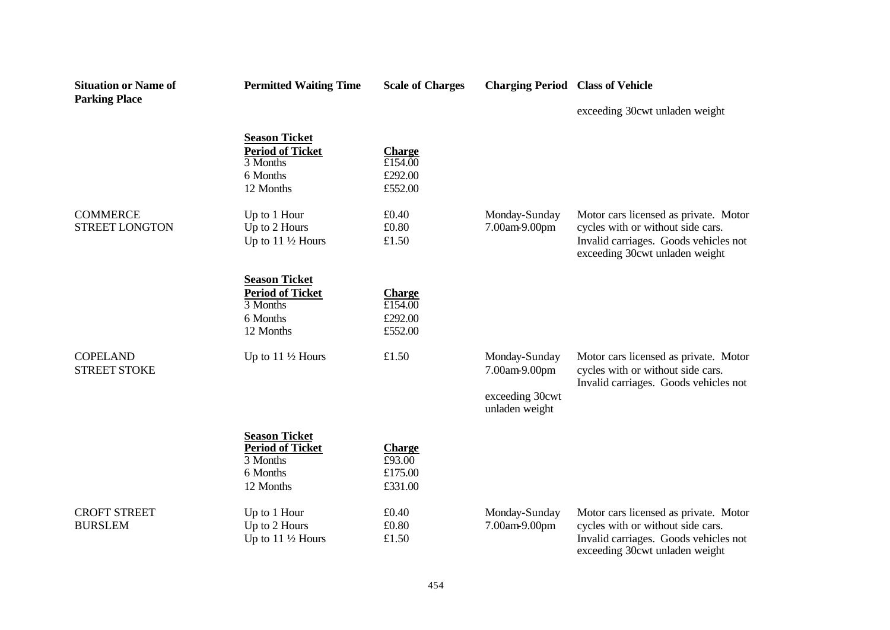| <b>Situation or Name of</b><br><b>Parking Place</b> | <b>Permitted Waiting Time</b>                                                        | <b>Scale of Charges</b>                                                        | <b>Charging Period Class of Vehicle</b>                             |                                                                                                                                                       |
|-----------------------------------------------------|--------------------------------------------------------------------------------------|--------------------------------------------------------------------------------|---------------------------------------------------------------------|-------------------------------------------------------------------------------------------------------------------------------------------------------|
|                                                     |                                                                                      |                                                                                |                                                                     | exceeding 30cwt unladen weight                                                                                                                        |
|                                                     | <b>Season Ticket</b><br><b>Period of Ticket</b><br>3 Months<br>6 Months<br>12 Months | <b>Charge</b><br>£154.00<br>£292.00<br>£552.00                                 |                                                                     |                                                                                                                                                       |
| <b>COMMERCE</b><br><b>STREET LONGTON</b>            | Up to 1 Hour<br>Up to 2 Hours<br>Up to $11\frac{1}{2}$ Hours                         | £0.40<br>£0.80<br>£1.50                                                        | Monday-Sunday<br>7.00am-9.00pm                                      | Motor cars licensed as private. Motor<br>cycles with or without side cars.<br>Invalid carriages. Goods vehicles not<br>exceeding 30cwt unladen weight |
|                                                     | <b>Season Ticket</b><br><b>Period of Ticket</b><br>3 Months<br>6 Months<br>12 Months | <b>Charge</b><br>$\overline{\text{\textsterling}154.00}$<br>£292.00<br>£552.00 |                                                                     |                                                                                                                                                       |
| <b>COPELAND</b><br><b>STREET STOKE</b>              | Up to $11\frac{1}{2}$ Hours                                                          | £1.50                                                                          | Monday-Sunday<br>7.00am-9.00pm<br>exceeding 30cwt<br>unladen weight | Motor cars licensed as private. Motor<br>cycles with or without side cars.<br>Invalid carriages. Goods vehicles not                                   |
|                                                     | <b>Season Ticket</b><br><b>Period of Ticket</b><br>3 Months<br>6 Months<br>12 Months | <b>Charge</b><br>£93.00<br>£175.00<br>£331.00                                  |                                                                     |                                                                                                                                                       |
| <b>CROFT STREET</b><br><b>BURSLEM</b>               | Up to 1 Hour<br>Up to 2 Hours<br>Up to $11\frac{1}{2}$ Hours                         | £0.40<br>£0.80<br>£1.50                                                        | Monday-Sunday<br>7.00am-9.00pm                                      | Motor cars licensed as private. Motor<br>cycles with or without side cars.<br>Invalid carriages. Goods vehicles not<br>exceeding 30cwt unladen weight |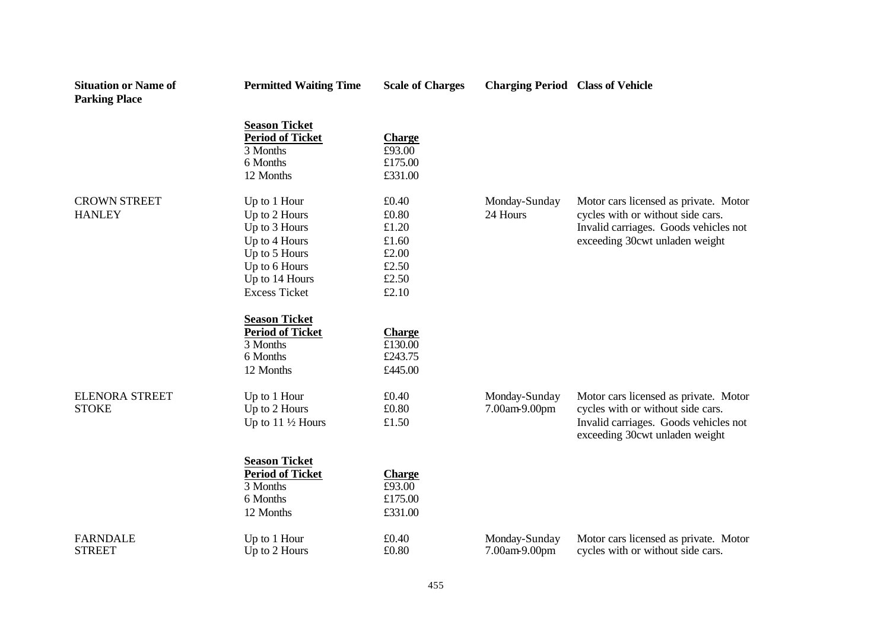| <b>Situation or Name of</b><br><b>Parking Place</b> | <b>Permitted Waiting Time</b>                                                                                                               | <b>Scale of Charges</b>                                              | <b>Charging Period Class of Vehicle</b> |                                                                                                                                                       |
|-----------------------------------------------------|---------------------------------------------------------------------------------------------------------------------------------------------|----------------------------------------------------------------------|-----------------------------------------|-------------------------------------------------------------------------------------------------------------------------------------------------------|
|                                                     | <b>Season Ticket</b><br><b>Period of Ticket</b><br>3 Months<br>6 Months<br>12 Months                                                        | <b>Charge</b><br>£93.00<br>£175.00<br>£331.00                        |                                         |                                                                                                                                                       |
| <b>CROWN STREET</b><br><b>HANLEY</b>                | Up to 1 Hour<br>Up to 2 Hours<br>Up to 3 Hours<br>Up to 4 Hours<br>Up to 5 Hours<br>Up to 6 Hours<br>Up to 14 Hours<br><b>Excess Ticket</b> | £0.40<br>£0.80<br>£1.20<br>£1.60<br>£2.00<br>£2.50<br>£2.50<br>£2.10 | Monday-Sunday<br>24 Hours               | Motor cars licensed as private. Motor<br>cycles with or without side cars.<br>Invalid carriages. Goods vehicles not<br>exceeding 30cwt unladen weight |
|                                                     | <b>Season Ticket</b><br><b>Period of Ticket</b><br>3 Months<br>6 Months<br>12 Months                                                        | <b>Charge</b><br>£130.00<br>£243.75<br>£445.00                       |                                         |                                                                                                                                                       |
| <b>ELENORA STREET</b><br><b>STOKE</b>               | Up to 1 Hour<br>Up to 2 Hours<br>Up to $11\frac{1}{2}$ Hours                                                                                | £0.40<br>£0.80<br>£1.50                                              | Monday-Sunday<br>7.00am-9.00pm          | Motor cars licensed as private. Motor<br>cycles with or without side cars.<br>Invalid carriages. Goods vehicles not<br>exceeding 30cwt unladen weight |
|                                                     | <b>Season Ticket</b><br><b>Period of Ticket</b><br>3 Months<br>6 Months<br>12 Months                                                        | <b>Charge</b><br>£93.00<br>£175.00<br>£331.00                        |                                         |                                                                                                                                                       |
| <b>FARNDALE</b><br><b>STREET</b>                    | Up to 1 Hour<br>Up to 2 Hours                                                                                                               | £0.40<br>£0.80                                                       | Monday-Sunday<br>7.00am-9.00pm          | Motor cars licensed as private. Motor<br>cycles with or without side cars.                                                                            |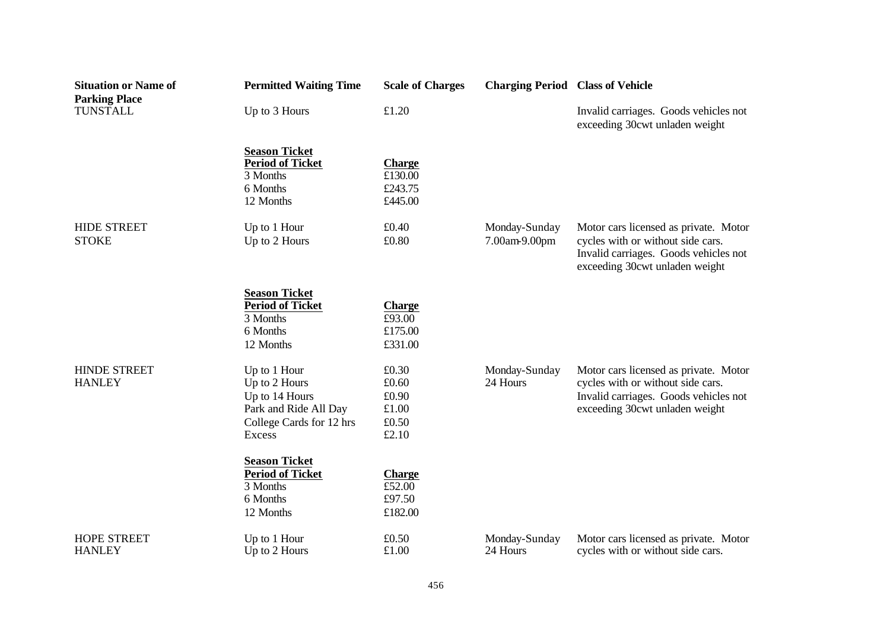| <b>Situation or Name of</b><br><b>Parking Place</b> | <b>Permitted Waiting Time</b>                                                                                  | <b>Scale of Charges</b>                            | <b>Charging Period Class of Vehicle</b> |                                                                                                                                                       |
|-----------------------------------------------------|----------------------------------------------------------------------------------------------------------------|----------------------------------------------------|-----------------------------------------|-------------------------------------------------------------------------------------------------------------------------------------------------------|
| <b>TUNSTALL</b>                                     | Up to 3 Hours                                                                                                  | £1.20                                              |                                         | Invalid carriages. Goods vehicles not<br>exceeding 30cwt unladen weight                                                                               |
|                                                     | <b>Season Ticket</b><br><b>Period of Ticket</b><br>3 Months<br>6 Months<br>12 Months                           | <b>Charge</b><br>£130.00<br>£243.75<br>£445.00     |                                         |                                                                                                                                                       |
| <b>HIDE STREET</b><br><b>STOKE</b>                  | Up to 1 Hour<br>Up to 2 Hours                                                                                  | £0.40<br>£0.80                                     | Monday-Sunday<br>7.00am-9.00pm          | Motor cars licensed as private. Motor<br>cycles with or without side cars.<br>Invalid carriages. Goods vehicles not<br>exceeding 30cwt unladen weight |
|                                                     | <b>Season Ticket</b><br><b>Period of Ticket</b><br>3 Months<br>6 Months<br>12 Months                           | <b>Charge</b><br>£93.00<br>£175.00<br>£331.00      |                                         |                                                                                                                                                       |
| <b>HINDE STREET</b><br><b>HANLEY</b>                | Up to 1 Hour<br>Up to 2 Hours<br>Up to 14 Hours<br>Park and Ride All Day<br>College Cards for 12 hrs<br>Excess | £0.30<br>£0.60<br>£0.90<br>£1.00<br>£0.50<br>£2.10 | Monday-Sunday<br>24 Hours               | Motor cars licensed as private. Motor<br>cycles with or without side cars.<br>Invalid carriages. Goods vehicles not<br>exceeding 30cwt unladen weight |
|                                                     | <b>Season Ticket</b><br><b>Period of Ticket</b><br>3 Months<br>6 Months<br>12 Months                           | <b>Charge</b><br>£52.00<br>£97.50<br>£182.00       |                                         |                                                                                                                                                       |
| <b>HOPE STREET</b><br><b>HANLEY</b>                 | Up to 1 Hour<br>Up to 2 Hours                                                                                  | £0.50<br>£1.00                                     | Monday-Sunday<br>24 Hours               | Motor cars licensed as private. Motor<br>cycles with or without side cars.                                                                            |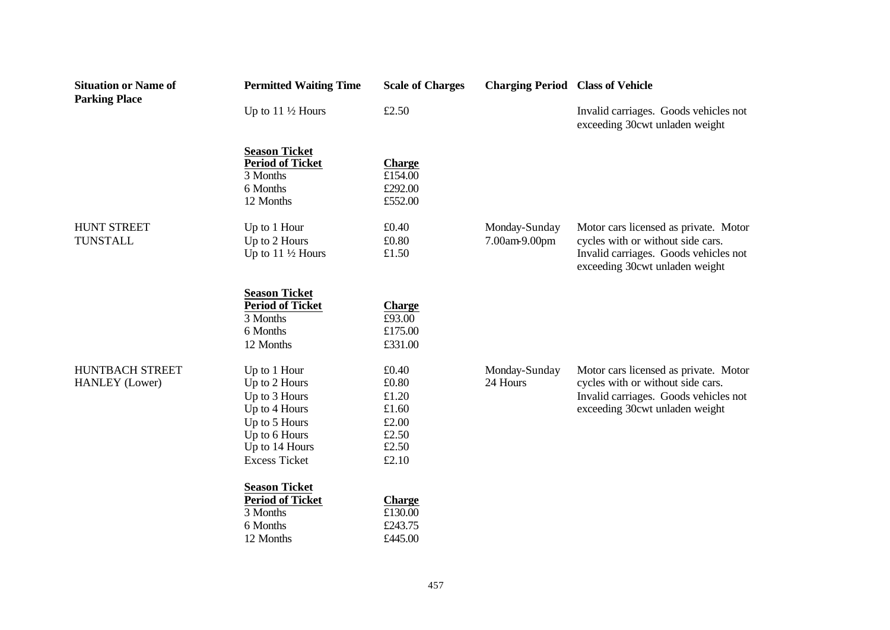| <b>Situation or Name of</b><br><b>Parking Place</b> | <b>Permitted Waiting Time</b>                                                                                                               | <b>Scale of Charges</b>                                              | <b>Charging Period Class of Vehicle</b> |                                                                                                                                                       |
|-----------------------------------------------------|---------------------------------------------------------------------------------------------------------------------------------------------|----------------------------------------------------------------------|-----------------------------------------|-------------------------------------------------------------------------------------------------------------------------------------------------------|
|                                                     | Up to $11\frac{1}{2}$ Hours                                                                                                                 | £2.50                                                                |                                         | Invalid carriages. Goods vehicles not<br>exceeding 30cwt unladen weight                                                                               |
|                                                     | <b>Season Ticket</b><br><b>Period of Ticket</b><br>3 Months<br>6 Months<br>12 Months                                                        | <b>Charge</b><br>£154.00<br>£292.00<br>£552.00                       |                                         |                                                                                                                                                       |
| <b>HUNT STREET</b><br><b>TUNSTALL</b>               | Up to 1 Hour<br>Up to 2 Hours<br>Up to $11\frac{1}{2}$ Hours                                                                                | £0.40<br>£0.80<br>£1.50                                              | Monday-Sunday<br>7.00am-9.00pm          | Motor cars licensed as private. Motor<br>cycles with or without side cars.<br>Invalid carriages. Goods vehicles not<br>exceeding 30cwt unladen weight |
|                                                     | <b>Season Ticket</b><br><b>Period of Ticket</b><br>3 Months<br>6 Months<br>12 Months                                                        | <b>Charge</b><br>£93.00<br>£175.00<br>£331.00                        |                                         |                                                                                                                                                       |
| HUNTBACH STREET<br><b>HANLEY</b> (Lower)            | Up to 1 Hour<br>Up to 2 Hours<br>Up to 3 Hours<br>Up to 4 Hours<br>Up to 5 Hours<br>Up to 6 Hours<br>Up to 14 Hours<br><b>Excess Ticket</b> | £0.40<br>£0.80<br>£1.20<br>£1.60<br>£2.00<br>£2.50<br>£2.50<br>£2.10 | Monday-Sunday<br>24 Hours               | Motor cars licensed as private. Motor<br>cycles with or without side cars.<br>Invalid carriages. Goods vehicles not<br>exceeding 30cwt unladen weight |
|                                                     | <b>Season Ticket</b><br><b>Period of Ticket</b><br>3 Months<br>6 Months<br>12 Months                                                        | <b>Charge</b><br>£130.00<br>£243.75<br>£445.00                       |                                         |                                                                                                                                                       |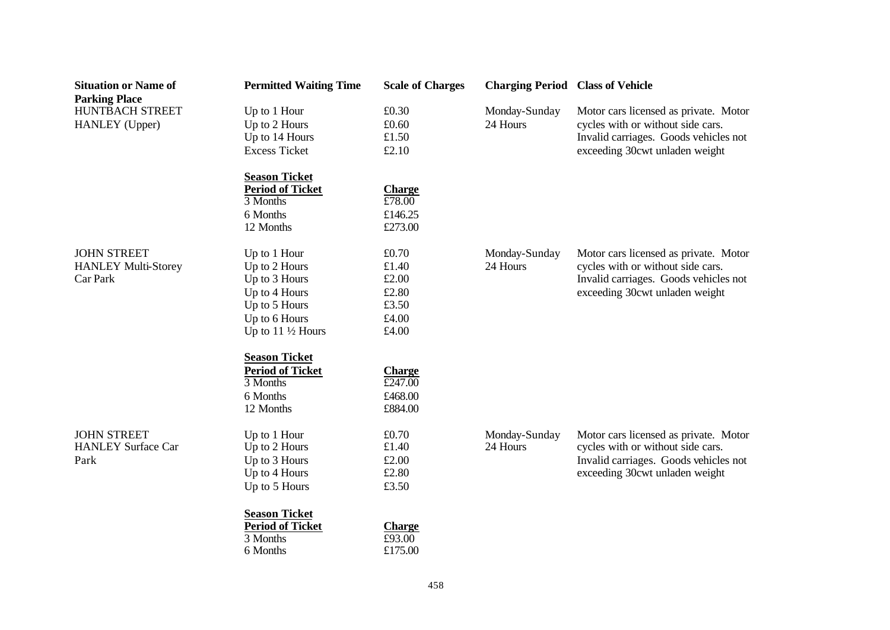| <b>Situation or Name of</b><br><b>Parking Place</b>          | <b>Permitted Waiting Time</b>                                                                                                    | <b>Scale of Charges</b>                                                  | <b>Charging Period Class of Vehicle</b> |                                                                                                                                                       |
|--------------------------------------------------------------|----------------------------------------------------------------------------------------------------------------------------------|--------------------------------------------------------------------------|-----------------------------------------|-------------------------------------------------------------------------------------------------------------------------------------------------------|
| HUNTBACH STREET<br>HANLEY (Upper)                            | Up to 1 Hour<br>Up to 2 Hours<br>Up to 14 Hours<br><b>Excess Ticket</b>                                                          | £0.30<br>£0.60<br>£1.50<br>£2.10                                         | Monday-Sunday<br>24 Hours               | Motor cars licensed as private. Motor<br>cycles with or without side cars.<br>Invalid carriages. Goods vehicles not<br>exceeding 30cwt unladen weight |
|                                                              | <b>Season Ticket</b><br><b>Period of Ticket</b><br>3 Months<br>6 Months<br>12 Months                                             | <b>Charge</b><br>£78.00<br>£146.25<br>£273.00                            |                                         |                                                                                                                                                       |
| <b>JOHN STREET</b><br><b>HANLEY Multi-Storey</b><br>Car Park | Up to 1 Hour<br>Up to 2 Hours<br>Up to 3 Hours<br>Up to 4 Hours<br>Up to 5 Hours<br>Up to 6 Hours<br>Up to $11\frac{1}{2}$ Hours | £0.70<br>£1.40<br>£2.00<br>£2.80<br>£3.50<br>£4.00<br>£4.00              | Monday-Sunday<br>24 Hours               | Motor cars licensed as private. Motor<br>cycles with or without side cars.<br>Invalid carriages. Goods vehicles not<br>exceeding 30cwt unladen weight |
|                                                              | <b>Season Ticket</b><br><b>Period of Ticket</b><br>3 Months<br>6 Months<br>12 Months                                             | <b>Charge</b><br>$\overline{\text{\pounds}247.00}$<br>£468.00<br>£884.00 |                                         |                                                                                                                                                       |
| <b>JOHN STREET</b><br><b>HANLEY Surface Car</b><br>Park      | Up to 1 Hour<br>Up to 2 Hours<br>Up to 3 Hours<br>Up to 4 Hours<br>Up to 5 Hours                                                 | £0.70<br>£1.40<br>£2.00<br>£2.80<br>£3.50                                | Monday-Sunday<br>24 Hours               | Motor cars licensed as private. Motor<br>cycles with or without side cars.<br>Invalid carriages. Goods vehicles not<br>exceeding 30cwt unladen weight |
|                                                              | <b>Season Ticket</b><br><b>Period of Ticket</b><br>3 Months<br>6 Months                                                          | <b>Charge</b><br>£93.00<br>£175.00                                       |                                         |                                                                                                                                                       |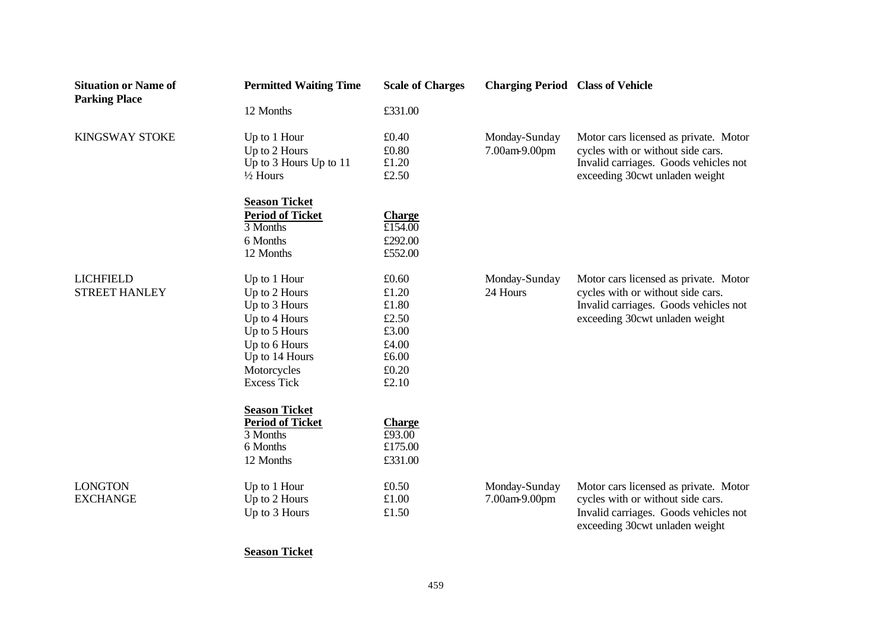| <b>Situation or Name of</b><br><b>Parking Place</b> | <b>Permitted Waiting Time</b>                                                                                                                                                                               | <b>Scale of Charges</b>                                                                                | <b>Charging Period Class of Vehicle</b> |                                                                                                                                                       |
|-----------------------------------------------------|-------------------------------------------------------------------------------------------------------------------------------------------------------------------------------------------------------------|--------------------------------------------------------------------------------------------------------|-----------------------------------------|-------------------------------------------------------------------------------------------------------------------------------------------------------|
|                                                     | 12 Months                                                                                                                                                                                                   | £331.00                                                                                                |                                         |                                                                                                                                                       |
| <b>KINGSWAY STOKE</b>                               | Up to 1 Hour<br>Up to 2 Hours<br>Up to 3 Hours Up to 11<br>$\frac{1}{2}$ Hours                                                                                                                              | £0.40<br>£0.80<br>£1.20<br>£2.50                                                                       | Monday-Sunday<br>7.00am-9.00pm          | Motor cars licensed as private. Motor<br>cycles with or without side cars.<br>Invalid carriages. Goods vehicles not<br>exceeding 30cwt unladen weight |
|                                                     | <b>Season Ticket</b><br><b>Period of Ticket</b><br>3 Months<br>6 Months<br>12 Months                                                                                                                        | <b>Charge</b><br>$\overline{\text{£}154.00}$<br>£292.00<br>£552.00                                     |                                         |                                                                                                                                                       |
| <b>LICHFIELD</b><br><b>STREET HANLEY</b>            | Up to 1 Hour<br>Up to 2 Hours<br>Up to 3 Hours<br>Up to 4 Hours<br>Up to 5 Hours<br>Up to 6 Hours<br>Up to 14 Hours<br>Motorcycles<br><b>Excess Tick</b><br><b>Season Ticket</b><br><b>Period of Ticket</b> | £0.60<br>£1.20<br>$\pounds1.80$<br>£2.50<br>£3.00<br>£4.00<br>£6.00<br>£0.20<br>£2.10<br><b>Charge</b> | Monday-Sunday<br>24 Hours               | Motor cars licensed as private. Motor<br>cycles with or without side cars.<br>Invalid carriages. Goods vehicles not<br>exceeding 30cwt unladen weight |
|                                                     | 3 Months<br>6 Months<br>12 Months                                                                                                                                                                           | £93.00<br>£175.00<br>£331.00                                                                           |                                         |                                                                                                                                                       |
| <b>LONGTON</b><br><b>EXCHANGE</b>                   | Up to 1 Hour<br>Up to 2 Hours<br>Up to 3 Hours                                                                                                                                                              | £0.50<br>£1.00<br>£1.50                                                                                | Monday-Sunday<br>7.00am-9.00pm          | Motor cars licensed as private. Motor<br>cycles with or without side cars.<br>Invalid carriages. Goods vehicles not<br>exceeding 30cwt unladen weight |

**Season Ticket**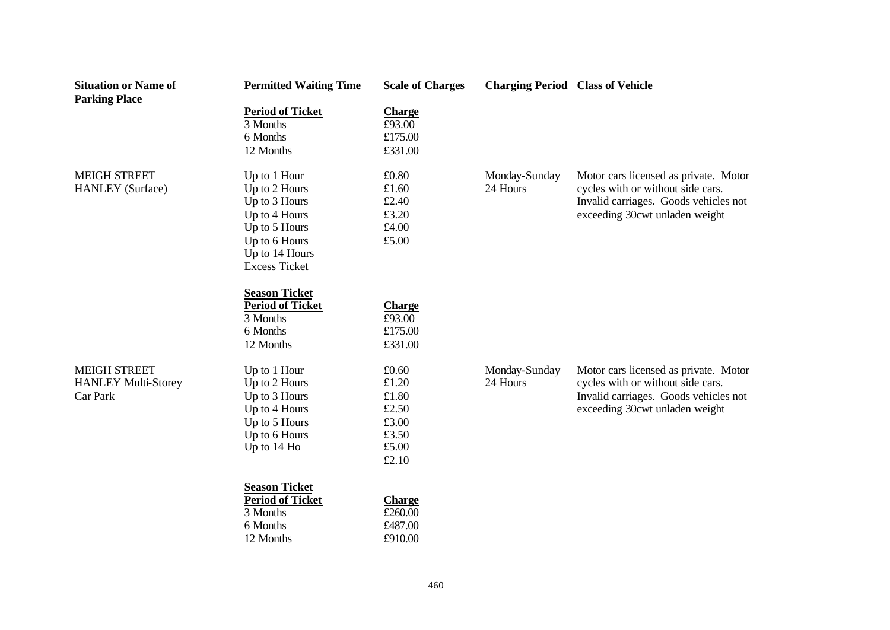| <b>Situation or Name of</b><br><b>Parking Place</b> | <b>Permitted Waiting Time</b>                   | <b>Scale of Charges</b> | <b>Charging Period Class of Vehicle</b> |                                       |
|-----------------------------------------------------|-------------------------------------------------|-------------------------|-----------------------------------------|---------------------------------------|
|                                                     | <b>Period of Ticket</b>                         | <b>Charge</b>           |                                         |                                       |
|                                                     | 3 Months                                        | £93.00                  |                                         |                                       |
|                                                     | 6 Months                                        | £175.00                 |                                         |                                       |
|                                                     | 12 Months                                       | £331.00                 |                                         |                                       |
| <b>MEIGH STREET</b>                                 | Up to 1 Hour                                    | £0.80                   | Monday-Sunday                           | Motor cars licensed as private. Motor |
| <b>HANLEY</b> (Surface)                             | Up to 2 Hours                                   | £1.60                   | 24 Hours                                | cycles with or without side cars.     |
|                                                     | Up to 3 Hours                                   | £2.40                   |                                         | Invalid carriages. Goods vehicles not |
|                                                     | Up to 4 Hours                                   | £3.20                   |                                         | exceeding 30cwt unladen weight        |
|                                                     | Up to 5 Hours                                   | £4.00                   |                                         |                                       |
|                                                     | Up to 6 Hours                                   | £5.00                   |                                         |                                       |
|                                                     | Up to 14 Hours                                  |                         |                                         |                                       |
|                                                     | <b>Excess Ticket</b>                            |                         |                                         |                                       |
|                                                     | <b>Season Ticket</b>                            |                         |                                         |                                       |
|                                                     | <b>Period of Ticket</b>                         | <b>Charge</b>           |                                         |                                       |
|                                                     | 3 Months                                        | £93.00                  |                                         |                                       |
|                                                     | 6 Months                                        | £175.00                 |                                         |                                       |
|                                                     | 12 Months                                       | £331.00                 |                                         |                                       |
| <b>MEIGH STREET</b>                                 | Up to 1 Hour                                    | £0.60                   | Monday-Sunday                           | Motor cars licensed as private. Motor |
| <b>HANLEY Multi-Storey</b>                          | Up to 2 Hours                                   | £1.20                   | 24 Hours                                | cycles with or without side cars.     |
| Car Park                                            | Up to 3 Hours                                   | £1.80                   |                                         | Invalid carriages. Goods vehicles not |
|                                                     | Up to 4 Hours                                   | £2.50                   |                                         | exceeding 30cwt unladen weight        |
|                                                     | Up to 5 Hours                                   | £3.00                   |                                         |                                       |
|                                                     | Up to 6 Hours                                   | £3.50                   |                                         |                                       |
|                                                     | Up to 14 Ho                                     | £5.00                   |                                         |                                       |
|                                                     |                                                 | £2.10                   |                                         |                                       |
|                                                     | <b>Season Ticket</b><br><b>Period of Ticket</b> | <b>Charge</b>           |                                         |                                       |
|                                                     | 3 Months                                        | £260.00                 |                                         |                                       |
|                                                     | 6 Months                                        | £487.00                 |                                         |                                       |
|                                                     | 12 Months                                       | £910.00                 |                                         |                                       |
|                                                     |                                                 |                         |                                         |                                       |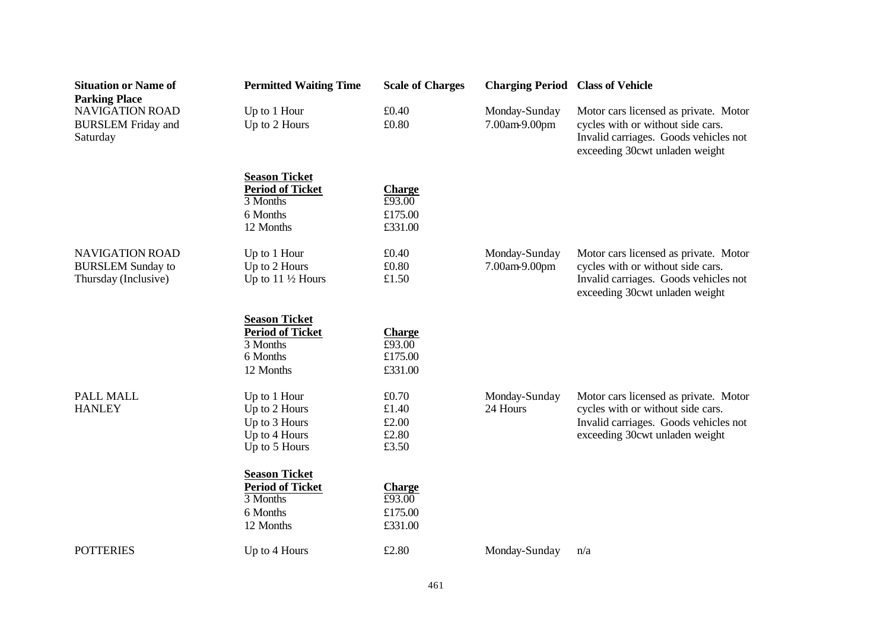| <b>Situation or Name of</b><br><b>Parking Place</b>                        | <b>Permitted Waiting Time</b>                                                                                                       | <b>Scale of Charges</b>                                    | <b>Charging Period Class of Vehicle</b> |                                                                                                                                                       |
|----------------------------------------------------------------------------|-------------------------------------------------------------------------------------------------------------------------------------|------------------------------------------------------------|-----------------------------------------|-------------------------------------------------------------------------------------------------------------------------------------------------------|
| <b>NAVIGATION ROAD</b>                                                     | Up to 1 Hour                                                                                                                        | £0.40                                                      | Monday-Sunday                           | Motor cars licensed as private. Motor                                                                                                                 |
| <b>BURSLEM</b> Friday and<br>Saturday                                      | Up to 2 Hours                                                                                                                       | £0.80                                                      | 7.00am-9.00pm                           | cycles with or without side cars.<br>Invalid carriages. Goods vehicles not<br>exceeding 30cwt unladen weight                                          |
|                                                                            | <b>Season Ticket</b><br><b>Period of Ticket</b><br>3 Months<br>6 Months<br>12 Months                                                | <b>Charge</b><br>£93.00<br>£175.00<br>£331.00              |                                         |                                                                                                                                                       |
| <b>NAVIGATION ROAD</b><br><b>BURSLEM Sunday to</b><br>Thursday (Inclusive) | Up to 1 Hour<br>Up to 2 Hours<br>Up to $11\frac{1}{2}$ Hours                                                                        | £0.40<br>£0.80<br>£1.50                                    | Monday-Sunday<br>7.00am-9.00pm          | Motor cars licensed as private. Motor<br>cycles with or without side cars.<br>Invalid carriages. Goods vehicles not<br>exceeding 30cwt unladen weight |
|                                                                            | <b>Season Ticket</b><br><b>Period of Ticket</b><br>3 Months<br>6 Months<br>12 Months                                                | <b>Charge</b><br>£93.00<br>£175.00<br>£331.00              |                                         |                                                                                                                                                       |
| <b>PALL MALL</b><br><b>HANLEY</b>                                          | Up to 1 Hour<br>Up to 2 Hours<br>Up to 3 Hours<br>Up to 4 Hours<br>Up to 5 Hours<br><b>Season Ticket</b><br><b>Period of Ticket</b> | £0.70<br>£1.40<br>£2.00<br>£2.80<br>£3.50<br><b>Charge</b> | Monday-Sunday<br>24 Hours               | Motor cars licensed as private. Motor<br>cycles with or without side cars.<br>Invalid carriages. Goods vehicles not<br>exceeding 30cwt unladen weight |
|                                                                            | 3 Months<br>6 Months<br>12 Months                                                                                                   | £93.00<br>£175.00<br>£331.00                               |                                         |                                                                                                                                                       |
| <b>POTTERIES</b>                                                           | Up to 4 Hours                                                                                                                       | £2.80                                                      | Monday-Sunday                           | n/a                                                                                                                                                   |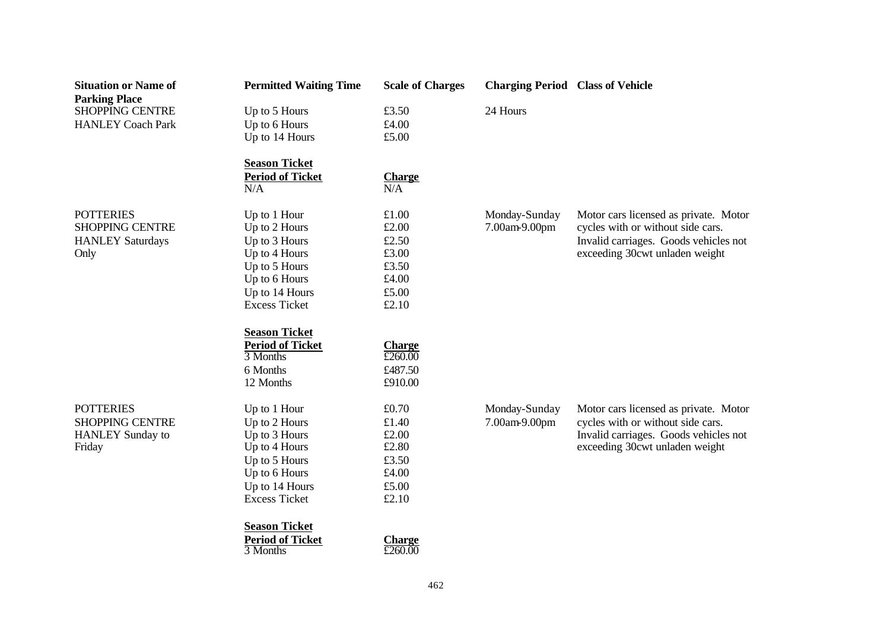| <b>Situation or Name of</b> | <b>Permitted Waiting Time</b> | <b>Scale of Charges</b> | <b>Charging Period Class of Vehicle</b> |                                       |
|-----------------------------|-------------------------------|-------------------------|-----------------------------------------|---------------------------------------|
| <b>Parking Place</b>        |                               |                         |                                         |                                       |
| <b>SHOPPING CENTRE</b>      | Up to 5 Hours                 | £3.50                   | 24 Hours                                |                                       |
| <b>HANLEY Coach Park</b>    | Up to 6 Hours                 | £4.00                   |                                         |                                       |
|                             | Up to 14 Hours                | £5.00                   |                                         |                                       |
|                             | <b>Season Ticket</b>          |                         |                                         |                                       |
|                             | <b>Period of Ticket</b>       | <b>Charge</b>           |                                         |                                       |
|                             | N/A                           | N/A                     |                                         |                                       |
| <b>POTTERIES</b>            | Up to 1 Hour                  | £1.00                   | Monday-Sunday                           | Motor cars licensed as private. Motor |
| <b>SHOPPING CENTRE</b>      | Up to 2 Hours                 | £2.00                   | 7.00am-9.00pm                           | cycles with or without side cars.     |
| <b>HANLEY Saturdays</b>     | Up to 3 Hours                 | £2.50                   |                                         | Invalid carriages. Goods vehicles not |
| Only                        | Up to 4 Hours                 | £3.00                   |                                         | exceeding 30cwt unladen weight        |
|                             | Up to 5 Hours                 | £3.50                   |                                         |                                       |
|                             | Up to 6 Hours                 | £4.00                   |                                         |                                       |
|                             | Up to 14 Hours                | £5.00                   |                                         |                                       |
|                             | <b>Excess Ticket</b>          | £2.10                   |                                         |                                       |
|                             | <b>Season Ticket</b>          |                         |                                         |                                       |
|                             | <b>Period of Ticket</b>       | <b>Charge</b>           |                                         |                                       |
|                             | 3 Months                      | £260.00                 |                                         |                                       |
|                             | 6 Months                      | £487.50                 |                                         |                                       |
|                             | 12 Months                     | £910.00                 |                                         |                                       |
| <b>POTTERIES</b>            | Up to 1 Hour                  | £0.70                   | Monday-Sunday                           | Motor cars licensed as private. Motor |
| <b>SHOPPING CENTRE</b>      | Up to 2 Hours                 | £1.40                   | 7.00am-9.00pm                           | cycles with or without side cars.     |
| <b>HANLEY</b> Sunday to     | Up to 3 Hours                 | £2.00                   |                                         | Invalid carriages. Goods vehicles not |
| Friday                      | Up to 4 Hours                 | £2.80                   |                                         | exceeding 30cwt unladen weight        |
|                             | Up to 5 Hours                 | £3.50                   |                                         |                                       |
|                             | Up to 6 Hours                 | £4.00                   |                                         |                                       |
|                             | Up to 14 Hours                | £5.00                   |                                         |                                       |
|                             | <b>Excess Ticket</b>          | £2.10                   |                                         |                                       |
|                             | <b>Season Ticket</b>          |                         |                                         |                                       |
|                             | <b>Period of Ticket</b>       | <b>Charge</b>           |                                         |                                       |
|                             | 3 Months                      | £260.00                 |                                         |                                       |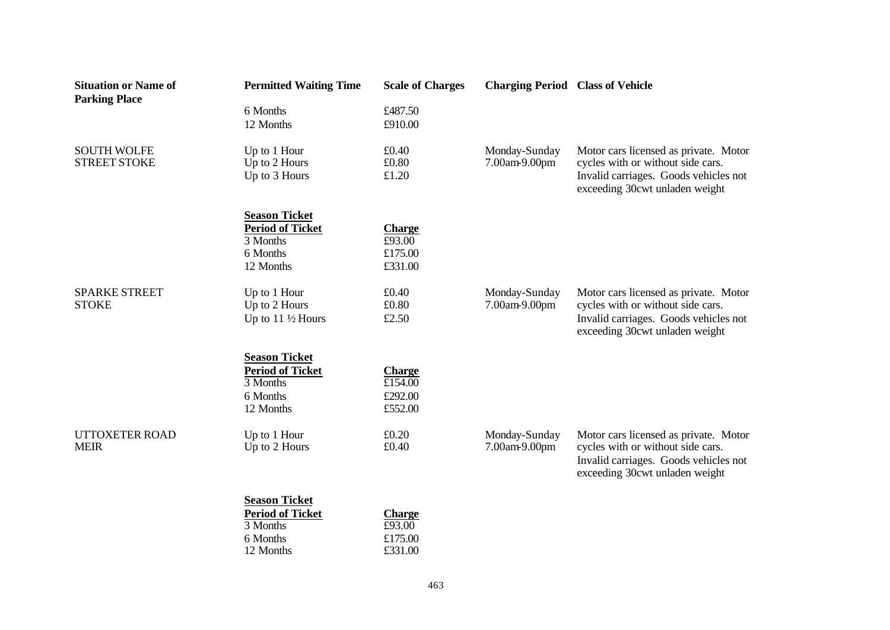| <b>Situation or Name of</b><br><b>Parking Place</b> | <b>Permitted Waiting Time</b>                | <b>Scale of Charges</b> | <b>Charging Period Class of Vehicle</b> |                                                                                                                                                       |
|-----------------------------------------------------|----------------------------------------------|-------------------------|-----------------------------------------|-------------------------------------------------------------------------------------------------------------------------------------------------------|
|                                                     | 6 Months                                     | £487.50                 |                                         |                                                                                                                                                       |
|                                                     | 12 Months                                    | £910.00                 |                                         |                                                                                                                                                       |
| <b>SOUTH WOLFE</b><br><b>STREET STOKE</b>           | Up to 1 Hour<br>Up to 2 Hours                | £0.40<br>£0.80          | Monday-Sunday<br>7.00am-9.00pm          | Motor cars licensed as private. Motor<br>cycles with or without side cars.                                                                            |
|                                                     | Up to 3 Hours                                | £1.20                   |                                         | Invalid carriages. Goods vehicles not<br>exceeding 30cwt unladen weight                                                                               |
|                                                     | <b>Season Ticket</b>                         |                         |                                         |                                                                                                                                                       |
|                                                     | <b>Period of Ticket</b><br>3 Months          | <b>Charge</b><br>£93.00 |                                         |                                                                                                                                                       |
|                                                     | 6 Months                                     | £175.00                 |                                         |                                                                                                                                                       |
|                                                     | 12 Months                                    | £331.00                 |                                         |                                                                                                                                                       |
| <b>SPARKE STREET</b>                                | Up to 1 Hour                                 | £0.40                   | Monday-Sunday                           | Motor cars licensed as private. Motor                                                                                                                 |
| <b>STOKE</b>                                        | Up to 2 Hours<br>Up to $11\frac{1}{2}$ Hours | £0.80<br>£2.50          | 7.00am-9.00pm                           | cycles with or without side cars.<br>Invalid carriages. Goods vehicles not<br>exceeding 30cwt unladen weight                                          |
|                                                     | <b>Season Ticket</b>                         |                         |                                         |                                                                                                                                                       |
|                                                     | <b>Period of Ticket</b>                      | <b>Charge</b>           |                                         |                                                                                                                                                       |
|                                                     | 3 Months                                     | £154.00                 |                                         |                                                                                                                                                       |
|                                                     | 6 Months<br>12 Months                        | £292.00<br>£552.00      |                                         |                                                                                                                                                       |
| <b>UTTOXETER ROAD</b><br><b>MEIR</b>                | Up to 1 Hour<br>Up to 2 Hours                | £0.20<br>£0.40          | Monday-Sunday<br>7.00am-9.00pm          | Motor cars licensed as private. Motor<br>cycles with or without side cars.<br>Invalid carriages. Goods vehicles not<br>exceeding 30cwt unladen weight |
|                                                     | <b>Season Ticket</b>                         |                         |                                         |                                                                                                                                                       |
|                                                     | <b>Period of Ticket</b>                      | <b>Charge</b>           |                                         |                                                                                                                                                       |
|                                                     | 3 Months                                     | £93.00                  |                                         |                                                                                                                                                       |
|                                                     | 6 Months                                     | £175.00<br>£331.00      |                                         |                                                                                                                                                       |
|                                                     | 12 Months                                    |                         |                                         |                                                                                                                                                       |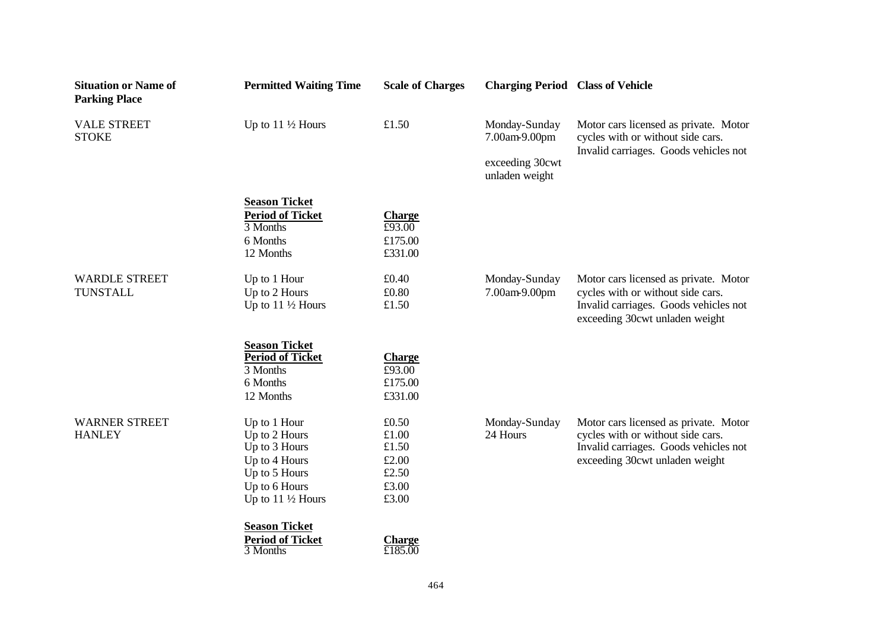| <b>Situation or Name of</b><br><b>Parking Place</b> | <b>Permitted Waiting Time</b> | <b>Scale of Charges</b> | <b>Charging Period Class of Vehicle</b> |                                                                                                                     |
|-----------------------------------------------------|-------------------------------|-------------------------|-----------------------------------------|---------------------------------------------------------------------------------------------------------------------|
| <b>VALE STREET</b><br><b>STOKE</b>                  | Up to $11\frac{1}{2}$ Hours   | £1.50                   | Monday-Sunday<br>7.00am-9.00pm          | Motor cars licensed as private. Motor<br>cycles with or without side cars.<br>Invalid carriages. Goods vehicles not |
|                                                     |                               |                         | exceeding 30cwt<br>unladen weight       |                                                                                                                     |
|                                                     | <b>Season Ticket</b>          |                         |                                         |                                                                                                                     |
|                                                     | <b>Period of Ticket</b>       | <b>Charge</b>           |                                         |                                                                                                                     |
|                                                     | 3 Months                      | £93.00                  |                                         |                                                                                                                     |
|                                                     | 6 Months                      | £175.00                 |                                         |                                                                                                                     |
|                                                     | 12 Months                     | £331.00                 |                                         |                                                                                                                     |
| <b>WARDLE STREET</b>                                | Up to 1 Hour                  | £0.40                   | Monday-Sunday                           | Motor cars licensed as private. Motor                                                                               |
| <b>TUNSTALL</b>                                     | Up to 2 Hours                 | £0.80                   | 7.00am-9.00pm                           | cycles with or without side cars.                                                                                   |
|                                                     | Up to $11\frac{1}{2}$ Hours   | £1.50                   |                                         | Invalid carriages. Goods vehicles not<br>exceeding 30cwt unladen weight                                             |
|                                                     | <b>Season Ticket</b>          |                         |                                         |                                                                                                                     |
|                                                     | <b>Period of Ticket</b>       | <b>Charge</b>           |                                         |                                                                                                                     |
|                                                     | 3 Months                      | £93.00                  |                                         |                                                                                                                     |
|                                                     | 6 Months                      | £175.00                 |                                         |                                                                                                                     |
|                                                     | 12 Months                     | £331.00                 |                                         |                                                                                                                     |
| <b>WARNER STREET</b>                                | Up to 1 Hour                  | £0.50                   | Monday-Sunday                           | Motor cars licensed as private. Motor                                                                               |
| <b>HANLEY</b>                                       | Up to 2 Hours                 | £1.00                   | 24 Hours                                | cycles with or without side cars.                                                                                   |
|                                                     | Up to 3 Hours                 | £1.50                   |                                         | Invalid carriages. Goods vehicles not                                                                               |
|                                                     | Up to 4 Hours                 | £2.00                   |                                         | exceeding 30cwt unladen weight                                                                                      |
|                                                     | Up to 5 Hours                 | £2.50                   |                                         |                                                                                                                     |
|                                                     | Up to 6 Hours                 | £3.00                   |                                         |                                                                                                                     |
|                                                     | Up to $11\frac{1}{2}$ Hours   | £3.00                   |                                         |                                                                                                                     |
|                                                     | <b>Season Ticket</b>          |                         |                                         |                                                                                                                     |
|                                                     | <b>Period of Ticket</b>       | <b>Charge</b>           |                                         |                                                                                                                     |
|                                                     | 3 Months                      | £185.00                 |                                         |                                                                                                                     |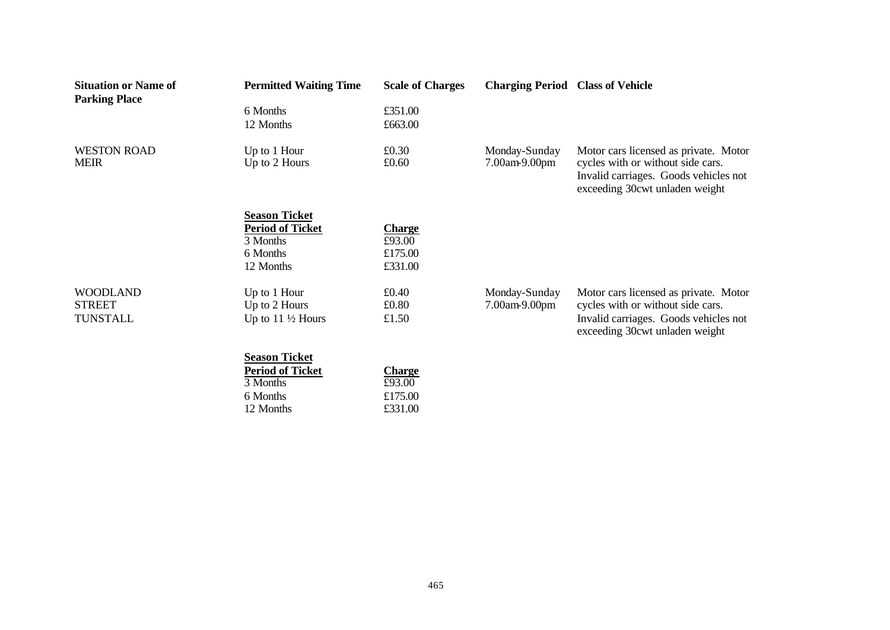| <b>Situation or Name of</b><br><b>Parking Place</b> | <b>Permitted Waiting Time</b>       | <b>Scale of Charges</b> | <b>Charging Period Class of Vehicle</b> |                                                                                                              |
|-----------------------------------------------------|-------------------------------------|-------------------------|-----------------------------------------|--------------------------------------------------------------------------------------------------------------|
|                                                     | 6 Months                            | £351.00                 |                                         |                                                                                                              |
|                                                     | 12 Months                           | £663.00                 |                                         |                                                                                                              |
| <b>WESTON ROAD</b><br><b>MEIR</b>                   | Up to 1 Hour                        | £0.30                   | Monday-Sunday                           | Motor cars licensed as private. Motor                                                                        |
|                                                     | Up to 2 Hours                       | £0.60                   | 7.00am-9.00pm                           | cycles with or without side cars.<br>Invalid carriages. Goods vehicles not<br>exceeding 30cwt unladen weight |
|                                                     | <b>Season Ticket</b>                |                         |                                         |                                                                                                              |
|                                                     | <b>Period of Ticket</b><br>3 Months | <b>Charge</b><br>£93.00 |                                         |                                                                                                              |
|                                                     | 6 Months                            | £175.00                 |                                         |                                                                                                              |
|                                                     | 12 Months                           | £331.00                 |                                         |                                                                                                              |
| <b>WOODLAND</b>                                     | Up to 1 Hour                        | £0.40                   | Monday-Sunday                           | Motor cars licensed as private. Motor                                                                        |
| <b>STREET</b>                                       | Up to 2 Hours                       | £0.80                   | 7.00am-9.00pm                           | cycles with or without side cars.                                                                            |
| TUNSTALL                                            | Up to $11\frac{1}{2}$ Hours         | £1.50                   |                                         | Invalid carriages. Goods vehicles not<br>exceeding 30cwt unladen weight                                      |
|                                                     | <b>Season Ticket</b>                |                         |                                         |                                                                                                              |
|                                                     | <b>Period of Ticket</b>             | <b>Charge</b>           |                                         |                                                                                                              |

3 Months £93.00 6 Months  $£175.00$ <br>12 Months  $£331.00$ 

12 Months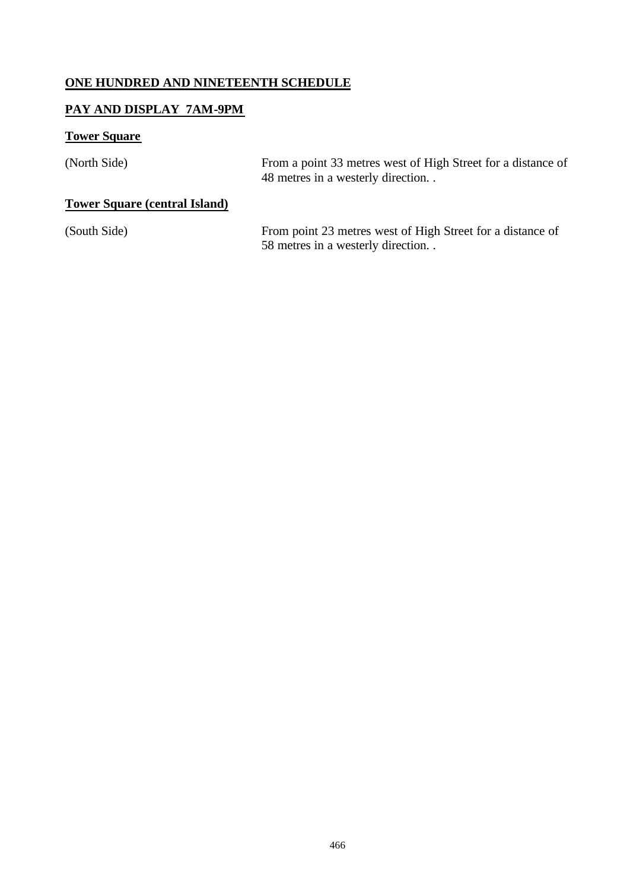# **ONE HUNDRED AND NINETEENTH SCHEDULE**

#### **PAY AND DISPLAY 7AM-9PM**

#### **Tower Square**

(North Side) From a point 33 metres west of High Street for a distance of 48 metres in a westerly direction. .

# **Tower Square (central Island)**

(South Side) From point 23 metres west of High Street for a distance of 58 metres in a westerly direction. .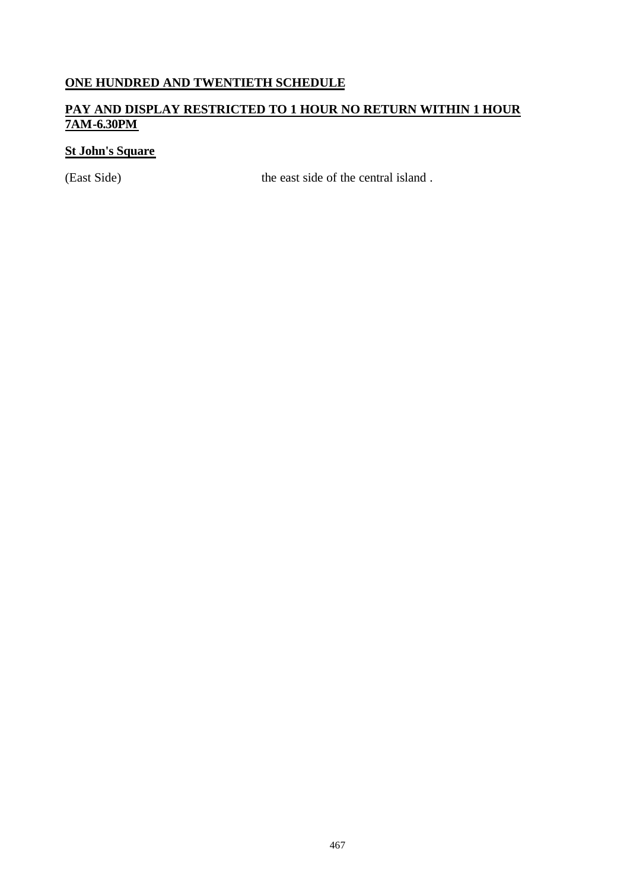# **ONE HUNDRED AND TWENTIETH SCHEDULE**

#### **PAY AND DISPLAY RESTRICTED TO 1 HOUR NO RETURN WITHIN 1 HOUR 7AM-6.30PM**

# **St John's Square**

(East Side) the east side of the central island .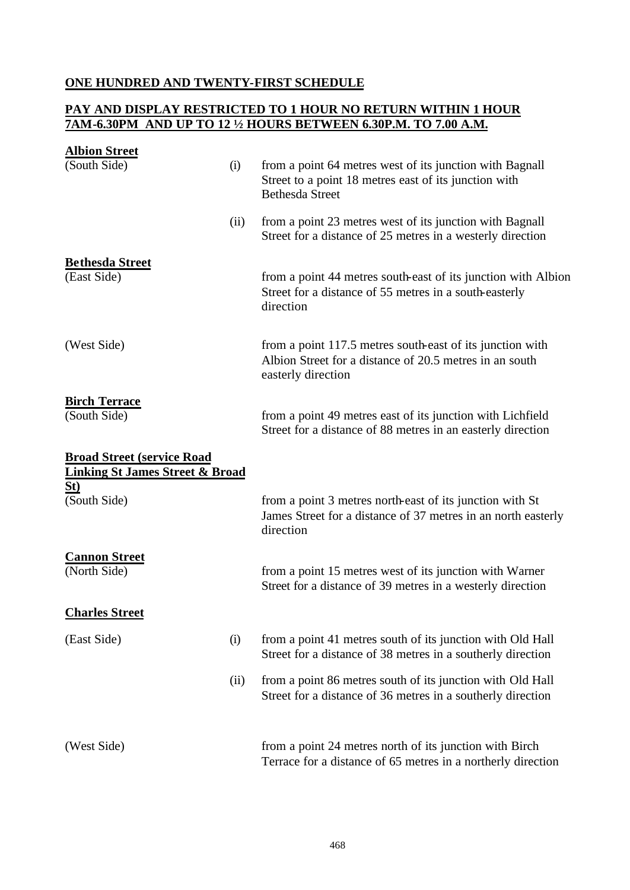#### **ONE HUNDRED AND TWENTY-FIRST SCHEDULE**

#### **PAY AND DISPLAY RESTRICTED TO 1 HOUR NO RETURN WITHIN 1 HOUR 7AM-6.30PM AND UP TO 12 ½ HOURS BETWEEN 6.30P.M. TO 7.00 A.M.**

| <b>Albion Street</b>                                                            |      |                                                                                                                                             |
|---------------------------------------------------------------------------------|------|---------------------------------------------------------------------------------------------------------------------------------------------|
| (South Side)                                                                    | (i)  | from a point 64 metres west of its junction with Bagnall<br>Street to a point 18 metres east of its junction with<br><b>Bethesda Street</b> |
|                                                                                 | (ii) | from a point 23 metres west of its junction with Bagnall<br>Street for a distance of 25 metres in a westerly direction                      |
| <b>Bethesda Street</b><br>(East Side)                                           |      | from a point 44 metres south-east of its junction with Albion<br>Street for a distance of 55 metres in a south-easterly<br>direction        |
| (West Side)                                                                     |      | from a point 117.5 metres south-east of its junction with<br>Albion Street for a distance of 20.5 metres in an south<br>easterly direction  |
| <b>Birch Terrace</b><br>(South Side)                                            |      | from a point 49 metres east of its junction with Lichfield<br>Street for a distance of 88 metres in an easterly direction                   |
| <b>Broad Street (service Road</b><br><b>Linking St James Street &amp; Broad</b> |      |                                                                                                                                             |
| St)<br>(South Side)                                                             |      | from a point 3 metres north-east of its junction with St<br>James Street for a distance of 37 metres in an north easterly<br>direction      |
| <b>Cannon Street</b><br>(North Side)                                            |      | from a point 15 metres west of its junction with Warner<br>Street for a distance of 39 metres in a westerly direction                       |
| <b>Charles Street</b>                                                           |      |                                                                                                                                             |
| (East Side)                                                                     | (i)  | from a point 41 metres south of its junction with Old Hall<br>Street for a distance of 38 metres in a southerly direction                   |
|                                                                                 | (ii) | from a point 86 metres south of its junction with Old Hall<br>Street for a distance of 36 metres in a southerly direction                   |
| (West Side)                                                                     |      | from a point 24 metres north of its junction with Birch<br>Terrace for a distance of 65 metres in a northerly direction                     |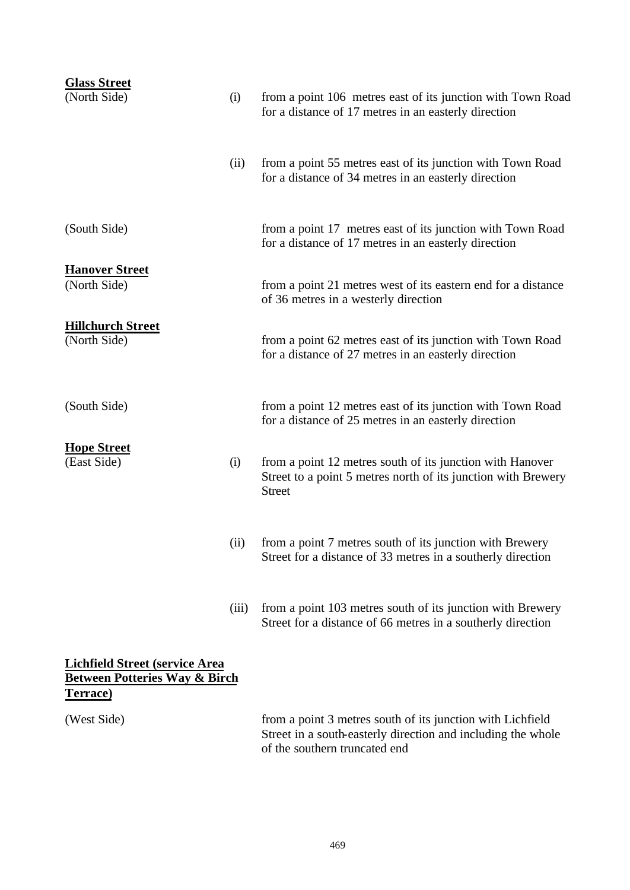| <b>Glass Street</b><br>(North Side)                                                                   | (i)   | from a point 106 metres east of its junction with Town Road<br>for a distance of 17 metres in an easterly direction                         |
|-------------------------------------------------------------------------------------------------------|-------|---------------------------------------------------------------------------------------------------------------------------------------------|
|                                                                                                       | (ii)  | from a point 55 metres east of its junction with Town Road<br>for a distance of 34 metres in an easterly direction                          |
| (South Side)                                                                                          |       | from a point 17 metres east of its junction with Town Road<br>for a distance of 17 metres in an easterly direction                          |
| <b>Hanover Street</b><br>(North Side)                                                                 |       | from a point 21 metres west of its eastern end for a distance<br>of 36 metres in a westerly direction                                       |
| <b>Hillchurch Street</b><br>(North Side)                                                              |       | from a point 62 metres east of its junction with Town Road<br>for a distance of 27 metres in an easterly direction                          |
| (South Side)                                                                                          |       | from a point 12 metres east of its junction with Town Road<br>for a distance of 25 metres in an easterly direction                          |
| <b>Hope Street</b><br>(East Side)                                                                     | (i)   | from a point 12 metres south of its junction with Hanover<br>Street to a point 5 metres north of its junction with Brewery<br><b>Street</b> |
|                                                                                                       | (ii)  | from a point 7 metres south of its junction with Brewery<br>Street for a distance of 33 metres in a southerly direction                     |
|                                                                                                       | (iii) | from a point 103 metres south of its junction with Brewery<br>Street for a distance of 66 metres in a southerly direction                   |
| <b>Lichfield Street (service Area</b><br><b>Between Potteries Way &amp; Birch</b><br><b>Terrace</b> ) |       |                                                                                                                                             |

(West Side) from a point 3 metres south of its junction with Lichfield Street in a south-easterly direction and including the whole of the southern truncated end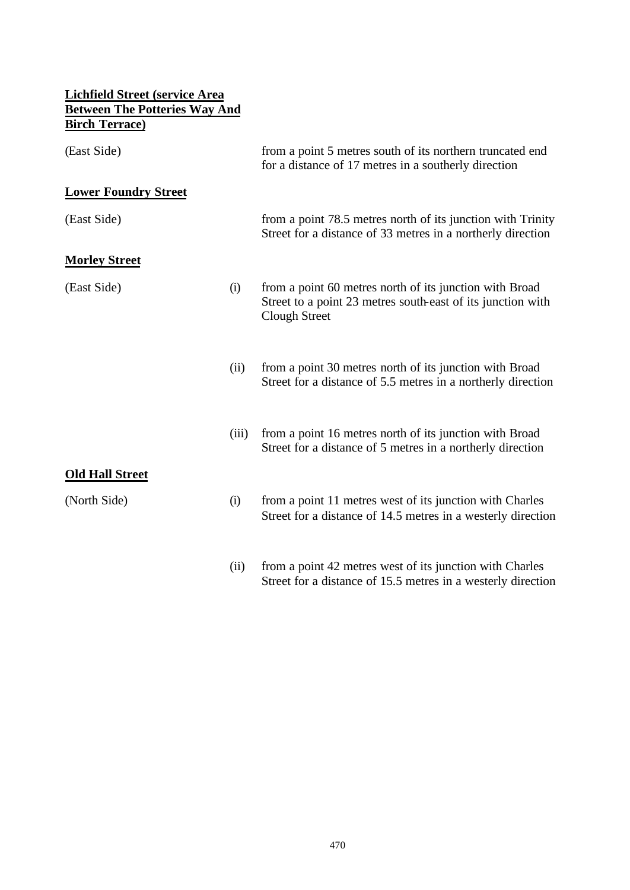| Lichfield Street (service Area                                |       |                                                                                                                                                |
|---------------------------------------------------------------|-------|------------------------------------------------------------------------------------------------------------------------------------------------|
| <b>Between The Potteries Way And</b><br><b>Birch Terrace)</b> |       |                                                                                                                                                |
| (East Side)                                                   |       | from a point 5 metres south of its northern truncated end<br>for a distance of 17 metres in a southerly direction                              |
| <b>Lower Foundry Street</b>                                   |       |                                                                                                                                                |
| (East Side)                                                   |       | from a point 78.5 metres north of its junction with Trinity<br>Street for a distance of 33 metres in a northerly direction                     |
| <b>Morley Street</b>                                          |       |                                                                                                                                                |
| (East Side)                                                   | (i)   | from a point 60 metres north of its junction with Broad<br>Street to a point 23 metres south-east of its junction with<br><b>Clough Street</b> |
|                                                               | (ii)  | from a point 30 metres north of its junction with Broad<br>Street for a distance of 5.5 metres in a northerly direction                        |
|                                                               | (iii) | from a point 16 metres north of its junction with Broad<br>Street for a distance of 5 metres in a northerly direction                          |
| <b>Old Hall Street</b>                                        |       |                                                                                                                                                |
| (North Side)                                                  | (i)   | from a point 11 metres west of its junction with Charles<br>Street for a distance of 14.5 metres in a westerly direction                       |
|                                                               | (ii)  | from a point 42 metres west of its junction with Charles<br>Street for a distance of 15.5 metres in a westerly direction                       |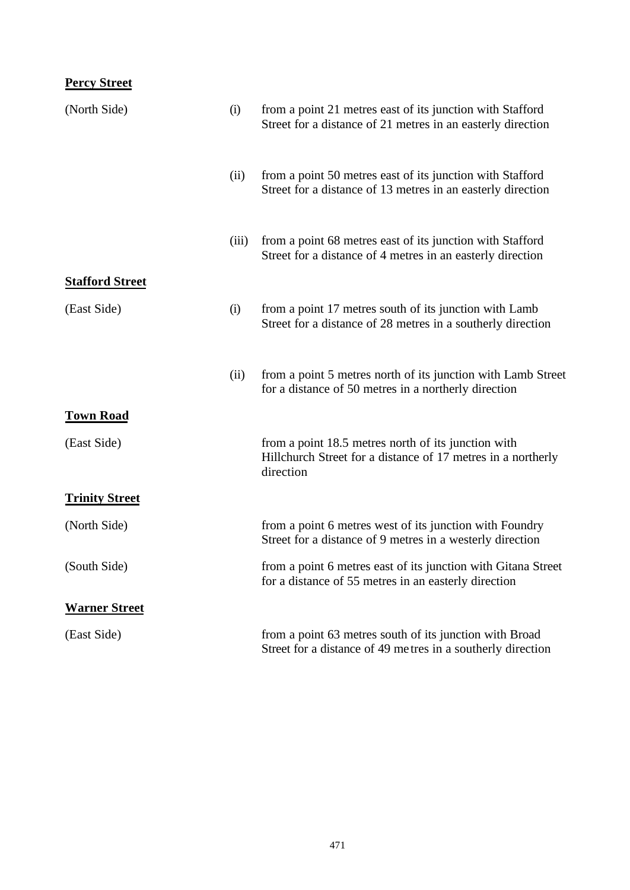# **Percy Street**

| (North Side)           | (i)   | from a point 21 metres east of its junction with Stafford<br>Street for a distance of 21 metres in an easterly direction         |
|------------------------|-------|----------------------------------------------------------------------------------------------------------------------------------|
|                        | (ii)  | from a point 50 metres east of its junction with Stafford<br>Street for a distance of 13 metres in an easterly direction         |
|                        | (iii) | from a point 68 metres east of its junction with Stafford<br>Street for a distance of 4 metres in an easterly direction          |
| <b>Stafford Street</b> |       |                                                                                                                                  |
| (East Side)            | (i)   | from a point 17 metres south of its junction with Lamb<br>Street for a distance of 28 metres in a southerly direction            |
|                        | (ii)  | from a point 5 metres north of its junction with Lamb Street<br>for a distance of 50 metres in a northerly direction             |
| <b>Town Road</b>       |       |                                                                                                                                  |
| (East Side)            |       | from a point 18.5 metres north of its junction with<br>Hillchurch Street for a distance of 17 metres in a northerly<br>direction |
| <b>Trinity Street</b>  |       |                                                                                                                                  |
| (North Side)           |       | from a point 6 metres west of its junction with Foundry<br>Street for a distance of 9 metres in a westerly direction             |
| (South Side)           |       | from a point 6 metres east of its junction with Gitana Street<br>for a distance of 55 metres in an easterly direction            |
| <b>Warner Street</b>   |       |                                                                                                                                  |
| (East Side)            |       | from a point 63 metres south of its junction with Broad<br>Street for a distance of 49 metres in a southerly direction           |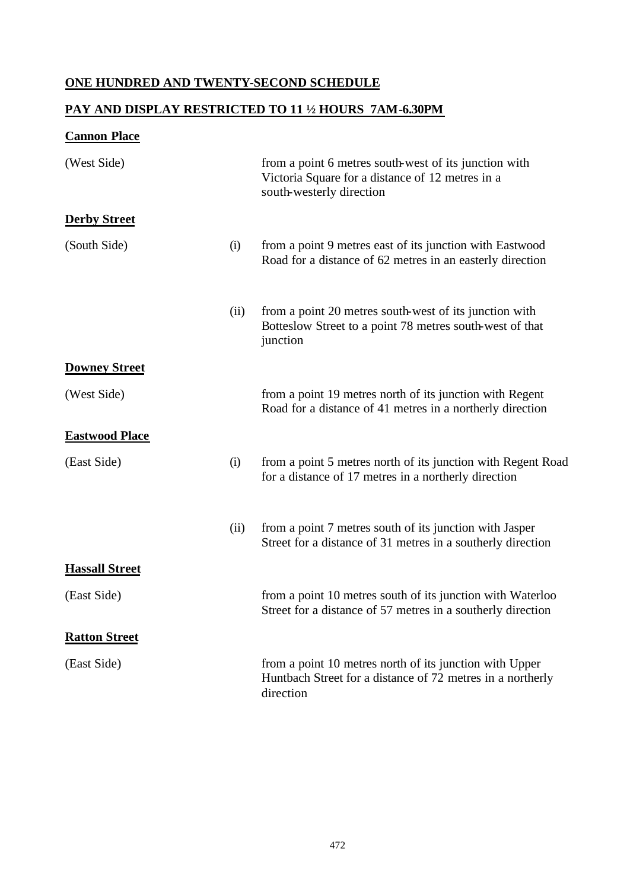# **ONE HUNDRED AND TWENTY-SECOND SCHEDULE**

# **PAY AND DISPLAY RESTRICTED TO 11 ½ HOURS 7AM-6.30PM**

#### **Cannon Place**

| (West Side)           |      | from a point 6 metres south-west of its junction with<br>Victoria Square for a distance of 12 metres in a<br>south-westerly direction |
|-----------------------|------|---------------------------------------------------------------------------------------------------------------------------------------|
| <b>Derby Street</b>   |      |                                                                                                                                       |
| (South Side)          | (i)  | from a point 9 metres east of its junction with Eastwood<br>Road for a distance of 62 metres in an easterly direction                 |
|                       | (ii) | from a point 20 metres south-west of its junction with<br>Botteslow Street to a point 78 metres south-west of that<br>junction        |
| <b>Downey Street</b>  |      |                                                                                                                                       |
| (West Side)           |      | from a point 19 metres north of its junction with Regent<br>Road for a distance of 41 metres in a northerly direction                 |
| <b>Eastwood Place</b> |      |                                                                                                                                       |
| (East Side)           | (i)  | from a point 5 metres north of its junction with Regent Road<br>for a distance of 17 metres in a northerly direction                  |
|                       | (ii) | from a point 7 metres south of its junction with Jasper<br>Street for a distance of 31 metres in a southerly direction                |
| <b>Hassall Street</b> |      |                                                                                                                                       |
| (East Side)           |      | from a point 10 metres south of its junction with Waterloo<br>Street for a distance of 57 metres in a southerly direction             |
| <b>Ratton Street</b>  |      |                                                                                                                                       |
| (East Side)           |      | from a point 10 metres north of its junction with Upper<br>Huntbach Street for a distance of 72 metres in a northerly<br>direction    |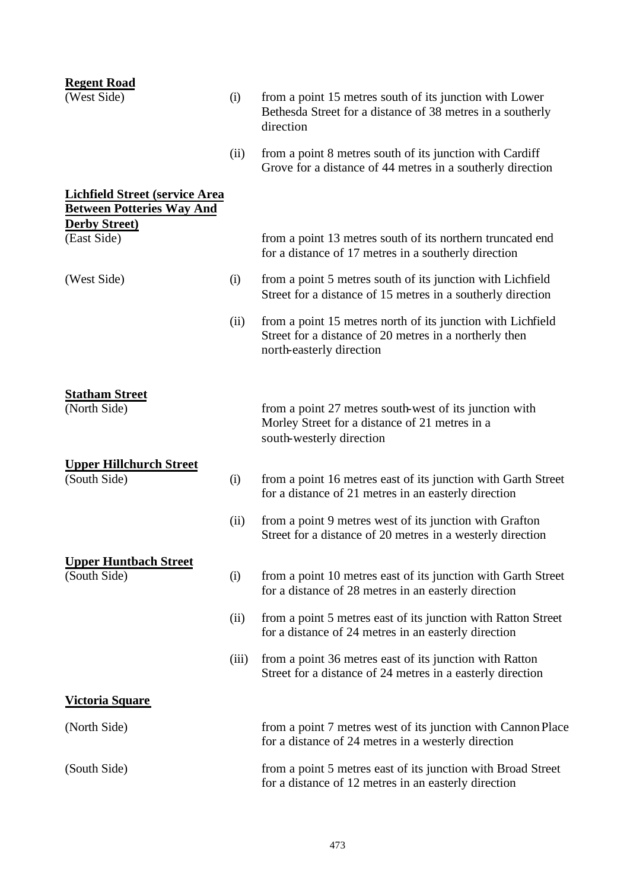| <b>Regent Road</b><br>(West Side)                                         | (i)   | from a point 15 metres south of its junction with Lower<br>Bethesda Street for a distance of 38 metres in a southerly                             |
|---------------------------------------------------------------------------|-------|---------------------------------------------------------------------------------------------------------------------------------------------------|
|                                                                           |       | direction                                                                                                                                         |
|                                                                           | (ii)  | from a point 8 metres south of its junction with Cardiff<br>Grove for a distance of 44 metres in a southerly direction                            |
| <b>Lichfield Street (service Area</b><br><b>Between Potteries Way And</b> |       |                                                                                                                                                   |
| <b>Derby Street)</b><br>(East Side)                                       |       | from a point 13 metres south of its northern truncated end<br>for a distance of 17 metres in a southerly direction                                |
| (West Side)                                                               | (i)   | from a point 5 metres south of its junction with Lichfield<br>Street for a distance of 15 metres in a southerly direction                         |
|                                                                           | (ii)  | from a point 15 metres north of its junction with Lichfield<br>Street for a distance of 20 metres in a northerly then<br>north-easterly direction |
| <b>Statham Street</b><br>(North Side)                                     |       | from a point 27 metres south-west of its junction with<br>Morley Street for a distance of 21 metres in a<br>south-westerly direction              |
| <b>Upper Hillchurch Street</b>                                            |       |                                                                                                                                                   |
| (South Side)                                                              | (i)   | from a point 16 metres east of its junction with Garth Street<br>for a distance of 21 metres in an easterly direction                             |
|                                                                           | (ii)  | from a point 9 metres west of its junction with Grafton<br>Street for a distance of 20 metres in a westerly direction                             |
| <b>Upper Huntbach Street</b>                                              |       |                                                                                                                                                   |
| (South Side)                                                              | (i)   | from a point 10 metres east of its junction with Garth Street<br>for a distance of 28 metres in an easterly direction                             |
|                                                                           | (ii)  | from a point 5 metres east of its junction with Ratton Street<br>for a distance of 24 metres in an easterly direction                             |
|                                                                           | (iii) | from a point 36 metres east of its junction with Ratton<br>Street for a distance of 24 metres in a easterly direction                             |
| <u>Victoria Square</u>                                                    |       |                                                                                                                                                   |
| (North Side)                                                              |       | from a point 7 metres west of its junction with Cannon Place<br>for a distance of 24 metres in a westerly direction                               |
| (South Side)                                                              |       | from a point 5 metres east of its junction with Broad Street<br>for a distance of 12 metres in an easterly direction                              |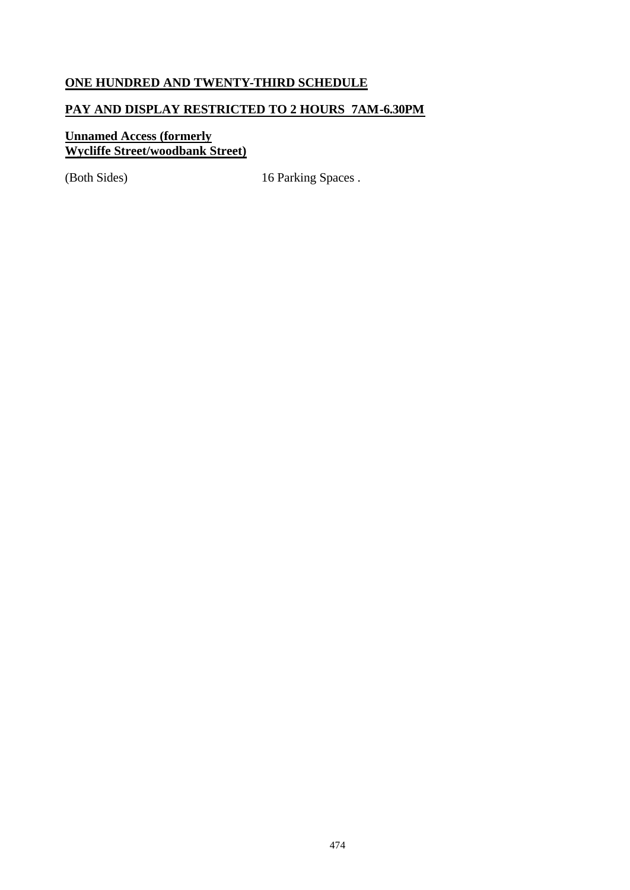# **ONE HUNDRED AND TWENTY-THIRD SCHEDULE**

### **PAY AND DISPLAY RESTRICTED TO 2 HOURS 7AM-6.30PM**

#### **Unnamed Access (formerly Wycliffe Street/woodbank Street)**

(Both Sides) 16 Parking Spaces .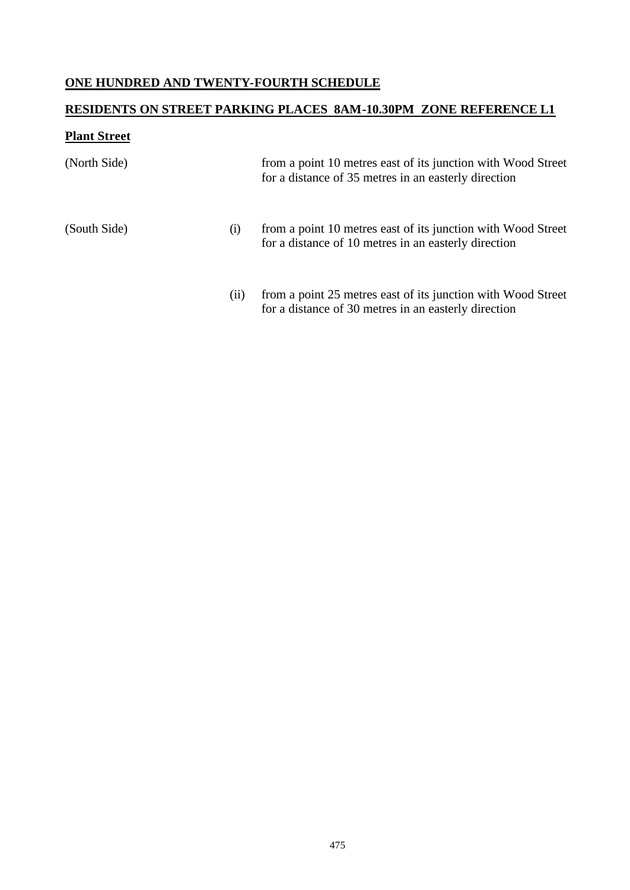# **ONE HUNDRED AND TWENTY-FOURTH SCHEDULE**

# **RESIDENTS ON STREET PARKING PLACES 8AM-10.30PM ZONE REFERENCE L1**

# **Plant Street**

| (North Side) |     | from a point 10 metres east of its junction with Wood Street<br>for a distance of 35 metres in an easterly direction |
|--------------|-----|----------------------------------------------------------------------------------------------------------------------|
| (South Side) | (1) | from a point 10 metres east of its junction with Wood Street<br>for a distance of 10 metres in an easterly direction |
|              | (i) | from a point 25 metres east of its junction with Wood Street<br>for a distance of 30 metres in an easterly direction |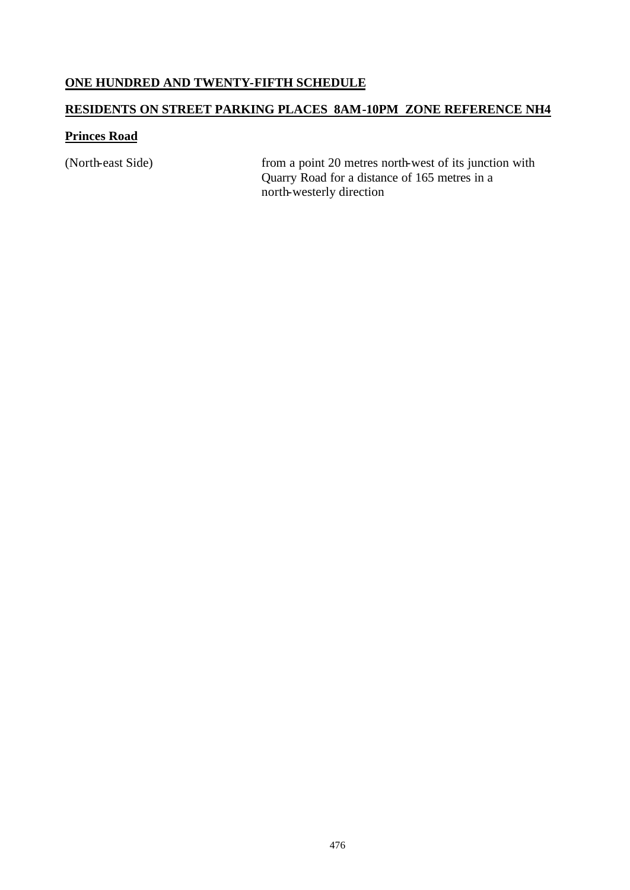#### **ONE HUNDRED AND TWENTY-FIFTH SCHEDULE**

# **RESIDENTS ON STREET PARKING PLACES 8AM-10PM ZONE REFERENCE NH4**

#### **Princes Road**

(North-east Side) from a point 20 metres north-west of its junction with Quarry Road for a distance of 165 metres in a north-westerly direction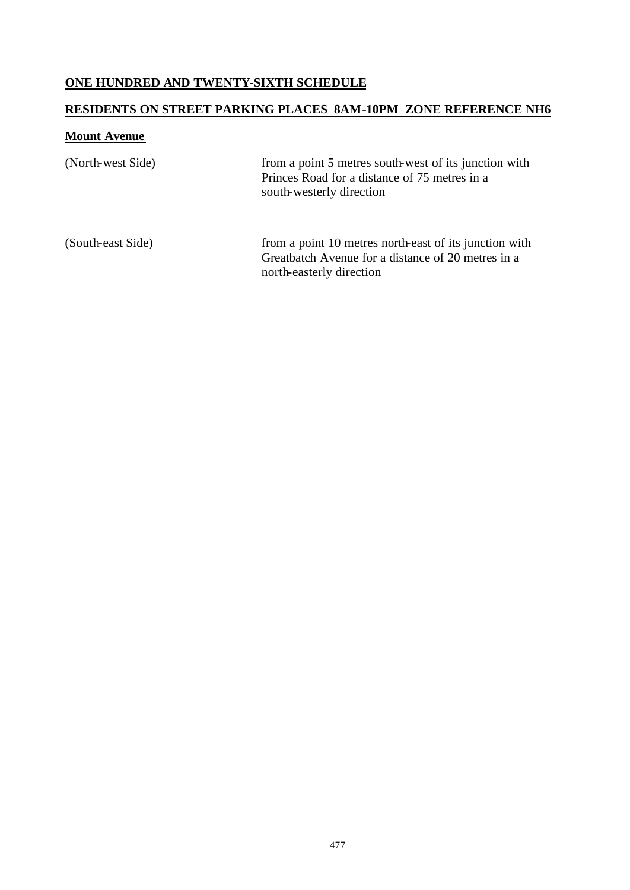# **ONE HUNDRED AND TWENTY-SIXTH SCHEDULE**

#### **RESIDENTS ON STREET PARKING PLACES 8AM-10PM ZONE REFERENCE NH6**

#### **Mount Avenue**

| (North-west Side) | from a point 5 metres south-west of its junction with<br>Princes Road for a distance of 75 metres in a<br>south-westerly direction       |
|-------------------|------------------------------------------------------------------------------------------------------------------------------------------|
| (South-east Side) | from a point 10 metres north-east of its junction with<br>Greatbatch Avenue for a distance of 20 metres in a<br>north-easterly direction |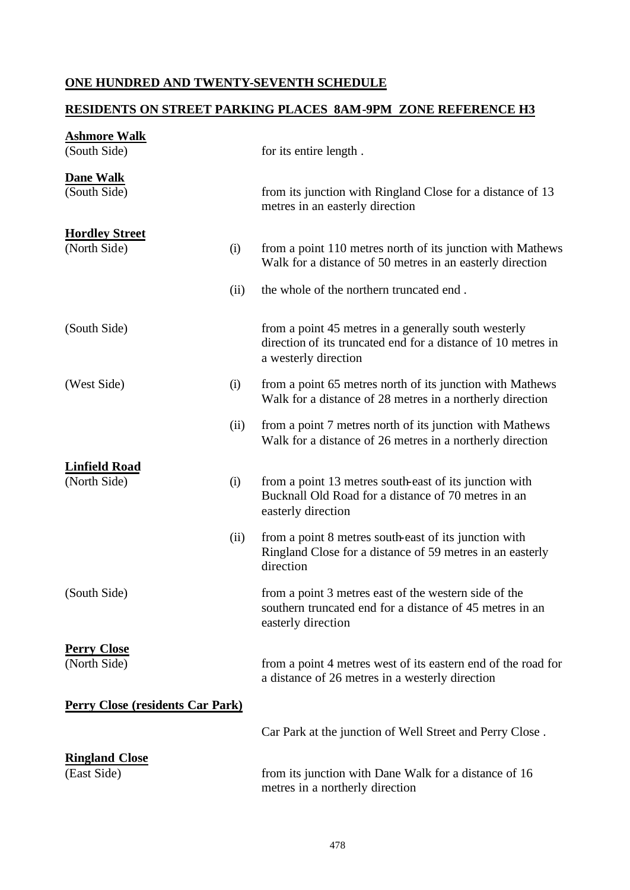# **ONE HUNDRED AND TWENTY-SEVENTH SCHEDULE**

### **RESIDENTS ON STREET PARKING PLACES 8AM-9PM ZONE REFERENCE H3**

| <b>Ashmore Walk</b>                     |      |                                                                                                                                               |
|-----------------------------------------|------|-----------------------------------------------------------------------------------------------------------------------------------------------|
| (South Side)                            |      | for its entire length.                                                                                                                        |
| <b>Dane Walk</b>                        |      |                                                                                                                                               |
| (South Side)                            |      | from its junction with Ringland Close for a distance of 13<br>metres in an easterly direction                                                 |
| <b>Hordley Street</b>                   |      |                                                                                                                                               |
| (North Side)                            | (i)  | from a point 110 metres north of its junction with Mathews<br>Walk for a distance of 50 metres in an easterly direction                       |
|                                         | (ii) | the whole of the northern truncated end.                                                                                                      |
| (South Side)                            |      | from a point 45 metres in a generally south westerly<br>direction of its truncated end for a distance of 10 metres in<br>a westerly direction |
| (West Side)                             | (i)  | from a point 65 metres north of its junction with Mathews<br>Walk for a distance of 28 metres in a northerly direction                        |
|                                         | (ii) | from a point 7 metres north of its junction with Mathews<br>Walk for a distance of 26 metres in a northerly direction                         |
| <b>Linfield Road</b>                    |      |                                                                                                                                               |
| (North Side)                            | (i)  | from a point 13 metres south-east of its junction with<br>Bucknall Old Road for a distance of 70 metres in an<br>easterly direction           |
|                                         | (ii) | from a point 8 metres south-east of its junction with<br>Ringland Close for a distance of 59 metres in an easterly<br>direction               |
| (South Side)                            |      | from a point 3 metres east of the western side of the<br>southern truncated end for a distance of 45 metres in an<br>easterly direction       |
|                                         |      |                                                                                                                                               |
| <b>Perry Close</b><br>(North Side)      |      | from a point 4 metres west of its eastern end of the road for<br>a distance of 26 metres in a westerly direction                              |
| <b>Perry Close (residents Car Park)</b> |      |                                                                                                                                               |
|                                         |      | Car Park at the junction of Well Street and Perry Close.                                                                                      |
| <b>Ringland Close</b><br>(East Side)    |      | from its junction with Dane Walk for a distance of 16<br>metres in a northerly direction                                                      |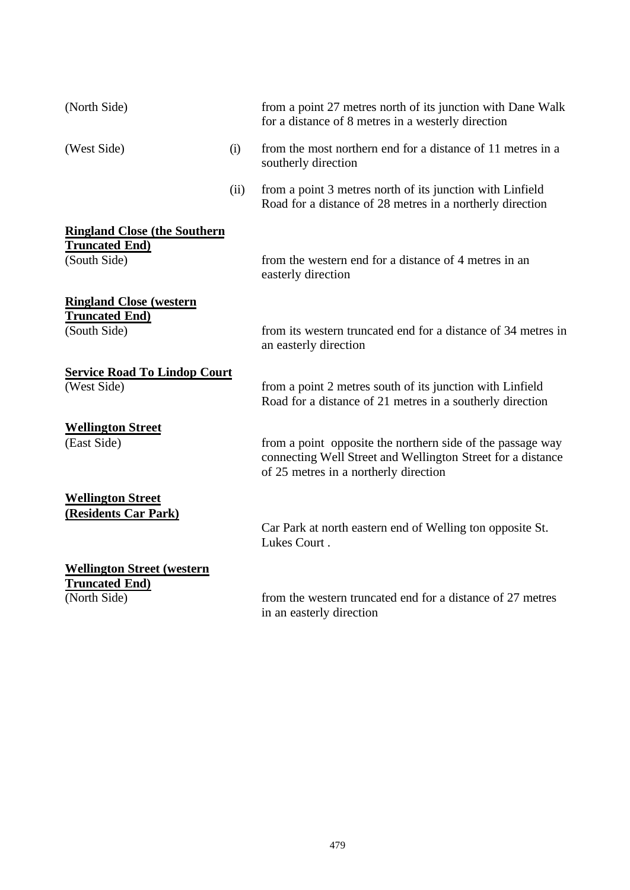| (North Side)                                       |      | from a point 27 metres north of its junction with Dane Walk<br>for a distance of 8 metres in a westerly direction                                                  |
|----------------------------------------------------|------|--------------------------------------------------------------------------------------------------------------------------------------------------------------------|
| (West Side)                                        | (i)  | from the most northern end for a distance of 11 metres in a<br>southerly direction                                                                                 |
|                                                    | (ii) | from a point 3 metres north of its junction with Linfield<br>Road for a distance of 28 metres in a northerly direction                                             |
| <b>Ringland Close (the Southern</b>                |      |                                                                                                                                                                    |
| <b>Truncated End)</b><br>(South Side)              |      | from the western end for a distance of 4 metres in an<br>easterly direction                                                                                        |
| <b>Ringland Close (western</b>                     |      |                                                                                                                                                                    |
| <b>Truncated End)</b><br>(South Side)              |      | from its western truncated end for a distance of 34 metres in<br>an easterly direction                                                                             |
| <b>Service Road To Lindop Court</b><br>(West Side) |      | from a point 2 metres south of its junction with Linfield<br>Road for a distance of 21 metres in a southerly direction                                             |
| <b>Wellington Street</b>                           |      |                                                                                                                                                                    |
| (East Side)                                        |      | from a point opposite the northern side of the passage way<br>connecting Well Street and Wellington Street for a distance<br>of 25 metres in a northerly direction |
| <b>Wellington Street</b>                           |      |                                                                                                                                                                    |
| (Residents Car Park)                               |      | Car Park at north eastern end of Welling ton opposite St.<br>Lukes Court.                                                                                          |
| <b>Wellington Street (western</b>                  |      |                                                                                                                                                                    |
| <b>Truncated End)</b><br>(North Side)              |      | from the western truncated end for a distance of 27 metres<br>in an easterly direction                                                                             |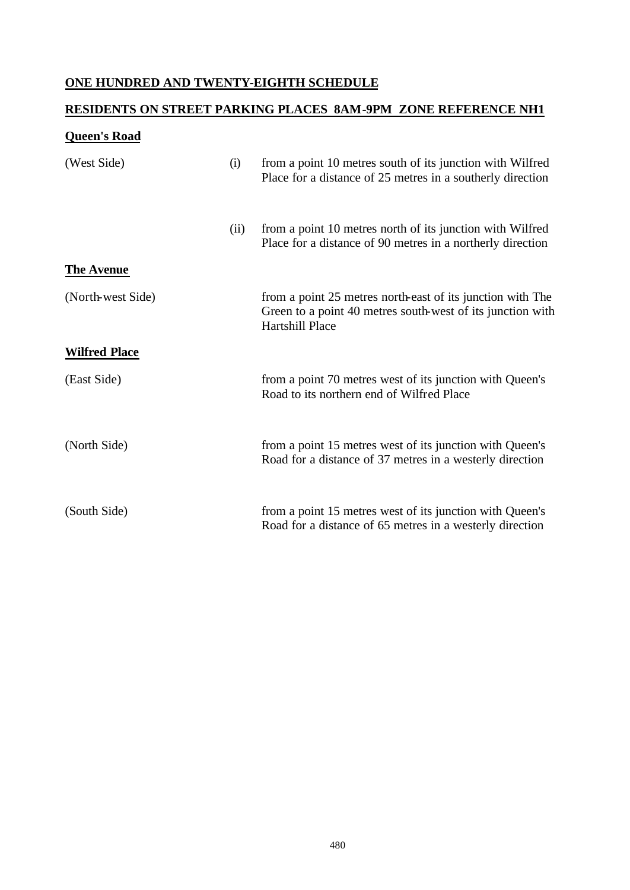# **ONE HUNDRED AND TWENTY-EIGHTH SCHEDULE**

# **RESIDENTS ON STREET PARKING PLACES 8AM-9PM ZONE REFERENCE NH1**

#### **Queen's Road**

| (West Side)          | (i)  | from a point 10 metres south of its junction with Wilfred<br>Place for a distance of 25 metres in a southerly direction                     |
|----------------------|------|---------------------------------------------------------------------------------------------------------------------------------------------|
|                      | (ii) | from a point 10 metres north of its junction with Wilfred<br>Place for a distance of 90 metres in a northerly direction                     |
| <b>The Avenue</b>    |      |                                                                                                                                             |
| (North-west Side)    |      | from a point 25 metres north-east of its junction with The<br>Green to a point 40 metres south-west of its junction with<br>Hartshill Place |
| <b>Wilfred Place</b> |      |                                                                                                                                             |
| (East Side)          |      | from a point 70 metres west of its junction with Queen's<br>Road to its northern end of Wilfred Place                                       |
| (North Side)         |      | from a point 15 metres west of its junction with Queen's<br>Road for a distance of 37 metres in a westerly direction                        |
| (South Side)         |      | from a point 15 metres west of its junction with Queen's<br>Road for a distance of 65 metres in a westerly direction                        |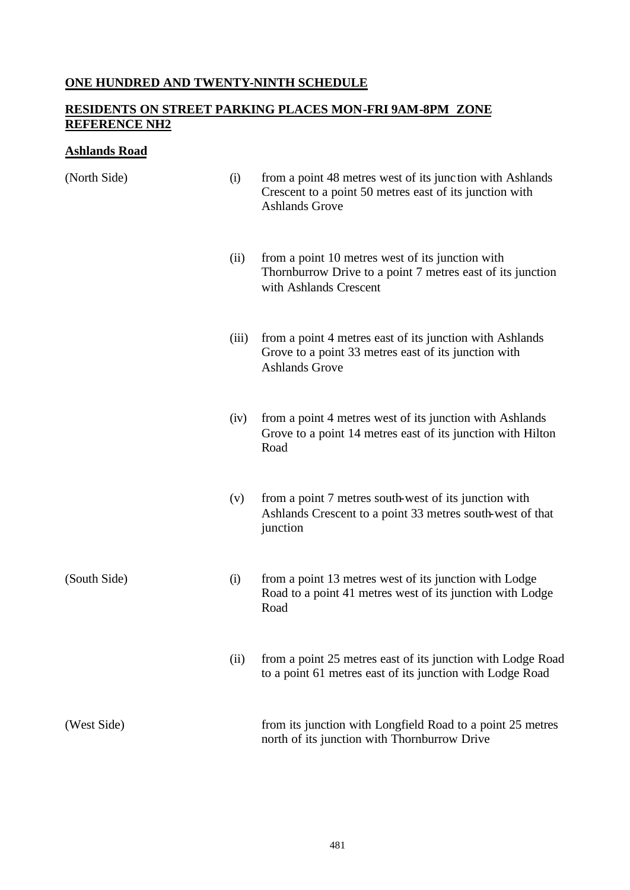# **ONE HUNDRED AND TWENTY-NINTH SCHEDULE**

#### **RESIDENTS ON STREET PARKING PLACES MON-FRI 9AM-8PM ZONE REFERENCE NH2**

#### **Ashlands Road**

| (North Side) | (i)   | from a point 48 metres west of its junction with Ashlands<br>Crescent to a point 50 metres east of its junction with<br><b>Ashlands Grove</b> |
|--------------|-------|-----------------------------------------------------------------------------------------------------------------------------------------------|
|              | (ii)  | from a point 10 metres west of its junction with<br>Thornburrow Drive to a point 7 metres east of its junction<br>with Ashlands Crescent      |
|              | (iii) | from a point 4 metres east of its junction with Ashlands<br>Grove to a point 33 metres east of its junction with<br><b>Ashlands Grove</b>     |
|              | (iv)  | from a point 4 metres west of its junction with Ashlands<br>Grove to a point 14 metres east of its junction with Hilton<br>Road               |
|              | (v)   | from a point 7 metres south-west of its junction with<br>Ashlands Crescent to a point 33 metres south-west of that<br>junction                |
| (South Side) | (i)   | from a point 13 metres west of its junction with Lodge<br>Road to a point 41 metres west of its junction with Lodge<br>Road                   |
|              | (ii)  | from a point 25 metres east of its junction with Lodge Road<br>to a point 61 metres east of its junction with Lodge Road                      |
| (West Side)  |       | from its junction with Longfield Road to a point 25 metres<br>north of its junction with Thornburrow Drive                                    |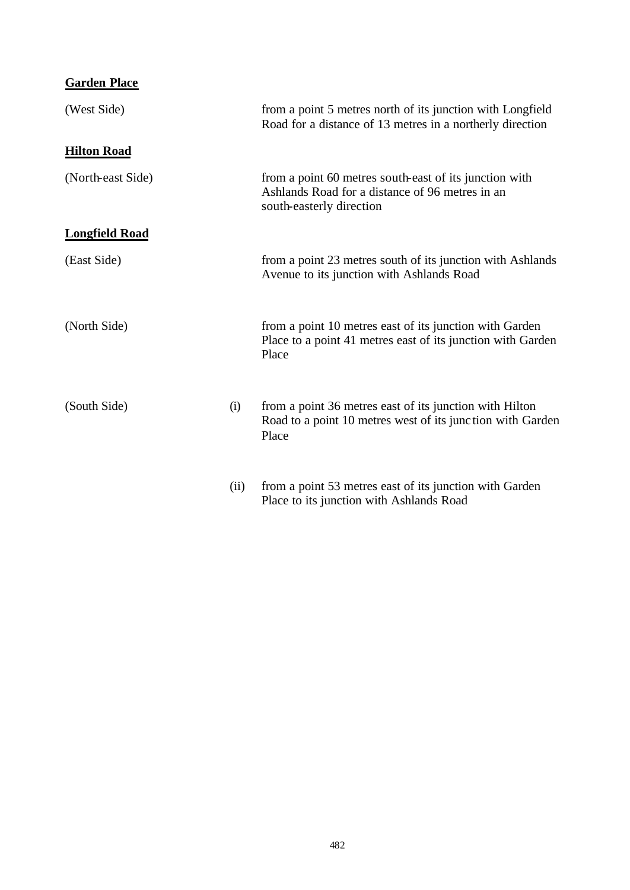| <b>Garden Place</b>   |      |                                                                                                                                       |
|-----------------------|------|---------------------------------------------------------------------------------------------------------------------------------------|
| (West Side)           |      | from a point 5 metres north of its junction with Longfield<br>Road for a distance of 13 metres in a northerly direction               |
| <b>Hilton Road</b>    |      |                                                                                                                                       |
| (North-east Side)     |      | from a point 60 metres south-east of its junction with<br>Ashlands Road for a distance of 96 metres in an<br>south-easterly direction |
| <b>Longfield Road</b> |      |                                                                                                                                       |
| (East Side)           |      | from a point 23 metres south of its junction with Ashlands<br>Avenue to its junction with Ashlands Road                               |
| (North Side)          |      | from a point 10 metres east of its junction with Garden<br>Place to a point 41 metres east of its junction with Garden<br>Place       |
| (South Side)          | (i)  | from a point 36 metres east of its junction with Hilton<br>Road to a point 10 metres west of its junction with Garden<br>Place        |
|                       | (ii) | from a point 53 metres east of its junction with Garden                                                                               |

Place to its junction with Ashlands Road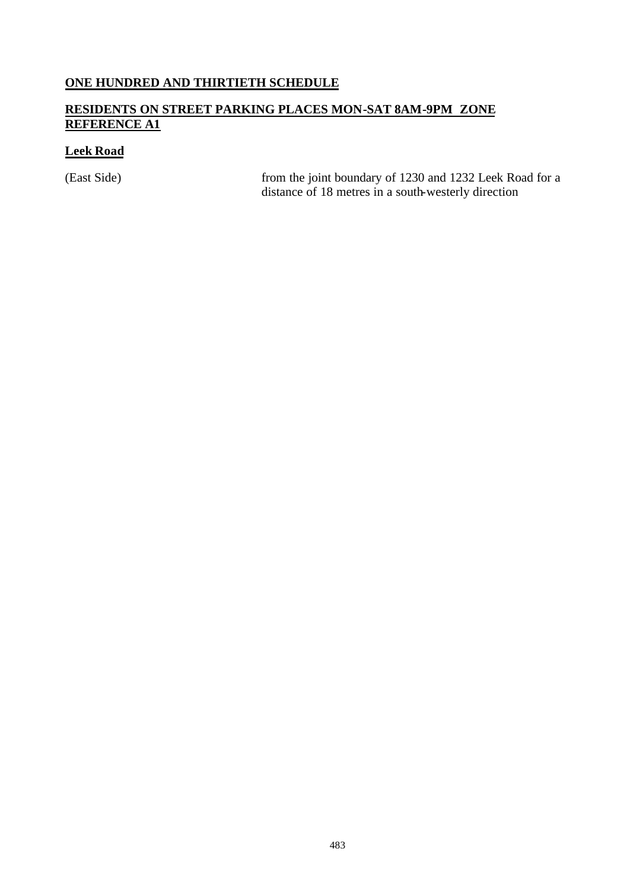## **ONE HUNDRED AND THIRTIETH SCHEDULE**

## **RESIDENTS ON STREET PARKING PLACES MON-SAT 8AM-9PM ZONE REFERENCE A1**

## **Leek Road**

(East Side) from the joint boundary of 1230 and 1232 Leek Road for a distance of 18 metres in a south-westerly direction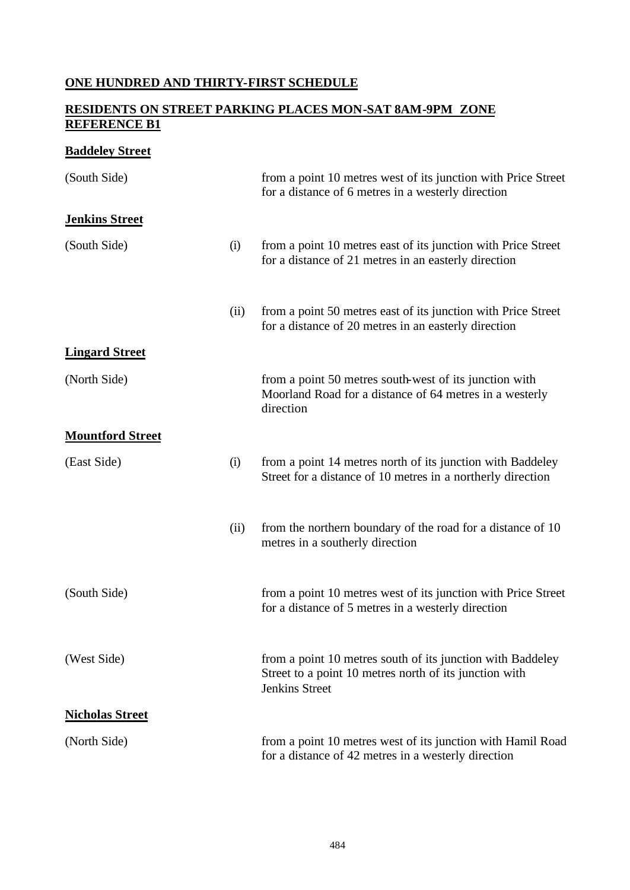## **ONE HUNDRED AND THIRTY-FIRST SCHEDULE**

### **RESIDENTS ON STREET PARKING PLACES MON-SAT 8AM-9PM ZONE REFERENCE B1**

## **Baddeley Street**

| (South Side)            |      | from a point 10 metres west of its junction with Price Street<br>for a distance of 6 metres in a westerly direction                           |
|-------------------------|------|-----------------------------------------------------------------------------------------------------------------------------------------------|
| <b>Jenkins Street</b>   |      |                                                                                                                                               |
| (South Side)            | (i)  | from a point 10 metres east of its junction with Price Street<br>for a distance of 21 metres in an easterly direction                         |
|                         | (ii) | from a point 50 metres east of its junction with Price Street<br>for a distance of 20 metres in an easterly direction                         |
| <b>Lingard Street</b>   |      |                                                                                                                                               |
| (North Side)            |      | from a point 50 metres south-west of its junction with<br>Moorland Road for a distance of 64 metres in a westerly<br>direction                |
| <b>Mountford Street</b> |      |                                                                                                                                               |
| (East Side)             | (i)  | from a point 14 metres north of its junction with Baddeley<br>Street for a distance of 10 metres in a northerly direction                     |
|                         | (ii) | from the northern boundary of the road for a distance of 10<br>metres in a southerly direction                                                |
| (South Side)            |      | from a point 10 metres west of its junction with Price Street<br>for a distance of 5 metres in a westerly direction                           |
| (West Side)             |      | from a point 10 metres south of its junction with Baddeley<br>Street to a point 10 metres north of its junction with<br><b>Jenkins Street</b> |
| <b>Nicholas Street</b>  |      |                                                                                                                                               |
| (North Side)            |      | from a point 10 metres west of its junction with Hamil Road<br>for a distance of 42 metres in a westerly direction                            |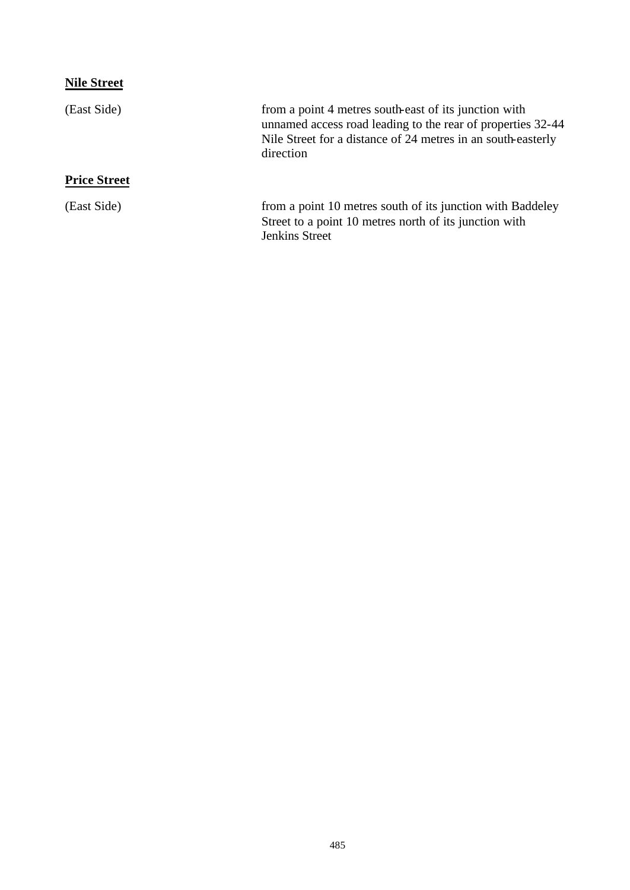# **Nile Street**

| (East Side)         | from a point 4 metres south-east of its junction with<br>unnamed access road leading to the rear of properties 32-44<br>Nile Street for a distance of 24 metres in an south-easterly<br>direction |
|---------------------|---------------------------------------------------------------------------------------------------------------------------------------------------------------------------------------------------|
| <b>Price Street</b> |                                                                                                                                                                                                   |
| (East Side)         | from a point 10 metres south of its junction with Baddeley<br>Street to a point 10 metres north of its junction with<br>Jenkins Street                                                            |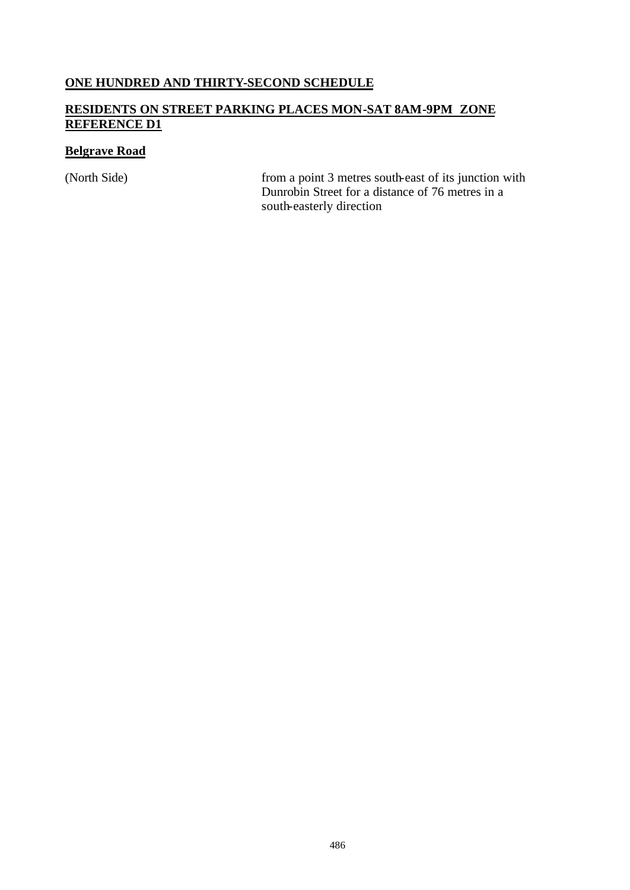#### **ONE HUNDRED AND THIRTY-SECOND SCHEDULE**

## **RESIDENTS ON STREET PARKING PLACES MON-SAT 8AM-9PM ZONE REFERENCE D1**

## **Belgrave Road**

(North Side) from a point 3 metres south-east of its junction with Dunrobin Street for a distance of 76 metres in a south-easterly direction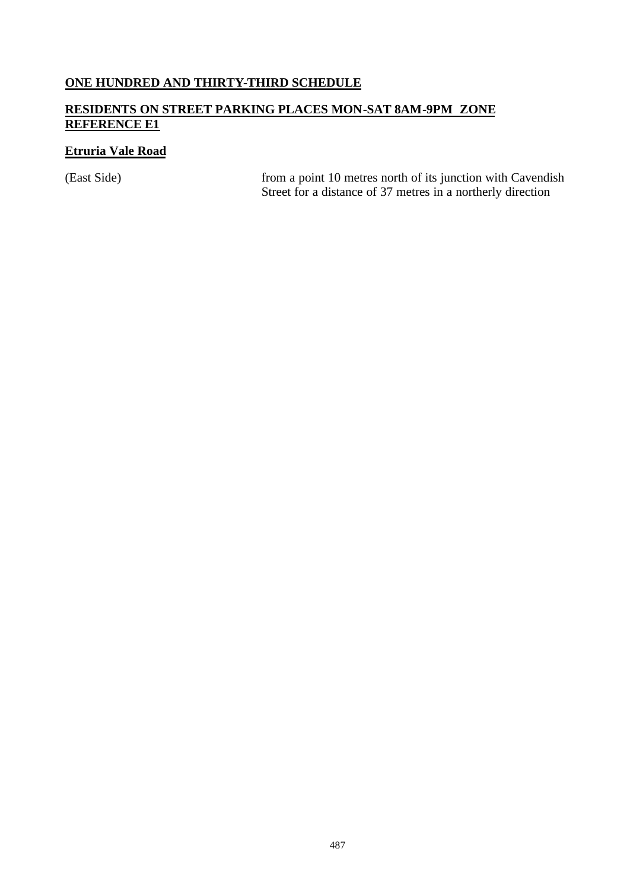## **ONE HUNDRED AND THIRTY-THIRD SCHEDULE**

## **RESIDENTS ON STREET PARKING PLACES MON-SAT 8AM-9PM ZONE REFERENCE E1**

## **Etruria Vale Road**

(East Side) from a point 10 metres north of its junction with Cavendish Street for a distance of 37 metres in a northerly direction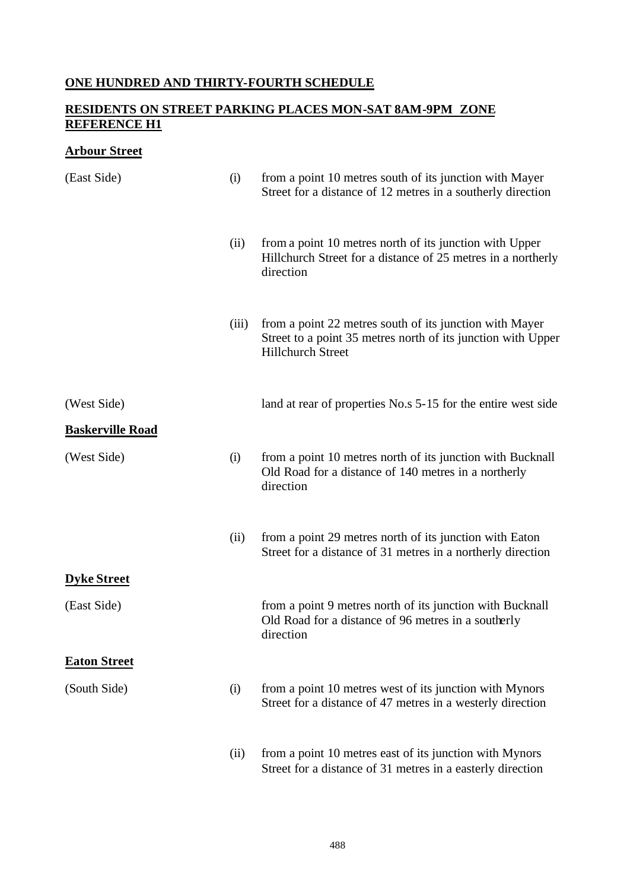## **ONE HUNDRED AND THIRTY-FOURTH SCHEDULE**

## **RESIDENTS ON STREET PARKING PLACES MON-SAT 8AM-9PM ZONE REFERENCE H1**

## **Arbour Street**

| (East Side)             | (i)   | from a point 10 metres south of its junction with Mayer<br>Street for a distance of 12 metres in a southerly direction                              |
|-------------------------|-------|-----------------------------------------------------------------------------------------------------------------------------------------------------|
|                         | (ii)  | from a point 10 metres north of its junction with Upper<br>Hillchurch Street for a distance of 25 metres in a northerly<br>direction                |
|                         | (iii) | from a point 22 metres south of its junction with Mayer<br>Street to a point 35 metres north of its junction with Upper<br><b>Hillchurch Street</b> |
| (West Side)             |       | land at rear of properties No.s 5-15 for the entire west side                                                                                       |
| <b>Baskerville Road</b> |       |                                                                                                                                                     |
| (West Side)             | (i)   | from a point 10 metres north of its junction with Bucknall<br>Old Road for a distance of 140 metres in a northerly<br>direction                     |
|                         | (ii)  | from a point 29 metres north of its junction with Eaton<br>Street for a distance of 31 metres in a northerly direction                              |
| <b>Dyke Street</b>      |       |                                                                                                                                                     |
| (East Side)             |       | from a point 9 metres north of its junction with Bucknall<br>Old Road for a distance of 96 metres in a southerly<br>direction                       |
| <b>Eaton Street</b>     |       |                                                                                                                                                     |
| (South Side)            | (i)   | from a point 10 metres west of its junction with Mynors<br>Street for a distance of 47 metres in a westerly direction                               |
|                         | (ii)  | from a point 10 metres east of its junction with Mynors<br>Street for a distance of 31 metres in a easterly direction                               |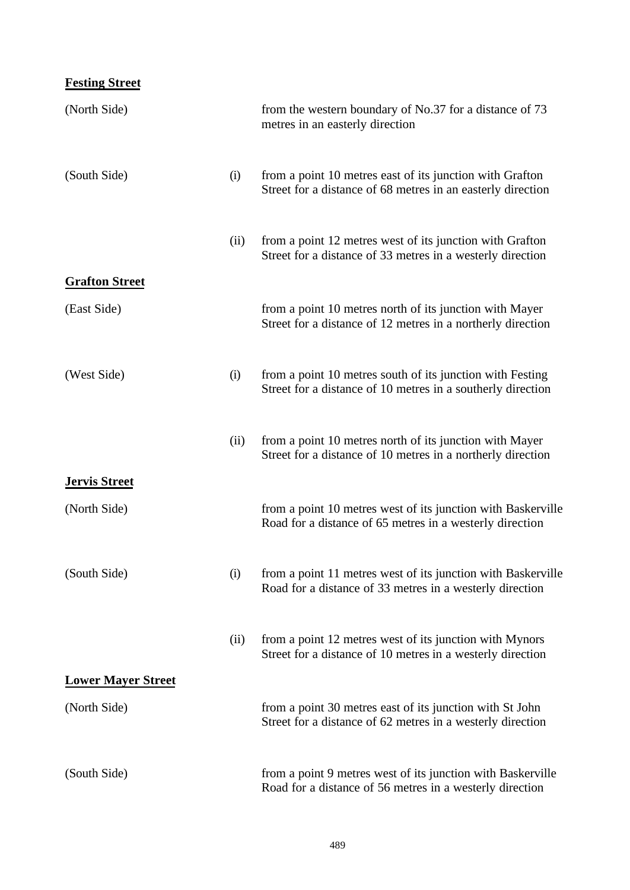# **Festing Street**

| (North Side)              |      | from the western boundary of No.37 for a distance of 73<br>metres in an easterly direction                               |
|---------------------------|------|--------------------------------------------------------------------------------------------------------------------------|
| (South Side)              | (i)  | from a point 10 metres east of its junction with Grafton<br>Street for a distance of 68 metres in an easterly direction  |
|                           | (ii) | from a point 12 metres west of its junction with Grafton<br>Street for a distance of 33 metres in a westerly direction   |
| <b>Grafton Street</b>     |      |                                                                                                                          |
| (East Side)               |      | from a point 10 metres north of its junction with Mayer<br>Street for a distance of 12 metres in a northerly direction   |
| (West Side)               | (i)  | from a point 10 metres south of its junction with Festing<br>Street for a distance of 10 metres in a southerly direction |
|                           | (ii) | from a point 10 metres north of its junction with Mayer<br>Street for a distance of 10 metres in a northerly direction   |
| <b>Jervis Street</b>      |      |                                                                                                                          |
| (North Side)              |      | from a point 10 metres west of its junction with Baskerville<br>Road for a distance of 65 metres in a westerly direction |
| (South Side)              | (i)  | from a point 11 metres west of its junction with Baskerville<br>Road for a distance of 33 metres in a westerly direction |
|                           | (ii) | from a point 12 metres west of its junction with Mynors<br>Street for a distance of 10 metres in a westerly direction    |
| <b>Lower Mayer Street</b> |      |                                                                                                                          |
| (North Side)              |      | from a point 30 metres east of its junction with St John<br>Street for a distance of 62 metres in a westerly direction   |
| (South Side)              |      | from a point 9 metres west of its junction with Baskerville<br>Road for a distance of 56 metres in a westerly direction  |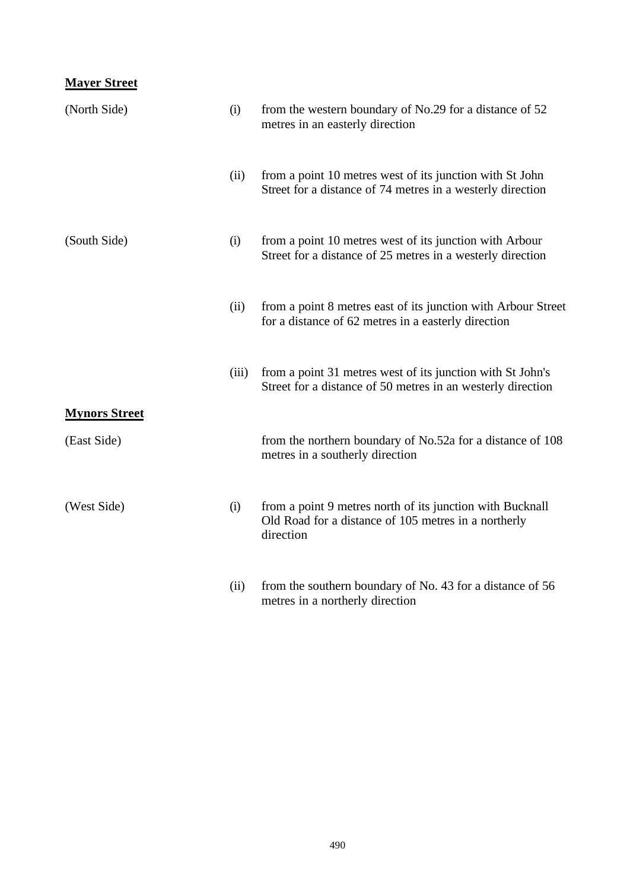## **Mayer Street**

| (North Side)         | (i)   | from the western boundary of No.29 for a distance of 52<br>metres in an easterly direction                                     |
|----------------------|-------|--------------------------------------------------------------------------------------------------------------------------------|
|                      | (ii)  | from a point 10 metres west of its junction with St John<br>Street for a distance of 74 metres in a westerly direction         |
| (South Side)         | (i)   | from a point 10 metres west of its junction with Arbour<br>Street for a distance of 25 metres in a westerly direction          |
|                      | (ii)  | from a point 8 metres east of its junction with Arbour Street<br>for a distance of 62 metres in a easterly direction           |
|                      | (iii) | from a point 31 metres west of its junction with St John's<br>Street for a distance of 50 metres in an westerly direction      |
| <b>Mynors Street</b> |       |                                                                                                                                |
| (East Side)          |       | from the northern boundary of No.52a for a distance of 108<br>metres in a southerly direction                                  |
| (West Side)          | (i)   | from a point 9 metres north of its junction with Bucknall<br>Old Road for a distance of 105 metres in a northerly<br>direction |
|                      | (ii)  | from the southern boundary of No. 43 for a distance of 56<br>metres in a northerly direction                                   |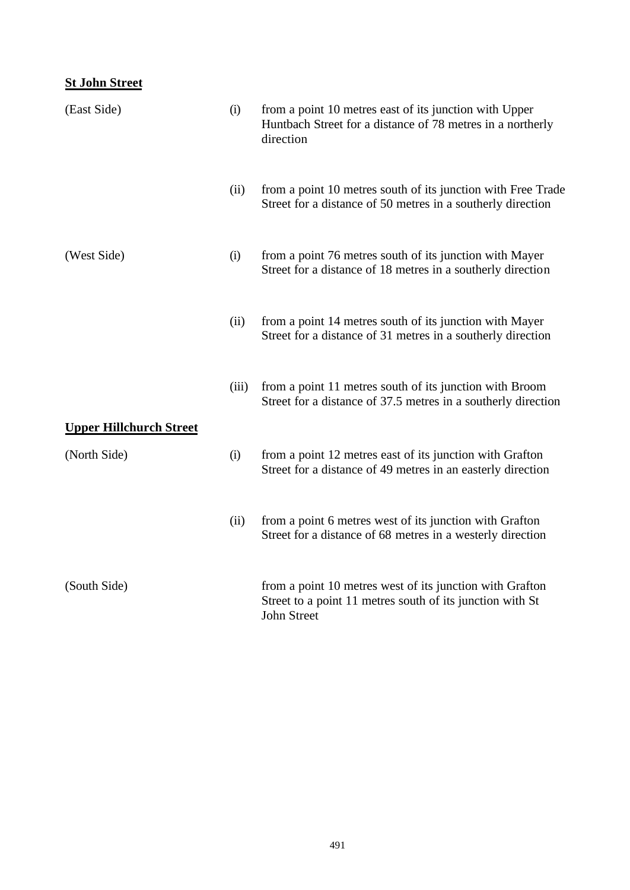## **St John Street**

| (East Side)                    | (i)   | from a point 10 metres east of its junction with Upper<br>Huntbach Street for a distance of 78 metres in a northerly<br>direction           |
|--------------------------------|-------|---------------------------------------------------------------------------------------------------------------------------------------------|
|                                | (ii)  | from a point 10 metres south of its junction with Free Trade<br>Street for a distance of 50 metres in a southerly direction                 |
| (West Side)                    | (i)   | from a point 76 metres south of its junction with Mayer<br>Street for a distance of 18 metres in a southerly direction                      |
|                                | (ii)  | from a point 14 metres south of its junction with Mayer<br>Street for a distance of 31 metres in a southerly direction                      |
| <b>Upper Hillchurch Street</b> | (iii) | from a point 11 metres south of its junction with Broom<br>Street for a distance of 37.5 metres in a southerly direction                    |
| (North Side)                   | (i)   | from a point 12 metres east of its junction with Grafton<br>Street for a distance of 49 metres in an easterly direction                     |
|                                | (ii)  | from a point 6 metres west of its junction with Grafton<br>Street for a distance of 68 metres in a westerly direction                       |
| (South Side)                   |       | from a point 10 metres west of its junction with Grafton<br>Street to a point 11 metres south of its junction with St<br><b>John Street</b> |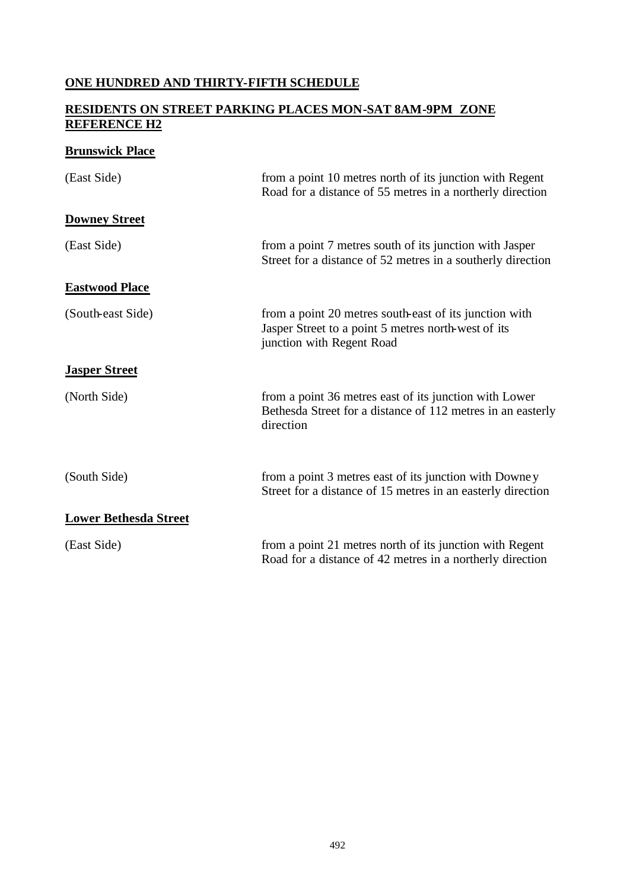## **ONE HUNDRED AND THIRTY-FIFTH SCHEDULE**

### **RESIDENTS ON STREET PARKING PLACES MON-SAT 8AM-9PM ZONE REFERENCE H2**

## **Brunswick Place**

| (East Side)                  | from a point 10 metres north of its junction with Regent<br>Road for a distance of 55 metres in a northerly direction                      |
|------------------------------|--------------------------------------------------------------------------------------------------------------------------------------------|
| <b>Downey Street</b>         |                                                                                                                                            |
| (East Side)                  | from a point 7 metres south of its junction with Jasper<br>Street for a distance of 52 metres in a southerly direction                     |
| <b>Eastwood Place</b>        |                                                                                                                                            |
| (South-east Side)            | from a point 20 metres south-east of its junction with<br>Jasper Street to a point 5 metres north-west of its<br>junction with Regent Road |
| <b>Jasper Street</b>         |                                                                                                                                            |
| (North Side)                 | from a point 36 metres east of its junction with Lower<br>Bethesda Street for a distance of 112 metres in an easterly<br>direction         |
| (South Side)                 | from a point 3 metres east of its junction with Downey<br>Street for a distance of 15 metres in an easterly direction                      |
| <b>Lower Bethesda Street</b> |                                                                                                                                            |
| (East Side)                  | from a point 21 metres north of its junction with Regent<br>Road for a distance of 42 metres in a northerly direction                      |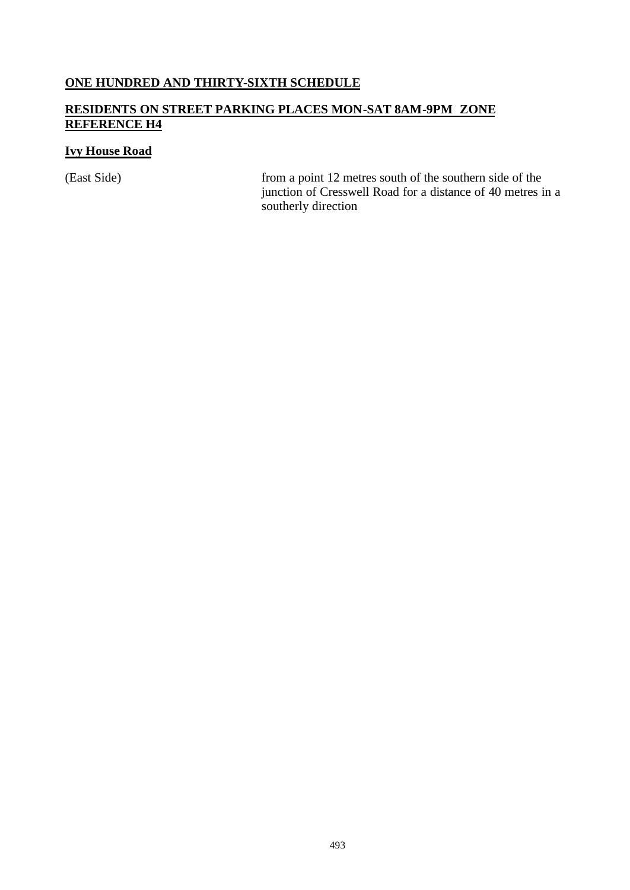#### **ONE HUNDRED AND THIRTY-SIXTH SCHEDULE**

## **RESIDENTS ON STREET PARKING PLACES MON-SAT 8AM-9PM ZONE REFERENCE H4**

## **Ivy House Road**

(East Side) from a point 12 metres south of the southern side of the junction of Cresswell Road for a distance of 40 metres in a southerly direction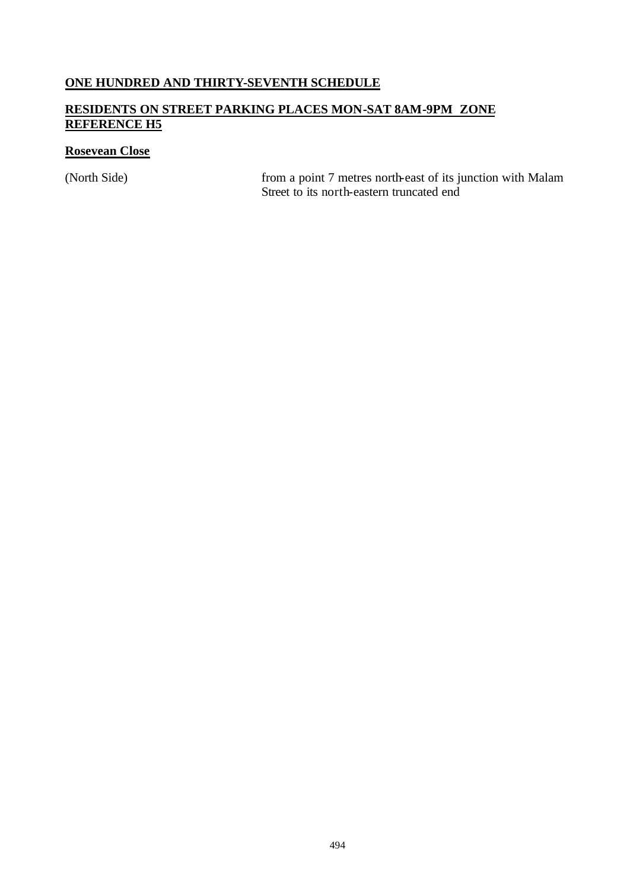## **ONE HUNDRED AND THIRTY-SEVENTH SCHEDULE**

## **RESIDENTS ON STREET PARKING PLACES MON-SAT 8AM-9PM ZONE REFERENCE H5**

## **Rosevean Close**

(North Side) from a point 7 metres north-east of its junction with Malam Street to its north-eastern truncated end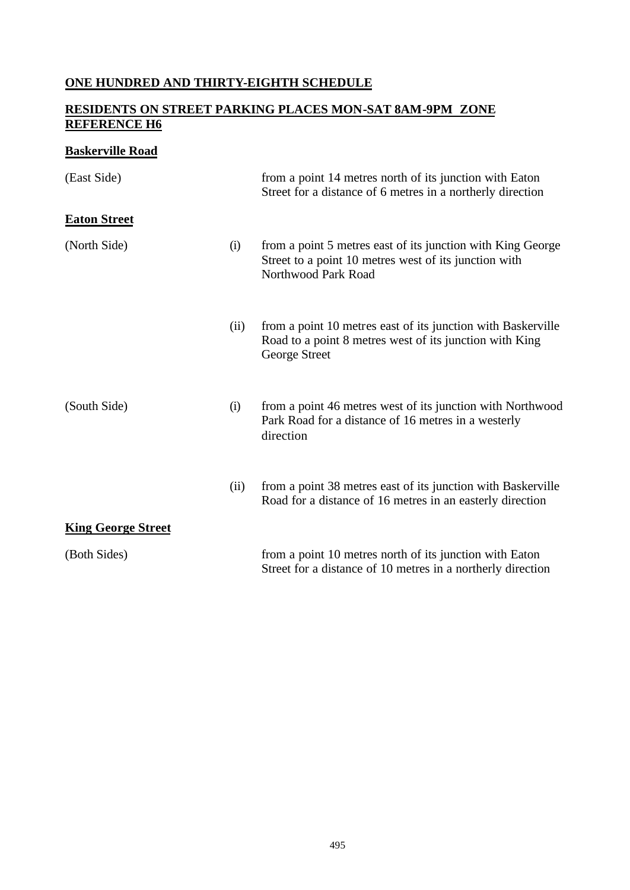## **ONE HUNDRED AND THIRTY-EIGHTH SCHEDULE**

## **RESIDENTS ON STREET PARKING PLACES MON-SAT 8AM-9PM ZONE REFERENCE H6**

## **Baskerville Road**

| (East Side)               |      | from a point 14 metres north of its junction with Eaton<br>Street for a distance of 6 metres in a northerly direction                       |
|---------------------------|------|---------------------------------------------------------------------------------------------------------------------------------------------|
| <b>Eaton Street</b>       |      |                                                                                                                                             |
| (North Side)              | (i)  | from a point 5 metres east of its junction with King George<br>Street to a point 10 metres west of its junction with<br>Northwood Park Road |
|                           | (ii) | from a point 10 metres east of its junction with Baskerville<br>Road to a point 8 metres west of its junction with King<br>George Street    |
| (South Side)              | (i)  | from a point 46 metres west of its junction with Northwood<br>Park Road for a distance of 16 metres in a westerly<br>direction              |
|                           | (ii) | from a point 38 metres east of its junction with Baskerville<br>Road for a distance of 16 metres in an easterly direction                   |
| <b>King George Street</b> |      |                                                                                                                                             |
| (Both Sides)              |      | from a point 10 metres north of its junction with Eaton<br>Street for a distance of 10 metres in a northerly direction                      |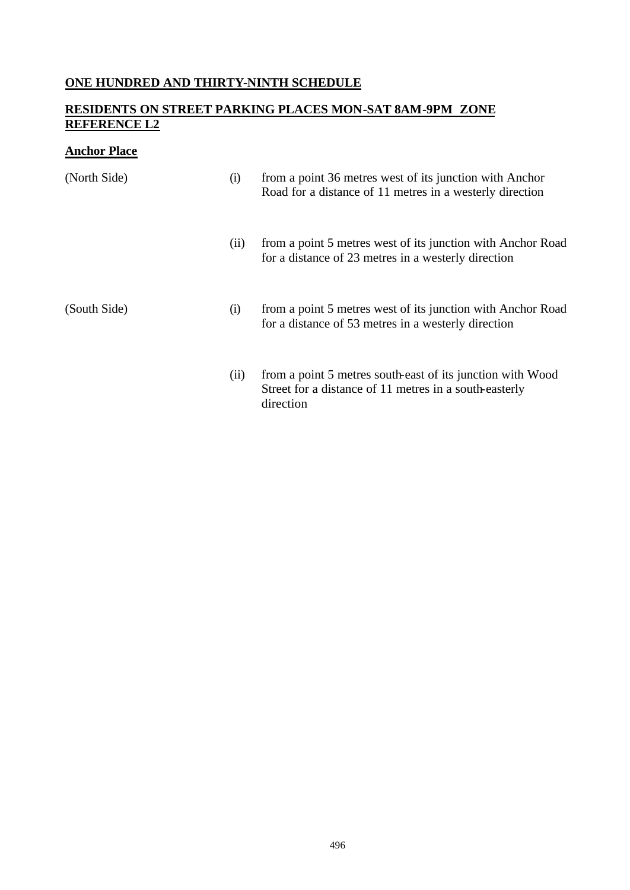## **ONE HUNDRED AND THIRTY-NINTH SCHEDULE**

## **RESIDENTS ON STREET PARKING PLACES MON-SAT 8AM-9PM ZONE REFERENCE L2**

## **Anchor Place**

| (North Side) | (i)  | from a point 36 metres west of its junction with Anchor<br>Road for a distance of 11 metres in a westerly direction               |
|--------------|------|-----------------------------------------------------------------------------------------------------------------------------------|
|              | (ii) | from a point 5 metres west of its junction with Anchor Road<br>for a distance of 23 metres in a westerly direction                |
| (South Side) | (i)  | from a point 5 metres west of its junction with Anchor Road<br>for a distance of 53 metres in a westerly direction                |
|              | (i)  | from a point 5 metres south-east of its junction with Wood<br>Street for a distance of 11 metres in a south-easterly<br>direction |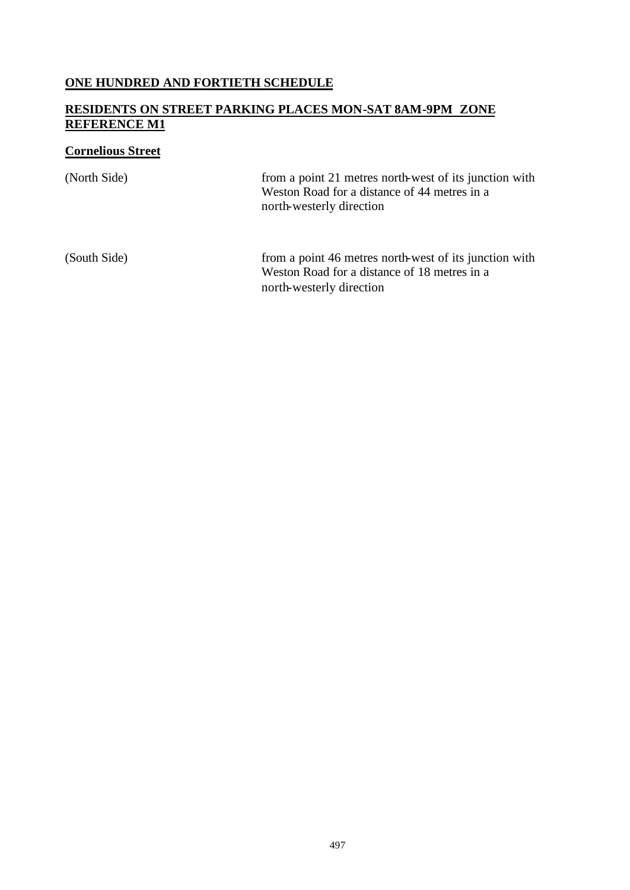## **ONE HUNDRED AND FORTIETH SCHEDULE**

## **RESIDENTS ON STREET PARKING PLACES MON-SAT 8AM-9PM ZONE REFERENCE M1**

## **Cornelious Street**

| (North Side) | from a point 21 metres north-west of its junction with<br>Weston Road for a distance of 44 metres in a<br>north-westerly direction |
|--------------|------------------------------------------------------------------------------------------------------------------------------------|
| (South Side) | from a point 46 metres north-west of its junction with<br>Weston Road for a distance of 18 metres in a<br>north-westerly direction |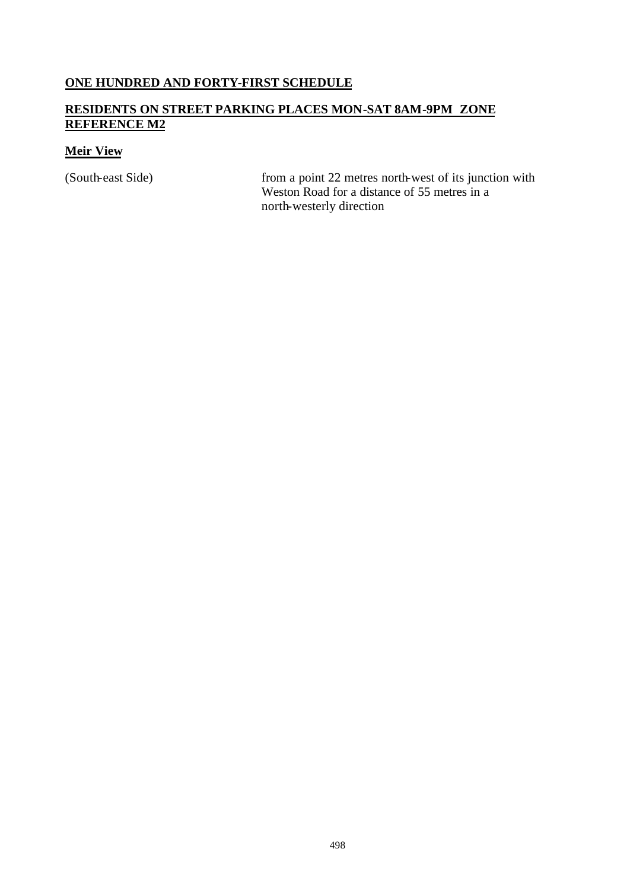## **ONE HUNDRED AND FORTY-FIRST SCHEDULE**

## **RESIDENTS ON STREET PARKING PLACES MON-SAT 8AM-9PM ZONE REFERENCE M2**

#### **Meir View**

(South-east Side) from a point 22 metres north-west of its junction with Weston Road for a distance of 55 metres in a north-westerly direction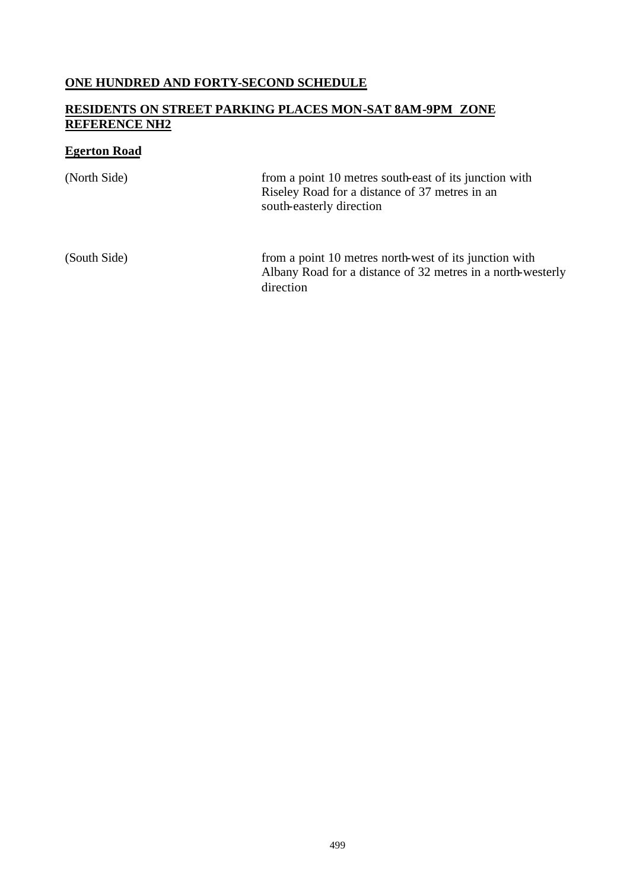## **ONE HUNDRED AND FORTY-SECOND SCHEDULE**

### **RESIDENTS ON STREET PARKING PLACES MON-SAT 8AM-9PM ZONE REFERENCE NH2**

## **Egerton Road**

| (North Side) | from a point 10 metres south-east of its junction with<br>Riseley Road for a distance of 37 metres in an<br>south-easterly direction |
|--------------|--------------------------------------------------------------------------------------------------------------------------------------|
| (South Side) | from a point 10 metres north-west of its junction with<br>Albany Road for a distance of 32 metres in a north-westerly<br>direction   |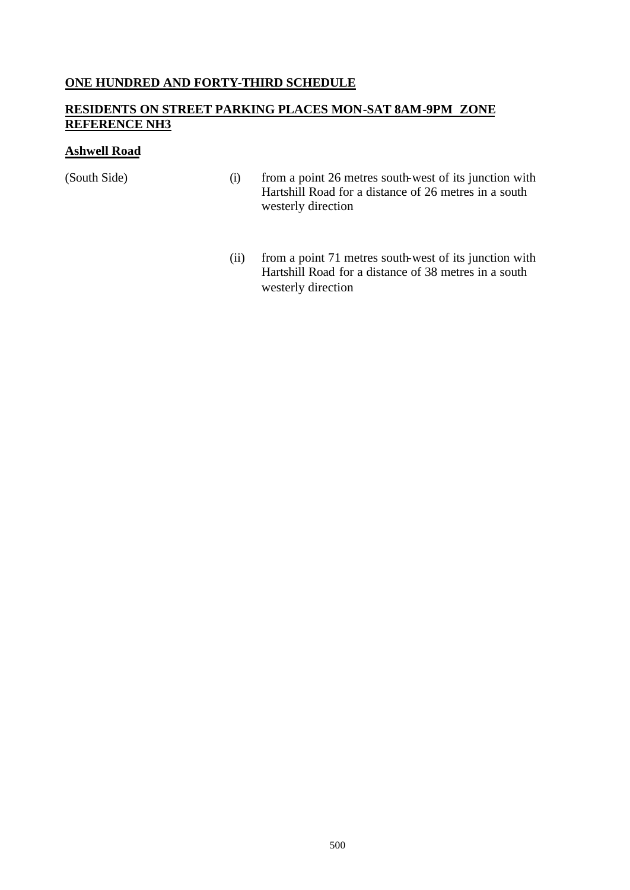#### **ONE HUNDRED AND FORTY-THIRD SCHEDULE**

#### **RESIDENTS ON STREET PARKING PLACES MON-SAT 8AM-9PM ZONE REFERENCE NH3**

#### **Ashwell Road**

- (South Side) (i) from a point 26 metres south-west of its junction with Hartshill Road for a distance of 26 metres in a south westerly direction
	- (ii) from a point 71 metres south-west of its junction with Hartshill Road for a distance of 38 metres in a south westerly direction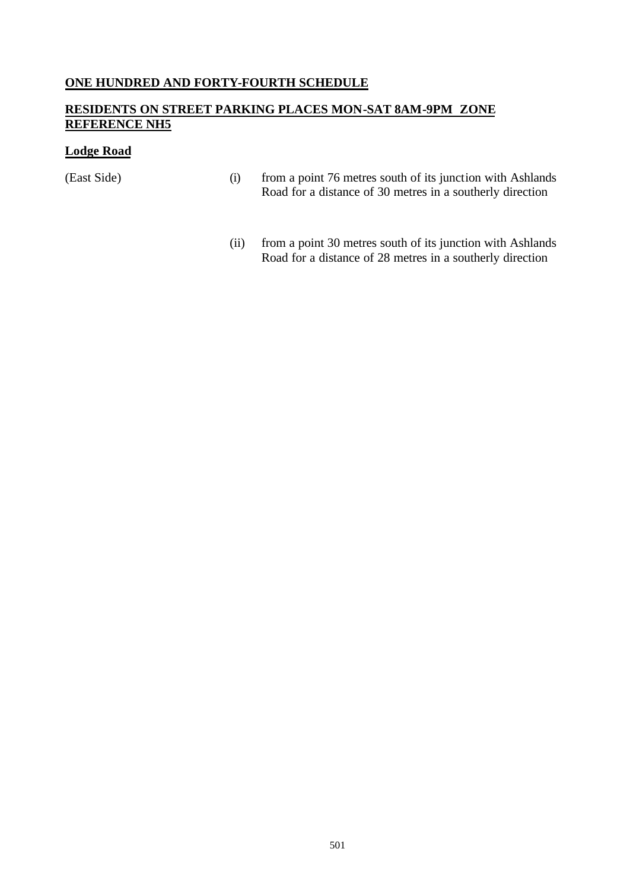#### **ONE HUNDRED AND FORTY-FOURTH SCHEDULE**

## **RESIDENTS ON STREET PARKING PLACES MON-SAT 8AM-9PM ZONE REFERENCE NH5**

#### **Lodge Road**

- (East Side) (i) from a point 76 metres south of its junction with Ashlands Road for a distance of 30 metres in a southerly direction
	- (ii) from a point 30 metres south of its junction with Ashlands Road for a distance of 28 metres in a southerly direction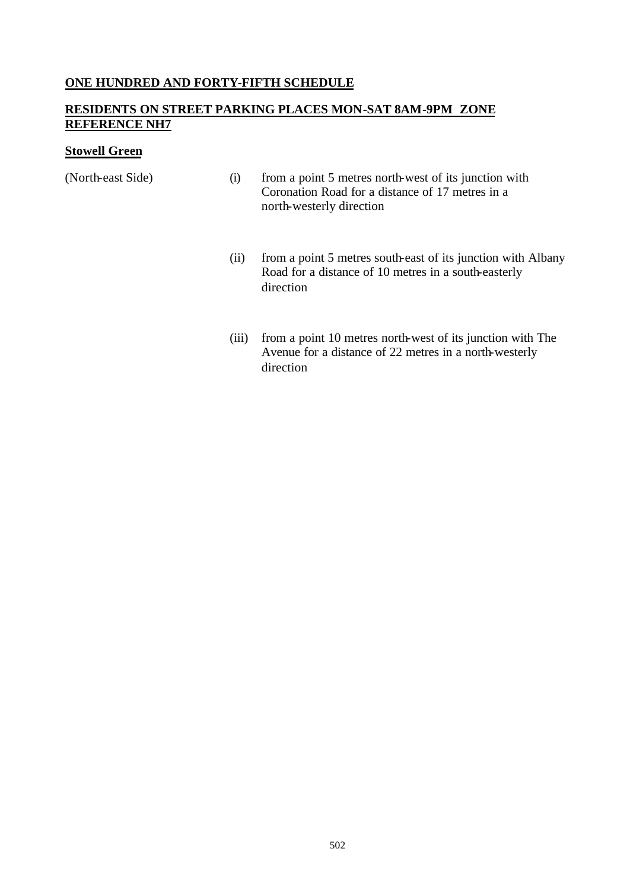#### **ONE HUNDRED AND FORTY-FIFTH SCHEDULE**

#### **RESIDENTS ON STREET PARKING PLACES MON-SAT 8AM-9PM ZONE REFERENCE NH7**

#### **Stowell Green**

- (North-east Side) (i) from a point 5 metres north-west of its junction with Coronation Road for a distance of 17 metres in a north-westerly direction
	- (ii) from a point 5 metres south-east of its junction with Albany Road for a distance of 10 metres in a south-easterly direction
	- (iii) from a point 10 metres north-west of its junction with The Avenue for a distance of 22 metres in a north-westerly direction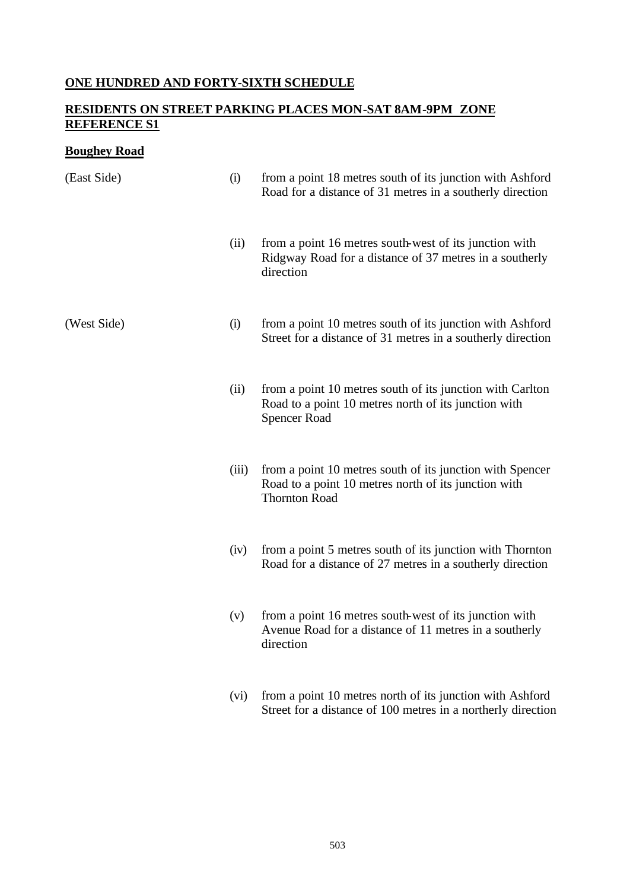## **ONE HUNDRED AND FORTY-SIXTH SCHEDULE**

## **RESIDENTS ON STREET PARKING PLACES MON-SAT 8AM-9PM ZONE REFERENCE S1**

## **Boughey Road**

| (East Side) | (i)   | from a point 18 metres south of its junction with Ashford<br>Road for a distance of 31 metres in a southerly direction                    |
|-------------|-------|-------------------------------------------------------------------------------------------------------------------------------------------|
|             | (ii)  | from a point 16 metres south-west of its junction with<br>Ridgway Road for a distance of 37 metres in a southerly<br>direction            |
| (West Side) | (i)   | from a point 10 metres south of its junction with Ashford<br>Street for a distance of 31 metres in a southerly direction                  |
|             | (ii)  | from a point 10 metres south of its junction with Carlton<br>Road to a point 10 metres north of its junction with<br><b>Spencer Road</b>  |
|             | (iii) | from a point 10 metres south of its junction with Spencer<br>Road to a point 10 metres north of its junction with<br><b>Thornton Road</b> |
|             | (iv)  | from a point 5 metres south of its junction with Thornton<br>Road for a distance of 27 metres in a southerly direction                    |
|             | (v)   | from a point 16 metres south-west of its junction with<br>Avenue Road for a distance of 11 metres in a southerly<br>direction             |
|             | (vi)  | from a point 10 metres north of its junction with Ashford<br>Street for a distance of 100 metres in a northerly direction                 |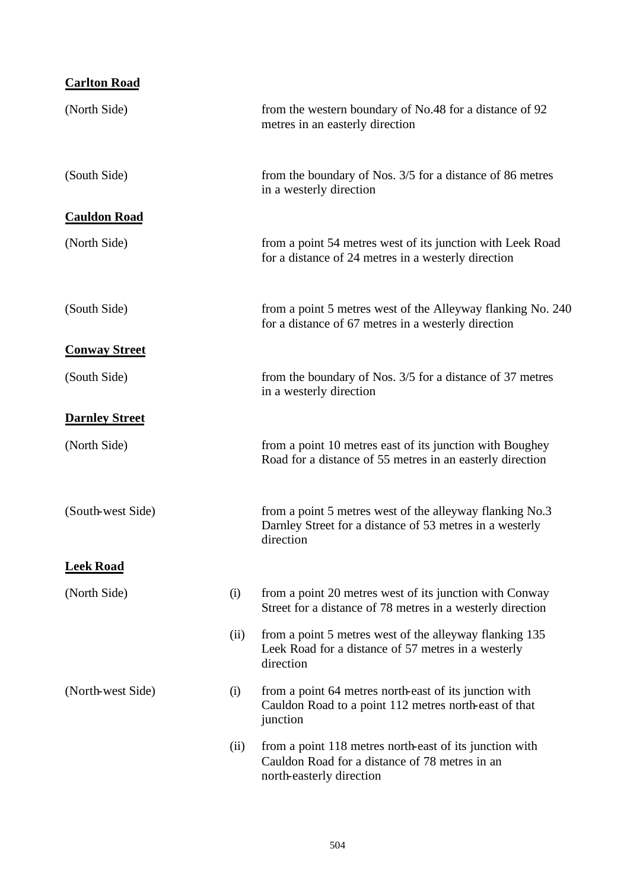| <b>Carlton Road</b>   |      |                                                                                                                                       |
|-----------------------|------|---------------------------------------------------------------------------------------------------------------------------------------|
| (North Side)          |      | from the western boundary of No.48 for a distance of 92<br>metres in an easterly direction                                            |
| (South Side)          |      | from the boundary of Nos. 3/5 for a distance of 86 metres<br>in a westerly direction                                                  |
| <b>Cauldon Road</b>   |      |                                                                                                                                       |
| (North Side)          |      | from a point 54 metres west of its junction with Leek Road<br>for a distance of 24 metres in a westerly direction                     |
| (South Side)          |      | from a point 5 metres west of the Alleyway flanking No. 240<br>for a distance of 67 metres in a westerly direction                    |
| <b>Conway Street</b>  |      |                                                                                                                                       |
| (South Side)          |      | from the boundary of Nos. 3/5 for a distance of 37 metres<br>in a westerly direction                                                  |
| <b>Darnley Street</b> |      |                                                                                                                                       |
| (North Side)          |      | from a point 10 metres east of its junction with Boughey<br>Road for a distance of 55 metres in an easterly direction                 |
| (South-west Side)     |      | from a point 5 metres west of the alleyway flanking No.3<br>Darnley Street for a distance of 53 metres in a westerly<br>direction     |
| <b>Leek Road</b>      |      |                                                                                                                                       |
| (North Side)          | (i)  | from a point 20 metres west of its junction with Conway<br>Street for a distance of 78 metres in a westerly direction                 |
|                       | (ii) | from a point 5 metres west of the alleyway flanking 135<br>Leek Road for a distance of 57 metres in a westerly<br>direction           |
| (North-west Side)     | (i)  | from a point 64 metres north-east of its junction with<br>Cauldon Road to a point 112 metres north-east of that<br>junction           |
|                       | (ii) | from a point 118 metres north-east of its junction with<br>Cauldon Road for a distance of 78 metres in an<br>north-easterly direction |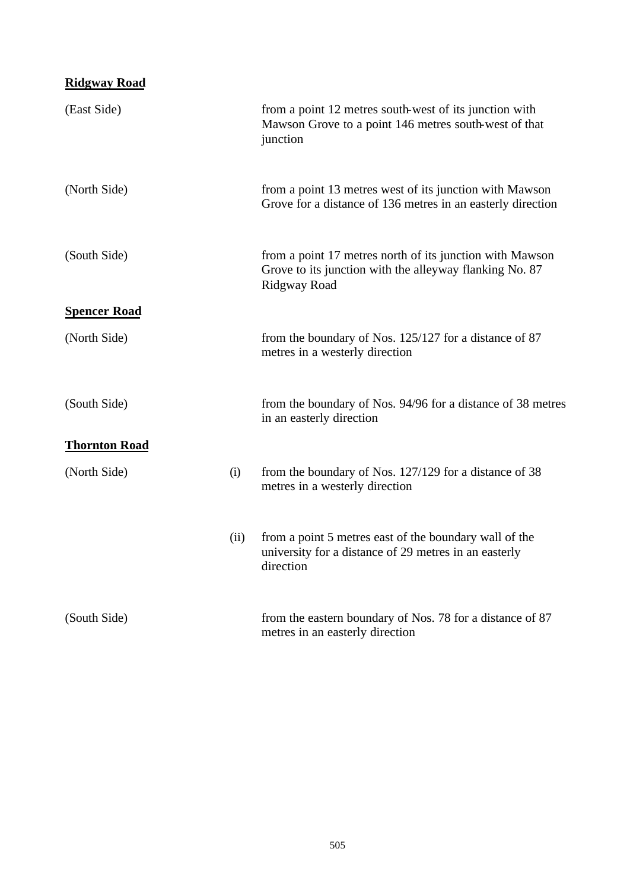# **Ridgway Road**

| (East Side)          |      | from a point 12 metres south-west of its junction with<br>Mawson Grove to a point 146 metres south-west of that<br>junction         |
|----------------------|------|-------------------------------------------------------------------------------------------------------------------------------------|
| (North Side)         |      | from a point 13 metres west of its junction with Mawson<br>Grove for a distance of 136 metres in an easterly direction              |
| (South Side)         |      | from a point 17 metres north of its junction with Mawson<br>Grove to its junction with the alleyway flanking No. 87<br>Ridgway Road |
| <b>Spencer Road</b>  |      |                                                                                                                                     |
| (North Side)         |      | from the boundary of Nos. 125/127 for a distance of 87<br>metres in a westerly direction                                            |
| (South Side)         |      | from the boundary of Nos. 94/96 for a distance of 38 metres<br>in an easterly direction                                             |
| <b>Thornton Road</b> |      |                                                                                                                                     |
| (North Side)         | (i)  | from the boundary of Nos. 127/129 for a distance of 38<br>metres in a westerly direction                                            |
|                      | (ii) | from a point 5 metres east of the boundary wall of the<br>university for a distance of 29 metres in an easterly<br>direction        |
| (South Side)         |      | from the eastern boundary of Nos. 78 for a distance of 87<br>metres in an easterly direction                                        |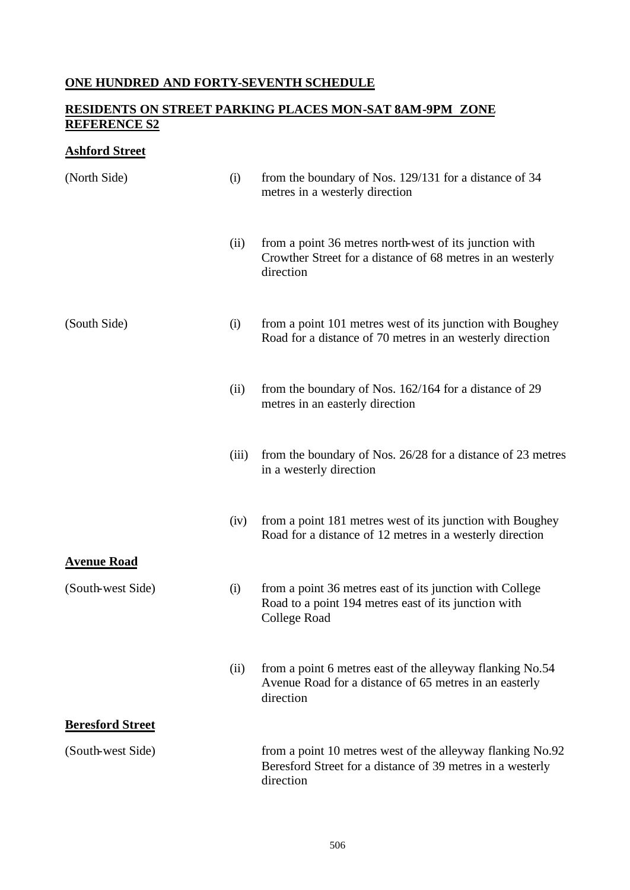## **ONE HUNDRED AND FORTY-SEVENTH SCHEDULE**

## **RESIDENTS ON STREET PARKING PLACES MON-SAT 8AM-9PM ZONE REFERENCE S2**

## **Ashford Street**

| (North Side)            | (i)   | from the boundary of Nos. 129/131 for a distance of 34<br>metres in a westerly direction                                              |
|-------------------------|-------|---------------------------------------------------------------------------------------------------------------------------------------|
|                         | (ii)  | from a point 36 metres north-west of its junction with<br>Crowther Street for a distance of 68 metres in an westerly<br>direction     |
| (South Side)            | (i)   | from a point 101 metres west of its junction with Boughey<br>Road for a distance of 70 metres in an westerly direction                |
|                         | (ii)  | from the boundary of Nos. 162/164 for a distance of 29<br>metres in an easterly direction                                             |
|                         | (iii) | from the boundary of Nos. 26/28 for a distance of 23 metres<br>in a westerly direction                                                |
|                         | (iv)  | from a point 181 metres west of its junction with Boughey<br>Road for a distance of 12 metres in a westerly direction                 |
| <b>Avenue Road</b>      |       |                                                                                                                                       |
| (South-west Side)       | (i)   | from a point 36 metres east of its junction with College<br>Road to a point 194 metres east of its junction with<br>College Road      |
|                         | (ii)  | from a point 6 metres east of the alleyway flanking No.54<br>Avenue Road for a distance of 65 metres in an easterly<br>direction      |
| <b>Beresford Street</b> |       |                                                                                                                                       |
| (South-west Side)       |       | from a point 10 metres west of the alleyway flanking No.92<br>Beresford Street for a distance of 39 metres in a westerly<br>direction |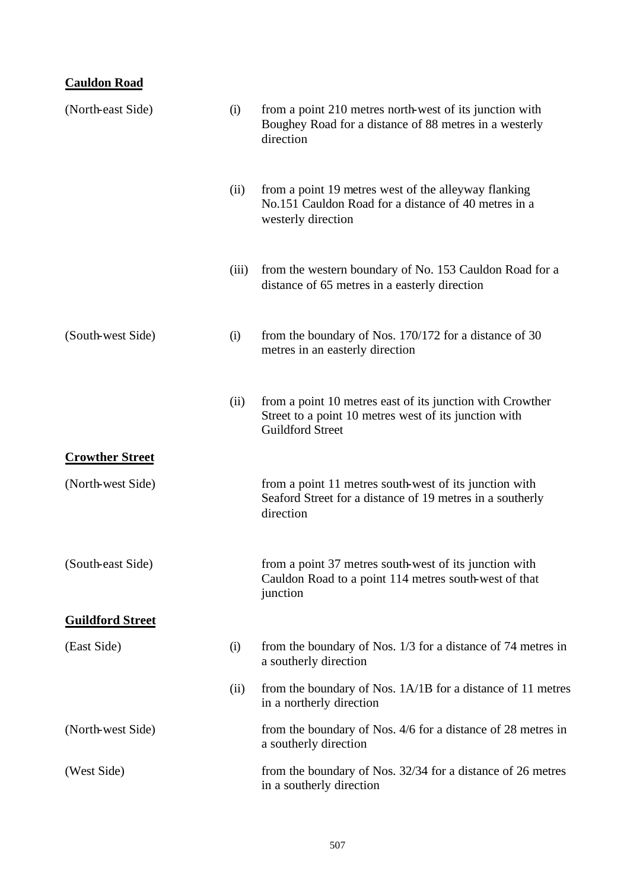# **Cauldon Road**

| (North-east Side)       | (i)   | from a point 210 metres north-west of its junction with<br>Boughey Road for a distance of 88 metres in a westerly<br>direction                |
|-------------------------|-------|-----------------------------------------------------------------------------------------------------------------------------------------------|
|                         | (ii)  | from a point 19 metres west of the alleyway flanking<br>No.151 Cauldon Road for a distance of 40 metres in a<br>westerly direction            |
|                         | (iii) | from the western boundary of No. 153 Cauldon Road for a<br>distance of 65 metres in a easterly direction                                      |
| (South-west Side)       | (i)   | from the boundary of Nos. $170/172$ for a distance of 30<br>metres in an easterly direction                                                   |
|                         | (ii)  | from a point 10 metres east of its junction with Crowther<br>Street to a point 10 metres west of its junction with<br><b>Guildford Street</b> |
| <b>Crowther Street</b>  |       |                                                                                                                                               |
| (North-west Side)       |       | from a point 11 metres south-west of its junction with<br>Seaford Street for a distance of 19 metres in a southerly<br>direction              |
| (South-east Side)       |       | from a point 37 metres south-west of its junction with<br>Cauldon Road to a point 114 metres south-west of that<br>junction                   |
| <b>Guildford Street</b> |       |                                                                                                                                               |
| (East Side)             | (i)   | from the boundary of Nos. 1/3 for a distance of 74 metres in<br>a southerly direction                                                         |
|                         | (ii)  | from the boundary of Nos. 1A/1B for a distance of 11 metres<br>in a northerly direction                                                       |
| (North-west Side)       |       | from the boundary of Nos. 4/6 for a distance of 28 metres in<br>a southerly direction                                                         |
| (West Side)             |       | from the boundary of Nos. 32/34 for a distance of 26 metres<br>in a southerly direction                                                       |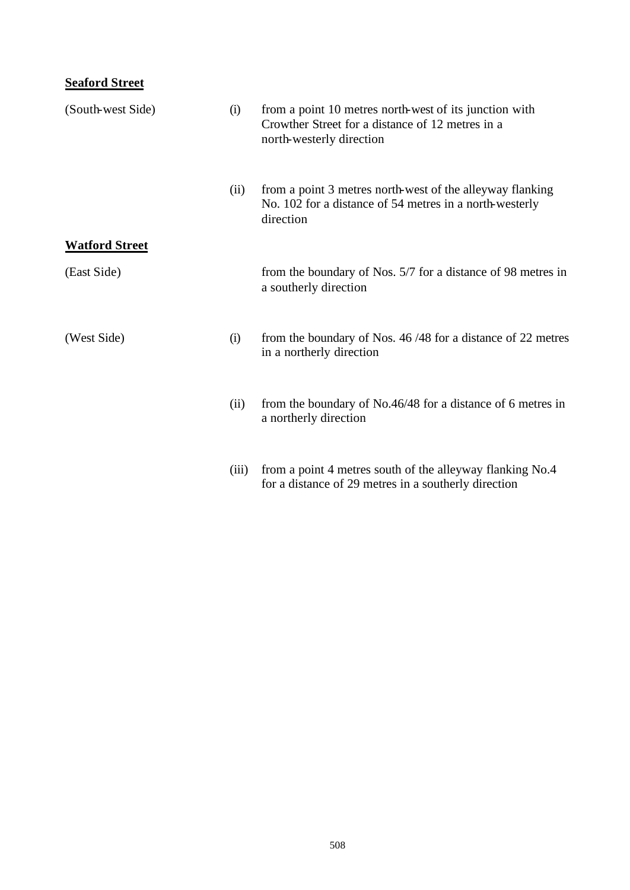# **Seaford Street**

| (South-west Side)     | (i)   | from a point 10 metres north-west of its junction with<br>Crowther Street for a distance of 12 metres in a<br>north-westerly direction |
|-----------------------|-------|----------------------------------------------------------------------------------------------------------------------------------------|
|                       | (ii)  | from a point 3 metres north-west of the alleyway flanking<br>No. 102 for a distance of 54 metres in a north-westerly<br>direction      |
| <b>Watford Street</b> |       |                                                                                                                                        |
| (East Side)           |       | from the boundary of Nos. 5/7 for a distance of 98 metres in<br>a southerly direction                                                  |
| (West Side)           | (i)   | from the boundary of Nos. 46/48 for a distance of 22 metres<br>in a northerly direction                                                |
|                       | (ii)  | from the boundary of No.46/48 for a distance of 6 metres in<br>a northerly direction                                                   |
|                       | (iii) | from a point 4 metres south of the alleyway flanking No.4<br>for a distance of 29 metres in a southerly direction                      |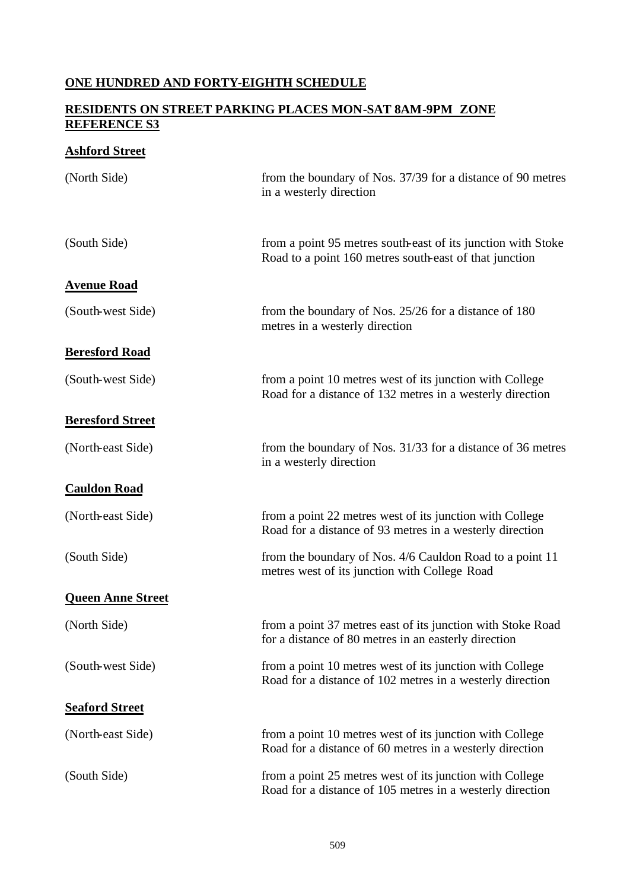## **ONE HUNDRED AND FORTY-EIGHTH SCHEDULE**

### **RESIDENTS ON STREET PARKING PLACES MON-SAT 8AM-9PM ZONE REFERENCE S3**

## **Ashford Street**

| (North Side)             | from the boundary of Nos. 37/39 for a distance of 90 metres<br>in a westerly direction                                 |
|--------------------------|------------------------------------------------------------------------------------------------------------------------|
| (South Side)             | from a point 95 metres south-east of its junction with Stoke<br>Road to a point 160 metres south-east of that junction |
| <b>Avenue Road</b>       |                                                                                                                        |
| (South-west Side)        | from the boundary of Nos. $25/26$ for a distance of 180<br>metres in a westerly direction                              |
| <b>Beresford Road</b>    |                                                                                                                        |
| (South-west Side)        | from a point 10 metres west of its junction with College<br>Road for a distance of 132 metres in a westerly direction  |
| <b>Beresford Street</b>  |                                                                                                                        |
| (North-east Side)        | from the boundary of Nos. 31/33 for a distance of 36 metres<br>in a westerly direction                                 |
| <b>Cauldon Road</b>      |                                                                                                                        |
| (North-east Side)        | from a point 22 metres west of its junction with College<br>Road for a distance of 93 metres in a westerly direction   |
| (South Side)             | from the boundary of Nos. 4/6 Cauldon Road to a point 11<br>metres west of its junction with College Road              |
| <b>Queen Anne Street</b> |                                                                                                                        |
| (North Side)             | from a point 37 metres east of its junction with Stoke Road<br>for a distance of 80 metres in an easterly direction    |
| (South-west Side)        | from a point 10 metres west of its junction with College<br>Road for a distance of 102 metres in a westerly direction  |
| <b>Seaford Street</b>    |                                                                                                                        |
| (North-east Side)        | from a point 10 metres west of its junction with College<br>Road for a distance of 60 metres in a westerly direction   |
| (South Side)             | from a point 25 metres west of its junction with College<br>Road for a distance of 105 metres in a westerly direction  |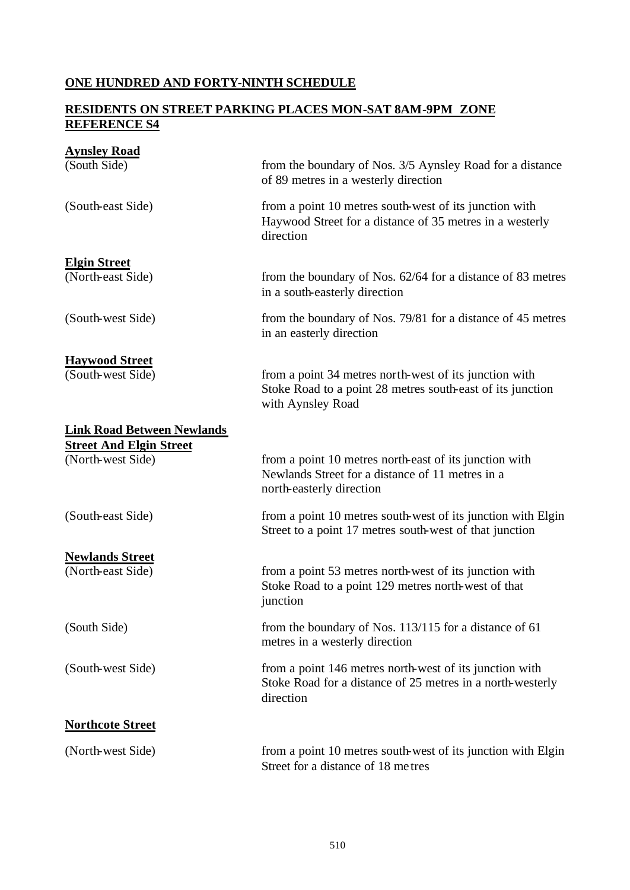## **ONE HUNDRED AND FORTY-NINTH SCHEDULE**

### **RESIDENTS ON STREET PARKING PLACES MON-SAT 8AM-9PM ZONE REFERENCE S4**

| <b>Aynsley Road</b>               |                                                                                                                                           |
|-----------------------------------|-------------------------------------------------------------------------------------------------------------------------------------------|
| (South Side)                      | from the boundary of Nos. 3/5 Aynsley Road for a distance<br>of 89 metres in a westerly direction                                         |
| (South-east Side)                 | from a point 10 metres south-west of its junction with<br>Haywood Street for a distance of 35 metres in a westerly<br>direction           |
| <b>Elgin Street</b>               |                                                                                                                                           |
| (North-east Side)                 | from the boundary of Nos. 62/64 for a distance of 83 metres<br>in a south-easterly direction                                              |
| (South-west Side)                 | from the boundary of Nos. 79/81 for a distance of 45 metres<br>in an easterly direction                                                   |
| <b>Haywood Street</b>             |                                                                                                                                           |
| (South-west Side)                 | from a point 34 metres north-west of its junction with<br>Stoke Road to a point 28 metres south-east of its junction<br>with Aynsley Road |
| <b>Link Road Between Newlands</b> |                                                                                                                                           |
| <b>Street And Elgin Street</b>    |                                                                                                                                           |
| (North-west Side)                 | from a point 10 metres north-east of its junction with<br>Newlands Street for a distance of 11 metres in a<br>north-easterly direction    |
| (South-east Side)                 | from a point 10 metres south-west of its junction with Elgin<br>Street to a point 17 metres south-west of that junction                   |
| <b>Newlands Street</b>            |                                                                                                                                           |
| (North-east Side)                 | from a point 53 metres north-west of its junction with<br>Stoke Road to a point 129 metres north-west of that<br>junction                 |
| (South Side)                      | from the boundary of Nos. 113/115 for a distance of 61<br>metres in a westerly direction                                                  |
| (South-west Side)                 | from a point 146 metres north-west of its junction with<br>Stoke Road for a distance of 25 metres in a north-westerly<br>direction        |
| <b>Northcote Street</b>           |                                                                                                                                           |
| (North-west Side)                 | from a point 10 metres south-west of its junction with Elgin<br>Street for a distance of 18 metres                                        |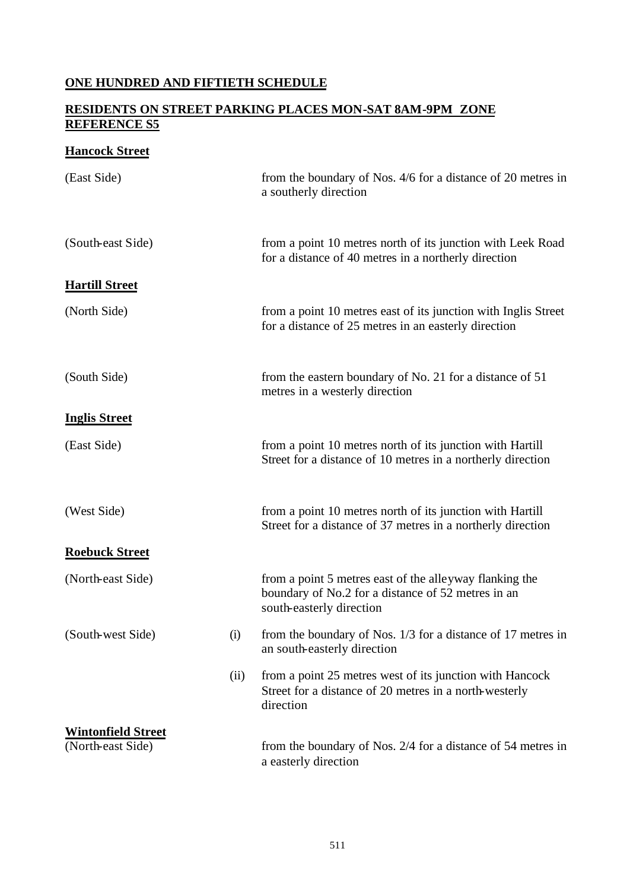## **ONE HUNDRED AND FIFTIETH SCHEDULE**

## **RESIDENTS ON STREET PARKING PLACES MON-SAT 8AM-9PM ZONE REFERENCE S5**

## **Hancock Street**

| (East Side)               |      | from the boundary of Nos. 4/6 for a distance of 20 metres in<br>a southerly direction                                                     |
|---------------------------|------|-------------------------------------------------------------------------------------------------------------------------------------------|
| (South-east Side)         |      | from a point 10 metres north of its junction with Leek Road<br>for a distance of 40 metres in a northerly direction                       |
| <b>Hartill Street</b>     |      |                                                                                                                                           |
| (North Side)              |      | from a point 10 metres east of its junction with Inglis Street<br>for a distance of 25 metres in an easterly direction                    |
| (South Side)              |      | from the eastern boundary of No. 21 for a distance of 51<br>metres in a westerly direction                                                |
| <b>Inglis Street</b>      |      |                                                                                                                                           |
| (East Side)               |      | from a point 10 metres north of its junction with Hartill<br>Street for a distance of 10 metres in a northerly direction                  |
| (West Side)               |      | from a point 10 metres north of its junction with Hartill<br>Street for a distance of 37 metres in a northerly direction                  |
| <b>Roebuck Street</b>     |      |                                                                                                                                           |
| (North-east Side)         |      | from a point 5 metres east of the alleyway flanking the<br>boundary of No.2 for a distance of 52 metres in an<br>south-easterly direction |
| (South-west Side)         | (i)  | from the boundary of Nos. 1/3 for a distance of 17 metres in<br>an south-easterly direction                                               |
|                           | (ii) | from a point 25 metres west of its junction with Hancock<br>Street for a distance of 20 metres in a north-westerly<br>direction           |
| <b>Wintonfield Street</b> |      |                                                                                                                                           |
| (North-east Side)         |      | from the boundary of Nos. 2/4 for a distance of 54 metres in<br>a easterly direction                                                      |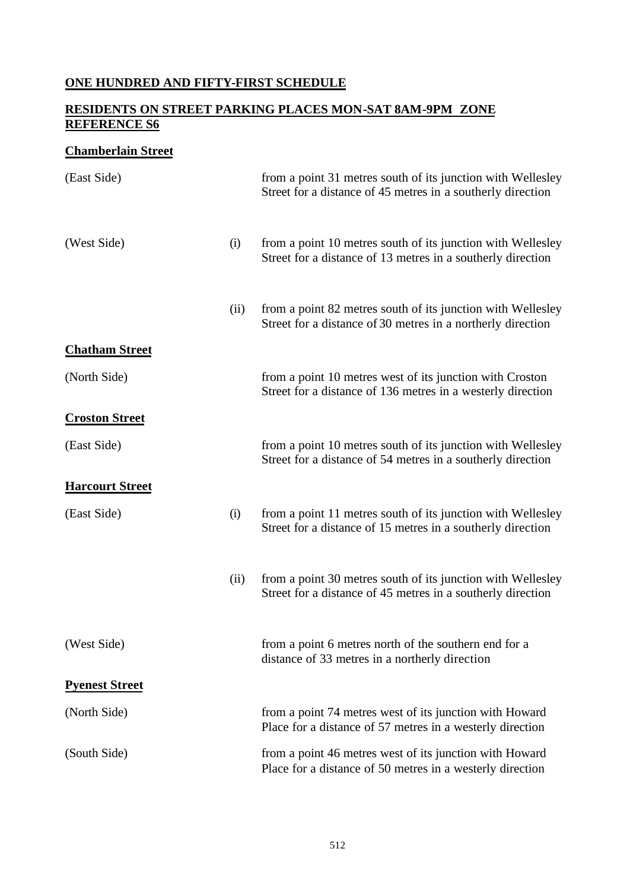## **ONE HUNDRED AND FIFTY-FIRST SCHEDULE**

## **RESIDENTS ON STREET PARKING PLACES MON-SAT 8AM-9PM ZONE REFERENCE S6**

## **Chamberlain Street**

| (East Side)            |      | from a point 31 metres south of its junction with Wellesley<br>Street for a distance of 45 metres in a southerly direction |
|------------------------|------|----------------------------------------------------------------------------------------------------------------------------|
| (West Side)            | (i)  | from a point 10 metres south of its junction with Wellesley<br>Street for a distance of 13 metres in a southerly direction |
|                        | (ii) | from a point 82 metres south of its junction with Wellesley<br>Street for a distance of 30 metres in a northerly direction |
| <b>Chatham Street</b>  |      |                                                                                                                            |
| (North Side)           |      | from a point 10 metres west of its junction with Croston<br>Street for a distance of 136 metres in a westerly direction    |
| <b>Croston Street</b>  |      |                                                                                                                            |
| (East Side)            |      | from a point 10 metres south of its junction with Wellesley<br>Street for a distance of 54 metres in a southerly direction |
| <b>Harcourt Street</b> |      |                                                                                                                            |
| (East Side)            | (i)  | from a point 11 metres south of its junction with Wellesley<br>Street for a distance of 15 metres in a southerly direction |
|                        | (ii) | from a point 30 metres south of its junction with Wellesley<br>Street for a distance of 45 metres in a southerly direction |
| (West Side)            |      | from a point 6 metres north of the southern end for a<br>distance of 33 metres in a northerly direction                    |
| <b>Pyenest Street</b>  |      |                                                                                                                            |
| (North Side)           |      | from a point 74 metres west of its junction with Howard<br>Place for a distance of 57 metres in a westerly direction       |
| (South Side)           |      | from a point 46 metres west of its junction with Howard<br>Place for a distance of 50 metres in a westerly direction       |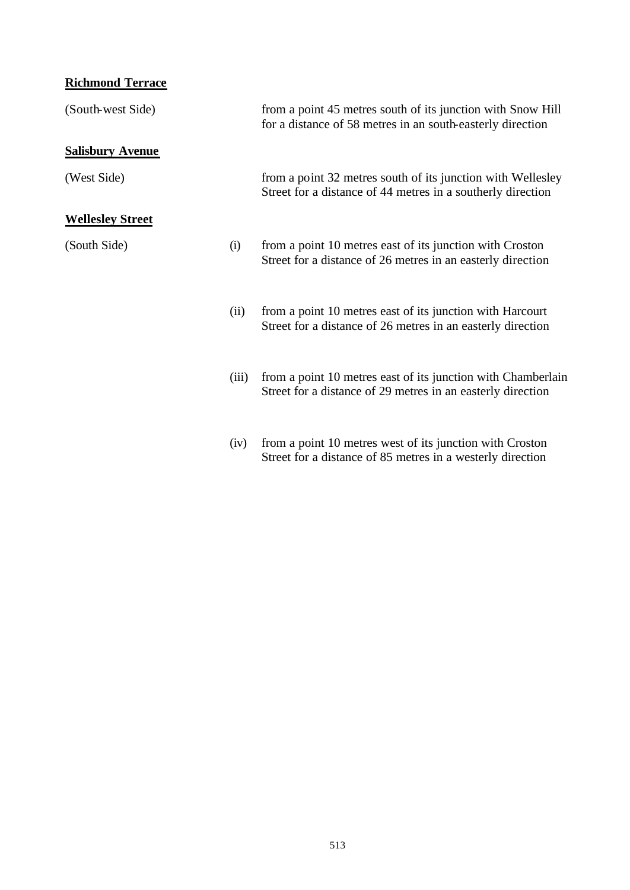# **Richmond Terrace**

| (South-west Side)       |       | from a point 45 metres south of its junction with Snow Hill<br>for a distance of 58 metres in an south-easterly direction   |
|-------------------------|-------|-----------------------------------------------------------------------------------------------------------------------------|
| <b>Salisbury Avenue</b> |       |                                                                                                                             |
| (West Side)             |       | from a point 32 metres south of its junction with Wellesley<br>Street for a distance of 44 metres in a southerly direction  |
| <b>Wellesley Street</b> |       |                                                                                                                             |
| (South Side)            | (i)   | from a point 10 metres east of its junction with Croston<br>Street for a distance of 26 metres in an easterly direction     |
|                         | (ii)  | from a point 10 metres east of its junction with Harcourt<br>Street for a distance of 26 metres in an easterly direction    |
|                         | (iii) | from a point 10 metres east of its junction with Chamberlain<br>Street for a distance of 29 metres in an easterly direction |
|                         |       |                                                                                                                             |

(iv) from a point 10 metres west of its junction with Croston Street for a distance of 85 metres in a westerly direction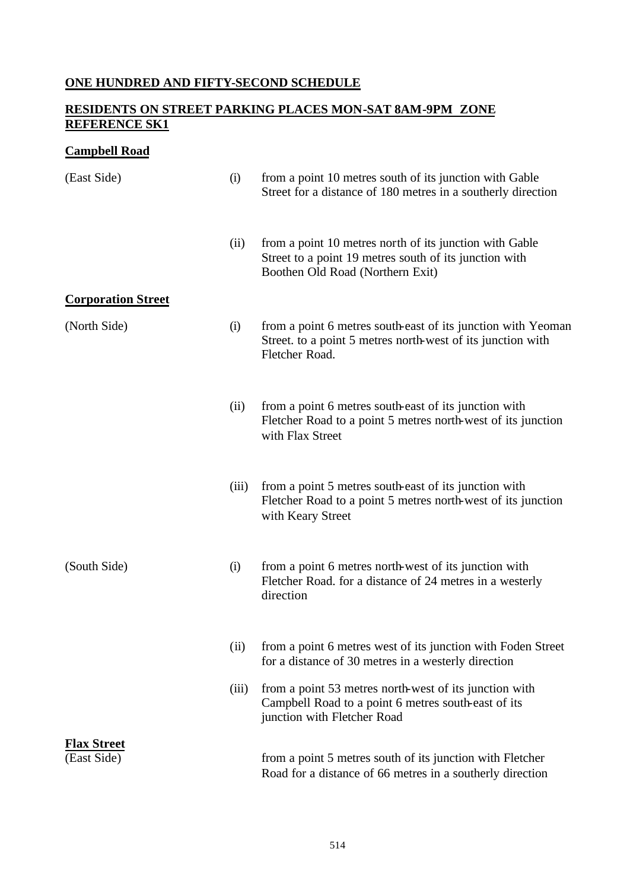## **ONE HUNDRED AND FIFTY-SECOND SCHEDULE**

## **RESIDENTS ON STREET PARKING PLACES MON-SAT 8AM-9PM ZONE REFERENCE SK1**

## **Campbell Road**

| (East Side)                       | (i)   | from a point 10 metres south of its junction with Gable<br>Street for a distance of 180 metres in a southerly direction                               |
|-----------------------------------|-------|-------------------------------------------------------------------------------------------------------------------------------------------------------|
|                                   | (ii)  | from a point 10 metres north of its junction with Gable<br>Street to a point 19 metres south of its junction with<br>Boothen Old Road (Northern Exit) |
| <b>Corporation Street</b>         |       |                                                                                                                                                       |
| (North Side)                      | (i)   | from a point 6 metres south-east of its junction with Yeoman<br>Street. to a point 5 metres north-west of its junction with<br>Fletcher Road.         |
|                                   | (ii)  | from a point 6 metres south-east of its junction with<br>Fletcher Road to a point 5 metres north-west of its junction<br>with Flax Street             |
|                                   | (iii) | from a point 5 metres south-east of its junction with<br>Fletcher Road to a point 5 metres north-west of its junction<br>with Keary Street            |
| (South Side)                      | (i)   | from a point 6 metres north-west of its junction with<br>Fletcher Road. for a distance of 24 metres in a westerly<br>direction                        |
|                                   | (ii)  | from a point 6 metres west of its junction with Foden Street<br>for a distance of 30 metres in a westerly direction                                   |
|                                   | (iii) | from a point 53 metres north-west of its junction with<br>Campbell Road to a point 6 metres south-east of its<br>junction with Fletcher Road          |
| <b>Flax Street</b><br>(East Side) |       | from a point 5 metres south of its junction with Fletcher<br>Road for a distance of 66 metres in a southerly direction                                |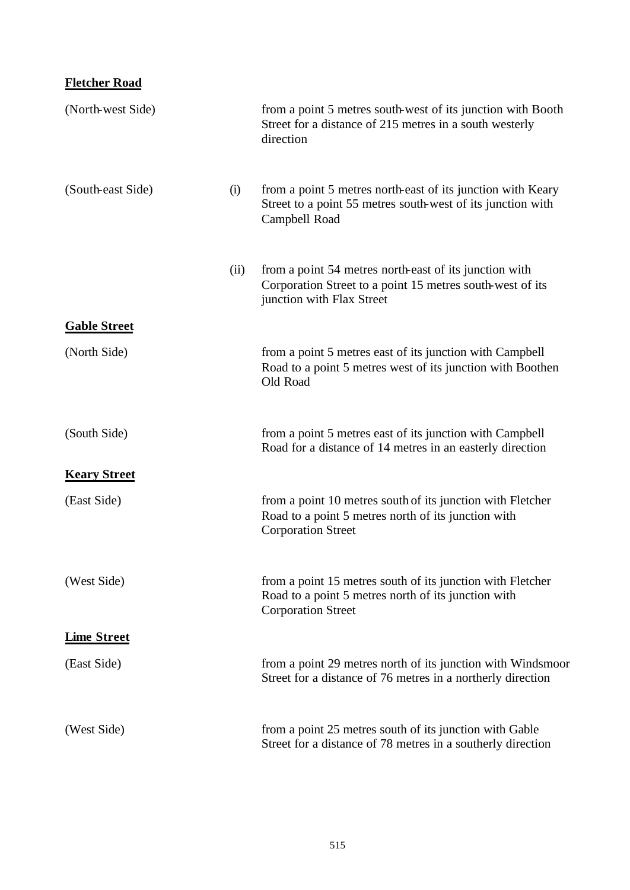## **Fletcher Road**

| (North-west Side)   |      | from a point 5 metres south-west of its junction with Booth<br>Street for a distance of 215 metres in a south westerly<br>direction              |
|---------------------|------|--------------------------------------------------------------------------------------------------------------------------------------------------|
| (South-east Side)   | (i)  | from a point 5 metres north-east of its junction with Keary<br>Street to a point 55 metres south-west of its junction with<br>Campbell Road      |
|                     | (ii) | from a point 54 metres north-east of its junction with<br>Corporation Street to a point 15 metres south-west of its<br>junction with Flax Street |
| <b>Gable Street</b> |      |                                                                                                                                                  |
| (North Side)        |      | from a point 5 metres east of its junction with Campbell<br>Road to a point 5 metres west of its junction with Boothen<br>Old Road               |
| (South Side)        |      | from a point 5 metres east of its junction with Campbell<br>Road for a distance of 14 metres in an easterly direction                            |
| <b>Keary Street</b> |      |                                                                                                                                                  |
| (East Side)         |      | from a point 10 metres south of its junction with Fletcher<br>Road to a point 5 metres north of its junction with<br><b>Corporation Street</b>   |
| (West Side)         |      | from a point 15 metres south of its junction with Fletcher<br>Road to a point 5 metres north of its junction with<br><b>Corporation Street</b>   |
| <b>Lime Street</b>  |      |                                                                                                                                                  |
| (East Side)         |      | from a point 29 metres north of its junction with Windsmoor<br>Street for a distance of 76 metres in a northerly direction                       |
| (West Side)         |      | from a point 25 metres south of its junction with Gable<br>Street for a distance of 78 metres in a southerly direction                           |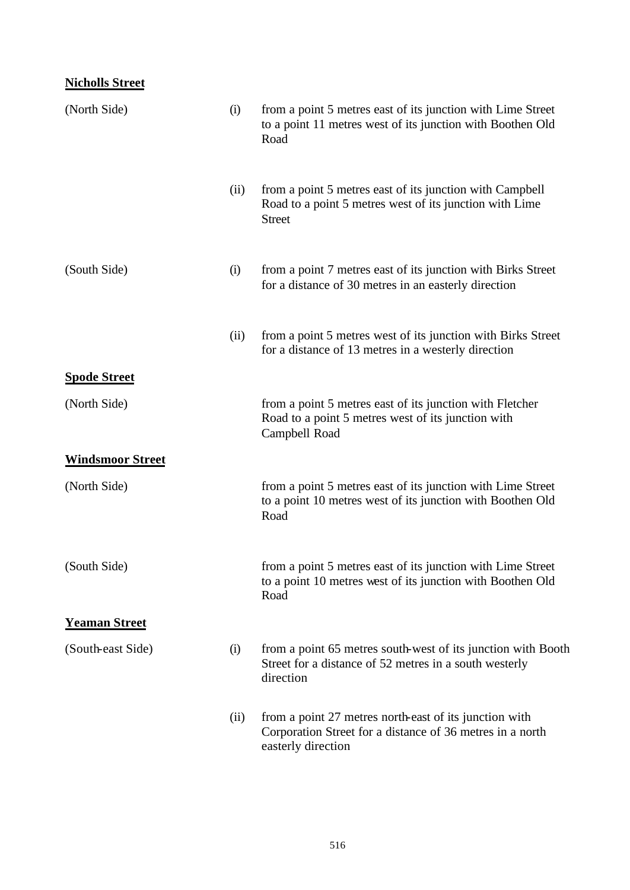## **Nicholls Street**

| (North Side)            | (i)  | from a point 5 metres east of its junction with Lime Street<br>to a point 11 metres west of its junction with Boothen Old<br>Road         |
|-------------------------|------|-------------------------------------------------------------------------------------------------------------------------------------------|
|                         | (ii) | from a point 5 metres east of its junction with Campbell<br>Road to a point 5 metres west of its junction with Lime<br><b>Street</b>      |
| (South Side)            | (i)  | from a point 7 metres east of its junction with Birks Street<br>for a distance of 30 metres in an easterly direction                      |
|                         | (ii) | from a point 5 metres west of its junction with Birks Street<br>for a distance of 13 metres in a westerly direction                       |
| <b>Spode Street</b>     |      |                                                                                                                                           |
| (North Side)            |      | from a point 5 metres east of its junction with Fletcher<br>Road to a point 5 metres west of its junction with<br>Campbell Road           |
| <b>Windsmoor Street</b> |      |                                                                                                                                           |
| (North Side)            |      | from a point 5 metres east of its junction with Lime Street<br>to a point 10 metres west of its junction with Boothen Old<br>Road         |
| (South Side)            |      | from a point 5 metres east of its junction with Lime Street<br>to a point 10 metres west of its junction with Boothen Old<br>Road         |
| <b>Yeaman Street</b>    |      |                                                                                                                                           |
| (South-east Side)       | (i)  | from a point 65 metres south-west of its junction with Booth<br>Street for a distance of 52 metres in a south westerly<br>direction       |
|                         | (ii) | from a point 27 metres north-east of its junction with<br>Corporation Street for a distance of 36 metres in a north<br>easterly direction |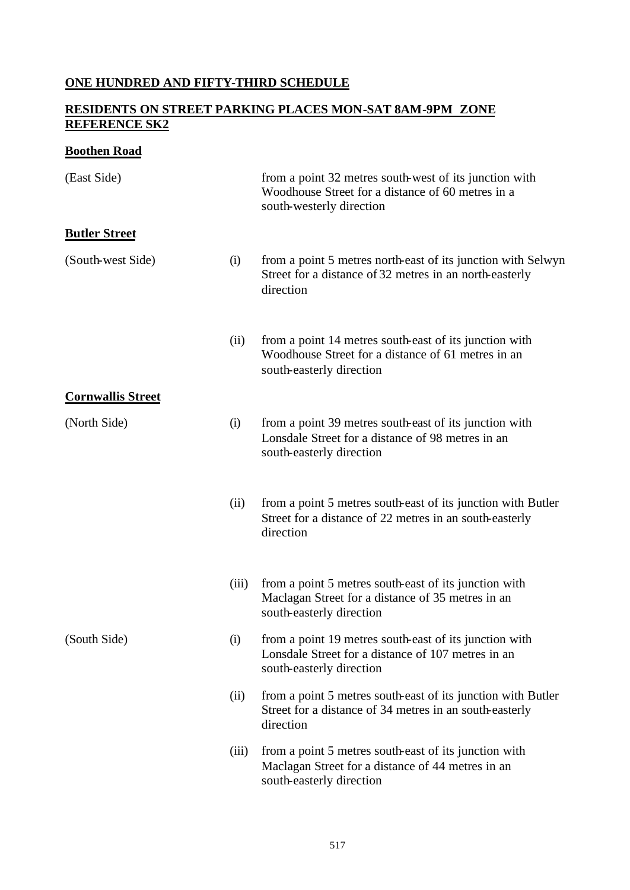## **ONE HUNDRED AND FIFTY-THIRD SCHEDULE**

## **RESIDENTS ON STREET PARKING PLACES MON-SAT 8AM-9PM ZONE REFERENCE SK2**

## **Boothen Road**

| (East Side)              |       | from a point 32 metres south-west of its junction with<br>Woodhouse Street for a distance of 60 metres in a<br>south-westerly direction  |
|--------------------------|-------|------------------------------------------------------------------------------------------------------------------------------------------|
| <b>Butler Street</b>     |       |                                                                                                                                          |
| (South-west Side)        | (i)   | from a point 5 metres north-east of its junction with Selwyn<br>Street for a distance of 32 metres in an north-easterly<br>direction     |
|                          | (ii)  | from a point 14 metres south-east of its junction with<br>Woodhouse Street for a distance of 61 metres in an<br>south-easterly direction |
| <b>Cornwallis Street</b> |       |                                                                                                                                          |
| (North Side)             | (i)   | from a point 39 metres south-east of its junction with<br>Lonsdale Street for a distance of 98 metres in an<br>south-easterly direction  |
|                          | (ii)  | from a point 5 metres south-east of its junction with Butler<br>Street for a distance of 22 metres in an south-easterly<br>direction     |
|                          | (iii) | from a point 5 metres south-east of its junction with<br>Maclagan Street for a distance of 35 metres in an<br>south-easterly direction   |
| (South Side)             | (i)   | from a point 19 metres south-east of its junction with<br>Lonsdale Street for a distance of 107 metres in an<br>south-easterly direction |
|                          | (ii)  | from a point 5 metres south-east of its junction with Butler<br>Street for a distance of 34 metres in an south-easterly<br>direction     |
|                          | (iii) | from a point 5 metres south-east of its junction with<br>Maclagan Street for a distance of 44 metres in an<br>south-easterly direction   |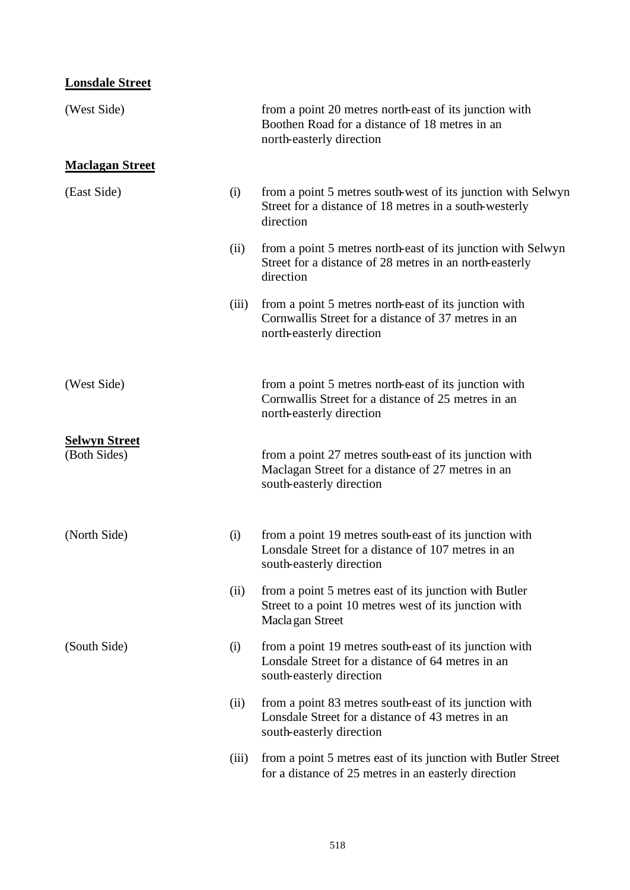## **Lonsdale Street**

| (West Side)                          |       | from a point 20 metres north-east of its junction with<br>Boothen Road for a distance of 18 metres in an<br>north-easterly direction     |
|--------------------------------------|-------|------------------------------------------------------------------------------------------------------------------------------------------|
| <b>Maclagan Street</b>               |       |                                                                                                                                          |
| (East Side)                          | (i)   | from a point 5 metres south-west of its junction with Selwyn<br>Street for a distance of 18 metres in a south-westerly<br>direction      |
|                                      | (ii)  | from a point 5 metres north-east of its junction with Selwyn<br>Street for a distance of 28 metres in an north-easterly<br>direction     |
|                                      | (iii) | from a point 5 metres north-east of its junction with<br>Cornwallis Street for a distance of 37 metres in an<br>north-easterly direction |
| (West Side)                          |       | from a point 5 metres north-east of its junction with<br>Cornwallis Street for a distance of 25 metres in an<br>north-easterly direction |
| <b>Selwyn Street</b><br>(Both Sides) |       | from a point 27 metres south-east of its junction with<br>Maclagan Street for a distance of 27 metres in an<br>south-easterly direction  |
| (North Side)                         | (i)   | from a point 19 metres south-east of its junction with<br>Lonsdale Street for a distance of 107 metres in an<br>south-easterly direction |
|                                      | (ii)  | from a point 5 metres east of its junction with Butler<br>Street to a point 10 metres west of its junction with<br>Maclagan Street       |
| (South Side)                         | (i)   | from a point 19 metres south-east of its junction with<br>Lonsdale Street for a distance of 64 metres in an<br>south-easterly direction  |
|                                      | (ii)  | from a point 83 metres south-east of its junction with<br>Lonsdale Street for a distance of 43 metres in an<br>south-easterly direction  |
|                                      | (iii) | from a point 5 metres east of its junction with Butler Street<br>for a distance of 25 metres in an easterly direction                    |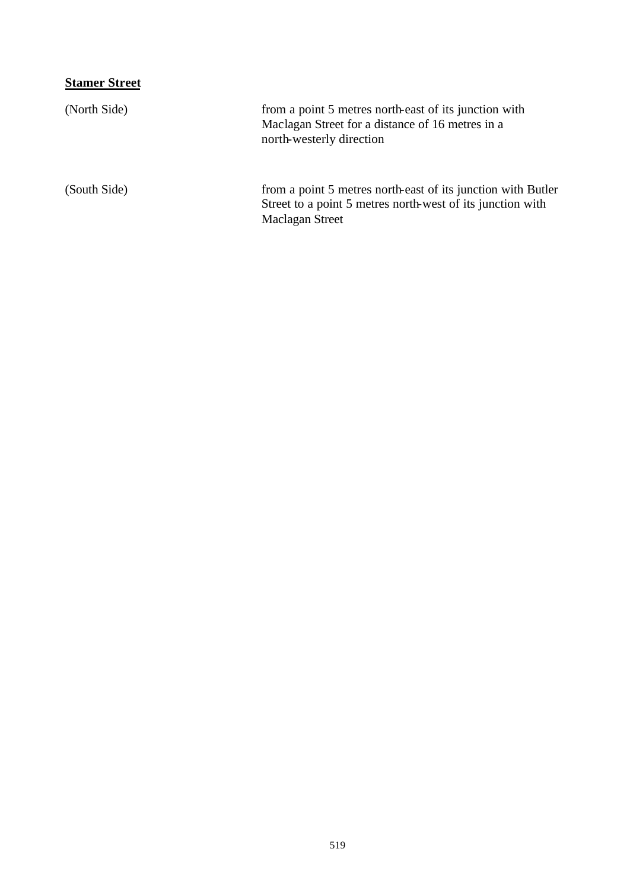# **Stamer Street**

| (North Side) | from a point 5 metres north-east of its junction with<br>Maclagan Street for a distance of 16 metres in a<br>north-westerly direction         |
|--------------|-----------------------------------------------------------------------------------------------------------------------------------------------|
| (South Side) | from a point 5 metres north-east of its junction with Butler<br>Street to a point 5 metres north-west of its junction with<br>Maclagan Street |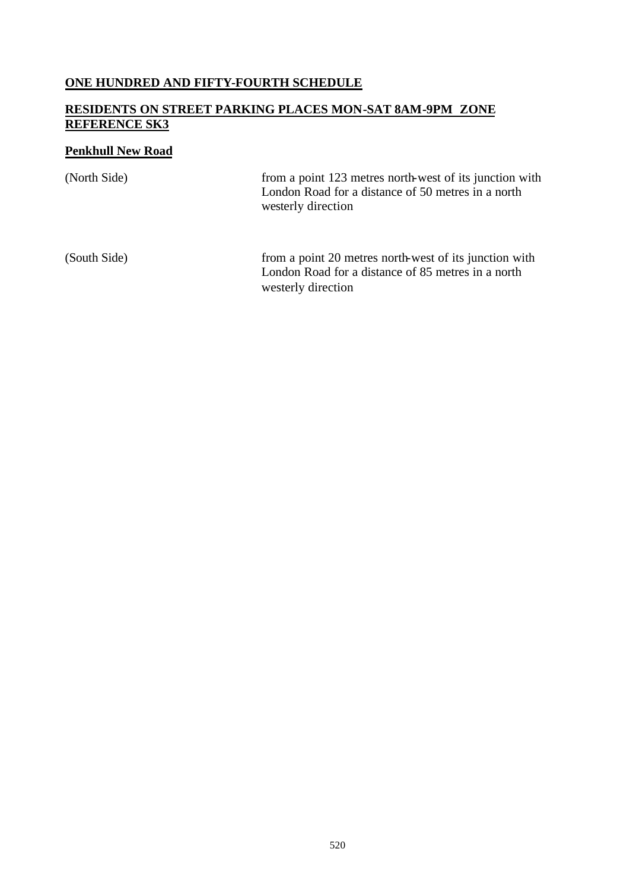#### **ONE HUNDRED AND FIFTY-FOURTH SCHEDULE**

#### **RESIDENTS ON STREET PARKING PLACES MON-SAT 8AM-9PM ZONE REFERENCE SK3**

#### **Penkhull New Road**

(North Side) from a point 123 metres north-west of its junction with London Road for a distance of 50 metres in a north westerly direction (South Side) from a point 20 metres north-west of its junction with London Road for a distance of 85 metres in a north

westerly direction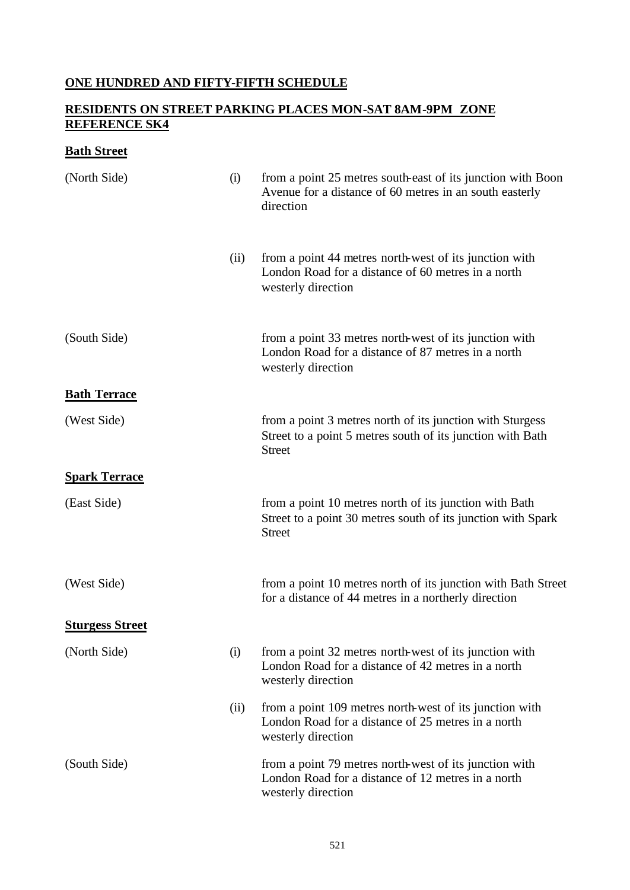## **ONE HUNDRED AND FIFTY-FIFTH SCHEDULE**

### **RESIDENTS ON STREET PARKING PLACES MON-SAT 8AM-9PM ZONE REFERENCE SK4**

## **Bath Street**

| (North Side)           | (i)  | from a point 25 metres south-east of its junction with Boon<br>Avenue for a distance of 60 metres in an south easterly<br>direction      |
|------------------------|------|------------------------------------------------------------------------------------------------------------------------------------------|
|                        | (ii) | from a point 44 metres north-west of its junction with<br>London Road for a distance of 60 metres in a north<br>westerly direction       |
| (South Side)           |      | from a point 33 metres north-west of its junction with<br>London Road for a distance of 87 metres in a north<br>westerly direction       |
| <b>Bath Terrace</b>    |      |                                                                                                                                          |
| (West Side)            |      | from a point 3 metres north of its junction with Sturgess<br>Street to a point 5 metres south of its junction with Bath<br><b>Street</b> |
| <b>Spark Terrace</b>   |      |                                                                                                                                          |
| (East Side)            |      | from a point 10 metres north of its junction with Bath<br>Street to a point 30 metres south of its junction with Spark<br><b>Street</b>  |
| (West Side)            |      | from a point 10 metres north of its junction with Bath Street<br>for a distance of 44 metres in a northerly direction                    |
| <b>Sturgess Street</b> |      |                                                                                                                                          |
| (North Side)           | (i)  | from a point 32 metres north-west of its junction with<br>London Road for a distance of 42 metres in a north<br>westerly direction       |
|                        | (ii) | from a point 109 metres north-west of its junction with<br>London Road for a distance of 25 metres in a north<br>westerly direction      |
| (South Side)           |      | from a point 79 metres north-west of its junction with<br>London Road for a distance of 12 metres in a north<br>westerly direction       |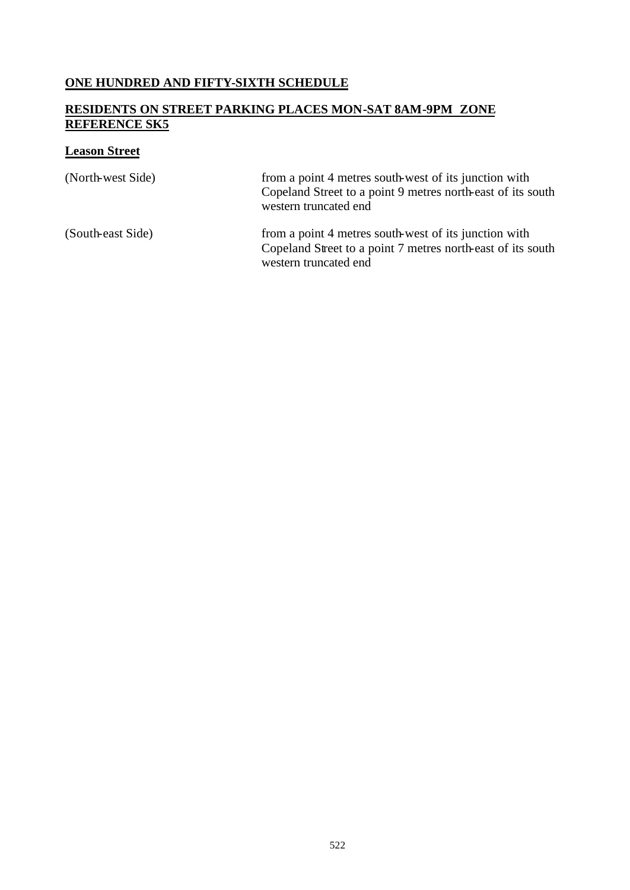## **ONE HUNDRED AND FIFTY-SIXTH SCHEDULE**

### **RESIDENTS ON STREET PARKING PLACES MON-SAT 8AM-9PM ZONE REFERENCE SK5**

## **Leason Street**

| (North-west Side) | from a point 4 metres south-west of its junction with<br>Copeland Street to a point 9 metres north-east of its south<br>western truncated end |
|-------------------|-----------------------------------------------------------------------------------------------------------------------------------------------|
| (South-east Side) | from a point 4 metres south-west of its junction with<br>Copeland Street to a point 7 metres north-east of its south<br>western truncated end |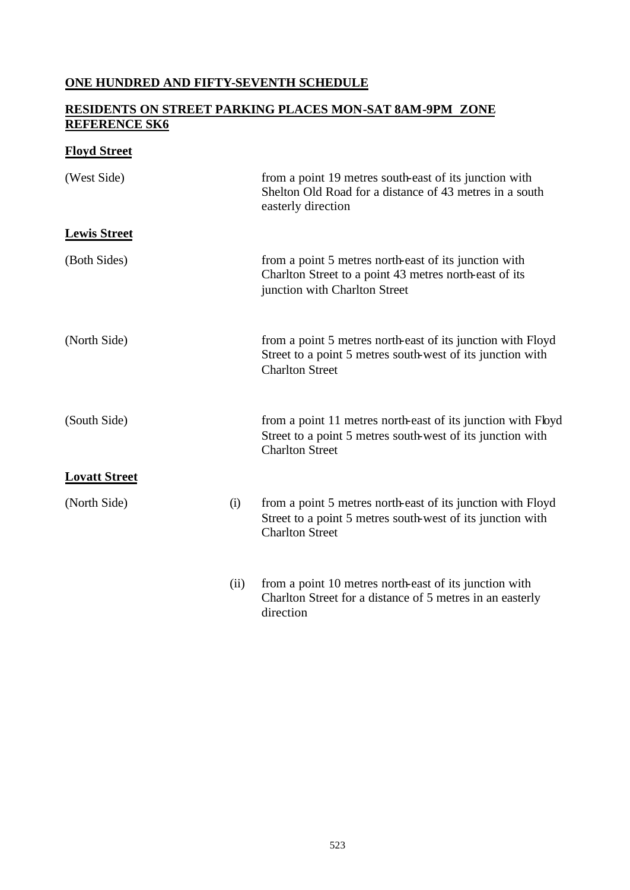## **ONE HUNDRED AND FIFTY-SEVENTH SCHEDULE**

### **RESIDENTS ON STREET PARKING PLACES MON-SAT 8AM-9PM ZONE REFERENCE SK6**

## **Floyd Street**

| (West Side)          |      | from a point 19 metres south-east of its junction with<br>Shelton Old Road for a distance of 43 metres in a south<br>easterly direction              |
|----------------------|------|------------------------------------------------------------------------------------------------------------------------------------------------------|
| <b>Lewis Street</b>  |      |                                                                                                                                                      |
| (Both Sides)         |      | from a point 5 metres north-east of its junction with<br>Charlton Street to a point 43 metres north-east of its<br>junction with Charlton Street     |
| (North Side)         |      | from a point 5 metres north-east of its junction with Floyd<br>Street to a point 5 metres south-west of its junction with<br><b>Charlton Street</b>  |
| (South Side)         |      | from a point 11 metres north-east of its junction with Floyd<br>Street to a point 5 metres south-west of its junction with<br><b>Charlton Street</b> |
| <b>Lovatt Street</b> |      |                                                                                                                                                      |
| (North Side)         | (i)  | from a point 5 metres north-east of its junction with Floyd<br>Street to a point 5 metres south-west of its junction with<br><b>Charlton Street</b>  |
|                      | (ii) | from a point 10 metres north-east of its junction with<br>Charlton Street for a distance of 5 metres in an easterly<br>direction                     |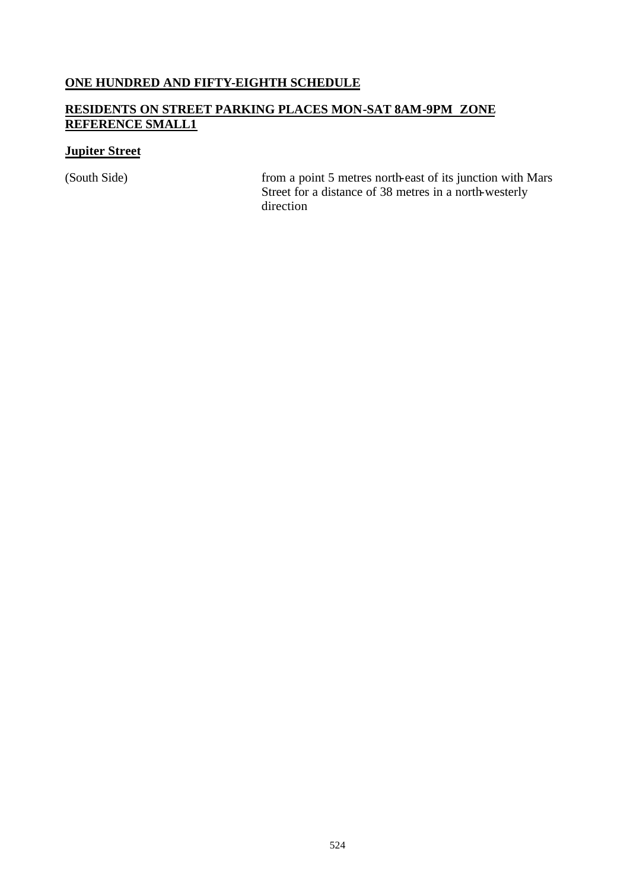### **ONE HUNDRED AND FIFTY-EIGHTH SCHEDULE**

### **RESIDENTS ON STREET PARKING PLACES MON-SAT 8AM-9PM ZONE REFERENCE SMALL1**

#### **Jupiter Street**

(South Side) from a point 5 metres north-east of its junction with Mars Street for a distance of 38 metres in a north-westerly direction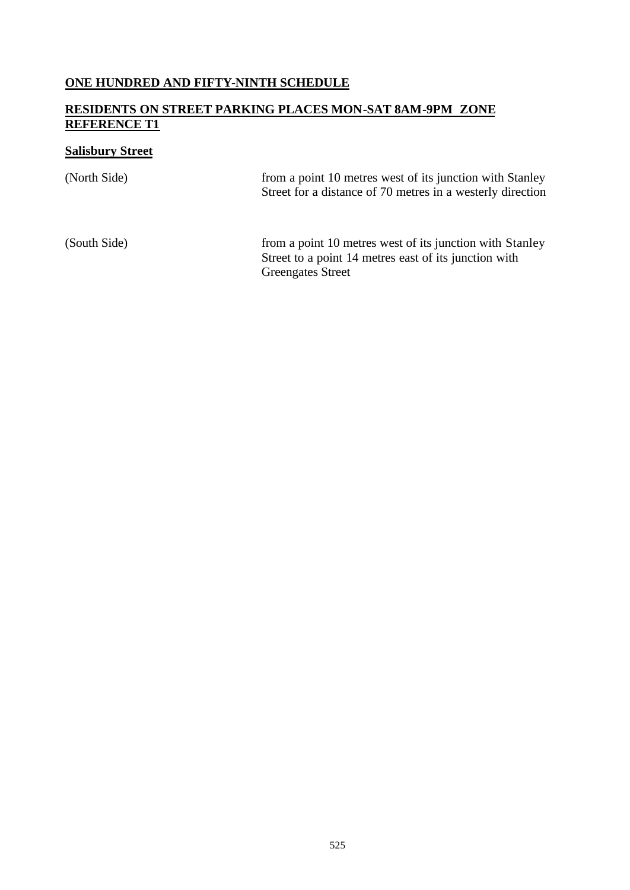## **ONE HUNDRED AND FIFTY-NINTH SCHEDULE**

#### **RESIDENTS ON STREET PARKING PLACES MON-SAT 8AM-9PM ZONE REFERENCE T1**

## **Salisbury Street**

| (North Side) | from a point 10 metres west of its junction with Stanley<br>Street for a distance of 70 metres in a westerly direction |
|--------------|------------------------------------------------------------------------------------------------------------------------|
| (South Side) | from a point 10 metres west of its junction with Stanley<br>Street to a point 14 metres east of its junction with      |

Greengates Street

525